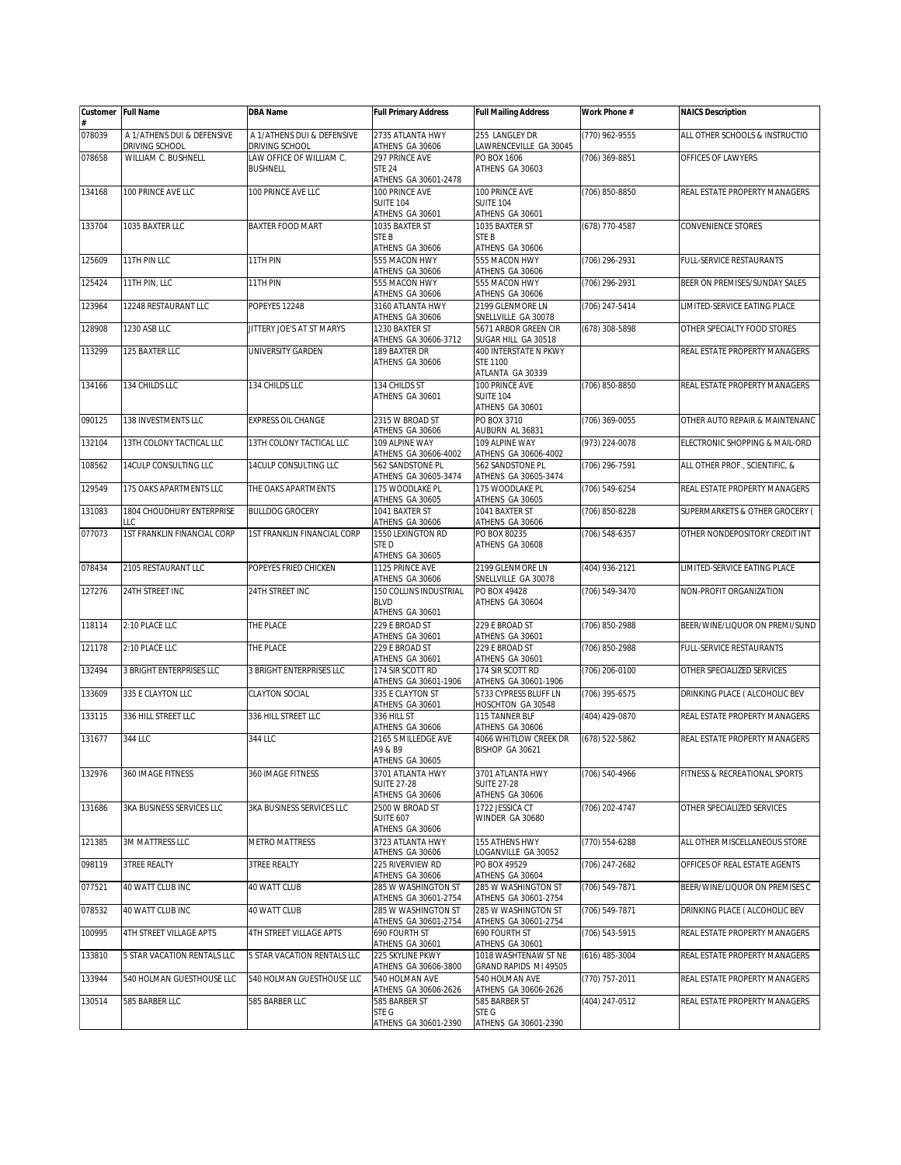|        | Customer Full Name                           | <b>DBA Name</b>                              | <b>Full Primary Address</b>                               | <b>Full Mailing Address</b>                                  | Work Phone #     | <b>NAICS Description</b>        |
|--------|----------------------------------------------|----------------------------------------------|-----------------------------------------------------------|--------------------------------------------------------------|------------------|---------------------------------|
| 078039 | A 1/ATHENS DUI & DEFENSIVE<br>DRIVING SCHOOL | A 1/ATHENS DUI & DEFENSIVE<br>DRIVING SCHOOL | 2735 ATLANTA HWY<br>ATHENS GA 30606                       | 255 LANGLEY DR<br>LAWRENCEVILLE GA 30045                     | (770) 962-9555   | ALL OTHER SCHOOLS & INSTRUCTIO  |
| 078658 | WILLIAM C. BUSHNELL                          | LAW OFFICE OF WILLIAM C.<br><b>BUSHNELL</b>  | 297 PRINCE AVE<br><b>STE 24</b><br>ATHENS GA 30601-2478   | PO BOX 1606<br>ATHENS GA 30603                               | $(706)$ 369-8851 | OFFICES OF LAWYERS              |
| 134168 | 100 PRINCE AVE LLC                           | 100 PRINCE AVE LLC                           | 100 PRINCE AVE<br><b>SUITE 104</b><br>ATHENS GA 30601     | 100 PRINCE AVE<br><b>SUITE 104</b><br>ATHENS GA 30601        | (706) 850-8850   | REAL ESTATE PROPERTY MANAGERS   |
| 133704 | 1035 BAXTER LLC                              | BAXTER FOOD MART                             | 1035 BAXTER ST<br>STE B<br>ATHENS GA 30606                | 1035 BAXTER ST<br>STE B<br>ATHENS GA 30606                   | (678) 770-4587   | CONVENIENCE STORES              |
| 125609 | 11TH PIN LLC                                 | 11TH PIN                                     | 555 MACON HWY<br>ATHENS GA 30606                          | 555 MACON HWY<br>ATHENS GA 30606                             | (706) 296-2931   | <b>FULL-SERVICE RESTAURANTS</b> |
| 125424 | 11TH PIN, LLC                                | 11TH PIN                                     | 555 MACON HWY<br>ATHENS GA 30606                          | 555 MACON HWY<br>ATHENS GA 30606                             | (706) 296-2931   | BEER ON PREMISES/SUNDAY SALES   |
| 123964 | 12248 RESTAURANT LLC                         | POPEYES 12248                                | 3160 ATLANTA HWY<br>ATHENS GA 30606                       | 2199 GLENMORE LN<br>SNELLVILLE GA 30078                      | (706) 247-5414   | LIMITED-SERVICE EATING PLACE    |
| 128908 | 1230 ASB LLC                                 | JITTERY JOE'S AT ST MARYS                    | 1230 BAXTER ST<br>ATHENS GA 30606-3712                    | 5671 ARBOR GREEN CIR<br>SUGAR HILL GA 30518                  | (678) 308-5898   | OTHER SPECIALTY FOOD STORES     |
| 113299 | 125 BAXTER LLC                               | UNIVERSITY GARDEN                            | 189 BAXTER DR<br>ATHENS GA 30606                          | 400 INTERSTATE N PKWY<br><b>STE 1100</b><br>ATLANTA GA 30339 |                  | REAL ESTATE PROPERTY MANAGERS   |
| 134166 | 134 CHILDS LLC                               | 134 CHILDS LLC                               | 134 CHILDS ST<br>ATHENS GA 30601                          | 100 PRINCE AVE<br><b>SUITE 104</b><br>ATHENS GA 30601        | (706) 850-8850   | REAL ESTATE PROPERTY MANAGERS   |
| 090125 | 138 INVESTMENTS LLC                          | <b>EXPRESS OIL CHANGE</b>                    | 2315 W BROAD ST<br>ATHENS GA 30606                        | PO BOX 3710<br>AUBURN AL 36831                               | $(706)$ 369-0055 | OTHER AUTO REPAIR & MAINTENANC  |
| 132104 | 13TH COLONY TACTICAL LLC                     | 13TH COLONY TACTICAL LLC                     | 109 ALPINE WAY<br>ATHENS GA 30606-4002                    | 109 ALPINE WAY<br>ATHENS GA 30606-4002                       | (973) 224-0078   | ELECTRONIC SHOPPING & MAIL-ORD  |
| 108562 | 14CULP CONSULTING LLC                        | 14CULP CONSULTING LLC                        | 562 SANDSTONE PL<br>ATHENS GA 30605-3474                  | 562 SANDSTONE PL<br>ATHENS GA 30605-3474                     | (706) 296-7591   | ALL OTHER PROF., SCIENTIFIC, &  |
| 129549 | 175 OAKS APARTMENTS LLC                      | THE OAKS APARTMENTS                          | 175 WOODLAKE PL<br>ATHENS GA 30605                        | 175 WOODLAKE PL<br>ATHENS GA 30605                           | (706) 549-6254   | REAL ESTATE PROPERTY MANAGERS   |
| 131083 | 1804 CHOUDHURY ENTERPRISE<br>LLC             | <b>BULLDOG GROCERY</b>                       | 1041 BAXTER ST<br>ATHENS GA 30606                         | 1041 BAXTER ST<br>ATHENS GA 30606                            | (706) 850-8228   | SUPERMARKETS & OTHER GROCERY (  |
| 077073 | 1ST FRANKLIN FINANCIAL CORP                  | 1ST FRANKLIN FINANCIAL CORP                  | 1550 LEXINGTON RD<br>STED<br>ATHENS GA 30605              | PO BOX 80235<br>ATHENS GA 30608                              | (706) 548-6357   | OTHER NONDEPOSITORY CREDIT INT  |
| 078434 | 2105 RESTAURANT LLC                          | POPEYES FRIED CHICKEN                        | 1125 PRINCE AVE<br>ATHENS GA 30606                        | 2199 GLENMORE LN<br>SNELLVILLE GA 30078                      | (404) 936-2121   | LIMITED-SERVICE EATING PLACE    |
| 127276 | 24TH STREET INC                              | 24TH STREET INC                              | 150 COLLINS INDUSTRIAL<br><b>BLVD</b><br>ATHENS GA 30601  | PO BOX 49428<br>ATHENS GA 30604                              | (706) 549-3470   | NON-PROFIT ORGANIZATION         |
| 118114 | 2:10 PLACE LLC                               | THE PLACE                                    | 229 E BROAD ST<br>ATHENS GA 30601                         | 229 E BROAD ST<br>ATHENS GA 30601                            | (706) 850-2988   | BEER/WINE/LIQUOR ON PREMI/SUND  |
| 121178 | 2:10 PLACE LLC                               | THE PLACE                                    | 229 E BROAD ST<br>ATHENS GA 30601                         | 229 E BROAD ST<br>ATHENS GA 30601                            | (706) 850-2988   | FULL-SERVICE RESTAURANTS        |
| 132494 | <b>3 BRIGHT ENTERPRISES LLC</b>              | 3 BRIGHT ENTERPRISES LLC                     | 174 SIR SCOTT RD<br>ATHENS GA 30601-1906                  | 174 SIR SCOTT RD<br>ATHENS GA 30601-1906                     | (706) 206-0100   | OTHER SPECIALIZED SERVICES      |
| 133609 | 335 E CLAYTON LLC                            | <b>CLAYTON SOCIAL</b>                        | 335 E CLAYTON ST<br>ATHENS GA 30601                       | 5733 CYPRESS BLUFF LN<br>HOSCHTON GA 30548                   | $(706)$ 395-6575 | DRINKING PLACE ( ALCOHOLIC BEV  |
| 133115 | 336 HILL STREET LLC                          | 336 HILL STREET LLC                          | 336 HILL ST<br>ATHENS GA 30606                            | 115 TANNER BLF<br>ATHENS GA 30606                            | (404) 429-0870   | REAL ESTATE PROPERTY MANAGERS   |
| 131677 | 344 LLC                                      | 344 LLC                                      | 2165 S MILLEDGE AVE<br>A9 & B9<br>ATHENS GA 30605         | 4066 WHITLOW CREEK DR<br>BISHOP GA 30621                     | (678) 522-5862   | REAL ESTATE PROPERTY MANAGERS   |
| 132976 | 360 IMAGE FITNESS                            | 360 IMAGE FITNESS                            | 3701 ATLANTA HWY<br><b>SUITE 27-28</b><br>ATHENS GA 30606 | 3701 ATLANTA HWY<br><b>SUITE 27-28</b><br>ATHENS GA 30606    | (706) 540-4966   | FITNESS & RECREATIONAL SPORTS   |
| 131686 | 3KA BUSINESS SERVICES LLC                    | 3KA BUSINESS SERVICES LLC                    | 2500 W BROAD ST<br><b>SUITE 607</b><br>ATHENS GA 30606    | 1722 JESSICA CT<br>WINDER GA 30680                           | (706) 202-4747   | OTHER SPECIALIZED SERVICES      |
| 121385 | <b>3M MATTRESS LLC</b>                       | METRO MATTRESS                               | 3723 ATLANTA HWY<br>ATHENS GA 30606                       | 155 ATHENS HWY<br>LOGANVILLE GA 30052                        | (770) 554-6288   | ALL OTHER MISCELLANEOUS STORE   |
| 098119 | <b>3TREE REALTY</b>                          | <b>3TREE REALTY</b>                          | 225 RIVERVIEW RD<br>ATHENS GA 30606                       | PO BOX 49529<br>ATHENS GA 30604                              | (706) 247-2682   | OFFICES OF REAL ESTATE AGENTS   |
| 077521 | 40 WATT CLUB INC                             | 40 WATT CLUB                                 | 285 W WASHINGTON ST<br>ATHENS GA 30601-2754               | 285 W WASHINGTON ST<br>ATHENS GA 30601-2754                  | (706) 549-7871   | BEER/WINE/LIQUOR ON PREMISES C  |
| 078532 | 40 WATT CLUB INC                             | 40 WATT CLUB                                 | 285 W WASHINGTON ST<br>ATHENS GA 30601-2754               | 285 W WASHINGTON ST<br>ATHENS GA 30601-2754                  | (706) 549-7871   | DRINKING PLACE ( ALCOHOLIC BEV  |
| 100995 | 4TH STREET VILLAGE APTS                      | 4TH STREET VILLAGE APTS                      | 690 FOURTH ST<br>ATHENS GA 30601                          | 690 FOURTH ST<br>ATHENS GA 30601                             | (706) 543-5915   | REAL ESTATE PROPERTY MANAGERS   |
| 133810 | 5 STAR VACATION RENTALS LLC                  | 5 STAR VACATION RENTALS LLC                  | 225 SKYLINE PKWY<br>ATHENS GA 30606-3800                  | 1018 WASHTENAW ST NE<br>GRAND RAPIDS MI 49505                | $(616)$ 485-3004 | REAL ESTATE PROPERTY MANAGERS   |
| 133944 | 540 HOLMAN GUESTHOUSE LLC                    | 540 HOLMAN GUESTHOUSE LLC                    | 540 HOLMAN AVE<br>ATHENS GA 30606-2626                    | 540 HOLMAN AVE<br>ATHENS GA 30606-2626                       | (770) 757-2011   | REAL ESTATE PROPERTY MANAGERS   |
| 130514 | 585 BARBER LLC                               | 585 BARBER LLC                               | 585 BARBER ST<br>STE G                                    | 585 BARBER ST<br>STE G                                       | (404) 247-0512   | REAL ESTATE PROPERTY MANAGERS   |
|        |                                              |                                              | ATHENS GA 30601-2390                                      | ATHENS GA 30601-2390                                         |                  |                                 |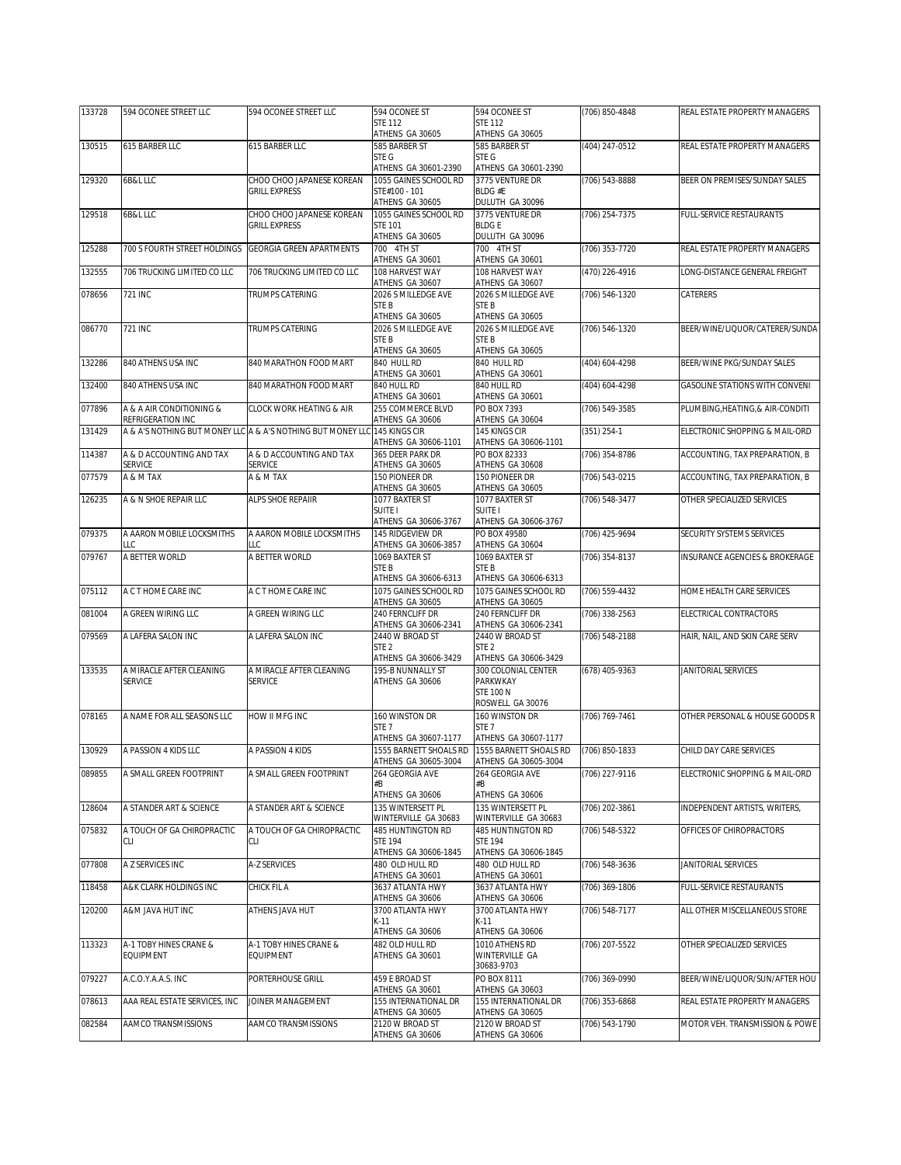| ATHENS GA 30605<br>ATHENS GA 30605<br>615 BARBER LLC<br>(404) 247-0512<br>130515<br>615 BARBER LLC<br>585 BARBER ST<br>585 BARBER ST<br>REAL ESTATE PROPERTY MANAGERS<br>STE G<br>STE G<br>ATHENS GA 30601-2390<br>ATHENS GA 30601-2390<br>6B&L LLC<br>CHOO CHOO JAPANESE KOREAN<br>1055 GAINES SCHOOL RD<br>3775 VENTURE DR<br>$(706) 543 - 8888$<br>BEER ON PREMISES/SUNDAY SALES<br>129320<br>STE#100 - 101<br><b>BLDG#E</b><br><b>GRILL EXPRESS</b><br>ATHENS GA 30605<br>DULUTH GA 30096<br>CHOO CHOO JAPANESE KOREAN<br>1055 GAINES SCHOOL RD<br>3775 VENTURE DR<br>(706) 254-7375<br>FULL-SERVICE RESTAURANTS<br>129518<br>6B&L LLC<br><b>BLDGE</b><br><b>GRILL EXPRESS</b><br><b>STE 101</b><br>ATHENS GA 30605<br>DULUTH GA 30096<br>700 S FOURTH STREET HOLDINGS<br><b>GEORGIA GREEN APARTMENTS</b><br>700 4TH ST<br>REAL ESTATE PROPERTY MANAGERS<br>125288<br>700 4TH ST<br>(706) 353-7720<br>ATHENS GA 30601<br>ATHENS GA 30601<br>706 TRUCKING LIMITED CO LLC<br>706 TRUCKING LIMITED CO LLC<br>108 HARVEST WAY<br>108 HARVEST WAY<br>(470) 226-4916<br>ONG-DISTANCE GENERAL FREIGHT<br>132555<br>ATHENS GA 30607<br>ATHENS GA 30607<br>078656<br>721 INC<br>TRUMPS CATERING<br>2026 S MILLEDGE AVE<br>2026 S MILLEDGE AVE<br>(706) 546-1320<br>CATERERS<br>STE B<br>STE B<br>ATHENS GA 30605<br>ATHENS GA 30605<br>721 INC<br>2026 S MILLEDGE AVE<br>2026 S MILLEDGE AVE<br>(706) 546-1320<br>BEER/WINE/LIQUOR/CATERER/SUNDA<br>086770<br>TRUMPS CATERING<br>STE B<br>STE B<br>ATHENS GA 30605<br>ATHENS GA 30605<br>840 ATHENS USA INC<br>BEER/WINE PKG/SUNDAY SALES<br>132286<br>840 MARATHON FOOD MART<br>840 HULL RD<br>840 HULL RD<br>(404) 604-4298<br>ATHENS GA 30601<br>ATHENS GA 30601<br>132400<br>840 ATHENS USA INC<br>840 MARATHON FOOD MART<br>840 HULL RD<br>840 HULL RD<br>(404) 604-4298<br><b>GASOLINE STATIONS WITH CONVENI</b><br>ATHENS GA 30601<br>ATHENS GA 30601<br>077896<br>A & A AIR CONDITIONING &<br>CLOCK WORK HEATING & AIR<br>255 COMMERCE BLVD<br>PO BOX 7393<br>(706) 549-3585<br>PLUMBING, HEATING, & AIR-CONDITI<br>REFRIGERATION INC<br>ATHENS GA 30606<br>ATHENS GA 30604<br>A & A'S NOTHING BUT MONEY LLC A & A'S NOTHING BUT MONEY LLC 145 KINGS CIR<br>131429<br>145 KINGS CIR<br>$(351) 254-1$<br>ELECTRONIC SHOPPING & MAIL-ORD<br>ATHENS GA 30606-1101<br>ATHENS GA 30606-1101<br>114387<br>A & D ACCOUNTING AND TAX<br>A & D ACCOUNTING AND TAX<br>365 DEER PARK DR<br>PO BOX 82333<br>(706) 354-8786<br>ACCOUNTING, TAX PREPARATION, B<br><b>SERVICE</b><br>ATHENS GA 30608<br>SERVICE<br>ATHENS GA 30605<br>150 PIONEER DR<br>150 PIONEER DR<br>077579<br>A & M TAX<br>A & M TAX<br>(706) 543-0215<br>ACCOUNTING, TAX PREPARATION, B<br>ATHENS GA 30605<br>ATHENS GA 30605<br>126235<br>A & N SHOE REPAIR LLC<br>ALPS SHOE REPAIIR<br>1077 BAXTER ST<br>1077 BAXTER ST<br>(706) 548-3477<br>OTHER SPECIALIZED SERVICES<br>SUITE I<br>SUITE I<br>ATHENS GA 30606-3767<br>ATHENS GA 30606-3767<br>A AARON MOBILE LOCKSMITHS<br>A AARON MOBILE LOCKSMITHS<br>145 RIDGEVIEW DR<br>PO BOX 49580<br>SECURITY SYSTEMS SERVICES<br>079375<br>(706) 425-9694<br>ATHENS GA 30606-3857<br>ATHENS GA 30604<br>ТC<br>LC<br>A BETTER WORLD<br>079767<br>A BETTER WORLD<br>1069 BAXTER ST<br>1069 BAXTER ST<br>(706) 354-8137<br>INSURANCE AGENCIES & BROKERAGE<br>STE B<br>STE <sub>B</sub><br>ATHENS GA 30606-6313<br>ATHENS GA 30606-6313<br>1075 GAINES SCHOOL RD<br>1075 GAINES SCHOOL RD<br>075112<br>A C T HOME CARE INC<br>A C T HOME CARE INC<br>(706) 559-4432<br>HOME HEALTH CARE SERVICES<br>ATHENS GA 30605<br>ATHENS GA 30605<br>081004<br>A GREEN WIRING LLC<br>A GREEN WIRING LLC<br>240 FERNCLIFF DR<br>240 FERNCLIFF DR<br>(706) 338-2563<br>ELECTRICAL CONTRACTORS<br>ATHENS GA 30606-2341<br>ATHENS GA 30606-2341<br>A LAFERA SALON INC<br>079569<br>A LAFERA SALON INC<br>2440 W BROAD ST<br>2440 W BROAD ST<br>(706) 548-2188<br>HAIR, NAIL, AND SKIN CARE SERV<br>STE <sub>2</sub><br>STE <sub>2</sub><br>ATHENS GA 30606-3429<br>ATHENS GA 30606-3429<br>133535<br>A MIRACLE AFTER CLEANING<br>A MIRACLE AFTER CLEANING<br>195-B NUNNALLY ST<br>300 COLONIAL CENTER<br>(678) 405-9363<br>JANITORIAL SERVICES<br><b>SERVICE</b><br>PARKWKAY<br><b>SERVICE</b><br>ATHENS GA 30606<br><b>STE 100 N</b><br>ROSWELL GA 30076<br>078165<br>160 WINSTON DR<br>A NAME FOR ALL SEASONS LLC<br>160 WINSTON DR<br>(706) 769-7461<br>OTHER PERSONAL & HOUSE GOODS R<br>HOW II MFG INC<br>STE <sub>7</sub><br>STE <sub>7</sub><br>ATHENS GA 30607-1177<br>ATHENS GA 30607-1177<br>1555 BARNETT SHOALS RD<br>1555 BARNETT SHOALS RD<br>CHILD DAY CARE SERVICES<br>130929<br>A PASSION 4 KIDS LLC<br>A PASSION 4 KIDS<br>(706) 850-1833<br>ATHENS GA 30605-3004<br>ATHENS GA 30605-3004<br>089855<br>264 GEORGIA AVE<br>264 GEORGIA AVE<br>(706) 227-9116<br>A SMALL GREEN FOOTPRINT<br>A SMALL GREEN FOOTPRINT<br>ELECTRONIC SHOPPING & MAIL-ORD<br>#B<br>#B<br>ATHENS GA 30606<br>ATHENS GA 30606<br>A STANDER ART & SCIENCE<br>A STANDER ART & SCIENCE<br>135 WINTERSETT PL<br>(706) 202-3861<br>INDEPENDENT ARTISTS, WRITERS,<br>128604<br>135 WINTERSETT PL<br>WINTERVILLE GA 30683<br>WINTERVILLE GA 30683<br>A TOUCH OF GA CHIROPRACTIC<br>A TOUCH OF GA CHIROPRACTIC<br>OFFICES OF CHIROPRACTORS<br>075832<br><b>485 HUNTINGTON RD</b><br>485 HUNTINGTON RD<br>(706) 548-5322<br><b>CLI</b><br><b>CLI</b><br><b>STE 194</b><br><b>STE 194</b><br>ATHENS GA 30606-1845<br>ATHENS GA 30606-1845<br>480 OLD HULL RD<br>077808<br>A Z SERVICES INC<br>A-Z SERVICES<br>480 OLD HULL RD<br>(706) 548-3636<br>JANITORIAL SERVICES<br>ATHENS GA 30601<br>ATHENS GA 30601<br>118458<br>A&K CLARK HOLDINGS INC<br>CHICK FIL A<br>3637 ATLANTA HWY<br>3637 ATLANTA HWY<br>(706) 369-1806<br>FULL-SERVICE RESTAURANTS<br>ATHENS GA 30606<br>ATHENS GA 30606<br>120200<br>A&M JAVA HUT INC<br>ATHENS JAVA HUT<br>3700 ATLANTA HWY<br>3700 ATLANTA HWY<br>(706) 548-7177<br>ALL OTHER MISCELLANEOUS STORE<br>$K-11$<br>K-11<br>ATHENS GA 30606<br>ATHENS GA 30606<br>113323<br>A-1 TOBY HINES CRANE &<br>A-1 TOBY HINES CRANE &<br>482 OLD HULL RD<br>1010 ATHENS RD<br>(706) 207-5522<br>OTHER SPECIALIZED SERVICES<br>EQUIPMENT<br>EQUIPMENT<br>ATHENS GA 30601<br>WINTERVILLE GA<br>30683-9703<br>459 E BROAD ST<br>(706) 369-0990<br>079227<br>A.C.O.Y.A.A.S. INC<br>PORTERHOUSE GRILL<br>PO BOX 8111<br>BEER/WINE/LIQUOR/SUN/AFTER HOU<br>ATHENS GA 30601<br>ATHENS GA 30603<br>078613<br>AAA REAL ESTATE SERVICES, INC<br>JOINER MANAGEMENT<br>155 INTERNATIONAL DR<br>155 INTERNATIONAL DR<br>(706) 353-6868<br>REAL ESTATE PROPERTY MANAGERS<br>ATHENS GA 30605<br>ATHENS GA 30605<br>AAMCO TRANSMISSIONS<br>MOTOR VEH. TRANSMISSION & POWE<br>082584<br>AAMCO TRANSMISSIONS<br>2120 W BROAD ST<br>2120 W BROAD ST<br>(706) 543-1790<br>ATHENS GA 30606<br>ATHENS GA 30606 | 133728 | 594 OCONEE STREET LLC | 594 OCONEE STREET LLC | 594 OCONEE ST | 594 OCONEE ST  | (706) 850-4848 | REAL ESTATE PROPERTY MANAGERS |
|--------------------------------------------------------------------------------------------------------------------------------------------------------------------------------------------------------------------------------------------------------------------------------------------------------------------------------------------------------------------------------------------------------------------------------------------------------------------------------------------------------------------------------------------------------------------------------------------------------------------------------------------------------------------------------------------------------------------------------------------------------------------------------------------------------------------------------------------------------------------------------------------------------------------------------------------------------------------------------------------------------------------------------------------------------------------------------------------------------------------------------------------------------------------------------------------------------------------------------------------------------------------------------------------------------------------------------------------------------------------------------------------------------------------------------------------------------------------------------------------------------------------------------------------------------------------------------------------------------------------------------------------------------------------------------------------------------------------------------------------------------------------------------------------------------------------------------------------------------------------------------------------------------------------------------------------------------------------------------------------------------------------------------------------------------------------------------------------------------------------------------------------------------------------------------------------------------------------------------------------------------------------------------------------------------------------------------------------------------------------------------------------------------------------------------------------------------------------------------------------------------------------------------------------------------------------------------------------------------------------------------------------------------------------------------------------------------------------------------------------------------------------------------------------------------------------------------------------------------------------------------------------------------------------------------------------------------------------------------------------------------------------------------------------------------------------------------------------------------------------------------------------------------------------------------------------------------------------------------------------------------------------------------------------------------------------------------------------------------------------------------------------------------------------------------------------------------------------------------------------------------------------------------------------------------------------------------------------------------------------------------------------------------------------------------------------------------------------------------------------------------------------------------------------------------------------------------------------------------------------------------------------------------------------------------------------------------------------------------------------------------------------------------------------------------------------------------------------------------------------------------------------------------------------------------------------------------------------------------------------------------------------------------------------------------------------------------------------------------------------------------------------------------------------------------------------------------------------------------------------------------------------------------------------------------------------------------------------------------------------------------------------------------------------------------------------------------------------------------------------------------------------------------------------------------------------------------------------------------------------------------------------------------------------------------------------------------------------------------------------------------------------------------------------------------------------------------------------------------------------------------------------------------------------------------------------------------------------------------------------------------------------------------------------------------------------------------------------------------------------------------------------------------------------------------------------------------------------------------------------------------------------------------------------------------------------------------------------------------------------------------------------------------------------------------------------------------------------------------------------------------------------------------------------------------------------------------------------------------------------------------------------------------------------------------------------------------------------------------------------------------------------------------------------------------------------------------------------------------------------------------------------------------------------------------------------------------------------------------------------------------------------------------------------------------------------------------------------------------------------------------------------------------------------------------------------------------------------------------------------------------------------------------------------------------------------------------------------------------------------------------------------------------------------------------------------------------------------------------------------------------------------------------------------------------------------------------------|--------|-----------------------|-----------------------|---------------|----------------|----------------|-------------------------------|
|                                                                                                                                                                                                                                                                                                                                                                                                                                                                                                                                                                                                                                                                                                                                                                                                                                                                                                                                                                                                                                                                                                                                                                                                                                                                                                                                                                                                                                                                                                                                                                                                                                                                                                                                                                                                                                                                                                                                                                                                                                                                                                                                                                                                                                                                                                                                                                                                                                                                                                                                                                                                                                                                                                                                                                                                                                                                                                                                                                                                                                                                                                                                                                                                                                                                                                                                                                                                                                                                                                                                                                                                                                                                                                                                                                                                                                                                                                                                                                                                                                                                                                                                                                                                                                                                                                                                                                                                                                                                                                                                                                                                                                                                                                                                                                                                                                                                                                                                                                                                                                                                                                                                                                                                                                                                                                                                                                                                                                                                                                                                                                                                                                                                                                                                                                                                                                                                                                                                                                                                                                                                                                                                                                                                                                                                                                                                                                                                                                                                                                                                                                                                                                                                                                                                                                                                                                      |        |                       |                       | STE 112       | <b>STE 112</b> |                |                               |
|                                                                                                                                                                                                                                                                                                                                                                                                                                                                                                                                                                                                                                                                                                                                                                                                                                                                                                                                                                                                                                                                                                                                                                                                                                                                                                                                                                                                                                                                                                                                                                                                                                                                                                                                                                                                                                                                                                                                                                                                                                                                                                                                                                                                                                                                                                                                                                                                                                                                                                                                                                                                                                                                                                                                                                                                                                                                                                                                                                                                                                                                                                                                                                                                                                                                                                                                                                                                                                                                                                                                                                                                                                                                                                                                                                                                                                                                                                                                                                                                                                                                                                                                                                                                                                                                                                                                                                                                                                                                                                                                                                                                                                                                                                                                                                                                                                                                                                                                                                                                                                                                                                                                                                                                                                                                                                                                                                                                                                                                                                                                                                                                                                                                                                                                                                                                                                                                                                                                                                                                                                                                                                                                                                                                                                                                                                                                                                                                                                                                                                                                                                                                                                                                                                                                                                                                                                      |        |                       |                       |               |                |                |                               |
|                                                                                                                                                                                                                                                                                                                                                                                                                                                                                                                                                                                                                                                                                                                                                                                                                                                                                                                                                                                                                                                                                                                                                                                                                                                                                                                                                                                                                                                                                                                                                                                                                                                                                                                                                                                                                                                                                                                                                                                                                                                                                                                                                                                                                                                                                                                                                                                                                                                                                                                                                                                                                                                                                                                                                                                                                                                                                                                                                                                                                                                                                                                                                                                                                                                                                                                                                                                                                                                                                                                                                                                                                                                                                                                                                                                                                                                                                                                                                                                                                                                                                                                                                                                                                                                                                                                                                                                                                                                                                                                                                                                                                                                                                                                                                                                                                                                                                                                                                                                                                                                                                                                                                                                                                                                                                                                                                                                                                                                                                                                                                                                                                                                                                                                                                                                                                                                                                                                                                                                                                                                                                                                                                                                                                                                                                                                                                                                                                                                                                                                                                                                                                                                                                                                                                                                                                                      |        |                       |                       |               |                |                |                               |
|                                                                                                                                                                                                                                                                                                                                                                                                                                                                                                                                                                                                                                                                                                                                                                                                                                                                                                                                                                                                                                                                                                                                                                                                                                                                                                                                                                                                                                                                                                                                                                                                                                                                                                                                                                                                                                                                                                                                                                                                                                                                                                                                                                                                                                                                                                                                                                                                                                                                                                                                                                                                                                                                                                                                                                                                                                                                                                                                                                                                                                                                                                                                                                                                                                                                                                                                                                                                                                                                                                                                                                                                                                                                                                                                                                                                                                                                                                                                                                                                                                                                                                                                                                                                                                                                                                                                                                                                                                                                                                                                                                                                                                                                                                                                                                                                                                                                                                                                                                                                                                                                                                                                                                                                                                                                                                                                                                                                                                                                                                                                                                                                                                                                                                                                                                                                                                                                                                                                                                                                                                                                                                                                                                                                                                                                                                                                                                                                                                                                                                                                                                                                                                                                                                                                                                                                                                      |        |                       |                       |               |                |                |                               |
|                                                                                                                                                                                                                                                                                                                                                                                                                                                                                                                                                                                                                                                                                                                                                                                                                                                                                                                                                                                                                                                                                                                                                                                                                                                                                                                                                                                                                                                                                                                                                                                                                                                                                                                                                                                                                                                                                                                                                                                                                                                                                                                                                                                                                                                                                                                                                                                                                                                                                                                                                                                                                                                                                                                                                                                                                                                                                                                                                                                                                                                                                                                                                                                                                                                                                                                                                                                                                                                                                                                                                                                                                                                                                                                                                                                                                                                                                                                                                                                                                                                                                                                                                                                                                                                                                                                                                                                                                                                                                                                                                                                                                                                                                                                                                                                                                                                                                                                                                                                                                                                                                                                                                                                                                                                                                                                                                                                                                                                                                                                                                                                                                                                                                                                                                                                                                                                                                                                                                                                                                                                                                                                                                                                                                                                                                                                                                                                                                                                                                                                                                                                                                                                                                                                                                                                                                                      |        |                       |                       |               |                |                |                               |
|                                                                                                                                                                                                                                                                                                                                                                                                                                                                                                                                                                                                                                                                                                                                                                                                                                                                                                                                                                                                                                                                                                                                                                                                                                                                                                                                                                                                                                                                                                                                                                                                                                                                                                                                                                                                                                                                                                                                                                                                                                                                                                                                                                                                                                                                                                                                                                                                                                                                                                                                                                                                                                                                                                                                                                                                                                                                                                                                                                                                                                                                                                                                                                                                                                                                                                                                                                                                                                                                                                                                                                                                                                                                                                                                                                                                                                                                                                                                                                                                                                                                                                                                                                                                                                                                                                                                                                                                                                                                                                                                                                                                                                                                                                                                                                                                                                                                                                                                                                                                                                                                                                                                                                                                                                                                                                                                                                                                                                                                                                                                                                                                                                                                                                                                                                                                                                                                                                                                                                                                                                                                                                                                                                                                                                                                                                                                                                                                                                                                                                                                                                                                                                                                                                                                                                                                                                      |        |                       |                       |               |                |                |                               |
|                                                                                                                                                                                                                                                                                                                                                                                                                                                                                                                                                                                                                                                                                                                                                                                                                                                                                                                                                                                                                                                                                                                                                                                                                                                                                                                                                                                                                                                                                                                                                                                                                                                                                                                                                                                                                                                                                                                                                                                                                                                                                                                                                                                                                                                                                                                                                                                                                                                                                                                                                                                                                                                                                                                                                                                                                                                                                                                                                                                                                                                                                                                                                                                                                                                                                                                                                                                                                                                                                                                                                                                                                                                                                                                                                                                                                                                                                                                                                                                                                                                                                                                                                                                                                                                                                                                                                                                                                                                                                                                                                                                                                                                                                                                                                                                                                                                                                                                                                                                                                                                                                                                                                                                                                                                                                                                                                                                                                                                                                                                                                                                                                                                                                                                                                                                                                                                                                                                                                                                                                                                                                                                                                                                                                                                                                                                                                                                                                                                                                                                                                                                                                                                                                                                                                                                                                                      |        |                       |                       |               |                |                |                               |
|                                                                                                                                                                                                                                                                                                                                                                                                                                                                                                                                                                                                                                                                                                                                                                                                                                                                                                                                                                                                                                                                                                                                                                                                                                                                                                                                                                                                                                                                                                                                                                                                                                                                                                                                                                                                                                                                                                                                                                                                                                                                                                                                                                                                                                                                                                                                                                                                                                                                                                                                                                                                                                                                                                                                                                                                                                                                                                                                                                                                                                                                                                                                                                                                                                                                                                                                                                                                                                                                                                                                                                                                                                                                                                                                                                                                                                                                                                                                                                                                                                                                                                                                                                                                                                                                                                                                                                                                                                                                                                                                                                                                                                                                                                                                                                                                                                                                                                                                                                                                                                                                                                                                                                                                                                                                                                                                                                                                                                                                                                                                                                                                                                                                                                                                                                                                                                                                                                                                                                                                                                                                                                                                                                                                                                                                                                                                                                                                                                                                                                                                                                                                                                                                                                                                                                                                                                      |        |                       |                       |               |                |                |                               |
|                                                                                                                                                                                                                                                                                                                                                                                                                                                                                                                                                                                                                                                                                                                                                                                                                                                                                                                                                                                                                                                                                                                                                                                                                                                                                                                                                                                                                                                                                                                                                                                                                                                                                                                                                                                                                                                                                                                                                                                                                                                                                                                                                                                                                                                                                                                                                                                                                                                                                                                                                                                                                                                                                                                                                                                                                                                                                                                                                                                                                                                                                                                                                                                                                                                                                                                                                                                                                                                                                                                                                                                                                                                                                                                                                                                                                                                                                                                                                                                                                                                                                                                                                                                                                                                                                                                                                                                                                                                                                                                                                                                                                                                                                                                                                                                                                                                                                                                                                                                                                                                                                                                                                                                                                                                                                                                                                                                                                                                                                                                                                                                                                                                                                                                                                                                                                                                                                                                                                                                                                                                                                                                                                                                                                                                                                                                                                                                                                                                                                                                                                                                                                                                                                                                                                                                                                                      |        |                       |                       |               |                |                |                               |
|                                                                                                                                                                                                                                                                                                                                                                                                                                                                                                                                                                                                                                                                                                                                                                                                                                                                                                                                                                                                                                                                                                                                                                                                                                                                                                                                                                                                                                                                                                                                                                                                                                                                                                                                                                                                                                                                                                                                                                                                                                                                                                                                                                                                                                                                                                                                                                                                                                                                                                                                                                                                                                                                                                                                                                                                                                                                                                                                                                                                                                                                                                                                                                                                                                                                                                                                                                                                                                                                                                                                                                                                                                                                                                                                                                                                                                                                                                                                                                                                                                                                                                                                                                                                                                                                                                                                                                                                                                                                                                                                                                                                                                                                                                                                                                                                                                                                                                                                                                                                                                                                                                                                                                                                                                                                                                                                                                                                                                                                                                                                                                                                                                                                                                                                                                                                                                                                                                                                                                                                                                                                                                                                                                                                                                                                                                                                                                                                                                                                                                                                                                                                                                                                                                                                                                                                                                      |        |                       |                       |               |                |                |                               |
|                                                                                                                                                                                                                                                                                                                                                                                                                                                                                                                                                                                                                                                                                                                                                                                                                                                                                                                                                                                                                                                                                                                                                                                                                                                                                                                                                                                                                                                                                                                                                                                                                                                                                                                                                                                                                                                                                                                                                                                                                                                                                                                                                                                                                                                                                                                                                                                                                                                                                                                                                                                                                                                                                                                                                                                                                                                                                                                                                                                                                                                                                                                                                                                                                                                                                                                                                                                                                                                                                                                                                                                                                                                                                                                                                                                                                                                                                                                                                                                                                                                                                                                                                                                                                                                                                                                                                                                                                                                                                                                                                                                                                                                                                                                                                                                                                                                                                                                                                                                                                                                                                                                                                                                                                                                                                                                                                                                                                                                                                                                                                                                                                                                                                                                                                                                                                                                                                                                                                                                                                                                                                                                                                                                                                                                                                                                                                                                                                                                                                                                                                                                                                                                                                                                                                                                                                                      |        |                       |                       |               |                |                |                               |
|                                                                                                                                                                                                                                                                                                                                                                                                                                                                                                                                                                                                                                                                                                                                                                                                                                                                                                                                                                                                                                                                                                                                                                                                                                                                                                                                                                                                                                                                                                                                                                                                                                                                                                                                                                                                                                                                                                                                                                                                                                                                                                                                                                                                                                                                                                                                                                                                                                                                                                                                                                                                                                                                                                                                                                                                                                                                                                                                                                                                                                                                                                                                                                                                                                                                                                                                                                                                                                                                                                                                                                                                                                                                                                                                                                                                                                                                                                                                                                                                                                                                                                                                                                                                                                                                                                                                                                                                                                                                                                                                                                                                                                                                                                                                                                                                                                                                                                                                                                                                                                                                                                                                                                                                                                                                                                                                                                                                                                                                                                                                                                                                                                                                                                                                                                                                                                                                                                                                                                                                                                                                                                                                                                                                                                                                                                                                                                                                                                                                                                                                                                                                                                                                                                                                                                                                                                      |        |                       |                       |               |                |                |                               |
|                                                                                                                                                                                                                                                                                                                                                                                                                                                                                                                                                                                                                                                                                                                                                                                                                                                                                                                                                                                                                                                                                                                                                                                                                                                                                                                                                                                                                                                                                                                                                                                                                                                                                                                                                                                                                                                                                                                                                                                                                                                                                                                                                                                                                                                                                                                                                                                                                                                                                                                                                                                                                                                                                                                                                                                                                                                                                                                                                                                                                                                                                                                                                                                                                                                                                                                                                                                                                                                                                                                                                                                                                                                                                                                                                                                                                                                                                                                                                                                                                                                                                                                                                                                                                                                                                                                                                                                                                                                                                                                                                                                                                                                                                                                                                                                                                                                                                                                                                                                                                                                                                                                                                                                                                                                                                                                                                                                                                                                                                                                                                                                                                                                                                                                                                                                                                                                                                                                                                                                                                                                                                                                                                                                                                                                                                                                                                                                                                                                                                                                                                                                                                                                                                                                                                                                                                                      |        |                       |                       |               |                |                |                               |
|                                                                                                                                                                                                                                                                                                                                                                                                                                                                                                                                                                                                                                                                                                                                                                                                                                                                                                                                                                                                                                                                                                                                                                                                                                                                                                                                                                                                                                                                                                                                                                                                                                                                                                                                                                                                                                                                                                                                                                                                                                                                                                                                                                                                                                                                                                                                                                                                                                                                                                                                                                                                                                                                                                                                                                                                                                                                                                                                                                                                                                                                                                                                                                                                                                                                                                                                                                                                                                                                                                                                                                                                                                                                                                                                                                                                                                                                                                                                                                                                                                                                                                                                                                                                                                                                                                                                                                                                                                                                                                                                                                                                                                                                                                                                                                                                                                                                                                                                                                                                                                                                                                                                                                                                                                                                                                                                                                                                                                                                                                                                                                                                                                                                                                                                                                                                                                                                                                                                                                                                                                                                                                                                                                                                                                                                                                                                                                                                                                                                                                                                                                                                                                                                                                                                                                                                                                      |        |                       |                       |               |                |                |                               |
|                                                                                                                                                                                                                                                                                                                                                                                                                                                                                                                                                                                                                                                                                                                                                                                                                                                                                                                                                                                                                                                                                                                                                                                                                                                                                                                                                                                                                                                                                                                                                                                                                                                                                                                                                                                                                                                                                                                                                                                                                                                                                                                                                                                                                                                                                                                                                                                                                                                                                                                                                                                                                                                                                                                                                                                                                                                                                                                                                                                                                                                                                                                                                                                                                                                                                                                                                                                                                                                                                                                                                                                                                                                                                                                                                                                                                                                                                                                                                                                                                                                                                                                                                                                                                                                                                                                                                                                                                                                                                                                                                                                                                                                                                                                                                                                                                                                                                                                                                                                                                                                                                                                                                                                                                                                                                                                                                                                                                                                                                                                                                                                                                                                                                                                                                                                                                                                                                                                                                                                                                                                                                                                                                                                                                                                                                                                                                                                                                                                                                                                                                                                                                                                                                                                                                                                                                                      |        |                       |                       |               |                |                |                               |
|                                                                                                                                                                                                                                                                                                                                                                                                                                                                                                                                                                                                                                                                                                                                                                                                                                                                                                                                                                                                                                                                                                                                                                                                                                                                                                                                                                                                                                                                                                                                                                                                                                                                                                                                                                                                                                                                                                                                                                                                                                                                                                                                                                                                                                                                                                                                                                                                                                                                                                                                                                                                                                                                                                                                                                                                                                                                                                                                                                                                                                                                                                                                                                                                                                                                                                                                                                                                                                                                                                                                                                                                                                                                                                                                                                                                                                                                                                                                                                                                                                                                                                                                                                                                                                                                                                                                                                                                                                                                                                                                                                                                                                                                                                                                                                                                                                                                                                                                                                                                                                                                                                                                                                                                                                                                                                                                                                                                                                                                                                                                                                                                                                                                                                                                                                                                                                                                                                                                                                                                                                                                                                                                                                                                                                                                                                                                                                                                                                                                                                                                                                                                                                                                                                                                                                                                                                      |        |                       |                       |               |                |                |                               |
|                                                                                                                                                                                                                                                                                                                                                                                                                                                                                                                                                                                                                                                                                                                                                                                                                                                                                                                                                                                                                                                                                                                                                                                                                                                                                                                                                                                                                                                                                                                                                                                                                                                                                                                                                                                                                                                                                                                                                                                                                                                                                                                                                                                                                                                                                                                                                                                                                                                                                                                                                                                                                                                                                                                                                                                                                                                                                                                                                                                                                                                                                                                                                                                                                                                                                                                                                                                                                                                                                                                                                                                                                                                                                                                                                                                                                                                                                                                                                                                                                                                                                                                                                                                                                                                                                                                                                                                                                                                                                                                                                                                                                                                                                                                                                                                                                                                                                                                                                                                                                                                                                                                                                                                                                                                                                                                                                                                                                                                                                                                                                                                                                                                                                                                                                                                                                                                                                                                                                                                                                                                                                                                                                                                                                                                                                                                                                                                                                                                                                                                                                                                                                                                                                                                                                                                                                                      |        |                       |                       |               |                |                |                               |
|                                                                                                                                                                                                                                                                                                                                                                                                                                                                                                                                                                                                                                                                                                                                                                                                                                                                                                                                                                                                                                                                                                                                                                                                                                                                                                                                                                                                                                                                                                                                                                                                                                                                                                                                                                                                                                                                                                                                                                                                                                                                                                                                                                                                                                                                                                                                                                                                                                                                                                                                                                                                                                                                                                                                                                                                                                                                                                                                                                                                                                                                                                                                                                                                                                                                                                                                                                                                                                                                                                                                                                                                                                                                                                                                                                                                                                                                                                                                                                                                                                                                                                                                                                                                                                                                                                                                                                                                                                                                                                                                                                                                                                                                                                                                                                                                                                                                                                                                                                                                                                                                                                                                                                                                                                                                                                                                                                                                                                                                                                                                                                                                                                                                                                                                                                                                                                                                                                                                                                                                                                                                                                                                                                                                                                                                                                                                                                                                                                                                                                                                                                                                                                                                                                                                                                                                                                      |        |                       |                       |               |                |                |                               |
|                                                                                                                                                                                                                                                                                                                                                                                                                                                                                                                                                                                                                                                                                                                                                                                                                                                                                                                                                                                                                                                                                                                                                                                                                                                                                                                                                                                                                                                                                                                                                                                                                                                                                                                                                                                                                                                                                                                                                                                                                                                                                                                                                                                                                                                                                                                                                                                                                                                                                                                                                                                                                                                                                                                                                                                                                                                                                                                                                                                                                                                                                                                                                                                                                                                                                                                                                                                                                                                                                                                                                                                                                                                                                                                                                                                                                                                                                                                                                                                                                                                                                                                                                                                                                                                                                                                                                                                                                                                                                                                                                                                                                                                                                                                                                                                                                                                                                                                                                                                                                                                                                                                                                                                                                                                                                                                                                                                                                                                                                                                                                                                                                                                                                                                                                                                                                                                                                                                                                                                                                                                                                                                                                                                                                                                                                                                                                                                                                                                                                                                                                                                                                                                                                                                                                                                                                                      |        |                       |                       |               |                |                |                               |
|                                                                                                                                                                                                                                                                                                                                                                                                                                                                                                                                                                                                                                                                                                                                                                                                                                                                                                                                                                                                                                                                                                                                                                                                                                                                                                                                                                                                                                                                                                                                                                                                                                                                                                                                                                                                                                                                                                                                                                                                                                                                                                                                                                                                                                                                                                                                                                                                                                                                                                                                                                                                                                                                                                                                                                                                                                                                                                                                                                                                                                                                                                                                                                                                                                                                                                                                                                                                                                                                                                                                                                                                                                                                                                                                                                                                                                                                                                                                                                                                                                                                                                                                                                                                                                                                                                                                                                                                                                                                                                                                                                                                                                                                                                                                                                                                                                                                                                                                                                                                                                                                                                                                                                                                                                                                                                                                                                                                                                                                                                                                                                                                                                                                                                                                                                                                                                                                                                                                                                                                                                                                                                                                                                                                                                                                                                                                                                                                                                                                                                                                                                                                                                                                                                                                                                                                                                      |        |                       |                       |               |                |                |                               |
|                                                                                                                                                                                                                                                                                                                                                                                                                                                                                                                                                                                                                                                                                                                                                                                                                                                                                                                                                                                                                                                                                                                                                                                                                                                                                                                                                                                                                                                                                                                                                                                                                                                                                                                                                                                                                                                                                                                                                                                                                                                                                                                                                                                                                                                                                                                                                                                                                                                                                                                                                                                                                                                                                                                                                                                                                                                                                                                                                                                                                                                                                                                                                                                                                                                                                                                                                                                                                                                                                                                                                                                                                                                                                                                                                                                                                                                                                                                                                                                                                                                                                                                                                                                                                                                                                                                                                                                                                                                                                                                                                                                                                                                                                                                                                                                                                                                                                                                                                                                                                                                                                                                                                                                                                                                                                                                                                                                                                                                                                                                                                                                                                                                                                                                                                                                                                                                                                                                                                                                                                                                                                                                                                                                                                                                                                                                                                                                                                                                                                                                                                                                                                                                                                                                                                                                                                                      |        |                       |                       |               |                |                |                               |
|                                                                                                                                                                                                                                                                                                                                                                                                                                                                                                                                                                                                                                                                                                                                                                                                                                                                                                                                                                                                                                                                                                                                                                                                                                                                                                                                                                                                                                                                                                                                                                                                                                                                                                                                                                                                                                                                                                                                                                                                                                                                                                                                                                                                                                                                                                                                                                                                                                                                                                                                                                                                                                                                                                                                                                                                                                                                                                                                                                                                                                                                                                                                                                                                                                                                                                                                                                                                                                                                                                                                                                                                                                                                                                                                                                                                                                                                                                                                                                                                                                                                                                                                                                                                                                                                                                                                                                                                                                                                                                                                                                                                                                                                                                                                                                                                                                                                                                                                                                                                                                                                                                                                                                                                                                                                                                                                                                                                                                                                                                                                                                                                                                                                                                                                                                                                                                                                                                                                                                                                                                                                                                                                                                                                                                                                                                                                                                                                                                                                                                                                                                                                                                                                                                                                                                                                                                      |        |                       |                       |               |                |                |                               |
|                                                                                                                                                                                                                                                                                                                                                                                                                                                                                                                                                                                                                                                                                                                                                                                                                                                                                                                                                                                                                                                                                                                                                                                                                                                                                                                                                                                                                                                                                                                                                                                                                                                                                                                                                                                                                                                                                                                                                                                                                                                                                                                                                                                                                                                                                                                                                                                                                                                                                                                                                                                                                                                                                                                                                                                                                                                                                                                                                                                                                                                                                                                                                                                                                                                                                                                                                                                                                                                                                                                                                                                                                                                                                                                                                                                                                                                                                                                                                                                                                                                                                                                                                                                                                                                                                                                                                                                                                                                                                                                                                                                                                                                                                                                                                                                                                                                                                                                                                                                                                                                                                                                                                                                                                                                                                                                                                                                                                                                                                                                                                                                                                                                                                                                                                                                                                                                                                                                                                                                                                                                                                                                                                                                                                                                                                                                                                                                                                                                                                                                                                                                                                                                                                                                                                                                                                                      |        |                       |                       |               |                |                |                               |
|                                                                                                                                                                                                                                                                                                                                                                                                                                                                                                                                                                                                                                                                                                                                                                                                                                                                                                                                                                                                                                                                                                                                                                                                                                                                                                                                                                                                                                                                                                                                                                                                                                                                                                                                                                                                                                                                                                                                                                                                                                                                                                                                                                                                                                                                                                                                                                                                                                                                                                                                                                                                                                                                                                                                                                                                                                                                                                                                                                                                                                                                                                                                                                                                                                                                                                                                                                                                                                                                                                                                                                                                                                                                                                                                                                                                                                                                                                                                                                                                                                                                                                                                                                                                                                                                                                                                                                                                                                                                                                                                                                                                                                                                                                                                                                                                                                                                                                                                                                                                                                                                                                                                                                                                                                                                                                                                                                                                                                                                                                                                                                                                                                                                                                                                                                                                                                                                                                                                                                                                                                                                                                                                                                                                                                                                                                                                                                                                                                                                                                                                                                                                                                                                                                                                                                                                                                      |        |                       |                       |               |                |                |                               |
|                                                                                                                                                                                                                                                                                                                                                                                                                                                                                                                                                                                                                                                                                                                                                                                                                                                                                                                                                                                                                                                                                                                                                                                                                                                                                                                                                                                                                                                                                                                                                                                                                                                                                                                                                                                                                                                                                                                                                                                                                                                                                                                                                                                                                                                                                                                                                                                                                                                                                                                                                                                                                                                                                                                                                                                                                                                                                                                                                                                                                                                                                                                                                                                                                                                                                                                                                                                                                                                                                                                                                                                                                                                                                                                                                                                                                                                                                                                                                                                                                                                                                                                                                                                                                                                                                                                                                                                                                                                                                                                                                                                                                                                                                                                                                                                                                                                                                                                                                                                                                                                                                                                                                                                                                                                                                                                                                                                                                                                                                                                                                                                                                                                                                                                                                                                                                                                                                                                                                                                                                                                                                                                                                                                                                                                                                                                                                                                                                                                                                                                                                                                                                                                                                                                                                                                                                                      |        |                       |                       |               |                |                |                               |
|                                                                                                                                                                                                                                                                                                                                                                                                                                                                                                                                                                                                                                                                                                                                                                                                                                                                                                                                                                                                                                                                                                                                                                                                                                                                                                                                                                                                                                                                                                                                                                                                                                                                                                                                                                                                                                                                                                                                                                                                                                                                                                                                                                                                                                                                                                                                                                                                                                                                                                                                                                                                                                                                                                                                                                                                                                                                                                                                                                                                                                                                                                                                                                                                                                                                                                                                                                                                                                                                                                                                                                                                                                                                                                                                                                                                                                                                                                                                                                                                                                                                                                                                                                                                                                                                                                                                                                                                                                                                                                                                                                                                                                                                                                                                                                                                                                                                                                                                                                                                                                                                                                                                                                                                                                                                                                                                                                                                                                                                                                                                                                                                                                                                                                                                                                                                                                                                                                                                                                                                                                                                                                                                                                                                                                                                                                                                                                                                                                                                                                                                                                                                                                                                                                                                                                                                                                      |        |                       |                       |               |                |                |                               |
|                                                                                                                                                                                                                                                                                                                                                                                                                                                                                                                                                                                                                                                                                                                                                                                                                                                                                                                                                                                                                                                                                                                                                                                                                                                                                                                                                                                                                                                                                                                                                                                                                                                                                                                                                                                                                                                                                                                                                                                                                                                                                                                                                                                                                                                                                                                                                                                                                                                                                                                                                                                                                                                                                                                                                                                                                                                                                                                                                                                                                                                                                                                                                                                                                                                                                                                                                                                                                                                                                                                                                                                                                                                                                                                                                                                                                                                                                                                                                                                                                                                                                                                                                                                                                                                                                                                                                                                                                                                                                                                                                                                                                                                                                                                                                                                                                                                                                                                                                                                                                                                                                                                                                                                                                                                                                                                                                                                                                                                                                                                                                                                                                                                                                                                                                                                                                                                                                                                                                                                                                                                                                                                                                                                                                                                                                                                                                                                                                                                                                                                                                                                                                                                                                                                                                                                                                                      |        |                       |                       |               |                |                |                               |
|                                                                                                                                                                                                                                                                                                                                                                                                                                                                                                                                                                                                                                                                                                                                                                                                                                                                                                                                                                                                                                                                                                                                                                                                                                                                                                                                                                                                                                                                                                                                                                                                                                                                                                                                                                                                                                                                                                                                                                                                                                                                                                                                                                                                                                                                                                                                                                                                                                                                                                                                                                                                                                                                                                                                                                                                                                                                                                                                                                                                                                                                                                                                                                                                                                                                                                                                                                                                                                                                                                                                                                                                                                                                                                                                                                                                                                                                                                                                                                                                                                                                                                                                                                                                                                                                                                                                                                                                                                                                                                                                                                                                                                                                                                                                                                                                                                                                                                                                                                                                                                                                                                                                                                                                                                                                                                                                                                                                                                                                                                                                                                                                                                                                                                                                                                                                                                                                                                                                                                                                                                                                                                                                                                                                                                                                                                                                                                                                                                                                                                                                                                                                                                                                                                                                                                                                                                      |        |                       |                       |               |                |                |                               |
|                                                                                                                                                                                                                                                                                                                                                                                                                                                                                                                                                                                                                                                                                                                                                                                                                                                                                                                                                                                                                                                                                                                                                                                                                                                                                                                                                                                                                                                                                                                                                                                                                                                                                                                                                                                                                                                                                                                                                                                                                                                                                                                                                                                                                                                                                                                                                                                                                                                                                                                                                                                                                                                                                                                                                                                                                                                                                                                                                                                                                                                                                                                                                                                                                                                                                                                                                                                                                                                                                                                                                                                                                                                                                                                                                                                                                                                                                                                                                                                                                                                                                                                                                                                                                                                                                                                                                                                                                                                                                                                                                                                                                                                                                                                                                                                                                                                                                                                                                                                                                                                                                                                                                                                                                                                                                                                                                                                                                                                                                                                                                                                                                                                                                                                                                                                                                                                                                                                                                                                                                                                                                                                                                                                                                                                                                                                                                                                                                                                                                                                                                                                                                                                                                                                                                                                                                                      |        |                       |                       |               |                |                |                               |
|                                                                                                                                                                                                                                                                                                                                                                                                                                                                                                                                                                                                                                                                                                                                                                                                                                                                                                                                                                                                                                                                                                                                                                                                                                                                                                                                                                                                                                                                                                                                                                                                                                                                                                                                                                                                                                                                                                                                                                                                                                                                                                                                                                                                                                                                                                                                                                                                                                                                                                                                                                                                                                                                                                                                                                                                                                                                                                                                                                                                                                                                                                                                                                                                                                                                                                                                                                                                                                                                                                                                                                                                                                                                                                                                                                                                                                                                                                                                                                                                                                                                                                                                                                                                                                                                                                                                                                                                                                                                                                                                                                                                                                                                                                                                                                                                                                                                                                                                                                                                                                                                                                                                                                                                                                                                                                                                                                                                                                                                                                                                                                                                                                                                                                                                                                                                                                                                                                                                                                                                                                                                                                                                                                                                                                                                                                                                                                                                                                                                                                                                                                                                                                                                                                                                                                                                                                      |        |                       |                       |               |                |                |                               |
|                                                                                                                                                                                                                                                                                                                                                                                                                                                                                                                                                                                                                                                                                                                                                                                                                                                                                                                                                                                                                                                                                                                                                                                                                                                                                                                                                                                                                                                                                                                                                                                                                                                                                                                                                                                                                                                                                                                                                                                                                                                                                                                                                                                                                                                                                                                                                                                                                                                                                                                                                                                                                                                                                                                                                                                                                                                                                                                                                                                                                                                                                                                                                                                                                                                                                                                                                                                                                                                                                                                                                                                                                                                                                                                                                                                                                                                                                                                                                                                                                                                                                                                                                                                                                                                                                                                                                                                                                                                                                                                                                                                                                                                                                                                                                                                                                                                                                                                                                                                                                                                                                                                                                                                                                                                                                                                                                                                                                                                                                                                                                                                                                                                                                                                                                                                                                                                                                                                                                                                                                                                                                                                                                                                                                                                                                                                                                                                                                                                                                                                                                                                                                                                                                                                                                                                                                                      |        |                       |                       |               |                |                |                               |
|                                                                                                                                                                                                                                                                                                                                                                                                                                                                                                                                                                                                                                                                                                                                                                                                                                                                                                                                                                                                                                                                                                                                                                                                                                                                                                                                                                                                                                                                                                                                                                                                                                                                                                                                                                                                                                                                                                                                                                                                                                                                                                                                                                                                                                                                                                                                                                                                                                                                                                                                                                                                                                                                                                                                                                                                                                                                                                                                                                                                                                                                                                                                                                                                                                                                                                                                                                                                                                                                                                                                                                                                                                                                                                                                                                                                                                                                                                                                                                                                                                                                                                                                                                                                                                                                                                                                                                                                                                                                                                                                                                                                                                                                                                                                                                                                                                                                                                                                                                                                                                                                                                                                                                                                                                                                                                                                                                                                                                                                                                                                                                                                                                                                                                                                                                                                                                                                                                                                                                                                                                                                                                                                                                                                                                                                                                                                                                                                                                                                                                                                                                                                                                                                                                                                                                                                                                      |        |                       |                       |               |                |                |                               |
|                                                                                                                                                                                                                                                                                                                                                                                                                                                                                                                                                                                                                                                                                                                                                                                                                                                                                                                                                                                                                                                                                                                                                                                                                                                                                                                                                                                                                                                                                                                                                                                                                                                                                                                                                                                                                                                                                                                                                                                                                                                                                                                                                                                                                                                                                                                                                                                                                                                                                                                                                                                                                                                                                                                                                                                                                                                                                                                                                                                                                                                                                                                                                                                                                                                                                                                                                                                                                                                                                                                                                                                                                                                                                                                                                                                                                                                                                                                                                                                                                                                                                                                                                                                                                                                                                                                                                                                                                                                                                                                                                                                                                                                                                                                                                                                                                                                                                                                                                                                                                                                                                                                                                                                                                                                                                                                                                                                                                                                                                                                                                                                                                                                                                                                                                                                                                                                                                                                                                                                                                                                                                                                                                                                                                                                                                                                                                                                                                                                                                                                                                                                                                                                                                                                                                                                                                                      |        |                       |                       |               |                |                |                               |
|                                                                                                                                                                                                                                                                                                                                                                                                                                                                                                                                                                                                                                                                                                                                                                                                                                                                                                                                                                                                                                                                                                                                                                                                                                                                                                                                                                                                                                                                                                                                                                                                                                                                                                                                                                                                                                                                                                                                                                                                                                                                                                                                                                                                                                                                                                                                                                                                                                                                                                                                                                                                                                                                                                                                                                                                                                                                                                                                                                                                                                                                                                                                                                                                                                                                                                                                                                                                                                                                                                                                                                                                                                                                                                                                                                                                                                                                                                                                                                                                                                                                                                                                                                                                                                                                                                                                                                                                                                                                                                                                                                                                                                                                                                                                                                                                                                                                                                                                                                                                                                                                                                                                                                                                                                                                                                                                                                                                                                                                                                                                                                                                                                                                                                                                                                                                                                                                                                                                                                                                                                                                                                                                                                                                                                                                                                                                                                                                                                                                                                                                                                                                                                                                                                                                                                                                                                      |        |                       |                       |               |                |                |                               |
|                                                                                                                                                                                                                                                                                                                                                                                                                                                                                                                                                                                                                                                                                                                                                                                                                                                                                                                                                                                                                                                                                                                                                                                                                                                                                                                                                                                                                                                                                                                                                                                                                                                                                                                                                                                                                                                                                                                                                                                                                                                                                                                                                                                                                                                                                                                                                                                                                                                                                                                                                                                                                                                                                                                                                                                                                                                                                                                                                                                                                                                                                                                                                                                                                                                                                                                                                                                                                                                                                                                                                                                                                                                                                                                                                                                                                                                                                                                                                                                                                                                                                                                                                                                                                                                                                                                                                                                                                                                                                                                                                                                                                                                                                                                                                                                                                                                                                                                                                                                                                                                                                                                                                                                                                                                                                                                                                                                                                                                                                                                                                                                                                                                                                                                                                                                                                                                                                                                                                                                                                                                                                                                                                                                                                                                                                                                                                                                                                                                                                                                                                                                                                                                                                                                                                                                                                                      |        |                       |                       |               |                |                |                               |
|                                                                                                                                                                                                                                                                                                                                                                                                                                                                                                                                                                                                                                                                                                                                                                                                                                                                                                                                                                                                                                                                                                                                                                                                                                                                                                                                                                                                                                                                                                                                                                                                                                                                                                                                                                                                                                                                                                                                                                                                                                                                                                                                                                                                                                                                                                                                                                                                                                                                                                                                                                                                                                                                                                                                                                                                                                                                                                                                                                                                                                                                                                                                                                                                                                                                                                                                                                                                                                                                                                                                                                                                                                                                                                                                                                                                                                                                                                                                                                                                                                                                                                                                                                                                                                                                                                                                                                                                                                                                                                                                                                                                                                                                                                                                                                                                                                                                                                                                                                                                                                                                                                                                                                                                                                                                                                                                                                                                                                                                                                                                                                                                                                                                                                                                                                                                                                                                                                                                                                                                                                                                                                                                                                                                                                                                                                                                                                                                                                                                                                                                                                                                                                                                                                                                                                                                                                      |        |                       |                       |               |                |                |                               |
|                                                                                                                                                                                                                                                                                                                                                                                                                                                                                                                                                                                                                                                                                                                                                                                                                                                                                                                                                                                                                                                                                                                                                                                                                                                                                                                                                                                                                                                                                                                                                                                                                                                                                                                                                                                                                                                                                                                                                                                                                                                                                                                                                                                                                                                                                                                                                                                                                                                                                                                                                                                                                                                                                                                                                                                                                                                                                                                                                                                                                                                                                                                                                                                                                                                                                                                                                                                                                                                                                                                                                                                                                                                                                                                                                                                                                                                                                                                                                                                                                                                                                                                                                                                                                                                                                                                                                                                                                                                                                                                                                                                                                                                                                                                                                                                                                                                                                                                                                                                                                                                                                                                                                                                                                                                                                                                                                                                                                                                                                                                                                                                                                                                                                                                                                                                                                                                                                                                                                                                                                                                                                                                                                                                                                                                                                                                                                                                                                                                                                                                                                                                                                                                                                                                                                                                                                                      |        |                       |                       |               |                |                |                               |
|                                                                                                                                                                                                                                                                                                                                                                                                                                                                                                                                                                                                                                                                                                                                                                                                                                                                                                                                                                                                                                                                                                                                                                                                                                                                                                                                                                                                                                                                                                                                                                                                                                                                                                                                                                                                                                                                                                                                                                                                                                                                                                                                                                                                                                                                                                                                                                                                                                                                                                                                                                                                                                                                                                                                                                                                                                                                                                                                                                                                                                                                                                                                                                                                                                                                                                                                                                                                                                                                                                                                                                                                                                                                                                                                                                                                                                                                                                                                                                                                                                                                                                                                                                                                                                                                                                                                                                                                                                                                                                                                                                                                                                                                                                                                                                                                                                                                                                                                                                                                                                                                                                                                                                                                                                                                                                                                                                                                                                                                                                                                                                                                                                                                                                                                                                                                                                                                                                                                                                                                                                                                                                                                                                                                                                                                                                                                                                                                                                                                                                                                                                                                                                                                                                                                                                                                                                      |        |                       |                       |               |                |                |                               |
|                                                                                                                                                                                                                                                                                                                                                                                                                                                                                                                                                                                                                                                                                                                                                                                                                                                                                                                                                                                                                                                                                                                                                                                                                                                                                                                                                                                                                                                                                                                                                                                                                                                                                                                                                                                                                                                                                                                                                                                                                                                                                                                                                                                                                                                                                                                                                                                                                                                                                                                                                                                                                                                                                                                                                                                                                                                                                                                                                                                                                                                                                                                                                                                                                                                                                                                                                                                                                                                                                                                                                                                                                                                                                                                                                                                                                                                                                                                                                                                                                                                                                                                                                                                                                                                                                                                                                                                                                                                                                                                                                                                                                                                                                                                                                                                                                                                                                                                                                                                                                                                                                                                                                                                                                                                                                                                                                                                                                                                                                                                                                                                                                                                                                                                                                                                                                                                                                                                                                                                                                                                                                                                                                                                                                                                                                                                                                                                                                                                                                                                                                                                                                                                                                                                                                                                                                                      |        |                       |                       |               |                |                |                               |
|                                                                                                                                                                                                                                                                                                                                                                                                                                                                                                                                                                                                                                                                                                                                                                                                                                                                                                                                                                                                                                                                                                                                                                                                                                                                                                                                                                                                                                                                                                                                                                                                                                                                                                                                                                                                                                                                                                                                                                                                                                                                                                                                                                                                                                                                                                                                                                                                                                                                                                                                                                                                                                                                                                                                                                                                                                                                                                                                                                                                                                                                                                                                                                                                                                                                                                                                                                                                                                                                                                                                                                                                                                                                                                                                                                                                                                                                                                                                                                                                                                                                                                                                                                                                                                                                                                                                                                                                                                                                                                                                                                                                                                                                                                                                                                                                                                                                                                                                                                                                                                                                                                                                                                                                                                                                                                                                                                                                                                                                                                                                                                                                                                                                                                                                                                                                                                                                                                                                                                                                                                                                                                                                                                                                                                                                                                                                                                                                                                                                                                                                                                                                                                                                                                                                                                                                                                      |        |                       |                       |               |                |                |                               |
|                                                                                                                                                                                                                                                                                                                                                                                                                                                                                                                                                                                                                                                                                                                                                                                                                                                                                                                                                                                                                                                                                                                                                                                                                                                                                                                                                                                                                                                                                                                                                                                                                                                                                                                                                                                                                                                                                                                                                                                                                                                                                                                                                                                                                                                                                                                                                                                                                                                                                                                                                                                                                                                                                                                                                                                                                                                                                                                                                                                                                                                                                                                                                                                                                                                                                                                                                                                                                                                                                                                                                                                                                                                                                                                                                                                                                                                                                                                                                                                                                                                                                                                                                                                                                                                                                                                                                                                                                                                                                                                                                                                                                                                                                                                                                                                                                                                                                                                                                                                                                                                                                                                                                                                                                                                                                                                                                                                                                                                                                                                                                                                                                                                                                                                                                                                                                                                                                                                                                                                                                                                                                                                                                                                                                                                                                                                                                                                                                                                                                                                                                                                                                                                                                                                                                                                                                                      |        |                       |                       |               |                |                |                               |
|                                                                                                                                                                                                                                                                                                                                                                                                                                                                                                                                                                                                                                                                                                                                                                                                                                                                                                                                                                                                                                                                                                                                                                                                                                                                                                                                                                                                                                                                                                                                                                                                                                                                                                                                                                                                                                                                                                                                                                                                                                                                                                                                                                                                                                                                                                                                                                                                                                                                                                                                                                                                                                                                                                                                                                                                                                                                                                                                                                                                                                                                                                                                                                                                                                                                                                                                                                                                                                                                                                                                                                                                                                                                                                                                                                                                                                                                                                                                                                                                                                                                                                                                                                                                                                                                                                                                                                                                                                                                                                                                                                                                                                                                                                                                                                                                                                                                                                                                                                                                                                                                                                                                                                                                                                                                                                                                                                                                                                                                                                                                                                                                                                                                                                                                                                                                                                                                                                                                                                                                                                                                                                                                                                                                                                                                                                                                                                                                                                                                                                                                                                                                                                                                                                                                                                                                                                      |        |                       |                       |               |                |                |                               |
|                                                                                                                                                                                                                                                                                                                                                                                                                                                                                                                                                                                                                                                                                                                                                                                                                                                                                                                                                                                                                                                                                                                                                                                                                                                                                                                                                                                                                                                                                                                                                                                                                                                                                                                                                                                                                                                                                                                                                                                                                                                                                                                                                                                                                                                                                                                                                                                                                                                                                                                                                                                                                                                                                                                                                                                                                                                                                                                                                                                                                                                                                                                                                                                                                                                                                                                                                                                                                                                                                                                                                                                                                                                                                                                                                                                                                                                                                                                                                                                                                                                                                                                                                                                                                                                                                                                                                                                                                                                                                                                                                                                                                                                                                                                                                                                                                                                                                                                                                                                                                                                                                                                                                                                                                                                                                                                                                                                                                                                                                                                                                                                                                                                                                                                                                                                                                                                                                                                                                                                                                                                                                                                                                                                                                                                                                                                                                                                                                                                                                                                                                                                                                                                                                                                                                                                                                                      |        |                       |                       |               |                |                |                               |
|                                                                                                                                                                                                                                                                                                                                                                                                                                                                                                                                                                                                                                                                                                                                                                                                                                                                                                                                                                                                                                                                                                                                                                                                                                                                                                                                                                                                                                                                                                                                                                                                                                                                                                                                                                                                                                                                                                                                                                                                                                                                                                                                                                                                                                                                                                                                                                                                                                                                                                                                                                                                                                                                                                                                                                                                                                                                                                                                                                                                                                                                                                                                                                                                                                                                                                                                                                                                                                                                                                                                                                                                                                                                                                                                                                                                                                                                                                                                                                                                                                                                                                                                                                                                                                                                                                                                                                                                                                                                                                                                                                                                                                                                                                                                                                                                                                                                                                                                                                                                                                                                                                                                                                                                                                                                                                                                                                                                                                                                                                                                                                                                                                                                                                                                                                                                                                                                                                                                                                                                                                                                                                                                                                                                                                                                                                                                                                                                                                                                                                                                                                                                                                                                                                                                                                                                                                      |        |                       |                       |               |                |                |                               |
|                                                                                                                                                                                                                                                                                                                                                                                                                                                                                                                                                                                                                                                                                                                                                                                                                                                                                                                                                                                                                                                                                                                                                                                                                                                                                                                                                                                                                                                                                                                                                                                                                                                                                                                                                                                                                                                                                                                                                                                                                                                                                                                                                                                                                                                                                                                                                                                                                                                                                                                                                                                                                                                                                                                                                                                                                                                                                                                                                                                                                                                                                                                                                                                                                                                                                                                                                                                                                                                                                                                                                                                                                                                                                                                                                                                                                                                                                                                                                                                                                                                                                                                                                                                                                                                                                                                                                                                                                                                                                                                                                                                                                                                                                                                                                                                                                                                                                                                                                                                                                                                                                                                                                                                                                                                                                                                                                                                                                                                                                                                                                                                                                                                                                                                                                                                                                                                                                                                                                                                                                                                                                                                                                                                                                                                                                                                                                                                                                                                                                                                                                                                                                                                                                                                                                                                                                                      |        |                       |                       |               |                |                |                               |
|                                                                                                                                                                                                                                                                                                                                                                                                                                                                                                                                                                                                                                                                                                                                                                                                                                                                                                                                                                                                                                                                                                                                                                                                                                                                                                                                                                                                                                                                                                                                                                                                                                                                                                                                                                                                                                                                                                                                                                                                                                                                                                                                                                                                                                                                                                                                                                                                                                                                                                                                                                                                                                                                                                                                                                                                                                                                                                                                                                                                                                                                                                                                                                                                                                                                                                                                                                                                                                                                                                                                                                                                                                                                                                                                                                                                                                                                                                                                                                                                                                                                                                                                                                                                                                                                                                                                                                                                                                                                                                                                                                                                                                                                                                                                                                                                                                                                                                                                                                                                                                                                                                                                                                                                                                                                                                                                                                                                                                                                                                                                                                                                                                                                                                                                                                                                                                                                                                                                                                                                                                                                                                                                                                                                                                                                                                                                                                                                                                                                                                                                                                                                                                                                                                                                                                                                                                      |        |                       |                       |               |                |                |                               |
|                                                                                                                                                                                                                                                                                                                                                                                                                                                                                                                                                                                                                                                                                                                                                                                                                                                                                                                                                                                                                                                                                                                                                                                                                                                                                                                                                                                                                                                                                                                                                                                                                                                                                                                                                                                                                                                                                                                                                                                                                                                                                                                                                                                                                                                                                                                                                                                                                                                                                                                                                                                                                                                                                                                                                                                                                                                                                                                                                                                                                                                                                                                                                                                                                                                                                                                                                                                                                                                                                                                                                                                                                                                                                                                                                                                                                                                                                                                                                                                                                                                                                                                                                                                                                                                                                                                                                                                                                                                                                                                                                                                                                                                                                                                                                                                                                                                                                                                                                                                                                                                                                                                                                                                                                                                                                                                                                                                                                                                                                                                                                                                                                                                                                                                                                                                                                                                                                                                                                                                                                                                                                                                                                                                                                                                                                                                                                                                                                                                                                                                                                                                                                                                                                                                                                                                                                                      |        |                       |                       |               |                |                |                               |
|                                                                                                                                                                                                                                                                                                                                                                                                                                                                                                                                                                                                                                                                                                                                                                                                                                                                                                                                                                                                                                                                                                                                                                                                                                                                                                                                                                                                                                                                                                                                                                                                                                                                                                                                                                                                                                                                                                                                                                                                                                                                                                                                                                                                                                                                                                                                                                                                                                                                                                                                                                                                                                                                                                                                                                                                                                                                                                                                                                                                                                                                                                                                                                                                                                                                                                                                                                                                                                                                                                                                                                                                                                                                                                                                                                                                                                                                                                                                                                                                                                                                                                                                                                                                                                                                                                                                                                                                                                                                                                                                                                                                                                                                                                                                                                                                                                                                                                                                                                                                                                                                                                                                                                                                                                                                                                                                                                                                                                                                                                                                                                                                                                                                                                                                                                                                                                                                                                                                                                                                                                                                                                                                                                                                                                                                                                                                                                                                                                                                                                                                                                                                                                                                                                                                                                                                                                      |        |                       |                       |               |                |                |                               |
|                                                                                                                                                                                                                                                                                                                                                                                                                                                                                                                                                                                                                                                                                                                                                                                                                                                                                                                                                                                                                                                                                                                                                                                                                                                                                                                                                                                                                                                                                                                                                                                                                                                                                                                                                                                                                                                                                                                                                                                                                                                                                                                                                                                                                                                                                                                                                                                                                                                                                                                                                                                                                                                                                                                                                                                                                                                                                                                                                                                                                                                                                                                                                                                                                                                                                                                                                                                                                                                                                                                                                                                                                                                                                                                                                                                                                                                                                                                                                                                                                                                                                                                                                                                                                                                                                                                                                                                                                                                                                                                                                                                                                                                                                                                                                                                                                                                                                                                                                                                                                                                                                                                                                                                                                                                                                                                                                                                                                                                                                                                                                                                                                                                                                                                                                                                                                                                                                                                                                                                                                                                                                                                                                                                                                                                                                                                                                                                                                                                                                                                                                                                                                                                                                                                                                                                                                                      |        |                       |                       |               |                |                |                               |
|                                                                                                                                                                                                                                                                                                                                                                                                                                                                                                                                                                                                                                                                                                                                                                                                                                                                                                                                                                                                                                                                                                                                                                                                                                                                                                                                                                                                                                                                                                                                                                                                                                                                                                                                                                                                                                                                                                                                                                                                                                                                                                                                                                                                                                                                                                                                                                                                                                                                                                                                                                                                                                                                                                                                                                                                                                                                                                                                                                                                                                                                                                                                                                                                                                                                                                                                                                                                                                                                                                                                                                                                                                                                                                                                                                                                                                                                                                                                                                                                                                                                                                                                                                                                                                                                                                                                                                                                                                                                                                                                                                                                                                                                                                                                                                                                                                                                                                                                                                                                                                                                                                                                                                                                                                                                                                                                                                                                                                                                                                                                                                                                                                                                                                                                                                                                                                                                                                                                                                                                                                                                                                                                                                                                                                                                                                                                                                                                                                                                                                                                                                                                                                                                                                                                                                                                                                      |        |                       |                       |               |                |                |                               |
|                                                                                                                                                                                                                                                                                                                                                                                                                                                                                                                                                                                                                                                                                                                                                                                                                                                                                                                                                                                                                                                                                                                                                                                                                                                                                                                                                                                                                                                                                                                                                                                                                                                                                                                                                                                                                                                                                                                                                                                                                                                                                                                                                                                                                                                                                                                                                                                                                                                                                                                                                                                                                                                                                                                                                                                                                                                                                                                                                                                                                                                                                                                                                                                                                                                                                                                                                                                                                                                                                                                                                                                                                                                                                                                                                                                                                                                                                                                                                                                                                                                                                                                                                                                                                                                                                                                                                                                                                                                                                                                                                                                                                                                                                                                                                                                                                                                                                                                                                                                                                                                                                                                                                                                                                                                                                                                                                                                                                                                                                                                                                                                                                                                                                                                                                                                                                                                                                                                                                                                                                                                                                                                                                                                                                                                                                                                                                                                                                                                                                                                                                                                                                                                                                                                                                                                                                                      |        |                       |                       |               |                |                |                               |
|                                                                                                                                                                                                                                                                                                                                                                                                                                                                                                                                                                                                                                                                                                                                                                                                                                                                                                                                                                                                                                                                                                                                                                                                                                                                                                                                                                                                                                                                                                                                                                                                                                                                                                                                                                                                                                                                                                                                                                                                                                                                                                                                                                                                                                                                                                                                                                                                                                                                                                                                                                                                                                                                                                                                                                                                                                                                                                                                                                                                                                                                                                                                                                                                                                                                                                                                                                                                                                                                                                                                                                                                                                                                                                                                                                                                                                                                                                                                                                                                                                                                                                                                                                                                                                                                                                                                                                                                                                                                                                                                                                                                                                                                                                                                                                                                                                                                                                                                                                                                                                                                                                                                                                                                                                                                                                                                                                                                                                                                                                                                                                                                                                                                                                                                                                                                                                                                                                                                                                                                                                                                                                                                                                                                                                                                                                                                                                                                                                                                                                                                                                                                                                                                                                                                                                                                                                      |        |                       |                       |               |                |                |                               |
|                                                                                                                                                                                                                                                                                                                                                                                                                                                                                                                                                                                                                                                                                                                                                                                                                                                                                                                                                                                                                                                                                                                                                                                                                                                                                                                                                                                                                                                                                                                                                                                                                                                                                                                                                                                                                                                                                                                                                                                                                                                                                                                                                                                                                                                                                                                                                                                                                                                                                                                                                                                                                                                                                                                                                                                                                                                                                                                                                                                                                                                                                                                                                                                                                                                                                                                                                                                                                                                                                                                                                                                                                                                                                                                                                                                                                                                                                                                                                                                                                                                                                                                                                                                                                                                                                                                                                                                                                                                                                                                                                                                                                                                                                                                                                                                                                                                                                                                                                                                                                                                                                                                                                                                                                                                                                                                                                                                                                                                                                                                                                                                                                                                                                                                                                                                                                                                                                                                                                                                                                                                                                                                                                                                                                                                                                                                                                                                                                                                                                                                                                                                                                                                                                                                                                                                                                                      |        |                       |                       |               |                |                |                               |
|                                                                                                                                                                                                                                                                                                                                                                                                                                                                                                                                                                                                                                                                                                                                                                                                                                                                                                                                                                                                                                                                                                                                                                                                                                                                                                                                                                                                                                                                                                                                                                                                                                                                                                                                                                                                                                                                                                                                                                                                                                                                                                                                                                                                                                                                                                                                                                                                                                                                                                                                                                                                                                                                                                                                                                                                                                                                                                                                                                                                                                                                                                                                                                                                                                                                                                                                                                                                                                                                                                                                                                                                                                                                                                                                                                                                                                                                                                                                                                                                                                                                                                                                                                                                                                                                                                                                                                                                                                                                                                                                                                                                                                                                                                                                                                                                                                                                                                                                                                                                                                                                                                                                                                                                                                                                                                                                                                                                                                                                                                                                                                                                                                                                                                                                                                                                                                                                                                                                                                                                                                                                                                                                                                                                                                                                                                                                                                                                                                                                                                                                                                                                                                                                                                                                                                                                                                      |        |                       |                       |               |                |                |                               |
|                                                                                                                                                                                                                                                                                                                                                                                                                                                                                                                                                                                                                                                                                                                                                                                                                                                                                                                                                                                                                                                                                                                                                                                                                                                                                                                                                                                                                                                                                                                                                                                                                                                                                                                                                                                                                                                                                                                                                                                                                                                                                                                                                                                                                                                                                                                                                                                                                                                                                                                                                                                                                                                                                                                                                                                                                                                                                                                                                                                                                                                                                                                                                                                                                                                                                                                                                                                                                                                                                                                                                                                                                                                                                                                                                                                                                                                                                                                                                                                                                                                                                                                                                                                                                                                                                                                                                                                                                                                                                                                                                                                                                                                                                                                                                                                                                                                                                                                                                                                                                                                                                                                                                                                                                                                                                                                                                                                                                                                                                                                                                                                                                                                                                                                                                                                                                                                                                                                                                                                                                                                                                                                                                                                                                                                                                                                                                                                                                                                                                                                                                                                                                                                                                                                                                                                                                                      |        |                       |                       |               |                |                |                               |
|                                                                                                                                                                                                                                                                                                                                                                                                                                                                                                                                                                                                                                                                                                                                                                                                                                                                                                                                                                                                                                                                                                                                                                                                                                                                                                                                                                                                                                                                                                                                                                                                                                                                                                                                                                                                                                                                                                                                                                                                                                                                                                                                                                                                                                                                                                                                                                                                                                                                                                                                                                                                                                                                                                                                                                                                                                                                                                                                                                                                                                                                                                                                                                                                                                                                                                                                                                                                                                                                                                                                                                                                                                                                                                                                                                                                                                                                                                                                                                                                                                                                                                                                                                                                                                                                                                                                                                                                                                                                                                                                                                                                                                                                                                                                                                                                                                                                                                                                                                                                                                                                                                                                                                                                                                                                                                                                                                                                                                                                                                                                                                                                                                                                                                                                                                                                                                                                                                                                                                                                                                                                                                                                                                                                                                                                                                                                                                                                                                                                                                                                                                                                                                                                                                                                                                                                                                      |        |                       |                       |               |                |                |                               |
|                                                                                                                                                                                                                                                                                                                                                                                                                                                                                                                                                                                                                                                                                                                                                                                                                                                                                                                                                                                                                                                                                                                                                                                                                                                                                                                                                                                                                                                                                                                                                                                                                                                                                                                                                                                                                                                                                                                                                                                                                                                                                                                                                                                                                                                                                                                                                                                                                                                                                                                                                                                                                                                                                                                                                                                                                                                                                                                                                                                                                                                                                                                                                                                                                                                                                                                                                                                                                                                                                                                                                                                                                                                                                                                                                                                                                                                                                                                                                                                                                                                                                                                                                                                                                                                                                                                                                                                                                                                                                                                                                                                                                                                                                                                                                                                                                                                                                                                                                                                                                                                                                                                                                                                                                                                                                                                                                                                                                                                                                                                                                                                                                                                                                                                                                                                                                                                                                                                                                                                                                                                                                                                                                                                                                                                                                                                                                                                                                                                                                                                                                                                                                                                                                                                                                                                                                                      |        |                       |                       |               |                |                |                               |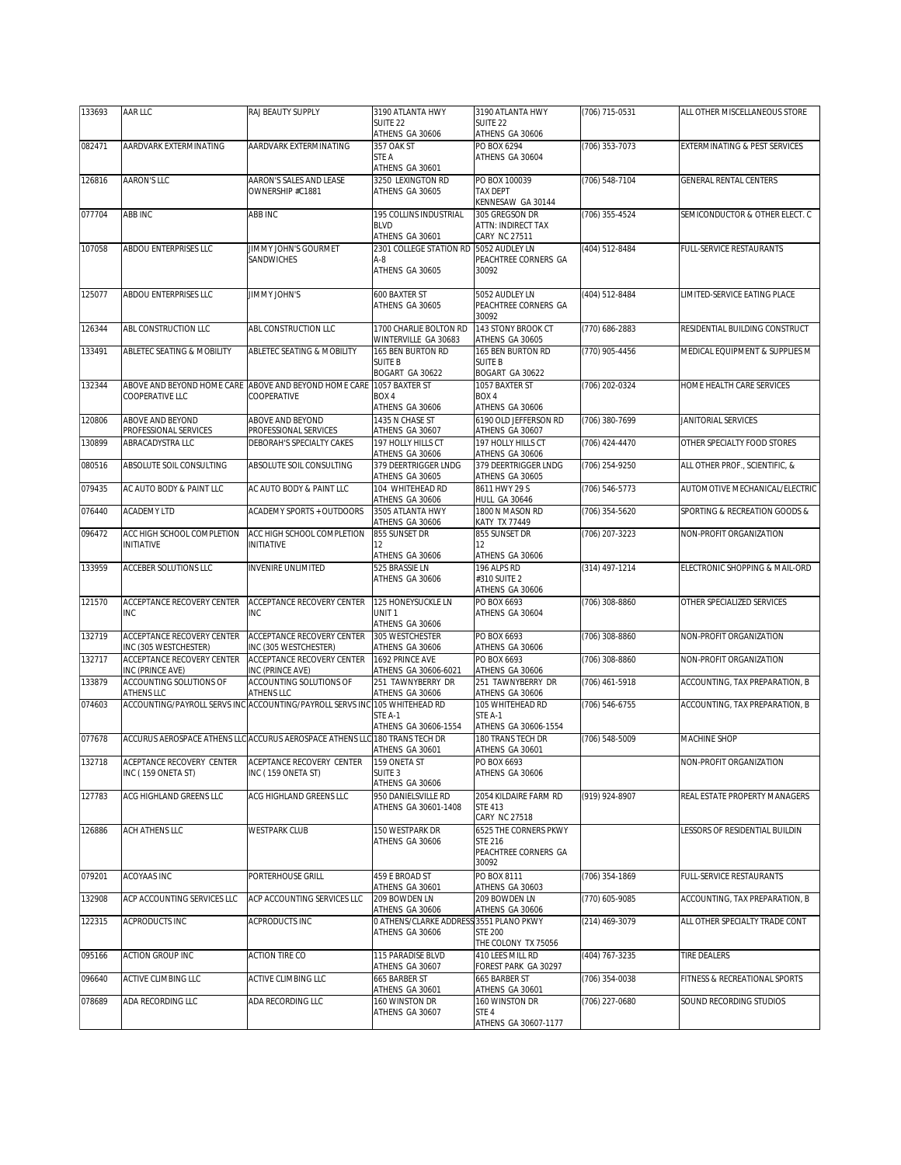| 133693 | AAR LLC                                                                   | RAJ BEAUTY SUPPLY                                                                        | 3190 ATLANTA HWY                                                         | 3190 ATLANTA HWY                                                         | (706) 715-0531   | ALL OTHER MISCELLANEOUS STORE   |
|--------|---------------------------------------------------------------------------|------------------------------------------------------------------------------------------|--------------------------------------------------------------------------|--------------------------------------------------------------------------|------------------|---------------------------------|
|        |                                                                           |                                                                                          | SUITE <sub>22</sub><br>ATHENS GA 30606                                   | SUITE <sub>22</sub><br>ATHENS GA 30606                                   |                  |                                 |
| 082471 | AARDVARK EXTERMINATING                                                    | AARDVARK EXTERMINATING                                                                   | 357 OAK ST<br>STE A<br>ATHENS GA 30601                                   | PO BOX 6294<br>ATHENS GA 30604                                           | (706) 353-7073   | EXTERMINATING & PEST SERVICES   |
| 126816 | AARON'S LLC                                                               | AARON'S SALES AND LEASE<br>OWNERSHIP #C1881                                              | 3250 LEXINGTON RD<br>ATHENS GA 30605                                     | PO BOX 100039<br>TAX DEPT<br>KENNESAW GA 30144                           | (706) 548-7104   | <b>GENERAL RENTAL CENTERS</b>   |
| 077704 | ABB INC                                                                   | ABB INC                                                                                  | 195 COLLINS INDUSTRIAL<br><b>BLVD</b><br>ATHENS GA 30601                 | 305 GREGSON DR<br>ATTN: INDIRECT TAX<br>CARY NC 27511                    | (706) 355-4524   | SEMICONDUCTOR & OTHER ELECT. C  |
| 107058 | ABDOU ENTERPRISES LLC                                                     | JIMMY JOHN'S GOURMET<br>SANDWICHES                                                       | 2301 COLLEGE STATION RD 5052 AUDLEY LN<br>$A-8$<br>ATHENS GA 30605       | PEACHTREE CORNERS GA<br>30092                                            | (404) 512-8484   | <b>FULL-SERVICE RESTAURANTS</b> |
| 125077 | ABDOU ENTERPRISES LLC                                                     | JIMMY JOHN'S                                                                             | 600 BAXTER ST<br>ATHENS GA 30605                                         | 5052 AUDLEY LN<br>PEACHTREE CORNERS GA<br>30092                          | (404) 512-8484   | LIMITED-SERVICE EATING PLACE    |
| 126344 | ABL CONSTRUCTION LLC                                                      | ABL CONSTRUCTION LLC                                                                     | 1700 CHARLIE BOLTON RD<br>WINTERVILLE GA 30683                           | 143 STONY BROOK CT<br>ATHENS GA 30605                                    | (770) 686-2883   | RESIDENTIAL BUILDING CONSTRUCT  |
| 133491 | ABLETEC SEATING & MOBILITY                                                | ABLETEC SEATING & MOBILITY                                                               | 165 BEN BURTON RD<br><b>SUITE B</b><br>BOGART GA 30622                   | 165 BEN BURTON RD<br><b>SUITE B</b><br>BOGART GA 30622                   | (770) 905-4456   | MEDICAL EQUIPMENT & SUPPLIES M  |
| 132344 | ABOVE AND BEYOND HOME CARE<br>COOPERATIVE LLC                             | ABOVE AND BEYOND HOME CARE<br>COOPERATIVE                                                | 1057 BAXTER ST<br>BOX 4<br>ATHENS GA 30606                               | 1057 BAXTER ST<br>BOX 4<br>ATHENS GA 30606                               | (706) 202-0324   | HOME HEALTH CARE SERVICES       |
| 120806 | <b>ABOVE AND BEYOND</b><br>PROFESSIONAL SERVICES                          | ABOVE AND BEYOND<br>PROFESSIONAL SERVICES                                                | 1435 N CHASE ST<br>ATHENS GA 30607                                       | 6190 OLD JEFFERSON RD<br>ATHENS GA 30607                                 | (706) 380-7699   | JANITORIAL SERVICES             |
| 130899 | ABRACADYSTRA LLC                                                          | DEBORAH'S SPECIALTY CAKES                                                                | 197 HOLLY HILLS CT<br>ATHENS GA 30606                                    | 197 HOLLY HILLS CT<br>ATHENS GA 30606                                    | (706) 424-4470   | OTHER SPECIALTY FOOD STORES     |
| 080516 | ABSOLUTE SOIL CONSULTING                                                  | ABSOLUTE SOIL CONSULTING                                                                 | 379 DEERTRIGGER LNDG                                                     | 379 DEERTRIGGER LNDG                                                     | (706) 254-9250   | ALL OTHER PROF., SCIENTIFIC, &  |
| 079435 | AC AUTO BODY & PAINT LLC                                                  | AC AUTO BODY & PAINT LLC                                                                 | ATHENS GA 30605<br>104 WHITEHEAD RD                                      | ATHENS GA 30605<br>8611 HWY 29 S                                         | (706) 546-5773   | AUTOMOTIVE MECHANICAL/ELECTRIC  |
| 076440 | ACADEMY LTD                                                               | ACADEMY SPORTS + OUTDOORS                                                                | ATHENS GA 30606<br>3505 ATLANTA HWY                                      | <b>HULL GA 30646</b><br>1800 N MASON RD                                  | (706) 354-5620   | SPORTING & RECREATION GOODS &   |
| 096472 | ACC HIGH SCHOOL COMPLETION                                                | ACC HIGH SCHOOL COMPLETION                                                               | ATHENS GA 30606<br>855 SUNSET DR                                         | <b>KATY TX 77449</b><br>855 SUNSET DR                                    | (706) 207-3223   | NON-PROFIT ORGANIZATION         |
|        | <b>INITIATIVE</b>                                                         | <b>INITIATIVE</b>                                                                        | 12<br>ATHENS GA 30606                                                    | 12<br>ATHENS GA 30606                                                    |                  |                                 |
| 133959 | ACCEBER SOLUTIONS LLC                                                     | INVENIRE UNLIMITED                                                                       | 525 BRASSIE LN<br>ATHENS GA 30606                                        | 196 ALPS RD<br>#310 SUITE 2<br>ATHENS GA 30606                           | (314) 497-1214   | ELECTRONIC SHOPPING & MAIL-ORD  |
| 121570 | ACCEPTANCE RECOVERY CENTER<br><b>INC</b>                                  | ACCEPTANCE RECOVERY CENTER<br><b>INC</b>                                                 | 125 HONEYSUCKLE LN<br>UNIT <sub>1</sub><br>ATHENS GA 30606               | PO BOX 6693<br>ATHENS GA 30604                                           | (706) 308-8860   | OTHER SPECIALIZED SERVICES      |
| 132719 | ACCEPTANCE RECOVERY CENTER<br>INC (305 WESTCHESTER)                       | ACCEPTANCE RECOVERY CENTER<br>INC (305 WESTCHESTER)                                      | 305 WESTCHESTER<br>ATHENS GA 30606                                       | PO BOX 6693<br>ATHENS GA 30606                                           | (706) 308-8860   | NON-PROFIT ORGANIZATION         |
| 132717 | ACCEPTANCE RECOVERY CENTER<br>INC (PRINCE AVE)                            | ACCEPTANCE RECOVERY CENTER<br>INC (PRINCE AVE)                                           | 1692 PRINCE AVE<br>ATHENS GA 30606-6021                                  | PO BOX 6693<br>ATHENS GA 30606                                           | (706) 308-8860   | NON-PROFIT ORGANIZATION         |
| 133879 | ACCOUNTING SOLUTIONS OF                                                   | ACCOUNTING SOLUTIONS OF                                                                  | 251 TAWNYBERRY DR                                                        | 251 TAWNYBERRY DR                                                        | (706) 461-5918   | ACCOUNTING, TAX PREPARATION, B  |
| 074603 | ATHENS LLC                                                                | ATHENS LLC<br>ACCOUNTING/PAYROLL SERVS INC ACCOUNTING/PAYROLL SERVS INC 105 WHITEHEAD RD | ATHENS GA 30606<br>STE A-1<br>ATHENS GA 30606-1554                       | ATHENS GA 30606<br>105 WHITEHEAD RD<br>STE A-1<br>ATHENS GA 30606-1554   | (706) 546-6755   | ACCOUNTING, TAX PREPARATION, B  |
| 077678 |                                                                           | ACCURUS AEROSPACE ATHENS LLC ACCURUS AEROSPACE ATHENS LLC 180 TRANS TECH DR              |                                                                          | <b>180 TRANS TECH DR</b>                                                 | (706) 548-5009   | MACHINE SHOP                    |
| 132718 | ACEPTANCE RECOVERY CENTER ACEPTANCE RECOVERY CENTER<br>INC (159 ONETA ST) | INC (159 ONETA ST)                                                                       | ATHENS GA 30601<br>159 ONETA ST<br>SUITE <sub>3</sub><br>ATHENS GA 30606 | ATHENS GA 30601<br>PO BOX 6693<br>ATHENS GA 30606                        |                  | NON-PROFIT ORGANIZATION         |
| 127783 | ACG HIGHLAND GREENS LLC                                                   | ACG HIGHLAND GREENS LLC                                                                  | 950 DANIELSVILLE RD<br>ATHENS GA 30601-1408                              | 2054 KILDAIRE FARM RD<br><b>STE 413</b><br>CARY NC 27518                 | (919) 924-8907   | REAL ESTATE PROPERTY MANAGERS   |
| 126886 | ACH ATHENS LLC                                                            | <b>WESTPARK CLUB</b>                                                                     | 150 WESTPARK DR<br>ATHENS GA 30606                                       | 6525 THE CORNERS PKWY<br><b>STE 216</b><br>PEACHTREE CORNERS GA<br>30092 |                  | ESSORS OF RESIDENTIAL BUILDIN   |
| 079201 | ACOYAAS INC                                                               | PORTERHOUSE GRILL                                                                        | 459 E BROAD ST<br>ATHENS GA 30601                                        | PO BOX 8111<br>ATHENS GA 30603                                           | $(706)$ 354-1869 | FULL-SERVICE RESTAURANTS        |
| 132908 | ACP ACCOUNTING SERVICES LLC                                               | ACP ACCOUNTING SERVICES LLC                                                              | 209 BOWDEN LN<br>ATHENS GA 30606                                         | 209 BOWDEN LN<br>ATHENS GA 30606                                         | (770) 605-9085   | ACCOUNTING, TAX PREPARATION, B  |
| 122315 | ACPRODUCTS INC                                                            | ACPRODUCTS INC                                                                           | O ATHENS/CLARKE ADDRES:<br>ATHENS GA 30606                               | S3551 PLANO PKWY<br><b>STE 200</b><br>THE COLONY TX 75056                | (214) 469-3079   | ALL OTHER SPECIALTY TRADE CONT  |
| 095166 | ACTION GROUP INC                                                          | ACTION TIRE CO                                                                           | 115 PARADISE BLVD<br>ATHENS GA 30607                                     | 410 LEES MILL RD<br>FOREST PARK GA 30297                                 | (404) 767-3235   | <b>TIRE DEALERS</b>             |
| 096640 | ACTIVE CLIMBING LLC                                                       | ACTIVE CLIMBING LLC                                                                      | 665 BARBER ST                                                            | 665 BARBER ST                                                            | (706) 354-0038   | FITNESS & RECREATIONAL SPORTS   |
| 078689 | ADA RECORDING LLC                                                         | ADA RECORDING LLC                                                                        | ATHENS GA 30601<br>160 WINSTON DR<br>ATHENS GA 30607                     | ATHENS GA 30601<br>160 WINSTON DR<br>STE 4                               | (706) 227-0680   | SOUND RECORDING STUDIOS         |
|        |                                                                           |                                                                                          |                                                                          | ATHENS GA 30607-1177                                                     |                  |                                 |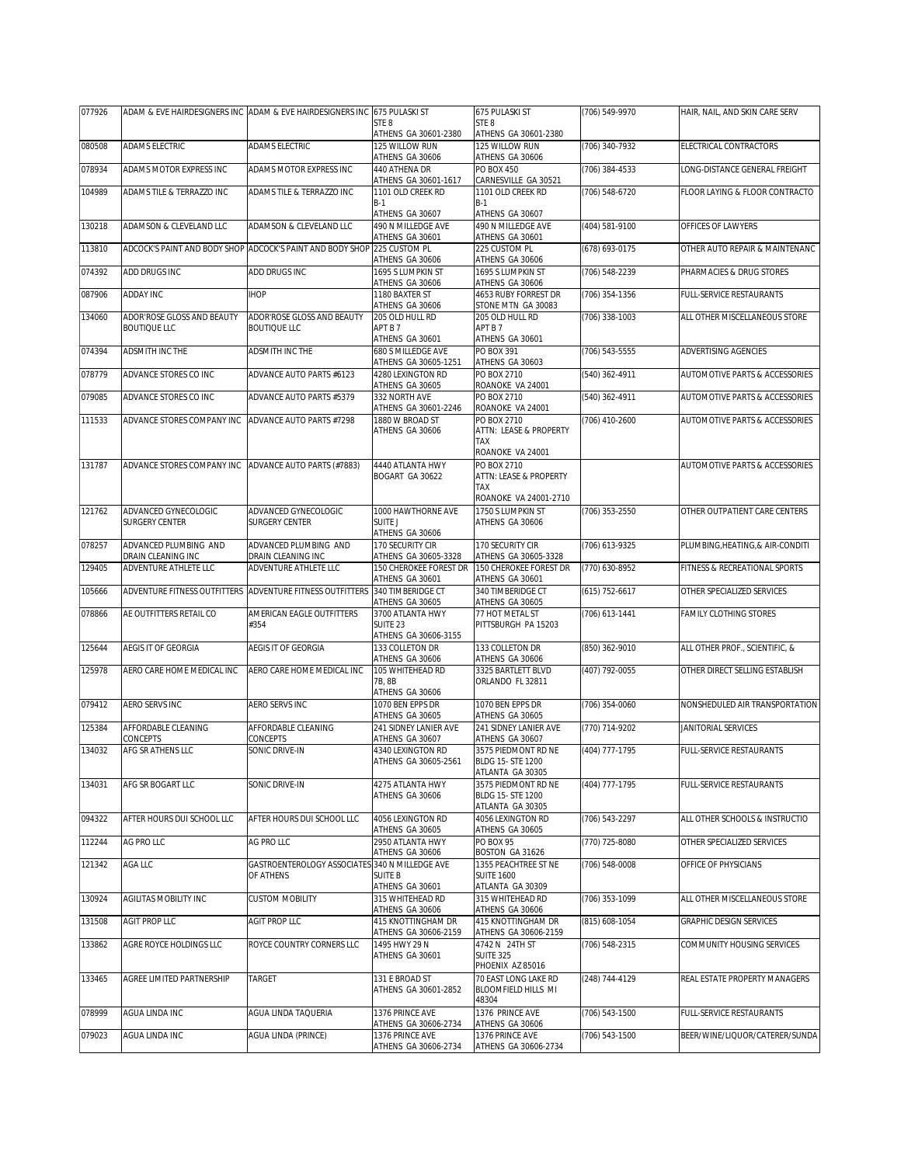| 077926 |                                               | ADAM & EVE HAIRDESIGNERS INC ADAM & EVE HAIRDESIGNERS INC 675 PULASKI ST |                                            | 675 PULASKI ST                             | (706) 549-9970     | HAIR. NAIL. AND SKIN CARE SERV            |
|--------|-----------------------------------------------|--------------------------------------------------------------------------|--------------------------------------------|--------------------------------------------|--------------------|-------------------------------------------|
|        |                                               |                                                                          | STE 8<br>ATHENS GA 30601-2380              | STE <sub>8</sub><br>ATHENS GA 30601-2380   |                    |                                           |
| 080508 | ADAMS ELECTRIC                                | ADAMS ELECTRIC                                                           | 125 WILLOW RUN                             | 125 WILLOW RUN                             | (706) 340-7932     | ELECTRICAL CONTRACTORS                    |
| 078934 | ADAMS MOTOR EXPRESS INC                       | ADAMS MOTOR EXPRESS INC                                                  | ATHENS GA 30606<br>440 ATHENA DR           | ATHENS GA 30606<br><b>PO BOX 450</b>       | (706) 384-4533     | LONG-DISTANCE GENERAL FREIGHT             |
|        |                                               |                                                                          | ATHENS GA 30601-1617                       | CARNESVILLE GA 30521                       |                    |                                           |
| 104989 | ADAMS TILE & TERRAZZO INC                     | ADAMS TILE & TERRAZZO INC                                                | 1101 OLD CREEK RD<br>$B-1$                 | 1101 OLD CREEK RD<br>$B-1$                 | (706) 548-6720     | FLOOR LAYING & FLOOR CONTRACTO            |
|        |                                               |                                                                          | ATHENS GA 30607                            | ATHENS GA 30607                            |                    |                                           |
| 130218 | ADAMSON & CLEVELAND LLC                       | ADAMSON & CLEVELAND LLC                                                  | 490 N MILLEDGE AVE<br>ATHENS GA 30601      | 490 N MILLEDGE AVE<br>ATHENS GA 30601      | (404) 581-9100     | OFFICES OF LAWYERS                        |
| 113810 |                                               | ADCOCK'S PAINT AND BODY SHOP ADCOCK'S PAINT AND BODY SHOP 225 CUSTOM PL  |                                            | 225 CUSTOM PL                              | (678) 693-0175     | OTHER AUTO REPAIR & MAINTENANC            |
| 074392 | ADD DRUGS INC                                 | ADD DRUGS INC                                                            | ATHENS GA 30606<br>1695 S LUMPKIN ST       | ATHENS GA 30606<br>1695 S LUMPKIN ST       | (706) 548-2239     | PHARMACIES & DRUG STORES                  |
|        |                                               |                                                                          | ATHENS GA 30606                            | ATHENS GA 30606                            |                    |                                           |
| 087906 | ADDAY INC                                     | <b>IHOP</b>                                                              | 1180 BAXTER ST<br>ATHENS GA 30606          | 4653 RUBY FORREST DR<br>STONE MTN GA 30083 | (706) 354-1356     | FULL-SERVICE RESTAURANTS                  |
| 134060 | ADOR'ROSE GLOSS AND BEAUTY                    | <b>ADOR'ROSE GLOSS AND BEAUTY</b>                                        | 205 OLD HULL RD                            | 205 OLD HULL RD                            | (706) 338-1003     | ALL OTHER MISCELLANEOUS STORE             |
|        | <b>BOUTIQUE LLC</b>                           | <b>BOUTIQUE LLC</b>                                                      | APT B 7<br>ATHENS GA 30601                 | APT B 7<br>ATHENS GA 30601                 |                    |                                           |
| 074394 | ADSMITH INC THE                               | ADSMITH INC THE                                                          | 680 S MILLEDGE AVE                         | PO BOX 391                                 | (706) 543-5555     | ADVERTISING AGENCIES                      |
| 078779 | ADVANCE STORES CO INC                         | ADVANCE AUTO PARTS #6123                                                 | ATHENS GA 30605-1251<br>4280 LEXINGTON RD  | ATHENS GA 30603<br>PO BOX 2710             | (540) 362-4911     | AUTOMOTIVE PARTS & ACCESSORIES            |
|        |                                               |                                                                          | ATHENS GA 30605                            | ROANOKE VA 24001                           |                    |                                           |
| 079085 | ADVANCE STORES CO INC                         | ADVANCE AUTO PARTS #5379                                                 | 332 NORTH AVE<br>ATHENS GA 30601-2246      | PO BOX 2710<br>ROANOKE VA 24001            | (540) 362-4911     | <b>AUTOMOTIVE PARTS &amp; ACCESSORIES</b> |
| 111533 | ADVANCE STORES COMPANY INC                    | ADVANCE AUTO PARTS #7298                                                 | 1880 W BROAD ST                            | PO BOX 2710                                | (706) 410-2600     | AUTOMOTIVE PARTS & ACCESSORIES            |
|        |                                               |                                                                          | ATHENS GA 30606                            | ATTN: LEASE & PROPERTY<br>TAX              |                    |                                           |
|        |                                               |                                                                          |                                            | ROANOKE VA 24001                           |                    |                                           |
| 131787 | ADVANCE STORES COMPANY INC                    | ADVANCE AUTO PARTS (#7883)                                               | 4440 ATLANTA HWY                           | PO BOX 2710                                |                    | <b>AUTOMOTIVE PARTS &amp; ACCESSORIES</b> |
|        |                                               |                                                                          | BOGART GA 30622                            | ATTN: LEASE & PROPERTY<br>TAX              |                    |                                           |
|        |                                               |                                                                          |                                            | ROANOKE VA 24001-2710                      |                    |                                           |
| 121762 | ADVANCED GYNECOLOGIC<br><b>SURGERY CENTER</b> | ADVANCED GYNECOLOGIC<br>SURGERY CENTER                                   | 1000 HAWTHORNE AVE<br>SUITE J              | 1750 S LUMPKIN ST<br>ATHENS GA 30606       | (706) 353-2550     | OTHER OUTPATIENT CARE CENTERS             |
|        |                                               |                                                                          | ATHENS GA 30606                            |                                            |                    |                                           |
| 078257 | ADVANCED PLUMBING AND<br>DRAIN CLEANING INC   | ADVANCED PLUMBING AND<br>DRAIN CLEANING INC                              | 170 SECURITY CIR<br>ATHENS GA 30605-3328   | 170 SECURITY CIR<br>ATHENS GA 30605-3328   | (706) 613-9325     | PLUMBING, HEATING, & AIR-CONDITI          |
| 129405 | ADVENTURE ATHLETE LLC                         | ADVENTURE ATHLETE LLC                                                    | 150 CHEROKEE FOREST DR                     | 150 CHEROKEE FOREST DR                     | (770) 630-8952     | FITNESS & RECREATIONAL SPORTS             |
| 105666 |                                               | ADVENTURE FITNESS OUTFITTERS ADVENTURE FITNESS OUTFITTERS                | ATHENS GA 30601<br>340 TIMBERIDGE CT       | ATHENS GA 30601<br>340 TIMBERIDGE CT       | $(615) 752 - 6617$ | OTHER SPECIALIZED SERVICES                |
|        |                                               |                                                                          | ATHENS GA 30605                            | ATHENS GA 30605                            |                    |                                           |
| 078866 | AE OUTFITTERS RETAIL CO                       | AMERICAN EAGLE OUTFITTERS<br>#354                                        | 3700 ATLANTA HWY<br>SUITE <sub>23</sub>    | 77 HOT METAL ST<br>PITTSBURGH PA 15203     | (706) 613-1441     | FAMILY CLOTHING STORES                    |
|        |                                               |                                                                          | ATHENS GA 30606-3155                       |                                            |                    |                                           |
| 125644 | AEGIS IT OF GEORGIA                           | AEGIS IT OF GEORGIA                                                      | 133 COLLETON DR<br>ATHENS GA 30606         | 133 COLLETON DR<br>ATHENS GA 30606         | (850) 362-9010     | ALL OTHER PROF., SCIENTIFIC, &            |
| 125978 | AERO CARE HOME MEDICAL INC                    | AERO CARE HOME MEDICAL INC                                               | 105 WHITEHEAD RD                           | 3325 BARTLETT BLVD                         | (407) 792-0055     | OTHER DIRECT SELLING ESTABLISH            |
|        |                                               |                                                                          | 7B.8B<br>ATHENS GA 30606                   | ORLANDO FL 32811                           |                    |                                           |
| 079412 | AERO SERVS INC                                | AERO SERVS INC                                                           | 1070 BEN EPPS DR                           | 1070 BEN EPPS DR                           | (706) 354-0060     | NONSHEDULED AIR TRANSPORTATION            |
| 125384 | AFFORDABLE CLEANING                           | AFFORDABLE CLEANING                                                      | ATHENS GA 30605<br>241 SIDNEY LANIER AVE   | ATHENS GA 30605<br>241 SIDNEY LANIER AVE   | (770) 714-9202     | JANITORIAL SERVICES                       |
|        | CONCEPTS                                      | CONCEPTS                                                                 | ATHENS GA 30607                            | ATHENS GA 30607                            |                    |                                           |
| 134032 | AFG SR ATHENS LLC                             | SONIC DRIVE-IN                                                           | 4340 LEXINGTON RD<br>ATHENS GA 30605-2561  | 3575 PIEDMONT RD NE<br>BLDG 15- STE 1200   | (404) 777-1795     | FULL-SERVICE RESTAURANTS                  |
|        |                                               |                                                                          |                                            | ATLANTA GA 30305                           |                    |                                           |
| 134031 | AFG SR BOGART LLC                             | SONIC DRIVE-IN                                                           | 4275 ATLANTA HWY<br>ATHENS GA 30606        | 3575 PIEDMONT RD NE<br>BLDG 15- STE 1200   | (404) 777-1795     | <b>ULL-SERVICE RESTAURANTS</b>            |
|        |                                               |                                                                          |                                            | ATLANTA GA 30305                           |                    |                                           |
| 094322 | AFTER HOURS DUI SCHOOL LLC                    | AFTER HOURS DUI SCHOOL LLC                                               | 4056 LEXINGTON RD<br>ATHENS GA 30605       | 4056 LEXINGTON RD<br>ATHENS GA 30605       | (706) 543-2297     | ALL OTHER SCHOOLS & INSTRUCTIO            |
| 112244 | AG PRO LLC                                    | AG PRO LLC                                                               | 2950 ATLANTA HWY                           | PO BOX 95                                  | (770) 725-8080     | OTHER SPECIALIZED SERVICES                |
| 121342 | AGA LLC                                       | GASTROENTEROLOGY ASSOCIATES                                              | ATHENS GA 30606<br>340 N MILLEDGE AVE      | BOSTON GA 31626<br>1355 PEACHTREE ST NE    | (706) 548-0008     | OFFICE OF PHYSICIANS                      |
|        |                                               | OF ATHENS                                                                | <b>SUITE B</b>                             | <b>SUITE 1600</b>                          |                    |                                           |
| 130924 | AGILITAS MOBILITY INC                         | <b>CUSTOM MOBILITY</b>                                                   | ATHENS GA 30601<br>315 WHITEHEAD RD        | ATLANTA GA 30309<br>315 WHITEHEAD RD       | (706) 353-1099     | ALL OTHER MISCELLANEOUS STORE             |
|        |                                               |                                                                          | ATHENS GA 30606                            | ATHENS GA 30606                            |                    |                                           |
| 131508 | AGIT PROP LLC                                 | AGIT PROP LLC                                                            | 415 KNOTTINGHAM DR<br>ATHENS GA 30606-2159 | 415 KNOTTINGHAM DR<br>ATHENS GA 30606-2159 | (815) 608-1054     | GRAPHIC DESIGN SERVICES                   |
| 133862 | AGRE ROYCE HOLDINGS LLC                       | ROYCE COUNTRY CORNERS LLC                                                | 1495 HWY 29 N                              | 4742 N 24TH ST                             | (706) 548-2315     | COMMUNITY HOUSING SERVICES                |
|        |                                               |                                                                          | ATHENS GA 30601                            | <b>SUITE 325</b><br>PHOENIX AZ 85016       |                    |                                           |
| 133465 | AGREE LIMITED PARTNERSHIP                     | <b>TARGET</b>                                                            | 131 E BROAD ST                             | 70 EAST LONG LAKE RD                       | (248) 744-4129     | REAL ESTATE PROPERTY MANAGERS             |
|        |                                               |                                                                          | ATHENS GA 30601-2852                       | BLOOMFIELD HILLS MI<br>48304               |                    |                                           |
| 078999 | AGUA LINDA INC                                | AGUA LINDA TAQUERIA                                                      | 1376 PRINCE AVE                            | 1376 PRINCE AVE                            | (706) 543-1500     | FULL-SERVICE RESTAURANTS                  |
| 079023 | AGUA LINDA INC                                | AGUA LINDA (PRINCE)                                                      | ATHENS GA 30606-2734<br>1376 PRINCE AVE    | ATHENS GA 30606<br>1376 PRINCE AVE         | (706) 543-1500     | BEER/WINE/LIQUOR/CATERER/SUNDA            |
|        |                                               |                                                                          | ATHENS GA 30606-2734                       | ATHENS GA 30606-2734                       |                    |                                           |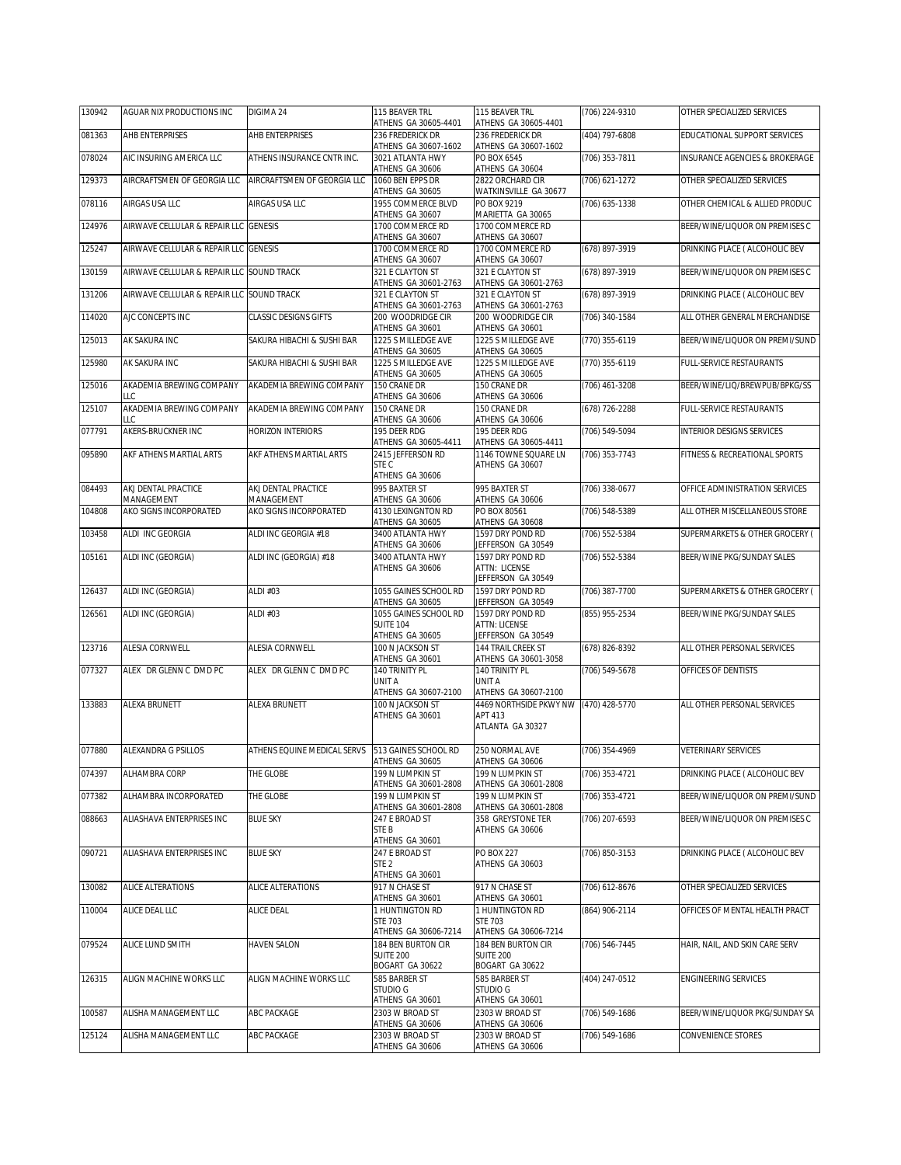| 130942 | AGUAR NIX PRODUCTIONS INC                 | DIGIMA 24                         | 115 BEAVER TRL<br>ATHENS GA 30605-4401                       | 115 BEAVER TRL<br>ATHENS GA 30605-4401                                                       | (706) 224-9310     | OTHER SPECIALIZED SERVICES       |
|--------|-------------------------------------------|-----------------------------------|--------------------------------------------------------------|----------------------------------------------------------------------------------------------|--------------------|----------------------------------|
| 081363 | AHB ENTERPRISES                           | AHB ENTERPRISES                   | 236 FREDERICK DR<br>ATHENS GA 30607-1602                     | 236 FREDERICK DR<br>ATHENS GA 30607-1602                                                     | (404) 797-6808     | EDUCATIONAL SUPPORT SERVICES     |
| 078024 | AIC INSURING AMERICA LLC                  | ATHENS INSURANCE CNTR INC.        | 3021 ATLANTA HWY                                             | PO BOX 6545                                                                                  | (706) 353-7811     | INSURANCE AGENCIES & BROKERAGE   |
| 129373 | AIRCRAFTSMEN OF GEORGIA LLC               | AIRCRAFTSMEN OF GEORGIA LLC       | ATHENS GA 30606<br>1060 BEN EPPS DR<br>ATHENS GA 30605       | ATHENS GA 30604<br>2822 ORCHARD CIR<br>WATKINSVILLE GA 30677                                 | $(706)$ 621-1272   | OTHER SPECIALIZED SERVICES       |
| 078116 | AIRGAS USA LLC                            | AIRGAS USA LLC                    | 1955 COMMERCE BLVD<br>ATHENS GA 30607                        | PO BOX 9219<br>MARIETTA GA 30065                                                             | (706) 635-1338     | OTHER CHEMICAL & ALLIED PRODUC   |
| 124976 | AIRWAVE CELLULAR & REPAIR LLC GENESIS     |                                   | 1700 COMMERCE RD<br>ATHENS GA 30607                          | 1700 COMMERCE RD<br>ATHENS GA 30607                                                          |                    | BEER/WINE/LIQUOR ON PREMISES C   |
| 125247 | AIRWAVE CELLULAR & REPAIR LLC GENESIS     |                                   | 1700 COMMERCE RD<br>ATHENS GA 30607                          | 1700 COMMERCE RD<br>ATHENS GA 30607                                                          | (678) 897-3919     | DRINKING PLACE ( ALCOHOLIC BEV   |
| 130159 | AIRWAVE CELLULAR & REPAIR LLC SOUND TRACK |                                   | 321 E CLAYTON ST<br>ATHENS GA 30601-2763                     | 321 E CLAYTON ST<br>ATHENS GA 30601-2763                                                     | (678) 897-3919     | BEER/WINE/LIQUOR ON PREMISES C   |
| 131206 | AIRWAVE CELLULAR & REPAIR LLC SOUND TRACK |                                   | 321 E CLAYTON ST<br>ATHENS GA 30601-2763                     | 321 E CLAYTON ST<br>ATHENS GA 30601-2763                                                     | (678) 897-3919     | DRINKING PLACE ( ALCOHOLIC BEV   |
| 114020 | AJC CONCEPTS INC                          | CLASSIC DESIGNS GIFTS             | 200 WOODRIDGE CIR<br>ATHENS GA 30601                         | 200 WOODRIDGE CIR<br>ATHENS GA 30601                                                         | (706) 340-1584     | ALL OTHER GENERAL MERCHANDISE    |
| 125013 | AK SAKURA INC                             | SAKURA HIBACHI & SUSHI BAR        | 1225 S MILLEDGE AVE<br>ATHENS GA 30605                       | 1225 S MILLEDGE AVE<br>ATHENS GA 30605                                                       | (770) 355-6119     | BEER/WINE/LIQUOR ON PREMI/SUND   |
| 125980 | AK SAKURA INC                             | SAKURA HIBACHI & SUSHI BAR        | 1225 S MILLEDGE AVE<br>ATHENS GA 30605                       | 1225 S MILLEDGE AVE<br>ATHENS GA 30605                                                       | (770) 355-6119     | FULL-SERVICE RESTAURANTS         |
| 125016 | AKADEMIA BREWING COMPANY<br>LLC           | AKADEMIA BREWING COMPANY          | 150 CRANE DR<br>ATHENS GA 30606                              | 150 CRANE DR<br>ATHENS GA 30606                                                              | (706) 461-3208     | BEER/WINE/LIQ/BREWPUB/BPKG/SS    |
| 125107 | AKADEMIA BREWING COMPANY<br>LC            | AKADEMIA BREWING COMPANY          | 150 CRANE DR<br>ATHENS GA 30606                              | 150 CRANE DR<br>ATHENS GA 30606                                                              | (678) 726-2288     | FULL-SERVICE RESTAURANTS         |
| 077791 | AKERS-BRUCKNER INC                        | <b>HORIZON INTERIORS</b>          | 195 DEER RDG<br>ATHENS GA 30605-4411                         | 195 DEER RDG<br>ATHENS GA 30605-4411                                                         | (706) 549-5094     | <b>INTERIOR DESIGNS SERVICES</b> |
| 095890 | AKF ATHENS MARTIAL ARTS                   | AKF ATHENS MARTIAL ARTS           | 2415 JEFFERSON RD<br>STE C<br>ATHENS GA 30606                | 1146 TOWNE SQUARE LN<br>ATHENS GA 30607                                                      | (706) 353-7743     | FITNESS & RECREATIONAL SPORTS    |
| 084493 | AKJ DENTAL PRACTICE<br>MANAGEMENT         | AKJ DENTAL PRACTICE<br>MANAGEMENT | 995 BAXTER ST<br>ATHENS GA 30606                             | 995 BAXTER ST<br>ATHENS GA 30606                                                             | (706) 338-0677     | OFFICE ADMINISTRATION SERVICES   |
| 104808 | AKO SIGNS INCORPORATED                    | AKO SIGNS INCORPORATED            | 4130 LEXINGNTON RD<br>ATHENS GA 30605                        | PO BOX 80561<br>ATHENS GA 30608                                                              | $(706) 548 - 5389$ | ALL OTHER MISCELLANEOUS STORE    |
| 103458 | ALDI INC GEORGIA                          | ALDI INC GEORGIA #18              | 3400 ATLANTA HWY<br>ATHENS GA 30606                          | 1597 DRY POND RD<br>JEFFERSON GA 30549                                                       | (706) 552-5384     | SUPERMARKETS & OTHER GROCERY (   |
| 105161 | ALDI INC (GEORGIA)                        | ALDI INC (GEORGIA) #18            | 3400 ATLANTA HWY<br>ATHENS GA 30606                          | 1597 DRY POND RD<br>ATTN: LICENSE<br>JEFFERSON GA 30549                                      | (706) 552-5384     | BEER/WINE PKG/SUNDAY SALES       |
| 126437 | ALDI INC (GEORGIA)                        | ALDI#03                           | 1055 GAINES SCHOOL RD<br>ATHENS GA 30605                     | 1597 DRY POND RD<br>JEFFERSON GA 30549                                                       | (706) 387-7700     | SUPERMARKETS & OTHER GROCERY (   |
| 126561 | ALDI INC (GEORGIA)                        | <b>ALDI #03</b>                   | 1055 GAINES SCHOOL RD<br><b>SUITE 104</b><br>ATHENS GA 30605 | 1597 DRY POND RD<br><b>ATTN: LICENSE</b><br>JEFFERSON GA 30549                               | (855) 955-2534     | BEER/WINE PKG/SUNDAY SALES       |
| 123716 | ALESIA CORNWELL                           | ALESIA CORNWELL                   | 100 N JACKSON ST<br>ATHENS GA 30601                          | 144 TRAIL CREEK ST<br>ATHENS GA 30601-3058                                                   | (678) 826-8392     | ALL OTHER PERSONAL SERVICES      |
| 077327 | ALEX DR GLENN C DMD PC                    | ALEX DR GLENN C DMD PC            | 140 TRINITY PL<br>UNIT A                                     | 140 TRINITY PL<br>UNIT A                                                                     | (706) 549-5678     | OFFICES OF DENTISTS              |
| 133883 | ALEXA BRUNETT                             | ALEXA BRUNETT                     | ATHENS GA 30607-2100<br>100 N JACKSON ST<br>ATHENS GA 30601  | ATHENS GA 30607-2100<br>4469 NORTHSIDE PKWY NW (470) 428-5770<br>APT 413<br>ATLANTA GA 30327 |                    | ALL OTHER PERSONAL SERVICES      |
| 077880 | ALEXANDRA G PSILLOS                       | ATHENS EQUINE MEDICAL SERVS       | 513 GAINES SCHOOL RD<br>ATHENS GA 30605                      | 250 NORMAL AVE<br>ATHENS GA 30606                                                            | (706) 354-4969     | <b>VETERINARY SERVICES</b>       |
| 074397 | ALHAMBRA CORP                             | THE GLOBE                         | 199 N LUMPKIN ST<br>ATHENS GA 30601-2808                     | 199 N LUMPKIN ST<br>ATHENS GA 30601-2808                                                     | (706) 353-4721     | DRINKING PLACE ( ALCOHOLIC BEV   |
| 077382 | ALHAMBRA INCORPORATED                     | THE GLOBE                         | 199 N LUMPKIN ST<br>ATHENS GA 30601-2808                     | 199 N LUMPKIN ST<br>ATHENS GA 30601-2808                                                     | (706) 353-4721     | BEER/WINE/LIQUOR ON PREMI/SUND   |
| 088663 | ALIASHAVA ENTERPRISES INC                 | <b>BLUE SKY</b>                   | 247 E BROAD ST<br>STE B<br>ATHENS GA 30601                   | 358 GREYSTONE TER<br>ATHENS GA 30606                                                         | (706) 207-6593     | BEER/WINE/LIQUOR ON PREMISES C   |
| 090721 | ALIASHAVA ENTERPRISES INC                 | <b>BLUE SKY</b>                   | 247 E BROAD ST<br>STE <sub>2</sub><br>ATHENS GA 30601        | <b>PO BOX 227</b><br>ATHENS GA 30603                                                         | (706) 850-3153     | DRINKING PLACE ( ALCOHOLIC BEV   |
| 130082 | ALICE ALTERATIONS                         | ALICE ALTERATIONS                 | 917 N CHASE ST<br>ATHENS GA 30601                            | 917 N CHASE ST<br>ATHENS GA 30601                                                            | (706) 612-8676     | OTHER SPECIALIZED SERVICES       |
| 110004 | ALICE DEAL LLC                            | ALICE DEAL                        | 1 HUNTINGTON RD<br>STE 703<br>ATHENS GA 30606-7214           | 1 HUNTINGTON RD<br><b>STE 703</b>                                                            | (864) 906-2114     | OFFICES OF MENTAL HEALTH PRACT   |
| 079524 | ALICE LUND SMITH                          | <b>HAVEN SALON</b>                | 184 BEN BURTON CIR<br>SUITE 200<br>BOGART GA 30622           | ATHENS GA 30606-7214<br>184 BEN BURTON CIR<br><b>SUITE 200</b><br>BOGART GA 30622            | (706) 546-7445     | HAIR, NAIL, AND SKIN CARE SERV   |
| 126315 | ALIGN MACHINE WORKS LLC                   | ALIGN MACHINE WORKS LLC           | 585 BARBER ST<br>STUDIO G<br>ATHENS GA 30601                 | 585 BARBER ST<br><b>STUDIO G</b><br>ATHENS GA 30601                                          | (404) 247-0512     | <b>ENGINEERING SERVICES</b>      |
| 100587 | ALISHA MANAGEMENT LLC                     | ABC PACKAGE                       | 2303 W BROAD ST<br>ATHENS GA 30606                           | 2303 W BROAD ST<br>ATHENS GA 30606                                                           | (706) 549-1686     | BEER/WINE/LIQUOR PKG/SUNDAY SA   |
| 125124 | ALISHA MANAGEMENT LLC                     | ABC PACKAGE                       | 2303 W BROAD ST<br>ATHENS GA 30606                           | 2303 W BROAD ST<br>ATHENS GA 30606                                                           | (706) 549-1686     | <b>CONVENIENCE STORES</b>        |
|        |                                           |                                   |                                                              |                                                                                              |                    |                                  |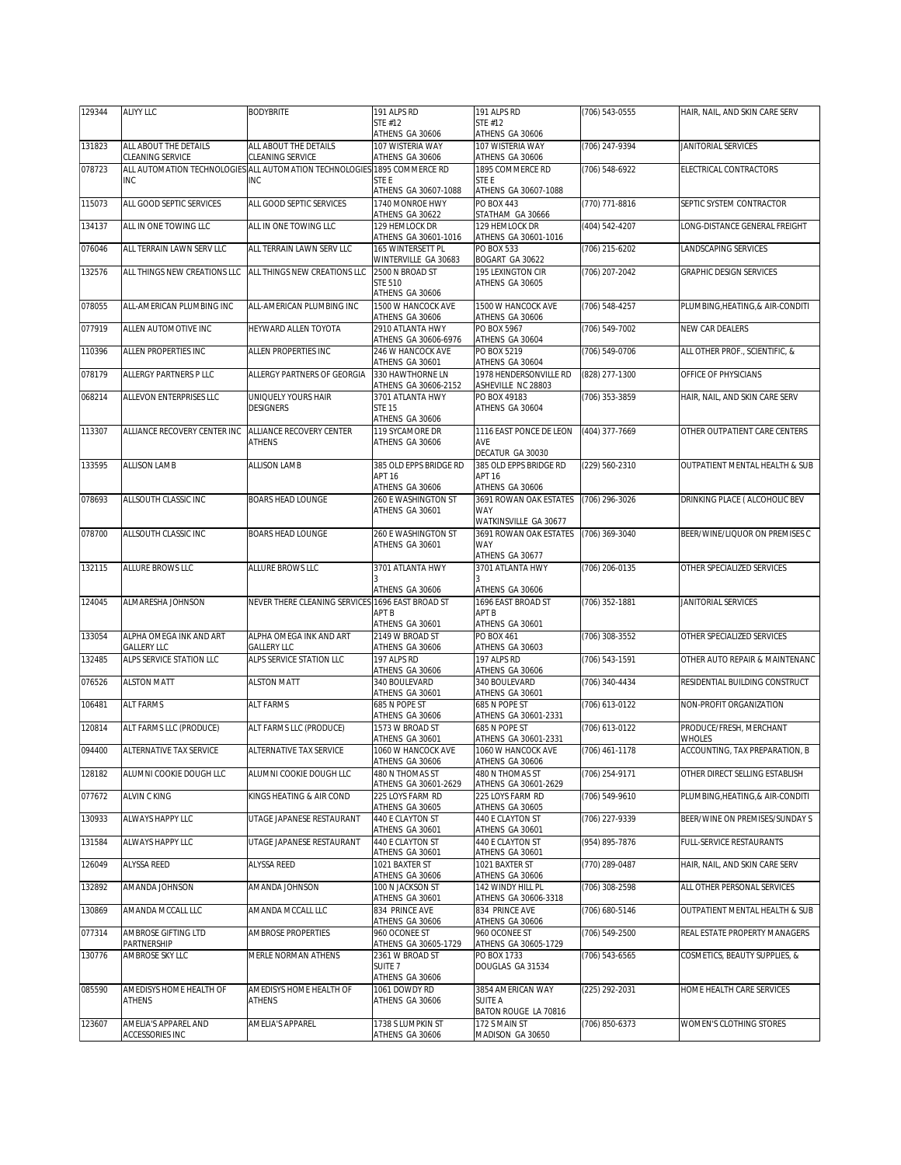| 129344 | <b>ALIYY LLC</b>                               | <b>BODYBRITE</b>                                                      | 191 ALPS RD                                         | 191 ALPS RD                                                    | (706) 543-0555   | HAIR, NAIL, AND SKIN CARE SERV           |
|--------|------------------------------------------------|-----------------------------------------------------------------------|-----------------------------------------------------|----------------------------------------------------------------|------------------|------------------------------------------|
|        |                                                |                                                                       | STE #12<br>ATHENS GA 30606                          | STE #12<br>ATHENS GA 30606                                     |                  |                                          |
| 131823 | ALL ABOUT THE DETAILS<br>CLEANING SERVICE      | ALL ABOUT THE DETAILS<br>CLEANING SERVICE                             | 107 WISTERIA WAY<br>ATHENS GA 30606                 | 107 WISTERIA WAY<br>ATHENS GA 30606                            | (706) 247-9394   | JANITORIAL SERVICES                      |
| 078723 | <b>INC</b>                                     | ALL AUTOMATION TECHNOLOGIES ALL AUTOMATION TECHNOLOGIES<br><b>INC</b> | 1895 COMMERCE RD<br>STE E                           | 1895 COMMERCE RD<br>STE E                                      | (706) 548-6922   | ELECTRICAL CONTRACTORS                   |
|        |                                                |                                                                       | ATHENS GA 30607-1088<br>1740 MONROE HWY             | ATHENS GA 30607-1088<br><b>PO BOX 443</b>                      |                  |                                          |
| 115073 | ALL GOOD SEPTIC SERVICES                       | ALL GOOD SEPTIC SERVICES                                              | ATHENS GA 30622                                     | STATHAM GA 30666                                               | (770) 771-8816   | SEPTIC SYSTEM CONTRACTOR                 |
| 134137 | ALL IN ONE TOWING LLC                          | ALL IN ONE TOWING LLC                                                 | 129 HEMLOCK DR<br>ATHENS GA 30601-1016              | 129 HEMLOCK DR<br>ATHENS GA 30601-1016                         | (404) 542-4207   | LONG-DISTANCE GENERAL FREIGHT            |
| 076046 | ALL TERRAIN LAWN SERV LLC                      | ALL TERRAIN LAWN SERV LLC                                             | 165 WINTERSETT PL<br>WINTERVILLE GA 30683           | PO BOX 533<br>BOGART GA 30622                                  | (706) 215-6202   | LANDSCAPING SERVICES                     |
| 132576 | ALL THINGS NEW CREATIONS LLC                   | ALL THINGS NEW CREATIONS LLC                                          | 2500 N BROAD ST<br>STE 510                          | 195 LEXINGTON CIR<br>ATHENS GA 30605                           | (706) 207-2042   | GRAPHIC DESIGN SERVICES                  |
| 078055 | ALL-AMERICAN PLUMBING INC                      | ALL-AMERICAN PLUMBING INC                                             | ATHENS GA 30606<br>1500 W HANCOCK AVE               | 1500 W HANCOCK AVE                                             | (706) 548-4257   | PLUMBING, HEATING, & AIR-CONDITI         |
| 077919 | ALLEN AUTOMOTIVE INC                           | HEYWARD ALLEN TOYOTA                                                  | ATHENS GA 30606<br>2910 ATLANTA HWY                 | ATHENS GA 30606<br>PO BOX 5967                                 | (706) 549-7002   | <b>NEW CAR DEALERS</b>                   |
| 110396 | ALLEN PROPERTIES INC                           | ALLEN PROPERTIES INC                                                  | ATHENS GA 30606-6976<br>246 W HANCOCK AVE           | ATHENS GA 30604<br>PO BOX 5219                                 | (706) 549-0706   | ALL OTHER PROF., SCIENTIFIC, &           |
| 078179 | ALLERGY PARTNERS P LLC                         | ALLERGY PARTNERS OF GEORGIA                                           | ATHENS GA 30601<br>330 HAWTHORNE LN                 | ATHENS GA 30604<br>1978 HENDERSONVILLE RD                      | (828) 277-1300   | OFFICE OF PHYSICIANS                     |
| 068214 | ALLEVON ENTERPRISES LLC                        | UNIQUELY YOURS HAIR                                                   | ATHENS GA 30606-2152<br>3701 ATI ANTA HWY           | ASHEVILLE NC 28803<br>PO BOX 49183                             | (706) 353-3859   | HAIR, NAIL, AND SKIN CARE SERV           |
|        |                                                | <b>DESIGNERS</b>                                                      | <b>STE 15</b><br>ATHENS GA 30606                    | ATHENS GA 30604                                                |                  |                                          |
| 113307 | ALLIANCE RECOVERY CENTER INC                   | ALLIANCE RECOVERY CENTER<br><b>ATHENS</b>                             | 119 SYCAMORE DR<br>ATHENS GA 30606                  | 1116 EAST PONCE DE LEON<br>AVE<br>DECATUR GA 30030             | (404) 377-7669   | OTHER OUTPATIENT CARE CENTERS            |
| 133595 | <b>ALLISON LAMB</b>                            | <b>ALLISON LAMB</b>                                                   | 385 OLD EPPS BRIDGE RD<br>APT 16<br>ATHENS GA 30606 | 385 OLD EPPS BRIDGE RD<br>APT <sub>16</sub><br>ATHENS GA 30606 | (229) 560-2310   | OUTPATIENT MENTAL HEALTH & SUB           |
| 078693 | ALLSOUTH CLASSIC INC                           | <b>BOARS HEAD LOUNGE</b>                                              | 260 E WASHINGTON ST<br>ATHENS GA 30601              | 3691 ROWAN OAK ESTATES<br>WAY<br>WATKINSVILLE GA 30677         | (706) 296-3026   | DRINKING PLACE ( ALCOHOLIC BEV           |
| 078700 | ALLSOUTH CLASSIC INC                           | <b>BOARS HEAD LOUNGE</b>                                              | 260 E WASHINGTON ST<br>ATHENS GA 30601              | 3691 ROWAN OAK ESTATES<br><b>WAY</b><br>ATHENS GA 30677        | (706) 369-3040   | BEER/WINE/LIQUOR ON PREMISES C           |
| 132115 | ALLURE BROWS LLC                               | ALLURE BROWS LLC                                                      | 3701 ATLANTA HWY<br>ATHENS GA 30606                 | 3701 ATLANTA HWY<br>ATHENS GA 30606                            | $(706)$ 206-0135 | OTHER SPECIALIZED SERVICES               |
| 124045 | ALMARESHA JOHNSON                              | NEVER THERE CLEANING SERVICES                                         | 1696 EAST BROAD ST<br>APT B                         | 1696 EAST BROAD ST<br><b>APT B</b>                             | (706) 352-1881   | JANITORIAL SERVICES                      |
| 133054 | ALPHA OMEGA INK AND ART                        | ALPHA OMEGA INK AND ART                                               | ATHENS GA 30601<br>2149 W BROAD ST                  | ATHENS GA 30601<br>PO BOX 461                                  | (706) 308-3552   | OTHER SPECIALIZED SERVICES               |
| 132485 | <b>GALLERY LLC</b><br>ALPS SERVICE STATION LLC | <b>GALLERY LLC</b><br>ALPS SERVICE STATION LLC                        | ATHENS GA 30606<br>197 ALPS RD                      | ATHENS GA 30603<br>197 ALPS RD                                 | (706) 543-1591   | OTHER AUTO REPAIR & MAINTENANC           |
| 076526 | <b>ALSTON MATT</b>                             | <b>ALSTON MATT</b>                                                    | ATHENS GA 30606<br>340 BOULEVARD                    | ATHENS GA 30606<br>340 BOULEVARD                               | (706) 340-4434   | RESIDENTIAL BUILDING CONSTRUCT           |
| 106481 | <b>ALT FARMS</b>                               | <b>ALT FARMS</b>                                                      | ATHENS GA 30601<br>685 N POPE ST                    | ATHENS GA 30601<br>685 N POPE ST                               | (706) 613-0122   | NON-PROFIT ORGANIZATION                  |
| 120814 | ALT FARMS LLC (PRODUCE)                        | ALT FARMS LLC (PRODUCE)                                               | ATHENS GA 30606<br>1573 W BROAD ST                  | ATHENS GA 30601-2331<br>685 N POPE ST                          | (706) 613-0122   | PRODUCE/FRESH, MERCHANT                  |
| 094400 | ALTERNATIVE TAX SERVICE                        | ALTERNATIVE TAX SERVICE                                               | ATHENS GA 30601<br>1060 W HANCOCK AVE               | ATHENS GA 30601-2331<br>1060 W HANCOCK AVE                     | (706) 461-1178   | WHOLES<br>ACCOUNTING, TAX PREPARATION, B |
|        |                                                |                                                                       | ATHENS GA 30606                                     | ATHENS GA 30606                                                |                  |                                          |
| 128182 | ALUMNI COOKIE DOUGH LLC                        | ALUMNI COOKIE DOUGH LLC                                               | 480 N THOMAS ST<br>ATHENS GA 30601-2629             | 480 N THOMAS ST<br>ATHENS GA 30601-2629                        | (706) 254-9171   | OTHER DIRECT SELLING ESTABLISH           |
| 077672 | ALVIN C KING                                   | KINGS HEATING & AIR COND                                              | 225 LOYS FARM RD<br>ATHENS GA 30605                 | 225 LOYS FARM RD<br>ATHENS GA 30605                            | (706) 549-9610   | PLUMBING, HEATING, & AIR-CONDITI         |
| 130933 | ALWAYS HAPPY LLC                               | UTAGE JAPANESE RESTAURANT                                             | 440 E CLAYTON ST<br>ATHENS GA 30601                 | 440 E CLAYTON ST<br>ATHENS GA 30601                            | (706) 227-9339   | BEER/WINE ON PREMISES/SUNDAY S           |
| 131584 | ALWAYS HAPPY LLC                               | UTAGE JAPANESE RESTAURANT                                             | 440 E CLAYTON ST<br>ATHENS GA 30601                 | 440 E CLAYTON ST<br>ATHENS GA 30601                            | (954) 895-7876   | <b>FULL-SERVICE RESTAURANTS</b>          |
| 126049 | ALYSSA REED                                    | ALYSSA REED                                                           | 1021 BAXTER ST<br>ATHENS GA 30606                   | 1021 BAXTER ST<br>ATHENS GA 30606                              | (770) 289-0487   | HAIR, NAIL, AND SKIN CARE SERV           |
| 132892 | AMANDA JOHNSON                                 | AMANDA JOHNSON                                                        | 100 N JACKSON ST<br>ATHENS GA 30601                 | 142 WINDY HILL PL<br>ATHENS GA 30606-3318                      | (706) 308-2598   | ALL OTHER PERSONAL SERVICES              |
| 130869 | AMANDA MCCALL LLC                              | AMANDA MCCALL LLC                                                     | 834 PRINCE AVE<br>ATHENS GA 30606                   | 834 PRINCE AVE<br>ATHENS GA 30606                              | (706) 680-5146   | OUTPATIENT MENTAL HEALTH & SUB           |
| 077314 | AMBROSE GIFTING LTD<br>PARTNERSHIP             | AMBROSE PROPERTIES                                                    | 960 OCONEE ST<br>ATHENS GA 30605-1729               | 960 OCONEE ST<br>ATHENS GA 30605-1729                          | (706) 549-2500   | REAL ESTATE PROPERTY MANAGERS            |
| 130776 | AMBROSE SKY LLC                                | MERLE NORMAN ATHENS                                                   | 2361 W BROAD ST<br>SUITE 7<br>ATHENS GA 30606       | PO BOX 1733<br>DOUGLAS GA 31534                                | (706) 543-6565   | COSMETICS, BEAUTY SUPPLIES, &            |
| 085590 | AMEDISYS HOME HEALTH OF<br>ATHENS              | AMEDISYS HOME HEALTH OF<br>ATHENS                                     | 1061 DOWDY RD<br>ATHENS GA 30606                    | 3854 AMERICAN WAY<br><b>SUITE A</b>                            | (225) 292-2031   | HOME HEALTH CARE SERVICES                |
|        |                                                |                                                                       |                                                     | BATON ROUGE LA 70816                                           |                  |                                          |
| 123607 | AMELIA'S APPAREL AND<br>ACCESSORIES INC        | AMELIA'S APPAREL                                                      | 1738 S LUMPKIN ST<br>ATHENS GA 30606                | 172 S MAIN ST<br>MADISON GA 30650                              | (706) 850-6373   | WOMEN'S CLOTHING STORES                  |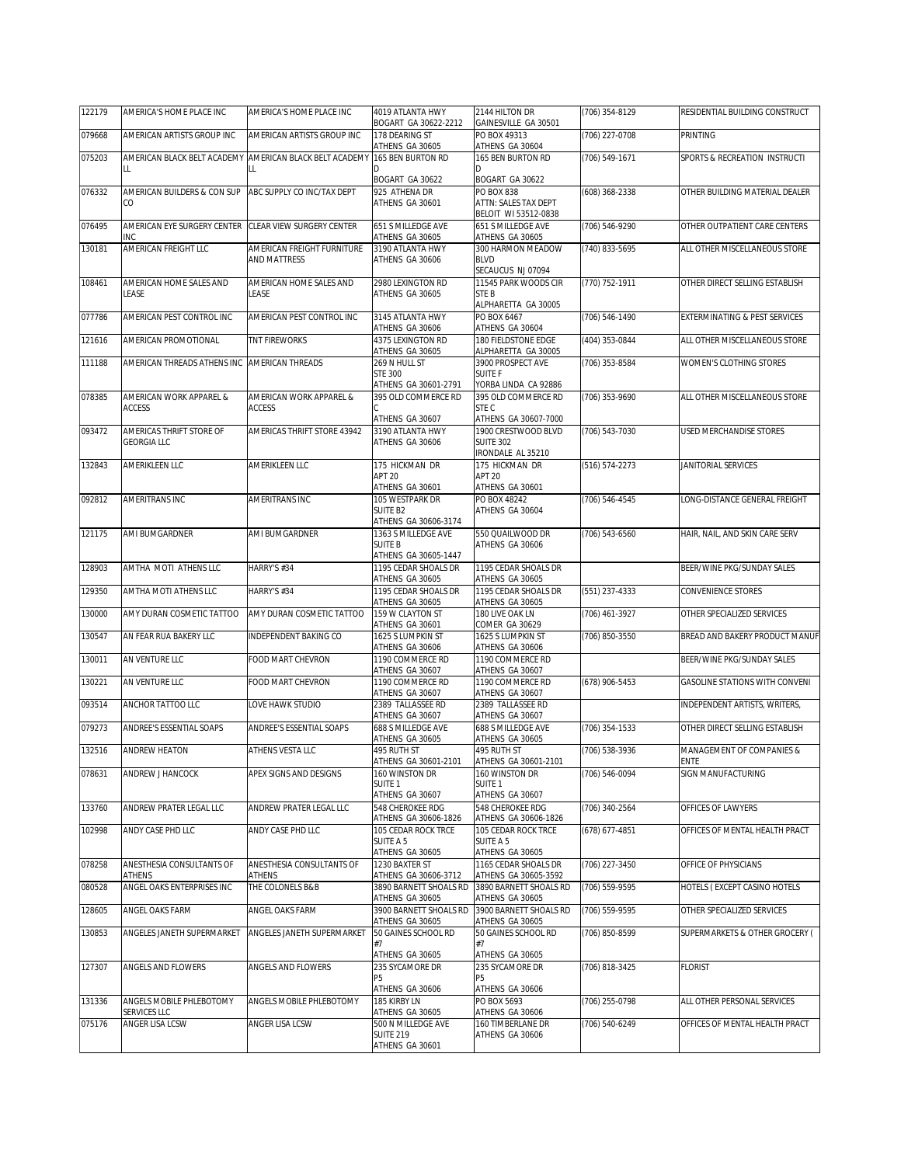| 122179 | AMERICA'S HOME PLACE INC                              | AMERICA'S HOME PLACE INC                                      | 4019 ATLANTA HWY<br>BOGART GA 30622-2212                                    | 2144 HILTON DR<br>GAINESVILLE GA 30501                                      | (706) 354-8129   | RESIDENTIAL BUILDING CONSTRUCT           |
|--------|-------------------------------------------------------|---------------------------------------------------------------|-----------------------------------------------------------------------------|-----------------------------------------------------------------------------|------------------|------------------------------------------|
| 079668 | AMERICAN ARTISTS GROUP INC                            | AMERICAN ARTISTS GROUP INC                                    | 178 DEARING ST<br>ATHENS GA 30605                                           | PO BOX 49313<br>ATHENS GA 30604                                             | (706) 227-0708   | PRINTING                                 |
| 075203 | LL                                                    | AMERICAN BLACK BELT ACADEMY AMERICAN BLACK BELT ACADEMY<br>LL | 165 BEN BURTON RD<br>BOGART GA 30622                                        | 165 BEN BURTON RD<br>BOGART GA 30622                                        | (706) 549-1671   | SPORTS & RECREATION INSTRUCTI            |
| 076332 | AMERICAN BUILDERS & CON SUP<br>CO                     | ABC SUPPLY CO INC/TAX DEPT                                    | 925 ATHENA DR<br>ATHENS GA 30601                                            | <b>PO BOX 838</b><br>ATTN: SALES TAX DEPT<br>BELOIT WI 53512-0838           | (608) 368-2338   | OTHER BUILDING MATERIAL DEALER           |
| 076495 | AMERICAN EYE SURGERY CENTER CLEAR VIEW SURGERY CENTER |                                                               | 651 S MILLEDGE AVE                                                          | 651 S MILLEDGE AVE                                                          | (706) 546-9290   | OTHER OUTPATIENT CARE CENTERS            |
| 130181 | INC<br>AMERICAN FREIGHT LLC                           | AMERICAN FREIGHT FURNITURE<br><b>AND MATTRESS</b>             | ATHENS GA 30605<br>3190 ATLANTA HWY<br>ATHENS GA 30606                      | ATHENS GA 30605<br>300 HARMON MEADOW<br><b>BLVD</b><br>SECAUCUS NJ 07094    | (740) 833-5695   | ALL OTHER MISCELLANEOUS STORE            |
| 108461 | AMERICAN HOME SALES AND<br>LEASE                      | AMERICAN HOME SALES AND<br>LEASE                              | 2980 LEXINGTON RD<br>ATHENS GA 30605                                        | 11545 PARK WOODS CIR<br>STE B<br>ALPHARETTA GA 30005                        | (770) 752-1911   | OTHER DIRECT SELLING ESTABLISH           |
| 077786 | AMERICAN PEST CONTROL INC                             | AMERICAN PEST CONTROL INC                                     | 3145 ATLANTA HWY<br>ATHENS GA 30606                                         | PO BOX 6467<br>ATHENS GA 30604                                              | (706) 546-1490   | EXTERMINATING & PEST SERVICES            |
| 121616 | AMERICAN PROMOTIONAL                                  | <b>TNT FIREWORKS</b>                                          | 4375 LEXINGTON RD<br>ATHENS GA 30605                                        | 180 FIELDSTONE EDGE<br>ALPHARETTA GA 30005                                  | (404) 353-0844   | ALL OTHER MISCELLANEOUS STORE            |
| 111188 | AMERICAN THREADS ATHENS INC                           | AMERICAN THREADS                                              | 269 N HULL ST<br><b>STE 300</b><br>ATHENS GA 30601-2791                     | 3900 PROSPECT AVE<br><b>SUITE F</b><br>YORBA LINDA CA 92886                 | (706) 353-8584   | WOMEN'S CLOTHING STORES                  |
| 078385 | AMERICAN WORK APPAREL &<br><b>ACCESS</b>              | AMERICAN WORK APPAREL &<br><b>ACCESS</b>                      | 395 OLD COMMERCE RD<br>ATHENS GA 30607                                      | 395 OLD COMMERCE RD<br>STE C<br>ATHENS GA 30607-7000                        | (706) 353-9690   | ALL OTHER MISCELLANEOUS STORE            |
| 093472 | AMERICAS THRIFT STORE OF<br><b>GEORGIA LLC</b>        | AMERICAS THRIFT STORE 43942                                   | 3190 ATLANTA HWY<br>ATHENS GA 30606                                         | 1900 CRESTWOOD BLVD<br><b>SUITE 302</b><br>IRONDALE AL 35210                | (706) 543-7030   | USED MERCHANDISE STORES                  |
| 132843 | AMERIKLEEN LLC                                        | AMERIKLEEN LLC                                                | 175 HICKMAN DR<br>APT <sub>20</sub><br>ATHENS GA 30601                      | 175 HICKMAN DR<br>APT <sub>20</sub><br>ATHENS GA 30601                      | (516) 574-2273   | JANITORIAL SERVICES                      |
| 092812 | AMERITRANS INC                                        | AMERITRANS INC                                                | 105 WESTPARK DR<br>SUITE B2<br>ATHENS GA 30606-3174                         | PO BOX 48242<br>ATHENS GA 30604                                             | (706) 546-4545   | LONG-DISTANCE GENERAL FREIGHT            |
| 121175 | AMI BUMGARDNER                                        | AMI BUMGARDNER                                                | 1363 S MILLEDGE AVE<br><b>SUITE B</b><br>ATHENS GA 30605-1447               | 550 QUAILWOOD DR<br>ATHENS GA 30606                                         | (706) 543-6560   | HAIR, NAIL, AND SKIN CARE SERV           |
| 128903 | AMTHA MOTI ATHENS LLC                                 | HARRY'S #34                                                   | 1195 CEDAR SHOALS DR<br>ATHENS GA 30605                                     | 1195 CEDAR SHOALS DR<br>ATHENS GA 30605                                     |                  | BEER/WINE PKG/SUNDAY SALES               |
| 129350 | AMTHA MOTI ATHENS LLC                                 | HARRY'S #34                                                   | 1195 CEDAR SHOALS DR<br>ATHENS GA 30605                                     | 1195 CEDAR SHOALS DR<br>ATHENS GA 30605                                     | (551) 237-4333   | CONVENIENCE STORES                       |
| 130000 | AMY DURAN COSMETIC TATTOO                             | AMY DURAN COSMETIC TATTOO                                     | 159 W CLAYTON ST<br>ATHENS GA 30601                                         | 180 LIVE OAK LN<br>COMER GA 30629                                           | (706) 461-3927   | OTHER SPECIALIZED SERVICES               |
| 130547 | AN FEAR RUA BAKERY LLC                                | INDEPENDENT BAKING CO                                         | 1625 S LUMPKIN ST<br>ATHENS GA 30606                                        | 1625 S LUMPKIN ST<br>ATHENS GA 30606                                        | (706) 850-3550   | BREAD AND BAKERY PRODUCT MANUF           |
| 130011 | AN VENTURE LLC                                        | FOOD MART CHEVRON                                             | 1190 COMMERCE RD<br>ATHENS GA 30607                                         | 1190 COMMERCE RD<br>ATHENS GA 30607                                         |                  | BEER/WINE PKG/SUNDAY SALES               |
| 130221 | AN VENTURE LLC                                        | FOOD MART CHEVRON                                             | 1190 COMMERCE RD<br>ATHENS GA 30607                                         | 1190 COMMERCE RD<br>ATHENS GA 30607                                         | (678) 906-5453   | GASOLINE STATIONS WITH CONVENI           |
| 093514 | ANCHOR TATTOO LLC                                     | LOVE HAWK STUDIO                                              | 2389 TALLASSEE RD<br>ATHENS GA 30607                                        | 2389 TALLASSEE RD<br>ATHENS GA 30607                                        |                  | INDEPENDENT ARTISTS, WRITERS,            |
| 079273 | ANDREE'S ESSENTIAL SOAPS                              | ANDREE'S ESSENTIAL SOAPS                                      | 688 S MILLEDGE AVE<br>ATHENS GA 30605                                       | 688 S MILLEDGE AVE<br>ATHENS GA 30605                                       | $(706)$ 354-1533 | OTHER DIRECT SELLING ESTABLISH           |
| 132516 | <b>ANDREW HEATON</b>                                  | ATHENS VESTA LLC                                              | 495 RUTH ST<br>ATHENS GA 30601-2101                                         | 495 RUTH ST<br>ATHENS GA 30601-2101                                         | (706) 538-3936   | MANAGEMENT OF COMPANIES &<br><b>ENTE</b> |
| 078631 | ANDREW J HANCOCK                                      | APEX SIGNS AND DESIGNS                                        | 160 WINSTON DR<br>SUITE <sub>1</sub><br>ATHENS GA 30607                     | 160 WINSTON DR<br>SUITE 1<br>ATHENS GA 30607                                | (706) 546-0094   | SIGN MANUFACTURING                       |
| 133760 | ANDREW PRATER LEGAL LLC                               | ANDREW PRATER LEGAL LLC                                       | 548 CHEROKEE RDG                                                            | 548 CHEROKEE RDG                                                            | (706) 340-2564   | OFFICES OF LAWYERS                       |
| 102998 | ANDY CASE PHD LLC                                     | ANDY CASE PHD LLC                                             | ATHENS GA 30606-1826<br>105 CEDAR ROCK TRCE<br>SUITE A 5<br>ATHENS GA 30605 | ATHENS GA 30606-1826<br>105 CEDAR ROCK TRCE<br>SUITE A 5<br>ATHENS GA 30605 | (678) 677-4851   | OFFICES OF MENTAL HEALTH PRACT           |
| 078258 | ANESTHESIA CONSULTANTS OF                             | ANESTHESIA CONSULTANTS OF                                     | 1230 BAXTER ST                                                              | 1165 CEDAR SHOALS DR                                                        | (706) 227-3450   | OFFICE OF PHYSICIANS                     |
| 080528 | <b>ATHENS</b><br>ANGEL OAKS ENTERPRISES INC           | <b>ATHENS</b><br>THE COLONELS B&B                             | ATHENS GA 30606-3712<br>3890 BARNETT SHOALS RD                              | ATHENS GA 30605-3592<br>3890 BARNETT SHOALS RD                              | (706) 559-9595   | HOTELS (EXCEPT CASINO HOTELS             |
| 128605 | ANGEL OAKS FARM                                       | ANGEL OAKS FARM                                               | ATHENS GA 30605<br>3900 BARNETT SHOALS RD                                   | ATHENS GA 30605<br>3900 BARNETT SHOALS RD                                   | (706) 559-9595   | OTHER SPECIALIZED SERVICES               |
| 130853 | ANGELES JANETH SUPERMARKET                            | ANGELES JANETH SUPERMARKET                                    | ATHENS GA 30605<br>50 GAINES SCHOOL RD<br>#7<br>ATHENS GA 30605             | ATHENS GA 30605<br>50 GAINES SCHOOL RD<br>#7<br>ATHENS GA 30605             | (706) 850-8599   | SUPERMARKETS & OTHER GROCERY (           |
| 127307 | ANGELS AND FLOWERS                                    | ANGELS AND FLOWERS                                            | 235 SYCAMORE DR<br>Р5<br>ATHENS GA 30606                                    | 235 SYCAMORE DR<br>Р5<br>ATHENS GA 30606                                    | (706) 818-3425   | <b>FLORIST</b>                           |
| 131336 | ANGELS MOBILE PHLEBOTOMY<br>SERVICES LLC              | ANGELS MOBILE PHLEBOTOMY                                      | 185 KIRBY LN<br>ATHENS GA 30605                                             | PO BOX 5693<br>ATHENS GA 30606                                              | (706) 255-0798   | ALL OTHER PERSONAL SERVICES              |
| 075176 | ANGER LISA LCSW                                       | ANGER LISA LCSW                                               | 500 N MILLEDGE AVE<br><b>SUITE 219</b><br>ATHENS GA 30601                   | 160 TIMBERLANE DR<br>ATHENS GA 30606                                        | (706) 540-6249   | OFFICES OF MENTAL HEALTH PRACT           |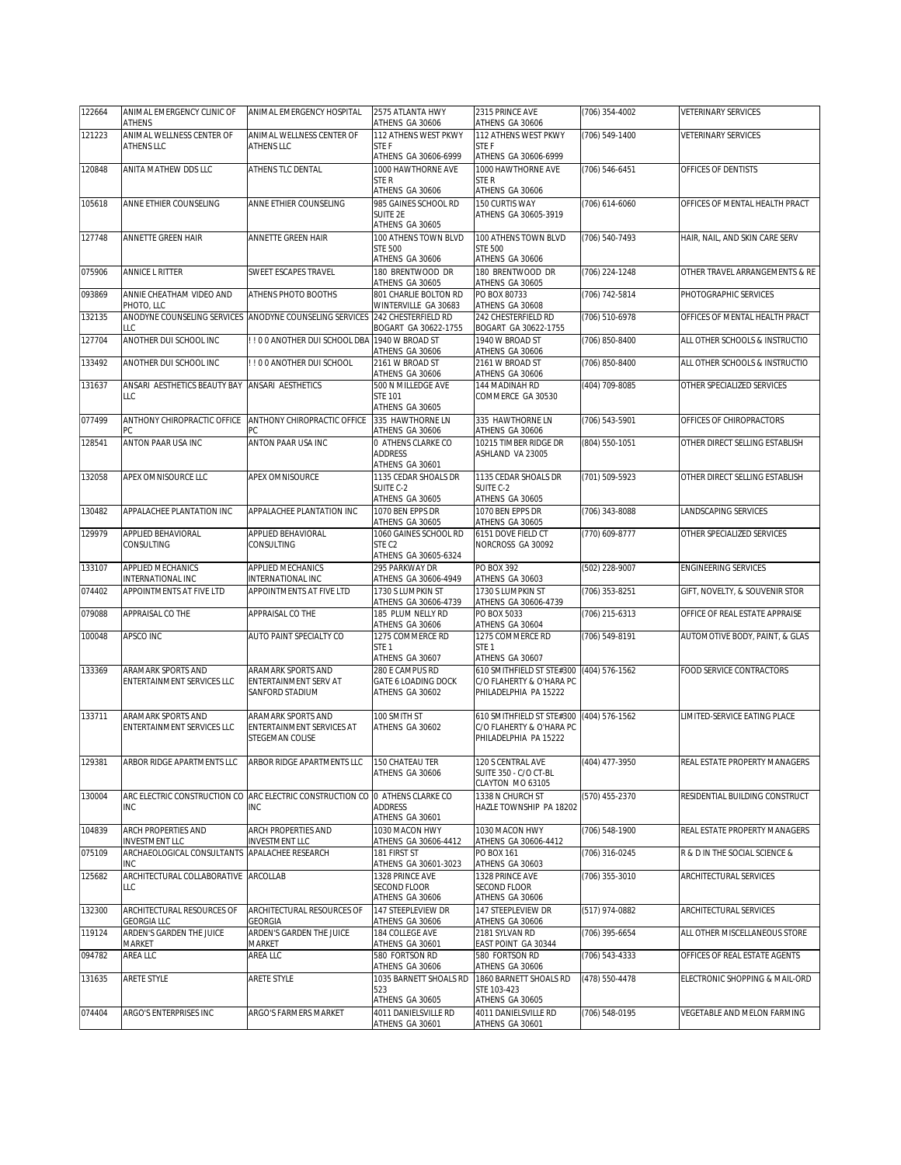| 122664 | ANIMAL EMERGENCY CLINIC OF<br>ATHENS           | ANIMAL EMERGENCY HOSPITAL                                                    | 2575 ATLANTA HWY<br>ATHENS GA 30606                | 2315 PRINCE AVE<br>ATHENS GA 30606                | (706) 354-4002 | VETERINARY SERVICES            |
|--------|------------------------------------------------|------------------------------------------------------------------------------|----------------------------------------------------|---------------------------------------------------|----------------|--------------------------------|
| 121223 | ANIMAL WELLNESS CENTER OF                      | ANIMAL WELLNESS CENTER OF                                                    | 112 ATHENS WEST PKWY                               | 112 ATHENS WEST PKWY                              | (706) 549-1400 | <b>VETERINARY SERVICES</b>     |
|        | ATHENS LLC                                     | <b>ATHENS LLC</b>                                                            | <b>STEF</b>                                        | STE F                                             |                |                                |
|        |                                                |                                                                              | ATHENS GA 30606-6999                               | ATHENS GA 30606-6999                              |                |                                |
| 120848 | ANITA MATHEW DDS LLC                           | ATHENS TLC DENTAL                                                            | 1000 HAWTHORNE AVE<br>STE R                        | 1000 HAWTHORNE AVE<br>STE R                       | (706) 546-6451 | OFFICES OF DENTISTS            |
|        |                                                |                                                                              | ATHENS GA 30606                                    | ATHENS GA 30606                                   |                |                                |
| 105618 | ANNE ETHIER COUNSELING                         | ANNE ETHIER COUNSELING                                                       | 985 GAINES SCHOOL RD                               | 150 CURTIS WAY                                    | (706) 614-6060 | OFFICES OF MENTAL HEALTH PRACT |
|        |                                                |                                                                              | SUITE 2E<br>ATHENS GA 30605                        | ATHENS GA 30605-3919                              |                |                                |
| 127748 | ANNETTE GREEN HAIR                             | ANNETTE GREEN HAIR                                                           | 100 ATHENS TOWN BLVD                               | 100 ATHENS TOWN BLVD                              | (706) 540-7493 | HAIR, NAIL, AND SKIN CARE SERV |
|        |                                                |                                                                              | <b>STE 500</b>                                     | <b>STE 500</b>                                    |                |                                |
| 075906 | ANNICE L RITTER                                | SWEET ESCAPES TRAVEL                                                         | ATHENS GA 30606<br>180 BRENTWOOD DR                | ATHENS GA 30606<br>180 BRENTWOOD DR               | (706) 224-1248 | OTHER TRAVEL ARRANGEMENTS & RE |
|        |                                                |                                                                              | ATHENS GA 30605                                    | ATHENS GA 30605                                   |                |                                |
| 093869 | ANNIE CHEATHAM VIDEO AND                       | ATHENS PHOTO BOOTHS                                                          | 801 CHARLIE BOLTON RD                              | PO BOX 80733                                      | (706) 742-5814 | PHOTOGRAPHIC SERVICES          |
| 132135 | PHOTO, LLC                                     | ANODYNE COUNSELING SERVICES ANODYNE COUNSELING SERVICES                      | WINTERVILLE GA 30683<br><b>242 CHESTERFIELD RD</b> | ATHENS GA 30608<br>242 CHESTERFIELD RD            | (706) 510-6978 | OFFICES OF MENTAL HEALTH PRACT |
|        | LLC                                            |                                                                              | BOGART GA 30622-1755                               | BOGART GA 30622-1755                              |                |                                |
| 127704 | ANOTHER DUI SCHOOL INC                         | ! ! 0 0 ANOTHER DUI SCHOOL DBA                                               | 1940 W BROAD ST                                    | 1940 W BROAD ST                                   | (706) 850-8400 | ALL OTHER SCHOOLS & INSTRUCTIO |
|        |                                                |                                                                              | ATHENS GA 30606                                    | ATHENS GA 30606                                   |                |                                |
| 133492 | ANOTHER DUI SCHOOL INC                         | ! ! 0 0 ANOTHER DUI SCHOOL                                                   | 2161 W BROAD ST<br>ATHENS GA 30606                 | 2161 W BROAD ST<br>ATHENS GA 30606                | (706) 850-8400 | ALL OTHER SCHOOLS & INSTRUCTIO |
| 131637 | ANSARI AESTHETICS BEAUTY BAY                   | ANSARI AESTHETICS                                                            | 500 N MILLEDGE AVE                                 | 144 MADINAH RD                                    | (404) 709-8085 | OTHER SPECIALIZED SERVICES     |
|        | LLC                                            |                                                                              | <b>STE 101</b>                                     | COMMERCE GA 30530                                 |                |                                |
| 077499 | ANTHONY CHIROPRACTIC OFFICE                    | ANTHONY CHIROPRACTIC OFFICE                                                  | ATHENS GA 30605<br>335 HAWTHORNE LN                | 335 HAWTHORNE LN                                  | (706) 543-5901 | OFFICES OF CHIROPRACTORS       |
|        |                                                |                                                                              | ATHENS GA 30606                                    | ATHENS GA 30606                                   |                |                                |
| 128541 | ANTON PAAR USA INC                             | <b>ANTON PAAR USA INC</b>                                                    | 0 ATHENS CLARKE CO                                 | 10215 TIMBER RIDGE DR                             | (804) 550-1051 | OTHER DIRECT SELLING ESTABLISH |
|        |                                                |                                                                              | <b>ADDRESS</b><br>ATHENS GA 30601                  | ASHLAND VA 23005                                  |                |                                |
| 132058 | APEX OMNISOURCE LLC                            | APEX OMNISOURCE                                                              | 1135 CEDAR SHOALS DR                               | 1135 CEDAR SHOALS DR                              | (701) 509-5923 | OTHER DIRECT SELLING ESTABLISH |
|        |                                                |                                                                              | SUITE C-2                                          | SUITE C-2                                         |                |                                |
| 130482 | APPALACHEE PLANTATION INC                      | APPALACHEE PLANTATION INC                                                    | ATHENS GA 30605<br>1070 BEN EPPS DR                | ATHENS GA 30605<br>1070 BEN EPPS DR               | (706) 343-8088 | LANDSCAPING SERVICES           |
|        |                                                |                                                                              | ATHENS GA 30605                                    | ATHENS GA 30605                                   |                |                                |
| 129979 | APPLIED BEHAVIORAL                             | APPLIED BEHAVIORAL                                                           | 1060 GAINES SCHOOL RD                              | 6151 DOVE FIELD CT                                | (770) 609-8777 | OTHER SPECIALIZED SERVICES     |
|        | CONSULTING                                     | CONSULTING                                                                   | STE <sub>C2</sub><br>ATHENS GA 30605-6324          | NORCROSS GA 30092                                 |                |                                |
| 133107 | APPLIED MECHANICS                              | <b>APPLIED MECHANICS</b>                                                     | 295 PARKWAY DR                                     | PO BOX 392                                        | (502) 228-9007 | <b>ENGINEERING SERVICES</b>    |
|        | INTERNATIONAL INC                              | INTERNATIONAL INC                                                            | ATHENS GA 30606-4949                               | ATHENS GA 30603                                   |                |                                |
| 074402 | APPOINTMENTS AT FIVE LTD                       | APPOINTMENTS AT FIVE LTD                                                     | 1730 S LUMPKIN ST<br>ATHENS GA 30606-4739          | 1730 S LUMPKIN ST<br>ATHENS GA 30606-4739         | (706) 353-8251 | GIFT, NOVELTY, & SOUVENIR STOR |
| 079088 | APPRAISAL CO THE                               | APPRAISAL CO THE                                                             | 185 PLUM NELLY RD                                  | PO BOX 5033                                       | (706) 215-6313 | OFFICE OF REAL ESTATE APPRAISE |
|        |                                                |                                                                              | ATHENS GA 30606                                    | ATHENS GA 30604                                   |                |                                |
| 100048 | APSCO INC                                      | AUTO PAINT SPECIALTY CO                                                      | 1275 COMMERCE RD<br>STE <sub>1</sub>               | 1275 COMMERCE RD<br>STE <sub>1</sub>              | (706) 549-8191 | AUTOMOTIVE BODY, PAINT, & GLAS |
|        |                                                |                                                                              | ATHENS GA 30607                                    | ATHENS GA 30607                                   |                |                                |
| 133369 | ARAMARK SPORTS AND                             | ARAMARK SPORTS AND                                                           | 280 E CAMPUS RD                                    | 610 SMITHFIELD ST STE#300                         | (404) 576-1562 | FOOD SERVICE CONTRACTORS       |
|        | <b>ENTERTAINMENT SERVICES LLC</b>              | ENTERTAINMENT SERV AT<br>SANFORD STADIUM                                     | GATE 6 LOADING DOCK<br>ATHENS GA 30602             | C/O FLAHERTY & O'HARA PC<br>PHILADELPHIA PA 15222 |                |                                |
|        |                                                |                                                                              |                                                    |                                                   |                |                                |
| 133711 | ARAMARK SPORTS AND                             | <b>ARAMARK SPORTS AND</b>                                                    | 100 SMITH ST                                       | 610 SMITHFIELD ST STE#300                         | (404) 576-1562 | LIMITED-SERVICE EATING PLACE   |
|        | ENTERTAINMENT SERVICES LLC                     | ENTERTAINMENT SERVICES AT<br>STEGEMAN COLISE                                 | ATHENS GA 30602                                    | C/O FLAHERTY & O'HARA PC<br>PHILADELPHIA PA 15222 |                |                                |
|        |                                                |                                                                              |                                                    |                                                   |                |                                |
| 129381 | ARBOR RIDGE APARTMENTS LLC                     | ARBOR RIDGE APARTMENTS LLC   150 CHATEAU TER                                 |                                                    | 120 S CENTRAL AVE                                 | (404) 477-3950 | REAL ESTATE PROPERTY MANAGERS  |
|        |                                                |                                                                              | ATHENS GA 30606                                    | SUITE 350 - C/O CT-BL<br>CLAYTON MO 63105         |                |                                |
| 130004 |                                                | ARC ELECTRIC CONSTRUCTION CO RAC ELECTRIC CONSTRUCTION CO O ATHENS CLARKE CO |                                                    | 1338 N CHURCH ST                                  | (570) 455-2370 | RESIDENTIAL BUILDING CONSTRUCT |
|        | <b>INC</b>                                     | <b>INC</b>                                                                   | ADDRESS                                            | HAZLE TOWNSHIP PA 18202                           |                |                                |
| 104839 | <b>ARCH PROPERTIES AND</b>                     | <b>ARCH PROPERTIES AND</b>                                                   | ATHENS GA 30601<br>1030 MACON HWY                  | 1030 MACON HWY                                    | (706) 548-1900 | REAL ESTATE PROPERTY MANAGERS  |
|        | INVESTMENT LLC                                 | INVESTMENT LLC                                                               | ATHENS GA 30606-4412                               | ATHENS GA 30606-4412                              |                |                                |
| 075109 | ARCHAEOLOGICAL CONSULTANTS                     | APALACHEE RESEARCH                                                           | 181 FIRST ST                                       | PO BOX 161                                        | (706) 316-0245 | R & D IN THE SOCIAL SCIENCE &  |
|        | INC<br>ARCHITECTURAL COLLABORATIVE             |                                                                              | ATHENS GA 30601-3023<br>1328 PRINCE AVE            | ATHENS GA 30603<br>1328 PRINCE AVE                |                | <b>ARCHITECTURAL SERVICES</b>  |
| 125682 | LLC                                            | ARCOLLAB                                                                     | SECOND FLOOR                                       | SECOND FLOOR                                      | (706) 355-3010 |                                |
|        |                                                |                                                                              | ATHENS GA 30606                                    | ATHENS GA 30606                                   |                |                                |
| 132300 | ARCHITECTURAL RESOURCES OF                     | ARCHITECTURAL RESOURCES OF                                                   | 147 STEEPLEVIEW DR                                 | 147 STEEPLEVIEW DR                                | (517) 974-0882 | ARCHITECTURAL SERVICES         |
| 119124 | <b>GEORGIA LLC</b><br>ARDEN'S GARDEN THE JUICE | GEORGIA<br>ARDEN'S GARDEN THE JUICE                                          | ATHENS GA 30606<br>184 COLLEGE AVE                 | ATHENS GA 30606<br>2181 SYLVAN RD                 | (706) 395-6654 | ALL OTHER MISCELLANEOUS STORE  |
|        | <b>MARKET</b>                                  | MARKET                                                                       | ATHENS GA 30601                                    | EAST POINT GA 30344                               |                |                                |
| 094782 | AREA LLC                                       | AREA LLC                                                                     | 580 FORTSON RD                                     | 580 FORTSON RD                                    | (706) 543-4333 | OFFICES OF REAL ESTATE AGENTS  |
| 131635 | ARETE STYLE                                    | ARETE STYLE                                                                  | ATHENS GA 30606<br>1035 BARNETT SHOALS RD          | ATHENS GA 30606<br>1860 BARNETT SHOALS RD         | (478) 550-4478 | ELECTRONIC SHOPPING & MAIL-ORD |
|        |                                                |                                                                              | 523                                                | STE 103-423                                       |                |                                |
|        |                                                |                                                                              | ATHENS GA 30605                                    | ATHENS GA 30605                                   |                |                                |
| 074404 | ARGO'S ENTERPRISES INC                         | ARGO'S FARMERS MARKET                                                        | 4011 DANIELSVILLE RD<br>ATHENS GA 30601            | 4011 DANIELSVILLE RD<br>ATHENS GA 30601           | (706) 548-0195 | VEGETABLE AND MELON FARMING    |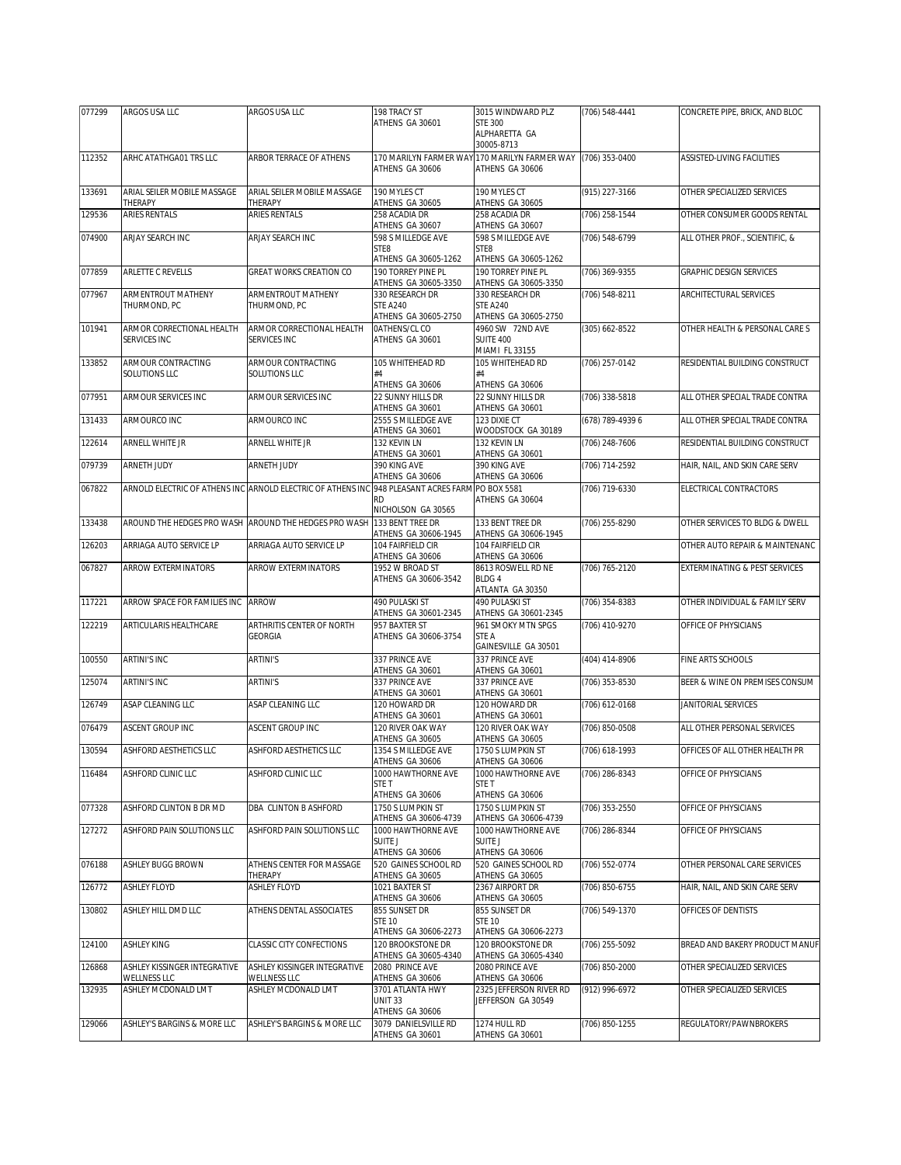| 077299 | ARGOS USA LLC                                | ARGOS USA LLC                                                          | 198 TRACY ST                                                      | 3015 WINDWARD PLZ                                                 | (706) 548-4441   | CONCRETE PIPE, BRICK, AND BLOC    |
|--------|----------------------------------------------|------------------------------------------------------------------------|-------------------------------------------------------------------|-------------------------------------------------------------------|------------------|-----------------------------------|
|        |                                              |                                                                        | ATHENS GA 30601                                                   | <b>STE 300</b><br>ALPHARETTA GA<br>30005-8713                     |                  |                                   |
| 112352 | ARHC ATATHGA01 TRS LLC                       | ARBOR TERRACE OF ATHENS                                                | ATHENS GA 30606                                                   | 170 MARILYN FARMER WAY 170 MARILYN FARMER WAY<br>ATHENS GA 30606  | (706) 353-0400   | <b>ASSISTED-LIVING FACILITIES</b> |
| 133691 | ARIAL SEILER MOBILE MASSAGE<br>THERAPY       | ARIAL SEILER MOBILE MASSAGE<br>THERAPY                                 | 190 MYLES CT<br>ATHENS GA 30605                                   | 190 MYLES CT<br>ATHENS GA 30605                                   | (915) 227-3166   | OTHER SPECIALIZED SERVICES        |
| 129536 | <b>ARIES RENTALS</b>                         | ARIES RENTALS                                                          | 258 ACADIA DR                                                     | 258 ACADIA DR                                                     | (706) 258-1544   | OTHER CONSUMER GOODS RENTAL       |
|        |                                              |                                                                        | ATHENS GA 30607<br>598 S MILLEDGE AVE                             | ATHENS GA 30607<br>598 S MILLEDGE AVE                             |                  |                                   |
| 074900 | ARJAY SEARCH INC                             | ARJAY SEARCH INC                                                       | STE8<br>ATHENS GA 30605-1262                                      | STE8<br>ATHENS GA 30605-1262                                      | (706) 548-6799   | ALL OTHER PROF., SCIENTIFIC, &    |
| 077859 | ARLETTE C REVELLS                            | <b>GREAT WORKS CREATION CO</b>                                         | 190 TORREY PINE PL<br>ATHENS GA 30605-3350                        | 190 TORREY PINE PI<br>ATHENS GA 30605-3350                        | (706) 369-9355   | GRAPHIC DESIGN SERVICES           |
| 077967 | ARMENTROUT MATHENY<br>THURMOND, PC           | <b>ARMENTROUT MATHENY</b><br>THURMOND, PC                              | 330 RESEARCH DR<br><b>STE A240</b><br>ATHENS GA 30605-2750        | 330 RESEARCH DR<br><b>STE A240</b><br>ATHENS GA 30605-2750        | (706) 548-8211   | ARCHITECTURAL SERVICES            |
| 101941 | ARMOR CORRECTIONAL HEALTH<br>SERVICES INC    | ARMOR CORRECTIONAL HEALTH<br>SERVICES INC                              | 0ATHENS/CL CO<br>ATHENS GA 30601                                  | 4960 SW 72ND AVE<br>SUITE 400<br>MIAMI FL 33155                   | (305) 662-8522   | OTHER HEALTH & PERSONAL CARE S    |
| 133852 | ARMOUR CONTRACTING<br>SOLUTIONS LLC          | ARMOUR CONTRACTING<br>SOLUTIONS LLC                                    | 105 WHITEHEAD RD<br>#4                                            | 105 WHITEHEAD RD<br>#4                                            | (706) 257-0142   | RESIDENTIAL BUILDING CONSTRUCT    |
| 077951 | ARMOUR SERVICES INC                          | ARMOUR SERVICES INC                                                    | ATHENS GA 30606<br>22 SUNNY HILLS DR                              | ATHENS GA 30606<br>22 SUNNY HILLS DR                              | (706) 338-5818   | ALL OTHER SPECIAL TRADE CONTRA    |
| 131433 | ARMOURCO INC                                 | ARMOURCO INC                                                           | ATHENS GA 30601<br>2555 S MILLEDGE AVE                            | ATHENS GA 30601<br>123 DIXIE CT                                   | (678) 789-4939 6 | ALL OTHER SPECIAL TRADE CONTRA    |
| 122614 | ARNELL WHITE JR                              | ARNELL WHITE JR                                                        | ATHENS GA 30601<br>132 KEVIN LN                                   | WOODSTOCK GA 30189<br>132 KEVIN LN                                | (706) 248-7606   | RESIDENTIAL BUILDING CONSTRUCT    |
| 079739 | ARNETH JUDY                                  | ARNETH JUDY                                                            | ATHENS GA 30601<br>390 KING AVE                                   | ATHENS GA 30601<br>390 KING AVE                                   | (706) 714-2592   | HAIR, NAIL, AND SKIN CARE SERV    |
| 067822 |                                              | ARNOLD ELECTRIC OF ATHENS INC ARNOLD ELECTRIC OF ATHENS INC            | ATHENS GA 30606<br>948 PLEASANT ACRES FARM PO BOX 5581            | ATHENS GA 30606                                                   | (706) 719-6330   | ELECTRICAL CONTRACTORS            |
|        |                                              |                                                                        | <b>RD</b><br>NICHOLSON GA 30565                                   | ATHENS GA 30604                                                   |                  |                                   |
| 133438 |                                              | AROUND THE HEDGES PRO WASH AROUND THE HEDGES PRO WASH 133 BENT TREE DR | ATHENS GA 30606-1945                                              | 133 BENT TREE DR<br>ATHENS GA 30606-1945                          | (706) 255-8290   | OTHER SERVICES TO BLDG & DWELL    |
| 126203 | ARRIAGA AUTO SERVICE LP                      | ARRIAGA AUTO SERVICE LP                                                | 104 FAIRFIELD CIR<br>ATHENS GA 30606                              | 104 FAIRFIELD CIR<br>ATHENS GA 30606                              |                  | OTHER AUTO REPAIR & MAINTENANC    |
| 067827 | <b>ARROW EXTERMINATORS</b>                   | ARROW EXTERMINATORS                                                    | 1952 W BROAD ST<br>ATHENS GA 30606-3542                           | 8613 ROSWELL RD NE<br>BLDG 4<br>ATLANTA GA 30350                  | (706) 765-2120   | EXTERMINATING & PEST SERVICES     |
| 117221 | ARROW SPACE FOR FAMILIES INC                 | <b>ARROW</b>                                                           | 490 PULASKI ST<br>ATHENS GA 30601-2345                            | 490 PULASKI ST<br>ATHENS GA 30601-2345                            | (706) 354-8383   | OTHER INDIVIDUAL & FAMILY SERV    |
| 122219 | ARTICULARIS HEALTHCARE                       | ARTHRITIS CENTER OF NORTH<br><b>GEORGIA</b>                            | 957 BAXTER ST<br>ATHENS GA 30606-3754                             | 961 SMOKY MTN SPGS<br>STE A<br>GAINESVILLE GA 30501               | (706) 410-9270   | OFFICE OF PHYSICIANS              |
| 100550 | <b>ARTINI'S INC</b>                          | <b>ARTINI'S</b>                                                        | 337 PRINCE AVE<br>ATHENS GA 30601                                 | 337 PRINCE AVE<br>ATHENS GA 30601                                 | (404) 414-8906   | FINE ARTS SCHOOLS                 |
| 125074 | <b>ARTINI'S INC</b>                          | <b>ARTINI'S</b>                                                        | 337 PRINCE AVE<br>ATHENS GA 30601                                 | 337 PRINCE AVE<br>ATHENS GA 30601                                 | (706) 353-8530   | BEER & WINE ON PREMISES CONSUM    |
| 126749 | ASAP CLEANING LLC                            | ASAP CLEANING LLC                                                      | 120 HOWARD DR<br>ATHENS GA 30601                                  | 120 HOWARD DR                                                     | (706) 612-0168   | JANITORIAL SERVICES               |
| 076479 | <b>ASCENT GROUP INC</b>                      | ASCENT GROUP INC                                                       | 120 RIVER OAK WAY                                                 | ATHENS GA 30601<br>120 RIVER OAK WAY                              | (706) 850-0508   | ALL OTHER PERSONAL SERVICES       |
| 130594 | ASHFORD AESTHETICS LLC                       | ASHFORD AESTHETICS LLC                                                 | ATHENS GA 30605<br>1354 S MILLEDGE AVE                            | ATHENS GA 30605<br>1750 S LUMPKIN ST                              | (706) 618-1993   | OFFICES OF ALL OTHER HEALTH PR    |
| 116484 | ASHFORD CLINIC LLC                           | ASHFORD CLINIC LLC                                                     | ATHENS GA 30606<br>1000 HAWTHORNE AVE<br>STE T                    | ATHENS GA 30606<br>1000 HAWTHORNE AVE<br>STE T                    | (706) 286-8343   | OFFICE OF PHYSICIANS              |
| 077328 | ASHFORD CLINTON B DR MD                      | DBA CLINTON B ASHFORD                                                  | ATHENS GA 30606<br>1750 S LUMPKIN ST                              | ATHENS GA 30606<br>1750 S LUMPKIN ST                              | (706) 353-2550   | OFFICE OF PHYSICIANS              |
| 127272 | ASHFORD PAIN SOLUTIONS LLC                   | ASHFORD PAIN SOLUTIONS LLC                                             | ATHENS GA 30606-4739<br>1000 HAWTHORNE AVE                        | ATHENS GA 30606-4739<br>1000 HAWTHORNE AVE                        | (706) 286-8344   | OFFICE OF PHYSICIANS              |
|        |                                              |                                                                        | SUITE J<br>ATHENS GA 30606                                        | <b>SUITE J</b><br>ATHENS GA 30606                                 |                  |                                   |
| 076188 | <b>ASHLEY BUGG BROWN</b>                     | ATHENS CENTER FOR MASSAGE<br>THERAPY                                   | 520 GAINES SCHOOL RD<br>ATHENS GA 30605                           | 520 GAINES SCHOOL RD<br>ATHENS GA 30605                           | (706) 552-0774   | OTHER PERSONAL CARE SERVICES      |
| 126772 | <b>ASHLEY FLOYD</b>                          | <b>ASHLEY FLOYD</b>                                                    | 1021 BAXTER ST<br>ATHENS GA 30606                                 | 2367 AIRPORT DR<br>ATHENS GA 30605                                | (706) 850-6755   | HAIR, NAIL, AND SKIN CARE SERV    |
| 130802 | ASHLEY HILL DMD LLC                          | ATHENS DENTAL ASSOCIATES                                               | 855 SUNSET DR<br><b>STE 10</b>                                    | 855 SUNSET DR<br><b>STE 10</b>                                    | (706) 549-1370   | OFFICES OF DENTISTS               |
| 124100 | <b>ASHLEY KING</b>                           | CLASSIC CITY CONFECTIONS                                               | ATHENS GA 30606-2273<br>120 BROOKSTONE DR<br>ATHENS GA 30605-4340 | ATHENS GA 30606-2273<br>120 BROOKSTONE DR<br>ATHENS GA 30605-4340 | (706) 255-5092   | BREAD AND BAKERY PRODUCT MANUF    |
| 126868 | ASHLEY KISSINGER INTEGRATIVE<br>WELLNESS LLC | ASHLEY KISSINGER INTEGRATIVE<br>WELLNESS LLC                           | 2080 PRINCE AVE<br>ATHENS GA 30606                                | 2080 PRINCE AVE<br>ATHENS GA 30606                                | (706) 850-2000   | OTHER SPECIALIZED SERVICES        |
| 132935 | ASHLEY MCDONALD LMT                          | ASHLEY MCDONALD LMT                                                    | 3701 ATLANTA HWY<br><b>UNIT 33</b>                                | 2325 JEFFERSON RIVER RD<br>JEFFERSON GA 30549                     | (912) 996-6972   | OTHER SPECIALIZED SERVICES        |
|        |                                              |                                                                        | ATHENS GA 30606                                                   |                                                                   |                  |                                   |
| 129066 | ASHLEY'S BARGINS & MORE LLC                  | ASHLEY'S BARGINS & MORE LLC                                            | 3079 DANIELSVILLE RD<br>ATHENS GA 30601                           | 1274 HULL RD<br>ATHENS GA 30601                                   | (706) 850-1255   | REGULATORY/PAWNBROKERS            |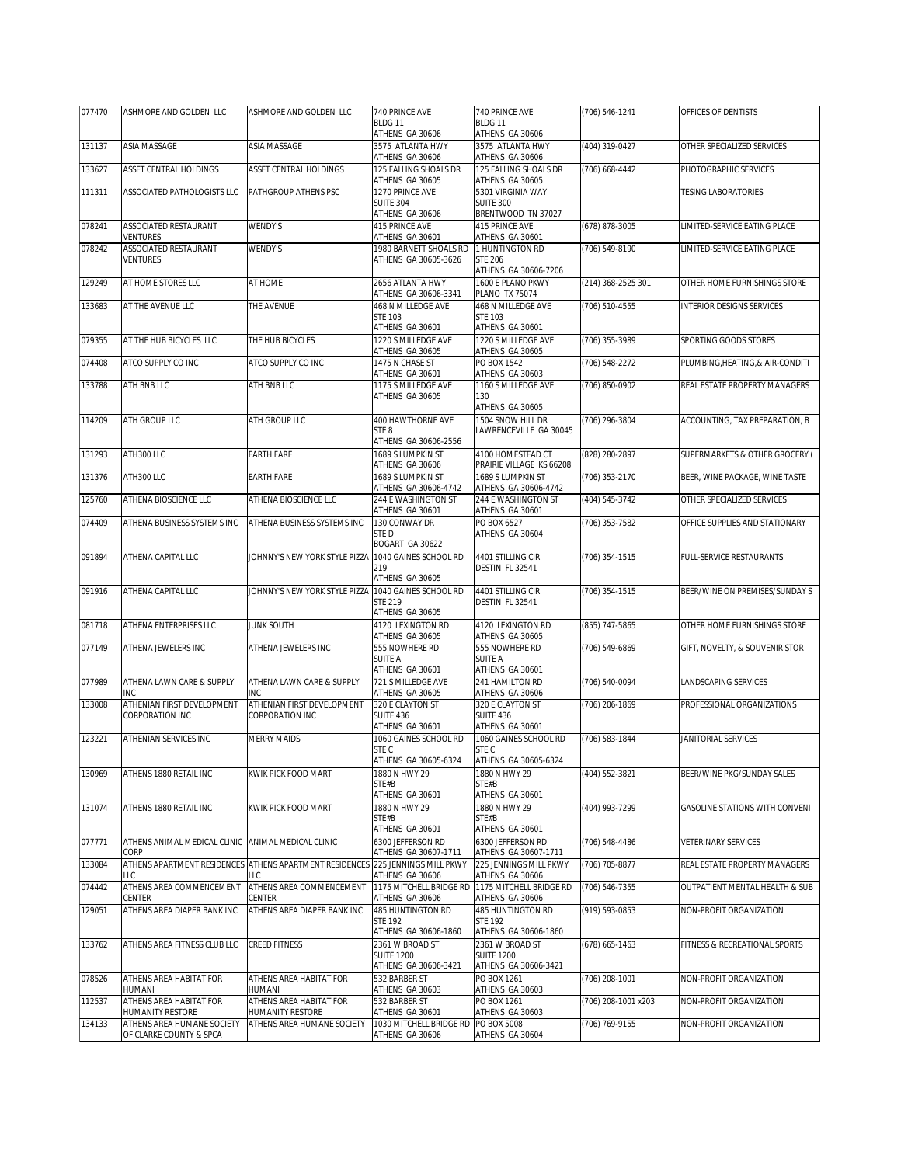| 077470 | ASHMORE AND GOLDEN LLC                      | ASHMORE AND GOLDEN LLC                                         | 740 PRINCE AVE                              | 740 PRINCE AVE                                | (706) 546-1241      | OFFICES OF DENTISTS              |
|--------|---------------------------------------------|----------------------------------------------------------------|---------------------------------------------|-----------------------------------------------|---------------------|----------------------------------|
|        |                                             |                                                                | BLDG 11<br>ATHENS GA 30606                  | BLDG 11<br>ATHENS GA 30606                    |                     |                                  |
| 131137 | ASIA MASSAGE                                | ASIA MASSAGE                                                   | 3575 ATLANTA HWY                            | 3575 ATLANTA HWY                              | (404) 319-0427      | OTHER SPECIALIZED SERVICES       |
|        |                                             |                                                                | ATHENS GA 30606                             | ATHENS GA 30606                               |                     |                                  |
| 133627 | ASSET CENTRAL HOLDINGS                      | ASSET CENTRAL HOLDINGS                                         | 125 FALLING SHOALS DR<br>ATHENS GA 30605    | 125 FALLING SHOALS DR<br>ATHENS GA 30605      | (706) 668-4442      | PHOTOGRAPHIC SERVICES            |
| 111311 | ASSOCIATED PATHOLOGISTS LLC                 | PATHGROUP ATHENS PSC                                           | 1270 PRINCE AVE                             | 5301 VIRGINIA WAY                             |                     | <b>TESING LABORATORIES</b>       |
|        |                                             |                                                                | <b>SUITE 304</b><br>ATHENS GA 30606         | <b>SUITE 300</b><br>BRENTWOOD TN 37027        |                     |                                  |
| 078241 | ASSOCIATED RESTAURANT                       | WENDY'S                                                        | 415 PRINCE AVE                              | 415 PRINCE AVE                                | (678) 878-3005      | LIMITED-SERVICE EATING PLACE     |
| 078242 | VENTURES<br>ASSOCIATED RESTAURANT           | WENDY'S                                                        | ATHENS GA 30601<br>1980 BARNETT SHOALS RD   | ATHENS GA 30601<br>1 HUNTINGTON RD            | (706) 549-8190      | LIMITED-SERVICE EATING PLACE     |
|        | VENTURES                                    |                                                                | ATHENS GA 30605-3626                        | <b>STE 206</b>                                |                     |                                  |
| 129249 | AT HOME STORES LLC                          | AT HOME                                                        | 2656 ATLANTA HWY                            | ATHENS GA 30606-7206<br>1600 E PLANO PKWY     | (214) 368-2525 301  | OTHER HOME FURNISHINGS STORE     |
|        |                                             |                                                                | ATHENS GA 30606-3341                        | <b>PLANO TX 75074</b>                         |                     |                                  |
| 133683 | AT THE AVENUE LLC                           | THE AVENUE                                                     | 468 N MILLEDGE AVE<br><b>STE 103</b>        | 468 N MILLEDGE AVE<br><b>STE 103</b>          | (706) 510-4555      | <b>INTERIOR DESIGNS SERVICES</b> |
|        |                                             |                                                                | ATHENS GA 30601                             | ATHENS GA 30601                               |                     |                                  |
| 079355 | AT THE HUB BICYCLES LLC                     | THE HUB BICYCLES                                               | 1220 S MILLEDGE AVE                         | 1220 S MILLEDGE AVE                           | (706) 355-3989      | SPORTING GOODS STORES            |
| 074408 | ATCO SUPPLY CO INC                          | ATCO SUPPLY CO INC                                             | ATHENS GA 30605<br>1475 N CHASE ST          | ATHENS GA 30605<br>PO BOX 1542                | (706) 548-2272      | PLUMBING, HEATING, & AIR-CONDITI |
|        |                                             |                                                                | ATHENS GA 30601                             | ATHENS GA 30603                               |                     |                                  |
| 133788 | ATH BNB LLC                                 | ATH BNB LLC                                                    | 1175 S MILLEDGE AVE<br>ATHENS GA 30605      | 1160 S MILLEDGE AVE<br>130                    | (706) 850-0902      | REAL ESTATE PROPERTY MANAGERS    |
|        |                                             |                                                                |                                             | ATHENS GA 30605                               |                     |                                  |
| 114209 | ATH GROUP LLC                               | ATH GROUP LLC                                                  | 400 HAWTHORNE AVE<br>STE 8                  | 1504 SNOW HILL DR<br>LAWRENCEVILLE GA 30045   | (706) 296-3804      | ACCOUNTING, TAX PREPARATION, B   |
|        |                                             |                                                                | ATHENS GA 30606-2556                        |                                               |                     |                                  |
| 131293 | ATH300 LLC                                  | <b>EARTH FARE</b>                                              | 1689 S LUMPKIN ST                           | 4100 HOMESTEAD CT<br>PRAIRIE VILLAGE KS 66208 | (828) 280-2897      | SUPERMARKETS & OTHER GROCERY (   |
| 131376 | ATH300 LLC                                  | <b>EARTH FARE</b>                                              | ATHENS GA 30606<br>1689 S LUMPKIN ST        | 1689 S LUMPKIN ST                             | (706) 353-2170      | BEER, WINE PACKAGE, WINE TASTE   |
|        | ATHENA BIOSCIENCE LLC                       |                                                                | ATHENS GA 30606-4742                        | ATHENS GA 30606-4742                          |                     |                                  |
| 125760 |                                             | ATHENA BIOSCIENCE LLC                                          | 244 E WASHINGTON ST<br>ATHENS GA 30601      | 244 E WASHINGTON ST<br>ATHENS GA 30601        | (404) 545-3742      | OTHER SPECIALIZED SERVICES       |
| 074409 | ATHENA BUSINESS SYSTEMS INC                 | ATHENA BUSINESS SYSTEMS INC                                    | 130 CONWAY DR                               | PO BOX 6527                                   | (706) 353-7582      | OFFICE SUPPLIES AND STATIONARY   |
|        |                                             |                                                                | STED<br>BOGART GA 30622                     | ATHENS GA 30604                               |                     |                                  |
| 091894 | ATHENA CAPITAL LLC                          | JOHNNY'S NEW YORK STYLE PIZZA                                  | 1040 GAINES SCHOOL RD                       | 4401 STILLING CIR                             | (706) 354-1515      | FULL-SERVICE RESTAURANTS         |
|        |                                             |                                                                | 219<br>ATHENS GA 30605                      | DESTIN FL 32541                               |                     |                                  |
| 091916 | ATHENA CAPITAL LLC                          | JOHNNY'S NEW YORK STYLE PIZZA                                  | 1040 GAINES SCHOOL RD                       | 4401 STILLING CIR                             | $(706)$ 354-1515    | BEER/WINE ON PREMISES/SUNDAY S   |
|        |                                             |                                                                | <b>STE 219</b><br>ATHENS GA 30605           | DESTIN FL 32541                               |                     |                                  |
| 081718 | ATHENA ENTERPRISES LLC                      | <b>JUNK SOUTH</b>                                              | 4120 LEXINGTON RD                           | 4120 LEXINGTON RD                             | (855) 747-5865      | OTHER HOME FURNISHINGS STORE     |
| 077149 | ATHENA JEWELERS INC                         | ATHENA JEWELERS INC                                            | ATHENS GA 30605<br>555 NOWHERE RD           | ATHENS GA 30605<br>555 NOWHERE RD             | (706) 549-6869      | GIFT, NOVELTY, & SOUVENIR STOR   |
|        |                                             |                                                                | SUITE A                                     | <b>SUITE A</b>                                |                     |                                  |
| 077989 | ATHENA LAWN CARE & SUPPLY                   | ATHENA LAWN CARE & SUPPLY                                      | ATHENS GA 30601<br>721 S MILLEDGE AVE       | ATHENS GA 30601<br>241 HAMILTON RD            | (706) 540-0094      | LANDSCAPING SERVICES             |
|        | INC                                         | INC                                                            | ATHENS GA 30605                             | ATHENS GA 30606                               |                     |                                  |
| 133008 | ATHENIAN FIRST DEVELOPMENT                  | ATHENIAN FIRST DEVELOPMENT                                     | 320 E CLAYTON ST                            | 320 E CLAYTON ST                              | (706) 206-1869      | PROFESSIONAL ORGANIZATIONS       |
|        | CORPORATION INC                             | CORPORATION INC                                                | <b>SUITE 436</b><br>ATHENS GA 30601         | <b>SUITE 436</b><br>ATHENS GA 30601           |                     |                                  |
| 123221 | ATHENIAN SERVICES INC                       | <b>MERRY MAIDS</b>                                             | 1060 GAINES SCHOOL RD                       | 1060 GAINES SCHOOL RD                         | (706) 583-1844      | JANITORIAL SERVICES              |
|        |                                             |                                                                | STE C<br>ATHENS GA 30605-6324               | STE C<br>ATHENS GA 30605-6324                 |                     |                                  |
| 130969 | ATHENS 1880 RETAIL INC                      | KWIK PICK FOOD MART                                            | 1880 N HWY 29                               | 1880 N HWY 29                                 | (404) 552-3821      | BEER/WINE PKG/SUNDAY SALES       |
|        |                                             |                                                                | STE#B<br>ATHENS GA 30601                    | STE#B<br>ATHENS GA 30601                      |                     |                                  |
| 131074 | ATHENS 1880 RETAIL INC                      | KWIK PICK FOOD MART                                            | 1880 N HWY 29                               | 1880 N HWY 29                                 | (404) 993-7299      | GASOLINE STATIONS WITH CONVENI   |
|        |                                             |                                                                | STE#B<br>ATHENS GA 30601                    | STE#B<br>ATHENS GA 30601                      |                     |                                  |
| 077771 | ATHENS ANIMAL MEDICAL CLINIC                | ANIMAL MEDICAL CLINIC                                          | 6300 JEFFERSON RD                           | 6300 JEFFERSON RD                             | (706) 548-4486      | <b>VETERINARY SERVICES</b>       |
|        | CORP                                        |                                                                | ATHENS GA 30607-1711                        | ATHENS GA 30607-1711                          |                     |                                  |
| 133084 | LLC                                         | ATHENS APARTMENT RESIDENCES ATHENS APARTMENT RESIDENCES<br>LLC | 225 JENNINGS MILL PKWY<br>ATHENS GA 30606   | 225 JENNINGS MILL PKWY<br>ATHENS GA 30606     | (706) 705-8877      | REAL ESTATE PROPERTY MANAGERS    |
| 074442 | ATHENS AREA COMMENCEMENT                    | ATHENS AREA COMMENCEMENT                                       | 1175 MITCHELL BRIDGE RD                     | 1175 MITCHELL BRIDGE RD                       | (706) 546-7355      | OUTPATIENT MENTAL HEALTH & SUB   |
| 129051 | CENTER<br>ATHENS AREA DIAPER BANK INC       | CENTER<br>ATHENS AREA DIAPER BANK INC                          | ATHENS GA 30606<br><b>485 HUNTINGTON RD</b> | ATHENS GA 30606<br>485 HUNTINGTON RD          | (919) 593-0853      | NON-PROFIT ORGANIZATION          |
|        |                                             |                                                                | <b>STE 192</b>                              | <b>STE 192</b>                                |                     |                                  |
| 133762 | ATHENS AREA FITNESS CLUB LLC                | <b>CREED FITNESS</b>                                           | ATHENS GA 30606-1860<br>2361 W BROAD ST     | ATHENS GA 30606-1860<br>2361 W BROAD ST       | $(678) 665 - 1463$  | FITNESS & RECREATIONAL SPORTS    |
|        |                                             |                                                                | <b>SUITE 1200</b>                           | <b>SUITE 1200</b>                             |                     |                                  |
| 078526 | ATHENS AREA HABITAT FOR                     | ATHENS AREA HABITAT FOR                                        | ATHENS GA 30606-3421<br>532 BARBER ST       | ATHENS GA 30606-3421<br>PO BOX 1261           | (706) 208-1001      | NON-PROFIT ORGANIZATION          |
|        | HUMANI                                      | HUMANI                                                         | ATHENS GA 30603                             | ATHENS GA 30603                               |                     |                                  |
| 112537 | ATHENS AREA HABITAT FOR<br>HUMANITY RESTORE | ATHENS AREA HABITAT FOR<br>HUMANITY RESTORE                    | 532 BARBER ST<br>ATHENS GA 30601            | PO BOX 1261<br>ATHENS GA 30603                | (706) 208-1001 x203 | NON-PROFIT ORGANIZATION          |
| 134133 | ATHENS AREA HUMANE SOCIETY                  | ATHENS AREA HUMANE SOCIETY                                     | 1030 MITCHELL BRIDGE RD                     | PO BOX 5008                                   | (706) 769-9155      | NON-PROFIT ORGANIZATION          |
|        | OF CLARKE COUNTY & SPCA                     |                                                                | ATHENS GA 30606                             | ATHENS GA 30604                               |                     |                                  |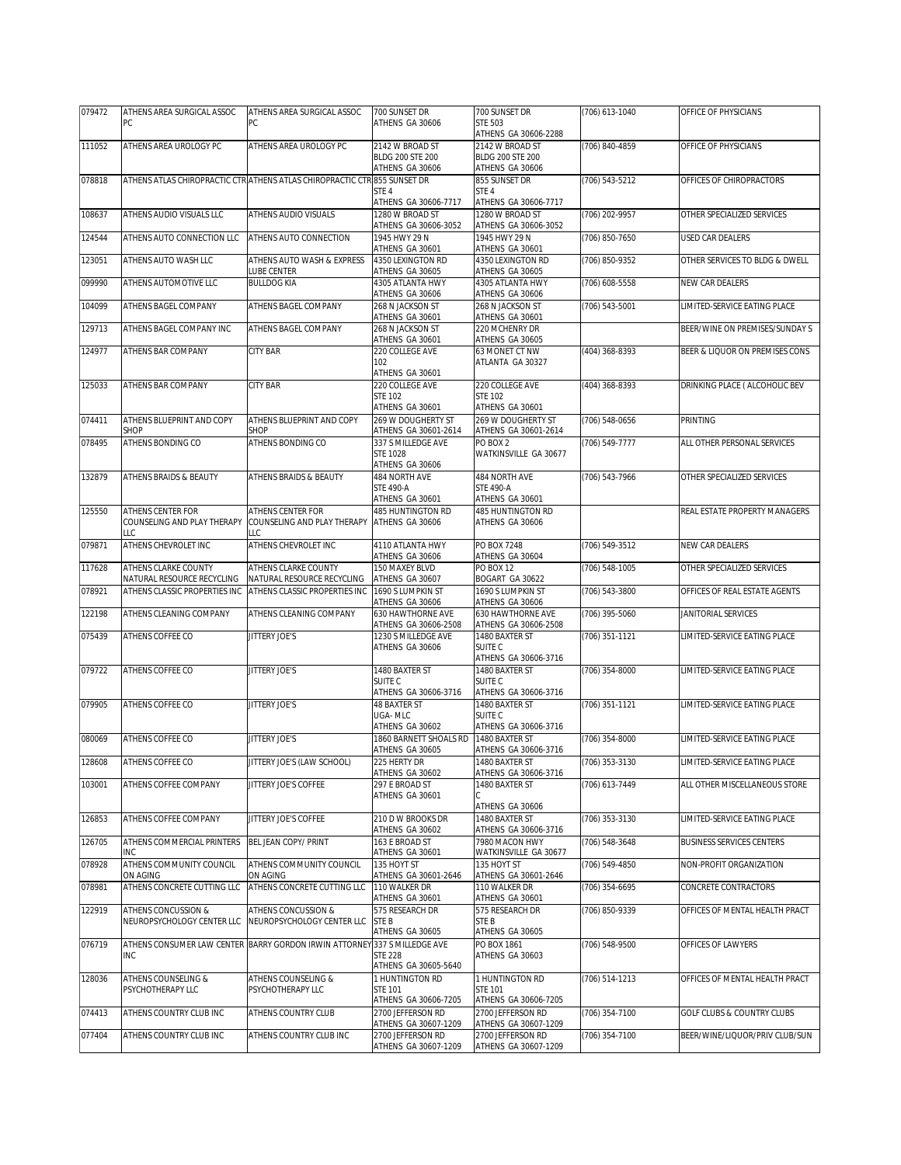| 079472 | ATHENS AREA SURGICAL ASSOC                                  | ATHENS AREA SURGICAL ASSOC                                                                          | 700 SUNSET DR                                                                     | 700 SUNSET DR                                                 | (706) 613-1040   | OFFICE OF PHYSICIANS                  |
|--------|-------------------------------------------------------------|-----------------------------------------------------------------------------------------------------|-----------------------------------------------------------------------------------|---------------------------------------------------------------|------------------|---------------------------------------|
|        | PC                                                          | PC                                                                                                  | ATHENS GA 30606                                                                   | <b>STE 503</b><br>ATHENS GA 30606-2288                        |                  |                                       |
| 111052 | ATHENS AREA UROLOGY PC                                      | ATHENS AREA UROLOGY PC                                                                              | 2142 W BROAD ST<br><b>BLDG 200 STE 200</b><br>ATHENS GA 30606                     | 2142 W BROAD ST<br><b>BLDG 200 STE 200</b><br>ATHENS GA 30606 | (706) 840-4859   | OFFICE OF PHYSICIANS                  |
| 078818 |                                                             | ATHENS ATLAS CHIROPRACTIC CTRIATHENS ATLAS CHIROPRACTIC CTRI855 SUNSET DR                           | STE 4<br>ATHENS GA 30606-7717                                                     | 855 SUNSET DR<br>STE 4<br>ATHENS GA 30606-7717                | (706) 543-5212   | OFFICES OF CHIROPRACTORS              |
| 108637 | ATHENS AUDIO VISUALS LLC                                    | ATHENS AUDIO VISUALS                                                                                | 1280 W BROAD ST<br>ATHENS GA 30606-3052                                           | 1280 W BROAD ST<br>ATHENS GA 30606-3052                       | (706) 202-9957   | OTHER SPECIALIZED SERVICES            |
| 124544 | ATHENS AUTO CONNECTION LLC                                  | ATHENS AUTO CONNECTION                                                                              | 1945 HWY 29 N                                                                     | 1945 HWY 29 N                                                 | (706) 850-7650   | <b>USED CAR DEALERS</b>               |
| 123051 | ATHENS AUTO WASH LLC                                        | ATHENS AUTO WASH & EXPRESS                                                                          | ATHENS GA 30601<br>4350 LEXINGTON RD                                              | ATHENS GA 30601<br>4350 LEXINGTON RD                          | (706) 850-9352   | OTHER SERVICES TO BLDG & DWELL        |
| 099990 | ATHENS AUTOMOTIVE LLC                                       | <b>LUBE CENTER</b><br><b>BULLDOG KIA</b>                                                            | ATHENS GA 30605<br>4305 ATLANTA HWY                                               | ATHENS GA 30605<br>4305 ATLANTA HWY                           | $(706)$ 608-5558 | NEW CAR DEALERS                       |
| 104099 | ATHENS BAGEL COMPANY                                        | ATHENS BAGEL COMPANY                                                                                | ATHENS GA 30606<br>268 N JACKSON ST                                               | ATHENS GA 30606<br>268 N JACKSON ST                           | (706) 543-5001   | LIMITED-SERVICE EATING PLACE          |
| 129713 | ATHENS BAGEL COMPANY INC                                    | ATHENS BAGEL COMPANY                                                                                | ATHENS GA 30601<br>268 N JACKSON ST                                               | ATHENS GA 30601<br>220 MCHENRY DR                             |                  | BEER/WINE ON PREMISES/SUNDAY S        |
| 124977 | ATHENS BAR COMPANY                                          | <b>CITY BAR</b>                                                                                     | ATHENS GA 30601<br>220 COLLEGE AVE                                                | ATHENS GA 30605<br>63 MONET CT NW                             | (404) 368-8393   | BEER & LIQUOR ON PREMISES CONS        |
|        |                                                             |                                                                                                     | 102<br>ATHENS GA 30601                                                            | ATLANTA GA 30327                                              |                  |                                       |
| 125033 | ATHENS BAR COMPANY                                          | <b>CITY BAR</b>                                                                                     | 220 COLLEGE AVE<br><b>STE 102</b><br>ATHENS GA 30601                              | 220 COLLEGE AVE<br><b>STE 102</b><br>ATHENS GA 30601          | (404) 368-8393   | DRINKING PLACE ( ALCOHOLIC BEV        |
| 074411 | ATHENS BLUEPRINT AND COPY                                   | ATHENS BLUEPRINT AND COPY                                                                           | <b>269 W DOUGHERTY ST</b>                                                         | 269 W DOUGHERTY ST                                            | (706) 548-0656   | <b>PRINTING</b>                       |
| 078495 | SHOP<br>ATHENS BONDING CO                                   | SHOP<br>ATHENS BONDING CO                                                                           | ATHENS GA 30601-2614<br>337 S MILLEDGE AVE                                        | ATHENS GA 30601-2614<br>PO BOX 2                              | (706) 549-7777   | ALL OTHER PERSONAL SERVICES           |
|        |                                                             |                                                                                                     | <b>STE 1028</b><br>ATHENS GA 30606                                                | WATKINSVILLE GA 30677                                         |                  |                                       |
| 132879 | ATHENS BRAIDS & BEAUTY                                      | ATHENS BRAIDS & BEAUTY                                                                              | 484 NORTH AVE<br><b>STE 490-A</b><br>ATHENS GA 30601                              | 484 NORTH AVE<br><b>STE 490-A</b><br>ATHENS GA 30601          | (706) 543-7966   | OTHER SPECIALIZED SERVICES            |
| 125550 | <b>ATHENS CENTER FOR</b><br>LLC                             | ATHENS CENTER FOR<br>COUNSELING AND PLAY THERAPY COUNSELING AND PLAY THERAPY ATHENS GA 30606<br>LLC | 485 HUNTINGTON RD                                                                 | 485 HUNTINGTON RD<br>ATHENS GA 30606                          |                  | REAL ESTATE PROPERTY MANAGERS         |
| 079871 | ATHENS CHEVROLET INC                                        | ATHENS CHEVROLET INC                                                                                | 4110 ATLANTA HWY<br>ATHENS GA 30606                                               | PO BOX 7248<br>ATHENS GA 30604                                | (706) 549-3512   | NEW CAR DEALERS                       |
| 117628 | ATHENS CLARKE COUNTY                                        | ATHENS CLARKE COUNTY                                                                                | 150 MAXEY BLVD                                                                    | PO BOX 12                                                     | (706) 548-1005   | OTHER SPECIALIZED SERVICES            |
| 078921 | NATURAL RESOURCE RECYCLING<br>ATHENS CLASSIC PROPERTIES INC | NATURAL RESOURCE RECYCLING<br>ATHENS CLASSIC PROPERTIES INC                                         | ATHENS GA 30607<br>1690 S LUMPKIN ST                                              | BOGART GA 30622<br>1690 S LUMPKIN ST                          | (706) 543-3800   | OFFICES OF REAL ESTATE AGENTS         |
| 122198 | ATHENS CLEANING COMPANY                                     | ATHENS CLEANING COMPANY                                                                             | ATHENS GA 30606<br>630 HAWTHORNE AVE                                              | ATHENS GA 30606<br>630 HAWTHORNE AVE                          | (706) 395-5060   | <b>JANITORIAL SERVICES</b>            |
| 075439 | ATHENS COFFEE CO                                            | JITTERY JOE'S                                                                                       | ATHENS GA 30606-2508<br>1230 S MILLEDGE AVE<br>ATHENS GA 30606                    | ATHENS GA 30606-2508<br>1480 BAXTER ST<br>SUITE C             | (706) 351-1121   | LIMITED-SERVICE EATING PLACE          |
| 079722 | ATHENS COFFEE CO                                            | JITTERY JOE'S                                                                                       | 1480 BAXTER ST                                                                    | ATHENS GA 30606-3716<br>1480 BAXTER ST                        | (706) 354-8000   | LIMITED-SERVICE EATING PLACE          |
|        |                                                             |                                                                                                     | SUITE <sub>C</sub><br>ATHENS GA 30606-3716                                        | SUITE <sub>C</sub><br>ATHENS GA 30606-3716                    |                  |                                       |
| 079905 | ATHENS COFFEE CO                                            | JITTERY JOE'S                                                                                       | <b>48 BAXTER ST</b><br>UGA-MLC                                                    | 1480 BAXTER ST<br>SUITE <sub>C</sub>                          | (706) 351-1121   | LIMITED-SERVICE EATING PLACE          |
| 080069 | ATHENS COFFEE CO                                            | JITTERY JOE'S                                                                                       | ATHENS GA 30602<br>1860 BARNETT SHOALS RD                                         | ATHENS GA 30606-3716<br>1480 BAXTER ST                        | (706) 354-8000   | LIMITED-SERVICE EATING PLACE          |
| 128608 | ATHENS COFFEE CO                                            | JITTERY JOE'S (LAW SCHOOL)                                                                          | ATHENS GA 30605<br>225 HERTY DR                                                   | ATHENS GA 30606-3716<br>1480 BAXTER ST                        | $(706)$ 353-3130 | LIMITED-SERVICE EATING PLACE          |
|        |                                                             |                                                                                                     | ATHENS GA 30602                                                                   | ATHENS GA 30606-3716                                          |                  |                                       |
| 103001 | ATHENS COFFEE COMPANY                                       | JITTERY JOE'S COFFEE                                                                                | 297 E BROAD ST<br>ATHENS GA 30601                                                 | 1480 BAXTER ST<br>ATHENS GA 30606                             | (706) 613-7449   | ALL OTHER MISCELLANEOUS STORE         |
| 126853 | ATHENS COFFEE COMPANY                                       | JITTERY JOE'S COFFEE                                                                                | 210 D W BROOKS DR<br>ATHENS GA 30602                                              | 1480 BAXTER ST<br>ATHENS GA 30606-3716                        | $(706)$ 353-3130 | LIMITED-SERVICE EATING PLACE          |
| 126705 | ATHENS COMMERCIAL PRINTERS<br><b>INC</b>                    | BEL JEAN COPY/ PRINT                                                                                | 163 E BROAD ST<br>ATHENS GA 30601                                                 | 7980 MACON HWY<br>WATKINSVILLE GA 30677                       | (706) 548-3648   | <b>BUSINESS SERVICES CENTERS</b>      |
| 078928 | ATHENS COMMUNITY COUNCIL<br>ON AGING                        | ATHENS COMMUNITY COUNCIL<br>ON AGING                                                                | 135 HOYT ST<br>ATHENS GA 30601-2646                                               | 135 HOYT ST<br>ATHENS GA 30601-2646                           | (706) 549-4850   | NON-PROFIT ORGANIZATION               |
| 078981 | ATHENS CONCRETE CUTTING LLC                                 | ATHENS CONCRETE CUTTING LLC                                                                         | 110 WALKER DR<br>ATHENS GA 30601                                                  | 110 WALKER DR<br>ATHENS GA 30601                              | (706) 354-6695   | CONCRETE CONTRACTORS                  |
| 122919 | ATHENS CONCUSSION &<br>NEUROPSYCHOLOGY CENTER LLC           | ATHENS CONCUSSION &<br>NEUROPSYCHOLOGY CENTER LLC                                                   | 575 RESEARCH DR<br>STE B<br>ATHENS GA 30605                                       | 575 RESEARCH DR<br>STE B<br>ATHENS GA 30605                   | (706) 850-9339   | OFFICES OF MENTAL HEALTH PRACT        |
| 076719 | <b>INC</b>                                                  | ATHENS CONSUMER LAW CENTER BARRY GORDON IRWIN ATTORNEY 337 S MILLEDGE AVE                           | <b>STE 228</b>                                                                    | PO BOX 1861<br>ATHENS GA 30603                                | (706) 548-9500   | OFFICES OF LAWYERS                    |
| 128036 | ATHENS COUNSELING &<br>PSYCHOTHERAPY LLC                    | ATHENS COUNSELING &<br>PSYCHOTHERAPY LLC                                                            | ATHENS GA 30605-5640<br>1 HUNTINGTON RD<br><b>STE 101</b><br>ATHENS GA 30606-7205 | 1 HUNTINGTON RD<br><b>STE 101</b><br>ATHENS GA 30606-7205     | (706) 514-1213   | OFFICES OF MENTAL HEALTH PRACT        |
| 074413 | ATHENS COUNTRY CLUB INC                                     | ATHENS COUNTRY CLUB                                                                                 | 2700 JEFFERSON RD<br>ATHENS GA 30607-1209                                         | 2700 JEFFERSON RD<br>ATHENS GA 30607-1209                     | $(706)$ 354-7100 | <b>GOLF CLUBS &amp; COUNTRY CLUBS</b> |
| 077404 | ATHENS COUNTRY CLUB INC                                     | ATHENS COUNTRY CLUB INC                                                                             | 2700 JEFFERSON RD<br>ATHENS GA 30607-1209                                         | 2700 JEFFERSON RD<br>ATHENS GA 30607-1209                     | (706) 354-7100   | BEER/WINE/LIQUOR/PRIV CLUB/SUN        |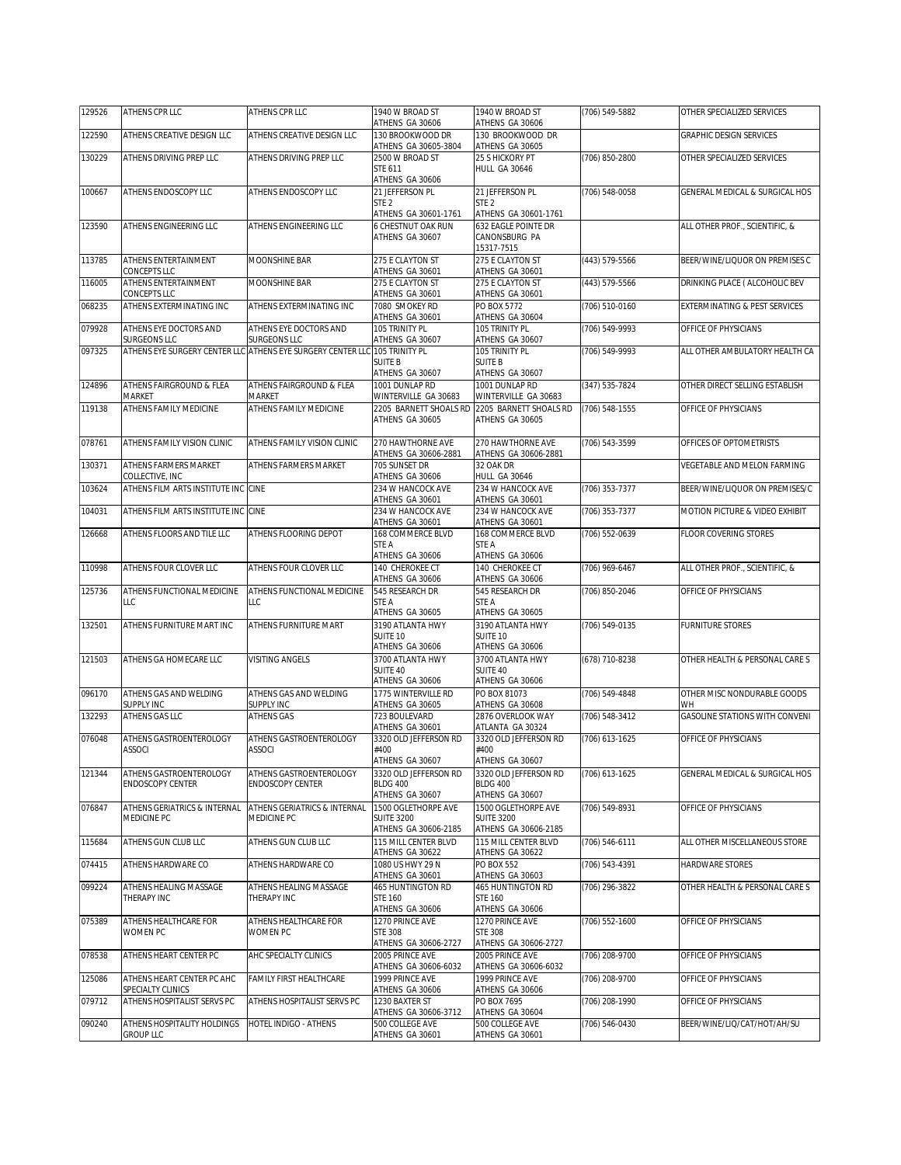| 129526 | ATHENS CPR LLC                                     | ATHENS CPR LLC                                                              | 1940 W BROAD ST<br>ATHENS GA 30606        | 1940 W BROAD ST<br>ATHENS GA 30606        | (706) 549-5882   | OTHER SPECIALIZED SERVICES           |
|--------|----------------------------------------------------|-----------------------------------------------------------------------------|-------------------------------------------|-------------------------------------------|------------------|--------------------------------------|
| 122590 | ATHENS CREATIVE DESIGN LLC                         | ATHENS CREATIVE DESIGN LLC                                                  | 130 BROOKWOOD DR<br>ATHENS GA 30605-3804  | 130 BROOKWOOD DR<br>ATHENS GA 30605       |                  | <b>GRAPHIC DESIGN SERVICES</b>       |
| 130229 | ATHENS DRIVING PREP LLC                            | ATHENS DRIVING PREP LLC                                                     | 2500 W BROAD ST                           | 25 S HICKORY PT                           | (706) 850-2800   | OTHER SPECIALIZED SERVICES           |
|        |                                                    |                                                                             | STE 611<br>ATHENS GA 30606                | <b>HULL GA 30646</b>                      |                  |                                      |
| 100667 | ATHENS ENDOSCOPY LLC                               | ATHENS ENDOSCOPY LLC                                                        | 21 JEFFERSON PL                           | 21 JEFFERSON PL                           | (706) 548-0058   | GENERAL MEDICAL & SURGICAL HOS       |
|        |                                                    |                                                                             | STE <sub>2</sub><br>ATHENS GA 30601-1761  | STE <sub>2</sub><br>ATHENS GA 30601-1761  |                  |                                      |
| 123590 | ATHENS ENGINEERING LLC                             | ATHENS ENGINEERING LLC                                                      | <b>6 CHESTNUT OAK RUN</b>                 | 632 EAGLE POINTE DR                       |                  | ALL OTHER PROF., SCIENTIFIC, &       |
|        |                                                    |                                                                             | ATHENS GA 30607                           | CANONSBURG PA<br>15317-7515               |                  |                                      |
| 113785 | ATHENS ENTERTAINMENT                               | MOONSHINE BAR                                                               | 275 E CLAYTON ST                          | 275 E CLAYTON ST                          | (443) 579-5566   | BEER/WINE/LIQUOR ON PREMISES C       |
| 116005 | CONCEPTS LLC<br>ATHENS ENTERTAINMENT               | MOONSHINE BAR                                                               | ATHENS GA 30601<br>275 E CLAYTON ST       | ATHENS GA 30601<br>275 E CLAYTON ST       | (443) 579-5566   | DRINKING PLACE ( ALCOHOLIC BEV       |
|        | CONCEPTS LLC                                       |                                                                             | ATHENS GA 30601                           | ATHENS GA 30601                           |                  |                                      |
| 068235 | ATHENS EXTERMINATING INC                           | ATHENS EXTERMINATING INC                                                    | 7080 SMOKEY RD<br>ATHENS GA 30601         | PO BOX 5772<br>ATHENS GA 30604            | (706) 510-0160   | EXTERMINATING & PEST SERVICES        |
| 079928 | ATHENS EYE DOCTORS AND                             | ATHENS EYE DOCTORS AND                                                      | 105 TRINITY PL                            | 105 TRINITY PL                            | (706) 549-9993   | OFFICE OF PHYSICIANS                 |
| 097325 | <b>SURGEONS LLC</b>                                | SURGEONS LLC<br>ATHENS EYE SURGERY CENTER LLC ATHENS EYE SURGERY CENTER LLC | ATHENS GA 30607<br>105 TRINITY PL         | ATHENS GA 30607<br>105 TRINITY PL         | (706) 549-9993   | ALL OTHER AMBULATORY HEALTH CA       |
|        |                                                    |                                                                             | <b>SUITE B</b><br>ATHENS GA 30607         | <b>SUITE B</b><br>ATHENS GA 30607         |                  |                                      |
| 124896 | ATHENS FAIRGROUND & FLEA                           | ATHENS FAIRGROUND & FLEA                                                    | 1001 DUNLAP RD                            | 1001 DUNLAP RD                            | (347) 535-7824   | OTHER DIRECT SELLING ESTABLISH       |
|        | MARKET                                             | MARKET                                                                      | WINTERVILLE GA 30683                      | WINTERVILLE GA 30683                      |                  |                                      |
| 119138 | ATHENS FAMILY MEDICINE                             | ATHENS FAMILY MEDICINE                                                      | 2205 BARNETT SHOALS RD<br>ATHENS GA 30605 | 2205 BARNETT SHOALS RD<br>ATHENS GA 30605 | (706) 548-1555   | OFFICE OF PHYSICIANS                 |
| 078761 | ATHENS FAMILY VISION CLINIC                        | ATHENS FAMILY VISION CLINIC                                                 | 270 HAWTHORNE AVE                         | 270 HAWTHORNE AVE                         | (706) 543-3599   | OFFICES OF OPTOMETRISTS              |
|        |                                                    |                                                                             | ATHENS GA 30606-2881                      | ATHENS GA 30606-2881                      |                  |                                      |
| 130371 | ATHENS FARMERS MARKET<br>COLLECTIVE, INC           | ATHENS FARMERS MARKET                                                       | 705 SUNSET DR<br>ATHENS GA 30606          | 32 OAK DR<br>HULL GA 30646                |                  | VEGETABLE AND MELON FARMING          |
| 103624 | ATHENS FILM ARTS INSTITUTE INC CINE                |                                                                             | 234 W HANCOCK AVE                         | 234 W HANCOCK AVE                         | (706) 353-7377   | BEER/WINE/LIQUOR ON PREMISES/C       |
| 104031 | ATHENS FILM ARTS INSTITUTE INC CINE                |                                                                             | ATHENS GA 30601<br>234 W HANCOCK AVE      | ATHENS GA 30601<br>234 W HANCOCK AVE      | (706) 353-7377   | MOTION PICTURE & VIDEO EXHIBIT       |
|        |                                                    |                                                                             | ATHENS GA 30601                           | ATHENS GA 30601                           |                  |                                      |
| 126668 | ATHENS FLOORS AND TILE LLC                         | ATHENS FLOORING DEPOT                                                       | 168 COMMERCE BLVD<br>STE A                | 168 COMMERCE BLVD<br>STE A                | (706) 552-0639   | FLOOR COVERING STORES                |
|        |                                                    |                                                                             | ATHENS GA 30606                           | ATHENS GA 30606                           |                  |                                      |
| 110998 | ATHENS FOUR CLOVER LLC                             | ATHENS FOUR CLOVER LLC                                                      | 140 CHEROKEE CT<br>ATHENS GA 30606        | 140 CHEROKEE CT<br>ATHENS GA 30606        | (706) 969-6467   | ALL OTHER PROF., SCIENTIFIC, &       |
| 125736 | ATHENS FUNCTIONAL MEDICINE                         | ATHENS FUNCTIONAL MEDICINE                                                  | 545 RESEARCH DR                           | 545 RESEARCH DR                           | (706) 850-2046   | OFFICE OF PHYSICIANS                 |
|        | LLC                                                | LLC                                                                         | STE A<br>ATHENS GA 30605                  | STE A<br>ATHENS GA 30605                  |                  |                                      |
| 132501 | ATHENS FURNITURE MART INC                          | ATHENS FURNITURE MART                                                       | 3190 ATLANTA HWY                          | 3190 ATLANTA HWY                          | (706) 549-0135   | FURNITURE STORES                     |
|        |                                                    |                                                                             | SUITE 10<br>ATHENS GA 30606               | SUITE 10<br>ATHENS GA 30606               |                  |                                      |
| 121503 | ATHENS GA HOMECARE LLC                             | VISITING ANGELS                                                             | 3700 ATLANTA HWY                          | 3700 ATLANTA HWY                          | (678) 710-8238   | OTHER HEALTH & PERSONAL CARE S       |
|        |                                                    |                                                                             | SUITE 40<br>ATHENS GA 30606               | SUITE 40<br>ATHENS GA 30606               |                  |                                      |
| 096170 | ATHENS GAS AND WELDING                             | ATHENS GAS AND WELDING                                                      | 1775 WINTERVILLE RD                       | PO BOX 81073                              | (706) 549-4848   | OTHER MISC NONDURABLE GOODS          |
| 132293 | SUPPLY INC<br>ATHENS GAS LLC                       | SUPPLY INC<br><b>ATHENS GAS</b>                                             | ATHENS GA 30605<br>723 BOULEVARD          | ATHENS GA 30608<br>2876 OVERLOOK WAY      | (706) 548-3412   | WΗ<br>GASOLINE STATIONS WITH CONVENI |
|        |                                                    |                                                                             | ATHENS GA 30601                           | ATLANTA GA 30324                          |                  |                                      |
| 076048 | ATHENS GASTROENTEROLOGY<br><b>ASSOCI</b>           | ATHENS GASTROENTEROLOGY<br><b>ASSOCI</b>                                    | 3320 OLD JEFFERSON RD<br>#400             | 3320 OLD JEFFERSON RD<br>#400             | (706) 613-1625   | OFFICE OF PHYSICIANS                 |
|        |                                                    |                                                                             | ATHENS GA 30607                           | ATHENS GA 30607                           |                  |                                      |
| 121344 | ATHENS GASTROENTEROLOGY<br><b>ENDOSCOPY CENTER</b> | ATHENS GASTROENTEROLOGY<br><b>ENDOSCOPY CENTER</b>                          | 3320 OLD JEFFERSON RD<br><b>BLDG 400</b>  | 3320 OLD JEFFERSON RD<br><b>BLDG 400</b>  | (706) 613-1625   | GENERAL MEDICAL & SURGICAL HOS       |
|        |                                                    |                                                                             | ATHENS GA 30607                           | ATHENS GA 30607                           |                  |                                      |
| 076847 | ATHENS GERIATRICS & INTERNAL<br>MEDICINE PC        | ATHENS GERIATRICS & INTERNAL<br>MEDICINE PC                                 | 1500 OGLETHORPE AVE<br><b>SUITE 3200</b>  | 1500 OGLETHORPE AVE<br><b>SUITE 3200</b>  | $(706) 549-8931$ | OFFICE OF PHYSICIANS                 |
|        |                                                    |                                                                             | ATHENS GA 30606-2185                      | ATHENS GA 30606-2185                      |                  |                                      |
| 115684 | ATHENS GUN CLUB LLC                                | ATHENS GUN CLUB LLC                                                         | 115 MILL CENTER BLVD<br>ATHENS GA 30622   | 115 MILL CENTER BLVD<br>ATHENS GA 30622   | (706) 546-6111   | ALL OTHER MISCELLANEOUS STORE        |
| 074415 | ATHENS HARDWARE CO                                 | ATHENS HARDWARE CO                                                          | 1080 US HWY 29 N<br>ATHENS GA 30601       | <b>PO BOX 552</b><br>ATHENS GA 30603      | (706) 543-4391   | HARDWARE STORES                      |
| 099224 | ATHENS HEALING MASSAGE                             | ATHENS HEALING MASSAGE                                                      | 465 HUNTINGTON RD                         | 465 HUNTINGTON RD                         | (706) 296-3822   | OTHER HEALTH & PERSONAL CARE S       |
|        | THERAPY INC                                        | THERAPY INC                                                                 | <b>STE 160</b><br>ATHENS GA 30606         | <b>STE 160</b><br>ATHENS GA 30606         |                  |                                      |
| 075389 | ATHENS HEALTHCARE FOR                              | ATHENS HEALTHCARE FOR                                                       | 1270 PRINCE AVE                           | 1270 PRINCE AVE                           | (706) 552-1600   | OFFICE OF PHYSICIANS                 |
|        | WOMEN PC                                           | <b>WOMEN PC</b>                                                             | <b>STE 308</b><br>ATHENS GA 30606-2727    | <b>STE 308</b><br>ATHENS GA 30606-2727    |                  |                                      |
| 078538 | ATHENS HEART CENTER PC                             | AHC SPECIALTY CLINICS                                                       | 2005 PRINCE AVE                           | 2005 PRINCE AVE                           | (706) 208-9700   | OFFICE OF PHYSICIANS                 |
| 125086 | ATHENS HEART CENTER PC AHC                         | FAMILY FIRST HEALTHCARE                                                     | ATHENS GA 30606-6032<br>1999 PRINCE AVE   | ATHENS GA 30606-6032<br>1999 PRINCE AVE   | (706) 208-9700   | OFFICE OF PHYSICIANS                 |
| 079712 | SPECIALTY CLINICS<br>ATHENS HOSPITALIST SERVS PC   | ATHENS HOSPITALIST SERVS PC                                                 | ATHENS GA 30606<br>1230 BAXTER ST         | ATHENS GA 30606<br>PO BOX 7695            | (706) 208-1990   | OFFICE OF PHYSICIANS                 |
|        |                                                    |                                                                             | ATHENS GA 30606-3712                      | ATHENS GA 30604                           |                  |                                      |
| 090240 | ATHENS HOSPITALITY HOLDINGS<br><b>GROUP LLC</b>    | HOTEL INDIGO - ATHENS                                                       | 500 COLLEGE AVE<br>ATHENS GA 30601        | 500 COLLEGE AVE<br>ATHENS GA 30601        | (706) 546-0430   | BEER/WINE/LIQ/CAT/HOT/AH/SU          |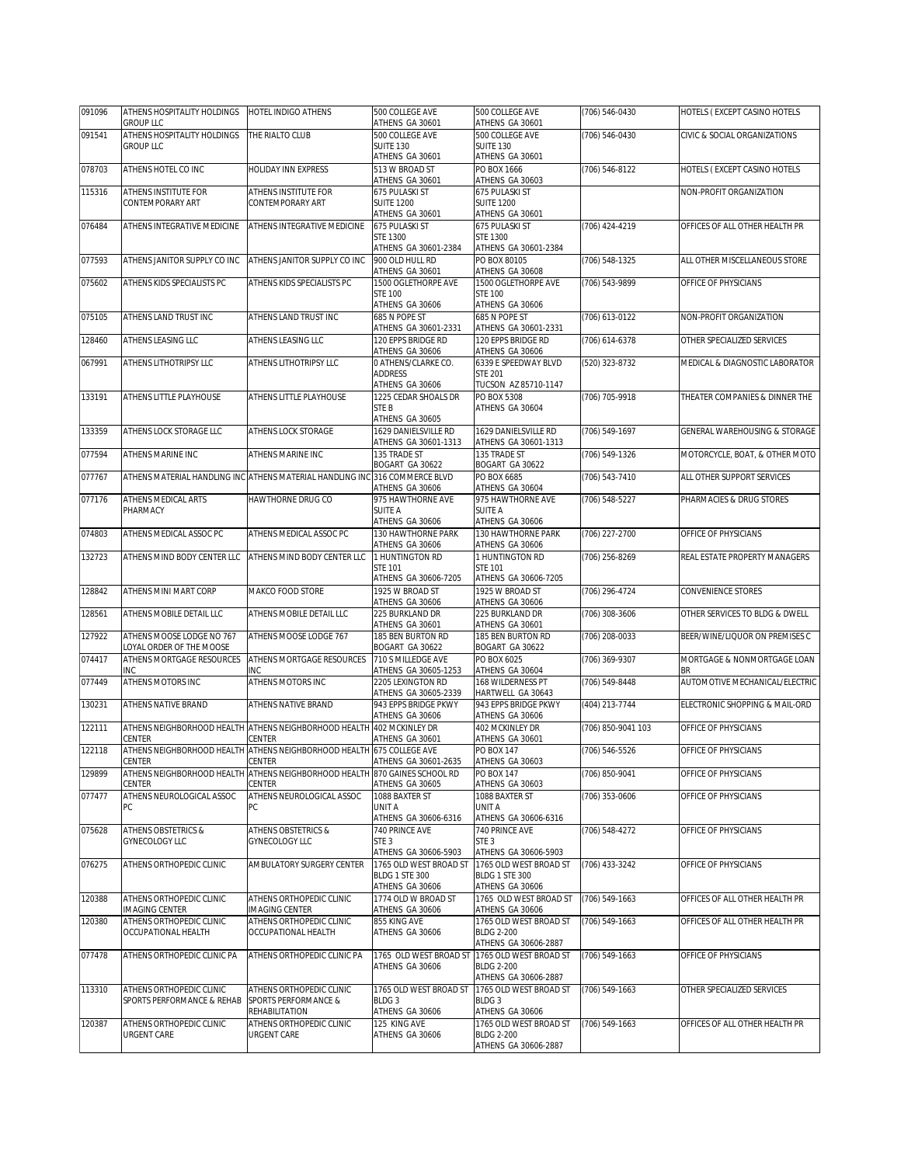| 091096 | ATHENS HOSPITALITY HOLDINGS<br><b>GROUP LLC</b>        | HOTEL INDIGO ATHENS                                                                  | 500 COLLEGE AVE<br>ATHENS GA 30601           | 500 COLLEGE AVE<br>ATHENS GA 30601          | (706) 546-0430     | HOTELS (EXCEPT CASINO HOTELS      |
|--------|--------------------------------------------------------|--------------------------------------------------------------------------------------|----------------------------------------------|---------------------------------------------|--------------------|-----------------------------------|
| 091541 | ATHENS HOSPITALITY HOLDINGS                            | THE RIALTO CLUB                                                                      | 500 COLLEGE AVE                              | 500 COLLEGE AVE                             | (706) 546-0430     | CIVIC & SOCIAL ORGANIZATIONS      |
|        | <b>GROUP LLC</b>                                       |                                                                                      | <b>SUITE 130</b><br>ATHENS GA 30601          | SUITE 130<br>ATHENS GA 30601                |                    |                                   |
| 078703 | ATHENS HOTEL CO INC                                    | HOLIDAY INN EXPRESS                                                                  | 513 W BROAD ST                               | PO BOX 1666                                 | (706) 546-8122     | HOTELS (EXCEPT CASINO HOTELS      |
|        |                                                        |                                                                                      | ATHENS GA 30601                              | ATHENS GA 30603                             |                    |                                   |
| 115316 | ATHENS INSTITUTE FOR<br>CONTEMPORARY ART               | ATHENS INSTITUTE FOR<br>CONTEMPORARY ART                                             | <b>675 PULASKI ST</b><br><b>SUITE 1200</b>   | 675 PULASKI ST<br><b>SUITE 1200</b>         |                    | NON-PROFIT ORGANIZATION           |
|        |                                                        |                                                                                      | ATHENS GA 30601                              | ATHENS GA 30601                             |                    |                                   |
| 076484 | ATHENS INTEGRATIVE MEDICINE                            | ATHENS INTEGRATIVE MEDICINE                                                          | 675 PULASKI ST<br>STE 1300                   | 675 PULASKI ST<br>STE 1300                  | (706) 424-4219     | OFFICES OF ALL OTHER HEALTH PR    |
|        |                                                        |                                                                                      | ATHENS GA 30601-2384                         | ATHENS GA 30601-2384                        |                    |                                   |
| 077593 | ATHENS JANITOR SUPPLY CO INC                           | ATHENS JANITOR SUPPLY CO INC                                                         | 900 OLD HULL RD<br>ATHENS GA 30601           | PO BOX 80105<br>ATHENS GA 30608             | (706) 548-1325     | ALL OTHER MISCELLANEOUS STORE     |
| 075602 | ATHENS KIDS SPECIALISTS PC                             | ATHENS KIDS SPECIALISTS PC                                                           | 1500 OGLETHORPE AVE                          | 1500 OGLETHORPE AVE                         | (706) 543-9899     | OFFICE OF PHYSICIANS              |
|        |                                                        |                                                                                      | <b>STE 100</b><br>ATHENS GA 30606            | <b>STE 100</b><br>ATHENS GA 30606           |                    |                                   |
| 075105 | ATHENS LAND TRUST INC                                  | ATHENS LAND TRUST INC                                                                | 685 N POPE ST                                | 685 N POPE ST                               | (706) 613-0122     | NON-PROFIT ORGANIZATION           |
|        |                                                        |                                                                                      | ATHENS GA 30601-2331                         | ATHENS GA 30601-2331                        |                    |                                   |
| 128460 | ATHENS LEASING LLC                                     | ATHENS LEASING LLC                                                                   | 120 EPPS BRIDGE RD<br>ATHENS GA 30606        | 120 EPPS BRIDGE RD<br>ATHENS GA 30606       | (706) 614-6378     | OTHER SPECIALIZED SERVICES        |
| 067991 | ATHENS LITHOTRIPSY LLC                                 | ATHENS LITHOTRIPSY LLC                                                               | O ATHENS/CLARKE CO.                          | 6339 E SPEEDWAY BLVD                        | (520) 323-8732     | MEDICAL & DIAGNOSTIC LABORATOR    |
|        |                                                        |                                                                                      | <b>ADDRESS</b><br>ATHENS GA 30606            | <b>STE 201</b><br>TUCSON AZ 85710-1147      |                    |                                   |
| 133191 | ATHENS LITTLE PLAYHOUSE                                | ATHENS LITTLE PLAYHOUSE                                                              | 1225 CEDAR SHOALS DR                         | PO BOX 5308                                 | (706) 705-9918     | THEATER COMPANIES & DINNER THE    |
|        |                                                        |                                                                                      | STE B<br>ATHENS GA 30605                     | ATHENS GA 30604                             |                    |                                   |
| 133359 | ATHENS LOCK STORAGE LLC                                | ATHENS LOCK STORAGE                                                                  | 1629 DANIELSVILLE RD                         | 1629 DANIELSVILLE RD                        | (706) 549-1697     | GENERAL WAREHOUSING & STORAGE     |
| 077594 | ATHENS MARINE INC                                      | ATHENS MARINE INC                                                                    | ATHENS GA 30601-1313<br>135 TRADE ST         | ATHENS GA 30601-1313<br>135 TRADE ST        | (706) 549-1326     | MOTORCYCLE, BOAT, & OTHER MOTO    |
|        |                                                        |                                                                                      | BOGART GA 30622                              | BOGART GA 30622                             |                    |                                   |
| 077767 |                                                        | ATHENS MATERIAL HANDLING INC ATHENS MATERIAL HANDLING INC 316 COMMERCE BLVD          | ATHENS GA 30606                              | PO BOX 6685<br>ATHENS GA 30604              | $(706) 543 - 7410$ | ALL OTHER SUPPORT SERVICES        |
| 077176 | <b>ATHENS MEDICAL ARTS</b>                             | HAWTHORNE DRUG CO                                                                    | 975 HAWTHORNE AVE                            | 975 HAWTHORNE AVE                           | (706) 548-5227     | PHARMACIES & DRUG STORES          |
|        | PHARMACY                                               |                                                                                      | SUITE A<br>ATHENS GA 30606                   | <b>SUITE A</b><br>ATHENS GA 30606           |                    |                                   |
| 074803 | ATHENS MEDICAL ASSOC PC                                | ATHENS MEDICAL ASSOC PC                                                              | 130 HAWTHORNE PARK                           | 130 HAWTHORNE PARK                          | (706) 227-2700     | OFFICE OF PHYSICIANS              |
|        |                                                        |                                                                                      | ATHENS GA 30606                              | ATHENS GA 30606                             |                    |                                   |
| 132723 | ATHENS MIND BODY CENTER LLC                            | ATHENS MIND BODY CENTER LLC                                                          | 1 HUNTINGTON RD<br><b>STE 101</b>            | 1 HUNTINGTON RD<br><b>STE 101</b>           | (706) 256-8269     | REAL ESTATE PROPERTY MANAGERS     |
|        |                                                        |                                                                                      | ATHENS GA 30606-7205                         | ATHENS GA 30606-7205                        |                    |                                   |
| 128842 | ATHENS MINI MART CORP                                  | MAKCO FOOD STORE                                                                     | 1925 W BROAD ST<br>ATHENS GA 30606           | 1925 W BROAD ST<br>ATHENS GA 30606          | (706) 296-4724     | CONVENIENCE STORES                |
| 128561 | ATHENS MOBILE DETAIL LLC                               | ATHENS MOBILE DETAIL LLC                                                             | 225 BURKLAND DR                              | 225 BURKLAND DR                             | (706) 308-3606     | OTHER SERVICES TO BLDG & DWELL    |
| 127922 | ATHENS MOOSE LODGE NO 767                              | ATHENS MOOSE LODGE 767                                                               | ATHENS GA 30601<br>185 BEN BURTON RD         | ATHENS GA 30601<br>185 BEN BURTON RD        | (706) 208-0033     | BEER/WINE/LIQUOR ON PREMISES C    |
|        | LOYAL ORDER OF THE MOOSE                               |                                                                                      | BOGART GA 30622                              | BOGART GA 30622                             |                    |                                   |
| 074417 | ATHENS MORTGAGE RESOURCES<br>INC                       | ATHENS MORTGAGE RESOURCES<br>INC                                                     | 710 S MILLEDGE AVE<br>ATHENS GA 30605-1253   | PO BOX 6025<br>ATHENS GA 30604              | (706) 369-9307     | MORTGAGE & NONMORTGAGE LOAN<br>BR |
| 077449 | ATHENS MOTORS INC                                      | ATHENS MOTORS INC                                                                    | 2205 LEXINGTON RD                            | 168 WILDERNESS PT                           | (706) 549-8448     | AUTOMOTIVE MECHANICAL/ELECTRIC    |
| 130231 | ATHENS NATIVE BRAND                                    | ATHENS NATIVE BRAND                                                                  | ATHENS GA 30605-2339<br>943 EPPS BRIDGE PKWY | HARTWELL GA 30643<br>943 EPPS BRIDGE PKWY   | (404) 213-7744     | ELECTRONIC SHOPPING & MAIL-ORD    |
|        |                                                        |                                                                                      | ATHENS GA 30606                              | ATHENS GA 30606                             |                    |                                   |
| 122111 | CENTER                                                 | ATHENS NEIGHBORHOOD HEALTH ATHENS NEIGHBORHOOD HEALTH 402 MCKINLEY DR<br>CENTER      | ATHENS GA 30601                              | 402 MCKINLEY DR<br>ATHENS GA 30601          | (706) 850-9041 103 | OFFICE OF PHYSICIANS              |
| 122118 |                                                        | ATHENS NEIGHBORHOOD HEALTH ATHENS NEIGHBORHOOD HEALTH                                | 675 COLLEGE AVE                              | PO BOX 147                                  | (706) 546-5526     | OFFICE OF PHYSICIANS              |
| 129899 | CENTER                                                 | CENTER<br>ATHENS NEIGHBORHOOD HEALTH ATHENS NEIGHBORHOOD HEALTH 870 GAINES SCHOOL RD | ATHENS GA 30601-2635                         | ATHENS GA 30603<br>PO BOX 147               | (706) 850-9041     | OFFICE OF PHYSICIANS              |
|        | CENTER                                                 | CENTER                                                                               | ATHENS GA 30605                              | ATHENS GA 30603                             |                    |                                   |
| 077477 | ATHENS NEUROLOGICAL ASSOC<br>РC                        | ATHENS NEUROLOGICAL ASSOC<br>PC                                                      | 1088 BAXTER ST<br>UNIT A                     | 1088 BAXTER ST<br>UNIT A                    | (706) 353-0606     | OFFICE OF PHYSICIANS              |
|        |                                                        |                                                                                      | ATHENS GA 30606-6316                         | ATHENS GA 30606-6316                        |                    |                                   |
| 075628 | ATHENS OBSTETRICS &                                    | ATHENS OBSTETRICS &                                                                  | 740 PRINCE AVE                               | 740 PRINCE AVE                              | (706) 548-4272     | OFFICE OF PHYSICIANS              |
|        | GYNECOLOGY LLC                                         | GYNECOLOGY LLC                                                                       | STE <sub>3</sub><br>ATHENS GA 30606-5903     | STE <sub>3</sub><br>ATHENS GA 30606-5903    |                    |                                   |
| 076275 | ATHENS ORTHOPEDIC CLINIC                               | AMBULATORY SURGERY CENTER                                                            | 1765 OLD WEST BROAD ST                       | 1765 OLD WEST BROAD ST                      | (706) 433-3242     | OFFICE OF PHYSICIANS              |
|        |                                                        |                                                                                      | BLDG 1 STE 300<br>ATHENS GA 30606            | BLDG 1 STE 300<br>ATHENS GA 30606           |                    |                                   |
| 120388 | ATHENS ORTHOPEDIC CLINIC                               | ATHENS ORTHOPEDIC CLINIC                                                             | 1774 OLD W BROAD ST                          | 1765 OLD WEST BROAD ST                      | (706) 549-1663     | OFFICES OF ALL OTHER HEALTH PR    |
| 120380 | <b>IMAGING CENTER</b><br>ATHENS ORTHOPEDIC CLINIC      | IMAGING CENTER<br>ATHENS ORTHOPEDIC CLINIC                                           | ATHENS GA 30606<br>855 KING AVE              | ATHENS GA 30606<br>1765 OLD WEST BROAD ST   | (706) 549-1663     | OFFICES OF ALL OTHER HEALTH PR    |
|        | OCCUPATIONAL HEALTH                                    | OCCUPATIONAL HEALTH                                                                  | ATHENS GA 30606                              | <b>BLDG 2-200</b>                           |                    |                                   |
|        |                                                        |                                                                                      |                                              | ATHENS GA 30606-2887                        |                    |                                   |
| 077478 | ATHENS ORTHOPEDIC CLINIC PA                            | ATHENS ORTHOPEDIC CLINIC PA                                                          | 1765 OLD WEST BROAD ST<br>ATHENS GA 30606    | 1765 OLD WEST BROAD ST<br><b>BLDG 2-200</b> | (706) 549-1663     | OFFICE OF PHYSICIANS              |
|        |                                                        |                                                                                      |                                              | ATHENS GA 30606-2887                        |                    |                                   |
| 113310 | ATHENS ORTHOPEDIC CLINIC<br>SPORTS PERFORMANCE & REHAB | ATHENS ORTHOPEDIC CLINIC<br>SPORTS PERFORMANCE &                                     | 1765 OLD WEST BROAD ST<br>BLDG <sub>3</sub>  | 1765 OLD WEST BROAD ST<br>BLDG <sub>3</sub> | (706) 549-1663     | OTHER SPECIALIZED SERVICES        |
|        |                                                        | REHABILITATION                                                                       | ATHENS GA 30606                              | ATHENS GA 30606                             |                    |                                   |
| 120387 | ATHENS ORTHOPEDIC CLINIC<br><b>URGENT CARE</b>         | ATHENS ORTHOPEDIC CLINIC<br>URGENT CARE                                              | 125 KING AVE<br>ATHENS GA 30606              | 1765 OLD WEST BROAD ST<br><b>BLDG 2-200</b> | (706) 549-1663     | OFFICES OF ALL OTHER HEALTH PR    |
|        |                                                        |                                                                                      |                                              | ATHENS GA 30606-2887                        |                    |                                   |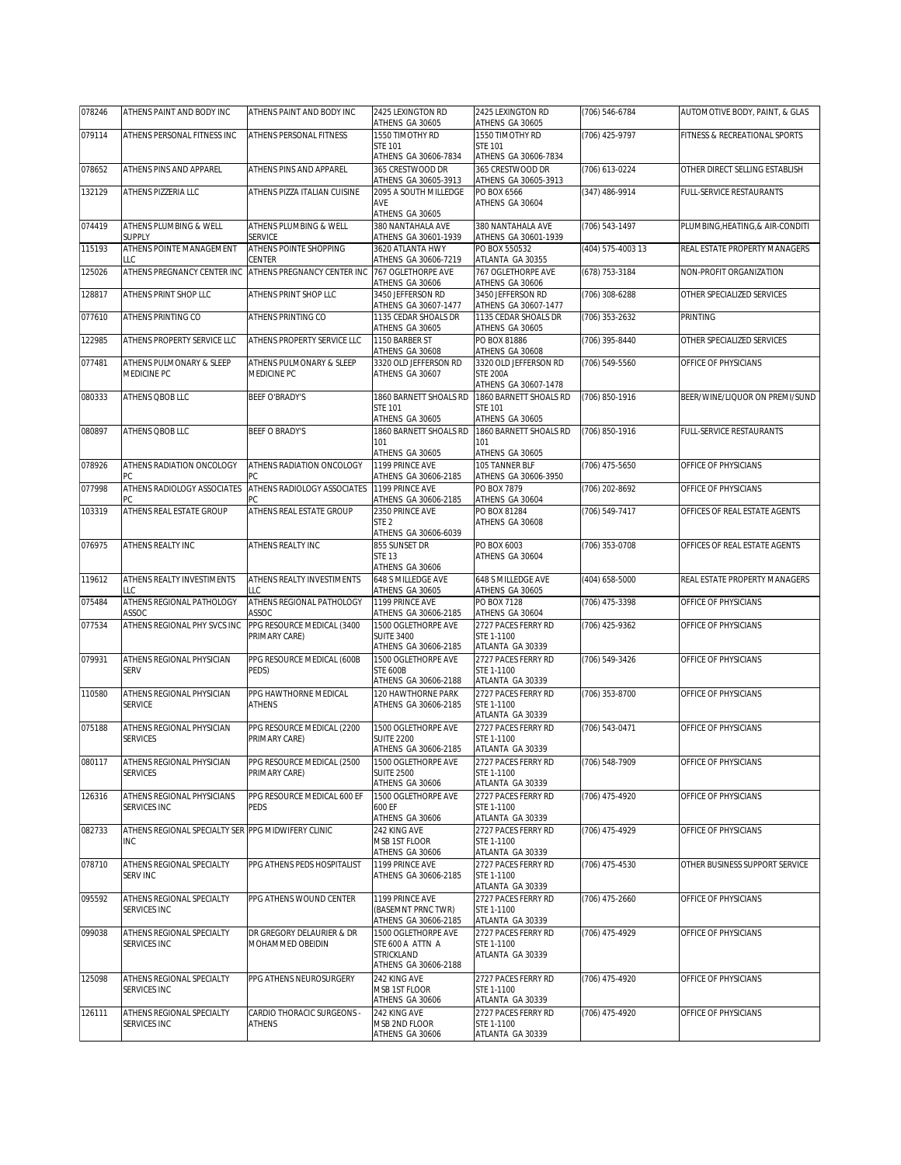| 078246 | ATHENS PAINT AND BODY INC                          | ATHENS PAINT AND BODY INC                     | 2425 LEXINGTON RD<br>ATHENS GA 30605        | 2425 LEXINGTON RD<br>ATHENS GA 30605       | (706) 546-6784     | AUTOMOTIVE BODY, PAINT, & GLAS   |
|--------|----------------------------------------------------|-----------------------------------------------|---------------------------------------------|--------------------------------------------|--------------------|----------------------------------|
| 079114 | ATHENS PERSONAL FITNESS INC                        | ATHENS PERSONAL FITNESS                       | 1550 TIMOTHY RD                             | 1550 TIMOTHY RD                            | (706) 425-9797     | FITNESS & RECREATIONAL SPORTS    |
|        |                                                    |                                               | <b>STF 101</b>                              | <b>STF 101</b>                             |                    |                                  |
| 078652 | ATHENS PINS AND APPAREL                            | ATHENS PINS AND APPAREL                       | ATHENS GA 30606-7834<br>365 CRESTWOOD DR    | ATHENS GA 30606-7834<br>365 CRESTWOOD DR   | (706) 613-0224     | OTHER DIRECT SELLING ESTABLISH   |
|        |                                                    |                                               | ATHENS GA 30605-3913                        | ATHENS GA 30605-3913                       |                    |                                  |
| 132129 | <b>ATHENS PIZZERIA LLC</b>                         | ATHENS PIZZA ITALIAN CUISINE                  | 2095 A SOUTH MILLEDGE                       | PO BOX 6566                                | (347) 486-9914     | FULL-SERVICE RESTAURANTS         |
|        |                                                    |                                               | AVE<br>ATHENS GA 30605                      | ATHENS GA 30604                            |                    |                                  |
| 074419 | ATHENS PLUMBING & WELL                             | ATHENS PLUMBING & WELL                        | 380 NANTAHALA AVE                           | 380 NANTAHALA AVE                          | (706) 543-1497     | PLUMBING, HEATING, & AIR-CONDITI |
|        | <b>SUPPLY</b>                                      | <b>SERVICE</b>                                | ATHENS GA 30601-1939                        | ATHENS GA 30601-1939                       |                    |                                  |
| 115193 | ATHENS POINTE MANAGEMENT                           | ATHENS POINTE SHOPPING                        | 3620 ATLANTA HWY                            | PO BOX 550532                              | (404) 575-4003 13  | REAL ESTATE PROPERTY MANAGERS    |
|        | LLC.<br>ATHENS PREGNANCY CENTER INC                | CENTER<br>ATHENS PREGNANCY CENTER INC         | ATHENS GA 30606-7219<br>767 OGLETHORPE AVE  | ATLANTA GA 30355<br>767 OGLETHORPE AVE     |                    |                                  |
| 125026 |                                                    |                                               | ATHENS GA 30606                             | ATHENS GA 30606                            | (678) 753-3184     | NON-PROFIT ORGANIZATION          |
| 128817 | ATHENS PRINT SHOP LLC                              | ATHENS PRINT SHOP LLC                         | 3450 JEFFERSON RD                           | 3450 JEFFERSON RD                          | (706) 308-6288     | OTHER SPECIALIZED SERVICES       |
|        |                                                    |                                               | ATHENS GA 30607-1477                        | ATHENS GA 30607-1477                       |                    |                                  |
| 077610 | ATHENS PRINTING CO                                 | ATHENS PRINTING CO                            | 1135 CEDAR SHOALS DR<br>ATHENS GA 30605     | 1135 CEDAR SHOALS DR<br>ATHENS GA 30605    | (706) 353-2632     | <b>PRINTING</b>                  |
| 122985 | ATHENS PROPERTY SERVICE LLC                        | ATHENS PROPERTY SERVICE LLC                   | 1150 BARBER ST                              | PO BOX 81886                               | (706) 395-8440     | OTHER SPECIALIZED SERVICES       |
|        |                                                    |                                               | ATHENS GA 30608                             | ATHENS GA 30608                            |                    |                                  |
| 077481 | ATHENS PULMONARY & SLEEP                           | ATHENS PULMONARY & SLEEP                      | 3320 OLD JEFFERSON RD                       | 3320 OLD JEFFERSON RD                      | (706) 549-5560     | OFFICE OF PHYSICIANS             |
|        | MEDICINE PC                                        | MEDICINE PC                                   | ATHENS GA 30607                             | <b>STE 200A</b><br>ATHENS GA 30607-1478    |                    |                                  |
| 080333 | <b>ATHENS OBOB LLC</b>                             | <b>BEEF O'BRADY'S</b>                         | 1860 BARNETT SHOALS RD                      | 1860 BARNETT SHOALS RD                     | (706) 850-1916     | BEER/WINE/LIQUOR ON PREMI/SUND   |
|        |                                                    |                                               | <b>STF 101</b>                              | <b>STE 101</b>                             |                    |                                  |
|        |                                                    |                                               | ATHENS GA 30605                             | ATHENS GA 30605                            |                    |                                  |
| 080897 | ATHENS QBOB LLC                                    | <b>BEEF O BRADY'S</b>                         | 1860 BARNETT SHOALS RD<br>101               | 1860 BARNETT SHOALS RD<br>101              | (706) 850-1916     | FULL-SERVICE RESTAURANTS         |
|        |                                                    |                                               | ATHENS GA 30605                             | ATHENS GA 30605                            |                    |                                  |
| 078926 | ATHENS RADIATION ONCOLOGY                          | ATHENS RADIATION ONCOLOGY                     | 1199 PRINCE AVE                             | 105 TANNER BLF                             | (706) 475-5650     | OFFICE OF PHYSICIANS             |
|        | РC                                                 | РC                                            | ATHENS GA 30606-2185                        | ATHENS GA 30606-3950<br><b>PO BOX 7879</b> |                    |                                  |
| 077998 | ATHENS RADIOLOGY ASSOCIATES<br>PC.                 | ATHENS RADIOLOGY ASSOCIATES                   | 1199 PRINCE AVE<br>ATHENS GA 30606-2185     | ATHENS GA 30604                            | (706) 202-8692     | OFFICE OF PHYSICIANS             |
| 103319 | ATHENS REAL ESTATE GROUP                           | ATHENS REAL ESTATE GROUP                      | 2350 PRINCE AVE                             | PO BOX 81284                               | (706) 549-7417     | OFFICES OF REAL ESTATE AGENTS    |
|        |                                                    |                                               | STE <sub>2</sub>                            | ATHENS GA 30608                            |                    |                                  |
|        |                                                    |                                               | ATHENS GA 30606-6039                        |                                            |                    |                                  |
| 076975 | ATHENS REALTY INC                                  | ATHENS REALTY INC                             | 855 SUNSET DR<br><b>STE 13</b>              | PO BOX 6003<br>ATHENS GA 30604             | (706) 353-0708     | OFFICES OF REAL ESTATE AGENTS    |
|        |                                                    |                                               | ATHENS GA 30606                             |                                            |                    |                                  |
|        |                                                    |                                               |                                             |                                            |                    |                                  |
| 119612 | ATHENS REALTY INVESTIMENTS                         | ATHENS REALTY INVESTIMENTS                    | 648 S MILLEDGE AVE                          | 648 S MILLEDGE AVE                         | (404) 658-5000     | REAL ESTATE PROPERTY MANAGERS    |
|        | LLC                                                | LLC                                           | ATHENS GA 30605                             | ATHENS GA 30605                            |                    |                                  |
| 075484 | ATHENS REGIONAL PATHOLOGY<br>ASSOC                 | ATHENS REGIONAL PATHOLOGY<br>ASSOC            | 1199 PRINCE AVE<br>ATHENS GA 30606-2185     | <b>PO BOX 7128</b><br>ATHENS GA 30604      | (706) 475-3398     | OFFICE OF PHYSICIANS             |
| 077534 | ATHENS REGIONAL PHY SVCS INC                       | PPG RESOURCE MEDICAL (3400                    | 1500 OGLETHORPE AVE                         | 2727 PACES FERRY RD                        | (706) 425-9362     | OFFICE OF PHYSICIANS             |
|        |                                                    | PRIMARY CARE)                                 | <b>SUITE 3400</b>                           | STE 1-1100                                 |                    |                                  |
|        |                                                    |                                               | ATHENS GA 30606-2185                        | ATLANTA GA 30339                           |                    |                                  |
| 079931 | ATHENS REGIONAL PHYSICIAN<br><b>SERV</b>           | PPG RESOURCE MEDICAL (600B<br>PEDS)           | 1500 OGLETHORPE AVE<br><b>STE 600B</b>      | 2727 PACES FERRY RD<br>STE 1-1100          | (706) 549-3426     | OFFICE OF PHYSICIANS             |
|        |                                                    |                                               | ATHENS GA 30606-2188                        | ATLANTA GA 30339                           |                    |                                  |
| 110580 | ATHENS REGIONAL PHYSICIAN                          | PPG HAWTHORNE MEDICAL                         | 120 HAWTHORNE PARK                          | 2727 PACES FERRY RD                        | (706) 353-8700     | OFFICE OF PHYSICIANS             |
|        | <b>SERVICE</b>                                     | <b>ATHENS</b>                                 | ATHENS GA 30606-2185                        | STE 1-1100                                 |                    |                                  |
| 075188 | ATHENS REGIONAL PHYSICIAN                          | PPG RESOURCE MEDICAL (2200                    | 1500 OGLETHORPE AVE                         | ATLANTA GA 30339<br>2727 PACES FERRY RD    | $(706) 543 - 0471$ | OFFICE OF PHYSICIANS             |
|        | <b>SERVICES</b>                                    | PRIMARY CARE)                                 | <b>SUITE 2200</b>                           | STE 1-1100                                 |                    |                                  |
|        |                                                    |                                               | ATHENS GA 30606-2185                        | ATLANTA GA 30339                           |                    |                                  |
| 080117 | ATHENS REGIONAL PHYSICIAN<br><b>SERVICES</b>       | PPG RESOURCE MEDICAL (2500<br>PRIMARY CARE)   | 1500 OGLETHORPE AVE<br><b>SUITE 2500</b>    | 2727 PACES FERRY RD<br>STE 1-1100          | (706) 548-7909     | OFFICE OF PHYSICIANS             |
|        |                                                    |                                               | ATHENS GA 30606                             | ATLANTA GA 30339                           |                    |                                  |
| 126316 | ATHENS REGIONAL PHYSICIANS                         | PPG RESOURCE MEDICAL 600 EF                   | 1500 OGLETHORPE AVE                         | 2727 PACES FERRY RD                        | (706) 475-4920     | OFFICE OF PHYSICIANS             |
|        | SERVICES INC                                       | PEDS                                          | 600 EF                                      | STE 1-1100                                 |                    |                                  |
| 082733 | ATHENS REGIONAL SPECIALTY SER PPG MIDWIFERY CLINIC |                                               | ATHENS GA 30606<br>242 KING AVE             | ATLANTA GA 30339<br>2727 PACES FERRY RD    | (706) 475-4929     | OFFICE OF PHYSICIANS             |
|        | <b>INC</b>                                         |                                               | MSB 1ST FLOOR                               | STE 1-1100                                 |                    |                                  |
|        |                                                    |                                               | ATHENS GA 30606                             | ATLANTA GA 30339                           |                    |                                  |
| 078710 | ATHENS REGIONAL SPECIALTY                          | PPG ATHENS PEDS HOSPITALIST                   | 1199 PRINCE AVE                             | 2727 PACES FERRY RD<br>STE 1-1100          | (706) 475-4530     | OTHER BUSINESS SUPPORT SERVICE   |
|        | <b>SERV INC</b>                                    |                                               | ATHENS GA 30606-2185                        | ATLANTA GA 30339                           |                    |                                  |
| 095592 | ATHENS REGIONAL SPECIALTY                          | PPG ATHENS WOUND CENTER                       | 1199 PRINCE AVE                             | 2727 PACES FERRY RD                        | (706) 475-2660     | OFFICE OF PHYSICIANS             |
|        | SERVICES INC                                       |                                               | (BASEMNT PRNC TWR)                          | STE 1-1100                                 |                    |                                  |
|        |                                                    |                                               | ATHENS GA 30606-2185<br>1500 OGLETHORPE AVE | ATLANTA GA 30339                           |                    |                                  |
| 099038 | ATHENS REGIONAL SPECIALTY<br>SERVICES INC          | DR GREGORY DELAURIER & DR<br>MOHAMMED OBEIDIN | STE 600 A ATTN A                            | 2727 PACES FERRY RD<br>STE 1-1100          | (706) 475-4929     | OFFICE OF PHYSICIANS             |
|        |                                                    |                                               | STRICKLAND                                  | ATLANTA GA 30339                           |                    |                                  |
|        |                                                    |                                               | ATHENS GA 30606-2188                        |                                            |                    |                                  |
| 125098 | ATHENS REGIONAL SPECIALTY<br>SERVICES INC          | PPG ATHENS NEUROSURGERY                       | 242 KING AVE<br>MSB 1ST FLOOR               | 2727 PACES FERRY RD<br>STE 1-1100          | (706) 475-4920     | OFFICE OF PHYSICIANS             |
|        |                                                    |                                               | ATHENS GA 30606                             | ATLANTA GA 30339                           |                    |                                  |
| 126111 | ATHENS REGIONAL SPECIALTY<br>SERVICES INC          | CARDIO THORACIC SURGEONS -<br><b>ATHENS</b>   | 242 KING AVE<br>MSB 2ND FLOOR               | 2727 PACES FERRY RD<br>STE 1-1100          | (706) 475-4920     | OFFICE OF PHYSICIANS             |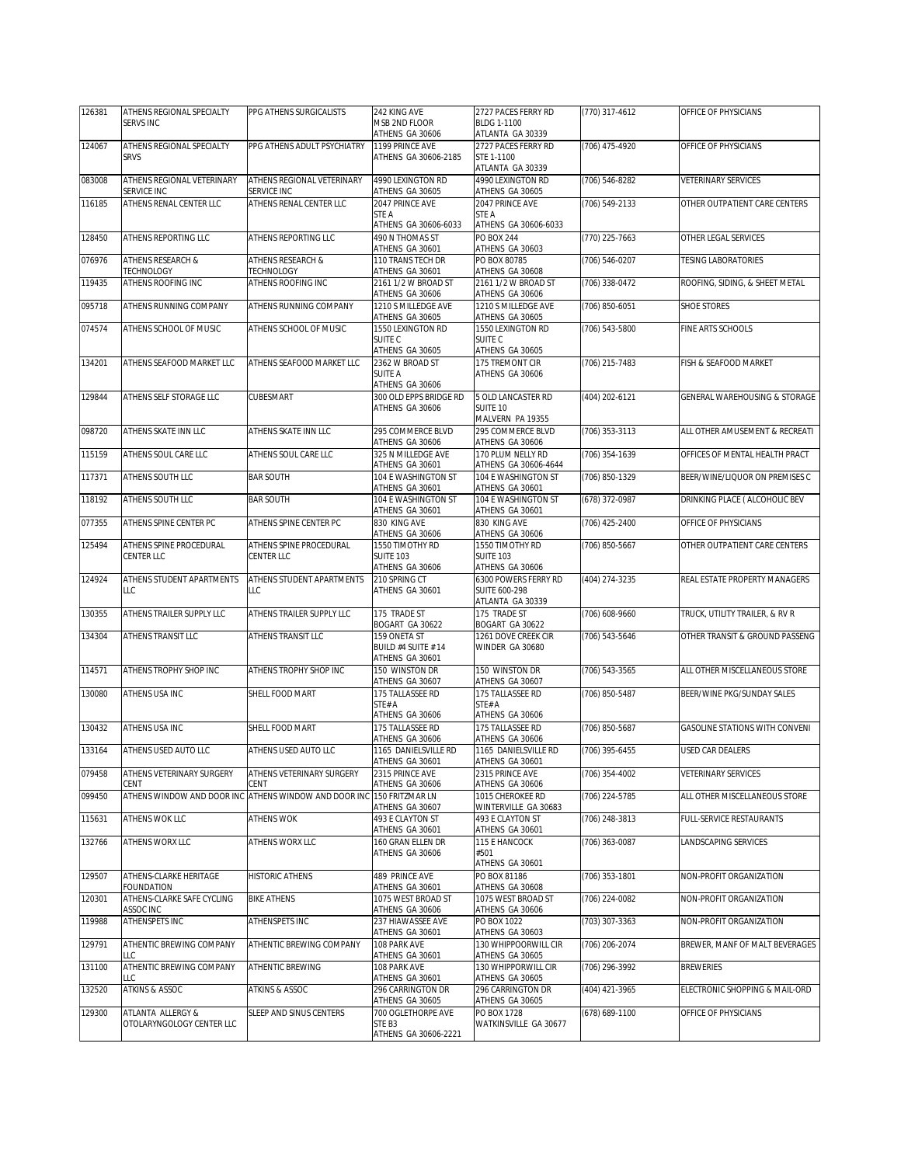| 126381 | ATHENS REGIONAL SPECIALTY               | PPG ATHENS SURGICALISTS                                                       | 242 KING AVE                              | 2727 PACES FERRY RD                       | (770) 317-4612     | OFFICE OF PHYSICIANS           |
|--------|-----------------------------------------|-------------------------------------------------------------------------------|-------------------------------------------|-------------------------------------------|--------------------|--------------------------------|
|        | <b>SERVS INC</b>                        |                                                                               | MSB 2ND FLOOR<br>ATHENS GA 30606          | BLDG 1-1100<br>ATLANTA GA 30339           |                    |                                |
| 124067 | ATHENS REGIONAL SPECIALTY               | PPG ATHENS ADULT PSYCHIATRY                                                   | 1199 PRINCE AVE                           | 2727 PACES FERRY RD                       | (706) 475-4920     | OFFICE OF PHYSICIANS           |
|        | SRVS                                    |                                                                               | ATHENS GA 30606-2185                      | STE 1-1100<br>ATLANTA GA 30339            |                    |                                |
| 083008 | ATHENS REGIONAL VETERINARY              | ATHENS REGIONAL VETERINARY                                                    | 4990 LEXINGTON RD                         | 4990 LEXINGTON RD                         | $(706) 546 - 8282$ | <b>VETERINARY SERVICES</b>     |
| 116185 | SERVICE INC<br>ATHENS RENAL CENTER LLC  | SERVICE INC<br>ATHENS RENAL CENTER LLC                                        | ATHENS GA 30605<br>2047 PRINCE AVE        | ATHENS GA 30605<br>2047 PRINCE AVE        | (706) 549-2133     | OTHER OUTPATIENT CARE CENTERS  |
|        |                                         |                                                                               | STE A                                     | STE A                                     |                    |                                |
|        |                                         |                                                                               | ATHENS GA 30606-6033                      | ATHENS GA 30606-6033                      |                    |                                |
| 128450 | ATHENS REPORTING LLC                    | ATHENS REPORTING LLC                                                          | 490 N THOMAS ST<br>ATHENS GA 30601        | <b>PO BOX 244</b><br>ATHENS GA 30603      | (770) 225-7663     | OTHER LEGAL SERVICES           |
| 076976 | <b>ATHENS RESEARCH &amp;</b>            | ATHENS RESEARCH &                                                             | 110 TRANS TECH DR                         | PO BOX 80785                              | (706) 546-0207     | <b>TESING LABORATORIES</b>     |
| 119435 | TECHNOLOGY<br>ATHENS ROOFING INC        | TECHNOLOGY<br>ATHENS ROOFING INC                                              | ATHENS GA 30601<br>2161 1/2 W BROAD ST    | ATHENS GA 30608<br>2161 1/2 W BROAD ST    | (706) 338-0472     | ROOFING, SIDING, & SHEET METAL |
|        |                                         |                                                                               | ATHENS GA 30606                           | ATHENS GA 30606                           |                    |                                |
| 095718 | ATHENS RUNNING COMPANY                  | ATHENS RUNNING COMPANY                                                        | 1210 S MILLEDGE AVE<br>ATHENS GA 30605    | 1210 S MILLEDGE AVE<br>ATHENS GA 30605    | (706) 850-6051     | <b>SHOE STORES</b>             |
| 074574 | ATHENS SCHOOL OF MUSIC                  | ATHENS SCHOOL OF MUSIC                                                        | 1550 LEXINGTON RD                         | 1550 LEXINGTON RD                         | (706) 543-5800     | FINE ARTS SCHOOLS              |
|        |                                         |                                                                               | SUITE C<br>ATHENS GA 30605                | SUITE C<br>ATHENS GA 30605                |                    |                                |
| 134201 | ATHENS SEAFOOD MARKET LLC               | ATHENS SEAFOOD MARKET LLC                                                     | 2362 W BROAD ST                           | 175 TREMONT CIR                           | (706) 215-7483     | FISH & SEAFOOD MARKET          |
|        |                                         |                                                                               | <b>SUITE A</b>                            | ATHENS GA 30606                           |                    |                                |
| 129844 | ATHENS SELF STORAGE LLC                 | CUBESMART                                                                     | ATHENS GA 30606<br>300 OLD EPPS BRIDGE RD | 5 OLD LANCASTER RD                        | (404) 202-6121     | GENERAL WAREHOUSING & STORAGE  |
|        |                                         |                                                                               | ATHENS GA 30606                           | SUITE 10                                  |                    |                                |
| 098720 | ATHENS SKATE INN LLC                    | ATHENS SKATE INN LLC                                                          | 295 COMMERCE BLVD                         | MALVERN PA 19355<br>295 COMMERCE BLVD     | (706) 353-3113     | ALL OTHER AMUSEMENT & RECREATI |
|        |                                         |                                                                               | ATHENS GA 30606                           | ATHENS GA 30606                           |                    |                                |
| 115159 | ATHENS SOUL CARE LLC                    | ATHENS SOUL CARE LLC                                                          | 325 N MILLEDGE AVE<br>ATHENS GA 30601     | 170 PLUM NELLY RD<br>ATHENS GA 30606-4644 | (706) 354-1639     | OFFICES OF MENTAL HEALTH PRACT |
| 117371 | ATHENS SOUTH LLC                        | <b>BAR SOUTH</b>                                                              | 104 E WASHINGTON ST                       | 104 E WASHINGTON ST                       | (706) 850-1329     | BEER/WINE/LIQUOR ON PREMISES C |
|        |                                         |                                                                               | ATHENS GA 30601                           | ATHENS GA 30601                           |                    |                                |
| 118192 | ATHENS SOUTH LLC                        | <b>BAR SOUTH</b>                                                              | 104 E WASHINGTON ST<br>ATHENS GA 30601    | 104 E WASHINGTON ST<br>ATHENS GA 30601    | (678) 372-0987     | DRINKING PLACE ( ALCOHOLIC BEV |
| 077355 | ATHENS SPINE CENTER PC                  | ATHENS SPINE CENTER PC                                                        | 830 KING AVE                              | 830 KING AVE                              | (706) 425-2400     | OFFICE OF PHYSICIANS           |
| 125494 | ATHENS SPINE PROCEDURAL                 | ATHENS SPINE PROCEDURAL                                                       | ATHENS GA 30606<br>1550 TIMOTHY RD        | ATHENS GA 30606<br>1550 TIMOTHY RD        | (706) 850-5667     | OTHER OUTPATIENT CARE CENTERS  |
|        | CENTER LLC                              | CENTER LLC                                                                    | <b>SUITE 103</b>                          | <b>SUITE 103</b>                          |                    |                                |
| 124924 | ATHENS STUDENT APARTMENTS               | ATHENS STUDENT APARTMENTS                                                     | ATHENS GA 30606<br>210 SPRING CT          | ATHENS GA 30606<br>6300 POWERS FERRY RD   | (404) 274-3235     | REAL ESTATE PROPERTY MANAGERS  |
|        | LLC                                     | LLC                                                                           | ATHENS GA 30601                           | SUITE 600-298                             |                    |                                |
| 130355 | ATHENS TRAILER SUPPLY LLC               | ATHENS TRAILER SUPPLY LLC                                                     | 175 TRADE ST                              | ATLANTA GA 30339<br>175 TRADE ST          | (706) 608-9660     | TRUCK, UTILITY TRAILER, & RV R |
|        |                                         |                                                                               | BOGART GA 30622                           | BOGART GA 30622                           |                    |                                |
| 134304 | <b>ATHENS TRANSIT LLC</b>               | ATHENS TRANSIT LLC                                                            | 159 ONETA ST                              | 1261 DOVE CREEK CIR                       | (706) 543-5646     | OTHER TRANSIT & GROUND PASSENG |
|        |                                         |                                                                               | BUILD #4 SUITE # 14<br>ATHENS GA 30601    | WINDER GA 30680                           |                    |                                |
| 114571 | ATHENS TROPHY SHOP INC                  | ATHENS TROPHY SHOP INC                                                        | 150 WINSTON DR                            | 150 WINSTON DR                            | (706) 543-3565     | ALL OTHER MISCELLANEOUS STORE  |
| 130080 | <b>ATHENS USA INC</b>                   | SHELL FOOD MART                                                               | ATHENS GA 30607<br>175 TALLASSEE RD       | ATHENS GA 30607<br>175 TALLASSEE RD       | (706) 850-5487     | BEER/WINE PKG/SUNDAY SALES     |
|        |                                         |                                                                               | STE#A                                     | STE#A                                     |                    |                                |
| 130432 | ATHENS USA INC                          | SHELL FOOD MART                                                               | ATHENS GA 30606<br>175 TALLASSEE RD       | ATHENS GA 30606<br>175 TALLASSEE RD       | (706) 850-5687     | GASOLINE STATIONS WITH CONVENI |
|        |                                         |                                                                               | ATHENS GA 30606                           | ATHENS GA 30606                           |                    |                                |
| 133164 | ATHENS USED AUTO LLC                    | ATHENS USED AUTO LLC                                                          | 1165 DANIELSVILLE RD<br>ATHENS GA 30601   | 1165 DANIELSVILLE RD<br>ATHENS GA 30601   | (706) 395-6455     | USED CAR DEALERS               |
| 079458 | ATHENS VETERINARY SURGERY               | ATHENS VETERINARY SURGERY                                                     | 2315 PRINCE AVE                           | 2315 PRINCE AVE                           | (706) 354-4002     | VETERINARY SERVICES            |
| 099450 | CENT                                    | CENT<br>ATHENS WINDOW AND DOOR INC ATHENS WINDOW AND DOOR INC 150 FRITZMAR LN | ATHENS GA 30606                           | ATHENS GA 30606<br>1015 CHEROKEE RD       | (706) 224-5785     | ALL OTHER MISCELLANEOUS STORE  |
|        |                                         |                                                                               | ATHENS GA 30607                           | WINTERVILLE GA 30683                      |                    |                                |
| 115631 | ATHENS WOK LLC                          | ATHENS WOK                                                                    | 493 E CLAYTON ST<br>ATHENS GA 30601       | 493 E CLAYTON ST                          | (706) 248-3813     | FULL-SERVICE RESTAURANTS       |
| 132766 | ATHENS WORX LLC                         | ATHENS WORX LLC                                                               | 160 GRAN ELLEN DR                         | ATHENS GA 30601<br>115 E HANCOCK          | (706) 363-0087     | LANDSCAPING SERVICES           |
|        |                                         |                                                                               | ATHENS GA 30606                           | #501                                      |                    |                                |
| 129507 | ATHENS-CLARKE HERITAGE                  | <b>HISTORIC ATHENS</b>                                                        | 489 PRINCE AVE                            | ATHENS GA 30601<br>PO BOX 81186           | (706) 353-1801     | NON-PROFIT ORGANIZATION        |
|        | FOUNDATION                              |                                                                               | ATHENS GA 30601                           | ATHENS GA 30608                           |                    |                                |
| 120301 | ATHENS-CLARKE SAFE CYCLING<br>ASSOC INC | <b>BIKE ATHENS</b>                                                            | 1075 WEST BROAD ST<br>ATHENS GA 30606     | 1075 WEST BROAD ST<br>ATHENS GA 30606     | (706) 224-0082     | NON-PROFIT ORGANIZATION        |
| 119988 | ATHENSPETS INC                          | ATHENSPETS INC                                                                | 237 HIAWASSEE AVE                         | PO BOX 1022                               | (703) 307-3363     | NON-PROFIT ORGANIZATION        |
| 129791 | ATHENTIC BREWING COMPANY                | ATHENTIC BREWING COMPANY                                                      | ATHENS GA 30601<br>108 PARK AVE           | ATHENS GA 30603<br>130 WHIPPOORWILL CIR   | (706) 206-2074     | BREWER, MANF OF MALT BEVERAGES |
|        | LLC                                     |                                                                               | ATHENS GA 30601                           | ATHENS GA 30605                           |                    |                                |
| 131100 | ATHENTIC BREWING COMPANY<br>LLC         | ATHENTIC BREWING                                                              | 108 PARK AVE<br>ATHENS GA 30601           | 130 WHIPPORWILL CIR<br>ATHENS GA 30605    | (706) 296-3992     | <b>BREWERIES</b>               |
| 132520 | <b>ATKINS &amp; ASSOC</b>               | ATKINS & ASSOC                                                                | 296 CARRINGTON DR                         | 296 CARRINGTON DR                         | (404) 421-3965     | ELECTRONIC SHOPPING & MAIL-ORD |
| 129300 | ATLANTA ALLERGY &                       | SLEEP AND SINUS CENTERS                                                       | ATHENS GA 30605<br>700 OGLETHORPE AVE     | ATHENS GA 30605<br>PO BOX 1728            | (678) 689-1100     | OFFICE OF PHYSICIANS           |
|        | OTOLARYNGOLOGY CENTER LLC               |                                                                               | STE B3                                    | WATKINSVILLE GA 30677                     |                    |                                |
|        |                                         |                                                                               | ATHENS GA 30606-2221                      |                                           |                    |                                |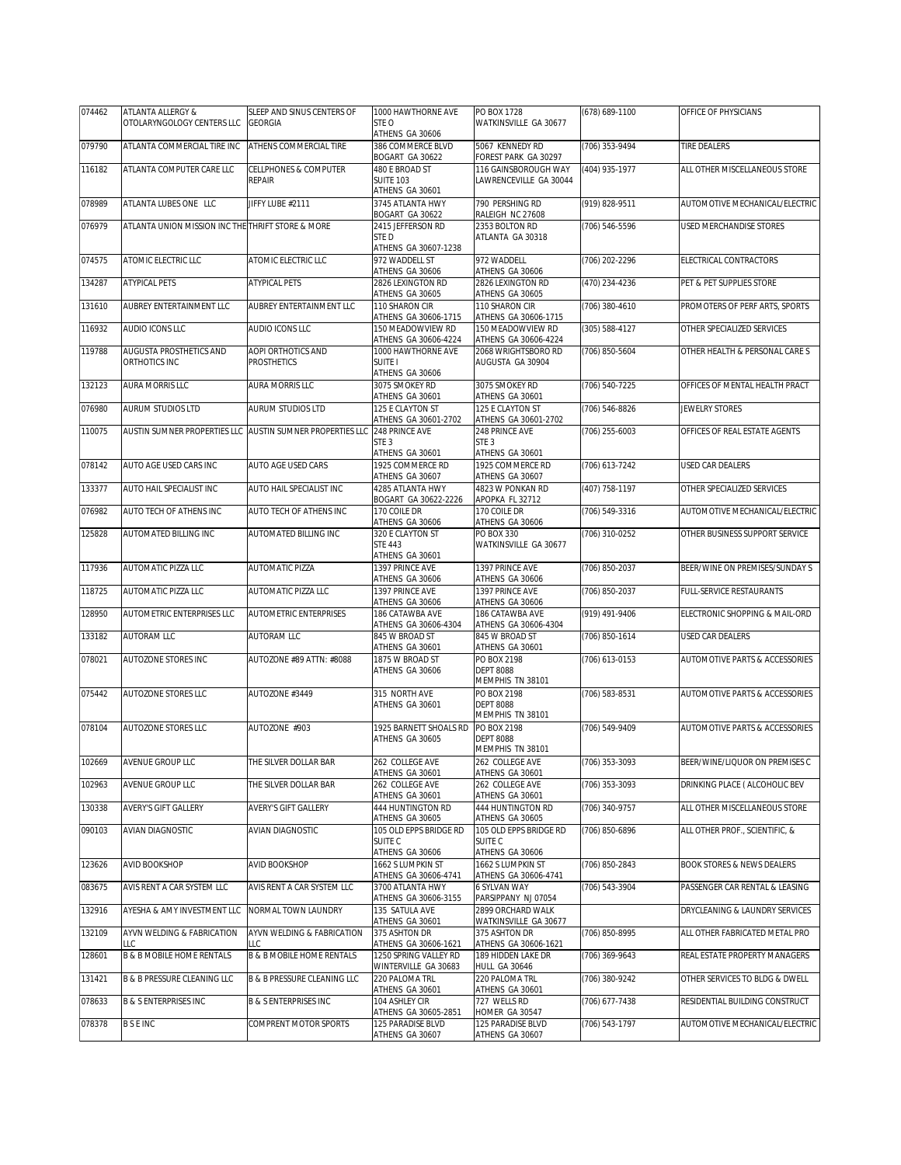| 074462 | ATLANTA ALLERGY &                                 | SLEEP AND SINUS CENTERS OF                                | 1000 HAWTHORNE AVE                            | PO BOX 1728                                         | (678) 689-1100     | OFFICE OF PHYSICIANS                      |
|--------|---------------------------------------------------|-----------------------------------------------------------|-----------------------------------------------|-----------------------------------------------------|--------------------|-------------------------------------------|
|        | OTOLARYNGOLOGY CENTERS LLC                        | <b>GEORGIA</b>                                            | STE O<br>ATHENS GA 30606                      | WATKINSVILLE GA 30677                               |                    |                                           |
| 079790 | ATLANTA COMMERCIAL TIRE INC                       | ATHENS COMMERCIAL TIRE                                    | 386 COMMERCE BLVD                             | 5067 KENNEDY RD                                     | (706) 353-9494     | <b>TIRE DEALERS</b>                       |
| 116182 | ATLANTA COMPUTER CARE LLC                         | CELLPHONES & COMPUTER                                     | BOGART GA 30622<br>480 E BROAD ST             | FOREST PARK GA 30297<br>116 GAINSBOROUGH WAY        | (404) 935-1977     | ALL OTHER MISCELLANEOUS STORE             |
|        |                                                   | REPAIR                                                    | <b>SUITE 103</b><br>ATHENS GA 30601           | LAWRENCEVILLE GA 30044                              |                    |                                           |
| 078989 | ATLANTA LUBES ONE LLC                             | JIFFY LUBE #2111                                          | 3745 ATLANTA HWY<br>BOGART GA 30622           | 790 PERSHING RD<br>RALEIGH NC 27608                 | (919) 828-9511     | AUTOMOTIVE MECHANICAL/ELECTRIC            |
| 076979 | ATLANTA UNION MISSION INC THE THRIFT STORE & MORE |                                                           | 2415 JEFFERSON RD                             | 2353 BOLTON RD                                      | (706) 546-5596     | USED MERCHANDISE STORES                   |
|        |                                                   |                                                           | STE D<br>ATHENS GA 30607-1238                 | ATLANTA GA 30318                                    |                    |                                           |
| 074575 | ATOMIC ELECTRIC LLC                               | ATOMIC ELECTRIC LLC                                       | 972 WADDELL ST<br>ATHENS GA 30606             | 972 WADDELL<br>ATHENS GA 30606                      | (706) 202-2296     | ELECTRICAL CONTRACTORS                    |
| 134287 | <b>ATYPICAL PETS</b>                              | <b>ATYPICAL PETS</b>                                      | 2826 LEXINGTON RD<br>ATHENS GA 30605          | 2826 LEXINGTON RD<br>ATHENS GA 30605                | (470) 234-4236     | PET & PET SUPPLIES STORE                  |
| 131610 | AUBREY ENTERTAINMENT LLC                          | AUBREY ENTERTAINMENT LLC                                  | 110 SHARON CIR<br>ATHENS GA 30606-1715        | 110 SHARON CIR<br>ATHENS GA 30606-1715              | (706) 380-4610     | PROMOTERS OF PERF ARTS, SPORTS            |
| 116932 | AUDIO ICONS LLC                                   | AUDIO ICONS LLC                                           | 150 MEADOWVIEW RD<br>ATHENS GA 30606-4224     | 150 MEADOWVIEW RD<br>ATHENS GA 30606-4224           | $(305) 588 - 4127$ | OTHER SPECIALIZED SERVICES                |
| 119788 | AUGUSTA PROSTHETICS AND                           | AOPI ORTHOTICS AND                                        | 1000 HAWTHORNE AVE                            | 2068 WRIGHTSBORO RD                                 | (706) 850-5604     | OTHER HEALTH & PERSONAL CARE S            |
|        | ORTHOTICS INC                                     | <b>PROSTHETICS</b>                                        | SUITE I<br>ATHENS GA 30606                    | AUGUSTA GA 30904                                    |                    |                                           |
| 132123 | AURA MORRIS LLC                                   | AURA MORRIS LLC                                           | 3075 SMOKEY RD<br>ATHENS GA 30601             | 3075 SMOKEY RD<br>ATHENS GA 30601                   | (706) 540-7225     | OFFICES OF MENTAL HEALTH PRACT            |
| 076980 | AURUM STUDIOS LTD                                 | <b>AURUM STUDIOS LTD</b>                                  | 125 E CLAYTON ST<br>ATHENS GA 30601-2702      | 125 E CLAYTON ST<br>ATHENS GA 30601-2702            | (706) 546-8826     | <b>JEWELRY STORES</b>                     |
| 110075 |                                                   | AUSTIN SUMNER PROPERTIES LLC AUSTIN SUMNER PROPERTIES LLC | 248 PRINCE AVE                                | 248 PRINCE AVE                                      | (706) 255-6003     | OFFICES OF REAL ESTATE AGENTS             |
|        |                                                   |                                                           | STE <sub>3</sub><br>ATHENS GA 30601           | STE <sub>3</sub><br>ATHENS GA 30601                 |                    |                                           |
| 078142 | AUTO AGE USED CARS INC                            | AUTO AGE USED CARS                                        | 1925 COMMERCE RD<br>ATHENS GA 30607           | 1925 COMMERCE RD<br>ATHENS GA 30607                 | (706) 613-7242     | USED CAR DEALERS                          |
| 133377 | AUTO HAIL SPECIALIST INC                          | AUTO HAIL SPECIALIST INC                                  | 4285 ATLANTA HWY<br>BOGART GA 30622-2226      | 4823 W PONKAN RD<br>APOPKA FL 32712                 | (407) 758-1197     | OTHER SPECIALIZED SERVICES                |
| 076982 | AUTO TECH OF ATHENS INC                           | AUTO TECH OF ATHENS INC                                   | 170 COILE DR                                  | 170 COILE DR                                        | (706) 549-3316     | AUTOMOTIVE MECHANICAL/ELECTRIC            |
| 125828 | AUTOMATED BILLING INC                             | AUTOMATED BILLING INC                                     | ATHENS GA 30606<br>320 E CLAYTON ST           | ATHENS GA 30606<br>PO BOX 330                       | (706) 310-0252     | OTHER BUSINESS SUPPORT SERVICE            |
|        |                                                   |                                                           | <b>STE 443</b><br>ATHENS GA 30601             | WATKINSVILLE GA 30677                               |                    |                                           |
| 117936 | AUTOMATIC PIZZA LLC                               | <b>AUTOMATIC PIZZA</b>                                    | 1397 PRINCE AVE                               | 1397 PRINCE AVE                                     | (706) 850-2037     | BEER/WINE ON PREMISES/SUNDAY S            |
| 118725 | AUTOMATIC PIZZA LLC                               | AUTOMATIC PIZZA LLC                                       | ATHENS GA 30606<br>1397 PRINCE AVE            | ATHENS GA 30606<br>1397 PRINCE AVE                  | (706) 850-2037     | FULL-SERVICE RESTAURANTS                  |
| 128950 | AUTOMETRIC ENTERPRISES LLC                        | <b>AUTOMETRIC ENTERPRISES</b>                             | ATHENS GA 30606<br>186 CATAWBA AVE            | ATHENS GA 30606<br>186 CATAWBA AVE                  | (919) 491-9406     | ELECTRONIC SHOPPING & MAIL-ORD            |
| 133182 | AUTORAM LLC                                       | <b>AUTORAM LLC</b>                                        | ATHENS GA 30606-4304<br>845 W BROAD ST        | ATHENS GA 30606-4304<br>845 W BROAD ST              | (706) 850-1614     | USED CAR DEALERS                          |
|        |                                                   |                                                           | ATHENS GA 30601                               | ATHENS GA 30601                                     |                    |                                           |
| 078021 | AUTOZONE STORES INC                               | AUTOZONE #89 ATTN: #8088                                  | 1875 W BROAD ST<br>ATHENS GA 30606            | PO BOX 2198<br><b>DEPT 8088</b><br>MEMPHIS TN 38101 | (706) 613-0153     | AUTOMOTIVE PARTS & ACCESSORIES            |
| 075442 | AUTOZONE STORES LLC                               | AUTOZONE #3449                                            | 315 NORTH AVE                                 | PO BOX 2198                                         | (706) 583-8531     | <b>AUTOMOTIVE PARTS &amp; ACCESSORIES</b> |
|        |                                                   |                                                           | ATHENS GA 30601                               | <b>DEPT 8088</b><br>MEMPHIS TN 38101                |                    |                                           |
| 078104 | AUTOZONE STORES LLC                               | AUTOZONE #903                                             | 1925 BARNETT SHOALS RD<br>ATHENS GA 30605     | PO BOX 2198<br><b>DEPT 8088</b>                     | (706) 549-9409     | <b>AUTOMOTIVE PARTS &amp; ACCESSORIES</b> |
| 102669 | AVENUE GROUP LLC                                  | THE SILVER DOLLAR BAR                                     | 262 COLLEGE AVE                               | MEMPHIS TN 38101<br>262 COLLEGE AVE                 | (706) 353-3093     | BEER/WINE/LIQUOR ON PREMISES C            |
|        |                                                   |                                                           | ATHENS GA 30601                               | ATHENS GA 30601                                     |                    |                                           |
| 102963 | AVENUE GROUP LLC                                  | THE SILVER DOLLAR BAR                                     | 262 COLLEGE AVE<br>ATHENS GA 30601            | 262 COLLEGE AVE<br>ATHENS GA 30601                  | (706) 353-3093     | DRINKING PLACE ( ALCOHOLIC BEV            |
| 130338 | <b>AVERY'S GIFT GALLERY</b>                       | AVERY'S GIFT GALLERY                                      | 444 HUNTINGTON RD<br>ATHENS GA 30605          | 444 HUNTINGTON RD<br>ATHENS GA 30605                | (706) 340-9757     | ALL OTHER MISCELLANEOUS STORE             |
| 090103 | AVIAN DIAGNOSTIC                                  | AVIAN DIAGNOSTIC                                          | 105 OLD EPPS BRIDGE RD<br>SUITE <sub>C</sub>  | 105 OLD EPPS BRIDGE RD<br>SUITE <sub>C</sub>        | (706) 850-6896     | ALL OTHER PROF., SCIENTIFIC, &            |
| 123626 | AVID BOOKSHOP                                     | AVID BOOKSHOP                                             | ATHENS GA 30606<br>1662 S LUMPKIN ST          | ATHENS GA 30606<br>1662 S LUMPKIN ST                | (706) 850-2843     | <b>BOOK STORES &amp; NEWS DEALERS</b>     |
|        |                                                   |                                                           | ATHENS GA 30606-4741                          | ATHENS GA 30606-4741                                |                    |                                           |
| 083675 | AVIS RENT A CAR SYSTEM LLC                        | AVIS RENT A CAR SYSTEM LLC                                | 3700 ATLANTA HWY<br>ATHENS GA 30606-3155      | 6 SYLVAN WAY<br>PARSIPPANY NJ 07054                 | (706) 543-3904     | PASSENGER CAR RENTAL & LEASING            |
| 132916 | AYESHA & AMY INVESTMENT LLC                       | NORMAL TOWN LAUNDRY                                       | 135 SATULA AVE<br>ATHENS GA 30601             | 2899 ORCHARD WALK<br>WATKINSVILLE GA 30677          |                    | DRYCLEANING & LAUNDRY SERVICES            |
| 132109 | AYVN WELDING & FABRICATION<br>LLC.                | AYVN WELDING & FABRICATION<br>LC                          | 375 ASHTON DR<br>ATHENS GA 30606-1621         | 375 ASHTON DR<br>ATHENS GA 30606-1621               | (706) 850-8995     | ALL OTHER FABRICATED METAL PRO            |
| 128601 | <b>B &amp; B MOBILE HOME RENTALS</b>              | <b>B &amp; B MOBILE HOME RENTALS</b>                      | 1250 SPRING VALLEY RD<br>WINTERVILLE GA 30683 | 189 HIDDEN LAKE DR<br>HULL GA 30646                 | (706) 369-9643     | REAL ESTATE PROPERTY MANAGERS             |
| 131421 | <b>B &amp; B PRESSURE CLEANING LLC</b>            | <b>B &amp; B PRESSURE CLEANING LLC</b>                    | 220 PALOMA TRL<br>ATHENS GA 30601             | 220 PALOMA TRL<br>ATHENS GA 30601                   | (706) 380-9242     | OTHER SERVICES TO BLDG & DWELL            |
| 078633 | <b>B &amp; S ENTERPRISES INC</b>                  | <b>B &amp; S ENTERPRISES INC</b>                          | 104 ASHLEY CIR                                | 727 WELLS RD                                        | (706) 677-7438     | RESIDENTIAL BUILDING CONSTRUCT            |
| 078378 | <b>BSEINC</b>                                     | COMPRENT MOTOR SPORTS                                     | ATHENS GA 30605-2851<br>125 PARADISE BLVD     | HOMER GA 30547<br>125 PARADISE BLVD                 | (706) 543-1797     | AUTOMOTIVE MECHANICAL/ELECTRIC            |
|        |                                                   |                                                           | ATHENS GA 30607                               | ATHENS GA 30607                                     |                    |                                           |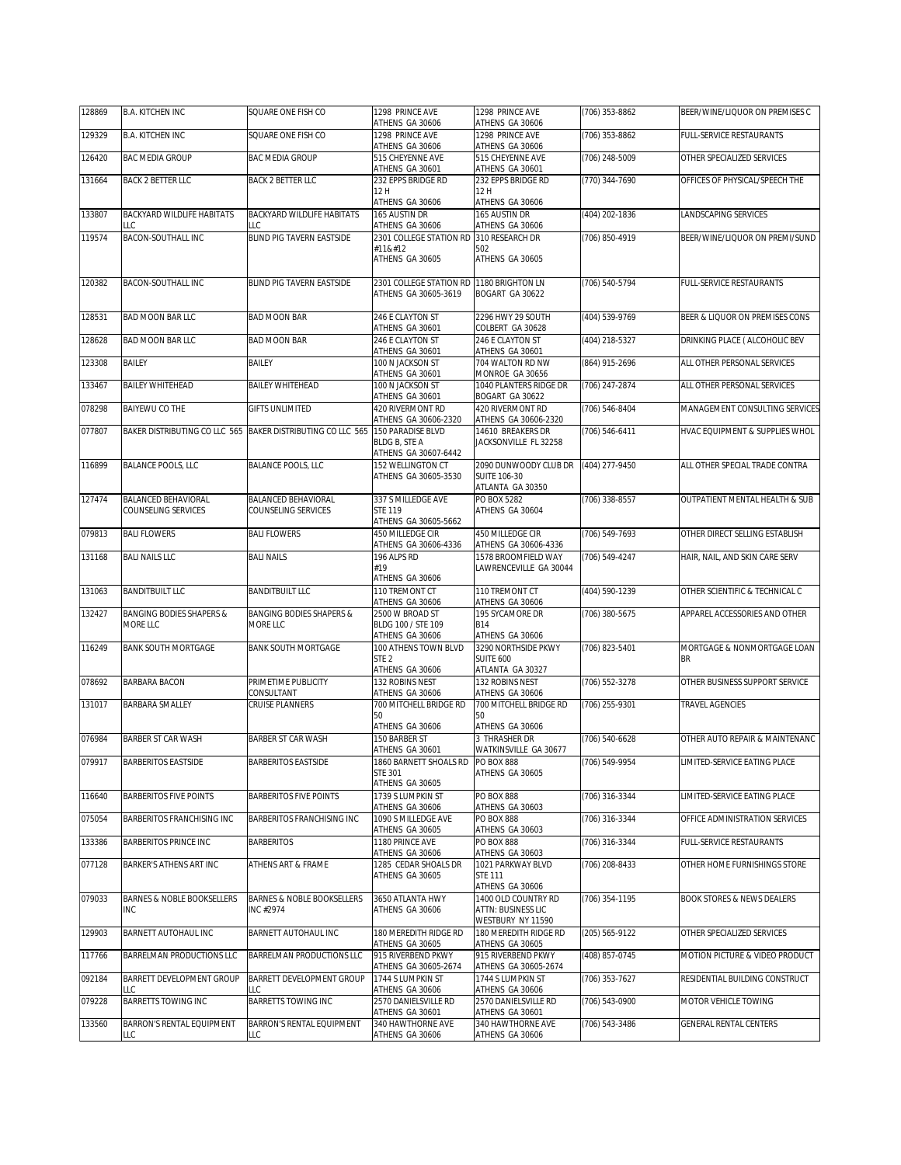| 128869 | <b>B.A. KITCHEN INC</b>                             | SQUARE ONE FISH CO                                          | 1298 PRINCE AVE<br>ATHENS GA 30606                                     | 1298 PRINCE AVE<br>ATHENS GA 30606                                    | (706) 353-8862     | BEER/WINE/LIQUOR ON PREMISES C           |
|--------|-----------------------------------------------------|-------------------------------------------------------------|------------------------------------------------------------------------|-----------------------------------------------------------------------|--------------------|------------------------------------------|
| 129329 | <b>B.A. KITCHEN INC</b>                             | SQUARE ONE FISH CO                                          | 1298 PRINCE AVE<br>ATHENS GA 30606                                     | 1298 PRINCE AVE<br>ATHENS GA 30606                                    | (706) 353-8862     | FULL-SERVICE RESTAURANTS                 |
| 126420 | BAC MEDIA GROUP                                     | <b>BAC MEDIA GROUP</b>                                      | 515 CHEYENNE AVE                                                       | 515 CHEYENNE AVE                                                      | (706) 248-5009     | OTHER SPECIALIZED SERVICES               |
| 131664 | <b>BACK 2 BETTER LLC</b>                            | <b>BACK 2 BETTER LLC</b>                                    | ATHENS GA 30601<br>232 EPPS BRIDGE RD                                  | ATHENS GA 30601<br>232 EPPS BRIDGE RD                                 | (770) 344-7690     | OFFICES OF PHYSICAL/SPEECH THE           |
|        |                                                     |                                                             | 12 H<br>ATHENS GA 30606                                                | 12 H<br>ATHENS GA 30606                                               |                    |                                          |
| 133807 | BACKYARD WILDLIFE HABITATS<br>LLC                   | BACKYARD WILDLIFE HABITATS<br>LLC                           | 165 AUSTIN DR<br>ATHENS GA 30606                                       | 165 AUSTIN DR<br>ATHENS GA 30606                                      | (404) 202-1836     | <b>LANDSCAPING SERVICES</b>              |
| 119574 | BACON-SOUTHALL INC                                  | BLIND PIG TAVERN EASTSIDE                                   | 2301 COLLEGE STATION RD                                                | 310 RESEARCH DR                                                       | (706) 850-4919     | BEER/WINE/LIQUOR ON PREMI/SUND           |
|        |                                                     |                                                             | #11<br>ATHENS GA 30605                                                 | 502<br>ATHENS GA 30605                                                |                    |                                          |
| 120382 | <b>BACON-SOUTHALL INC</b>                           | <b>BLIND PIG TAVERN EASTSIDE</b>                            | 2301 COLLEGE STATION RD 1180 BRIGHTON LN<br>ATHENS GA 30605-3619       | BOGART GA 30622                                                       | (706) 540-5794     | FULL-SERVICE RESTAURANTS                 |
| 128531 | <b>BAD MOON BAR LLC</b>                             | <b>BAD MOON BAR</b>                                         | 246 E CLAYTON ST<br>ATHENS GA 30601                                    | 2296 HWY 29 SOUTH<br>COLBERT GA 30628                                 | (404) 539-9769     | BEER & LIQUOR ON PREMISES CONS           |
| 128628 | <b>BAD MOON BAR LLC</b>                             | <b>BAD MOON BAR</b>                                         | 246 E CLAYTON ST<br>ATHENS GA 30601                                    | 246 E CLAYTON ST<br>ATHENS GA 30601                                   | (404) 218-5327     | DRINKING PLACE ( ALCOHOLIC BEV           |
| 123308 | BAILEY                                              | <b>BAILEY</b>                                               | 100 N JACKSON ST<br>ATHENS GA 30601                                    | 704 WALTON RD NW<br>MONROE GA 30656                                   | (864) 915-2696     | ALL OTHER PERSONAL SERVICES              |
| 133467 | <b>BAILEY WHITEHEAD</b>                             | <b>BAILEY WHITEHEAD</b>                                     | 100 N JACKSON ST<br>ATHENS GA 30601                                    | 1040 PLANTERS RIDGE DR<br>BOGART GA 30622                             | (706) 247-2874     | ALL OTHER PERSONAL SERVICES              |
| 078298 | BAIYEWU CO THE                                      | <b>GIFTS UNLIMITED</b>                                      | 420 RIVERMONT RD<br>ATHENS GA 30606-2320                               | 420 RIVERMONT RD<br>ATHENS GA 30606-2320                              | (706) 546-8404     | MANAGEMENT CONSULTING SERVICES           |
| 077807 |                                                     | BAKER DISTRIBUTING CO LLC 565 BAKER DISTRIBUTING CO LLC 565 | <b>150 PARADISE BLVD</b><br>BLDG B, STE A<br>ATHENS GA 30607-6442      | 14610 BREAKERS DR<br>JACKSONVILLE FL 32258                            | (706) 546-6411     | HVAC EQUIPMENT & SUPPLIES WHOL           |
| 116899 | <b>BALANCE POOLS, LLC</b>                           | <b>BALANCE POOLS, LLC</b>                                   | 152 WELLINGTON CT<br>ATHENS GA 30605-3530                              | 2090 DUNWOODY CLUB DR<br><b>SUITE 106-30</b><br>ATLANTA GA 30350      | (404) 277-9450     | ALL OTHER SPECIAL TRADE CONTRA           |
| 127474 | <b>BALANCED BEHAVIORAL</b><br>COUNSELING SERVICES   | <b>BALANCED BEHAVIORAL</b><br>COUNSELING SERVICES           | 337 S MILLEDGE AVE<br><b>STE 119</b><br>ATHENS GA 30605-5662           | PO BOX 5282<br>ATHENS GA 30604                                        | (706) 338-8557     | OUTPATIENT MENTAL HEALTH & SUB           |
| 079813 | <b>BALI FLOWERS</b>                                 | <b>BALI FLOWERS</b>                                         | 450 MILLEDGE CIR                                                       | 450 MILLEDGE CIR                                                      | (706) 549-7693     | OTHER DIRECT SELLING ESTABLISH           |
| 131168 | <b>BALI NAILS LLC</b>                               | <b>BALI NAILS</b>                                           | ATHENS GA 30606-4336<br>196 ALPS RD<br>#19                             | ATHENS GA 30606-4336<br>1578 BROOMFIELD WAY<br>LAWRENCEVILLE GA 30044 | $(706) 549 - 4247$ | HAIR, NAIL, AND SKIN CARE SERV           |
|        |                                                     |                                                             | ATHENS GA 30606                                                        |                                                                       |                    |                                          |
| 131063 | <b>BANDITBUILT LLC</b>                              | <b>BANDITBUILT LLC</b>                                      | 110 TREMONT CT<br>ATHENS GA 30606                                      | 110 TREMONT CT<br>ATHENS GA 30606                                     | (404) 590-1239     | OTHER SCIENTIFIC & TECHNICAL C           |
| 132427 | <b>BANGING BODIES SHAPERS &amp;</b><br>MORE LLC     | <b>BANGING BODIES SHAPERS &amp;</b><br>MORE LLC             | 2500 W BROAD ST<br>BLDG 100 / STE 109<br>ATHENS GA 30606               | 195 SYCAMORE DR<br><b>B14</b><br>ATHENS GA 30606                      | (706) 380-5675     | APPAREL ACCESSORIES AND OTHER            |
| 116249 | <b>BANK SOUTH MORTGAGE</b>                          | <b>BANK SOUTH MORTGAGE</b>                                  | 100 ATHENS TOWN BLVD<br>STE <sub>2</sub><br>ATHENS GA 30606            | 3290 NORTHSIDE PKWY<br><b>SUITE 600</b><br>ATLANTA GA 30327           | (706) 823-5401     | MORTGAGE & NONMORTGAGE LOAN<br><b>BR</b> |
| 078692 | <b>BARBARA BACON</b>                                | PRIMETIME PUBLICITY<br>CONSULTANT                           | 132 ROBINS NEST<br>ATHENS GA 30606                                     | 132 ROBINS NEST<br>ATHENS GA 30606                                    | (706) 552-3278     | OTHER BUSINESS SUPPORT SERVICE           |
| 131017 | <b>BARBARA SMALLEY</b>                              | <b>CRUISE PLANNERS</b>                                      | 700 MITCHELL BRIDGE RD<br>50                                           | 700 MITCHELL BRIDGE RD<br>50                                          | (706) 255-9301     | TRAVEL AGENCIES                          |
|        |                                                     |                                                             | ATHENS GA 30606                                                        | ATHENS GA 30606                                                       |                    |                                          |
| 076984 | <b>BARBER ST CAR WASH</b>                           | <b>BARBER ST CAR WASH</b>                                   | 150 BARBER ST<br>ATHENS GA 30601                                       | <b>3 THRASHER DR</b><br>WATKINSVILLE GA 30677                         | (706) 540-6628     | OTHER AUTO REPAIR & MAINTENANC           |
| 079917 | <b>BARBERITOS EASTSIDE</b>                          | BARBERITOS EASTSIDE                                         | 1860 BARNETT SHOALS RD PO BOX 888<br><b>STE 301</b><br>ATHENS GA 30605 | ATHENS GA 30605                                                       | (706) 549-9954     | LIMITED-SERVICE EATING PLACE             |
| 116640 | <b>BARBERITOS FIVE POINTS</b>                       | <b>BARBERITOS FIVE POINTS</b>                               | 1739 S LUMPKIN ST<br>ATHENS GA 30606                                   | <b>PO BOX 888</b><br>ATHENS GA 30603                                  | (706) 316-3344     | LIMITED-SERVICE EATING PLACE             |
| 075054 | BARBERITOS FRANCHISING INC                          | BARBERITOS FRANCHISING INC                                  | 1090 S MILLEDGE AVE<br>ATHENS GA 30605                                 | <b>PO BOX 888</b><br>ATHENS GA 30603                                  | (706) 316-3344     | OFFICE ADMINISTRATION SERVICES           |
| 133386 | BARBERITOS PRINCE INC                               | <b>BARBERITOS</b>                                           | 1180 PRINCE AVE<br>ATHENS GA 30606                                     | <b>PO BOX 888</b><br>ATHENS GA 30603                                  | (706) 316-3344     | <b>FULL-SERVICE RESTAURANTS</b>          |
| 077128 | BARKER'S ATHENS ART INC                             | ATHENS ART & FRAME                                          | 1285 CEDAR SHOALS DR<br>ATHENS GA 30605                                | 1021 PARKWAY BLVD<br><b>STE 111</b><br>ATHENS GA 30606                | (706) 208-8433     | OTHER HOME FURNISHINGS STORE             |
| 079033 | <b>BARNES &amp; NOBLE BOOKSELLERS</b><br><b>INC</b> | <b>BARNES &amp; NOBLE BOOKSELLERS</b><br>INC #2974          | 3650 ATLANTA HWY<br>ATHENS GA 30606                                    | 1400 OLD COUNTRY RD<br><b>ATTN: BUSINESS LIC</b><br>WESTBURY NY 11590 | (706) 354-1195     | <b>BOOK STORES &amp; NEWS DEALERS</b>    |
| 129903 | BARNETT AUTOHAUL INC                                | BARNETT AUTOHAUL INC                                        | 180 MEREDITH RIDGE RD<br>ATHENS GA 30605                               | 180 MEREDITH RIDGE RD<br>ATHENS GA 30605                              | (205) 565-9122     | OTHER SPECIALIZED SERVICES               |
| 117766 | BARRELMAN PRODUCTIONS LLC                           | BARRELMAN PRODUCTIONS LLC                                   | 915 RIVERBEND PKWY<br>ATHENS GA 30605-2674                             | 915 RIVERBEND PKWY<br>ATHENS GA 30605-2674                            | (408) 857-0745     | MOTION PICTURE & VIDEO PRODUCT           |
| 092184 | BARRETT DEVELOPMENT GROUP<br>LLC                    | BARRETT DEVELOPMENT GROUP<br>LLC                            | 1744 S LUMPKIN ST<br>ATHENS GA 30606                                   | 1744 S LUMPKIN ST<br>ATHENS GA 30606                                  | (706) 353-7627     | RESIDENTIAL BUILDING CONSTRUCT           |
| 079228 | BARRETTS TOWING INC                                 | <b>BARRETTS TOWING INC</b>                                  | 2570 DANIELSVILLE RD<br>ATHENS GA 30601                                | 2570 DANIELSVILLE RD<br>ATHENS GA 30601                               | (706) 543-0900     | MOTOR VEHICLE TOWING                     |
| 133560 | BARRON'S RENTAL EQUIPMENT<br>LLC                    | <b>BARRON'S RENTAL EQUIPMENT</b><br>LLC                     | 340 HAWTHORNE AVE<br>ATHENS GA 30606                                   | 340 HAWTHORNE AVE<br>ATHENS GA 30606                                  | (706) 543-3486     | <b>GENERAL RENTAL CENTERS</b>            |
|        |                                                     |                                                             |                                                                        |                                                                       |                    |                                          |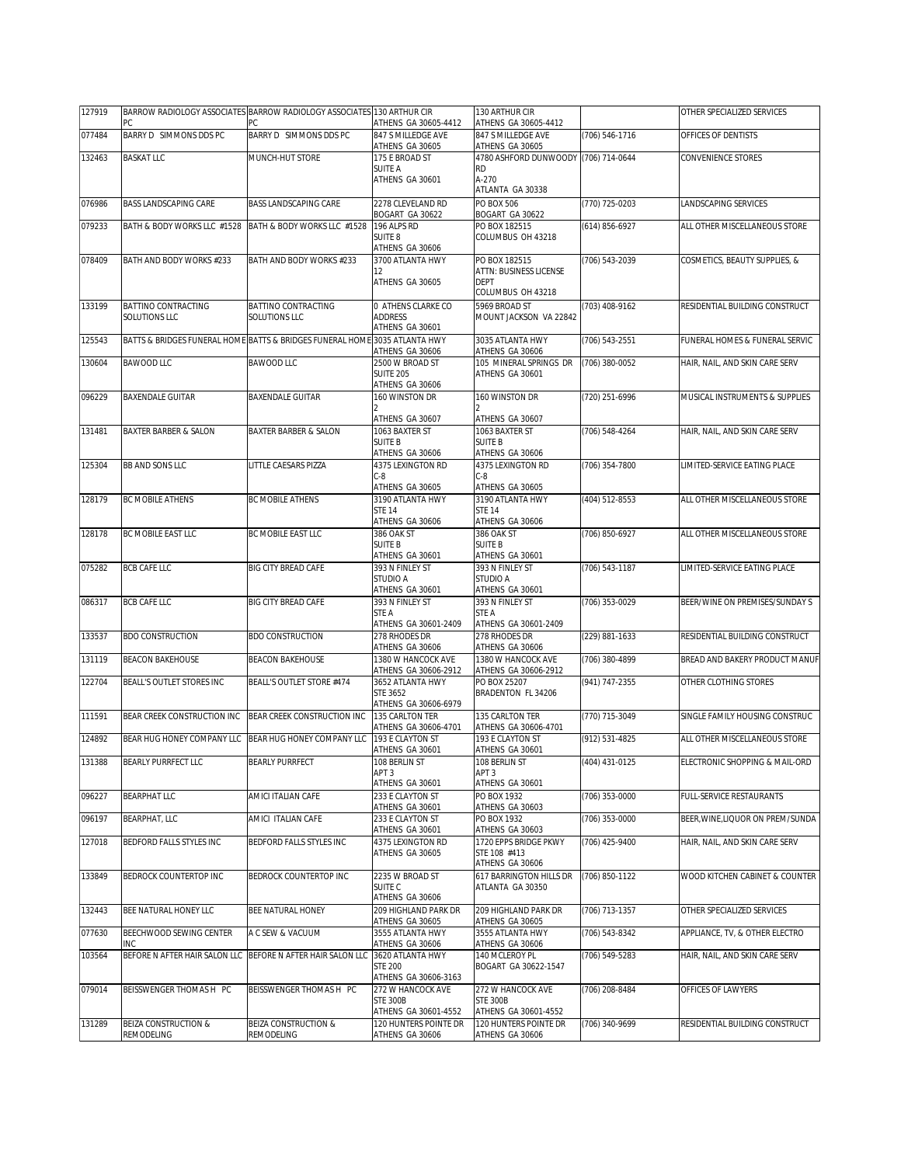| 127919 | РC                                   | BARROW RADIOLOGY ASSOCIATES BARROW RADIOLOGY ASSOCIATES 130 ARTHUR CIR<br>PC. | ATHENS GA 30605-4412                       | 130 ARTHUR CIR<br>ATHENS GA 30605-4412      |                | OTHER SPECIALIZED SERVICES       |
|--------|--------------------------------------|-------------------------------------------------------------------------------|--------------------------------------------|---------------------------------------------|----------------|----------------------------------|
| 077484 | BARRY D SIMMONS DDS PC               | BARRY D SIMMONS DDS PC                                                        | 847 S MILLEDGE AVE                         | 847 S MILLEDGE AVE                          | (706) 546-1716 | OFFICES OF DENTISTS              |
| 132463 | <b>BASKAT LLC</b>                    | MUNCH-HUT STORE                                                               | ATHENS GA 30605<br>175 E BROAD ST          | ATHENS GA 30605<br>4780 ASHFORD DUNWOODY    | (706) 714-0644 | CONVENIENCE STORES               |
|        |                                      |                                                                               | SUITE A<br>ATHENS GA 30601                 | RD.<br>A-270                                |                |                                  |
|        |                                      |                                                                               |                                            | ATLANTA GA 30338                            |                |                                  |
| 076986 | <b>BASS LANDSCAPING CARE</b>         | <b>BASS LANDSCAPING CARE</b>                                                  | 2278 CLEVELAND RD<br>BOGART GA 30622       | <b>PO BOX 506</b><br>BOGART GA 30622        | (770) 725-0203 | LANDSCAPING SERVICES             |
| 079233 | BATH & BODY WORKS LLC #1528          | BATH & BODY WORKS LLC #1528                                                   | 196 ALPS RD<br>SUITE <sub>8</sub>          | PO BOX 182515                               | (614) 856-6927 | ALL OTHER MISCELLANEOUS STORE    |
|        |                                      |                                                                               | ATHENS GA 30606                            | COLUMBUS OH 43218                           |                |                                  |
| 078409 | BATH AND BODY WORKS #233             | BATH AND BODY WORKS #233                                                      | 3700 ATLANTA HWY<br>12                     | PO BOX 182515<br>ATTN: BUSINESS LICENSE     | (706) 543-2039 | COSMETICS, BEAUTY SUPPLIES, &    |
|        |                                      |                                                                               | ATHENS GA 30605                            | <b>DEPT</b>                                 |                |                                  |
| 133199 | BATTINO CONTRACTING                  | BATTINO CONTRACTING                                                           | O ATHENS CLARKE CO                         | COLUMBUS OH 43218<br>5969 BROAD ST          | (703) 408-9162 | RESIDENTIAL BUILDING CONSTRUCT   |
|        | SOLUTIONS LLC                        | SOLUTIONS LLC                                                                 | <b>ADDRESS</b>                             | MOUNT JACKSON VA 22842                      |                |                                  |
| 125543 |                                      | BATTS & BRIDGES FUNERAL HOME BATTS & BRIDGES FUNERAL HOME 3035 ATLANTA HWY    | ATHENS GA 30601                            | 3035 ATLANTA HWY                            | (706) 543-2551 | FUNERAL HOMES & FUNERAL SERVIC   |
| 130604 | <b>BAWOOD LLC</b>                    | <b>BAWOOD LLC</b>                                                             | ATHENS GA 30606<br>2500 W BROAD ST         | ATHENS GA 30606<br>105 MINERAL SPRINGS DR   | (706) 380-0052 | HAIR, NAIL, AND SKIN CARE SERV   |
|        |                                      |                                                                               | <b>SUITE 205</b>                           | ATHENS GA 30601                             |                |                                  |
| 096229 | <b>BAXENDALE GUITAR</b>              | <b>BAXENDALE GUITAR</b>                                                       | ATHENS GA 30606<br>160 WINSTON DR          | 160 WINSTON DR                              | (720) 251-6996 | MUSICAL INSTRUMENTS & SUPPLIES   |
|        |                                      |                                                                               |                                            |                                             |                |                                  |
| 131481 | BAXTER BARBER & SALON                | <b>BAXTER BARBER &amp; SALON</b>                                              | ATHENS GA 30607<br>1063 BAXTER ST          | ATHENS GA 30607<br>1063 BAXTER ST           | (706) 548-4264 | HAIR. NAIL. AND SKIN CARE SERV   |
|        |                                      |                                                                               | <b>SUITE B</b><br>ATHENS GA 30606          | <b>SUITE B</b><br>ATHENS GA 30606           |                |                                  |
| 125304 | <b>BB AND SONS LLC</b>               | LITTLE CAESARS PIZZA                                                          | 4375 LEXINGTON RD                          | 4375 LEXINGTON RD                           | (706) 354-7800 | LIMITED-SERVICE EATING PLACE     |
|        |                                      |                                                                               | C-8<br>ATHENS GA 30605                     | $C-8$<br>ATHENS GA 30605                    |                |                                  |
| 128179 | <b>BC MOBILE ATHENS</b>              | <b>BC MOBILE ATHENS</b>                                                       | 3190 ATLANTA HWY                           | 3190 ATLANTA HWY                            | (404) 512-8553 | ALL OTHER MISCELLANEOUS STORE    |
|        |                                      |                                                                               | STE 14<br>ATHENS GA 30606                  | <b>STE 14</b><br>ATHENS GA 30606            |                |                                  |
| 128178 | BC MOBILE EAST LLC                   | BC MOBILE EAST LLC                                                            | 386 OAK ST                                 | 386 OAK ST                                  | (706) 850-6927 | ALL OTHER MISCELLANEOUS STORE    |
|        |                                      |                                                                               | <b>SUITE B</b><br>ATHENS GA 30601          | <b>SUITE B</b><br>ATHENS GA 30601           |                |                                  |
| 075282 | <b>BCB CAFE LLC</b>                  | <b>BIG CITY BREAD CAFE</b>                                                    | 393 N FINLEY ST<br>STUDIO A                | 393 N FINLEY ST<br><b>STUDIO A</b>          | (706) 543-1187 | LIMITED-SERVICE EATING PLACE     |
|        |                                      |                                                                               | ATHENS GA 30601                            | ATHENS GA 30601                             |                |                                  |
| 086317 | <b>BCB CAFE LLC</b>                  | <b>BIG CITY BREAD CAFE</b>                                                    | 393 N FINLEY ST<br>STE A                   | 393 N FINLEY ST<br>STE A                    | (706) 353-0029 | BEER/WINE ON PREMISES/SUNDAY S   |
|        |                                      |                                                                               | ATHENS GA 30601-2409                       | ATHENS GA 30601-2409                        |                |                                  |
| 133537 | <b>BDO CONSTRUCTION</b>              | <b>BDO CONSTRUCTION</b>                                                       | 278 RHODES DR<br>ATHENS GA 30606           | 278 RHODES DR<br>ATHENS GA 30606            | (229) 881-1633 | RESIDENTIAL BUILDING CONSTRUCT   |
| 131119 | <b>BEACON BAKEHOUSE</b>              | <b>BEACON BAKEHOUSE</b>                                                       | 1380 W HANCOCK AVE<br>ATHENS GA 30606-2912 | 1380 W HANCOCK AVE<br>ATHENS GA 30606-2912  | (706) 380-4899 | BREAD AND BAKERY PRODUCT MANUF   |
| 122704 | BEALL'S OUTLET STORES INC            | BEALL'S OUTLET STORE #474                                                     | 3652 ATLANTA HWY                           | PO BOX 25207                                | (941) 747-2355 | OTHER CLOTHING STORES            |
|        |                                      |                                                                               | STE 3652<br>ATHENS GA 30606-6979           | BRADENTON FL 34206                          |                |                                  |
| 111591 | BEAR CREEK CONSTRUCTION INC          | BEAR CREEK CONSTRUCTION INC                                                   | 135 CARLTON TER                            | 135 CARLTON TER                             | (770) 715-3049 | SINGLE FAMILY HOUSING CONSTRUC   |
| 124892 | BEAR HUG HONEY COMPANY LLC           | BEAR HUG HONEY COMPANY LLC                                                    | ATHENS GA 30606-4701<br>193 E CLAYTON ST   | ATHENS GA 30606-4701<br>193 E CLAYTON ST    | (912) 531-4825 | ALL OTHER MISCELLANEOUS STORE    |
| 131388 | BEARLY PURRFECT LLC                  | <b>BEARLY PURRFECT</b>                                                        | ATHENS GA 30601<br>108 BERLIN ST           | ATHENS GA 30601<br>108 BERLIN ST            | (404) 431-0125 | ELECTRONIC SHOPPING & MAIL-ORD   |
|        |                                      |                                                                               | APT <sub>3</sub>                           | APT <sub>3</sub>                            |                |                                  |
| 096227 | <b>BEARPHAT LLC</b>                  | AMICI ITALIAN CAFE                                                            | ATHENS GA 30601<br>233 E CLAYTON ST        | ATHENS GA 30601<br>PO BOX 1932              | (706) 353-0000 | FULL-SERVICE RESTAURANTS         |
|        |                                      |                                                                               | ATHENS GA 30601                            | ATHENS GA 30603                             |                |                                  |
| 096197 | BEARPHAT, LLC                        | AMICI ITALIAN CAFE                                                            | 233 E CLAYTON ST<br>ATHENS GA 30601        | PO BOX 1932<br>ATHENS GA 30603              | (706) 353-0000 | BEER, WINE, LIQUOR ON PREM/SUNDA |
| 127018 | BEDFORD FALLS STYLES INC             | BEDFORD FALLS STYLES INC                                                      | 4375 LEXINGTON RD<br>ATHENS GA 30605       | 1720 EPPS BRIDGE PKWY<br>STE 108 #413       | (706) 425-9400 | HAIR, NAIL, AND SKIN CARE SERV   |
|        |                                      |                                                                               |                                            | ATHENS GA 30606                             |                |                                  |
| 133849 | BEDROCK COUNTERTOP INC               | BEDROCK COUNTERTOP INC                                                        | 2235 W BROAD ST<br>SUITE C                 | 617 BARRINGTON HILLS DR<br>ATLANTA GA 30350 | (706) 850-1122 | WOOD KITCHEN CABINET & COUNTER   |
|        |                                      |                                                                               | ATHENS GA 30606                            |                                             |                |                                  |
| 132443 | BEE NATURAL HONEY LLC                | BEE NATURAL HONEY                                                             | 209 HIGHLAND PARK DR<br>ATHENS GA 30605    | 209 HIGHLAND PARK DR<br>ATHENS GA 30605     | (706) 713-1357 | OTHER SPECIALIZED SERVICES       |
| 077630 | BEECHWOOD SEWING CENTER              | A C SEW & VACUUM                                                              | 3555 ATLANTA HWY                           | 3555 ATLANTA HWY                            | (706) 543-8342 | APPLIANCE, TV, & OTHER ELECTRO   |
| 103564 | INC<br>BEFORE N AFTER HAIR SALON LLC | BEFORE N AFTER HAIR SALON LLC                                                 | ATHENS GA 30606<br>3620 ATLANTA HWY        | ATHENS GA 30606<br>140 MCLEROY PL           | (706) 549-5283 | HAIR, NAIL, AND SKIN CARE SERV   |
|        |                                      |                                                                               | <b>STE 200</b><br>ATHENS GA 30606-3163     | BOGART GA 30622-1547                        |                |                                  |
| 079014 | BEISSWENGER THOMAS H PC              | BEISSWENGER THOMAS H PC                                                       | 272 W HANCOCK AVE                          | 272 W HANCOCK AVE                           | (706) 208-8484 | OFFICES OF LAWYERS               |
|        |                                      |                                                                               | <b>STE 300B</b><br>ATHENS GA 30601-4552    | <b>STE 300B</b><br>ATHENS GA 30601-4552     |                |                                  |
| 131289 | BEIZA CONSTRUCTION &                 | BEIZA CONSTRUCTION &                                                          | 120 HUNTERS POINTE DR                      | 120 HUNTERS POINTE DR                       | (706) 340-9699 | RESIDENTIAL BUILDING CONSTRUCT   |
|        | REMODELING                           | REMODELING                                                                    | ATHENS GA 30606                            | ATHENS GA 30606                             |                |                                  |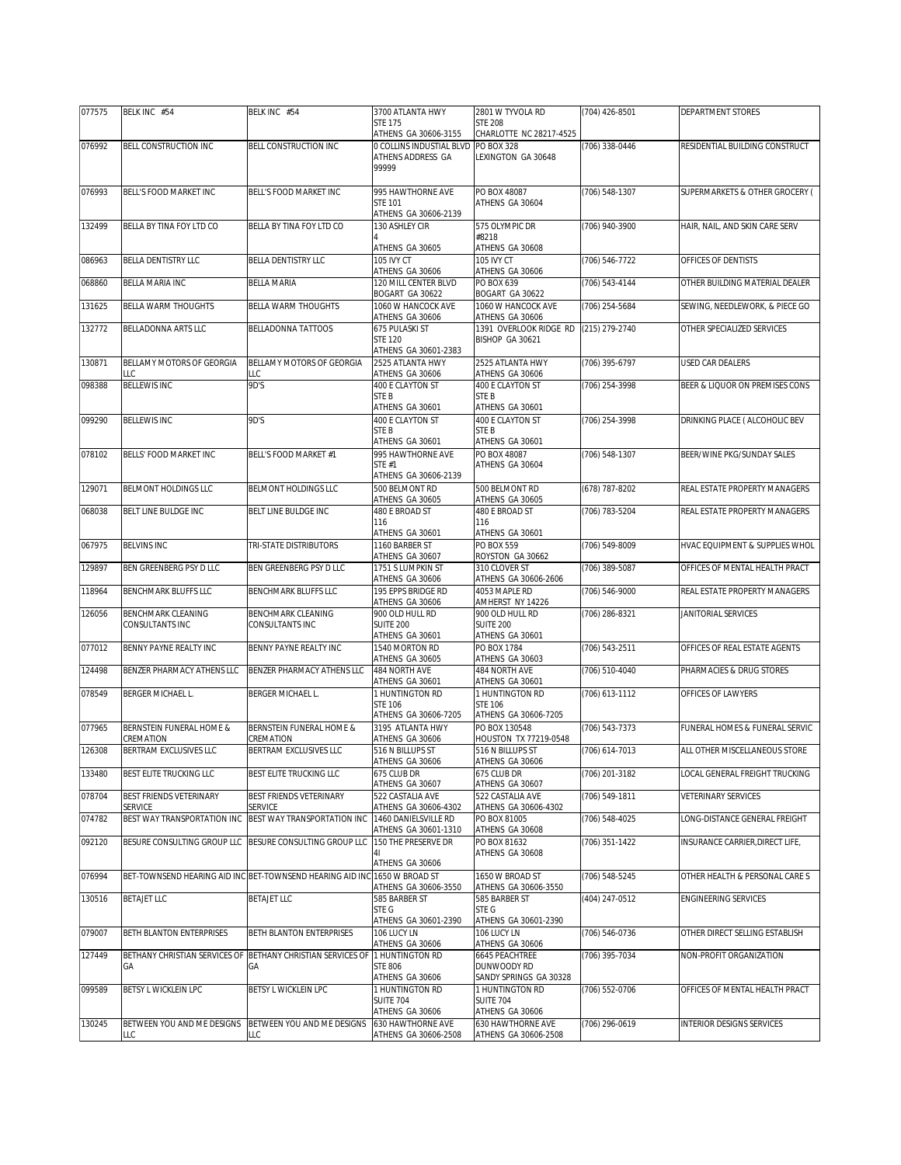| CHARLOTTE NC 28217-4525<br>ATHENS GA 30606-3155<br>BELL CONSTRUCTION INC<br>0 COLLINS INDUSTIAL BLVD PO BOX 328<br>RESIDENTIAL BUILDING CONSTRUCT<br>076992<br><b>BELL CONSTRUCTION INC</b><br>(706) 338-0446<br>ATHENS ADDRESS GA<br>LEXINGTON GA 30648<br>99999<br>076993<br>BELL'S FOOD MARKET INC<br>BELL'S FOOD MARKET INC<br>995 HAWTHORNE AVE<br>PO BOX 48087<br>(706) 548-1307<br>SUPERMARKETS & OTHER GROCERY (<br>STE 101<br>ATHENS GA 30604<br>ATHENS GA 30606-2139<br>132499<br>BELLA BY TINA FOY LTD CO<br>BELLA BY TINA FOY LTD CO<br>130 ASHLEY CIR<br>575 OLYMPIC DR<br>(706) 940-3900<br>HAIR, NAIL, AND SKIN CARE SERV<br>#8218<br>ATHENS GA 30605<br>ATHENS GA 30608<br>BELLA DENTISTRY LLC<br>BELLA DENTISTRY LLC<br>105 IVY CT<br>105 IVY CT<br>(706) 546-7722<br>OFFICES OF DENTISTS<br>ATHENS GA 30606<br>ATHENS GA 30606<br>BELLA MARIA INC<br>120 MILL CENTER BLVD<br>OTHER BUILDING MATERIAL DEALER<br><b>BELLA MARIA</b><br>PO BOX 639<br>(706) 543-4144<br>068860<br>BOGART GA 30622<br>BOGART GA 30622<br>BELLA WARM THOUGHTS<br>1060 W HANCOCK AVE<br>1060 W HANCOCK AVE<br>131625<br>BELLA WARM THOUGHTS<br>(706) 254-5684<br>SEWING, NEEDLEWORK, & PIECE GO<br>ATHENS GA 30606<br>ATHENS GA 30606<br>132772<br>BELLADONNA ARTS LLC<br>BELLADONNA TATTOOS<br>675 PULASKI ST<br>1391 OVERLOOK RIDGE RD<br>OTHER SPECIALIZED SERVICES<br>(215) 279-2740<br>BISHOP GA 30621<br><b>STE 120</b><br>ATHENS GA 30601-2383<br>2525 ATLANTA HWY<br>130871<br>BELLAMY MOTORS OF GEORGIA<br>BELLAMY MOTORS OF GEORGIA<br>2525 ATLANTA HWY<br>(706) 395-6797<br>USED CAR DEALERS<br>LLC<br>LLC<br>ATHENS GA 30606<br>ATHENS GA 30606<br>9D'S<br><b>BELLEWIS INC</b><br>400 E CLAYTON ST<br>400 E CLAYTON ST<br>(706) 254-3998<br>BEER & LIQUOR ON PREMISES CONS<br>STE B<br>STE B<br>ATHENS GA 30601<br>ATHENS GA 30601<br><b>BELLEWIS INC</b><br>9D'S<br>(706) 254-3998<br>DRINKING PLACE ( ALCOHOLIC BEV<br>099290<br>400 E CLAYTON ST<br>400 F CLAYTON ST<br>STE B<br>STE <sub>B</sub><br>ATHENS GA 30601<br>ATHENS GA 30601<br>BELLS' FOOD MARKET INC<br>BELL'S FOOD MARKET #1<br>995 HAWTHORNE AVE<br>PO BOX 48087<br>(706) 548-1307<br>BEER/WINE PKG/SUNDAY SALES<br>078102<br><b>STE #1</b><br>ATHENS GA 30604<br>ATHENS GA 30606-2139<br>BELMONT HOLDINGS LLC<br><b>BELMONT HOLDINGS LLC</b><br>500 BELMONT RD<br>$(678) 787 - 8202$<br>REAL ESTATE PROPERTY MANAGERS<br>129071<br>500 BELMONT RD<br>ATHENS GA 30605<br>ATHENS GA 30605<br>068038<br>BELT LINE BULDGE INC<br>BELT LINE BULDGE INC<br>480 E BROAD ST<br>480 E BROAD ST<br>(706) 783-5204<br>REAL ESTATE PROPERTY MANAGERS<br>116<br>116<br>ATHENS GA 30601<br>ATHENS GA 30601<br>TRI-STATE DISTRIBUTORS<br>1160 BARBER ST<br>PO BOX 559<br>(706) 549-8009<br>067975<br><b>BELVINS INC</b><br>HVAC EQUIPMENT & SUPPLIES WHOL<br>ATHENS GA 30607<br>ROYSTON GA 30662<br>BEN GREENBERG PSY D LLC<br>OFFICES OF MENTAL HEALTH PRACT<br>129897<br>BEN GREENBERG PSY D LLC<br>1751 S LUMPKIN ST<br>310 CLOVER ST<br>(706) 389-5087<br>ATHENS GA 30606-2606<br>ATHENS GA 30606<br>118964<br>BENCHMARK BLUFFS LLC<br>BENCHMARK BLUFFS LLC<br>195 EPPS BRIDGE RD<br>4053 MAPLE RD<br>(706) 546-9000<br>REAL ESTATE PROPERTY MANAGERS<br>ATHENS GA 30606<br>AMHERST NY 14226<br>BENCHMARK CLEANING<br>900 OLD HULL RD<br>JANITORIAL SERVICES<br>126056<br>BENCHMARK CLEANING<br>900 OLD HULL RD<br>(706) 286-8321<br><b>SUITE 200</b><br><b>SUITE 200</b><br>CONSULTANTS INC<br>CONSULTANTS INC<br>ATHENS GA 30601<br>ATHENS GA 30601<br>077012<br>BENNY PAYNE REALTY INC<br>BENNY PAYNE REALTY INC<br>1540 MORTON RD<br>PO BOX 1784<br>(706) 543-2511<br>OFFICES OF REAL ESTATE AGENTS<br>ATHENS GA 30605<br>ATHENS GA 30603<br>124498<br>BENZER PHARMACY ATHENS LLC<br>BENZER PHARMACY ATHENS LLC<br>484 NORTH AVE<br>484 NORTH AVE<br>(706) 510-4040<br>PHARMACIES & DRUG STORES<br>ATHENS GA 30601<br>ATHENS GA 30601<br>BERGER MICHAEL L.<br>078549<br><b>BERGER MICHAEL L.</b><br>1 HUNTINGTON RD<br>1 HUNTINGTON RD<br>(706) 613-1112<br>OFFICES OF LAWYERS<br><b>STE 106</b><br><b>STE 106</b><br>ATHENS GA 30606-7205<br>ATHENS GA 30606-7205<br>BERNSTEIN FUNERAL HOME &<br>BERNSTEIN FUNERAL HOME &<br>FUNERAL HOMES & FUNERAL SERVIC<br>077965<br>3195 ATLANTA HWY<br>PO BOX 130548<br>(706) 543-7373<br>CREMATION<br>CREMATION<br>ATHENS GA 30606<br>HOUSTON TX 77219-0548<br>BERTRAM EXCLUSIVES LLC<br>BERTRAM EXCLUSIVES LLC<br>516 N BILLUPS ST<br>516 N BILLUPS ST<br>ALL OTHER MISCELLANEOUS STORE<br>126308<br>(706) 614-7013<br>ATHENS GA 30606<br>ATHENS GA 30606<br>BEST ELITE TRUCKING LLC<br>BEST ELITE TRUCKING LLC<br>675 CLUB DR<br>675 CLUB DR<br>133480<br>(706) 201-3182<br>LOCAL GENERAL FREIGHT TRUCKING<br>ATHENS GA 30607<br>ATHENS GA 30607<br>BEST FRIENDS VETERINARY<br>BEST FRIENDS VETERINARY<br>522 CASTALIA AVE<br>522 CASTALIA AVE<br>(706) 549-1811<br>VETERINARY SERVICES<br><b>SERVICE</b><br>SERVICE<br>ATHENS GA 30606-4302<br>ATHENS GA 30606-4302<br>BEST WAY TRANSPORTATION INC<br>BEST WAY TRANSPORTATION INC<br>074782<br>1460 DANIELSVILLE RD<br>PO BOX 81005<br>(706) 548-4025<br>LONG-DISTANCE GENERAL FREIGHT<br>ATHENS GA 30601-1310<br>ATHENS GA 30608<br>(706) 351-1422<br>BESURE CONSULTING GROUP LLC<br>BESURE CONSULTING GROUP LLC<br>150 THE PRESERVE DR<br>PO BOX 81632<br>INSURANCE CARRIER, DIRECT LIFE,<br>ATHENS GA 30608<br>41<br>ATHENS GA 30606<br>BET-TOWNSEND HEARING AID INC BET-TOWNSEND HEARING AID INC<br>1650 W BROAD ST<br>1650 W BROAD ST<br>OTHER HEALTH & PERSONAL CARE S<br>(706) 548-5245<br>ATHENS GA 30606-3550<br>ATHENS GA 30606-3550<br><b>BETAJET LLC</b><br><b>BETAJET LLC</b><br>585 BARBER ST<br>585 BARBER ST<br>(404) 247-0512<br><b>ENGINEERING SERVICES</b><br>130516<br>STE G<br>STE G<br>ATHENS GA 30601-2390<br>ATHENS GA 30601-2390<br>BETH BLANTON ENTERPRISES<br>106 LUCY LN<br>BETH BLANTON ENTERPRISES<br>106 LUCY LN<br>(706) 546-0736<br>OTHER DIRECT SELLING ESTABLISH<br>ATHENS GA 30606<br>ATHENS GA 30606<br>BETHANY CHRISTIAN SERVICES OF<br>BETHANY CHRISTIAN SERVICES OF<br>1 HUNTINGTON RD<br>6645 PEACHTREE<br>(706) 395-7034<br>127449<br>NON-PROFIT ORGANIZATION<br>DUNWOODY RD<br>GA<br>GA<br><b>STE 806</b><br>ATHENS GA 30606<br>SANDY SPRINGS GA 30328<br>BETSY L WICKLEIN LPC<br>BETSY L WICKLEIN LPC<br>(706) 552-0706<br>OFFICES OF MENTAL HEALTH PRACT<br>099589<br>1 HUNTINGTON RD<br>1 HUNTINGTON RD<br><b>SUITE 704</b><br><b>SUITE 704</b><br>ATHENS GA 30606<br>ATHENS GA 30606<br>BETWEEN YOU AND ME DESIGNS<br>BETWEEN YOU AND ME DESIGNS<br>630 HAWTHORNE AVE<br>630 HAWTHORNE AVE<br>INTERIOR DESIGNS SERVICES<br>130245<br>(706) 296-0619 | 077575 | BELK INC #54 | BELK INC #54 | 3700 ATLANTA HWY     | 2801 W TYVOLA RD     | (704) 426-8501 | DEPARTMENT STORES |
|-------------------------------------------------------------------------------------------------------------------------------------------------------------------------------------------------------------------------------------------------------------------------------------------------------------------------------------------------------------------------------------------------------------------------------------------------------------------------------------------------------------------------------------------------------------------------------------------------------------------------------------------------------------------------------------------------------------------------------------------------------------------------------------------------------------------------------------------------------------------------------------------------------------------------------------------------------------------------------------------------------------------------------------------------------------------------------------------------------------------------------------------------------------------------------------------------------------------------------------------------------------------------------------------------------------------------------------------------------------------------------------------------------------------------------------------------------------------------------------------------------------------------------------------------------------------------------------------------------------------------------------------------------------------------------------------------------------------------------------------------------------------------------------------------------------------------------------------------------------------------------------------------------------------------------------------------------------------------------------------------------------------------------------------------------------------------------------------------------------------------------------------------------------------------------------------------------------------------------------------------------------------------------------------------------------------------------------------------------------------------------------------------------------------------------------------------------------------------------------------------------------------------------------------------------------------------------------------------------------------------------------------------------------------------------------------------------------------------------------------------------------------------------------------------------------------------------------------------------------------------------------------------------------------------------------------------------------------------------------------------------------------------------------------------------------------------------------------------------------------------------------------------------------------------------------------------------------------------------------------------------------------------------------------------------------------------------------------------------------------------------------------------------------------------------------------------------------------------------------------------------------------------------------------------------------------------------------------------------------------------------------------------------------------------------------------------------------------------------------------------------------------------------------------------------------------------------------------------------------------------------------------------------------------------------------------------------------------------------------------------------------------------------------------------------------------------------------------------------------------------------------------------------------------------------------------------------------------------------------------------------------------------------------------------------------------------------------------------------------------------------------------------------------------------------------------------------------------------------------------------------------------------------------------------------------------------------------------------------------------------------------------------------------------------------------------------------------------------------------------------------------------------------------------------------------------------------------------------------------------------------------------------------------------------------------------------------------------------------------------------------------------------------------------------------------------------------------------------------------------------------------------------------------------------------------------------------------------------------------------------------------------------------------------------------------------------------------------------------------------------------------------------------------------------------------------------------------------------------------------------------------------------------------------------------------------------------------------------------------------------------------------------------------------------------------------------------------------------------------------------------------------------------------------------------------------------------------------------------------------------------------------------------------------------------------------------------------------------------------------------------------------------------------------------------------------------------------------------------------------------------------------------------------------------------------------------------------------------------------------------------------------------------------------------------------------------------------------------------------------------------------------------------------------------------------------------------------------------------------------------------------------------------------------------------------------------------------------------------------------------------------------------------------------|--------|--------------|--------------|----------------------|----------------------|----------------|-------------------|
|                                                                                                                                                                                                                                                                                                                                                                                                                                                                                                                                                                                                                                                                                                                                                                                                                                                                                                                                                                                                                                                                                                                                                                                                                                                                                                                                                                                                                                                                                                                                                                                                                                                                                                                                                                                                                                                                                                                                                                                                                                                                                                                                                                                                                                                                                                                                                                                                                                                                                                                                                                                                                                                                                                                                                                                                                                                                                                                                                                                                                                                                                                                                                                                                                                                                                                                                                                                                                                                                                                                                                                                                                                                                                                                                                                                                                                                                                                                                                                                                                                                                                                                                                                                                                                                                                                                                                                                                                                                                                                                                                                                                                                                                                                                                                                                                                                                                                                                                                                                                                                                                                                                                                                                                                                                                                                                                                                                                                                                                                                                                                                                                                                                                                                                                                                                                                                                                                                                                                                                                                                                                                                                                                                                                                                                                                                                                                                                                                                                                                                                                                                                                                                                                   |        |              |              | STE 175              | <b>STE 208</b>       |                |                   |
|                                                                                                                                                                                                                                                                                                                                                                                                                                                                                                                                                                                                                                                                                                                                                                                                                                                                                                                                                                                                                                                                                                                                                                                                                                                                                                                                                                                                                                                                                                                                                                                                                                                                                                                                                                                                                                                                                                                                                                                                                                                                                                                                                                                                                                                                                                                                                                                                                                                                                                                                                                                                                                                                                                                                                                                                                                                                                                                                                                                                                                                                                                                                                                                                                                                                                                                                                                                                                                                                                                                                                                                                                                                                                                                                                                                                                                                                                                                                                                                                                                                                                                                                                                                                                                                                                                                                                                                                                                                                                                                                                                                                                                                                                                                                                                                                                                                                                                                                                                                                                                                                                                                                                                                                                                                                                                                                                                                                                                                                                                                                                                                                                                                                                                                                                                                                                                                                                                                                                                                                                                                                                                                                                                                                                                                                                                                                                                                                                                                                                                                                                                                                                                                                   |        |              |              |                      |                      |                |                   |
|                                                                                                                                                                                                                                                                                                                                                                                                                                                                                                                                                                                                                                                                                                                                                                                                                                                                                                                                                                                                                                                                                                                                                                                                                                                                                                                                                                                                                                                                                                                                                                                                                                                                                                                                                                                                                                                                                                                                                                                                                                                                                                                                                                                                                                                                                                                                                                                                                                                                                                                                                                                                                                                                                                                                                                                                                                                                                                                                                                                                                                                                                                                                                                                                                                                                                                                                                                                                                                                                                                                                                                                                                                                                                                                                                                                                                                                                                                                                                                                                                                                                                                                                                                                                                                                                                                                                                                                                                                                                                                                                                                                                                                                                                                                                                                                                                                                                                                                                                                                                                                                                                                                                                                                                                                                                                                                                                                                                                                                                                                                                                                                                                                                                                                                                                                                                                                                                                                                                                                                                                                                                                                                                                                                                                                                                                                                                                                                                                                                                                                                                                                                                                                                                   |        |              |              |                      |                      |                |                   |
|                                                                                                                                                                                                                                                                                                                                                                                                                                                                                                                                                                                                                                                                                                                                                                                                                                                                                                                                                                                                                                                                                                                                                                                                                                                                                                                                                                                                                                                                                                                                                                                                                                                                                                                                                                                                                                                                                                                                                                                                                                                                                                                                                                                                                                                                                                                                                                                                                                                                                                                                                                                                                                                                                                                                                                                                                                                                                                                                                                                                                                                                                                                                                                                                                                                                                                                                                                                                                                                                                                                                                                                                                                                                                                                                                                                                                                                                                                                                                                                                                                                                                                                                                                                                                                                                                                                                                                                                                                                                                                                                                                                                                                                                                                                                                                                                                                                                                                                                                                                                                                                                                                                                                                                                                                                                                                                                                                                                                                                                                                                                                                                                                                                                                                                                                                                                                                                                                                                                                                                                                                                                                                                                                                                                                                                                                                                                                                                                                                                                                                                                                                                                                                                                   |        |              |              |                      |                      |                |                   |
|                                                                                                                                                                                                                                                                                                                                                                                                                                                                                                                                                                                                                                                                                                                                                                                                                                                                                                                                                                                                                                                                                                                                                                                                                                                                                                                                                                                                                                                                                                                                                                                                                                                                                                                                                                                                                                                                                                                                                                                                                                                                                                                                                                                                                                                                                                                                                                                                                                                                                                                                                                                                                                                                                                                                                                                                                                                                                                                                                                                                                                                                                                                                                                                                                                                                                                                                                                                                                                                                                                                                                                                                                                                                                                                                                                                                                                                                                                                                                                                                                                                                                                                                                                                                                                                                                                                                                                                                                                                                                                                                                                                                                                                                                                                                                                                                                                                                                                                                                                                                                                                                                                                                                                                                                                                                                                                                                                                                                                                                                                                                                                                                                                                                                                                                                                                                                                                                                                                                                                                                                                                                                                                                                                                                                                                                                                                                                                                                                                                                                                                                                                                                                                                                   |        |              |              |                      |                      |                |                   |
|                                                                                                                                                                                                                                                                                                                                                                                                                                                                                                                                                                                                                                                                                                                                                                                                                                                                                                                                                                                                                                                                                                                                                                                                                                                                                                                                                                                                                                                                                                                                                                                                                                                                                                                                                                                                                                                                                                                                                                                                                                                                                                                                                                                                                                                                                                                                                                                                                                                                                                                                                                                                                                                                                                                                                                                                                                                                                                                                                                                                                                                                                                                                                                                                                                                                                                                                                                                                                                                                                                                                                                                                                                                                                                                                                                                                                                                                                                                                                                                                                                                                                                                                                                                                                                                                                                                                                                                                                                                                                                                                                                                                                                                                                                                                                                                                                                                                                                                                                                                                                                                                                                                                                                                                                                                                                                                                                                                                                                                                                                                                                                                                                                                                                                                                                                                                                                                                                                                                                                                                                                                                                                                                                                                                                                                                                                                                                                                                                                                                                                                                                                                                                                                                   |        |              |              |                      |                      |                |                   |
|                                                                                                                                                                                                                                                                                                                                                                                                                                                                                                                                                                                                                                                                                                                                                                                                                                                                                                                                                                                                                                                                                                                                                                                                                                                                                                                                                                                                                                                                                                                                                                                                                                                                                                                                                                                                                                                                                                                                                                                                                                                                                                                                                                                                                                                                                                                                                                                                                                                                                                                                                                                                                                                                                                                                                                                                                                                                                                                                                                                                                                                                                                                                                                                                                                                                                                                                                                                                                                                                                                                                                                                                                                                                                                                                                                                                                                                                                                                                                                                                                                                                                                                                                                                                                                                                                                                                                                                                                                                                                                                                                                                                                                                                                                                                                                                                                                                                                                                                                                                                                                                                                                                                                                                                                                                                                                                                                                                                                                                                                                                                                                                                                                                                                                                                                                                                                                                                                                                                                                                                                                                                                                                                                                                                                                                                                                                                                                                                                                                                                                                                                                                                                                                                   |        |              |              |                      |                      |                |                   |
|                                                                                                                                                                                                                                                                                                                                                                                                                                                                                                                                                                                                                                                                                                                                                                                                                                                                                                                                                                                                                                                                                                                                                                                                                                                                                                                                                                                                                                                                                                                                                                                                                                                                                                                                                                                                                                                                                                                                                                                                                                                                                                                                                                                                                                                                                                                                                                                                                                                                                                                                                                                                                                                                                                                                                                                                                                                                                                                                                                                                                                                                                                                                                                                                                                                                                                                                                                                                                                                                                                                                                                                                                                                                                                                                                                                                                                                                                                                                                                                                                                                                                                                                                                                                                                                                                                                                                                                                                                                                                                                                                                                                                                                                                                                                                                                                                                                                                                                                                                                                                                                                                                                                                                                                                                                                                                                                                                                                                                                                                                                                                                                                                                                                                                                                                                                                                                                                                                                                                                                                                                                                                                                                                                                                                                                                                                                                                                                                                                                                                                                                                                                                                                                                   |        |              |              |                      |                      |                |                   |
|                                                                                                                                                                                                                                                                                                                                                                                                                                                                                                                                                                                                                                                                                                                                                                                                                                                                                                                                                                                                                                                                                                                                                                                                                                                                                                                                                                                                                                                                                                                                                                                                                                                                                                                                                                                                                                                                                                                                                                                                                                                                                                                                                                                                                                                                                                                                                                                                                                                                                                                                                                                                                                                                                                                                                                                                                                                                                                                                                                                                                                                                                                                                                                                                                                                                                                                                                                                                                                                                                                                                                                                                                                                                                                                                                                                                                                                                                                                                                                                                                                                                                                                                                                                                                                                                                                                                                                                                                                                                                                                                                                                                                                                                                                                                                                                                                                                                                                                                                                                                                                                                                                                                                                                                                                                                                                                                                                                                                                                                                                                                                                                                                                                                                                                                                                                                                                                                                                                                                                                                                                                                                                                                                                                                                                                                                                                                                                                                                                                                                                                                                                                                                                                                   |        |              |              |                      |                      |                |                   |
|                                                                                                                                                                                                                                                                                                                                                                                                                                                                                                                                                                                                                                                                                                                                                                                                                                                                                                                                                                                                                                                                                                                                                                                                                                                                                                                                                                                                                                                                                                                                                                                                                                                                                                                                                                                                                                                                                                                                                                                                                                                                                                                                                                                                                                                                                                                                                                                                                                                                                                                                                                                                                                                                                                                                                                                                                                                                                                                                                                                                                                                                                                                                                                                                                                                                                                                                                                                                                                                                                                                                                                                                                                                                                                                                                                                                                                                                                                                                                                                                                                                                                                                                                                                                                                                                                                                                                                                                                                                                                                                                                                                                                                                                                                                                                                                                                                                                                                                                                                                                                                                                                                                                                                                                                                                                                                                                                                                                                                                                                                                                                                                                                                                                                                                                                                                                                                                                                                                                                                                                                                                                                                                                                                                                                                                                                                                                                                                                                                                                                                                                                                                                                                                                   | 086963 |              |              |                      |                      |                |                   |
|                                                                                                                                                                                                                                                                                                                                                                                                                                                                                                                                                                                                                                                                                                                                                                                                                                                                                                                                                                                                                                                                                                                                                                                                                                                                                                                                                                                                                                                                                                                                                                                                                                                                                                                                                                                                                                                                                                                                                                                                                                                                                                                                                                                                                                                                                                                                                                                                                                                                                                                                                                                                                                                                                                                                                                                                                                                                                                                                                                                                                                                                                                                                                                                                                                                                                                                                                                                                                                                                                                                                                                                                                                                                                                                                                                                                                                                                                                                                                                                                                                                                                                                                                                                                                                                                                                                                                                                                                                                                                                                                                                                                                                                                                                                                                                                                                                                                                                                                                                                                                                                                                                                                                                                                                                                                                                                                                                                                                                                                                                                                                                                                                                                                                                                                                                                                                                                                                                                                                                                                                                                                                                                                                                                                                                                                                                                                                                                                                                                                                                                                                                                                                                                                   |        |              |              |                      |                      |                |                   |
|                                                                                                                                                                                                                                                                                                                                                                                                                                                                                                                                                                                                                                                                                                                                                                                                                                                                                                                                                                                                                                                                                                                                                                                                                                                                                                                                                                                                                                                                                                                                                                                                                                                                                                                                                                                                                                                                                                                                                                                                                                                                                                                                                                                                                                                                                                                                                                                                                                                                                                                                                                                                                                                                                                                                                                                                                                                                                                                                                                                                                                                                                                                                                                                                                                                                                                                                                                                                                                                                                                                                                                                                                                                                                                                                                                                                                                                                                                                                                                                                                                                                                                                                                                                                                                                                                                                                                                                                                                                                                                                                                                                                                                                                                                                                                                                                                                                                                                                                                                                                                                                                                                                                                                                                                                                                                                                                                                                                                                                                                                                                                                                                                                                                                                                                                                                                                                                                                                                                                                                                                                                                                                                                                                                                                                                                                                                                                                                                                                                                                                                                                                                                                                                                   |        |              |              |                      |                      |                |                   |
|                                                                                                                                                                                                                                                                                                                                                                                                                                                                                                                                                                                                                                                                                                                                                                                                                                                                                                                                                                                                                                                                                                                                                                                                                                                                                                                                                                                                                                                                                                                                                                                                                                                                                                                                                                                                                                                                                                                                                                                                                                                                                                                                                                                                                                                                                                                                                                                                                                                                                                                                                                                                                                                                                                                                                                                                                                                                                                                                                                                                                                                                                                                                                                                                                                                                                                                                                                                                                                                                                                                                                                                                                                                                                                                                                                                                                                                                                                                                                                                                                                                                                                                                                                                                                                                                                                                                                                                                                                                                                                                                                                                                                                                                                                                                                                                                                                                                                                                                                                                                                                                                                                                                                                                                                                                                                                                                                                                                                                                                                                                                                                                                                                                                                                                                                                                                                                                                                                                                                                                                                                                                                                                                                                                                                                                                                                                                                                                                                                                                                                                                                                                                                                                                   |        |              |              |                      |                      |                |                   |
|                                                                                                                                                                                                                                                                                                                                                                                                                                                                                                                                                                                                                                                                                                                                                                                                                                                                                                                                                                                                                                                                                                                                                                                                                                                                                                                                                                                                                                                                                                                                                                                                                                                                                                                                                                                                                                                                                                                                                                                                                                                                                                                                                                                                                                                                                                                                                                                                                                                                                                                                                                                                                                                                                                                                                                                                                                                                                                                                                                                                                                                                                                                                                                                                                                                                                                                                                                                                                                                                                                                                                                                                                                                                                                                                                                                                                                                                                                                                                                                                                                                                                                                                                                                                                                                                                                                                                                                                                                                                                                                                                                                                                                                                                                                                                                                                                                                                                                                                                                                                                                                                                                                                                                                                                                                                                                                                                                                                                                                                                                                                                                                                                                                                                                                                                                                                                                                                                                                                                                                                                                                                                                                                                                                                                                                                                                                                                                                                                                                                                                                                                                                                                                                                   |        |              |              |                      |                      |                |                   |
|                                                                                                                                                                                                                                                                                                                                                                                                                                                                                                                                                                                                                                                                                                                                                                                                                                                                                                                                                                                                                                                                                                                                                                                                                                                                                                                                                                                                                                                                                                                                                                                                                                                                                                                                                                                                                                                                                                                                                                                                                                                                                                                                                                                                                                                                                                                                                                                                                                                                                                                                                                                                                                                                                                                                                                                                                                                                                                                                                                                                                                                                                                                                                                                                                                                                                                                                                                                                                                                                                                                                                                                                                                                                                                                                                                                                                                                                                                                                                                                                                                                                                                                                                                                                                                                                                                                                                                                                                                                                                                                                                                                                                                                                                                                                                                                                                                                                                                                                                                                                                                                                                                                                                                                                                                                                                                                                                                                                                                                                                                                                                                                                                                                                                                                                                                                                                                                                                                                                                                                                                                                                                                                                                                                                                                                                                                                                                                                                                                                                                                                                                                                                                                                                   |        |              |              |                      |                      |                |                   |
|                                                                                                                                                                                                                                                                                                                                                                                                                                                                                                                                                                                                                                                                                                                                                                                                                                                                                                                                                                                                                                                                                                                                                                                                                                                                                                                                                                                                                                                                                                                                                                                                                                                                                                                                                                                                                                                                                                                                                                                                                                                                                                                                                                                                                                                                                                                                                                                                                                                                                                                                                                                                                                                                                                                                                                                                                                                                                                                                                                                                                                                                                                                                                                                                                                                                                                                                                                                                                                                                                                                                                                                                                                                                                                                                                                                                                                                                                                                                                                                                                                                                                                                                                                                                                                                                                                                                                                                                                                                                                                                                                                                                                                                                                                                                                                                                                                                                                                                                                                                                                                                                                                                                                                                                                                                                                                                                                                                                                                                                                                                                                                                                                                                                                                                                                                                                                                                                                                                                                                                                                                                                                                                                                                                                                                                                                                                                                                                                                                                                                                                                                                                                                                                                   |        |              |              |                      |                      |                |                   |
|                                                                                                                                                                                                                                                                                                                                                                                                                                                                                                                                                                                                                                                                                                                                                                                                                                                                                                                                                                                                                                                                                                                                                                                                                                                                                                                                                                                                                                                                                                                                                                                                                                                                                                                                                                                                                                                                                                                                                                                                                                                                                                                                                                                                                                                                                                                                                                                                                                                                                                                                                                                                                                                                                                                                                                                                                                                                                                                                                                                                                                                                                                                                                                                                                                                                                                                                                                                                                                                                                                                                                                                                                                                                                                                                                                                                                                                                                                                                                                                                                                                                                                                                                                                                                                                                                                                                                                                                                                                                                                                                                                                                                                                                                                                                                                                                                                                                                                                                                                                                                                                                                                                                                                                                                                                                                                                                                                                                                                                                                                                                                                                                                                                                                                                                                                                                                                                                                                                                                                                                                                                                                                                                                                                                                                                                                                                                                                                                                                                                                                                                                                                                                                                                   |        |              |              |                      |                      |                |                   |
|                                                                                                                                                                                                                                                                                                                                                                                                                                                                                                                                                                                                                                                                                                                                                                                                                                                                                                                                                                                                                                                                                                                                                                                                                                                                                                                                                                                                                                                                                                                                                                                                                                                                                                                                                                                                                                                                                                                                                                                                                                                                                                                                                                                                                                                                                                                                                                                                                                                                                                                                                                                                                                                                                                                                                                                                                                                                                                                                                                                                                                                                                                                                                                                                                                                                                                                                                                                                                                                                                                                                                                                                                                                                                                                                                                                                                                                                                                                                                                                                                                                                                                                                                                                                                                                                                                                                                                                                                                                                                                                                                                                                                                                                                                                                                                                                                                                                                                                                                                                                                                                                                                                                                                                                                                                                                                                                                                                                                                                                                                                                                                                                                                                                                                                                                                                                                                                                                                                                                                                                                                                                                                                                                                                                                                                                                                                                                                                                                                                                                                                                                                                                                                                                   | 098388 |              |              |                      |                      |                |                   |
|                                                                                                                                                                                                                                                                                                                                                                                                                                                                                                                                                                                                                                                                                                                                                                                                                                                                                                                                                                                                                                                                                                                                                                                                                                                                                                                                                                                                                                                                                                                                                                                                                                                                                                                                                                                                                                                                                                                                                                                                                                                                                                                                                                                                                                                                                                                                                                                                                                                                                                                                                                                                                                                                                                                                                                                                                                                                                                                                                                                                                                                                                                                                                                                                                                                                                                                                                                                                                                                                                                                                                                                                                                                                                                                                                                                                                                                                                                                                                                                                                                                                                                                                                                                                                                                                                                                                                                                                                                                                                                                                                                                                                                                                                                                                                                                                                                                                                                                                                                                                                                                                                                                                                                                                                                                                                                                                                                                                                                                                                                                                                                                                                                                                                                                                                                                                                                                                                                                                                                                                                                                                                                                                                                                                                                                                                                                                                                                                                                                                                                                                                                                                                                                                   |        |              |              |                      |                      |                |                   |
|                                                                                                                                                                                                                                                                                                                                                                                                                                                                                                                                                                                                                                                                                                                                                                                                                                                                                                                                                                                                                                                                                                                                                                                                                                                                                                                                                                                                                                                                                                                                                                                                                                                                                                                                                                                                                                                                                                                                                                                                                                                                                                                                                                                                                                                                                                                                                                                                                                                                                                                                                                                                                                                                                                                                                                                                                                                                                                                                                                                                                                                                                                                                                                                                                                                                                                                                                                                                                                                                                                                                                                                                                                                                                                                                                                                                                                                                                                                                                                                                                                                                                                                                                                                                                                                                                                                                                                                                                                                                                                                                                                                                                                                                                                                                                                                                                                                                                                                                                                                                                                                                                                                                                                                                                                                                                                                                                                                                                                                                                                                                                                                                                                                                                                                                                                                                                                                                                                                                                                                                                                                                                                                                                                                                                                                                                                                                                                                                                                                                                                                                                                                                                                                                   |        |              |              |                      |                      |                |                   |
|                                                                                                                                                                                                                                                                                                                                                                                                                                                                                                                                                                                                                                                                                                                                                                                                                                                                                                                                                                                                                                                                                                                                                                                                                                                                                                                                                                                                                                                                                                                                                                                                                                                                                                                                                                                                                                                                                                                                                                                                                                                                                                                                                                                                                                                                                                                                                                                                                                                                                                                                                                                                                                                                                                                                                                                                                                                                                                                                                                                                                                                                                                                                                                                                                                                                                                                                                                                                                                                                                                                                                                                                                                                                                                                                                                                                                                                                                                                                                                                                                                                                                                                                                                                                                                                                                                                                                                                                                                                                                                                                                                                                                                                                                                                                                                                                                                                                                                                                                                                                                                                                                                                                                                                                                                                                                                                                                                                                                                                                                                                                                                                                                                                                                                                                                                                                                                                                                                                                                                                                                                                                                                                                                                                                                                                                                                                                                                                                                                                                                                                                                                                                                                                                   |        |              |              |                      |                      |                |                   |
|                                                                                                                                                                                                                                                                                                                                                                                                                                                                                                                                                                                                                                                                                                                                                                                                                                                                                                                                                                                                                                                                                                                                                                                                                                                                                                                                                                                                                                                                                                                                                                                                                                                                                                                                                                                                                                                                                                                                                                                                                                                                                                                                                                                                                                                                                                                                                                                                                                                                                                                                                                                                                                                                                                                                                                                                                                                                                                                                                                                                                                                                                                                                                                                                                                                                                                                                                                                                                                                                                                                                                                                                                                                                                                                                                                                                                                                                                                                                                                                                                                                                                                                                                                                                                                                                                                                                                                                                                                                                                                                                                                                                                                                                                                                                                                                                                                                                                                                                                                                                                                                                                                                                                                                                                                                                                                                                                                                                                                                                                                                                                                                                                                                                                                                                                                                                                                                                                                                                                                                                                                                                                                                                                                                                                                                                                                                                                                                                                                                                                                                                                                                                                                                                   |        |              |              |                      |                      |                |                   |
|                                                                                                                                                                                                                                                                                                                                                                                                                                                                                                                                                                                                                                                                                                                                                                                                                                                                                                                                                                                                                                                                                                                                                                                                                                                                                                                                                                                                                                                                                                                                                                                                                                                                                                                                                                                                                                                                                                                                                                                                                                                                                                                                                                                                                                                                                                                                                                                                                                                                                                                                                                                                                                                                                                                                                                                                                                                                                                                                                                                                                                                                                                                                                                                                                                                                                                                                                                                                                                                                                                                                                                                                                                                                                                                                                                                                                                                                                                                                                                                                                                                                                                                                                                                                                                                                                                                                                                                                                                                                                                                                                                                                                                                                                                                                                                                                                                                                                                                                                                                                                                                                                                                                                                                                                                                                                                                                                                                                                                                                                                                                                                                                                                                                                                                                                                                                                                                                                                                                                                                                                                                                                                                                                                                                                                                                                                                                                                                                                                                                                                                                                                                                                                                                   |        |              |              |                      |                      |                |                   |
|                                                                                                                                                                                                                                                                                                                                                                                                                                                                                                                                                                                                                                                                                                                                                                                                                                                                                                                                                                                                                                                                                                                                                                                                                                                                                                                                                                                                                                                                                                                                                                                                                                                                                                                                                                                                                                                                                                                                                                                                                                                                                                                                                                                                                                                                                                                                                                                                                                                                                                                                                                                                                                                                                                                                                                                                                                                                                                                                                                                                                                                                                                                                                                                                                                                                                                                                                                                                                                                                                                                                                                                                                                                                                                                                                                                                                                                                                                                                                                                                                                                                                                                                                                                                                                                                                                                                                                                                                                                                                                                                                                                                                                                                                                                                                                                                                                                                                                                                                                                                                                                                                                                                                                                                                                                                                                                                                                                                                                                                                                                                                                                                                                                                                                                                                                                                                                                                                                                                                                                                                                                                                                                                                                                                                                                                                                                                                                                                                                                                                                                                                                                                                                                                   |        |              |              |                      |                      |                |                   |
|                                                                                                                                                                                                                                                                                                                                                                                                                                                                                                                                                                                                                                                                                                                                                                                                                                                                                                                                                                                                                                                                                                                                                                                                                                                                                                                                                                                                                                                                                                                                                                                                                                                                                                                                                                                                                                                                                                                                                                                                                                                                                                                                                                                                                                                                                                                                                                                                                                                                                                                                                                                                                                                                                                                                                                                                                                                                                                                                                                                                                                                                                                                                                                                                                                                                                                                                                                                                                                                                                                                                                                                                                                                                                                                                                                                                                                                                                                                                                                                                                                                                                                                                                                                                                                                                                                                                                                                                                                                                                                                                                                                                                                                                                                                                                                                                                                                                                                                                                                                                                                                                                                                                                                                                                                                                                                                                                                                                                                                                                                                                                                                                                                                                                                                                                                                                                                                                                                                                                                                                                                                                                                                                                                                                                                                                                                                                                                                                                                                                                                                                                                                                                                                                   |        |              |              |                      |                      |                |                   |
|                                                                                                                                                                                                                                                                                                                                                                                                                                                                                                                                                                                                                                                                                                                                                                                                                                                                                                                                                                                                                                                                                                                                                                                                                                                                                                                                                                                                                                                                                                                                                                                                                                                                                                                                                                                                                                                                                                                                                                                                                                                                                                                                                                                                                                                                                                                                                                                                                                                                                                                                                                                                                                                                                                                                                                                                                                                                                                                                                                                                                                                                                                                                                                                                                                                                                                                                                                                                                                                                                                                                                                                                                                                                                                                                                                                                                                                                                                                                                                                                                                                                                                                                                                                                                                                                                                                                                                                                                                                                                                                                                                                                                                                                                                                                                                                                                                                                                                                                                                                                                                                                                                                                                                                                                                                                                                                                                                                                                                                                                                                                                                                                                                                                                                                                                                                                                                                                                                                                                                                                                                                                                                                                                                                                                                                                                                                                                                                                                                                                                                                                                                                                                                                                   |        |              |              |                      |                      |                |                   |
|                                                                                                                                                                                                                                                                                                                                                                                                                                                                                                                                                                                                                                                                                                                                                                                                                                                                                                                                                                                                                                                                                                                                                                                                                                                                                                                                                                                                                                                                                                                                                                                                                                                                                                                                                                                                                                                                                                                                                                                                                                                                                                                                                                                                                                                                                                                                                                                                                                                                                                                                                                                                                                                                                                                                                                                                                                                                                                                                                                                                                                                                                                                                                                                                                                                                                                                                                                                                                                                                                                                                                                                                                                                                                                                                                                                                                                                                                                                                                                                                                                                                                                                                                                                                                                                                                                                                                                                                                                                                                                                                                                                                                                                                                                                                                                                                                                                                                                                                                                                                                                                                                                                                                                                                                                                                                                                                                                                                                                                                                                                                                                                                                                                                                                                                                                                                                                                                                                                                                                                                                                                                                                                                                                                                                                                                                                                                                                                                                                                                                                                                                                                                                                                                   |        |              |              |                      |                      |                |                   |
|                                                                                                                                                                                                                                                                                                                                                                                                                                                                                                                                                                                                                                                                                                                                                                                                                                                                                                                                                                                                                                                                                                                                                                                                                                                                                                                                                                                                                                                                                                                                                                                                                                                                                                                                                                                                                                                                                                                                                                                                                                                                                                                                                                                                                                                                                                                                                                                                                                                                                                                                                                                                                                                                                                                                                                                                                                                                                                                                                                                                                                                                                                                                                                                                                                                                                                                                                                                                                                                                                                                                                                                                                                                                                                                                                                                                                                                                                                                                                                                                                                                                                                                                                                                                                                                                                                                                                                                                                                                                                                                                                                                                                                                                                                                                                                                                                                                                                                                                                                                                                                                                                                                                                                                                                                                                                                                                                                                                                                                                                                                                                                                                                                                                                                                                                                                                                                                                                                                                                                                                                                                                                                                                                                                                                                                                                                                                                                                                                                                                                                                                                                                                                                                                   |        |              |              |                      |                      |                |                   |
|                                                                                                                                                                                                                                                                                                                                                                                                                                                                                                                                                                                                                                                                                                                                                                                                                                                                                                                                                                                                                                                                                                                                                                                                                                                                                                                                                                                                                                                                                                                                                                                                                                                                                                                                                                                                                                                                                                                                                                                                                                                                                                                                                                                                                                                                                                                                                                                                                                                                                                                                                                                                                                                                                                                                                                                                                                                                                                                                                                                                                                                                                                                                                                                                                                                                                                                                                                                                                                                                                                                                                                                                                                                                                                                                                                                                                                                                                                                                                                                                                                                                                                                                                                                                                                                                                                                                                                                                                                                                                                                                                                                                                                                                                                                                                                                                                                                                                                                                                                                                                                                                                                                                                                                                                                                                                                                                                                                                                                                                                                                                                                                                                                                                                                                                                                                                                                                                                                                                                                                                                                                                                                                                                                                                                                                                                                                                                                                                                                                                                                                                                                                                                                                                   |        |              |              |                      |                      |                |                   |
|                                                                                                                                                                                                                                                                                                                                                                                                                                                                                                                                                                                                                                                                                                                                                                                                                                                                                                                                                                                                                                                                                                                                                                                                                                                                                                                                                                                                                                                                                                                                                                                                                                                                                                                                                                                                                                                                                                                                                                                                                                                                                                                                                                                                                                                                                                                                                                                                                                                                                                                                                                                                                                                                                                                                                                                                                                                                                                                                                                                                                                                                                                                                                                                                                                                                                                                                                                                                                                                                                                                                                                                                                                                                                                                                                                                                                                                                                                                                                                                                                                                                                                                                                                                                                                                                                                                                                                                                                                                                                                                                                                                                                                                                                                                                                                                                                                                                                                                                                                                                                                                                                                                                                                                                                                                                                                                                                                                                                                                                                                                                                                                                                                                                                                                                                                                                                                                                                                                                                                                                                                                                                                                                                                                                                                                                                                                                                                                                                                                                                                                                                                                                                                                                   |        |              |              |                      |                      |                |                   |
|                                                                                                                                                                                                                                                                                                                                                                                                                                                                                                                                                                                                                                                                                                                                                                                                                                                                                                                                                                                                                                                                                                                                                                                                                                                                                                                                                                                                                                                                                                                                                                                                                                                                                                                                                                                                                                                                                                                                                                                                                                                                                                                                                                                                                                                                                                                                                                                                                                                                                                                                                                                                                                                                                                                                                                                                                                                                                                                                                                                                                                                                                                                                                                                                                                                                                                                                                                                                                                                                                                                                                                                                                                                                                                                                                                                                                                                                                                                                                                                                                                                                                                                                                                                                                                                                                                                                                                                                                                                                                                                                                                                                                                                                                                                                                                                                                                                                                                                                                                                                                                                                                                                                                                                                                                                                                                                                                                                                                                                                                                                                                                                                                                                                                                                                                                                                                                                                                                                                                                                                                                                                                                                                                                                                                                                                                                                                                                                                                                                                                                                                                                                                                                                                   |        |              |              |                      |                      |                |                   |
|                                                                                                                                                                                                                                                                                                                                                                                                                                                                                                                                                                                                                                                                                                                                                                                                                                                                                                                                                                                                                                                                                                                                                                                                                                                                                                                                                                                                                                                                                                                                                                                                                                                                                                                                                                                                                                                                                                                                                                                                                                                                                                                                                                                                                                                                                                                                                                                                                                                                                                                                                                                                                                                                                                                                                                                                                                                                                                                                                                                                                                                                                                                                                                                                                                                                                                                                                                                                                                                                                                                                                                                                                                                                                                                                                                                                                                                                                                                                                                                                                                                                                                                                                                                                                                                                                                                                                                                                                                                                                                                                                                                                                                                                                                                                                                                                                                                                                                                                                                                                                                                                                                                                                                                                                                                                                                                                                                                                                                                                                                                                                                                                                                                                                                                                                                                                                                                                                                                                                                                                                                                                                                                                                                                                                                                                                                                                                                                                                                                                                                                                                                                                                                                                   |        |              |              |                      |                      |                |                   |
|                                                                                                                                                                                                                                                                                                                                                                                                                                                                                                                                                                                                                                                                                                                                                                                                                                                                                                                                                                                                                                                                                                                                                                                                                                                                                                                                                                                                                                                                                                                                                                                                                                                                                                                                                                                                                                                                                                                                                                                                                                                                                                                                                                                                                                                                                                                                                                                                                                                                                                                                                                                                                                                                                                                                                                                                                                                                                                                                                                                                                                                                                                                                                                                                                                                                                                                                                                                                                                                                                                                                                                                                                                                                                                                                                                                                                                                                                                                                                                                                                                                                                                                                                                                                                                                                                                                                                                                                                                                                                                                                                                                                                                                                                                                                                                                                                                                                                                                                                                                                                                                                                                                                                                                                                                                                                                                                                                                                                                                                                                                                                                                                                                                                                                                                                                                                                                                                                                                                                                                                                                                                                                                                                                                                                                                                                                                                                                                                                                                                                                                                                                                                                                                                   |        |              |              |                      |                      |                |                   |
|                                                                                                                                                                                                                                                                                                                                                                                                                                                                                                                                                                                                                                                                                                                                                                                                                                                                                                                                                                                                                                                                                                                                                                                                                                                                                                                                                                                                                                                                                                                                                                                                                                                                                                                                                                                                                                                                                                                                                                                                                                                                                                                                                                                                                                                                                                                                                                                                                                                                                                                                                                                                                                                                                                                                                                                                                                                                                                                                                                                                                                                                                                                                                                                                                                                                                                                                                                                                                                                                                                                                                                                                                                                                                                                                                                                                                                                                                                                                                                                                                                                                                                                                                                                                                                                                                                                                                                                                                                                                                                                                                                                                                                                                                                                                                                                                                                                                                                                                                                                                                                                                                                                                                                                                                                                                                                                                                                                                                                                                                                                                                                                                                                                                                                                                                                                                                                                                                                                                                                                                                                                                                                                                                                                                                                                                                                                                                                                                                                                                                                                                                                                                                                                                   |        |              |              |                      |                      |                |                   |
|                                                                                                                                                                                                                                                                                                                                                                                                                                                                                                                                                                                                                                                                                                                                                                                                                                                                                                                                                                                                                                                                                                                                                                                                                                                                                                                                                                                                                                                                                                                                                                                                                                                                                                                                                                                                                                                                                                                                                                                                                                                                                                                                                                                                                                                                                                                                                                                                                                                                                                                                                                                                                                                                                                                                                                                                                                                                                                                                                                                                                                                                                                                                                                                                                                                                                                                                                                                                                                                                                                                                                                                                                                                                                                                                                                                                                                                                                                                                                                                                                                                                                                                                                                                                                                                                                                                                                                                                                                                                                                                                                                                                                                                                                                                                                                                                                                                                                                                                                                                                                                                                                                                                                                                                                                                                                                                                                                                                                                                                                                                                                                                                                                                                                                                                                                                                                                                                                                                                                                                                                                                                                                                                                                                                                                                                                                                                                                                                                                                                                                                                                                                                                                                                   |        |              |              |                      |                      |                |                   |
|                                                                                                                                                                                                                                                                                                                                                                                                                                                                                                                                                                                                                                                                                                                                                                                                                                                                                                                                                                                                                                                                                                                                                                                                                                                                                                                                                                                                                                                                                                                                                                                                                                                                                                                                                                                                                                                                                                                                                                                                                                                                                                                                                                                                                                                                                                                                                                                                                                                                                                                                                                                                                                                                                                                                                                                                                                                                                                                                                                                                                                                                                                                                                                                                                                                                                                                                                                                                                                                                                                                                                                                                                                                                                                                                                                                                                                                                                                                                                                                                                                                                                                                                                                                                                                                                                                                                                                                                                                                                                                                                                                                                                                                                                                                                                                                                                                                                                                                                                                                                                                                                                                                                                                                                                                                                                                                                                                                                                                                                                                                                                                                                                                                                                                                                                                                                                                                                                                                                                                                                                                                                                                                                                                                                                                                                                                                                                                                                                                                                                                                                                                                                                                                                   |        |              |              |                      |                      |                |                   |
|                                                                                                                                                                                                                                                                                                                                                                                                                                                                                                                                                                                                                                                                                                                                                                                                                                                                                                                                                                                                                                                                                                                                                                                                                                                                                                                                                                                                                                                                                                                                                                                                                                                                                                                                                                                                                                                                                                                                                                                                                                                                                                                                                                                                                                                                                                                                                                                                                                                                                                                                                                                                                                                                                                                                                                                                                                                                                                                                                                                                                                                                                                                                                                                                                                                                                                                                                                                                                                                                                                                                                                                                                                                                                                                                                                                                                                                                                                                                                                                                                                                                                                                                                                                                                                                                                                                                                                                                                                                                                                                                                                                                                                                                                                                                                                                                                                                                                                                                                                                                                                                                                                                                                                                                                                                                                                                                                                                                                                                                                                                                                                                                                                                                                                                                                                                                                                                                                                                                                                                                                                                                                                                                                                                                                                                                                                                                                                                                                                                                                                                                                                                                                                                                   |        |              |              |                      |                      |                |                   |
|                                                                                                                                                                                                                                                                                                                                                                                                                                                                                                                                                                                                                                                                                                                                                                                                                                                                                                                                                                                                                                                                                                                                                                                                                                                                                                                                                                                                                                                                                                                                                                                                                                                                                                                                                                                                                                                                                                                                                                                                                                                                                                                                                                                                                                                                                                                                                                                                                                                                                                                                                                                                                                                                                                                                                                                                                                                                                                                                                                                                                                                                                                                                                                                                                                                                                                                                                                                                                                                                                                                                                                                                                                                                                                                                                                                                                                                                                                                                                                                                                                                                                                                                                                                                                                                                                                                                                                                                                                                                                                                                                                                                                                                                                                                                                                                                                                                                                                                                                                                                                                                                                                                                                                                                                                                                                                                                                                                                                                                                                                                                                                                                                                                                                                                                                                                                                                                                                                                                                                                                                                                                                                                                                                                                                                                                                                                                                                                                                                                                                                                                                                                                                                                                   |        |              |              |                      |                      |                |                   |
|                                                                                                                                                                                                                                                                                                                                                                                                                                                                                                                                                                                                                                                                                                                                                                                                                                                                                                                                                                                                                                                                                                                                                                                                                                                                                                                                                                                                                                                                                                                                                                                                                                                                                                                                                                                                                                                                                                                                                                                                                                                                                                                                                                                                                                                                                                                                                                                                                                                                                                                                                                                                                                                                                                                                                                                                                                                                                                                                                                                                                                                                                                                                                                                                                                                                                                                                                                                                                                                                                                                                                                                                                                                                                                                                                                                                                                                                                                                                                                                                                                                                                                                                                                                                                                                                                                                                                                                                                                                                                                                                                                                                                                                                                                                                                                                                                                                                                                                                                                                                                                                                                                                                                                                                                                                                                                                                                                                                                                                                                                                                                                                                                                                                                                                                                                                                                                                                                                                                                                                                                                                                                                                                                                                                                                                                                                                                                                                                                                                                                                                                                                                                                                                                   |        |              |              |                      |                      |                |                   |
|                                                                                                                                                                                                                                                                                                                                                                                                                                                                                                                                                                                                                                                                                                                                                                                                                                                                                                                                                                                                                                                                                                                                                                                                                                                                                                                                                                                                                                                                                                                                                                                                                                                                                                                                                                                                                                                                                                                                                                                                                                                                                                                                                                                                                                                                                                                                                                                                                                                                                                                                                                                                                                                                                                                                                                                                                                                                                                                                                                                                                                                                                                                                                                                                                                                                                                                                                                                                                                                                                                                                                                                                                                                                                                                                                                                                                                                                                                                                                                                                                                                                                                                                                                                                                                                                                                                                                                                                                                                                                                                                                                                                                                                                                                                                                                                                                                                                                                                                                                                                                                                                                                                                                                                                                                                                                                                                                                                                                                                                                                                                                                                                                                                                                                                                                                                                                                                                                                                                                                                                                                                                                                                                                                                                                                                                                                                                                                                                                                                                                                                                                                                                                                                                   |        |              |              |                      |                      |                |                   |
|                                                                                                                                                                                                                                                                                                                                                                                                                                                                                                                                                                                                                                                                                                                                                                                                                                                                                                                                                                                                                                                                                                                                                                                                                                                                                                                                                                                                                                                                                                                                                                                                                                                                                                                                                                                                                                                                                                                                                                                                                                                                                                                                                                                                                                                                                                                                                                                                                                                                                                                                                                                                                                                                                                                                                                                                                                                                                                                                                                                                                                                                                                                                                                                                                                                                                                                                                                                                                                                                                                                                                                                                                                                                                                                                                                                                                                                                                                                                                                                                                                                                                                                                                                                                                                                                                                                                                                                                                                                                                                                                                                                                                                                                                                                                                                                                                                                                                                                                                                                                                                                                                                                                                                                                                                                                                                                                                                                                                                                                                                                                                                                                                                                                                                                                                                                                                                                                                                                                                                                                                                                                                                                                                                                                                                                                                                                                                                                                                                                                                                                                                                                                                                                                   |        |              |              |                      |                      |                |                   |
|                                                                                                                                                                                                                                                                                                                                                                                                                                                                                                                                                                                                                                                                                                                                                                                                                                                                                                                                                                                                                                                                                                                                                                                                                                                                                                                                                                                                                                                                                                                                                                                                                                                                                                                                                                                                                                                                                                                                                                                                                                                                                                                                                                                                                                                                                                                                                                                                                                                                                                                                                                                                                                                                                                                                                                                                                                                                                                                                                                                                                                                                                                                                                                                                                                                                                                                                                                                                                                                                                                                                                                                                                                                                                                                                                                                                                                                                                                                                                                                                                                                                                                                                                                                                                                                                                                                                                                                                                                                                                                                                                                                                                                                                                                                                                                                                                                                                                                                                                                                                                                                                                                                                                                                                                                                                                                                                                                                                                                                                                                                                                                                                                                                                                                                                                                                                                                                                                                                                                                                                                                                                                                                                                                                                                                                                                                                                                                                                                                                                                                                                                                                                                                                                   |        |              |              |                      |                      |                |                   |
|                                                                                                                                                                                                                                                                                                                                                                                                                                                                                                                                                                                                                                                                                                                                                                                                                                                                                                                                                                                                                                                                                                                                                                                                                                                                                                                                                                                                                                                                                                                                                                                                                                                                                                                                                                                                                                                                                                                                                                                                                                                                                                                                                                                                                                                                                                                                                                                                                                                                                                                                                                                                                                                                                                                                                                                                                                                                                                                                                                                                                                                                                                                                                                                                                                                                                                                                                                                                                                                                                                                                                                                                                                                                                                                                                                                                                                                                                                                                                                                                                                                                                                                                                                                                                                                                                                                                                                                                                                                                                                                                                                                                                                                                                                                                                                                                                                                                                                                                                                                                                                                                                                                                                                                                                                                                                                                                                                                                                                                                                                                                                                                                                                                                                                                                                                                                                                                                                                                                                                                                                                                                                                                                                                                                                                                                                                                                                                                                                                                                                                                                                                                                                                                                   |        |              |              |                      |                      |                |                   |
|                                                                                                                                                                                                                                                                                                                                                                                                                                                                                                                                                                                                                                                                                                                                                                                                                                                                                                                                                                                                                                                                                                                                                                                                                                                                                                                                                                                                                                                                                                                                                                                                                                                                                                                                                                                                                                                                                                                                                                                                                                                                                                                                                                                                                                                                                                                                                                                                                                                                                                                                                                                                                                                                                                                                                                                                                                                                                                                                                                                                                                                                                                                                                                                                                                                                                                                                                                                                                                                                                                                                                                                                                                                                                                                                                                                                                                                                                                                                                                                                                                                                                                                                                                                                                                                                                                                                                                                                                                                                                                                                                                                                                                                                                                                                                                                                                                                                                                                                                                                                                                                                                                                                                                                                                                                                                                                                                                                                                                                                                                                                                                                                                                                                                                                                                                                                                                                                                                                                                                                                                                                                                                                                                                                                                                                                                                                                                                                                                                                                                                                                                                                                                                                                   |        |              |              |                      |                      |                |                   |
|                                                                                                                                                                                                                                                                                                                                                                                                                                                                                                                                                                                                                                                                                                                                                                                                                                                                                                                                                                                                                                                                                                                                                                                                                                                                                                                                                                                                                                                                                                                                                                                                                                                                                                                                                                                                                                                                                                                                                                                                                                                                                                                                                                                                                                                                                                                                                                                                                                                                                                                                                                                                                                                                                                                                                                                                                                                                                                                                                                                                                                                                                                                                                                                                                                                                                                                                                                                                                                                                                                                                                                                                                                                                                                                                                                                                                                                                                                                                                                                                                                                                                                                                                                                                                                                                                                                                                                                                                                                                                                                                                                                                                                                                                                                                                                                                                                                                                                                                                                                                                                                                                                                                                                                                                                                                                                                                                                                                                                                                                                                                                                                                                                                                                                                                                                                                                                                                                                                                                                                                                                                                                                                                                                                                                                                                                                                                                                                                                                                                                                                                                                                                                                                                   | 078704 |              |              |                      |                      |                |                   |
|                                                                                                                                                                                                                                                                                                                                                                                                                                                                                                                                                                                                                                                                                                                                                                                                                                                                                                                                                                                                                                                                                                                                                                                                                                                                                                                                                                                                                                                                                                                                                                                                                                                                                                                                                                                                                                                                                                                                                                                                                                                                                                                                                                                                                                                                                                                                                                                                                                                                                                                                                                                                                                                                                                                                                                                                                                                                                                                                                                                                                                                                                                                                                                                                                                                                                                                                                                                                                                                                                                                                                                                                                                                                                                                                                                                                                                                                                                                                                                                                                                                                                                                                                                                                                                                                                                                                                                                                                                                                                                                                                                                                                                                                                                                                                                                                                                                                                                                                                                                                                                                                                                                                                                                                                                                                                                                                                                                                                                                                                                                                                                                                                                                                                                                                                                                                                                                                                                                                                                                                                                                                                                                                                                                                                                                                                                                                                                                                                                                                                                                                                                                                                                                                   |        |              |              |                      |                      |                |                   |
|                                                                                                                                                                                                                                                                                                                                                                                                                                                                                                                                                                                                                                                                                                                                                                                                                                                                                                                                                                                                                                                                                                                                                                                                                                                                                                                                                                                                                                                                                                                                                                                                                                                                                                                                                                                                                                                                                                                                                                                                                                                                                                                                                                                                                                                                                                                                                                                                                                                                                                                                                                                                                                                                                                                                                                                                                                                                                                                                                                                                                                                                                                                                                                                                                                                                                                                                                                                                                                                                                                                                                                                                                                                                                                                                                                                                                                                                                                                                                                                                                                                                                                                                                                                                                                                                                                                                                                                                                                                                                                                                                                                                                                                                                                                                                                                                                                                                                                                                                                                                                                                                                                                                                                                                                                                                                                                                                                                                                                                                                                                                                                                                                                                                                                                                                                                                                                                                                                                                                                                                                                                                                                                                                                                                                                                                                                                                                                                                                                                                                                                                                                                                                                                                   |        |              |              |                      |                      |                |                   |
|                                                                                                                                                                                                                                                                                                                                                                                                                                                                                                                                                                                                                                                                                                                                                                                                                                                                                                                                                                                                                                                                                                                                                                                                                                                                                                                                                                                                                                                                                                                                                                                                                                                                                                                                                                                                                                                                                                                                                                                                                                                                                                                                                                                                                                                                                                                                                                                                                                                                                                                                                                                                                                                                                                                                                                                                                                                                                                                                                                                                                                                                                                                                                                                                                                                                                                                                                                                                                                                                                                                                                                                                                                                                                                                                                                                                                                                                                                                                                                                                                                                                                                                                                                                                                                                                                                                                                                                                                                                                                                                                                                                                                                                                                                                                                                                                                                                                                                                                                                                                                                                                                                                                                                                                                                                                                                                                                                                                                                                                                                                                                                                                                                                                                                                                                                                                                                                                                                                                                                                                                                                                                                                                                                                                                                                                                                                                                                                                                                                                                                                                                                                                                                                                   | 092120 |              |              |                      |                      |                |                   |
|                                                                                                                                                                                                                                                                                                                                                                                                                                                                                                                                                                                                                                                                                                                                                                                                                                                                                                                                                                                                                                                                                                                                                                                                                                                                                                                                                                                                                                                                                                                                                                                                                                                                                                                                                                                                                                                                                                                                                                                                                                                                                                                                                                                                                                                                                                                                                                                                                                                                                                                                                                                                                                                                                                                                                                                                                                                                                                                                                                                                                                                                                                                                                                                                                                                                                                                                                                                                                                                                                                                                                                                                                                                                                                                                                                                                                                                                                                                                                                                                                                                                                                                                                                                                                                                                                                                                                                                                                                                                                                                                                                                                                                                                                                                                                                                                                                                                                                                                                                                                                                                                                                                                                                                                                                                                                                                                                                                                                                                                                                                                                                                                                                                                                                                                                                                                                                                                                                                                                                                                                                                                                                                                                                                                                                                                                                                                                                                                                                                                                                                                                                                                                                                                   |        |              |              |                      |                      |                |                   |
|                                                                                                                                                                                                                                                                                                                                                                                                                                                                                                                                                                                                                                                                                                                                                                                                                                                                                                                                                                                                                                                                                                                                                                                                                                                                                                                                                                                                                                                                                                                                                                                                                                                                                                                                                                                                                                                                                                                                                                                                                                                                                                                                                                                                                                                                                                                                                                                                                                                                                                                                                                                                                                                                                                                                                                                                                                                                                                                                                                                                                                                                                                                                                                                                                                                                                                                                                                                                                                                                                                                                                                                                                                                                                                                                                                                                                                                                                                                                                                                                                                                                                                                                                                                                                                                                                                                                                                                                                                                                                                                                                                                                                                                                                                                                                                                                                                                                                                                                                                                                                                                                                                                                                                                                                                                                                                                                                                                                                                                                                                                                                                                                                                                                                                                                                                                                                                                                                                                                                                                                                                                                                                                                                                                                                                                                                                                                                                                                                                                                                                                                                                                                                                                                   | 076994 |              |              |                      |                      |                |                   |
|                                                                                                                                                                                                                                                                                                                                                                                                                                                                                                                                                                                                                                                                                                                                                                                                                                                                                                                                                                                                                                                                                                                                                                                                                                                                                                                                                                                                                                                                                                                                                                                                                                                                                                                                                                                                                                                                                                                                                                                                                                                                                                                                                                                                                                                                                                                                                                                                                                                                                                                                                                                                                                                                                                                                                                                                                                                                                                                                                                                                                                                                                                                                                                                                                                                                                                                                                                                                                                                                                                                                                                                                                                                                                                                                                                                                                                                                                                                                                                                                                                                                                                                                                                                                                                                                                                                                                                                                                                                                                                                                                                                                                                                                                                                                                                                                                                                                                                                                                                                                                                                                                                                                                                                                                                                                                                                                                                                                                                                                                                                                                                                                                                                                                                                                                                                                                                                                                                                                                                                                                                                                                                                                                                                                                                                                                                                                                                                                                                                                                                                                                                                                                                                                   |        |              |              |                      |                      |                |                   |
|                                                                                                                                                                                                                                                                                                                                                                                                                                                                                                                                                                                                                                                                                                                                                                                                                                                                                                                                                                                                                                                                                                                                                                                                                                                                                                                                                                                                                                                                                                                                                                                                                                                                                                                                                                                                                                                                                                                                                                                                                                                                                                                                                                                                                                                                                                                                                                                                                                                                                                                                                                                                                                                                                                                                                                                                                                                                                                                                                                                                                                                                                                                                                                                                                                                                                                                                                                                                                                                                                                                                                                                                                                                                                                                                                                                                                                                                                                                                                                                                                                                                                                                                                                                                                                                                                                                                                                                                                                                                                                                                                                                                                                                                                                                                                                                                                                                                                                                                                                                                                                                                                                                                                                                                                                                                                                                                                                                                                                                                                                                                                                                                                                                                                                                                                                                                                                                                                                                                                                                                                                                                                                                                                                                                                                                                                                                                                                                                                                                                                                                                                                                                                                                                   |        |              |              |                      |                      |                |                   |
|                                                                                                                                                                                                                                                                                                                                                                                                                                                                                                                                                                                                                                                                                                                                                                                                                                                                                                                                                                                                                                                                                                                                                                                                                                                                                                                                                                                                                                                                                                                                                                                                                                                                                                                                                                                                                                                                                                                                                                                                                                                                                                                                                                                                                                                                                                                                                                                                                                                                                                                                                                                                                                                                                                                                                                                                                                                                                                                                                                                                                                                                                                                                                                                                                                                                                                                                                                                                                                                                                                                                                                                                                                                                                                                                                                                                                                                                                                                                                                                                                                                                                                                                                                                                                                                                                                                                                                                                                                                                                                                                                                                                                                                                                                                                                                                                                                                                                                                                                                                                                                                                                                                                                                                                                                                                                                                                                                                                                                                                                                                                                                                                                                                                                                                                                                                                                                                                                                                                                                                                                                                                                                                                                                                                                                                                                                                                                                                                                                                                                                                                                                                                                                                                   |        |              |              |                      |                      |                |                   |
|                                                                                                                                                                                                                                                                                                                                                                                                                                                                                                                                                                                                                                                                                                                                                                                                                                                                                                                                                                                                                                                                                                                                                                                                                                                                                                                                                                                                                                                                                                                                                                                                                                                                                                                                                                                                                                                                                                                                                                                                                                                                                                                                                                                                                                                                                                                                                                                                                                                                                                                                                                                                                                                                                                                                                                                                                                                                                                                                                                                                                                                                                                                                                                                                                                                                                                                                                                                                                                                                                                                                                                                                                                                                                                                                                                                                                                                                                                                                                                                                                                                                                                                                                                                                                                                                                                                                                                                                                                                                                                                                                                                                                                                                                                                                                                                                                                                                                                                                                                                                                                                                                                                                                                                                                                                                                                                                                                                                                                                                                                                                                                                                                                                                                                                                                                                                                                                                                                                                                                                                                                                                                                                                                                                                                                                                                                                                                                                                                                                                                                                                                                                                                                                                   | 079007 |              |              |                      |                      |                |                   |
|                                                                                                                                                                                                                                                                                                                                                                                                                                                                                                                                                                                                                                                                                                                                                                                                                                                                                                                                                                                                                                                                                                                                                                                                                                                                                                                                                                                                                                                                                                                                                                                                                                                                                                                                                                                                                                                                                                                                                                                                                                                                                                                                                                                                                                                                                                                                                                                                                                                                                                                                                                                                                                                                                                                                                                                                                                                                                                                                                                                                                                                                                                                                                                                                                                                                                                                                                                                                                                                                                                                                                                                                                                                                                                                                                                                                                                                                                                                                                                                                                                                                                                                                                                                                                                                                                                                                                                                                                                                                                                                                                                                                                                                                                                                                                                                                                                                                                                                                                                                                                                                                                                                                                                                                                                                                                                                                                                                                                                                                                                                                                                                                                                                                                                                                                                                                                                                                                                                                                                                                                                                                                                                                                                                                                                                                                                                                                                                                                                                                                                                                                                                                                                                                   |        |              |              |                      |                      |                |                   |
|                                                                                                                                                                                                                                                                                                                                                                                                                                                                                                                                                                                                                                                                                                                                                                                                                                                                                                                                                                                                                                                                                                                                                                                                                                                                                                                                                                                                                                                                                                                                                                                                                                                                                                                                                                                                                                                                                                                                                                                                                                                                                                                                                                                                                                                                                                                                                                                                                                                                                                                                                                                                                                                                                                                                                                                                                                                                                                                                                                                                                                                                                                                                                                                                                                                                                                                                                                                                                                                                                                                                                                                                                                                                                                                                                                                                                                                                                                                                                                                                                                                                                                                                                                                                                                                                                                                                                                                                                                                                                                                                                                                                                                                                                                                                                                                                                                                                                                                                                                                                                                                                                                                                                                                                                                                                                                                                                                                                                                                                                                                                                                                                                                                                                                                                                                                                                                                                                                                                                                                                                                                                                                                                                                                                                                                                                                                                                                                                                                                                                                                                                                                                                                                                   |        |              |              |                      |                      |                |                   |
|                                                                                                                                                                                                                                                                                                                                                                                                                                                                                                                                                                                                                                                                                                                                                                                                                                                                                                                                                                                                                                                                                                                                                                                                                                                                                                                                                                                                                                                                                                                                                                                                                                                                                                                                                                                                                                                                                                                                                                                                                                                                                                                                                                                                                                                                                                                                                                                                                                                                                                                                                                                                                                                                                                                                                                                                                                                                                                                                                                                                                                                                                                                                                                                                                                                                                                                                                                                                                                                                                                                                                                                                                                                                                                                                                                                                                                                                                                                                                                                                                                                                                                                                                                                                                                                                                                                                                                                                                                                                                                                                                                                                                                                                                                                                                                                                                                                                                                                                                                                                                                                                                                                                                                                                                                                                                                                                                                                                                                                                                                                                                                                                                                                                                                                                                                                                                                                                                                                                                                                                                                                                                                                                                                                                                                                                                                                                                                                                                                                                                                                                                                                                                                                                   |        |              |              |                      |                      |                |                   |
|                                                                                                                                                                                                                                                                                                                                                                                                                                                                                                                                                                                                                                                                                                                                                                                                                                                                                                                                                                                                                                                                                                                                                                                                                                                                                                                                                                                                                                                                                                                                                                                                                                                                                                                                                                                                                                                                                                                                                                                                                                                                                                                                                                                                                                                                                                                                                                                                                                                                                                                                                                                                                                                                                                                                                                                                                                                                                                                                                                                                                                                                                                                                                                                                                                                                                                                                                                                                                                                                                                                                                                                                                                                                                                                                                                                                                                                                                                                                                                                                                                                                                                                                                                                                                                                                                                                                                                                                                                                                                                                                                                                                                                                                                                                                                                                                                                                                                                                                                                                                                                                                                                                                                                                                                                                                                                                                                                                                                                                                                                                                                                                                                                                                                                                                                                                                                                                                                                                                                                                                                                                                                                                                                                                                                                                                                                                                                                                                                                                                                                                                                                                                                                                                   |        |              |              |                      |                      |                |                   |
|                                                                                                                                                                                                                                                                                                                                                                                                                                                                                                                                                                                                                                                                                                                                                                                                                                                                                                                                                                                                                                                                                                                                                                                                                                                                                                                                                                                                                                                                                                                                                                                                                                                                                                                                                                                                                                                                                                                                                                                                                                                                                                                                                                                                                                                                                                                                                                                                                                                                                                                                                                                                                                                                                                                                                                                                                                                                                                                                                                                                                                                                                                                                                                                                                                                                                                                                                                                                                                                                                                                                                                                                                                                                                                                                                                                                                                                                                                                                                                                                                                                                                                                                                                                                                                                                                                                                                                                                                                                                                                                                                                                                                                                                                                                                                                                                                                                                                                                                                                                                                                                                                                                                                                                                                                                                                                                                                                                                                                                                                                                                                                                                                                                                                                                                                                                                                                                                                                                                                                                                                                                                                                                                                                                                                                                                                                                                                                                                                                                                                                                                                                                                                                                                   |        |              |              |                      |                      |                |                   |
|                                                                                                                                                                                                                                                                                                                                                                                                                                                                                                                                                                                                                                                                                                                                                                                                                                                                                                                                                                                                                                                                                                                                                                                                                                                                                                                                                                                                                                                                                                                                                                                                                                                                                                                                                                                                                                                                                                                                                                                                                                                                                                                                                                                                                                                                                                                                                                                                                                                                                                                                                                                                                                                                                                                                                                                                                                                                                                                                                                                                                                                                                                                                                                                                                                                                                                                                                                                                                                                                                                                                                                                                                                                                                                                                                                                                                                                                                                                                                                                                                                                                                                                                                                                                                                                                                                                                                                                                                                                                                                                                                                                                                                                                                                                                                                                                                                                                                                                                                                                                                                                                                                                                                                                                                                                                                                                                                                                                                                                                                                                                                                                                                                                                                                                                                                                                                                                                                                                                                                                                                                                                                                                                                                                                                                                                                                                                                                                                                                                                                                                                                                                                                                                                   |        | LLC          | LLC          | ATHENS GA 30606-2508 | ATHENS GA 30606-2508 |                |                   |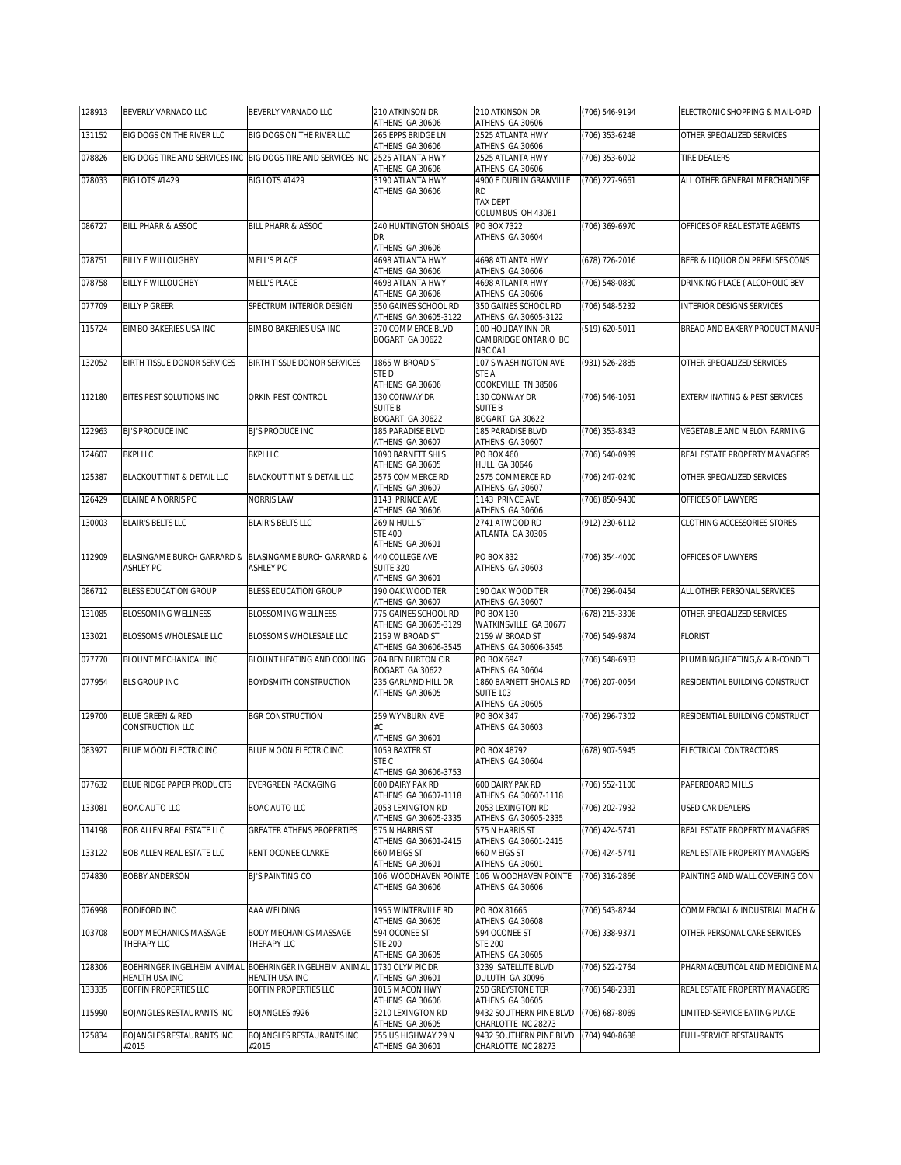| 128913 | BEVERLY VARNADO LLC                  | BEVERLY VARNADO LLC                                                       | 210 ATKINSON DR<br>ATHENS GA 30606                 | 210 ATKINSON DR<br>ATHENS GA 30606                    | (706) 546-9194     | ELECTRONIC SHOPPING & MAIL-ORD   |
|--------|--------------------------------------|---------------------------------------------------------------------------|----------------------------------------------------|-------------------------------------------------------|--------------------|----------------------------------|
| 131152 | BIG DOGS ON THE RIVER LLC            | BIG DOGS ON THE RIVER LLC                                                 | 265 EPPS BRIDGE LN<br>ATHENS GA 30606              | 2525 ATLANTA HWY<br>ATHENS GA 30606                   | (706) 353-6248     | OTHER SPECIALIZED SERVICES       |
| 078826 |                                      | BIG DOGS TIRE AND SERVICES INC BIG DOGS TIRE AND SERVICES INC             | 2525 ATLANTA HWY                                   | 2525 ATLANTA HWY                                      | (706) 353-6002     | TIRE DEALERS                     |
| 078033 | <b>BIG LOTS #1429</b>                | <b>BIG LOTS #1429</b>                                                     | ATHENS GA 30606<br>3190 ATLANTA HWY                | ATHENS GA 30606<br>4900 E DUBLIN GRANVILLE            | (706) 227-9661     | ALL OTHER GENERAL MERCHANDISE    |
|        |                                      |                                                                           | ATHENS GA 30606                                    | <b>RD</b><br><b>TAX DEPT</b>                          |                    |                                  |
|        |                                      |                                                                           |                                                    | COLUMBUS OH 43081                                     |                    |                                  |
| 086727 | <b>BILL PHARR &amp; ASSOC</b>        | <b>BILL PHARR &amp; ASSOC</b>                                             | 240 HUNTINGTON SHOALS<br>DR                        | PO BOX 7322<br>ATHENS GA 30604                        | (706) 369-6970     | OFFICES OF REAL ESTATE AGENTS    |
| 078751 | <b>BILLY F WILLOUGHBY</b>            | <b>MELL'S PLACE</b>                                                       | ATHENS GA 30606<br>4698 ATLANTA HWY                | 4698 ATLANTA HWY                                      | (678) 726-2016     | BEER & LIQUOR ON PREMISES CONS   |
| 078758 | <b>BILLY F WILLOUGHBY</b>            | <b>MELL'S PLACE</b>                                                       | ATHENS GA 30606<br>4698 ATLANTA HWY                | ATHENS GA 30606<br>4698 ATLANTA HWY                   | (706) 548-0830     | DRINKING PLACE ( ALCOHOLIC BEV   |
|        | <b>BILLY P GREER</b>                 |                                                                           | ATHENS GA 30606<br>350 GAINES SCHOOL RD            | ATHENS GA 30606<br>350 GAINES SCHOOL RD               |                    |                                  |
| 077709 |                                      | SPECTRUM INTERIOR DESIGN                                                  | ATHENS GA 30605-3122                               | ATHENS GA 30605-3122                                  | (706) 548-5232     | <b>INTERIOR DESIGNS SERVICES</b> |
| 115724 | BIMBO BAKERIES USA INC               | BIMBO BAKERIES USA INC                                                    | 370 COMMERCE BLVD<br>BOGART GA 30622               | 100 HOLIDAY INN DR<br>CAMBRIDGE ONTARIO BC<br>N3C 0A1 | (519) 620-5011     | BREAD AND BAKERY PRODUCT MANUF   |
| 132052 | BIRTH TISSUE DONOR SERVICES          | BIRTH TISSUE DONOR SERVICES                                               | 1865 W BROAD ST<br>STE D                           | 107 S WASHINGTON AVE<br>STE A                         | (931) 526-2885     | OTHER SPECIALIZED SERVICES       |
|        |                                      |                                                                           | ATHENS GA 30606                                    | COOKEVILLE TN 38506                                   |                    |                                  |
| 112180 | BITES PEST SOLUTIONS INC             | ORKIN PEST CONTROL                                                        | 130 CONWAY DR<br><b>SUITE B</b><br>BOGART GA 30622 | 130 CONWAY DR<br><b>SUITE B</b><br>BOGART GA 30622    | $(706) 546 - 1051$ | EXTERMINATING & PEST SERVICES    |
| 122963 | <b>BJ'S PRODUCE INC</b>              | <b>BJ'S PRODUCE INC</b>                                                   | <b>185 PARADISE BI VD</b><br>ATHENS GA 30607       | 185 PARADISE BLVD<br>ATHENS GA 30607                  | (706) 353-8343     | VEGETABLE AND MELON FARMING      |
| 124607 | <b>BKPI LLC</b>                      | <b>BKPILLC</b>                                                            | 1090 BARNETT SHLS<br>ATHENS GA 30605               | <b>PO BOX 460</b><br>HULL GA 30646                    | (706) 540-0989     | REAL ESTATE PROPERTY MANAGERS    |
| 125387 | BLACKOUT TINT & DETAIL LLC           | BLACKOUT TINT & DETAIL LLC                                                | 2575 COMMERCE RD                                   | 2575 COMMERCE RD                                      | (706) 247-0240     | OTHER SPECIALIZED SERVICES       |
| 126429 | <b>BLAINE A NORRIS PC</b>            | NORRIS LAW                                                                | ATHENS GA 30607<br>1143 PRINCE AVE                 | ATHENS GA 30607<br>1143 PRINCE AVE                    | (706) 850-9400     | OFFICES OF LAWYERS               |
| 130003 | <b>BLAIR'S BELTS LLC</b>             | <b>BLAIR'S BELTS LLC</b>                                                  | ATHENS GA 30606<br>269 N HULL ST                   | ATHENS GA 30606<br>2741 ATWOOD RD                     | (912) 230-6112     | CLOTHING ACCESSORIES STORES      |
|        |                                      |                                                                           | <b>STE 400</b><br>ATHENS GA 30601                  | ATLANTA GA 30305                                      |                    |                                  |
| 112909 |                                      | BLASINGAME BURCH GARRARD & BLASINGAME BURCH GARRARD &                     | 440 COLLEGE AVE                                    | PO BOX 832                                            | (706) 354-4000     | OFFICES OF LAWYERS               |
|        | <b>ASHLEY PC</b>                     | <b>ASHLEY PC</b>                                                          | <b>SUITE 320</b><br>ATHENS GA 30601                | ATHENS GA 30603                                       |                    |                                  |
| 086712 | BLESS EDUCATION GROUP                | BLESS EDUCATION GROUP                                                     | 190 OAK WOOD TER<br>ATHENS GA 30607                | 190 OAK WOOD TER<br>ATHENS GA 30607                   | (706) 296-0454     | ALL OTHER PERSONAL SERVICES      |
| 131085 | <b>BLOSSOMING WELLNESS</b>           | <b>BLOSSOMING WELLNESS</b>                                                | 775 GAINES SCHOOL RD<br>ATHENS GA 30605-3129       | PO BOX 130<br>WATKINSVILLE GA 30677                   | (678) 215-3306     | OTHER SPECIALIZED SERVICES       |
| 133021 | BLOSSOMS WHOLESALE LLC               | BLOSSOMS WHOLESALE LLC                                                    | 2159 W BROAD ST<br>ATHENS GA 30606-3545            | 2159 W BROAD ST<br>ATHENS GA 30606-3545               | (706) 549-9874     | <b>FLORIST</b>                   |
| 077770 | BLOUNT MECHANICAL INC                | BLOUNT HEATING AND COOLING                                                | 204 BEN BURTON CIR                                 | <b>PO BOX 6947</b>                                    | (706) 548-6933     | PLUMBING, HEATING, & AIR-CONDITI |
| 077954 | <b>BLS GROUP INC</b>                 | BOYDSMITH CONSTRUCTION                                                    | BOGART GA 30622<br>235 GARLAND HILL DR             | ATHENS GA 30604<br>1860 BARNETT SHOALS RD             | (706) 207-0054     | RESIDENTIAL BUILDING CONSTRUCT   |
|        |                                      |                                                                           | ATHENS GA 30605                                    | <b>SUITE 103</b><br>ATHENS GA 30605                   |                    |                                  |
| 129700 | BLUE GREEN & RED<br>CONSTRUCTION LLC | <b>BGR CONSTRUCTION</b>                                                   | 259 WYNBURN AVE<br>#С.                             | PO BOX 347<br>ATHENS GA 30603                         | (706) 296-7302     | RESIDENTIAL BUILDING CONSTRUCT   |
|        |                                      |                                                                           | ATHENS GA 30601                                    |                                                       |                    |                                  |
| 083927 | BLUE MOON ELECTRIC INC               | BLUE MOON ELECTRIC INC                                                    | 1059 BAXTER ST<br>STE C                            | PO BOX 48792<br>ATHENS GA 30604                       | (678) 907-5945     | ELECTRICAL CONTRACTORS           |
| 077632 | BLUE RIDGE PAPER PRODUCTS            | EVERGREEN PACKAGING                                                       | ATHENS GA 30606-3753<br>600 DAIRY PAK RD           | 600 DAIRY PAK RD                                      | (706) 552-1100     | PAPERBOARD MILLS                 |
| 133081 | BOAC AUTO LLC                        | <b>BOAC AUTO LLC</b>                                                      | ATHENS GA 30607-1118<br>2053 LEXINGTON RD          | ATHENS GA 30607-1118<br>2053 LEXINGTON RD             | (706) 202-7932     | USED CAR DEALERS                 |
| 114198 | BOB ALLEN REAL ESTATE LLC            | <b>GREATER ATHENS PROPERTIES</b>                                          | ATHENS GA 30605-2335<br>575 N HARRIS ST            | ATHENS GA 30605-2335<br>575 N HARRIS ST               | (706) 424-5741     | REAL ESTATE PROPERTY MANAGERS    |
|        |                                      |                                                                           | ATHENS GA 30601-2415                               | ATHENS GA 30601-2415                                  |                    |                                  |
| 133122 | BOB ALLEN REAL ESTATE LLC            | RENT OCONEE CLARKE                                                        | 660 MEIGS ST<br>ATHENS GA 30601                    | 660 MEIGS ST<br>ATHENS GA 30601                       | (706) 424-5741     | REAL ESTATE PROPERTY MANAGERS    |
| 074830 | BOBBY ANDERSON                       | <b>BJ'S PAINTING CO</b>                                                   | 106 WOODHAVEN POINTE<br>ATHENS GA 30606            | 106 WOODHAVEN POINTE<br>ATHENS GA 30606               | (706) 316-2866     | PAINTING AND WALL COVERING CON   |
| 076998 | BODIFORD INC                         | AAA WELDING                                                               | 1955 WINTERVILLE RD<br>ATHENS GA 30605             | PO BOX 81665<br>ATHENS GA 30608                       | (706) 543-8244     | COMMERCIAL & INDUSTRIAL MACH &   |
| 103708 | BODY MECHANICS MASSAGE               | BODY MECHANICS MASSAGE                                                    | 594 OCONEE ST                                      | 594 OCONEE ST                                         | (706) 338-9371     | OTHER PERSONAL CARE SERVICES     |
|        | THERAPY LLC                          | THERAPY LLC                                                               | <b>STE 200</b><br>ATHENS GA 30605                  | <b>STE 200</b><br>ATHENS GA 30605                     |                    |                                  |
| 128306 | HEALTH USA INC                       | BOEHRINGER INGELHEIM ANIMAL BOEHRINGER INGELHEIM ANIMAL<br>HEALTH USA INC | 1730 OLYMPIC DR<br>ATHENS GA 30601                 | 3239 SATELLITE BLVD<br>DULUTH GA 30096                | (706) 522-2764     | PHARMACEUTICAL AND MEDICINE MA   |
| 133335 | BOFFIN PROPERTIES LLC                | BOFFIN PROPERTIES LLC                                                     | 1015 MACON HWY<br>ATHENS GA 30606                  | 250 GREYSTONE TER<br>ATHENS GA 30605                  | (706) 548-2381     | REAL ESTATE PROPERTY MANAGERS    |
| 115990 | BOJANGLES RESTAURANTS INC            | BOJANGLES #926                                                            | 3210 LEXINGTON RD<br>ATHENS GA 30605               | 9432 SOUTHERN PINE BLVD<br>CHARLOTTE NC 28273         | (706) 687-8069     | LIMITED-SERVICE EATING PLACE     |
| 125834 | BOJANGLES RESTAURANTS INC            | BOJANGLES RESTAURANTS INC                                                 | 755 US HIGHWAY 29 N                                | 9432 SOUTHERN PINE BLVD                               | (704) 940-8688     | FULL-SERVICE RESTAURANTS         |
|        | #2015                                | #2015                                                                     | ATHENS GA 30601                                    | CHARLOTTE NC 28273                                    |                    |                                  |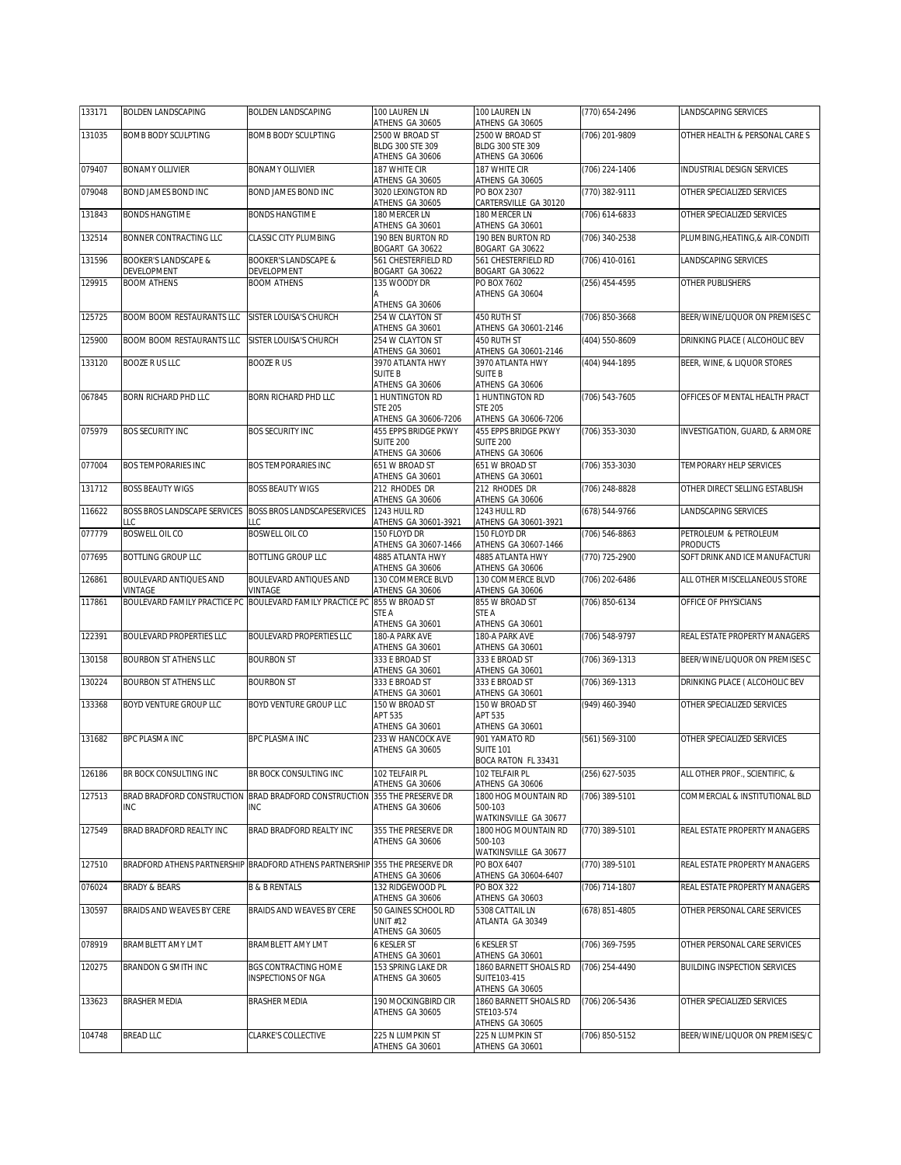| 133171 | <b>BOLDEN LANDSCAPING</b>                   | BOLDEN LANDSCAPING                                                          | 100 LAUREN LN                                   | 100 LAUREN LN                                            | (770) 654-2496   | LANDSCAPING SERVICES                              |
|--------|---------------------------------------------|-----------------------------------------------------------------------------|-------------------------------------------------|----------------------------------------------------------|------------------|---------------------------------------------------|
| 131035 | BOMB BODY SCULPTING                         | <b>BOMB BODY SCULPTING</b>                                                  | ATHENS GA 30605<br>2500 W BROAD ST              | ATHENS GA 30605<br>2500 W BROAD ST                       | (706) 201-9809   | OTHER HEALTH & PERSONAL CARE S                    |
|        |                                             |                                                                             | BLDG 300 STE 309                                | BLDG 300 STE 309                                         |                  |                                                   |
|        |                                             |                                                                             | ATHENS GA 30606                                 | ATHENS GA 30606                                          |                  |                                                   |
| 079407 | <b>BONAMY OLLIVIER</b>                      | <b>BONAMY OLLIVIER</b>                                                      | 187 WHITE CIR<br>ATHENS GA 30605                | 187 WHITE CIR<br>ATHENS GA 30605                         | (706) 224-1406   | INDUSTRIAL DESIGN SERVICES                        |
| 079048 | BOND JAMES BOND INC                         | BOND JAMES BOND INC                                                         | 3020 LEXINGTON RD                               | PO BOX 2307                                              | (770) 382-9111   | OTHER SPECIALIZED SERVICES                        |
| 131843 | <b>BONDS HANGTIME</b>                       | <b>BONDS HANGTIME</b>                                                       | ATHENS GA 30605<br>180 MERCER LN                | CARTERSVILLE GA 30120<br>180 MERCER LN                   | (706) 614-6833   | OTHER SPECIALIZED SERVICES                        |
|        |                                             |                                                                             | ATHENS GA 30601                                 | ATHENS GA 30601                                          |                  |                                                   |
| 132514 | BONNER CONTRACTING LLC                      | CLASSIC CITY PLUMBING                                                       | 190 BEN BURTON RD<br>BOGART GA 30622            | 190 BEN BURTON RD<br>BOGART GA 30622                     | (706) 340-2538   | PLUMBING, HEATING, & AIR-CONDITI                  |
| 131596 | <b>BOOKER'S LANDSCAPE &amp;</b>             | <b>BOOKER'S LANDSCAPE &amp;</b>                                             | 561 CHESTERFIELD RD                             | 561 CHESTERFIELD RD                                      | (706) 410-0161   | <b>LANDSCAPING SERVICES</b>                       |
| 129915 | DEVELOPMENT<br><b>BOOM ATHENS</b>           | DEVELOPMENT<br><b>BOOM ATHENS</b>                                           | BOGART GA 30622<br>135 WOODY DR                 | BOGART GA 30622<br>PO BOX 7602                           | (256) 454-4595   | OTHER PUBLISHERS                                  |
|        |                                             |                                                                             | ATHENS GA 30606                                 | ATHENS GA 30604                                          |                  |                                                   |
| 125725 | BOOM BOOM RESTAURANTS LLC                   | SISTER LOUISA'S CHURCH                                                      | 254 W CLAYTON ST<br>ATHENS GA 30601             | 450 RUTH ST<br>ATHENS GA 30601-2146                      | (706) 850-3668   | BEER/WINE/LIQUOR ON PREMISES C                    |
| 125900 | BOOM BOOM RESTAURANTS LLC                   | SISTER LOUISA'S CHURCH                                                      | 254 W CLAYTON ST                                | 450 RUTH ST                                              | (404) 550-8609   | DRINKING PLACE ( ALCOHOLIC BEV                    |
| 133120 | <b>BOOZE R US LLC</b>                       | <b>BOOZERUS</b>                                                             | ATHENS GA 30601<br>3970 ATLANTA HWY             | ATHENS GA 30601-2146<br>3970 ATLANTA HWY                 |                  | BEER, WINE, & LIQUOR STORES                       |
|        |                                             |                                                                             | <b>SUITE B</b>                                  | <b>SUITE B</b>                                           | (404) 944-1895   |                                                   |
|        |                                             |                                                                             | ATHENS GA 30606<br>1 HUNTINGTON RD              | ATHENS GA 30606                                          |                  |                                                   |
| 067845 | BORN RICHARD PHD LLC                        | BORN RICHARD PHD LLC                                                        | <b>STE 205</b>                                  | 1 HUNTINGTON RD<br><b>STE 205</b>                        | (706) 543-7605   | OFFICES OF MENTAL HEALTH PRACT                    |
|        |                                             |                                                                             | ATHENS GA 30606-7206                            | ATHENS GA 30606-7206                                     |                  |                                                   |
| 075979 | <b>BOS SECURITY INC</b>                     | <b>BOS SECURITY INC</b>                                                     | <b>455 EPPS BRIDGE PKWY</b><br><b>SUITE 200</b> | <b>455 EPPS BRIDGE PKWY</b><br><b>SUITE 200</b>          | (706) 353-3030   | INVESTIGATION, GUARD, & ARMORE                    |
|        |                                             |                                                                             | ATHENS GA 30606                                 | ATHENS GA 30606                                          |                  |                                                   |
| 077004 | <b>BOS TEMPORARIES INC</b>                  | <b>BOS TEMPORARIES INC</b>                                                  | 651 W BROAD ST<br>ATHENS GA 30601               | 651 W BROAD ST<br>ATHENS GA 30601                        | (706) 353-3030   | TEMPORARY HELP SERVICES                           |
| 131712 | <b>BOSS BEAUTY WIGS</b>                     | <b>BOSS BEAUTY WIGS</b>                                                     | 212 RHODES DR                                   | 212 RHODES DR                                            | (706) 248-8828   | OTHER DIRECT SELLING ESTABLISH                    |
|        |                                             |                                                                             | ATHENS GA 30606                                 | ATHENS GA 30606                                          |                  |                                                   |
| 116622 | <b>BOSS BROS LANDSCAPE SERVICES</b><br>LLC. | <b>BOSS BROS LANDSCAPESERVICES</b><br>LLC                                   | 1243 HULL RD<br>ATHENS GA 30601-3921            | 1243 HULL RD<br>ATHENS GA 30601-3921                     | (678) 544-9766   | LANDSCAPING SERVICES                              |
| 077779 | <b>BOSWELL OIL CO</b>                       | <b>BOSWELL OIL CO</b>                                                       | 150 FLOYD DR                                    | 150 FLOYD DR                                             | (706) 546-8863   | PETROLEUM & PETROLEUM                             |
| 077695 | BOTTLING GROUP LLC                          | BOTTLING GROUP LLC                                                          | ATHENS GA 30607-1466<br>4885 ATLANTA HWY        | ATHENS GA 30607-1466<br>4885 ATLANTA HWY                 | (770) 725-2900   | <b>PRODUCTS</b><br>SOFT DRINK AND ICE MANUFACTURI |
|        |                                             |                                                                             | ATHENS GA 30606                                 | ATHENS GA 30606                                          |                  |                                                   |
| 126861 | BOULEVARD ANTIQUES AND<br>VINTAGE           | BOULEVARD ANTIQUES AND<br>VINTAGE                                           | 130 COMMERCE BLVD<br>ATHENS GA 30606            | 130 COMMERCE BLVD<br>ATHENS GA 30606                     | (706) 202-6486   | ALL OTHER MISCELLANEOUS STORE                     |
| 117861 | BOULEVARD FAMILY PRACTICE PC                | BOULEVARD FAMILY PRACTICE PC                                                | 855 W BROAD ST                                  | 855 W BROAD ST                                           | (706) 850-6134   | OFFICE OF PHYSICIANS                              |
|        |                                             |                                                                             | STE A<br>ATHENS GA 30601                        | STE A<br>ATHENS GA 30601                                 |                  |                                                   |
| 122391 | BOULEVARD PROPERTIES LLC                    | <b>BOULEVARD PROPERTIES LLC</b>                                             | 180-A PARK AVE                                  | 180-A PARK AVE                                           | (706) 548-9797   | REAL ESTATE PROPERTY MANAGERS                     |
| 130158 | <b>BOURBON ST ATHENS LLC</b>                | <b>BOURBON ST</b>                                                           | ATHENS GA 30601<br>333 E BROAD ST               | ATHENS GA 30601<br>333 E BROAD ST                        | $(706)$ 369-1313 | BEER/WINE/LIQUOR ON PREMISES C                    |
|        |                                             |                                                                             | ATHENS GA 30601                                 | ATHENS GA 30601                                          |                  |                                                   |
| 130224 | BOURBON ST ATHENS LLC                       | <b>BOURBON ST</b>                                                           | 333 E BROAD ST<br>ATHENS GA 30601               | 333 E BROAD ST<br>ATHENS GA 30601                        | (706) 369-1313   | DRINKING PLACE ( ALCOHOLIC BEV                    |
| 133368 | BOYD VENTURE GROUP LLC                      | BOYD VENTURE GROUP LLC                                                      | 150 W BROAD ST                                  | 150 W BROAD ST                                           | (949) 460-3940   | OTHER SPECIALIZED SERVICES                        |
|        |                                             |                                                                             | APT 535<br>ATHENS GA 30601                      | APT 535<br>ATHENS GA 30601                               |                  |                                                   |
| 131682 | <b>BPC PLASMA INC</b>                       | <b>BPC PLASMA INC</b>                                                       | 233 W HANCOCK AVE                               | 901 YAMATO RD                                            | (561) 569-3100   | OTHER SPECIALIZED SERVICES                        |
|        |                                             |                                                                             | ATHENS GA 30605                                 | <b>SUITE 101</b><br>BOCA RATON FL 33431                  |                  |                                                   |
| 126186 | BR BOCK CONSULTING INC                      | BR BOCK CONSULTING INC                                                      | 102 TELFAIR PL                                  | 102 TELFAIR PL                                           | (256) 627-5035   | ALL OTHER PROF., SCIENTIFIC, &                    |
|        |                                             |                                                                             | ATHENS GA 30606                                 | ATHENS GA 30606                                          |                  |                                                   |
| 127513 | BRAD BRADFORD CONSTRUCTION<br>INC.          | BRAD BRADFORD CONSTRUCTION<br><b>INC</b>                                    | 355 THE PRESERVE DR<br>ATHENS GA 30606          | 1800 HOG MOUNTAIN RD<br>500-103<br>WATKINSVILLE GA 30677 | (706) 389-5101   | COMMERCIAL & INSTITUTIONAL BLD                    |
| 127549 | BRAD BRADFORD REALTY INC                    | BRAD BRADFORD REALTY INC                                                    | 355 THE PRESERVE DR                             | 1800 HOG MOUNTAIN RD                                     | (770) 389-5101   | REAL ESTATE PROPERTY MANAGERS                     |
|        |                                             |                                                                             | ATHENS GA 30606                                 | 500-103<br>WATKINSVILLE GA 30677                         |                  |                                                   |
| 127510 |                                             | BRADFORD ATHENS PARTNERSHIP BRADFORD ATHENS PARTNERSHIP 355 THE PRESERVE DR | ATHENS GA 30606                                 | PO BOX 6407<br>ATHENS GA 30604-6407                      | (770) 389-5101   | REAL ESTATE PROPERTY MANAGERS                     |
| 076024 | <b>BRADY &amp; BEARS</b>                    | <b>B &amp; B RENTALS</b>                                                    | 132 RIDGEWOOD PL                                | PO BOX 322                                               | (706) 714-1807   | REAL ESTATE PROPERTY MANAGERS                     |
| 130597 | BRAIDS AND WEAVES BY CERE                   | BRAIDS AND WEAVES BY CERE                                                   | ATHENS GA 30606<br>50 GAINES SCHOOL RD          | ATHENS GA 30603<br>5308 CATTAIL LN                       | (678) 851-4805   | OTHER PERSONAL CARE SERVICES                      |
|        |                                             |                                                                             | <b>UNIT #12</b><br>ATHENS GA 30605              | ATLANTA GA 30349                                         |                  |                                                   |
| 078919 | BRAMBLETT AMY LMT                           | <b>BRAMBLETT AMY LMT</b>                                                    | 6 KESLER ST                                     | <b>6 KESLER ST</b>                                       | (706) 369-7595   | OTHER PERSONAL CARE SERVICES                      |
| 120275 | BRANDON G SMITH INC                         | BGS CONTRACTING HOME                                                        | ATHENS GA 30601<br>153 SPRING LAKE DR           | ATHENS GA 30601<br>1860 BARNETT SHOALS RD                | (706) 254-4490   | <b>BUILDING INSPECTION SERVICES</b>               |
|        |                                             | INSPECTIONS OF NGA                                                          | ATHENS GA 30605                                 | SUITE103-415<br>ATHENS GA 30605                          |                  |                                                   |
| 133623 | BRASHER MEDIA                               | <b>BRASHER MEDIA</b>                                                        | 190 MOCKINGBIRD CIR                             | 1860 BARNETT SHOALS RD                                   | (706) 206-5436   | OTHER SPECIALIZED SERVICES                        |
|        |                                             |                                                                             | ATHENS GA 30605                                 | STE103-574                                               |                  |                                                   |
| 104748 | <b>BREAD LLC</b>                            | CLARKE'S COLLECTIVE                                                         | 225 N LUMPKIN ST                                | ATHENS GA 30605<br>225 N LUMPKIN ST                      | (706) 850-5152   | BEER/WINE/LIQUOR ON PREMISES/C                    |
|        |                                             |                                                                             | ATHENS GA 30601                                 | ATHENS GA 30601                                          |                  |                                                   |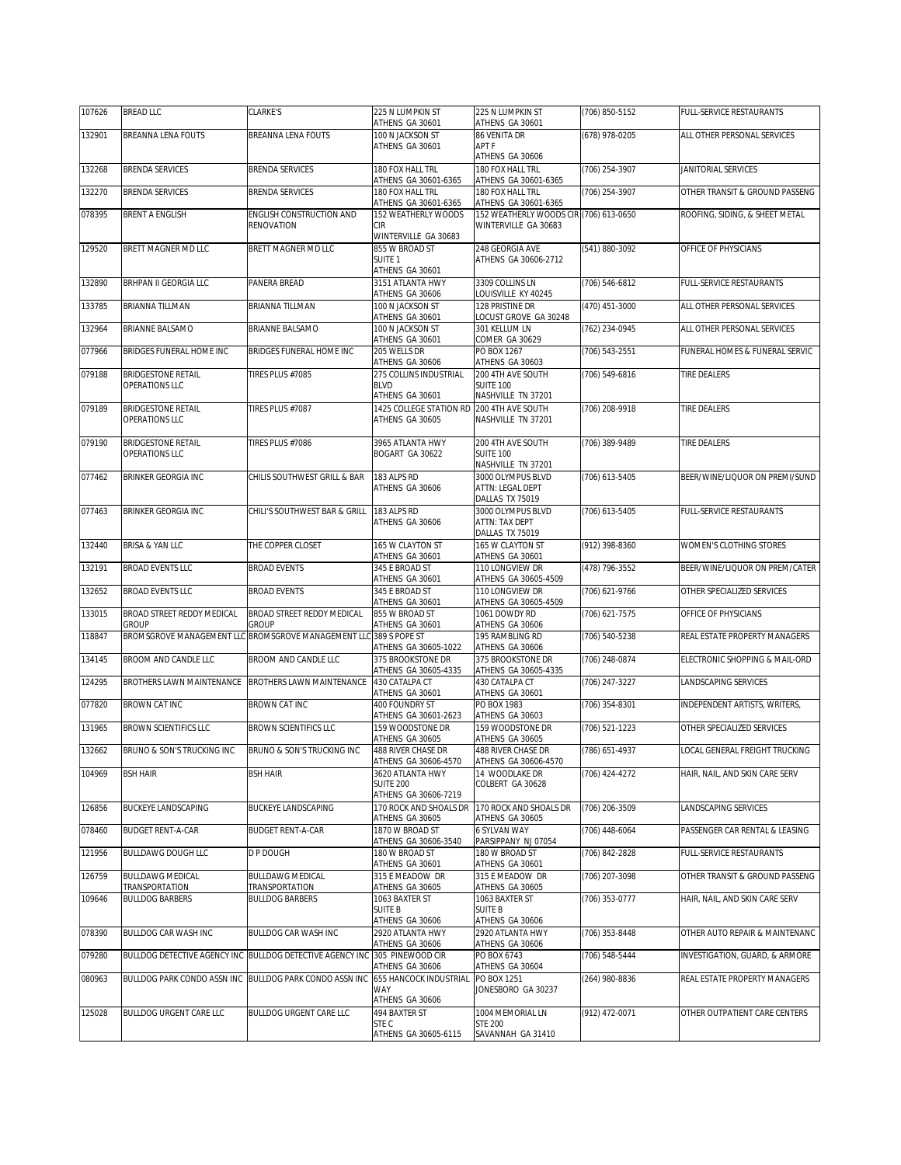| 107626 | <b>BREAD LLC</b>                                        | CLARKE'S                                                                   | 225 N LUMPKIN ST                           | 225 N LUMPKIN ST                                       | (706) 850-5152 | FULL-SERVICE RESTAURANTS       |
|--------|---------------------------------------------------------|----------------------------------------------------------------------------|--------------------------------------------|--------------------------------------------------------|----------------|--------------------------------|
| 132901 | BREANNA LENA FOUTS                                      | BREANNA LENA FOUTS                                                         | ATHENS GA 30601<br>100 N JACKSON ST        | ATHENS GA 30601<br>86 VENITA DR                        | (678) 978-0205 | ALL OTHER PERSONAL SERVICES    |
|        |                                                         |                                                                            | ATHENS GA 30601                            | APT F<br>ATHENS GA 30606                               |                |                                |
| 132268 | <b>BRENDA SERVICES</b>                                  | BRENDA SERVICES                                                            | 180 FOX HALL TRL<br>ATHENS GA 30601-6365   | 180 FOX HALL TRL<br>ATHENS GA 30601-6365               | (706) 254-3907 | JANITORIAL SERVICES            |
| 132270 | <b>BRENDA SERVICES</b>                                  | BRENDA SERVICES                                                            | 180 FOX HALL TRL<br>ATHENS GA 30601-6365   | 180 FOX HALL TRL<br>ATHENS GA 30601-6365               | (706) 254-3907 | OTHER TRANSIT & GROUND PASSENG |
| 078395 | <b>BRENT A ENGLISH</b>                                  | ENGLISH CONSTRUCTION AND                                                   | 152 WEATHERLY WOODS                        | 152 WEATHERLY WOODS CIR (706) 613-0650                 |                | ROOFING, SIDING, & SHEET METAL |
|        |                                                         | RENOVATION                                                                 | CIR.<br>WINTERVILLE GA 30683               | WINTERVILLE GA 30683                                   |                |                                |
| 129520 | BRETT MAGNER MD LLC                                     | BRETT MAGNER MD LLC                                                        | 855 W BROAD ST                             | 248 GEORGIA AVE                                        | (541) 880-3092 | OFFICE OF PHYSICIANS           |
|        |                                                         |                                                                            | SUITE <sub>1</sub><br>ATHENS GA 30601      | ATHENS GA 30606-2712                                   |                |                                |
| 132890 | BRHPAN II GEORGIA LLC                                   | PANERA BREAD                                                               | 3151 ATLANTA HWY<br>ATHENS GA 30606        | 3309 COLLINS LN<br>OUISVILLE KY 40245                  | (706) 546-6812 | FULL-SERVICE RESTAURANTS       |
| 133785 | BRIANNA TILLMAN                                         | BRIANNA TILLMAN                                                            | 100 N JACKSON ST<br>ATHENS GA 30601        | 128 PRISTINE DR<br>OCUST GROVE GA 30248                | (470) 451-3000 | ALL OTHER PERSONAL SERVICES    |
| 132964 | BRIANNE BALSAMO                                         | BRIANNE BALSAMO                                                            | 100 N JACKSON ST<br>ATHENS GA 30601        | 301 KELLUM LN<br>COMER GA 30629                        | (762) 234-0945 | ALL OTHER PERSONAL SERVICES    |
| 077966 | BRIDGES FUNERAL HOME INC                                | BRIDGES FUNERAL HOME INC                                                   | 205 WELLS DR<br>ATHENS GA 30606            | PO BOX 1267<br>ATHENS GA 30603                         | (706) 543-2551 | FUNERAL HOMES & FUNERAL SERVIC |
| 079188 | <b>BRIDGESTONE RETAIL</b>                               | TIRES PLUS #7085                                                           | 275 COLLINS INDUSTRIAL                     | 200 4TH AVE SOUTH                                      | (706) 549-6816 | <b>TIRE DEALERS</b>            |
|        | OPERATIONS LLC                                          |                                                                            | <b>BLVD</b><br>ATHENS GA 30601             | SUITE 100<br>NASHVILLE TN 37201                        |                |                                |
| 079189 | BRIDGESTONE RETAIL<br>OPERATIONS LLC                    | TIRES PLUS #7087                                                           | 1425 COLLEGE STATION RD<br>ATHENS GA 30605 | 200 4TH AVE SOUTH<br>NASHVILLE TN 37201                | (706) 208-9918 | <b>TIRE DEALERS</b>            |
| 079190 | BRIDGESTONE RETAIL                                      | TIRES PLUS #7086                                                           | 3965 ATLANTA HWY                           | 200 4TH AVE SOUTH                                      | (706) 389-9489 | <b>TIRE DEALERS</b>            |
|        | OPERATIONS LLC                                          |                                                                            | BOGART GA 30622                            | SUITE 100<br>NASHVILLE TN 37201                        |                |                                |
| 077462 | <b>BRINKER GEORGIA INC</b>                              | CHILIS SOUTHWEST GRILL & BAR                                               | 183 ALPS RD                                | 3000 OLYMPUS BLVD                                      | (706) 613-5405 | BEER/WINE/LIQUOR ON PREMI/SUND |
|        |                                                         |                                                                            | ATHENS GA 30606                            | ATTN: LEGAL DEPT<br>DALLAS TX 75019                    |                |                                |
| 077463 | <b>BRINKER GEORGIA INC</b>                              | CHILI'S SOUTHWEST BAR & GRILL                                              | 183 ALPS RD<br>ATHENS GA 30606             | 3000 OLYMPUS BLVD<br>ATTN: TAX DEPT<br>DALLAS TX 75019 | (706) 613-5405 | FULL-SERVICE RESTAURANTS       |
| 132440 | <b>BRISA &amp; YAN LLC</b>                              | THE COPPER CLOSET                                                          | 165 W CLAYTON ST                           | 165 W CLAYTON ST                                       | (912) 398-8360 | WOMEN'S CLOTHING STORES        |
| 132191 | <b>BROAD EVENTS LLC</b>                                 | <b>BROAD EVENTS</b>                                                        | ATHENS GA 30601<br>345 E BROAD ST          | ATHENS GA 30601<br>110 LONGVIEW DR                     | (478) 796-3552 | BEER/WINE/LIQUOR ON PREM/CATER |
|        |                                                         |                                                                            | ATHENS GA 30601                            | ATHENS GA 30605-4509                                   |                |                                |
| 132652 | <b>BROAD EVENTS LLC</b>                                 | <b>BROAD EVENTS</b>                                                        | 345 E BROAD ST<br>ATHENS GA 30601          | 110 LONGVIEW DR<br>ATHENS GA 30605-4509                | (706) 621-9766 | OTHER SPECIALIZED SERVICES     |
| 133015 | BROAD STREET REDDY MEDICAL<br><b>GROUP</b>              | BROAD STREET REDDY MEDICAL<br>Group                                        | 855 W BROAD ST<br>ATHENS GA 30601          | 1061 DOWDY RD<br>ATHENS GA 30606                       | (706) 621-7575 | OFFICE OF PHYSICIANS           |
| 118847 |                                                         | BROMSGROVE MANAGEMENT LLC BROMSGROVE MANAGEMENT LLC 389 S POPE ST          | ATHENS GA 30605-1022                       | 195 RAMBLING RD<br>ATHENS GA 30606                     | (706) 540-5238 | REAL ESTATE PROPERTY MANAGERS  |
| 134145 | BROOM AND CANDLE LLC                                    | BROOM AND CANDLE LLC                                                       | 375 BROOKSTONE DR<br>ATHENS GA 30605-4335  | 375 BROOKSTONE DR<br>ATHENS GA 30605-4335              | (706) 248-0874 | ELECTRONIC SHOPPING & MAIL-ORD |
| 124295 | BROTHERS LAWN MAINTENANCE                               | BROTHERS LAWN MAINTENANCE                                                  | 430 CATALPA CT<br>ATHENS GA 30601          | 430 CATALPA CT<br>ATHENS GA 30601                      | (706) 247-3227 | LANDSCAPING SERVICES           |
| 077820 | BROWN CAT INC                                           | BROWN CAT INC                                                              | 400 FOUNDRY ST<br>ATHENS GA 30601-2623     | PO BOX 1983<br>ATHENS GA 30603                         | (706) 354-8301 | INDEPENDENT ARTISTS, WRITERS,  |
| 131965 | <b>BROWN SCIENTIFICS LLC</b>                            | <b>BROWN SCIENTIFICS LLC</b>                                               | 159 WOODSTONE DR                           | 159 WOODSTONE DR                                       | (706) 521-1223 | OTHER SPECIALIZED SERVICES     |
| 132662 | BRUNO & SON'S TRUCKING INC                              | BRUNO & SON'S TRUCKING INC                                                 | ATHENS GA 30605<br>488 RIVER CHASE DR      | ATHENS GA 30605<br>488 RIVER CHASE DR                  | (786) 651-4937 | OCAL GENERAL FREIGHT TRUCKING  |
| 104969 | <b>BSH HAIR</b>                                         | <b>BSH HAIR</b>                                                            | ATHENS GA 30606-4570<br>3620 ATLANTA HWY   | ATHENS GA 30606-4570<br>14 WOODLAKE DR                 | (706) 424-4272 | HAIR, NAIL, AND SKIN CARE SERV |
|        |                                                         |                                                                            | <b>SUITE 200</b><br>ATHENS GA 30606-7219   | COLBERT GA 30628                                       |                |                                |
| 126856 | <b>BUCKEYE LANDSCAPING</b>                              | <b>BUCKEYE LANDSCAPING</b>                                                 | 170 ROCK AND SHOALS DR<br>ATHENS GA 30605  | 170 ROCK AND SHOALS DR<br>ATHENS GA 30605              | (706) 206-3509 | <b>LANDSCAPING SERVICES</b>    |
| 078460 | <b>BUDGET RENT-A-CAR</b>                                | <b>BUDGET RENT-A-CAR</b>                                                   | 1870 W BROAD ST<br>ATHENS GA 30606-3540    | 6 SYLVAN WAY<br>PARSIPPANY NJ 07054                    | (706) 448-6064 | PASSENGER CAR RENTAL & LEASING |
| 121956 | <b>BULLDAWG DOUGH LLC</b>                               | D P DOUGH                                                                  | 180 W BROAD ST<br>ATHENS GA 30601          | 180 W BROAD ST<br>ATHENS GA 30601                      | (706) 842-2828 | FULL-SERVICE RESTAURANTS       |
| 126759 | <b>BULLDAWG MEDICAL</b>                                 | <b>BULLDAWG MEDICAL</b>                                                    | 315 E MEADOW DR                            | 315 E MEADOW DR                                        | (706) 207-3098 | OTHER TRANSIT & GROUND PASSENG |
| 109646 | TRANSPORTATION<br><b>BULLDOG BARBERS</b>                | TRANSPORTATION<br><b>BULLDOG BARBERS</b>                                   | ATHENS GA 30605<br>1063 BAXTER ST          | ATHENS GA 30605<br>1063 BAXTER ST                      | (706) 353-0777 | HAIR, NAIL, AND SKIN CARE SERV |
|        |                                                         |                                                                            | <b>SUITE B</b><br>ATHENS GA 30606          | SUITE B<br>ATHENS GA 30606                             |                |                                |
| 078390 | BULLDOG CAR WASH INC                                    | BULLDOG CAR WASH INC                                                       | 2920 ATLANTA HWY<br>ATHENS GA 30606        | 2920 ATLANTA HWY<br>ATHENS GA 30606                    | (706) 353-8448 | OTHER AUTO REPAIR & MAINTENANC |
| 079280 |                                                         | BULLDOG DETECTIVE AGENCY INC BULLDOG DETECTIVE AGENCY INC 305 PINEWOOD CIR | ATHENS GA 30606                            | PO BOX 6743<br>ATHENS GA 30604                         | (706) 548-5444 | INVESTIGATION, GUARD, & ARMORE |
| 080963 | BULLDOG PARK CONDO ASSN INC BULLDOG PARK CONDO ASSN INC |                                                                            | <b>655 HANCOCK INDUSTRIAL</b>              | PO BOX 1251                                            | (264) 980-8836 | REAL ESTATE PROPERTY MANAGERS  |
|        |                                                         |                                                                            | WAY<br>ATHENS GA 30606                     | JONESBORO GA 30237                                     |                |                                |
| 125028 | <b>BULLDOG URGENT CARE LLC</b>                          | <b>BULLDOG URGENT CARE LLC</b>                                             | 494 BAXTER ST                              | 1004 MEMORIAL LN                                       | (912) 472-0071 | OTHER OUTPATIENT CARE CENTERS  |
|        |                                                         |                                                                            | STE C<br>ATHENS GA 30605-6115              | <b>STE 200</b><br>SAVANNAH GA 31410                    |                |                                |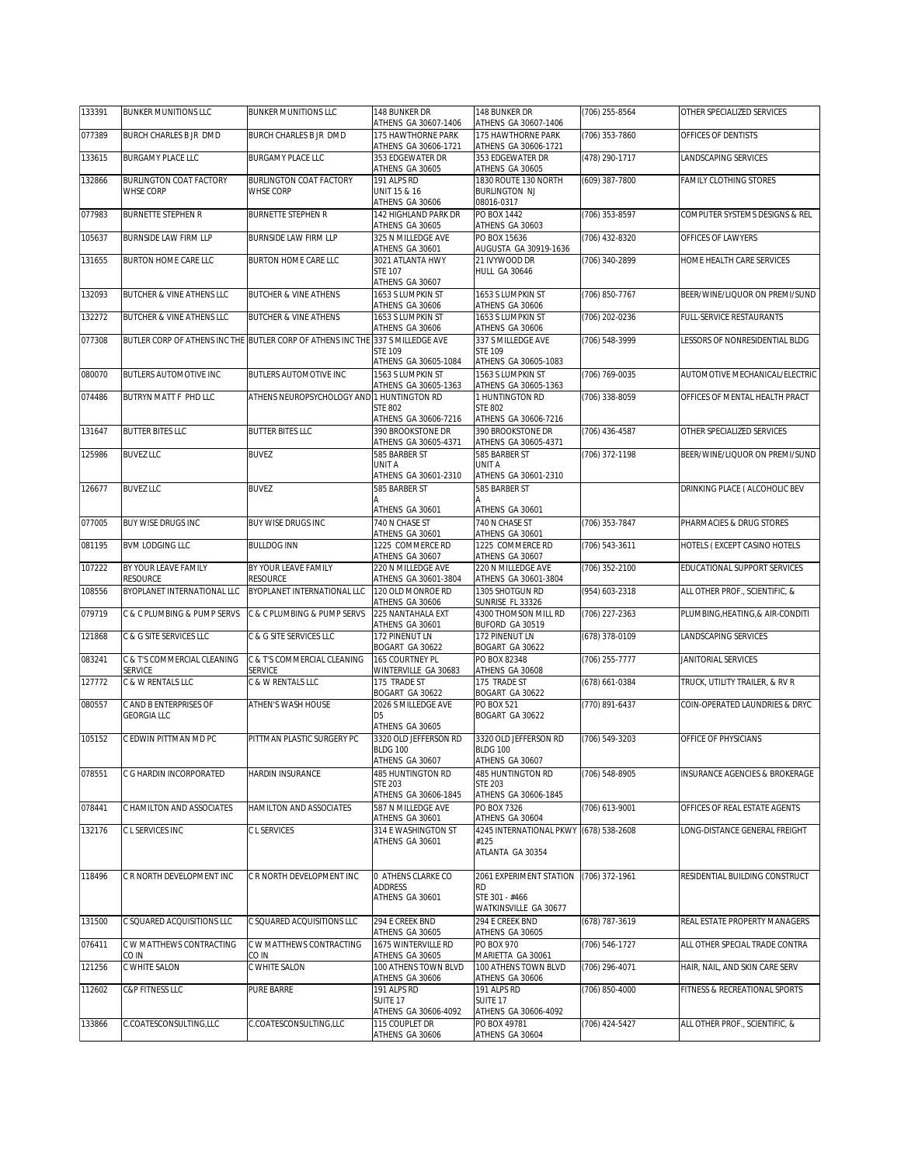| 133391 | <b>BUNKER MUNITIONS LLC</b>                   | <b>BUNKER MUNITIONS LLC</b>                                                    | 148 BUNKER DR                                                      | 148 BUNKER DR                                                            | (706) 255-8564 | OTHER SPECIALIZED SERVICES       |
|--------|-----------------------------------------------|--------------------------------------------------------------------------------|--------------------------------------------------------------------|--------------------------------------------------------------------------|----------------|----------------------------------|
| 077389 | BURCH CHARLES B JR DMD                        | BURCH CHARLES B JR DMD                                                         | ATHENS GA 30607-1406<br>175 HAWTHORNE PARK<br>ATHENS GA 30606-1721 | ATHENS GA 30607-1406<br>175 HAWTHORNE PARK<br>ATHENS GA 30606-1721       | (706) 353-7860 | OFFICES OF DENTISTS              |
| 133615 | <b>BURGAMY PLACE LLC</b>                      | <b>BURGAMY PLACE LLC</b>                                                       | 353 EDGEWATER DR<br>ATHENS GA 30605                                | 353 EDGEWATER DR<br>ATHENS GA 30605                                      | (478) 290-1717 | LANDSCAPING SERVICES             |
| 132866 | <b>BURLINGTON COAT FACTORY</b><br>WHSE CORP   | <b>BURLINGTON COAT FACTORY</b><br><b>WHSE CORP</b>                             | 191 ALPS RD<br>UNIT 15 & 16<br>ATHENS GA 30606                     | 1830 ROUTE 130 NORTH<br><b>BURLINGTON NJ</b><br>08016-0317               | (609) 387-7800 | FAMILY CLOTHING STORES           |
| 077983 | <b>BURNETTE STEPHEN R</b>                     | <b>BURNETTE STEPHEN R</b>                                                      | 142 HIGHLAND PARK DR<br>ATHENS GA 30605                            | PO BOX 1442<br>ATHENS GA 30603                                           | (706) 353-8597 | COMPUTER SYSTEMS DESIGNS & REL   |
| 105637 | BURNSIDE LAW FIRM LLP                         | BURNSIDE LAW FIRM LLP                                                          | 325 N MILLEDGE AVE<br>ATHENS GA 30601                              | PO BOX 15636<br>AUGUSTA GA 30919-1636                                    | (706) 432-8320 | OFFICES OF LAWYERS               |
| 131655 | BURTON HOME CARE LLC                          | <b>BURTON HOME CARE LLC</b>                                                    | 3021 ATLANTA HWY<br><b>STE 107</b><br>ATHENS GA 30607              | 21 IVYWOOD DR<br><b>HULL GA 30646</b>                                    | (706) 340-2899 | HOME HEALTH CARE SERVICES        |
| 132093 | BUTCHER & VINE ATHENS LLC                     | <b>BUTCHER &amp; VINE ATHENS</b>                                               | 1653 S LUMPKIN ST<br>ATHENS GA 30606                               | 1653 S LUMPKIN ST<br>ATHENS GA 30606                                     | (706) 850-7767 | BEER/WINE/LIQUOR ON PREMI/SUND   |
| 132272 | BUTCHER & VINE ATHENS LLC                     | <b>BUTCHER &amp; VINE ATHENS</b>                                               | 1653 S LUMPKIN ST<br>ATHENS GA 30606                               | 1653 S LUMPKIN ST<br>ATHENS GA 30606                                     | (706) 202-0236 | FULL-SERVICE RESTAURANTS         |
| 077308 |                                               | BUTLER CORP OF ATHENS INC THE BUTLER CORP OF ATHENS INC THE 337 S MILLEDGE AVE | <b>STE 109</b><br>ATHENS GA 30605-1084                             | 337 S MILLEDGE AVE<br><b>STE 109</b><br>ATHENS GA 30605-1083             | (706) 548-3999 | LESSORS OF NONRESIDENTIAL BLDG   |
| 080070 | <b>BUTLERS AUTOMOTIVE INC</b>                 | BUTLERS AUTOMOTIVE INC                                                         | 1563 S LUMPKIN ST<br>ATHENS GA 30605-1363                          | 1563 S LUMPKIN ST<br>ATHENS GA 30605-1363                                | (706) 769-0035 | AUTOMOTIVE MECHANICAL/ELECTRIC   |
| 074486 | BUTRYN MATT F PHD LLC                         | ATHENS NEUROPSYCHOLOGY AND 1 HUNTINGTON RD                                     | <b>STE 802</b><br>ATHENS GA 30606-7216                             | 1 HUNTINGTON RD<br><b>STE 802</b><br>ATHENS GA 30606-7216                | (706) 338-8059 | OFFICES OF MENTAL HEALTH PRACT   |
| 131647 | <b>BUTTER BITES LLC</b>                       | <b>BUTTER BITES LLC</b>                                                        | 390 BROOKSTONE DR<br>ATHENS GA 30605-4371                          | <b>390 BROOKSTONE DR</b><br>ATHENS GA 30605-4371                         | (706) 436-4587 | OTHER SPECIALIZED SERVICES       |
| 125986 | <b>BUVEZ LLC</b>                              | <b>BUVEZ</b>                                                                   | 585 BARBER ST<br>UNIT A<br>ATHENS GA 30601-2310                    | 585 BARBER ST<br>UNIT A<br>ATHENS GA 30601-2310                          | (706) 372-1198 | BEER/WINE/LIQUOR ON PREMI/SUND   |
| 126677 | <b>BUVEZ LLC</b>                              | <b>BUVEZ</b>                                                                   | 585 BARBER ST<br>Α<br>ATHENS GA 30601                              | 585 BARBER ST<br>Δ<br>ATHENS GA 30601                                    |                | DRINKING PLACE ( ALCOHOLIC BEV   |
| 077005 | <b>BUY WISE DRUGS INC</b>                     | <b>BUY WISE DRUGS INC</b>                                                      | 740 N CHASE ST<br>ATHENS GA 30601                                  | 740 N CHASE ST<br>ATHENS GA 30601                                        | (706) 353-7847 | PHARMACIES & DRUG STORES         |
| 081195 | <b>BVM LODGING LLC</b>                        | <b>BULLDOG INN</b>                                                             | 1225 COMMERCE RD<br>ATHENS GA 30607                                | 1225 COMMERCE RD<br>ATHENS GA 30607                                      | (706) 543-3611 | HOTELS (EXCEPT CASINO HOTELS     |
| 107222 | BY YOUR LEAVE FAMILY<br><b>RESOURCE</b>       | BY YOUR LEAVE FAMILY<br><b>RESOURCE</b>                                        | 220 N MILLEDGE AVE<br>ATHENS GA 30601-3804                         | 220 N MILLEDGE AVE<br>ATHENS GA 30601-3804                               | (706) 352-2100 | EDUCATIONAL SUPPORT SERVICES     |
| 108556 | BYOPLANET INTERNATIONAL LLC                   | BYOPLANET INTERNATIONAL LLC                                                    | 120 OLD MONROE RD<br>ATHENS GA 30606                               | 1305 SHOTGUN RD<br>SUNRISE FL 33326                                      | (954) 603-2318 | ALL OTHER PROF., SCIENTIFIC, &   |
| 079719 | C & C PLUMBING & PUMP SERVS                   | C & C PLUMBING & PUMP SERVS                                                    | 225 NANTAHALA EXT<br>ATHENS GA 30601                               | 4300 THOMSON MILL RD<br>BUFORD GA 30519                                  | (706) 227-2363 | PLUMBING, HEATING, & AIR-CONDITI |
| 121868 | C & G SITE SERVICES LLC                       | C & G SITE SERVICES LLC                                                        | 172 PINENUT LN<br>BOGART GA 30622                                  | 172 PINENUT LN<br>BOGART GA 30622                                        | (678) 378-0109 | LANDSCAPING SERVICES             |
| 083241 | C & T'S COMMERCIAL CLEANING<br><b>SERVICE</b> | C & T'S COMMERCIAL CLEANING<br>SERVICE                                         | 165 COURTNEY PL<br>WINTERVILLE GA 30683                            | PO BOX 82348<br>ATHENS GA 30608                                          | (706) 255-7777 | JANITORIAL SERVICES              |
| 127772 | C & W RENTALS LLC                             | C & W RENTALS LLC                                                              | 175 TRADE ST<br>BOGART GA 30622                                    | 175 TRADE ST<br>BOGART GA 30622                                          | (678) 661-0384 | TRUCK, UTILITY TRAILER, & RV R   |
| 080557 | C AND B ENTERPRISES OF<br><b>GEORGIA LLC</b>  | ATHEN'S WASH HOUSE                                                             | 2026 S MILLEDGE AVE<br>D <sub>5</sub><br>ATHENS GA 30605           | <b>PO BOX 521</b><br>BOGART GA 30622                                     | (770) 891-6437 | COIN-OPERATED LAUNDRIES & DRYC   |
| 105152 | C EDWIN PITTMAN MD PC                         | PITTMAN PLASTIC SURGERY PC                                                     | 3320 OLD JEFFERSON RD<br><b>BLDG 100</b><br>ATHENS GA 30607        | 3320 OLD JEFFERSON RD<br><b>BLDG 100</b><br>ATHENS GA 30607              | (706) 549-3203 | OFFICE OF PHYSICIANS             |
| 078551 | C G HARDIN INCORPORATED                       | HARDIN INSURANCE                                                               | 485 HUNTINGTON RD<br><b>STE 203</b><br>ATHENS GA 30606-1845        | 485 HUNTINGTON RD<br>STE 203<br>ATHENS GA 30606-1845                     | (706) 548-8905 | INSURANCE AGENCIES & BROKERAGE   |
| 078441 | C HAMILTON AND ASSOCIATES                     | HAMILTON AND ASSOCIATES                                                        | 587 N MILLEDGE AVE<br>ATHENS GA 30601                              | PO BOX 7326<br>ATHENS GA 30604                                           | (706) 613-9001 | OFFICES OF REAL ESTATE AGENTS    |
| 132176 | C L SERVICES INC                              | C L SERVICES                                                                   | 314 E WASHINGTON ST<br>ATHENS GA 30601                             | 4245 INTERNATIONAL PKWY (678) 538-2608<br>#125<br>ATLANTA GA 30354       |                | ONG-DISTANCE GENERAL FREIGHT     |
| 118496 | C R NORTH DEVELOPMENT INC                     | C R NORTH DEVELOPMENT INC                                                      | O ATHENS CLARKE CO<br><b>ADDRESS</b><br>ATHENS GA 30601            | 2061 EXPERIMENT STATION<br>RD<br>STE 301 - #466<br>WATKINSVILLE GA 30677 | (706) 372-1961 | RESIDENTIAL BUILDING CONSTRUCT   |
| 131500 | C SQUARED ACQUISITIONS LLC                    | C SQUARED ACQUISITIONS LLC                                                     | 294 E CREEK BND<br>ATHENS GA 30605                                 | 294 E CREEK BND<br>ATHENS GA 30605                                       | (678) 787-3619 | REAL ESTATE PROPERTY MANAGERS    |
| 076411 | C W MATTHEWS CONTRACTING<br>CO IN             | C W MATTHEWS CONTRACTING<br>CO IN                                              | 1675 WINTERVILLE RD<br>ATHENS GA 30605                             | PO BOX 970<br>MARIETTA GA 30061                                          | (706) 546-1727 | ALL OTHER SPECIAL TRADE CONTRA   |
| 121256 | C WHITE SALON                                 | C WHITE SALON                                                                  | 100 ATHENS TOWN BLVD<br>ATHENS GA 30606                            | 100 ATHENS TOWN BLVD<br>ATHENS GA 30606                                  | (706) 296-4071 | HAIR, NAIL, AND SKIN CARE SERV   |
| 112602 | C&P FITNESS LLC                               | PURE BARRE                                                                     | 191 ALPS RD<br>SUITE <sub>17</sub>                                 | 191 ALPS RD<br>SUITE 17                                                  | (706) 850-4000 | FITNESS & RECREATIONAL SPORTS    |
| 133866 | C.COATESCONSULTING, LLC                       | C.COATESCONSULTING, LLC                                                        | ATHENS GA 30606-4092<br>115 COUPLET DR<br>ATHENS GA 30606          | ATHENS GA 30606-4092<br>PO BOX 49781<br>ATHENS GA 30604                  | (706) 424-5427 | ALL OTHER PROF., SCIENTIFIC, &   |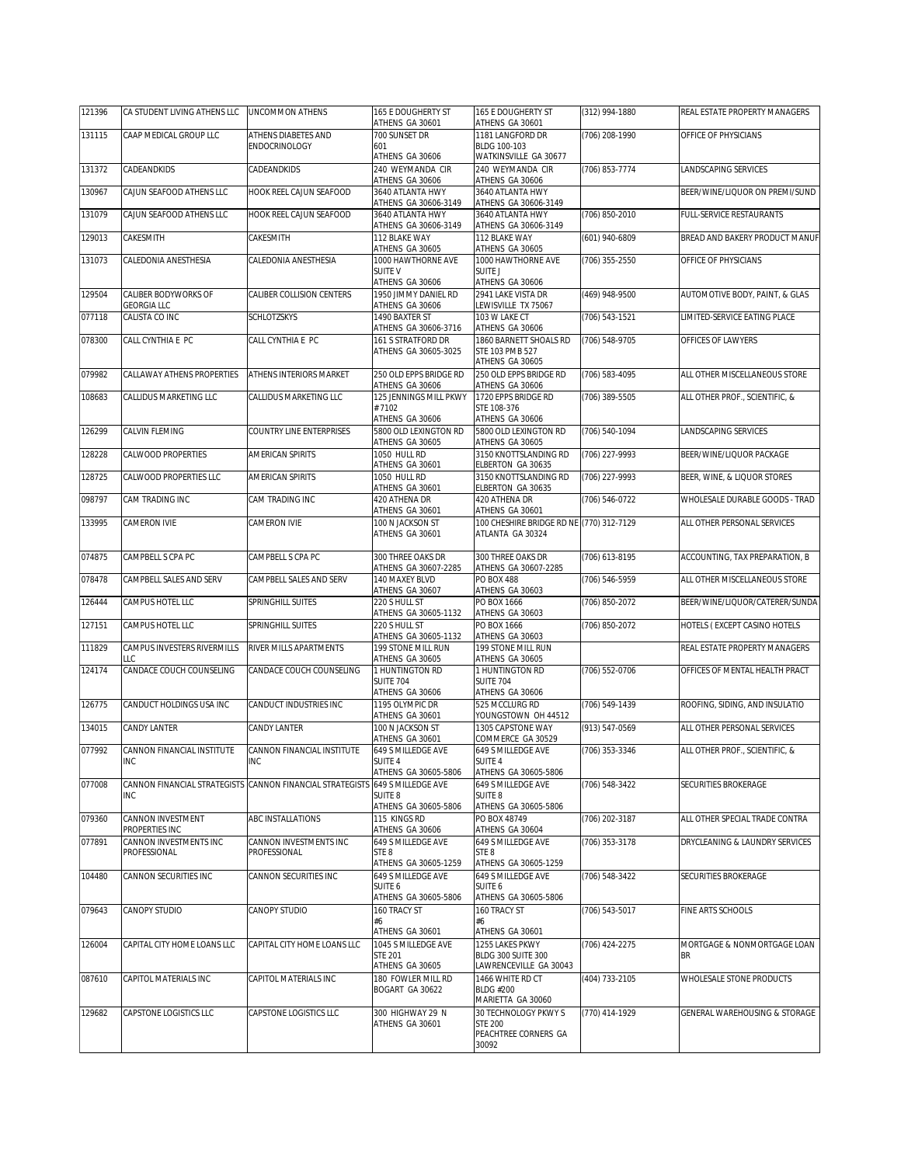| 121396 | CA STUDENT LIVING ATHENS LLC               | <b>UNCOMMON ATHENS</b>                                    | 165 E DOUGHERTY ST<br>ATHENS GA 30601                              | 165 E DOUGHERTY ST<br>ATHENS GA 30601                                           | (312) 994-1880 | REAL ESTATE PROPERTY MANAGERS            |
|--------|--------------------------------------------|-----------------------------------------------------------|--------------------------------------------------------------------|---------------------------------------------------------------------------------|----------------|------------------------------------------|
| 131115 | CAAP MEDICAL GROUP LLC                     | ATHENS DIABETES AND                                       | 700 SUNSET DR                                                      | 1181 LANGFORD DR                                                                | (706) 208-1990 | OFFICE OF PHYSICIANS                     |
|        |                                            | ENDOCRINOLOGY                                             | 601<br>ATHENS GA 30606                                             | BLDG 100-103<br>WATKINSVILLE GA 30677                                           |                |                                          |
| 131372 | CADEANDKIDS                                | CADEANDKIDS                                               | 240 WEYMANDA CIR<br>ATHENS GA 30606                                | 240 WEYMANDA CIR<br>ATHENS GA 30606                                             | (706) 853-7774 | LANDSCAPING SERVICES                     |
| 130967 | CAJUN SEAFOOD ATHENS LLC                   | <b>HOOK REEL CAJUN SEAFOOD</b>                            | 3640 ATLANTA HWY<br>ATHENS GA 30606-3149                           | 3640 ATLANTA HWY<br>ATHENS GA 30606-3149                                        |                | BEER/WINE/LIQUOR ON PREMI/SUND           |
| 131079 | CAJUN SEAFOOD ATHENS LLC                   | HOOK REEL CAJUN SEAFOOD                                   | 3640 ATLANTA HWY<br>ATHENS GA 30606-3149                           | 3640 ATLANTA HWY<br>ATHENS GA 30606-3149                                        | (706) 850-2010 | FULL-SERVICE RESTAURANTS                 |
| 129013 | CAKESMITH                                  | CAKESMITH                                                 | 112 BLAKE WAY<br>ATHENS GA 30605                                   | 112 BLAKE WAY<br>ATHENS GA 30605                                                | (601) 940-6809 | BREAD AND BAKERY PRODUCT MANUF           |
| 131073 | CALEDONIA ANESTHESIA                       | CALEDONIA ANESTHESIA                                      | 1000 HAWTHORNE AVE<br><b>SUITE V</b><br>ATHENS GA 30606            | 1000 HAWTHORNE AVE<br><b>SUITE J</b><br>ATHENS GA 30606                         | (706) 355-2550 | OFFICE OF PHYSICIANS                     |
| 129504 | CALIBER BODYWORKS OF                       | CALIBER COLLISION CENTERS                                 | 1950 JIMMY DANIEL RD                                               | 2941 LAKE VISTA DR                                                              | (469) 948-9500 | AUTOMOTIVE BODY, PAINT, & GLAS           |
| 077118 | <b>GEORGIA LLC</b><br>CALISTA CO INC       | <b>SCHLOTZSKYS</b>                                        | ATHENS GA 30606<br>1490 BAXTER ST                                  | LEWISVILLE TX 75067<br>103 W LAKE CT                                            | (706) 543-1521 | LIMITED-SERVICE EATING PLACE             |
| 078300 | CALL CYNTHIA E PC                          | CALL CYNTHIA E PC                                         | ATHENS GA 30606-3716<br>161 S STRATFORD DR<br>ATHENS GA 30605-3025 | ATHENS GA 30606<br>1860 BARNETT SHOALS RD<br>STE 103 PMB 527<br>ATHENS GA 30605 | (706) 548-9705 | OFFICES OF LAWYERS                       |
| 079982 | CALLAWAY ATHENS PROPERTIES                 | ATHENS INTERIORS MARKET                                   | 250 OLD EPPS BRIDGE RD<br>ATHENS GA 30606                          | 250 OLD EPPS BRIDGE RD<br>ATHENS GA 30606                                       | (706) 583-4095 | ALL OTHER MISCELLANEOUS STORE            |
| 108683 | CALLIDUS MARKETING LLC                     | CALLIDUS MARKETING LLC                                    | 125 JENNINGS MILL PKWY<br>#7102<br>ATHENS GA 30606                 | 1720 EPPS BRIDGE RD<br>STE 108-376<br>ATHENS GA 30606                           | (706) 389-5505 | ALL OTHER PROF., SCIENTIFIC, &           |
| 126299 | CALVIN FLEMING                             | <b>COUNTRY LINE ENTERPRISES</b>                           | 5800 OLD LEXINGTON RD<br>ATHENS GA 30605                           | 5800 OLD LEXINGTON RD<br>ATHENS GA 30605                                        | (706) 540-1094 | <b>LANDSCAPING SERVICES</b>              |
| 128228 | <b>CALWOOD PROPERTIES</b>                  | AMERICAN SPIRITS                                          | 1050 HULL RD<br>ATHENS GA 30601                                    | 3150 KNOTTSLANDING RD<br>ELBERTON GA 30635                                      | (706) 227-9993 | BEER/WINE/LIQUOR PACKAGE                 |
| 128725 | CALWOOD PROPERTIES LLC                     | AMERICAN SPIRITS                                          | 1050 HULL RD<br>ATHENS GA 30601                                    | 3150 KNOTTSLANDING RD<br>ELBERTON GA 30635                                      | (706) 227-9993 | BEER, WINE, & LIQUOR STORES              |
| 098797 | <b>CAM TRADING INC</b>                     | CAM TRADING INC                                           | 420 ATHENA DR                                                      | 420 ATHENA DR                                                                   | (706) 546-0722 | WHOLESALE DURABLE GOODS - TRAD           |
| 133995 | CAMERON IVIE                               | CAMERON IVIE                                              | ATHENS GA 30601<br>100 N JACKSON ST<br>ATHENS GA 30601             | ATHENS GA 30601<br>100 CHESHIRE BRIDGE RD NE (770) 312-7129<br>ATLANTA GA 30324 |                | ALL OTHER PERSONAL SERVICES              |
| 074875 | CAMPBELL S CPA PC                          | CAMPBELL S CPA PC                                         | 300 THREE OAKS DR<br>ATHENS GA 30607-2285                          | 300 THREE OAKS DR<br>ATHENS GA 30607-2285                                       | (706) 613-8195 | ACCOUNTING, TAX PREPARATION, B           |
| 078478 | CAMPBELL SALES AND SERV                    | CAMPBELL SALES AND SERV                                   | 140 MAXEY BLVD<br>ATHENS GA 30607                                  | <b>PO BOX 488</b><br>ATHENS GA 30603                                            | (706) 546-5959 | ALL OTHER MISCELLANEOUS STORE            |
| 126444 | CAMPUS HOTEL LLC                           | SPRINGHILL SUITES                                         | 220 S HULL ST<br>ATHENS GA 30605-1132                              | PO BOX 1666<br>ATHENS GA 30603                                                  | (706) 850-2072 | BEER/WINE/LIQUOR/CATERER/SUNDA           |
| 127151 | CAMPUS HOTEL LLC                           | SPRINGHILL SUITES                                         | 220 S HULL ST<br>ATHENS GA 30605-1132                              | PO BOX 1666<br>ATHENS GA 30603                                                  | (706) 850-2072 | HOTELS (EXCEPT CASINO HOTELS             |
| 111829 | CAMPUS INVESTERS RIVERMILLS<br>LLC         | RIVER MILLS APARTMENTS                                    | 199 STONE MILL RUN<br>ATHENS GA 30605                              | 199 STONE MILL RUN<br>ATHENS GA 30605                                           |                | REAL ESTATE PROPERTY MANAGERS            |
| 124174 | CANDACE COUCH COUNSELING                   | CANDACE COUCH COUNSELING                                  | 1 HUNTINGTON RD<br><b>SUITE 704</b><br>ATHENS GA 30606             | 1 HUNTINGTON RD<br><b>SUITE 704</b><br>ATHENS GA 30606                          | (706) 552-0706 | OFFICES OF MENTAL HEALTH PRACT           |
| 126775 | CANDUCT HOLDINGS USA INC                   | CANDUCT INDUSTRIES INC                                    | 1195 OLYMPIC DR<br>ATHENS GA 30601                                 | 525 MCCLURG RD                                                                  | (706) 549-1439 | ROOFING, SIDING, AND INSULATIO           |
| 134015 | CANDY LANTER                               | CANDY LANTER                                              | 100 N JACKSON ST                                                   | YOUNGSTOWN OH 44512<br>1305 CAPSTONE WAY                                        | (913) 547-0569 | ALL OTHER PERSONAL SERVICES              |
| 077992 | CANNON FINANCIAL INSTITUTE<br><b>INC</b>   | CANNON FINANCIAL INSTITUTE<br><b>INC</b>                  | ATHENS GA 30601<br>649 S MILLEDGE AVE<br>SUITE 4                   | COMMERCE GA 30529<br>649 S MILLEDGE AVE<br>SUITE 4                              | (706) 353-3346 | ALL OTHER PROF., SCIENTIFIC, &           |
| 077008 |                                            | CANNON FINANCIAL STRATEGISTS CANNON FINANCIAL STRATEGISTS | ATHENS GA 30605-5806<br>649 S MILLEDGE AVE                         | ATHENS GA 30605-5806<br>649 S MILLEDGE AVE                                      | (706) 548-3422 | SECURITIES BROKERAGE                     |
|        | INC                                        |                                                           | SUITE 8<br>ATHENS GA 30605-5806                                    | SUITE 8<br>ATHENS GA 30605-5806                                                 |                |                                          |
| 079360 | <b>CANNON INVESTMENT</b><br>PROPERTIES INC | ABC INSTALLATIONS                                         | 115 KINGS RD<br>ATHENS GA 30606                                    | PO BOX 48749<br>ATHENS GA 30604                                                 | (706) 202-3187 | ALL OTHER SPECIAL TRADE CONTRA           |
| 077891 | CANNON INVESTMENTS INC<br>PROFESSIONAL     | CANNON INVESTMENTS INC<br>PROFESSIONAL                    | 649 S MILLEDGE AVE<br>STE 8<br>ATHENS GA 30605-1259                | 649 S MILLEDGE AVE<br>STE <sub>8</sub><br>ATHENS GA 30605-1259                  | (706) 353-3178 | DRYCLEANING & LAUNDRY SERVICES           |
| 104480 | CANNON SECURITIES INC                      | CANNON SECURITIES INC                                     | 649 S MILLEDGE AVE<br>SUITE 6<br>ATHENS GA 30605-5806              | 649 S MILLEDGE AVE<br>SUITE 6<br>ATHENS GA 30605-5806                           | (706) 548-3422 | SECURITIES BROKERAGE                     |
| 079643 | <b>CANOPY STUDIO</b>                       | CANOPY STUDIO                                             | 160 TRACY ST<br>#6<br>ATHENS GA 30601                              | 160 TRACY ST<br>#6<br>ATHENS GA 30601                                           | (706) 543-5017 | FINE ARTS SCHOOLS                        |
| 126004 | CAPITAL CITY HOME LOANS LLC                | CAPITAL CITY HOME LOANS LLC                               | 1045 S MILLEDGE AVE<br><b>STE 201</b><br>ATHENS GA 30605           | 1255 LAKES PKWY<br>BLDG 300 SUITE 300<br>LAWRENCEVILLE GA 30043                 | (706) 424-2275 | MORTGAGE & NONMORTGAGE LOAN<br><b>BR</b> |
| 087610 | CAPITOL MATERIALS INC                      | CAPITOL MATERIALS INC                                     | 180 FOWLER MILL RD<br>BOGART GA 30622                              | 1466 WHITE RD CT<br><b>BLDG #200</b><br>MARIETTA GA 30060                       | (404) 733-2105 | WHOLESALE STONE PRODUCTS                 |
| 129682 | CAPSTONE LOGISTICS LLC                     | CAPSTONE LOGISTICS LLC                                    | 300 HIGHWAY 29 N<br>ATHENS GA 30601                                | 30 TECHNOLOGY PKWY S<br><b>STE 200</b><br>PEACHTREE CORNERS GA<br>30092         | (770) 414-1929 | GENERAL WAREHOUSING & STORAGE            |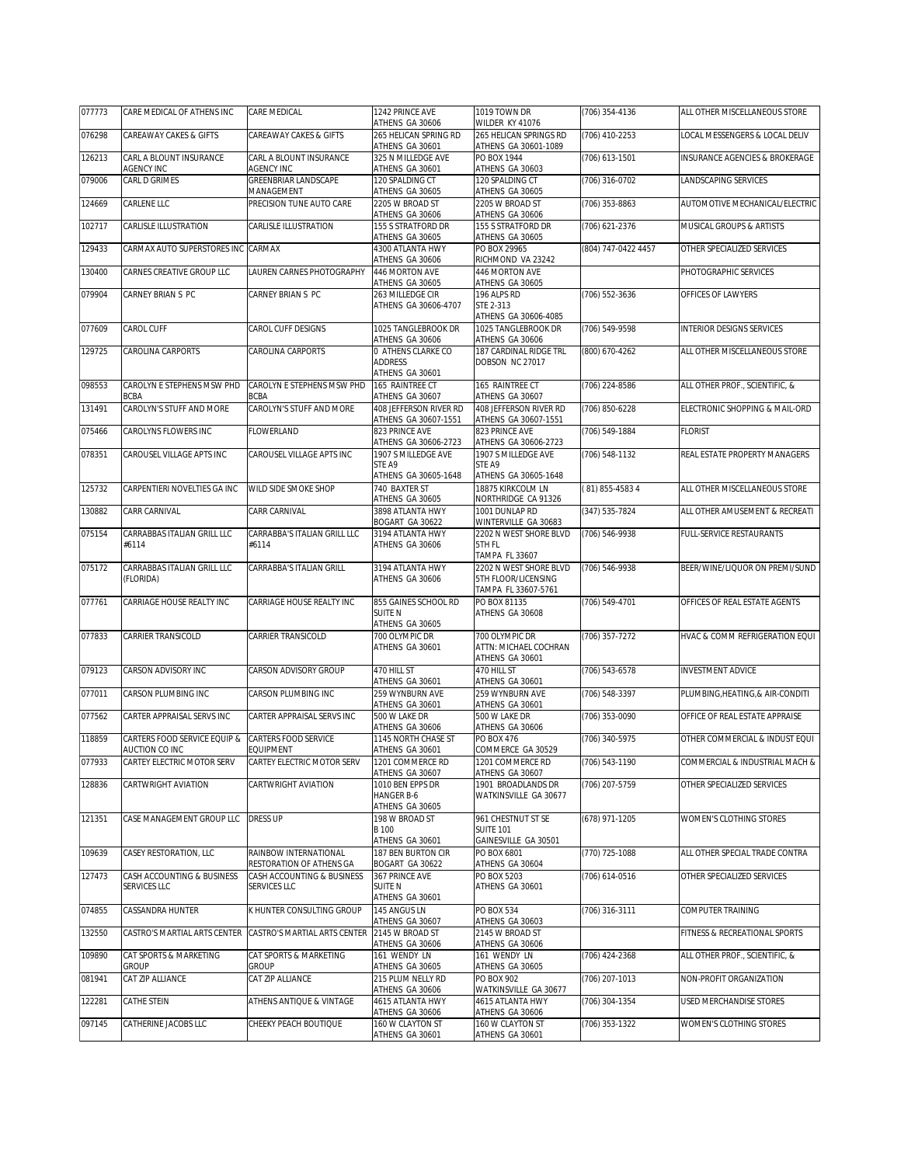| 077773 | CARE MEDICAL OF ATHENS INC                                | CARE MEDICAL                                           | 1242 PRINCE AVE<br>ATHENS GA 30606                        | 1019 TOWN DR<br>WILDER KY 41076                                                        | (706) 354-4136      | ALL OTHER MISCELLANEOUS STORE    |
|--------|-----------------------------------------------------------|--------------------------------------------------------|-----------------------------------------------------------|----------------------------------------------------------------------------------------|---------------------|----------------------------------|
| 076298 | CAREAWAY CAKES & GIFTS                                    | CAREAWAY CAKES & GIFTS                                 | 265 HELICAN SPRING RD<br>ATHENS GA 30601                  | 265 HELICAN SPRINGS RD<br>ATHENS GA 30601-1089                                         | (706) 410-2253      | OCAL MESSENGERS & LOCAL DELIV    |
| 126213 | CARL A BLOUNT INSURANCE<br>AGENCY INC                     | CARL A BLOUNT INSURANCE<br>AGENCY INC                  | 325 N MILLEDGE AVE<br>ATHENS GA 30601                     | PO BOX 1944<br>ATHENS GA 30603                                                         | (706) 613-1501      | INSURANCE AGENCIES & BROKERAGE   |
| 079006 | CARL D GRIMES                                             | GREENBRIAR LANDSCAPE                                   | 120 SPALDING CT                                           | 120 SPALDING CT                                                                        | (706) 316-0702      | LANDSCAPING SERVICES             |
| 124669 | CARLENE LLC                                               | MANAGEMENT<br>PRECISION TUNE AUTO CARE                 | ATHENS GA 30605<br>2205 W BROAD ST                        | ATHENS GA 30605<br>2205 W BROAD ST                                                     | (706) 353-8863      | AUTOMOTIVE MECHANICAL/ELECTRIC   |
| 102717 | CARLISLE ILLUSTRATION                                     | CARLISLE ILLUSTRATION                                  | ATHENS GA 30606<br>155 S STRATFORD DR                     | ATHENS GA 30606<br>155 S STRATFORD DR                                                  | (706) 621-2376      | MUSICAL GROUPS & ARTISTS         |
| 129433 | CARMAX AUTO SUPERSTORES INC CARMAX                        |                                                        | ATHENS GA 30605<br>4300 ATLANTA HWY                       | ATHENS GA 30605<br>PO BOX 29965                                                        | (804) 747-0422 4457 | OTHER SPECIALIZED SERVICES       |
| 130400 | CARNES CREATIVE GROUP LLC                                 | LAUREN CARNES PHOTOGRAPHY                              | ATHENS GA 30606<br>446 MORTON AVE                         | RICHMOND VA 23242<br>446 MORTON AVE                                                    |                     | PHOTOGRAPHIC SERVICES            |
| 079904 | CARNEY BRIAN S PC                                         | CARNEY BRIAN S PC                                      | ATHENS GA 30605<br>263 MILLEDGE CIR                       | ATHENS GA 30605<br>196 ALPS RD                                                         | (706) 552-3636      | OFFICES OF LAWYERS               |
|        |                                                           |                                                        | ATHENS GA 30606-4707                                      | STE 2-313<br>ATHENS GA 30606-4085                                                      |                     |                                  |
| 077609 | CAROL CUFF                                                | CAROL CUFF DESIGNS                                     | 1025 TANGLEBROOK DR<br>ATHENS GA 30606                    | 1025 TANGLEBROOK DR<br>ATHENS GA 30606                                                 | (706) 549-9598      | <b>INTERIOR DESIGNS SERVICES</b> |
| 129725 | CAROLINA CARPORTS                                         | CAROLINA CARPORTS                                      | 0 ATHENS CLARKE CO<br><b>ADDRESS</b><br>ATHENS GA 30601   | 187 CARDINAL RIDGE TRL<br>DOBSON NC 27017                                              | $(800) 670 - 4262$  | ALL OTHER MISCELLANEOUS STORE    |
| 098553 | CAROLYN E STEPHENS MSW PHD<br>BCBA                        | CAROLYN E STEPHENS MSW PHD<br><b>BCBA</b>              | 165 RAINTREE CT<br>ATHENS GA 30607                        | 165 RAINTREE CT<br>ATHENS GA 30607                                                     | (706) 224-8586      | ALL OTHER PROF., SCIENTIFIC, &   |
| 131491 | CAROLYN'S STUFF AND MORE                                  | CAROLYN'S STUFF AND MORE                               | 408 JEFFERSON RIVER RD                                    | 408 JEFFERSON RIVER RD<br>ATHENS GA 30607-1551                                         | (706) 850-6228      | ELECTRONIC SHOPPING & MAIL-ORD   |
| 075466 | CAROLYNS FLOWERS INC                                      | FLOWERLAND                                             | ATHENS GA 30607-1551<br>823 PRINCE AVE                    | 823 PRINCE AVE                                                                         | (706) 549-1884      | <b>FLORIST</b>                   |
| 078351 | CAROUSEL VILLAGE APTS INC                                 | CAROUSEL VILLAGE APTS INC                              | ATHENS GA 30606-2723<br>1907 S MILLEDGE AVE               | ATHENS GA 30606-2723<br>1907 S MILLEDGE AVE                                            | $(706) 548 - 1132$  | REAL ESTATE PROPERTY MANAGERS    |
|        |                                                           |                                                        | STE A9<br>ATHENS GA 30605-1648                            | STE A9<br>ATHENS GA 30605-1648                                                         |                     |                                  |
| 125732 | CARPENTIERI NOVELTIES GA INC                              | WILD SIDE SMOKE SHOP                                   | 740 BAXTER ST<br>ATHENS GA 30605                          | 18875 KIRKCOLM LN<br>NORTHRIDGE CA 91326                                               | (81) 855-4583 4     | ALL OTHER MISCELLANEOUS STORE    |
| 130882 | CARR CARNIVAL                                             | CARR CARNIVAL                                          | 3898 ATLANTA HWY<br>BOGART GA 30622                       | 1001 DUNLAP RD<br>WINTERVILLE GA 30683                                                 | (347) 535-7824      | ALL OTHER AMUSEMENT & RECREATI   |
| 075154 | CARRABBAS ITALIAN GRILL LLC<br>#6114                      | CARRABBA'S ITALIAN GRILL LLC<br>#6114                  | 3194 ATLANTA HWY<br>ATHENS GA 30606                       | 2202 N WEST SHORE BLVD<br>5TH FL                                                       | $(706) 546 - 9938$  | FULL-SERVICE RESTAURANTS         |
| 075172 | CARRABBAS ITALIAN GRILL LLC<br>(FLORIDA)                  | CARRABBA'S ITALIAN GRILL                               | 3194 ATLANTA HWY<br>ATHENS GA 30606                       | TAMPA FL 33607<br>2202 N WEST SHORE BLVD<br>5TH FLOOR/LICENSING<br>TAMPA FL 33607-5761 | (706) 546-9938      | BEER/WINE/LIQUOR ON PREMI/SUND   |
| 077761 | CARRIAGE HOUSE REALTY INC                                 | CARRIAGE HOUSE REALTY INC                              | 855 GAINES SCHOOL RD<br><b>SUITE N</b><br>ATHENS GA 30605 | PO BOX 81135<br>ATHENS GA 30608                                                        | (706) 549-4701      | OFFICES OF REAL ESTATE AGENTS    |
| 077833 | CARRIER TRANSICOLD                                        | CARRIER TRANSICOLD                                     | 700 OLYMPIC DR<br>ATHENS GA 30601                         | 700 OLYMPIC DR<br>ATTN: MICHAEL COCHRAN<br>ATHENS GA 30601                             | (706) 357-7272      | HVAC & COMM REFRIGERATION EQUI   |
| 079123 | CARSON ADVISORY INC                                       | CARSON ADVISORY GROUP                                  | 470 HILL ST<br>ATHENS GA 30601                            | 470 HILL ST<br>ATHENS GA 30601                                                         | (706) 543-6578      | <b>INVESTMENT ADVICE</b>         |
| 077011 | CARSON PLUMBING INC                                       | CARSON PLUMBING INC                                    | 259 WYNBURN AVF<br>ATHENS GA 30601                        | 259 WYNBURN AVE<br>ATHENS GA 30601                                                     | (706) 548-3397      | PLUMBING, HEATING, & AIR-CONDITI |
| 077562 | CARTER APPRAISAL SERVS INC                                | CARTER APPRAISAL SERVS INC                             | 500 W LAKE DR                                             | 500 W LAKE DR                                                                          | (706) 353-0090      | OFFICE OF REAL ESTATE APPRAISE   |
| 118859 | CARTERS FOOD SERVICE EQUIP &                              | CARTERS FOOD SERVICE                                   | ATHENS GA 30606<br>1145 NORTH CHASE ST                    | ATHENS GA 30606<br><b>PO BOX 476</b>                                                   | (706) 340-5975      | OTHER COMMERCIAL & INDUST EQUI   |
| 077933 | AUCTION CO INC<br>CARTEY ELECTRIC MOTOR SERV              | EQUIPMENT<br>CARTEY ELECTRIC MOTOR SERV                | ATHENS GA 30601<br>1201 COMMERCE RD                       | COMMERCE GA 30529<br>1201 COMMERCE RD                                                  | (706) 543-1190      | COMMERCIAL & INDUSTRIAL MACH &   |
| 128836 | CARTWRIGHT AVIATION                                       | CARTWRIGHT AVIATION                                    | ATHENS GA 30607<br>1010 BEN EPPS DR                       | ATHENS GA 30607<br>1901 BROADLANDS DR                                                  | (706) 207-5759      | OTHER SPECIALIZED SERVICES       |
|        |                                                           |                                                        | HANGER B-6<br>ATHENS GA 30605                             | WATKINSVILLE GA 30677                                                                  |                     |                                  |
| 121351 | CASE MANAGEMENT GROUP LLC                                 | <b>DRESS UP</b>                                        | 198 W BROAD ST<br>B 100<br>ATHENS GA 30601                | 961 CHESTNUT ST SE<br><b>SUITE 101</b><br>GAINESVILLE GA 30501                         | (678) 971-1205      | WOMEN'S CLOTHING STORES          |
| 109639 | CASEY RESTORATION, LLC                                    | RAINBOW INTERNATIONAL                                  | 187 BEN BURTON CIR                                        | PO BOX 6801                                                                            | (770) 725-1088      | ALL OTHER SPECIAL TRADE CONTRA   |
| 127473 | CASH ACCOUNTING & BUSINESS                                | RESTORATION OF ATHENS GA<br>CASH ACCOUNTING & BUSINESS | BOGART GA 30622<br>367 PRINCE AVE                         | ATHENS GA 30604<br>PO BOX 5203                                                         | (706) 614-0516      | OTHER SPECIALIZED SERVICES       |
|        | SERVICES LLC                                              | <b>SERVICES LLC</b>                                    | SUITE N<br>ATHENS GA 30601                                | ATHENS GA 30601                                                                        |                     |                                  |
| 074855 | CASSANDRA HUNTER                                          | K HUNTER CONSULTING GROUP                              | 145 ANGUS LN<br>ATHENS GA 30607                           | PO BOX 534<br>ATHENS GA 30603                                                          | (706) 316-3111      | <b>COMPUTER TRAINING</b>         |
| 132550 | CASTRO'S MARTIAL ARTS CENTER CASTRO'S MARTIAL ARTS CENTER |                                                        | 2145 W BROAD ST<br>ATHENS GA 30606                        | 2145 W BROAD ST<br>ATHENS GA 30606                                                     |                     | FITNESS & RECREATIONAL SPORTS    |
| 109890 | CAT SPORTS & MARKETING<br>Group                           | CAT SPORTS & MARKETING<br>GROUP                        | 161 WENDY LN<br>ATHENS GA 30605                           | 161 WENDY LN<br>ATHENS GA 30605                                                        | (706) 424-2368      | ALL OTHER PROF., SCIENTIFIC, &   |
| 081941 | CAT ZIP ALLIANCE                                          | CAT ZIP ALLIANCE                                       | 215 PLUM NELLY RD<br>ATHENS GA 30606                      | PO BOX 902<br>WATKINSVILLE GA 30677                                                    | (706) 207-1013      | NON-PROFIT ORGANIZATION          |
| 122281 | CATHE STEIN                                               | ATHENS ANTIQUE & VINTAGE                               | 4615 ATLANTA HWY<br>ATHENS GA 30606                       | 4615 ATLANTA HWY<br>ATHENS GA 30606                                                    | (706) 304-1354      | USED MERCHANDISE STORES          |
| 097145 | CATHERINE JACOBS LLC                                      | CHEEKY PEACH BOUTIQUE                                  | 160 W CLAYTON ST<br>ATHENS GA 30601                       | 160 W CLAYTON ST<br>ATHENS GA 30601                                                    | (706) 353-1322      | WOMEN'S CLOTHING STORES          |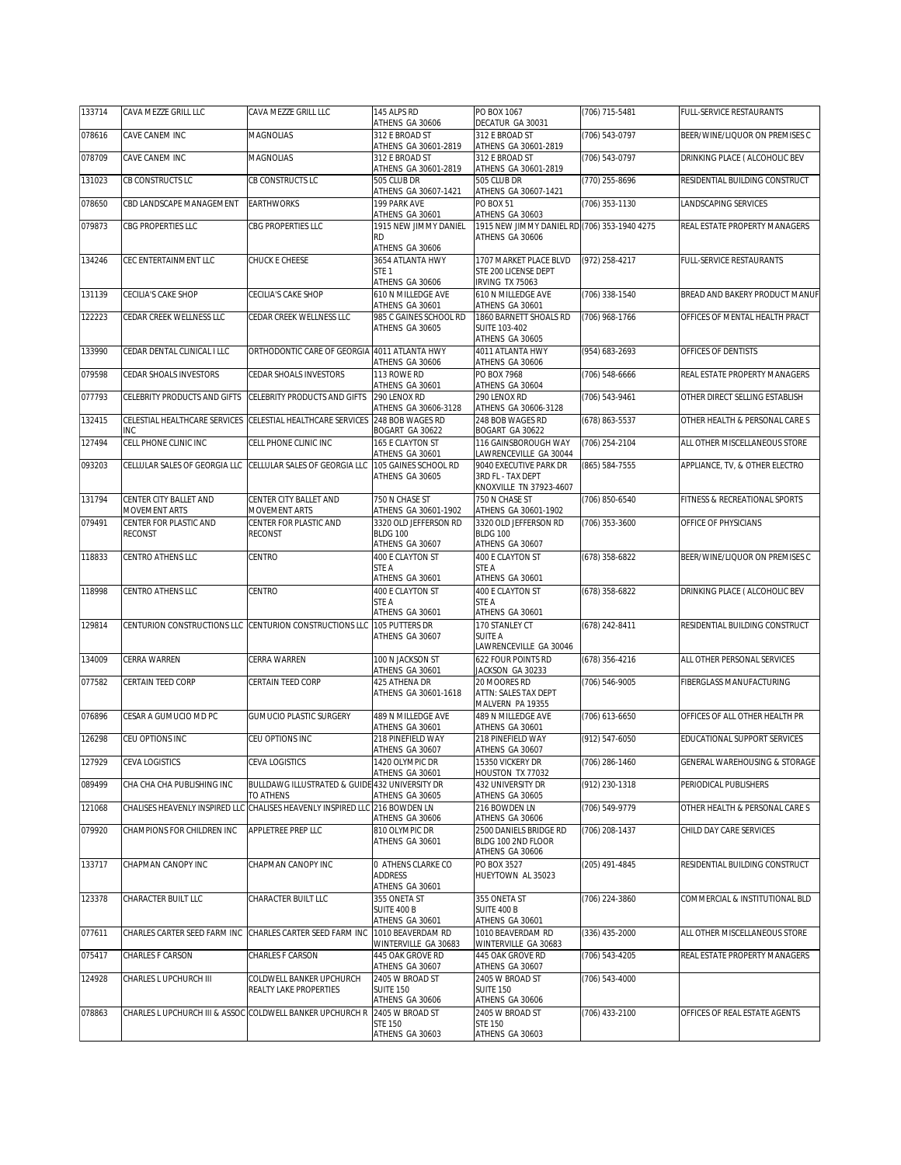| 133714 | CAVA MEZZE GRILL LLC                     | CAVA MEZZE GRILL LLC                                                                     | 145 ALPS RD<br>ATHENS GA 30606                               | PO BOX 1067<br>DECATUR GA 30031                                 | (706) 715-5481 | FULL-SERVICE RESTAURANTS       |
|--------|------------------------------------------|------------------------------------------------------------------------------------------|--------------------------------------------------------------|-----------------------------------------------------------------|----------------|--------------------------------|
| 078616 | CAVE CANEM INC                           | <b>MAGNOLIAS</b>                                                                         | 312 E BROAD ST<br>ATHENS GA 30601-2819                       | 312 E BROAD ST<br>ATHENS GA 30601-2819                          | (706) 543-0797 | BEER/WINE/LIQUOR ON PREMISES C |
| 078709 | CAVE CANEM INC                           | MAGNOLIAS                                                                                | 312 E BROAD ST                                               | 312 E BROAD ST                                                  | (706) 543-0797 | DRINKING PLACE ( ALCOHOLIC BEV |
| 131023 | CB CONSTRUCTS LC                         | CB CONSTRUCTS LC                                                                         | ATHENS GA 30601-2819<br>505 CLUB DR                          | ATHENS GA 30601-2819<br>505 CLUB DR                             | (770) 255-8696 | RESIDENTIAL BUILDING CONSTRUCT |
| 078650 | CBD LANDSCAPE MANAGEMENT                 | <b>EARTHWORKS</b>                                                                        | ATHENS GA 30607-1421<br>199 PARK AVE                         | ATHENS GA 30607-1421<br>PO BOX 51                               | (706) 353-1130 | LANDSCAPING SERVICES           |
|        |                                          |                                                                                          | ATHENS GA 30601                                              | ATHENS GA 30603                                                 |                |                                |
| 079873 | CBG PROPERTIES LLC                       | <b>CBG PROPERTIES LLC</b>                                                                | 1915 NEW JIMMY DANIEL<br>RD                                  | 1915 NEW JIMMY DANIEL RD (706) 353-1940 4275<br>ATHENS GA 30606 |                | REAL ESTATE PROPERTY MANAGERS  |
| 134246 | CEC ENTERTAINMENT LLC                    | CHUCK E CHEESE                                                                           | ATHENS GA 30606<br>3654 ATLANTA HWY                          | 1707 MARKET PLACE BLVD                                          | (972) 258-4217 | FULL-SERVICE RESTAURANTS       |
|        |                                          |                                                                                          | STE <sub>1</sub><br>ATHENS GA 30606                          | STE 200 LICENSE DEPT<br>IRVING TX 75063                         |                |                                |
| 131139 | CECILIA'S CAKE SHOP                      | CECILIA'S CAKE SHOP                                                                      | 610 N MILLEDGE AVE                                           | 610 N MILLEDGE AVE                                              | (706) 338-1540 | BREAD AND BAKERY PRODUCT MANUF |
| 122223 | CEDAR CREEK WELLNESS LLC                 | CEDAR CREEK WELLNESS LLC                                                                 | ATHENS GA 30601<br>985 C GAINES SCHOOL RD                    | ATHENS GA 30601<br>1860 BARNETT SHOALS RD                       | (706) 968-1766 | OFFICES OF MENTAL HEALTH PRACT |
|        |                                          |                                                                                          | ATHENS GA 30605                                              | <b>SUITE 103-402</b><br>ATHENS GA 30605                         |                |                                |
| 133990 | CEDAR DENTAL CLINICAL I LLC              | ORTHODONTIC CARE OF GEORGIA 4011 ATLANTA HWY                                             |                                                              | 4011 ATLANTA HWY                                                | (954) 683-2693 | OFFICES OF DENTISTS            |
| 079598 | CEDAR SHOALS INVESTORS                   | CEDAR SHOALS INVESTORS                                                                   | ATHENS GA 30606<br>113 ROWE RD                               | ATHENS GA 30606<br>PO BOX 7968                                  | (706) 548-6666 | REAL ESTATE PROPERTY MANAGERS  |
| 077793 | CELEBRITY PRODUCTS AND GIFTS             | CELEBRITY PRODUCTS AND GIFTS                                                             | ATHENS GA 30601<br>290 LENOX RD                              | ATHENS GA 30604<br>290 LENOX RD                                 | (706) 543-9461 | OTHER DIRECT SELLING ESTABLISH |
|        |                                          | CELESTIAL HEALTHCARE SERVICES                                                            | ATHENS GA 30606-3128                                         | ATHENS GA 30606-3128                                            |                |                                |
| 132415 | CELESTIAL HEALTHCARE SERVICES<br>INC     |                                                                                          | 248 BOB WAGES RD<br>BOGART GA 30622                          | 248 BOB WAGES RD<br>BOGART GA 30622                             | (678) 863-5537 | OTHER HEALTH & PERSONAL CARE S |
| 127494 | CELL PHONE CLINIC INC                    | CELL PHONE CLINIC INC                                                                    | 165 E CLAYTON ST<br>ATHENS GA 30601                          | 116 GAINSBOROUGH WAY<br>LAWRENCEVILLE GA 30044                  | (706) 254-2104 | ALL OTHER MISCELLANEOUS STORE  |
| 093203 | CELLULAR SALES OF GEORGIA LLC            | CELLULAR SALES OF GEORGIA LLC                                                            | 105 GAINES SCHOOL RD<br>ATHENS GA 30605                      | 9040 EXECUTIVE PARK DR<br>3RD FL - TAX DEPT                     | (865) 584-7555 | APPLIANCE, TV, & OTHER ELECTRO |
|        |                                          |                                                                                          |                                                              | KNOXVILLE TN 37923-4607                                         |                |                                |
| 131794 | CENTER CITY BALLET AND<br>MOVEMENT ARTS  | CENTER CITY BALLET AND<br>MOVEMENT ARTS                                                  | 750 N CHASE ST<br>ATHENS GA 30601-1902                       | 750 N CHASE ST<br>ATHENS GA 30601-1902                          | (706) 850-6540 | FITNESS & RECREATIONAL SPORTS  |
| 079491 | CENTER FOR PLASTIC AND<br><b>RECONST</b> | CENTER FOR PLASTIC AND<br><b>RECONST</b>                                                 | 3320 OLD JEFFERSON RD<br><b>BLDG 100</b>                     | 3320 OLD JEFFERSON RD<br><b>BLDG 100</b>                        | (706) 353-3600 | OFFICE OF PHYSICIANS           |
|        |                                          |                                                                                          | ATHENS GA 30607                                              | ATHENS GA 30607                                                 |                |                                |
| 118833 | CENTRO ATHENS LLC                        | CENTRO                                                                                   | 400 E CLAYTON ST<br>STE A                                    | 400 E CLAYTON ST<br>STE A                                       | (678) 358-6822 | BEER/WINE/LIQUOR ON PREMISES C |
| 118998 | CENTRO ATHENS LLC                        | CENTRO                                                                                   | ATHENS GA 30601<br>400 E CLAYTON ST                          | ATHENS GA 30601<br>400 E CLAYTON ST                             | (678) 358-6822 | DRINKING PLACE ( ALCOHOLIC BEV |
|        |                                          |                                                                                          | <b>STE A</b><br>ATHENS GA 30601                              | STE A<br>ATHENS GA 30601                                        |                |                                |
| 129814 |                                          | CENTURION CONSTRUCTIONS LLC CENTURION CONSTRUCTIONS LLC                                  | 105 PUTTERS DR                                               | 170 STANLEY CT                                                  | (678) 242-8411 | RESIDENTIAL BUILDING CONSTRUCT |
|        |                                          |                                                                                          | ATHENS GA 30607                                              | <b>SUITE A</b><br>LAWRENCEVILLE GA 30046                        |                |                                |
| 134009 | CERRA WARREN                             | CERRA WARREN                                                                             | 100 N JACKSON ST<br>ATHENS GA 30601                          | 622 FOUR POINTS RD<br>JACKSON GA 30233                          | (678) 356-4216 | ALL OTHER PERSONAL SERVICES    |
| 077582 | CERTAIN TEED CORP                        | CERTAIN TEED CORP                                                                        | 425 ATHENA DR<br>ATHENS GA 30601-1618                        | 20 MOORES RD<br>ATTN: SALES TAX DEPT                            | (706) 546-9005 | FIBERGLASS MANUFACTURING       |
|        |                                          |                                                                                          |                                                              | MALVERN PA 19355                                                |                |                                |
| 076896 | CESAR A GUMUCIO MD PC                    | <b>GUMUCIO PLASTIC SURGERY</b>                                                           | 489 N MILLEDGE AVE<br>ATHENS GA 30601                        | 489 N MILLEDGE AVE<br>ATHENS GA 30601                           | (706) 613-6650 | OFFICES OF ALL OTHER HEALTH PR |
| 126298 | CEU OPTIONS INC                          | CEU OPTIONS INC                                                                          | 218 PINEFIELD WAY<br>ATHENS GA 30607                         | 218 PINEFIELD WAY<br>ATHENS GA 30607                            | (912) 547-6050 | EDUCATIONAL SUPPORT SERVICES   |
| 127929 | CEVA LOGISTICS                           | CEVA LOGISTICS                                                                           | 1420 OLYMPIC DR<br>ATHENS GA 30601                           | 15350 VICKERY DR<br>HOUSTON TX 77032                            | (706) 286-1460 | GENERAL WAREHOUSING & STORAGE  |
| 089499 | CHA CHA CHA PUBLISHING INC               | BULLDAWG ILLUSTRATED & GUIDE 432 UNIVERSITY DR                                           |                                                              | 432 UNIVERSITY DR                                               | (912) 230-1318 | PERIODICAL PUBLISHERS          |
| 121068 |                                          | TO ATHENS<br>CHALISES HEAVENLY INSPIRED LLC CHALISES HEAVENLY INSPIRED LLC 216 BOWDEN LN | ATHENS GA 30605                                              | ATHENS GA 30605<br>216 BOWDEN LN                                | (706) 549-9779 | OTHER HEALTH & PERSONAL CARE S |
| 079920 | CHAMPIONS FOR CHILDREN INC               | APPLETREE PREP LLC                                                                       | ATHENS GA 30606<br>810 OLYMPIC DR                            | ATHENS GA 30606<br>2500 DANIELS BRIDGE RD                       | (706) 208-1437 | CHILD DAY CARE SERVICES        |
|        |                                          |                                                                                          | ATHENS GA 30601                                              | BLDG 100 2ND FLOOR<br>ATHENS GA 30606                           |                |                                |
| 133717 | CHAPMAN CANOPY INC                       | CHAPMAN CANOPY INC                                                                       | 0 ATHENS CLARKE CO                                           | PO BOX 3527                                                     | (205) 491-4845 | RESIDENTIAL BUILDING CONSTRUCT |
|        |                                          |                                                                                          | <b>ADDRESS</b><br>ATHENS GA 30601                            | HUEYTOWN AL 35023                                               |                |                                |
| 123378 | CHARACTER BUILT LLC                      | CHARACTER BUILT LLC                                                                      | 355 ONETA ST<br>SUITE 400 B                                  | 355 ONETA ST<br>SUITE 400 B                                     | (706) 224-3860 | COMMERCIAL & INSTITUTIONAL BLD |
| 077611 | CHARLES CARTER SEED FARM INC             | CHARLES CARTER SEED FARM INC                                                             | ATHENS GA 30601<br>1010 BEAVERDAM RD<br>WINTERVILLE GA 30683 | ATHENS GA 30601<br>1010 BEAVERDAM RD                            | (336) 435-2000 | ALL OTHER MISCELLANEOUS STORE  |
| 075417 | CHARLES F CARSON                         | CHARLES F CARSON                                                                         | 445 OAK GROVE RD                                             | WINTERVILLE GA 30683<br>445 OAK GROVE RD                        | (706) 543-4205 | REAL ESTATE PROPERTY MANAGERS  |
| 124928 | CHARLES L UPCHURCH III                   | COLDWELL BANKER UPCHURCH                                                                 | ATHENS GA 30607<br>2405 W BROAD ST                           | ATHENS GA 30607<br>2405 W BROAD ST                              | (706) 543-4000 |                                |
|        |                                          | REALTY LAKE PROPERTIES                                                                   | <b>SUITE 150</b><br>ATHENS GA 30606                          | <b>SUITE 150</b><br>ATHENS GA 30606                             |                |                                |
| 078863 |                                          | CHARLES L UPCHURCH III & ASSOC COLDWELL BANKER UPCHURCH R                                | 2405 W BROAD ST                                              | 2405 W BROAD ST                                                 | (706) 433-2100 | OFFICES OF REAL ESTATE AGENTS  |
|        |                                          |                                                                                          | <b>STE 150</b><br>ATHENS GA 30603                            | <b>STE 150</b><br>ATHENS GA 30603                               |                |                                |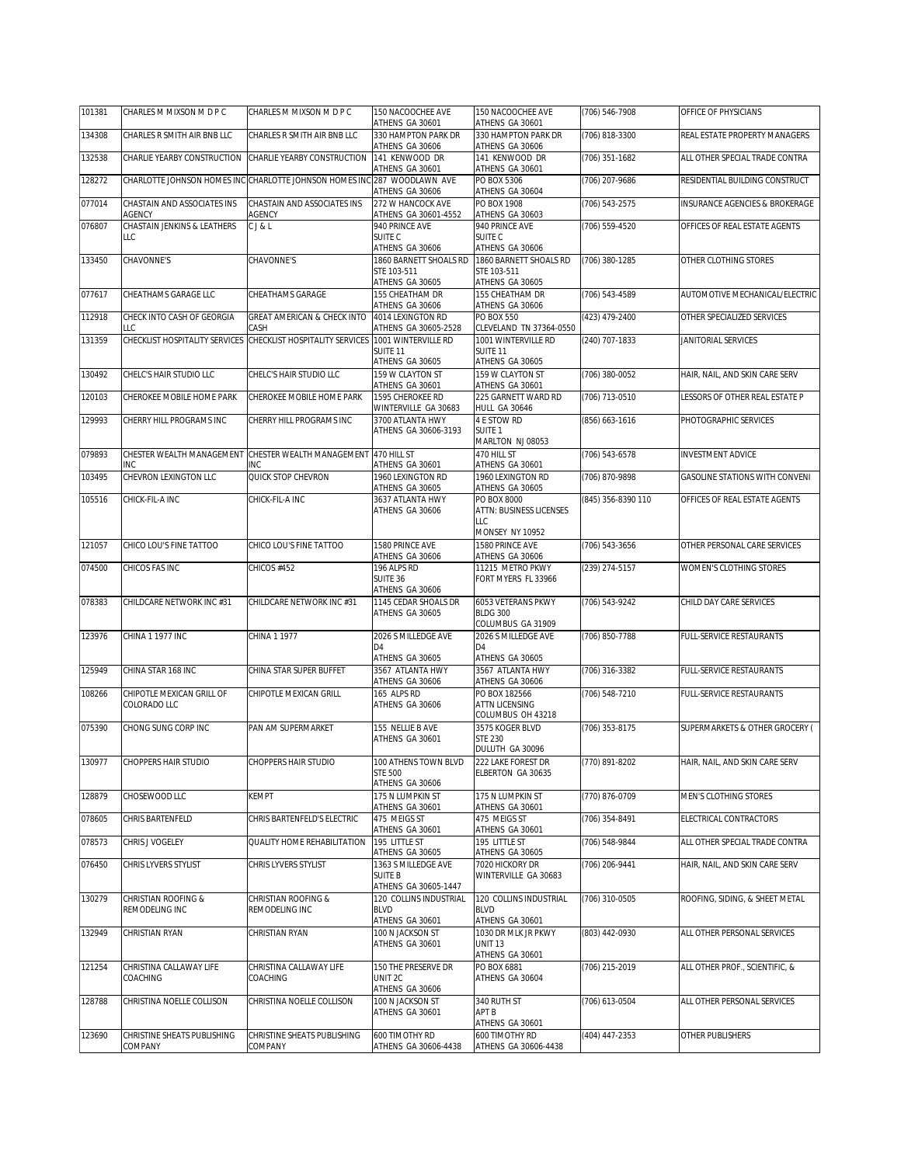| 101381 | CHARLES M MIXSON M D P C               | CHARLES M MIXSON M D P C                     | 150 NACOOCHEE AVE<br>ATHENS GA 30601              | 150 NACOOCHEE AVE<br>ATHENS GA 30601                       | (706) 546-7908     | OFFICE OF PHYSICIANS                  |
|--------|----------------------------------------|----------------------------------------------|---------------------------------------------------|------------------------------------------------------------|--------------------|---------------------------------------|
| 134308 | CHARLES R SMITH AIR BNB LLC            | CHARLES R SMITH AIR BNB LLC                  | 330 HAMPTON PARK DR<br>ATHENS GA 30606            | 330 HAMPTON PARK DR<br>ATHENS GA 30606                     | (706) 818-3300     | REAL ESTATE PROPERTY MANAGERS         |
| 132538 | CHARLIE YEARBY CONSTRUCTION            | CHARLIE YEARBY CONSTRUCTION                  | 141 KENWOOD DR                                    | 141 KENWOOD DR                                             | (706) 351-1682     | ALL OTHER SPECIAL TRADE CONTRA        |
| 128272 | CHARLOTTE JOHNSON HOMES INC            | CHARLOTTE JOHNSON HOMES INC 287 WOODLAWN AVE | ATHENS GA 30601                                   | ATHENS GA 30601<br>PO BOX 5306                             | (706) 207-9686     | RESIDENTIAL BUILDING CONSTRUCT        |
| 077014 | CHASTAIN AND ASSOCIATES INS            | CHASTAIN AND ASSOCIATES INS                  | ATHENS GA 30606<br>272 W HANCOCK AVE              | ATHENS GA 30604<br>PO BOX 1908                             | (706) 543-2575     | INSURANCE AGENCIES & BROKERAGE        |
| 076807 | AGENCY<br>CHASTAIN JENKINS & LEATHERS  | <b>AGENCY</b><br>CJ&L                        | ATHENS GA 30601-4552<br>940 PRINCE AVE            | ATHENS GA 30603<br>940 PRINCE AVE                          | (706) 559-4520     | OFFICES OF REAL ESTATE AGENTS         |
|        | LLC                                    |                                              | SUITE C<br>ATHENS GA 30606                        | SUITE <sub>C</sub><br>ATHENS GA 30606                      |                    |                                       |
| 133450 | CHAVONNE'S                             | CHAVONNE'S                                   | 1860 BARNETT SHOALS RD<br>STE 103-511             | 1860 BARNETT SHOALS RD<br>STE 103-511                      | (706) 380-1285     | OTHER CLOTHING STORES                 |
|        |                                        |                                              | ATHENS GA 30605                                   | ATHENS GA 30605                                            |                    |                                       |
| 077617 | CHEATHAMS GARAGE LLC                   | CHEATHAMS GARAGE                             | 155 CHEATHAM DR<br>ATHENS GA 30606                | <b>155 CHEATHAM DR</b><br>ATHENS GA 30606                  | (706) 543-4589     | AUTOMOTIVE MECHANICAL/ELECTRIC        |
| 112918 | CHECK INTO CASH OF GEORGIA<br>LLC      | GREAT AMERICAN & CHECK INTO<br>CASH          | 4014 LEXINGTON RD<br>ATHENS GA 30605-2528         | PO BOX 550<br>CLEVELAND TN 37364-0550                      | (423) 479-2400     | OTHER SPECIALIZED SERVICES            |
| 131359 | CHECKLIST HOSPITALITY SERVICES         | CHECKLIST HOSPITALITY SERVICES               | 1001 WINTERVILLE RD<br>SUITE <sub>11</sub>        | 1001 WINTERVILLE RD<br>SUITE 11                            | (240) 707-1833     | JANITORIAL SERVICES                   |
| 130492 | CHELC'S HAIR STUDIO LLC                | CHELC'S HAIR STUDIO LLC                      | ATHENS GA 30605<br>159 W CLAYTON ST               | ATHENS GA 30605<br>159 W CLAYTON ST                        | (706) 380-0052     | HAIR, NAIL, AND SKIN CARE SERV        |
|        | CHEROKEE MOBILE HOME PARK              |                                              | ATHENS GA 30601<br>1595 CHEROKEE RD               | ATHENS GA 30601<br>225 GARNETT WARD RD                     |                    |                                       |
| 120103 |                                        | CHEROKEE MOBILE HOME PARK                    | WINTERVILLE GA 30683                              | <b>HULL GA 30646</b>                                       | (706) 713-0510     | LESSORS OF OTHER REAL ESTATE P        |
| 129993 | CHERRY HILL PROGRAMS INC               | CHERRY HILL PROGRAMS INC                     | 3700 ATLANTA HWY<br>ATHENS GA 30606-3193          | 4 E STOW RD<br>SUITE <sub>1</sub>                          | (856) 663-1616     | PHOTOGRAPHIC SERVICES                 |
| 079893 | CHESTER WEALTH MANAGEMENT              | CHESTER WEALTH MANAGEMENT                    | 470 HILL ST                                       | MARLTON NJ 08053<br>470 HILL ST                            | $(706) 543 - 6578$ | <b>INVESTMENT ADVICE</b>              |
| 103495 | INC<br>CHEVRON LEXINGTON LLC           | INC<br>QUICK STOP CHEVRON                    | ATHENS GA 30601<br>1960 LEXINGTON RD              | ATHENS GA 30601<br>1960 LEXINGTON RD                       | (706) 870-9898     | <b>GASOLINE STATIONS WITH CONVENI</b> |
| 105516 | CHICK-FIL-A INC                        | CHICK-FIL-A INC                              | ATHENS GA 30605<br>3637 ATLANTA HWY               | ATHENS GA 30605<br>PO BOX 8000                             | (845) 356-8390 110 | OFFICES OF REAL ESTATE AGENTS         |
|        |                                        |                                              | ATHENS GA 30606                                   | ATTN: BUSINESS LICENSES<br>LLC                             |                    |                                       |
| 121057 | CHICO LOU'S FINE TATTOO                | CHICO LOU'S FINE TATTOO                      | 1580 PRINCE AVE                                   | MONSEY NY 10952<br>1580 PRINCE AVE                         | (706) 543-3656     | OTHER PERSONAL CARE SERVICES          |
| 074500 | CHICOS FAS INC                         | CHICOS #452                                  | ATHENS GA 30606<br>196 ALPS RD                    | ATHENS GA 30606<br>11215 METRO PKWY                        | (239) 274-5157     | WOMEN'S CLOTHING STORES               |
|        |                                        |                                              | SUITE 36<br>ATHENS GA 30606                       | FORT MYERS FL 33966                                        |                    |                                       |
| 078383 | CHILDCARE NETWORK INC #31              | CHILDCARE NETWORK INC #31                    | 1145 CEDAR SHOALS DR<br>ATHENS GA 30605           | 6053 VETERANS PKWY<br><b>BLDG 300</b><br>COLUMBUS GA 31909 | (706) 543-9242     | CHILD DAY CARE SERVICES               |
| 123976 | CHINA 1 1977 INC                       | CHINA 1 1977                                 | 2026 S MILLEDGE AVE<br>D4<br>ATHENS GA 30605      | 2026 S MILLEDGE AVE<br>D <sub>4</sub><br>ATHENS GA 30605   | (706) 850-7788     | FULL-SERVICE RESTAURANTS              |
| 125949 | CHINA STAR 168 INC                     | CHINA STAR SUPER BUFFET                      | 3567 ATLANTA HWY                                  | 3567 ATLANTA HWY                                           | (706) 316-3382     | FULL-SERVICE RESTAURANTS              |
| 108266 | CHIPOTLE MEXICAN GRILL OF              | CHIPOTLE MEXICAN GRILL                       | ATHENS GA 30606<br>165 ALPS RD                    | ATHENS GA 30606<br>PO BOX 182566                           | (706) 548-7210     | <b>FULL-SERVICE RESTAURANTS</b>       |
|        | COLORADO LLC                           |                                              | ATHENS GA 30606                                   | <b>ATTN LICENSING</b><br>COLUMBUS OH 43218                 |                    |                                       |
| 075390 | CHONG SUNG CORP INC                    | PAN AM SUPERMARKET                           | 155 NELLIE B AVE<br>ATHENS GA 30601               | 3575 KOGER BLVD<br><b>STE 230</b>                          | (706) 353-8175     | SUPERMARKETS & OTHER GROCERY (        |
| 130977 | <b>CHOPPERS HAIR STUDIO</b>            | <b>CHOPPERS HAIR STUDIO</b>                  | 100 ATHENS TOWN BLVD                              | DULUTH GA 30096<br>222 LAKE FOREST DR                      | (770) 891-8202     | HAIR, NAIL, AND SKIN CARE SERV        |
|        |                                        |                                              | <b>STE 500</b><br>ATHENS GA 30606                 | ELBERTON GA 30635                                          |                    |                                       |
| 128879 | CHOSEWOOD LLC                          | KEMPT                                        | 175 N LUMPKIN ST                                  | 175 N LUMPKIN ST                                           | (770) 876-0709     | MEN'S CLOTHING STORES                 |
| 078605 | CHRIS BARTENFELD                       | CHRIS BARTENFELD'S ELECTRIC                  | ATHENS GA 30601<br>475 MEIGS ST                   | ATHENS GA 30601<br>475 MEIGS ST                            | (706) 354-8491     | ELECTRICAL CONTRACTORS                |
| 078573 | CHRIS J VOGELEY                        | QUALITY HOME REHABILITATION                  | ATHENS GA 30601<br>195 LITTLE ST                  | ATHENS GA 30601<br>195 LITTLE ST                           | (706) 548-9844     | ALL OTHER SPECIAL TRADE CONTRA        |
| 076450 | CHRIS LYVERS STYLIST                   | CHRIS LYVERS STYLIST                         | ATHENS GA 30605<br>1363 S MILLEDGE AVE            | ATHENS GA 30605<br>7020 HICKORY DR                         | (706) 206-9441     | HAIR, NAIL, AND SKIN CARE SERV        |
|        |                                        |                                              | <b>SUITE B</b><br>ATHENS GA 30605-1447            | WINTERVILLE GA 30683                                       |                    |                                       |
| 130279 | CHRISTIAN ROOFING &<br>REMODELING INC  | CHRISTIAN ROOFING &<br>REMODELING INC        | 120 COLLINS INDUSTRIAL<br>BLVD<br>ATHENS GA 30601 | 120 COLLINS INDUSTRIAL<br><b>BLVD</b><br>ATHENS GA 30601   | (706) 310-0505     | ROOFING, SIDING, & SHEET METAL        |
| 132949 | CHRISTIAN RYAN                         | CHRISTIAN RYAN                               | 100 N JACKSON ST<br>ATHENS GA 30601               | 1030 DR MLK JR PKWY<br><b>UNIT 13</b><br>ATHENS GA 30601   | (803) 442-0930     | ALL OTHER PERSONAL SERVICES           |
| 121254 | CHRISTINA CALLAWAY LIFE<br>COACHING    | CHRISTINA CALLAWAY LIFE<br>COACHING          | 150 THE PRESERVE DR<br>UNIT 2C<br>ATHENS GA 30606 | PO BOX 6881<br>ATHENS GA 30604                             | (706) 215-2019     | ALL OTHER PROF., SCIENTIFIC, &        |
| 128788 | CHRISTINA NOELLE COLLISON              | CHRISTINA NOELLE COLLISON                    | 100 N JACKSON ST<br>ATHENS GA 30601               | 340 RUTH ST<br>APT B                                       | (706) 613-0504     | ALL OTHER PERSONAL SERVICES           |
|        |                                        |                                              |                                                   | ATHENS GA 30601<br>600 TIMOTHY RD                          |                    |                                       |
| 123690 | CHRISTINE SHEATS PUBLISHING<br>COMPANY | CHRISTINE SHEATS PUBLISHING<br>COMPANY       | 600 TIMOTHY RD<br>ATHENS GA 30606-4438            | ATHENS GA 30606-4438                                       | (404) 447-2353     | OTHER PUBLISHERS                      |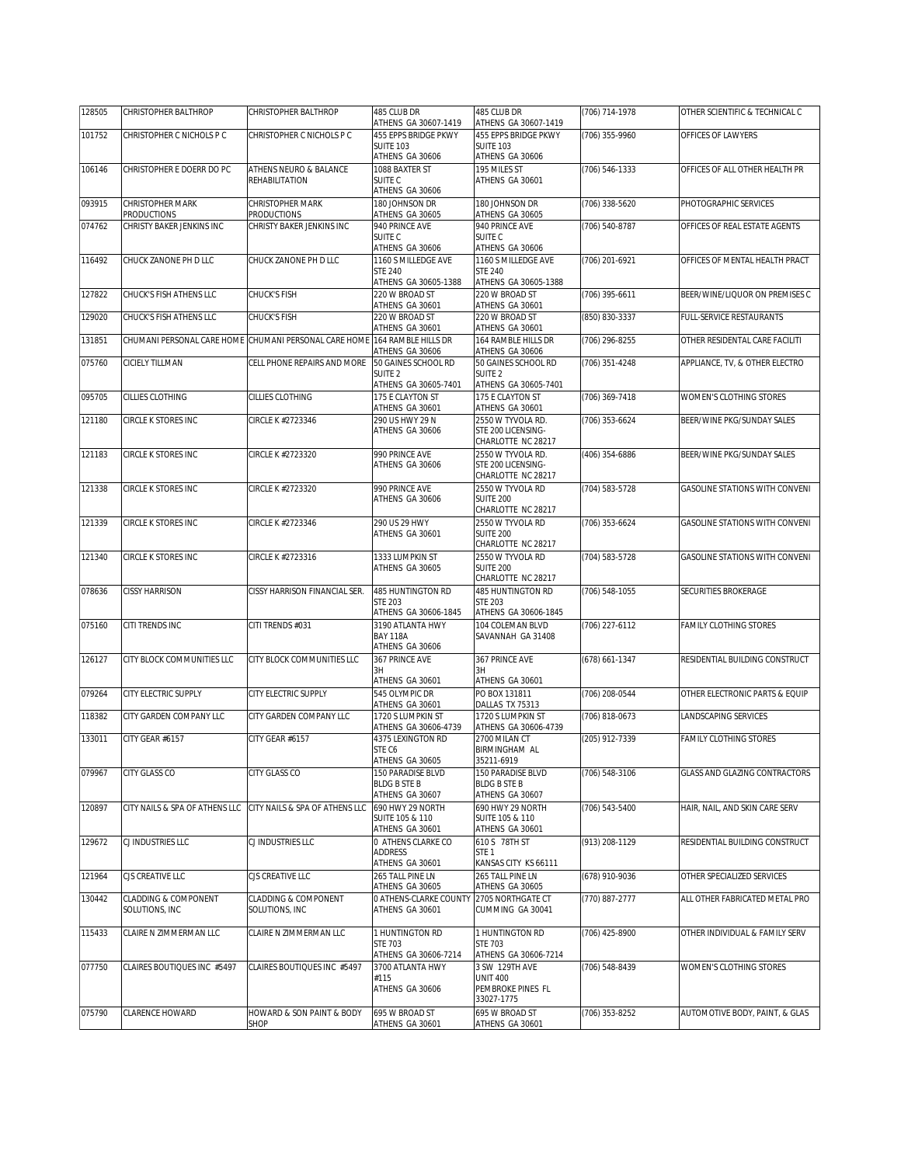| 128505 | CHRISTOPHER BALTHROP                              | CHRISTOPHER BALTHROP                                  | 485 CLUB DR<br>ATHENS GA 30607-1419        | 485 CLUB DR<br>ATHENS GA 30607-1419        | (706) 714-1978     | OTHER SCIENTIFIC & TECHNICAL C        |
|--------|---------------------------------------------------|-------------------------------------------------------|--------------------------------------------|--------------------------------------------|--------------------|---------------------------------------|
| 101752 | CHRISTOPHER C NICHOLS P C                         | CHRISTOPHER C NICHOLS P C                             | 455 EPPS BRIDGE PKWY                       | 455 EPPS BRIDGE PKWY                       | (706) 355-9960     | OFFICES OF LAWYERS                    |
|        |                                                   |                                                       | <b>SUITE 103</b>                           | <b>SUITE 103</b>                           |                    |                                       |
|        |                                                   |                                                       | ATHENS GA 30606                            | ATHENS GA 30606                            |                    |                                       |
| 106146 | CHRISTOPHER E DOERR DO PC                         | ATHENS NEURO & BALANCE<br>REHABILITATION              | 1088 BAXTER ST<br>SUITE <sub>C</sub>       | 195 MILES ST<br>ATHENS GA 30601            | (706) 546-1333     | OFFICES OF ALL OTHER HEALTH PR        |
|        |                                                   |                                                       | ATHENS GA 30606                            |                                            |                    |                                       |
| 093915 | CHRISTOPHER MARK                                  | CHRISTOPHER MARK                                      | 180 JOHNSON DR                             | 180 JOHNSON DR                             | (706) 338-5620     | PHOTOGRAPHIC SERVICES                 |
|        | <b>PRODUCTIONS</b>                                | <b>PRODUCTIONS</b>                                    | ATHENS GA 30605                            | ATHENS GA 30605                            |                    |                                       |
| 074762 | CHRISTY BAKER JENKINS INC                         | CHRISTY BAKER JENKINS INC                             | 940 PRINCE AVE<br>SUITE C                  | 940 PRINCE AVE<br>SUITE C                  | (706) 540-8787     | OFFICES OF REAL ESTATE AGENTS         |
|        |                                                   |                                                       | ATHENS GA 30606                            | ATHENS GA 30606                            |                    |                                       |
| 116492 | CHUCK ZANONE PH D LLC                             | CHUCK ZANONE PH D LLC                                 | 1160 S MILLEDGE AVE                        | 1160 S MILLEDGE AVE                        | (706) 201-6921     | OFFICES OF MENTAL HEALTH PRACT        |
|        |                                                   |                                                       | <b>STE 240</b><br>ATHENS GA 30605-1388     | <b>STE 240</b><br>ATHENS GA 30605-1388     |                    |                                       |
| 127822 | CHUCK'S FISH ATHENS LLC                           | <b>CHUCK'S FISH</b>                                   | 220 W BROAD ST                             | 220 W BROAD ST                             | (706) 395-6611     | BEER/WINE/LIQUOR ON PREMISES C        |
|        |                                                   |                                                       | ATHENS GA 30601                            | ATHENS GA 30601                            |                    |                                       |
| 129020 | CHUCK'S FISH ATHENS LLC                           | <b>CHUCK'S FISH</b>                                   | 220 W BROAD ST                             | 220 W BROAD ST                             | (850) 830-3337     | FULL-SERVICE RESTAURANTS              |
| 131851 |                                                   | CHUMANI PERSONAL CARE HOME CHUMANI PERSONAL CARE HOME | ATHENS GA 30601<br>164 RAMBLE HILLS DR     | ATHENS GA 30601<br>164 RAMBLE HILLS DR     | (706) 296-8255     | OTHER RESIDENTAL CARE FACILITI        |
|        |                                                   |                                                       | ATHENS GA 30606                            | ATHENS GA 30606                            |                    |                                       |
| 075760 | CICIELY TILLMAN                                   | CELL PHONE REPAIRS AND MORE                           | 50 GAINES SCHOOL RD                        | 50 GAINES SCHOOL RD                        | (706) 351-4248     | APPLIANCE, TV, & OTHER ELECTRO        |
|        |                                                   |                                                       | SUITE <sub>2</sub><br>ATHENS GA 30605-7401 | SUITE <sub>2</sub><br>ATHENS GA 30605-7401 |                    |                                       |
| 095705 | CILLIES CLOTHING                                  | CILLIES CLOTHING                                      | 175 E CLAYTON ST                           | 175 E CLAYTON ST                           | $(706)$ 369-7418   | WOMEN'S CLOTHING STORES               |
|        |                                                   |                                                       | ATHENS GA 30601                            | ATHENS GA 30601                            |                    |                                       |
| 121180 | CIRCLE K STORES INC                               | CIRCLE K #2723346                                     | 290 US HWY 29 N                            | 2550 W TYVOLA RD.                          | (706) 353-6624     | BEER/WINE PKG/SUNDAY SALES            |
|        |                                                   |                                                       | ATHENS GA 30606                            | STE 200 LICENSING-<br>CHARLOTTE NC 28217   |                    |                                       |
| 121183 | CIRCLE K STORES INC                               | CIRCLE K #2723320                                     | 990 PRINCE AVE                             | 2550 W TYVOLA RD.                          | (406) 354-6886     | BEER/WINE PKG/SUNDAY SALES            |
|        |                                                   |                                                       | ATHENS GA 30606                            | STE 200 LICENSING-                         |                    |                                       |
|        |                                                   |                                                       |                                            | CHARLOTTE NC 28217                         |                    |                                       |
| 121338 | CIRCLE K STORES INC                               | CIRCLE K #2723320                                     | 990 PRINCE AVE<br>ATHENS GA 30606          | 2550 W TYVOLA RD<br><b>SUITE 200</b>       | (704) 583-5728     | <b>GASOLINE STATIONS WITH CONVENI</b> |
|        |                                                   |                                                       |                                            | CHARLOTTE NC 28217                         |                    |                                       |
| 121339 | CIRCLE K STORES INC                               | CIRCLE K #2723346                                     | 290 US 29 HWY                              | 2550 W TYVOLA RD                           | (706) 353-6624     | GASOLINE STATIONS WITH CONVENI        |
|        |                                                   |                                                       | ATHENS GA 30601                            | <b>SUITE 200</b><br>CHARLOTTE NC 28217     |                    |                                       |
| 121340 | CIRCLE K STORES INC                               | CIRCLE K #2723316                                     | 1333 LUMPKIN ST                            | 2550 W TYVOLA RD                           | (704) 583-5728     | GASOLINE STATIONS WITH CONVENI        |
|        |                                                   |                                                       | ATHENS GA 30605                            | SUITE 200                                  |                    |                                       |
|        |                                                   |                                                       |                                            | CHARLOTTE NC 28217                         |                    |                                       |
| 078636 | <b>CISSY HARRISON</b>                             | CISSY HARRISON FINANCIAL SER.                         | 485 HUNTINGTON RD<br><b>STE 203</b>        | 485 HUNTINGTON RD<br><b>STE 203</b>        | (706) 548-1055     | SECURITIES BROKERAGE                  |
|        |                                                   |                                                       | ATHENS GA 30606-1845                       | ATHENS GA 30606-1845                       |                    |                                       |
| 075160 | CITI TRENDS INC                                   | CITI TRENDS #031                                      | 3190 ATLANTA HWY                           | 104 COLEMAN BLVD                           | (706) 227-6112     | FAMILY CLOTHING STORES                |
|        |                                                   |                                                       | <b>BAY 118A</b><br>ATHENS GA 30606         | SAVANNAH GA 31408                          |                    |                                       |
| 126127 | CITY BLOCK COMMUNITIES LLC                        | CITY BLOCK COMMUNITIES LLC                            | 367 PRINCE AVE                             | 367 PRINCE AVE                             | (678) 661-1347     | RESIDENTIAL BUILDING CONSTRUCT        |
|        |                                                   |                                                       | 3H                                         | 3H                                         |                    |                                       |
|        |                                                   | CITY ELECTRIC SUPPLY                                  | ATHENS GA 30601                            | ATHENS GA 30601                            | (706) 208-0544     | OTHER ELECTRONIC PARTS & EQUIP        |
| 079264 | CITY ELECTRIC SUPPLY                              |                                                       | 545 OLYMPIC DR<br>ATHENS GA 30601          | PO BOX 131811<br>DALLAS TX 75313           |                    |                                       |
| 118382 | CITY GARDEN COMPANY LLC                           | CITY GARDEN COMPANY LLC                               | 1720 S LUMPKIN ST                          | 1720 S LUMPKIN ST                          | (706) 818-0673     | LANDSCAPING SERVICES                  |
|        |                                                   |                                                       | ATHENS GA 30606-4739                       | ATHENS GA 30606-4739                       |                    |                                       |
| 133011 | CITY GEAR #6157                                   | CITY GEAR #6157                                       | 4375 LEXINGTON RD<br>STE C6                | 2700 MILAN CT<br>BIRMINGHAM AL             | (205) 912-7339     | FAMILY CLOTHING STORES                |
|        |                                                   |                                                       | ATHENS GA 30605                            | 35211-6919                                 |                    |                                       |
| 079967 | CITY GLASS CO                                     | CITY GLASS CO                                         | 150 PARADISE BLVD                          | 150 PARADISE BLVD                          | (706) 548-3106     | GLASS AND GLAZING CONTRACTORS         |
|        |                                                   |                                                       | BLDG B STE B<br>ATHENS GA 30607            | <b>BLDG B STE B</b>                        |                    |                                       |
| 120897 | CITY NAILS & SPA OF ATHENS LLC                    | CITY NAILS & SPA OF ATHENS LLC                        | 690 HWY 29 NORTH                           | ATHENS GA 30607<br>690 HWY 29 NORTH        | $(706) 543 - 5400$ | HAIR, NAIL, AND SKIN CARE SERV        |
|        |                                                   |                                                       | SUITE 105 & 110                            | SUITE 105 & 110                            |                    |                                       |
|        |                                                   |                                                       | ATHENS GA 30601                            | ATHENS GA 30601                            |                    |                                       |
| 129672 | CJ INDUSTRIES LLC                                 | CJ INDUSTRIES LLC                                     | 0 ATHENS CLARKE CO<br><b>ADDRESS</b>       | 610 S 78TH ST<br>STE <sub>1</sub>          | (913) 208-1129     | RESIDENTIAL BUILDING CONSTRUCT        |
|        |                                                   |                                                       | ATHENS GA 30601                            | KANSAS CITY KS 66111                       |                    |                                       |
| 121964 | CJS CREATIVE LLC                                  | CJS CREATIVE LLC                                      | 265 TALL PINE LN                           | 265 TALL PINE LN                           | (678) 910-9036     | OTHER SPECIALIZED SERVICES            |
|        |                                                   | <b>CLADDING &amp; COMPONENT</b>                       | ATHENS GA 30605                            | ATHENS GA 30605                            |                    | ALL OTHER FABRICATED METAL PRO        |
| 130442 | <b>CLADDING &amp; COMPONENT</b><br>SOLUTIONS, INC | SOLUTIONS, INC                                        | 0 ATHENS-CLARKE COUNTY<br>ATHENS GA 30601  | 2705 NORTHGATE CT<br>CUMMING GA 30041      | (770) 887-2777     |                                       |
| 115433 | CLAIRE N ZIMMERMAN LLC                            | CLAIRE N ZIMMERMAN LLC                                | 1 HUNTINGTON RD                            | 1 HUNTINGTON RD                            | (706) 425-8900     | OTHER INDIVIDUAL & FAMILY SERV        |
|        |                                                   |                                                       | <b>STE 703</b>                             | <b>STE 703</b>                             |                    |                                       |
|        |                                                   |                                                       | ATHENS GA 30606-7214                       | ATHENS GA 30606-7214                       |                    |                                       |
| 077750 | CLAIRES BOUTIQUES INC #5497                       | CLAIRES BOUTIQUES INC #5497                           | 3700 ATLANTA HWY<br>#115                   | 3 SW 129TH AVE<br><b>UNIT 400</b>          | $(706) 548-8439$   | WOMEN'S CLOTHING STORES               |
|        |                                                   |                                                       | ATHENS GA 30606                            | PEMBROKE PINES FL                          |                    |                                       |
|        |                                                   |                                                       |                                            | 33027-1775                                 |                    |                                       |
| 075790 | CLARENCE HOWARD                                   | HOWARD & SON PAINT & BODY<br>SHOP                     | 695 W BROAD ST<br>ATHENS GA 30601          | 695 W BROAD ST<br>ATHENS GA 30601          | (706) 353-8252     | AUTOMOTIVE BODY, PAINT, & GLAS        |
|        |                                                   |                                                       |                                            |                                            |                    |                                       |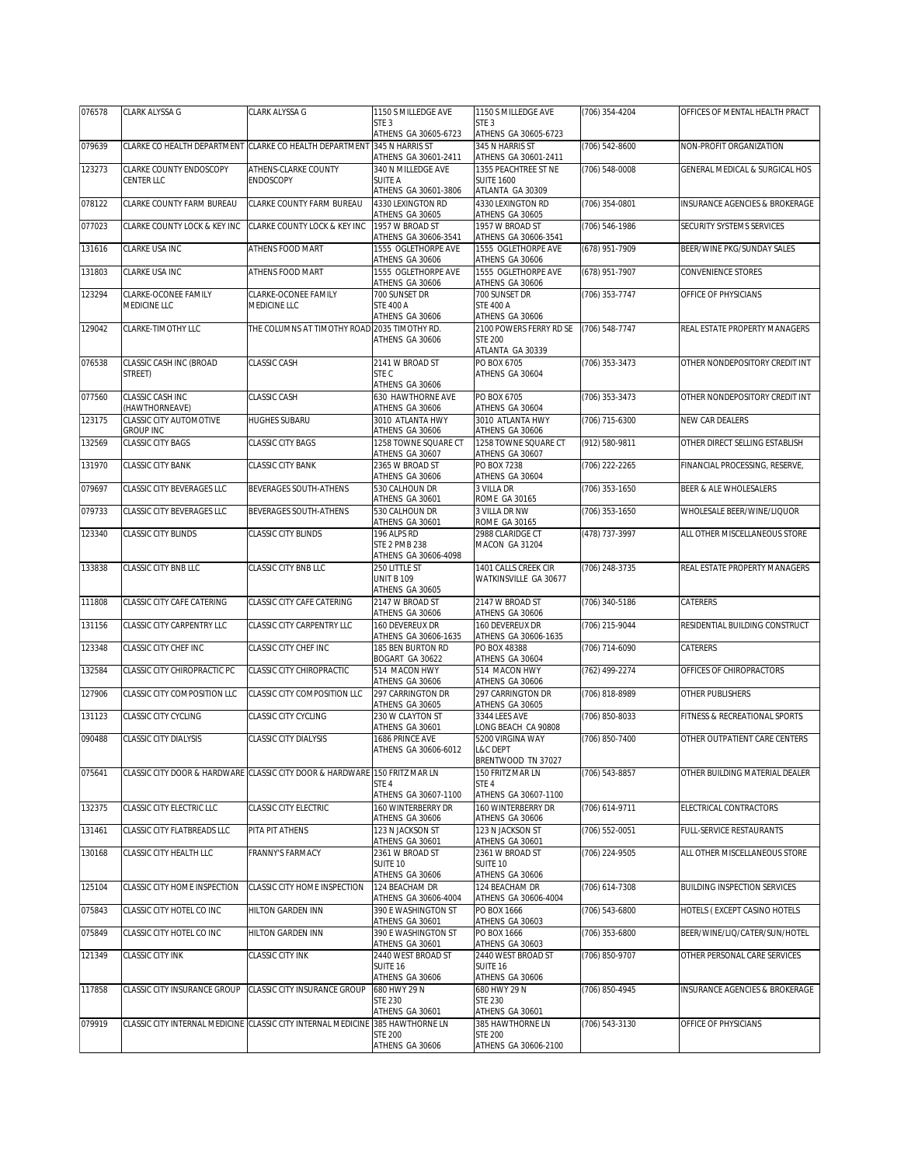| 076578 | CLARK ALYSSA G                              | CLARK ALYSSA G                                                             | 1150 S MILLEDGE AVE                        | 1150 S MILLEDGE AVE                           | (706) 354-4204   | OFFICES OF MENTAL HEALTH PRACT            |
|--------|---------------------------------------------|----------------------------------------------------------------------------|--------------------------------------------|-----------------------------------------------|------------------|-------------------------------------------|
|        |                                             |                                                                            | STE <sub>3</sub><br>ATHENS GA 30605-6723   | STE <sub>3</sub><br>ATHENS GA 30605-6723      |                  |                                           |
| 079639 |                                             | CLARKE CO HEALTH DEPARTMENT CLARKE CO HEALTH DEPARTMENT 345 N HARRIS ST    |                                            | 345 N HARRIS ST                               | (706) 542-8600   | NON-PROFIT ORGANIZATION                   |
| 123273 | CLARKE COUNTY ENDOSCOPY                     | ATHENS-CLARKE COUNTY                                                       | ATHENS GA 30601-2411<br>340 N MILLEDGE AVE | ATHENS GA 30601-2411<br>1355 PEACHTREE ST NE  | (706) 548-0008   | GENERAL MEDICAL & SURGICAL HOS            |
|        | CENTER LLC                                  | ENDOSCOPY                                                                  | <b>SUITE A</b><br>ATHENS GA 30601-3806     | <b>SUITE 1600</b><br>ATLANTA GA 30309         |                  |                                           |
| 078122 | CLARKE COUNTY FARM BUREAU                   | CLARKE COUNTY FARM BUREAU                                                  | 4330 LEXINGTON RD                          | 4330 LEXINGTON RD                             | (706) 354-0801   | <b>INSURANCE AGENCIES &amp; BROKERAGE</b> |
| 077023 | CLARKE COUNTY LOCK & KEY INC                | CLARKE COUNTY LOCK & KEY INC                                               | ATHENS GA 30605<br>1957 W BROAD ST         | ATHENS GA 30605<br>1957 W BROAD ST            | (706) 546-1986   | SECURITY SYSTEMS SERVICES                 |
|        |                                             |                                                                            | ATHENS GA 30606-3541                       | ATHENS GA 30606-3541                          |                  |                                           |
| 131616 | CLARKE USA INC                              | ATHENS FOOD MART                                                           | 1555 OGLETHORPE AVE<br>ATHENS GA 30606     | 1555 OGLETHORPE AVE<br>ATHENS GA 30606        | (678) 951-7909   | BEER/WINE PKG/SUNDAY SALES                |
| 131803 | CLARKE USA INC                              | ATHENS FOOD MART                                                           | 1555 OGLETHORPE AVE<br>ATHENS GA 30606     | 1555 OGLETHORPE AVE<br>ATHENS GA 30606        | (678) 951-7907   | CONVENIENCE STORES                        |
| 123294 | CLARKE-OCONEE FAMILY                        | CLARKE-OCONEE FAMILY<br>MEDICINE LLC                                       | 700 SUNSET DR<br><b>STE 400 A</b>          | 700 SUNSET DR<br><b>STE 400 A</b>             | (706) 353-7747   | OFFICE OF PHYSICIANS                      |
|        | MEDICINE LLC                                |                                                                            | ATHENS GA 30606                            | ATHENS GA 30606                               |                  |                                           |
| 129042 | CLARKE-TIMOTHY LLC                          | THE COLUMNS AT TIMOTHY ROAD 2035 TIMOTHY RD.                               | ATHENS GA 30606                            | 2100 POWERS FERRY RD SE<br><b>STE 200</b>     | (706) 548-7747   | REAL ESTATE PROPERTY MANAGERS             |
|        |                                             |                                                                            |                                            | ATLANTA GA 30339                              |                  |                                           |
| 076538 | CLASSIC CASH INC (BROAD<br>STREET)          | <b>CLASSIC CASH</b>                                                        | 2141 W BROAD ST<br>STE C                   | PO BOX 6705<br>ATHENS GA 30604                | (706) 353-3473   | OTHER NONDEPOSITORY CREDIT INT            |
| 077560 | CLASSIC CASH INC                            | <b>CLASSIC CASH</b>                                                        | ATHENS GA 30606<br>630 HAWTHORNE AVE       | PO BOX 6705                                   | (706) 353-3473   | OTHER NONDEPOSITORY CREDIT INT            |
|        | (HAWTHORNEAVE)                              |                                                                            | ATHENS GA 30606                            | ATHENS GA 30604                               |                  |                                           |
| 123175 | CLASSIC CITY AUTOMOTIVE<br><b>GROUP INC</b> | HUGHES SUBARU                                                              | 3010 ATLANTA HWY<br>ATHENS GA 30606        | 3010 ATLANTA HWY<br>ATHENS GA 30606           | (706) 715-6300   | NEW CAR DEALERS                           |
| 132569 | <b>CLASSIC CITY BAGS</b>                    | <b>CLASSIC CITY BAGS</b>                                                   | 1258 TOWNE SQUARE CT<br>ATHENS GA 30607    | 1258 TOWNE SQUARE CT<br>ATHENS GA 30607       | (912) 580-9811   | OTHER DIRECT SELLING ESTABLISH            |
| 131970 | CLASSIC CITY BANK                           | CLASSIC CITY BANK                                                          | 2365 W BROAD ST                            | <b>PO BOX 7238</b>                            | (706) 222-2265   | FINANCIAL PROCESSING, RESERVE,            |
| 079697 | CLASSIC CITY BEVERAGES LLC                  | BEVERAGES SOUTH-ATHENS                                                     | ATHENS GA 30606<br>530 CALHOUN DR          | ATHENS GA 30604<br>3 VILLA DR                 | (706) 353-1650   | BEER & ALE WHOLESALERS                    |
| 079733 | CLASSIC CITY BEVERAGES LLC                  | BEVERAGES SOUTH-ATHENS                                                     | ATHENS GA 30601<br>530 CALHOUN DR          | <b>ROME GA 30165</b><br>3 VILLA DR NW         |                  | WHOLESALE BEER/WINE/LIQUOR                |
|        |                                             |                                                                            | ATHENS GA 30601                            | <b>ROME GA 30165</b>                          | (706) 353-1650   |                                           |
| 123340 | <b>CLASSIC CITY BLINDS</b>                  | CLASSIC CITY BLINDS                                                        | 196 ALPS RD<br><b>STE 2 PMB 238</b>        | 2988 CLARIDGE CT<br>MACON GA 31204            | (478) 737-3997   | ALL OTHER MISCELLANEOUS STORE             |
|        |                                             |                                                                            | ATHENS GA 30606-4098                       |                                               |                  |                                           |
| 133838 | CLASSIC CITY BNB LLC                        | CLASSIC CITY BNB LLC                                                       | 250 LITTLE ST<br><b>UNIT B 109</b>         | 1401 CALLS CREEK CIR<br>WATKINSVILLE GA 30677 | $(706)$ 248-3735 | REAL ESTATE PROPERTY MANAGERS             |
| 111808 | CLASSIC CITY CAFE CATERING                  | CLASSIC CITY CAFE CATERING                                                 | ATHENS GA 30605<br>2147 W BROAD ST         | 2147 W BROAD ST                               | (706) 340-5186   | CATERERS                                  |
|        |                                             |                                                                            | ATHENS GA 30606                            | ATHENS GA 30606                               |                  |                                           |
| 131156 | CLASSIC CITY CARPENTRY LLC                  | CLASSIC CITY CARPENTRY LLC                                                 | 160 DEVEREUX DR<br>ATHENS GA 30606-1635    | 160 DEVEREUX DR<br>ATHENS GA 30606-1635       | (706) 215-9044   | RESIDENTIAL BUILDING CONSTRUCT            |
| 123348 | CLASSIC CITY CHEF INC                       | CLASSIC CITY CHEF INC                                                      | 185 BEN BURTON RD<br>BOGART GA 30622       | PO BOX 48388<br>ATHENS GA 30604               | (706) 714-6090   | CATERERS                                  |
| 132584 | CLASSIC CITY CHIROPRACTIC PC                | CLASSIC CITY CHIROPRACTIC                                                  | 514 MACON HWY                              | 514 MACON HWY                                 | (762) 499-2274   | OFFICES OF CHIROPRACTORS                  |
| 127906 | CLASSIC CITY COMPOSITION LLC                | CLASSIC CITY COMPOSITION LLC                                               | ATHENS GA 30606<br>297 CARRINGTON DR       | ATHENS GA 30606<br>297 CARRINGTON DR          | (706) 818-8989   | OTHER PUBLISHERS                          |
| 131123 | CLASSIC CITY CYCLING                        | CLASSIC CITY CYCLING                                                       | ATHENS GA 30605<br>230 W CLAYTON ST        | ATHENS GA 30605<br>3344 LEES AVE              | (706) 850-8033   | FITNESS & RECREATIONAL SPORTS             |
|        |                                             |                                                                            | ATHENS GA 30601                            | LONG BEACH CA 90808                           |                  |                                           |
| 090488 | CLASSIC CITY DIALYSIS                       | CLASSIC CITY DIALYSIS                                                      | 1686 PRINCE AVE<br>ATHENS GA 30606-6012    | 5200 VIRGINA WAY<br><b>L&amp;C DEPT</b>       | (706) 850-7400   | OTHER OUTPATIENT CARE CENTERS             |
| 075641 |                                             | CLASSIC CITY DOOR & HARDWARE CLASSIC CITY DOOR & HARDWARE 150 FRITZ MAR LN |                                            | BRENTWOOD TN 37027<br>150 FRITZ MAR LN        | (706) 543-8857   | OTHER BUILDING MATERIAL DEALER            |
|        |                                             |                                                                            | STE 4                                      | STE <sub>4</sub>                              |                  |                                           |
| 132375 | CLASSIC CITY ELECTRIC LLC                   | CLASSIC CITY ELECTRIC                                                      | ATHENS GA 30607-1100<br>160 WINTERBERRY DR | ATHENS GA 30607-1100<br>160 WINTERBERRY DR    | (706) 614-9711   | ELECTRICAL CONTRACTORS                    |
| 131461 | CLASSIC CITY FLATBREADS LLC                 | PITA PIT ATHENS                                                            | ATHENS GA 30606<br>123 N JACKSON ST        | ATHENS GA 30606<br>123 N JACKSON ST           | (706) 552-0051   | FULL-SERVICE RESTAURANTS                  |
|        |                                             |                                                                            | ATHENS GA 30601                            | ATHENS GA 30601                               |                  |                                           |
| 130168 | CLASSIC CITY HEALTH LLC                     | FRANNY'S FARMACY                                                           | 2361 W BROAD ST<br>SUITE 10                | 2361 W BROAD ST<br>SUITE 10                   | (706) 224-9505   | ALL OTHER MISCELLANEOUS STORE             |
|        |                                             | CLASSIC CITY HOME INSPECTION                                               | ATHENS GA 30606<br>124 BEACHAM DR          | ATHENS GA 30606<br>124 BEACHAM DR             | (706) 614-7308   | <b>BUILDING INSPECTION SERVICES</b>       |
| 125104 | CLASSIC CITY HOME INSPECTION                |                                                                            | ATHENS GA 30606-4004                       | ATHENS GA 30606-4004                          |                  |                                           |
| 075843 | CLASSIC CITY HOTEL CO INC                   | <b>HILTON GARDEN INN</b>                                                   | 390 E WASHINGTON ST<br>ATHENS GA 30601     | PO BOX 1666<br>ATHENS GA 30603                | (706) 543-6800   | HOTELS (EXCEPT CASINO HOTELS              |
| 075849 | CLASSIC CITY HOTEL CO INC                   | <b>HILTON GARDEN INN</b>                                                   | 390 E WASHINGTON ST                        | PO BOX 1666                                   | (706) 353-6800   | BEER/WINE/LIQ/CATER/SUN/HOTEL             |
| 121349 | CLASSIC CITY INK                            | CLASSIC CITY INK                                                           | ATHENS GA 30601<br>2440 WEST BROAD ST      | ATHENS GA 30603<br>2440 WEST BROAD ST         | (706) 850-9707   | OTHER PERSONAL CARE SERVICES              |
|        |                                             |                                                                            | SUITE 16<br>ATHENS GA 30606                | SUITE 16<br>ATHENS GA 30606                   |                  |                                           |
| 117858 | CLASSIC CITY INSURANCE GROUP                | CLASSIC CITY INSURANCE GROUP                                               | 680 HWY 29 N                               | 680 HWY 29 N                                  | (706) 850-4945   | INSURANCE AGENCIES & BROKERAGE            |
|        |                                             |                                                                            | <b>STE 230</b><br>ATHENS GA 30601          | <b>STE 230</b><br>ATHENS GA 30601             |                  |                                           |
| 079919 |                                             | CLASSIC CITY INTERNAL MEDICINE CLASSIC CITY INTERNAL MEDICINE              | 385 HAWTHORNE LN<br><b>STE 200</b>         | 385 HAWTHORNE LN<br><b>STE 200</b>            | (706) 543-3130   | OFFICE OF PHYSICIANS                      |
|        |                                             |                                                                            | ATHENS GA 30606                            | ATHENS GA 30606-2100                          |                  |                                           |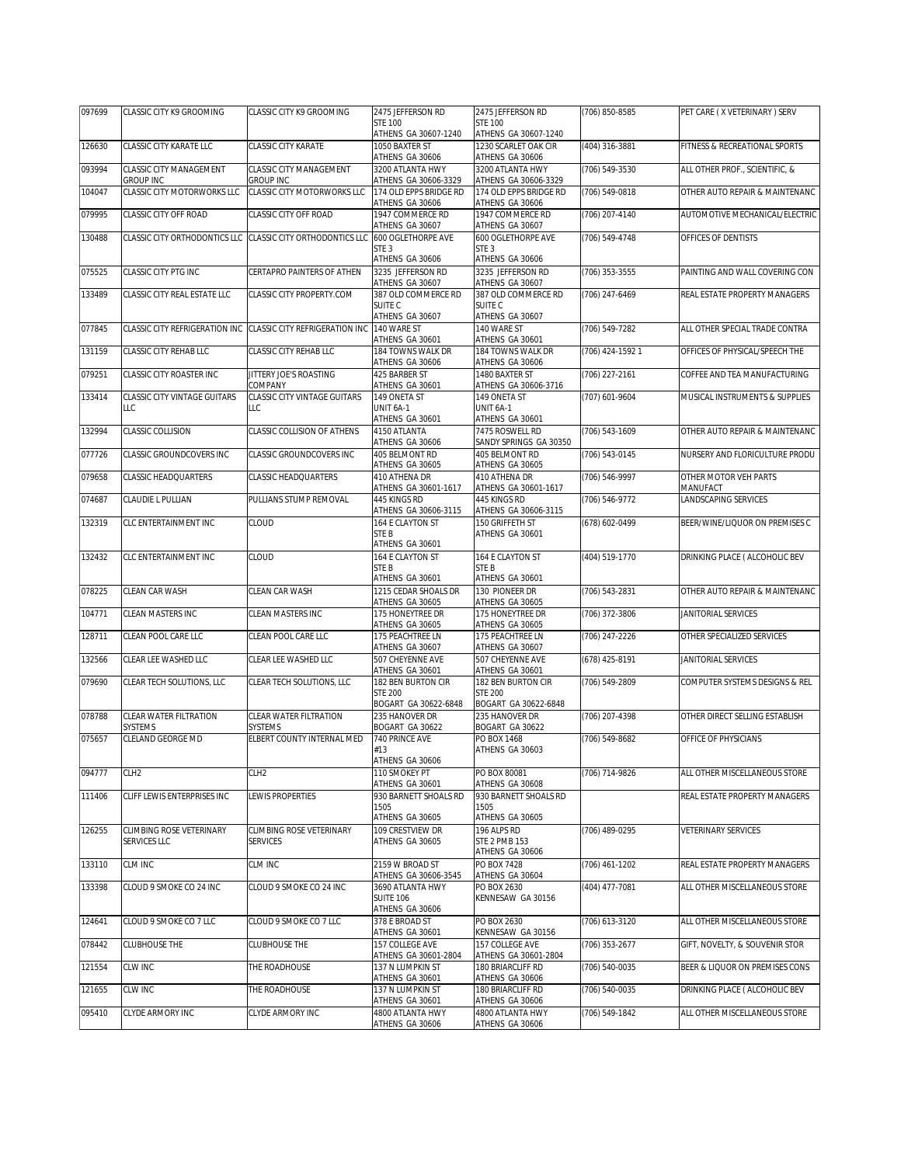| 097699 | CLASSIC CITY K9 GROOMING                    | CLASSIC CITY K9 GROOMING                    | 2475 JEFFERSON RD                                            | 2475 JEFFERSON RD                                            | (706) 850-8585   | PET CARE (X VETERINARY) SERV      |
|--------|---------------------------------------------|---------------------------------------------|--------------------------------------------------------------|--------------------------------------------------------------|------------------|-----------------------------------|
|        |                                             |                                             | <b>STE 100</b><br>ATHENS GA 30607-1240                       | <b>STE 100</b><br>ATHENS GA 30607-1240                       |                  |                                   |
| 126630 | CLASSIC CITY KARATE LLC                     | CLASSIC CITY KARATE                         | 1050 BAXTER ST<br>ATHENS GA 30606                            | 1230 SCARLET OAK CIR<br>ATHENS GA 30606                      | (404) 316-3881   | FITNESS & RECREATIONAL SPORTS     |
| 093994 | CLASSIC CITY MANAGEMENT<br><b>GROUP INC</b> | CLASSIC CITY MANAGEMENT<br><b>GROUP INC</b> | 3200 ATLANTA HWY<br>ATHENS GA 30606-3329                     | 3200 ATLANTA HWY<br>ATHENS GA 30606-3329                     | (706) 549-3530   | ALL OTHER PROF., SCIENTIFIC, &    |
| 104047 | CLASSIC CITY MOTORWORKS LLC                 | <b>CLASSIC CITY MOTORWORKS LLC</b>          | 174 OLD EPPS BRIDGE RD<br>ATHENS GA 30606                    | 174 OLD EPPS BRIDGE RD<br>ATHENS GA 30606                    | (706) 549-0818   | OTHER AUTO REPAIR & MAINTENANC    |
| 079995 | CLASSIC CITY OFF ROAD                       | CLASSIC CITY OFF ROAD                       | 1947 COMMERCE RD<br>ATHENS GA 30607                          | 1947 COMMERCE RD<br>ATHENS GA 30607                          | (706) 207-4140   | AUTOMOTIVE MECHANICAL/ELECTRIC    |
| 130488 | CLASSIC CITY ORTHODONTICS LLC               | CLASSIC CITY ORTHODONTICS LLC               | 600 OGLETHORPE AVE<br>STE <sub>3</sub><br>ATHENS GA 30606    | 600 OGLETHORPE AVE<br>STE <sub>3</sub><br>ATHENS GA 30606    | (706) 549-4748   | OFFICES OF DENTISTS               |
| 075525 | CLASSIC CITY PTG INC                        | CERTAPRO PAINTERS OF ATHEN                  | 3235 JEFFERSON RD<br>ATHENS GA 30607                         | 3235 JEFFERSON RD<br>ATHENS GA 30607                         | (706) 353-3555   | PAINTING AND WALL COVERING CON    |
| 133489 | CLASSIC CITY REAL ESTATE LLC                | <b>CLASSIC CITY PROPERTY.COM</b>            | 387 OLD COMMERCE RD<br>SUITE <sub>C</sub>                    | 387 OLD COMMERCE RD<br>SUITE <sub>C</sub>                    | (706) 247-6469   | REAL ESTATE PROPERTY MANAGERS     |
| 077845 | CLASSIC CITY REFRIGERATION INC              | CLASSIC CITY REFRIGERATION INC              | ATHENS GA 30607<br>140 WARE ST                               | ATHENS GA 30607<br>140 WARE ST                               | (706) 549-7282   | ALL OTHER SPECIAL TRADE CONTRA    |
| 131159 | CLASSIC CITY REHAB LLC                      | CLASSIC CITY REHAB LLC                      | ATHENS GA 30601<br>184 TOWNS WALK DR<br>ATHENS GA 30606      | ATHENS GA 30601<br>184 TOWNS WALK DR<br>ATHENS GA 30606      | (706) 424-1592 1 | OFFICES OF PHYSICAL/SPEECH THE    |
| 079251 | CLASSIC CITY ROASTER INC                    | JITTERY JOE'S ROASTING<br>COMPANY           | 425 BARBER ST<br>ATHENS GA 30601                             | 1480 BAXTER ST<br>ATHENS GA 30606-3716                       | (706) 227-2161   | COFFEE AND TEA MANUFACTURING      |
| 133414 | CLASSIC CITY VINTAGE GUITARS<br>LLC         | <b>CLASSIC CITY VINTAGE GUITARS</b><br>LLC  | 149 ONETA ST<br>UNIT 6A-1                                    | 149 ONETA ST<br>UNIT 6A-1                                    | (707) 601-9604   | MUSICAL INSTRUMENTS & SUPPLIES    |
| 132994 | CLASSIC COLLISION                           | CLASSIC COLLISION OF ATHENS                 | ATHENS GA 30601<br>4150 ATLANTA                              | ATHENS GA 30601<br>7475 ROSWELL RD                           | (706) 543-1609   | OTHER AUTO REPAIR & MAINTENANC    |
|        |                                             |                                             | ATHENS GA 30606                                              | SANDY SPRINGS GA 30350                                       |                  |                                   |
| 077726 | CLASSIC GROUNDCOVERS INC                    | CLASSIC GROUNDCOVERS INC                    | 405 BELMONT RD<br>ATHENS GA 30605                            | 405 BELMONT RD<br>ATHENS GA 30605                            | (706) 543-0145   | NURSERY AND FLORICULTURE PRODU    |
| 079658 | CLASSIC HEADQUARTERS                        | <b>CLASSIC HEADQUARTERS</b>                 | 410 ATHENA DR<br>ATHENS GA 30601-1617                        | 410 ATHENA DR<br>ATHENS GA 30601-1617                        | (706) 546-9997   | OTHER MOTOR VEH PARTS<br>MANUFACT |
| 074687 | CLAUDIE L PULLIAN                           | PULLIANS STUMP REMOVAL                      | 445 KINGS RD<br>ATHENS GA 30606-3115                         | 445 KINGS RD<br>ATHENS GA 30606-3115                         | (706) 546-9772   | LANDSCAPING SERVICES              |
| 132319 | CLC ENTERTAINMENT INC                       | CLOUD                                       | 164 E CLAYTON ST<br>STE B<br>ATHENS GA 30601                 | 150 GRIFFETH ST<br>ATHENS GA 30601                           | (678) 602-0499   | BEER/WINE/LIQUOR ON PREMISES C    |
| 132432 | CLC ENTERTAINMENT INC                       | CLOUD                                       | 164 E CLAYTON ST<br>STE B                                    | 164 E CLAYTON ST<br>STE B                                    | (404) 519-1770   | DRINKING PLACE ( ALCOHOLIC BEV    |
| 078225 | CLEAN CAR WASH                              | CLEAN CAR WASH                              | ATHENS GA 30601<br>1215 CEDAR SHOALS DR                      | ATHENS GA 30601<br>130 PIONEER DR                            | (706) 543-2831   | OTHER AUTO REPAIR & MAINTENANC    |
|        |                                             |                                             | ATHENS GA 30605                                              | ATHENS GA 30605                                              |                  |                                   |
| 104771 | CLEAN MASTERS INC                           | CLEAN MASTERS INC                           | 175 HONEYTREE DR<br>ATHENS GA 30605                          | 175 HONEYTREE DR<br>ATHENS GA 30605                          | (706) 372-3806   | JANITORIAL SERVICES               |
| 128711 | CLEAN POOL CARE LLC                         | CLEAN POOL CARE LLC                         | 175 PEACHTREE LN<br>ATHENS GA 30607                          | 175 PEACHTREE LN<br>ATHENS GA 30607                          | (706) 247-2226   | OTHER SPECIALIZED SERVICES        |
| 132566 | CLEAR LEE WASHED LLC                        | CLEAR LEE WASHED LLC                        | 507 CHEYENNE AVE<br>ATHENS GA 30601                          | 507 CHEYENNE AVE<br>ATHENS GA 30601                          | (678) 425-8191   | JANITORIAL SERVICES               |
| 079690 | CLEAR TECH SOLUTIONS, LLC                   | CLEAR TECH SOLUTIONS, LLC                   | 182 BEN BURTON CIR<br><b>STE 200</b><br>BOGART GA 30622-6848 | 182 BEN BURTON CIR<br><b>STE 200</b><br>BOGART GA 30622-6848 | (706) 549-2809   | COMPUTER SYSTEMS DESIGNS & REL    |
| 078788 | CLEAR WATER FILTRATION<br>SYSTEMS           | CLEAR WATER FILTRATION<br><b>SYSTEMS</b>    | 235 HANOVER DR<br>BOGART GA 30622                            | 235 HANOVER DR<br>BOGART GA 30622                            | (706) 207-4398   | OTHER DIRECT SELLING ESTABLISH    |
| 075657 | CLELAND GEORGE MD                           | ELBERT COUNTY INTERNAL MED                  | 740 PRINCE AVE<br>#13<br>ATHENS GA 30606                     | PO BOX 1468<br>ATHENS GA 30603                               | (706) 549-8682   | OFFICE OF PHYSICIANS              |
| 094777 | CLH <sub>2</sub>                            | CLH <sub>2</sub>                            | 110 SMOKEY PT                                                | PO BOX 80081                                                 | (706) 714-9826   | ALL OTHER MISCELLANEOUS STORE     |
| 111406 | CLIFF LEWIS ENTERPRISES INC                 | LEWIS PROPERTIES                            | ATHENS GA 30601<br>930 BARNETT SHOALS RD<br>1505             | ATHENS GA 30608<br>930 BARNETT SHOALS RD<br>1505             |                  | REAL ESTATE PROPERTY MANAGERS     |
| 126255 | CLIMBING ROSE VETERINARY                    | CLIMBING ROSE VETERINARY                    | ATHENS GA 30605<br>109 CRESTVIEW DR                          | ATHENS GA 30605<br>196 ALPS RD                               | (706) 489-0295   | <b>VETERINARY SERVICES</b>        |
|        | SERVICES LLC                                | <b>SERVICES</b>                             | ATHENS GA 30605                                              | <b>STE 2 PMB 153</b><br>ATHENS GA 30606                      |                  |                                   |
| 133110 | CLM INC                                     | CLM INC                                     | 2159 W BROAD ST<br>ATHENS GA 30606-3545                      | PO BOX 7428<br>ATHENS GA 30604                               | (706) 461-1202   | REAL ESTATE PROPERTY MANAGERS     |
| 133398 | CLOUD 9 SMOKE CO 24 INC                     | CLOUD 9 SMOKE CO 24 INC                     | 3690 ATLANTA HWY<br><b>SUITE 106</b><br>ATHENS GA 30606      | PO BOX 2630<br>KENNESAW GA 30156                             | (404) 477-7081   | ALL OTHER MISCELLANEOUS STORE     |
| 124641 | CLOUD 9 SMOKE CO 7 LLC                      | CLOUD 9 SMOKE CO 7 LLC                      | 378 E BROAD ST<br>ATHENS GA 30601                            | PO BOX 2630<br>KENNESAW GA 30156                             | (706) 613-3120   | ALL OTHER MISCELLANEOUS STORE     |
| 078442 | CLUBHOUSE THE                               | <b>CLUBHOUSE THE</b>                        | 157 COLLEGE AVE<br>ATHENS GA 30601-2804                      | 157 COLLEGE AVE<br>ATHENS GA 30601-2804                      | (706) 353-2677   | GIFT, NOVELTY, & SOUVENIR STOR    |
| 121554 | CLW INC                                     | THE ROADHOUSE                               | 137 N LUMPKIN ST<br>ATHENS GA 30601                          | 180 BRIARCLIFF RD<br>ATHENS GA 30606                         | (706) 540-0035   | BEER & LIQUOR ON PREMISES CONS    |
| 121655 | CLW INC                                     | THE ROADHOUSE                               | 137 N LUMPKIN ST                                             | 180 BRIARCLIFF RD                                            | (706) 540-0035   | DRINKING PLACE ( ALCOHOLIC BEV    |
| 095410 | CLYDE ARMORY INC                            | CLYDE ARMORY INC                            | ATHENS GA 30601<br>4800 ATLANTA HWY                          | ATHENS GA 30606<br>4800 ATLANTA HWY                          | (706) 549-1842   | ALL OTHER MISCELLANEOUS STORE     |
|        |                                             |                                             | ATHENS GA 30606                                              | ATHENS GA 30606                                              |                  |                                   |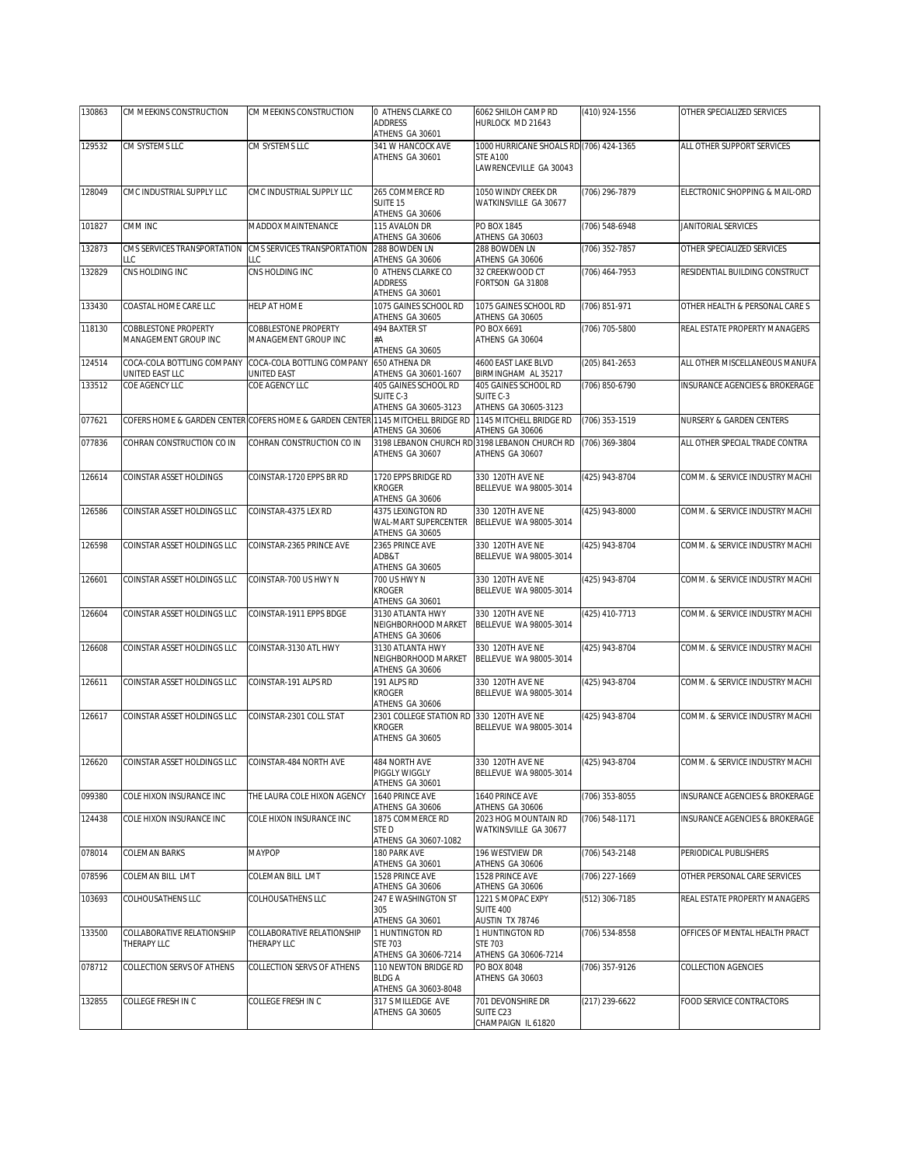| 130863 | CM MEEKINS CONSTRUCTION                            | CM MEEKINS CONSTRUCTION                                                                                 | 0 ATHENS CLARKE CO                                           | 6062 SHILOH CAMP RD                                              | (410) 924-1556   | OTHER SPECIALIZED SERVICES          |
|--------|----------------------------------------------------|---------------------------------------------------------------------------------------------------------|--------------------------------------------------------------|------------------------------------------------------------------|------------------|-------------------------------------|
|        |                                                    |                                                                                                         | ADDRESS<br>ATHENS GA 30601                                   | HURLOCK MD 21643                                                 |                  |                                     |
| 129532 | CM SYSTEMS LLC                                     | CM SYSTEMS LLC                                                                                          | 341 W HANCOCK AVE                                            | 1000 HURRICANE SHOALS RD (706) 424-1365                          |                  | ALL OTHER SUPPORT SERVICES          |
|        |                                                    |                                                                                                         | ATHENS GA 30601                                              | <b>STE A100</b><br>LAWRENCEVILLE GA 30043                        |                  |                                     |
| 128049 | CMC INDUSTRIAL SUPPLY LLC                          | CMC INDUSTRIAL SUPPLY LLC                                                                               | 265 COMMERCE RD                                              | 1050 WINDY CREEK DR                                              | (706) 296-7879   | ELECTRONIC SHOPPING & MAIL-ORD      |
|        |                                                    |                                                                                                         | SUITE 15<br>ATHENS GA 30606                                  | WATKINSVILLE GA 30677                                            |                  |                                     |
| 101827 | CMM INC                                            | MADDOX MAINTENANCE                                                                                      | 115 AVALON DR<br>ATHENS GA 30606                             | PO BOX 1845<br>ATHENS GA 30603                                   | (706) 548-6948   | JANITORIAL SERVICES                 |
| 132873 | CMS SERVICES TRANSPORTATION                        | CMS SERVICES TRANSPORTATION                                                                             | 288 BOWDEN LN                                                | 288 BOWDEN LN                                                    | $(706)$ 352-7857 | OTHER SPECIALIZED SERVICES          |
| 132829 | LLC<br>CNS HOLDING INC                             | LLC<br>CNS HOLDING INC                                                                                  | ATHENS GA 30606<br>0 ATHENS CLARKE CO                        | ATHENS GA 30606<br>32 CREEKWOOD CT                               | (706) 464-7953   | RESIDENTIAL BUILDING CONSTRUCT      |
|        |                                                    |                                                                                                         | <b>ADDRESS</b><br>ATHENS GA 30601                            | FORTSON GA 31808                                                 |                  |                                     |
| 133430 | COASTAL HOME CARE LLC                              | HELP AT HOME                                                                                            | 1075 GAINES SCHOOL RD<br>ATHENS GA 30605                     | 1075 GAINES SCHOOL RD<br>ATHENS GA 30605                         | (706) 851-971    | OTHER HEALTH & PERSONAL CARE S      |
| 118130 | COBBLESTONE PROPERTY                               | <b>COBBLESTONE PROPERTY</b>                                                                             | 494 BAXTER ST                                                | PO BOX 6691                                                      | (706) 705-5800   | REAL ESTATE PROPERTY MANAGERS       |
|        | MANAGEMENT GROUP INC                               | MANAGEMENT GROUP INC                                                                                    | #A<br>ATHENS GA 30605                                        | ATHENS GA 30604                                                  |                  |                                     |
| 124514 | COCA-COLA BOTTLING COMPANY                         | COCA-COLA BOTTLING COMPANY                                                                              | 650 ATHENA DR                                                | 4600 EAST LAKE BLVD                                              | (205) 841-2653   | ALL OTHER MISCELLANEOUS MANUFA      |
|        | UNITED EAST LLC                                    | UNITED EAST                                                                                             | ATHENS GA 30601-1607                                         | BIRMINGHAM AL 35217                                              |                  |                                     |
| 133512 | COE AGENCY LLC                                     | COE AGENCY LLC                                                                                          | 405 GAINES SCHOOL RD                                         | 405 GAINES SCHOOL RD                                             | (706) 850-6790   | INSURANCE AGENCIES & BROKERAGE      |
|        |                                                    |                                                                                                         | SUITE C-3<br>ATHENS GA 30605-3123                            | SUITE C-3<br>ATHENS GA 30605-3123                                |                  |                                     |
| 077621 |                                                    | COFERS HOME & GARDEN CENTER COFERS HOME & GARDEN CENTER 1145 MITCHELL BRIDGE RD 1145 MITCHELL BRIDGE RD |                                                              |                                                                  | (706) 353-1519   | <b>NURSERY &amp; GARDEN CENTERS</b> |
|        |                                                    |                                                                                                         | ATHENS GA 30606                                              | ATHENS GA 30606                                                  |                  |                                     |
| 077836 | COHRAN CONSTRUCTION CO IN                          | COHRAN CONSTRUCTION CO IN                                                                               | ATHENS GA 30607                                              | 3198 LEBANON CHURCH RD 3198 LEBANON CHURCH RD<br>ATHENS GA 30607 | (706) 369-3804   | ALL OTHER SPECIAL TRADE CONTRA      |
| 126614 | COINSTAR ASSET HOLDINGS                            | COINSTAR-1720 EPPS BR RD                                                                                | 1720 EPPS BRIDGE RD                                          | 330 120TH AVE NE                                                 | (425) 943-8704   | COMM. & SERVICE INDUSTRY MACHI      |
|        |                                                    |                                                                                                         | KROGER                                                       | BELLEVUE WA 98005-3014                                           |                  |                                     |
|        |                                                    |                                                                                                         | ATHENS GA 30606                                              |                                                                  |                  |                                     |
| 126586 | COINSTAR ASSET HOLDINGS LLC                        | COINSTAR-4375 LEX RD                                                                                    | 4375 LEXINGTON RD<br>WAL-MART SUPERCENTER<br>ATHENS GA 30605 | 330 120TH AVE NE<br>BELLEVUE WA 98005-3014                       | (425) 943-8000   | COMM. & SERVICE INDUSTRY MACHI      |
| 126598 | COINSTAR ASSET HOLDINGS LLC                        | COINSTAR-2365 PRINCE AVE                                                                                | 2365 PRINCE AVE                                              | 330 120TH AVE NE                                                 | (425) 943-8704   | COMM. & SERVICE INDUSTRY MACHI      |
|        |                                                    |                                                                                                         | ADB&T<br>ATHENS GA 30605                                     | BELLEVUE WA 98005-3014                                           |                  |                                     |
| 126601 | COINSTAR ASSET HOLDINGS LLC                        | COINSTAR-700 US HWY N                                                                                   | 700 US HWY N                                                 | 330 120TH AVE NE                                                 | (425) 943-8704   | COMM. & SERVICE INDUSTRY MACHI      |
|        |                                                    |                                                                                                         | KROGER<br>ATHENS GA 30601                                    | BELLEVUE WA 98005-3014                                           |                  |                                     |
| 126604 | COINSTAR ASSET HOLDINGS LLC                        | COINSTAR-1911 EPPS BDGE                                                                                 | 3130 ATLANTA HWY                                             | 330 120TH AVE NE                                                 | (425) 410-7713   | COMM. & SERVICE INDUSTRY MACHI      |
|        |                                                    |                                                                                                         | NEIGHBORHOOD MARKET<br>ATHENS GA 30606                       | BELLEVUE WA 98005-3014                                           |                  |                                     |
| 126608 | COINSTAR ASSET HOLDINGS LLC                        | COINSTAR-3130 ATL HWY                                                                                   | 3130 ATLANTA HWY<br>NEIGHBORHOOD MARKET                      | 330 120TH AVE NE<br>BELLEVUE WA 98005-3014                       | (425) 943-8704   | COMM. & SERVICE INDUSTRY MACHI      |
|        |                                                    |                                                                                                         | ATHENS GA 30606                                              |                                                                  |                  |                                     |
| 126611 | COINSTAR ASSET HOLDINGS LLC                        | COINSTAR-191 ALPS RD                                                                                    | 191 ALPS RD                                                  | 330 120TH AVE NE                                                 | (425) 943-8704   | COMM. & SERVICE INDUSTRY MACHI      |
|        |                                                    |                                                                                                         | KROGER<br>ATHENS GA 30606                                    | BELLEVUE WA 98005-3014                                           |                  |                                     |
| 126617 | COINSTAR ASSET HOLDINGS LLC                        | COINSTAR-2301 COLL STAT                                                                                 | 2301 COLLEGE STATION RD 330 120TH AVE NE                     |                                                                  | (425) 943-8704   | COMM. & SERVICE INDUSTRY MACHI      |
|        |                                                    |                                                                                                         | KROGER                                                       | BELLEVUE WA 98005-3014                                           |                  |                                     |
|        |                                                    |                                                                                                         | ATHENS GA 30605                                              |                                                                  |                  |                                     |
| 126620 | COINSTAR ASSET HOLDINGS LLC COINSTAR-484 NORTH AVE |                                                                                                         | 484 NORTH AVE                                                | 330 120TH AVE NE                                                 | (425) 943-8704   | COMM. & SERVICE INDUSTRY MACHI      |
|        |                                                    |                                                                                                         | PIGGLY WIGGLY                                                | BELLEVUE WA 98005-3014                                           |                  |                                     |
|        |                                                    |                                                                                                         | ATHENS GA 30601                                              |                                                                  |                  |                                     |
| 099380 | COLE HIXON INSURANCE INC                           | THE LAURA COLE HIXON AGENCY                                                                             | 1640 PRINCE AVE                                              | 1640 PRINCE AVE                                                  | (706) 353-8055   | INSURANCE AGENCIES & BROKERAGE      |
| 124438 | COLE HIXON INSURANCE INC                           | COLE HIXON INSURANCE INC                                                                                | ATHENS GA 30606<br>1875 COMMERCE RD                          | ATHENS GA 30606<br>2023 HOG MOUNTAIN RD                          | (706) 548-1171   | INSURANCE AGENCIES & BROKERAGE      |
|        |                                                    |                                                                                                         | STE D<br>ATHENS GA 30607-1082                                | WATKINSVILLE GA 30677                                            |                  |                                     |
| 078014 | COLEMAN BARKS                                      | <b>MAYPOP</b>                                                                                           | 180 PARK AVE<br>ATHENS GA 30601                              | 196 WESTVIEW DR<br>ATHENS GA 30606                               | (706) 543-2148   | PERIODICAL PUBLISHERS               |
| 078596 | COLEMAN BILL LMT                                   | COLEMAN BILL LMT                                                                                        | 1528 PRINCE AVE                                              | 1528 PRINCE AVE                                                  | (706) 227-1669   | OTHER PERSONAL CARE SERVICES        |
|        |                                                    |                                                                                                         | ATHENS GA 30606                                              | ATHENS GA 30606                                                  |                  |                                     |
| 103693 | COLHOUSATHENS LLC                                  | COLHOUSATHENS LLC                                                                                       | 247 E WASHINGTON ST<br>305<br>ATHENS GA 30601                | 1221 S MOPAC EXPY<br><b>SUITE 400</b><br>AUSTIN TX 78746         | (512) 306-7185   | REAL ESTATE PROPERTY MANAGERS       |
| 133500 | COLLABORATIVE RELATIONSHIP                         | COLLABORATIVE RELATIONSHIP                                                                              | 1 HUNTINGTON RD                                              | 1 HUNTINGTON RD                                                  | (706) 534-8558   | OFFICES OF MENTAL HEALTH PRACT      |
|        | THERAPY LLC                                        | THERAPY LLC                                                                                             | <b>STE 703</b><br>ATHENS GA 30606-7214                       | <b>STE 703</b><br>ATHENS GA 30606-7214                           |                  |                                     |
| 078712 | COLLECTION SERVS OF ATHENS                         | COLLECTION SERVS OF ATHENS                                                                              | 110 NEWTON BRIDGE RD                                         | PO BOX 8048                                                      | (706) 357-9126   | COLLECTION AGENCIES                 |
|        |                                                    |                                                                                                         | <b>BLDG A</b><br>ATHENS GA 30603-8048                        | ATHENS GA 30603                                                  |                  |                                     |
| 132855 | COLLEGE FRESH IN C                                 | COLLEGE FRESH IN C                                                                                      | 317 S MILLEDGE AVE                                           | 701 DEVONSHIRE DR<br>SUITE C23                                   | (217) 239-6622   | FOOD SERVICE CONTRACTORS            |
|        |                                                    |                                                                                                         | ATHENS GA 30605                                              | CHAMPAIGN IL 61820                                               |                  |                                     |
|        |                                                    |                                                                                                         |                                                              |                                                                  |                  |                                     |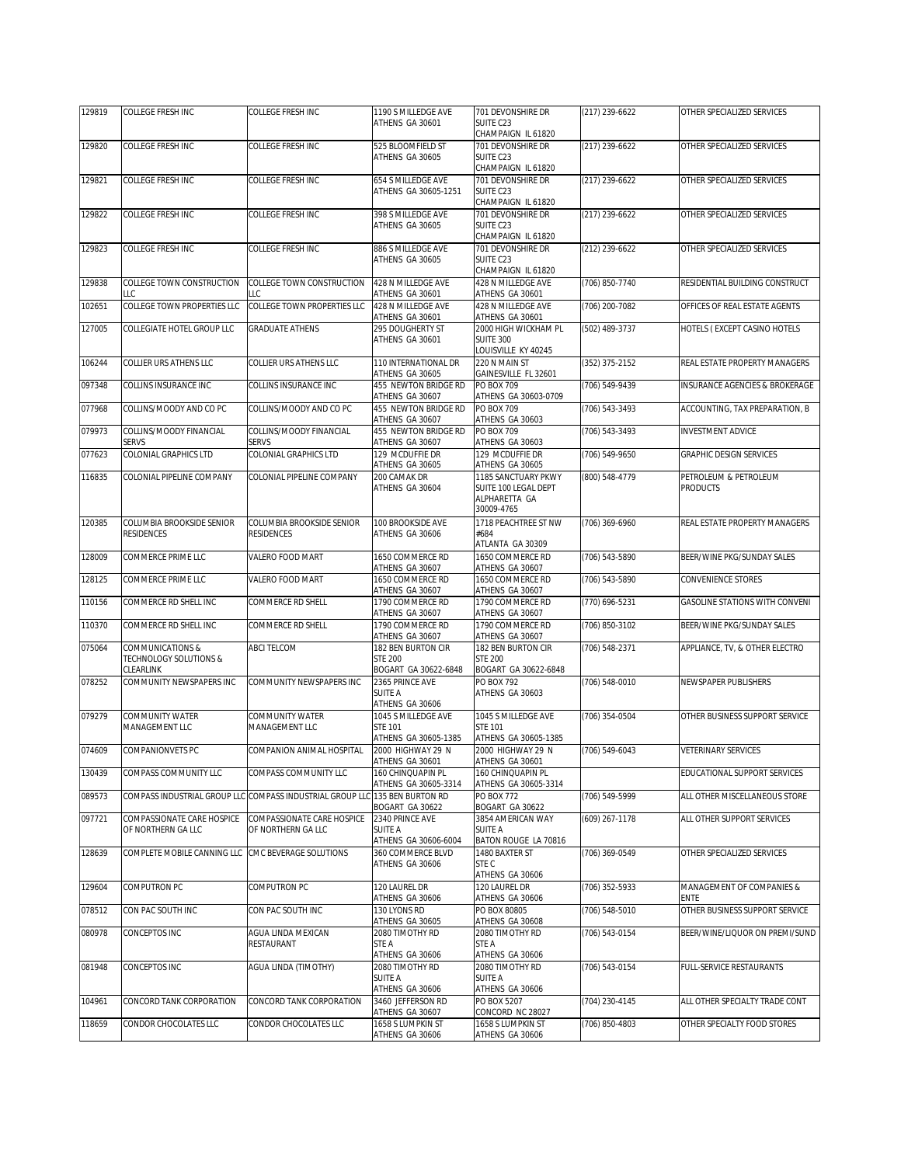| 129819 | <b>COLLEGE FRESH INC</b>                                | <b>COLLEGE FRESH INC</b>                                                    | 1190 S MILLEDGE AVE                                           | 701 DEVONSHIRE DR                                                          | (217) 239-6622   | OTHER SPECIALIZED SERVICES               |
|--------|---------------------------------------------------------|-----------------------------------------------------------------------------|---------------------------------------------------------------|----------------------------------------------------------------------------|------------------|------------------------------------------|
|        |                                                         |                                                                             | ATHENS GA 30601                                               | SUITE C23<br>CHAMPAIGN IL 61820                                            |                  |                                          |
| 129820 | <b>COLLEGE FRESH INC</b>                                | COLLEGE FRESH INC                                                           | 525 BLOOMFIELD ST<br>ATHENS GA 30605                          | 701 DEVONSHIRE DR<br>SUITE C23<br>CHAMPAIGN IL 61820                       | $(217)$ 239-6622 | OTHER SPECIALIZED SERVICES               |
| 129821 | <b>COLLEGE FRESH INC</b>                                | COLLEGE FRESH INC                                                           | 654 S MILLEDGE AVE<br>ATHENS GA 30605-1251                    | 701 DEVONSHIRE DR<br>SUITE C23<br>CHAMPAIGN IL 61820                       | (217) 239-6622   | OTHER SPECIALIZED SERVICES               |
| 129822 | COLLEGE FRESH INC                                       | COLLEGE FRESH INC                                                           | 398 S MILLEDGE AVE<br>ATHENS GA 30605                         | 701 DEVONSHIRE DR<br>SUITE C23<br>CHAMPAIGN IL 61820                       | (217) 239-6622   | OTHER SPECIALIZED SERVICES               |
| 129823 | COLLEGE FRESH INC                                       | COLLEGE FRESH INC                                                           | 886 S MILLEDGE AVE<br>ATHENS GA 30605                         | 701 DEVONSHIRE DR<br>SUITE C23<br>CHAMPAIGN IL 61820                       | (212) 239-6622   | OTHER SPECIALIZED SERVICES               |
| 129838 | COLLEGE TOWN CONSTRUCTION<br>LLC                        | COLLEGE TOWN CONSTRUCTION<br>LLC                                            | 428 N MILLEDGE AVE<br>ATHENS GA 30601                         | 428 N MILLEDGE AVE<br>ATHENS GA 30601                                      | (706) 850-7740   | RESIDENTIAL BUILDING CONSTRUCT           |
| 102651 | COLLEGE TOWN PROPERTIES LLC                             | COLLEGE TOWN PROPERTIES LLC                                                 | 428 N MILLEDGE AVE<br>ATHENS GA 30601                         | 428 N MILLEDGE AVE<br>ATHENS GA 30601                                      | (706) 200-7082   | OFFICES OF REAL ESTATE AGENTS            |
| 127005 | COLLEGIATE HOTEL GROUP LLC                              | <b>GRADUATE ATHENS</b>                                                      | 295 DOUGHERTY ST<br>ATHENS GA 30601                           | 2000 HIGH WICKHAM PL<br><b>SUITE 300</b><br>OUISVILLE KY 40245             | (502) 489-3737   | HOTELS (EXCEPT CASINO HOTELS             |
| 106244 | COLLIER URS ATHENS LLC                                  | COLLIER URS ATHENS LLC                                                      | 110 INTERNATIONAL DR<br>ATHENS GA 30605                       | 220 N MAIN ST<br>GAINESVILLE FL 32601                                      | (352) 375-2152   | REAL ESTATE PROPERTY MANAGERS            |
| 097348 | COLLINS INSURANCE INC                                   | COLLINS INSURANCE INC                                                       | 455 NEWTON BRIDGE RD<br>ATHENS GA 30607                       | PO BOX 709<br>ATHENS GA 30603-0709                                         | (706) 549-9439   | INSURANCE AGENCIES & BROKERAGE           |
| 077968 | COLLINS/MOODY AND CO PC                                 | COLLINS/MOODY AND CO PC                                                     | 455 NEWTON BRIDGE RD<br>ATHENS GA 30607                       | <b>PO BOX 709</b><br>ATHENS GA 30603                                       | (706) 543-3493   | ACCOUNTING, TAX PREPARATION, B           |
| 079973 | COLLINS/MOODY FINANCIAL<br>SERVS                        | COLLINS/MOODY FINANCIAL<br><b>SERVS</b>                                     | 455 NEWTON BRIDGE RD<br>ATHENS GA 30607                       | PO BOX 709<br>ATHENS GA 30603                                              | (706) 543-3493   | <b>INVESTMENT ADVICE</b>                 |
| 077623 | COLONIAL GRAPHICS LTD                                   | COLONIAL GRAPHICS LTD                                                       | 129 MCDUFFIE DR<br>ATHENS GA 30605                            | 129 MCDUFFIE DR<br>ATHENS GA 30605                                         | (706) 549-9650   | GRAPHIC DESIGN SERVICES                  |
| 116835 | COLONIAL PIPELINE COMPANY                               | COLONIAL PIPELINE COMPANY                                                   | 200 CAMAK DR<br>ATHENS GA 30604                               | 1185 SANCTUARY PKWY<br>SUITE 100 LEGAL DEPT<br>ALPHARETTA GA<br>30009-4765 | (800) 548-4779   | PETROLEUM & PETROLEUM<br><b>PRODUCTS</b> |
| 120385 | COLUMBIA BROOKSIDE SENIOR<br><b>RESIDENCES</b>          | COLUMBIA BROOKSIDE SENIOR<br><b>RESIDENCES</b>                              | <b>100 BROOKSIDE AVE</b><br>ATHENS GA 30606                   | 1718 PEACHTREE ST NW<br>#684<br>ATLANTA GA 30309                           | (706) 369-6960   | REAL ESTATE PROPERTY MANAGERS            |
| 128009 | COMMERCE PRIME LLC                                      | VALERO FOOD MART                                                            | 1650 COMMERCE RD<br>ATHENS GA 30607                           | 1650 COMMERCE RD<br>ATHENS GA 30607                                        | (706) 543-5890   | BEER/WINE PKG/SUNDAY SALES               |
| 128125 | COMMERCE PRIME LLC                                      | VALERO FOOD MART                                                            | 1650 COMMERCE RD<br>ATHENS GA 30607                           | 1650 COMMERCE RD<br>ATHENS GA 30607                                        | (706) 543-5890   | CONVENIENCE STORES                       |
| 110156 | COMMERCE RD SHELL INC                                   | COMMERCE RD SHELL                                                           | 1790 COMMERCE RD<br>ATHENS GA 30607                           | 1790 COMMERCE RD<br>ATHENS GA 30607                                        | (770) 696-5231   | GASOLINE STATIONS WITH CONVENI           |
| 110370 | COMMERCE RD SHELL INC                                   | COMMERCE RD SHELL                                                           | 1790 COMMERCE RD<br>ATHENS GA 30607                           | 1790 COMMERCE RD<br>ATHENS GA 30607                                        | (706) 850-3102   | BEER/WINE PKG/SUNDAY SALES               |
| 075064 | COMMUNICATIONS &<br>TECHNOLOGY SOLUTIONS &<br>CLEARLINK | ABCI TELCOM                                                                 | 182 BEN BURTON CIR<br><b>STE 200</b><br>BOGART GA 30622-6848  | 182 BEN BURTON CIR<br><b>STE 200</b><br>BOGART GA 30622-6848               | (706) 548-2371   | APPLIANCE, TV, & OTHER ELECTRO           |
| 078252 | COMMUNITY NEWSPAPERS INC                                | COMMUNITY NEWSPAPERS INC                                                    | 2365 PRINCE AVE<br>SUITE A<br>ATHENS GA 30606                 | <b>PO BOX 792</b><br>ATHENS GA 30603                                       | (706) 548-0010   | NEWSPAPER PUBLISHERS                     |
| 079279 | COMMUNITY WATER<br>MANAGEMENT LLC                       | COMMUNITY WATER<br>MANAGEMENT LLC                                           | 1045 S MILLEDGE AVE<br><b>STE 101</b><br>ATHENS GA 30605-1385 | 1045 S MILLEDGE AVE<br><b>STE 101</b><br>ATHENS GA 30605-1385              | (706) 354-0504   | OTHER BUSINESS SUPPORT SERVICE           |
| 074609 | COMPANIONVETS PC                                        | COMPANION ANIMAL HOSPITAL                                                   | 2000 HIGHWAY 29 N<br>ATHENS GA 30601                          | 2000 HIGHWAY 29 N                                                          | (706) 549-6043   | <b>VETERINARY SERVICES</b>               |
| 130439 | COMPASS COMMUNITY LLC                                   | COMPASS COMMUNITY LLC                                                       | 160 CHINQUAPIN PL                                             | ATHENS GA 30601<br>160 CHINQUAPIN PL                                       |                  | EDUCATIONAL SUPPORT SERVICES             |
| 089573 |                                                         | COMPASS INDUSTRIAL GROUP LLC COMPASS INDUSTRIAL GROUP LLC 135 BEN BURTON RD | ATHENS GA 30605-3314                                          | ATHENS GA 30605-3314<br>PO BOX 772                                         | (706) 549-5999   | ALL OTHER MISCELLANEOUS STORE            |
| 097721 | COMPASSIONATE CARE HOSPICE<br>OF NORTHERN GA LLC        | COMPASSIONATE CARE HOSPICE<br>OF NORTHERN GA LLC                            | BOGART GA 30622<br>2340 PRINCE AVE<br>SUITE A                 | BOGART GA 30622<br>3854 AMERICAN WAY<br>SUITE A                            | (609) 267-1178   | ALL OTHER SUPPORT SERVICES               |
| 128639 | COMPLETE MOBILE CANNING LLC                             | CMC BEVERAGE SOLUTIONS                                                      | ATHENS GA 30606-6004<br>360 COMMERCE BLVD<br>ATHENS GA 30606  | BATON ROUGE LA 70816<br>1480 BAXTER ST<br>STE C<br>ATHENS GA 30606         | (706) 369-0549   | OTHER SPECIALIZED SERVICES               |
| 129604 | COMPUTRON PC                                            | COMPUTRON PC                                                                | 120 LAUREL DR<br>ATHENS GA 30606                              | 120 LAUREL DR<br>ATHENS GA 30606                                           | (706) 352-5933   | MANAGEMENT OF COMPANIES &<br><b>ENTE</b> |
| 078512 | CON PAC SOUTH INC                                       | CON PAC SOUTH INC                                                           | 130 LYONS RD<br>ATHENS GA 30605                               | PO BOX 80805<br>ATHENS GA 30608                                            | (706) 548-5010   | OTHER BUSINESS SUPPORT SERVICE           |
| 080978 | CONCEPTOS INC                                           | AGUA LINDA MEXICAN<br>RESTAURANT                                            | 2080 TIMOTHY RD<br>STE A<br>ATHENS GA 30606                   | 2080 TIMOTHY RD<br>STE A<br>ATHENS GA 30606                                | (706) 543-0154   | BEER/WINE/LIQUOR ON PREMI/SUND           |
| 081948 | CONCEPTOS INC                                           | AGUA LINDA (TIMOTHY)                                                        | 2080 TIMOTHY RD<br>SUITE A<br>ATHENS GA 30606                 | 2080 TIMOTHY RD<br>SUITE A<br>ATHENS GA 30606                              | (706) 543-0154   | FULL-SERVICE RESTAURANTS                 |
| 104961 | CONCORD TANK CORPORATION                                | CONCORD TANK CORPORATION                                                    | 3460 JEFFERSON RD<br>ATHENS GA 30607                          | PO BOX 5207<br>CONCORD NC 28027                                            | (704) 230-4145   | ALL OTHER SPECIALTY TRADE CONT           |
| 118659 | CONDOR CHOCOLATES LLC                                   | CONDOR CHOCOLATES LLC                                                       | 1658 S LUMPKIN ST<br>ATHENS GA 30606                          | 1658 S LUMPKIN ST<br>ATHENS GA 30606                                       | (706) 850-4803   | OTHER SPECIALTY FOOD STORES              |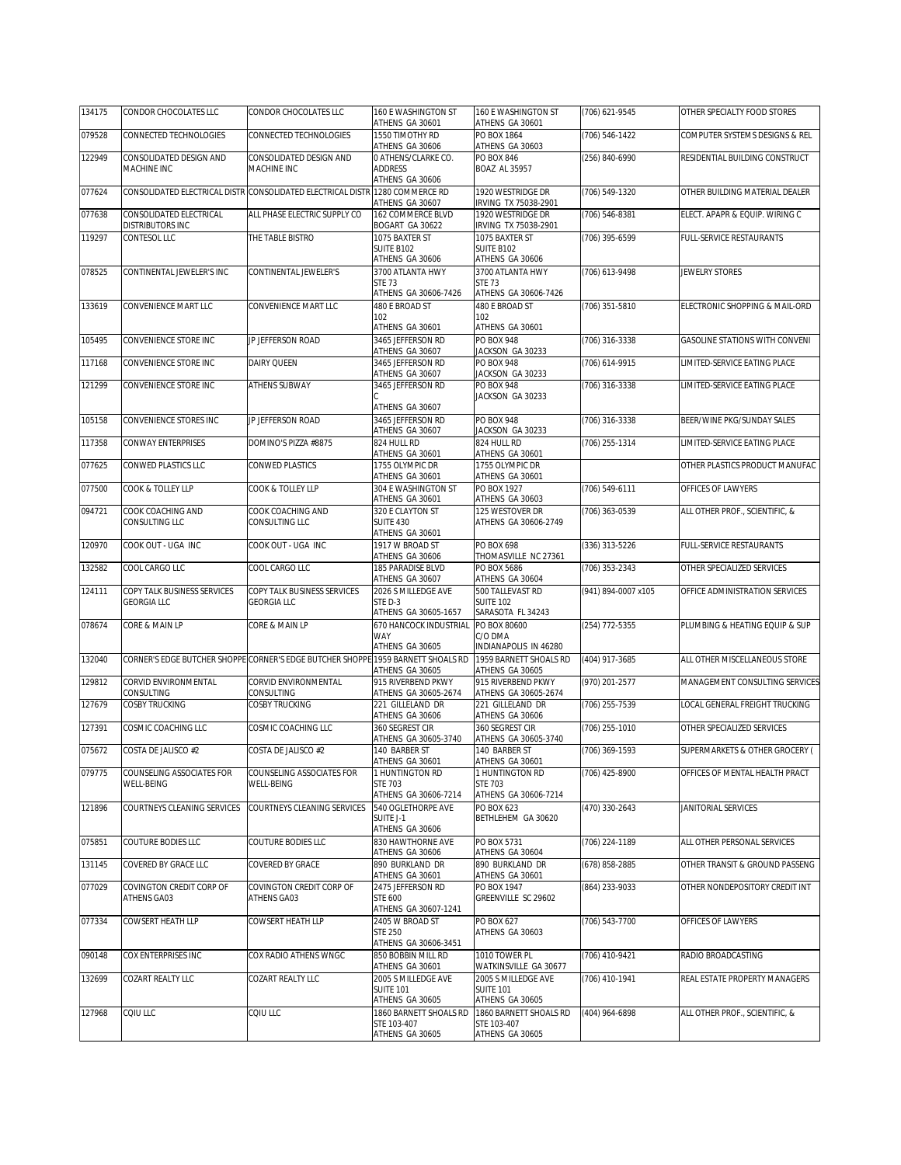| 079528<br>1550 TIMOTHY RD<br>PO BOX 1864<br>(706) 546-1422<br>CONNECTED TECHNOLOGIES<br>CONNECTED TECHNOLOGIES<br>COMPUTER SYSTEMS DESIGNS & REL<br>ATHENS GA 30606<br>ATHENS GA 30603<br>CONSOLIDATED DESIGN AND<br>CONSOLIDATED DESIGN AND<br>O ATHENS/CLARKE CO.<br>122949<br>PO BOX 846<br>(256) 840-6990<br>RESIDENTIAL BUILDING CONSTRUCT<br>MACHINE INC<br>MACHINE INC<br><b>ADDRESS</b><br><b>BOAZ AL 35957</b><br>ATHENS GA 30606<br>CONSOLIDATED ELECTRICAL DISTR CONSOLIDATED ELECTRICAL DISTR 1280 COMMERCE RD<br>1920 WESTRIDGE DR<br>(706) 549-1320<br>OTHER BUILDING MATERIAL DEALER<br>ATHENS GA 30607<br>IRVING TX 75038-2901<br>077638<br>CONSOLIDATED ELECTRICAL<br>ALL PHASE ELECTRIC SUPPLY CO<br>162 COMMERCE BLVD<br>1920 WESTRIDGE DR<br>ELECT. APAPR & EQUIP. WIRING C<br>(706) 546-8381<br>DISTRIBUTORS INC<br>IRVING TX 75038-2901<br>BOGART GA 30622<br>CONTESOL LLC<br>119297<br>THE TABLE BISTRO<br>1075 BAXTER ST<br>1075 BAXTER ST<br>(706) 395-6599<br>FULL-SERVICE RESTAURANTS<br>SUITE B102<br>SUITE B102<br>ATHENS GA 30606<br>ATHENS GA 30606<br>078525<br>3700 ATLANTA HWY<br>3700 ATLANTA HWY<br>CONTINENTAL JEWELER'S INC<br>CONTINENTAL JEWELER'S<br>(706) 613-9498<br><b>JEWELRY STORES</b><br>STE 73<br><b>STE 73</b><br>ATHENS GA 30606-7426<br>ATHENS GA 30606-7426<br>133619<br>CONVENIENCE MART LLC<br>CONVENIENCE MART LLC<br>480 E BROAD ST<br>480 E BROAD ST<br>(706) 351-5810<br>ELECTRONIC SHOPPING & MAIL-ORD<br>102<br>102<br>ATHENS GA 30601<br>ATHENS GA 30601<br>105495<br>CONVENIENCE STORE INC<br>JP JEFFERSON ROAD<br>3465 JEFFERSON RD<br>PO BOX 948<br>(706) 316-3338<br>GASOLINE STATIONS WITH CONVENI<br>JACKSON GA 30233<br>ATHENS GA 30607<br>CONVENIENCE STORE INC<br>3465 JEFFERSON RD<br><b>PO BOX 948</b><br>LIMITED-SERVICE EATING PLACE<br>117168<br>DAIRY QUEEN<br>(706) 614-9915<br>JACKSON GA 30233<br>ATHENS GA 30607<br>CONVENIENCE STORE INC<br>121299<br><b>ATHENS SUBWAY</b><br>3465 JEFFERSON RD<br>PO BOX 948<br>(706) 316-3338<br>LIMITED-SERVICE EATING PLACE<br>JACKSON GA 30233<br>ATHENS GA 30607<br>CONVENIENCE STORES INC<br><b>JP JEFFERSON ROAD</b><br><b>PO BOX 948</b><br>(706) 316-3338<br>BEER/WINE PKG/SUNDAY SALES<br>105158<br>3465 JEFFERSON RD<br>JACKSON GA 30233<br>ATHENS GA 30607<br>CONWAY ENTERPRISES<br>117358<br>DOMINO'S PIZZA #8875<br>824 HULL RD<br>824 HULL RD<br>(706) 255-1314<br>LIMITED-SERVICE EATING PLACE<br>ATHENS GA 30601<br>ATHENS GA 30601<br>CONWED PLASTICS LLC<br>CONWED PLASTICS<br>1755 OLYMPIC DR<br>OTHER PLASTICS PRODUCT MANUFAC<br>077625<br>1755 OLYMPIC DR<br>ATHENS GA 30601<br>ATHENS GA 30601<br>077500<br>COOK & TOLLEY LLP<br>304 E WASHINGTON ST<br>PO BOX 1927<br>OFFICES OF LAWYERS<br>COOK & TOLLEY LLP<br>(706) 549-6111<br>ATHENS GA 30603<br>ATHENS GA 30601<br>094721<br>COOK COACHING AND<br>COOK COACHING AND<br>320 E CLAYTON ST<br>125 WESTOVER DR<br>(706) 363-0539<br>ALL OTHER PROF., SCIENTIFIC, &<br>CONSULTING LLC<br>CONSULTING LLC<br><b>SUITE 430</b><br>ATHENS GA 30606-2749<br>ATHENS GA 30601<br>1917 W BROAD ST<br>120970<br>COOK OUT - UGA INC<br>COOK OUT - UGA INC<br>PO BOX 698<br>(336) 313-5226<br>FULL-SERVICE RESTAURANTS<br>THOMASVILLE NC 27361<br>ATHENS GA 30606<br>132582<br>COOL CARGO LLC<br>COOL CARGO LLC<br>185 PARADISE BLVD<br>PO BOX 5686<br>(706) 353-2343<br>OTHER SPECIALIZED SERVICES<br>ATHENS GA 30604<br>ATHENS GA 30607<br>(941) 894-0007 x105<br>124111<br>COPY TALK BUSINESS SERVICES<br>COPY TALK BUSINESS SERVICES<br>2026 S MILLEDGE AVE<br>500 TALLEVAST RD<br>OFFICE ADMINISTRATION SERVICES<br><b>GEORGIA LLC</b><br><b>GEORGIA LLC</b><br>STED-3<br><b>SUITE 102</b><br>SARASOTA FL 34243<br>ATHENS GA 30605-1657<br>078674<br>670 HANCOCK INDUSTRIAL<br>PO BOX 80600<br>(254) 772-5355<br>CORE & MAIN LP<br>CORE & MAIN LP<br>PLUMBING & HEATING EQUIP & SUP<br>WAY<br>C/O DMA<br>ATHENS GA 30605<br>INDIANAPOLIS IN 46280<br>CORNER'S EDGE BUTCHER SHOPPE CORNER'S EDGE BUTCHER SHOPPE 1959 BARNETT SHOALS RD<br>(404) 917-3685<br>ALL OTHER MISCELLANEOUS STORE<br>132040<br>1959 BARNETT SHOALS RD<br>ATHENS GA 30605<br>ATHENS GA 30605<br>CORVID ENVIRONMENTAL<br>CORVID ENVIRONMENTAL<br>915 RIVERBEND PKWY<br>915 RIVERBEND PKWY<br>129812<br>(970) 201-2577<br>MANAGEMENT CONSULTING SERVICES<br>CONSULTING<br>CONSULTING<br>ATHENS GA 30605-2674<br>ATHENS GA 30605-2674<br>COSBY TRUCKING<br>COSBY TRUCKING<br>LOCAL GENERAL FREIGHT TRUCKING<br>127679<br>221 GILLELAND DR<br>221 GILLELAND DR<br>(706) 255-7539<br>ATHENS GA 30606<br>ATHENS GA 30606<br>127391<br>COSMIC COACHING LLC<br>COSMIC COACHING LLC<br>360 SEGREST CIR<br>(706) 255-1010<br>OTHER SPECIALIZED SERVICES<br>360 SEGREST CIR<br>ATHENS GA 30605-3740<br>ATHENS GA 30605-3740<br>075672<br>COSTA DE JALISCO #2<br>COSTA DE JALISCO #2<br>140 BARBER ST<br>140 BARBER ST<br>(706) 369-1593<br>SUPERMARKETS & OTHER GROCERY (<br>ATHENS GA 30601<br>ATHENS GA 30601<br>079775<br>1 HUNTINGTON RD<br>COUNSELING ASSOCIATES FOR<br>COUNSELING ASSOCIATES FOR<br>1 HUNTINGTON RD<br>(706) 425-8900<br>OFFICES OF MENTAL HEALTH PRACT<br>WELL-BEING<br>WELL-BEING<br><b>STE 703</b><br>STE 703<br>ATHENS GA 30606-7214<br>ATHENS GA 30606-7214<br>COURTNEYS CLEANING SERVICES<br>COURTNEYS CLEANING SERVICES<br>540 OGLETHORPE AVE<br>PO BOX 623<br>(470) 330-2643<br>JANITORIAL SERVICES<br>121896<br>SUITE J-1<br>BETHLEHEM GA 30620<br>ATHENS GA 30606<br>075851<br>COUTURE BODIES LLC<br>COUTURE BODIES LLC<br>830 HAWTHORNE AVE<br>(706) 224-1189<br>ALL OTHER PERSONAL SERVICES<br>PO BOX 5731<br>ATHENS GA 30606<br>ATHENS GA 30604<br>131145<br>COVERED BY GRACE LLC<br>COVERED BY GRACE<br>890 BURKLAND DR<br>890 BURKLAND DR<br>(678) 858-2885<br>OTHER TRANSIT & GROUND PASSENG<br>ATHENS GA 30601<br>ATHENS GA 30601<br>077029<br>COVINGTON CREDIT CORP OF<br>COVINGTON CREDIT CORP OF<br>2475 JEFFERSON RD<br>PO BOX 1947<br>(864) 233-9033<br>OTHER NONDEPOSITORY CREDIT INT<br><b>STE 600</b><br>GREENVILLE SC 29602<br>ATHENS GA03<br>ATHENS GA03<br>ATHENS GA 30607-1241<br>COWSERT HEATH LLP<br>COWSERT HEATH LLP<br>2405 W BROAD ST<br>PO BOX 627<br>(706) 543-7700<br>OFFICES OF LAWYERS<br><b>STE 250</b><br>ATHENS GA 30603<br>ATHENS GA 30606-3451<br>090148<br>850 BOBBIN MILL RD<br>COX ENTERPRISES INC<br>COX RADIO ATHENS WNGC<br>1010 TOWER PL<br>(706) 410-9421<br>RADIO BROADCASTING<br>ATHENS GA 30601<br>WATKINSVILLE GA 30677<br>132699<br>COZART REALTY LLC<br>COZART REALTY LLC<br>2005 S MILLEDGE AVE<br>2005 S MILLEDGE AVE<br>(706) 410-1941<br>REAL ESTATE PROPERTY MANAGERS<br><b>SUITE 101</b><br><b>SUITE 101</b><br>ATHENS GA 30605<br>ATHENS GA 30605<br>CQIU LLC<br>COIU LLC<br>1860 BARNETT SHOALS RD<br>1860 BARNETT SHOALS RD<br>ALL OTHER PROF., SCIENTIFIC, &<br>127968<br>(404) 964-6898<br>STE 103-407<br>STE 103-407<br>ATHENS GA 30605<br>ATHENS GA 30605 | 134175 | CONDOR CHOCOLATES LLC | CONDOR CHOCOLATES LLC | 160 E WASHINGTON ST<br>ATHENS GA 30601 | 160 E WASHINGTON ST<br>ATHENS GA 30601 | (706) 621-9545 | OTHER SPECIALTY FOOD STORES |
|-----------------------------------------------------------------------------------------------------------------------------------------------------------------------------------------------------------------------------------------------------------------------------------------------------------------------------------------------------------------------------------------------------------------------------------------------------------------------------------------------------------------------------------------------------------------------------------------------------------------------------------------------------------------------------------------------------------------------------------------------------------------------------------------------------------------------------------------------------------------------------------------------------------------------------------------------------------------------------------------------------------------------------------------------------------------------------------------------------------------------------------------------------------------------------------------------------------------------------------------------------------------------------------------------------------------------------------------------------------------------------------------------------------------------------------------------------------------------------------------------------------------------------------------------------------------------------------------------------------------------------------------------------------------------------------------------------------------------------------------------------------------------------------------------------------------------------------------------------------------------------------------------------------------------------------------------------------------------------------------------------------------------------------------------------------------------------------------------------------------------------------------------------------------------------------------------------------------------------------------------------------------------------------------------------------------------------------------------------------------------------------------------------------------------------------------------------------------------------------------------------------------------------------------------------------------------------------------------------------------------------------------------------------------------------------------------------------------------------------------------------------------------------------------------------------------------------------------------------------------------------------------------------------------------------------------------------------------------------------------------------------------------------------------------------------------------------------------------------------------------------------------------------------------------------------------------------------------------------------------------------------------------------------------------------------------------------------------------------------------------------------------------------------------------------------------------------------------------------------------------------------------------------------------------------------------------------------------------------------------------------------------------------------------------------------------------------------------------------------------------------------------------------------------------------------------------------------------------------------------------------------------------------------------------------------------------------------------------------------------------------------------------------------------------------------------------------------------------------------------------------------------------------------------------------------------------------------------------------------------------------------------------------------------------------------------------------------------------------------------------------------------------------------------------------------------------------------------------------------------------------------------------------------------------------------------------------------------------------------------------------------------------------------------------------------------------------------------------------------------------------------------------------------------------------------------------------------------------------------------------------------------------------------------------------------------------------------------------------------------------------------------------------------------------------------------------------------------------------------------------------------------------------------------------------------------------------------------------------------------------------------------------------------------------------------------------------------------------------------------------------------------------------------------------------------------------------------------------------------------------------------------------------------------------------------------------------------------------------------------------------------------------------------------------------------------------------------------------------------------------------------------------------------------------------------------------------------------------------------------------------------------------------------------------------------------------------------------------------------------------------------------------------------------------------------------------------------------------------------------------------------------------------------------------------------------------------------------------------------------------------------------------------------------------------------------------------------------------------------------------------------------------------------------------------------------------------------------------------------------------------------------------------------------------------------------------------------------------------------------------------------------------------------------------------------------------------------------------------------------------------------------------------------------------------------------------------------------------------------------------------------------------------------|--------|-----------------------|-----------------------|----------------------------------------|----------------------------------------|----------------|-----------------------------|
|                                                                                                                                                                                                                                                                                                                                                                                                                                                                                                                                                                                                                                                                                                                                                                                                                                                                                                                                                                                                                                                                                                                                                                                                                                                                                                                                                                                                                                                                                                                                                                                                                                                                                                                                                                                                                                                                                                                                                                                                                                                                                                                                                                                                                                                                                                                                                                                                                                                                                                                                                                                                                                                                                                                                                                                                                                                                                                                                                                                                                                                                                                                                                                                                                                                                                                                                                                                                                                                                                                                                                                                                                                                                                                                                                                                                                                                                                                                                                                                                                                                                                                                                                                                                                                                                                                                                                                                                                                                                                                                                                                                                                                                                                                                                                                                                                                                                                                                                                                                                                                                                                                                                                                                                                                                                                                                                                                                                                                                                                                                                                                                                                                                                                                                                                                                                                                                                                                                                                                                                                                                                                                                                                                                                                                                                                                                                                                                                                                                                                                                                                                                                                                                                                                                                                                                                                                                                                                           |        |                       |                       |                                        |                                        |                |                             |
|                                                                                                                                                                                                                                                                                                                                                                                                                                                                                                                                                                                                                                                                                                                                                                                                                                                                                                                                                                                                                                                                                                                                                                                                                                                                                                                                                                                                                                                                                                                                                                                                                                                                                                                                                                                                                                                                                                                                                                                                                                                                                                                                                                                                                                                                                                                                                                                                                                                                                                                                                                                                                                                                                                                                                                                                                                                                                                                                                                                                                                                                                                                                                                                                                                                                                                                                                                                                                                                                                                                                                                                                                                                                                                                                                                                                                                                                                                                                                                                                                                                                                                                                                                                                                                                                                                                                                                                                                                                                                                                                                                                                                                                                                                                                                                                                                                                                                                                                                                                                                                                                                                                                                                                                                                                                                                                                                                                                                                                                                                                                                                                                                                                                                                                                                                                                                                                                                                                                                                                                                                                                                                                                                                                                                                                                                                                                                                                                                                                                                                                                                                                                                                                                                                                                                                                                                                                                                                           |        |                       |                       |                                        |                                        |                |                             |
|                                                                                                                                                                                                                                                                                                                                                                                                                                                                                                                                                                                                                                                                                                                                                                                                                                                                                                                                                                                                                                                                                                                                                                                                                                                                                                                                                                                                                                                                                                                                                                                                                                                                                                                                                                                                                                                                                                                                                                                                                                                                                                                                                                                                                                                                                                                                                                                                                                                                                                                                                                                                                                                                                                                                                                                                                                                                                                                                                                                                                                                                                                                                                                                                                                                                                                                                                                                                                                                                                                                                                                                                                                                                                                                                                                                                                                                                                                                                                                                                                                                                                                                                                                                                                                                                                                                                                                                                                                                                                                                                                                                                                                                                                                                                                                                                                                                                                                                                                                                                                                                                                                                                                                                                                                                                                                                                                                                                                                                                                                                                                                                                                                                                                                                                                                                                                                                                                                                                                                                                                                                                                                                                                                                                                                                                                                                                                                                                                                                                                                                                                                                                                                                                                                                                                                                                                                                                                                           |        |                       |                       |                                        |                                        |                |                             |
|                                                                                                                                                                                                                                                                                                                                                                                                                                                                                                                                                                                                                                                                                                                                                                                                                                                                                                                                                                                                                                                                                                                                                                                                                                                                                                                                                                                                                                                                                                                                                                                                                                                                                                                                                                                                                                                                                                                                                                                                                                                                                                                                                                                                                                                                                                                                                                                                                                                                                                                                                                                                                                                                                                                                                                                                                                                                                                                                                                                                                                                                                                                                                                                                                                                                                                                                                                                                                                                                                                                                                                                                                                                                                                                                                                                                                                                                                                                                                                                                                                                                                                                                                                                                                                                                                                                                                                                                                                                                                                                                                                                                                                                                                                                                                                                                                                                                                                                                                                                                                                                                                                                                                                                                                                                                                                                                                                                                                                                                                                                                                                                                                                                                                                                                                                                                                                                                                                                                                                                                                                                                                                                                                                                                                                                                                                                                                                                                                                                                                                                                                                                                                                                                                                                                                                                                                                                                                                           | 077624 |                       |                       |                                        |                                        |                |                             |
|                                                                                                                                                                                                                                                                                                                                                                                                                                                                                                                                                                                                                                                                                                                                                                                                                                                                                                                                                                                                                                                                                                                                                                                                                                                                                                                                                                                                                                                                                                                                                                                                                                                                                                                                                                                                                                                                                                                                                                                                                                                                                                                                                                                                                                                                                                                                                                                                                                                                                                                                                                                                                                                                                                                                                                                                                                                                                                                                                                                                                                                                                                                                                                                                                                                                                                                                                                                                                                                                                                                                                                                                                                                                                                                                                                                                                                                                                                                                                                                                                                                                                                                                                                                                                                                                                                                                                                                                                                                                                                                                                                                                                                                                                                                                                                                                                                                                                                                                                                                                                                                                                                                                                                                                                                                                                                                                                                                                                                                                                                                                                                                                                                                                                                                                                                                                                                                                                                                                                                                                                                                                                                                                                                                                                                                                                                                                                                                                                                                                                                                                                                                                                                                                                                                                                                                                                                                                                                           |        |                       |                       |                                        |                                        |                |                             |
|                                                                                                                                                                                                                                                                                                                                                                                                                                                                                                                                                                                                                                                                                                                                                                                                                                                                                                                                                                                                                                                                                                                                                                                                                                                                                                                                                                                                                                                                                                                                                                                                                                                                                                                                                                                                                                                                                                                                                                                                                                                                                                                                                                                                                                                                                                                                                                                                                                                                                                                                                                                                                                                                                                                                                                                                                                                                                                                                                                                                                                                                                                                                                                                                                                                                                                                                                                                                                                                                                                                                                                                                                                                                                                                                                                                                                                                                                                                                                                                                                                                                                                                                                                                                                                                                                                                                                                                                                                                                                                                                                                                                                                                                                                                                                                                                                                                                                                                                                                                                                                                                                                                                                                                                                                                                                                                                                                                                                                                                                                                                                                                                                                                                                                                                                                                                                                                                                                                                                                                                                                                                                                                                                                                                                                                                                                                                                                                                                                                                                                                                                                                                                                                                                                                                                                                                                                                                                                           |        |                       |                       |                                        |                                        |                |                             |
|                                                                                                                                                                                                                                                                                                                                                                                                                                                                                                                                                                                                                                                                                                                                                                                                                                                                                                                                                                                                                                                                                                                                                                                                                                                                                                                                                                                                                                                                                                                                                                                                                                                                                                                                                                                                                                                                                                                                                                                                                                                                                                                                                                                                                                                                                                                                                                                                                                                                                                                                                                                                                                                                                                                                                                                                                                                                                                                                                                                                                                                                                                                                                                                                                                                                                                                                                                                                                                                                                                                                                                                                                                                                                                                                                                                                                                                                                                                                                                                                                                                                                                                                                                                                                                                                                                                                                                                                                                                                                                                                                                                                                                                                                                                                                                                                                                                                                                                                                                                                                                                                                                                                                                                                                                                                                                                                                                                                                                                                                                                                                                                                                                                                                                                                                                                                                                                                                                                                                                                                                                                                                                                                                                                                                                                                                                                                                                                                                                                                                                                                                                                                                                                                                                                                                                                                                                                                                                           |        |                       |                       |                                        |                                        |                |                             |
|                                                                                                                                                                                                                                                                                                                                                                                                                                                                                                                                                                                                                                                                                                                                                                                                                                                                                                                                                                                                                                                                                                                                                                                                                                                                                                                                                                                                                                                                                                                                                                                                                                                                                                                                                                                                                                                                                                                                                                                                                                                                                                                                                                                                                                                                                                                                                                                                                                                                                                                                                                                                                                                                                                                                                                                                                                                                                                                                                                                                                                                                                                                                                                                                                                                                                                                                                                                                                                                                                                                                                                                                                                                                                                                                                                                                                                                                                                                                                                                                                                                                                                                                                                                                                                                                                                                                                                                                                                                                                                                                                                                                                                                                                                                                                                                                                                                                                                                                                                                                                                                                                                                                                                                                                                                                                                                                                                                                                                                                                                                                                                                                                                                                                                                                                                                                                                                                                                                                                                                                                                                                                                                                                                                                                                                                                                                                                                                                                                                                                                                                                                                                                                                                                                                                                                                                                                                                                                           |        |                       |                       |                                        |                                        |                |                             |
|                                                                                                                                                                                                                                                                                                                                                                                                                                                                                                                                                                                                                                                                                                                                                                                                                                                                                                                                                                                                                                                                                                                                                                                                                                                                                                                                                                                                                                                                                                                                                                                                                                                                                                                                                                                                                                                                                                                                                                                                                                                                                                                                                                                                                                                                                                                                                                                                                                                                                                                                                                                                                                                                                                                                                                                                                                                                                                                                                                                                                                                                                                                                                                                                                                                                                                                                                                                                                                                                                                                                                                                                                                                                                                                                                                                                                                                                                                                                                                                                                                                                                                                                                                                                                                                                                                                                                                                                                                                                                                                                                                                                                                                                                                                                                                                                                                                                                                                                                                                                                                                                                                                                                                                                                                                                                                                                                                                                                                                                                                                                                                                                                                                                                                                                                                                                                                                                                                                                                                                                                                                                                                                                                                                                                                                                                                                                                                                                                                                                                                                                                                                                                                                                                                                                                                                                                                                                                                           |        |                       |                       |                                        |                                        |                |                             |
|                                                                                                                                                                                                                                                                                                                                                                                                                                                                                                                                                                                                                                                                                                                                                                                                                                                                                                                                                                                                                                                                                                                                                                                                                                                                                                                                                                                                                                                                                                                                                                                                                                                                                                                                                                                                                                                                                                                                                                                                                                                                                                                                                                                                                                                                                                                                                                                                                                                                                                                                                                                                                                                                                                                                                                                                                                                                                                                                                                                                                                                                                                                                                                                                                                                                                                                                                                                                                                                                                                                                                                                                                                                                                                                                                                                                                                                                                                                                                                                                                                                                                                                                                                                                                                                                                                                                                                                                                                                                                                                                                                                                                                                                                                                                                                                                                                                                                                                                                                                                                                                                                                                                                                                                                                                                                                                                                                                                                                                                                                                                                                                                                                                                                                                                                                                                                                                                                                                                                                                                                                                                                                                                                                                                                                                                                                                                                                                                                                                                                                                                                                                                                                                                                                                                                                                                                                                                                                           |        |                       |                       |                                        |                                        |                |                             |
|                                                                                                                                                                                                                                                                                                                                                                                                                                                                                                                                                                                                                                                                                                                                                                                                                                                                                                                                                                                                                                                                                                                                                                                                                                                                                                                                                                                                                                                                                                                                                                                                                                                                                                                                                                                                                                                                                                                                                                                                                                                                                                                                                                                                                                                                                                                                                                                                                                                                                                                                                                                                                                                                                                                                                                                                                                                                                                                                                                                                                                                                                                                                                                                                                                                                                                                                                                                                                                                                                                                                                                                                                                                                                                                                                                                                                                                                                                                                                                                                                                                                                                                                                                                                                                                                                                                                                                                                                                                                                                                                                                                                                                                                                                                                                                                                                                                                                                                                                                                                                                                                                                                                                                                                                                                                                                                                                                                                                                                                                                                                                                                                                                                                                                                                                                                                                                                                                                                                                                                                                                                                                                                                                                                                                                                                                                                                                                                                                                                                                                                                                                                                                                                                                                                                                                                                                                                                                                           |        |                       |                       |                                        |                                        |                |                             |
|                                                                                                                                                                                                                                                                                                                                                                                                                                                                                                                                                                                                                                                                                                                                                                                                                                                                                                                                                                                                                                                                                                                                                                                                                                                                                                                                                                                                                                                                                                                                                                                                                                                                                                                                                                                                                                                                                                                                                                                                                                                                                                                                                                                                                                                                                                                                                                                                                                                                                                                                                                                                                                                                                                                                                                                                                                                                                                                                                                                                                                                                                                                                                                                                                                                                                                                                                                                                                                                                                                                                                                                                                                                                                                                                                                                                                                                                                                                                                                                                                                                                                                                                                                                                                                                                                                                                                                                                                                                                                                                                                                                                                                                                                                                                                                                                                                                                                                                                                                                                                                                                                                                                                                                                                                                                                                                                                                                                                                                                                                                                                                                                                                                                                                                                                                                                                                                                                                                                                                                                                                                                                                                                                                                                                                                                                                                                                                                                                                                                                                                                                                                                                                                                                                                                                                                                                                                                                                           |        |                       |                       |                                        |                                        |                |                             |
|                                                                                                                                                                                                                                                                                                                                                                                                                                                                                                                                                                                                                                                                                                                                                                                                                                                                                                                                                                                                                                                                                                                                                                                                                                                                                                                                                                                                                                                                                                                                                                                                                                                                                                                                                                                                                                                                                                                                                                                                                                                                                                                                                                                                                                                                                                                                                                                                                                                                                                                                                                                                                                                                                                                                                                                                                                                                                                                                                                                                                                                                                                                                                                                                                                                                                                                                                                                                                                                                                                                                                                                                                                                                                                                                                                                                                                                                                                                                                                                                                                                                                                                                                                                                                                                                                                                                                                                                                                                                                                                                                                                                                                                                                                                                                                                                                                                                                                                                                                                                                                                                                                                                                                                                                                                                                                                                                                                                                                                                                                                                                                                                                                                                                                                                                                                                                                                                                                                                                                                                                                                                                                                                                                                                                                                                                                                                                                                                                                                                                                                                                                                                                                                                                                                                                                                                                                                                                                           |        |                       |                       |                                        |                                        |                |                             |
|                                                                                                                                                                                                                                                                                                                                                                                                                                                                                                                                                                                                                                                                                                                                                                                                                                                                                                                                                                                                                                                                                                                                                                                                                                                                                                                                                                                                                                                                                                                                                                                                                                                                                                                                                                                                                                                                                                                                                                                                                                                                                                                                                                                                                                                                                                                                                                                                                                                                                                                                                                                                                                                                                                                                                                                                                                                                                                                                                                                                                                                                                                                                                                                                                                                                                                                                                                                                                                                                                                                                                                                                                                                                                                                                                                                                                                                                                                                                                                                                                                                                                                                                                                                                                                                                                                                                                                                                                                                                                                                                                                                                                                                                                                                                                                                                                                                                                                                                                                                                                                                                                                                                                                                                                                                                                                                                                                                                                                                                                                                                                                                                                                                                                                                                                                                                                                                                                                                                                                                                                                                                                                                                                                                                                                                                                                                                                                                                                                                                                                                                                                                                                                                                                                                                                                                                                                                                                                           |        |                       |                       |                                        |                                        |                |                             |
|                                                                                                                                                                                                                                                                                                                                                                                                                                                                                                                                                                                                                                                                                                                                                                                                                                                                                                                                                                                                                                                                                                                                                                                                                                                                                                                                                                                                                                                                                                                                                                                                                                                                                                                                                                                                                                                                                                                                                                                                                                                                                                                                                                                                                                                                                                                                                                                                                                                                                                                                                                                                                                                                                                                                                                                                                                                                                                                                                                                                                                                                                                                                                                                                                                                                                                                                                                                                                                                                                                                                                                                                                                                                                                                                                                                                                                                                                                                                                                                                                                                                                                                                                                                                                                                                                                                                                                                                                                                                                                                                                                                                                                                                                                                                                                                                                                                                                                                                                                                                                                                                                                                                                                                                                                                                                                                                                                                                                                                                                                                                                                                                                                                                                                                                                                                                                                                                                                                                                                                                                                                                                                                                                                                                                                                                                                                                                                                                                                                                                                                                                                                                                                                                                                                                                                                                                                                                                                           |        |                       |                       |                                        |                                        |                |                             |
|                                                                                                                                                                                                                                                                                                                                                                                                                                                                                                                                                                                                                                                                                                                                                                                                                                                                                                                                                                                                                                                                                                                                                                                                                                                                                                                                                                                                                                                                                                                                                                                                                                                                                                                                                                                                                                                                                                                                                                                                                                                                                                                                                                                                                                                                                                                                                                                                                                                                                                                                                                                                                                                                                                                                                                                                                                                                                                                                                                                                                                                                                                                                                                                                                                                                                                                                                                                                                                                                                                                                                                                                                                                                                                                                                                                                                                                                                                                                                                                                                                                                                                                                                                                                                                                                                                                                                                                                                                                                                                                                                                                                                                                                                                                                                                                                                                                                                                                                                                                                                                                                                                                                                                                                                                                                                                                                                                                                                                                                                                                                                                                                                                                                                                                                                                                                                                                                                                                                                                                                                                                                                                                                                                                                                                                                                                                                                                                                                                                                                                                                                                                                                                                                                                                                                                                                                                                                                                           |        |                       |                       |                                        |                                        |                |                             |
|                                                                                                                                                                                                                                                                                                                                                                                                                                                                                                                                                                                                                                                                                                                                                                                                                                                                                                                                                                                                                                                                                                                                                                                                                                                                                                                                                                                                                                                                                                                                                                                                                                                                                                                                                                                                                                                                                                                                                                                                                                                                                                                                                                                                                                                                                                                                                                                                                                                                                                                                                                                                                                                                                                                                                                                                                                                                                                                                                                                                                                                                                                                                                                                                                                                                                                                                                                                                                                                                                                                                                                                                                                                                                                                                                                                                                                                                                                                                                                                                                                                                                                                                                                                                                                                                                                                                                                                                                                                                                                                                                                                                                                                                                                                                                                                                                                                                                                                                                                                                                                                                                                                                                                                                                                                                                                                                                                                                                                                                                                                                                                                                                                                                                                                                                                                                                                                                                                                                                                                                                                                                                                                                                                                                                                                                                                                                                                                                                                                                                                                                                                                                                                                                                                                                                                                                                                                                                                           |        |                       |                       |                                        |                                        |                |                             |
|                                                                                                                                                                                                                                                                                                                                                                                                                                                                                                                                                                                                                                                                                                                                                                                                                                                                                                                                                                                                                                                                                                                                                                                                                                                                                                                                                                                                                                                                                                                                                                                                                                                                                                                                                                                                                                                                                                                                                                                                                                                                                                                                                                                                                                                                                                                                                                                                                                                                                                                                                                                                                                                                                                                                                                                                                                                                                                                                                                                                                                                                                                                                                                                                                                                                                                                                                                                                                                                                                                                                                                                                                                                                                                                                                                                                                                                                                                                                                                                                                                                                                                                                                                                                                                                                                                                                                                                                                                                                                                                                                                                                                                                                                                                                                                                                                                                                                                                                                                                                                                                                                                                                                                                                                                                                                                                                                                                                                                                                                                                                                                                                                                                                                                                                                                                                                                                                                                                                                                                                                                                                                                                                                                                                                                                                                                                                                                                                                                                                                                                                                                                                                                                                                                                                                                                                                                                                                                           |        |                       |                       |                                        |                                        |                |                             |
|                                                                                                                                                                                                                                                                                                                                                                                                                                                                                                                                                                                                                                                                                                                                                                                                                                                                                                                                                                                                                                                                                                                                                                                                                                                                                                                                                                                                                                                                                                                                                                                                                                                                                                                                                                                                                                                                                                                                                                                                                                                                                                                                                                                                                                                                                                                                                                                                                                                                                                                                                                                                                                                                                                                                                                                                                                                                                                                                                                                                                                                                                                                                                                                                                                                                                                                                                                                                                                                                                                                                                                                                                                                                                                                                                                                                                                                                                                                                                                                                                                                                                                                                                                                                                                                                                                                                                                                                                                                                                                                                                                                                                                                                                                                                                                                                                                                                                                                                                                                                                                                                                                                                                                                                                                                                                                                                                                                                                                                                                                                                                                                                                                                                                                                                                                                                                                                                                                                                                                                                                                                                                                                                                                                                                                                                                                                                                                                                                                                                                                                                                                                                                                                                                                                                                                                                                                                                                                           |        |                       |                       |                                        |                                        |                |                             |
|                                                                                                                                                                                                                                                                                                                                                                                                                                                                                                                                                                                                                                                                                                                                                                                                                                                                                                                                                                                                                                                                                                                                                                                                                                                                                                                                                                                                                                                                                                                                                                                                                                                                                                                                                                                                                                                                                                                                                                                                                                                                                                                                                                                                                                                                                                                                                                                                                                                                                                                                                                                                                                                                                                                                                                                                                                                                                                                                                                                                                                                                                                                                                                                                                                                                                                                                                                                                                                                                                                                                                                                                                                                                                                                                                                                                                                                                                                                                                                                                                                                                                                                                                                                                                                                                                                                                                                                                                                                                                                                                                                                                                                                                                                                                                                                                                                                                                                                                                                                                                                                                                                                                                                                                                                                                                                                                                                                                                                                                                                                                                                                                                                                                                                                                                                                                                                                                                                                                                                                                                                                                                                                                                                                                                                                                                                                                                                                                                                                                                                                                                                                                                                                                                                                                                                                                                                                                                                           |        |                       |                       |                                        |                                        |                |                             |
|                                                                                                                                                                                                                                                                                                                                                                                                                                                                                                                                                                                                                                                                                                                                                                                                                                                                                                                                                                                                                                                                                                                                                                                                                                                                                                                                                                                                                                                                                                                                                                                                                                                                                                                                                                                                                                                                                                                                                                                                                                                                                                                                                                                                                                                                                                                                                                                                                                                                                                                                                                                                                                                                                                                                                                                                                                                                                                                                                                                                                                                                                                                                                                                                                                                                                                                                                                                                                                                                                                                                                                                                                                                                                                                                                                                                                                                                                                                                                                                                                                                                                                                                                                                                                                                                                                                                                                                                                                                                                                                                                                                                                                                                                                                                                                                                                                                                                                                                                                                                                                                                                                                                                                                                                                                                                                                                                                                                                                                                                                                                                                                                                                                                                                                                                                                                                                                                                                                                                                                                                                                                                                                                                                                                                                                                                                                                                                                                                                                                                                                                                                                                                                                                                                                                                                                                                                                                                                           |        |                       |                       |                                        |                                        |                |                             |
|                                                                                                                                                                                                                                                                                                                                                                                                                                                                                                                                                                                                                                                                                                                                                                                                                                                                                                                                                                                                                                                                                                                                                                                                                                                                                                                                                                                                                                                                                                                                                                                                                                                                                                                                                                                                                                                                                                                                                                                                                                                                                                                                                                                                                                                                                                                                                                                                                                                                                                                                                                                                                                                                                                                                                                                                                                                                                                                                                                                                                                                                                                                                                                                                                                                                                                                                                                                                                                                                                                                                                                                                                                                                                                                                                                                                                                                                                                                                                                                                                                                                                                                                                                                                                                                                                                                                                                                                                                                                                                                                                                                                                                                                                                                                                                                                                                                                                                                                                                                                                                                                                                                                                                                                                                                                                                                                                                                                                                                                                                                                                                                                                                                                                                                                                                                                                                                                                                                                                                                                                                                                                                                                                                                                                                                                                                                                                                                                                                                                                                                                                                                                                                                                                                                                                                                                                                                                                                           |        |                       |                       |                                        |                                        |                |                             |
|                                                                                                                                                                                                                                                                                                                                                                                                                                                                                                                                                                                                                                                                                                                                                                                                                                                                                                                                                                                                                                                                                                                                                                                                                                                                                                                                                                                                                                                                                                                                                                                                                                                                                                                                                                                                                                                                                                                                                                                                                                                                                                                                                                                                                                                                                                                                                                                                                                                                                                                                                                                                                                                                                                                                                                                                                                                                                                                                                                                                                                                                                                                                                                                                                                                                                                                                                                                                                                                                                                                                                                                                                                                                                                                                                                                                                                                                                                                                                                                                                                                                                                                                                                                                                                                                                                                                                                                                                                                                                                                                                                                                                                                                                                                                                                                                                                                                                                                                                                                                                                                                                                                                                                                                                                                                                                                                                                                                                                                                                                                                                                                                                                                                                                                                                                                                                                                                                                                                                                                                                                                                                                                                                                                                                                                                                                                                                                                                                                                                                                                                                                                                                                                                                                                                                                                                                                                                                                           |        |                       |                       |                                        |                                        |                |                             |
|                                                                                                                                                                                                                                                                                                                                                                                                                                                                                                                                                                                                                                                                                                                                                                                                                                                                                                                                                                                                                                                                                                                                                                                                                                                                                                                                                                                                                                                                                                                                                                                                                                                                                                                                                                                                                                                                                                                                                                                                                                                                                                                                                                                                                                                                                                                                                                                                                                                                                                                                                                                                                                                                                                                                                                                                                                                                                                                                                                                                                                                                                                                                                                                                                                                                                                                                                                                                                                                                                                                                                                                                                                                                                                                                                                                                                                                                                                                                                                                                                                                                                                                                                                                                                                                                                                                                                                                                                                                                                                                                                                                                                                                                                                                                                                                                                                                                                                                                                                                                                                                                                                                                                                                                                                                                                                                                                                                                                                                                                                                                                                                                                                                                                                                                                                                                                                                                                                                                                                                                                                                                                                                                                                                                                                                                                                                                                                                                                                                                                                                                                                                                                                                                                                                                                                                                                                                                                                           |        |                       |                       |                                        |                                        |                |                             |
|                                                                                                                                                                                                                                                                                                                                                                                                                                                                                                                                                                                                                                                                                                                                                                                                                                                                                                                                                                                                                                                                                                                                                                                                                                                                                                                                                                                                                                                                                                                                                                                                                                                                                                                                                                                                                                                                                                                                                                                                                                                                                                                                                                                                                                                                                                                                                                                                                                                                                                                                                                                                                                                                                                                                                                                                                                                                                                                                                                                                                                                                                                                                                                                                                                                                                                                                                                                                                                                                                                                                                                                                                                                                                                                                                                                                                                                                                                                                                                                                                                                                                                                                                                                                                                                                                                                                                                                                                                                                                                                                                                                                                                                                                                                                                                                                                                                                                                                                                                                                                                                                                                                                                                                                                                                                                                                                                                                                                                                                                                                                                                                                                                                                                                                                                                                                                                                                                                                                                                                                                                                                                                                                                                                                                                                                                                                                                                                                                                                                                                                                                                                                                                                                                                                                                                                                                                                                                                           |        |                       |                       |                                        |                                        |                |                             |
|                                                                                                                                                                                                                                                                                                                                                                                                                                                                                                                                                                                                                                                                                                                                                                                                                                                                                                                                                                                                                                                                                                                                                                                                                                                                                                                                                                                                                                                                                                                                                                                                                                                                                                                                                                                                                                                                                                                                                                                                                                                                                                                                                                                                                                                                                                                                                                                                                                                                                                                                                                                                                                                                                                                                                                                                                                                                                                                                                                                                                                                                                                                                                                                                                                                                                                                                                                                                                                                                                                                                                                                                                                                                                                                                                                                                                                                                                                                                                                                                                                                                                                                                                                                                                                                                                                                                                                                                                                                                                                                                                                                                                                                                                                                                                                                                                                                                                                                                                                                                                                                                                                                                                                                                                                                                                                                                                                                                                                                                                                                                                                                                                                                                                                                                                                                                                                                                                                                                                                                                                                                                                                                                                                                                                                                                                                                                                                                                                                                                                                                                                                                                                                                                                                                                                                                                                                                                                                           |        |                       |                       |                                        |                                        |                |                             |
|                                                                                                                                                                                                                                                                                                                                                                                                                                                                                                                                                                                                                                                                                                                                                                                                                                                                                                                                                                                                                                                                                                                                                                                                                                                                                                                                                                                                                                                                                                                                                                                                                                                                                                                                                                                                                                                                                                                                                                                                                                                                                                                                                                                                                                                                                                                                                                                                                                                                                                                                                                                                                                                                                                                                                                                                                                                                                                                                                                                                                                                                                                                                                                                                                                                                                                                                                                                                                                                                                                                                                                                                                                                                                                                                                                                                                                                                                                                                                                                                                                                                                                                                                                                                                                                                                                                                                                                                                                                                                                                                                                                                                                                                                                                                                                                                                                                                                                                                                                                                                                                                                                                                                                                                                                                                                                                                                                                                                                                                                                                                                                                                                                                                                                                                                                                                                                                                                                                                                                                                                                                                                                                                                                                                                                                                                                                                                                                                                                                                                                                                                                                                                                                                                                                                                                                                                                                                                                           |        |                       |                       |                                        |                                        |                |                             |
|                                                                                                                                                                                                                                                                                                                                                                                                                                                                                                                                                                                                                                                                                                                                                                                                                                                                                                                                                                                                                                                                                                                                                                                                                                                                                                                                                                                                                                                                                                                                                                                                                                                                                                                                                                                                                                                                                                                                                                                                                                                                                                                                                                                                                                                                                                                                                                                                                                                                                                                                                                                                                                                                                                                                                                                                                                                                                                                                                                                                                                                                                                                                                                                                                                                                                                                                                                                                                                                                                                                                                                                                                                                                                                                                                                                                                                                                                                                                                                                                                                                                                                                                                                                                                                                                                                                                                                                                                                                                                                                                                                                                                                                                                                                                                                                                                                                                                                                                                                                                                                                                                                                                                                                                                                                                                                                                                                                                                                                                                                                                                                                                                                                                                                                                                                                                                                                                                                                                                                                                                                                                                                                                                                                                                                                                                                                                                                                                                                                                                                                                                                                                                                                                                                                                                                                                                                                                                                           |        |                       |                       |                                        |                                        |                |                             |
|                                                                                                                                                                                                                                                                                                                                                                                                                                                                                                                                                                                                                                                                                                                                                                                                                                                                                                                                                                                                                                                                                                                                                                                                                                                                                                                                                                                                                                                                                                                                                                                                                                                                                                                                                                                                                                                                                                                                                                                                                                                                                                                                                                                                                                                                                                                                                                                                                                                                                                                                                                                                                                                                                                                                                                                                                                                                                                                                                                                                                                                                                                                                                                                                                                                                                                                                                                                                                                                                                                                                                                                                                                                                                                                                                                                                                                                                                                                                                                                                                                                                                                                                                                                                                                                                                                                                                                                                                                                                                                                                                                                                                                                                                                                                                                                                                                                                                                                                                                                                                                                                                                                                                                                                                                                                                                                                                                                                                                                                                                                                                                                                                                                                                                                                                                                                                                                                                                                                                                                                                                                                                                                                                                                                                                                                                                                                                                                                                                                                                                                                                                                                                                                                                                                                                                                                                                                                                                           |        |                       |                       |                                        |                                        |                |                             |
|                                                                                                                                                                                                                                                                                                                                                                                                                                                                                                                                                                                                                                                                                                                                                                                                                                                                                                                                                                                                                                                                                                                                                                                                                                                                                                                                                                                                                                                                                                                                                                                                                                                                                                                                                                                                                                                                                                                                                                                                                                                                                                                                                                                                                                                                                                                                                                                                                                                                                                                                                                                                                                                                                                                                                                                                                                                                                                                                                                                                                                                                                                                                                                                                                                                                                                                                                                                                                                                                                                                                                                                                                                                                                                                                                                                                                                                                                                                                                                                                                                                                                                                                                                                                                                                                                                                                                                                                                                                                                                                                                                                                                                                                                                                                                                                                                                                                                                                                                                                                                                                                                                                                                                                                                                                                                                                                                                                                                                                                                                                                                                                                                                                                                                                                                                                                                                                                                                                                                                                                                                                                                                                                                                                                                                                                                                                                                                                                                                                                                                                                                                                                                                                                                                                                                                                                                                                                                                           |        |                       |                       |                                        |                                        |                |                             |
|                                                                                                                                                                                                                                                                                                                                                                                                                                                                                                                                                                                                                                                                                                                                                                                                                                                                                                                                                                                                                                                                                                                                                                                                                                                                                                                                                                                                                                                                                                                                                                                                                                                                                                                                                                                                                                                                                                                                                                                                                                                                                                                                                                                                                                                                                                                                                                                                                                                                                                                                                                                                                                                                                                                                                                                                                                                                                                                                                                                                                                                                                                                                                                                                                                                                                                                                                                                                                                                                                                                                                                                                                                                                                                                                                                                                                                                                                                                                                                                                                                                                                                                                                                                                                                                                                                                                                                                                                                                                                                                                                                                                                                                                                                                                                                                                                                                                                                                                                                                                                                                                                                                                                                                                                                                                                                                                                                                                                                                                                                                                                                                                                                                                                                                                                                                                                                                                                                                                                                                                                                                                                                                                                                                                                                                                                                                                                                                                                                                                                                                                                                                                                                                                                                                                                                                                                                                                                                           |        |                       |                       |                                        |                                        |                |                             |
|                                                                                                                                                                                                                                                                                                                                                                                                                                                                                                                                                                                                                                                                                                                                                                                                                                                                                                                                                                                                                                                                                                                                                                                                                                                                                                                                                                                                                                                                                                                                                                                                                                                                                                                                                                                                                                                                                                                                                                                                                                                                                                                                                                                                                                                                                                                                                                                                                                                                                                                                                                                                                                                                                                                                                                                                                                                                                                                                                                                                                                                                                                                                                                                                                                                                                                                                                                                                                                                                                                                                                                                                                                                                                                                                                                                                                                                                                                                                                                                                                                                                                                                                                                                                                                                                                                                                                                                                                                                                                                                                                                                                                                                                                                                                                                                                                                                                                                                                                                                                                                                                                                                                                                                                                                                                                                                                                                                                                                                                                                                                                                                                                                                                                                                                                                                                                                                                                                                                                                                                                                                                                                                                                                                                                                                                                                                                                                                                                                                                                                                                                                                                                                                                                                                                                                                                                                                                                                           |        |                       |                       |                                        |                                        |                |                             |
|                                                                                                                                                                                                                                                                                                                                                                                                                                                                                                                                                                                                                                                                                                                                                                                                                                                                                                                                                                                                                                                                                                                                                                                                                                                                                                                                                                                                                                                                                                                                                                                                                                                                                                                                                                                                                                                                                                                                                                                                                                                                                                                                                                                                                                                                                                                                                                                                                                                                                                                                                                                                                                                                                                                                                                                                                                                                                                                                                                                                                                                                                                                                                                                                                                                                                                                                                                                                                                                                                                                                                                                                                                                                                                                                                                                                                                                                                                                                                                                                                                                                                                                                                                                                                                                                                                                                                                                                                                                                                                                                                                                                                                                                                                                                                                                                                                                                                                                                                                                                                                                                                                                                                                                                                                                                                                                                                                                                                                                                                                                                                                                                                                                                                                                                                                                                                                                                                                                                                                                                                                                                                                                                                                                                                                                                                                                                                                                                                                                                                                                                                                                                                                                                                                                                                                                                                                                                                                           |        |                       |                       |                                        |                                        |                |                             |
|                                                                                                                                                                                                                                                                                                                                                                                                                                                                                                                                                                                                                                                                                                                                                                                                                                                                                                                                                                                                                                                                                                                                                                                                                                                                                                                                                                                                                                                                                                                                                                                                                                                                                                                                                                                                                                                                                                                                                                                                                                                                                                                                                                                                                                                                                                                                                                                                                                                                                                                                                                                                                                                                                                                                                                                                                                                                                                                                                                                                                                                                                                                                                                                                                                                                                                                                                                                                                                                                                                                                                                                                                                                                                                                                                                                                                                                                                                                                                                                                                                                                                                                                                                                                                                                                                                                                                                                                                                                                                                                                                                                                                                                                                                                                                                                                                                                                                                                                                                                                                                                                                                                                                                                                                                                                                                                                                                                                                                                                                                                                                                                                                                                                                                                                                                                                                                                                                                                                                                                                                                                                                                                                                                                                                                                                                                                                                                                                                                                                                                                                                                                                                                                                                                                                                                                                                                                                                                           |        |                       |                       |                                        |                                        |                |                             |
|                                                                                                                                                                                                                                                                                                                                                                                                                                                                                                                                                                                                                                                                                                                                                                                                                                                                                                                                                                                                                                                                                                                                                                                                                                                                                                                                                                                                                                                                                                                                                                                                                                                                                                                                                                                                                                                                                                                                                                                                                                                                                                                                                                                                                                                                                                                                                                                                                                                                                                                                                                                                                                                                                                                                                                                                                                                                                                                                                                                                                                                                                                                                                                                                                                                                                                                                                                                                                                                                                                                                                                                                                                                                                                                                                                                                                                                                                                                                                                                                                                                                                                                                                                                                                                                                                                                                                                                                                                                                                                                                                                                                                                                                                                                                                                                                                                                                                                                                                                                                                                                                                                                                                                                                                                                                                                                                                                                                                                                                                                                                                                                                                                                                                                                                                                                                                                                                                                                                                                                                                                                                                                                                                                                                                                                                                                                                                                                                                                                                                                                                                                                                                                                                                                                                                                                                                                                                                                           |        |                       |                       |                                        |                                        |                |                             |
|                                                                                                                                                                                                                                                                                                                                                                                                                                                                                                                                                                                                                                                                                                                                                                                                                                                                                                                                                                                                                                                                                                                                                                                                                                                                                                                                                                                                                                                                                                                                                                                                                                                                                                                                                                                                                                                                                                                                                                                                                                                                                                                                                                                                                                                                                                                                                                                                                                                                                                                                                                                                                                                                                                                                                                                                                                                                                                                                                                                                                                                                                                                                                                                                                                                                                                                                                                                                                                                                                                                                                                                                                                                                                                                                                                                                                                                                                                                                                                                                                                                                                                                                                                                                                                                                                                                                                                                                                                                                                                                                                                                                                                                                                                                                                                                                                                                                                                                                                                                                                                                                                                                                                                                                                                                                                                                                                                                                                                                                                                                                                                                                                                                                                                                                                                                                                                                                                                                                                                                                                                                                                                                                                                                                                                                                                                                                                                                                                                                                                                                                                                                                                                                                                                                                                                                                                                                                                                           |        |                       |                       |                                        |                                        |                |                             |
|                                                                                                                                                                                                                                                                                                                                                                                                                                                                                                                                                                                                                                                                                                                                                                                                                                                                                                                                                                                                                                                                                                                                                                                                                                                                                                                                                                                                                                                                                                                                                                                                                                                                                                                                                                                                                                                                                                                                                                                                                                                                                                                                                                                                                                                                                                                                                                                                                                                                                                                                                                                                                                                                                                                                                                                                                                                                                                                                                                                                                                                                                                                                                                                                                                                                                                                                                                                                                                                                                                                                                                                                                                                                                                                                                                                                                                                                                                                                                                                                                                                                                                                                                                                                                                                                                                                                                                                                                                                                                                                                                                                                                                                                                                                                                                                                                                                                                                                                                                                                                                                                                                                                                                                                                                                                                                                                                                                                                                                                                                                                                                                                                                                                                                                                                                                                                                                                                                                                                                                                                                                                                                                                                                                                                                                                                                                                                                                                                                                                                                                                                                                                                                                                                                                                                                                                                                                                                                           |        |                       |                       |                                        |                                        |                |                             |
|                                                                                                                                                                                                                                                                                                                                                                                                                                                                                                                                                                                                                                                                                                                                                                                                                                                                                                                                                                                                                                                                                                                                                                                                                                                                                                                                                                                                                                                                                                                                                                                                                                                                                                                                                                                                                                                                                                                                                                                                                                                                                                                                                                                                                                                                                                                                                                                                                                                                                                                                                                                                                                                                                                                                                                                                                                                                                                                                                                                                                                                                                                                                                                                                                                                                                                                                                                                                                                                                                                                                                                                                                                                                                                                                                                                                                                                                                                                                                                                                                                                                                                                                                                                                                                                                                                                                                                                                                                                                                                                                                                                                                                                                                                                                                                                                                                                                                                                                                                                                                                                                                                                                                                                                                                                                                                                                                                                                                                                                                                                                                                                                                                                                                                                                                                                                                                                                                                                                                                                                                                                                                                                                                                                                                                                                                                                                                                                                                                                                                                                                                                                                                                                                                                                                                                                                                                                                                                           |        |                       |                       |                                        |                                        |                |                             |
|                                                                                                                                                                                                                                                                                                                                                                                                                                                                                                                                                                                                                                                                                                                                                                                                                                                                                                                                                                                                                                                                                                                                                                                                                                                                                                                                                                                                                                                                                                                                                                                                                                                                                                                                                                                                                                                                                                                                                                                                                                                                                                                                                                                                                                                                                                                                                                                                                                                                                                                                                                                                                                                                                                                                                                                                                                                                                                                                                                                                                                                                                                                                                                                                                                                                                                                                                                                                                                                                                                                                                                                                                                                                                                                                                                                                                                                                                                                                                                                                                                                                                                                                                                                                                                                                                                                                                                                                                                                                                                                                                                                                                                                                                                                                                                                                                                                                                                                                                                                                                                                                                                                                                                                                                                                                                                                                                                                                                                                                                                                                                                                                                                                                                                                                                                                                                                                                                                                                                                                                                                                                                                                                                                                                                                                                                                                                                                                                                                                                                                                                                                                                                                                                                                                                                                                                                                                                                                           |        |                       |                       |                                        |                                        |                |                             |
|                                                                                                                                                                                                                                                                                                                                                                                                                                                                                                                                                                                                                                                                                                                                                                                                                                                                                                                                                                                                                                                                                                                                                                                                                                                                                                                                                                                                                                                                                                                                                                                                                                                                                                                                                                                                                                                                                                                                                                                                                                                                                                                                                                                                                                                                                                                                                                                                                                                                                                                                                                                                                                                                                                                                                                                                                                                                                                                                                                                                                                                                                                                                                                                                                                                                                                                                                                                                                                                                                                                                                                                                                                                                                                                                                                                                                                                                                                                                                                                                                                                                                                                                                                                                                                                                                                                                                                                                                                                                                                                                                                                                                                                                                                                                                                                                                                                                                                                                                                                                                                                                                                                                                                                                                                                                                                                                                                                                                                                                                                                                                                                                                                                                                                                                                                                                                                                                                                                                                                                                                                                                                                                                                                                                                                                                                                                                                                                                                                                                                                                                                                                                                                                                                                                                                                                                                                                                                                           |        |                       |                       |                                        |                                        |                |                             |
|                                                                                                                                                                                                                                                                                                                                                                                                                                                                                                                                                                                                                                                                                                                                                                                                                                                                                                                                                                                                                                                                                                                                                                                                                                                                                                                                                                                                                                                                                                                                                                                                                                                                                                                                                                                                                                                                                                                                                                                                                                                                                                                                                                                                                                                                                                                                                                                                                                                                                                                                                                                                                                                                                                                                                                                                                                                                                                                                                                                                                                                                                                                                                                                                                                                                                                                                                                                                                                                                                                                                                                                                                                                                                                                                                                                                                                                                                                                                                                                                                                                                                                                                                                                                                                                                                                                                                                                                                                                                                                                                                                                                                                                                                                                                                                                                                                                                                                                                                                                                                                                                                                                                                                                                                                                                                                                                                                                                                                                                                                                                                                                                                                                                                                                                                                                                                                                                                                                                                                                                                                                                                                                                                                                                                                                                                                                                                                                                                                                                                                                                                                                                                                                                                                                                                                                                                                                                                                           |        |                       |                       |                                        |                                        |                |                             |
|                                                                                                                                                                                                                                                                                                                                                                                                                                                                                                                                                                                                                                                                                                                                                                                                                                                                                                                                                                                                                                                                                                                                                                                                                                                                                                                                                                                                                                                                                                                                                                                                                                                                                                                                                                                                                                                                                                                                                                                                                                                                                                                                                                                                                                                                                                                                                                                                                                                                                                                                                                                                                                                                                                                                                                                                                                                                                                                                                                                                                                                                                                                                                                                                                                                                                                                                                                                                                                                                                                                                                                                                                                                                                                                                                                                                                                                                                                                                                                                                                                                                                                                                                                                                                                                                                                                                                                                                                                                                                                                                                                                                                                                                                                                                                                                                                                                                                                                                                                                                                                                                                                                                                                                                                                                                                                                                                                                                                                                                                                                                                                                                                                                                                                                                                                                                                                                                                                                                                                                                                                                                                                                                                                                                                                                                                                                                                                                                                                                                                                                                                                                                                                                                                                                                                                                                                                                                                                           |        |                       |                       |                                        |                                        |                |                             |
|                                                                                                                                                                                                                                                                                                                                                                                                                                                                                                                                                                                                                                                                                                                                                                                                                                                                                                                                                                                                                                                                                                                                                                                                                                                                                                                                                                                                                                                                                                                                                                                                                                                                                                                                                                                                                                                                                                                                                                                                                                                                                                                                                                                                                                                                                                                                                                                                                                                                                                                                                                                                                                                                                                                                                                                                                                                                                                                                                                                                                                                                                                                                                                                                                                                                                                                                                                                                                                                                                                                                                                                                                                                                                                                                                                                                                                                                                                                                                                                                                                                                                                                                                                                                                                                                                                                                                                                                                                                                                                                                                                                                                                                                                                                                                                                                                                                                                                                                                                                                                                                                                                                                                                                                                                                                                                                                                                                                                                                                                                                                                                                                                                                                                                                                                                                                                                                                                                                                                                                                                                                                                                                                                                                                                                                                                                                                                                                                                                                                                                                                                                                                                                                                                                                                                                                                                                                                                                           |        |                       |                       |                                        |                                        |                |                             |
|                                                                                                                                                                                                                                                                                                                                                                                                                                                                                                                                                                                                                                                                                                                                                                                                                                                                                                                                                                                                                                                                                                                                                                                                                                                                                                                                                                                                                                                                                                                                                                                                                                                                                                                                                                                                                                                                                                                                                                                                                                                                                                                                                                                                                                                                                                                                                                                                                                                                                                                                                                                                                                                                                                                                                                                                                                                                                                                                                                                                                                                                                                                                                                                                                                                                                                                                                                                                                                                                                                                                                                                                                                                                                                                                                                                                                                                                                                                                                                                                                                                                                                                                                                                                                                                                                                                                                                                                                                                                                                                                                                                                                                                                                                                                                                                                                                                                                                                                                                                                                                                                                                                                                                                                                                                                                                                                                                                                                                                                                                                                                                                                                                                                                                                                                                                                                                                                                                                                                                                                                                                                                                                                                                                                                                                                                                                                                                                                                                                                                                                                                                                                                                                                                                                                                                                                                                                                                                           | 077334 |                       |                       |                                        |                                        |                |                             |
|                                                                                                                                                                                                                                                                                                                                                                                                                                                                                                                                                                                                                                                                                                                                                                                                                                                                                                                                                                                                                                                                                                                                                                                                                                                                                                                                                                                                                                                                                                                                                                                                                                                                                                                                                                                                                                                                                                                                                                                                                                                                                                                                                                                                                                                                                                                                                                                                                                                                                                                                                                                                                                                                                                                                                                                                                                                                                                                                                                                                                                                                                                                                                                                                                                                                                                                                                                                                                                                                                                                                                                                                                                                                                                                                                                                                                                                                                                                                                                                                                                                                                                                                                                                                                                                                                                                                                                                                                                                                                                                                                                                                                                                                                                                                                                                                                                                                                                                                                                                                                                                                                                                                                                                                                                                                                                                                                                                                                                                                                                                                                                                                                                                                                                                                                                                                                                                                                                                                                                                                                                                                                                                                                                                                                                                                                                                                                                                                                                                                                                                                                                                                                                                                                                                                                                                                                                                                                                           |        |                       |                       |                                        |                                        |                |                             |
|                                                                                                                                                                                                                                                                                                                                                                                                                                                                                                                                                                                                                                                                                                                                                                                                                                                                                                                                                                                                                                                                                                                                                                                                                                                                                                                                                                                                                                                                                                                                                                                                                                                                                                                                                                                                                                                                                                                                                                                                                                                                                                                                                                                                                                                                                                                                                                                                                                                                                                                                                                                                                                                                                                                                                                                                                                                                                                                                                                                                                                                                                                                                                                                                                                                                                                                                                                                                                                                                                                                                                                                                                                                                                                                                                                                                                                                                                                                                                                                                                                                                                                                                                                                                                                                                                                                                                                                                                                                                                                                                                                                                                                                                                                                                                                                                                                                                                                                                                                                                                                                                                                                                                                                                                                                                                                                                                                                                                                                                                                                                                                                                                                                                                                                                                                                                                                                                                                                                                                                                                                                                                                                                                                                                                                                                                                                                                                                                                                                                                                                                                                                                                                                                                                                                                                                                                                                                                                           |        |                       |                       |                                        |                                        |                |                             |
|                                                                                                                                                                                                                                                                                                                                                                                                                                                                                                                                                                                                                                                                                                                                                                                                                                                                                                                                                                                                                                                                                                                                                                                                                                                                                                                                                                                                                                                                                                                                                                                                                                                                                                                                                                                                                                                                                                                                                                                                                                                                                                                                                                                                                                                                                                                                                                                                                                                                                                                                                                                                                                                                                                                                                                                                                                                                                                                                                                                                                                                                                                                                                                                                                                                                                                                                                                                                                                                                                                                                                                                                                                                                                                                                                                                                                                                                                                                                                                                                                                                                                                                                                                                                                                                                                                                                                                                                                                                                                                                                                                                                                                                                                                                                                                                                                                                                                                                                                                                                                                                                                                                                                                                                                                                                                                                                                                                                                                                                                                                                                                                                                                                                                                                                                                                                                                                                                                                                                                                                                                                                                                                                                                                                                                                                                                                                                                                                                                                                                                                                                                                                                                                                                                                                                                                                                                                                                                           |        |                       |                       |                                        |                                        |                |                             |
|                                                                                                                                                                                                                                                                                                                                                                                                                                                                                                                                                                                                                                                                                                                                                                                                                                                                                                                                                                                                                                                                                                                                                                                                                                                                                                                                                                                                                                                                                                                                                                                                                                                                                                                                                                                                                                                                                                                                                                                                                                                                                                                                                                                                                                                                                                                                                                                                                                                                                                                                                                                                                                                                                                                                                                                                                                                                                                                                                                                                                                                                                                                                                                                                                                                                                                                                                                                                                                                                                                                                                                                                                                                                                                                                                                                                                                                                                                                                                                                                                                                                                                                                                                                                                                                                                                                                                                                                                                                                                                                                                                                                                                                                                                                                                                                                                                                                                                                                                                                                                                                                                                                                                                                                                                                                                                                                                                                                                                                                                                                                                                                                                                                                                                                                                                                                                                                                                                                                                                                                                                                                                                                                                                                                                                                                                                                                                                                                                                                                                                                                                                                                                                                                                                                                                                                                                                                                                                           |        |                       |                       |                                        |                                        |                |                             |
|                                                                                                                                                                                                                                                                                                                                                                                                                                                                                                                                                                                                                                                                                                                                                                                                                                                                                                                                                                                                                                                                                                                                                                                                                                                                                                                                                                                                                                                                                                                                                                                                                                                                                                                                                                                                                                                                                                                                                                                                                                                                                                                                                                                                                                                                                                                                                                                                                                                                                                                                                                                                                                                                                                                                                                                                                                                                                                                                                                                                                                                                                                                                                                                                                                                                                                                                                                                                                                                                                                                                                                                                                                                                                                                                                                                                                                                                                                                                                                                                                                                                                                                                                                                                                                                                                                                                                                                                                                                                                                                                                                                                                                                                                                                                                                                                                                                                                                                                                                                                                                                                                                                                                                                                                                                                                                                                                                                                                                                                                                                                                                                                                                                                                                                                                                                                                                                                                                                                                                                                                                                                                                                                                                                                                                                                                                                                                                                                                                                                                                                                                                                                                                                                                                                                                                                                                                                                                                           |        |                       |                       |                                        |                                        |                |                             |
|                                                                                                                                                                                                                                                                                                                                                                                                                                                                                                                                                                                                                                                                                                                                                                                                                                                                                                                                                                                                                                                                                                                                                                                                                                                                                                                                                                                                                                                                                                                                                                                                                                                                                                                                                                                                                                                                                                                                                                                                                                                                                                                                                                                                                                                                                                                                                                                                                                                                                                                                                                                                                                                                                                                                                                                                                                                                                                                                                                                                                                                                                                                                                                                                                                                                                                                                                                                                                                                                                                                                                                                                                                                                                                                                                                                                                                                                                                                                                                                                                                                                                                                                                                                                                                                                                                                                                                                                                                                                                                                                                                                                                                                                                                                                                                                                                                                                                                                                                                                                                                                                                                                                                                                                                                                                                                                                                                                                                                                                                                                                                                                                                                                                                                                                                                                                                                                                                                                                                                                                                                                                                                                                                                                                                                                                                                                                                                                                                                                                                                                                                                                                                                                                                                                                                                                                                                                                                                           |        |                       |                       |                                        |                                        |                |                             |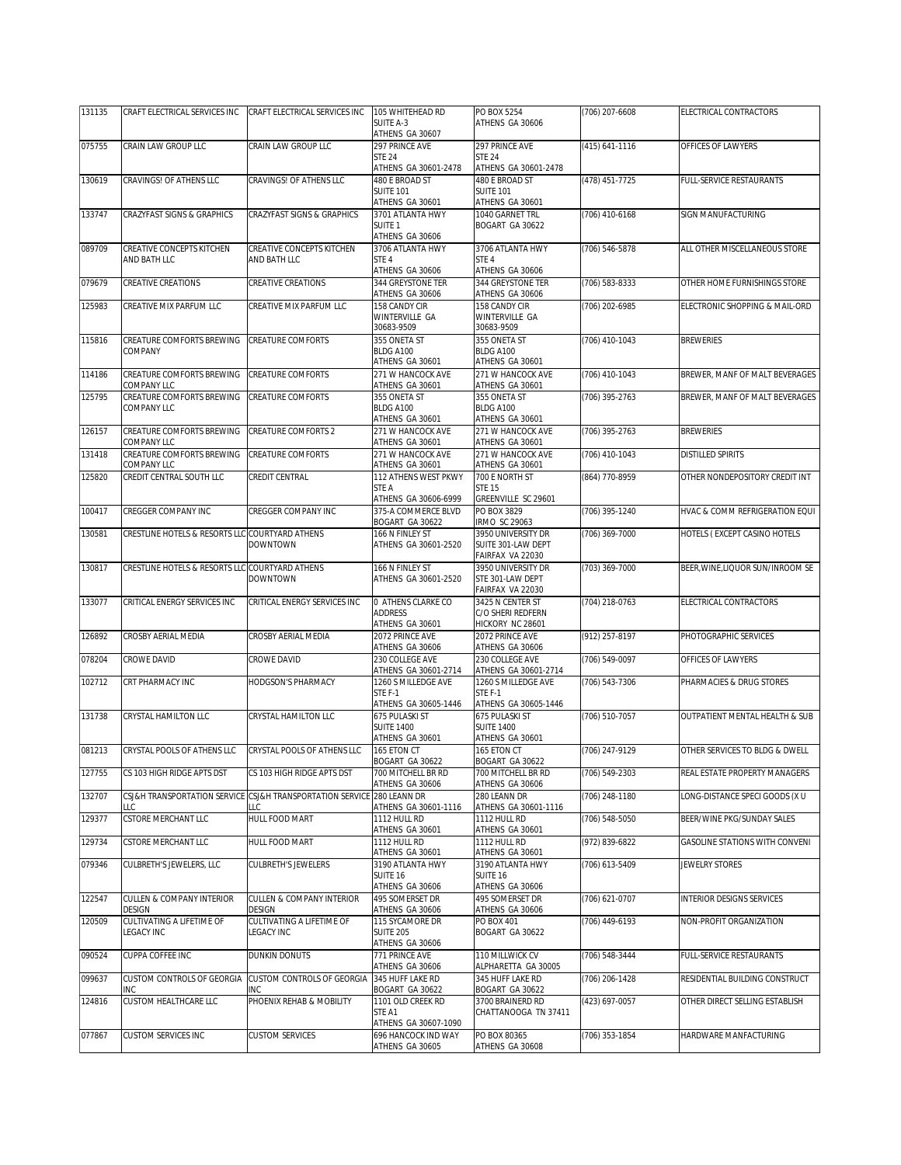| 131135 | CRAFT ELECTRICAL SERVICES INC                   | CRAFT ELECTRICAL SERVICES INC                                                | 105 WHITEHEAD RD                            | PO BOX 5254                             | (706) 207-6608 | ELECTRICAL CONTRACTORS           |
|--------|-------------------------------------------------|------------------------------------------------------------------------------|---------------------------------------------|-----------------------------------------|----------------|----------------------------------|
|        |                                                 |                                                                              | SUITE A-3                                   | ATHENS GA 30606                         |                |                                  |
| 075755 | CRAIN LAW GROUP LLC                             | CRAIN LAW GROUP LLC                                                          | ATHENS GA 30607<br>297 PRINCE AVE           | 297 PRINCE AVE                          | (415) 641-1116 | OFFICES OF LAWYERS               |
|        |                                                 |                                                                              | <b>STE 24</b>                               | <b>STE 24</b>                           |                |                                  |
|        |                                                 |                                                                              | ATHENS GA 30601-2478                        | ATHENS GA 30601-2478                    |                |                                  |
| 130619 | CRAVINGS! OF ATHENS LLC                         | CRAVINGS! OF ATHENS LLC                                                      | 480 E BROAD ST<br><b>SUITE 101</b>          | 480 E BROAD ST<br><b>SUITE 101</b>      | (478) 451-7725 | FULL-SERVICE RESTAURANTS         |
|        |                                                 |                                                                              | ATHENS GA 30601                             | ATHENS GA 30601                         |                |                                  |
| 133747 | CRAZYFAST SIGNS & GRAPHICS                      | CRAZYFAST SIGNS & GRAPHICS                                                   | 3701 ATLANTA HWY                            | 1040 GARNET TRL                         | (706) 410-6168 | SIGN MANUFACTURING               |
|        |                                                 |                                                                              | SUITE <sub>1</sub><br>ATHENS GA 30606       | BOGART GA 30622                         |                |                                  |
| 089709 | CREATIVE CONCEPTS KITCHEN                       | CREATIVE CONCEPTS KITCHEN                                                    | 3706 ATLANTA HWY                            | 3706 ATLANTA HWY                        | (706) 546-5878 | ALL OTHER MISCELLANEOUS STORE    |
|        | AND BATH LLC                                    | AND BATH LLC                                                                 | STE <sub>4</sub>                            | STE 4                                   |                |                                  |
|        |                                                 |                                                                              | ATHENS GA 30606                             | ATHENS GA 30606                         |                |                                  |
| 079679 | <b>CREATIVE CREATIONS</b>                       | CREATIVE CREATIONS                                                           | 344 GREYSTONE TER<br>ATHENS GA 30606        | 344 GREYSTONE TER<br>ATHENS GA 30606    | (706) 583-8333 | OTHER HOME FURNISHINGS STORE     |
| 125983 | CREATIVE MIX PARFUM LLC                         | CREATIVE MIX PARFUM LLC                                                      | 158 CANDY CIR                               | 158 CANDY CIR                           | (706) 202-6985 | ELECTRONIC SHOPPING & MAIL-ORD   |
|        |                                                 |                                                                              | WINTERVILLE GA                              | WINTERVILLE GA                          |                |                                  |
| 115816 | CREATURE COMFORTS BREWING                       | CREATURE COMFORTS                                                            | 30683-9509<br>355 ONETA ST                  | 30683-9509<br>355 ONETA ST              | (706) 410-1043 | <b>BREWERIES</b>                 |
|        | COMPANY                                         |                                                                              | BLDG A100                                   | BLDG A100                               |                |                                  |
|        |                                                 |                                                                              | ATHENS GA 30601                             | ATHENS GA 30601                         |                |                                  |
| 114186 | CREATURE COMFORTS BREWING<br>COMPANY LLC        | CREATURE COMFORTS                                                            | 271 W HANCOCK AVE<br>ATHENS GA 30601        | 271 W HANCOCK AVE<br>ATHENS GA 30601    | (706) 410-1043 | BREWER, MANF OF MALT BEVERAGES   |
| 125795 | CREATURE COMFORTS BREWING                       | CREATURE COMFORTS                                                            | 355 ONETA ST                                | 355 ONETA ST                            | (706) 395-2763 | BREWER, MANF OF MALT BEVERAGES   |
|        | COMPANY LLC                                     |                                                                              | BLDG A100                                   | BLDG A100                               |                |                                  |
| 126157 | CREATURE COMFORTS BREWING                       | CREATURE COMFORTS 2                                                          | ATHENS GA 30601<br>271 W HANCOCK AVE        | ATHENS GA 30601<br>271 W HANCOCK AVE    | (706) 395-2763 | <b>BREWERIES</b>                 |
|        | COMPANY LLC                                     |                                                                              | ATHENS GA 30601                             | ATHENS GA 30601                         |                |                                  |
| 131418 | CREATURE COMFORTS BREWING                       | CREATURE COMFORTS                                                            | 271 W HANCOCK AVE                           | 271 W HANCOCK AVE                       | (706) 410-1043 | <b>DISTILLED SPIRITS</b>         |
|        | COMPANY LLC                                     |                                                                              | ATHENS GA 30601<br>112 ATHENS WEST PKWY     | ATHENS GA 30601                         |                |                                  |
| 125820 | CREDIT CENTRAL SOUTH LLC                        | CREDIT CENTRAL                                                               | STE A                                       | 700 E NORTH ST<br><b>STE 15</b>         | (864) 770-8959 | OTHER NONDEPOSITORY CREDIT INT   |
|        |                                                 |                                                                              | ATHENS GA 30606-6999                        | GREENVILLE SC 29601                     |                |                                  |
| 100417 | CREGGER COMPANY INC                             | CREGGER COMPANY INC                                                          | 375-A COMMERCE BLVD<br>BOGART GA 30622      | PO BOX 3829<br><b>IRMO SC 29063</b>     | (706) 395-1240 | HVAC & COMM REFRIGERATION EQUI   |
| 130581 | CRESTLINE HOTELS & RESORTS LLC COURTYARD ATHENS |                                                                              | 166 N FINLEY ST                             | 3950 UNIVERSITY DR                      | (706) 369-7000 | HOTELS (EXCEPT CASINO HOTELS     |
|        |                                                 | <b>DOWNTOWN</b>                                                              | ATHENS GA 30601-2520                        | SUITE 301-LAW DEPT                      |                |                                  |
|        |                                                 |                                                                              |                                             | FAIRFAX VA 22030                        |                |                                  |
| 130817 | CRESTLINE HOTELS & RESORTS LLC COURTYARD ATHENS | <b>DOWNTOWN</b>                                                              | 166 N FINLEY ST<br>ATHENS GA 30601-2520     | 3950 UNIVERSITY DR<br>STE 301-LAW DEPT  | (703) 369-7000 | BEER, WINE, LIQUOR SUN/INROOM SE |
|        |                                                 |                                                                              |                                             | FAIRFAX VA 22030                        |                |                                  |
| 133077 | CRITICAL ENERGY SERVICES INC                    | CRITICAL ENERGY SERVICES INC                                                 | 0 ATHENS CLARKE CO                          | 3425 N CENTER ST                        | (704) 218-0763 | ELECTRICAL CONTRACTORS           |
|        |                                                 |                                                                              | <b>ADDRESS</b><br>ATHENS GA 30601           | C/O SHERI REDFERN<br>HICKORY NC 28601   |                |                                  |
| 126892 | CROSBY AERIAL MEDIA                             | CROSBY AERIAL MEDIA                                                          | 2072 PRINCE AVE                             | 2072 PRINCE AVE                         | (912) 257-8197 | PHOTOGRAPHIC SERVICES            |
|        |                                                 |                                                                              | ATHENS GA 30606                             | ATHENS GA 30606                         |                |                                  |
| 078204 | CROWE DAVID                                     | CROWE DAVID                                                                  | 230 COLLEGE AVE<br>ATHENS GA 30601-2714     | 230 COLLEGE AVE<br>ATHENS GA 30601-2714 | (706) 549-0097 | OFFICES OF LAWYERS               |
| 102712 | CRT PHARMACY INC                                | HODGSON'S PHARMACY                                                           | 1260 S MILLEDGE AVE                         | 1260 S MILLEDGE AVE                     | (706) 543-7306 | PHARMACIES & DRUG STORES         |
|        |                                                 |                                                                              | STE F-1                                     | STE F-1                                 |                |                                  |
| 131738 | CRYSTAL HAMILTON LLC                            | CRYSTAL HAMILTON LLC                                                         | ATHENS GA 30605-1446<br>675 PULASKI ST      | ATHENS GA 30605-1446<br>675 PULASKI ST  | (706) 510-7057 | OUTPATIENT MENTAL HEALTH & SUB   |
|        |                                                 |                                                                              | <b>SUITE 1400</b>                           | <b>SUITE 1400</b>                       |                |                                  |
|        |                                                 |                                                                              | ATHENS GA 30601                             | ATHENS GA 30601                         |                |                                  |
| 081213 | CRYSTAL POOLS OF ATHENS LLC                     | CRYSTAL POOLS OF ATHENS LLC                                                  | 165 ETON CT<br>BOGART GA 30622              | 165 ETON CT<br>BOGART GA 30622          | (706) 247-9129 | OTHER SERVICES TO BLDG & DWELL   |
| 127755 | CS 103 HIGH RIDGE APTS DST                      | CS 103 HIGH RIDGE APTS DST                                                   | 700 MITCHELL BR RD                          | 700 MITCHELL BR RD                      | (706) 549-2303 | REAL ESTATE PROPERTY MANAGERS    |
|        |                                                 |                                                                              | ATHENS GA 30606                             | ATHENS GA 30606                         |                |                                  |
| 132707 | LLC                                             | CSJ&H TRANSPORTATION SERVICE CSJ&H TRANSPORTATION SERVICE 280 LEANN DR<br>LC | ATHENS GA 30601-1116                        | 280 LEANN DR<br>ATHENS GA 30601-1116    | (706) 248-1180 | ONG-DISTANCE SPECI GOODS (X U    |
| 129377 | CSTORE MERCHANT LLC                             | HULL FOOD MART                                                               | 1112 HULL RD                                | 1112 HULL RD                            | (706) 548-5050 | BEER/WINE PKG/SUNDAY SALES       |
|        |                                                 |                                                                              | ATHENS GA 30601                             | ATHENS GA 30601                         |                |                                  |
| 129734 | CSTORE MERCHANT LLC                             | HULL FOOD MART                                                               | 1112 HULL RD<br>ATHENS GA 30601             | 1112 HULL RD<br>ATHENS GA 30601         | (972) 839-6822 | GASOLINE STATIONS WITH CONVENI   |
| 079346 | CULBRETH'S JEWELERS, LLC                        | CULBRETH'S JEWELERS                                                          | 3190 ATLANTA HWY                            | 3190 ATLANTA HWY                        | (706) 613-5409 | JEWELRY STORES                   |
|        |                                                 |                                                                              | SUITE 16                                    | SUITE 16                                |                |                                  |
| 122547 | CULLEN & COMPANY INTERIOR                       | CULLEN & COMPANY INTERIOR                                                    | ATHENS GA 30606<br>495 SOMERSET DR          | ATHENS GA 30606<br>495 SOMERSET DR      | (706) 621-0707 | <b>INTERIOR DESIGNS SERVICES</b> |
|        | DESIGN                                          | DESIGN                                                                       | ATHENS GA 30606                             | ATHENS GA 30606                         |                |                                  |
| 120509 | CULTIVATING A LIFETIME OF                       | CULTIVATING A LIFETIME OF                                                    | 115 SYCAMORE DR                             | PO BOX 401                              | (706) 449-6193 | NON-PROFIT ORGANIZATION          |
|        | LEGACY INC                                      | <b>LEGACY INC</b>                                                            | <b>SUITE 205</b><br>ATHENS GA 30606         | BOGART GA 30622                         |                |                                  |
| 090524 | CUPPA COFFEE INC                                | DUNKIN DONUTS                                                                | 771 PRINCE AVE                              | 110 MILLWICK CV                         | (706) 548-3444 | FULL-SERVICE RESTAURANTS         |
|        |                                                 |                                                                              | ATHENS GA 30606                             | ALPHARETTA GA 30005                     |                |                                  |
| 099637 | CUSTOM CONTROLS OF GEORGIA<br><b>INC</b>        | CUSTOM CONTROLS OF GEORGIA<br>INC                                            | 345 HUFF LAKE RD<br>BOGART GA 30622         | 345 HUFF LAKE RD<br>BOGART GA 30622     | (706) 206-1428 | RESIDENTIAL BUILDING CONSTRUCT   |
| 124816 | CUSTOM HEALTHCARE LLC                           | PHOENIX REHAB & MOBILITY                                                     | 1101 OLD CREEK RD                           | 3700 BRAINERD RD                        | (423) 697-0057 | OTHER DIRECT SELLING ESTABLISH   |
|        |                                                 |                                                                              | STE A1                                      | CHATTANOOGA TN 37411                    |                |                                  |
| 077867 | <b>CUSTOM SERVICES INC</b>                      | <b>CUSTOM SERVICES</b>                                                       | ATHENS GA 30607-1090<br>696 HANCOCK IND WAY | PO BOX 80365                            |                | HARDWARE MANFACTURING            |
|        |                                                 |                                                                              | ATHENS GA 30605                             | ATHENS GA 30608                         | (706) 353-1854 |                                  |
|        |                                                 |                                                                              |                                             |                                         |                |                                  |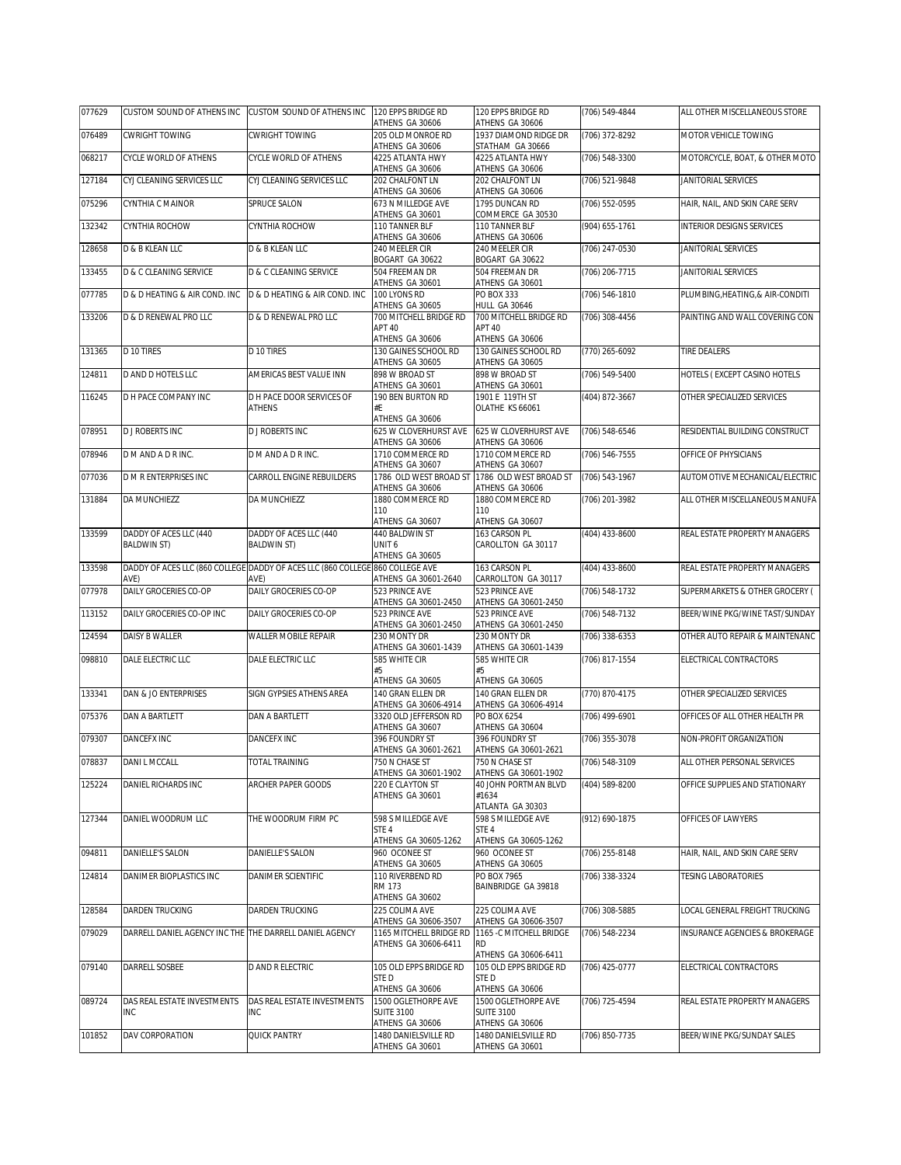| 077629 | CUSTOM SOUND OF ATHENS INC CUSTOM SOUND OF ATHENS INC   |                                                                                       | 120 EPPS BRIDGE RD<br>ATHENS GA 30606                          | 120 EPPS BRIDGE RD<br>ATHENS GA 30606                        | (706) 549-4844 | ALL OTHER MISCELLANEOUS STORE    |
|--------|---------------------------------------------------------|---------------------------------------------------------------------------------------|----------------------------------------------------------------|--------------------------------------------------------------|----------------|----------------------------------|
| 076489 | CWRIGHT TOWING                                          | <b>CWRIGHT TOWING</b>                                                                 | 205 OLD MONROE RD<br>ATHENS GA 30606                           | 1937 DIAMOND RIDGE DR<br>STATHAM GA 30666                    | (706) 372-8292 | MOTOR VEHICLE TOWING             |
| 068217 | CYCLE WORLD OF ATHENS                                   | CYCLE WORLD OF ATHENS                                                                 | 4225 ATLANTA HWY<br>ATHENS GA 30606                            | 4225 ATLANTA HWY                                             | (706) 548-3300 | MOTORCYCLE, BOAT, & OTHER MOTO   |
| 127184 | CYJ CLEANING SERVICES LLC                               | CYJ CLEANING SERVICES LLC                                                             | 202 CHALFONT LN<br>ATHENS GA 30606                             | ATHENS GA 30606<br><b>202 CHALFONT LN</b><br>ATHENS GA 30606 | (706) 521-9848 | JANITORIAL SERVICES              |
| 075296 | CYNTHIA C MAINOR                                        | SPRUCE SALON                                                                          | 673 N MILLEDGE AVE<br>ATHENS GA 30601                          | 1795 DUNCAN RD<br>COMMERCE GA 30530                          | (706) 552-0595 | HAIR, NAIL, AND SKIN CARE SERV   |
| 132342 | CYNTHIA ROCHOW                                          | CYNTHIA ROCHOW                                                                        | 110 TANNER BLF<br>ATHENS GA 30606                              | 110 TANNER BLF<br>ATHENS GA 30606                            | (904) 655-1761 | <b>INTERIOR DESIGNS SERVICES</b> |
| 128658 | D & B KLEAN LLC                                         | D & B KLEAN LLC                                                                       | 240 MEELER CIR<br>BOGART GA 30622                              | 240 MEELER CIR<br>BOGART GA 30622                            | (706) 247-0530 | JANITORIAL SERVICES              |
| 133455 | <b>D &amp; C CLEANING SERVICE</b>                       | D & C CLEANING SERVICE                                                                | 504 FREEMAN DR<br>ATHENS GA 30601                              | 504 FREEMAN DR<br>ATHENS GA 30601                            | (706) 206-7715 | JANITORIAL SERVICES              |
| 077785 | D & D HEATING & AIR COND. INC                           | D & D HEATING & AIR COND. INC                                                         | 100 LYONS RD<br>ATHENS GA 30605                                | PO BOX 333<br><b>HULL GA 30646</b>                           | (706) 546-1810 | PLUMBING, HEATING, & AIR-CONDITI |
| 133206 | <b>D &amp; D RENEWAL PRO LLC</b>                        | <b>D &amp; D RENEWAL PRO LLC</b>                                                      | 700 MITCHELL BRIDGE RD<br>APT 40<br>ATHENS GA 30606            | 700 MITCHELL BRIDGE RD<br>APT 40<br>ATHENS GA 30606          | (706) 308-4456 | PAINTING AND WALL COVERING CON   |
| 131365 | D 10 TIRES                                              | D 10 TIRES                                                                            | 130 GAINES SCHOOL RD<br>ATHENS GA 30605                        | 130 GAINES SCHOOL RD<br>ATHENS GA 30605                      | (770) 265-6092 | TIRE DEALERS                     |
| 124811 | D AND D HOTELS LLC                                      | AMERICAS BEST VALUE INN                                                               | 898 W BROAD ST<br>ATHENS GA 30601                              | 898 W BROAD ST<br>ATHENS GA 30601                            | (706) 549-5400 | HOTELS (EXCEPT CASINO HOTELS     |
| 116245 | D H PACE COMPANY INC                                    | D H PACE DOOR SERVICES OF<br><b>ATHENS</b>                                            | 190 BEN BURTON RD<br>#E<br>ATHENS GA 30606                     | 1901 E 119TH ST<br>OLATHE KS 66061                           | (404) 872-3667 | OTHER SPECIALIZED SERVICES       |
| 078951 | <b>D J ROBERTS INC</b>                                  | <b>D J ROBERTS INC</b>                                                                | 625 W CLOVERHURST AVE<br>ATHENS GA 30606                       | 625 W CLOVERHURST AVE<br>ATHENS GA 30606                     | (706) 548-6546 | RESIDENTIAL BUILDING CONSTRUCT   |
| 078946 | D M AND A D R INC.                                      | D M AND A D R INC.                                                                    | 1710 COMMERCE RD<br>ATHENS GA 30607                            | 1710 COMMERCE RD<br>ATHENS GA 30607                          | (706) 546-7555 | OFFICE OF PHYSICIANS             |
| 077036 | D M R ENTERPRISES INC                                   | CARROLL ENGINE REBUILDERS                                                             | 1786 OLD WEST BROAD ST<br>ATHENS GA 30606                      | 1786 OLD WEST BROAD ST<br>ATHENS GA 30606                    | (706) 543-1967 | AUTOMOTIVE MECHANICAL/ELECTRIC   |
| 131884 | DA MUNCHIEZZ                                            | DA MUNCHIEZZ                                                                          | 1880 COMMERCE RD<br>110                                        | 1880 COMMERCE RD<br>110                                      | (706) 201-3982 | ALL OTHER MISCELLANEOUS MANUFA   |
| 133599 | DADDY OF ACES LLC (440                                  | DADDY OF ACES LLC (440                                                                | ATHENS GA 30607<br>440 BALDWIN ST                              | ATHENS GA 30607<br>163 CARSON PL                             | (404) 433-8600 | REAL ESTATE PROPERTY MANAGERS    |
|        | <b>BALDWIN ST)</b>                                      | <b>BALDWIN ST)</b>                                                                    | UNIT <sub>6</sub><br>ATHENS GA 30605                           | CAROLLTON GA 30117                                           |                |                                  |
| 133598 | AVE)                                                    | DADDY OF ACES LLC (860 COLLEGE DADDY OF ACES LLC (860 COLLEGE 860 COLLEGE AVE<br>AVE) | ATHENS GA 30601-2640                                           | 163 CARSON PL<br>CARROLLTON GA 30117                         | (404) 433-8600 | REAL ESTATE PROPERTY MANAGERS    |
| 077978 | DAILY GROCERIES CO-OP                                   | DAILY GROCERIES CO-OP                                                                 | 523 PRINCE AVE<br>ATHENS GA 30601-2450                         | 523 PRINCE AVE<br>ATHENS GA 30601-2450                       | (706) 548-1732 | SUPERMARKETS & OTHER GROCERY (   |
| 113152 | DAILY GROCERIES CO-OP INC                               | DAILY GROCERIES CO-OP                                                                 | 523 PRINCE AVE<br>ATHENS GA 30601-2450                         | 523 PRINCE AVE<br>ATHENS GA 30601-2450                       | (706) 548-7132 | BEER/WINE PKG/WINE TAST/SUNDAY   |
| 124594 | DAISY B WALLER                                          | WALLER MOBILE REPAIR                                                                  | 230 MONTY DR<br>ATHENS GA 30601-1439                           | 230 MONTY DR<br>ATHENS GA 30601-1439                         | (706) 338-6353 | OTHER AUTO REPAIR & MAINTENANC   |
| 098810 | DALE ELECTRIC LLC                                       | DALE ELECTRIC LLC                                                                     | 585 WHITE CIR<br>#5                                            | 585 WHITE CIR<br>#5                                          | (706) 817-1554 | ELECTRICAL CONTRACTORS           |
| 133341 | DAN & JO ENTERPRISES                                    | SIGN GYPSIES ATHENS AREA                                                              | ATHENS GA 30605<br>140 GRAN ELLEN DR                           | ATHENS GA 30605<br>140 GRAN FLLEN DR                         | (770) 870-4175 | OTHER SPECIALIZED SERVICES       |
| 075376 | <b>DAN A BARTLETT</b>                                   | <b>DAN A BARTLETT</b>                                                                 | ATHENS GA 30606-4914<br>3320 OLD JEFFERSON RD                  | ATHENS GA 30606-4914<br>PO BOX 6254                          | (706) 499-6901 | OFFICES OF ALL OTHER HEALTH PR   |
| 079307 | DANCEFX INC                                             | DANCEFX INC                                                                           | ATHENS GA 30607<br>396 FOUNDRY ST                              | ATHENS GA 30604<br>396 FOUNDRY ST                            | (706) 355-3078 | NON-PROFIT ORGANIZATION          |
|        |                                                         |                                                                                       | ATHENS GA 30601-2621<br>750 N CHASE ST                         | ATHENS GA 30601-2621                                         |                |                                  |
| 078837 | DANI L MCCALL                                           | <b>TOTAL TRAINING</b>                                                                 | ATHENS GA 30601-1902                                           | 750 N CHASE ST<br>ATHENS GA 30601-1902                       | (706) 548-3109 | ALL OTHER PERSONAL SERVICES      |
| 125224 | DANIEL RICHARDS INC                                     | ARCHER PAPER GOODS                                                                    | 220 E CLAYTON ST<br>ATHENS GA 30601                            | 40 JOHN PORTMAN BLVD<br>#1634<br>ATLANTA GA 30303            | (404) 589-8200 | OFFICE SUPPLIES AND STATIONARY   |
| 127344 | DANIEL WOODRUM LLC                                      | THE WOODRUM FIRM PC                                                                   | 598 S MILLEDGE AVE<br>STE <sub>4</sub><br>ATHENS GA 30605-1262 | 598 S MILLEDGE AVE<br>STE 4<br>ATHENS GA 30605-1262          | (912) 690-1875 | OFFICES OF LAWYERS               |
| 094811 | DANIELLE'S SALON                                        | DANIELLE'S SALON                                                                      | 960 OCONEE ST<br>ATHENS GA 30605                               | 960 OCONEE ST<br>ATHENS GA 30605                             | (706) 255-8148 | HAIR, NAIL, AND SKIN CARE SERV   |
| 124814 | DANIMER BIOPLASTICS INC                                 | DANIMER SCIENTIFIC                                                                    | 110 RIVERBEND RD<br>RM 173<br>ATHENS GA 30602                  | PO BOX 7965<br>BAINBRIDGE GA 39818                           | (706) 338-3324 | <b>TESING LABORATORIES</b>       |
| 128584 | DARDEN TRUCKING                                         | DARDEN TRUCKING                                                                       | 225 COLIMA AVE<br>ATHENS GA 30606-3507                         | 225 COLIMA AVE<br>ATHENS GA 30606-3507                       | (706) 308-5885 | LOCAL GENERAL FREIGHT TRUCKING   |
| 079029 | DARRELL DANIEL AGENCY INC THE THE DARRELL DANIEL AGENCY |                                                                                       | 1165 MITCHELL BRIDGE RD<br>ATHENS GA 30606-6411                | 1165 - C MITCHELL BRIDGE<br>RD<br>ATHENS GA 30606-6411       | (706) 548-2234 | INSURANCE AGENCIES & BROKERAGE   |
| 079140 | DARRELL SOSBEE                                          | D AND R ELECTRIC                                                                      | 105 OLD EPPS BRIDGE RD<br>ste d                                | 105 OLD EPPS BRIDGE RD<br>STE D                              | (706) 425-0777 | ELECTRICAL CONTRACTORS           |
|        |                                                         |                                                                                       | ATHENS GA 30606                                                | ATHENS GA 30606                                              |                |                                  |
| 089724 | DAS REAL ESTATE INVESTMENTS<br><b>INC</b>               | DAS REAL ESTATE INVESTMENTS<br>INC                                                    | 1500 OGLETHORPE AVE<br><b>SUITE 3100</b><br>ATHENS GA 30606    | 1500 OGLETHORPE AVE<br><b>SUITE 3100</b><br>ATHENS GA 30606  | (706) 725-4594 | REAL ESTATE PROPERTY MANAGERS    |
| 101852 | DAV CORPORATION                                         | QUICK PANTRY                                                                          | 1480 DANIELSVILLE RD<br>ATHENS GA 30601                        | 1480 DANIELSVILLE RD<br>ATHENS GA 30601                      | (706) 850-7735 | BEER/WINE PKG/SUNDAY SALES       |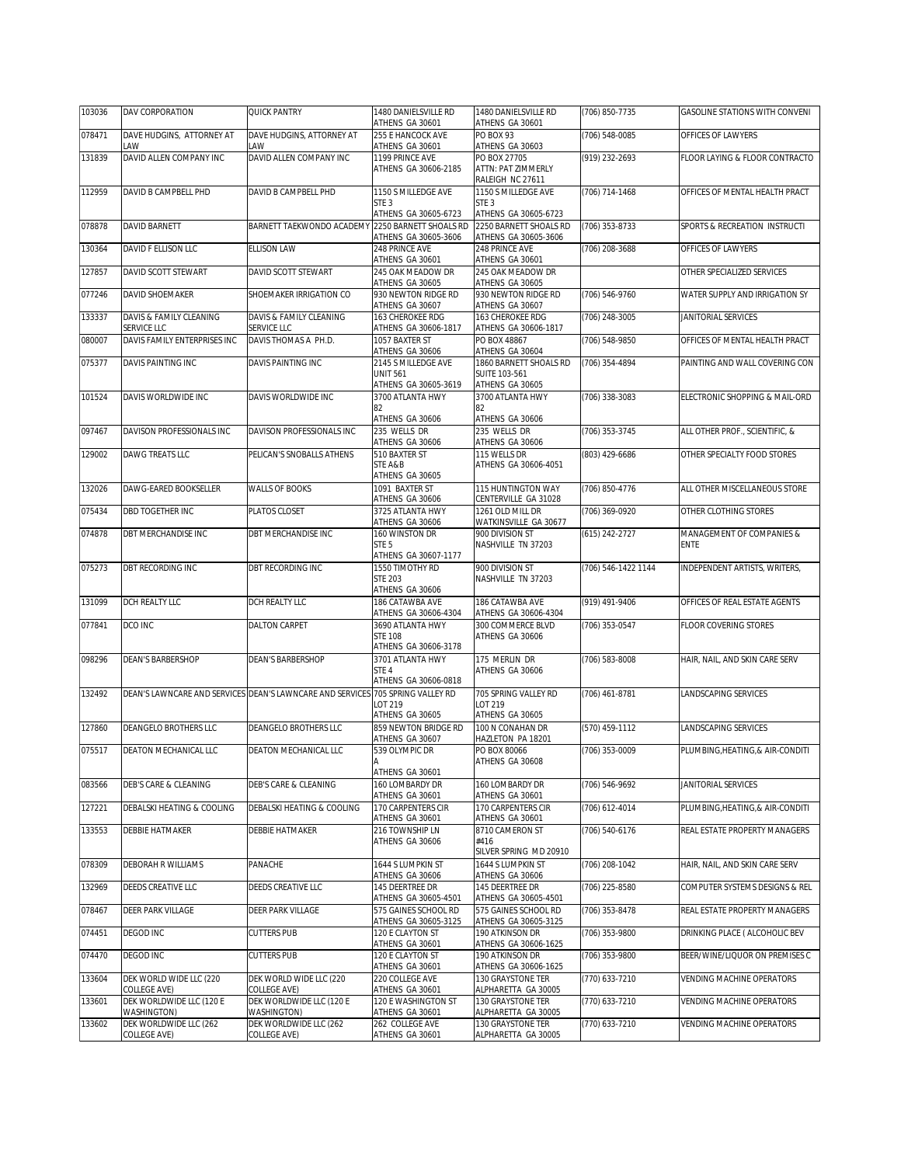| 103036 | DAV CORPORATION                         | <b>QUICK PANTRY</b>                                                            | 1480 DANIELSVILLE RD<br>ATHENS GA 30601                         | 1480 DANIELSVILLE RD<br>ATHENS GA 30601                           | (706) 850-7735      | GASOLINE STATIONS WITH CONVENI           |
|--------|-----------------------------------------|--------------------------------------------------------------------------------|-----------------------------------------------------------------|-------------------------------------------------------------------|---------------------|------------------------------------------|
| 078471 | DAVE HUDGINS, ATTORNEY AT<br>LAW        | DAVE HUDGINS, ATTORNEY AT<br>LAW                                               | 255 E HANCOCK AVE<br>ATHENS GA 30601                            | PO BOX 93<br>ATHENS GA 30603                                      | (706) 548-0085      | OFFICES OF LAWYERS                       |
| 131839 | DAVID ALLEN COMPANY INC                 | DAVID ALLEN COMPANY INC                                                        | 1199 PRINCE AVE<br>ATHENS GA 30606-2185                         | PO BOX 27705<br>ATTN: PAT ZIMMERLY<br>RALEIGH NC 27611            | (919) 232-2693      | FLOOR LAYING & FLOOR CONTRACTO           |
| 112959 | DAVID B CAMPBELL PHD                    | DAVID B CAMPBELL PHD                                                           | 1150 S MILLEDGE AVE<br>STE <sub>3</sub><br>ATHENS GA 30605-6723 | 1150 S MILLEDGE AVE<br>STE <sub>3</sub><br>ATHENS GA 30605-6723   | (706) 714-1468      | OFFICES OF MENTAL HEALTH PRACT           |
| 078878 | DAVID BARNETT                           | BARNETT TAEKWONDO ACADEMY                                                      | 2250 BARNETT SHOALS RD<br>ATHENS GA 30605-3606                  | 2250 BARNETT SHOALS RD<br>ATHENS GA 30605-3606                    | (706) 353-8733      | SPORTS & RECREATION INSTRUCTI            |
| 130364 | DAVID F ELLISON LLC                     | <b>ELLISON LAW</b>                                                             | 248 PRINCE AVE<br>ATHENS GA 30601                               | 248 PRINCE AVE<br>ATHENS GA 30601                                 | (706) 208-3688      | OFFICES OF LAWYERS                       |
| 127857 | DAVID SCOTT STEWART                     | DAVID SCOTT STEWART                                                            | 245 OAK MEADOW DR<br>ATHENS GA 30605                            | 245 OAK MEADOW DR<br>ATHENS GA 30605                              |                     | OTHER SPECIALIZED SERVICES               |
| 077246 | <b>DAVID SHOEMAKER</b>                  | SHOEMAKER IRRIGATION CO                                                        | 930 NEWTON RIDGE RD<br>ATHENS GA 30607                          | 930 NEWTON RIDGE RD<br>ATHENS GA 30607                            | $(706) 546 - 9760$  | WATER SUPPLY AND IRRIGATION SY           |
| 133337 | DAVIS & FAMILY CLEANING<br>SERVICE LLC  | DAVIS & FAMILY CLEANING<br>SERVICE LLC                                         | 163 CHEROKEE RDG<br>ATHENS GA 30606-1817                        | 163 CHEROKEE RDG<br>ATHENS GA 30606-1817                          | (706) 248-3005      | JANITORIAL SERVICES                      |
| 080007 | DAVIS FAMILY ENTERPRISES INC            | DAVIS THOMAS A PH.D.                                                           | 1057 BAXTER ST<br>ATHENS GA 30606                               | PO BOX 48867<br>ATHENS GA 30604                                   | (706) 548-9850      | OFFICES OF MENTAL HEALTH PRACT           |
| 075377 | DAVIS PAINTING INC                      | DAVIS PAINTING INC                                                             | 2145 S MILLEDGE AVE<br><b>UNIT 561</b><br>ATHENS GA 30605-3619  | 1860 BARNETT SHOALS RD<br><b>SUITE 103-561</b><br>ATHENS GA 30605 | (706) 354-4894      | PAINTING AND WALL COVERING CON           |
| 101524 | DAVIS WORLDWIDE INC                     | DAVIS WORLDWIDE INC                                                            | 3700 ATLANTA HWY<br>82<br>ATHENS GA 30606                       | 3700 ATLANTA HWY<br>82<br>ATHENS GA 30606                         | (706) 338-3083      | ELECTRONIC SHOPPING & MAIL-ORD           |
| 097467 | DAVISON PROFESSIONALS INC               | DAVISON PROFESSIONALS INC                                                      | 235 WELLS DR<br>ATHENS GA 30606                                 | 235 WELLS DR<br>ATHENS GA 30606                                   | (706) 353-3745      | ALL OTHER PROF., SCIENTIFIC, &           |
| 129002 | DAWG TREATS LLC                         | PELICAN'S SNOBALLS ATHENS                                                      | 510 BAXTER ST<br>STE A&B<br>ATHENS GA 30605                     | 115 WELLS DR<br>ATHENS GA 30606-4051                              | (803) 429-6686      | OTHER SPECIALTY FOOD STORES              |
| 132026 | DAWG-EARED BOOKSELLER                   | <b>WALLS OF BOOKS</b>                                                          | 1091 BAXTER ST<br>ATHENS GA 30606                               | <b>115 HUNTINGTON WAY</b><br>CENTERVILLE GA 31028                 | (706) 850-4776      | ALL OTHER MISCELLANEOUS STORE            |
| 075434 | DBD TOGETHER INC                        | PLATOS CLOSET                                                                  | 3725 ATLANTA HWY<br>ATHENS GA 30606                             | 1261 OLD MILL DR<br>WATKINSVILLE GA 30677                         | (706) 369-0920      | OTHER CLOTHING STORES                    |
| 074878 | DBT MERCHANDISE INC                     | DBT MERCHANDISE INC                                                            | 160 WINSTON DR<br>STE <sub>5</sub><br>ATHENS GA 30607-1177      | 900 DIVISION ST<br>NASHVILLE TN 37203                             | (615) 242-2727      | MANAGEMENT OF COMPANIES &<br><b>ENTE</b> |
| 075273 | DBT RECORDING INC                       | DBT RECORDING INC                                                              | 1550 TIMOTHY RD<br><b>STE 203</b><br>ATHENS GA 30606            | 900 DIVISION ST<br>NASHVILLE TN 37203                             | (706) 546-1422 1144 | INDEPENDENT ARTISTS, WRITERS,            |
| 131099 | DCH REALTY LLC                          | DCH REALTY LLC                                                                 | 186 CATAWBA AVE<br>ATHENS GA 30606-4304                         | 186 CATAWBA AVE<br>ATHENS GA 30606-4304                           | (919) 491-9406      | OFFICES OF REAL ESTATE AGENTS            |
| 077841 | DCO INC                                 | DALTON CARPET                                                                  | 3690 ATLANTA HWY<br><b>STE 108</b><br>ATHENS GA 30606-3178      | 300 COMMERCE BLVD<br>ATHENS GA 30606                              | (706) 353-0547      | <b>FLOOR COVERING STORES</b>             |
| 098296 | <b>DEAN'S BARBERSHOP</b>                | <b>DEAN'S BARBERSHOP</b>                                                       | 3701 ATLANTA HWY<br>STE 4<br>ATHENS GA 30606-0818               | 175 MERLIN DR<br>ATHENS GA 30606                                  | (706) 583-8008      | HAIR, NAIL, AND SKIN CARE SERV           |
| 132492 |                                         | DEAN'S LAWNCARE AND SERVICES DEAN'S LAWNCARE AND SERVICES 705 SPRING VALLEY RD | LOT 219<br>ATHENS GA 30605                                      | 705 SPRING VALLEY RD<br>LOT 219<br>ATHENS GA 30605                | (706) 461-8781      | LANDSCAPING SERVICES                     |
| 127860 | DEANGELO BROTHERS LLC                   | DEANGELO BROTHERS LLC                                                          | 859 NEWTON BRIDGE RD<br>ATHENS GA 30607                         | 100 N CONAHAN DR<br>HAZLETON PA 18201                             | (570) 459-1112      | LANDSCAPING SERVICES                     |
| 075517 | DEATON MECHANICAL LLC                   | DEATON MECHANICAL LLC                                                          | 539 OLYMPIC DR<br>Α<br>ATHENS GA 30601                          | PO BOX 80066<br>ATHENS GA 30608                                   | (706) 353-0009      | PLUMBING, HEATING, & AIR-CONDITI         |
| 083566 | DEB'S CARE & CLEANING                   | DEB'S CARE & CLEANING                                                          | 160 LOMBARDY DR<br>ATHENS GA 30601                              | 160 LOMBARDY DR<br>ATHENS GA 30601                                | (706) 546-9692      | JANITORIAL SERVICES                      |
| 127221 | DEBALSKI HEATING & COOLING              | DEBALSKI HEATING & COOLING                                                     | 170 CARPENTERS CIR<br>ATHENS GA 30601                           | 170 CARPENTERS CIR<br>ATHENS GA 30601                             | (706) 612-4014      | PLUMBING, HEATING, & AIR-CONDITI         |
| 133553 | DEBBIE HATMAKER                         | DEBBIE HATMAKER                                                                | 216 TOWNSHIP LN<br>ATHENS GA 30606                              | 8710 CAMERON ST<br>#416<br>SILVER SPRING MD 20910                 | (706) 540-6176      | REAL ESTATE PROPERTY MANAGERS            |
| 078309 | DEBORAH R WILLIAMS                      | PANACHE                                                                        | 1644 S LUMPKIN ST<br>ATHENS GA 30606                            | 1644 S LUMPKIN ST<br>ATHENS GA 30606                              | (706) 208-1042      | HAIR, NAIL, AND SKIN CARE SERV           |
| 132969 | DEEDS CREATIVE LLC                      | DEEDS CREATIVE LLC                                                             | 145 DEERTREE DR<br>ATHENS GA 30605-4501                         | 145 DEERTREE DR<br>ATHENS GA 30605-4501                           | (706) 225-8580      | COMPUTER SYSTEMS DESIGNS & REL           |
| 078467 | DEER PARK VILLAGE                       | DEER PARK VILLAGE                                                              | 575 GAINES SCHOOL RD<br>ATHENS GA 30605-3125                    | 575 GAINES SCHOOL RD<br>ATHENS GA 30605-3125                      | (706) 353-8478      | REAL ESTATE PROPERTY MANAGERS            |
| 074451 | DEGOD INC                               | <b>CUTTERS PUB</b>                                                             | 120 E CLAYTON ST<br>ATHENS GA 30601                             | 190 ATKINSON DR<br>ATHENS GA 30606-1625                           | (706) 353-9800      | DRINKING PLACE ( ALCOHOLIC BEV           |
| 074470 | <b>DEGOD INC</b>                        | <b>CUTTERS PUB</b>                                                             | 120 E CLAYTON ST<br>ATHENS GA 30601                             | 190 ATKINSON DR<br>ATHENS GA 30606-1625                           | (706) 353-9800      | BEER/WINE/LIQUOR ON PREMISES C           |
| 133604 | DEK WORLD WIDE LLC (220<br>COLLEGE AVE) | DEK WORLD WIDE LLC (220<br>COLLEGE AVE)                                        | 220 COLLEGE AVE<br>ATHENS GA 30601                              | 130 GRAYSTONE TER<br>ALPHARETTA GA 30005                          | (770) 633-7210      | VENDING MACHINE OPERATORS                |
| 133601 | DEK WORLDWIDE LLC (120 E<br>WASHINGTON) | DEK WORLDWIDE LLC (120 E<br>WASHINGTON)                                        | 120 E WASHINGTON ST<br>ATHENS GA 30601                          | 130 GRAYSTONE TER<br>ALPHARETTA GA 30005                          | (770) 633-7210      | VENDING MACHINE OPERATORS                |
| 133602 | DEK WORLDWIDE LLC (262<br>COLLEGE AVE)  | DEK WORLDWIDE LLC (262<br>COLLEGE AVE)                                         | 262 COLLEGE AVE<br>ATHENS GA 30601                              | 130 GRAYSTONE TER<br>ALPHARETTA GA 30005                          | (770) 633-7210      | VENDING MACHINE OPERATORS                |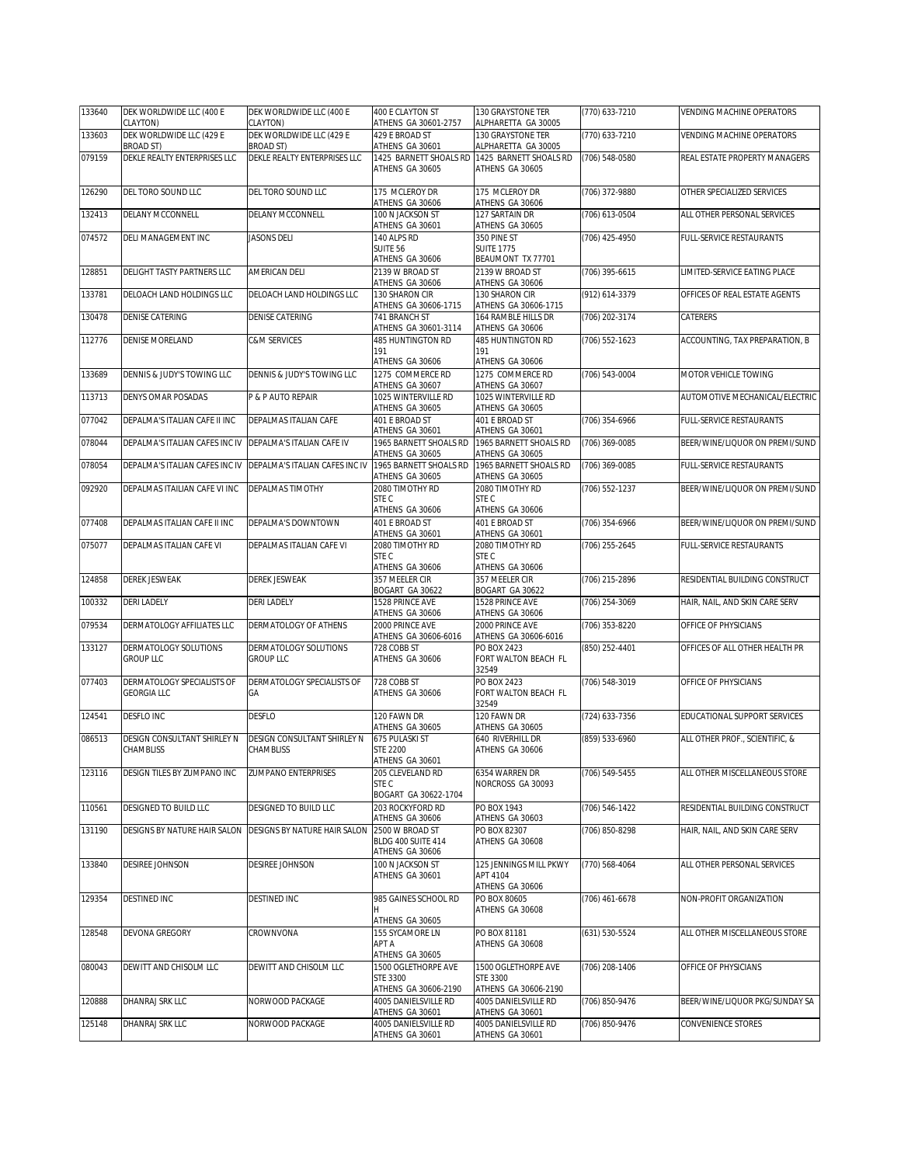| 133640 | DEK WORLDWIDE LLC (400 E<br>CLAYTON)                      | DEK WORLDWIDE LLC (400 E<br>CLAYTON)         | 400 E CLAYTON ST<br>ATHENS GA 30601-2757                       | 130 GRAYSTONE TER<br>ALPHARETTA GA 30005                                 | (770) 633-7210     | VENDING MACHINE OPERATORS      |
|--------|-----------------------------------------------------------|----------------------------------------------|----------------------------------------------------------------|--------------------------------------------------------------------------|--------------------|--------------------------------|
| 133603 | DEK WORLDWIDE LLC (429 E<br><b>BROAD ST)</b>              | DEK WORLDWIDE LLC (429 E<br><b>BROAD ST)</b> | 429 E BROAD ST<br>ATHENS GA 30601                              | 130 GRAYSTONE TER<br>ALPHARETTA GA 30005                                 | (770) 633-7210     | VENDING MACHINE OPERATORS      |
| 079159 | DEKLE REALTY ENTERPRISES LLC                              | DEKLE REALTY ENTERPRISES LLC                 | 1425 BARNETT SHOALS RD<br>ATHENS GA 30605                      | 1425 BARNETT SHOALS RD<br>ATHENS GA 30605                                | $(706) 548 - 0580$ | REAL ESTATE PROPERTY MANAGERS  |
| 126290 | DEL TORO SOUND LLC                                        | DEL TORO SOUND LLC                           | 175 MCLEROY DR<br>ATHENS GA 30606                              | 175 MCLEROY DR<br>ATHENS GA 30606                                        | (706) 372-9880     | OTHER SPECIALIZED SERVICES     |
| 132413 | DELANY MCCONNELL                                          | DELANY MCCONNELL                             | 100 N JACKSON ST                                               | 127 SARTAIN DR                                                           | (706) 613-0504     | ALL OTHER PERSONAL SERVICES    |
| 074572 | DELI MANAGEMENT INC                                       | <b>JASONS DELI</b>                           | ATHENS GA 30601<br>140 ALPS RD<br>SUITE 56<br>ATHENS GA 30606  | ATHENS GA 30605<br>350 PINE ST<br><b>SUITE 1775</b><br>BEAUMONT TX 77701 | (706) 425-4950     | FULL-SERVICE RESTAURANTS       |
| 128851 | DELIGHT TASTY PARTNERS LLC                                | AMERICAN DELI                                | 2139 W BROAD ST<br>ATHENS GA 30606                             | 2139 W BROAD ST<br>ATHENS GA 30606                                       | (706) 395-6615     | LIMITED-SERVICE EATING PLACE   |
| 133781 | DELOACH LAND HOLDINGS LLC                                 | DELOACH LAND HOLDINGS LLC                    | 130 SHARON CIR<br>ATHENS GA 30606-1715                         | 130 SHARON CIR<br>ATHENS GA 30606-1715                                   | (912) 614-3379     | OFFICES OF REAL ESTATE AGENTS  |
| 130478 | DENISE CATERING                                           | DENISE CATERING                              | 741 BRANCH ST<br>ATHENS GA 30601-3114                          | 164 RAMBLE HILLS DR<br>ATHENS GA 30606                                   | (706) 202-3174     | CATERERS                       |
| 112776 | <b>DENISE MORELAND</b>                                    | C&M SERVICES                                 | 485 HUNTINGTON RD<br>191<br>ATHENS GA 30606                    | 485 HUNTINGTON RD<br>191<br>ATHENS GA 30606                              | (706) 552-1623     | ACCOUNTING, TAX PREPARATION, B |
| 133689 | DENNIS & JUDY'S TOWING LLC                                | DENNIS & JUDY'S TOWING LLC                   | 1275 COMMERCE RD<br>ATHENS GA 30607                            | 1275 COMMERCE RD<br>ATHENS GA 30607                                      | (706) 543-0004     | MOTOR VEHICLE TOWING           |
| 113713 | <b>DENYS OMAR POSADAS</b>                                 | P & P AUTO REPAIR                            | 1025 WINTERVILLE RD<br>ATHENS GA 30605                         | 1025 WINTERVILLE RD<br>ATHENS GA 30605                                   |                    | AUTOMOTIVE MECHANICAL/ELECTRIC |
| 077042 | DEPALMA'S ITALIAN CAFE II INC                             | DEPALMAS ITALIAN CAFE                        | 401 E BROAD ST<br>ATHENS GA 30601                              | 401 E BROAD ST<br>ATHENS GA 30601                                        | $(706)$ 354-6966   | FULL-SERVICE RESTAURANTS       |
| 078044 | DEPALMA'S ITALIAN CAFES INC IV                            | DEPALMA'S ITALIAN CAFE IV                    | 1965 BARNETT SHOALS RD<br>ATHENS GA 30605                      | 1965 BARNETT SHOALS RD<br>ATHENS GA 30605                                | (706) 369-0085     | BEER/WINE/LIQUOR ON PREMI/SUND |
| 078054 | DEPALMA'S ITALIAN CAFES INC IV                            | DEPALMA'S ITALIAN CAFES INC IV               | 1965 BARNETT SHOALS RD<br>ATHENS GA 30605                      | 1965 BARNETT SHOALS RD<br>ATHENS GA 30605                                | (706) 369-0085     | FULL-SERVICE RESTAURANTS       |
| 092920 | DEPALMAS ITAILIAN CAFE VI INC                             | DEPALMAS TIMOTHY                             | 2080 TIMOTHY RD<br>STE C<br>ATHENS GA 30606                    | 2080 TIMOTHY RD<br>STE C<br>ATHENS GA 30606                              | (706) 552-1237     | BEER/WINE/LIQUOR ON PREMI/SUND |
| 077408 | DEPALMAS ITALIAN CAFE II INC                              | DEPALMA'S DOWNTOWN                           | 401 E BROAD ST<br>ATHENS GA 30601                              | 401 E BROAD ST<br>ATHENS GA 30601                                        | $(706)$ 354-6966   | BEER/WINE/LIQUOR ON PREMI/SUND |
| 075077 | DEPALMAS ITALIAN CAFE VI                                  | DEPALMAS ITALIAN CAFE VI                     | 2080 TIMOTHY RD<br>STE C<br>ATHENS GA 30606                    | 2080 TIMOTHY RD<br>STE C<br>ATHENS GA 30606                              | (706) 255-2645     | FULL-SERVICE RESTAURANTS       |
| 124858 | <b>DEREK JESWEAK</b>                                      | DEREK JESWEAK                                | 357 MEELER CIR<br>BOGART GA 30622                              | 357 MEELER CIR<br>BOGART GA 30622                                        | (706) 215-2896     | RESIDENTIAL BUILDING CONSTRUCT |
| 100332 | <b>DERI LADELY</b>                                        | <b>DERI LADELY</b>                           | 1528 PRINCE AVE<br>ATHENS GA 30606                             | 1528 PRINCE AVE<br>ATHENS GA 30606                                       | (706) 254-3069     | HAIR, NAIL, AND SKIN CARE SERV |
| 079534 | DERMATOLOGY AFFILIATES LLC                                | DERMATOLOGY OF ATHENS                        | 2000 PRINCE AVE<br>ATHENS GA 30606-6016                        | 2000 PRINCE AVE<br>ATHENS GA 30606-6016                                  | (706) 353-8220     | OFFICE OF PHYSICIANS           |
| 133127 | DERMATOLOGY SOLUTIONS<br><b>GROUP LLC</b>                 | DERMATOLOGY SOLUTIONS<br><b>GROUP LLC</b>    | 728 COBB ST<br>ATHENS GA 30606                                 | PO BOX 2423<br>FORT WALTON BEACH FL<br>32549                             | (850) 252-4401     | OFFICES OF ALL OTHER HEALTH PR |
| 077403 | DERMATOLOGY SPECIALISTS OF<br><b>GEORGIA LLC</b>          | DERMATOLOGY SPECIALISTS OF<br>GА             | 728 COBB ST<br>ATHENS GA 30606                                 | PO BOX 2423<br>FORT WALTON BEACH FL<br>32549                             | (706) 548-3019     | OFFICE OF PHYSICIANS           |
| 124541 | <b>DESFLO INC</b>                                         | DESFLO                                       | 120 FAWN DR<br>ATHENS GA 30605                                 | 120 FAWN DR<br>ATHENS GA 30605                                           | (724) 633-7356     | EDUCATIONAL SUPPORT SERVICES   |
| 086513 | DESIGN CONSULTANT SHIRLEY N<br>CHAMBLISS                  | DESIGN CONSULTANT SHIRLEY N<br>CHAMBLISS     | 675 PULASKI ST<br><b>STE 2200</b><br>ATHENS GA 30601           | 640 RIVERHILL DR<br>ATHENS GA 30606                                      | (859) 533-6960     | ALL OTHER PROF., SCIENTIFIC, & |
| 123116 | DESIGN TILES BY ZUMPANO INC                               | <b>ZUMPANO ENTERPRISES</b>                   | 205 CLEVELAND RD<br>STE C<br>BOGART GA 30622-1704              | 6354 WARREN DR<br>NORCROSS GA 30093                                      | (706) 549-5455     | ALL OTHER MISCELLANEOUS STORE  |
| 110561 | DESIGNED TO BUILD LLC                                     | DESIGNED TO BUILD LLC                        | 203 ROCKYFORD RD<br>ATHENS GA 30606                            | PO BOX 1943<br>ATHENS GA 30603                                           | (706) 546-1422     | RESIDENTIAL BUILDING CONSTRUCT |
| 131190 | DESIGNS BY NATURE HAIR SALON DESIGNS BY NATURE HAIR SALON |                                              | 2500 W BROAD ST<br>BLDG 400 SUITE 414<br>ATHENS GA 30606       | PO BOX 82307<br>ATHENS GA 30608                                          | (706) 850-8298     | HAIR, NAIL, AND SKIN CARE SERV |
| 133840 | DESIREE JOHNSON                                           | DESIREE JOHNSON                              | 100 N JACKSON ST<br>ATHENS GA 30601                            | 125 JENNINGS MILL PKWY<br>APT 4104<br>ATHENS GA 30606                    | (770) 568-4064     | ALL OTHER PERSONAL SERVICES    |
| 129354 | <b>DESTINED INC</b>                                       | DESTINED INC                                 | 985 GAINES SCHOOL RD<br>H<br>ATHENS GA 30605                   | PO BOX 80605<br>ATHENS GA 30608                                          | (706) 461-6678     | NON-PROFIT ORGANIZATION        |
| 128548 | <b>DEVONA GREGORY</b>                                     | CROWNVONA                                    | 155 SYCAMORE LN<br>APT A<br>ATHENS GA 30605                    | PO BOX 81181<br>ATHENS GA 30608                                          | $(631) 530 - 5524$ | ALL OTHER MISCELLANEOUS STORE  |
| 080043 | DEWITT AND CHISOLM LLC                                    | DEWITT AND CHISOLM LLC                       | 1500 OGLETHORPE AVE<br><b>STE 3300</b><br>ATHENS GA 30606-2190 | 1500 OGLETHORPE AVE<br>STE 3300<br>ATHENS GA 30606-2190                  | (706) 208-1406     | OFFICE OF PHYSICIANS           |
| 120888 | DHANRAJ SRK LLC                                           | NORWOOD PACKAGE                              | 4005 DANIELSVILLE RD                                           | 4005 DANIELSVILLE RD                                                     | (706) 850-9476     | BEER/WINE/LIQUOR PKG/SUNDAY SA |
|        |                                                           |                                              | ATHENS GA 30601                                                | ATHENS GA 30601                                                          |                    |                                |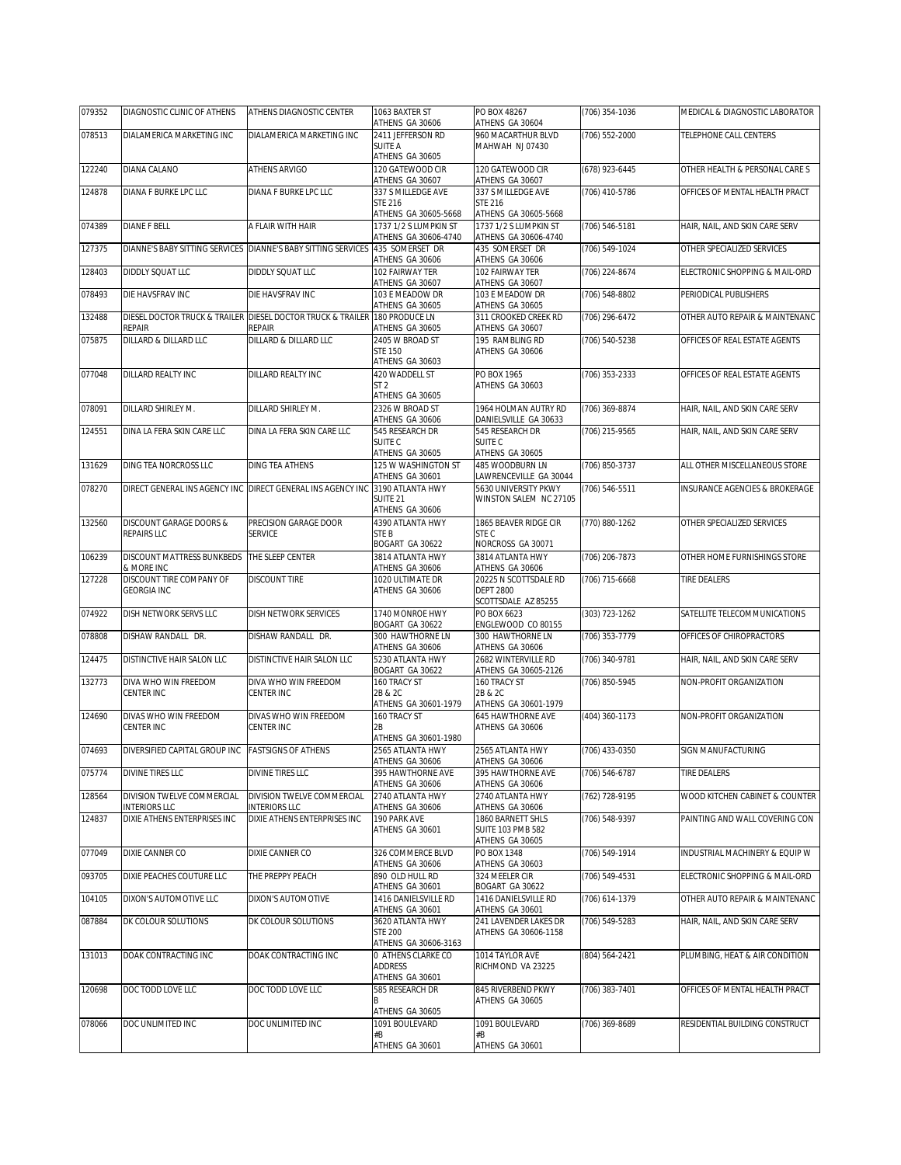| 079352 | DIAGNOSTIC CLINIC OF ATHENS                        | ATHENS DIAGNOSTIC CENTER                                              | 1063 BAXTER ST<br>ATHENS GA 30606                               | PO BOX 48267<br>ATHENS GA 30604                                       | (706) 354-1036 | MEDICAL & DIAGNOSTIC LABORATOR |
|--------|----------------------------------------------------|-----------------------------------------------------------------------|-----------------------------------------------------------------|-----------------------------------------------------------------------|----------------|--------------------------------|
| 078513 | DIALAMERICA MARKETING INC                          | DIALAMERICA MARKETING INC                                             | 2411 JEFFERSON RD<br><b>SUITE A</b>                             | 960 MACARTHUR BLVD<br>MAHWAH NJ 07430                                 | (706) 552-2000 | TELEPHONE CALL CENTERS         |
| 122240 | DIANA CALANO                                       | ATHENS ARVIGO                                                         | ATHENS GA 30605<br>120 GATEWOOD CIR<br>ATHENS GA 30607          | 120 GATEWOOD CIR<br>ATHENS GA 30607                                   | (678) 923-6445 | OTHER HEALTH & PERSONAL CARE S |
| 124878 | DIANA F BURKE LPC LLC                              | DIANA F BURKE LPC LLC                                                 | 337 S MILLEDGE AVE<br><b>STE 216</b><br>ATHENS GA 30605-5668    | 337 S MILLEDGE AVE<br><b>STE 216</b>                                  | (706) 410-5786 | OFFICES OF MENTAL HEALTH PRACT |
| 074389 | <b>DIANE F BELL</b>                                | A FLAIR WITH HAIR                                                     | 1737 1/2 S LUMPKIN ST<br>ATHENS GA 30606-4740                   | ATHENS GA 30605-5668<br>1737 1/2 S LUMPKIN ST<br>ATHENS GA 30606-4740 | (706) 546-5181 | HAIR, NAIL, AND SKIN CARE SERV |
| 127375 |                                                    | DIANNE'S BABY SITTING SERVICES DIANNE'S BABY SITTING SERVICES         | 435 SOMERSET DR<br>ATHENS GA 30606                              | 435 SOMERSET DR<br>ATHENS GA 30606                                    | (706) 549-1024 | OTHER SPECIALIZED SERVICES     |
| 128403 | DIDDLY SQUAT LLC                                   | DIDDLY SQUAT LLC                                                      | 102 FAIRWAY TER<br>ATHENS GA 30607                              | 102 FAIRWAY TER<br>ATHENS GA 30607                                    | (706) 224-8674 | ELECTRONIC SHOPPING & MAIL-ORD |
| 078493 | DIE HAVSFRAV INC                                   | DIE HAVSFRAV INC                                                      | 103 E MEADOW DR<br>ATHENS GA 30605                              | 103 E MEADOW DR<br>ATHENS GA 30605                                    | (706) 548-8802 | PERIODICAL PUBLISHERS          |
| 132488 | <b>REPAIR</b>                                      | DIESEL DOCTOR TRUCK & TRAILER DIESEL DOCTOR TRUCK & TRAILER<br>REPAIR | 180 PRODUCE LN<br>ATHENS GA 30605                               | 311 CROOKED CREEK RD<br>ATHENS GA 30607                               | (706) 296-6472 | OTHER AUTO REPAIR & MAINTENANC |
| 075875 | DILLARD & DILLARD LLC                              | DILLARD & DILLARD LLC                                                 | 2405 W BROAD ST<br>STE 150<br>ATHENS GA 30603                   | 195 RAMBLING RD<br>ATHENS GA 30606                                    | (706) 540-5238 | OFFICES OF REAL ESTATE AGENTS  |
| 077048 | DILLARD REALTY INC                                 | DILLARD REALTY INC                                                    | 420 WADDELL ST<br>ST <sub>2</sub><br>ATHENS GA 30605            | PO BOX 1965<br>ATHENS GA 30603                                        | (706) 353-2333 | OFFICES OF REAL ESTATE AGENTS  |
| 078091 | DILLARD SHIRLEY M.                                 | DILLARD SHIRLEY M.                                                    | 2326 W BROAD ST<br>ATHENS GA 30606                              | 1964 HOLMAN AUTRY RD<br>DANIELSVILLE GA 30633                         | (706) 369-8874 | HAIR, NAIL, AND SKIN CARE SERV |
| 124551 | DINA LA FERA SKIN CARE LLC                         | DINA LA FERA SKIN CARE LLC                                            | 545 RESEARCH DR<br>SUITE <sub>C</sub>                           | 545 RESEARCH DR<br>SUITE C                                            | (706) 215-9565 | HAIR, NAIL, AND SKIN CARE SERV |
| 131629 | DING TEA NORCROSS LLC                              | <b>DING TEA ATHENS</b>                                                | ATHENS GA 30605<br>125 W WASHINGTON ST<br>ATHENS GA 30601       | ATHENS GA 30605<br>485 WOODBURN LN<br>LAWRENCEVILLE GA 30044          | (706) 850-3737 | ALL OTHER MISCELLANEOUS STORE  |
| 078270 | DIRECT GENERAL INS AGENCY INC                      | DIRECT GENERAL INS AGENCY INC                                         | 3190 ATLANTA HWY<br>SUITE <sub>21</sub>                         | 5630 UNIVERSITY PKWY<br>WINSTON SALEM NC 27105                        | (706) 546-5511 | INSURANCE AGENCIES & BROKERAGE |
| 132560 | DISCOUNT GARAGE DOORS &<br>REPAIRS LLC             | PRECISION GARAGE DOOR<br><b>SERVICE</b>                               | ATHENS GA 30606<br>4390 ATLANTA HWY<br>STE B<br>BOGART GA 30622 | 1865 BEAVER RIDGE CIR<br>STE C<br>NORCROSS GA 30071                   | (770) 880-1262 | OTHER SPECIALIZED SERVICES     |
| 106239 | DISCOUNT MATTRESS BUNKBEDS<br>& MORE INC           | THE SLEEP CENTER                                                      | 3814 ATLANTA HWY<br>ATHENS GA 30606                             | 3814 ATLANTA HWY<br>ATHENS GA 30606                                   | (706) 206-7873 | OTHER HOME FURNISHINGS STORE   |
| 127228 | DISCOUNT TIRE COMPANY OF<br><b>GEORGIA INC</b>     | DISCOUNT TIRE                                                         | 1020 ULTIMATE DR<br>ATHENS GA 30606                             | 20225 N SCOTTSDALE RD<br><b>DEPT 2800</b><br>SCOTTSDALE AZ 85255      | (706) 715-6668 | TIRE DEALERS                   |
| 074922 | DISH NETWORK SERVS LLC                             | DISH NETWORK SERVICES                                                 | 1740 MONROE HWY<br>BOGART GA 30622                              | PO BOX 6623<br>ENGLEWOOD CO 80155                                     | (303) 723-1262 | SATELLITE TELECOMMUNICATIONS   |
| 078808 | DISHAW RANDALL DR.                                 | DISHAW RANDALL DR.                                                    | 300 HAWTHORNE LN<br>ATHENS GA 30606                             | 300 HAWTHORNE LN<br>ATHENS GA 30606                                   | (706) 353-7779 | OFFICES OF CHIROPRACTORS       |
| 124475 | DISTINCTIVE HAIR SALON LLC                         | DISTINCTIVE HAIR SALON LLC                                            | 5230 ATLANTA HWY<br>BOGART GA 30622                             | 2682 WINTERVILLE RD<br>ATHENS GA 30605-2126                           | (706) 340-9781 | HAIR, NAIL, AND SKIN CARE SERV |
| 132773 | DIVA WHO WIN FREEDOM<br>CENTER INC                 | DIVA WHO WIN FREEDOM<br>CENTER INC                                    | 160 TRACY ST<br>2B & 2C<br>ATHENS GA 30601-1979                 | 160 TRACY ST<br>2B & 2C<br>ATHENS GA 30601-1979                       | (706) 850-5945 | NON-PROFIT ORGANIZATION        |
| 124690 | DIVAS WHO WIN FREEDOM<br>CENTER INC                | DIVAS WHO WIN FREEDOM<br>CENTER INC                                   | 160 TRACY ST<br>2В<br>ATHENS GA 30601-1980                      | 645 HAWTHORNE AVE<br>ATHENS GA 30606                                  | (404) 360-1173 | NON-PROFIT ORGANIZATION        |
| 074693 | DIVERSIFIED CAPITAL GROUP INC                      | <b>FASTSIGNS OF ATHENS</b>                                            | 2565 ATLANTA HWY<br>ATHENS GA 30606                             | 2565 ATLANTA HWY<br>ATHENS GA 30606                                   | (706) 433-0350 | SIGN MANUFACTURING             |
| 075774 | DIVINE TIRES LLC                                   | DIVINE TIRES LLC                                                      | 395 HAWTHORNE AVE<br>ATHENS GA 30606                            | 395 HAWTHORNE AVE<br>ATHENS GA 30606                                  | (706) 546-6787 | <b>TIRE DEALERS</b>            |
| 128564 | DIVISION TWELVE COMMERCIAL<br><b>INTERIORS LLC</b> | DIVISION TWELVE COMMERCIAL<br><b>INTERIORS LLC</b>                    | 2740 ATLANTA HWY<br>ATHENS GA 30606                             | 2740 ATLANTA HWY<br>ATHENS GA 30606                                   | (762) 728-9195 | WOOD KITCHEN CABINET & COUNTER |
| 124837 | DIXIE ATHENS ENTERPRISES INC                       | DIXIE ATHENS ENTERPRISES INC                                          | 190 PARK AVE<br>ATHENS GA 30601                                 | 1860 BARNETT SHLS<br><b>SUITE 103 PMB 582</b><br>ATHENS GA 30605      | (706) 548-9397 | PAINTING AND WALL COVERING CON |
| 077049 | DIXIE CANNER CO                                    | DIXIE CANNER CO                                                       | 326 COMMERCE BLVD<br>ATHENS GA 30606                            | PO BOX 1348<br>ATHENS GA 30603                                        | (706) 549-1914 | INDUSTRIAL MACHINERY & EQUIP W |
| 093705 | DIXIE PEACHES COUTURE LLC                          | THE PREPPY PEACH                                                      | 890 OLD HULL RD<br>ATHENS GA 30601                              | 324 MEELER CIR<br>BOGART GA 30622                                     | (706) 549-4531 | ELECTRONIC SHOPPING & MAIL-ORD |
| 104105 | DIXON'S AUTOMOTIVE LLC                             | DIXON'S AUTOMOTIVE                                                    | 1416 DANIELSVILLE RD<br>ATHENS GA 30601                         | 1416 DANIELSVILLE RD<br>ATHENS GA 30601                               | (706) 614-1379 | OTHER AUTO REPAIR & MAINTENANC |
| 087884 | DK COLOUR SOLUTIONS                                | DK COLOUR SOLUTIONS                                                   | 3620 ATLANTA HWY<br><b>STE 200</b><br>ATHENS GA 30606-3163      | 241 LAVENDER LAKES DR<br>ATHENS GA 30606-1158                         | (706) 549-5283 | HAIR, NAIL, AND SKIN CARE SERV |
| 131013 | DOAK CONTRACTING INC                               | DOAK CONTRACTING INC                                                  | 0 ATHENS CLARKE CO<br>ADDRESS<br>ATHENS GA 30601                | 1014 TAYLOR AVE<br>RICHMOND VA 23225                                  | (804) 564-2421 | PLUMBING, HEAT & AIR CONDITION |
| 120698 | DOC TODD LOVE LLC                                  | DOC TODD LOVE LLC                                                     | 585 RESEARCH DR<br>B<br>ATHENS GA 30605                         | 845 RIVERBEND PKWY<br>ATHENS GA 30605                                 | (706) 383-7401 | OFFICES OF MENTAL HEALTH PRACT |
| 078066 | DOC UNLIMITED INC                                  | DOC UNLIMITED INC                                                     | 1091 BOULEVARD<br>#B<br>ATHENS GA 30601                         | 1091 BOULEVARD<br>#B<br>ATHENS GA 30601                               | (706) 369-8689 | RESIDENTIAL BUILDING CONSTRUCT |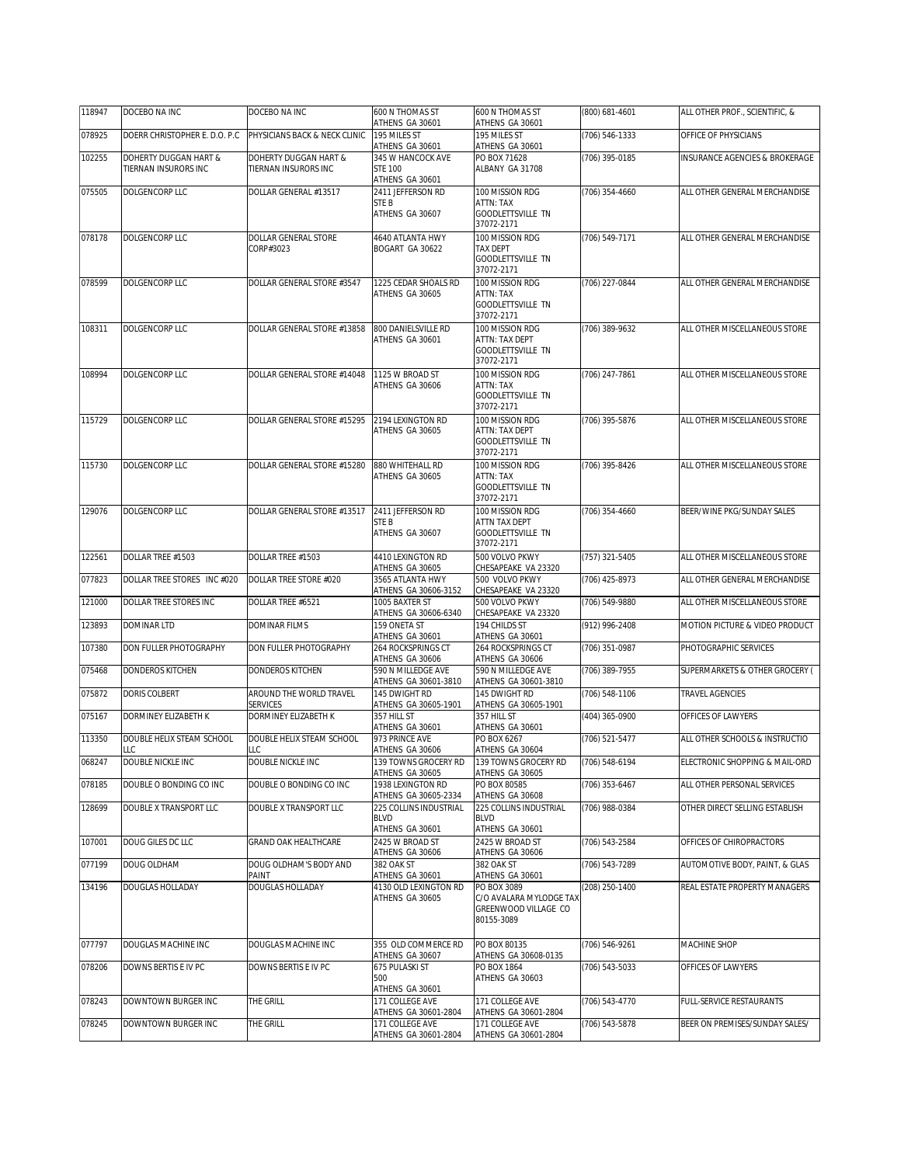| 118947 | DOCEBO NA INC                 | DOCEBO NA INC                              | 600 N THOMAS ST<br>ATHENS GA 30601        | 600 N THOMAS ST<br>ATHENS GA 30601              | (800) 681-4601 | ALL OTHER PROF., SCIENTIFIC, & |
|--------|-------------------------------|--------------------------------------------|-------------------------------------------|-------------------------------------------------|----------------|--------------------------------|
| 078925 | DOERR CHRISTOPHER E. D.O. P.C | PHYSICIANS BACK & NECK CLINIC              | 195 MILES ST<br>ATHENS GA 30601           | 195 MILES ST<br>ATHENS GA 30601                 | (706) 546-1333 | OFFICE OF PHYSICIANS           |
| 102255 | DOHERTY DUGGAN HART &         | DOHERTY DUGGAN HART &                      | 345 W HANCOCK AVE                         | PO BOX 71628                                    | (706) 395-0185 | INSURANCE AGENCIES & BROKERAGE |
|        | TIERNAN INSURORS INC          | TIERNAN INSURORS INC                       | <b>STE 100</b><br>ATHENS GA 30601         | ALBANY GA 31708                                 |                |                                |
| 075505 | DOLGENCORP LLC                | DOLLAR GENERAL #13517                      | 2411 JEFFERSON RD                         | 100 MISSION RDG                                 | (706) 354-4660 | ALL OTHER GENERAL MERCHANDISE  |
|        |                               |                                            | STE B<br>ATHENS GA 30607                  | ATTN: TAX<br>GOODLETTSVILLE TN                  |                |                                |
| 078178 | DOLGENCORP LLC                | DOLLAR GENERAL STORE                       | 4640 ATLANTA HWY                          | 37072-2171<br>100 MISSION RDG                   | (706) 549-7171 |                                |
|        |                               | CORP#3023                                  | BOGART GA 30622                           | TAX DEPT                                        |                | ALL OTHER GENERAL MERCHANDISE  |
|        |                               |                                            |                                           | <b>GOODLETTSVILLE TN</b><br>37072-2171          |                |                                |
| 078599 | DOLGENCORP LLC                | DOLLAR GENERAL STORE #3547                 | 1225 CEDAR SHOALS RD                      | 100 MISSION RDG                                 | (706) 227-0844 | ALL OTHER GENERAL MERCHANDISE  |
|        |                               |                                            | ATHENS GA 30605                           | ATTN: TAX<br>GOODLETTSVILLE TN                  |                |                                |
|        |                               |                                            |                                           | 37072-2171                                      |                |                                |
| 108311 | DOLGENCORP LLC                | DOLLAR GENERAL STORE #13858                | 800 DANIELSVILLE RD<br>ATHENS GA 30601    | 100 MISSION RDG<br>ATTN: TAX DEPT               | (706) 389-9632 | ALL OTHER MISCELLANEOUS STORE  |
|        |                               |                                            |                                           | GOODLETTSVILLE TN<br>37072-2171                 |                |                                |
| 108994 | DOLGENCORP LLC                | DOLLAR GENERAL STORE #14048                | 1125 W BROAD ST                           | 100 MISSION RDG                                 | (706) 247-7861 | ALL OTHER MISCELLANEOUS STORE  |
|        |                               |                                            | ATHENS GA 30606                           | ATTN: TAX<br><b>GOODLETTSVILLE TN</b>           |                |                                |
|        |                               |                                            |                                           | 37072-2171                                      |                |                                |
| 115729 | <b>DOLGENCORP LLC</b>         | DOLLAR GENERAL STORE #15295                | 2194 LEXINGTON RD<br>ATHENS GA 30605      | 100 MISSION RDG<br>ATTN: TAX DEPT               | (706) 395-5876 | ALL OTHER MISCELLANEOUS STORE  |
|        |                               |                                            |                                           | <b>GOODLETTSVILLE TN</b>                        |                |                                |
| 115730 | DOLGENCORP LLC                | DOLLAR GENERAL STORE #15280                | 880 WHITEHALL RD                          | 37072-2171<br>100 MISSION RDG                   | (706) 395-8426 | ALL OTHER MISCELLANEOUS STORE  |
|        |                               |                                            | ATHENS GA 30605                           | ATTN: TAX                                       |                |                                |
|        |                               |                                            |                                           | <b>GOODLETTSVILLE TN</b><br>37072-2171          |                |                                |
| 129076 | <b>DOLGENCORP LLC</b>         | DOLLAR GENERAL STORE #13517                | 2411 JEFFERSON RD                         | 100 MISSION RDG                                 | (706) 354-4660 | BEER/WINE PKG/SUNDAY SALES     |
|        |                               |                                            | STE B<br>ATHENS GA 30607                  | ATTN TAX DEPT<br><b>GOODLETTSVILLE TN</b>       |                |                                |
| 122561 | DOLLAR TREE #1503             | DOLLAR TREE #1503                          | 4410 LEXINGTON RD                         | 37072-2171<br>500 VOLVO PKWY                    |                | ALL OTHER MISCELLANEOUS STORE  |
|        |                               |                                            | ATHENS GA 30605                           | CHESAPEAKE VA 23320                             | (757) 321-5405 |                                |
| 077823 | DOLLAR TREE STORES INC #020   | DOLLAR TREE STORE #020                     | 3565 ATLANTA HWY<br>ATHENS GA 30606-3152  | 500 VOLVO PKWY<br>CHESAPEAKE VA 23320           | (706) 425-8973 | ALL OTHER GENERAL MERCHANDISE  |
| 121000 | DOLLAR TREE STORES INC        | DOLLAR TREE #6521                          | 1005 BAXTER ST<br>ATHENS GA 30606-6340    | 500 VOLVO PKWY<br>CHESAPEAKE VA 23320           | (706) 549-9880 | ALL OTHER MISCELLANEOUS STORE  |
| 123893 | DOMINAR LTD                   | <b>DOMINAR FILMS</b>                       | 159 ONETA ST                              | 194 CHILDS ST                                   | (912) 996-2408 | MOTION PICTURE & VIDEO PRODUCT |
| 107380 | DON FULLER PHOTOGRAPHY        | DON FULLER PHOTOGRAPHY                     | ATHENS GA 30601<br>264 ROCKSPRINGS CT     | ATHENS GA 30601<br>264 ROCKSPRINGS CT           | (706) 351-0987 | PHOTOGRAPHIC SERVICES          |
| 075468 | <b>DONDEROS KITCHEN</b>       | <b>DONDEROS KITCHEN</b>                    | ATHENS GA 30606<br>590 N MILLEDGE AVE     | ATHENS GA 30606<br>590 N MILLEDGE AVE           | (706) 389-7955 | SUPERMARKETS & OTHER GROCERY ( |
|        |                               |                                            | ATHENS GA 30601-3810                      | ATHENS GA 30601-3810                            |                |                                |
| 075872 | <b>DORIS COLBERT</b>          | AROUND THE WORLD TRAVEL<br><b>SERVICES</b> | 145 DWIGHT RD<br>ATHENS GA 30605-1901     | 145 DWIGHT RD<br>ATHENS GA 30605-1901           | (706) 548-1106 | TRAVEL AGENCIES                |
| 075167 | DORMINEY ELIZABETH K          | DORMINEY ELIZABETH K                       | 357 HILL ST<br>ATHENS GA 30601            | 357 HILL ST<br>ATHENS GA 30601                  | (404) 365-0900 | OFFICES OF LAWYERS             |
| 113350 | DOUBLE HELIX STEAM SCHOOL     | DOUBLE HELIX STEAM SCHOOL                  | 973 PRINCE AVE                            | PO BOX 6267                                     | (706) 521-5477 | ALL OTHER SCHOOLS & INSTRUCTIO |
| 068247 | LLC<br>DOUBLE NICKLE INC      | LC<br>DOUBLE NICKLE INC                    | ATHENS GA 30606<br>139 TOWNS GROCERY RD   | ATHENS GA 30604<br>139 TOWNS GROCERY RD         | (706) 548-6194 | ELECTRONIC SHOPPING & MAIL-ORD |
|        |                               |                                            | ATHENS GA 30605                           | ATHENS GA 30605                                 |                |                                |
| 078185 | DOUBLE O BONDING CO INC       | DOUBLE O BONDING CO INC                    | 1938 LEXINGTON RD<br>ATHENS GA 30605-2334 | PO BOX 80585<br>ATHENS GA 30608                 | (706) 353-6467 | ALL OTHER PERSONAL SERVICES    |
| 128699 | DOUBLE X TRANSPORT LLC        | DOUBLE X TRANSPORT LLC                     | 225 COLLINS INDUSTRIAL<br><b>BLVD</b>     | 225 COLLINS INDUSTRIAL<br><b>BLVD</b>           | (706) 988-0384 | OTHER DIRECT SELLING ESTABLISH |
|        |                               |                                            | ATHENS GA 30601                           | ATHENS GA 30601                                 |                |                                |
| 107001 | DOUG GILES DC LLC             | <b>GRAND OAK HEALTHCARE</b>                | 2425 W BROAD ST<br>ATHENS GA 30606        | 2425 W BROAD ST<br>ATHENS GA 30606              | (706) 543-2584 | OFFICES OF CHIROPRACTORS       |
| 077199 | DOUG OLDHAM                   | DOUG OLDHAM'S BODY AND                     | 382 OAK ST                                | 382 OAK ST                                      | (706) 543-7289 | AUTOMOTIVE BODY, PAINT, & GLAS |
| 134196 | DOUGLAS HOLLADAY              | PAINT<br>DOUGLAS HOLLADAY                  | ATHENS GA 30601<br>4130 OLD LEXINGTON RD  | ATHENS GA 30601<br>PO BOX 3089                  | (208) 250-1400 | REAL ESTATE PROPERTY MANAGERS  |
|        |                               |                                            | ATHENS GA 30605                           | C/O AVALARA MYLODGE TAX<br>GREENWOOD VILLAGE CO |                |                                |
|        |                               |                                            |                                           | 80155-3089                                      |                |                                |
| 077797 | DOUGLAS MACHINE INC           | DOUGLAS MACHINE INC                        | 355 OLD COMMERCE RD                       | PO BOX 80135                                    | (706) 546-9261 | MACHINE SHOP                   |
|        |                               |                                            | ATHENS GA 30607                           | ATHENS GA 30608-0135                            |                |                                |
| 078206 | DOWNS BERTIS E IV PC          | DOWNS BERTIS E IV PC                       | 675 PULASKI ST<br>500                     | PO BOX 1864<br>ATHENS GA 30603                  | (706) 543-5033 | OFFICES OF LAWYERS             |
|        |                               |                                            | ATHENS GA 30601                           |                                                 |                |                                |
| 078243 | DOWNTOWN BURGER INC           | THE GRILL                                  | 171 COLLEGE AVE<br>ATHENS GA 30601-2804   | 171 COLLEGE AVE<br>ATHENS GA 30601-2804         | (706) 543-4770 | FULL-SERVICE RESTAURANTS       |
| 078245 | DOWNTOWN BURGER INC           | THE GRILL                                  | 171 COLLEGE AVE<br>ATHENS GA 30601-2804   | 171 COLLEGE AVE<br>ATHENS GA 30601-2804         | (706) 543-5878 | BEER ON PREMISES/SUNDAY SALES/ |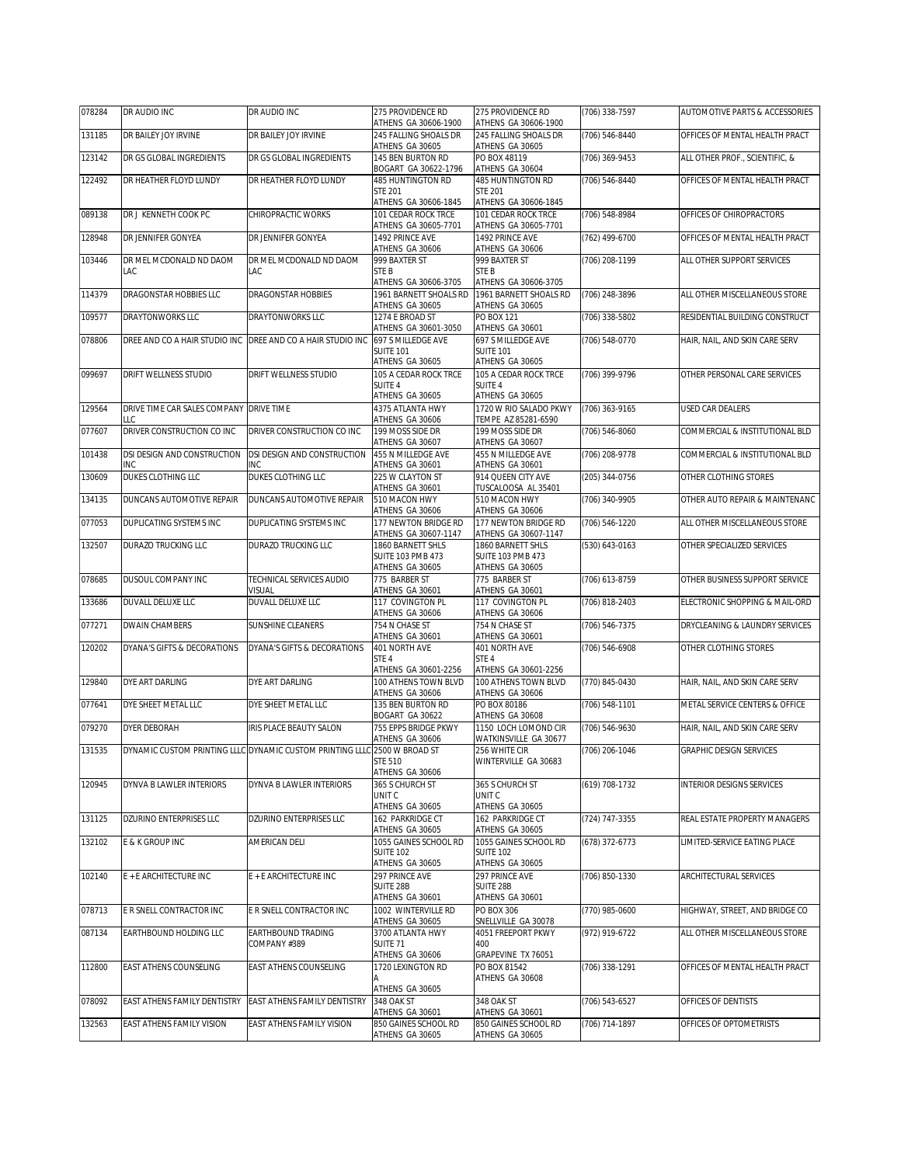| 078284 | DR AUDIO INC                        | DR AUDIO INC                                              | 275 PROVIDENCE RD<br>ATHENS GA 30606-1900                              | 275 PROVIDENCE RD<br>ATHENS GA 30606-1900                              | (706) 338-7597 | AUTOMOTIVE PARTS & ACCESSORIES |
|--------|-------------------------------------|-----------------------------------------------------------|------------------------------------------------------------------------|------------------------------------------------------------------------|----------------|--------------------------------|
| 131185 | DR BAILEY JOY IRVINE                | DR BAILEY JOY IRVINE                                      | 245 FALLING SHOALS DR<br>ATHENS GA 30605                               | 245 FALLING SHOALS DR<br>ATHENS GA 30605                               | (706) 546-8440 | OFFICES OF MENTAL HEALTH PRACT |
| 123142 | DR GS GLOBAL INGREDIENTS            | DR GS GLOBAL INGREDIENTS                                  | 145 BEN BURTON RD<br>BOGART GA 30622-1796                              | PO BOX 48119<br>ATHENS GA 30604                                        | (706) 369-9453 | ALL OTHER PROF., SCIENTIFIC, & |
| 122492 | DR HEATHER FLOYD LUNDY              | DR HEATHER FLOYD LUNDY                                    | 485 HUNTINGTON RD<br><b>STE 201</b><br>ATHENS GA 30606-1845            | 485 HUNTINGTON RD<br><b>STE 201</b><br>ATHENS GA 30606-1845            | (706) 546-8440 | OFFICES OF MENTAL HEALTH PRACT |
| 089138 | DR J KENNETH COOK PC                | CHIROPRACTIC WORKS                                        | 101 CEDAR ROCK TRCE                                                    | 101 CEDAR ROCK TRCE                                                    | (706) 548-8984 | OFFICES OF CHIROPRACTORS       |
| 128948 | DR JENNIFER GONYEA                  | DR JENNIFER GONYEA                                        | ATHENS GA 30605-7701<br>1492 PRINCE AVE<br>ATHENS GA 30606             | ATHENS GA 30605-7701<br>1492 PRINCE AVE<br>ATHENS GA 30606             | (762) 499-6700 | OFFICES OF MENTAL HEALTH PRACT |
| 103446 | DR MEL MCDONALD ND DAOM<br>LAC      | DR MEL MCDONALD ND DAOM<br>LAC                            | 999 BAXTER ST<br>STE B                                                 | 999 BAXTER ST<br>STE <sub>B</sub>                                      | (706) 208-1199 | ALL OTHER SUPPORT SERVICES     |
| 114379 | DRAGONSTAR HOBBIES LLC              | <b>DRAGONSTAR HOBBIES</b>                                 | ATHENS GA 30606-3705<br>1961 BARNETT SHOALS RD                         | ATHENS GA 30606-3705<br>1961 BARNETT SHOALS RD                         | (706) 248-3896 | ALL OTHER MISCELLANEOUS STORE  |
| 109577 | <b>DRAYTONWORKS LLC</b>             | DRAYTONWORKS LLC                                          | ATHENS GA 30605<br>1274 E BROAD ST                                     | ATHENS GA 30605<br>PO BOX 121                                          | (706) 338-5802 | RESIDENTIAL BUILDING CONSTRUCT |
| 078806 | DREE AND CO A HAIR STUDIO INC       | DREE AND CO A HAIR STUDIO INC                             | ATHENS GA 30601-3050<br>697 S MILLEDGE AVE<br><b>SUITE 101</b>         | ATHENS GA 30601<br>697 S MILLEDGE AVE<br><b>SUITE 101</b>              | (706) 548-0770 | HAIR, NAIL, AND SKIN CARE SERV |
| 099697 | DRIFT WELLNESS STUDIO               | DRIFT WELLNESS STUDIO                                     | ATHENS GA 30605<br>105 A CEDAR ROCK TRCE<br>SUITE 4<br>ATHENS GA 30605 | ATHENS GA 30605<br>105 A CEDAR ROCK TRCE<br>SUITE 4<br>ATHENS GA 30605 | (706) 399-9796 | OTHER PERSONAL CARE SERVICES   |
| 129564 | DRIVE TIME CAR SALES COMPANY<br>LLC | <b>DRIVE TIME</b>                                         | 4375 ATLANTA HWY<br>ATHENS GA 30606                                    | 1720 W RIO SALADO PKWY<br>TEMPE AZ 85281-6590                          | (706) 363-9165 | <b>USED CAR DEALERS</b>        |
| 077607 | DRIVER CONSTRUCTION CO INC          | DRIVER CONSTRUCTION CO INC                                | 199 MOSS SIDE DR<br>ATHENS GA 30607                                    | 199 MOSS SIDE DR<br>ATHENS GA 30607                                    | (706) 546-8060 | COMMERCIAL & INSTITUTIONAL BLD |
| 101438 | DSI DESIGN AND CONSTRUCTION<br>INC  | DSI DESIGN AND CONSTRUCTION<br>INC                        | 455 N MILLEDGE AVE<br>ATHENS GA 30601                                  | 455 N MILLEDGE AVE<br>ATHENS GA 30601                                  | (706) 208-9778 | COMMERCIAL & INSTITUTIONAL BLD |
| 130609 | DUKES CLOTHING LLC                  | DUKES CLOTHING LLC                                        | 225 W CLAYTON ST<br>ATHENS GA 30601                                    | 914 QUEEN CITY AVE<br>TUSCALOOSA AL 35401                              | (205) 344-0756 | OTHER CLOTHING STORES          |
| 134135 | DUNCANS AUTOMOTIVE REPAIR           | DUNCANS AUTOMOTIVE REPAIR                                 | 510 MACON HWY<br>ATHENS GA 30606                                       | 510 MACON HWY<br>ATHENS GA 30606                                       | (706) 340-9905 | OTHER AUTO REPAIR & MAINTENANC |
| 077053 | DUPLICATING SYSTEMS INC             | DUPLICATING SYSTEMS INC                                   | 177 NEWTON BRIDGE RD<br>ATHENS GA 30607-1147                           | 177 NEWTON BRIDGE RD<br>ATHENS GA 30607-1147                           | (706) 546-1220 | ALL OTHER MISCELLANEOUS STORE  |
| 132507 | DURAZO TRUCKING LLC                 | DURAZO TRUCKING LLC                                       | 1860 BARNETT SHLS<br>SUITE 103 PMB 473<br>ATHENS GA 30605              | 1860 BARNETT SHLS<br><b>SUITE 103 PMB 473</b><br>ATHENS GA 30605       | (530) 643-0163 | OTHER SPECIALIZED SERVICES     |
| 078685 | DUSOUL COMPANY INC                  | TECHNICAL SERVICES AUDIO<br><b>VISUAL</b>                 | 775 BARBER ST<br>ATHENS GA 30601                                       | 775 BARBER ST<br>ATHENS GA 30601                                       | (706) 613-8759 | OTHER BUSINESS SUPPORT SERVICE |
| 133686 | DUVALL DELUXE LLC                   | DUVALL DELUXE LLC                                         | 117 COVINGTON PL<br>ATHENS GA 30606                                    | 117 COVINGTON PL<br>ATHENS GA 30606                                    | (706) 818-2403 | ELECTRONIC SHOPPING & MAIL-ORD |
| 077271 | DWAIN CHAMBERS                      | SUNSHINE CLEANERS                                         | 754 N CHASE ST<br>ATHENS GA 30601                                      | 754 N CHASE ST<br>ATHENS GA 30601                                      | (706) 546-7375 | DRYCLEANING & LAUNDRY SERVICES |
| 120202 | DYANA'S GIFTS & DECORATIONS         | DYANA'S GIFTS & DECORATIONS                               | 401 NORTH AVE<br>STE 4<br>ATHENS GA 30601-2256                         | 401 NORTH AVE<br>STE 4<br>ATHENS GA 30601-2256                         | (706) 546-6908 | OTHER CLOTHING STORES          |
| 129840 | DYE ART DARLING                     | DYE ART DARLING                                           | 100 ATHENS TOWN BLVD<br>ATHENS GA 30606                                | 100 ATHENS TOWN BLVD<br>ATHENS GA 30606                                | (770) 845-0430 | HAIR, NAIL, AND SKIN CARE SERV |
| 077641 | DYE SHEET METAL LLC                 | DYE SHEET METAL LLC                                       | 135 BEN BURTON RD<br>BOGART GA 30622                                   | PO BOX 80186<br>ATHENS GA 30608                                        | (706) 548-1101 | METAL SERVICE CENTERS & OFFICE |
| 079270 | <b>DYER DEBORAH</b>                 | IRIS PLACE BEAUTY SALON                                   | 755 EPPS BRIDGE PKWY<br>ATHENS GA 30606                                | 1150 LOCH LOMOND CIR<br>WATKINSVILLE GA 30677                          | (706) 546-9630 | HAIR, NAIL, AND SKIN CARE SERV |
| 131535 |                                     | DYNAMIC CUSTOM PRINTING LLLC DYNAMIC CUSTOM PRINTING LLLC | 2500 W BROAD ST<br>STE 510<br>ATHENS GA 30606                          | 256 WHITE CIR<br>WINTERVILLE GA 30683                                  | (706) 206-1046 | GRAPHIC DESIGN SERVICES        |
| 120945 | DYNVA B LAWLER INTERIORS            | DYNVA B LAWLER INTERIORS                                  | 365 S CHURCH ST<br>UNIT C<br>ATHENS GA 30605                           | 365 S CHURCH ST<br>UNIT C<br>ATHENS GA 30605                           | (619) 708-1732 | INTERIOR DESIGNS SERVICES      |
| 131125 | DZURINO ENTERPRISES LLC             | DZURINO ENTERPRISES LLC                                   | 162 PARKRIDGE CT<br>ATHENS GA 30605                                    | 162 PARKRIDGE CT<br>ATHENS GA 30605                                    | (724) 747-3355 | REAL ESTATE PROPERTY MANAGERS  |
| 132102 | E & K GROUP INC                     | AMERICAN DELI                                             | 1055 GAINES SCHOOL RD<br><b>SUITE 102</b><br>ATHENS GA 30605           | 1055 GAINES SCHOOL RD<br><b>SUITE 102</b><br>ATHENS GA 30605           | (678) 372-6773 | LIMITED-SERVICE EATING PLACE   |
| 102140 | E + E ARCHITECTURE INC              | E + E ARCHITECTURE INC                                    | 297 PRINCE AVE<br>SUITE 28B<br>ATHENS GA 30601                         | 297 PRINCE AVE<br>SUITE 28B<br>ATHENS GA 30601                         | (706) 850-1330 | ARCHITECTURAL SERVICES         |
| 078713 | E R SNELL CONTRACTOR INC            | E R SNELL CONTRACTOR INC                                  | 1002 WINTERVILLE RD<br>ATHENS GA 30605                                 | PO BOX 306<br>SNELLVILLE GA 30078                                      | (770) 985-0600 | HIGHWAY, STREET, AND BRIDGE CO |
| 087134 | EARTHBOUND HOLDING LLC              | EARTHBOUND TRADING<br>COMPANY #389                        | 3700 ATLANTA HWY<br>SUITE <sub>71</sub><br>ATHENS GA 30606             | 4051 FREEPORT PKWY<br>400<br>GRAPEVINE TX 76051                        | (972) 919-6722 | ALL OTHER MISCELLANEOUS STORE  |
| 112800 | EAST ATHENS COUNSELING              | EAST ATHENS COUNSELING                                    | 1720 LEXINGTON RD<br>ATHENS GA 30605                                   | PO BOX 81542<br>ATHENS GA 30608                                        | (706) 338-1291 | OFFICES OF MENTAL HEALTH PRACT |
| 078092 | EAST ATHENS FAMILY DENTISTRY        | EAST ATHENS FAMILY DENTISTRY                              | 348 OAK ST<br>ATHENS GA 30601                                          | 348 OAK ST<br>ATHENS GA 30601                                          | (706) 543-6527 | OFFICES OF DENTISTS            |
| 132563 | EAST ATHENS FAMILY VISION           | EAST ATHENS FAMILY VISION                                 | 850 GAINES SCHOOL RD<br>ATHENS GA 30605                                | 850 GAINES SCHOOL RD<br>ATHENS GA 30605                                | (706) 714-1897 | OFFICES OF OPTOMETRISTS        |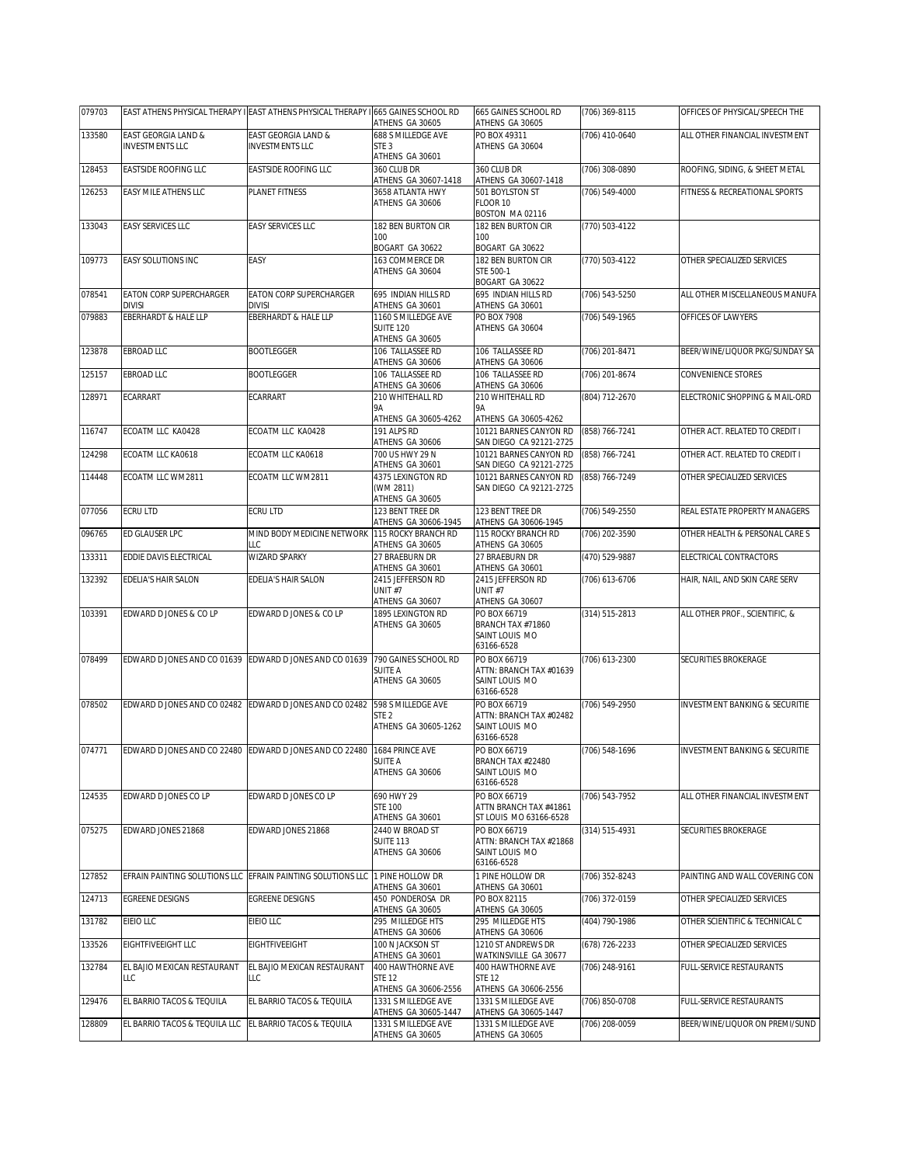| 079703 |                                                         | EAST ATHENS PHYSICAL THERAPY I EAST ATHENS PHYSICAL THERAPY I 665 GAINES SCHOOL RD | ATHENS GA 30605                             | 665 GAINES SCHOOL RD<br>ATHENS GA 30605           | (706) 369-8115 | OFFICES OF PHYSICAL/SPEECH THE            |
|--------|---------------------------------------------------------|------------------------------------------------------------------------------------|---------------------------------------------|---------------------------------------------------|----------------|-------------------------------------------|
| 133580 | EAST GEORGIA LAND &                                     | EAST GEORGIA LAND &                                                                | 688 S MILLEDGE AVE                          | PO BOX 49311                                      | (706) 410-0640 | ALL OTHER FINANCIAL INVESTMENT            |
|        | <b>INVESTMENTS LLC</b>                                  | <b>INVESTMENTS LLC</b>                                                             | STE <sub>3</sub><br>ATHENS GA 30601         | ATHENS GA 30604                                   |                |                                           |
| 128453 | EASTSIDE ROOFING LLC                                    | EASTSIDE ROOFING LLC                                                               | 360 CLUB DR                                 | 360 CLUB DR                                       | (706) 308-0890 | ROOFING, SIDING, & SHEET METAL            |
|        |                                                         |                                                                                    | ATHENS GA 30607-1418                        | ATHENS GA 30607-1418                              |                |                                           |
| 126253 | EASY MILE ATHENS LLC                                    | PLANET FITNESS                                                                     | 3658 ATLANTA HWY<br>ATHENS GA 30606         | 501 BOYLSTON ST<br>FLOOR 10                       | (706) 549-4000 | FITNESS & RECREATIONAL SPORTS             |
|        |                                                         |                                                                                    |                                             | BOSTON MA02116                                    |                |                                           |
| 133043 | EASY SERVICES LLC                                       | <b>EASY SERVICES LLC</b>                                                           | 182 BEN BURTON CIR                          | 182 BEN BURTON CIR                                | (770) 503-4122 |                                           |
|        |                                                         |                                                                                    | 100<br>BOGART GA 30622                      | 100<br>BOGART GA 30622                            |                |                                           |
| 109773 | EASY SOLUTIONS INC                                      | EASY                                                                               | 163 COMMERCE DR                             | 182 BEN BURTON CIR                                | (770) 503-4122 | OTHER SPECIALIZED SERVICES                |
|        |                                                         |                                                                                    | ATHENS GA 30604                             | STE 500-1                                         |                |                                           |
| 078541 | EATON CORP SUPERCHARGER                                 | <b>EATON CORP SUPERCHARGER</b>                                                     | 695 INDIAN HILLS RD                         | BOGART GA 30622<br>695 INDIAN HILLS RD            | (706) 543-5250 | ALL OTHER MISCELLANEOUS MANUFA            |
|        | <b>DIVISI</b>                                           | <b>DIVISI</b>                                                                      | ATHENS GA 30601                             | ATHENS GA 30601                                   |                |                                           |
| 079883 | EBERHARDT & HALE LLP                                    | EBERHARDT & HALE LLP                                                               | 1160 S MILLEDGE AVE                         | PO BOX 7908                                       | (706) 549-1965 | OFFICES OF LAWYERS                        |
|        |                                                         |                                                                                    | <b>SUITE 120</b><br>ATHENS GA 30605         | ATHENS GA 30604                                   |                |                                           |
| 123878 | EBROAD LLC                                              | <b>BOOTLEGGER</b>                                                                  | 106 TALLASSEE RD                            | 106 TALLASSEE RD                                  | (706) 201-8471 | BEER/WINE/LIQUOR PKG/SUNDAY SA            |
| 125157 | EBROAD LLC                                              | <b>BOOTLEGGER</b>                                                                  | ATHENS GA 30606<br>106 TALLASSEE RD         | ATHENS GA 30606<br>106 TALLASSEE RD               |                | <b>CONVENIENCE STORES</b>                 |
|        |                                                         |                                                                                    | ATHENS GA 30606                             | ATHENS GA 30606                                   | (706) 201-8674 |                                           |
| 128971 | ECARRART                                                | ECARRART                                                                           | 210 WHITEHALL RD                            | 210 WHITEHALL RD                                  | (804) 712-2670 | ELECTRONIC SHOPPING & MAIL-ORD            |
|        |                                                         |                                                                                    | 9Α<br>ATHENS GA 30605-4262                  | <b>9A</b><br>ATHENS GA 30605-4262                 |                |                                           |
| 116747 | ECOATM LLC KA0428                                       | ECOATM LLC KA0428                                                                  | 191 ALPS RD                                 | 10121 BARNES CANYON RD                            | (858) 766-7241 | OTHER ACT. RELATED TO CREDIT I            |
|        |                                                         |                                                                                    | ATHENS GA 30606                             | SAN DIEGO CA 92121-2725                           |                |                                           |
| 124298 | ECOATM LLC KA0618                                       | ECOATM LLC KA0618                                                                  | 700 US HWY 29 N<br>ATHENS GA 30601          | 10121 BARNES CANYON RD<br>SAN DIEGO CA 92121-2725 | (858) 766-7241 | OTHER ACT. RELATED TO CREDIT I            |
| 114448 | ECOATM LLC WM2811                                       | ECOATM LLC WM2811                                                                  | 4375 LEXINGTON RD                           | 10121 BARNES CANYON RD                            | (858) 766-7249 | OTHER SPECIALIZED SERVICES                |
|        |                                                         |                                                                                    | (WM 2811)                                   | SAN DIEGO CA 92121-2725                           |                |                                           |
| 077056 | <b>ECRU LTD</b>                                         | ECRU LTD                                                                           | ATHENS GA 30605<br>123 BENT TREE DR         | 123 BENT TREE DR                                  | (706) 549-2550 | REAL ESTATE PROPERTY MANAGERS             |
|        |                                                         |                                                                                    | ATHENS GA 30606-1945                        | ATHENS GA 30606-1945                              |                |                                           |
| 096765 | ED GLAUSER LPC                                          | MIND BODY MEDICINE NETWORK<br>LLC                                                  | 115 ROCKY BRANCH RD<br>ATHENS GA 30605      | 115 ROCKY BRANCH RD<br>ATHENS GA 30605            | (706) 202-3590 | OTHER HEALTH & PERSONAL CARE S            |
| 133311 | EDDIE DAVIS ELECTRICAL                                  | <b>WIZARD SPARKY</b>                                                               | 27 BRAEBURN DR                              | 27 BRAEBURN DR                                    | (470) 529-9887 | ELECTRICAL CONTRACTORS                    |
|        |                                                         |                                                                                    | ATHENS GA 30601                             | ATHENS GA 30601                                   |                |                                           |
| 132392 | EDELIA'S HAIR SALON                                     | EDELIA'S HAIR SALON                                                                | 2415 JEFFERSON RD<br>UNIT#7                 | 2415 JEFFERSON RD<br>UNIT#7                       | (706) 613-6706 | HAIR, NAIL, AND SKIN CARE SERV            |
|        |                                                         |                                                                                    | ATHENS GA 30607                             | ATHENS GA 30607                                   |                |                                           |
| 103391 | EDWARD D JONES & CO LP                                  | EDWARD D JONES & CO LP                                                             | 1895 LEXINGTON RD<br>ATHENS GA 30605        | PO BOX 66719<br>BRANCH TAX #71860                 | (314) 515-2813 | ALL OTHER PROF., SCIENTIFIC, &            |
|        |                                                         |                                                                                    |                                             | SAINT LOUIS MO                                    |                |                                           |
|        |                                                         |                                                                                    |                                             | 63166-6528                                        |                |                                           |
| 078499 | EDWARD D JONES AND CO 01639 EDWARD D JONES AND CO 01639 |                                                                                    | 790 GAINES SCHOOL RD<br>SUITE A             | PO BOX 66719<br>ATTN: BRANCH TAX #01639           | (706) 613-2300 | SECURITIES BROKERAGE                      |
|        |                                                         |                                                                                    | ATHENS GA 30605                             | SAINT LOUIS MO                                    |                |                                           |
| 078502 | EDWARD D JONES AND CO 02482                             | EDWARD D JONES AND CO 02482                                                        | 598 S MILLEDGE AVE                          | 63166-6528<br>PO BOX 66719                        | (706) 549-2950 | INVESTMENT BANKING & SECURITIE            |
|        |                                                         |                                                                                    | STE 2                                       | ATTN: BRANCH TAX #02482                           |                |                                           |
|        |                                                         |                                                                                    | ATHENS GA 30605-1262                        | SAINT LOUIS MO                                    |                |                                           |
| 074771 | EDWARD D JONES AND CO 22480                             | EDWARD D JONES AND CO 22480                                                        | 1684 PRINCE AVE                             | 63166-6528<br>PO BOX 66719                        | (706) 548-1696 | <b>INVESTMENT BANKING &amp; SECURITIE</b> |
|        |                                                         |                                                                                    | SUITE A                                     | BRANCH TAX #22480                                 |                |                                           |
|        |                                                         |                                                                                    | ATHENS GA 30606                             | SAINT LOUIS MO<br>63166-6528                      |                |                                           |
| 124535 | EDWARD D JONES CO LP                                    | EDWARD D JONES CO LP                                                               | 690 HWY 29                                  | PO BOX 66719                                      | (706) 543-7952 | ALL OTHER FINANCIAL INVESTMENT            |
|        |                                                         |                                                                                    | <b>STE 100</b>                              | ATTN BRANCH TAX #41861                            |                |                                           |
| 075275 | EDWARD JONES 21868                                      | EDWARD JONES 21868                                                                 | ATHENS GA 30601<br>2440 W BROAD ST          | ST LOUIS MO 63166-6528<br>PO BOX 66719            | (314) 515-4931 | SECURITIES BROKERAGE                      |
|        |                                                         |                                                                                    | <b>SUITE 113</b>                            | ATTN: BRANCH TAX #21868                           |                |                                           |
|        |                                                         |                                                                                    | ATHENS GA 30606                             | SAINT LOUIS MO<br>63166-6528                      |                |                                           |
| 127852 |                                                         | EFRAIN PAINTING SOLUTIONS LLC EFRAIN PAINTING SOLUTIONS LLC 1 PINE HOLLOW DR       |                                             | 1 PINE HOLLOW DR                                  | (706) 352-8243 | PAINTING AND WALL COVERING CON            |
|        |                                                         |                                                                                    | ATHENS GA 30601                             | ATHENS GA 30601                                   |                |                                           |
| 124713 | EGREENE DESIGNS                                         | <b>EGREENE DESIGNS</b>                                                             | 450 PONDEROSA DR<br>ATHENS GA 30605         | PO BOX 82115<br>ATHENS GA 30605                   | (706) 372-0159 | OTHER SPECIALIZED SERVICES                |
| 131782 | EIEIO LLC                                               | EIEIO LLC                                                                          | 295 MILLEDGE HTS                            | 295 MILLEDGE HTS                                  | (404) 790-1986 | OTHER SCIENTIFIC & TECHNICAL C            |
| 133526 | EIGHTFIVEEIGHT LLC                                      | EIGHTFIVEEIGHT                                                                     | ATHENS GA 30606<br>100 N JACKSON ST         | ATHENS GA 30606<br>1210 ST ANDREWS DR             | (678) 726-2233 | OTHER SPECIALIZED SERVICES                |
|        |                                                         |                                                                                    | ATHENS GA 30601                             | WATKINSVILLE GA 30677                             |                |                                           |
| 132784 | EL BAJIO MEXICAN RESTAURANT                             | EL BAJIO MEXICAN RESTAURANT                                                        | 400 HAWTHORNE AVE                           | 400 HAWTHORNE AVE                                 | (706) 248-9161 | FULL-SERVICE RESTAURANTS                  |
|        | LLC                                                     | LLC                                                                                | STE 12<br>ATHENS GA 30606-2556              | <b>STE 12</b><br>ATHENS GA 30606-2556             |                |                                           |
| 129476 | EL BARRIO TACOS & TEQUILA                               | EL BARRIO TACOS & TEQUILA                                                          | 1331 S MILLEDGE AVE                         | 1331 S MILLEDGE AVE                               | (706) 850-0708 | FULL-SERVICE RESTAURANTS                  |
| 128809 | EL BARRIO TACOS & TEQUILA LLC                           | EL BARRIO TACOS & TEQUILA                                                          | ATHENS GA 30605-1447<br>1331 S MILLEDGE AVE | ATHENS GA 30605-1447<br>1331 S MILLEDGE AVE       | (706) 208-0059 | BEER/WINE/LIQUOR ON PREMI/SUND            |
|        |                                                         |                                                                                    | ATHENS GA 30605                             | ATHENS GA 30605                                   |                |                                           |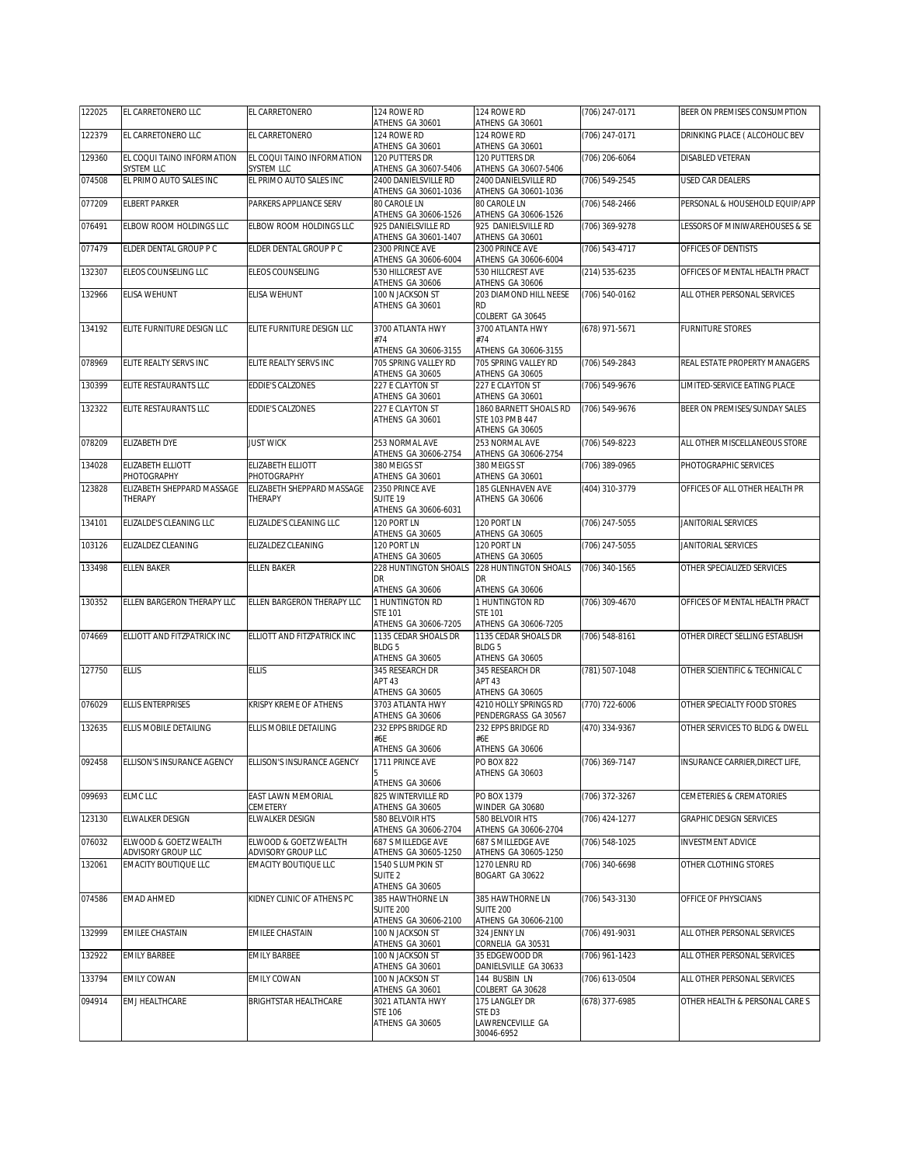| 122025 | EL CARRETONERO LLC                                    | EL CARRETONERO                             | 124 ROWE RD<br>ATHENS GA 30601                        | 124 ROWE RD<br>ATHENS GA 30601                               | (706) 247-0171 | BEER ON PREMISES CONSUMPTION    |
|--------|-------------------------------------------------------|--------------------------------------------|-------------------------------------------------------|--------------------------------------------------------------|----------------|---------------------------------|
| 122379 | EL CARRETONERO LLC                                    | EL CARRETONERO                             | 124 ROWE RD<br>ATHENS GA 30601                        | 124 ROWE RD<br>ATHENS GA 30601                               | (706) 247-0171 | DRINKING PLACE ( ALCOHOLIC BEV  |
| 129360 | EL COQUI TAINO INFORMATION<br><b>SYSTEM LLC</b>       | EL COQUI TAINO INFORMATION<br>SYSTEM LLC   | 120 PUTTERS DR<br>ATHENS GA 30607-5406                | 120 PUTTERS DR<br>ATHENS GA 30607-5406                       | (706) 206-6064 | DISABLED VETERAN                |
| 074508 | EL PRIMO AUTO SALES INC                               | EL PRIMO AUTO SALES INC                    | 2400 DANIELSVILLE RD                                  | 2400 DANIELSVILLE RD                                         | (706) 549-2545 | USED CAR DEALERS                |
| 077209 | <b>ELBERT PARKER</b>                                  | PARKERS APPLIANCE SERV                     | ATHENS GA 30601-1036<br>80 CAROLE LN                  | ATHENS GA 30601-1036<br>80 CAROLE LN                         | (706) 548-2466 | PERSONAL & HOUSEHOLD EQUIP/APP  |
| 076491 | ELBOW ROOM HOLDINGS LLC                               | ELBOW ROOM HOLDINGS LLC                    | ATHENS GA 30606-1526<br>925 DANIELSVILLE RD           | ATHENS GA 30606-1526<br>925 DANIELSVILLE RD                  | (706) 369-9278 | LESSORS OF MINIWAREHOUSES & SE  |
| 077479 | ELDER DENTAL GROUP P C                                | ELDER DENTAL GROUP P C                     | ATHENS GA 30601-1407<br>2300 PRINCE AVE               | ATHENS GA 30601<br>2300 PRINCE AVE                           | (706) 543-4717 | OFFICES OF DENTISTS             |
| 132307 | ELEOS COUNSELING LLC                                  | ELEOS COUNSELING                           | ATHENS GA 30606-6004<br>530 HILLCREST AVE             | ATHENS GA 30606-6004<br>530 HILLCREST AVE                    | (214) 535-6235 | OFFICES OF MENTAL HEALTH PRACT  |
| 132966 | <b>ELISA WEHUNT</b>                                   | ELISA WEHUNT                               | ATHENS GA 30606<br>100 N JACKSON ST                   | ATHENS GA 30606<br>203 DIAMOND HILL NEESE                    | (706) 540-0162 | ALL OTHER PERSONAL SERVICES     |
|        |                                                       |                                            | ATHENS GA 30601                                       | RD.<br>COLBERT GA 30645                                      |                |                                 |
| 134192 | ELITE FURNITURE DESIGN LLC                            | ELITE FURNITURE DESIGN LLC                 | 3700 ATLANTA HWY<br>#74                               | 3700 ATLANTA HWY<br>#74                                      | (678) 971-5671 | FURNITURE STORES                |
| 078969 | ELITE REALTY SERVS INC                                | ELITE REALTY SERVS INC                     | ATHENS GA 30606-3155<br>705 SPRING VALLEY RD          | ATHENS GA 30606-3155<br>705 SPRING VALLEY RD                 | (706) 549-2843 | REAL ESTATE PROPERTY MANAGERS   |
| 130399 | ELITE RESTAURANTS LLC                                 | EDDIE'S CALZONES                           | ATHENS GA 30605<br>227 E CLAYTON ST                   | ATHENS GA 30605<br>227 E CLAYTON ST                          | (706) 549-9676 | LIMITED-SERVICE EATING PLACE    |
|        |                                                       |                                            | ATHENS GA 30601                                       | ATHENS GA 30601                                              |                |                                 |
| 132322 | ELITE RESTAURANTS LLC                                 | EDDIE'S CALZONES                           | 227 E CLAYTON ST<br>ATHENS GA 30601                   | 1860 BARNETT SHOALS RD<br>STE 103 PMB 447<br>ATHENS GA 30605 | (706) 549-9676 | BEER ON PREMISES/SUNDAY SALES   |
| 078209 | ELIZABETH DYE                                         | <b>JUST WICK</b>                           | 253 NORMAL AVE<br>ATHENS GA 30606-2754                | 253 NORMAL AVE<br>ATHENS GA 30606-2754                       | (706) 549-8223 | ALL OTHER MISCELLANEOUS STORE   |
| 134028 | ELIZABETH ELLIOTT<br>PHOTOGRAPHY                      | ELIZABETH ELLIOTT<br>PHOTOGRAPHY           | 380 MEIGS ST<br>ATHENS GA 30601                       | 380 MEIGS ST<br>ATHENS GA 30601                              | (706) 389-0965 | PHOTOGRAPHIC SERVICES           |
| 123828 | ELIZABETH SHEPPARD MASSAGE<br>THERAPY                 | ELIZABETH SHEPPARD MASSAGE<br>THERAPY      | 2350 PRINCE AVE<br>SUITE 19                           | 185 GLENHAVEN AVE                                            | (404) 310-3779 | OFFICES OF ALL OTHER HEALTH PR  |
|        |                                                       |                                            | ATHENS GA 30606-6031                                  | ATHENS GA 30606                                              |                |                                 |
| 134101 | ELIZALDE'S CLEANING LLC                               | ELIZALDE'S CLEANING LLC                    | 120 PORT LN<br>ATHENS GA 30605                        | 120 PORT LN<br>ATHENS GA 30605                               | (706) 247-5055 | JANITORIAL SERVICES             |
| 103126 | ELIZALDEZ CLEANING                                    | ELIZALDEZ CLEANING                         | 120 PORT LN<br>ATHENS GA 30605                        | 120 PORT LN<br>ATHENS GA 30605                               | (706) 247-5055 | JANITORIAL SERVICES             |
| 133498 | <b>ELLEN BAKER</b>                                    | <b>ELLEN BAKER</b>                         | 228 HUNTINGTON SHOALS<br>DR                           | 228 HUNTINGTON SHOALS<br>DR                                  | (706) 340-1565 | OTHER SPECIALIZED SERVICES      |
| 130352 | ELLEN BARGERON THERAPY LLC                            | ELLEN BARGERON THERAPY LLC                 | ATHENS GA 30606<br>1 HUNTINGTON RD                    | ATHENS GA 30606<br>1 HUNTINGTON RD                           | (706) 309-4670 | OFFICES OF MENTAL HEALTH PRACT  |
|        |                                                       |                                            | <b>STE 101</b><br>ATHENS GA 30606-7205                | <b>STE 101</b><br>ATHENS GA 30606-7205                       |                |                                 |
| 074669 | ELLIOTT AND FITZPATRICK INC                           | ELLIOTT AND FITZPATRICK INC                | 1135 CEDAR SHOALS DR<br>BLDG <sub>5</sub>             | 1135 CEDAR SHOALS DR<br>BLDG <sub>5</sub>                    | (706) 548-8161 | OTHER DIRECT SELLING ESTABLISH  |
| 127750 | <b>ELLIS</b>                                          | <b>ELLIS</b>                               | ATHENS GA 30605<br>345 RESEARCH DR                    | ATHENS GA 30605<br>345 RESEARCH DR                           | (781) 507-1048 | OTHER SCIENTIFIC & TECHNICAL C  |
|        |                                                       |                                            | APT <sub>43</sub><br>ATHENS GA 30605                  | APT 43<br>ATHENS GA 30605                                    |                |                                 |
| 076029 | <b>ELLIS ENTERPRISES</b>                              | KRISPY KREME OF ATHENS                     | 3703 ATLANTA HWY<br>ATHENS GA 30606                   | 4210 HOLLY SPRINGS RD<br>PENDERGRASS GA 30567                | (770) 722-6006 | OTHER SPECIALTY FOOD STORES     |
| 132635 | ELLIS MOBILE DETAILING                                | ELLIS MOBILE DETAILING                     | 232 EPPS BRIDGE RD<br>#6E                             | 232 EPPS BRIDGE RD<br>#6E                                    | (470) 334-9367 | OTHER SERVICES TO BLDG & DWELL  |
|        |                                                       |                                            | ATHENS GA 30606                                       | ATHENS GA 30606                                              |                |                                 |
| 092458 | ELLISON'S INSURANCE AGENCY ELLISON'S INSURANCE AGENCY |                                            | 1711 PRINCE AVE<br>5                                  | <b>PO BOX 822</b><br>ATHENS GA 30603                         | (706) 369-7147 | INSURANCE CARRIER, DIRECT LIFE, |
| 099693 | ELMC LLC                                              | EAST LAWN MEMORIAL                         | ATHENS GA 30606<br>825 WINTERVILLE RD                 | PO BOX 1379                                                  | (706) 372-3267 | CEMETERIES & CREMATORIES        |
| 123130 | ELWALKER DESIGN                                       | CEMETERY<br>ELWALKER DESIGN                | ATHENS GA 30605<br>580 BELVOIR HTS                    | WINDER GA 30680<br>580 BELVOIR HTS                           | (706) 424-1277 | GRAPHIC DESIGN SERVICES         |
| 076032 | ELWOOD & GOETZ WEALTH                                 | ELWOOD & GOETZ WEALTH                      | ATHENS GA 30606-2704<br>687 S MILLEDGE AVE            | ATHENS GA 30606-2704<br>687 S MILLEDGE AVE                   | (706) 548-1025 | <b>INVESTMENT ADVICE</b>        |
| 132061 | ADVISORY GROUP LLC<br><b>EMACITY BOUTIQUE LLC</b>     | ADVISORY GROUP LLC<br>EMACITY BOUTIQUE LLC | ATHENS GA 30605-1250<br>1540 S LUMPKIN ST             | ATHENS GA 30605-1250<br>1270 LENRU RD                        | (706) 340-6698 | OTHER CLOTHING STORES           |
|        |                                                       |                                            | SUITE <sub>2</sub><br>ATHENS GA 30605                 | BOGART GA 30622                                              |                |                                 |
| 074586 | <b>EMAD AHMED</b>                                     | KIDNEY CLINIC OF ATHENS PC                 | 385 HAWTHORNE LN<br>SUITE 200<br>ATHENS GA 30606-2100 | 385 HAWTHORNE LN<br><b>SUITE 200</b><br>ATHENS GA 30606-2100 | (706) 543-3130 | OFFICE OF PHYSICIANS            |
| 132999 | <b>EMILEE CHASTAIN</b>                                | <b>EMILEE CHASTAIN</b>                     | 100 N JACKSON ST<br>ATHENS GA 30601                   | 324 JENNY LN<br>CORNELIA GA 30531                            | (706) 491-9031 | ALL OTHER PERSONAL SERVICES     |
| 132922 | <b>EMILY BARBEE</b>                                   | <b>EMILY BARBEE</b>                        | 100 N JACKSON ST<br>ATHENS GA 30601                   | 35 EDGEWOOD DR<br>DANIELSVILLE GA 30633                      | (706) 961-1423 | ALL OTHER PERSONAL SERVICES     |
| 133794 | <b>EMILY COWAN</b>                                    | EMILY COWAN                                | 100 N JACKSON ST<br>ATHENS GA 30601                   | 144 BUSBIN LN<br>COLBERT GA 30628                            | (706) 613-0504 | ALL OTHER PERSONAL SERVICES     |
| 094914 | <b>EMJ HEALTHCARE</b>                                 | BRIGHTSTAR HEALTHCARE                      | 3021 ATLANTA HWY<br><b>STE 106</b><br>ATHENS GA 30605 | 175 LANGLEY DR<br>STE D3<br>LAWRENCEVILLE GA<br>30046-6952   | (678) 377-6985 | OTHER HEALTH & PERSONAL CARE S  |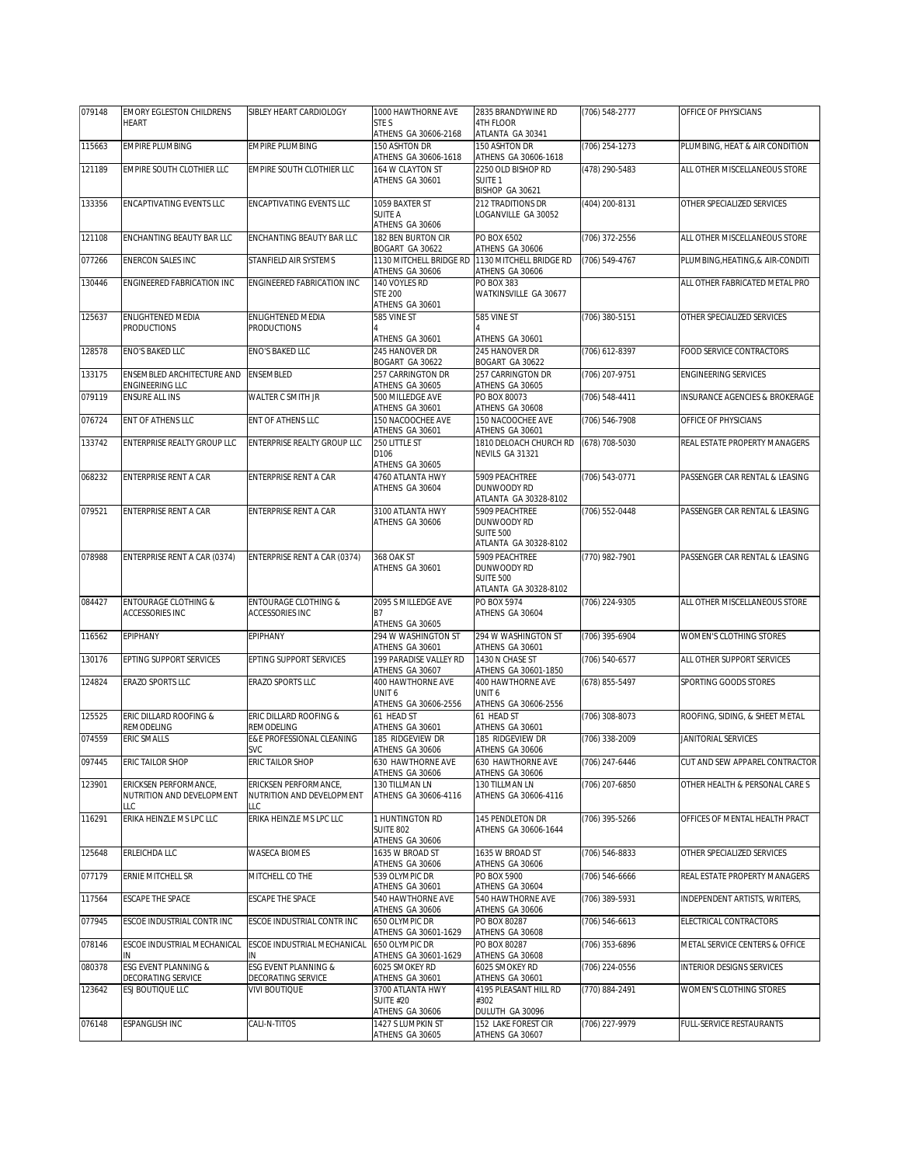| 079148 | <b>EMORY EGLESTON CHILDRENS</b>                    | SIBLEY HEART CARDIOLOGY                 | 1000 HAWTHORNE AVE                     | 2835 BRANDYWINE RD                        | (706) 548-2777 | OFFICE OF PHYSICIANS                      |
|--------|----------------------------------------------------|-----------------------------------------|----------------------------------------|-------------------------------------------|----------------|-------------------------------------------|
|        | <b>HEART</b>                                       |                                         | STE S<br>ATHENS GA 30606-2168          | 4TH FLOOR<br>ATLANTA GA 30341             |                |                                           |
| 115663 | <b>EMPIRE PLUMBING</b>                             | <b>FMPIRE PLUMBING</b>                  | 150 ASHTON DR                          | 150 ASHTON DR                             | (706) 254-1273 | PLUMBING, HEAT & AIR CONDITION            |
|        |                                                    |                                         | ATHENS GA 30606-1618                   | ATHENS GA 30606-1618                      |                |                                           |
| 121189 | EMPIRE SOUTH CLOTHIER LLC                          | EMPIRE SOUTH CLOTHIER LLC               | 164 W CLAYTON ST                       | 2250 OLD BISHOP RD                        | (478) 290-5483 | ALL OTHER MISCELLANEOUS STORE             |
|        |                                                    |                                         | ATHENS GA 30601                        | SUITE <sub>1</sub><br>BISHOP GA 30621     |                |                                           |
| 133356 | <b>ENCAPTIVATING EVENTS LLC</b>                    | ENCAPTIVATING EVENTS LLC                | 1059 BAXTER ST                         | 212 TRADITIONS DR                         | (404) 200-8131 | OTHER SPECIALIZED SERVICES                |
|        |                                                    |                                         | <b>SUITE A</b>                         | LOGANVILLE GA 30052                       |                |                                           |
|        |                                                    |                                         | ATHENS GA 30606                        |                                           |                |                                           |
| 121108 | ENCHANTING BEAUTY BAR LLC                          | ENCHANTING BEAUTY BAR LLC               | 182 BEN BURTON CIR<br>BOGART GA 30622  | PO BOX 6502<br>ATHENS GA 30606            | (706) 372-2556 | ALL OTHER MISCELLANEOUS STORE             |
| 077266 | <b>ENERCON SALES INC</b>                           | STANFIELD AIR SYSTEMS                   | 1130 MITCHELL BRIDGE RD                | 1130 MITCHELL BRIDGE RD                   | (706) 549-4767 | PLUMBING, HEATING, & AIR-CONDITI          |
|        |                                                    |                                         | ATHENS GA 30606                        | ATHENS GA 30606                           |                |                                           |
| 130446 | <b>ENGINEERED FABRICATION INC</b>                  | ENGINEERED FABRICATION INC              | 140 VOYLES RD<br><b>STE 200</b>        | PO BOX 383<br>WATKINSVILLE GA 30677       |                | ALL OTHER FABRICATED METAL PRO            |
|        |                                                    |                                         | ATHENS GA 30601                        |                                           |                |                                           |
| 125637 | <b>ENLIGHTENED MEDIA</b>                           | ENLIGHTENED MEDIA                       | 585 VINE ST                            | 585 VINE ST                               | (706) 380-5151 | OTHER SPECIALIZED SERVICES                |
|        | <b>PRODUCTIONS</b>                                 | <b>PRODUCTIONS</b>                      |                                        |                                           |                |                                           |
| 128578 | ENO'S BAKED LLC                                    | ENO'S BAKED LLC                         | ATHENS GA 30601<br>245 HANOVER DR      | ATHENS GA 30601<br>245 HANOVER DR         | (706) 612-8397 | FOOD SERVICE CONTRACTORS                  |
|        |                                                    |                                         | BOGART GA 30622                        | BOGART GA 30622                           |                |                                           |
| 133175 | ENSEMBLED ARCHITECTURE AND                         | <b>ENSEMBLED</b>                        | 257 CARRINGTON DR                      | 257 CARRINGTON DR                         | (706) 207-9751 | <b>ENGINEERING SERVICES</b>               |
|        | ENGINEERING LLC                                    |                                         | ATHENS GA 30605                        | ATHENS GA 30605                           |                |                                           |
| 079119 | <b>ENSURE ALL INS</b>                              | WALTER C SMITH JR                       | 500 MILLEDGE AVE<br>ATHENS GA 30601    | PO BOX 80073<br>ATHENS GA 30608           | (706) 548-4411 | <b>INSURANCE AGENCIES &amp; BROKERAGE</b> |
| 076724 | ENT OF ATHENS LLC                                  | ENT OF ATHENS LLC                       | 150 NACOOCHEE AVE                      | 150 NACOOCHEE AVE                         | (706) 546-7908 | OFFICE OF PHYSICIANS                      |
|        |                                                    |                                         | ATHENS GA 30601                        | ATHENS GA 30601                           |                |                                           |
| 133742 | ENTERPRISE REALTY GROUP LLC                        | ENTERPRISE REALTY GROUP LLC             | 250 LITTLE ST                          | 1810 DELOACH CHURCH RD                    | (678) 708-5030 | REAL ESTATE PROPERTY MANAGERS             |
|        |                                                    |                                         | D106<br>ATHENS GA 30605                | NEVILS GA 31321                           |                |                                           |
| 068232 | ENTERPRISE RENT A CAR                              | ENTERPRISE RENT A CAR                   | 4760 ATLANTA HWY                       | 5909 PEACHTREE                            | (706) 543-0771 | PASSENGER CAR RENTAL & LEASING            |
|        |                                                    |                                         | ATHENS GA 30604                        | DUNWOODY RD                               |                |                                           |
|        |                                                    |                                         |                                        | ATLANTA GA 30328-8102                     |                |                                           |
| 079521 | ENTERPRISE RENT A CAR                              | ENTERPRISE RENT A CAR                   | 3100 ATLANTA HWY<br>ATHENS GA 30606    | 5909 PEACHTREE<br>DUNWOODY RD             | (706) 552-0448 | PASSENGER CAR RENTAL & LEASING            |
|        |                                                    |                                         |                                        | <b>SUITE 500</b>                          |                |                                           |
|        |                                                    |                                         |                                        | ATLANTA GA 30328-8102                     |                |                                           |
| 078988 | ENTERPRISE RENT A CAR (0374)                       | ENTERPRISE RENT A CAR (0374)            | 368 OAK ST                             | 5909 PEACHTREE                            | (770) 982-7901 | PASSENGER CAR RENTAL & LEASING            |
|        |                                                    |                                         | ATHENS GA 30601                        | DUNWOODY RD<br><b>SUITE 500</b>           |                |                                           |
|        |                                                    |                                         |                                        | ATLANTA GA 30328-8102                     |                |                                           |
| 084427 | <b>ENTOURAGE CLOTHING &amp;</b>                    | <b>ENTOURAGE CLOTHING &amp;</b>         | 2095 S MILLEDGE AVE                    | PO BOX 5974                               | (706) 224-9305 | ALL OTHER MISCELLANEOUS STORE             |
|        | ACCESSORIES INC                                    | <b>ACCESSORIES INC</b>                  | В7                                     | ATHENS GA 30604                           |                |                                           |
| 116562 | EPIPHANY                                           | EPIPHANY                                | ATHENS GA 30605<br>294 W WASHINGTON ST | 294 W WASHINGTON ST                       | (706) 395-6904 | WOMEN'S CLOTHING STORES                   |
|        |                                                    |                                         | ATHENS GA 30601                        | ATHENS GA 30601                           |                |                                           |
| 130176 | EPTING SUPPORT SERVICES                            | EPTING SUPPORT SERVICES                 | 199 PARADISE VALLEY RD                 | 1430 N CHASE ST                           | (706) 540-6577 | ALL OTHER SUPPORT SERVICES                |
| 124824 | ERAZO SPORTS LLC                                   | <b>ERAZO SPORTS LLC</b>                 | ATHENS GA 30607<br>400 HAWTHORNE AVE   | ATHENS GA 30601-1850<br>400 HAWTHORNE AVE |                | SPORTING GOODS STORES                     |
|        |                                                    |                                         | UNIT <sub>6</sub>                      | UNIT <sub>6</sub>                         | (678) 855-5497 |                                           |
|        |                                                    |                                         | ATHENS GA 30606-2556                   | ATHENS GA 30606-2556                      |                |                                           |
| 125525 | ERIC DILLARD ROOFING &                             | ERIC DILLARD ROOFING &                  | 61 HEAD ST                             | 61 HEAD ST                                | (706) 308-8073 | ROOFING, SIDING, & SHEET METAL            |
| 074559 | REMODELING<br>ERIC SMALLS                          | REMODELING<br>E&E PROFESSIONAL CLEANING | ATHENS GA 30601<br>185 RIDGEVIEW DR    | ATHENS GA 30601<br>185 RIDGEVIEW DR       | (706) 338-2009 | <b>JANITORIAL SERVICES</b>                |
|        |                                                    | <b>SVC</b>                              | ATHENS GA 30606                        | ATHENS GA 30606                           |                |                                           |
| 097445 | <b>ERIC TAILOR SHOP</b>                            | ERIC TAILOR SHOP                        | 630 HAWTHORNE AVE                      | 630 HAWTHORNE AVE                         | (706) 247-6446 | CUT AND SEW APPAREL CONTRACTOR            |
|        |                                                    | ERICKSEN PERFORMANCE.                   | ATHENS GA 30606                        | ATHENS GA 30606<br>130 TILLMAN LN         |                |                                           |
| 123901 | ERICKSEN PERFORMANCE,<br>NUTRITION AND DEVELOPMENT | NUTRITION AND DEVELOPMENT               | 130 TILLMAN LN<br>ATHENS GA 30606-4116 | ATHENS GA 30606-4116                      | (706) 207-6850 | OTHER HEALTH & PERSONAL CARE S            |
|        | LLC                                                | LLC                                     |                                        |                                           |                |                                           |
| 116291 | ERIKA HEINZLE MS LPC LLC                           | ERIKA HEINZLE MS LPC LLC                | 1 HUNTINGTON RD                        | 145 PENDLETON DR                          | (706) 395-5266 | OFFICES OF MENTAL HEALTH PRACT            |
|        |                                                    |                                         | <b>SUITE 802</b><br>ATHENS GA 30606    | ATHENS GA 30606-1644                      |                |                                           |
| 125648 | ERLEICHDA LLC                                      | <b>WASECA BIOMES</b>                    | 1635 W BROAD ST                        | 1635 W BROAD ST                           | (706) 546-8833 | OTHER SPECIALIZED SERVICES                |
|        |                                                    |                                         | ATHENS GA 30606                        | ATHENS GA 30606                           |                |                                           |
| 077179 | ERNIE MITCHELL SR                                  | MITCHELL CO THE                         | 539 OLYMPIC DR                         | PO BOX 5900                               | (706) 546-6666 | REAL ESTATE PROPERTY MANAGERS             |
| 117564 | ESCAPE THE SPACE                                   | ESCAPE THE SPACE                        | ATHENS GA 30601<br>540 HAWTHORNE AVE   | ATHENS GA 30604<br>540 HAWTHORNE AVE      | (706) 389-5931 | INDEPENDENT ARTISTS. WRITERS.             |
|        |                                                    |                                         | ATHENS GA 30606                        | ATHENS GA 30606                           |                |                                           |
| 077945 | ESCOE INDUSTRIAL CONTR INC                         | ESCOE INDUSTRIAL CONTR INC              | 650 OLYMPIC DR                         | PO BOX 80287                              | (706) 546-6613 | ELECTRICAL CONTRACTORS                    |
|        |                                                    |                                         | ATHENS GA 30601-1629                   | ATHENS GA 30608                           |                |                                           |
| 078146 | ESCOE INDUSTRIAL MECHANICAL                        | ESCOE INDUSTRIAL MECHANICAL<br>IN       | 650 OLYMPIC DR<br>ATHENS GA 30601-1629 | PO BOX 80287<br>ATHENS GA 30608           | (706) 353-6896 | METAL SERVICE CENTERS & OFFICE            |
| 080378 | ESG EVENT PLANNING &                               | ESG EVENT PLANNING &                    | 6025 SMOKEY RD                         | 6025 SMOKEY RD                            | (706) 224-0556 | <b>INTERIOR DESIGNS SERVICES</b>          |
|        | DECORATING SERVICE                                 | DECORATING SERVICE                      | ATHENS GA 30601                        | ATHENS GA 30601                           |                |                                           |
| 123642 | ESJ BOUTIQUE LLC                                   | <b>VIVI BOUTIQUE</b>                    | 3700 ATLANTA HWY                       | 4195 PLEASANT HILL RD                     | (770) 884-2491 | WOMEN'S CLOTHING STORES                   |
|        |                                                    |                                         | <b>SUITE #20</b><br>ATHENS GA 30606    | #302<br>DULUTH GA 30096                   |                |                                           |
| 076148 | ESPANGLISH INC                                     | CALI-N-TITOS                            | 1427 S LUMPKIN ST                      | 152 LAKE FOREST CIR                       | (706) 227-9979 | FULL-SERVICE RESTAURANTS                  |
|        |                                                    |                                         | ATHENS GA 30605                        | ATHENS GA 30607                           |                |                                           |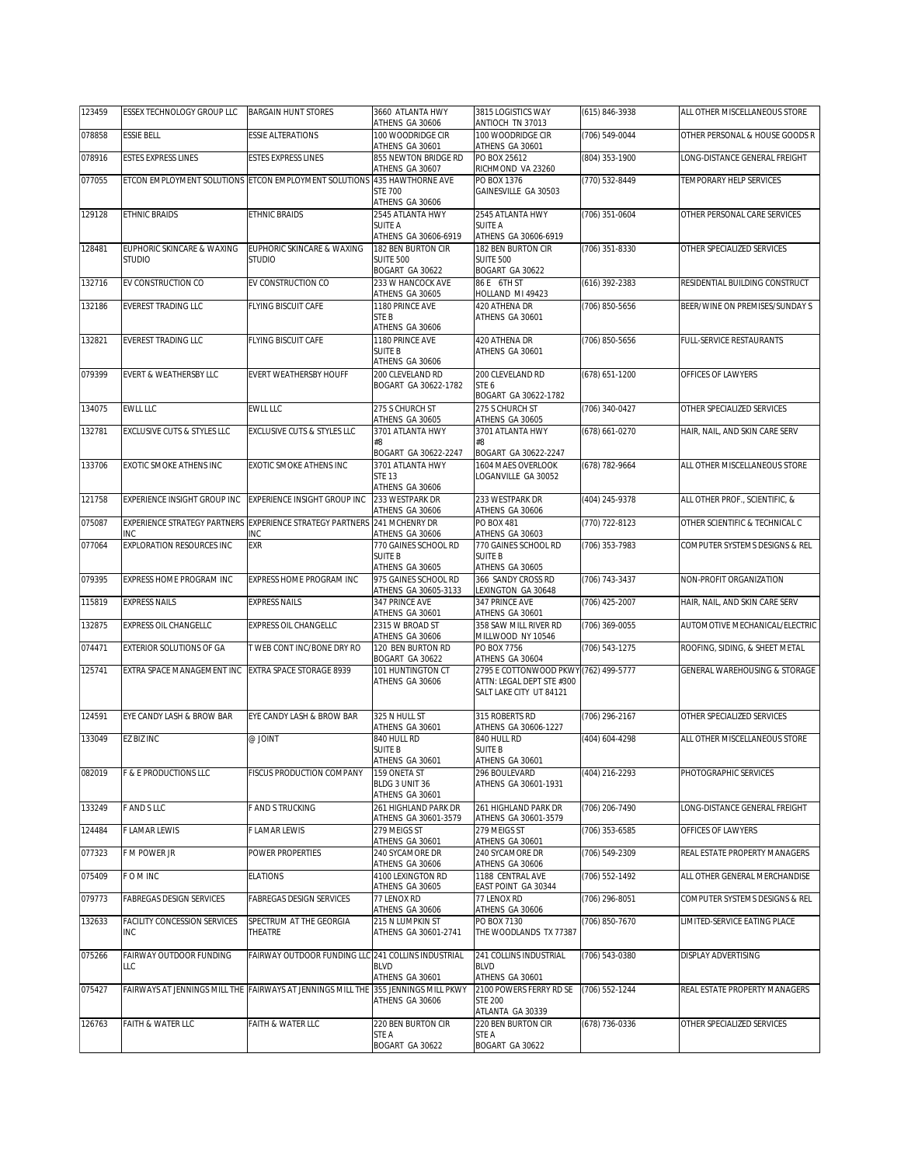| 123459 | ESSEX TECHNOLOGY GROUP LLC                  | <b>BARGAIN HUNT STORES</b>                                                         | 3660 ATLANTA HWY<br>ATHENS GA 30606          | 3815 LOGISTICS WAY<br>ANTIOCH TN 37013                   | (615) 846-3938 | ALL OTHER MISCELLANEOUS STORE  |
|--------|---------------------------------------------|------------------------------------------------------------------------------------|----------------------------------------------|----------------------------------------------------------|----------------|--------------------------------|
| 078858 | <b>ESSIE BELL</b>                           | <b>ESSIE ALTERATIONS</b>                                                           | 100 WOODRIDGE CIR<br>ATHENS GA 30601         | 100 WOODRIDGE CIR<br>ATHENS GA 30601                     | (706) 549-0044 | OTHER PERSONAL & HOUSE GOODS R |
| 078916 | <b>ESTES EXPRESS LINES</b>                  | <b>ESTES EXPRESS LINES</b>                                                         | 855 NEWTON BRIDGE RD<br>ATHENS GA 30607      | PO BOX 25612<br>RICHMOND VA 23260                        | (804) 353-1900 | LONG-DISTANCE GENERAL FREIGHT  |
| 077055 |                                             | ETCON EMPLOYMENT SOLUTIONS ETCON EMPLOYMENT SOLUTIONS 435 HAWTHORNE AVE            |                                              | PO BOX 1376                                              | (770) 532-8449 | TEMPORARY HELP SERVICES        |
|        |                                             |                                                                                    | <b>STE 700</b><br>ATHENS GA 30606            | GAINESVILLE GA 30503                                     |                |                                |
| 129128 | <b>ETHNIC BRAIDS</b>                        | ETHNIC BRAIDS                                                                      | 2545 ATLANTA HWY<br><b>SUITE A</b>           | 2545 ATLANTA HWY<br>SUITE A                              | (706) 351-0604 | OTHER PERSONAL CARE SERVICES   |
|        |                                             |                                                                                    | ATHENS GA 30606-6919                         | ATHENS GA 30606-6919                                     |                |                                |
| 128481 | EUPHORIC SKINCARE & WAXING<br><b>STUDIO</b> | EUPHORIC SKINCARE & WAXING<br><b>STUDIO</b>                                        | 182 BEN BURTON CIR<br><b>SUITE 500</b>       | 182 BEN BURTON CIR<br><b>SUITE 500</b>                   | (706) 351-8330 | OTHER SPECIALIZED SERVICES     |
| 132716 | EV CONSTRUCTION CO                          | EV CONSTRUCTION CO                                                                 | BOGART GA 30622<br>233 W HANCOCK AVE         | BOGART GA 30622<br>86 E 6TH ST                           | (616) 392-2383 | RESIDENTIAL BUILDING CONSTRUCT |
| 132186 | <b>EVEREST TRADING LLC</b>                  | FLYING BISCUIT CAFE                                                                | ATHENS GA 30605<br>1180 PRINCE AVE           | HOLLAND MI 49423<br>420 ATHENA DR                        | (706) 850-5656 | BEER/WINE ON PREMISES/SUNDAY S |
|        |                                             |                                                                                    | STE B<br>ATHENS GA 30606                     | ATHENS GA 30601                                          |                |                                |
| 132821 | <b>EVEREST TRADING LLC</b>                  | FLYING BISCUIT CAFE                                                                | 1180 PRINCE AVE                              | 420 ATHENA DR                                            | (706) 850-5656 | FULL-SERVICE RESTAURANTS       |
|        |                                             |                                                                                    | <b>SUITE B</b><br>ATHENS GA 30606            | ATHENS GA 30601                                          |                |                                |
| 079399 | EVERT & WEATHERSBY LLC                      | EVERT WEATHERSBY HOUFF                                                             | 200 CLEVELAND RD<br>BOGART GA 30622-1782     | 200 CLEVELAND RD<br>STE 6                                | (678) 651-1200 | OFFICES OF LAWYERS             |
| 134075 | <b>EWLL LLC</b>                             | EWLL LLC                                                                           | 275 S CHURCH ST                              | BOGART GA 30622-1782<br>275 S CHURCH ST                  | (706) 340-0427 | OTHER SPECIALIZED SERVICES     |
| 132781 | EXCLUSIVE CUTS & STYLES LLC                 | <b>EXCLUSIVE CUTS &amp; STYLES LLC</b>                                             | ATHENS GA 30605<br>3701 ATI ANTA HWY         | ATHENS GA 30605<br>3701 ATLANTA HWY                      | (678) 661-0270 | HAIR, NAIL, AND SKIN CARE SERV |
|        |                                             |                                                                                    | #8<br>BOGART GA 30622-2247                   | #8<br>BOGART GA 30622-2247                               |                |                                |
| 133706 | EXOTIC SMOKE ATHENS INC                     | EXOTIC SMOKE ATHENS INC                                                            | 3701 ATLANTA HWY                             | 1604 MAES OVERLOOK                                       | (678) 782-9664 | ALL OTHER MISCELLANEOUS STORE  |
|        |                                             |                                                                                    | <b>STE 13</b><br>ATHENS GA 30606             | OGANVILLE GA 30052                                       |                |                                |
| 121758 | EXPERIENCE INSIGHT GROUP INC                | EXPERIENCE INSIGHT GROUP INC                                                       | 233 WESTPARK DR<br>ATHENS GA 30606           | 233 WESTPARK DR<br>ATHENS GA 30606                       | (404) 245-9378 | ALL OTHER PROF., SCIENTIFIC, & |
| 075087 |                                             | EXPERIENCE STRATEGY PARTNERS EXPERIENCE STRATEGY PARTNERS 241 MCHENRY DR           |                                              | PO BOX 481                                               | (770) 722-8123 | OTHER SCIENTIFIC & TECHNICAL C |
| 077064 | INC<br>EXPLORATION RESOURCES INC            | INC<br>EXR                                                                         | ATHENS GA 30606<br>770 GAINES SCHOOL RD      | ATHENS GA 30603<br>770 GAINES SCHOOL RD                  | (706) 353-7983 | COMPUTER SYSTEMS DESIGNS & REL |
|        |                                             |                                                                                    | <b>SUITE B</b><br>ATHENS GA 30605            | SUITE B<br>ATHENS GA 30605                               |                |                                |
| 079395 | EXPRESS HOME PROGRAM INC                    | EXPRESS HOME PROGRAM INC                                                           | 975 GAINES SCHOOL RD<br>ATHENS GA 30605-3133 | 366 SANDY CROSS RD<br>LEXINGTON GA 30648                 | (706) 743-3437 | NON-PROFIT ORGANIZATION        |
| 115819 | <b>EXPRESS NAILS</b>                        | <b>EXPRESS NAILS</b>                                                               | 347 PRINCE AVE<br>ATHENS GA 30601            | 347 PRINCE AVE<br>ATHENS GA 30601                        | (706) 425-2007 | HAIR, NAIL, AND SKIN CARE SERV |
| 132875 | <b>EXPRESS OIL CHANGELLC</b>                | EXPRESS OIL CHANGELLC                                                              | 2315 W BROAD ST                              | 358 SAW MILL RIVER RD                                    | (706) 369-0055 | AUTOMOTIVE MECHANICAL/ELECTRIC |
| 074471 | EXTERIOR SOLUTIONS OF GA                    | T WEB CONT INC/BONE DRY RO                                                         | ATHENS GA 30606<br>120 BEN BURTON RD         | MILLWOOD NY 10546<br>PO BOX 7756                         | (706) 543-1275 | ROOFING, SIDING, & SHEET METAL |
| 125741 | EXTRA SPACE MANAGEMENT INC                  | EXTRA SPACE STORAGE 8939                                                           | BOGART GA 30622<br>101 HUNTINGTON CT         | ATHENS GA 30604<br>2795 E COTTONWOOD PKWY (762) 499-5777 |                | GENERAL WAREHOUSING & STORAGE  |
|        |                                             |                                                                                    | ATHENS GA 30606                              | ATTN: LEGAL DEPT STE #300<br>SALT LAKE CITY UT 84121     |                |                                |
| 124591 | EYE CANDY LASH & BROW BAR                   | EYE CANDY LASH & BROW BAR                                                          | 325 N HULL ST<br>ATHENS GA 30601             | 315 ROBERTS RD<br>ATHENS GA 30606-1227                   | (706) 296-2167 | OTHER SPECIALIZED SERVICES     |
| 133049 | <b>EZ BIZ INC</b>                           | @ JOINT                                                                            | 840 HULL RD                                  | 840 HULL RD                                              | (404) 604-4298 | ALL OTHER MISCELLANEOUS STORE  |
|        |                                             |                                                                                    | <b>SUITE B</b><br>ATHENS GA 30601            | <b>SUITE B</b><br>ATHENS GA 30601                        |                |                                |
| 082019 | F & E PRODUCTIONS LLC                       | FISCUS PRODUCTION COMPANY                                                          | 159 ONETA ST<br>BLDG 3 UNIT 36               | 296 BOULEVARD<br>ATHENS GA 30601-1931                    | (404) 216-2293 | PHOTOGRAPHIC SERVICES          |
|        |                                             |                                                                                    | ATHENS GA 30601                              |                                                          |                |                                |
| 133249 | F AND S LLC                                 | <b>FAND STRUCKING</b>                                                              | 261 HIGHLAND PARK DR<br>ATHENS GA 30601-3579 | 261 HIGHLAND PARK DR<br>ATHENS GA 30601-3579             | (706) 206-7490 | LONG-DISTANCE GENERAL FREIGHT  |
| 124484 | F LAMAR LEWIS                               | LAMAR LEWIS                                                                        | 279 MEIGS ST<br>ATHENS GA 30601              | 279 MEIGS ST<br>ATHENS GA 30601                          | (706) 353-6585 | OFFICES OF LAWYERS             |
| 077323 | F M POWER JR                                | POWER PROPERTIES                                                                   | 240 SYCAMORE DR<br>ATHENS GA 30606           | 240 SYCAMORE DR<br>ATHENS GA 30606                       | (706) 549-2309 | REAL ESTATE PROPERTY MANAGERS  |
| 075409 | F O M INC                                   | <b>ELATIONS</b>                                                                    | 4100 LEXINGTON RD<br>ATHENS GA 30605         | 1188 CENTRAL AVE<br>EAST POINT GA 30344                  | (706) 552-1492 | ALL OTHER GENERAL MERCHANDISE  |
| 079773 | <b>FABREGAS DESIGN SERVICES</b>             | FABREGAS DESIGN SERVICES                                                           | 77 LENOX RD                                  | 77 LENOX RD                                              | (706) 296-8051 | COMPUTER SYSTEMS DESIGNS & REL |
| 132633 | FACILITY CONCESSION SERVICES                | SPECTRUM AT THE GEORGIA                                                            | ATHENS GA 30606<br>215 N LUMPKIN ST          | ATHENS GA 30606<br>PO BOX 7130                           | (706) 850-7670 | LIMITED-SERVICE EATING PLACE   |
|        | <b>INC</b>                                  | THEATRE                                                                            | ATHENS GA 30601-2741                         | THE WOODLANDS TX 77387                                   |                |                                |
| 075266 | FAIRWAY OUTDOOR FUNDING<br>LLC              | FAIRWAY OUTDOOR FUNDING LLC 241 COLLINS INDUSTRIAL                                 | <b>BLVD</b>                                  | 241 COLLINS INDUSTRIAL<br><b>BLVD</b>                    | (706) 543-0380 | DISPLAY ADVERTISING            |
| 075427 |                                             | FAIRWAYS AT JENNINGS MILL THE FAIRWAYS AT JENNINGS MILL THE 355 JENNINGS MILL PKWY | ATHENS GA 30601                              | ATHENS GA 30601<br>2100 POWERS FERRY RD SE               | (706) 552-1244 | REAL ESTATE PROPERTY MANAGERS  |
|        |                                             |                                                                                    | ATHENS GA 30606                              | <b>STE 200</b><br>ATLANTA GA 30339                       |                |                                |
| 126763 | FAITH & WATER LLC                           | FAITH & WATER LLC                                                                  | 220 BEN BURTON CIR                           | 220 BEN BURTON CIR                                       | (678) 736-0336 | OTHER SPECIALIZED SERVICES     |
|        |                                             |                                                                                    | STE A<br>BOGART GA 30622                     | STE A<br>BOGART GA 30622                                 |                |                                |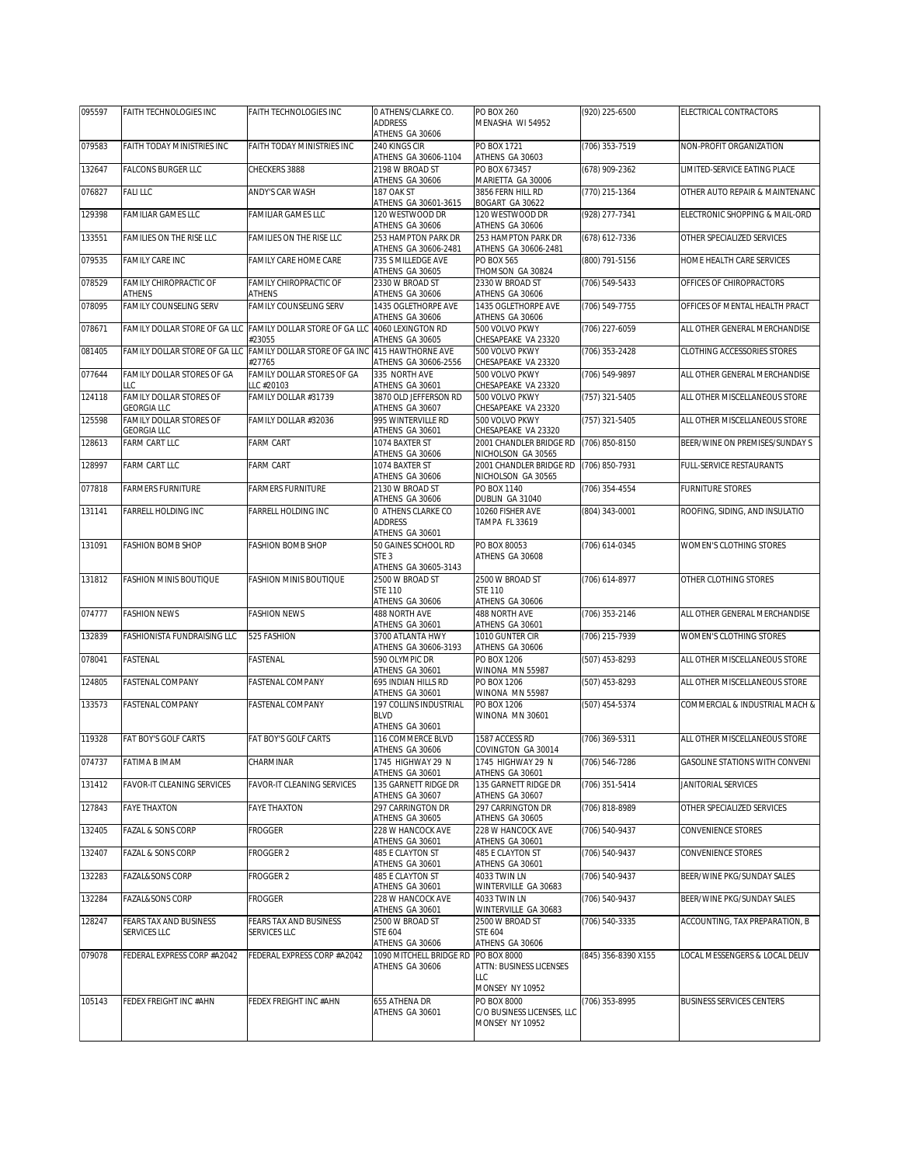| 095597 | FAITH TECHNOLOGIES INC                        | <b>FAITH TECHNOLOGIES INC</b>            | O ATHENS/CLARKE CO.                                             | PO BOX 260                                           | (920) 225-6500      | ELECTRICAL CONTRACTORS                |
|--------|-----------------------------------------------|------------------------------------------|-----------------------------------------------------------------|------------------------------------------------------|---------------------|---------------------------------------|
|        |                                               |                                          | <b>ADDRESS</b><br>ATHENS GA 30606                               | MENASHA WI 54952                                     |                     |                                       |
| 079583 | FAITH TODAY MINISTRIES INC                    | FAITH TODAY MINISTRIES INC               | 240 KINGS CIR<br>ATHENS GA 30606-1104                           | PO BOX 1721<br>ATHENS GA 30603                       | (706) 353-7519      | NON-PROFIT ORGANIZATION               |
| 132647 | FALCONS BURGER LLC                            | CHECKERS 3888                            | 2198 W BROAD ST<br>ATHENS GA 30606                              | PO BOX 673457<br>MARIETTA GA 30006                   | (678) 909-2362      | LIMITED-SERVICE EATING PLACE          |
| 076827 | <b>FALILLC</b>                                | ANDY'S CAR WASH                          | 187 OAK ST<br>ATHENS GA 30601-3615                              | 3856 FERN HILL RD<br>BOGART GA 30622                 | (770) 215-1364      | OTHER AUTO REPAIR & MAINTENANC        |
| 129398 | FAMILIAR GAMES LLC                            | FAMILIAR GAMES LLC                       | 120 WESTWOOD DR<br>ATHENS GA 30606                              | 120 WESTWOOD DR<br>ATHENS GA 30606                   | (928) 277-7341      | ELECTRONIC SHOPPING & MAIL-ORD        |
| 133551 | FAMILIES ON THE RISE LLC                      | FAMILIES ON THE RISE LLC                 | 253 HAMPTON PARK DR<br>ATHENS GA 30606-2481                     | 253 HAMPTON PARK DR<br>ATHENS GA 30606-2481          | (678) 612-7336      | OTHER SPECIALIZED SERVICES            |
| 079535 | FAMILY CARE INC                               | FAMILY CARE HOME CARE                    | 735 S MILLEDGE AVE<br>ATHENS GA 30605                           | <b>PO BOX 565</b><br>THOMSON GA 30824                | (800) 791-5156      | HOME HEALTH CARE SERVICES             |
| 078529 | FAMILY CHIROPRACTIC OF<br>ATHENS              | FAMILY CHIROPRACTIC OF<br><b>ATHENS</b>  | 2330 W BROAD ST<br>ATHENS GA 30606                              | 2330 W BROAD ST<br>ATHENS GA 30606                   | (706) 549-5433      | OFFICES OF CHIROPRACTORS              |
| 078095 | FAMILY COUNSELING SERV                        | FAMILY COUNSELING SERV                   | 1435 OGLETHORPE AVE<br>ATHENS GA 30606                          | 1435 OGLETHORPE AVE<br>ATHENS GA 30606               | (706) 549-7755      | OFFICES OF MENTAL HEALTH PRACT        |
| 078671 | FAMILY DOLLAR STORE OF GA LLC                 | FAMILY DOLLAR STORE OF GA LLC<br>#23055  | 4060 LEXINGTON RD<br>ATHENS GA 30605                            | 500 VOLVO PKWY<br>CHESAPEAKE VA 23320                | (706) 227-6059      | ALL OTHER GENERAL MERCHANDISE         |
| 081405 | FAMILY DOLLAR STORE OF GA LLC                 | FAMILY DOLLAR STORE OF GA INC<br>#27765  | 415 HAWTHORNE AVE<br>ATHENS GA 30606-2556                       | 500 VOLVO PKWY<br>CHESAPEAKE VA 23320                | (706) 353-2428      | CLOTHING ACCESSORIES STORES           |
| 077644 | FAMILY DOLLAR STORES OF GA<br>LLC             | FAMILY DOLLAR STORES OF GA<br>LLC #20103 | 335 NORTH AVE<br>ATHENS GA 30601                                | 500 VOLVO PKWY<br>CHESAPEAKE VA 23320                | (706) 549-9897      | ALL OTHER GENERAL MERCHANDISE         |
| 124118 | FAMILY DOLLAR STORES OF<br><b>GEORGIA LLC</b> | FAMILY DOLLAR #31739                     | 3870 OLD JEFFERSON RD                                           | 500 VOLVO PKWY                                       | (757) 321-5405      | ALL OTHER MISCELLANEOUS STORE         |
| 125598 | FAMILY DOLLAR STORES OF                       | FAMILY DOLLAR #32036                     | ATHENS GA 30607<br>995 WINTERVILLE RD                           | CHESAPEAKE VA 23320<br>500 VOLVO PKWY                | (757) 321-5405      | ALL OTHER MISCELLANEOUS STORE         |
| 128613 | <b>GEORGIA LLC</b><br><b>FARM CART LLC</b>    | <b>FARM CART</b>                         | ATHENS GA 30601<br>1074 BAXTER ST                               | CHESAPEAKE VA 23320<br>2001 CHANDLER BRIDGE RD       | (706) 850-8150      | BEER/WINE ON PREMISES/SUNDAY S        |
| 128997 | FARM CART LLC                                 | <b>FARM CART</b>                         | ATHENS GA 30606<br>1074 BAXTER ST                               | NICHOLSON GA 30565<br>2001 CHANDLER BRIDGE RD        | (706) 850-7931      | FULL-SERVICE RESTAURANTS              |
| 077818 | <b>FARMERS FURNITURE</b>                      | <b>FARMERS FURNITURE</b>                 | ATHENS GA 30606<br>2130 W BROAD ST                              | NICHOLSON GA 30565<br>PO BOX 1140                    | (706) 354-4554      | FURNITURE STORES                      |
| 131141 | FARRELL HOLDING INC                           | FARRELL HOLDING INC                      | ATHENS GA 30606<br>0 ATHENS CLARKE CO                           | DUBLIN GA 31040<br>10260 FISHER AVE                  | (804) 343-0001      | ROOFING, SIDING, AND INSULATIO        |
|        |                                               |                                          | <b>ADDRESS</b><br>ATHENS GA 30601                               | <b>TAMPA FL 33619</b>                                |                     |                                       |
| 131091 | FASHION BOMB SHOP                             | <b>FASHION BOMB SHOP</b>                 | 50 GAINES SCHOOL RD<br>STE <sub>3</sub><br>ATHENS GA 30605-3143 | PO BOX 80053<br>ATHENS GA 30608                      | (706) 614-0345      | WOMEN'S CLOTHING STORES               |
| 131812 | FASHION MINIS BOUTIQUE                        | <b>FASHION MINIS BOUTIQUE</b>            | 2500 W BROAD ST<br><b>STE 110</b>                               | 2500 W BROAD ST<br><b>STE 110</b>                    | (706) 614-8977      | OTHER CLOTHING STORES                 |
|        |                                               |                                          | ATHENS GA 30606                                                 | ATHENS GA 30606                                      |                     |                                       |
| 074777 | <b>FASHION NEWS</b>                           | <b>FASHION NEWS</b>                      | 488 NORTH AVE<br>ATHENS GA 30601                                | 488 NORTH AVE<br>ATHENS GA 30601                     | (706) 353-2146      | ALL OTHER GENERAL MERCHANDISE         |
| 132839 | FASHIONISTA FUNDRAISING LLC                   | 525 FASHION                              | 3700 ATLANTA HWY<br>ATHENS GA 30606-3193                        | 1010 GUNTER CIR<br>ATHENS GA 30606                   | (706) 215-7939      | WOMEN'S CLOTHING STORES               |
| 078041 | FASTENAL                                      | FASTENAL                                 | 590 OLYMPIC DR<br>ATHENS GA 30601                               | PO BOX 1206<br>WINONA MN 55987                       | (507) 453-8293      | ALL OTHER MISCELLANEOUS STORE         |
| 124805 | FASTENAL COMPANY                              | <b>FASTENAL COMPANY</b>                  | 695 INDIAN HILLS RD<br>ATHENS GA 30601                          | PO BOX 1206<br>WINONA MN 55987                       | (507) 453-8293      | ALL OTHER MISCELLANEOUS STORE         |
| 133573 | <b>FASTENAL COMPANY</b>                       | <b>FASTENAL COMPANY</b>                  | 197 COLLINS INDUSTRIAL<br><b>BLVD</b>                           | PO BOX 1206<br>WINONA MN 30601                       | (507) 454-5374      | COMMERCIAL & INDUSTRIAL MACH &        |
| 119328 | FAT BOY'S GOLF CARTS                          | FAT BOY'S GOLF CARTS                     | ATHENS GA 30601<br>116 COMMERCE BLVD                            | 1587 ACCESS RD                                       | (706) 369-5311      | ALL OTHER MISCELLANEOUS STORE         |
| 074737 | <b>FATIMA B IMAM</b>                          | CHARMINAR                                | ATHENS GA 30606<br>1745 HIGHWAY 29 N                            | COVINGTON GA 30014<br>1745 HIGHWAY 29 N              | (706) 546-7286      | <b>GASOLINE STATIONS WITH CONVENI</b> |
| 131412 | <b>FAVOR-IT CLEANING SERVICES</b>             | FAVOR-IT CLEANING SERVICES               | ATHENS GA 30601<br>135 GARNETT RIDGE DR                         | ATHENS GA 30601<br>135 GARNETT RIDGE DR              | (706) 351-5414      | JANITORIAL SERVICES                   |
| 127843 | <b>FAYE THAXTON</b>                           | <b>FAYE THAXTON</b>                      | ATHENS GA 30607<br>297 CARRINGTON DR                            | ATHENS GA 30607<br>297 CARRINGTON DR                 | (706) 818-8989      | OTHER SPECIALIZED SERVICES            |
| 132405 | <b>FAZAL &amp; SONS CORP</b>                  | FROGGER                                  | ATHENS GA 30605<br>228 W HANCOCK AVE                            | ATHENS GA 30605<br>228 W HANCOCK AVE                 | (706) 540-9437      | CONVENIENCE STORES                    |
| 132407 | <b>FAZAL &amp; SONS CORP</b>                  | FROGGER 2                                | ATHENS GA 30601<br>485 E CLAYTON ST                             | ATHENS GA 30601<br>485 E CLAYTON ST                  | (706) 540-9437      | CONVENIENCE STORES                    |
| 132283 | <b>FAZAL&amp;SONS CORP</b>                    | FROGGER 2                                | ATHENS GA 30601<br>485 E CLAYTON ST                             | ATHENS GA 30601<br>4033 TWIN LN                      | (706) 540-9437      | BEER/WINE PKG/SUNDAY SALES            |
| 132284 | <b>FAZAL&amp;SONS CORP</b>                    | FROGGER                                  | ATHENS GA 30601<br>228 W HANCOCK AVE                            | WINTERVILLE GA 30683<br>4033 TWIN LN                 | (706) 540-9437      | BEER/WINE PKG/SUNDAY SALES            |
| 128247 | FEARS TAX AND BUSINESS                        | <b>FEARS TAX AND BUSINESS</b>            | ATHENS GA 30601<br>2500 W BROAD ST                              | WINTERVILLE GA 30683<br>2500 W BROAD ST              | (706) 540-3335      | ACCOUNTING. TAX PREPARATION. B        |
|        | SERVICES LLC                                  | SERVICES LLC                             | STE 604<br>ATHENS GA 30606                                      | <b>STE 604</b><br>ATHENS GA 30606                    |                     |                                       |
| 079078 | FEDERAL EXPRESS CORP #A2042                   | FEDERAL EXPRESS CORP #A2042              | 1090 MITCHELL BRIDGE RD<br>ATHENS GA 30606                      | PO BOX 8000<br>ATTN: BUSINESS LICENSES<br><b>LLC</b> | (845) 356-8390 X155 | LOCAL MESSENGERS & LOCAL DELIV        |
| 105143 | FEDEX FREIGHT INC #AHN                        | FEDEX FREIGHT INC #AHN                   | 655 ATHENA DR                                                   | MONSEY NY 10952<br>PO BOX 8000                       | (706) 353-8995      | <b>BUSINESS SERVICES CENTERS</b>      |
|        |                                               |                                          | ATHENS GA 30601                                                 | C/O BUSINESS LICENSES, LLC<br>MONSEY NY 10952        |                     |                                       |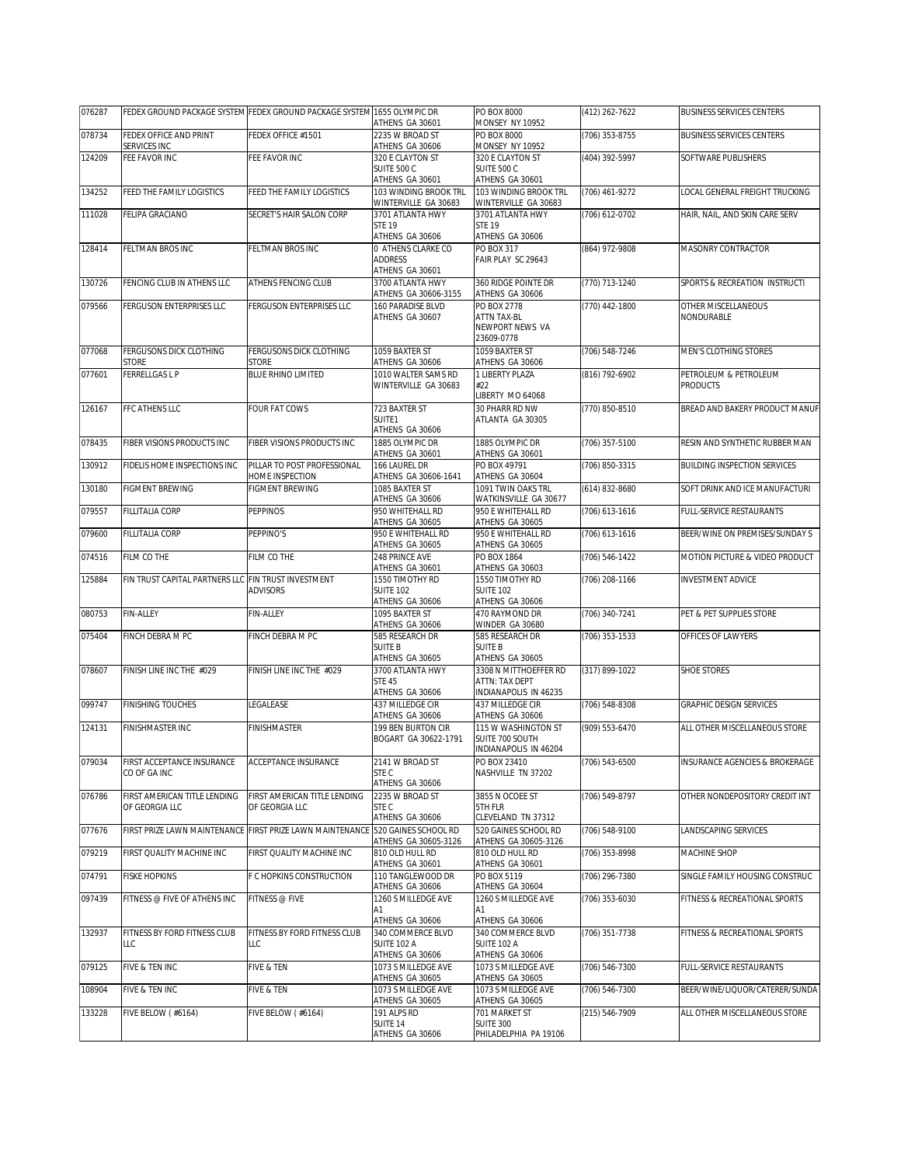| 076287 |                                                     | FEDEX GROUND PACKAGE SYSTEM FEDEX GROUND PACKAGE SYSTEM 1655 OLYMPIC DR         | ATHENS GA 30601                                         | PO BOX 8000<br>MONSEY NY 10952                                   | (412) 262-7622     | <b>BUSINESS SERVICES CENTERS</b>         |
|--------|-----------------------------------------------------|---------------------------------------------------------------------------------|---------------------------------------------------------|------------------------------------------------------------------|--------------------|------------------------------------------|
| 078734 | FEDEX OFFICE AND PRINT<br>SERVICES INC              | FEDEX OFFICE #1501                                                              | 2235 W BROAD ST<br>ATHENS GA 30606                      | PO BOX 8000<br><b>MONSEY NY 10952</b>                            | (706) 353-8755     | <b>BUSINESS SERVICES CENTERS</b>         |
| 124209 | FEE FAVOR INC                                       | FEE FAVOR INC                                                                   | 320 E CLAYTON ST<br>SUITE 500 C<br>ATHENS GA 30601      | 320 E CLAYTON ST<br>SUITE 500 C<br>ATHENS GA 30601               | (404) 392-5997     | SOFTWARE PUBLISHERS                      |
| 134252 | FEED THE FAMILY LOGISTICS                           | FEED THE FAMILY LOGISTICS                                                       | 103 WINDING BROOK TRL<br>WINTERVILLE GA 30683           | 103 WINDING BROOK TRL<br>WINTERVILLE GA 30683                    | (706) 461-9272     | LOCAL GENERAL FREIGHT TRUCKING           |
| 111028 | FELIPA GRACIANO                                     | SECRET'S HAIR SALON CORP                                                        | 3701 ATLANTA HWY<br><b>STE 19</b><br>ATHENS GA 30606    | 3701 ATLANTA HWY<br><b>STE 19</b><br>ATHENS GA 30606             | $(706)$ 612-0702   | HAIR, NAIL, AND SKIN CARE SERV           |
| 128414 | FELTMAN BROS INC                                    | FELTMAN BROS INC                                                                | 0 ATHENS CLARKE CO<br><b>ADDRESS</b><br>ATHENS GA 30601 | PO BOX 317<br>FAIR PLAY SC 29643                                 | (864) 972-9808     | MASONRY CONTRACTOR                       |
| 130726 | FENCING CLUB IN ATHENS LLC                          | ATHENS FENCING CLUB                                                             | 3700 ATLANTA HWY<br>ATHENS GA 30606-3155                | 360 RIDGE POINTE DR<br>ATHENS GA 30606                           | (770) 713-1240     | SPORTS & RECREATION INSTRUCTI            |
| 079566 | FERGUSON ENTERPRISES LLC                            | FERGUSON ENTERPRISES LLC                                                        | 160 PARADISE BLVD<br>ATHENS GA 30607                    | PO BOX 2778<br>ATTN TAX-BL<br>NEWPORT NEWS VA<br>23609-0778      | (770) 442-1800     | OTHER MISCELLANEOUS<br>NONDURABLE        |
| 077068 | FERGUSONS DICK CLOTHING<br>STORE                    | FERGUSONS DICK CLOTHING<br>STORE                                                | 1059 BAXTER ST<br>ATHENS GA 30606                       | 1059 BAXTER ST<br>ATHENS GA 30606                                | (706) 548-7246     | MEN'S CLOTHING STORES                    |
| 077601 | FERRELLGAS L P                                      | BLUE RHINO LIMITED                                                              | 1010 WALTER SAMS RD<br>WINTERVILLE GA 30683             | 1 LIBERTY PLAZA<br>#22<br>LIBERTY MO 64068                       | (816) 792-6902     | PETROLEUM & PETROLEUM<br><b>PRODUCTS</b> |
| 126167 | FFC ATHENS LLC                                      | FOUR FAT COWS                                                                   | 723 BAXTER ST<br>SUITE1<br>ATHENS GA 30606              | 30 PHARR RD NW<br>ATLANTA GA 30305                               | (770) 850-8510     | BREAD AND BAKERY PRODUCT MANUF           |
| 078435 | FIBER VISIONS PRODUCTS INC                          | FIBER VISIONS PRODUCTS INC                                                      | 1885 OLYMPIC DR<br>ATHENS GA 30601                      | 1885 OLYMPIC DR<br>ATHENS GA 30601                               | (706) 357-5100     | RESIN AND SYNTHETIC RUBBER MAN           |
| 130912 | FIDELIS HOME INSPECTIONS INC                        | PILLAR TO POST PROFESSIONAL<br>HOME INSPECTION                                  | 166 LAUREL DR<br>ATHENS GA 30606-1641                   | PO BOX 49791<br>ATHENS GA 30604                                  | (706) 850-3315     | <b>BUILDING INSPECTION SERVICES</b>      |
| 130180 | FIGMENT BREWING                                     | FIGMENT BREWING                                                                 | 1085 BAXTER ST<br>ATHENS GA 30606                       | 1091 TWIN OAKS TRL<br>WATKINSVILLE GA 30677                      | (614) 832-8680     | SOFT DRINK AND ICE MANUFACTURI           |
| 079557 | FILLITALIA CORP                                     | <b>PEPPINOS</b>                                                                 | 950 WHITEHALL RD<br>ATHENS GA 30605                     | 950 E WHITEHALL RD<br>ATHENS GA 30605                            | (706) 613-1616     | FULL-SERVICE RESTAURANTS                 |
| 079600 | FILLITALIA CORP                                     | PEPPINO'S                                                                       | 950 E WHITEHALL RD<br>ATHENS GA 30605                   | 950 E WHITEHALL RD<br>ATHENS GA 30605                            | $(706)$ 613-1616   | BEER/WINE ON PREMISES/SUNDAY S           |
| 074516 | FILM CO THE                                         | FILM CO THE                                                                     | 248 PRINCE AVE<br>ATHENS GA 30601                       | PO BOX 1864<br>ATHENS GA 30603                                   | $(706) 546 - 1422$ | MOTION PICTURE & VIDEO PRODUCT           |
| 125884 | FIN TRUST CAPITAL PARTNERS LLC FIN TRUST INVESTMENT | <b>ADVISORS</b>                                                                 | 1550 TIMOTHY RD<br><b>SUITE 102</b><br>ATHENS GA 30606  | 1550 TIMOTHY RD<br><b>SUITE 102</b><br>ATHENS GA 30606           | (706) 208-1166     | <b>INVESTMENT ADVICE</b>                 |
| 080753 | FIN-ALLEY                                           | FIN-ALLEY                                                                       | 1095 BAXTER ST<br>ATHENS GA 30606                       | 470 RAYMOND DR<br>WINDER GA 30680                                | (706) 340-7241     | PET & PET SUPPLIES STORE                 |
| 075404 | FINCH DEBRA M PC                                    | FINCH DEBRA M PC                                                                | 585 RESEARCH DR<br><b>SUITE B</b><br>ATHENS GA 30605    | 585 RESEARCH DR<br>SUITE B<br>ATHENS GA 30605                    | (706) 353-1533     | OFFICES OF LAWYERS                       |
| 078607 | FINISH LINE INC THE #029                            | FINISH LINE INC THE #029                                                        | 3700 ATLANTA HWY<br><b>STE 45</b><br>ATHENS GA 30606    | 3308 N MITTHOEFFER RD<br>ATTN: TAX DEPT<br>INDIANAPOLIS IN 46235 | (317) 899-1022     | <b>SHOE STORES</b>                       |
| 099747 | <b>FINISHING TOUCHES</b>                            | LEGALEASE                                                                       | 437 MILLEDGE CIR<br>ATHENS GA 30606                     | 437 MILLEDGE CIR<br>ATHENS GA 30606                              | (706) 548-8308     | GRAPHIC DESIGN SERVICES                  |
| 124131 | FINISHMASTER INC                                    | <b>FINISHMASTER</b>                                                             | 199 BEN BURTON CIR<br>BOGART GA 30622-1791              | 115 W WASHINGTON ST<br>SUITE 700 SOUTH<br>INDIANAPOLIS IN 46204  | (909) 553-6470     | ALL OTHER MISCELLANEOUS STORE            |
| 079034 | FIRST ACCEPTANCE INSURANCE<br>CO OF GA INC          | <b>ACCEPTANCE INSURANCE</b>                                                     | 2141 W BROAD ST<br>STE C<br>ATHENS GA 30606             | PO BOX 23410<br>NASHVILLE TN 37202                               | (706) 543-6500     | INSURANCE AGENCIES & BROKERAGE           |
| 076786 | FIRST AMERICAN TITLE LENDING<br>OF GEORGIA LLC      | FIRST AMERICAN TITLE LENDING<br>OF GEORGIA LLC                                  | 2235 W BROAD ST<br>STE C<br>ATHENS GA 30606             | 3855 N OCOEE ST<br>5TH FLR<br>CLEVELAND TN 37312                 | (706) 549-8797     | OTHER NONDEPOSITORY CREDIT INT           |
| 077676 |                                                     | FIRST PRIZE LAWN MAINTENANCE FIRST PRIZE LAWN MAINTENANCE 1520 GAINES SCHOOL RD | ATHENS GA 30605-3126                                    | 520 GAINES SCHOOL RD<br>ATHENS GA 30605-3126                     | (706) 548-9100     | LANDSCAPING SERVICES                     |
| 079219 | FIRST QUALITY MACHINE INC                           | FIRST QUALITY MACHINE INC                                                       | 810 OLD HULL RD<br>ATHENS GA 30601                      | 810 OLD HULL RD<br>ATHENS GA 30601                               | (706) 353-8998     | MACHINE SHOP                             |
| 074791 | <b>FISKE HOPKINS</b>                                | F C HOPKINS CONSTRUCTION                                                        | 110 TANGLEWOOD DR<br>ATHENS GA 30606                    | PO BOX 5119<br>ATHENS GA 30604                                   | (706) 296-7380     | SINGLE FAMILY HOUSING CONSTRUC           |
| 097439 | FITNESS @ FIVE OF ATHENS INC                        | FITNESS @ FIVE                                                                  | 1260 S MILLEDGE AVE<br>A1<br>ATHENS GA 30606            | 1260 S MILLEDGE AVE<br>A1<br>ATHENS GA 30606                     | (706) 353-6030     | FITNESS & RECREATIONAL SPORTS            |
| 132937 | FITNESS BY FORD FITNESS CLUB<br>LLC                 | FITNESS BY FORD FITNESS CLUB<br>LLC                                             | 340 COMMERCE BLVD<br>SUITE 102 A<br>ATHENS GA 30606     | 340 COMMERCE BLVD<br>SUITE 102 A<br>ATHENS GA 30606              | (706) 351-7738     | FITNESS & RECREATIONAL SPORTS            |
| 079125 | FIVE & TEN INC                                      | FIVE & TEN                                                                      | 1073 S MILLEDGE AVE<br>ATHENS GA 30605                  | 1073 S MILLEDGE AVE<br>ATHENS GA 30605                           | (706) 546-7300     | <b>FULL-SERVICE RESTAURANTS</b>          |
| 108904 | FIVE & TEN INC                                      | FIVE & TEN                                                                      | 1073 S MILLEDGE AVE<br>ATHENS GA 30605                  | 1073 S MILLEDGE AVE<br>ATHENS GA 30605                           | (706) 546-7300     | BEER/WINE/LIQUOR/CATERER/SUNDA           |
| 133228 | FIVE BELOW (#6164)                                  | <b>FIVE BELOW (#6164)</b>                                                       | 191 ALPS RD<br>SUITE <sub>14</sub><br>ATHENS GA 30606   | 701 MARKET ST<br><b>SUITE 300</b><br>PHILADELPHIA PA 19106       | (215) 546-7909     | ALL OTHER MISCELLANEOUS STORE            |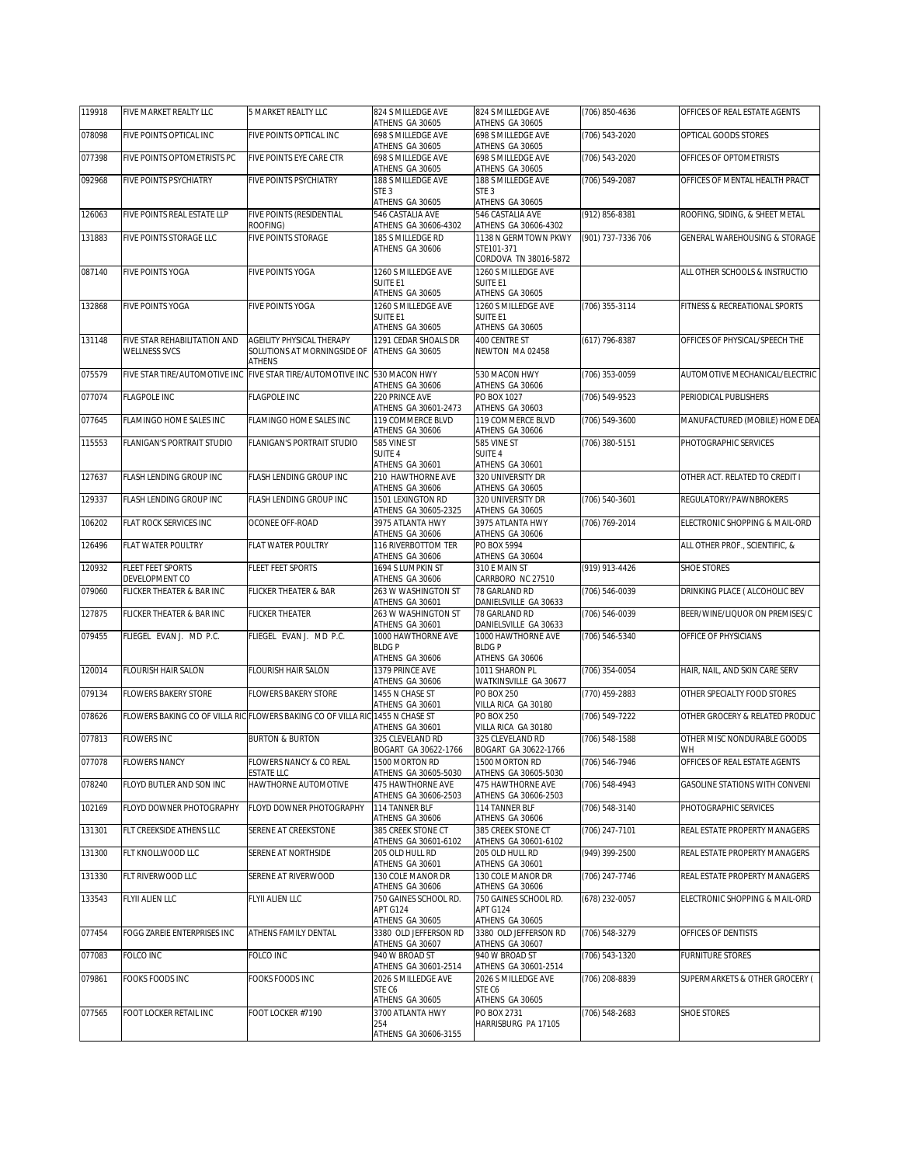| 119918 | FIVE MARKET REALTY LLC                        | 5 MARKET REALTY LLC                                                           | 824 S MILLEDGE AVE<br>ATHENS GA 30605                | 824 S MILLEDGE AVE<br>ATHENS GA 30605                | (706) 850-4636     | OFFICES OF REAL ESTATE AGENTS     |
|--------|-----------------------------------------------|-------------------------------------------------------------------------------|------------------------------------------------------|------------------------------------------------------|--------------------|-----------------------------------|
| 078098 | FIVE POINTS OPTICAL INC                       | FIVE POINTS OPTICAL INC                                                       | 698 S MILLEDGE AVE<br>ATHENS GA 30605                | 698 S MILLEDGE AVE<br>ATHENS GA 30605                | (706) 543-2020     | OPTICAL GOODS STORES              |
| 077398 | FIVE POINTS OPTOMETRISTS PC                   | FIVE POINTS EYE CARE CTR                                                      | <b>698 S MILLEDGE AVE</b>                            | 698 S MILLEDGE AVE                                   | (706) 543-2020     | OFFICES OF OPTOMETRISTS           |
| 092968 | FIVE POINTS PSYCHIATRY                        | FIVE POINTS PSYCHIATRY                                                        | ATHENS GA 30605<br>188 S MILLEDGE AVE                | ATHENS GA 30605<br>188 S MILLEDGE AVE                | $(706) 549 - 2087$ | OFFICES OF MENTAL HEALTH PRACT    |
|        |                                               |                                                                               | STE <sub>3</sub><br>ATHENS GA 30605                  | STE <sub>3</sub><br>ATHENS GA 30605                  |                    |                                   |
| 126063 | FIVE POINTS REAL ESTATE LLP                   | FIVE POINTS (RESIDENTIAL                                                      | 546 CASTALIA AVE                                     | 546 CASTALIA AVE                                     | (912) 856-8381     | ROOFING, SIDING, & SHEET METAL    |
| 131883 | FIVE POINTS STORAGE LLC                       | ROOFING)<br>FIVE POINTS STORAGE                                               | ATHENS GA 30606-4302<br>185 S MILLEDGE RD            | ATHENS GA 30606-4302<br>1138 N GERMTOWN PKWY         | (901) 737-7336 706 | GENERAL WAREHOUSING & STORAGE     |
|        |                                               |                                                                               | ATHENS GA 30606                                      | STE101-371<br>CORDOVA TN 38016-5872                  |                    |                                   |
| 087140 | <b>FIVE POINTS YOGA</b>                       | FIVE POINTS YOGA                                                              | 1260 S MILLEDGE AVE<br>SUITE E1                      | 1260 S MILLEDGE AVE<br><b>SUITE E1</b>               |                    | ALL OTHER SCHOOLS & INSTRUCTIO    |
|        |                                               |                                                                               | ATHENS GA 30605                                      | ATHENS GA 30605                                      |                    |                                   |
| 132868 | <b>FIVE POINTS YOGA</b>                       | FIVE POINTS YOGA                                                              | 1260 S MILLEDGE AVE<br>SUITE E1                      | 1260 S MILLEDGE AVE<br><b>SUITE E1</b>               | (706) 355-3114     | FITNESS & RECREATIONAL SPORTS     |
|        |                                               | <b>AGEILITY PHYSICAL THERAPY</b>                                              | ATHENS GA 30605                                      | ATHENS GA 30605<br>400 CENTRE ST                     |                    |                                   |
| 131148 | FIVE STAR REHABILITATION AND<br>WELLNESS SVCS | SOLUTIONS AT MORNINGSIDE OF<br><b>ATHENS</b>                                  | 1291 CEDAR SHOALS DR<br>ATHENS GA 30605              | NEWTON MA 02458                                      | (617) 796-8387     | OFFICES OF PHYSICAL/SPEECH THE    |
| 075579 |                                               | FIVE STAR TIRE/AUTOMOTIVE INC FIVE STAR TIRE/AUTOMOTIVE INC 530 MACON HWY     |                                                      | 530 MACON HWY                                        | (706) 353-0059     | AUTOMOTIVE MECHANICAL/ELECTRIC    |
| 077074 | FLAGPOLE INC                                  | <b>FLAGPOLE INC</b>                                                           | ATHENS GA 30606<br>220 PRINCE AVE                    | ATHENS GA 30606<br>PO BOX 1027                       | (706) 549-9523     | PERIODICAL PUBLISHERS             |
|        |                                               |                                                                               | ATHENS GA 30601-2473                                 | ATHENS GA 30603                                      |                    |                                   |
| 077645 | FLAMINGO HOME SALES INC                       | FLAMINGO HOME SALES INC                                                       | 119 COMMERCE BLVD<br>ATHENS GA 30606                 | 119 COMMERCE BLVD<br>ATHENS GA 30606                 | (706) 549-3600     | MANUFACTURED (MOBILE) HOME DEA    |
| 115553 | FLANIGAN'S PORTRAIT STUDIO                    | FLANIGAN'S PORTRAIT STUDIO                                                    | 585 VINE ST<br>SUITE 4                               | 585 VINE ST<br><b>SUITE 4</b>                        | (706) 380-5151     | PHOTOGRAPHIC SERVICES             |
|        |                                               |                                                                               | ATHENS GA 30601                                      | ATHENS GA 30601                                      |                    |                                   |
| 127637 | FLASH LENDING GROUP INC                       | FLASH LENDING GROUP INC                                                       | 210 HAWTHORNE AVE<br>ATHENS GA 30606                 | 320 UNIVERSITY DR<br>ATHENS GA 30605                 |                    | OTHER ACT. RELATED TO CREDIT I    |
| 129337 | FLASH LENDING GROUP INC                       | FLASH LENDING GROUP INC                                                       | 1501 LEXINGTON RD<br>ATHENS GA 30605-2325            | 320 UNIVERSITY DR<br>ATHENS GA 30605                 | (706) 540-3601     | REGULATORY/PAWNBROKERS            |
| 106202 | FLAT ROCK SERVICES INC                        | OCONEE OFF-ROAD                                                               | 3975 ATLANTA HWY<br>ATHENS GA 30606                  | 3975 ATLANTA HWY<br>ATHENS GA 30606                  | (706) 769-2014     | ELECTRONIC SHOPPING & MAIL-ORD    |
| 126496 | FLAT WATER POULTRY                            | FLAT WATER POULTRY                                                            | 116 RIVERBOTTOM TER<br>ATHENS GA 30606               | PO BOX 5994<br>ATHENS GA 30604                       |                    | ALL OTHER PROF., SCIENTIFIC, &    |
| 120932 | FLEET FEET SPORTS<br>DEVELOPMENT CO           | FLEET FEET SPORTS                                                             | 1694 S LUMPKIN ST<br>ATHENS GA 30606                 | 310 E MAIN ST<br>CARRBORO NC 27510                   | (919) 913-4426     | SHOE STORES                       |
| 079060 | FLICKER THEATER & BAR INC                     | FLICKER THEATER & BAR                                                         | 263 W WASHINGTON ST<br>ATHENS GA 30601               | 78 GARLAND RD<br>DANIELSVILLE GA 30633               | (706) 546-0039     | DRINKING PLACE ( ALCOHOLIC BEV    |
| 127875 | FLICKER THEATER & BAR INC                     | <b>FLICKER THEATER</b>                                                        | 263 W WASHINGTON ST                                  | 78 GARLAND RD                                        | (706) 546-0039     | BEER/WINE/LIQUOR ON PREMISES/C    |
| 079455 | FLIEGEL EVAN J. MD P.C.                       | FLIEGEL EVAN J. MD P.C.                                                       | ATHENS GA 30601<br>1000 HAWTHORNE AVE                | DANIELSVILLE GA 30633<br>1000 HAWTHORNE AVE          | (706) 546-5340     | OFFICE OF PHYSICIANS              |
|        |                                               |                                                                               | <b>BLDGP</b><br>ATHENS GA 30606                      | <b>BLDGP</b><br>ATHENS GA 30606                      |                    |                                   |
| 120014 | FLOURISH HAIR SALON                           | FLOURISH HAIR SALON                                                           | 1379 PRINCE AVE                                      | 1011 SHARON PL                                       | (706) 354-0054     | HAIR, NAIL, AND SKIN CARE SERV    |
| 079134 | <b>FLOWERS BAKERY STORE</b>                   | FLOWERS BAKERY STORE                                                          | ATHENS GA 30606<br>1455 N CHASE ST                   | WATKINSVILLE GA 30677<br>PO BOX 250                  | (770) 459-2883     | OTHER SPECIALTY FOOD STORES       |
| 078626 |                                               | FLOWERS BAKING CO OF VILLA RIC FLOWERS BAKING CO OF VILLA RIC 1455 N CHASE ST | ATHENS GA 30601                                      | VILLA RICA GA 30180<br>PO BOX 250                    | (706) 549-7222     | OTHER GROCERY & RELATED PRODUC    |
|        |                                               |                                                                               | ATHENS GA 30601                                      | VILLA RICA GA 30180                                  |                    |                                   |
| 077813 | <b>FLOWERS INC</b>                            | <b>BURTON &amp; BURTON</b>                                                    | 325 CLEVELAND RD<br>BOGART GA 30622-1766             | 325 CLEVELAND RD<br>BOGART GA 30622-1766             | (706) 548-1588     | OTHER MISC NONDURABLE GOODS<br>WH |
| 077078 | <b>FLOWERS NANCY</b>                          | FLOWERS NANCY & CO REAL<br>ESTATE LLC                                         | 1500 MORTON RD<br>ATHENS GA 30605-5030               | 1500 MORTON RD<br>ATHENS GA 30605-5030               | (706) 546-7946     | OFFICES OF REAL ESTATE AGENTS     |
| 078240 | FLOYD BUTLER AND SON INC                      | HAWTHORNE AUTOMOTIVE                                                          | 475 HAWTHORNE AVE                                    | 475 HAWTHORNE AVE                                    | (706) 548-4943     | GASOLINE STATIONS WITH CONVENI    |
| 102169 | FLOYD DOWNER PHOTOGRAPHY                      | FLOYD DOWNER PHOTOGRAPHY                                                      | ATHENS GA 30606-2503<br>114 TANNER BLF               | ATHENS GA 30606-2503<br>114 TANNER BLF               | (706) 548-3140     | PHOTOGRAPHIC SERVICES             |
| 131301 | FLT CREEKSIDE ATHENS LLC                      | SERENE AT CREEKSTONE                                                          | ATHENS GA 30606<br>385 CREEK STONE CT                | ATHENS GA 30606<br>385 CREEK STONE CT                | (706) 247-7101     | REAL ESTATE PROPERTY MANAGERS     |
| 131300 | FLT KNOLLWOOD LLC                             | SERENE AT NORTHSIDE                                                           | ATHENS GA 30601-6102<br>205 OLD HULL RD              | ATHENS GA 30601-6102<br>205 OLD HULL RD              | (949) 399-2500     | REAL ESTATE PROPERTY MANAGERS     |
| 131330 | FLT RIVERWOOD LLC                             | SERENE AT RIVERWOOD                                                           | ATHENS GA 30601<br>130 COLE MANOR DR                 | ATHENS GA 30601<br>130 COLE MANOR DR                 | (706) 247-7746     | REAL ESTATE PROPERTY MANAGERS     |
|        |                                               |                                                                               | ATHENS GA 30606                                      | ATHENS GA 30606                                      |                    |                                   |
| 133543 | FLYII ALIEN LLC                               | <b>FLYII ALIEN LLC</b>                                                        | 750 GAINES SCHOOL RD.<br>APT G124<br>ATHENS GA 30605 | 750 GAINES SCHOOL RD.<br>APT G124<br>ATHENS GA 30605 | (678) 232-0057     | ELECTRONIC SHOPPING & MAIL-ORD    |
| 077454 | FOGG ZAREIE ENTERPRISES INC                   | ATHENS FAMILY DENTAL                                                          | 3380 OLD JEFFERSON RD<br>ATHENS GA 30607             | 3380 OLD JEFFERSON RD<br>ATHENS GA 30607             | (706) 548-3279     | OFFICES OF DENTISTS               |
| 077083 | FOLCO INC                                     | FOLCO INC                                                                     | 940 W BROAD ST                                       | 940 W BROAD ST                                       | (706) 543-1320     | <b>FURNITURE STORES</b>           |
| 079861 | FOOKS FOODS INC                               | FOOKS FOODS INC                                                               | ATHENS GA 30601-2514<br>2026 S MILLEDGE AVE          | ATHENS GA 30601-2514<br>2026 S MILLEDGE AVE          | (706) 208-8839     | SUPERMARKETS & OTHER GROCERY (    |
|        |                                               |                                                                               | STE C6<br>ATHENS GA 30605                            | STE C6<br>ATHENS GA 30605                            |                    |                                   |
| 077565 | FOOT LOCKER RETAIL INC                        | FOOT LOCKER #7190                                                             | 3700 ATLANTA HWY<br>254                              | PO BOX 2731<br>HARRISBURG PA 17105                   | (706) 548-2683     | <b>SHOE STORES</b>                |
|        |                                               |                                                                               | ATHENS GA 30606-3155                                 |                                                      |                    |                                   |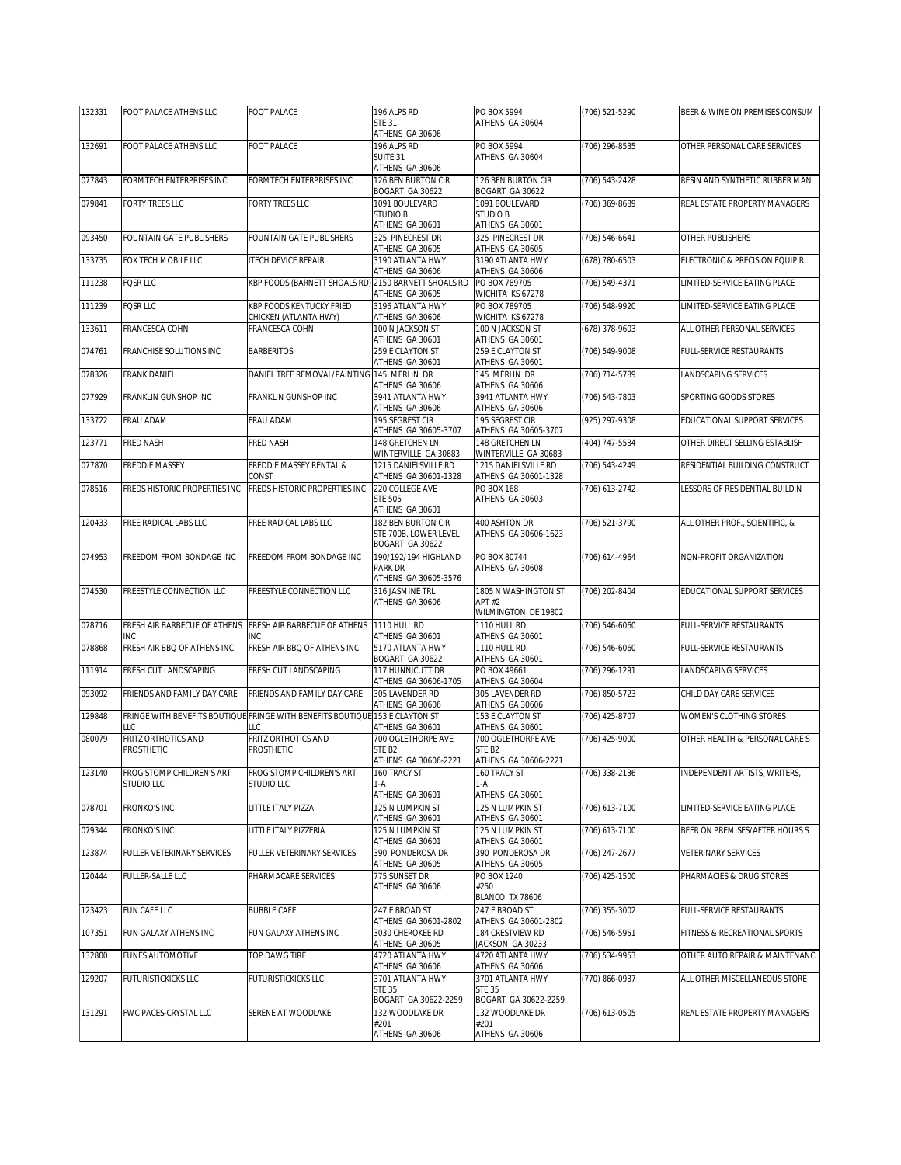| 132331 | FOOT PALACE ATHENS LLC                         | <b>FOOT PALACE</b>                                                                  | 196 ALPS RD                                                                  | PO BOX 5994                                                                  | (706) 521-5290   | BEER & WINE ON PREMISES CONSUM  |
|--------|------------------------------------------------|-------------------------------------------------------------------------------------|------------------------------------------------------------------------------|------------------------------------------------------------------------------|------------------|---------------------------------|
|        |                                                |                                                                                     | STE 31<br>ATHENS GA 30606                                                    | ATHENS GA 30604                                                              |                  |                                 |
| 132691 | FOOT PALACE ATHENS LLC                         | <b>FOOT PALACE</b>                                                                  | 196 ALPS RD<br>SUITE 31<br>ATHENS GA 30606                                   | PO BOX 5994<br>ATHENS GA 30604                                               | (706) 296-8535   | OTHER PERSONAL CARE SERVICES    |
| 077843 | FORMTECH ENTERPRISES INC                       | FORMTECH ENTERPRISES INC                                                            | 126 BEN BURTON CIR<br>BOGART GA 30622                                        | 126 BEN BURTON CIR<br>BOGART GA 30622                                        | (706) 543-2428   | RESIN AND SYNTHETIC RUBBER MAN  |
| 079841 | FORTY TREES LLC                                | FORTY TREES LLC                                                                     | 1091 BOULEVARD<br><b>STUDIO B</b><br>ATHENS GA 30601                         | 1091 BOULEVARD<br><b>STUDIO B</b><br>ATHENS GA 30601                         | (706) 369-8689   | REAL ESTATE PROPERTY MANAGERS   |
| 093450 | FOUNTAIN GATE PUBLISHERS                       | FOUNTAIN GATE PUBLISHERS                                                            | 325 PINECREST DR<br>ATHENS GA 30605                                          | 325 PINECREST DR<br>ATHENS GA 30605                                          | (706) 546-6641   | OTHER PUBLISHERS                |
| 133735 | FOX TECH MOBILE LLC                            | <b>ITECH DEVICE REPAIR</b>                                                          | 3190 ATI ANTA HWY<br>ATHENS GA 30606                                         | 3190 ATI ANTA HWY<br>ATHENS GA 30606                                         | (678) 780-6503   | ELECTRONIC & PRECISION EQUIP R  |
| 111238 | <b>FOSR LLC</b>                                | KBP FOODS (BARNETT SHOALS RD) 2150 BARNETT SHOALS RD                                | ATHENS GA 30605                                                              | PO BOX 789705<br>WICHITA KS 67278                                            | (706) 549-4371   | LIMITED-SERVICE EATING PLACE    |
| 111239 | <b>FOSR LLC</b>                                | KBP FOODS KENTUCKY FRIED<br>CHICKEN (ATLANTA HWY)                                   | 3196 ATLANTA HWY<br>ATHENS GA 30606                                          | PO BOX 789705<br>WICHITA KS 67278                                            | (706) 548-9920   | LIMITED-SERVICE EATING PLACE    |
| 133611 | FRANCESCA COHN                                 | FRANCESCA COHN                                                                      | 100 N JACKSON ST<br>ATHENS GA 30601                                          | 100 N JACKSON ST<br>ATHENS GA 30601                                          | $(678)$ 378-9603 | ALL OTHER PERSONAL SERVICES     |
| 074761 | FRANCHISE SOLUTIONS INC                        | <b>BARBERITOS</b>                                                                   | 259 E CLAYTON ST<br>ATHENS GA 30601                                          | 259 E CLAYTON ST<br>ATHENS GA 30601                                          | (706) 549-9008   | FULL-SERVICE RESTAURANTS        |
| 078326 | FRANK DANIEL                                   | DANIEL TREE REMOVAL/PAINTING 145 MERLIN DR                                          | ATHENS GA 30606                                                              | 145 MERLIN DR<br>ATHENS GA 30606                                             | (706) 714-5789   | LANDSCAPING SERVICES            |
| 077929 | FRANKLIN GUNSHOP INC                           | FRANKLIN GUNSHOP INC                                                                | 3941 ATI ANTA HWY<br>ATHENS GA 30606                                         | 3941 ATLANTA HWY<br>ATHENS GA 30606                                          | (706) 543-7803   | SPORTING GOODS STORES           |
| 133722 | FRAU ADAM                                      | <b>FRAU ADAM</b>                                                                    | 195 SEGREST CIR<br>ATHENS GA 30605-3707                                      | 195 SEGREST CIR<br>ATHENS GA 30605-3707                                      | (925) 297-9308   | EDUCATIONAL SUPPORT SERVICES    |
| 123771 | FRED NASH                                      | FRED NASH                                                                           | 148 GRETCHEN LN<br>WINTERVILLE GA 30683                                      | 148 GRETCHEN LN<br>WINTERVILLE GA 30683                                      | (404) 747-5534   | OTHER DIRECT SELLING ESTABLISH  |
| 077870 | FREDDIE MASSEY                                 | FREDDIE MASSEY RENTAL &<br>CONST                                                    | 1215 DANIELSVILLE RD<br>ATHENS GA 30601-1328                                 | 1215 DANIELSVILLE RD<br>ATHENS GA 30601-1328                                 | (706) 543-4249   | RESIDENTIAL BUILDING CONSTRUCT  |
| 078516 | FREDS HISTORIC PROPERTIES INC                  | FREDS HISTORIC PROPERTIES INC                                                       | 220 COLLEGE AVE<br><b>STE 505</b><br>ATHENS GA 30601                         | <b>PO BOX 168</b><br>ATHENS GA 30603                                         | (706) 613-2742   | LESSORS OF RESIDENTIAL BUILDIN  |
| 120433 | FREE RADICAL LABS LLC                          | FREE RADICAL LABS LLC                                                               | 182 BEN BURTON CIR<br>STE 700B, LOWER LEVEL<br>BOGART GA 30622               | 400 ASHTON DR<br>ATHENS GA 30606-1623                                        | (706) 521-3790   | ALL OTHER PROF., SCIENTIFIC, &  |
| 074953 | FREEDOM FROM BONDAGE INC                       | FREEDOM FROM BONDAGE INC                                                            | 190/192/194 HIGHLAND<br><b>PARK DR</b><br>ATHENS GA 30605-3576               | PO BOX 80744<br>ATHENS GA 30608                                              | (706) 614-4964   | NON-PROFIT ORGANIZATION         |
| 074530 | FREESTYLE CONNECTION LLC                       | FREESTYLE CONNECTION LLC                                                            | 316 JASMINE TRL<br>ATHENS GA 30606                                           | 1805 N WASHINGTON ST<br>APT#2<br>WILMINGTON DE 19802                         | (706) 202-8404   | EDUCATIONAL SUPPORT SERVICES    |
| 078716 | FRESH AIR BARBECUE OF ATHENS<br>INC            | FRESH AIR BARBECUE OF ATHENS<br>INC                                                 | 1110 HULL RD<br>ATHENS GA 30601                                              | 1110 HULL RD<br>ATHENS GA 30601                                              | (706) 546-6060   | FULL-SERVICE RESTAURANTS        |
| 078868 | FRESH AIR BBQ OF ATHENS INC                    | FRESH AIR BBQ OF ATHENS INC                                                         | 5170 ATLANTA HWY<br>BOGART GA 30622                                          | 1110 HULL RD<br>ATHENS GA 30601                                              | (706) 546-6060   | FULL-SERVICE RESTAURANTS        |
| 111914 | FRESH CUT LANDSCAPING                          | FRESH CUT LANDSCAPING                                                               | 117 HUNNICUTT DR<br>ATHENS GA 30606-1705                                     | PO BOX 49661<br>ATHENS GA 30604                                              | (706) 296-1291   | LANDSCAPING SERVICES            |
| 093092 | FRIENDS AND FAMILY DAY CARE                    | FRIENDS AND FAMILY DAY CARE                                                         | 305 LAVENDER RD<br>ATHENS GA 30606                                           | 305 LAVENDER RD<br>ATHENS GA 30606                                           | (706) 850-5723   | CHILD DAY CARE SERVICES         |
| 129848 | LLC                                            | FRINGE WITH BENEFITS BOUTIQUE FRINGE WITH BENEFITS BOUTIQUE 153 E CLAYTON ST<br>LLC | ATHENS GA 30601                                                              | 153 E CLAYTON ST<br>ATHENS GA 30601                                          | (706) 425-8707   | WOMEN'S CLOTHING STORES         |
| 080079 | FRITZ ORTHOTICS AND<br>PROSTHETIC              | FRITZ ORTHOTICS AND<br><b>PROSTHETIC</b>                                            | 700 OGLETHORPE AVE<br>STE B <sub>2</sub><br>ATHENS GA 30606-2221             | 700 OGLETHORPE AVE<br>STE B <sub>2</sub><br>ATHENS GA 30606-2221             | (706) 425-9000   | OTHER HEALTH & PERSONAL CARE S  |
| 123140 | FROG STOMP CHILDREN'S ART<br><b>STUDIO LLC</b> | FROG STOMP CHILDREN'S ART<br><b>STUDIO LLC</b>                                      | 160 TRACY ST<br>1-A<br>ATHENS GA 30601                                       | 160 TRACY ST<br>1-A<br>ATHENS GA 30601                                       | (706) 338-2136   | INDEPENDENT ARTISTS, WRITERS,   |
| 078701 | FRONKO'S INC                                   | LITTLE ITALY PIZZA                                                                  | 125 N LUMPKIN ST<br>ATHENS GA 30601                                          | 125 N LUMPKIN ST<br>ATHENS GA 30601                                          | (706) 613-7100   | LIMITED-SERVICE EATING PLACE    |
| 079344 | FRONKO'S INC                                   | LITTLE ITALY PIZZERIA                                                               | 125 N LUMPKIN ST<br>ATHENS GA 30601                                          | 125 N LUMPKIN ST<br>ATHENS GA 30601                                          | (706) 613-7100   | BEER ON PREMISES/AFTER HOURS S  |
| 123874 | FULLER VETERINARY SERVICES                     | FULLER VETERINARY SERVICES                                                          | 390 PONDEROSA DR<br>ATHENS GA 30605                                          | 390 PONDEROSA DR<br>ATHENS GA 30605                                          | (706) 247-2677   | VETERINARY SERVICES             |
| 120444 | FULLER-SALLE LLC                               | PHARMACARE SERVICES                                                                 | 775 SUNSET DR<br>ATHENS GA 30606                                             | PO BOX 1240<br>#250                                                          | (706) 425-1500   | PHARMACIES & DRUG STORES        |
| 123423 | FUN CAFE LLC                                   | <b>BUBBLE CAFE</b>                                                                  | 247 E BROAD ST                                                               | BLANCO TX 78606<br>247 E BROAD ST<br>ATHENS GA 30601-2802                    | (706) 355-3002   | <b>FULL-SERVICE RESTAURANTS</b> |
| 107351 | FUN GALAXY ATHENS INC                          | FUN GALAXY ATHENS INC                                                               | ATHENS GA 30601-2802<br>3030 CHEROKEE RD                                     | 184 CRESTVIEW RD                                                             | (706) 546-5951   | FITNESS & RECREATIONAL SPORTS   |
| 132800 | FUNES AUTOMOTIVE                               | TOP DAWG TIRE                                                                       | ATHENS GA 30605<br>4720 ATLANTA HWY                                          | JACKSON GA 30233<br>4720 ATLANTA HWY                                         | (706) 534-9953   | OTHER AUTO REPAIR & MAINTENANC  |
| 129207 | FUTURISTICKICKS LLC                            | FUTURISTICKICKS LLC                                                                 | ATHENS GA 30606<br>3701 ATLANTA HWY<br><b>STE 35</b><br>BOGART GA 30622-2259 | ATHENS GA 30606<br>3701 ATLANTA HWY<br><b>STE 35</b><br>BOGART GA 30622-2259 | (770) 866-0937   | ALL OTHER MISCELLANEOUS STORE   |
| 131291 | FWC PACES-CRYSTAL LLC                          | SERENE AT WOODLAKE                                                                  | 132 WOODLAKE DR<br>#201<br>ATHENS GA 30606                                   | 132 WOODLAKE DR<br>#201<br>ATHENS GA 30606                                   | (706) 613-0505   | REAL ESTATE PROPERTY MANAGERS   |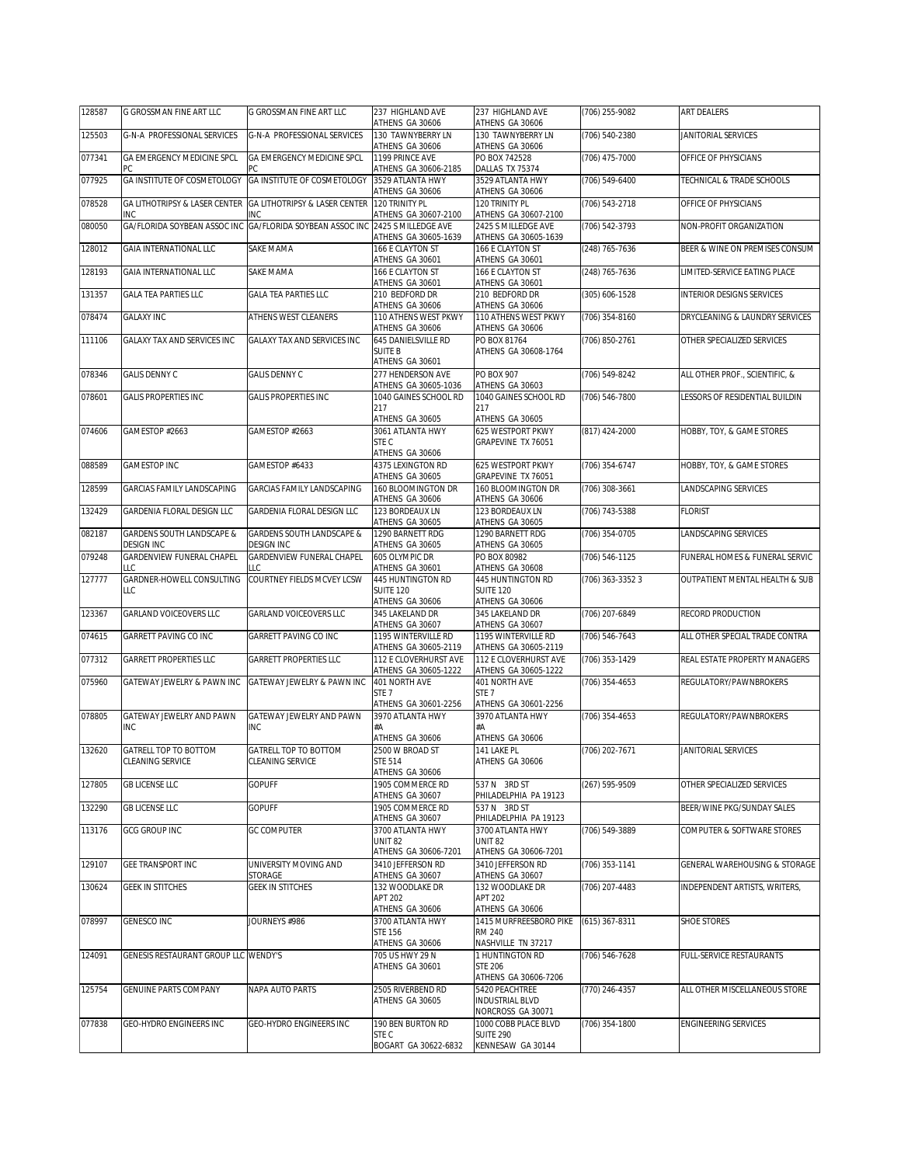| 128587 | G GROSSMAN FINE ART LLC                        | G GROSSMAN FINE ART LLC                                     | 237 HIGHLAND AVE<br>ATHENS GA 30606           | 237 HIGHLAND AVE<br>ATHENS GA 30606                             | (706) 255-9082   | <b>ART DEALERS</b>               |
|--------|------------------------------------------------|-------------------------------------------------------------|-----------------------------------------------|-----------------------------------------------------------------|------------------|----------------------------------|
| 125503 | G-N-A PROFESSIONAL SERVICES                    | G-N-A PROFESSIONAL SERVICES                                 | 130 TAWNYBERRY LN<br>ATHENS GA 30606          | 130 TAWNYBERRY LN<br>ATHENS GA 30606                            | (706) 540-2380   | JANITORIAL SERVICES              |
| 077341 | GA EMERGENCY MEDICINE SPCL<br>PC               | GA EMERGENCY MEDICINE SPCL                                  | 1199 PRINCE AVE<br>ATHENS GA 30606-2185       | PO BOX 742528<br>DALLAS TX 75374                                | (706) 475-7000   | OFFICE OF PHYSICIANS             |
| 077925 | <b>GA INSTITUTE OF COSMETOLOGY</b>             | GA INSTITUTE OF COSMETOLOGY                                 | 3529 ATLANTA HWY                              | 3529 ATLANTA HWY                                                | (706) 549-6400   | TECHNICAL & TRADE SCHOOLS        |
| 078528 |                                                | GA LITHOTRIPSY & LASER CENTER GA LITHOTRIPSY & LASER CENTER | ATHENS GA 30606<br>120 TRINITY PL             | ATHENS GA 30606<br>120 TRINITY PI                               | (706) 543-2718   | OFFICE OF PHYSICIANS             |
| 080050 | INC<br>GA/FLORIDA SOYBEAN ASSOC INC            | INC<br>GA/FLORIDA SOYBEAN ASSOC INC                         | ATHENS GA 30607-2100<br>2425 S MILLEDGE AVE   | ATHENS GA 30607-2100<br>2425 S MILLEDGE AVE                     | (706) 542-3793   | NON-PROFIT ORGANIZATION          |
| 128012 | GAIA INTERNATIONAL LLC                         | SAKE MAMA                                                   | ATHENS GA 30605-1639<br>166 E CLAYTON ST      | ATHENS GA 30605-1639<br>166 E CLAYTON ST                        | (248) 765-7636   | BEER & WINE ON PREMISES CONSUM   |
| 128193 | <b>GAIA INTERNATIONAL LLC</b>                  | SAKE MAMA                                                   | ATHENS GA 30601<br>166 E CLAYTON ST           | ATHENS GA 30601<br>166 E CLAYTON ST                             | (248) 765-7636   | LIMITED-SERVICE EATING PLACE     |
| 131357 | <b>GALA TEA PARTIES LLC</b>                    | <b>GALA TEA PARTIES LLC</b>                                 | ATHENS GA 30601<br>210 BEDFORD DR             | ATHENS GA 30601<br>210 BEDFORD DR                               | (305) 606-1528   | <b>INTERIOR DESIGNS SERVICES</b> |
| 078474 | <b>GALAXY INC</b>                              | ATHENS WEST CLEANERS                                        | ATHENS GA 30606<br>110 ATHENS WEST PKWY       | ATHENS GA 30606<br>110 ATHENS WEST PKWY                         | (706) 354-8160   | DRYCLEANING & LAUNDRY SERVICES   |
| 111106 | GALAXY TAX AND SERVICES INC                    | GALAXY TAX AND SERVICES INC                                 | ATHENS GA 30606<br>645 DANIELSVILLE RD        | ATHENS GA 30606<br>PO BOX 81764                                 | (706) 850-2761   | OTHER SPECIALIZED SERVICES       |
|        |                                                |                                                             | <b>SUITE B</b><br>ATHENS GA 30601             | ATHENS GA 30608-1764                                            |                  |                                  |
| 078346 | <b>GALIS DENNY C</b>                           | <b>GALIS DENNY C</b>                                        | 277 HENDERSON AVE                             | PO BOX 907                                                      | (706) 549-8242   | ALL OTHER PROF., SCIENTIFIC, &   |
| 078601 | <b>GALIS PROPERTIES INC</b>                    | GALIS PROPERTIES INC                                        | ATHENS GA 30605-1036<br>1040 GAINES SCHOOL RD | ATHENS GA 30603<br>1040 GAINES SCHOOL RD                        | (706) 546-7800   | ESSORS OF RESIDENTIAL BUILDIN    |
|        |                                                |                                                             | 217<br>ATHENS GA 30605                        | 217<br>ATHENS GA 30605                                          |                  |                                  |
| 074606 | GAMESTOP #2663                                 | GAMESTOP #2663                                              | 3061 ATLANTA HWY<br>STE C                     | 625 WESTPORT PKWY<br>GRAPEVINE TX 76051                         | (817) 424-2000   | HOBBY, TOY, & GAME STORES        |
| 088589 | <b>GAMESTOP INC</b>                            | GAMESTOP #6433                                              | ATHENS GA 30606<br>4375 LEXINGTON RD          | 625 WESTPORT PKWY                                               | (706) 354-6747   | HOBBY, TOY, & GAME STORES        |
| 128599 | GARCIAS FAMILY LANDSCAPING                     | GARCIAS FAMILY LANDSCAPING                                  | ATHENS GA 30605<br>160 BLOOMINGTON DR         | GRAPEVINE TX 76051<br>160 BLOOMINGTON DR                        | (706) 308-3661   | LANDSCAPING SERVICES             |
| 132429 | GARDENIA FLORAL DESIGN LLC                     | GARDENIA FLORAL DESIGN LLC                                  | ATHENS GA 30606<br>123 BORDEAUX LN            | ATHENS GA 30606<br>123 BORDEAUX LN                              | (706) 743-5388   | <b>FLORIST</b>                   |
|        |                                                |                                                             | ATHENS GA 30605                               | ATHENS GA 30605                                                 |                  |                                  |
| 082187 | GARDENS SOUTH LANDSCAPE &<br><b>DESIGN INC</b> | GARDENS SOUTH LANDSCAPE &<br>DESIGN INC                     | 1290 BARNETT RDG<br>ATHENS GA 30605           | 1290 BARNETT RDG<br>ATHENS GA 30605                             | (706) 354-0705   | LANDSCAPING SERVICES             |
| 079248 | GARDENVIEW FUNERAL CHAPEL<br>LLC.              | GARDENVIEW FUNERAL CHAPEL<br>LLC                            | 605 OLYMPIC DR<br>ATHENS GA 30601             | PO BOX 80982<br>ATHENS GA 30608                                 | (706) 546-1125   | FUNERAL HOMES & FUNERAL SERVIC   |
| 127777 | GARDNER-HOWELL CONSULTING<br>LLC               | COURTNEY FIELDS MCVEY LCSW                                  | 445 HUNTINGTON RD<br><b>SUITE 120</b>         | 445 HUNTINGTON RD<br><b>SUITE 120</b>                           | (706) 363-3352 3 | OUTPATIENT MENTAL HEALTH & SUB   |
| 123367 | GARLAND VOICEOVERS LLC                         | <b>GARLAND VOICEOVERS LLC</b>                               | ATHENS GA 30606<br>345 LAKELAND DR            | ATHENS GA 30606<br>345 LAKELAND DR                              | (706) 207-6849   | RECORD PRODUCTION                |
| 074615 | GARRETT PAVING CO INC                          | GARRETT PAVING CO INC                                       | ATHENS GA 30607<br>1195 WINTERVILLE RD        | ATHENS GA 30607<br>1195 WINTERVILLE RD                          | (706) 546-7643   | ALL OTHER SPECIAL TRADE CONTRA   |
| 077312 | <b>GARRETT PROPERTIES LLC</b>                  | <b>GARRETT PROPERTIES LLC</b>                               | ATHENS GA 30605-2119<br>112 E CLOVERHURST AVE | ATHENS GA 30605-2119<br>112 E CLOVERHURST AVE                   | (706) 353-1429   | REAL ESTATE PROPERTY MANAGERS    |
|        |                                                | GATEWAY JEWELRY & PAWN INC                                  | ATHENS GA 30605-1222                          | ATHENS GA 30605-1222                                            |                  |                                  |
| 075960 | GATEWAY JEWELRY & PAWN INC                     |                                                             | 401 NORTH AVE<br>STE <sub>7</sub>             | 401 NORTH AVE<br>STE <sub>7</sub>                               | (706) 354-4653   | REGULATORY/PAWNBROKERS           |
| 078805 | GATEWAY JEWELRY AND PAWN                       | GATEWAY JEWELRY AND PAWN                                    | ATHENS GA 30601-2256<br>3970 ATLANTA HWY      | ATHENS GA 30601-2256<br>3970 ATLANTA HWY                        | (706) 354-4653   | REGULATORY/PAWNBROKERS           |
|        | INC.                                           | <b>INC</b>                                                  | #A<br>ATHENS GA 30606                         | #A<br>ATHENS GA 30606                                           |                  |                                  |
| 132620 | GATRELL TOP TO BOTTOM<br>CLEANING SERVICE      | GATRELL TOP TO BOTTOM<br><b>CLEANING SERVICE</b>            | 2500 W BROAD ST<br>STE 514<br>ATHENS GA 30606 | 141 LAKE PL<br>ATHENS GA 30606                                  | (706) 202-7671   | JANITORIAL SERVICES              |
| 127805 | <b>GB LICENSE LLC</b>                          | <b>GOPUFF</b>                                               | 1905 COMMERCE RD<br>ATHENS GA 30607           | 537 N 3RD ST<br>PHILADELPHIA PA 19123                           | (267) 595-9509   | OTHER SPECIALIZED SERVICES       |
| 132290 | <b>GB LICENSE LLC</b>                          | <b>GOPUFF</b>                                               | 1905 COMMERCE RD<br>ATHENS GA 30607           | 537 N 3RD ST<br>PHILADELPHIA PA 19123                           |                  | BEER/WINE PKG/SUNDAY SALES       |
| 113176 | GCG GROUP INC                                  | <b>GC COMPUTER</b>                                          | 3700 ATLANTA HWY<br><b>UNIT 82</b>            | 3700 ATLANTA HWY<br><b>UNIT 82</b>                              | (706) 549-3889   | COMPUTER & SOFTWARE STORES       |
|        |                                                |                                                             | ATHENS GA 30606-7201                          | ATHENS GA 30606-7201                                            |                  |                                  |
| 129107 | GEE TRANSPORT INC                              | UNIVERSITY MOVING AND<br>STORAGE                            | 3410 JEFFERSON RD<br>ATHENS GA 30607          | 3410 JEFFERSON RD<br>ATHENS GA 30607                            | (706) 353-1141   | GENERAL WAREHOUSING & STORAGE    |
| 130624 | <b>GEEK IN STITCHES</b>                        | <b>GEEK IN STITCHES</b>                                     | 132 WOODLAKE DR<br><b>APT 202</b>             | 132 WOODLAKE DR<br><b>APT 202</b>                               | (706) 207-4483   | INDEPENDENT ARTISTS, WRITERS,    |
| 078997 | GENESCO INC                                    | JOURNEYS #986                                               | ATHENS GA 30606<br>3700 ATLANTA HWY           | ATHENS GA 30606<br>1415 MURFREESBORO PIKE                       | (615) 367-8311   | <b>SHOE STORES</b>               |
|        |                                                |                                                             | <b>STE 156</b><br>ATHENS GA 30606             | <b>RM 240</b><br>NASHVILLE TN 37217                             |                  |                                  |
| 124091 | <b>GENESIS RESTAURANT GROUP LLC WENDY'S</b>    |                                                             | 705 US HWY 29 N<br>ATHENS GA 30601            | <b>THUNTINGTON RD</b><br><b>STE 206</b><br>ATHENS GA 30606-7206 | (706) 546-7628   | FULL-SERVICE RESTAURANTS         |
| 125754 | GENUINE PARTS COMPANY                          | NAPA AUTO PARTS                                             | 2505 RIVERBEND RD<br>ATHENS GA 30605          | 5420 PEACHTREE<br><b>INDUSTRIAL BLVD</b><br>NORCROSS GA 30071   | (770) 246-4357   | ALL OTHER MISCELLANEOUS STORE    |
| 077838 | GEO-HYDRO ENGINEERS INC                        | GEO-HYDRO ENGINEERS INC                                     | 190 BEN BURTON RD                             | 1000 COBB PLACE BLVD                                            | (706) 354-1800   | <b>ENGINEERING SERVICES</b>      |
|        |                                                |                                                             | STE C<br>BOGART GA 30622-6832                 | <b>SUITE 290</b><br>KENNESAW GA 30144                           |                  |                                  |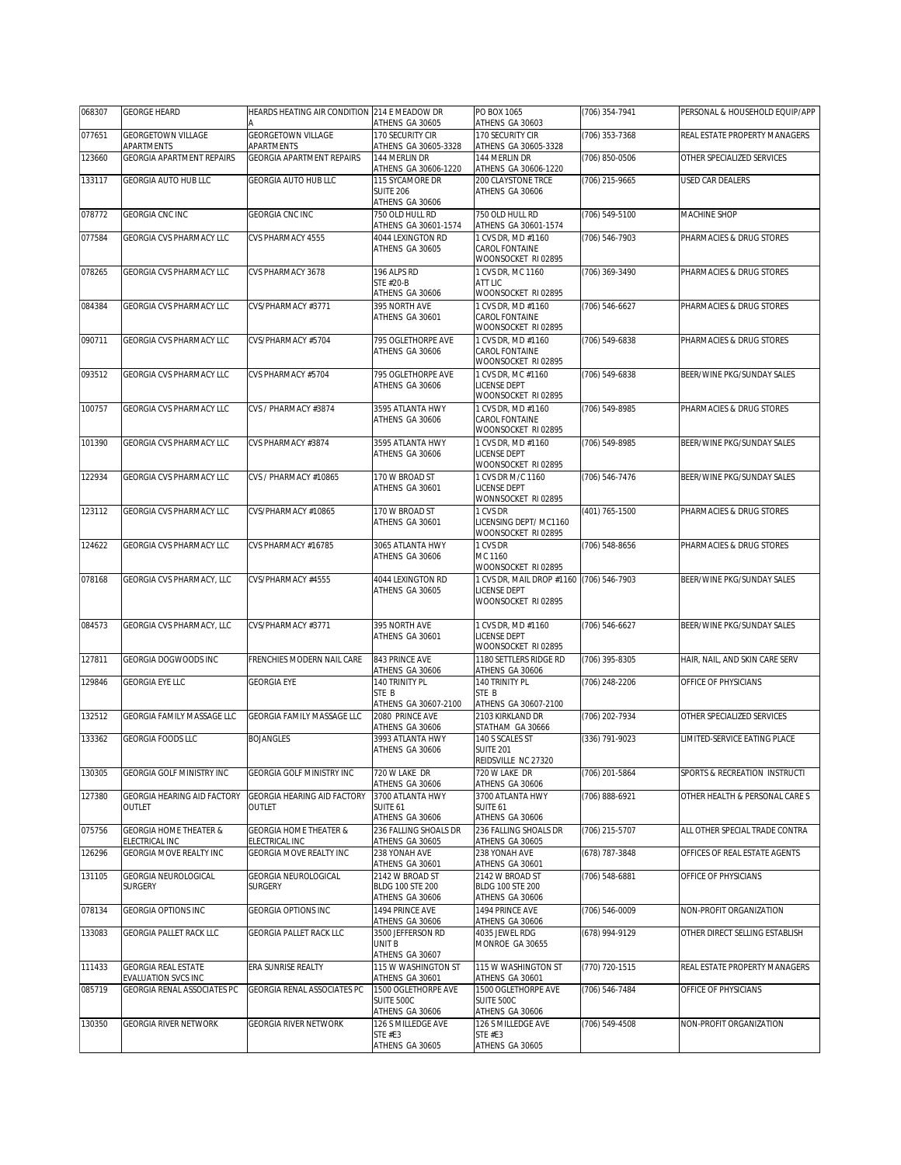| 068307 | <b>GEORGE HEARD</b>                                 | HEARDS HEATING AIR CONDITION 214 E MEADOW DR        | ATHENS GA 30605                                               | PO BOX 1065<br>ATHENS GA 30603                                                  | (706) 354-7941 | PERSONAL & HOUSEHOLD EQUIP/APP |
|--------|-----------------------------------------------------|-----------------------------------------------------|---------------------------------------------------------------|---------------------------------------------------------------------------------|----------------|--------------------------------|
| 077651 | <b>GEORGETOWN VILLAGE</b><br>APARTMENTS             | <b>GEORGETOWN VILLAGE</b><br>APARTMENTS             | 170 SECURITY CIR<br>ATHENS GA 30605-3328                      | 170 SECURITY CIR<br>ATHENS GA 30605-3328                                        | (706) 353-7368 | REAL ESTATE PROPERTY MANAGERS  |
| 123660 | <b>GEORGIA APARTMENT REPAIRS</b>                    | <b>GEORGIA APARTMENT REPAIRS</b>                    | 144 MERLIN DR                                                 | 144 MERLIN DR                                                                   | (706) 850-0506 | OTHER SPECIALIZED SERVICES     |
| 133117 | <b>GEORGIA AUTO HUB LLC</b>                         | GEORGIA AUTO HUB LLC                                | ATHENS GA 30606-1220<br>115 SYCAMORE DR                       | ATHENS GA 30606-1220<br>200 CLAYSTONE TRCE                                      | (706) 215-9665 | USED CAR DEALERS               |
|        |                                                     |                                                     | <b>SUITE 206</b><br>ATHENS GA 30606                           | ATHENS GA 30606                                                                 |                |                                |
| 078772 | <b>GEORGIA CNC INC</b>                              | GEORGIA CNC INC                                     | 750 OLD HULL RD<br>ATHENS GA 30601-1574                       | 750 OLD HULL RD<br>ATHENS GA 30601-1574                                         | (706) 549-5100 | MACHINE SHOP                   |
| 077584 | GEORGIA CVS PHARMACY LLC                            | CVS PHARMACY 4555                                   | 4044 LEXINGTON RD<br>ATHENS GA 30605                          | 1 CVS DR, MD #1160<br>CAROL FONTAINE<br>WOONSOCKET RI 02895                     | (706) 546-7903 | PHARMACIES & DRUG STORES       |
| 078265 | GEORGIA CVS PHARMACY LLC                            | CVS PHARMACY 3678                                   | 196 ALPS RD<br>STE #20-B<br>ATHENS GA 30606                   | 1 CVS DR, MC 1160<br>ATT LIC<br>WOONSOCKET RI 02895                             | (706) 369-3490 | PHARMACIES & DRUG STORES       |
| 084384 | GEORGIA CVS PHARMACY LLC                            | CVS/PHARMACY #3771                                  | 395 NORTH AVE<br>ATHENS GA 30601                              | 1 CVS DR. MD #1160<br>CAROL FONTAINE<br>WOONSOCKET RI 02895                     | (706) 546-6627 | PHARMACIES & DRUG STORES       |
| 090711 | GEORGIA CVS PHARMACY LLC                            | CVS/PHARMACY #5704                                  | 795 OGLETHORPE AVE<br>ATHENS GA 30606                         | 1 CVS DR, MD #1160<br>CAROL FONTAINE<br>WOONSOCKET RI 02895                     | (706) 549-6838 | PHARMACIES & DRUG STORES       |
| 093512 | GEORGIA CVS PHARMACY LLC                            | CVS PHARMACY #5704                                  | 795 OGLETHORPE AVE<br>ATHENS GA 30606                         | 1 CVS DR, MC #1160<br>LICENSE DEPT<br>WOONSOCKET RI 02895                       | (706) 549-6838 | BEER/WINE PKG/SUNDAY SALES     |
| 100757 | <b>GEORGIA CVS PHARMACY LLC</b>                     | CVS / PHARMACY #3874                                | 3595 ATLANTA HWY<br>ATHENS GA 30606                           | 1 CVS DR, MD #1160<br>CAROL FONTAINE<br>WOONSOCKET RI 02895                     | (706) 549-8985 | PHARMACIES & DRUG STORES       |
| 101390 | GEORGIA CVS PHARMACY LLC                            | CVS PHARMACY #3874                                  | 3595 ATLANTA HWY<br>ATHENS GA 30606                           | 1 CVS DR. MD #1160<br>LICENSE DEPT<br>WOONSOCKET RI 02895                       | (706) 549-8985 | BEER/WINE PKG/SUNDAY SALES     |
| 122934 | GEORGIA CVS PHARMACY LLC                            | CVS / PHARMACY #10865                               | 170 W BROAD ST<br>ATHENS GA 30601                             | 1 CVS DR M/C 1160<br>LICENSE DEPT<br>WONNSOCKET RI 02895                        | (706) 546-7476 | BEER/WINE PKG/SUNDAY SALES     |
| 123112 | GEORGIA CVS PHARMACY LLC                            | CVS/PHARMACY #10865                                 | 170 W BROAD ST<br>ATHENS GA 30601                             | 1 CVS DR<br>LICENSING DEPT/MC1160<br>WOONSOCKET RI 02895                        | (401) 765-1500 | PHARMACIES & DRUG STORES       |
| 124622 | GEORGIA CVS PHARMACY LLC                            | CVS PHARMACY #16785                                 | 3065 ATLANTA HWY<br>ATHENS GA 30606                           | 1 CVS DR<br>MC 1160<br>WOONSOCKET RI 02895                                      | (706) 548-8656 | PHARMACIES & DRUG STORES       |
| 078168 | GEORGIA CVS PHARMACY, LLC                           | CVS/PHARMACY #4555                                  | 4044 LEXINGTON RD<br>ATHENS GA 30605                          | 1 CVS DR, MAIL DROP #1160 (706) 546-7903<br>LICENSE DEPT<br>WOONSOCKET RI 02895 |                | BEER/WINE PKG/SUNDAY SALES     |
| 084573 | GEORGIA CVS PHARMACY, LLC                           | CVS/PHARMACY #3771                                  | 395 NORTH AVE<br>ATHENS GA 30601                              | 1 CVS DR, MD #1160<br>LICENSE DEPT<br>WOONSOCKET RI 02895                       | (706) 546-6627 | BEER/WINE PKG/SUNDAY SALES     |
| 127811 | GEORGIA DOGWOODS INC                                | FRENCHIES MODERN NAIL CARE                          | 843 PRINCE AVE<br>ATHENS GA 30606                             | 1180 SETTLERS RIDGE RD<br>ATHENS GA 30606                                       | (706) 395-8305 | HAIR, NAIL, AND SKIN CARE SERV |
| 129846 | <b>GEORGIA EYE LLC</b>                              | <b>GEORGIA EYE</b>                                  | 140 TRINITY PL<br>STE B<br>ATHENS GA 30607-2100               | 140 TRINITY PL<br>STE B<br>ATHENS GA 30607-2100                                 | (706) 248-2206 | OFFICE OF PHYSICIANS           |
| 132512 | GEORGIA FAMILY MASSAGE LLC                          | GEORGIA FAMILY MASSAGE LLC                          | 2080 PRINCE AVE<br>ATHENS GA 30606                            | 2103 KIRKLAND DR<br>STATHAM GA 30666                                            | (706) 202-7934 | OTHER SPECIALIZED SERVICES     |
| 133362 | <b>GEORGIA FOODS LLC</b>                            | <b>BOJANGLES</b>                                    | 3993 ATLANTA HWY<br>ATHENS GA 30606                           | 140 S SCALES ST<br><b>SUITE 201</b><br>REIDSVILLE NC 27320                      | (336) 791-9023 | LIMITED-SERVICE EATING PLACE   |
| 130305 | GEORGIA GOLF MINISTRY INC                           | GEORGIA GOLF MINISTRY INC                           | 720 W LAKE DR<br>ATHENS GA 30606                              | 720 W LAKE DR<br>ATHENS GA 30606                                                | (706) 201-5864 | SPORTS & RECREATION INSTRUCTI  |
| 127380 | GEORGIA HEARING AID FACTORY<br>OUTLET               | GEORGIA HEARING AID FACTORY<br>OUTLET               | 3700 ATLANTA HWY<br>SUITE 61<br>ATHENS GA 30606               | 3700 ATLANTA HWY<br>SUITE 61<br>ATHENS GA 30606                                 | (706) 888-6921 | OTHER HEALTH & PERSONAL CARE S |
| 075756 | <b>GEORGIA HOME THEATER &amp;</b><br>ELECTRICAL INC | <b>GEORGIA HOME THEATER &amp;</b><br>ELECTRICAL INC | 236 FALLING SHOALS DR<br>ATHENS GA 30605                      | 236 FALLING SHOALS DR<br>ATHENS GA 30605                                        | (706) 215-5707 | ALL OTHER SPECIAL TRADE CONTRA |
| 126296 | GEORGIA MOVE REALTY INC                             | <b>GEORGIA MOVE REALTY INC</b>                      | 238 YONAH AVE<br>ATHENS GA 30601                              | 238 YONAH AVE<br>ATHENS GA 30601                                                | (678) 787-3848 | OFFICES OF REAL ESTATE AGENTS  |
| 131105 | GEORGIA NEUROLOGICAL<br><b>SURGERY</b>              | GEORGIA NEUROLOGICAL<br><b>SURGERY</b>              | 2142 W BROAD ST<br><b>BLDG 100 STE 200</b><br>ATHENS GA 30606 | 2142 W BROAD ST<br><b>BLDG 100 STE 200</b><br>ATHENS GA 30606                   | (706) 548-6881 | OFFICE OF PHYSICIANS           |
| 078134 | <b>GEORGIA OPTIONS INC</b>                          | <b>GEORGIA OPTIONS INC</b>                          | 1494 PRINCE AVE<br>ATHENS GA 30606                            | 1494 PRINCE AVE<br>ATHENS GA 30606                                              | (706) 546-0009 | NON-PROFIT ORGANIZATION        |
| 133083 | <b>GEORGIA PALLET RACK LLC</b>                      | GEORGIA PALLET RACK LLC                             | 3500 JEFFERSON RD<br>UNIT B<br>ATHENS GA 30607                | 4035 JEWEL RDG<br>MONROE GA 30655                                               | (678) 994-9129 | OTHER DIRECT SELLING ESTABLISH |
| 111433 | <b>GEORGIA REAL ESTATE</b><br>EVALUATION SVCS INC   | ERA SUNRISE REALTY                                  | 115 W WASHINGTON ST<br>ATHENS GA 30601                        | 115 W WASHINGTON ST<br>ATHENS GA 30601                                          | (770) 720-1515 | REAL ESTATE PROPERTY MANAGERS  |
| 085719 | GEORGIA RENAL ASSOCIATES PC                         | GEORGIA RENAL ASSOCIATES PC                         | 1500 OGLETHORPE AVE<br>SUITE 500C<br>ATHENS GA 30606          | 1500 OGLETHORPE AVE<br>SUITE 500C<br>ATHENS GA 30606                            | (706) 546-7484 | OFFICE OF PHYSICIANS           |
| 130350 | <b>GEORGIA RIVER NETWORK</b>                        | GEORGIA RIVER NETWORK                               | 126 S MILLEDGE AVE<br>STE #E3<br>ATHENS GA 30605              | 126 S MILLEDGE AVE<br>STE #E3<br>ATHENS GA 30605                                | (706) 549-4508 | NON-PROFIT ORGANIZATION        |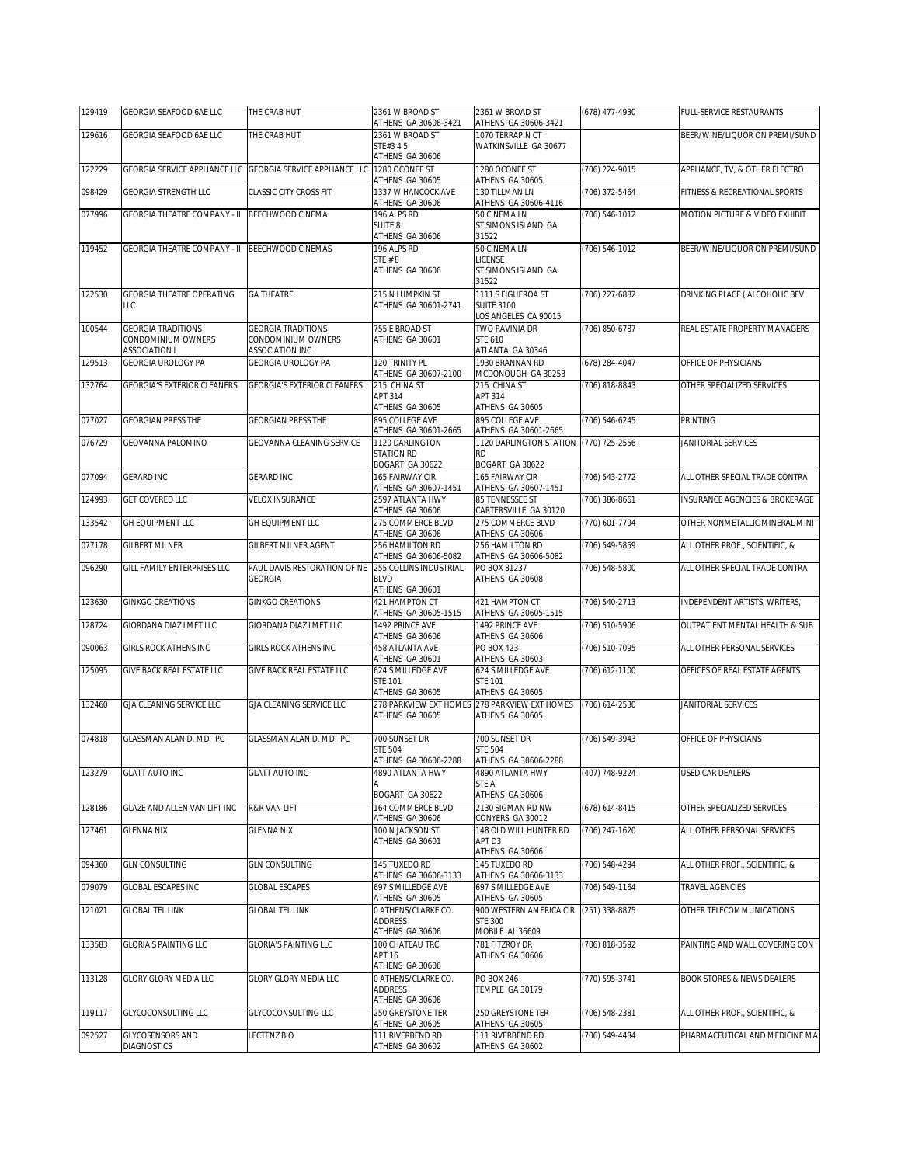| 129419 | GEORGIA SEAFOOD 6AE LLC                         | THE CRAB HUT                                                | 2361 W BROAD ST                                | 2361 W BROAD ST<br>ATHENS GA 30606-3421                        | (678) 477-4930     | FULL-SERVICE RESTAURANTS              |
|--------|-------------------------------------------------|-------------------------------------------------------------|------------------------------------------------|----------------------------------------------------------------|--------------------|---------------------------------------|
| 129616 | GEORGIA SEAFOOD 6AE LLC                         | THE CRAB HUT                                                | ATHENS GA 30606-3421<br>2361 W BROAD ST        | 1070 TERRAPIN CT                                               |                    | BEER/WINE/LIQUOR ON PREMI/SUND        |
|        |                                                 |                                                             | STE#3 45<br>ATHENS GA 30606                    | WATKINSVILLE GA 30677                                          |                    |                                       |
| 122229 |                                                 | GEORGIA SERVICE APPLIANCE LLC GEORGIA SERVICE APPLIANCE LLC | 1280 OCONEE ST<br>ATHENS GA 30605              | 1280 OCONEE ST<br>ATHENS GA 30605                              | (706) 224-9015     | APPLIANCE, TV, & OTHER ELECTRO        |
| 098429 | GEORGIA STRENGTH LLC                            | <b>CLASSIC CITY CROSS FIT</b>                               | 1337 W HANCOCK AVE<br>ATHENS GA 30606          | 130 TILLMAN LN<br>ATHENS GA 30606-4116                         | (706) 372-5464     | FITNESS & RECREATIONAL SPORTS         |
| 077996 | <b>GEORGIA THEATRE COMPANY - II</b>             | BEECHWOOD CINEMA                                            | 196 ALPS RD                                    | 50 CINEMA LN                                                   | $(706) 546 - 1012$ | MOTION PICTURE & VIDEO EXHIBIT        |
|        |                                                 |                                                             | SUITE 8<br>ATHENS GA 30606                     | ST SIMONS ISLAND GA<br>31522                                   |                    |                                       |
| 119452 | <b>GEORGIA THEATRE COMPANY - II</b>             | BEECHWOOD CINEMAS                                           | 196 ALPS RD                                    | 50 CINEMA LN                                                   | (706) 546-1012     | BEER/WINE/LIQUOR ON PREMI/SUND        |
|        |                                                 |                                                             | STE #8<br>ATHENS GA 30606                      | LICENSE<br>ST SIMONS ISLAND GA                                 |                    |                                       |
|        |                                                 |                                                             |                                                | 31522                                                          |                    |                                       |
| 122530 | <b>GEORGIA THEATRE OPERATING</b><br>LLC.        | <b>GA THEATRE</b>                                           | 215 N LUMPKIN ST<br>ATHENS GA 30601-2741       | 1111 S FIGUEROA ST<br><b>SUITE 3100</b>                        | (706) 227-6882     | DRINKING PLACE ( ALCOHOLIC BEV        |
|        |                                                 |                                                             |                                                | LOS ANGELES CA 90015                                           |                    |                                       |
| 100544 | <b>GEORGIA TRADITIONS</b><br>CONDOMINIUM OWNERS | <b>GEORGIA TRADITIONS</b><br>CONDOMINIUM OWNERS             | 755 E BROAD ST<br>ATHENS GA 30601              | TWO RAVINIA DR<br>STE 610                                      | (706) 850-6787     | REAL ESTATE PROPERTY MANAGERS         |
|        | <b>ASSOCIATION I</b>                            | ASSOCIATION INC                                             |                                                | ATLANTA GA 30346                                               |                    |                                       |
| 129513 | GEORGIA UROLOGY PA                              | GEORGIA UROLOGY PA                                          | 120 TRINITY PL<br>ATHENS GA 30607-2100         | 1930 BRANNAN RD<br>MCDONOUGH GA 30253                          | (678) 284-4047     | OFFICE OF PHYSICIANS                  |
| 132764 | <b>GEORGIA'S EXTERIOR CLEANERS</b>              | <b>GEORGIA'S EXTERIOR CLEANERS</b>                          | 215 CHINA ST                                   | 215 CHINA ST                                                   | (706) 818-8843     | OTHER SPECIALIZED SERVICES            |
|        |                                                 |                                                             | <b>APT 314</b><br>ATHENS GA 30605              | <b>APT 314</b><br>ATHENS GA 30605                              |                    |                                       |
| 077027 | <b>GEORGIAN PRESS THE</b>                       | <b>GEORGIAN PRESS THE</b>                                   | 895 COLLEGE AVE                                | 895 COLLEGE AVE                                                | (706) 546-6245     | <b>PRINTING</b>                       |
| 076729 | GEOVANNA PALOMINO                               | GEOVANNA CLEANING SERVICE                                   | ATHENS GA 30601-2665<br>1120 DARLINGTON        | ATHENS GA 30601-2665<br>1120 DARLINGTON STATION (770) 725-2556 |                    | JANITORIAL SERVICES                   |
|        |                                                 |                                                             | <b>STATION RD</b>                              | <b>RD</b>                                                      |                    |                                       |
| 077094 | <b>GERARD INC</b>                               | <b>GERARD INC</b>                                           | BOGART GA 30622<br>165 FAIRWAY CIR             | BOGART GA 30622<br>165 FAIRWAY CIR                             | (706) 543-2772     | ALL OTHER SPECIAL TRADE CONTRA        |
|        |                                                 |                                                             | ATHENS GA 30607-1451                           | ATHENS GA 30607-1451                                           |                    |                                       |
| 124993 | <b>GET COVERED LLC</b>                          | <b>VELOX INSURANCE</b>                                      | 2597 ATI ANTA HWY<br>ATHENS GA 30606           | 85 TENNESSEE ST<br>CARTERSVILLE GA 30120                       | (706) 386-8661     | INSURANCE AGENCIES & BROKERAGE        |
| 133542 | GH EQUIPMENT LLC                                | <b>GH EQUIPMENT LLC</b>                                     | 275 COMMERCE BLVD                              | 275 COMMERCE BLVD                                              | (770) 601-7794     | OTHER NONMETALLIC MINERAL MINI        |
| 077178 | GILBERT MILNER                                  | GILBERT MILNER AGENT                                        | ATHENS GA 30606<br>256 HAMILTON RD             | ATHENS GA 30606<br>256 HAMILTON RD                             | (706) 549-5859     | ALL OTHER PROF., SCIENTIFIC, &        |
| 096290 | GILL FAMILY ENTERPRISES LLC                     | PAUL DAVIS RESTORATION OF NE                                | ATHENS GA 30606-5082<br>255 COLLINS INDUSTRIAL | ATHENS GA 30606-5082<br>PO BOX 81237                           | (706) 548-5800     | ALL OTHER SPECIAL TRADE CONTRA        |
|        |                                                 | <b>GEORGIA</b>                                              | <b>BLVD</b>                                    | ATHENS GA 30608                                                |                    |                                       |
| 123630 | GINKGO CREATIONS                                | <b>GINKGO CREATIONS</b>                                     | ATHENS GA 30601<br>421 HAMPTON CT              | 421 HAMPTON CT                                                 | (706) 540-2713     | INDEPENDENT ARTISTS, WRITERS,         |
|        |                                                 |                                                             | ATHENS GA 30605-1515                           | ATHENS GA 30605-1515                                           |                    |                                       |
| 128724 | GIORDANA DIAZ LMFT LLC                          | GIORDANA DIAZ LMFT LLC                                      | 1492 PRINCE AVE<br>ATHENS GA 30606             | 1492 PRINCE AVE<br>ATHENS GA 30606                             | (706) 510-5906     | OUTPATIENT MENTAL HEALTH & SUB        |
| 090063 | GIRLS ROCK ATHENS INC                           | GIRLS ROCK ATHENS INC                                       | 458 ATLANTA AVE                                | <b>PO BOX 423</b>                                              | (706) 510-7095     | ALL OTHER PERSONAL SERVICES           |
| 125095 | GIVE BACK REAL ESTATE LLC                       | GIVE BACK REAL ESTATE LLC                                   | ATHENS GA 30601<br>624 S MILLEDGE AVE          | ATHENS GA 30603<br>624 S MILLEDGE AVE                          | (706) 612-1100     | OFFICES OF REAL ESTATE AGENTS         |
|        |                                                 |                                                             | <b>STE 101</b>                                 | <b>STE 101</b><br>ATHENS GA 30605                              |                    |                                       |
| 132460 | GJA CLEANING SERVICE LLC                        | <b>GJA CLEANING SERVICE LLC</b>                             | ATHENS GA 30605                                | 278 PARKVIEW EXT HOMES 278 PARKVIEW EXT HOMES                  | (706) 614-2530     | <b>JANITORIAL SERVICES</b>            |
|        |                                                 |                                                             | ATHENS GA 30605                                | ATHENS GA 30605                                                |                    |                                       |
| 074818 | GLASSMAN ALAN D. MD PC                          | GLASSMAN ALAN D. MD PC                                      | 700 SUNSET DR                                  | 700 SUNSET DR                                                  | (706) 549-3943     | OFFICE OF PHYSICIANS                  |
|        |                                                 |                                                             | STE 504<br>ATHENS GA 30606-2288                | <b>STE 504</b><br>ATHENS GA 30606-2288                         |                    |                                       |
| 123279 | <b>GLATT AUTO INC</b>                           | <b>GLATT AUTO INC</b>                                       | 4890 ATLANTA HWY                               | 4890 ATLANTA HWY                                               | (407) 748-9224     | USED CAR DEALERS                      |
|        |                                                 |                                                             | Α<br>BOGART GA 30622                           | STE A<br>ATHENS GA 30606                                       |                    |                                       |
| 128186 | GLAZE AND ALLEN VAN LIFT INC                    | <b>R&amp;R VAN LIFT</b>                                     | 164 COMMERCE BLVD                              | 2130 SIGMAN RD NW                                              | (678) 614-8415     | OTHER SPECIALIZED SERVICES            |
| 127461 | <b>GLENNA NIX</b>                               | <b>GLENNA NIX</b>                                           | ATHENS GA 30606<br>100 N JACKSON ST            | CONYERS GA 30012<br>148 OLD WILL HUNTER RD                     | (706) 247-1620     | ALL OTHER PERSONAL SERVICES           |
|        |                                                 |                                                             | ATHENS GA 30601                                | APT D3                                                         |                    |                                       |
| 094360 | <b>GLN CONSULTING</b>                           | <b>GLN CONSULTING</b>                                       | 145 TUXEDO RD                                  | ATHENS GA 30606<br>145 TUXEDO RD                               | (706) 548-4294     | ALL OTHER PROF., SCIENTIFIC, &        |
|        |                                                 |                                                             | ATHENS GA 30606-3133                           | ATHENS GA 30606-3133                                           |                    |                                       |
| 079079 | GLOBAL ESCAPES INC                              | <b>GLOBAL ESCAPES</b>                                       | 697 S MILLEDGE AVE<br>ATHENS GA 30605          | 697 S MILLEDGE AVE<br>ATHENS GA 30605                          | (706) 549-1164     | TRAVEL AGENCIES                       |
| 121021 | <b>GLOBAL TEL LINK</b>                          | <b>GLOBAL TEL LINK</b>                                      | O ATHENS/CLARKE CO.<br><b>ADDRESS</b>          | 900 WESTERN AMERICA CIR<br><b>STE 300</b>                      | (251) 338-8875     | OTHER TELECOMMUNICATIONS              |
| 133583 | GLORIA'S PAINTING LLC                           | <b>GLORIA'S PAINTING LLC</b>                                | ATHENS GA 30606<br>100 CHATEAU TRC             | MOBILE AL 36609<br>781 FITZROY DR                              | (706) 818-3592     | PAINTING AND WALL COVERING CON        |
|        |                                                 |                                                             | APT 16                                         | ATHENS GA 30606                                                |                    |                                       |
| 113128 | GLORY GLORY MEDIA LLC                           | GLORY GLORY MEDIA LLC                                       | ATHENS GA 30606<br>O ATHENS/CLARKE CO.         | PO BOX 246                                                     | (770) 595-3741     | <b>BOOK STORES &amp; NEWS DEALERS</b> |
|        |                                                 |                                                             | ADDRESS<br>ATHENS GA 30606                     | TEMPLE GA 30179                                                |                    |                                       |
| 119117 | GLYCOCONSULTING LLC                             | GLYCOCONSULTING LLC                                         | 250 GREYSTONE TER                              | 250 GREYSTONE TER                                              | (706) 548-2381     | ALL OTHER PROF., SCIENTIFIC, &        |
| 092527 | GLYCOSENSORS AND                                | LECTENZ BIO                                                 | ATHENS GA 30605<br>111 RIVERBEND RD            | ATHENS GA 30605<br>111 RIVERBEND RD                            | (706) 549-4484     | PHARMACEUTICAL AND MEDICINE MA        |
|        | <b>DIAGNOSTICS</b>                              |                                                             | ATHENS GA 30602                                | ATHENS GA 30602                                                |                    |                                       |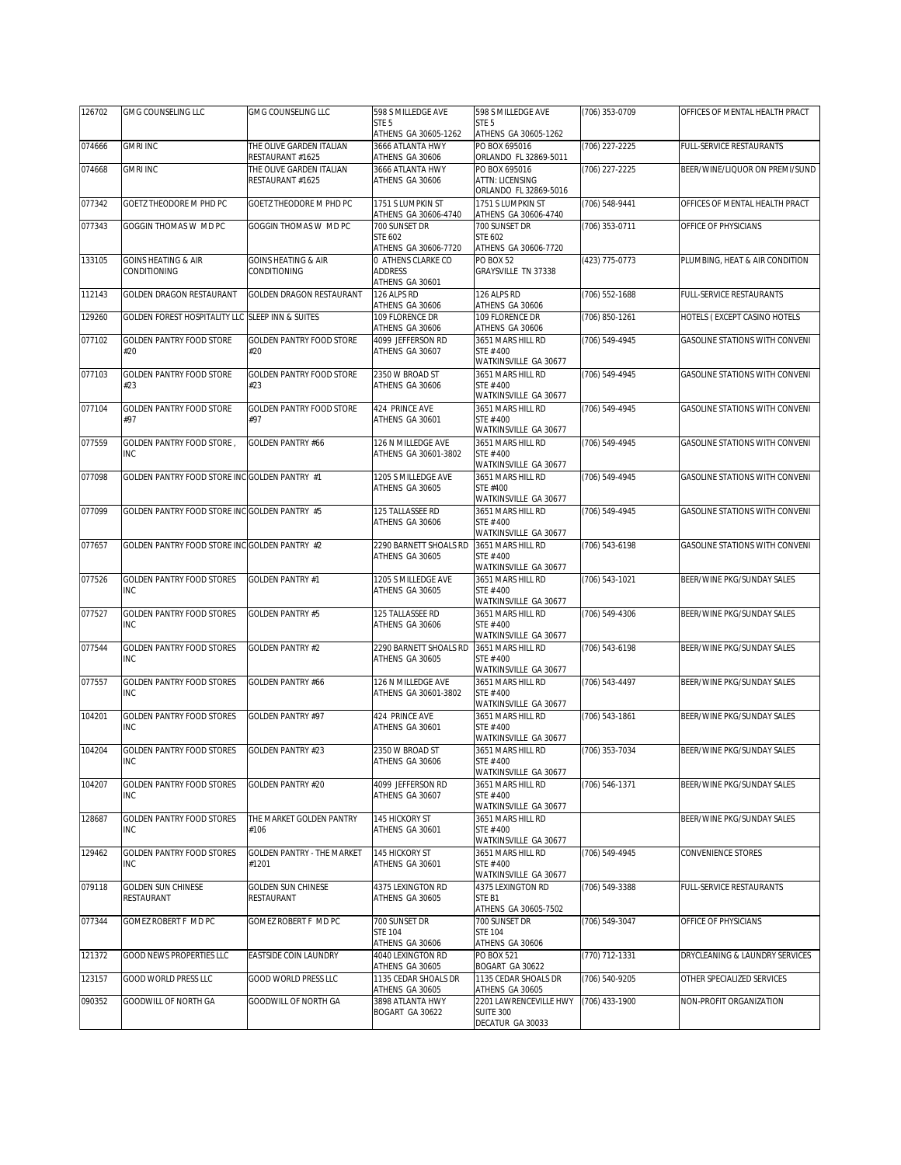| 126702 | GMG COUNSELING LLC                               | GMG COUNSELING LLC                           | 598 S MILLEDGE AVE                               | 598 S MILLEDGE AVE                               | (706) 353-0709     | OFFICES OF MENTAL HEALTH PRACT        |
|--------|--------------------------------------------------|----------------------------------------------|--------------------------------------------------|--------------------------------------------------|--------------------|---------------------------------------|
|        |                                                  |                                              | STE 5<br>ATHENS GA 30605-1262                    | STE <sub>5</sub><br>ATHENS GA 30605-1262         |                    |                                       |
| 074666 | <b>GMRI INC</b>                                  | THE OLIVE GARDEN ITALIAN                     | 3666 ATLANTA HWY                                 | PO BOX 695016                                    | (706) 227-2225     | FULL-SERVICE RESTAURANTS              |
| 074668 | <b>GMRI INC</b>                                  | RESTAURANT #1625<br>THE OLIVE GARDEN ITALIAN | ATHENS GA 30606<br>3666 ATLANTA HWY              | ORLANDO FL 32869-5011<br>PO BOX 695016           | (706) 227-2225     | BEER/WINE/LIQUOR ON PREMI/SUND        |
|        |                                                  | RESTAURANT #1625                             | ATHENS GA 30606                                  | <b>ATTN: LICENSING</b>                           |                    |                                       |
| 077342 | GOETZ THEODORE M PHD PC                          | GOETZ THEODORE M PHD PC                      | 1751 S LUMPKIN ST                                | ORLANDO FL 32869-5016<br>1751 S LUMPKIN ST       | (706) 548-9441     | OFFICES OF MENTAL HEALTH PRACT        |
|        |                                                  |                                              | ATHENS GA 30606-4740                             | ATHENS GA 30606-4740                             |                    |                                       |
| 077343 | GOGGIN THOMAS W MD PC                            | GOGGIN THOMAS W MD PC                        | 700 SUNSET DR<br>STE 602<br>ATHENS GA 30606-7720 | 700 SUNSET DR<br>STE 602<br>ATHENS GA 30606-7720 | (706) 353-0711     | OFFICE OF PHYSICIANS                  |
| 133105 | <b>GOINS HEATING &amp; AIR</b>                   | <b>GOINS HEATING &amp; AIR</b>               | 0 ATHENS CLARKE CO                               | <b>PO BOX 52</b>                                 | (423) 775-0773     | PLUMBING, HEAT & AIR CONDITION        |
|        | CONDITIONING                                     | CONDITIONING                                 | <b>ADDRESS</b><br>ATHENS GA 30601                | GRAYSVILLE TN 37338                              |                    |                                       |
| 112143 | <b>GOLDEN DRAGON RESTAURANT</b>                  | <b>GOLDEN DRAGON RESTAURANT</b>              | 126 ALPS RD<br>ATHENS GA 30606                   | 126 ALPS RD<br>ATHENS GA 30606                   | $(706) 552 - 1688$ | FULL-SERVICE RESTAURANTS              |
| 129260 | GOLDEN FOREST HOSPITALITY LLC SLEEP INN & SUITES |                                              | 109 FLORENCE DR<br>ATHENS GA 30606               | 109 FLORENCE DR<br>ATHENS GA 30606               | (706) 850-1261     | HOTELS (EXCEPT CASINO HOTELS          |
| 077102 | GOLDEN PANTRY FOOD STORE<br>#20                  | <b>GOLDEN PANTRY FOOD STORE</b><br>#20       | 4099 JEFFERSON RD<br>ATHENS GA 30607             | 3651 MARS HILL RD<br>STE #400                    | (706) 549-4945     | GASOLINE STATIONS WITH CONVENI        |
| 077103 | <b>GOLDEN PANTRY FOOD STORE</b>                  | <b>GOLDEN PANTRY FOOD STORE</b>              | 2350 W BROAD ST                                  | WATKINSVILLE GA 30677<br>3651 MARS HILL RD       | (706) 549-4945     | <b>GASOLINE STATIONS WITH CONVENI</b> |
|        | #23                                              | #23                                          | ATHENS GA 30606                                  | STE #400<br>WATKINSVILLE GA 30677                |                    |                                       |
| 077104 | GOLDEN PANTRY FOOD STORE                         | <b>GOLDEN PANTRY FOOD STORE</b>              | 424 PRINCE AVE                                   | 3651 MARS HILL RD                                | (706) 549-4945     | <b>GASOLINE STATIONS WITH CONVENI</b> |
|        | #97                                              | #97                                          | ATHENS GA 30601                                  | STE #400<br>WATKINSVILLE GA 30677                |                    |                                       |
| 077559 | GOLDEN PANTRY FOOD STORE,                        | <b>GOLDEN PANTRY #66</b>                     | 126 N MILLEDGE AVE                               | 3651 MARS HILL RD                                | (706) 549-4945     | GASOLINE STATIONS WITH CONVENI        |
|        | INC                                              |                                              | ATHENS GA 30601-3802                             | STE #400<br>WATKINSVILLE GA 30677                |                    |                                       |
| 077098 | GOLDEN PANTRY FOOD STORE INC GOLDEN PANTRY #1    |                                              | 1205 S MILLEDGE AVE<br>ATHENS GA 30605           | 3651 MARS HILL RD<br>STE #400                    | $(706) 549 - 4945$ | GASOLINE STATIONS WITH CONVENI        |
|        |                                                  |                                              |                                                  | WATKINSVILLE GA 30677                            |                    |                                       |
| 077099 | GOLDEN PANTRY FOOD STORE INC GOLDEN PANTRY #5    |                                              | 125 TALLASSEE RD<br>ATHENS GA 30606              | 3651 MARS HILL RD<br>STE #400                    | (706) 549-4945     | GASOLINE STATIONS WITH CONVENI        |
|        |                                                  |                                              |                                                  | WATKINSVILLE GA 30677                            |                    |                                       |
| 077657 | GOLDEN PANTRY FOOD STORE INC GOLDEN PANTRY #2    |                                              | 2290 BARNETT SHOALS RD<br>ATHENS GA 30605        | 3651 MARS HILL RD<br>STE #400                    | (706) 543-6198     | GASOLINE STATIONS WITH CONVENI        |
| 077526 | <b>GOLDEN PANTRY FOOD STORES</b>                 | <b>GOLDEN PANTRY #1</b>                      | 1205 S MILLEDGE AVE                              | WATKINSVILLE GA 30677<br>3651 MARS HILL RD       | (706) 543-1021     | BEER/WINE PKG/SUNDAY SALES            |
|        | INC                                              |                                              | ATHENS GA 30605                                  | STE #400<br>WATKINSVILLE GA 30677                |                    |                                       |
| 077527 | <b>GOLDEN PANTRY FOOD STORES</b>                 | <b>GOLDEN PANTRY #5</b>                      | 125 TALLASSEE RD                                 | 3651 MARS HILL RD                                | (706) 549-4306     | BEER/WINE PKG/SUNDAY SALES            |
|        | INC                                              |                                              | ATHENS GA 30606                                  | STE #400<br>WATKINSVILLE GA 30677                |                    |                                       |
| 077544 | <b>GOLDEN PANTRY FOOD STORES</b>                 | <b>GOLDEN PANTRY #2</b>                      | 2290 BARNETT SHOALS RD<br>ATHENS GA 30605        | 3651 MARS HILL RD<br>STE #400                    | (706) 543-6198     | BEER/WINE PKG/SUNDAY SALES            |
|        | INC                                              |                                              |                                                  | WATKINSVILLE GA 30677                            |                    |                                       |
| 077557 | <b>GOLDEN PANTRY FOOD STORES</b><br>INC          | <b>GOLDEN PANTRY #66</b>                     | 126 N MILLEDGE AVE<br>ATHENS GA 30601-3802       | 3651 MARS HILL RD<br>STE #400                    | (706) 543-4497     | BEER/WINE PKG/SUNDAY SALES            |
|        |                                                  |                                              |                                                  | WATKINSVILLE GA 30677                            |                    |                                       |
| 104201 | <b>GOLDEN PANTRY FOOD STORES</b><br><b>INC</b>   | GOLDEN PANTRY #97                            | 424 PRINCE AVE<br>ATHENS GA 30601                | 3651 MARS HILL RD<br>STE #400                    | (706) 543-1861     | BEER/WINE PKG/SUNDAY SALES            |
| 104204 | <b>GOLDEN PANTRY FOOD STORES</b>                 | <b>GOLDEN PANTRY #23</b>                     | 2350 W BROAD ST                                  | WATKINSVILLE GA 30677<br>3651 MARS HILL RD       | (706) 353-7034     | BEER/WINE PKG/SUNDAY SALES            |
|        | INC                                              |                                              | ATHENS GA 30606                                  | STE #400<br>WATKINSVILLE GA 30677                |                    |                                       |
| 104207 | <b>GOLDEN PANTRY FOOD STORES</b>                 | <b>GOLDEN PANTRY #20</b>                     | 4099 JEFFERSON RD                                | 3651 MARS HILL RD                                | (706) 546-1371     | BEER/WINE PKG/SUNDAY SALES            |
|        | <b>INC</b>                                       |                                              | ATHENS GA 30607                                  | STE #400<br>WATKINSVILLE GA 30677                |                    |                                       |
| 128687 | GOLDEN PANTRY FOOD STORES                        | THE MARKET GOLDEN PANTRY                     | 145 HICKORY ST                                   | 3651 MARS HILL RD                                |                    | BEER/WINE PKG/SUNDAY SALES            |
|        | <b>INC</b>                                       | #106                                         | ATHENS GA 30601                                  | STE #400<br>WATKINSVILLE GA 30677                |                    |                                       |
| 129462 | <b>GOLDEN PANTRY FOOD STORES</b>                 | <b>GOLDEN PANTRY - THE MARKET</b>            | 145 HICKORY ST                                   | 3651 MARS HILL RD                                | (706) 549-4945     | CONVENIENCE STORES                    |
|        | INC                                              | #1201                                        | ATHENS GA 30601                                  | STE #400<br>WATKINSVILLE GA 30677                |                    |                                       |
| 079118 | <b>GOLDEN SUN CHINESE</b><br>RESTAURANT          | <b>GOLDEN SUN CHINESE</b><br>RESTAURANT      | 4375 LEXINGTON RD<br>ATHENS GA 30605             | 4375 LEXINGTON RD<br>STE B1                      | (706) 549-3388     | FULL-SERVICE RESTAURANTS              |
|        |                                                  |                                              |                                                  | ATHENS GA 30605-7502                             |                    |                                       |
| 077344 | GOMEZ ROBERT F MD PC                             | GOMEZ ROBERT F MD PC                         | 700 SUNSET DR<br><b>STE 104</b>                  | 700 SUNSET DR<br><b>STE 104</b>                  | (706) 549-3047     | OFFICE OF PHYSICIANS                  |
|        |                                                  |                                              | ATHENS GA 30606                                  | ATHENS GA 30606                                  |                    |                                       |
| 121372 | <b>GOOD NEWS PROPERTIES LLC</b>                  | EASTSIDE COIN LAUNDRY                        | 4040 LEXINGTON RD<br>ATHENS GA 30605             | PO BOX 521<br>BOGART GA 30622                    | (770) 712-1331     | DRYCLEANING & LAUNDRY SERVICES        |
| 123157 | GOOD WORLD PRESS LLC                             | GOOD WORLD PRESS LLC                         | 1135 CEDAR SHOALS DR<br>ATHENS GA 30605          | 1135 CEDAR SHOALS DR<br>ATHENS GA 30605          | (706) 540-9205     | OTHER SPECIALIZED SERVICES            |
| 090352 | GOODWILL OF NORTH GA                             | GOODWILL OF NORTH GA                         | 3898 ATLANTA HWY                                 | 2201 LAWRENCEVILLE HWY                           | (706) 433-1900     | NON-PROFIT ORGANIZATION               |
|        |                                                  |                                              | BOGART GA 30622                                  | <b>SUITE 300</b><br>DECATUR GA 30033             |                    |                                       |
|        |                                                  |                                              |                                                  |                                                  |                    |                                       |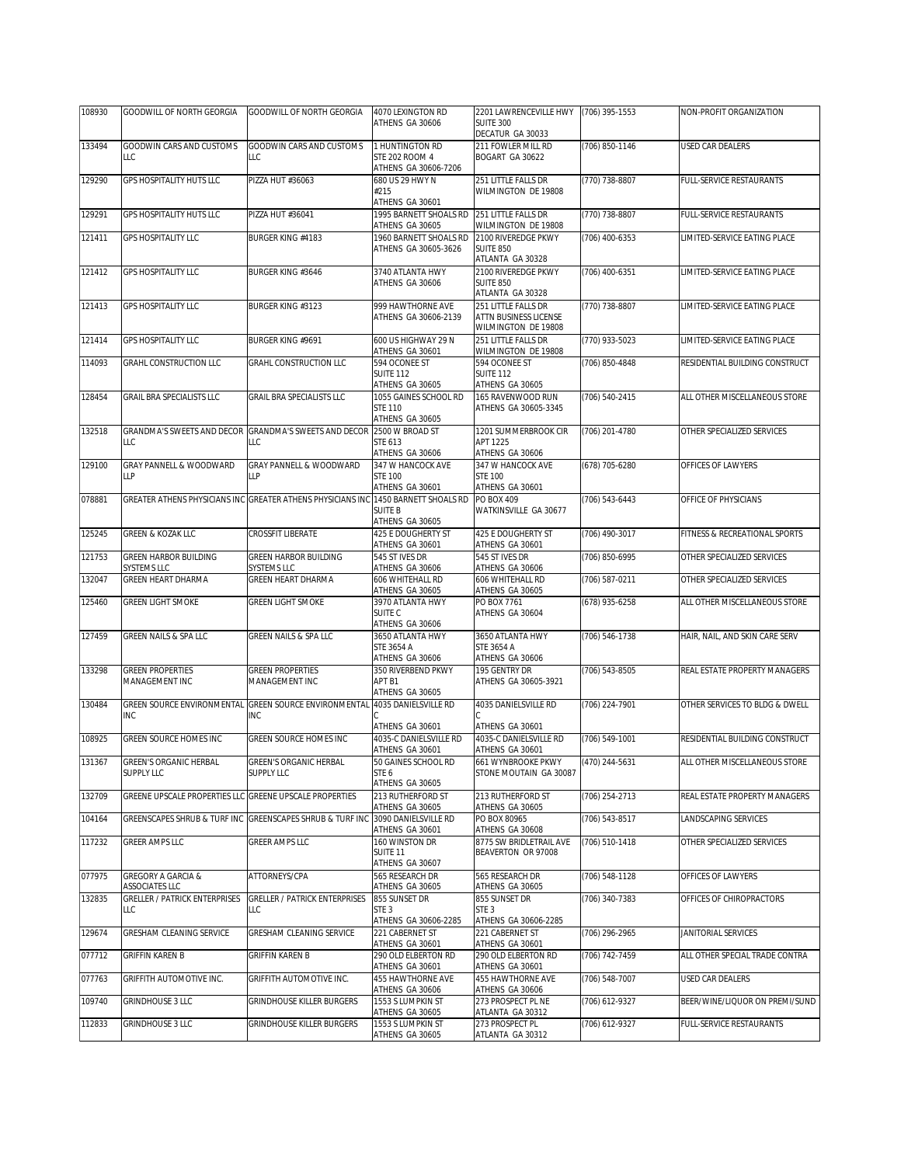| 108930 | GOODWILL OF NORTH GEORGIA                                     | GOODWILL OF NORTH GEORGIA                                    | 4070 LEXINGTON RD                                           | 2201 LAWRENCEVILLE HWY                                              | (706) 395-1553 | NON-PROFIT ORGANIZATION         |
|--------|---------------------------------------------------------------|--------------------------------------------------------------|-------------------------------------------------------------|---------------------------------------------------------------------|----------------|---------------------------------|
|        |                                                               |                                                              | ATHENS GA 30606                                             | <b>SUITE 300</b><br>DECATUR GA 30033                                |                |                                 |
| 133494 | GOODWIN CARS AND CUSTOMS<br>LLC                               | GOODWIN CARS AND CUSTOMS<br>LLC                              | 1 HUNTINGTON RD<br>STE 202 ROOM 4<br>ATHENS GA 30606-7206   | 211 FOWLER MILL RD<br>BOGART GA 30622                               | (706) 850-1146 | <b>USED CAR DEALERS</b>         |
| 129290 | GPS HOSPITALITY HUTS LLC                                      | PIZZA HUT #36063                                             | 680 US 29 HWY N<br>#215<br>ATHENS GA 30601                  | 251 LITTLE FALLS DR<br>WILMINGTON DE 19808                          | (770) 738-8807 | FULL-SERVICE RESTAURANTS        |
| 129291 | <b>GPS HOSPITALITY HUTS LLC</b>                               | PIZZA HUT #36041                                             | 1995 BARNETT SHOALS RD<br>ATHENS GA 30605                   | 251 LITTLE FALLS DR<br>WILMINGTON DE 19808                          | (770) 738-8807 | <b>FULL-SERVICE RESTAURANTS</b> |
| 121411 | GPS HOSPITALITY LLC                                           | BURGER KING #4183                                            | 1960 BARNETT SHOALS RD<br>ATHENS GA 30605-3626              | 2100 RIVEREDGE PKWY<br><b>SUITE 850</b><br>ATLANTA GA 30328         | (706) 400-6353 | LIMITED-SERVICE EATING PLACE    |
| 121412 | <b>GPS HOSPITALITY LLC</b>                                    | BURGER KING #3646                                            | 3740 ATLANTA HWY<br>ATHENS GA 30606                         | 2100 RIVEREDGE PKWY<br><b>SUITE 850</b><br>ATLANTA GA 30328         | (706) 400-6351 | LIMITED-SERVICE EATING PLACE    |
| 121413 | GPS HOSPITALITY LLC                                           | BURGER KING #3123                                            | 999 HAWTHORNE AVE<br>ATHENS GA 30606-2139                   | 251 LITTLE FALLS DR<br>ATTN BUSINESS LICENSE<br>WILMINGTON DE 19808 | (770) 738-8807 | LIMITED-SERVICE EATING PLACE    |
| 121414 | GPS HOSPITALITY LLC                                           | BURGER KING #9691                                            | 600 US HIGHWAY 29 N<br>ATHENS GA 30601                      | 251 LITTLE FALLS DR<br>WILMINGTON DE 19808                          | (770) 933-5023 | LIMITED-SERVICE EATING PLACE    |
| 114093 | GRAHL CONSTRUCTION LLC                                        | GRAHL CONSTRUCTION LLC                                       | 594 OCONEE ST<br><b>SUITE 112</b><br>ATHENS GA 30605        | 594 OCONEE ST<br><b>SUITE 112</b><br>ATHENS GA 30605                | (706) 850-4848 | RESIDENTIAL BUILDING CONSTRUCT  |
| 128454 | GRAIL BRA SPECIALISTS LLC                                     | GRAIL BRA SPECIALISTS LLC                                    | 1055 GAINES SCHOOL RD<br><b>STE 110</b><br>ATHENS GA 30605  | 165 RAVENWOOD RUN<br>ATHENS GA 30605-3345                           | (706) 540-2415 | ALL OTHER MISCELLANEOUS STORE   |
| 132518 | LLC                                                           | GRANDMA'S SWEETS AND DECOR GRANDMA'S SWEETS AND DECOR<br>LLC | 2500 W BROAD ST<br>STE 613<br>ATHENS GA 30606               | 1201 SUMMERBROOK CIR<br>APT 1225<br>ATHENS GA 30606                 | (706) 201-4780 | OTHER SPECIALIZED SERVICES      |
| 129100 | GRAY PANNELL & WOODWARD<br><b>LLP</b>                         | GRAY PANNELL & WOODWARD<br>ЦP                                | 347 W HANCOCK AVE<br><b>STE 100</b><br>ATHENS GA 30601      | 347 W HANCOCK AVE<br><b>STE 100</b><br>ATHENS GA 30601              | (678) 705-6280 | OFFICES OF LAWYERS              |
| 078881 |                                                               | GREATER ATHENS PHYSICIANS INC GREATER ATHENS PHYSICIANS INC  | 1450 BARNETT SHOALS RD<br><b>SUITE B</b><br>ATHENS GA 30605 | PO BOX 409<br>WATKINSVILLE GA 30677                                 | (706) 543-6443 | OFFICE OF PHYSICIANS            |
| 125245 | GREEN & KOZAK LLC                                             | <b>CROSSFIT LIBERATE</b>                                     | 425 E DOUGHERTY ST<br>ATHENS GA 30601                       | 425 E DOUGHERTY ST<br>ATHENS GA 30601                               | (706) 490-3017 | FITNESS & RECREATIONAL SPORTS   |
| 121753 | GREEN HARBOR BUILDING<br>SYSTEMS LLC                          | GREEN HARBOR BUILDING<br>SYSTEMS LLC                         | 545 ST IVES DR<br>ATHENS GA 30606                           | 545 ST IVES DR<br>ATHENS GA 30606                                   | (706) 850-6995 | OTHER SPECIALIZED SERVICES      |
|        | GREEN HEART DHARMA                                            | GREEN HEART DHARMA                                           | 606 WHITEHALL RD                                            | 606 WHITEHALL RD                                                    | (706) 587-0211 | OTHER SPECIALIZED SERVICES      |
| 132047 |                                                               |                                                              |                                                             |                                                                     |                |                                 |
| 125460 | <b>GREEN LIGHT SMOKE</b>                                      | <b>GREEN LIGHT SMOKE</b>                                     | ATHENS GA 30605<br>3970 ATLANTA HWY<br>SUITE <sub>C</sub>   | ATHENS GA 30605<br>PO BOX 7761<br>ATHENS GA 30604                   | (678) 935-6258 | ALL OTHER MISCELLANEOUS STORE   |
| 127459 | GREEN NAILS & SPA LLC                                         | GREEN NAILS & SPA LLC                                        | ATHENS GA 30606<br>3650 ATLANTA HWY<br>STE 3654 A           | 3650 ATLANTA HWY<br>STE 3654 A                                      | (706) 546-1738 | HAIR, NAIL, AND SKIN CARE SERV  |
| 133298 | <b>GREEN PROPERTIES</b><br>MANAGEMENT INC                     | <b>GREEN PROPERTIES</b><br>MANAGEMENT INC                    | ATHENS GA 30606<br>350 RIVERBEND PKWY<br>APT B1             | ATHENS GA 30606<br>195 GENTRY DR<br>ATHENS GA 30605-3921            | (706) 543-8505 | REAL ESTATE PROPERTY MANAGERS   |
| 130484 | GREEN SOURCE ENVIRONMENTAL<br><b>INC</b>                      | GREEN SOURCE ENVIRONMENTAL<br><b>INC</b>                     | ATHENS GA 30605<br>4035 DANIELSVILLE RD                     | 4035 DANIELSVILLE RD                                                | (706) 224-7901 | OTHER SERVICES TO BLDG & DWELL  |
| 108925 | GREEN SOURCE HOMES INC                                        | GREEN SOURCE HOMES INC                                       | ATHENS GA 30601<br>4035-C DANIELSVILLE RD                   | ATHENS GA 30601<br>4035-C DANIELSVILLE RD                           | (706) 549-1001 | RESIDENTIAL BUILDING CONSTRUCT  |
| 131367 | <b>GREEN'S ORGANIC HERBAL</b><br><b>SUPPLY LLC</b>            | <b>GREEN'S ORGANIC HERBAL</b><br>SUPPLY LLC                  | ATHENS GA 30601<br>50 GAINES SCHOOL RD<br>STE 6             | ATHENS GA 30601<br>661 WYNBROOKE PKWY<br>STONE MOUTAIN GA 30087     | (470) 244-5631 | ALL OTHER MISCELLANEOUS STORE   |
| 132709 | GREENE UPSCALE PROPERTIES LLC GREENE UPSCALE PROPERTIES       |                                                              | ATHENS GA 30605<br>213 RUTHERFORD ST                        | 213 RUTHERFORD ST                                                   | (706) 254-2713 | REAL ESTATE PROPERTY MANAGERS   |
| 104164 | GREENSCAPES SHRUB & TURF INC                                  | GREENSCAPES SHRUB & TURF INC                                 | ATHENS GA 30605<br>3090 DANIELSVILLE RD                     | ATHENS GA 30605<br>PO BOX 80965                                     | (706) 543-8517 | <b>LANDSCAPING SERVICES</b>     |
| 117232 | GREER AMPS LLC                                                | GREER AMPS LLC                                               | ATHENS GA 30601<br>160 WINSTON DR<br>SUITE <sub>11</sub>    | ATHENS GA 30608<br>8775 SW BRIDLETRAIL AVE<br>BEAVERTON OR 97008    | (706) 510-1418 | OTHER SPECIALIZED SERVICES      |
| 077975 | <b>GREGORY A GARCIA &amp;</b>                                 | ATTORNEYS/CPA                                                | ATHENS GA 30607<br>565 RESEARCH DR                          | 565 RESEARCH DR                                                     | (706) 548-1128 | OFFICES OF LAWYERS              |
| 132835 | ASSOCIATES LLC<br><b>GRELLER / PATRICK ENTERPRISES</b><br>LLC | <b>GRELLER / PATRICK ENTERPRISES</b><br>LLC                  | ATHENS GA 30605<br>855 SUNSET DR<br>STE <sub>3</sub>        | ATHENS GA 30605<br>855 SUNSET DR<br>STE <sub>3</sub>                | (706) 340-7383 | OFFICES OF CHIROPRACTORS        |
| 129674 | GRESHAM CLEANING SERVICE                                      | GRESHAM CLEANING SERVICE                                     | ATHENS GA 30606-2285<br>221 CABERNET ST                     | ATHENS GA 30606-2285<br>221 CABERNET ST                             | (706) 296-2965 | JANITORIAL SERVICES             |
| 077712 | GRIFFIN KAREN B                                               | <b>GRIFFIN KAREN B</b>                                       | ATHENS GA 30601<br>290 OLD ELBERTON RD                      | ATHENS GA 30601<br>290 OLD ELBERTON RD                              | (706) 742-7459 | ALL OTHER SPECIAL TRADE CONTRA  |
| 077763 | GRIFFITH AUTOMOTIVE INC.                                      | GRIFFITH AUTOMOTIVE INC.                                     | ATHENS GA 30601<br>455 HAWTHORNE AVE                        | ATHENS GA 30601<br>455 HAWTHORNE AVE                                | (706) 548-7007 | USED CAR DEALERS                |
| 109740 | GRINDHOUSE 3 LLC                                              | <b>GRINDHOUSE KILLER BURGERS</b>                             | ATHENS GA 30606<br>1553 S LUMPKIN ST<br>ATHENS GA 30605     | ATHENS GA 30606<br>273 PROSPECT PL NE<br>ATLANTA GA 30312           | (706) 612-9327 | BEER/WINE/LIQUOR ON PREMI/SUND  |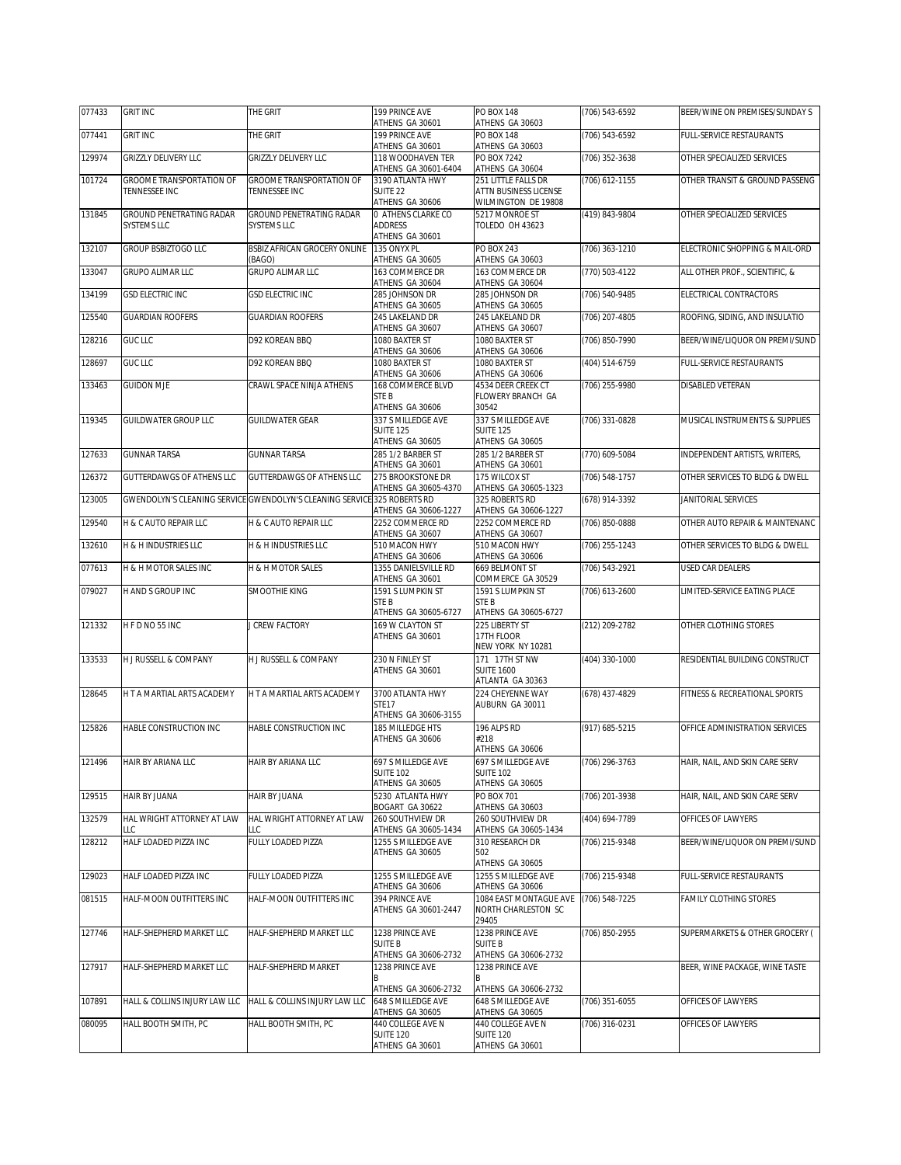| 077433 | <b>GRIT INC</b>                                | THE GRIT                                                                 | 199 PRINCE AVE<br>ATHENS GA 30601                        | <b>PO BOX 148</b><br>ATHENS GA 30603                     | (706) 543-6592   | BEER/WINE ON PREMISES/SUNDAY S  |
|--------|------------------------------------------------|--------------------------------------------------------------------------|----------------------------------------------------------|----------------------------------------------------------|------------------|---------------------------------|
| 077441 | <b>GRIT INC</b>                                | THE GRIT                                                                 | 199 PRINCE AVE<br>ATHENS GA 30601                        | <b>PO BOX 148</b><br>ATHENS GA 30603                     | (706) 543-6592   | FULL-SERVICE RESTAURANTS        |
| 129974 | GRIZZLY DELIVERY LLC                           | GRIZZLY DELIVERY LLC                                                     | 118 WOODHAVEN TER<br>ATHENS GA 30601-6404                | <b>PO BOX 7242</b><br>ATHENS GA 30604                    | (706) 352-3638   | OTHER SPECIALIZED SERVICES      |
| 101724 | <b>GROOME TRANSPORTATION OF</b>                | <b>GROOME TRANSPORTATION OF</b>                                          | 3190 ATLANTA HWY                                         | 251 LITTLE FALLS DR                                      | $(706)$ 612-1155 | OTHER TRANSIT & GROUND PASSENG  |
|        | TENNESSEE INC                                  | TENNESSEE INC                                                            | SUITE <sub>22</sub><br>ATHENS GA 30606                   | ATTN BUSINESS LICENSE<br>WILMINGTON DE 19808             |                  |                                 |
| 131845 | GROUND PENETRATING RADAR<br><b>SYSTEMS LLC</b> | GROUND PENETRATING RADAR<br><b>SYSTEMS LLC</b>                           | 0 ATHENS CLARKE CO<br><b>ADDRESS</b>                     | 5217 MONROE ST<br><b>TOLEDO OH 43623</b>                 | (419) 843-9804   | OTHER SPECIALIZED SERVICES      |
|        |                                                |                                                                          | ATHENS GA 30601                                          |                                                          |                  |                                 |
| 132107 | GROUP BSBIZTOGO LLC                            | <b>BSBIZ AFRICAN GROCERY ONLINE</b><br>(BAGO)                            | 135 ONYX PL<br>ATHENS GA 30605                           | PO BOX 243<br>ATHENS GA 30603                            | (706) 363-1210   | ELECTRONIC SHOPPING & MAIL-ORD  |
| 133047 | GRUPO ALIMAR LLC                               | GRUPO ALIMAR LLC                                                         | 163 COMMERCE DR<br>ATHENS GA 30604                       | 163 COMMERCE DR<br>ATHENS GA 30604                       | (770) 503-4122   | ALL OTHER PROF., SCIENTIFIC, &  |
| 134199 | GSD ELECTRIC INC                               | <b>GSD ELECTRIC INC</b>                                                  | 285 JOHNSON DR<br>ATHENS GA 30605                        | 285 JOHNSON DR<br>ATHENS GA 30605                        | (706) 540-9485   | ELECTRICAL CONTRACTORS          |
| 125540 | <b>GUARDIAN ROOFERS</b>                        | <b>GUARDIAN ROOFERS</b>                                                  | 245 LAKELAND DR<br>ATHENS GA 30607                       | 245 LAKELAND DR<br>ATHENS GA 30607                       | (706) 207-4805   | ROOFING, SIDING, AND INSULATIO  |
| 128216 | <b>GUC LLC</b>                                 | D92 KOREAN BBQ                                                           | 1080 BAXTER ST                                           | 1080 BAXTER ST                                           | (706) 850-7990   | BEER/WINE/LIQUOR ON PREMI/SUND  |
| 128697 | <b>GUC LLC</b>                                 | D92 KOREAN BBQ                                                           | ATHENS GA 30606<br>1080 BAXTER ST                        | ATHENS GA 30606<br>1080 BAXTER ST                        | (404) 514-6759   | FULL-SERVICE RESTAURANTS        |
| 133463 | <b>GUIDON MJE</b>                              | CRAWL SPACE NINJA ATHENS                                                 | ATHENS GA 30606<br>168 COMMERCE BLVD                     | ATHENS GA 30606<br>4534 DEER CREEK CT                    | (706) 255-9980   | DISABLED VETERAN                |
|        |                                                |                                                                          | STE <sub>B</sub><br>ATHENS GA 30606                      | FLOWERY BRANCH GA<br>30542                               |                  |                                 |
| 119345 | <b>GUILDWATER GROUP LLC</b>                    | <b>GUILDWATER GEAR</b>                                                   | 337 S MILLEDGE AVE<br><b>SUITE 125</b>                   | 337 S MILLEDGE AVE<br><b>SUITE 125</b>                   | (706) 331-0828   | MUSICAL INSTRUMENTS & SUPPLIES  |
|        |                                                |                                                                          | ATHENS GA 30605                                          | ATHENS GA 30605                                          |                  |                                 |
| 127633 | <b>GUNNAR TARSA</b>                            | <b>GUNNAR TARSA</b>                                                      | 285 1/2 BARBER ST<br>ATHENS GA 30601                     | 285 1/2 BARBER ST<br>ATHENS GA 30601                     | (770) 609-5084   | INDEPENDENT ARTISTS, WRITERS,   |
| 126372 | GUTTERDAWGS OF ATHENS LLC                      | GUTTERDAWGS OF ATHENS LLC                                                | 275 BROOKSTONE DR<br>ATHENS GA 30605-4370                | 175 WILCOX ST<br>ATHENS GA 30605-1323                    | (706) 548-1757   | OTHER SERVICES TO BLDG & DWELL  |
| 123005 |                                                | GWENDOLYN'S CLEANING SERVICE GWENDOLYN'S CLEANING SERVICE 325 ROBERTS RD | ATHENS GA 30606-1227                                     | 325 ROBERTS RD<br>ATHENS GA 30606-1227                   | (678) 914-3392   | JANITORIAL SERVICES             |
| 129540 | <b>H &amp; C AUTO REPAIR LLC</b>               | H & C AUTO REPAIR LLC                                                    | 2252 COMMERCE RD<br>ATHENS GA 30607                      | 2252 COMMERCE RD<br>ATHENS GA 30607                      | (706) 850-0888   | OTHER AUTO REPAIR & MAINTENANC  |
| 132610 | H & H INDUSTRIES LLC                           | H & H INDUSTRIES LLC                                                     | 510 MACON HWY<br>ATHENS GA 30606                         | 510 MACON HWY<br>ATHENS GA 30606                         | (706) 255-1243   | OTHER SERVICES TO BLDG & DWELL  |
| 077613 | H & H MOTOR SALES INC                          | H & H MOTOR SALES                                                        | 1355 DANIELSVILLE RD                                     | 669 BELMONT ST                                           | (706) 543-2921   | USED CAR DEALERS                |
| 079027 | H AND S GROUP INC                              | SMOOTHIE KING                                                            | ATHENS GA 30601<br>1591 S LUMPKIN ST                     | COMMERCE GA 30529<br>1591 S LUMPKIN ST                   | (706) 613-2600   | LIMITED-SERVICE EATING PLACE    |
|        |                                                |                                                                          | STE B<br>ATHENS GA 30605-6727                            | STE B<br>ATHENS GA 30605-6727                            |                  |                                 |
| 121332 | HFD NO 55 INC                                  | J CREW FACTORY                                                           | 169 W CLAYTON ST<br>ATHENS GA 30601                      | 225 LIBERTY ST<br>17TH FLOOR<br>NEW YORK NY 10281        | (212) 209-2782   | OTHER CLOTHING STORES           |
| 133533 | <b>H J RUSSELL &amp; COMPANY</b>               | <b>H J RUSSELL &amp; COMPANY</b>                                         | 230 N FINLEY ST<br>ATHENS GA 30601                       | 171 17TH ST NW<br><b>SUITE 1600</b><br>ATLANTA GA 30363  | (404) 330-1000   | RESIDENTIAL BUILDING CONSTRUCT  |
| 128645 | H T A MARTIAL ARTS ACADEMY                     | H T A MARTIAL ARTS ACADEMY                                               | 3700 ATLANTA HWY<br><b>STE17</b>                         | 224 CHEYENNE WAY<br>AUBURN GA 30011                      | (678) 437-4829   | FITNESS & RECREATIONAL SPORTS   |
|        |                                                |                                                                          | ATHENS GA 30606-3155                                     |                                                          |                  |                                 |
| 125826 | HABLE CONSTRUCTION INC                         | HABLE CONSTRUCTION INC                                                   | 185 MILLEDGE HTS<br>ATHENS GA 30606                      | 196 ALPS RD<br>#218                                      | (917) 685-5215   | OFFICE ADMINISTRATION SERVICES  |
| 121496 | HAIR BY ARIANA LLC                             | HAIR BY ARIANA LLC                                                       | 697 S MILLEDGE AVE                                       | ATHENS GA 30606<br>697 S MILLEDGE AVE                    | (706) 296-3763   | HAIR, NAIL, AND SKIN CARE SERV  |
|        |                                                |                                                                          | <b>SUITE 102</b><br>ATHENS GA 30605                      | <b>SUITE 102</b><br>ATHENS GA 30605                      |                  |                                 |
| 129515 | HAIR BY JUANA                                  | HAIR BY JUANA                                                            | 5230 ATLANTA HWY<br>BOGART GA 30622                      | PO BOX 701<br>ATHENS GA 30603                            | (706) 201-3938   | HAIR, NAIL, AND SKIN CARE SERV  |
| 132579 | HAL WRIGHT ATTORNEY AT LAW<br>LLC              | HAL WRIGHT ATTORNEY AT LAW<br>.LC                                        | 260 SOUTHVIEW DR<br>ATHENS GA 30605-1434                 | 260 SOUTHVIEW DR<br>ATHENS GA 30605-1434                 | (404) 694-7789   | OFFICES OF LAWYERS              |
| 128212 | HALF LOADED PIZZA INC                          | FULLY LOADED PIZZA                                                       | 1255 S MILLEDGE AVE<br>ATHENS GA 30605                   | 310 RESEARCH DR<br>502<br>ATHENS GA 30605                | (706) 215-9348   | BEER/WINE/LIQUOR ON PREMI/SUND  |
| 129023 | HALF LOADED PIZZA INC                          | FULLY LOADED PIZZA                                                       | 1255 S MILLEDGE AVE                                      | 1255 S MILLEDGE AVE                                      | (706) 215-9348   | <b>FULL-SERVICE RESTAURANTS</b> |
| 081515 | HALF-MOON OUTFITTERS INC                       | HALF-MOON OUTFITTERS INC                                                 | ATHENS GA 30606<br>394 PRINCE AVE                        | ATHENS GA 30606<br>1084 EAST MONTAGUE AVE                | (706) 548-7225   | FAMILY CLOTHING STORES          |
|        |                                                |                                                                          | ATHENS GA 30601-2447                                     | NORTH CHARLESTON SC<br>29405                             |                  |                                 |
| 127746 | HALF-SHEPHERD MARKET LLC                       | HALF-SHEPHERD MARKET LLC                                                 | 1238 PRINCE AVE<br>SUITE B<br>ATHENS GA 30606-2732       | 1238 PRINCE AVE<br>SUITE B<br>ATHENS GA 30606-2732       | (706) 850-2955   | SUPERMARKETS & OTHER GROCERY (  |
| 127917 | HALF-SHEPHERD MARKET LLC                       | HALF-SHEPHERD MARKET                                                     | 1238 PRINCE AVE                                          | 1238 PRINCE AVE                                          |                  | BEER, WINE PACKAGE, WINE TASTE  |
|        |                                                |                                                                          | ATHENS GA 30606-2732                                     | ATHENS GA 30606-2732                                     |                  |                                 |
| 107891 | HALL & COLLINS INJURY LAW LLC                  | HALL & COLLINS INJURY LAW LLC                                            | 648 S MILLEDGE AVE<br>ATHENS GA 30605                    | 648 S MILLEDGE AVE<br>ATHENS GA 30605                    | (706) 351-6055   | OFFICES OF LAWYERS              |
| 080095 | HALL BOOTH SMITH, PC                           | HALL BOOTH SMITH, PC                                                     | 440 COLLEGE AVE N<br><b>SUITE 120</b><br>ATHENS GA 30601 | 440 COLLEGE AVE N<br><b>SUITE 120</b><br>ATHENS GA 30601 | (706) 316-0231   | OFFICES OF LAWYERS              |
|        |                                                |                                                                          |                                                          |                                                          |                  |                                 |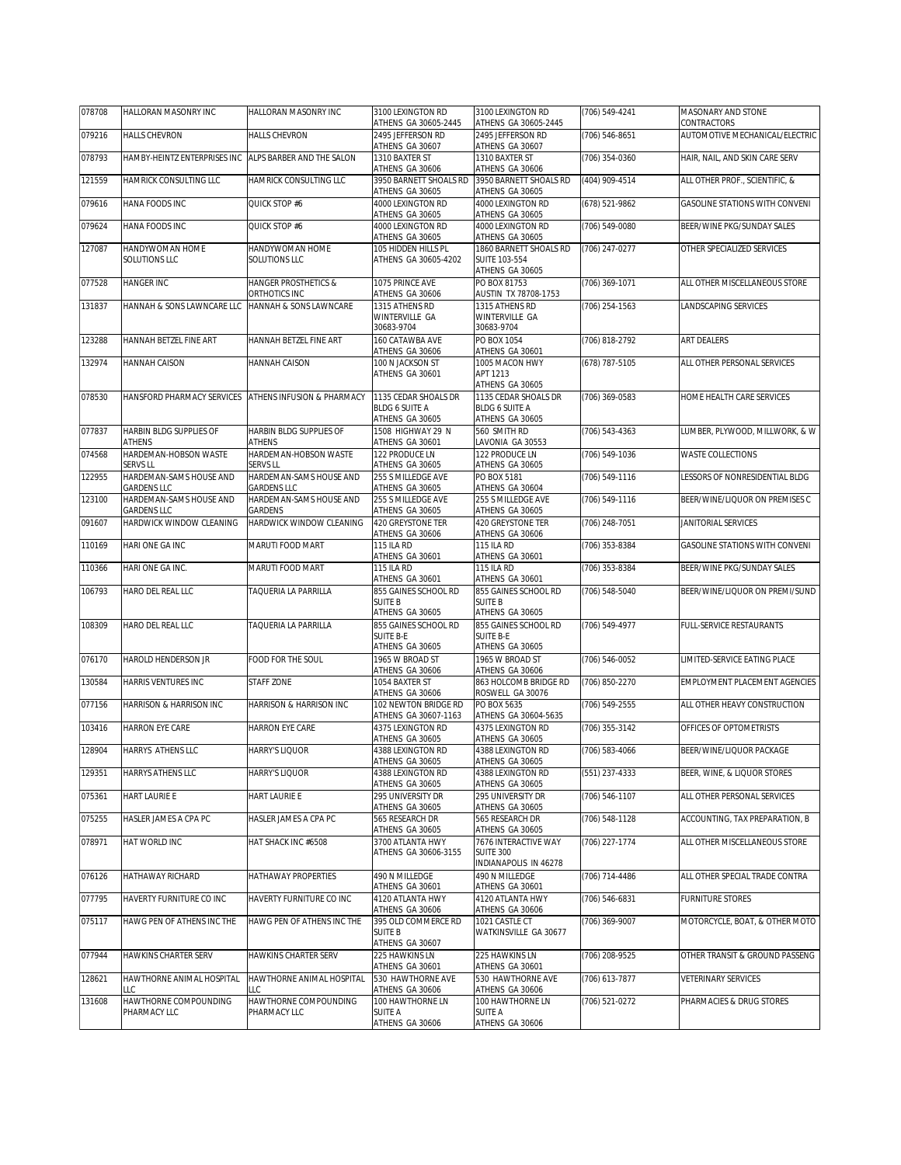| 078708 | HALLORAN MASONRY INC                                  | HALLORAN MASONRY INC                             | 3100 LEXINGTON RD<br>ATHENS GA 30605-2445                        | 3100 LEXINGTON RD<br>ATHENS GA 30605-2445                                            | (706) 549-4241 | MASONARY AND STONE<br>CONTRACTORS |
|--------|-------------------------------------------------------|--------------------------------------------------|------------------------------------------------------------------|--------------------------------------------------------------------------------------|----------------|-----------------------------------|
| 079216 | <b>HALLS CHEVRON</b>                                  | <b>HALLS CHEVRON</b>                             | 2495 JEFFERSON RD<br>ATHENS GA 30607                             | 2495 JEFFERSON RD<br>ATHENS GA 30607                                                 | (706) 546-8651 | AUTOMOTIVE MECHANICAL/ELECTRIC    |
| 078793 | HAMBY-HEINTZ ENTERPRISES INC                          | ALPS BARBER AND THE SALON                        | 1310 BAXTER ST<br>ATHENS GA 30606                                | 1310 BAXTER ST<br>ATHENS GA 30606                                                    | (706) 354-0360 | HAIR, NAIL, AND SKIN CARE SERV    |
| 121559 | HAMRICK CONSULTING LLC                                | HAMRICK CONSULTING LLC                           | 3950 BARNETT SHOALS RD                                           | 3950 BARNETT SHOALS RD                                                               | (404) 909-4514 | ALL OTHER PROF., SCIENTIFIC, &    |
| 079616 | HANA FOODS INC                                        | QUICK STOP #6                                    | ATHENS GA 30605<br>4000 LEXINGTON RD                             | ATHENS GA 30605<br>4000 LEXINGTON RD                                                 | (678) 521-9862 | GASOLINE STATIONS WITH CONVENI    |
| 079624 | HANA FOODS INC                                        | QUICK STOP #6                                    | ATHENS GA 30605<br>4000 LEXINGTON RD                             | ATHENS GA 30605<br>4000 LEXINGTON RD                                                 | (706) 549-0080 | BEER/WINE PKG/SUNDAY SALES        |
|        |                                                       |                                                  | ATHENS GA 30605                                                  | ATHENS GA 30605                                                                      |                |                                   |
| 127087 | HANDYWOMAN HOME<br>SOLUTIONS LLC                      | HANDYWOMAN HOME<br>SOLUTIONS LLC                 | 105 HIDDEN HILLS PL<br>ATHENS GA 30605-4202                      | 1860 BARNETT SHOALS RD<br><b>SUITE 103-554</b><br>ATHENS GA 30605                    | (706) 247-0277 | OTHER SPECIALIZED SERVICES        |
| 077528 | <b>HANGER INC</b>                                     | <b>HANGER PROSTHETICS &amp;</b><br>ORTHOTICS INC | 1075 PRINCE AVE<br>ATHENS GA 30606                               | PO BOX 81753<br>AUSTIN TX 78708-1753                                                 | (706) 369-1071 | ALL OTHER MISCELLANEOUS STORE     |
| 131837 | HANNAH & SONS LAWNCARE LLC                            | HANNAH & SONS LAWNCARE                           | 1315 ATHENS RD<br>WINTERVILLE GA<br>30683-9704                   | 1315 ATHENS RD<br>WINTERVILLE GA<br>30683-9704                                       | (706) 254-1563 | LANDSCAPING SERVICES              |
| 123288 | HANNAH BETZEL FINE ART                                | HANNAH BETZEL FINE ART                           | 160 CATAWBA AVE<br>ATHENS GA 30606                               | PO BOX 1054<br>ATHENS GA 30601                                                       | (706) 818-2792 | ART DEALERS                       |
| 132974 | HANNAH CAISON                                         | <b>HANNAH CAISON</b>                             | 100 N JACKSON ST<br>ATHENS GA 30601                              | 1005 MACON HWY<br>APT 1213                                                           | (678) 787-5105 | ALL OTHER PERSONAL SERVICES       |
|        |                                                       |                                                  |                                                                  | ATHENS GA 30605<br>1135 CEDAR SHOALS DR                                              |                |                                   |
| 078530 | HANSFORD PHARMACY SERVICES ATHENS INFUSION & PHARMACY |                                                  | 1135 CEDAR SHOALS DR<br><b>BLDG 6 SUITE A</b><br>ATHENS GA 30605 | <b>BLDG 6 SUITE A</b><br>ATHENS GA 30605                                             | (706) 369-0583 | HOME HEALTH CARE SERVICES         |
| 077837 | HARBIN BLDG SUPPLIES OF<br><b>ATHENS</b>              | HARBIN BLDG SUPPLIES OF<br>ATHENS                | 1508 HIGHWAY 29 N<br>ATHENS GA 30601                             | 560 SMITH RD<br>LAVONIA GA 30553                                                     | (706) 543-4363 | LUMBER, PLYWOOD, MILLWORK, & W    |
| 074568 | HARDEMAN-HOBSON WASTE                                 | HARDEMAN-HOBSON WASTE                            | 122 PRODUCE LN                                                   | 122 PRODUCE LN                                                                       | (706) 549-1036 | WASTE COLLECTIONS                 |
| 122955 | <b>SERVS LL</b><br>HARDEMAN-SAMS HOUSE AND            | <b>SERVS LL</b><br>HARDEMAN-SAMS HOUSE AND       | ATHENS GA 30605<br>255 S MILLEDGE AVE                            | ATHENS GA 30605<br>PO BOX 5181                                                       | (706) 549-1116 | LESSORS OF NONRESIDENTIAL BLDG    |
| 123100 | <b>GARDENS LLC</b><br>HARDEMAN-SAMS HOUSE AND         | <b>GARDENS LLC</b><br>HARDEMAN-SAMS HOUSE AND    | ATHENS GA 30605<br>255 S MILLEDGE AVE                            | ATHENS GA 30604<br>255 S MILLEDGE AVE                                                | (706) 549-1116 | BEER/WINE/LIQUOR ON PREMISES C    |
| 091607 | <b>GARDENS LLC</b><br>HARDWICK WINDOW CLEANING        | GARDENS<br>HARDWICK WINDOW CLEANING              | ATHENS GA 30605<br>420 GREYSTONE TER                             | ATHENS GA 30605<br>420 GREYSTONE TER                                                 | (706) 248-7051 | JANITORIAL SERVICES               |
| 110169 | HARI ONE GA INC                                       | MARUTI FOOD MART                                 | ATHENS GA 30606<br><b>115 ILA RD</b>                             | ATHENS GA 30606<br><b>115 ILA RD</b>                                                 | (706) 353-8384 | GASOLINE STATIONS WITH CONVENI    |
|        |                                                       |                                                  | ATHENS GA 30601                                                  | ATHENS GA 30601                                                                      |                |                                   |
| 110366 | HARI ONE GA INC.                                      | MARUTI FOOD MART                                 | <b>115 ILA RD</b><br>ATHENS GA 30601                             | <b>115 ILA RD</b><br>ATHENS GA 30601                                                 | (706) 353-8384 | BEER/WINE PKG/SUNDAY SALES        |
| 106793 | HARO DEL REAL LLC                                     | TAQUERIA LA PARRILLA                             | 855 GAINES SCHOOL RD<br><b>SUITE B</b><br>ATHENS GA 30605        | 855 GAINES SCHOOL RD<br><b>SUITE B</b><br>ATHENS GA 30605                            | (706) 548-5040 | BEER/WINE/LIQUOR ON PREMI/SUND    |
| 108309 | HARO DEL REAL LLC                                     | TAQUERIA LA PARRILLA                             | 855 GAINES SCHOOL RD<br><b>SUITE B-E</b><br>ATHENS GA 30605      | 855 GAINES SCHOOL RD<br><b>SUITE B-E</b><br>ATHENS GA 30605                          | (706) 549-4977 | FULL-SERVICE RESTAURANTS          |
| 076170 | HAROLD HENDERSON JR                                   | FOOD FOR THE SOUL                                | 1965 W BROAD ST<br>ATHENS GA 30606                               | 1965 W BROAD ST<br>ATHENS GA 30606                                                   | (706) 546-0052 | LIMITED-SERVICE EATING PLACE      |
| 130584 | HARRIS VENTURES INC                                   | STAFF ZONE                                       | 1054 BAXTER ST<br>ATHENS GA 30606                                | 863 HOLCOMB BRIDGE RD<br>ROSWELL GA 30076                                            | (706) 850-2270 | EMPLOYMENT PLACEMENT AGENCIES     |
| 077156 | HARRISON & HARRISON INC                               | HARRISON & HARRISON INC                          | 102 NEWTON BRIDGE RD<br>ATHENS GA 30607-1163                     | PO BOX 5635<br>ATHENS GA 30604-5635                                                  | (706) 549-2555 | ALL OTHER HEAVY CONSTRUCTION      |
| 103416 | HARRON EYE CARE                                       | HARRON EYE CARE                                  | 4375 LEXINGTON RD<br>ATHENS GA 30605                             | 4375 LEXINGTON RD<br>ATHENS GA 30605                                                 | (706) 355-3142 | OFFICES OF OPTOMETRISTS           |
| 128904 | HARRYS ATHENS LLC                                     | <b>HARRY'S LIQUOR</b>                            | 4388 LEXINGTON RD<br>ATHENS GA 30605                             | 4388 LEXINGTON RD<br>ATHENS GA 30605                                                 | (706) 583-4066 | BEER/WINE/LIQUOR PACKAGE          |
| 129351 | HARRYS ATHENS LLC                                     | HARRY'S LIQUOR                                   | 4388 LEXINGTON RD                                                | 4388 LEXINGTON RD                                                                    | (551) 237-4333 | BEER, WINE, & LIQUOR STORES       |
| 075361 | HART LAURIE E                                         | HART LAURIE E                                    | ATHENS GA 30605<br>295 UNIVERSITY DR                             | ATHENS GA 30605<br>295 UNIVERSITY DR                                                 | (706) 546-1107 | ALL OTHER PERSONAL SERVICES       |
| 075255 | HASLER JAMES A CPA PC                                 | HASLER JAMES A CPA PC                            | ATHENS GA 30605<br>565 RESEARCH DR                               | ATHENS GA 30605<br>565 RESEARCH DR                                                   | (706) 548-1128 | ACCOUNTING, TAX PREPARATION, B    |
| 078971 | HAT WORLD INC                                         | HAT SHACK INC #6508                              | ATHENS GA 30605<br>3700 ATLANTA HWY<br>ATHENS GA 30606-3155      | ATHENS GA 30605<br>7676 INTERACTIVE WAY<br><b>SUITE 300</b><br>INDIANAPOLIS IN 46278 | (706) 227-1774 | ALL OTHER MISCELLANEOUS STORE     |
| 076126 | HATHAWAY RICHARD                                      | <b>HATHAWAY PROPERTIES</b>                       | 490 N MILLEDGE                                                   | 490 N MILLEDGE                                                                       | (706) 714-4486 | ALL OTHER SPECIAL TRADE CONTRA    |
| 077795 | HAVERTY FURNITURE CO INC                              | HAVERTY FURNITURE CO INC                         | ATHENS GA 30601<br>4120 ATLANTA HWY                              | ATHENS GA 30601<br>4120 ATLANTA HWY                                                  | (706) 546-6831 | <b>FURNITURE STORES</b>           |
| 075117 | HAWG PEN OF ATHENS INC THE                            | HAWG PEN OF ATHENS INC THE                       | ATHENS GA 30606<br>395 OLD COMMERCE RD<br><b>SUITE B</b>         | ATHENS GA 30606<br>1021 CASTLE CT<br>WATKINSVILLE GA 30677                           | (706) 369-9007 | MOTORCYCLE, BOAT, & OTHER MOTO    |
| 077944 | HAWKINS CHARTER SERV                                  | HAWKINS CHARTER SERV                             | ATHENS GA 30607<br>225 HAWKINS LN                                | 225 HAWKINS LN                                                                       | (706) 208-9525 | OTHER TRANSIT & GROUND PASSENG    |
| 128621 | HAWTHORNE ANIMAL HOSPITAL                             | HAWTHORNE ANIMAL HOSPITAL                        | ATHENS GA 30601<br>530 HAWTHORNE AVE                             | ATHENS GA 30601<br>530 HAWTHORNE AVE                                                 | (706) 613-7877 | VETERINARY SERVICES               |
| 131608 | LLC<br>HAWTHORNE COMPOUNDING                          | LLC<br>HAWTHORNE COMPOUNDING                     | ATHENS GA 30606<br>100 HAWTHORNE LN                              | ATHENS GA 30606<br>100 HAWTHORNE LN                                                  | (706) 521-0272 | PHARMACIES & DRUG STORES          |
|        | PHARMACY LLC                                          | PHARMACY LLC                                     | <b>SUITE A</b><br>ATHENS GA 30606                                | <b>SUITE A</b><br>ATHENS GA 30606                                                    |                |                                   |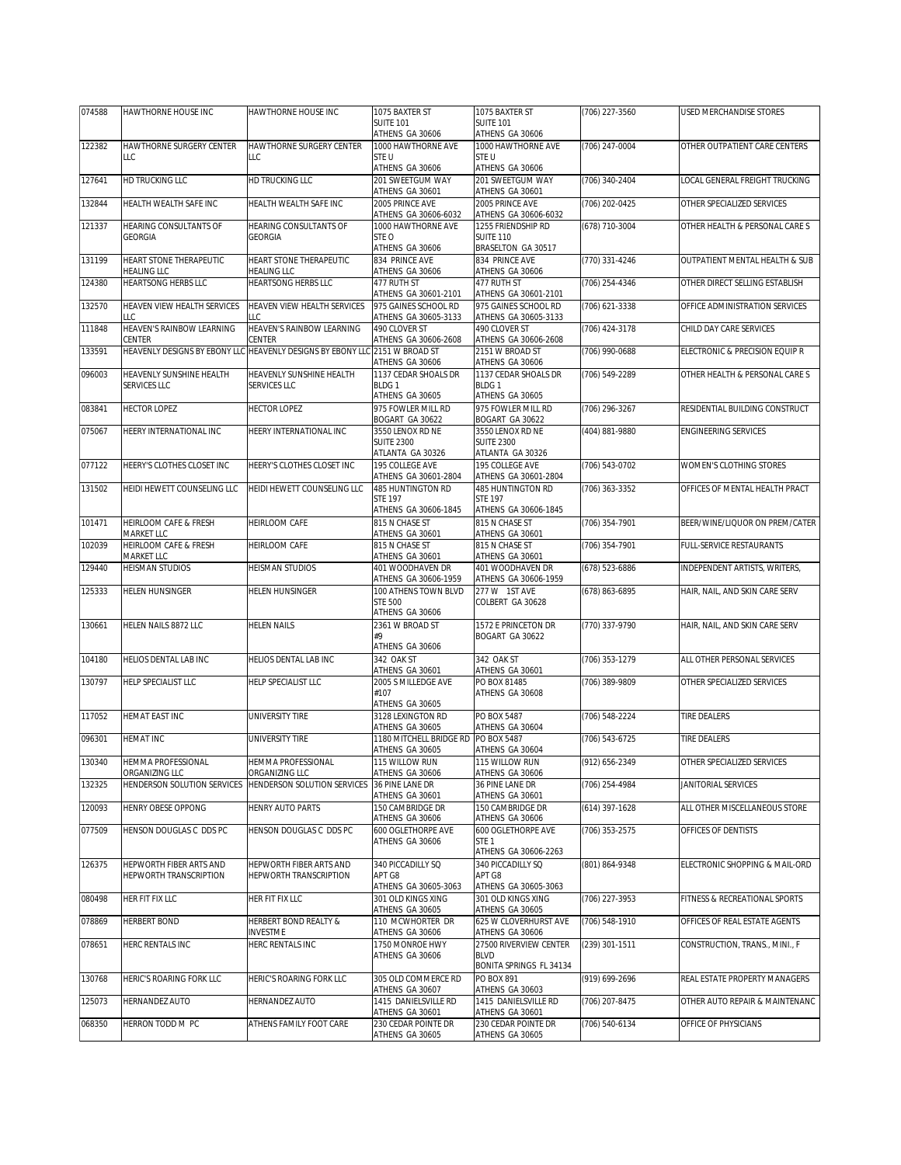| 074588 | HAWTHORNE HOUSE INC                           | HAWTHORNE HOUSE INC                                                         | 1075 BAXTER ST                          | 1075 BAXTER ST                           | (706) 227-3560   | <b>USED MERCHANDISE STORES</b> |
|--------|-----------------------------------------------|-----------------------------------------------------------------------------|-----------------------------------------|------------------------------------------|------------------|--------------------------------|
|        |                                               |                                                                             | <b>SUITE 101</b>                        | <b>SUITE 101</b>                         |                  |                                |
| 122382 | HAWTHORNE SURGERY CENTER                      | HAWTHORNE SURGERY CENTER                                                    | ATHENS GA 30606<br>1000 HAWTHORNE AVE   | ATHENS GA 30606<br>1000 HAWTHORNE AVE    | (706) 247-0004   | OTHER OUTPATIENT CARE CENTERS  |
|        | LLC                                           | LLC                                                                         | STE U                                   | STE U                                    |                  |                                |
|        |                                               |                                                                             | ATHENS GA 30606                         | ATHENS GA 30606                          |                  |                                |
| 127641 | HD TRUCKING LLC                               | HD TRUCKING LLC                                                             | 201 SWEETGUM WAY                        | 201 SWEETGUM WAY                         | (706) 340-2404   | LOCAL GENERAL FREIGHT TRUCKING |
|        |                                               |                                                                             | ATHENS GA 30601                         | ATHENS GA 30601                          |                  |                                |
| 132844 | HEALTH WEALTH SAFE INC                        | HEALTH WEALTH SAFE INC                                                      | 2005 PRINCE AVE<br>ATHENS GA 30606-6032 | 2005 PRINCE AVE<br>ATHENS GA 30606-6032  | (706) 202-0425   | OTHER SPECIALIZED SERVICES     |
| 121337 | <b>HEARING CONSULTANTS OF</b>                 | HEARING CONSULTANTS OF                                                      | 1000 HAWTHORNE AVE                      | 1255 FRIENDSHIP RD                       | (678) 710-3004   | OTHER HEALTH & PERSONAL CARE S |
|        | <b>GEORGIA</b>                                | <b>GEORGIA</b>                                                              | STE O                                   | <b>SUITE 110</b>                         |                  |                                |
|        |                                               |                                                                             | ATHENS GA 30606                         | BRASELTON GA 30517                       |                  |                                |
| 131199 | HEART STONE THERAPEUTIC<br><b>HEALING LLC</b> | HEART STONE THERAPEUTIC<br>HEALING LLC                                      | 834 PRINCE AVE<br>ATHENS GA 30606       | 834 PRINCE AVE<br>ATHENS GA 30606        | (770) 331-4246   | OUTPATIENT MENTAL HEALTH & SUB |
| 124380 | <b>HEARTSONG HERBS LLC</b>                    | <b>HEARTSONG HERBS LLC</b>                                                  | 477 RUTH ST                             | 477 RUTH ST                              | (706) 254-4346   | OTHER DIRECT SELLING ESTABLISH |
|        |                                               |                                                                             | ATHENS GA 30601-2101                    | ATHENS GA 30601-2101                     |                  |                                |
| 132570 | HEAVEN VIEW HEALTH SERVICES                   | HEAVEN VIEW HEALTH SERVICES                                                 | 975 GAINES SCHOOL RD                    | 975 GAINES SCHOOL RD                     | (706) 621-3338   | OFFICE ADMINISTRATION SERVICES |
|        | LLC                                           | LLC                                                                         | ATHENS GA 30605-3133                    | ATHENS GA 30605-3133                     |                  |                                |
| 111848 | HEAVEN'S RAINBOW LEARNING<br>CENTER           | HEAVEN'S RAINBOW LEARNING<br>CENTER                                         | 490 CLOVER ST<br>ATHENS GA 30606-2608   | 490 CLOVER ST<br>ATHENS GA 30606-2608    | (706) 424-3178   | CHILD DAY CARE SERVICES        |
| 133591 |                                               | HEAVENLY DESIGNS BY EBONY LLC HEAVENLY DESIGNS BY EBONY LLC 2151 W BROAD ST |                                         | 2151 W BROAD ST                          | (706) 990-0688   | ELECTRONIC & PRECISION EQUIP R |
|        |                                               |                                                                             | ATHENS GA 30606                         | ATHENS GA 30606                          |                  |                                |
| 096003 | HEAVENLY SUNSHINE HEALTH                      | HEAVENLY SUNSHINE HEALTH                                                    | 1137 CEDAR SHOALS DR                    | 1137 CEDAR SHOALS DR                     | (706) 549-2289   | OTHER HEALTH & PERSONAL CARE S |
|        | SERVICES LLC                                  | <b>SERVICES LLC</b>                                                         | BLDG 1<br>ATHENS GA 30605               | BLDG <sub>1</sub><br>ATHENS GA 30605     |                  |                                |
| 083841 | <b>HECTOR LOPEZ</b>                           | <b>HECTOR LOPEZ</b>                                                         | 975 FOWLER MILL RD                      | 975 FOWLER MILL RD                       | (706) 296-3267   | RESIDENTIAL BUILDING CONSTRUCT |
|        |                                               |                                                                             | BOGART GA 30622                         | BOGART GA 30622                          |                  |                                |
| 075067 | HEERY INTERNATIONAL INC                       | HEERY INTERNATIONAL INC                                                     | 3550 LENOX RD NE                        | 3550 LENOX RD NE                         | (404) 881-9880   | <b>ENGINEERING SERVICES</b>    |
|        |                                               |                                                                             | <b>SUITE 2300</b>                       | <b>SUITE 2300</b>                        |                  |                                |
|        |                                               |                                                                             | ATLANTA GA 30326<br>195 COLLEGE AVE     | ATLANTA GA 30326<br>195 COLLEGE AVE      |                  |                                |
| 077122 | HEERY'S CLOTHES CLOSET INC                    | HEERY'S CLOTHES CLOSET INC                                                  | ATHENS GA 30601-2804                    | ATHENS GA 30601-2804                     | (706) 543-0702   | WOMEN'S CLOTHING STORES        |
| 131502 | HEIDI HEWETT COUNSELING LLC                   | HEIDI HEWETT COUNSELING LLC                                                 | 485 HUNTINGTON RD                       | 485 HUNTINGTON RD                        | $(706)$ 363-3352 | OFFICES OF MENTAL HEALTH PRACT |
|        |                                               |                                                                             | <b>STE 197</b>                          | <b>STE 197</b>                           |                  |                                |
|        |                                               |                                                                             | ATHENS GA 30606-1845                    | ATHENS GA 30606-1845                     |                  |                                |
| 101471 | HEIRLOOM CAFE & FRESH<br>MARKET LLC           | HEIRLOOM CAFE                                                               | 815 N CHASE ST<br>ATHENS GA 30601       | 815 N CHASE ST<br>ATHENS GA 30601        | (706) 354-7901   | BEER/WINE/LIQUOR ON PREM/CATER |
| 102039 | HEIRLOOM CAFE & FRESH                         | HEIRLOOM CAFE                                                               | 815 N CHASE ST                          | 815 N CHASE ST                           | (706) 354-7901   | FULL-SERVICE RESTAURANTS       |
|        | MARKET LLC                                    |                                                                             | ATHENS GA 30601                         | ATHENS GA 30601                          |                  |                                |
| 129440 | <b>HEISMAN STUDIOS</b>                        | <b>HEISMAN STUDIOS</b>                                                      | 401 WOODHAVEN DR                        | 401 WOODHAVEN DR                         | (678) 523-6886   | INDEPENDENT ARTISTS, WRITERS,  |
|        |                                               |                                                                             | ATHENS GA 30606-1959                    | ATHENS GA 30606-1959                     |                  |                                |
| 125333 | HELEN HUNSINGER                               | HELEN HUNSINGER                                                             | 100 ATHENS TOWN BLVD<br><b>STE 500</b>  | 277 W 1ST AVE<br>COLBERT GA 30628        | (678) 863-6895   | HAIR, NAIL, AND SKIN CARE SERV |
|        |                                               |                                                                             | ATHENS GA 30606                         |                                          |                  |                                |
| 130661 | HELEN NAILS 8872 LLC                          | <b>HELEN NAILS</b>                                                          | 2361 W BROAD ST                         | 1572 E PRINCETON DR                      | $(770)$ 337-9790 | HAIR, NAIL, AND SKIN CARE SERV |
|        |                                               |                                                                             | #9                                      | BOGART GA 30622                          |                  |                                |
| 104180 | HELIOS DENTAL LAB INC                         | HELIOS DENTAL LAB INC                                                       | ATHENS GA 30606<br>342 OAK ST           | 342 OAK ST                               | (706) 353-1279   | ALL OTHER PERSONAL SERVICES    |
|        |                                               |                                                                             | ATHENS GA 30601                         | ATHENS GA 30601                          |                  |                                |
| 130797 | <b>HELP SPECIALIST LLC</b>                    | HELP SPECIALIST LLC                                                         | 2005 S MILLEDGE AVE                     | PO BOX 81485                             | (706) 389-9809   | OTHER SPECIALIZED SERVICES     |
|        |                                               |                                                                             | #107                                    | ATHENS GA 30608                          |                  |                                |
|        |                                               |                                                                             | ATHENS GA 30605                         |                                          |                  |                                |
| 117052 | HEMAT EAST INC                                | UNIVERSITY TIRE                                                             | 3128 LEXINGTON RD<br>ATHENS GA 30605    | PO BOX 5487<br>ATHENS GA 30604           | (706) 548-2224   | <b>TIRE DEALERS</b>            |
| 096301 | <b>HEMAT INC</b>                              | UNIVERSITY TIRE                                                             | 1180 MITCHELL BRIDGE RD                 | PO BOX 5487                              | (706) 543-6725   | <b>TIRE DEALERS</b>            |
|        |                                               |                                                                             | ATHENS GA 30605                         | ATHENS GA 30604                          |                  |                                |
| 130340 | <b>HEMMA PROFESSIONAL</b>                     | <b>HEMMA PROFESSIONAL</b>                                                   | 115 WILLOW RUN                          | 115 WILLOW RUN                           | (912) 656-2349   | OTHER SPECIALIZED SERVICES     |
|        | ORGANIZING LLC                                | ORGANIZING LLC                                                              | ATHENS GA 30606                         | ATHENS GA 30606                          |                  |                                |
| 132325 | HENDERSON SOLUTION SERVICES                   | HENDERSON SOLUTION SERVICES                                                 | 36 PINE LANE DR<br>ATHENS GA 30601      | 36 PINE LANE DR<br>ATHENS GA 30601       | (706) 254-4984   | JANITORIAL SERVICES            |
| 120093 | HENRY OBESE OPPONG                            | HENRY AUTO PARTS                                                            | 150 CAMBRIDGE DR                        | 150 CAMBRIDGE DR                         | (614) 397-1628   | ALL OTHER MISCELLANEOUS STORE  |
|        |                                               |                                                                             | ATHENS GA 30606                         | ATHENS GA 30606                          |                  |                                |
| 077509 | HENSON DOUGLAS C DDS PC                       | HENSON DOUGLAS C DDS PC                                                     | 600 OGLETHORPE AVE                      | 600 OGLETHORPE AVE                       | (706) 353-2575   | OFFICES OF DENTISTS            |
|        |                                               |                                                                             | ATHENS GA 30606                         | STE <sub>1</sub><br>ATHENS GA 30606-2263 |                  |                                |
| 126375 | HEPWORTH FIBER ARTS AND                       | HEPWORTH FIBER ARTS AND                                                     | 340 PICCADILLY SQ                       | 340 PICCADILLY SQ                        | (801) 864-9348   | ELECTRONIC SHOPPING & MAIL-ORD |
|        | HEPWORTH TRANSCRIPTION                        | HEPWORTH TRANSCRIPTION                                                      | APT G8                                  | APT G8                                   |                  |                                |
|        |                                               |                                                                             | ATHENS GA 30605-3063                    | ATHENS GA 30605-3063                     |                  |                                |
| 080498 | HER FIT FIX LLC                               | HER FIT FIX LLC                                                             | 301 OLD KINGS XING                      | 301 OLD KINGS XING                       | (706) 227-3953   | FITNESS & RECREATIONAL SPORTS  |
| 078869 | <b>HERBERT BOND</b>                           | HERBERT BOND REALTY &                                                       | ATHENS GA 30605<br>110 MCWHORTER DR     | ATHENS GA 30605<br>625 W CLOVERHURST AVE | (706) 548-1910   | OFFICES OF REAL ESTATE AGENTS  |
|        |                                               | INVESTME                                                                    | ATHENS GA 30606                         | ATHENS GA 30606                          |                  |                                |
| 078651 | HERC RENTALS INC                              | HERC RENTALS INC                                                            | 1750 MONROE HWY                         | 27500 RIVERVIEW CENTER                   | (239) 301-1511   | CONSTRUCTION, TRANS., MINI., F |
|        |                                               |                                                                             | ATHENS GA 30606                         | <b>BLVD</b>                              |                  |                                |
|        |                                               |                                                                             |                                         | BONITA SPRINGS FL 34134                  |                  |                                |
| 130768 | HERIC'S ROARING FORK LLC                      | HERIC'S ROARING FORK LLC                                                    | 305 OLD COMMERCE RD                     | PO BOX 891                               | (919) 699-2696   | REAL ESTATE PROPERTY MANAGERS  |
| 125073 | HERNANDEZ AUTO                                | HERNANDEZ AUTO                                                              | ATHENS GA 30607<br>1415 DANIELSVILLE RD | ATHENS GA 30603<br>1415 DANIELSVILLE RD  | (706) 207-8475   | OTHER AUTO REPAIR & MAINTENANC |
|        |                                               |                                                                             | ATHENS GA 30601                         | ATHENS GA 30601                          |                  |                                |
| 068350 | HERRON TODD M PC                              | ATHENS FAMILY FOOT CARE                                                     | 230 CEDAR POINTE DR                     | 230 CEDAR POINTE DR                      | (706) 540-6134   | OFFICE OF PHYSICIANS           |
|        |                                               |                                                                             | ATHENS GA 30605                         | ATHENS GA 30605                          |                  |                                |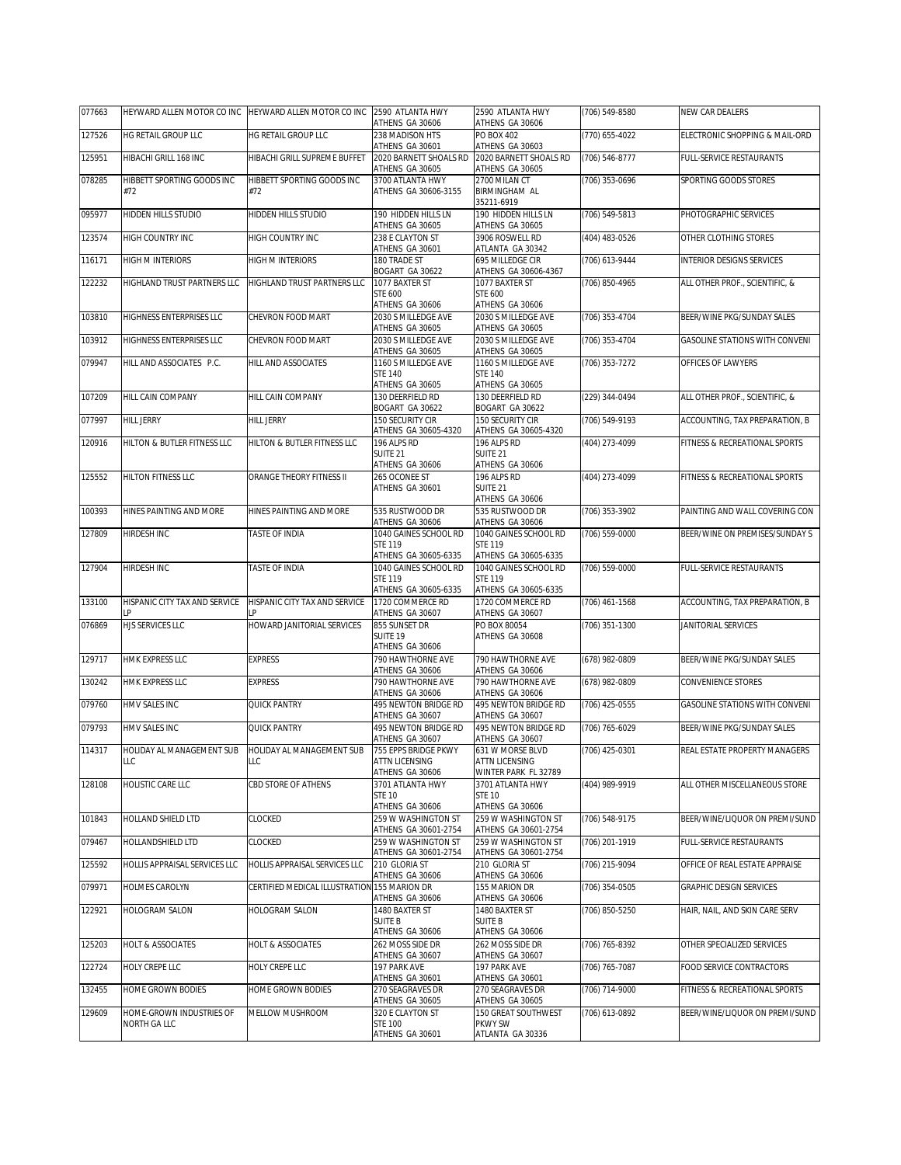| 077663 | HEYWARD ALLEN MOTOR CO INC HEYWARD ALLEN MOTOR CO INC |                                              | 2590 ATLANTA HWY<br>ATHENS GA 30606           | 2590 ATLANTA HWY<br>ATHENS GA 30606           | (706) 549-8580     | NEW CAR DEALERS                |
|--------|-------------------------------------------------------|----------------------------------------------|-----------------------------------------------|-----------------------------------------------|--------------------|--------------------------------|
| 127526 | HG RETAIL GROUP LLC                                   | HG RETAIL GROUP LLC                          | 238 MADISON HTS<br>ATHENS GA 30601            | <b>PO BOX 402</b><br>ATHENS GA 30603          | (770) 655-4022     | ELECTRONIC SHOPPING & MAIL-ORD |
| 125951 | HIBACHI GRILL 168 INC                                 | HIBACHI GRILL SUPREME BUFFET                 | 2020 BARNETT SHOALS RD                        | 2020 BARNETT SHOALS RD                        | (706) 546-8777     | FULL-SERVICE RESTAURANTS       |
| 078285 | HIBBETT SPORTING GOODS INC                            | HIBBETT SPORTING GOODS INC                   | ATHENS GA 30605<br>3700 ATLANTA HWY           | ATHENS GA 30605<br>2700 MILAN CT              | $(706)$ 353-0696   | SPORTING GOODS STORES          |
|        | #72                                                   | #72                                          | ATHENS GA 30606-3155                          | BIRMINGHAM AL<br>35211-6919                   |                    |                                |
| 095977 | HIDDEN HILLS STUDIO                                   | <b>HIDDEN HILLS STUDIO</b>                   | 190 HIDDEN HILLS LN<br>ATHENS GA 30605        | 190 HIDDEN HILLS LN<br>ATHENS GA 30605        | (706) 549-5813     | PHOTOGRAPHIC SERVICES          |
| 123574 | HIGH COUNTRY INC                                      | HIGH COUNTRY INC                             | 238 E CLAYTON ST<br>ATHENS GA 30601           | 3906 ROSWELL RD<br>ATLANTA GA 30342           | (404) 483-0526     | OTHER CLOTHING STORES          |
| 116171 | <b>HIGH M INTERIORS</b>                               | HIGH M INTERIORS                             | 180 TRADE ST                                  | 695 MILLEDGE CIR                              | (706) 613-9444     | INTERIOR DESIGNS SERVICES      |
| 122232 | HIGHLAND TRUST PARTNERS LLC                           | <b>HIGHLAND TRUST PARTNERS LLC</b>           | BOGART GA 30622<br>1077 BAXTER ST             | ATHENS GA 30606-4367<br>1077 BAXTER ST        | (706) 850-4965     | ALL OTHER PROF., SCIENTIFIC, & |
|        |                                                       |                                              | <b>STE 600</b><br>ATHENS GA 30606             | <b>STE 600</b><br>ATHENS GA 30606             |                    |                                |
| 103810 | HIGHNESS ENTERPRISES LLC                              | CHEVRON FOOD MART                            | 2030 S MILLEDGE AVE<br>ATHENS GA 30605        | 2030 S MILLEDGE AVE<br>ATHENS GA 30605        | (706) 353-4704     | BEER/WINE PKG/SUNDAY SALES     |
| 103912 | <b>HIGHNESS ENTERPRISES LLC</b>                       | CHEVRON FOOD MART                            | 2030 S MILLEDGE AVE<br>ATHENS GA 30605        | 2030 S MILLEDGE AVE<br>ATHENS GA 30605        | (706) 353-4704     | GASOLINE STATIONS WITH CONVENI |
| 079947 | HILL AND ASSOCIATES P.C.                              | HILL AND ASSOCIATES                          | 1160 S MILLEDGE AVE                           | 1160 S MILLEDGE AVE                           | (706) 353-7272     | OFFICES OF LAWYERS             |
|        |                                                       |                                              | <b>STE 140</b><br>ATHENS GA 30605             | <b>STE 140</b><br>ATHENS GA 30605             |                    |                                |
| 107209 | HILL CAIN COMPANY                                     | HILL CAIN COMPANY                            | 130 DEERFIELD RD<br>BOGART GA 30622           | 130 DEERFIELD RD<br>BOGART GA 30622           | (229) 344-0494     | ALL OTHER PROF., SCIENTIFIC, & |
| 077997 | <b>HILL JERRY</b>                                     | <b>HILL JERRY</b>                            | 150 SECURITY CIR<br>ATHENS GA 30605-4320      | 150 SECURITY CIR<br>ATHENS GA 30605-4320      | $(706) 549-9193$   | ACCOUNTING. TAX PREPARATION. B |
| 120916 | HILTON & BUTLER FITNESS LLC                           | HILTON & BUTLER FITNESS LLC                  | 196 ALPS RD                                   | 196 ALPS RD                                   | (404) 273-4099     | FITNESS & RECREATIONAL SPORTS  |
|        |                                                       |                                              | SUITE <sub>21</sub><br>ATHENS GA 30606        | SUITE <sub>21</sub><br>ATHENS GA 30606        |                    |                                |
| 125552 | HILTON FITNESS LLC                                    | ORANGE THEORY FITNESS II                     | 265 OCONEE ST<br>ATHENS GA 30601              | 196 AI PS RD<br>SUITE <sub>21</sub>           | (404) 273-4099     | FITNESS & RECREATIONAL SPORTS  |
|        |                                                       | HINES PAINTING AND MORE                      | 535 RUSTWOOD DR                               | ATHENS GA 30606<br>535 RUSTWOOD DR            |                    |                                |
| 100393 | HINES PAINTING AND MORE                               |                                              | ATHENS GA 30606                               | ATHENS GA 30606                               | (706) 353-3902     | PAINTING AND WALL COVERING CON |
| 127809 | HIRDESH INC                                           | TASTE OF INDIA                               | 1040 GAINES SCHOOL RD<br><b>STE 119</b>       | 1040 GAINES SCHOOL RD<br><b>STE 119</b>       | $(706) 559 - 0000$ | BEER/WINE ON PREMISES/SUNDAY S |
| 127904 | HIRDESH INC                                           | TASTE OF INDIA                               | ATHENS GA 30605-6335<br>1040 GAINES SCHOOL RD | ATHENS GA 30605-6335<br>1040 GAINES SCHOOL RD | (706) 559-0000     | FULL-SERVICE RESTAURANTS       |
|        |                                                       |                                              | <b>STE 119</b><br>ATHENS GA 30605-6335        | <b>STE 119</b><br>ATHENS GA 30605-6335        |                    |                                |
| 133100 | HISPANIC CITY TAX AND SERVICE                         | HISPANIC CITY TAX AND SERVICE                | 1720 COMMERCE RD                              | 1720 COMMERCE RD                              | (706) 461-1568     | ACCOUNTING, TAX PREPARATION, B |
| 076869 | HJS SERVICES LLC                                      | HOWARD JANITORIAL SERVICES                   | ATHENS GA 30607<br>855 SUNSET DR              | ATHENS GA 30607<br>PO BOX 80054               | (706) 351-1300     | JANITORIAL SERVICES            |
|        |                                                       |                                              | SUITE 19<br>ATHENS GA 30606                   | ATHENS GA 30608                               |                    |                                |
| 129717 | <b>HMK EXPRESS LLC</b>                                | <b>EXPRESS</b>                               | 790 HAWTHORNE AVE<br>ATHENS GA 30606          | 790 HAWTHORNE AVE<br>ATHENS GA 30606          | (678) 982-0809     | BEER/WINE PKG/SUNDAY SALES     |
| 130242 | HMK EXPRESS LLC                                       | <b>EXPRESS</b>                               | 790 HAWTHORNE AVE<br>ATHENS GA 30606          | 790 HAWTHORNE AVE<br>ATHENS GA 30606          | (678) 982-0809     | CONVENIENCE STORES             |
| 079760 | HMV SALES INC                                         | QUICK PANTRY                                 | 495 NEWTON BRIDGE RD                          | 495 NEWTON BRIDGE RD                          | (706) 425-0555     | GASOLINE STATIONS WITH CONVENI |
| 079793 | HMV SALES INC                                         | <b>QUICK PANTRY</b>                          | ATHENS GA 30607<br>495 NEWTON BRIDGE RD       | ATHENS GA 30607<br>495 NEWTON BRIDGE RD       | (706) 765-6029     | BEER/WINE PKG/SUNDAY SALES     |
| 114317 | HOLIDAY AL MANAGEMENT SUB                             | HOLIDAY AL MANAGEMENT SUB                    | ATHENS GA 30607<br>755 EPPS BRIDGE PKWY       | ATHENS GA 30607<br>631 W MORSE BLVD           | (706) 425-0301     | REAL ESTATE PROPERTY MANAGERS  |
|        | LLC                                                   | LLC                                          | ATTN LICENSING<br>ATHENS GA 30606             | <b>ATTN LICENSING</b><br>WINTER PARK FL 32789 |                    |                                |
| 128108 | HOLISTIC CARE LLC                                     | CBD STORE OF ATHENS                          | 3701 ATLANTA HWY<br><b>STE 10</b>             | 3701 ATLANTA HWY<br><b>STE 10</b>             | (404) 989-9919     | ALL OTHER MISCELLANEOUS STORE  |
|        |                                                       |                                              | ATHENS GA 30606                               | ATHENS GA 30606                               |                    |                                |
| 101843 | HOLLAND SHIELD LTD                                    | <b>CLOCKED</b>                               | 259 W WASHINGTON ST<br>ATHENS GA 30601-2754   | 259 W WASHINGTON ST<br>ATHENS GA 30601-2754   | (706) 548-9175     | BEER/WINE/LIQUOR ON PREMI/SUND |
| 079467 | HOLLANDSHIELD LTD                                     | CLOCKED                                      | 259 W WASHINGTON ST<br>ATHENS GA 30601-2754   | 259 W WASHINGTON ST<br>ATHENS GA 30601-2754   | (706) 201-1919     | FULL-SERVICE RESTAURANTS       |
| 125592 | HOLLIS APPRAISAL SERVICES LLC                         | HOLLIS APPRAISAL SERVICES LLC                | 210 GLORIA ST<br>ATHENS GA 30606              | 210 GLORIA ST<br>ATHENS GA 30606              | (706) 215-9094     | OFFICE OF REAL ESTATE APPRAISE |
| 079971 | <b>HOLMES CAROLYN</b>                                 | CERTIFIED MEDICAL ILLUSTRATION 155 MARION DR |                                               | 155 MARION DR                                 | (706) 354-0505     | <b>GRAPHIC DESIGN SERVICES</b> |
| 122921 | HOLOGRAM SALON                                        | <b>HOLOGRAM SALON</b>                        | ATHENS GA 30606<br>1480 BAXTER ST             | ATHENS GA 30606<br>1480 BAXTER ST             | (706) 850-5250     | HAIR, NAIL, AND SKIN CARE SERV |
|        |                                                       |                                              | SUITE B<br>ATHENS GA 30606                    | <b>SUITE B</b><br>ATHENS GA 30606             |                    |                                |
| 125203 | <b>HOLT &amp; ASSOCIATES</b>                          | <b>HOLT &amp; ASSOCIATES</b>                 | 262 MOSS SIDE DR<br>ATHENS GA 30607           | 262 MOSS SIDE DR<br>ATHENS GA 30607           | (706) 765-8392     | OTHER SPECIALIZED SERVICES     |
| 122724 | HOLY CREPE LLC                                        | HOLY CREPE LLC                               | 197 PARK AVE                                  | 197 PARK AVE                                  | (706) 765-7087     | FOOD SERVICE CONTRACTORS       |
| 132455 | HOME GROWN BODIES                                     | HOME GROWN BODIES                            | ATHENS GA 30601<br>270 SEAGRAVES DR           | ATHENS GA 30601<br>270 SEAGRAVES DR           | (706) 714-9000     | FITNESS & RECREATIONAL SPORTS  |
| 129609 | HOME-GROWN INDUSTRIES OF                              | MELLOW MUSHROOM                              | ATHENS GA 30605<br>320 E CLAYTON ST           | ATHENS GA 30605<br>150 GREAT SOUTHWEST        | (706) 613-0892     | BEER/WINE/LIQUOR ON PREMI/SUND |
|        | NORTH GA LLC                                          |                                              | <b>STE 100</b><br>ATHENS GA 30601             | PKWY SW<br>ATLANTA GA 30336                   |                    |                                |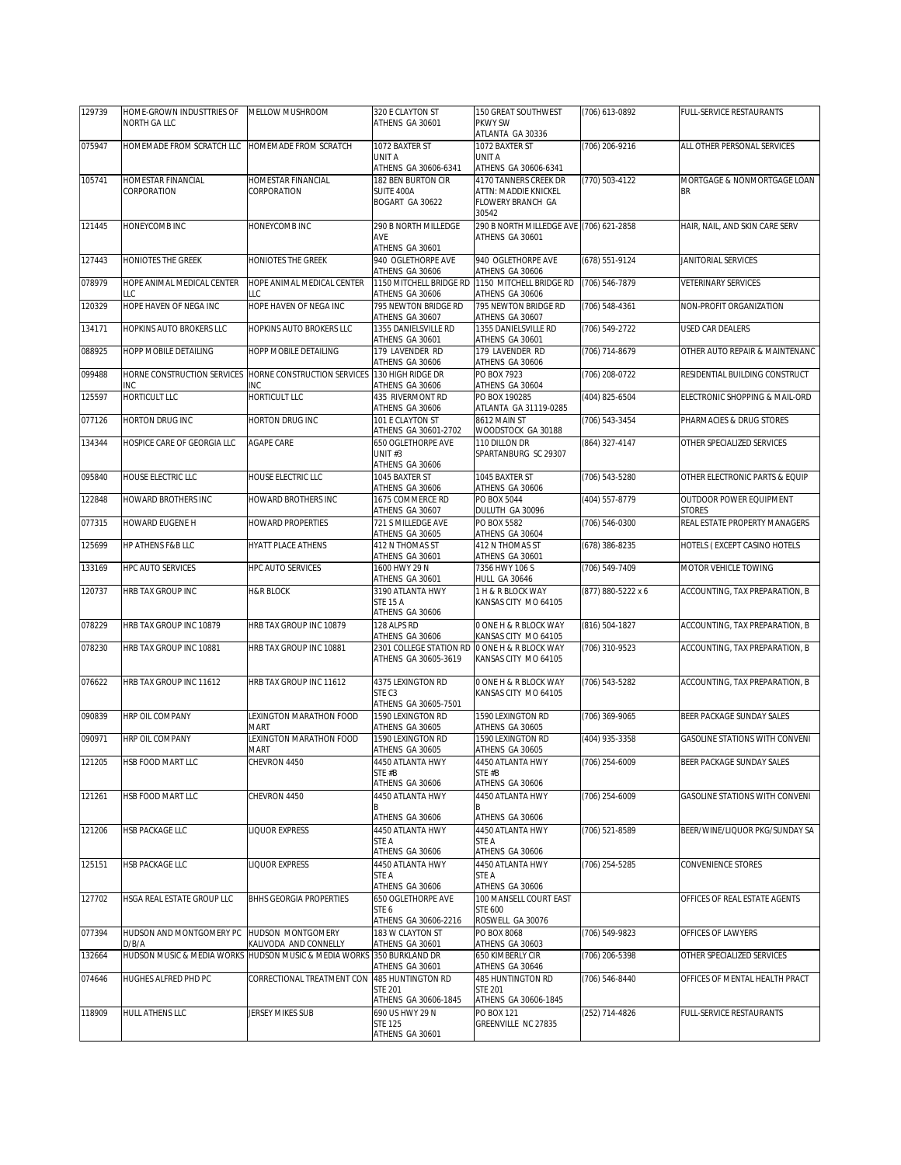| 129739 | HOME-GROWN INDUSTTRIES OF                       | MELLOW MUSHROOM                               | 320 E CLAYTON ST                           | 150 GREAT SOUTHWEST                           | (706) 613-0892     | FULL-SERVICE RESTAURANTS                        |
|--------|-------------------------------------------------|-----------------------------------------------|--------------------------------------------|-----------------------------------------------|--------------------|-------------------------------------------------|
|        | NORTH GA LLC                                    |                                               | ATHENS GA 30601                            | PKWY SW<br>ATLANTA GA 30336                   |                    |                                                 |
| 075947 | HOMEMADE FROM SCRATCH LLC HOMEMADE FROM SCRATCH |                                               | 1072 BAXTER ST                             | 1072 BAXTER ST                                | (706) 206-9216     | ALL OTHER PERSONAL SERVICES                     |
|        |                                                 |                                               | UNIT A                                     | UNIT A                                        |                    |                                                 |
|        |                                                 |                                               | ATHENS GA 30606-6341                       | ATHENS GA 30606-6341                          |                    |                                                 |
| 105741 | HOMESTAR FINANCIAL                              | HOMESTAR FINANCIAL                            | 182 BEN BURTON CIR                         | 4170 TANNERS CREEK DR                         | (770) 503-4122     | MORTGAGE & NONMORTGAGE LOAN                     |
|        | CORPORATION                                     | CORPORATION                                   | SUITE 400A<br>BOGART GA 30622              | ATTN: MADDIE KNICKEL<br>FLOWERY BRANCH GA     |                    | <b>BR</b>                                       |
|        |                                                 |                                               |                                            | 30542                                         |                    |                                                 |
| 121445 | HONEYCOMB INC                                   | HONEYCOMB INC                                 | 290 B NORTH MILLEDGE                       | 290 B NORTH MILLEDGE AVE (706) 621-2858       |                    | HAIR, NAIL, AND SKIN CARE SERV                  |
|        |                                                 |                                               | AVE                                        | ATHENS GA 30601                               |                    |                                                 |
|        |                                                 |                                               | ATHENS GA 30601                            |                                               |                    |                                                 |
| 127443 | <b>HONIOTES THE GREEK</b>                       | <b>HONIOTES THE GREEK</b>                     | 940 OGLETHORPE AVE                         | 940 OGLETHORPE AVE                            | (678) 551-9124     | <b>JANITORIAL SERVICES</b>                      |
| 078979 | HOPE ANIMAL MEDICAL CENTER                      | HOPE ANIMAL MEDICAL CENTER                    | ATHENS GA 30606<br>1150 MITCHELL BRIDGE RD | ATHENS GA 30606<br>1150 MITCHELL BRIDGE RD    | (706) 546-7879     | <b>VETERINARY SERVICES</b>                      |
|        | LLC                                             | LLC                                           | ATHENS GA 30606                            | ATHENS GA 30606                               |                    |                                                 |
| 120329 | HOPE HAVEN OF NEGA INC                          | HOPE HAVEN OF NEGA INC                        | 795 NEWTON BRIDGE RD                       | 795 NEWTON BRIDGE RD                          | (706) 548-4361     | NON-PROFIT ORGANIZATION                         |
|        |                                                 |                                               | ATHENS GA 30607                            | ATHENS GA 30607                               |                    |                                                 |
| 134171 | HOPKINS AUTO BROKERS LLC                        | HOPKINS AUTO BROKERS LLC                      | 1355 DANIELSVILLE RD                       | 1355 DANIELSVILLE RD                          | (706) 549-2722     | USED CAR DEALERS                                |
| 088925 | HOPP MOBILE DETAILING                           | HOPP MOBILE DETAILING                         | ATHENS GA 30601<br>179 LAVENDER RD         | ATHENS GA 30601<br>179 LAVENDER RD            | (706) 714-8679     | OTHER AUTO REPAIR & MAINTENANC                  |
|        |                                                 |                                               | ATHENS GA 30606                            | ATHENS GA 30606                               |                    |                                                 |
| 099488 | HORNE CONSTRUCTION SERVICES                     | HORNE CONSTRUCTION SERVICES 130 HIGH RIDGE DR |                                            | PO BOX 7923                                   | (706) 208-0722     | RESIDENTIAL BUILDING CONSTRUCT                  |
|        | INC                                             | INC                                           | ATHENS GA 30606                            | ATHENS GA 30604                               |                    |                                                 |
| 125597 | <b>HORTICULT LLC</b>                            | HORTICULT LLC                                 | <b>435 RIVERMONT RD</b>                    | PO BOX 190285                                 | (404) 825-6504     | ELECTRONIC SHOPPING & MAIL-ORD                  |
|        |                                                 |                                               | ATHENS GA 30606                            | ATLANTA GA 31119-0285                         |                    |                                                 |
| 077126 | HORTON DRUG INC                                 | HORTON DRUG INC                               | 101 E CLAYTON ST<br>ATHENS GA 30601-2702   | 8612 MAIN ST<br>WOODSTOCK GA 30188            | (706) 543-3454     | PHARMACIES & DRUG STORES                        |
| 134344 | HOSPICE CARE OF GEORGIA LLC                     | AGAPE CARE                                    | 650 OGLETHORPE AVE                         | 110 DILLON DR                                 | (864) 327-4147     | OTHER SPECIALIZED SERVICES                      |
|        |                                                 |                                               | UNIT#3                                     | SPARTANBURG SC 29307                          |                    |                                                 |
|        |                                                 |                                               | ATHENS GA 30606                            |                                               |                    |                                                 |
| 095840 | HOUSE ELECTRIC LLC                              | HOUSE ELECTRIC LLC                            | 1045 BAXTER ST                             | 1045 BAXTER ST                                | (706) 543-5280     | OTHER ELECTRONIC PARTS & EQUIP                  |
|        |                                                 |                                               | ATHENS GA 30606                            | ATHENS GA 30606                               |                    |                                                 |
| 122848 | HOWARD BROTHERS INC                             | HOWARD BROTHERS INC                           | 1675 COMMERCE RD<br>ATHENS GA 30607        | PO BOX 5044<br>DULUTH GA 30096                | (404) 557-8779     | <b>OUTDOOR POWER EQUIPMENT</b><br><b>STORES</b> |
| 077315 | HOWARD EUGENE H                                 | HOWARD PROPERTIES                             | 721 S MILLEDGE AVE                         | PO BOX 5582                                   | (706) 546-0300     | REAL ESTATE PROPERTY MANAGERS                   |
|        |                                                 |                                               | ATHENS GA 30605                            | ATHENS GA 30604                               |                    |                                                 |
| 125699 | HP ATHENS F&B LLC                               | HYATT PLACE ATHENS                            | 412 N THOMAS ST                            | 412 N THOMAS ST                               | (678) 386-8235     | HOTELS (EXCEPT CASINO HOTELS                    |
|        |                                                 |                                               | ATHENS GA 30601                            | ATHENS GA 30601                               |                    |                                                 |
| 133169 | <b>HPC AUTO SERVICES</b>                        | HPC AUTO SERVICES                             | 1600 HWY 29 N<br>ATHENS GA 30601           | 7356 HWY 106 S<br>HULL GA 30646               | (706) 549-7409     | MOTOR VEHICLE TOWING                            |
| 120737 | HRB TAX GROUP INC                               | <b>H&amp;R BLOCK</b>                          | 3190 ATLANTA HWY                           | 1 H & R BLOCK WAY                             | (877) 880-5222 x 6 | ACCOUNTING, TAX PREPARATION, B                  |
|        |                                                 |                                               | <b>STE 15 A</b>                            | KANSAS CITY MO 64105                          |                    |                                                 |
|        |                                                 |                                               | ATHENS GA 30606                            |                                               |                    |                                                 |
| 078229 | HRB TAX GROUP INC 10879                         | HRB TAX GROUP INC 10879                       | 128 ALPS RD                                | 0 ONE H & R BLOCK WAY                         | (816) 504-1827     | ACCOUNTING, TAX PREPARATION, B                  |
|        |                                                 |                                               | ATHENS GA 30606<br>2301 COLLEGE STATION RD | KANSAS CITY MO 64105                          |                    |                                                 |
| 078230 | HRB TAX GROUP INC 10881                         | HRB TAX GROUP INC 10881                       | ATHENS GA 30605-3619                       | O ONE H & R BLOCK WAY<br>KANSAS CITY MO 64105 | (706) 310-9523     | ACCOUNTING, TAX PREPARATION, B                  |
|        |                                                 |                                               |                                            |                                               |                    |                                                 |
| 076622 | HRB TAX GROUP INC 11612                         | HRB TAX GROUP INC 11612                       | 4375 LEXINGTON RD                          | 0 ONE H & R BLOCK WAY                         | (706) 543-5282     | ACCOUNTING, TAX PREPARATION, B                  |
|        |                                                 |                                               | STE <sub>C3</sub>                          | KANSAS CITY MO 64105                          |                    |                                                 |
|        |                                                 |                                               | ATHENS GA 30605-7501                       | 1590 LEXINGTON RD                             |                    |                                                 |
| 090839 | HRP OIL COMPANY                                 | LEXINGTON MARATHON FOOD<br><b>MART</b>        | 1590 LEXINGTON RD<br>ATHENS GA 30605       | ATHENS GA 30605                               | (706) 369-9065     | BEER PACKAGE SUNDAY SALES                       |
| 090971 | HRP OIL COMPANY                                 | LEXINGTON MARATHON FOOD                       | 1590 LEXINGTON RD                          | 1590 LEXINGTON RD                             | (404) 935-3358     | GASOLINE STATIONS WITH CONVENI                  |
|        |                                                 | MART                                          | ATHENS GA 30605                            | ATHENS GA 30605                               |                    |                                                 |
| 121205 | HSB FOOD MART LLC                               | CHEVRON 4450                                  | 4450 ATLANTA HWY                           | 4450 ATLANTA HWY                              | (706) 254-6009     | BEER PACKAGE SUNDAY SALES                       |
|        |                                                 |                                               | STE #B                                     | STE #B                                        |                    |                                                 |
| 121261 | HSB FOOD MART LLC                               | CHEVRON 4450                                  | ATHENS GA 30606<br>4450 ATLANTA HWY        | ATHENS GA 30606<br>4450 ATLANTA HWY           | (706) 254-6009     | <b>GASOLINE STATIONS WITH CONVENI</b>           |
|        |                                                 |                                               | B                                          |                                               |                    |                                                 |
|        |                                                 |                                               | ATHENS GA 30606                            | ATHENS GA 30606                               |                    |                                                 |
| 121206 | <b>HSB PACKAGE LLC</b>                          | LIQUOR EXPRESS                                | 4450 ATLANTA HWY                           | 4450 ATLANTA HWY                              | (706) 521-8589     | BEER/WINE/LIQUOR PKG/SUNDAY SA                  |
|        |                                                 |                                               | STE A                                      | STE A                                         |                    |                                                 |
| 125151 |                                                 | <b>LIQUOR EXPRESS</b>                         | ATHENS GA 30606<br>4450 ATLANTA HWY        | ATHENS GA 30606<br>4450 ATLANTA HWY           |                    |                                                 |
|        | HSB PACKAGE LLC                                 |                                               | STE A                                      | STE A                                         | (706) 254-5285     | CONVENIENCE STORES                              |
|        |                                                 |                                               | ATHENS GA 30606                            | ATHENS GA 30606                               |                    |                                                 |
| 127702 | HSGA REAL ESTATE GROUP LLC                      | BHHS GEORGIA PROPERTIES                       | 650 OGLETHORPE AVE                         | 100 MANSELL COURT EAST                        |                    | OFFICES OF REAL ESTATE AGENTS                   |
|        |                                                 |                                               | STE 6                                      | <b>STE 600</b>                                |                    |                                                 |
|        |                                                 | HUDSON MONTGOMERY                             | ATHENS GA 30606-2216                       | ROSWELL GA 30076                              |                    |                                                 |
| 077394 | HUDSON AND MONTGOMERY PC<br>D/B/A               | KALIVODA AND CONNELLY                         | 183 W CLAYTON ST<br>ATHENS GA 30601        | PO BOX 8068<br>ATHENS GA 30603                | (706) 549-9823     | OFFICES OF LAWYERS                              |
| 132664 | HUDSON MUSIC & MEDIA WORKS                      | HUDSON MUSIC & MEDIA WORKS 350 BURKLAND DR    |                                            | 650 KIMBERLY CIR                              | (706) 206-5398     | OTHER SPECIALIZED SERVICES                      |
|        |                                                 |                                               | ATHENS GA 30601                            | ATHENS GA 30646                               |                    |                                                 |
| 074646 | HUGHES ALFRED PHD PC                            | CORRECTIONAL TREATMENT CON                    | 485 HUNTINGTON RD                          | 485 HUNTINGTON RD                             | (706) 546-8440     | OFFICES OF MENTAL HEALTH PRACT                  |
|        |                                                 |                                               | <b>STE 201</b>                             | <b>STE 201</b>                                |                    |                                                 |
| 118909 | <b>HULL ATHENS LLC</b>                          | JERSEY MIKES SUB                              | ATHENS GA 30606-1845<br>690 US HWY 29 N    | ATHENS GA 30606-1845<br>PO BOX 121            | (252) 714-4826     | FULL-SERVICE RESTAURANTS                        |
|        |                                                 |                                               | <b>STE 125</b>                             | GREENVILLE NC 27835                           |                    |                                                 |
|        |                                                 |                                               | ATHENS GA 30601                            |                                               |                    |                                                 |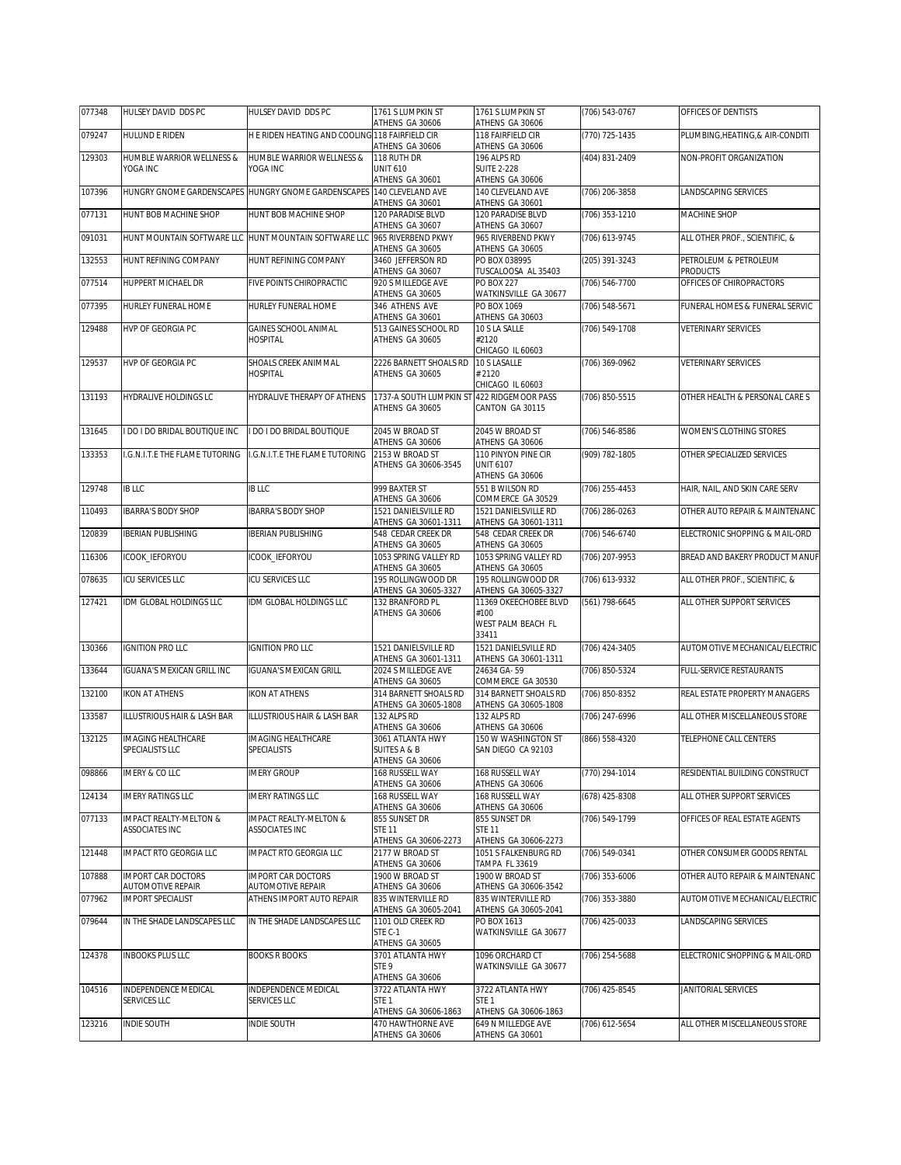| 077348 | HULSEY DAVID DDS PC                                 | HULSEY DAVID DDS PC                                                   | 1761 S LUMPKIN ST<br>ATHENS GA 30606                   | 1761 S LUMPKIN ST<br>ATHENS GA 30606                   | (706) 543-0767   | OFFICES OF DENTISTS                         |
|--------|-----------------------------------------------------|-----------------------------------------------------------------------|--------------------------------------------------------|--------------------------------------------------------|------------------|---------------------------------------------|
| 079247 | HULUND E RIDEN                                      | H E RIDEN HEATING AND COOLING 118 FAIRFIELD CIR                       | ATHENS GA 30606                                        | 118 FAIRFIELD CIR<br>ATHENS GA 30606                   | (770) 725-1435   | PLUMBING, HEATING, & AIR-CONDITI            |
| 129303 | HUMBLE WARRIOR WELLNESS &                           | HUMBLE WARRIOR WELLNESS &                                             | 118 RUTH DR                                            | 196 ALPS RD                                            | (404) 831-2409   | NON-PROFIT ORGANIZATION                     |
|        | YOGA INC                                            | YOGA INC                                                              | <b>UNIT 610</b><br>ATHENS GA 30601                     | <b>SUITE 2-228</b><br>ATHENS GA 30606                  |                  |                                             |
| 107396 |                                                     | HUNGRY GNOME GARDENSCAPES HUNGRY GNOME GARDENSCAPES 140 CLEVELAND AVE | ATHENS GA 30601                                        | 140 CLEVELAND AVE<br>ATHENS GA 30601                   | (706) 206-3858   | LANDSCAPING SERVICES                        |
| 077131 | HUNT BOB MACHINE SHOP                               | HUNT BOB MACHINE SHOP                                                 | 120 PARADISE BLVD<br>ATHENS GA 30607                   | 120 PARADISE BLVD<br>ATHENS GA 30607                   | $(706)$ 353-1210 | MACHINE SHOP                                |
| 091031 |                                                     | HUNT MOUNTAIN SOFTWARE LLC HUNT MOUNTAIN SOFTWARE LLC                 | 965 RIVERBEND PKWY                                     | 965 RIVERBEND PKWY                                     | (706) 613-9745   | ALL OTHER PROF., SCIENTIFIC, &              |
| 132553 | HUNT REFINING COMPANY                               | HUNT REFINING COMPANY                                                 | ATHENS GA 30605<br>3460 JEFFERSON RD                   | ATHENS GA 30605<br>PO BOX 038995                       | $(205)$ 391-3243 | PETROLEUM & PETROLEUM                       |
| 077514 | HUPPERT MICHAEL DR                                  | FIVE POINTS CHIROPRACTIC                                              | ATHENS GA 30607<br>920 S MILLEDGE AVE                  | TUSCALOOSA AL 35403<br><b>PO BOX 227</b>               | (706) 546-7700   | <b>PRODUCTS</b><br>OFFICES OF CHIROPRACTORS |
| 077395 | HURLEY FUNERAL HOME                                 | HURLEY FUNERAL HOME                                                   | ATHENS GA 30605<br>346 ATHENS AVE                      | WATKINSVILLE GA 30677<br>PO BOX 1069                   | (706) 548-5671   | FUNERAL HOMES & FUNERAL SERVIC              |
| 129488 | HVP OF GEORGIA PC                                   | <b>GAINES SCHOOL ANIMAL</b>                                           | ATHENS GA 30601<br>513 GAINES SCHOOL RD                | ATHENS GA 30603<br>10 S LA SALLE                       | (706) 549-1708   | <b>VETERINARY SERVICES</b>                  |
|        |                                                     | <b>HOSPITAL</b>                                                       | ATHENS GA 30605                                        | #2120<br>CHICAGO IL 60603                              |                  |                                             |
| 129537 | HVP OF GEORGIA PC                                   | SHOALS CREEK ANIMMAL                                                  | 2226 BARNETT SHOALS RD                                 | 10 S LASALLE                                           | (706) 369-0962   | VETERINARY SERVICES                         |
|        |                                                     | <b>HOSPITAL</b>                                                       | ATHENS GA 30605                                        | #2120<br>CHICAGO IL 60603                              |                  |                                             |
| 131193 | <b>HYDRALIVE HOLDINGS LC</b>                        | HYDRALIVE THERAPY OF ATHENS                                           | 1737-A SOUTH LUMPKIN ST<br>ATHENS GA 30605             | 422 RIDGEMOOR PASS<br>CANTON GA 30115                  | (706) 850-5515   | OTHER HEALTH & PERSONAL CARE S              |
| 131645 | <b>DO I DO BRIDAL BOUTIQUE INC</b>                  | I DO I DO BRIDAL BOUTIQUE                                             | 2045 W BROAD ST<br>ATHENS GA 30606                     | 2045 W BROAD ST<br>ATHENS GA 30606                     | (706) 546-8586   | WOMEN'S CLOTHING STORES                     |
| 133353 | I.G.N.I.T.E THE FLAME TUTORING                      | I.G.N.I.T.E THE FLAME TUTORING                                        | 2153 W BROAD ST<br>ATHENS GA 30606-3545                | 110 PINYON PINE CIR<br><b>UNIT 6107</b>                | (909) 782-1805   | OTHER SPECIALIZED SERVICES                  |
|        |                                                     |                                                                       |                                                        | ATHENS GA 30606                                        |                  |                                             |
| 129748 | <b>IB LLC</b>                                       | <b>IB LLC</b>                                                         | 999 BAXTER ST<br>ATHENS GA 30606                       | 551 B WILSON RD<br>COMMERCE GA 30529                   | (706) 255-4453   | HAIR, NAIL, AND SKIN CARE SERV              |
| 110493 | <b>IBARRA'S BODY SHOP</b>                           | <b>IBARRA'S BODY SHOP</b>                                             | 1521 DANIELSVILLE RD<br>ATHENS GA 30601-1311           | 1521 DANIELSVILLE RD<br>ATHENS GA 30601-1311           | (706) 286-0263   | OTHER AUTO REPAIR & MAINTENANC              |
| 120839 | <b>IBERIAN PUBLISHING</b>                           | <b>IBERIAN PUBLISHING</b>                                             | 548 CEDAR CREEK DR<br>ATHENS GA 30605                  | 548 CEDAR CREEK DR<br>ATHENS GA 30605                  | (706) 546-6740   | ELECTRONIC SHOPPING & MAIL-ORD              |
| 116306 | ICOOK_IEFORYOU                                      | ICOOK_IEFORYOU                                                        | 1053 SPRING VALLEY RD                                  | 1053 SPRING VALLEY RD                                  | (706) 207-9953   | BREAD AND BAKERY PRODUCT MANUF              |
| 078635 | ICU SERVICES LLC                                    | ICU SERVICES LLC                                                      | ATHENS GA 30605<br>195 ROLLINGWOOD DR                  | ATHENS GA 30605<br>195 ROLLINGWOOD DR                  | (706) 613-9332   | ALL OTHER PROF., SCIENTIFIC, &              |
| 127421 | IDM GLOBAL HOLDINGS LLC                             | IDM GLOBAL HOLDINGS LLC                                               | ATHENS GA 30605-3327<br>132 BRANFORD PL                | ATHENS GA 30605-3327<br>11369 OKEECHOBEE BLVD          | (561) 798-6645   | ALL OTHER SUPPORT SERVICES                  |
|        |                                                     |                                                                       | ATHENS GA 30606                                        | #100<br>WEST PALM BEACH FL                             |                  |                                             |
| 130366 | <b>IGNITION PRO LLC</b>                             | <b>IGNITION PRO LLC</b>                                               | 1521 DANIELSVILLE RD                                   | 33411<br>1521 DANIELSVILLE RD                          | (706) 424-3405   | AUTOMOTIVE MECHANICAL/ELECTRIC              |
|        |                                                     |                                                                       | ATHENS GA 30601-1311                                   | ATHENS GA 30601-1311                                   |                  |                                             |
| 133644 | IGUANA'S MEXICAN GRILL INC                          | <b>IGUANA'S MEXICAN GRILL</b>                                         | 2024 S MILLEDGE AVE<br>ATHENS GA 30605                 | 24634 GA-59<br>COMMERCE GA 30530                       | (706) 850-5324   | FULL-SERVICE RESTAURANTS                    |
| 132100 | <b>IKON AT ATHENS</b>                               | <b>IKON AT ATHENS</b>                                                 | 314 BARNETT SHOALS RD<br>ATHENS GA 30605-1808          | 314 BARNETT SHOALS RD<br>ATHENS GA 30605-1808          | (706) 850-8352   | REAL ESTATE PROPERTY MANAGERS               |
| 133587 | ILLUSTRIOUS HAIR & LASH BAR                         | ILLUSTRIOUS HAIR & LASH BAR                                           | 132 ALPS RD<br>ATHENS GA 30606                         | 132 ALPS RD<br>ATHENS GA 30606                         | (706) 247-6996   | ALL OTHER MISCELLANEOUS STORE               |
| 132125 | IMAGING HEALTHCARE<br>SPECIALISTS LLC               | IMAGING HEALTHCARE<br><b>SPECIALISTS</b>                              | 3061 ATLANTA HWY<br>SUITES A & B                       | 150 W WASHINGTON ST<br>SAN DIEGO CA 92103              | (866) 558-4320   | TELEPHONE CALL CENTERS                      |
|        |                                                     |                                                                       | ATHENS GA 30606                                        |                                                        |                  |                                             |
| 098866 | <b>IMERY &amp; CO LLC</b>                           | <b>IMERY GROUP</b>                                                    | 168 RUSSELL WAY<br>ATHENS GA 30606                     | 168 RUSSELL WAY<br>ATHENS GA 30606                     | (770) 294-1014   | RESIDENTIAL BUILDING CONSTRUCT              |
| 124134 | <b>IMERY RATINGS LLC</b>                            | <b>IMERY RATINGS LLC</b>                                              | 168 RUSSELL WAY<br>ATHENS GA 30606                     | 168 RUSSELL WAY<br>ATHENS GA 30606                     | (678) 425-8308   | ALL OTHER SUPPORT SERVICES                  |
| 077133 | <b>IMPACT REALTY-MELTON &amp;</b><br>ASSOCIATES INC | <b>IMPACT REALTY-MELTON &amp;</b><br>ASSOCIATES INC                   | 855 SUNSET DR<br><b>STE 11</b><br>ATHENS GA 30606-2273 | 855 SUNSET DR<br><b>STE 11</b><br>ATHENS GA 30606-2273 | (706) 549-1799   | OFFICES OF REAL ESTATE AGENTS               |
| 121448 | IMPACT RTO GEORGIA LLC                              | IMPACT RTO GEORGIA LLC                                                | 2177 W BROAD ST                                        | 1051 S FALKENBURG RD                                   | (706) 549-0341   | OTHER CONSUMER GOODS RENTAL                 |
| 107888 | <b>IMPORT CAR DOCTORS</b>                           | <b>IMPORT CAR DOCTORS</b>                                             | ATHENS GA 30606<br>1900 W BROAD ST                     | TAMPA FL 33619<br>1900 W BROAD ST                      | (706) 353-6006   | OTHER AUTO REPAIR & MAINTENANC              |
| 077962 | AUTOMOTIVE REPAIR<br><b>IMPORT SPECIALIST</b>       | AUTOMOTIVE REPAIR<br>ATHENS IMPORT AUTO REPAIR                        | ATHENS GA 30606<br>835 WINTERVILLE RD                  | ATHENS GA 30606-3542<br>835 WINTERVILLE RD             | (706) 353-3880   | AUTOMOTIVE MECHANICAL/ELECTRIC              |
| 079644 | IN THE SHADE LANDSCAPES LLC                         | IN THE SHADE LANDSCAPES LLC                                           | ATHENS GA 30605-2041<br>1101 OLD CREEK RD              | ATHENS GA 30605-2041<br>PO BOX 1613                    | (706) 425-0033   | LANDSCAPING SERVICES                        |
|        |                                                     |                                                                       | STE C-1<br>ATHENS GA 30605                             | WATKINSVILLE GA 30677                                  |                  |                                             |
| 124378 | <b>INBOOKS PLUS LLC</b>                             | <b>BOOKS R BOOKS</b>                                                  | 3701 ATLANTA HWY                                       | 1096 ORCHARD CT                                        | (706) 254-5688   | ELECTRONIC SHOPPING & MAIL-ORD              |
|        |                                                     |                                                                       | STE 9<br>ATHENS GA 30606                               | WATKINSVILLE GA 30677                                  |                  |                                             |
| 104516 | INDEPENDENCE MEDICAL<br>SERVICES LLC                | INDEPENDENCE MEDICAL<br>SERVICES LLC                                  | 3722 ATLANTA HWY<br>STE <sub>1</sub>                   | 3722 ATLANTA HWY<br>STE <sub>1</sub>                   | (706) 425-8545   | JANITORIAL SERVICES                         |
|        |                                                     |                                                                       |                                                        |                                                        |                  |                                             |
| 123216 | INDIE SOUTH                                         | <b>INDIE SOUTH</b>                                                    | ATHENS GA 30606-1863<br>470 HAWTHORNE AVE              | ATHENS GA 30606-1863<br>649 N MILLEDGE AVE             | (706) 612-5654   | ALL OTHER MISCELLANEOUS STORE               |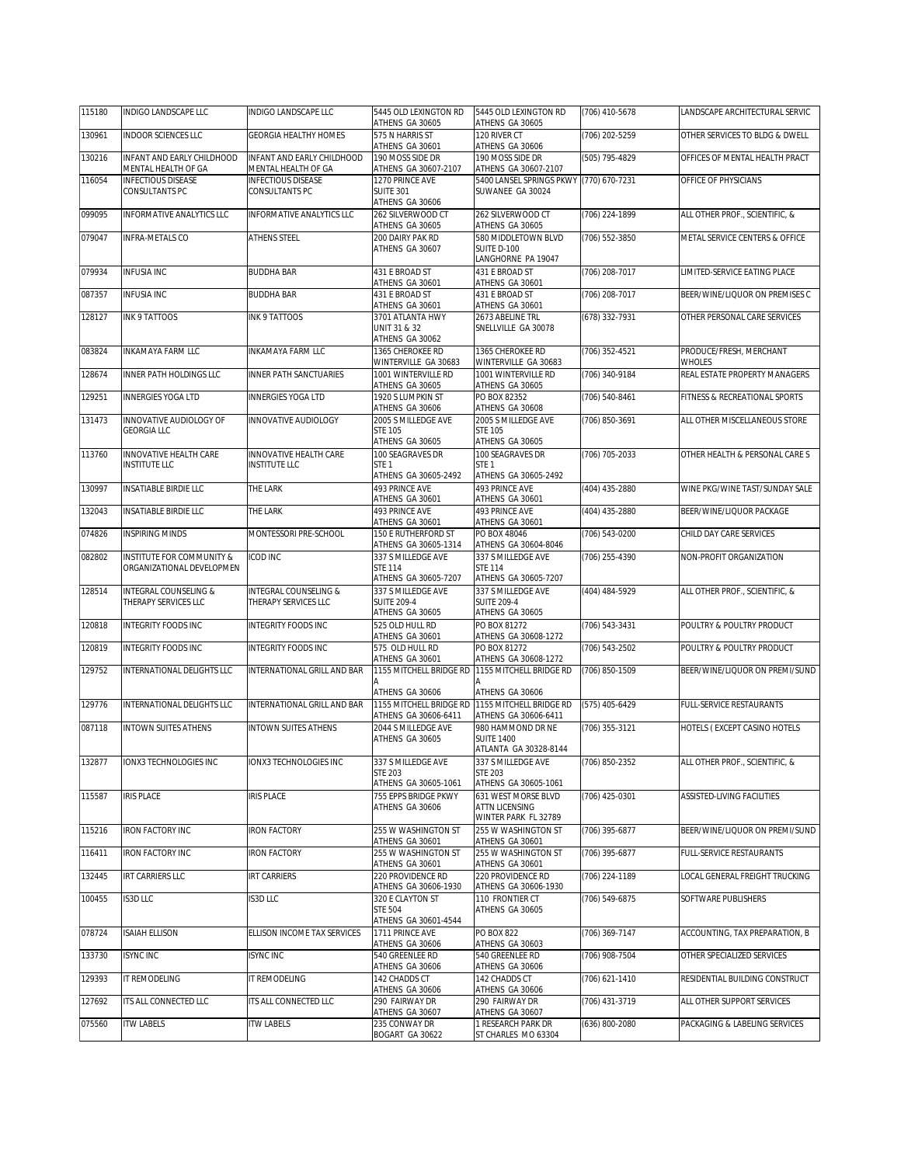| 115180 | INDIGO LANDSCAPE LLC                                   | INDIGO LANDSCAPE LLC                              | 5445 OLD LEXINGTON RD<br>ATHENS GA 30605                       | 5445 OLD LEXINGTON RD<br>ATHENS GA 30605                             | (706) 410-5678     | LANDSCAPE ARCHITECTURAL SERVIC    |
|--------|--------------------------------------------------------|---------------------------------------------------|----------------------------------------------------------------|----------------------------------------------------------------------|--------------------|-----------------------------------|
| 130961 | <b>INDOOR SCIENCES LLC</b>                             | <b>GEORGIA HEALTHY HOMES</b>                      | 575 N HARRIS ST<br>ATHENS GA 30601                             | 120 RIVER CT<br>ATHENS GA 30606                                      | (706) 202-5259     | OTHER SERVICES TO BLDG & DWELL    |
| 130216 | INFANT AND EARLY CHILDHOOD<br>MENTAL HEALTH OF GA      | INFANT AND EARLY CHILDHOOD<br>MENTAL HEALTH OF GA | 190 MOSS SIDE DR<br>ATHENS GA 30607-2107                       | 190 MOSS SIDE DR<br>ATHENS GA 30607-2107                             | (505) 795-4829     | OFFICES OF MENTAL HEALTH PRACT    |
| 116054 | <b>INFECTIOUS DISEASE</b>                              | <b>INFECTIOUS DISEASE</b>                         | 1270 PRINCE AVE                                                | 5400 LANSEL SPRINGS PKWY (770) 670-7231                              |                    | OFFICE OF PHYSICIANS              |
|        | CONSULTANTS PC                                         | <b>CONSULTANTS PC</b>                             | <b>SUITE 301</b><br>ATHENS GA 30606                            | SUWANEE GA 30024                                                     |                    |                                   |
| 099095 | INFORMATIVE ANALYTICS LLC                              | INFORMATIVE ANALYTICS LLC                         | 262 SILVERWOOD CT<br>ATHENS GA 30605                           | 262 SILVERWOOD CT<br>ATHENS GA 30605                                 | (706) 224-1899     | ALL OTHER PROF., SCIENTIFIC, &    |
| 079047 | <b>INFRA-METALS CO</b>                                 | <b>ATHENS STEEL</b>                               | 200 DAIRY PAK RD<br>ATHENS GA 30607                            | 580 MIDDLETOWN BLVD<br>SUITE D-100<br>LANGHORNE PA 19047             | (706) 552-3850     | METAL SERVICE CENTERS & OFFICE    |
| 079934 | <b>INFUSIA INC</b>                                     | <b>BUDDHA BAR</b>                                 | 431 E BROAD ST<br>ATHENS GA 30601                              | 431 E BROAD ST<br>ATHENS GA 30601                                    | (706) 208-7017     | LIMITED-SERVICE EATING PLACE      |
| 087357 | <b>INFUSIA INC</b>                                     | <b>BUDDHA BAR</b>                                 | 431 E BROAD ST<br>ATHENS GA 30601                              | 431 E BROAD ST<br>ATHENS GA 30601                                    | (706) 208-7017     | BEER/WINE/LIQUOR ON PREMISES C    |
| 128127 | <b>INK 9 TATTOOS</b>                                   | <b>INK 9 TATTOOS</b>                              | 3701 ATLANTA HWY<br>UNIT 31 & 32<br>ATHENS GA 30062            | 2673 ABELINE TRL<br>SNELLVILLE GA 30078                              | (678) 332-7931     | OTHER PERSONAL CARE SERVICES      |
| 083824 | <b>INKAMAYA FARM LLC</b>                               | INKAMAYA FARM LLC                                 | 1365 CHEROKEE RD<br>WINTERVILLE GA 30683                       | 1365 CHEROKEE RD<br>WINTERVILLE GA 30683                             | (706) 352-4521     | PRODUCE/FRESH, MERCHANT<br>WHOLES |
| 128674 | INNER PATH HOLDINGS LLC                                | <b>INNER PATH SANCTUARIES</b>                     | 1001 WINTERVILLE RD<br>ATHENS GA 30605                         | 1001 WINTERVILLE RD<br>ATHENS GA 30605                               | (706) 340-9184     | REAL ESTATE PROPERTY MANAGERS     |
| 129251 | <b>INNERGIES YOGA LTD</b>                              | <b>INNERGIES YOGA LTD</b>                         | 1920 S LUMPKIN ST                                              | PO BOX 82352                                                         | (706) 540-8461     | FITNESS & RECREATIONAL SPORTS     |
| 131473 | INNOVATIVE AUDIOLOGY OF                                | INNOVATIVE AUDIOLOGY                              | ATHENS GA 30606<br>2005 S MILLEDGE AVE                         | ATHENS GA 30608<br>2005 S MILLEDGE AVE                               | (706) 850-3691     | ALL OTHER MISCELLANEOUS STORE     |
|        | <b>GEORGIA LLC</b>                                     |                                                   | <b>STE 105</b><br>ATHENS GA 30605                              | <b>STE 105</b><br>ATHENS GA 30605                                    |                    |                                   |
| 113760 | <b>INNOVATIVE HEALTH CARE</b><br><b>INSTITUTE LLC</b>  | INNOVATIVE HEALTH CARE<br><b>INSTITUTE LLC</b>    | 100 SEAGRAVES DR<br>STE <sub>1</sub>                           | 100 SEAGRAVES DR<br>STE <sub>1</sub>                                 | (706) 705-2033     | OTHER HEALTH & PERSONAL CARE S    |
| 130997 | INSATIABLE BIRDIE LLC                                  | <b>THE LARK</b>                                   | ATHENS GA 30605-2492<br>493 PRINCE AVE                         | ATHENS GA 30605-2492<br><b>493 PRINCE AVE</b>                        | (404) 435-2880     | WINE PKG/WINE TAST/SUNDAY SALE    |
| 132043 | <b>INSATIABLE BIRDIE LLC</b>                           | THE LARK                                          | ATHENS GA 30601<br>493 PRINCE AVE                              | ATHENS GA 30601<br>493 PRINCE AVE                                    | (404) 435-2880     | BEER/WINE/LIQUOR PACKAGE          |
|        |                                                        |                                                   | ATHENS GA 30601                                                | ATHENS GA 30601                                                      |                    |                                   |
| 074826 | <b>INSPIRING MINDS</b>                                 | MONTESSORI PRE-SCHOOL                             | 150 E RUTHERFORD ST<br>ATHENS GA 30605-1314                    | PO BOX 48046<br>ATHENS GA 30604-8046                                 | (706) 543-0200     | CHILD DAY CARE SERVICES           |
| 082802 | INSTITUTE FOR COMMUNITY &<br>ORGANIZATIONAL DEVELOPMEN | ICOD INC                                          | 337 S MILLEDGE AVE<br><b>STE 114</b><br>ATHENS GA 30605-7207   | 337 S MILLEDGE AVE<br><b>STE 114</b><br>ATHENS GA 30605-7207         | (706) 255-4390     | NON-PROFIT ORGANIZATION           |
| 128514 | INTEGRAL COUNSELING &<br>THERAPY SERVICES LLC          | INTEGRAL COUNSELING &<br>THERAPY SERVICES LLC     | 337 S MILLEDGE AVE<br><b>SUITE 209-4</b><br>ATHENS GA 30605    | 337 S MILLEDGE AVE<br><b>SUITE 209-4</b><br>ATHENS GA 30605          | $(404)$ 484-5929   | ALL OTHER PROF., SCIENTIFIC, &    |
| 120818 | INTEGRITY FOODS INC                                    | <b>INTEGRITY FOODS INC</b>                        | 525 OLD HULL RD<br>ATHENS GA 30601                             | PO BOX 81272<br>ATHENS GA 30608-1272                                 | $(706) 543 - 3431$ | POULTRY & POULTRY PRODUCT         |
| 120819 | <b>INTEGRITY FOODS INC</b>                             | <b>INTEGRITY FOODS INC</b>                        | 575 OLD HULL RD<br>ATHENS GA 30601                             | PO BOX 81272<br>ATHENS GA 30608-1272                                 | (706) 543-2502     | POULTRY & POULTRY PRODUCT         |
| 129752 | INTERNATIONAL DELIGHTS LLC                             | INTERNATIONAL GRILL AND BAR                       | 1155 MITCHELL BRIDGE RD<br>ATHENS GA 30606                     | 1155 MITCHELL BRIDGE RD                                              | (706) 850-1509     | BEER/WINE/LIQUOR ON PREMI/SUND    |
| 129776 | INTERNATIONAL DELIGHTS LLC                             | INTERNATIONAL GRILL AND BAR                       | 1155 MITCHELL BRIDGE RD                                        | ATHENS GA 30606<br>1155 MITCHELL BRIDGE RD                           | (575) 405-6429     | FULL-SERVICE RESTAURANTS          |
| 087118 | <b>INTOWN SUITES ATHENS</b>                            | <b>INTOWN SUITES ATHENS</b>                       | ATHENS GA 30606-6411<br>2044 S MILLEDGE AVE<br>ATHENS GA 30605 | ATHENS GA 30606-6411<br>980 HAMMOND DR NE<br><b>SUITE 1400</b>       | (706) 355-3121     | HOTELS (EXCEPT CASINO HOTELS      |
| 132877 | <b>IONX3 TECHNOLOGIES INC</b>                          | IONX3 TECHNOLOGIES INC                            | 337 S MILLEDGE AVE                                             | ATLANTA GA 30328-8144<br>337 S MILLEDGE AVE                          | (706) 850-2352     | ALL OTHER PROF., SCIENTIFIC, &    |
|        |                                                        |                                                   | <b>STE 203</b><br>ATHENS GA 30605-1061                         | <b>STE 203</b><br>ATHENS GA 30605-1061                               |                    |                                   |
| 115587 | <b>IRIS PLACE</b>                                      | <b>IRIS PLACE</b>                                 | 755 EPPS BRIDGE PKWY<br>ATHENS GA 30606                        | 631 WEST MORSE BLVD<br><b>ATTN LICENSING</b><br>WINTER PARK FL 32789 | (706) 425-0301     | ASSISTED-LIVING FACILITIES        |
| 115216 | <b>IRON FACTORY INC</b>                                | <b>IRON FACTORY</b>                               | 255 W WASHINGTON ST<br>ATHENS GA 30601                         | 255 W WASHINGTON ST<br>ATHENS GA 30601                               | (706) 395-6877     | BEER/WINE/LIQUOR ON PREMI/SUND    |
| 116411 | <b>IRON FACTORY INC</b>                                | <b>IRON FACTORY</b>                               | 255 W WASHINGTON ST<br>ATHENS GA 30601                         | 255 W WASHINGTON ST<br>ATHENS GA 30601                               | (706) 395-6877     | FULL-SERVICE RESTAURANTS          |
| 132445 | <b>IRT CARRIERS LLC</b>                                | <b>IRT CARRIERS</b>                               | 220 PROVIDENCE RD                                              | 220 PROVIDENCE RD                                                    | (706) 224-1189     | LOCAL GENERAL FREIGHT TRUCKING    |
| 100455 | <b>IS3D LLC</b>                                        | <b>IS3D LLC</b>                                   | ATHENS GA 30606-1930<br>320 E CLAYTON ST                       | ATHENS GA 30606-1930<br>110 FRONTIER CT                              | (706) 549-6875     | SOFTWARE PUBLISHERS               |
|        |                                                        |                                                   | <b>STE 504</b><br>ATHENS GA 30601-4544                         | ATHENS GA 30605                                                      |                    |                                   |
| 078724 | <b>ISAIAH ELLISON</b>                                  | ELLISON INCOME TAX SERVICES                       | 1711 PRINCE AVE<br>ATHENS GA 30606                             | <b>PO BOX 822</b><br>ATHENS GA 30603                                 | (706) 369-7147     | ACCOUNTING, TAX PREPARATION, B    |
| 133730 | <b>ISYNC INC</b>                                       | <b>ISYNC INC</b>                                  | 540 GREENLEE RD<br>ATHENS GA 30606                             | 540 GREENLEE RD<br>ATHENS GA 30606                                   | (706) 908-7504     | OTHER SPECIALIZED SERVICES        |
| 129393 | IT REMODELING                                          | IT REMODELING                                     | 142 CHADDS CT<br>ATHENS GA 30606                               | 142 CHADDS CT<br>ATHENS GA 30606                                     | (706) 621-1410     | RESIDENTIAL BUILDING CONSTRUCT    |
| 127692 | ITS ALL CONNECTED LLC                                  | ITS ALL CONNECTED LLC                             | 290 FAIRWAY DR<br>ATHENS GA 30607                              | 290 FAIRWAY DR<br>ATHENS GA 30607                                    | (706) 431-3719     | ALL OTHER SUPPORT SERVICES        |
| 075560 | <b>ITW LABELS</b>                                      | <b>ITW LABELS</b>                                 | 235 CONWAY DR<br>BOGART GA 30622                               | 1 RESEARCH PARK DR<br>ST CHARLES MO 63304                            | (636) 800-2080     | PACKAGING & LABELING SERVICES     |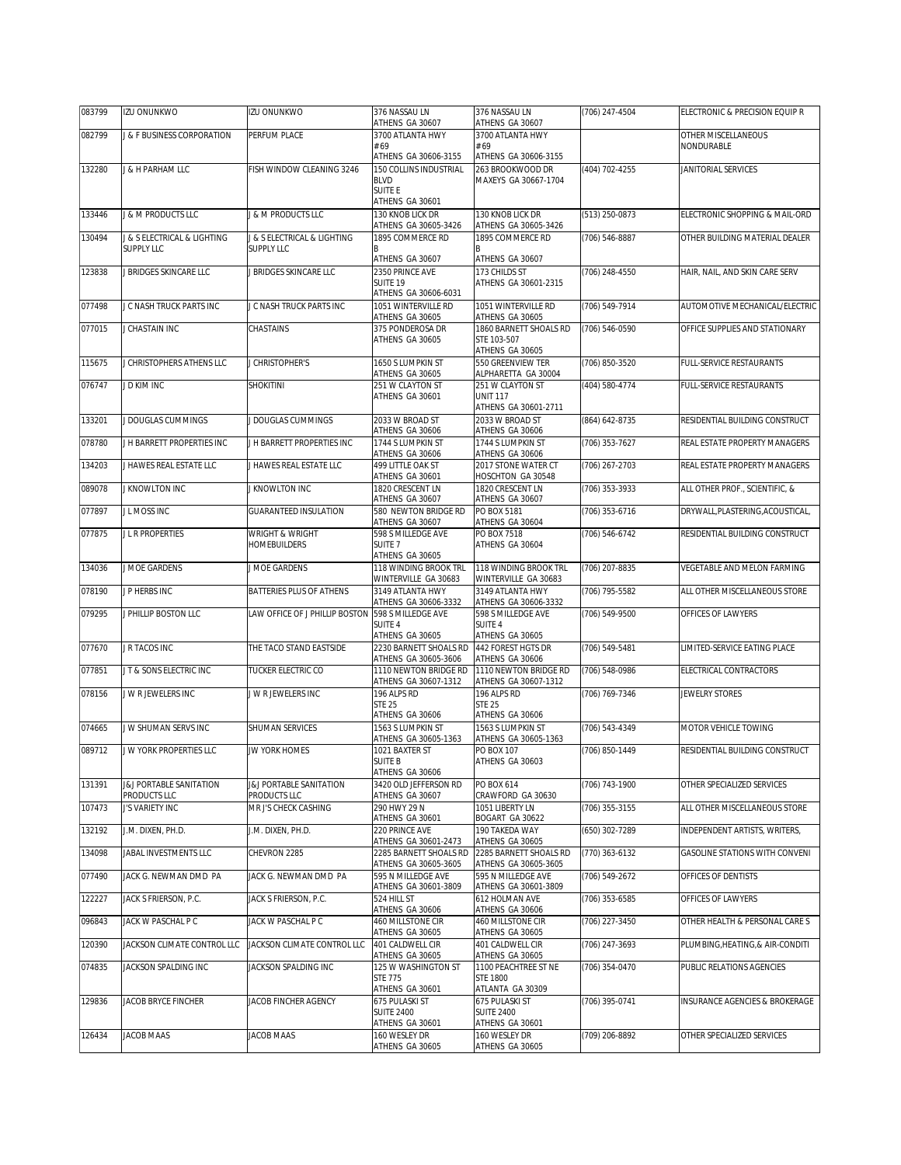| 083799 | <b>IZU ONUNKWO</b>                      | <b>IZU ONUNKWO</b>                         | 376 NASSAU LN                                  | 376 NASSAU LN                                 | (706) 247-4504     | ELECTRONIC & PRECISION EQUIP R        |
|--------|-----------------------------------------|--------------------------------------------|------------------------------------------------|-----------------------------------------------|--------------------|---------------------------------------|
| 082799 | <b>&amp; F BUSINESS CORPORATION</b>     | PERFUM PLACE                               | ATHENS GA 30607<br>3700 ATLANTA HWY            | ATHENS GA 30607<br>3700 ATLANTA HWY           |                    | OTHER MISCELLANEOUS                   |
|        |                                         |                                            | # 69<br>ATHENS GA 30606-3155                   | #69<br>ATHENS GA 30606-3155                   |                    | NONDURABLE                            |
| 132280 | <b>J &amp; H PARHAM LLC</b>             | FISH WINDOW CLEANING 3246                  | 150 COLLINS INDUSTRIAL                         | 263 BROOKWOOD DR                              | (404) 702-4255     | JANITORIAL SERVICES                   |
|        |                                         |                                            | <b>BLVD</b><br>SUITE F                         | MAXEYS GA 30667-1704                          |                    |                                       |
|        |                                         |                                            | ATHENS GA 30601                                |                                               |                    |                                       |
| 133446 | <b>8 M PRODUCTS LLC</b>                 | J & M PRODUCTS LLC                         | 130 KNOB LICK DR<br>ATHENS GA 30605-3426       | 130 KNOB LICK DR<br>ATHENS GA 30605-3426      | (513) 250-0873     | ELECTRONIC SHOPPING & MAIL-ORD        |
| 130494 | J & S ELECTRICAL & LIGHTING             | J & S ELECTRICAL & LIGHTING                | 1895 COMMERCE RD                               | 1895 COMMERCE RD                              | (706) 546-8887     | OTHER BUILDING MATERIAL DEALER        |
|        | <b>SUPPLY LLC</b>                       | SUPPLY LLC                                 | ATHENS GA 30607                                | ATHENS GA 30607                               |                    |                                       |
| 123838 | <b>BRIDGES SKINCARE LLC</b>             | J BRIDGES SKINCARE LLC                     | 2350 PRINCE AVE                                | 173 CHILDS ST                                 | (706) 248-4550     | HAIR, NAIL, AND SKIN CARE SERV        |
|        |                                         |                                            | SUITE 19<br>ATHENS GA 30606-6031               | ATHENS GA 30601-2315                          |                    |                                       |
| 077498 | J C NASH TRUCK PARTS INC                | J C NASH TRUCK PARTS INC                   | 1051 WINTERVILLE RD<br>ATHENS GA 30605         | 1051 WINTERVILLE RD<br>ATHENS GA 30605        | (706) 549-7914     | AUTOMOTIVE MECHANICAL/ELECTRIC        |
| 077015 | J CHASTAIN INC                          | CHASTAINS                                  | 375 PONDEROSA DR                               | 1860 BARNETT SHOALS RD                        | (706) 546-0590     | OFFICE SUPPLIES AND STATIONARY        |
|        |                                         |                                            | ATHENS GA 30605                                | STE 103-507<br>ATHENS GA 30605                |                    |                                       |
| 115675 | J CHRISTOPHERS ATHENS LLC               | J CHRISTOPHER'S                            | 1650 S LUMPKIN ST                              | 550 GREENVIEW TER                             | (706) 850-3520     | FULL-SERVICE RESTAURANTS              |
| 076747 | J D KIM INC                             | <b>SHOKITINI</b>                           | ATHENS GA 30605<br>251 W CLAYTON ST            | ALPHARETTA GA 30004<br>251 W CLAYTON ST       | (404) 580-4774     | FULL-SERVICE RESTAURANTS              |
|        |                                         |                                            | ATHENS GA 30601                                | <b>UNIT 117</b><br>ATHENS GA 30601-2711       |                    |                                       |
| 133201 | J DOUGLAS CUMMINGS                      | J DOUGLAS CUMMINGS                         | 2033 W BROAD ST                                | 2033 W BROAD ST                               | $(864) 642 - 8735$ | RESIDENTIAL BUILDING CONSTRUCT        |
|        |                                         | J H BARRETT PROPERTIES INC                 | ATHENS GA 30606                                | ATHENS GA 30606                               |                    |                                       |
| 078780 | J H BARRETT PROPERTIES INC              |                                            | 1744 S LUMPKIN ST<br>ATHENS GA 30606           | 1744 S LUMPKIN ST<br>ATHENS GA 30606          | (706) 353-7627     | REAL ESTATE PROPERTY MANAGERS         |
| 134203 | J HAWES REAL ESTATE LLC                 | J HAWES REAL ESTATE LLC                    | 499 LITTLE OAK ST<br>ATHENS GA 30601           | 2017 STONE WATER CT<br>HOSCHTON GA 30548      | (706) 267-2703     | REAL ESTATE PROPERTY MANAGERS         |
| 089078 | <b><i>I KNOWLTON INC</i></b>            | J KNOWLTON INC                             | 1820 CRESCENT LN                               | 1820 CRESCENT LN                              | (706) 353-3933     | ALL OTHER PROF., SCIENTIFIC, &        |
| 077897 | J L MOSS INC                            | <b>GUARANTEED INSULATION</b>               | ATHENS GA 30607<br>580 NEWTON BRIDGE RD        | ATHENS GA 30607<br>PO BOX 5181                | (706) 353-6716     | DRYWALL, PLASTERING, ACOUSTICAL,      |
|        |                                         |                                            | ATHENS GA 30607                                | ATHENS GA 30604                               |                    |                                       |
| 077875 | J L R PROPERTIES                        | <b>WRIGHT &amp; WRIGHT</b><br>HOMEBUILDERS | 598 S MILLEDGE AVE<br>SUITE <sub>7</sub>       | PO BOX 7518<br>ATHENS GA 30604                | (706) 546-6742     | RESIDENTIAL BUILDING CONSTRUCT        |
|        |                                         |                                            | ATHENS GA 30605                                |                                               |                    |                                       |
| 134036 | J MOE GARDENS                           | J MOE GARDENS                              | 118 WINDING BROOK TRL<br>WINTERVILLE GA 30683  | 118 WINDING BROOK TRL<br>WINTERVILLE GA 30683 | (706) 207-8835     | VEGETABLE AND MELON FARMING           |
| 078190 | J P HERBS INC                           | BATTERIES PLUS OF ATHENS                   | 3149 ATLANTA HWY<br>ATHENS GA 30606-3332       | 3149 ATLANTA HWY<br>ATHENS GA 30606-3332      | (706) 795-5582     | ALL OTHER MISCELLANEOUS STORE         |
| 079295 | <b>PHILLIP BOSTON LLC</b>               | LAW OFFICE OF J PHILLIP BOSTON             | 598 S MILLEDGE AVE                             | 598 S MILLEDGE AVE                            | (706) 549-9500     | OFFICES OF LAWYERS                    |
|        |                                         |                                            | SUITE 4<br>ATHENS GA 30605                     | SUITE 4<br>ATHENS GA 30605                    |                    |                                       |
| 077670 | J R TACOS INC                           | THE TACO STAND EASTSIDE                    | 2230 BARNETT SHOALS RD                         | 442 FOREST HGTS DR                            | (706) 549-5481     | LIMITED-SERVICE EATING PLACE          |
| 077851 | J T & SONS ELECTRIC INC                 | TUCKER ELECTRIC CO                         | ATHENS GA 30605-3606<br>1110 NEWTON BRIDGE RD  | ATHENS GA 30606<br>1110 NEWTON BRIDGE RD      | (706) 548-0986     | ELECTRICAL CONTRACTORS                |
| 078156 | J W R JEWELERS INC                      | J W R JEWELERS INC                         | ATHENS GA 30607-1312<br>196 ALPS RD            | ATHENS GA 30607-1312<br>196 ALPS RD           | (706) 769-7346     | <b>JEWELRY STORES</b>                 |
|        |                                         |                                            | <b>STE 25</b>                                  | <b>STE 25</b>                                 |                    |                                       |
| 074665 | J W SHUMAN SERVS INC                    | SHUMAN SERVICES                            | ATHENS GA 30606<br>1563 S LUMPKIN ST           | ATHENS GA 30606<br>1563 S LUMPKIN ST          | (706) 543-4349     | MOTOR VEHICLE TOWING                  |
|        |                                         |                                            | ATHENS GA 30605-1363                           | ATHENS GA 30605-1363                          |                    |                                       |
| 089712 | J W YORK PROPERTIES LLC                 | JW YORK HOMES                              | 1021 BAXTER ST<br><b>SUITE B</b>               | PO BOX 107<br>ATHENS GA 30603                 | (706) 850-1449     | RESIDENTIAL BUILDING CONSTRUCT        |
|        |                                         |                                            | ATHENS GA 30606                                |                                               |                    |                                       |
| 131391 | J&J PORTABLE SANITATION<br>PRODUCTS LLC | J&J PORTABLE SANITATION<br>PRODUCTS LLC    | 3420 OLD JEFFERSON RD<br>ATHENS GA 30607       | PO BOX 614<br>CRAWFORD GA 30630               | (706) 743-1900     | OTHER SPECIALIZED SERVICES            |
| 107473 | J'S VARIETY INC                         | MR J'S CHECK CASHING                       | 290 HWY 29 N<br>ATHENS GA 30601                | 1051 LIBERTY LN<br>BOGART GA 30622            | (706) 355-3155     | ALL OTHER MISCELLANEOUS STORE         |
| 132192 | J.M. DIXEN, PH.D.                       | J.M. DIXEN, PH.D.                          | 220 PRINCE AVE                                 | 190 TAKEDA WAY                                | (650) 302-7289     | INDEPENDENT ARTISTS, WRITERS,         |
| 134098 | JABAL INVESTMENTS LLC                   | CHEVRON 2285                               | ATHENS GA 30601-2473<br>2285 BARNETT SHOALS RD | ATHENS GA 30605<br>2285 BARNETT SHOALS RD     | (770) 363-6132     | <b>GASOLINE STATIONS WITH CONVENI</b> |
|        |                                         |                                            | ATHENS GA 30605-3605                           | ATHENS GA 30605-3605                          |                    |                                       |
| 077490 | JACK G. NEWMAN DMD PA                   | JACK G. NEWMAN DMD PA                      | 595 N MILLEDGE AVE<br>ATHENS GA 30601-3809     | 595 N MILLEDGE AVE<br>ATHENS GA 30601-3809    | (706) 549-2672     | OFFICES OF DENTISTS                   |
| 122227 | JACK S FRIERSON, P.C.                   | JACK S FRIERSON, P.C.                      | 524 HILL ST<br>ATHENS GA 30606                 | 612 HOLMAN AVE<br>ATHENS GA 30606             | (706) 353-6585     | OFFICES OF LAWYERS                    |
| 096843 | JACK W PASCHAL P C                      | JACK W PASCHAL P C                         | 460 MILLSTONE CIR                              | 460 MILLSTONE CIR                             | (706) 227-3450     | OTHER HEALTH & PERSONAL CARE S        |
| 120390 | JACKSON CLIMATE CONTROL LLC             | JACKSON CLIMATE CONTROL LLC                | ATHENS GA 30605<br>401 CALDWELL CIR            | ATHENS GA 30605<br>401 CALDWELL CIR           | (706) 247-3693     | PLUMBING, HEATING, & AIR-CONDITI      |
|        |                                         |                                            | ATHENS GA 30605                                | ATHENS GA 30605                               |                    |                                       |
| 074835 | JACKSON SPALDING INC                    | JACKSON SPALDING INC                       | 125 W WASHINGTON ST<br><b>STE 775</b>          | 1100 PEACHTREE ST NE<br><b>STE 1800</b>       | (706) 354-0470     | PUBLIC RELATIONS AGENCIES             |
|        |                                         |                                            | ATHENS GA 30601                                | ATLANTA GA 30309                              |                    |                                       |
| 129836 | JACOB BRYCE FINCHER                     | JACOB FINCHER AGENCY                       | 675 PULASKI ST<br><b>SUITE 2400</b>            | 675 PULASKI ST<br><b>SUITE 2400</b>           | (706) 395-0741     | INSURANCE AGENCIES & BROKERAGE        |
| 126434 | JACOB MAAS                              | <b>JACOB MAAS</b>                          | ATHENS GA 30601<br>160 WESLEY DR               | ATHENS GA 30601<br>160 WESLEY DR              | (709) 206-8892     | OTHER SPECIALIZED SERVICES            |
|        |                                         |                                            | ATHENS GA 30605                                | ATHENS GA 30605                               |                    |                                       |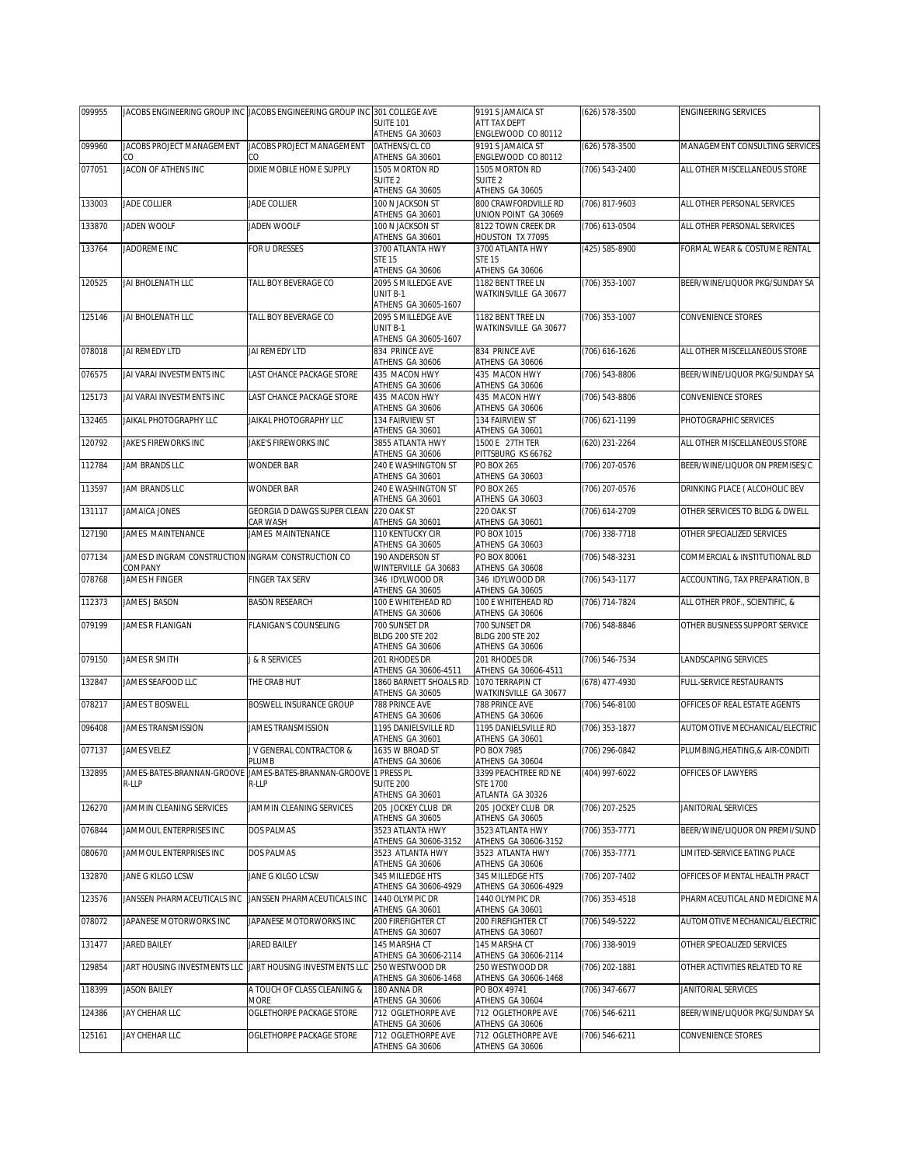| 099955 |                                                    | JACOBS ENGINEERING GROUP INC JACOBS ENGINEERING GROUP INC 301 COLLEGE AVE |                                                         | 9191 S JAMAICA ST                              | (626) 578-3500 | <b>ENGINEERING SERVICES</b>    |
|--------|----------------------------------------------------|---------------------------------------------------------------------------|---------------------------------------------------------|------------------------------------------------|----------------|--------------------------------|
|        |                                                    |                                                                           | <b>SUITE 101</b><br>ATHENS GA 30603                     | ATT TAX DEPT<br>ENGLEWOOD CO 80112             |                |                                |
| 099960 | JACOBS PROJECT MANAGEMENT                          | JACOBS PROJECT MANAGEMENT                                                 | <b>OATHENS/CL CO</b>                                    | 9191 S JAMAICA ST                              | (626) 578-3500 | MANAGEMENT CONSULTING SERVICES |
| 077051 | CO<br>JACON OF ATHENS INC                          | DIXIE MOBILE HOME SUPPLY                                                  | ATHENS GA 30601<br>1505 MORTON RD                       | ENGLEWOOD CO 80112<br>1505 MORTON RD           | (706) 543-2400 | ALL OTHER MISCELLANEOUS STORE  |
|        |                                                    |                                                                           | SUITE <sub>2</sub>                                      | SUITE <sub>2</sub>                             |                |                                |
| 133003 | JADE COLLIER                                       | <b>JADE COLLIER</b>                                                       | ATHENS GA 30605<br>100 N JACKSON ST                     | ATHENS GA 30605<br><b>BOO CRAWFORDVILLE RD</b> | (706) 817-9603 | ALL OTHER PERSONAL SERVICES    |
|        |                                                    |                                                                           | ATHENS GA 30601                                         | UNION POINT GA 30669                           |                |                                |
| 133870 | JADEN WOOLF                                        | JADEN WOOLF                                                               | 100 N JACKSON ST<br>ATHENS GA 30601                     | 8122 TOWN CREEK DR<br>HOUSTON TX 77095         | (706) 613-0504 | ALL OTHER PERSONAL SERVICES    |
| 133764 | JADOREME INC                                       | FOR U DRESSES                                                             | 3700 ATLANTA HWY<br>STE 15                              | 3700 ATLANTA HWY<br><b>STE 15</b>              | (425) 585-8900 | FORMAL WEAR & COSTUME RENTAL   |
|        |                                                    |                                                                           | ATHENS GA 30606                                         | ATHENS GA 30606                                |                |                                |
| 120525 | JAI BHOLENATH LLC                                  | TALL BOY BEVERAGE CO                                                      | 2095 S MILLEDGE AVE<br>UNIT B-1<br>ATHENS GA 30605-1607 | 1182 BENT TREE LN<br>WATKINSVILLE GA 30677     | (706) 353-1007 | BEER/WINE/LIQUOR PKG/SUNDAY SA |
| 125146 | JAI BHOLENATH LLC                                  | TALL BOY BEVERAGE CO                                                      | 2095 S MILLEDGE AVE<br>UNIT B-1                         | 1182 BENT TREE LN<br>WATKINSVILLE GA 30677     | (706) 353-1007 | CONVENIENCE STORES             |
| 078018 | JAI REMEDY LTD                                     | JAI REMEDY LTD                                                            | ATHENS GA 30605-1607<br>834 PRINCE AVE                  | 834 PRINCE AVE                                 | (706) 616-1626 | ALL OTHER MISCELLANEOUS STORE  |
| 076575 | JAI VARAI INVESTMENTS INC                          | LAST CHANCE PACKAGE STORE                                                 | ATHENS GA 30606<br>435 MACON HWY                        | ATHENS GA 30606<br>435 MACON HWY               | (706) 543-8806 | BEER/WINE/LIQUOR PKG/SUNDAY SA |
|        |                                                    |                                                                           | ATHENS GA 30606                                         | ATHENS GA 30606                                |                |                                |
| 125173 | JAI VARAI INVESTMENTS INC                          | LAST CHANCE PACKAGE STORE                                                 | 435 MACON HWY<br>ATHENS GA 30606                        | 435 MACON HWY<br>ATHENS GA 30606               | (706) 543-8806 | CONVENIENCE STORES             |
| 132465 | JAIKAL PHOTOGRAPHY LLC                             | JAIKAL PHOTOGRAPHY LLC                                                    | 134 FAIRVIEW ST<br>ATHENS GA 30601                      | 134 FAIRVIEW ST<br>ATHENS GA 30601             | (706) 621-1199 | PHOTOGRAPHIC SERVICES          |
| 120792 | JAKE'S FIREWORKS INC                               | JAKE'S FIREWORKS INC                                                      | 3855 ATLANTA HWY                                        | 1500 E 27TH TER                                | (620) 231-2264 | ALL OTHER MISCELLANEOUS STORE  |
| 112784 | JAM BRANDS LLC                                     | <b>WONDER BAR</b>                                                         | ATHENS GA 30606<br>240 E WASHINGTON ST                  | PITTSBURG KS 66762<br><b>PO BOX 265</b>        | (706) 207-0576 | BEER/WINE/LIQUOR ON PREMISES/C |
| 113597 | JAM BRANDS LLC                                     | <b>WONDER BAR</b>                                                         | ATHENS GA 30601<br>240 E WASHINGTON ST                  | ATHENS GA 30603<br><b>PO BOX 265</b>           | (706) 207-0576 | DRINKING PLACE ( ALCOHOLIC BEV |
|        |                                                    |                                                                           | ATHENS GA 30601                                         | ATHENS GA 30603                                |                |                                |
| 131117 | JAMAICA JONES                                      | GEORGIA D DAWGS SUPER CLEAN<br>CAR WASH                                   | 220 OAK ST<br>ATHENS GA 30601                           | 220 OAK ST<br>ATHENS GA 30601                  | (706) 614-2709 | OTHER SERVICES TO BLDG & DWELL |
| 127190 | JAMES MAINTENANCE                                  | JAMES MAINTENANCE                                                         | 110 KENTUCKY CIR<br>ATHENS GA 30605                     | PO BOX 1015<br>ATHENS GA 30603                 | (706) 338-7718 | OTHER SPECIALIZED SERVICES     |
| 077134 | JAMES D INGRAM CONSTRUCTION INGRAM CONSTRUCTION CO |                                                                           | 190 ANDERSON ST                                         | PO BOX 80061                                   | (706) 548-3231 | COMMERCIAL & INSTITUTIONAL BLD |
| 078768 | COMPANY<br>JAMES H FINGER                          | <b>FINGER TAX SERV</b>                                                    | WINTERVILLE GA 30683<br>346 IDYLWOOD DR                 | ATHENS GA 30608<br>346 IDYLWOOD DR             | (706) 543-1177 | ACCOUNTING, TAX PREPARATION, B |
| 112373 | JAMES J BASON                                      | <b>BASON RESEARCH</b>                                                     | ATHENS GA 30605<br>100 E WHITEHEAD RD                   | ATHENS GA 30605<br>100 E WHITEHEAD RD          | (706) 714-7824 | ALL OTHER PROF., SCIENTIFIC, & |
|        |                                                    |                                                                           | ATHENS GA 30606                                         | ATHENS GA 30606                                |                |                                |
| 079199 | JAMES R FLANIGAN                                   | FLANIGAN'S COUNSELING                                                     | 700 SUNSET DR<br>BLDG 200 STE 202                       | 700 SUNSET DR<br>BLDG 200 STE 202              | (706) 548-8846 | OTHER BUSINESS SUPPORT SERVICE |
|        |                                                    |                                                                           | ATHENS GA 30606                                         | ATHENS GA 30606                                |                |                                |
| 079150 | JAMES R SMITH                                      | J & R SERVICES                                                            | 201 RHODES DR<br>ATHENS GA 30606-4511                   | 201 RHODES DR<br>ATHENS GA 30606-4511          | (706) 546-7534 | LANDSCAPING SERVICES           |
| 132847 | JAMES SEAFOOD LLC                                  | THE CRAB HUT                                                              | 1860 BARNETT SHOALS RD<br>ATHENS GA 30605               | 1070 TERRAPIN CT<br>WATKINSVILLE GA 30677      | (678) 477-4930 | FULL-SERVICE RESTAURANTS       |
| 078217 | JAMES T BOSWELL                                    | BOSWELL INSURANCE GROUP                                                   | 788 PRINCE AVE                                          | 788 PRINCE AVE                                 | (706) 546-8100 | OFFICES OF REAL ESTATE AGENTS  |
| 096408 | JAMES TRANSMISSION                                 | <b>JAMES TRANSMISSION</b>                                                 | ATHENS GA 30606<br>1195 DANIELSVILLE RD                 | ATHENS GA 30606<br>1195 DANIELSVILLE RD        | (706) 353-1877 | AUTOMOTIVE MECHANICAL/ELECTRIC |
| 077137 | JAMES VELEZ                                        | J V GENERAL CONTRACTOR &                                                  | ATHENS GA 30601<br>1635 W BROAD ST                      | ATHENS GA 30601<br>PO BOX 7985                 | (706) 296-0842 | PLUMBING.HEATING.& AIR-CONDITI |
|        |                                                    | PLUMB                                                                     | ATHENS GA 30606                                         | ATHENS GA 30604                                |                |                                |
| 132895 | R-LLP                                              | JAMES-BATES-BRANNAN-GROOVE JAMES-BATES-BRANNAN-GROOVE 1 PRESS PL<br>R-LLP | <b>SUITE 200</b>                                        | 3399 PEACHTREE RD NE<br>STE 1700               | (404) 997-6022 | OFFICES OF LAWYERS             |
|        |                                                    |                                                                           | ATHENS GA 30601                                         | ATLANTA GA 30326                               |                |                                |
| 126270 | JAMMIN CLEANING SERVICES                           | JAMMIN CLEANING SERVICES                                                  | 205 JOCKEY CLUB DR<br>ATHENS GA 30605                   | 205 JOCKEY CLUB DR<br>ATHENS GA 30605          | (706) 207-2525 | JANITORIAL SERVICES            |
| 076844 | JAMMOUL ENTERPRISES INC                            | <b>DOS PALMAS</b>                                                         | 3523 ATLANTA HWY<br>ATHENS GA 30606-3152                | 3523 ATLANTA HWY<br>ATHENS GA 30606-3152       | (706) 353-7771 | BEER/WINE/LIQUOR ON PREMI/SUND |
| 080670 | JAMMOUL ENTERPRISES INC                            | <b>DOS PALMAS</b>                                                         | 3523 ATLANTA HWY                                        | 3523 ATLANTA HWY                               | (706) 353-7771 | LIMITED-SERVICE EATING PLACE   |
| 132870 | JANE G KILGO LCSW                                  | JANE G KILGO LCSW                                                         | ATHENS GA 30606<br>345 MILLEDGE HTS                     | ATHENS GA 30606<br>345 MILLEDGE HTS            | (706) 207-7402 | OFFICES OF MENTAL HEALTH PRACT |
| 123576 | JANSSEN PHARMACEUTICALS INC                        | JANSSEN PHARMACEUTICALS INC                                               | ATHENS GA 30606-4929<br>1440 OLYMPIC DR                 | ATHENS GA 30606-4929<br>1440 OLYMPIC DR        | (706) 353-4518 | PHARMACEUTICAL AND MEDICINE MA |
| 078072 | JAPANESE MOTORWORKS INC                            | JAPANESE MOTORWORKS INC                                                   | ATHENS GA 30601<br>200 FIREFIGHTER CT                   | ATHENS GA 30601<br>200 FIREFIGHTER CT          | (706) 549-5222 | AUTOMOTIVE MECHANICAL/ELECTRIC |
| 131477 | JARED BAILEY                                       | JARED BAILEY                                                              | ATHENS GA 30607<br>145 MARSHA CT                        | ATHENS GA 30607<br>145 MARSHA CT               |                |                                |
|        |                                                    |                                                                           | ATHENS GA 30606-2114                                    | ATHENS GA 30606-2114                           | (706) 338-9019 | OTHER SPECIALIZED SERVICES     |
| 129854 |                                                    | JART HOUSING INVESTMENTS LLC JART HOUSING INVESTMENTS LLC                 | 250 WESTWOOD DR<br>ATHENS GA 30606-1468                 | 250 WESTWOOD DR<br>ATHENS GA 30606-1468        | (706) 202-1881 | OTHER ACTIVITIES RELATED TO RE |
| 118399 | <b>JASON BAILEY</b>                                | A TOUCH OF CLASS CLEANING &<br>MORE                                       | 180 ANNA DR<br>ATHENS GA 30606                          | PO BOX 49741<br>ATHENS GA 30604                | (706) 347-6677 | JANITORIAL SERVICES            |
| 124386 | JAY CHEHAR LLC                                     | OGLETHORPE PACKAGE STORE                                                  | 712 OGLETHORPE AVE                                      | 712 OGLETHORPE AVE                             | (706) 546-6211 | BEER/WINE/LIQUOR PKG/SUNDAY SA |
| 125161 | JAY CHEHAR LLC                                     | OGLETHORPE PACKAGE STORE                                                  | ATHENS GA 30606<br>712 OGLETHORPE AVE                   | ATHENS GA 30606<br>712 OGLETHORPE AVE          | (706) 546-6211 | CONVENIENCE STORES             |
|        |                                                    |                                                                           | ATHENS GA 30606                                         | ATHENS GA 30606                                |                |                                |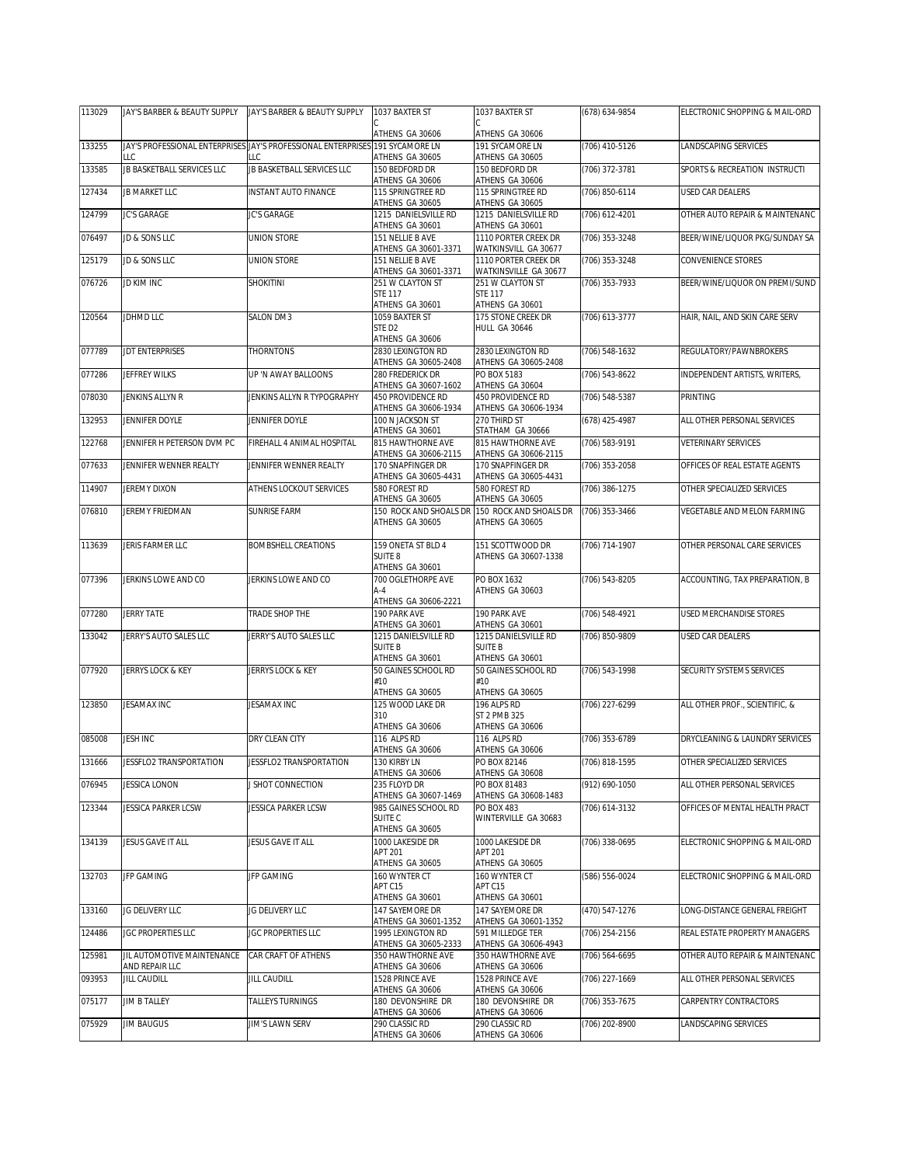| 113029 | JAY'S BARBER & BEAUTY SUPPLY | JAY'S BARBER & BEAUTY SUPPLY                                                  | 1037 BAXTER ST                            | 1037 BAXTER ST                                | (678) 634-9854   | ELECTRONIC SHOPPING & MAIL-ORD |
|--------|------------------------------|-------------------------------------------------------------------------------|-------------------------------------------|-----------------------------------------------|------------------|--------------------------------|
|        |                              |                                                                               | ATHENS GA 30606                           | ATHENS GA 30606                               |                  |                                |
| 133255 |                              | JAY'S PROFESSIONAL ENTERPRISES JAY'S PROFESSIONAL ENTERPRISES 191 SYCAMORE LN |                                           | 191 SYCAMORE LN                               | (706) 410-5126   | LANDSCAPING SERVICES           |
|        | LLC                          | LC                                                                            | ATHENS GA 30605                           | ATHENS GA 30605                               |                  |                                |
| 133585 | JB BASKETBALL SERVICES LLC   | JB BASKETBALL SERVICES LLC                                                    | 150 BEDFORD DR                            | 150 BEDFORD DR                                | (706) 372-3781   | SPORTS & RECREATION INSTRUCTI  |
| 127434 | JB MARKET LLC                | <b>INSTANT AUTO FINANCE</b>                                                   | ATHENS GA 30606<br>115 SPRINGTREE RD      | ATHENS GA 30606<br>115 SPRINGTREE RD          | (706) 850-6114   | USED CAR DEALERS               |
|        |                              |                                                                               | ATHENS GA 30605                           | ATHENS GA 30605                               |                  |                                |
| 124799 | <b>JC'S GARAGE</b>           | <b>JC'S GARAGE</b>                                                            | 1215 DANIELSVILLE RD                      | 1215 DANIELSVILLE RD                          | (706) 612-4201   | OTHER AUTO REPAIR & MAINTENANC |
| 076497 | JD & SONS LLC                | UNION STORE                                                                   | ATHENS GA 30601<br>151 NELLIE B AVE       | ATHENS GA 30601<br>1110 PORTER CREEK DR       | (706) 353-3248   | BEER/WINE/LIQUOR PKG/SUNDAY SA |
|        |                              |                                                                               | ATHENS GA 30601-3371                      | WATKINSVILL GA 30677                          |                  |                                |
| 125179 | JD & SONS LLC                | UNION STORE                                                                   | 151 NELLIE B AVE                          | 1110 PORTER CREEK DR                          | (706) 353-3248   | CONVENIENCE STORES             |
|        | JD KIM INC                   |                                                                               | ATHENS GA 30601-3371<br>251 W CLAYTON ST  | WATKINSVILLE GA 30677<br>251 W CLAYTON ST     |                  | BEER/WINE/LIQUOR ON PREMI/SUND |
| 076726 |                              | <b>SHOKITINI</b>                                                              | <b>STE 117</b>                            | <b>STE 117</b>                                | (706) 353-7933   |                                |
|        |                              |                                                                               | ATHENS GA 30601                           | ATHENS GA 30601                               |                  |                                |
| 120564 | <b>JDHMD LLC</b>             | <b>SALON DM3</b>                                                              | 1059 BAXTER ST                            | 175 STONE CREEK DR                            | (706) 613-3777   | HAIR, NAIL, AND SKIN CARE SERV |
|        |                              |                                                                               | STED2<br>ATHENS GA 30606                  | <b>HULL GA 30646</b>                          |                  |                                |
| 077789 | JDT ENTERPRISES              | <b>THORNTONS</b>                                                              | 2830 LEXINGTON RD                         | 2830 LEXINGTON RD                             | (706) 548-1632   | REGULATORY/PAWNBROKERS         |
|        |                              |                                                                               | ATHENS GA 30605-2408                      | ATHENS GA 30605-2408                          |                  |                                |
| 077286 | JEFFREY WILKS                | UP 'N AWAY BALLOONS                                                           | 280 FREDERICK DR<br>ATHENS GA 30607-1602  | PO BOX 5183<br>ATHENS GA 30604                | (706) 543-8622   | INDEPENDENT ARTISTS, WRITERS,  |
| 078030 | JENKINS ALLYN R              | JENKINS ALLYN R TYPOGRAPHY                                                    | 450 PROVIDENCE RD                         | 450 PROVIDENCE RD                             | (706) 548-5387   | <b>PRINTING</b>                |
|        |                              |                                                                               | ATHENS GA 30606-1934                      | ATHENS GA 30606-1934                          |                  |                                |
| 132953 | <b>JENNIFER DOYLE</b>        | <b>JENNIFER DOYLE</b>                                                         | 100 N JACKSON ST                          | 270 THIRD ST                                  | $(678)$ 425-4987 | ALL OTHER PERSONAL SERVICES    |
| 122768 | JENNIFER H PETERSON DVM PC   | FIREHALL 4 ANIMAL HOSPITAL                                                    | ATHENS GA 30601<br>815 HAWTHORNE AVE      | STATHAM GA 30666<br>815 HAWTHORNE AVE         | (706) 583-9191   | <b>VETERINARY SERVICES</b>     |
|        |                              |                                                                               | ATHENS GA 30606-2115                      | ATHENS GA 30606-2115                          |                  |                                |
| 077633 | JENNIFER WENNER REALTY       | JENNIFER WENNER REALTY                                                        | 170 SNAPFINGER DR                         | 170 SNAPFINGER DR                             | (706) 353-2058   | OFFICES OF REAL ESTATE AGENTS  |
| 114907 | JEREMY DIXON                 | ATHENS LOCKOUT SERVICES                                                       | ATHENS GA 30605-4431<br>580 FOREST RD     | ATHENS GA 30605-4431<br>580 FOREST RD         | (706) 386-1275   | OTHER SPECIALIZED SERVICES     |
|        |                              |                                                                               | ATHENS GA 30605                           | ATHENS GA 30605                               |                  |                                |
| 076810 | JEREMY FRIEDMAN              | SUNRISE FARM                                                                  |                                           | 150 ROCK AND SHOALS DR 150 ROCK AND SHOALS DR | (706) 353-3466   | VEGETABLE AND MELON FARMING    |
|        |                              |                                                                               | ATHENS GA 30605                           | ATHENS GA 30605                               |                  |                                |
| 113639 | JERIS FARMER LLC             | <b>BOMBSHELL CREATIONS</b>                                                    | 159 ONETA ST BLD 4                        | 151 SCOTTWOOD DR                              | (706) 714-1907   | OTHER PERSONAL CARE SERVICES   |
|        |                              |                                                                               | SUITE 8                                   | ATHENS GA 30607-1338                          |                  |                                |
|        |                              |                                                                               | ATHENS GA 30601                           |                                               |                  |                                |
| 077396 | JERKINS LOWE AND CO          | JERKINS LOWE AND CO                                                           | 700 OGLETHORPE AVE<br>A-4                 | PO BOX 1632<br>ATHENS GA 30603                | (706) 543-8205   | ACCOUNTING, TAX PREPARATION, B |
|        |                              |                                                                               | ATHENS GA 30606-2221                      |                                               |                  |                                |
| 077280 | <b>JERRY TATE</b>            | TRADE SHOP THE                                                                | 190 PARK AVE                              | 190 PARK AVE                                  | (706) 548-4921   | <b>USED MERCHANDISE STORES</b> |
|        |                              |                                                                               | ATHENS GA 30601                           | ATHENS GA 30601                               |                  |                                |
| 133042 | JERRY'S AUTO SALES LLC       | JERRY'S AUTO SALES LLC                                                        | 1215 DANIELSVILLE RD<br><b>SUITE B</b>    | 1215 DANIELSVILLE RD<br><b>SUITE B</b>        | (706) 850-9809   | USED CAR DEALERS               |
|        |                              |                                                                               | ATHENS GA 30601                           | ATHENS GA 30601                               |                  |                                |
| 077920 | JERRYS LOCK & KEY            | JERRYS LOCK & KEY                                                             | 50 GAINES SCHOOL RD                       | 50 GAINES SCHOOL RD                           | (706) 543-1998   | SECURITY SYSTEMS SERVICES      |
|        |                              |                                                                               | #10<br>ATHENS GA 30605                    | #10<br>ATHENS GA 30605                        |                  |                                |
| 123850 | JESAMAX INC                  | JESAMAX INC                                                                   | 125 WOOD LAKE DR                          | 196 ALPS RD                                   | (706) 227-6299   | ALL OTHER PROF., SCIENTIFIC, & |
|        |                              |                                                                               | 310                                       | ST 2 PMB 325                                  |                  |                                |
|        |                              |                                                                               | ATHENS GA 30606                           | ATHENS GA 30606                               |                  |                                |
| 085008 | <b>JESH INC</b>              | DRY CLEAN CITY                                                                | 116 ALPS RD<br>ATHENS GA 30606            | 116 ALPS RD<br>ATHENS GA 30606                | (706) 353-6789   | DRYCLEANING & LAUNDRY SERVICES |
| 131666 | JESSFLO2 TRANSPORTATION      | JESSFLO2 TRANSPORTATION                                                       | 130 KIRBY LN                              | PO BOX 82146                                  | (706) 818-1595   | OTHER SPECIALIZED SERVICES     |
|        |                              |                                                                               | ATHENS GA 30606                           | ATHENS GA 30608                               |                  |                                |
| 076945 | JESSICA LONON                | J SHOT CONNECTION                                                             | 235 FLOYD DR<br>ATHENS GA 30607-1469      | PO BOX 81483<br>ATHENS GA 30608-1483          | (912) 690-1050   | ALL OTHER PERSONAL SERVICES    |
| 123344 | <b>JESSICA PARKER LCSW</b>   | <b>JESSICA PARKER LCSW</b>                                                    | 985 GAINES SCHOOL RD                      | PO BOX 483                                    | (706) 614-3132   | OFFICES OF MENTAL HEALTH PRACT |
|        |                              |                                                                               | SUITE C                                   | WINTERVILLE GA 30683                          |                  |                                |
|        |                              |                                                                               | ATHENS GA 30605                           |                                               |                  |                                |
| 134139 | JESUS GAVE IT ALL            | JESUS GAVE IT ALL                                                             | 1000 LAKESIDE DR<br>APT 201               | 1000 LAKESIDE DR<br><b>APT 201</b>            | (706) 338-0695   | ELECTRONIC SHOPPING & MAIL-ORD |
|        |                              |                                                                               | ATHENS GA 30605                           | ATHENS GA 30605                               |                  |                                |
| 132703 | <b>JFP GAMING</b>            | <b>JFP GAMING</b>                                                             | 160 WYNTER CT                             | 160 WYNTER CT                                 | (586) 556-0024   | ELECTRONIC SHOPPING & MAIL-ORD |
|        |                              |                                                                               | APT C15<br>ATHENS GA 30601                | APT C15<br>ATHENS GA 30601                    |                  |                                |
| 133160 | JG DELIVERY LLC              | JG DELIVERY LLC                                                               | 147 SAYEMORE DR                           | 147 SAYEMORE DR                               | (470) 547-1276   | LONG-DISTANCE GENERAL FREIGHT  |
|        |                              |                                                                               | ATHENS GA 30601-1352                      | ATHENS GA 30601-1352                          |                  |                                |
| 124486 | <b>JGC PROPERTIES LLC</b>    | <b>JGC PROPERTIES LLC</b>                                                     | 1995 LEXINGTON RD                         | 591 MILLEDGE TER                              | (706) 254-2156   | REAL ESTATE PROPERTY MANAGERS  |
| 125981 | JIL AUTOMOTIVE MAINTENANCE   | CAR CRAFT OF ATHENS                                                           | ATHENS GA 30605-2333<br>350 HAWTHORNE AVE | ATHENS GA 30606-4943<br>350 HAWTHORNE AVE     | (706) 564-6695   | OTHER AUTO REPAIR & MAINTENANC |
|        | AND REPAIR LLC               |                                                                               | ATHENS GA 30606                           | ATHENS GA 30606                               |                  |                                |
| 093953 | JILL CAUDILL                 | JILL CAUDILL                                                                  | 1528 PRINCE AVE                           | 1528 PRINCE AVE                               | (706) 227-1669   | ALL OTHER PERSONAL SERVICES    |
|        |                              | <b>TALLEYS TURNINGS</b>                                                       | ATHENS GA 30606<br>180 DEVONSHIRE DR      | ATHENS GA 30606<br>180 DEVONSHIRE DR          |                  |                                |
| 075177 | <b>JIM B TALLEY</b>          |                                                                               | ATHENS GA 30606                           | ATHENS GA 30606                               | (706) 353-7675   | CARPENTRY CONTRACTORS          |
| 075929 | <b>JIM BAUGUS</b>            | JIM'S LAWN SERV                                                               | 290 CLASSIC RD                            | 290 CLASSIC RD                                | (706) 202-8900   | LANDSCAPING SERVICES           |
|        |                              |                                                                               | ATHENS GA 30606                           | ATHENS GA 30606                               |                  |                                |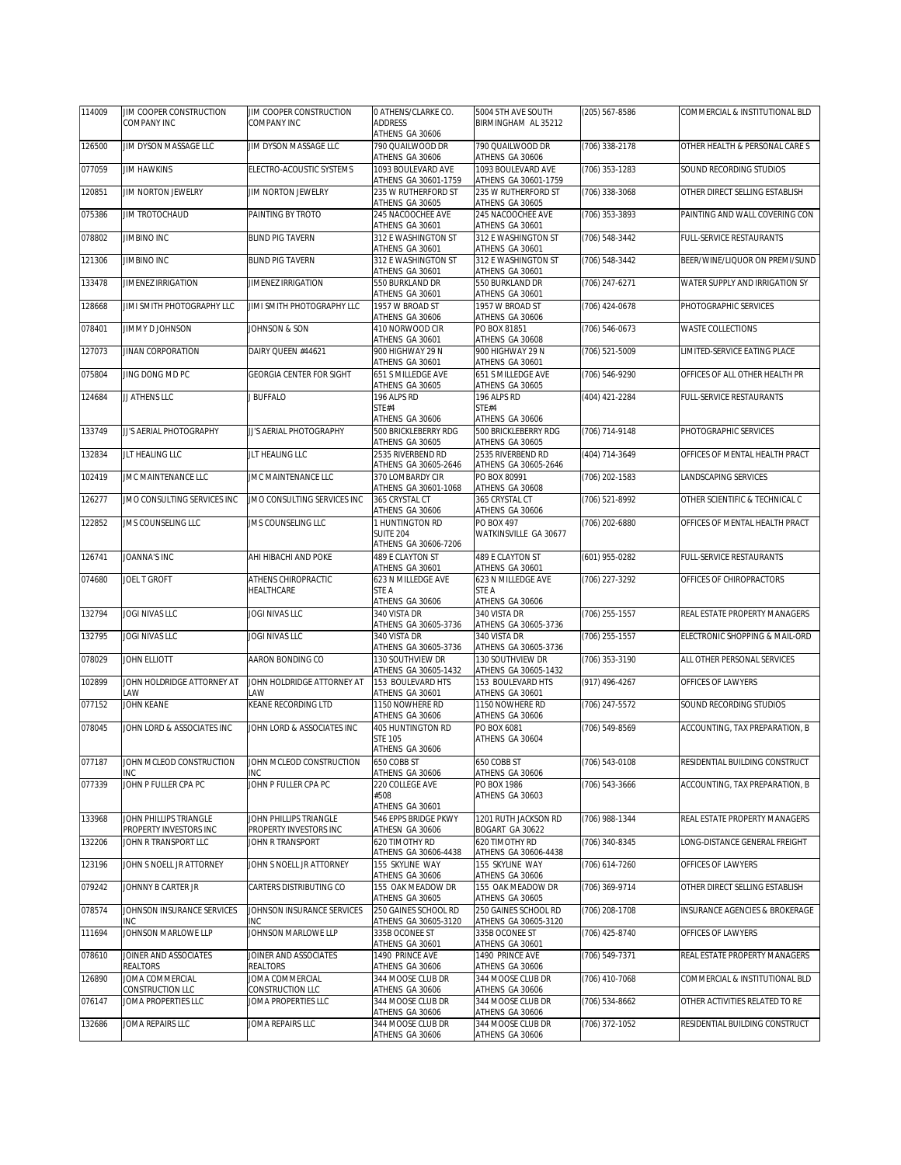| 114009 | JIM COOPER CONSTRUCTION                           | JIM COOPER CONSTRUCTION                    | O ATHENS/CLARKE CO.                         | 5004 5TH AVE SOUTH                        | (205) 567-8586   | COMMERCIAL & INSTITUTIONAL BLD |
|--------|---------------------------------------------------|--------------------------------------------|---------------------------------------------|-------------------------------------------|------------------|--------------------------------|
|        | COMPANY INC                                       | COMPANY INC                                | <b>ADDRESS</b><br>ATHENS GA 30606           | BIRMINGHAM AL 35212                       |                  |                                |
| 126500 | JIM DYSON MASSAGE LLC                             | JIM DYSON MASSAGE LLC                      | 790 QUAILWOOD DR                            | 790 QUAILWOOD DR                          | (706) 338-2178   | OTHER HEALTH & PERSONAL CARE S |
| 077059 | <b>JIM HAWKINS</b>                                | ELECTRO-ACOUSTIC SYSTEMS                   | ATHENS GA 30606<br>1093 BOULEVARD AVE       | ATHENS GA 30606<br>1093 BOULEVARD AVE     | (706) 353-1283   | SOUND RECORDING STUDIOS        |
|        |                                                   |                                            | ATHENS GA 30601-1759                        | ATHENS GA 30601-1759                      |                  |                                |
| 120851 | JIM NORTON JEWELRY                                | JIM NORTON JEWELRY                         | 235 W RUTHERFORD ST<br>ATHENS GA 30605      | 235 W RUTHERFORD ST<br>ATHENS GA 30605    | (706) 338-3068   | OTHER DIRECT SELLING ESTABLISH |
| 075386 | JIM TROTOCHAUD                                    | PAINTING BY TROTO                          | 245 NACOOCHEE AVE<br>ATHENS GA 30601        | 245 NACOOCHEE AVE<br>ATHENS GA 30601      | (706) 353-3893   | PAINTING AND WALL COVERING CON |
| 078802 | <b>JIMBINO INC</b>                                | <b>BLIND PIG TAVERN</b>                    | 312 E WASHINGTON ST                         | 312 E WASHINGTON ST                       | (706) 548-3442   | FULL-SERVICE RESTAURANTS       |
| 121306 | <b>JIMBINO INC</b>                                | <b>BLIND PIG TAVERN</b>                    | ATHENS GA 30601<br>312 E WASHINGTON ST      | ATHENS GA 30601<br>312 E WASHINGTON ST    | (706) 548-3442   | BEER/WINE/LIQUOR ON PREMI/SUND |
|        |                                                   |                                            | ATHENS GA 30601                             | ATHENS GA 30601                           |                  |                                |
| 133478 | <b>JIMENEZ IRRIGATION</b>                         | JIMENEZ IRRIGATION                         | 550 BURKLAND DR<br>ATHENS GA 30601          | 550 BURKLAND DR<br>ATHENS GA 30601        | (706) 247-6271   | WATER SUPPLY AND IRRIGATION SY |
| 128668 | JIMI SMITH PHOTOGRAPHY LLC                        | JIMI SMITH PHOTOGRAPHY LLC                 | 1957 W BROAD ST<br>ATHENS GA 30606          | 1957 W BROAD ST<br>ATHENS GA 30606        | (706) 424-0678   | PHOTOGRAPHIC SERVICES          |
| 078401 | JIMMY D JOHNSON                                   | JOHNSON & SON                              | 410 NORWOOD CIR                             | PO BOX 81851                              | (706) 546-0673   | <b>WASTE COLLECTIONS</b>       |
| 127073 | JINAN CORPORATION                                 | DAIRY QUEEN #44621                         | ATHENS GA 30601<br>900 HIGHWAY 29 N         | ATHENS GA 30608<br>900 HIGHWAY 29 N       | (706) 521-5009   | LIMITED-SERVICE EATING PLACE   |
| 075804 | JING DONG MD PC                                   | <b>GEORGIA CENTER FOR SIGHT</b>            | ATHENS GA 30601<br>651 S MILLEDGE AVE       | ATHENS GA 30601<br>651 S MILLEDGE AVE     | (706) 546-9290   | OFFICES OF ALL OTHER HEALTH PR |
|        |                                                   |                                            | ATHENS GA 30605                             | ATHENS GA 30605                           |                  |                                |
| 124684 | JJ ATHENS LLC                                     | <b>BUFFALO</b>                             | 196 ALPS RD<br>STE#4                        | 196 ALPS RD<br>STE#4                      | (404) 421-2284   | FULL-SERVICE RESTAURANTS       |
|        |                                                   |                                            | ATHENS GA 30606                             | ATHENS GA 30606                           |                  |                                |
| 133749 | JJ'S AERIAL PHOTOGRAPHY                           | JJ'S AERIAL PHOTOGRAPHY                    | 500 BRICKLEBERRY RDG<br>ATHENS GA 30605     | 500 BRICKLEBERRY RDG<br>ATHENS GA 30605   | $(706)$ 714-9148 | PHOTOGRAPHIC SERVICES          |
| 132834 | JLT HEALING LLC                                   | JLT HEALING LLC                            | 2535 RIVERBEND RD<br>ATHENS GA 30605-2646   | 2535 RIVERBEND RD<br>ATHENS GA 30605-2646 | (404) 714-3649   | OFFICES OF MENTAL HEALTH PRACT |
| 102419 | JMC MAINTENANCE LLC                               | JMC MAINTENANCE LLC                        | 370 LOMBARDY CIR                            | PO BOX 80991                              | (706) 202-1583   | LANDSCAPING SERVICES           |
| 126277 | JMO CONSULTING SERVICES INC                       | JMO CONSULTING SERVICES INC                | ATHENS GA 30601-1068<br>365 CRYSTAL CT      | ATHENS GA 30608<br>365 CRYSTAL CT         | (706) 521-8992   | OTHER SCIENTIFIC & TECHNICAL C |
|        |                                                   |                                            | ATHENS GA 30606                             | ATHENS GA 30606                           |                  |                                |
| 122852 | JMS COUNSELING LLC                                | <b>JMS COUNSELING LLC</b>                  | 1 HUNTINGTON RD<br>SUITE 204                | PO BOX 497<br>WATKINSVILLE GA 30677       | (706) 202-6880   | OFFICES OF MENTAL HEALTH PRACT |
|        | JOANNA'S INC                                      |                                            | ATHENS GA 30606-7206<br>489 E CLAYTON ST    | 489 E CLAYTON ST                          |                  |                                |
| 126741 |                                                   | AHI HIBACHI AND POKE                       | ATHENS GA 30601                             | ATHENS GA 30601                           | (601) 955-0282   | FULL-SERVICE RESTAURANTS       |
|        |                                                   |                                            |                                             |                                           |                  |                                |
| 074680 | JOEL T GROFT                                      | ATHENS CHIROPRACTIC                        | 623 N MILLEDGE AVE                          | 623 N MILLEDGE AVE                        | (706) 227-3292   | OFFICES OF CHIROPRACTORS       |
|        |                                                   | HEALTHCARE                                 | STE A<br>ATHENS GA 30606                    | STE A<br>ATHENS GA 30606                  |                  |                                |
| 132794 | JOGI NIVAS LLC                                    | JOGI NIVAS LLC                             | 340 VISTA DR                                | 340 VISTA DR                              | (706) 255-1557   | REAL ESTATE PROPERTY MANAGERS  |
| 132795 | JOGI NIVAS LLC                                    | JOGI NIVAS LLC                             | ATHENS GA 30605-3736<br>340 VISTA DR        | ATHENS GA 30605-3736<br>340 VISTA DR      | (706) 255-1557   | ELECTRONIC SHOPPING & MAIL-ORD |
| 078029 | JOHN ELLIOTT                                      | AARON BONDING CO                           | ATHENS GA 30605-3736<br>130 SOUTHVIEW DR    | ATHENS GA 30605-3736<br>130 SOUTHVIEW DR  | (706) 353-3190   | ALL OTHER PERSONAL SERVICES    |
|        |                                                   |                                            | ATHENS GA 30605-1432                        | ATHENS GA 30605-1432                      |                  |                                |
| 102899 | JOHN HOLDRIDGE ATTORNEY AT<br>AW                  | JOHN HOLDRIDGE ATTORNEY AT<br><b>AW</b>    | 153 BOULEVARD HTS<br>ATHENS GA 30601        | 153 BOULEVARD HTS<br>ATHENS GA 30601      | (917) 496-4267   | OFFICES OF LAWYERS             |
| 077152 | JOHN KEANE                                        | KEANE RECORDING LTD                        | 1150 NOWHERE RD                             | 1150 NOWHERE RD                           | (706) 247-5572   | SOUND RECORDING STUDIOS        |
| 078045 | JOHN LORD & ASSOCIATES INC                        | JOHN LORD & ASSOCIATES INC                 | ATHENS GA 30606<br><b>405 HUNTINGTON RD</b> | ATHENS GA 30606<br>PO BOX 6081            | (706) 549-8569   | ACCOUNTING, TAX PREPARATION, B |
|        |                                                   |                                            | <b>STE 105</b><br>ATHENS GA 30606           | ATHENS GA 30604                           |                  |                                |
| 077187 | JOHN MCLEOD CONSTRUCTION JOHN MCLEOD CONSTRUCTION |                                            | 650 COBB ST                                 | 650 COBB ST                               | (706) 543-0108   | RESIDENTIAL BUILDING CONSTRUCT |
| 077339 | <b>INC</b><br>JOHN P FULLER CPA PC                | <b>INC</b><br>JOHN P FULLER CPA PC         | ATHENS GA 30606<br>220 COLLEGE AVE          | ATHENS GA 30606<br>PO BOX 1986            | (706) 543-3666   | ACCOUNTING, TAX PREPARATION, B |
|        |                                                   |                                            | #508                                        | ATHENS GA 30603                           |                  |                                |
| 133968 | JOHN PHILLIPS TRIANGLE                            | JOHN PHILLIPS TRIANGLE                     | ATHENS GA 30601<br>546 EPPS BRIDGE PKWY     | 1201 RUTH JACKSON RD                      | (706) 988-1344   | REAL ESTATE PROPERTY MANAGERS  |
| 132206 | PROPERTY INVESTORS INC<br>JOHN R TRANSPORT LLC    | PROPERTY INVESTORS INC<br>JOHN R TRANSPORT | ATHESN GA 30606<br>620 TIMOTHY RD           | BOGART GA 30622<br>620 TIMOTHY RD         | (706) 340-8345   | LONG-DISTANCE GENERAL FREIGHT  |
|        |                                                   |                                            | ATHENS GA 30606-4438                        | ATHENS GA 30606-4438                      |                  |                                |
| 123196 | JOHN S NOELL JR ATTORNEY                          | JOHN S NOELL JR ATTORNEY                   | 155 SKYLINE WAY<br>ATHENS GA 30606          | 155 SKYLINE WAY<br>ATHENS GA 30606        | (706) 614-7260   | OFFICES OF LAWYERS             |
| 079242 | JOHNNY B CARTER JR                                | CARTERS DISTRIBUTING CO                    | 155 OAK MEADOW DR<br>ATHENS GA 30605        | 155 OAK MEADOW DR<br>ATHENS GA 30605      | (706) 369-9714   | OTHER DIRECT SELLING ESTABLISH |
| 078574 | <b>JOHNSON INSURANCE SERVICES</b>                 | JOHNSON INSURANCE SERVICES                 | 250 GAINES SCHOOL RD                        | 250 GAINES SCHOOL RD                      | (706) 208-1708   | INSURANCE AGENCIES & BROKERAGE |
| 111694 | INC<br>JOHNSON MARLOWE LLP                        | INC<br>JOHNSON MARLOWE LLP                 | ATHENS GA 30605-3120<br>335B OCONEE ST      | ATHENS GA 30605-3120<br>335B OCONEE ST    | (706) 425-8740   | OFFICES OF LAWYERS             |
| 078610 | JOINER AND ASSOCIATES                             | JOINER AND ASSOCIATES                      | ATHENS GA 30601<br>1490 PRINCE AVE          | ATHENS GA 30601<br>1490 PRINCE AVE        | (706) 549-7371   | REAL ESTATE PROPERTY MANAGERS  |
|        | REALTORS                                          | REALTORS                                   | ATHENS GA 30606                             | ATHENS GA 30606                           |                  |                                |
| 126890 | JOMA COMMERCIAL<br>CONSTRUCTION LLC               | JOMA COMMERCIAL<br>CONSTRUCTION LLC        | 344 MOOSE CLUB DR<br>ATHENS GA 30606        | 344 MOOSE CLUB DR<br>ATHENS GA 30606      | (706) 410-7068   | COMMERCIAL & INSTITUTIONAL BLD |
| 076147 | JOMA PROPERTIES LLC                               | JOMA PROPERTIES LLC                        | 344 MOOSE CLUB DR<br>ATHENS GA 30606        | 344 MOOSE CLUB DR<br>ATHENS GA 30606      | (706) 534-8662   | OTHER ACTIVITIES RELATED TO RE |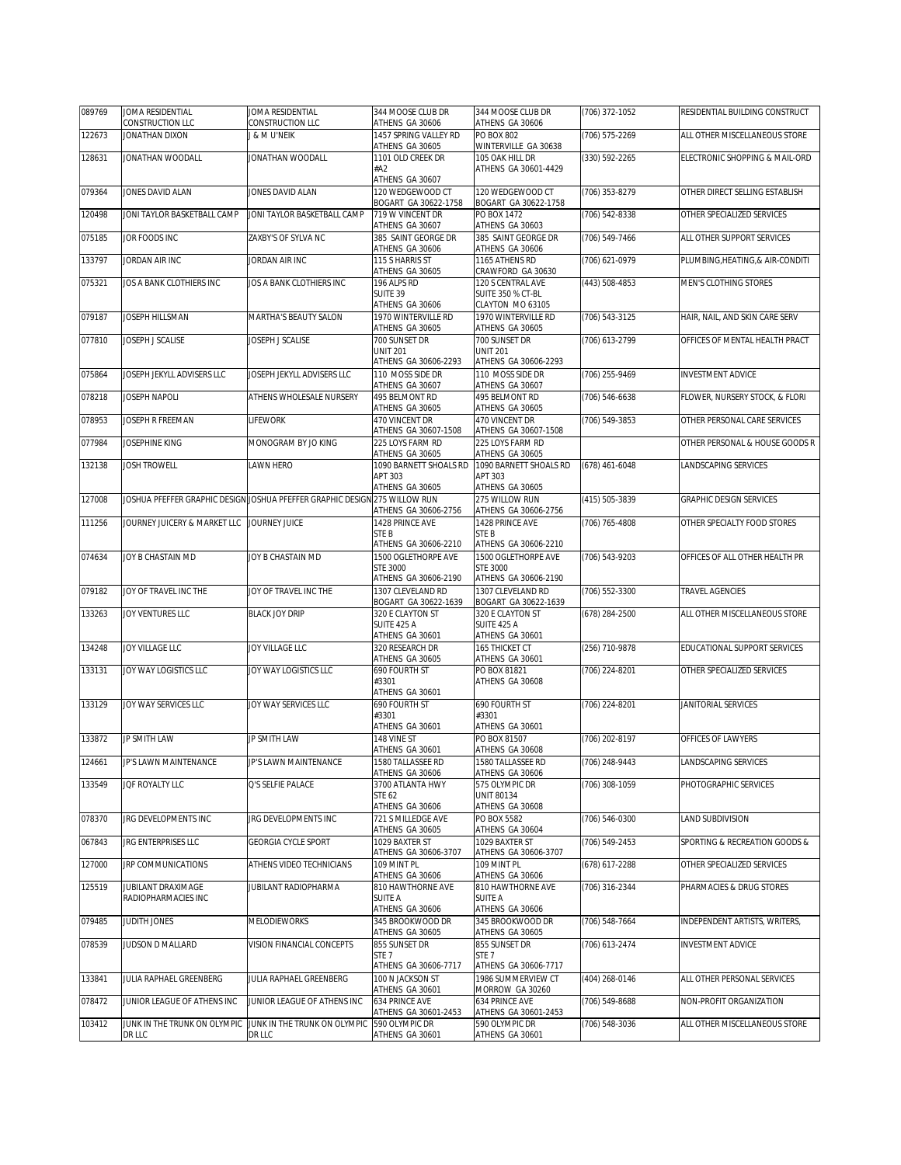| 089769 | JOMA RESIDENTIAL             | JOMA RESIDENTIAL                                                           | 344 MOOSE CLUB DR                                              | 344 MOOSE CLUB DR                                                 | (706) 372-1052 | RESIDENTIAL BUILDING CONSTRUCT   |
|--------|------------------------------|----------------------------------------------------------------------------|----------------------------------------------------------------|-------------------------------------------------------------------|----------------|----------------------------------|
|        | CONSTRUCTION LLC             | CONSTRUCTION LLC                                                           | ATHENS GA 30606                                                | ATHENS GA 30606                                                   |                |                                  |
| 122673 | JONATHAN DIXON               | J & M U'NEIK                                                               | 1457 SPRING VALLEY RD<br>ATHENS GA 30605                       | <b>PO BOX 802</b><br>WINTERVILLE GA 30638                         | (706) 575-2269 | ALL OTHER MISCELLANEOUS STORE    |
| 128631 | JONATHAN WOODALL             | JONATHAN WOODALL                                                           | 1101 OLD CREEK DR                                              | 105 OAK HILL DR                                                   | (330) 592-2265 | ELECTRONIC SHOPPING & MAIL-ORD   |
|        |                              |                                                                            | #A2<br>ATHENS GA 30607                                         | ATHENS GA 30601-4429                                              |                |                                  |
| 079364 | JONES DAVID ALAN             | JONES DAVID ALAN                                                           | 120 WEDGEWOOD CT<br>BOGART GA 30622-1758                       | 120 WEDGEWOOD CT                                                  | (706) 353-8279 | OTHER DIRECT SELLING ESTABLISH   |
| 120498 | JONI TAYLOR BASKETBALL CAMP  | JONI TAYLOR BASKETBALL CAMP                                                | 719 W VINCENT DR                                               | BOGART GA 30622-1758<br>PO BOX 1472                               | (706) 542-8338 | OTHER SPECIALIZED SERVICES       |
| 075185 | JOR FOODS INC                | ZAXBY'S OF SYLVA NC                                                        | ATHENS GA 30607<br>385 SAINT GEORGE DR                         | ATHENS GA 30603<br>385 SAINT GEORGE DR                            | (706) 549-7466 | ALL OTHER SUPPORT SERVICES       |
| 133797 | JORDAN AIR INC               | JORDAN AIR INC                                                             | ATHENS GA 30606<br>115 S HARRIS ST                             | ATHENS GA 30606<br>1165 ATHENS RD                                 | (706) 621-0979 | PLUMBING, HEATING, & AIR-CONDITI |
|        |                              |                                                                            | ATHENS GA 30605                                                | CRAWFORD GA 30630                                                 |                |                                  |
| 075321 | JOS A BANK CLOTHIERS INC     | JOS A BANK CLOTHIERS INC                                                   | 196 ALPS RD<br>SUITE 39<br>ATHENS GA 30606                     | 120 S CENTRAL AVE<br><b>SUITE 350 % CT-BL</b><br>CLAYTON MO 63105 | (443) 508-4853 | MEN'S CLOTHING STORES            |
| 079187 | JOSEPH HILLSMAN              | MARTHA'S BEAUTY SALON                                                      | 1970 WINTERVILLE RD<br>ATHENS GA 30605                         | 1970 WINTERVILLE RD<br>ATHENS GA 30605                            | (706) 543-3125 | HAIR, NAIL, AND SKIN CARE SERV   |
| 077810 | JOSEPH J SCALISE             | JOSEPH J SCALISE                                                           | 700 SUNSET DR<br><b>UNIT 201</b><br>ATHENS GA 30606-2293       | 700 SUNSET DR<br><b>UNIT 201</b><br>ATHENS GA 30606-2293          | (706) 613-2799 | OFFICES OF MENTAL HEALTH PRACT   |
| 075864 | JOSEPH JEKYLL ADVISERS LLC   | JOSEPH JEKYLL ADVISERS LLC                                                 | 110 MOSS SIDE DR                                               | 110 MOSS SIDE DR                                                  | (706) 255-9469 | <b>INVESTMENT ADVICE</b>         |
| 078218 | JOSEPH NAPOLI                | ATHENS WHOLESALE NURSERY                                                   | ATHENS GA 30607<br>495 BELMONT RD                              | ATHENS GA 30607<br>495 BELMONT RD                                 | (706) 546-6638 | FLOWER, NURSERY STOCK, & FLORI   |
|        |                              |                                                                            | ATHENS GA 30605                                                | ATHENS GA 30605                                                   |                |                                  |
| 078953 | JOSEPH R FREEMAN             | <b>LIFEWORK</b>                                                            | 470 VINCENT DR<br>ATHENS GA 30607-1508                         | 470 VINCENT DR<br>ATHENS GA 30607-1508                            | (706) 549-3853 | OTHER PERSONAL CARE SERVICES     |
| 077984 | JOSEPHINE KING               | MONOGRAM BY JO KING                                                        | 225 LOYS FARM RD<br>ATHENS GA 30605                            | 225 LOYS FARM RD<br>ATHENS GA 30605                               |                | OTHER PERSONAL & HOUSE GOODS R   |
| 132138 | <b>JOSH TROWELL</b>          | LAWN HERO                                                                  | 1090 BARNETT SHOALS RD<br>APT 303                              | 1090 BARNETT SHOALS RD<br>APT 303                                 | (678) 461-6048 | LANDSCAPING SERVICES             |
|        |                              |                                                                            | ATHENS GA 30605                                                | ATHENS GA 30605                                                   |                |                                  |
| 127008 |                              | JOSHUA PFEFFER GRAPHIC DESIGN JOSHUA PFEFFER GRAPHIC DESIGN 275 WILLOW RUN | ATHENS GA 30606-2756                                           | 275 WILLOW RUN<br>ATHENS GA 30606-2756                            | (415) 505-3839 | <b>GRAPHIC DESIGN SERVICES</b>   |
| 111256 | JOURNEY JUICERY & MARKET LLC | <b>JOURNEY JUICE</b>                                                       | 1428 PRINCE AVE<br>STE <sub>B</sub>                            | 1428 PRINCE AVE<br>STE B                                          | (706) 765-4808 | OTHER SPECIALTY FOOD STORES      |
|        |                              |                                                                            | ATHENS GA 30606-2210                                           | ATHENS GA 30606-2210                                              |                |                                  |
| 074634 | JOY B CHASTAIN MD            | JOY B CHASTAIN MD                                                          | 1500 OGLETHORPE AVE<br><b>STE 3000</b><br>ATHENS GA 30606-2190 | 1500 OGLETHORPE AVE<br><b>STE 3000</b><br>ATHENS GA 30606-2190    | (706) 543-9203 | OFFICES OF ALL OTHER HEALTH PR   |
| 079182 | JOY OF TRAVEL INC THE        | JOY OF TRAVEL INC THE                                                      | 1307 CLEVELAND RD<br>BOGART GA 30622-1639                      | 1307 CLEVELAND RD<br>BOGART GA 30622-1639                         | (706) 552-3300 | TRAVEL AGENCIES                  |
| 133263 | JOY VENTURES LLC             | <b>BLACK JOY DRIP</b>                                                      | 320 E CLAYTON ST<br>SUITE 425 A<br>ATHENS GA 30601             | 320 E CLAYTON ST<br>SUITE 425 A<br>ATHENS GA 30601                | (678) 284-2500 | ALL OTHER MISCELLANEOUS STORE    |
| 134248 | JOY VILLAGE LLC              | JOY VILLAGE LLC                                                            | 320 RESEARCH DR                                                | 165 THICKET CT                                                    | (256) 710-9878 | EDUCATIONAL SUPPORT SERVICES     |
| 133131 | JOY WAY LOGISTICS LLC        | JOY WAY LOGISTICS LLC                                                      | ATHENS GA 30605<br>690 FOURTH ST                               | ATHENS GA 30601<br>PO BOX 81821                                   | (706) 224-8201 | OTHER SPECIALIZED SERVICES       |
|        |                              |                                                                            | #3301<br>ATHENS GA 30601                                       | ATHENS GA 30608                                                   |                |                                  |
| 133129 | JOY WAY SERVICES LLC         | JOY WAY SERVICES LLC                                                       | 690 FOURTH ST<br>#3301<br>ATHENS GA 30601                      | 690 FOURTH ST<br>#3301<br>ATHENS GA 30601                         | (706) 224-8201 | JANITORIAL SERVICES              |
| 133872 | JP SMITH LAW                 | JP SMITH LAW                                                               | 148 VINF ST<br>ATHENS GA 30601                                 | PO BOX 81507<br>ATHENS GA 30608                                   | (706) 202-8197 | OFFICES OF LAWYERS               |
| 124661 | JP'S LAWN MAINTENANCE        | JP'S LAWN MAINTENANCE                                                      | 1580 TALLASSEE RD                                              | 1580 TALLASSEE RD                                                 | (706) 248-9443 | LANDSCAPING SERVICES             |
| 133549 | JQF ROYALTY LLC              | Q'S SELFIE PALACE                                                          | ATHENS GA 30606<br>3700 ATLANTA HWY                            | ATHENS GA 30606<br>575 OLYMPIC DR                                 | (706) 308-1059 | PHOTOGRAPHIC SERVICES            |
|        |                              |                                                                            | <b>STE 62</b><br>ATHENS GA 30606                               | <b>UNIT 80134</b><br>ATHENS GA 30608                              |                |                                  |
| 078370 | JRG DEVELOPMENTS INC         | JRG DEVELOPMENTS INC                                                       | 721 S MILLEDGE AVE<br>ATHENS GA 30605                          | PO BOX 5582<br>ATHENS GA 30604                                    | (706) 546-0300 | LAND SUBDIVISION                 |
| 067843 | JRG ENTERPRISES LLC          | <b>GEORGIA CYCLE SPORT</b>                                                 | 1029 BAXTER ST                                                 | 1029 BAXTER ST                                                    | (706) 549-2453 | SPORTING & RECREATION GOODS &    |
| 127000 | JRP COMMUNICATIONS           | ATHENS VIDEO TECHNICIANS                                                   | ATHENS GA 30606-3707<br>109 MINT PL                            | ATHENS GA 30606-3707<br>109 MINT PL                               | (678) 617-2288 | OTHER SPECIALIZED SERVICES       |
| 125519 | JUBILANT DRAXIMAGE           | JUBILANT RADIOPHARMA                                                       | ATHENS GA 30606<br>810 HAWTHORNE AVE                           | ATHENS GA 30606<br>810 HAWTHORNE AVE                              | (706) 316-2344 | PHARMACIES & DRUG STORES         |
|        | RADIOPHARMACIES INC          |                                                                            | SUITE A<br>ATHENS GA 30606                                     | <b>SUITE A</b><br>ATHENS GA 30606                                 |                |                                  |
| 079485 | JUDITH JONES                 | MELODIEWORKS                                                               | 345 BROOKWOOD DR<br>ATHENS GA 30605                            | 345 BROOKWOOD DR<br>ATHENS GA 30605                               | (706) 548-7664 | INDEPENDENT ARTISTS, WRITERS,    |
| 078539 | JUDSON D MALLARD             | VISION FINANCIAL CONCEPTS                                                  | 855 SUNSET DR<br>STE <sub>7</sub><br>ATHENS GA 30606-7717      | 855 SUNSET DR<br>STE <sub>7</sub><br>ATHENS GA 30606-7717         | (706) 613-2474 | <b>INVESTMENT ADVICE</b>         |
| 133841 | JULIA RAPHAEL GREENBERG      | JULIA RAPHAEL GREENBERG                                                    | 100 N JACKSON ST<br>ATHENS GA 30601                            | 1986 SUMMERVIEW CT<br>MORROW GA 30260                             | (404) 268-0146 | ALL OTHER PERSONAL SERVICES      |
| 078472 | JUNIOR LEAGUE OF ATHENS INC  | JUNIOR LEAGUE OF ATHENS INC                                                | 634 PRINCE AVE<br>ATHENS GA 30601-2453                         | 634 PRINCE AVE<br>ATHENS GA 30601-2453                            | (706) 549-8688 | NON-PROFIT ORGANIZATION          |
| 103412 | JUNK IN THE TRUNK ON OLYMPIC | JUNK IN THE TRUNK ON OLYMPIC                                               | 590 OLYMPIC DR                                                 | 590 OLYMPIC DR                                                    | (706) 548-3036 | ALL OTHER MISCELLANEOUS STORE    |
|        | DR LLC                       | DR LLC                                                                     | ATHENS GA 30601                                                | ATHENS GA 30601                                                   |                |                                  |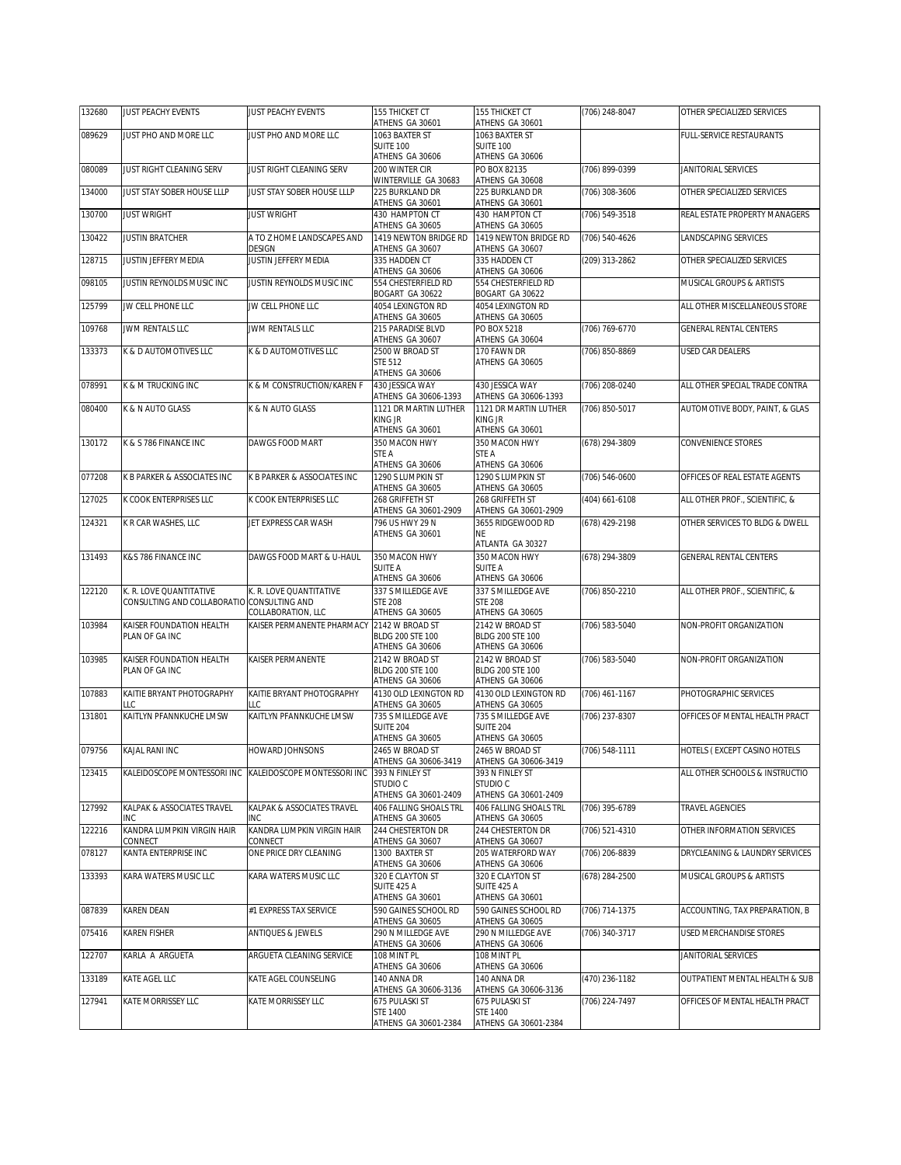| 132680 | <b>JUST PEACHY EVENTS</b>                                             | <b>JUST PEACHY EVENTS</b>                                               | 155 THICKET CT                                                | 155 THICKET CT                                            | (706) 248-8047 | OTHER SPECIALIZED SERVICES      |
|--------|-----------------------------------------------------------------------|-------------------------------------------------------------------------|---------------------------------------------------------------|-----------------------------------------------------------|----------------|---------------------------------|
| 089629 | JUST PHO AND MORE LLC                                                 | JUST PHO AND MORE LLC                                                   | ATHENS GA 30601<br>1063 BAXTER ST                             | ATHENS GA 30601<br>1063 BAXTER ST                         |                | <b>FULL-SERVICE RESTAURANTS</b> |
|        |                                                                       |                                                                         | <b>SUITE 100</b>                                              | <b>SUITE 100</b>                                          |                |                                 |
|        |                                                                       |                                                                         | ATHENS GA 30606                                               | ATHENS GA 30606                                           |                |                                 |
| 080089 | JUST RIGHT CLEANING SERV                                              | JUST RIGHT CLEANING SERV                                                | 200 WINTER CIR<br>WINTERVILLE GA 30683                        | PO BOX 82135<br>ATHENS GA 30608                           | (706) 899-0399 | JANITORIAL SERVICES             |
| 134000 | JUST STAY SOBER HOUSE LLLP                                            | JUST STAY SOBER HOUSE LLLP                                              | 225 BURKLAND DR<br>ATHENS GA 30601                            | 225 BURKLAND DR<br>ATHENS GA 30601                        | (706) 308-3606 | OTHER SPECIALIZED SERVICES      |
| 130700 | <b>JUST WRIGHT</b>                                                    | <b>JUST WRIGHT</b>                                                      | 430 HAMPTON CT<br>ATHENS GA 30605                             | 430 HAMPTON CT<br>ATHENS GA 30605                         | (706) 549-3518 | REAL ESTATE PROPERTY MANAGERS   |
| 130422 | <b>JUSTIN BRATCHER</b>                                                | A TO Z HOME LANDSCAPES AND<br>DESIGN                                    | 1419 NEWTON BRIDGE RD<br>ATHENS GA 30607                      | 1419 NEWTON BRIDGE RD<br>ATHENS GA 30607                  | (706) 540-4626 | LANDSCAPING SERVICES            |
| 128715 | <b>JUSTIN JEFFERY MEDIA</b>                                           | JUSTIN JEFFERY MEDIA                                                    | 335 HADDEN CT<br>ATHENS GA 30606                              | 335 HADDEN CT<br>ATHENS GA 30606                          | (209) 313-2862 | OTHER SPECIALIZED SERVICES      |
| 098105 | JUSTIN REYNOLDS MUSIC INC                                             | JUSTIN REYNOLDS MUSIC INC                                               | 554 CHESTERFIELD RD<br>BOGART GA 30622                        | 554 CHESTERFIELD RD<br>BOGART GA 30622                    |                | MUSICAL GROUPS & ARTISTS        |
| 125799 | JW CELL PHONE LLC                                                     | JW CELL PHONE LLC                                                       | 4054 LEXINGTON RD<br>ATHENS GA 30605                          | 4054 LEXINGTON RD<br>ATHENS GA 30605                      |                | ALL OTHER MISCELLANEOUS STORE   |
| 109768 | JWM RENTALS LLC                                                       | JWM RENTALS LLC                                                         | 215 PARADISE BLVD<br>ATHENS GA 30607                          | PO BOX 5218<br>ATHENS GA 30604                            | (706) 769-6770 | <b>GENERAL RENTAL CENTERS</b>   |
| 133373 | K & D AUTOMOTIVES LLC                                                 | K & D AUTOMOTIVES LLC                                                   | 2500 W BROAD ST<br><b>STE 512</b><br>ATHENS GA 30606          | 170 FAWN DR<br>ATHENS GA 30605                            | (706) 850-8869 | USED CAR DEALERS                |
| 078991 | K & M TRUCKING INC                                                    | K & M CONSTRUCTION/KAREN F                                              | 430 JESSICA WAY<br>ATHENS GA 30606-1393                       | 430 JESSICA WAY<br>ATHENS GA 30606-1393                   | (706) 208-0240 | ALL OTHER SPECIAL TRADE CONTRA  |
| 080400 | K & N AUTO GLASS                                                      | K & N AUTO GLASS                                                        | 1121 DR MARTIN LUTHER<br>KING JR<br>ATHENS GA 30601           | 1121 DR MARTIN LUTHER<br>KING JR<br>ATHENS GA 30601       | (706) 850-5017 | AUTOMOTIVE BODY, PAINT, & GLAS  |
| 130172 | K & S 786 FINANCE INC                                                 | DAWGS FOOD MART                                                         | 350 MACON HWY<br>STE A                                        | 350 MACON HWY<br>STE A                                    | (678) 294-3809 | CONVENIENCE STORES              |
|        |                                                                       |                                                                         | ATHENS GA 30606                                               | ATHENS GA 30606                                           |                |                                 |
| 077208 | K B PARKER & ASSOCIATES INC                                           | K B PARKER & ASSOCIATES INC                                             | 1290 S LUMPKIN ST<br>ATHENS GA 30605                          | 1290 S LUMPKIN ST<br>ATHENS GA 30605                      | (706) 546-0600 | OFFICES OF REAL ESTATE AGENTS   |
| 127025 | K COOK ENTERPRISES LLC                                                | K COOK ENTERPRISES LLC                                                  | 268 GRIFFETH ST<br>ATHENS GA 30601-2909                       | 268 GRIFFETH ST<br>ATHENS GA 30601-2909                   | (404) 661-6108 | ALL OTHER PROF., SCIENTIFIC, &  |
| 124321 | K R CAR WASHES, LLC                                                   | JET EXPRESS CAR WASH                                                    | 796 US HWY 29 N<br>ATHENS GA 30601                            | 3655 RIDGEWOOD RD<br>NE.<br>ATLANTA GA 30327              | (678) 429-2198 | OTHER SERVICES TO BLDG & DWELL  |
| 131493 | K&S 786 FINANCE INC                                                   | DAWGS FOOD MART & U-HAUL                                                | 350 MACON HWY<br><b>SUITE A</b><br>ATHENS GA 30606            | 350 MACON HWY<br>SUITE A<br>ATHENS GA 30606               | (678) 294-3809 | <b>GENERAL RENTAL CENTERS</b>   |
| 122120 | K. R. LOVE QUANTITATIVE<br>CONSULTING AND COLLABORATIO CONSULTING AND | K. R. LOVE QUANTITATIVE<br>COLLABORATION, LLC                           | 337 S MILLEDGE AVE<br><b>STE 208</b><br>ATHENS GA 30605       | 337 S MILLEDGE AVE<br><b>STE 208</b><br>ATHENS GA 30605   | (706) 850-2210 | ALL OTHER PROF., SCIENTIFIC, &  |
| 103984 | KAISER FOUNDATION HEALTH<br>PLAN OF GA INC                            | KAISER PERMANENTE PHARMACY 2142 W BROAD ST                              | <b>BLDG 200 STE 100</b><br>ATHENS GA 30606                    | 2142 W BROAD ST<br>BLDG 200 STE 100<br>ATHENS GA 30606    | (706) 583-5040 | NON-PROFIT ORGANIZATION         |
| 103985 | KAISER FOUNDATION HEALTH<br>PLAN OF GA INC                            | KAISER PERMANENTE                                                       | 2142 W BROAD ST<br><b>BLDG 200 STE 100</b><br>ATHENS GA 30606 | 2142 W BROAD ST<br>BLDG 200 STE 100<br>ATHENS GA 30606    | (706) 583-5040 | NON-PROFIT ORGANIZATION         |
| 107883 | KAITIE BRYANT PHOTOGRAPHY<br>LC                                       | KAITIE BRYANT PHOTOGRAPHY<br>LLC                                        | 4130 OLD LEXINGTON RD<br>ATHENS GA 30605                      | 4130 OLD LEXINGTON RD<br>ATHENS GA 30605                  | (706) 461-1167 | PHOTOGRAPHIC SERVICES           |
| 131801 | KAITLYN PFANNKUCHE LMSW                                               | KAITLYN PFANNKUCHE LMSW                                                 | 735 S MILLEDGE AVE<br><b>SUITE 204</b><br>ATHENS GA 30605     | 735 S MILLEDGE AVE<br><b>SUITE 204</b><br>ATHENS GA 30605 | (706) 237-8307 | OFFICES OF MENTAL HEALTH PRACT  |
| 079756 | KAJAL RANI INC                                                        | HOWARD JOHNSONS                                                         | 2465 W BROAD ST<br>ATHENS GA 30606-3419                       | 2465 W BROAD ST<br>ATHENS GA 30606-3419                   | (706) 548-1111 | HOTELS (EXCEPT CASINO HOTELS    |
| 123415 |                                                                       | KALEIDOSCOPE MONTESSORI INC KALEIDOSCOPE MONTESSORI INC 393 N FINLEY ST | STUDIO C<br>ATHENS GA 30601-2409                              | 393 N FINLEY ST<br>STUDIO C<br>ATHENS GA 30601-2409       |                | ALL OTHER SCHOOLS & INSTRUCTIO  |
| 127992 | KALPAK & ASSOCIATES TRAVEL<br>INC                                     | KALPAK & ASSOCIATES TRAVEL<br>INC                                       | 406 FALLING SHOALS TRL<br>ATHENS GA 30605                     | 406 FALLING SHOALS TRL<br>ATHENS GA 30605                 | (706) 395-6789 | <b>TRAVEL AGENCIES</b>          |
| 122216 | KANDRA LUMPKIN VIRGIN HAIR<br>CONNECT                                 | KANDRA LUMPKIN VIRGIN HAIR<br>CONNECT                                   | 244 CHESTERTON DR<br>ATHENS GA 30607                          | 244 CHESTERTON DR<br>ATHENS GA 30607                      | (706) 521-4310 | OTHER INFORMATION SERVICES      |
| 078127 | KANTA ENTERPRISE INC                                                  | ONE PRICE DRY CLEANING                                                  | 1300 BAXTER ST<br>ATHENS GA 30606                             | 205 WATERFORD WAY<br>ATHENS GA 30606                      | (706) 206-8839 | DRYCLEANING & LAUNDRY SERVICES  |
| 133393 | KARA WATERS MUSIC LLC                                                 | KARA WATERS MUSIC LLC                                                   | 320 E CLAYTON ST<br>SUITE 425 A<br>ATHENS GA 30601            | 320 E CLAYTON ST<br>SUITE 425 A<br>ATHENS GA 30601        | (678) 284-2500 | MUSICAL GROUPS & ARTISTS        |
| 087839 | <b>KAREN DEAN</b>                                                     | #1 EXPRESS TAX SERVICE                                                  | 590 GAINES SCHOOL RD<br>ATHENS GA 30605                       | 590 GAINES SCHOOL RD<br>ATHENS GA 30605                   | (706) 714-1375 | ACCOUNTING. TAX PREPARATION. B  |
| 075416 | <b>KAREN FISHER</b>                                                   | ANTIQUES & JEWELS                                                       | 290 N MILLEDGE AVE<br>ATHENS GA 30606                         | 290 N MILLEDGE AVE<br>ATHENS GA 30606                     | (706) 340-3717 | <b>USED MERCHANDISE STORES</b>  |
| 122707 | KARLA A ARGUETA                                                       | ARGUETA CLEANING SERVICE                                                | 108 MINT PL<br>ATHENS GA 30606                                | 108 MINT PL<br>ATHENS GA 30606                            |                | JANITORIAL SERVICES             |
| 133189 | KATE AGEL LLC                                                         | KATE AGEL COUNSELING                                                    | 140 ANNA DR<br>ATHENS GA 30606-3136                           | 140 ANNA DR<br>ATHENS GA 30606-3136                       | (470) 236-1182 | OUTPATIENT MENTAL HEALTH & SUB  |
| 127941 | KATE MORRISSEY LLC                                                    | KATE MORRISSEY LLC                                                      | 675 PULASKI ST<br><b>STE 1400</b>                             | 675 PULASKI ST<br><b>STE 1400</b>                         | (706) 224-7497 | OFFICES OF MENTAL HEALTH PRACT  |
|        |                                                                       |                                                                         | ATHENS GA 30601-2384                                          | ATHENS GA 30601-2384                                      |                |                                 |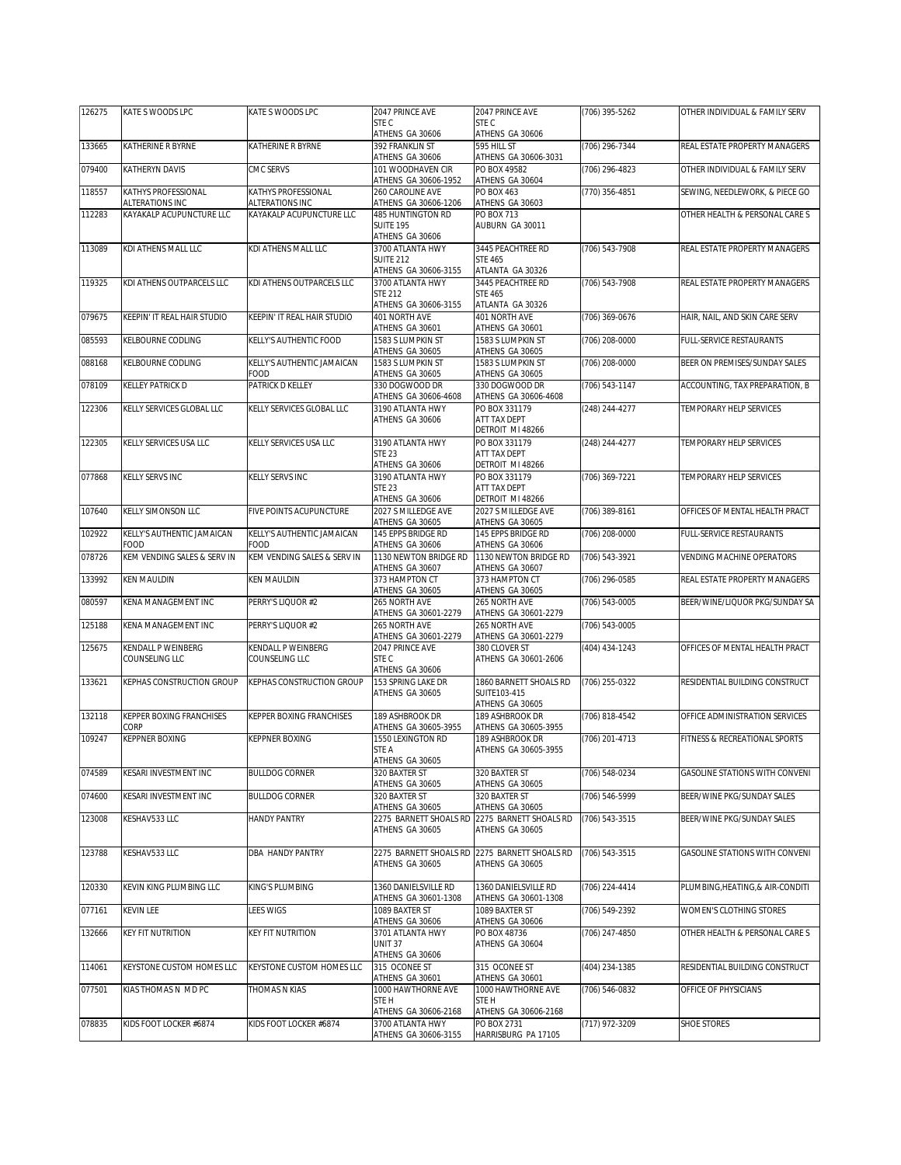| 126275 | KATE S WOODS LPC                            | KATE S WOODS LPC                            | 2047 PRINCE AVE                           | 2047 PRINCE AVE                          | (706) 395-5262     | OTHER INDIVIDUAL & FAMILY SERV   |
|--------|---------------------------------------------|---------------------------------------------|-------------------------------------------|------------------------------------------|--------------------|----------------------------------|
|        |                                             |                                             | STE C<br>ATHENS GA 30606                  | STE C<br>ATHENS GA 30606                 |                    |                                  |
| 133665 | KATHERINE R BYRNE                           | KATHERINE R BYRNE                           | 392 FRANKLIN ST                           | 595 HILL ST                              | (706) 296-7344     | REAL ESTATE PROPERTY MANAGERS    |
| 079400 | KATHERYN DAVIS                              | CMC SERVS                                   | ATHENS GA 30606<br>101 WOODHAVEN CIR      | ATHENS GA 30606-3031<br>PO BOX 49582     | (706) 296-4823     | OTHER INDIVIDUAL & FAMILY SERV   |
|        |                                             |                                             | ATHENS GA 30606-1952                      | ATHENS GA 30604                          |                    |                                  |
| 118557 | KATHYS PROFESSIONAL                         | KATHYS PROFESSIONAL                         | 260 CAROLINE AVE                          | PO BOX 463                               | (770) 356-4851     | SEWING, NEEDLEWORK, & PIECE GO   |
| 112283 | ALTERATIONS INC<br>KAYAKALP ACUPUNCTURE LLC | ALTERATIONS INC<br>KAYAKALP ACUPUNCTURE LLC | ATHENS GA 30606-1206<br>485 HUNTINGTON RD | ATHENS GA 30603<br><b>PO BOX 713</b>     |                    | OTHER HEALTH & PERSONAL CARE S   |
|        |                                             |                                             | SUITE 195                                 | AUBURN GA 30011                          |                    |                                  |
| 113089 | KDI ATHENS MALL LLC                         | KDI ATHENS MALL LLC                         | ATHENS GA 30606<br>3700 ATLANTA HWY       | 3445 PEACHTREE RD                        | (706) 543-7908     | REAL ESTATE PROPERTY MANAGERS    |
|        |                                             |                                             | <b>SUITE 212</b>                          | <b>STE 465</b>                           |                    |                                  |
|        |                                             |                                             | ATHENS GA 30606-3155                      | ATLANTA GA 30326                         |                    |                                  |
| 119325 | KDI ATHENS OUTPARCELS LLC                   | KDI ATHENS OUTPARCELS LLC                   | 3700 ATLANTA HWY<br><b>STE 212</b>        | 3445 PEACHTREE RD<br><b>STF 465</b>      | (706) 543-7908     | REAL ESTATE PROPERTY MANAGERS    |
|        |                                             |                                             | ATHENS GA 30606-3155                      | ATLANTA GA 30326                         |                    |                                  |
| 079675 | KEEPIN' IT REAL HAIR STUDIO                 | KEEPIN' IT REAL HAIR STUDIO                 | <b>401 NORTH AVE</b><br>ATHENS GA 30601   | 401 NORTH AVE<br>ATHENS GA 30601         | (706) 369-0676     | HAIR, NAIL, AND SKIN CARE SERV   |
| 085593 | KELBOURNE CODLING                           | KELLY'S AUTHENTIC FOOD                      | 1583 S LUMPKIN ST                         | 1583 S LUMPKIN ST                        | (706) 208-0000     | <b>FULL-SERVICE RESTAURANTS</b>  |
|        |                                             |                                             | ATHENS GA 30605                           | ATHENS GA 30605                          |                    |                                  |
| 088168 | KELBOURNE CODLING                           | KELLY'S AUTHENTIC JAMAICAN<br>FOOD          | 1583 S LUMPKIN ST<br>ATHENS GA 30605      | 1583 S LUMPKIN ST<br>ATHENS GA 30605     | (706) 208-0000     | BEER ON PREMISES/SUNDAY SALES    |
| 078109 | KELLEY PATRICK D                            | PATRICK D KELLEY                            | 330 DOGWOOD DR                            | 330 DOGWOOD DR                           | (706) 543-1147     | ACCOUNTING, TAX PREPARATION, B   |
| 122306 | KELLY SERVICES GLOBAL LLC                   | KELLY SERVICES GLOBAL LLC                   | ATHENS GA 30606-4608<br>3190 ATLANTA HWY  | ATHENS GA 30606-4608<br>PO BOX 331179    | (248) 244-4277     | TEMPORARY HELP SERVICES          |
|        |                                             |                                             | ATHENS GA 30606                           | ATT TAX DEPT                             |                    |                                  |
|        |                                             |                                             |                                           | DETROIT MI 48266                         |                    |                                  |
| 122305 | KELLY SERVICES USA LLC                      | KELLY SERVICES USA LLC                      | 3190 ATLANTA HWY<br><b>STE 23</b>         | PO BOX 331179<br>ATT TAX DEPT            | (248) 244-4277     | TEMPORARY HELP SERVICES          |
|        |                                             |                                             | ATHENS GA 30606                           | DETROIT MI 48266                         |                    |                                  |
| 077868 | KELLY SERVS INC                             | KELLY SERVS INC                             | 3190 ATLANTA HWY<br><b>STE 23</b>         | PO BOX 331179<br>ATT TAX DEPT            | (706) 369-7221     | TEMPORARY HELP SERVICES          |
|        |                                             |                                             | ATHENS GA 30606                           | DETROIT MI 48266                         |                    |                                  |
| 107640 | KELLY SIMONSON LLC                          | FIVE POINTS ACUPUNCTURE                     | 2027 S MILLEDGE AVE                       | 2027 S MILLEDGE AVE                      | (706) 389-8161     | OFFICES OF MENTAL HEALTH PRACT   |
| 102922 | KELLY'S AUTHENTIC JAMAICAN                  | KELLY'S AUTHENTIC JAMAICAN                  | ATHENS GA 30605<br>145 EPPS BRIDGE RD     | ATHENS GA 30605<br>145 EPPS BRIDGE RD    | (706) 208-0000     | <b>FULL-SERVICE RESTAURANTS</b>  |
|        | FOOD                                        | FOOD                                        | ATHENS GA 30606                           | ATHENS GA 30606                          |                    |                                  |
| 078726 | KEM VENDING SALES & SERV IN                 | KEM VENDING SALES & SERV IN                 | 1130 NEWTON BRIDGE RD<br>ATHENS GA 30607  | 1130 NEWTON BRIDGE RD<br>ATHENS GA 30607 | (706) 543-3921     | VENDING MACHINE OPERATORS        |
| 133992 | <b>KEN MAULDIN</b>                          | <b>KEN MAULDIN</b>                          | 373 HAMPTON CT                            | 373 HAMPTON CT                           | (706) 296-0585     | REAL ESTATE PROPERTY MANAGERS    |
| 080597 | KENA MANAGEMENT INC                         | PERRY'S LIQUOR #2                           | ATHENS GA 30605<br>265 NORTH AVE          | ATHENS GA 30605<br>265 NORTH AVE         | (706) 543-0005     | BEER/WINE/LIQUOR PKG/SUNDAY SA   |
|        |                                             |                                             | ATHENS GA 30601-2279                      | ATHENS GA 30601-2279                     |                    |                                  |
| 125188 | KENA MANAGEMENT INC                         | PERRY'S LIQUOR #2                           | 265 NORTH AVE                             | 265 NORTH AVE<br>ATHENS GA 30601-2279    | (706) 543-0005     |                                  |
| 125675 | KENDALL P WEINBERG                          | KENDALL P WEINBERG                          | ATHENS GA 30601-2279<br>2047 PRINCE AVE   | 380 CLOVER ST                            | (404) 434-1243     | OFFICES OF MENTAL HEALTH PRACT   |
|        | COUNSELING LLC                              | COUNSELING LLC                              | STE C                                     | ATHENS GA 30601-2606                     |                    |                                  |
| 133621 | KEPHAS CONSTRUCTION GROUP                   | <b>KEPHAS CONSTRUCTION GROUP</b>            | ATHENS GA 30606<br>153 SPRING LAKE DR     | 1860 BARNETT SHOALS RD                   | (706) 255-0322     | RESIDENTIAL BUILDING CONSTRUCT   |
|        |                                             |                                             | ATHENS GA 30605                           | SUITE103-415                             |                    |                                  |
|        |                                             |                                             |                                           | ATHENS GA 30605<br>189 ASHBROOK DR       |                    |                                  |
| 132118 | KEPPER BOXING FRANCHISES<br>CORP            | KEPPER BOXING FRANCHISES                    | 189 ASHBROOK DR<br>ATHENS GA 30605-3955   | ATHENS GA 30605-3955                     | (706) 818-4542     | OFFICE ADMINISTRATION SERVICES   |
| 109247 | KEPPNER BOXING                              | <b>KEPPNER BOXING</b>                       | 1550 LEXINGTON RD                         | 189 ASHBROOK DR                          | (706) 201-4713     | FITNESS & RECREATIONAL SPORTS    |
|        |                                             |                                             | STE A<br>ATHENS GA 30605                  | ATHENS GA 30605-3955                     |                    |                                  |
| 074589 | KESARI INVESTMENT INC                       | <b>BULLDOG CORNER</b>                       | 320 BAXTER ST                             | 320 BAXTER ST                            | (706) 548-0234     | GASOLINE STATIONS WITH CONVENI   |
|        |                                             |                                             | ATHENS GA 30605                           | ATHENS GA 30605                          | $(706) 546 - 5999$ |                                  |
| 074600 | KESARI INVESTMENT INC                       | <b>BULLDOG CORNER</b>                       | 320 BAXTER ST<br>ATHENS GA 30605          | 320 BAXTER ST<br>ATHENS GA 30605         |                    | BEER/WINE PKG/SUNDAY SALES       |
| 123008 | KESHAV533 LLC                               | <b>HANDY PANTRY</b>                         | 2275 BARNETT SHOALS RD                    | 2275 BARNETT SHOALS RD                   | (706) 543-3515     | BEER/WINE PKG/SUNDAY SALES       |
|        |                                             |                                             | ATHENS GA 30605                           | ATHENS GA 30605                          |                    |                                  |
| 123788 | KESHAV533 LLC                               | DBA HANDY PANTRY                            | 2275 BARNETT SHOALS RD                    | 2275 BARNETT SHOALS RD                   | (706) 543-3515     | GASOLINE STATIONS WITH CONVENI   |
|        |                                             |                                             | ATHENS GA 30605                           | ATHENS GA 30605                          |                    |                                  |
| 120330 | KEVIN KING PLUMBING LLC                     | KING'S PLUMBING                             | 1360 DANIELSVILLE RD                      | 1360 DANIELSVILLE RD                     | (706) 224-4414     | PLUMBING, HEATING, & AIR-CONDITI |
|        |                                             |                                             | ATHENS GA 30601-1308                      | ATHENS GA 30601-1308                     |                    |                                  |
| 077161 | KEVIN LEE                                   | LEES WIGS                                   | 1089 BAXTER ST<br>ATHENS GA 30606         | 1089 BAXTER ST<br>ATHENS GA 30606        | (706) 549-2392     | WOMEN'S CLOTHING STORES          |
| 132666 | <b>KEY FIT NUTRITION</b>                    | KEY FIT NUTRITION                           | 3701 ATLANTA HWY                          | PO BOX 48736                             | $(706)$ 247-4850   | OTHER HEALTH & PERSONAL CARE S   |
|        |                                             |                                             | UNIT 37<br>ATHENS GA 30606                | ATHENS GA 30604                          |                    |                                  |
| 114061 | KEYSTONE CUSTOM HOMES LLC                   | KEYSTONE CUSTOM HOMES LLC                   | 315 OCONEE ST                             | 315 OCONEE ST                            | (404) 234-1385     | RESIDENTIAL BUILDING CONSTRUCT   |
|        |                                             |                                             | ATHENS GA 30601                           | ATHENS GA 30601                          |                    |                                  |
| 077501 | KIAS THOMAS N MD PC                         | THOMAS N KIAS                               | 1000 HAWTHORNE AVE<br>STE H               | 1000 HAWTHORNE AVE<br>STE H              | (706) 546-0832     | OFFICE OF PHYSICIANS             |
|        |                                             |                                             | ATHENS GA 30606-2168                      | ATHENS GA 30606-2168                     |                    |                                  |
| 078835 | KIDS FOOT LOCKER #6874                      | KIDS FOOT LOCKER #6874                      | 3700 ATLANTA HWY<br>ATHENS GA 30606-3155  | PO BOX 2731<br>HARRISBURG PA 17105       | (717) 972-3209     | <b>SHOE STORES</b>               |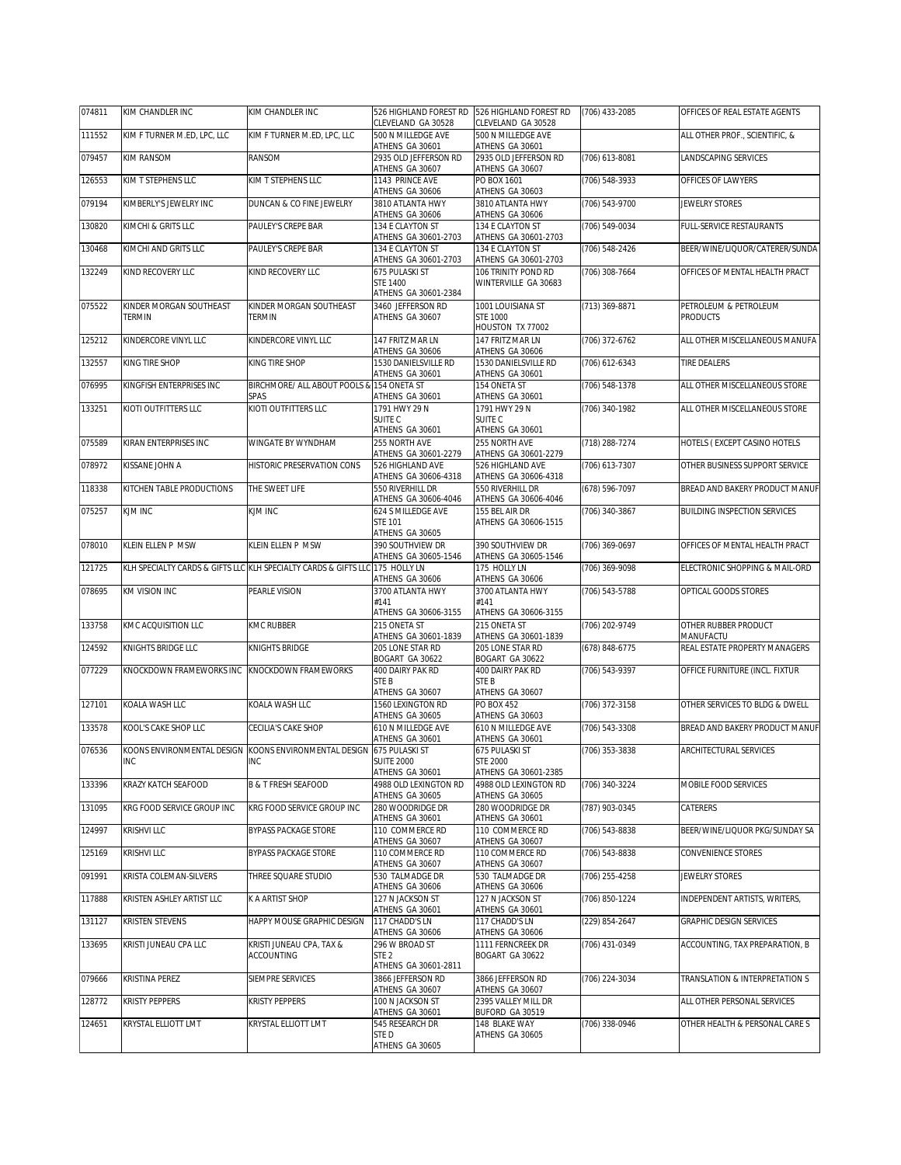| 074811 | KIM CHANDLER INC                  | KIM CHANDLER INC                                                             | 526 HIGHLAND FOREST RD<br>CLEVELAND GA 30528            | 526 HIGHLAND FOREST RD<br>CLEVELAND GA 30528             | (706) 433-2085 | OFFICES OF REAL ESTATE AGENTS            |
|--------|-----------------------------------|------------------------------------------------------------------------------|---------------------------------------------------------|----------------------------------------------------------|----------------|------------------------------------------|
| 111552 | KIM F TURNER M.ED, LPC, LLC       | KIM F TURNER M.ED, LPC, LLC                                                  | 500 N MILLEDGE AVE<br>ATHENS GA 30601                   | 500 N MILLEDGE AVE<br>ATHENS GA 30601                    |                | ALL OTHER PROF., SCIENTIFIC, &           |
| 079457 | KIM RANSOM                        | RANSOM                                                                       | 2935 OLD JEFFERSON RD<br>ATHENS GA 30607                | 2935 OLD JEFFERSON RD<br>ATHENS GA 30607                 | (706) 613-8081 | LANDSCAPING SERVICES                     |
| 126553 | KIM T STEPHENS LLC                | KIM T STEPHENS LLC                                                           | 1143 PRINCE AVE                                         | PO BOX 1601<br>ATHENS GA 30603                           | (706) 548-3933 | OFFICES OF LAWYERS                       |
| 079194 | KIMBERLY'S JEWELRY INC            | DUNCAN & CO FINE JEWELRY                                                     | ATHENS GA 30606<br>3810 ATLANTA HWY<br>ATHENS GA 30606  | 3810 ATLANTA HWY<br>ATHENS GA 30606                      | (706) 543-9700 | JEWELRY STORES                           |
| 130820 | KIMCHI & GRITS LLC                | PAULEY'S CREPE BAR                                                           | 134 E CLAYTON ST                                        | 134 E CLAYTON ST                                         | (706) 549-0034 | FULL-SERVICE RESTAURANTS                 |
| 130468 | KIMCHI AND GRITS LLC              | PAULEY'S CREPE BAR                                                           | ATHENS GA 30601-2703<br>134 E CLAYTON ST                | ATHENS GA 30601-2703<br>134 E CLAYTON ST                 | (706) 548-2426 | BEER/WINE/LIQUOR/CATERER/SUNDA           |
| 132249 | KIND RECOVERY LLC                 | KIND RECOVERY LLC                                                            | ATHENS GA 30601-2703<br>675 PULASKI ST                  | ATHENS GA 30601-2703<br>106 TRINITY POND RD              | (706) 308-7664 | OFFICES OF MENTAL HEALTH PRACT           |
|        |                                   |                                                                              | <b>STE 1400</b><br>ATHENS GA 30601-2384                 | WINTERVILLE GA 30683                                     |                |                                          |
| 075522 | KINDER MORGAN SOUTHEAST<br>TERMIN | KINDER MORGAN SOUTHEAST<br><b>TERMIN</b>                                     | 3460 JEFFERSON RD<br>ATHENS GA 30607                    | 1001 LOUISIANA ST<br><b>STE 1000</b><br>HOUSTON TX 77002 | (713) 369-8871 | PETROLEUM & PETROLEUM<br><b>PRODUCTS</b> |
| 125212 | KINDERCORE VINYL LLC              | KINDERCORE VINYL LLC                                                         | 147 FRITZ MAR LN<br>ATHENS GA 30606                     | 147 FRITZ MAR LN<br>ATHENS GA 30606                      | (706) 372-6762 | ALL OTHER MISCELLANEOUS MANUFA           |
| 132557 | KING TIRE SHOP                    | KING TIRE SHOP                                                               | 1530 DANIELSVILLE RD<br>ATHENS GA 30601                 | 1530 DANIELSVILLE RD<br>ATHENS GA 30601                  | (706) 612-6343 | TIRE DEALERS                             |
| 076995 | KINGFISH ENTERPRISES INC          | BIRCHMORE/ ALL ABOUT POOLS & 154 ONETA ST<br>SPAS                            | ATHENS GA 30601                                         | 154 ONETA ST<br>ATHENS GA 30601                          | (706) 548-1378 | ALL OTHER MISCELLANEOUS STORE            |
| 133251 | KIOTI OUTFITTERS LLC              | KIOTI OUTFITTERS LLC                                                         | 1791 HWY 29 N<br>SUITE C                                | 1791 HWY 29 N<br>SUITE <sub>C</sub>                      | (706) 340-1982 | ALL OTHER MISCELLANEOUS STORE            |
|        |                                   |                                                                              | ATHENS GA 30601                                         | ATHENS GA 30601                                          |                |                                          |
| 075589 | KIRAN ENTERPRISES INC             | WINGATE BY WYNDHAM                                                           | 255 NORTH AVE<br>ATHENS GA 30601-2279                   | 255 NORTH AVE<br>ATHENS GA 30601-2279                    | (718) 288-7274 | HOTELS (EXCEPT CASINO HOTELS             |
| 078972 | KISSANE JOHN A                    | HISTORIC PRESERVATION CONS                                                   | 526 HIGHLAND AVE<br>ATHENS GA 30606-4318                | 526 HIGHLAND AVE<br>ATHENS GA 30606-4318                 | (706) 613-7307 | OTHER BUSINESS SUPPORT SERVICE           |
| 118338 | KITCHEN TABLE PRODUCTIONS         | THE SWEET LIFE                                                               | 550 RIVERHILL DR<br>ATHENS GA 30606-4046                | 550 RIVERHILL DR<br>ATHENS GA 30606-4046                 | (678) 596-7097 | BREAD AND BAKERY PRODUCT MANUF           |
| 075257 | KJM INC                           | KJM INC                                                                      | 624 S MILLEDGE AVE<br><b>STE 101</b><br>ATHENS GA 30605 | 155 BEL AIR DR<br>ATHENS GA 30606-1515                   | (706) 340-3867 | BUILDING INSPECTION SERVICES             |
| 078010 | KLEIN ELLEN P MSW                 | KLEIN ELLEN P MSW                                                            | 390 SOUTHVIEW DR                                        | 390 SOUTHVIEW DR                                         | (706) 369-0697 | OFFICES OF MENTAL HEALTH PRACT           |
| 121725 |                                   | KLH SPECIALTY CARDS & GIFTS LLC KLH SPECIALTY CARDS & GIFTS LLC 175 HOLLY LN | ATHENS GA 30605-1546                                    | ATHENS GA 30605-1546<br>175 HOLLY LN                     | (706) 369-9098 | ELECTRONIC SHOPPING & MAIL-ORD           |
| 078695 | KM VISION INC                     | PEARLE VISION                                                                | ATHENS GA 30606<br>3700 ATLANTA HWY                     | ATHENS GA 30606<br>3700 ATLANTA HWY                      | (706) 543-5788 | OPTICAL GOODS STORES                     |
|        |                                   |                                                                              | #141<br>ATHENS GA 30606-3155                            | #141<br>ATHENS GA 30606-3155                             |                |                                          |
| 133758 | KMC ACQUISITION LLC               | <b>KMC RUBBER</b>                                                            | 215 ONETA ST<br>ATHENS GA 30601-1839                    | 215 ONETA ST<br>ATHENS GA 30601-1839                     | (706) 202-9749 | OTHER RUBBER PRODUCT<br>MANUFACTU        |
| 124592 | KNIGHTS BRIDGE LLC                | KNIGHTS BRIDGE                                                               | 205 LONE STAR RD<br>BOGART GA 30622                     | 205 LONE STAR RD<br>BOGART GA 30622                      | (678) 848-6775 | REAL ESTATE PROPERTY MANAGERS            |
| 077229 | KNOCKDOWN FRAMEWORKS INC          | KNOCKDOWN FRAMEWORKS                                                         | 400 DAIRY PAK RD<br>STE B<br>ATHENS GA 30607            | 400 DAIRY PAK RD<br><b>STEB</b><br>ATHENS GA 30607       | (706) 543-9397 | OFFICE FURNITURE (INCL. FIXTUR           |
| 127101 | KOALA WASH LLC                    | KOALA WASH LLC                                                               | 1560 LEXINGTON RD<br>ATHENS GA 30605                    | PO BOX 452<br>ATHENS GA 30603                            | (706) 372-3158 | OTHER SERVICES TO BLDG & DWELL           |
| 133578 | KOOL'S CAKE SHOP LLC              | CECILIA'S CAKE SHOP                                                          | 610 N MILLEDGE AVE                                      | 610 N MILLEDGE AVE                                       | (706) 543-3308 | BREAD AND BAKERY PRODUCT MANUF           |
| 076536 | <b>INC</b>                        | KOONS ENVIRONMENTAL DESIGN KOONS ENVIRONMENTAL DESIGN 675 PULASKI ST<br>INC  | ATHENS GA 30601<br><b>SUITE 2000</b>                    | ATHENS GA 30601<br>675 PULASKI ST<br><b>STE 2000</b>     | (706) 353-3838 | ARCHITECTURAL SERVICES                   |
| 133396 | KRAZY KATCH SEAFOOD               | <b>B &amp; T FRESH SEAFOOD</b>                                               | ATHENS GA 30601<br>4988 OLD LEXINGTON RD                | ATHENS GA 30601-2385<br>4988 OLD LEXINGTON RD            | (706) 340-3224 | MOBILE FOOD SERVICES                     |
| 131095 | KRG FOOD SERVICE GROUP INC        | KRG FOOD SERVICE GROUP INC                                                   | ATHENS GA 30605<br>280 WOODRIDGE DR                     | ATHENS GA 30605<br>280 WOODRIDGE DR                      | (787) 903-0345 | CATERERS                                 |
| 124997 | KRISHVI LLC                       | <b>BYPASS PACKAGE STORE</b>                                                  | ATHENS GA 30601<br>110 COMMERCE RD                      | ATHENS GA 30601<br>110 COMMERCE RD                       | (706) 543-8838 | BEER/WINE/LIQUOR PKG/SUNDAY SA           |
| 125169 | KRISHVI LLC                       | BYPASS PACKAGE STORE                                                         | ATHENS GA 30607<br>110 COMMERCE RD                      | ATHENS GA 30607<br>110 COMMERCE RD                       | (706) 543-8838 | <b>CONVENIENCE STORES</b>                |
| 091991 | KRISTA COLEMAN-SILVERS            | THREE SQUARE STUDIO                                                          | ATHENS GA 30607<br>530 TALMADGE DR                      | ATHENS GA 30607<br>530 TALMADGE DR                       | (706) 255-4258 | <b>JEWELRY STORES</b>                    |
| 117888 | KRISTEN ASHLEY ARTIST LLC         | K A ARTIST SHOP                                                              | ATHENS GA 30606<br>127 N JACKSON ST                     | ATHENS GA 30606<br>127 N JACKSON ST                      | (706) 850-1224 | INDEPENDENT ARTISTS, WRITERS,            |
| 131127 | KRISTEN STEVENS                   | HAPPY MOUSE GRAPHIC DESIGN                                                   | ATHENS GA 30601<br>117 CHADD'S LN                       | ATHENS GA 30601<br>117 CHADD'S LN                        | (229) 854-2647 | GRAPHIC DESIGN SERVICES                  |
|        | KRISTI JUNEAU CPA LLC             |                                                                              | ATHENS GA 30606                                         | ATHENS GA 30606                                          |                | ACCOUNTING. TAX PREPARATION. B           |
| 133695 |                                   | KRISTI JUNEAU CPA, TAX &<br><b>ACCOUNTING</b>                                | 296 W BROAD ST<br>STE 2<br>ATHENS GA 30601-2811         | 1111 FERNCREEK DR<br>BOGART GA 30622                     | (706) 431-0349 |                                          |
| 079666 | KRISTINA PEREZ                    | SIEMPRE SERVICES                                                             | 3866 JEFFERSON RD<br>ATHENS GA 30607                    | 3866 JEFFERSON RD<br>ATHENS GA 30607                     | (706) 224-3034 | TRANSLATION & INTERPRETATION S           |
| 128772 | <b>KRISTY PEPPERS</b>             | <b>KRISTY PEPPERS</b>                                                        | 100 N JACKSON ST<br>ATHENS GA 30601                     | 2395 VALLEY MILL DR<br>BUFORD GA 30519                   |                | ALL OTHER PERSONAL SERVICES              |
| 124651 | KRYSTAL ELLIOTT LMT               | KRYSTAL ELLIOTT LMT                                                          | 545 RESEARCH DR<br>STED                                 | 148 BLAKE WAY<br>ATHENS GA 30605                         | (706) 338-0946 | OTHER HEALTH & PERSONAL CARE S           |
|        |                                   |                                                                              | ATHENS GA 30605                                         |                                                          |                |                                          |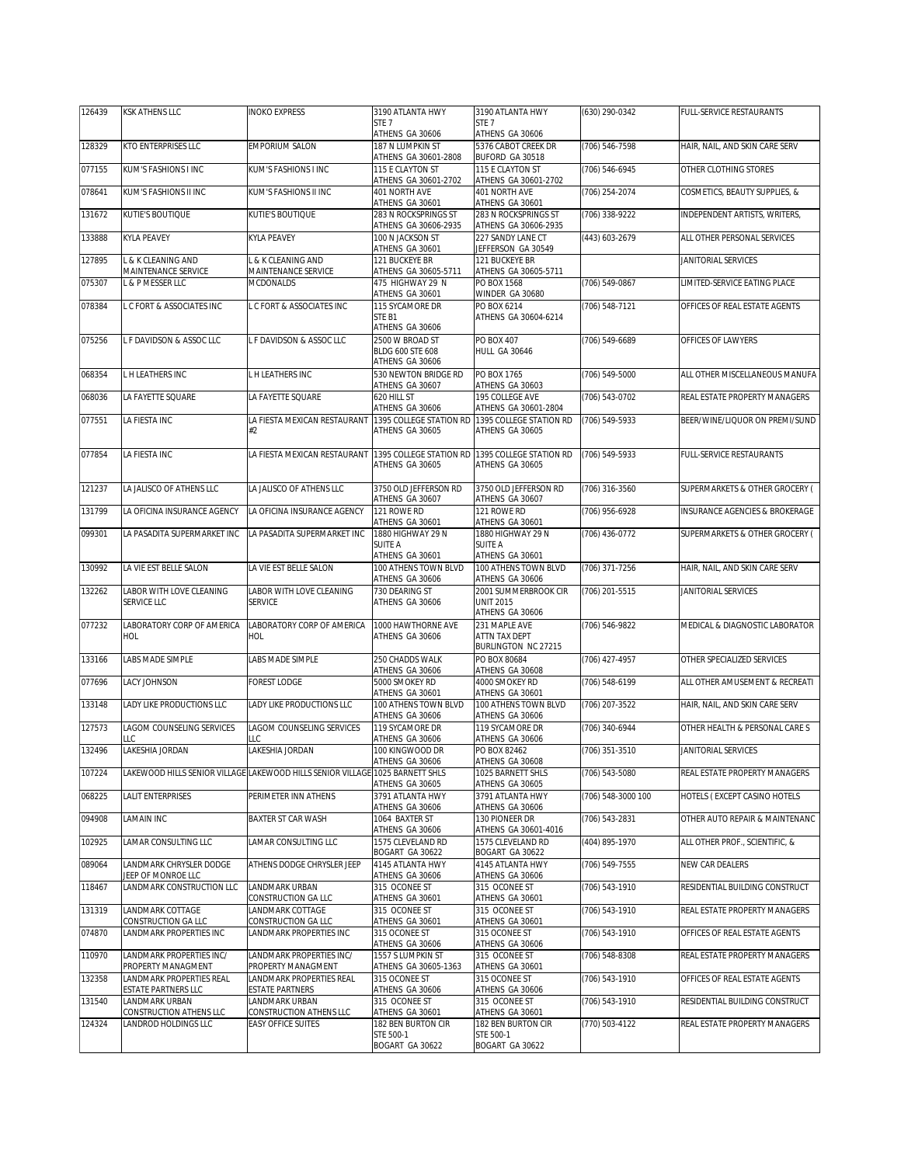| 126439 | KSK ATHENS LLC                                  | <b>INOKO EXPRESS</b>                                                          | 3190 ATLANTA HWY                                       | 3190 ATLANTA HWY                                                   | (630) 290-0342     | FULL-SERVICE RESTAURANTS                  |
|--------|-------------------------------------------------|-------------------------------------------------------------------------------|--------------------------------------------------------|--------------------------------------------------------------------|--------------------|-------------------------------------------|
|        |                                                 |                                                                               | STE 7<br>ATHENS GA 30606                               | STE <sub>7</sub><br>ATHENS GA 30606                                |                    |                                           |
| 128329 | KTO ENTERPRISES LLC                             | <b>EMPORIUM SALON</b>                                                         | 187 N LUMPKIN ST<br>ATHENS GA 30601-2808               | 5376 CABOT CREEK DR<br>BUFORD GA 30518                             | (706) 546-7598     | HAIR, NAIL, AND SKIN CARE SERV            |
| 077155 | KUM'S FASHIONS I INC                            | KUM'S FASHIONS I INC                                                          | 115 E CLAYTON ST<br>ATHENS GA 30601-2702               | 115 E CLAYTON ST<br>ATHENS GA 30601-2702                           | (706) 546-6945     | OTHER CLOTHING STORES                     |
| 078641 | KUM'S FASHIONS II INC                           | KUM'S FASHIONS II INC                                                         | 401 NORTH AVE<br>ATHENS GA 30601                       | 401 NORTH AVE<br>ATHENS GA 30601                                   | (706) 254-2074     | COSMETICS, BEAUTY SUPPLIES, &             |
| 131672 | KUTIE'S BOUTIQUE                                | KUTIE'S BOUTIQUE                                                              | 283 N ROCKSPRINGS ST<br>ATHENS GA 30606-2935           | 283 N ROCKSPRINGS ST<br>ATHENS GA 30606-2935                       | (706) 338-9222     | INDEPENDENT ARTISTS, WRITERS,             |
| 133888 | KYLA PEAVEY                                     | <b>KYLA PEAVEY</b>                                                            | 100 N JACKSON ST<br>ATHENS GA 30601                    | 227 SANDY LANE CT<br>JEFFERSON GA 30549                            | (443) 603-2679     | ALL OTHER PERSONAL SERVICES               |
| 127895 | L & K CLEANING AND<br>MAINTENANCE SERVICE       | L & K CLEANING AND<br>MAINTENANCE SERVICE                                     | 121 BUCKEYE BR<br>ATHENS GA 30605-5711                 | 121 BUCKEYE BR<br>ATHENS GA 30605-5711                             |                    | JANITORIAL SERVICES                       |
| 075307 | L & P MESSER LLC                                | <b>MCDONALDS</b>                                                              | 475 HIGHWAY 29 N<br>ATHENS GA 30601                    | PO BOX 1568<br>WINDER GA 30680                                     | (706) 549-0867     | LIMITED-SERVICE EATING PLACE              |
| 078384 | C FORT & ASSOCIATES INC                         | L C FORT & ASSOCIATES INC                                                     | 115 SYCAMORE DR<br>STE B1<br>ATHENS GA 30606           | PO BOX 6214<br>ATHENS GA 30604-6214                                | (706) 548-7121     | OFFICES OF REAL ESTATE AGENTS             |
| 075256 | . F DAVIDSON & ASSOC LLC                        | L F DAVIDSON & ASSOC LLC                                                      | 2500 W BROAD ST<br>BLDG 600 STE 608<br>ATHENS GA 30606 | PO BOX 407<br><b>HULL GA 30646</b>                                 | (706) 549-6689     | OFFICES OF LAWYERS                        |
| 068354 | L H LEATHERS INC                                | L H LEATHERS INC                                                              | 530 NEWTON BRIDGE RD<br>ATHENS GA 30607                | PO BOX 1765<br>ATHENS GA 30603                                     | (706) 549-5000     | ALL OTHER MISCELLANEOUS MANUFA            |
| 068036 | LA FAYETTE SQUARE                               | LA FAYETTE SQUARE                                                             | 620 HILL ST<br>ATHENS GA 30606                         | 195 COLLEGE AVE<br>ATHENS GA 30601-2804                            | (706) 543-0702     | REAL ESTATE PROPERTY MANAGERS             |
| 077551 | LA FIESTA INC                                   | LA FIESTA MEXICAN RESTAURANT<br>#2                                            | ATHENS GA 30605                                        | 1395 COLLEGE STATION RD 1395 COLLEGE STATION RD<br>ATHENS GA 30605 | (706) 549-5933     | BEER/WINE/LIQUOR ON PREMI/SUND            |
| 077854 | LA FIESTA INC                                   | LA FIESTA MEXICAN RESTAURANT                                                  | ATHENS GA 30605                                        | 1395 COLLEGE STATION RD 1395 COLLEGE STATION RD<br>ATHENS GA 30605 | (706) 549-5933     | <b>FULL-SERVICE RESTAURANTS</b>           |
| 121237 | LA JALISCO OF ATHENS LLC                        | LA JALISCO OF ATHENS LLC                                                      | 3750 OLD JEFFERSON RD<br>ATHENS GA 30607               | 3750 OLD JEFFERSON RD<br>ATHENS GA 30607                           | (706) 316-3560     | SUPERMARKETS & OTHER GROCERY (            |
| 131799 | LA OFICINA INSURANCE AGENCY                     | LA OFICINA INSURANCE AGENCY                                                   | 121 ROWE RD<br>ATHENS GA 30601                         | 121 ROWE RD<br>ATHENS GA 30601                                     | (706) 956-6928     | <b>INSURANCE AGENCIES &amp; BROKERAGE</b> |
| 099301 | LA PASADITA SUPERMARKET INC                     | LA PASADITA SUPERMARKET INC                                                   | 1880 HIGHWAY 29 N<br>SUITE A<br>ATHENS GA 30601        | 1880 HIGHWAY 29 N<br><b>SUITE A</b><br>ATHENS GA 30601             | (706) 436-0772     | SUPERMARKETS & OTHER GROCERY (            |
| 130992 | LA VIE EST BELLE SALON                          | LA VIE EST BELLE SALON                                                        | 100 ATHENS TOWN BLVD<br>ATHENS GA 30606                | 100 ATHENS TOWN BLVD<br>ATHENS GA 30606                            | (706) 371-7256     | HAIR, NAIL, AND SKIN CARE SERV            |
| 132262 | LABOR WITH LOVE CLEANING<br>SERVICE LLC         | LABOR WITH LOVE CLEANING<br><b>SERVICE</b>                                    | 730 DEARING ST<br>ATHENS GA 30606                      | 2001 SUMMERBROOK CIR<br><b>UNIT 2015</b><br>ATHENS GA 30606        | (706) 201-5515     | JANITORIAL SERVICES                       |
| 077232 | LABORATORY CORP OF AMERICA<br>HOL               | LABORATORY CORP OF AMERICA<br>HOL                                             | 1000 HAWTHORNE AVE<br>ATHENS GA 30606                  | 231 MAPLE AVE<br>ATTN TAX DEPT<br>BURLINGTON NC 27215              | (706) 546-9822     | MEDICAL & DIAGNOSTIC LABORATOR            |
| 133166 | LABS MADE SIMPLE                                | LABS MADE SIMPLE                                                              | 250 CHADDS WALK<br>ATHENS GA 30606                     | PO BOX 80684<br>ATHENS GA 30608                                    | (706) 427-4957     | OTHER SPECIALIZED SERVICES                |
| 077696 | LACY JOHNSON                                    | FOREST LODGE                                                                  | 5000 SMOKEY RD<br>ATHENS GA 30601                      | 4000 SMOKEY RD<br>ATHENS GA 30601                                  | (706) 548-6199     | ALL OTHER AMUSEMENT & RECREATI            |
| 133148 | LADY LIKE PRODUCTIONS LLC                       | LADY LIKE PRODUCTIONS LLC                                                     | 100 ATHENS TOWN BLVD<br>ATHENS GA 30606                | 100 ATHENS TOWN BLVD<br>ATHENS GA 30606                            | (706) 207-3522     | HAIR, NAIL, AND SKIN CARE SERV            |
| 127573 | <b>LAGOM COUNSELING SERVICES</b><br>LC          | <b>LAGOM COUNSELING SERVICES</b><br>TC                                        | 119 SYCAMORE DR<br>ATHENS GA 30606                     | 119 SYCAMORE DR<br>ATHENS GA 30606                                 | (706) 340-6944     | OTHER HEALTH & PERSONAL CARE S            |
| 132496 | LAKESHIA JORDAN                                 | LAKESHIA JORDAN                                                               | 100 KINGWOOD DR<br>ATHENS GA 30606                     | PO BOX 82462<br>ATHENS GA 30608                                    | (706) 351-3510     | JANITORIAL SERVICES                       |
| 107224 |                                                 | LAKEWOOD HILLS SENIOR VILLAGE LAKEWOOD HILLS SENIOR VILLAGE 1025 BARNETT SHLS | ATHENS GA 30605                                        | 1025 BARNETT SHLS<br>ATHENS GA 30605                               | (706) 543-5080     | REAL ESTATE PROPERTY MANAGERS             |
| 068225 | <b>LALIT ENTERPRISES</b>                        | PERIMETER INN ATHENS                                                          | 3791 ATLANTA HWY<br>ATHENS GA 30606                    | 3791 ATLANTA HWY<br>ATHENS GA 30606                                | (706) 548-3000 100 | HOTELS (EXCEPT CASINO HOTELS              |
| 094908 | LAMAIN INC                                      | BAXTER ST CAR WASH                                                            | 1064 BAXTER ST<br>ATHENS GA 30606                      | 130 PIONEER DR<br>ATHENS GA 30601-4016                             | (706) 543-2831     | OTHER AUTO REPAIR & MAINTENANC            |
| 102925 | LAMAR CONSULTING LLC                            | LAMAR CONSULTING LLC                                                          | 1575 CLEVELAND RD<br>BOGART GA 30622                   | 1575 CLEVELAND RD<br>BOGART GA 30622                               | $(404) 895 - 1970$ | ALL OTHER PROF., SCIENTIFIC, &            |
| 089064 | LANDMARK CHRYSLER DODGE<br>JEEP OF MONROE LLC   | ATHENS DODGE CHRYSLER JEEP                                                    | 4145 ATLANTA HWY<br>ATHENS GA 30606                    | 4145 ATLANTA HWY<br>ATHENS GA 30606                                | (706) 549-7555     | NEW CAR DEALERS                           |
| 118467 | LANDMARK CONSTRUCTION LLC                       | LANDMARK URBAN<br>CONSTRUCTION GA LLC                                         | 315 OCONEE ST<br>ATHENS GA 30601                       | 315 OCONEE ST<br>ATHENS GA 30601                                   | (706) 543-1910     | RESIDENTIAL BUILDING CONSTRUCT            |
| 131319 | LANDMARK COTTAGE                                | LANDMARK COTTAGE                                                              | 315 OCONEE ST                                          | 315 OCONEE ST<br>ATHENS GA 30601                                   | (706) 543-1910     | REAL ESTATE PROPERTY MANAGERS             |
| 074870 | CONSTRUCTION GA LLC<br>LANDMARK PROPERTIES INC  | CONSTRUCTION GA LLC<br>LANDMARK PROPERTIES INC                                | ATHENS GA 30601<br>315 OCONEE ST                       | 315 OCONEE ST                                                      | (706) 543-1910     | OFFICES OF REAL ESTATE AGENTS             |
| 110970 | LANDMARK PROPERTIES INC/                        | LANDMARK PROPERTIES INC/                                                      | ATHENS GA 30606<br>1557 S LUMPKIN ST                   | ATHENS GA 30606<br>315 OCONEE ST                                   | (706) 548-8308     | REAL ESTATE PROPERTY MANAGERS             |
| 132358 | PROPERTY MANAGMENT<br>LANDMARK PROPERTIES REAL  | PROPERTY MANAGMENT<br>LANDMARK PROPERTIES REAL                                | ATHENS GA 30605-1363<br>315 OCONEE ST                  | ATHENS GA 30601<br>315 OCONEE ST                                   | (706) 543-1910     | OFFICES OF REAL ESTATE AGENTS             |
| 131540 | ESTATE PARTNERS LLC<br>LANDMARK URBAN           | <b>ESTATE PARTNERS</b><br>LANDMARK URBAN                                      | ATHENS GA 30606<br>315 OCONEE ST                       | ATHENS GA 30606<br>315 OCONEE ST                                   | (706) 543-1910     | RESIDENTIAL BUILDING CONSTRUCT            |
| 124324 | CONSTRUCTION ATHENS LLC<br>LANDROD HOLDINGS LLC | CONSTRUCTION ATHENS LLC<br><b>EASY OFFICE SUITES</b>                          | ATHENS GA 30601<br>182 BEN BURTON CIR                  | ATHENS GA 30601<br>182 BEN BURTON CIR                              | (770) 503-4122     | REAL ESTATE PROPERTY MANAGERS             |
|        |                                                 |                                                                               | STE 500-1<br>BOGART GA 30622                           | STE 500-1<br>BOGART GA 30622                                       |                    |                                           |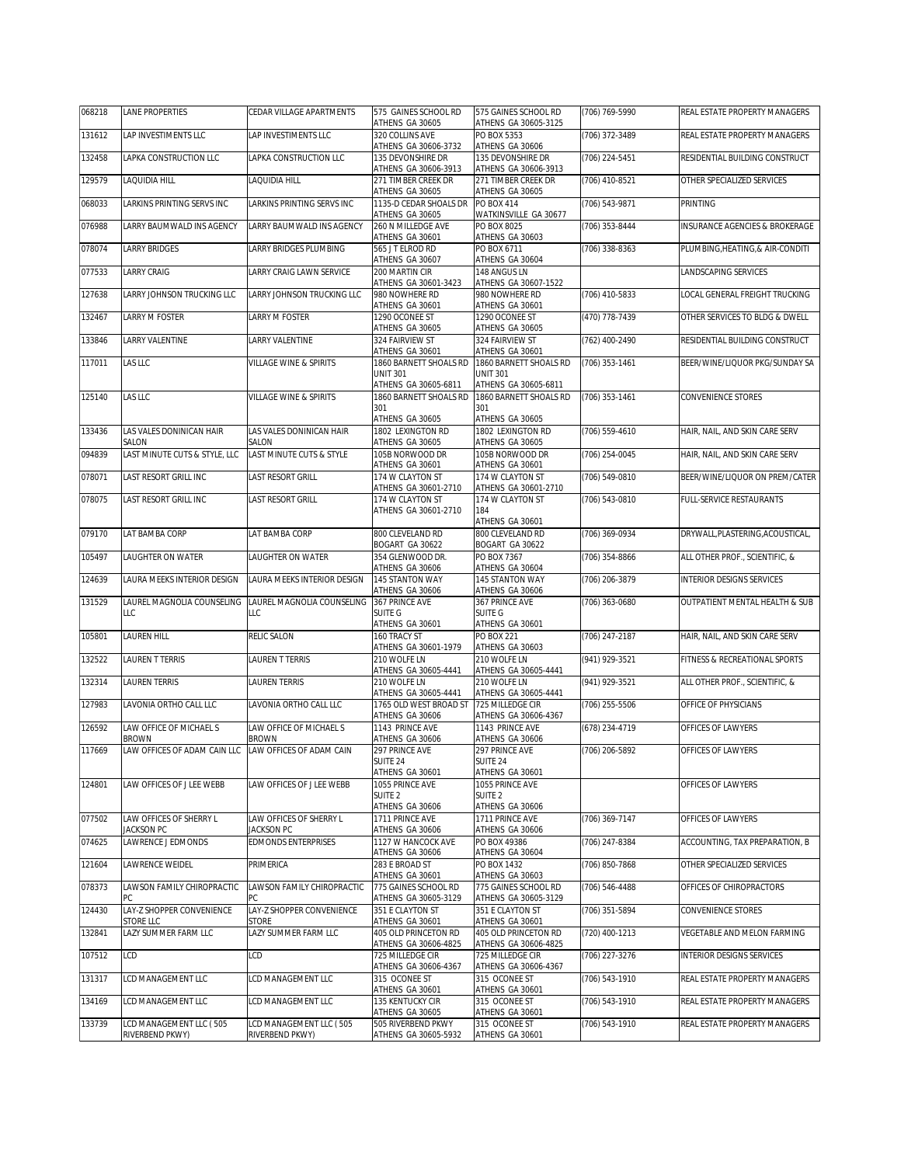| 068218 | <b>LANE PROPERTIES</b>                | CEDAR VILLAGE APARTMENTS              | 575 GAINES SCHOOL RD                                              | 575 GAINES SCHOOL RD                                              | (706) 769-5990     | REAL ESTATE PROPERTY MANAGERS    |
|--------|---------------------------------------|---------------------------------------|-------------------------------------------------------------------|-------------------------------------------------------------------|--------------------|----------------------------------|
| 131612 | LAP INVESTIMENTS LLC                  | LAP INVESTIMENTS LLC                  | ATHENS GA 30605<br>320 COLLINS AVE<br>ATHENS GA 30606-3732        | ATHENS GA 30605-3125<br>PO BOX 5353<br>ATHENS GA 30606            | (706) 372-3489     | REAL ESTATE PROPERTY MANAGERS    |
| 132458 | LAPKA CONSTRUCTION LLC                | LAPKA CONSTRUCTION LLC                | 135 DEVONSHIRE DR<br>ATHENS GA 30606-3913                         | 135 DEVONSHIRE DR<br>ATHENS GA 30606-3913                         | (706) 224-5451     | RESIDENTIAL BUILDING CONSTRUCT   |
| 129579 | LAQUIDIA HILL                         | LAQUIDIA HILL                         | 271 TIMBER CREEK DR                                               | 271 TIMBER CREEK DR                                               | (706) 410-8521     | OTHER SPECIALIZED SERVICES       |
| 068033 | LARKINS PRINTING SERVS INC            | LARKINS PRINTING SERVS INC            | ATHENS GA 30605<br>1135-D CEDAR SHOALS DR<br>ATHENS GA 30605      | ATHENS GA 30605<br><b>PO BOX 414</b>                              | (706) 543-9871     | PRINTING                         |
| 076988 | LARRY BAUMWALD INS AGENCY             | LARRY BAUMWALD INS AGENCY             | 260 N MILLEDGE AVE<br>ATHENS GA 30601                             | WATKINSVILLE GA 30677<br>PO BOX 8025<br>ATHENS GA 30603           | (706) 353-8444     | INSURANCE AGENCIES & BROKERAGE   |
| 078074 | <b>LARRY BRIDGES</b>                  | LARRY BRIDGES PLUMBING                | 565 J T ELROD RD<br>ATHENS GA 30607                               | PO BOX 6711<br>ATHENS GA 30604                                    | (706) 338-8363     | PLUMBING, HEATING, & AIR-CONDITI |
| 077533 | LARRY CRAIG                           | LARRY CRAIG LAWN SERVICE              | 200 MARTIN CIR<br>ATHENS GA 30601-3423                            | 148 ANGUS LN<br>ATHENS GA 30607-1522                              |                    | LANDSCAPING SERVICES             |
| 127638 | LARRY JOHNSON TRUCKING LLC            | LARRY JOHNSON TRUCKING LLC            | 980 NOWHERE RD<br>ATHENS GA 30601                                 | 980 NOWHERE RD<br>ATHENS GA 30601                                 | (706) 410-5833     | LOCAL GENERAL FREIGHT TRUCKING   |
| 132467 | LARRY M FOSTER                        | LARRY M FOSTER                        | 1290 OCONEE ST<br>ATHENS GA 30605                                 | 1290 OCONEE ST<br>ATHENS GA 30605                                 | (470) 778-7439     | OTHER SERVICES TO BLDG & DWELL   |
| 133846 | LARRY VALENTINE                       | LARRY VALENTINE                       | 324 FAIRVIEW ST<br>ATHENS GA 30601                                | 324 FAIRVIEW ST<br>ATHENS GA 30601                                | (762) 400-2490     | RESIDENTIAL BUILDING CONSTRUCT   |
| 117011 | LAS LLC                               | VILLAGE WINE & SPIRITS                | 1860 BARNETT SHOALS RD<br><b>UNIT 301</b><br>ATHENS GA 30605-6811 | 1860 BARNETT SHOALS RD<br><b>UNIT 301</b><br>ATHENS GA 30605-6811 | (706) 353-1461     | BEER/WINE/LIQUOR PKG/SUNDAY SA   |
| 125140 | LAS LLC                               | <b>VILLAGE WINE &amp; SPIRITS</b>     | 1860 BARNETT SHOALS RD<br>301                                     | 1860 BARNETT SHOALS RD                                            | (706) 353-1461     | CONVENIENCE STORES               |
|        |                                       |                                       | ATHENS GA 30605                                                   | 301<br>ATHENS GA 30605                                            |                    |                                  |
| 133436 | LAS VALES DONINICAN HAIR<br>SALON     | LAS VALES DONINICAN HAIR<br>SALON     | 1802 LEXINGTON RD<br>ATHENS GA 30605                              | 1802 LEXINGTON RD<br>ATHENS GA 30605                              | (706) 559-4610     | HAIR, NAIL, AND SKIN CARE SERV   |
| 094839 | LAST MINUTE CUTS & STYLE. LLC         | LAST MINUTE CUTS & STYLE              | 105B NORWOOD DR<br>ATHENS GA 30601                                | 105B NORWOOD DR<br>ATHENS GA 30601                                | (706) 254-0045     | HAIR, NAIL, AND SKIN CARE SERV   |
| 078071 | LAST RESORT GRILL INC                 | LAST RESORT GRILL                     | 174 W CLAYTON ST<br>ATHENS GA 30601-2710                          | 174 W CLAYTON ST<br>ATHENS GA 30601-2710                          | (706) 549-0810     | BEER/WINE/LIQUOR ON PREM/CATER   |
| 078075 | LAST RESORT GRILL INC                 | LAST RESORT GRILL                     | 174 W CLAYTON ST<br>ATHENS GA 30601-2710                          | 174 W CLAYTON ST<br>184<br>ATHENS GA 30601                        | $(706) 543 - 0810$ | FULL-SERVICE RESTAURANTS         |
| 079170 | LAT BAMBA CORP                        | LAT BAMBA CORP                        | 800 CLEVELAND RD<br>BOGART GA 30622                               | 800 CLEVELAND RD<br>BOGART GA 30622                               | (706) 369-0934     | DRYWALL, PLASTERING, ACOUSTICAL, |
| 105497 | LAUGHTER ON WATER                     | LAUGHTER ON WATER                     | 354 GLENWOOD DR.<br>ATHENS GA 30606                               | PO BOX 7367<br>ATHENS GA 30604                                    | (706) 354-8866     | ALL OTHER PROF., SCIENTIFIC, &   |
| 124639 | LAURA MEEKS INTERIOR DESIGN           | LAURA MEEKS INTERIOR DESIGN           | 145 STANTON WAY<br>ATHENS GA 30606                                | 145 STANTON WAY<br>ATHENS GA 30606                                | (706) 206-3879     | INTERIOR DESIGNS SERVICES        |
| 131529 | LAUREL MAGNOLIA COUNSELING            | LAUREL MAGNOLIA COUNSELING<br>LLC     | 367 PRINCE AVE<br>SUITE G                                         | 367 PRINCE AVE<br><b>SUITE G</b>                                  | (706) 363-0680     | OUTPATIENT MENTAL HEALTH & SUB   |
|        | LLC                                   |                                       |                                                                   |                                                                   |                    |                                  |
| 105801 | LAUREN HILL                           | RELIC SALON                           | ATHENS GA 30601<br>160 TRACY ST                                   | ATHENS GA 30601<br><b>PO BOX 221</b>                              | (706) 247-2187     | HAIR, NAIL, AND SKIN CARE SERV   |
| 132522 | LAUREN T TERRIS                       | LAUREN T TERRIS                       | ATHENS GA 30601-1979<br>210 WOLFE LN                              | ATHENS GA 30603<br>210 WOLFE LN                                   | (941) 929-3521     | FITNESS & RECREATIONAL SPORTS    |
| 132314 | LAUREN TERRIS                         | <b>LAUREN TERRIS</b>                  | ATHENS GA 30605-4441<br>210 WOLFE LN                              | ATHENS GA 30605-4441<br>210 WOLFE LN                              | (941) 929-3521     | ALL OTHER PROF., SCIENTIFIC, &   |
| 127983 | LAVONIA ORTHO CALL LLC                | LAVONIA ORTHO CALL LLC                | ATHENS GA 30605-4441<br>1765 OLD WEST BROAD ST                    | ATHENS GA 30605-4441<br>725 MILLEDGE CIR                          | $(706)$ 255-5506   | OFFICE OF PHYSICIANS             |
| 126592 | LAW OFFICE OF MICHAEL S               | LAW OFFICE OF MICHAEL S               | ATHENS GA 30606<br>1143 PRINCE AVE                                | ATHENS GA 30606-4367<br>1143 PRINCE AVE                           | (678) 234-4719     | OFFICES OF LAWYERS               |
| 117669 | BROWN<br>LAW OFFICES OF ADAM CAIN LLC | BROWN<br>LAW OFFICES OF ADAM CAIN     | ATHENS GA 30606<br>297 PRINCE AVE                                 | ATHENS GA 30606<br>297 PRINCE AVE                                 | (706) 206-5892     | OFFICES OF LAWYERS               |
|        |                                       |                                       | SUITE 24<br>ATHENS GA 30601                                       | SUITE 24<br>ATHENS GA 30601                                       |                    |                                  |
| 124801 | LAW OFFICES OF J LEE WEBB             | LAW OFFICES OF J LEE WEBB             | 1055 PRINCE AVE<br>SUITE <sub>2</sub><br>ATHENS GA 30606          | 1055 PRINCE AVE<br>SUITE <sub>2</sub><br>ATHENS GA 30606          |                    | OFFICES OF LAWYERS               |
| 077502 | LAW OFFICES OF SHERRY L<br>JACKSON PC | LAW OFFICES OF SHERRY L<br>JACKSON PC | 1711 PRINCE AVE<br>ATHENS GA 30606                                | 1711 PRINCE AVE<br>ATHENS GA 30606                                | (706) 369-7147     | OFFICES OF LAWYERS               |
| 074625 | LAWRENCE J EDMONDS                    | <b>EDMONDS ENTERPRISES</b>            | 1127 W HANCOCK AVE                                                | PO BOX 49386                                                      | (706) 247-8384     | ACCOUNTING, TAX PREPARATION, B   |
| 121604 | LAWRENCE WEIDEL                       | PRIMERICA                             | ATHENS GA 30606<br>283 E BROAD ST                                 | ATHENS GA 30604<br>PO BOX 1432                                    | (706) 850-7868     | OTHER SPECIALIZED SERVICES       |
| 078373 | LAWSON FAMILY CHIROPRACTIC<br>РC      | LAWSON FAMILY CHIROPRACTIC            | ATHENS GA 30601<br>775 GAINES SCHOOL RD                           | ATHENS GA 30603<br>775 GAINES SCHOOL RD<br>ATHENS GA 30605-3129   | (706) 546-4488     | OFFICES OF CHIROPRACTORS         |
| 124430 | LAY-Z SHOPPER CONVENIENCE             | LAY-Z SHOPPER CONVENIENCE             | ATHENS GA 30605-3129<br>351 E CLAYTON ST                          | 351 E CLAYTON ST                                                  | (706) 351-5894     | CONVENIENCE STORES               |
| 132841 | STORE LLC<br>LAZY SUMMER FARM LLC     | <b>STORE</b><br>LAZY SUMMER FARM LLC  | ATHENS GA 30601<br>405 OLD PRINCETON RD                           | ATHENS GA 30601<br>405 OLD PRINCETON RD<br>ATHENS GA 30606-4825   | (720) 400-1213     | VEGETABLE AND MELON FARMING      |
| 107512 | LCD                                   | LCD                                   | ATHENS GA 30606-4825<br>725 MILLEDGE CIR                          | 725 MILLEDGE CIR                                                  | (706) 227-3276     | INTERIOR DESIGNS SERVICES        |
| 131317 | LCD MANAGEMENT LLC                    | LCD MANAGEMENT LLC                    | ATHENS GA 30606-4367<br>315 OCONEE ST                             | ATHENS GA 30606-4367<br>315 OCONEE ST                             | (706) 543-1910     | REAL ESTATE PROPERTY MANAGERS    |
| 134169 | LCD MANAGEMENT LLC                    | LCD MANAGEMENT LLC                    | ATHENS GA 30601<br>135 KENTUCKY CIR<br>ATHENS GA 30605            | ATHENS GA 30601<br>315 OCONEE ST<br>ATHENS GA 30601               | (706) 543-1910     | REAL ESTATE PROPERTY MANAGERS    |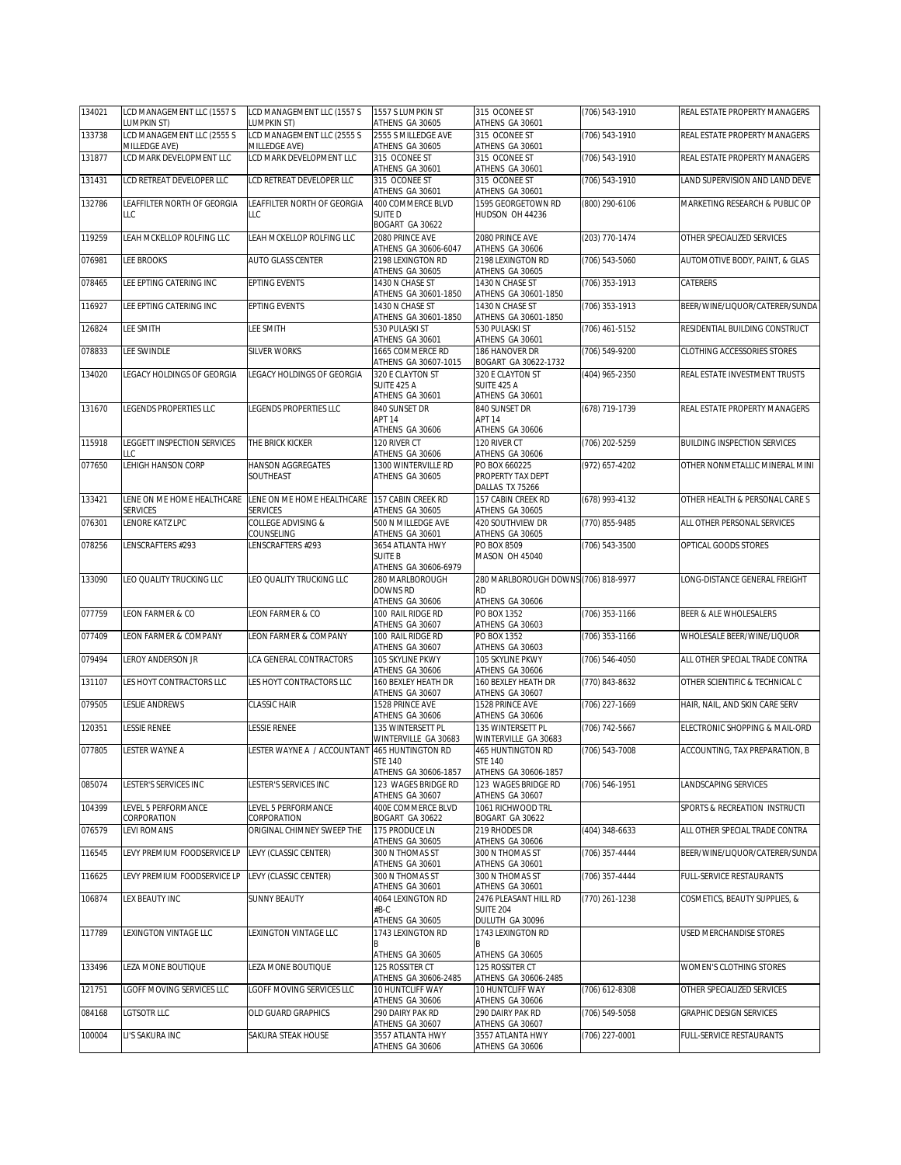| 134021 | LCD MANAGEMENT LLC (1557 S<br>LUMPKIN ST)     | LCD MANAGEMENT LLC (1557 S<br>UMPKIN ST)  | 1557 S LUMPKIN ST<br>ATHENS GA 30605                        | 315 OCONEE ST<br>ATHENS GA 30601                                   | (706) 543-1910     | REAL ESTATE PROPERTY MANAGERS       |
|--------|-----------------------------------------------|-------------------------------------------|-------------------------------------------------------------|--------------------------------------------------------------------|--------------------|-------------------------------------|
| 133738 | LCD MANAGEMENT LLC (2555 S                    | LCD MANAGEMENT LLC (2555 S                | 2555 S MILLEDGE AVE<br>ATHENS GA 30605                      | 315 OCONEE ST                                                      | (706) 543-1910     | REAL ESTATE PROPERTY MANAGERS       |
| 131877 | MILLEDGE AVE)<br>LCD MARK DEVELOPMENT LLC     | MILLEDGE AVE)<br>LCD MARK DEVELOPMENT LLC | 315 OCONEE ST                                               | ATHENS GA 30601<br>315 OCONEE ST                                   | (706) 543-1910     | REAL ESTATE PROPERTY MANAGERS       |
| 131431 | LCD RETREAT DEVELOPER LLC                     | LCD RETREAT DEVELOPER LLC                 | ATHENS GA 30601<br>315 OCONEE ST                            | ATHENS GA 30601<br>315 OCONEE ST                                   | (706) 543-1910     | LAND SUPERVISION AND LAND DEVE      |
| 132786 | LEAFFILTER NORTH OF GEORGIA                   | LEAFFILTER NORTH OF GEORGIA               | ATHENS GA 30601<br>400 COMMERCE BLVD                        | ATHENS GA 30601<br>1595 GEORGETOWN RD                              | (800) 290-6106     | MARKETING RESEARCH & PUBLIC OP      |
|        | LLC                                           | LLC                                       | <b>SUITED</b><br>BOGART GA 30622                            | HUDSON OH 44236                                                    |                    |                                     |
| 119259 | LEAH MCKELLOP ROLFING LLC                     | LEAH MCKELLOP ROLFING LLC                 | 2080 PRINCE AVE<br>ATHENS GA 30606-6047                     | 2080 PRINCE AVE<br>ATHENS GA 30606                                 | (203) 770-1474     | OTHER SPECIALIZED SERVICES          |
| 076981 | LEE BROOKS                                    | AUTO GLASS CENTER                         | 2198 LEXINGTON RD<br>ATHENS GA 30605                        | 2198 LEXINGTON RD<br>ATHENS GA 30605                               | (706) 543-5060     | AUTOMOTIVE BODY, PAINT, & GLAS      |
| 078465 | LEE EPTING CATERING INC                       | <b>EPTING EVENTS</b>                      | 1430 N CHASE ST<br>ATHENS GA 30601-1850                     | 1430 N CHASE ST<br>ATHENS GA 30601-1850                            | (706) 353-1913     | CATERERS                            |
| 116927 | LEE EPTING CATERING INC                       | <b>EPTING EVENTS</b>                      | 1430 N CHASE ST<br>ATHENS GA 30601-1850                     | 1430 N CHASE ST<br>ATHENS GA 30601-1850                            | (706) 353-1913     | BEER/WINE/LIQUOR/CATERER/SUNDA      |
| 126824 | LEE SMITH                                     | LEE SMITH                                 | 530 PULASKI ST<br>ATHENS GA 30601                           | 530 PULASKI ST<br>ATHENS GA 30601                                  | (706) 461-5152     | RESIDENTIAL BUILDING CONSTRUCT      |
| 078833 | LEE SWINDLE                                   | <b>SILVER WORKS</b>                       | 1665 COMMERCE RD                                            | 186 HANOVER DR                                                     | (706) 549-9200     | CLOTHING ACCESSORIES STORES         |
| 134020 | LEGACY HOLDINGS OF GEORGIA                    | LEGACY HOLDINGS OF GEORGIA                | ATHENS GA 30607-1015<br>320 E CLAYTON ST                    | BOGART GA 30622-1732<br>320 E CLAYTON ST                           | (404) 965-2350     | REAL ESTATE INVESTMENT TRUSTS       |
|        |                                               |                                           | SUITE 425 A<br>ATHENS GA 30601                              | SUITE 425 A<br>ATHENS GA 30601                                     |                    |                                     |
| 131670 | LEGENDS PROPERTIES LLC                        | LEGENDS PROPERTIES LLC                    | 840 SUNSET DR<br>APT 14                                     | 840 SUNSET DR<br>APT <sub>14</sub>                                 | (678) 719-1739     | REAL ESTATE PROPERTY MANAGERS       |
|        |                                               |                                           | ATHENS GA 30606                                             | ATHENS GA 30606                                                    |                    |                                     |
| 115918 | LEGGETT INSPECTION SERVICES<br>LLC            | THE BRICK KICKER                          | 120 RIVER CT<br>ATHENS GA 30606                             | 120 RIVER CT<br>ATHENS GA 30606                                    | (706) 202-5259     | <b>BUILDING INSPECTION SERVICES</b> |
| 077650 | LEHIGH HANSON CORP                            | HANSON AGGREGATES<br>SOUTHEAST            | 1300 WINTERVILLE RD<br>ATHENS GA 30605                      | PO BOX 660225<br>PROPERTY TAX DEPT<br>DALLAS TX 75266              | (972) 657-4202     | OTHER NONMETALLIC MINERAL MINI      |
| 133421 | LENE ON ME HOME HEALTHCARE<br><b>SERVICES</b> | LENE ON ME HOME HEALTHCARE<br>SERVICES    | 157 CABIN CREEK RD<br>ATHENS GA 30605                       | 157 CABIN CREEK RD<br>ATHENS GA 30605                              | (678) 993-4132     | OTHER HEALTH & PERSONAL CARE S      |
| 076301 | LENORE KATZ LPC                               | COLLEGE ADVISING &                        | 500 N MILLEDGE AVE                                          | <b>420 SOUTHVIEW DR</b>                                            | (770) 855-9485     | ALL OTHER PERSONAL SERVICES         |
| 078256 | LENSCRAFTERS #293                             | COUNSELING<br>LENSCRAFTERS #293           | ATHENS GA 30601<br>3654 ATLANTA HWY<br><b>SUITE B</b>       | ATHENS GA 30605<br>PO BOX 8509<br>MASON OH 45040                   | (706) 543-3500     | OPTICAL GOODS STORES                |
| 133090 | LEO QUALITY TRUCKING LLC                      | LEO QUALITY TRUCKING LLC                  | ATHENS GA 30606-6979<br>280 MARLBOROUGH                     | 280 MARLBOROUGH DOWNS (706) 818-9977                               |                    | LONG-DISTANCE GENERAL FREIGHT       |
|        |                                               |                                           | DOWNS RD<br>ATHENS GA 30606                                 | <b>RD</b><br>ATHENS GA 30606                                       |                    |                                     |
| 077759 | LEON FARMER & CO                              | LEON FARMER & CO                          | 100 RAIL RIDGE RD                                           | PO BOX 1352                                                        | (706) 353-1166     | BEER & ALE WHOLESALERS              |
| 077409 | LEON FARMER & COMPANY                         | LEON FARMER & COMPANY                     | ATHENS GA 30607<br>100 RAIL RIDGE RD                        | ATHENS GA 30603<br>PO BOX 1352                                     | (706) 353-1166     | WHOLESALE BEER/WINE/LIQUOR          |
| 079494 | LEROY ANDERSON JR                             | LCA GENERAL CONTRACTORS                   | ATHENS GA 30607<br>105 SKYLINE PKWY                         | ATHENS GA 30603<br>105 SKYLINE PKWY                                | $(706) 546 - 4050$ | ALL OTHER SPECIAL TRADE CONTRA      |
| 131107 | LES HOYT CONTRACTORS LLC                      | LES HOYT CONTRACTORS LLC                  | ATHENS GA 30606<br>160 BEXLEY HEATH DR                      | ATHENS GA 30606<br>160 BEXLEY HEATH DR                             | (770) 843-8632     | OTHER SCIENTIFIC & TECHNICAL C      |
| 079505 | LESLIE ANDREWS                                | <b>CLASSIC HAIR</b>                       | ATHENS GA 30607<br>1528 PRINCE AVE                          | ATHENS GA 30607<br>1528 PRINCE AVE                                 | (706) 227-1669     | HAIR, NAIL, AND SKIN CARE SERV      |
|        |                                               |                                           | ATHENS GA 30606<br>135 WINTERSETT PL                        | ATHENS GA 30606<br>135 WINTERSETT PL                               |                    |                                     |
| 120351 | LESSIE RENEE                                  | <b>LESSIE RENEE</b>                       | WINTERVILLE GA 30683                                        | WINTERVILLE GA 30683                                               | (706) 742-5667     | ELECTRONIC SHOPPING & MAIL-ORD      |
| 077805 | LESTER WAYNE A                                | LESTER WAYNE A / ACCOUNTANT               | 465 HUNTINGTON RD<br><b>STE 140</b><br>ATHENS GA 30606-1857 | <b>465 HUNTINGTON RD</b><br><b>STE 140</b><br>ATHENS GA 30606-1857 | (706) 543-7008     | ACCOUNTING, TAX PREPARATION, B      |
| 085074 | LESTER'S SERVICES INC                         | LESTER'S SERVICES INC                     | 123 WAGES BRIDGE RD                                         | 123 WAGES BRIDGE RD                                                | (706) 546-1951     | LANDSCAPING SERVICES                |
| 104399 | LEVEL 5 PERFORMANCE                           | LEVEL 5 PERFORMANCE                       | ATHENS GA 30607<br>400E COMMERCE BLVD                       | ATHENS GA 30607<br>1061 RICHWOOD TRL                               |                    | SPORTS & RECREATION INSTRUCTI       |
| 076579 | CORPORATION<br>LEVI ROMANS                    | CORPORATION<br>ORIGINAL CHIMNEY SWEEP THE | BOGART GA 30622<br>175 PRODUCE LN                           | BOGART GA 30622<br>219 RHODES DR                                   | (404) 348-6633     | ALL OTHER SPECIAL TRADE CONTRA      |
| 116545 | LEVY PREMIUM FOODSERVICE LP                   | LEVY (CLASSIC CENTER)                     | ATHENS GA 30605<br>300 N THOMAS ST                          | ATHENS GA 30606<br>300 N THOMAS ST                                 | (706) 357-4444     | BEER/WINE/LIQUOR/CATERER/SUNDA      |
|        |                                               |                                           | ATHENS GA 30601                                             | ATHENS GA 30601                                                    |                    |                                     |
| 116625 | LEVY PREMIUM FOODSERVICE LP                   | LEVY (CLASSIC CENTER)                     | 300 N THOMAS ST<br>ATHENS GA 30601                          | 300 N THOMAS ST<br>ATHENS GA 30601                                 | (706) 357-4444     | <b>FULL-SERVICE RESTAURANTS</b>     |
| 106874 | LEX BEAUTY INC                                | <b>SUNNY BEAUTY</b>                       | 4064 LEXINGTON RD<br>#B-C<br>ATHENS GA 30605                | 2476 PLEASANT HILL RD<br><b>SUITE 204</b><br>DULUTH GA 30096       | (770) 261-1238     | COSMETICS, BEAUTY SUPPLIES, &       |
| 117789 | <b>LEXINGTON VINTAGE LLC</b>                  | LEXINGTON VINTAGE LLC                     | 1743 LEXINGTON RD                                           | 1743 LEXINGTON RD                                                  |                    | USED MERCHANDISE STORES             |
| 133496 | LEZA MONE BOUTIQUE                            | LEZA MONE BOUTIQUE                        | ATHENS GA 30605<br>125 ROSSITER CT                          | ATHENS GA 30605<br>125 ROSSITER CT                                 |                    | WOMEN'S CLOTHING STORES             |
| 121751 | LGOFF MOVING SERVICES LLC                     | LGOFF MOVING SERVICES LLC                 | ATHENS GA 30606-2485<br>10 HUNTCLIFF WAY                    | ATHENS GA 30606-2485<br>10 HUNTCLIFF WAY                           | (706) 612-8308     | OTHER SPECIALIZED SERVICES          |
|        |                                               |                                           | ATHENS GA 30606                                             | ATHENS GA 30606                                                    |                    |                                     |
| 084168 | LGTSOTR LLC                                   | OLD GUARD GRAPHICS                        | 290 DAIRY PAK RD<br>ATHENS GA 30607                         | 290 DAIRY PAK RD<br>ATHENS GA 30607                                | (706) 549-5058     | GRAPHIC DESIGN SERVICES             |
| 100004 | LI'S SAKURA INC                               | SAKURA STEAK HOUSE                        | 3557 ATLANTA HWY<br>ATHENS GA 30606                         | 3557 ATLANTA HWY<br>ATHENS GA 30606                                | (706) 227-0001     | FULL-SERVICE RESTAURANTS            |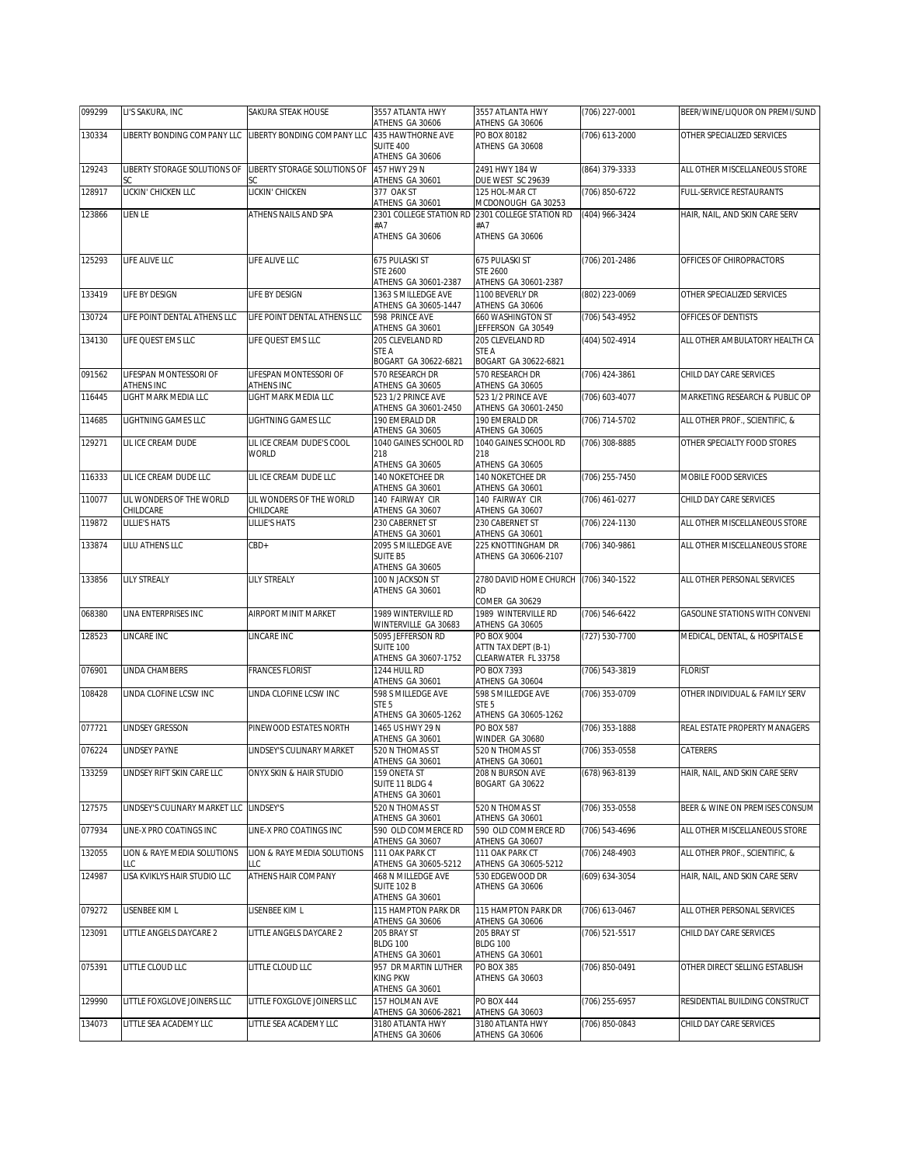| 435 HAWTHORNE AVE<br>PO BOX 80182<br>130334<br>IBERTY BONDING COMPANY LLC<br>LIBERTY BONDING COMPANY LLC<br>(706) 613-2000<br>OTHER SPECIALIZED SERVICES<br>SUITE 400<br>ATHENS GA 30608<br>ATHENS GA 30606<br>LIBERTY STORAGE SOLUTIONS OF<br>LIBERTY STORAGE SOLUTIONS OF<br>457 HWY 29 N<br>2491 HWY 184 W<br>(864) 379-3333<br>ALL OTHER MISCELLANEOUS STORE<br>129243<br>ATHENS GA 30601<br>DUE WEST SC 29639<br>SC<br>SC<br>128917<br>377 OAK ST<br>125 HOL-MAR CT<br>FULL-SERVICE RESTAURANTS<br>LICKIN' CHICKEN LLC<br>LICKIN' CHICKEN<br>(706) 850-6722<br>ATHENS GA 30601<br>MCDONOUGH GA 30253<br>LIEN LE<br>ATHENS NAILS AND SPA<br>2301 COLLEGE STATION RD 2301 COLLEGE STATION RD<br>HAIR, NAIL, AND SKIN CARE SERV<br>123866<br>(404) 966-3424<br>#A7<br>#A7<br>ATHENS GA 30606<br>ATHENS GA 30606<br>LIFE ALIVE LLC<br>LIFE ALIVE LLC<br>675 PULASKI ST<br>675 PULASKI ST<br>(706) 201-2486<br>125293<br>OFFICES OF CHIROPRACTORS<br><b>STE 2600</b><br><b>STE 2600</b><br>ATHENS GA 30601-2387<br>ATHENS GA 30601-2387<br>1363 S MILLEDGE AVE<br>1100 BEVERLY DR<br>133419<br>LIFE BY DESIGN<br>LIFE BY DESIGN<br>(802) 223-0069<br>OTHER SPECIALIZED SERVICES<br>ATHENS GA 30605-1447<br>ATHENS GA 30606<br>598 PRINCE AVE<br>660 WASHINGTON ST<br>(706) 543-4952<br>OFFICES OF DENTISTS<br>130724<br>LIFE POINT DENTAL ATHENS LLC<br>LIFE POINT DENTAL ATHENS LLC<br>JEFFERSON GA 30549<br>ATHENS GA 30601<br>LIFE QUEST EMS LLC<br>LIFE QUEST EMS LLC<br>205 CLEVELAND RD<br>205 CLEVELAND RD<br>(404) 502-4914<br>ALL OTHER AMBULATORY HEALTH CA<br>134130<br>STE A<br>STE A<br>BOGART GA 30622-6821<br>BOGART GA 30622-6821<br>LIFESPAN MONTESSORI OF<br>LIFESPAN MONTESSORI OF<br>570 RESEARCH DR<br>570 RESEARCH DR<br>(706) 424-3861<br>CHILD DAY CARE SERVICES<br>091562<br>ATHENS INC<br>ATHENS GA 30605<br>ATHENS INC<br>ATHENS GA 30605<br>LIGHT MARK MEDIA LLC<br>LIGHT MARK MEDIA LLC<br>523 1/2 PRINCE AVE<br>523 1/2 PRINCE AVE<br>116445<br>(706) 603-4077<br>MARKETING RESEARCH & PUBLIC OP<br>ATHENS GA 30601-2450<br>ATHENS GA 30601-2450<br>LIGHTNING GAMES LLC<br>LIGHTNING GAMES LLC<br>190 EMERALD DR<br>(706) 714-5702<br>ALL OTHER PROF., SCIENTIFIC, &<br>114685<br>190 EMERALD DR<br>ATHENS GA 30605<br>ATHENS GA 30605<br>129271<br>LIL ICE CREAM DUDE<br>LIL ICE CREAM DUDE'S COOL<br>1040 GAINES SCHOOL RD<br>1040 GAINES SCHOOL RD<br>OTHER SPECIALTY FOOD STORES<br>(706) 308-8885<br><b>WORLD</b><br>218<br>218<br>ATHENS GA 30605<br>ATHENS GA 30605<br>LIL ICE CREAM DUDE LLC<br>LIL ICE CREAM DUDE LLC<br>140 NOKFTCHFF DR<br>140 NOKFTCHFF DR<br>(706) 255-7450<br>MOBILE FOOD SERVICES<br>116333<br>ATHENS GA 30601<br>ATHENS GA 30601<br>LIL WONDERS OF THE WORLD<br>LIL WONDERS OF THE WORLD<br>110077<br>140 FAIRWAY CIR<br>140 FAIRWAY CIR<br>(706) 461-0277<br>CHILD DAY CARE SERVICES<br>CHILDCARE<br>CHILDCARE<br>ATHENS GA 30607<br>ATHENS GA 30607<br>LILLIE'S HATS<br>LILLIE'S HATS<br>119872<br>230 CABERNET ST<br>230 CABERNET ST<br>(706) 224-1130<br>ALL OTHER MISCELLANEOUS STORE<br>ATHENS GA 30601<br>ATHENS GA 30601<br>LILU ATHENS LLC<br>2095 S MILLEDGE AVE<br>225 KNOTTINGHAM DR<br>(706) 340-9861<br>ALL OTHER MISCELLANEOUS STORE<br>133874<br>CBD+<br>ATHENS GA 30606-2107<br>SUITE B5<br>ATHENS GA 30605<br><b>LILY STREALY</b><br><b>LILY STREALY</b><br>100 N JACKSON ST<br>2780 DAVID HOME CHURCH<br>(706) 340-1522<br>ALL OTHER PERSONAL SERVICES<br>133856<br>ATHENS GA 30601<br>RD<br><b>COMER GA 30629</b><br>1989 WINTERVILLE RD<br><b>GASOLINE STATIONS WITH CONVENI</b><br>068380<br>LINA ENTERPRISES INC<br><b>AIRPORT MINIT MARKET</b><br>1989 WINTERVILLE RD<br>(706) 546-6422<br>ATHENS GA 30605<br>WINTERVILLE GA 30683<br>LINCARE INC<br>128523<br>LINCARE INC<br>5095 JEFFERSON RD<br>PO BOX 9004<br>(727) 530-7700<br>MEDICAL, DENTAL, & HOSPITALS E<br><b>SUITE 100</b><br>ATTN TAX DEPT (B-1)<br>ATHENS GA 30607-1752<br>CLEARWATER FL 33758<br>1244 HULL RD<br>076901<br>LINDA CHAMBERS<br><b>FRANCES FLORIST</b><br>PO BOX 7393<br>(706) 543-3819<br><b>FLORIST</b><br>ATHENS GA 30604<br>ATHENS GA 30601<br>LINDA CLOFINE LCSW INC<br>LINDA CLOFINE LCSW INC<br>598 S MILLEDGE AVE<br>598 S MILLEDGE AVE<br>(706) 353-0709<br>OTHER INDIVIDUAL & FAMILY SERV<br>108428<br>STE <sub>5</sub><br>STE <sub>5</sub><br>ATHENS GA 30605-1262<br>ATHENS GA 30605-1262<br>077721<br>LINDSEY GRESSON<br>PINEWOOD ESTATES NORTH<br>1465 US HWY 29 N<br><b>PO BOX 587</b><br>REAL ESTATE PROPERTY MANAGERS<br>(706) 353-1888<br>WINDER GA 30680<br>ATHENS GA 30601<br>076224<br>LINDSEY PAYNE<br>LINDSEY'S CULINARY MARKET<br>520 N THOMAS ST<br>520 N THOMAS ST<br>(706) 353-0558<br>CATERERS<br>ATHENS GA 30601<br>ATHENS GA 30601<br>159 ONETA ST<br>208 N BURSON AVE<br>133259<br>LINDSEY RIFT SKIN CARE LLC<br>ONYX SKIN & HAIR STUDIO<br>(678) 963-8139<br>HAIR, NAIL, AND SKIN CARE SERV<br>SUITE 11 BLDG 4<br>BOGART GA 30622<br>ATHENS GA 30601<br>LINDSEY'S CULINARY MARKET LLC LINDSEY'S<br>(706) 353-0558<br>BEER & WINE ON PREMISES CONSUM<br>127575<br>520 N THOMAS ST<br>520 N THOMAS ST<br>ATHENS GA 30601<br>ATHENS GA 30601<br>LINE-X PRO COATINGS INC<br>LINE-X PRO COATINGS INC<br>ALL OTHER MISCELLANEOUS STORE<br>077934<br>590 OLD COMMERCE RD<br>590 OLD COMMERCE RD<br>(706) 543-4696<br>ATHENS GA 30607<br>ATHENS GA 30607<br>ALL OTHER PROF., SCIENTIFIC, &<br>132055<br>LION & RAYE MEDIA SOLUTIONS<br>LION & RAYE MEDIA SOLUTIONS<br>111 OAK PARK CT<br>111 OAK PARK CT<br>(706) 248-4903<br>ATHENS GA 30605-5212<br>ATHENS GA 30605-5212<br>LLC<br>LC<br>LISA KVIKLYS HAIR STUDIO LLC<br>ATHENS HAIR COMPANY<br><b>468 N MILLEDGE AVE</b><br>530 EDGEWOOD DR<br>124987<br>(609) 634-3054<br>HAIR, NAIL, AND SKIN CARE SERV<br><b>SUITE 102 B</b><br>ATHENS GA 30606<br>ATHENS GA 30601<br>115 HAMPTON PARK DR<br>ALL OTHER PERSONAL SERVICES<br>079272<br>LISENBEE KIM L<br>LISENBEE KIM L<br>115 HAMPTON PARK DR<br>(706) 613-0467<br>ATHENS GA 30606<br>ATHENS GA 30606<br>123091<br>LITTLE ANGELS DAYCARE 2<br>LITTLE ANGELS DAYCARE 2<br>205 BRAY ST<br>205 BRAY ST<br>(706) 521-5517<br>CHILD DAY CARE SERVICES<br><b>BLDG 100</b><br><b>BLDG 100</b><br>ATHENS GA 30601<br>ATHENS GA 30601<br>LITTLE CLOUD LLC<br>LITTLE CLOUD LLC<br>OTHER DIRECT SELLING ESTABLISH<br>075391<br>957 DR MARTIN LUTHER<br>PO BOX 385<br>(706) 850-0491<br>KING PKW<br>ATHENS GA 30603<br>ATHENS GA 30601<br>LITTLE FOXGLOVE JOINERS LLC<br>129990<br>LITTLE FOXGLOVE JOINERS LLC<br>157 HOLMAN AVE<br>PO BOX 444<br>(706) 255-6957<br>RESIDENTIAL BUILDING CONSTRUCT<br>ATHENS GA 30606-2821<br>ATHENS GA 30603<br>LITTLE SEA ACADEMY LLC<br>LITTLE SEA ACADEMY LLC<br>3180 ATLANTA HWY<br>3180 ATLANTA HWY<br>(706) 850-0843<br>CHILD DAY CARE SERVICES<br>134073<br>ATHENS GA 30606<br>ATHENS GA 30606 | 099299 | LI'S SAKURA, INC | SAKURA STEAK HOUSE | 3557 ATLANTA HWY | 3557 ATLANTA HWY | (706) 227-0001 | BEER/WINE/LIQUOR ON PREMI/SUND |
|----------------------------------------------------------------------------------------------------------------------------------------------------------------------------------------------------------------------------------------------------------------------------------------------------------------------------------------------------------------------------------------------------------------------------------------------------------------------------------------------------------------------------------------------------------------------------------------------------------------------------------------------------------------------------------------------------------------------------------------------------------------------------------------------------------------------------------------------------------------------------------------------------------------------------------------------------------------------------------------------------------------------------------------------------------------------------------------------------------------------------------------------------------------------------------------------------------------------------------------------------------------------------------------------------------------------------------------------------------------------------------------------------------------------------------------------------------------------------------------------------------------------------------------------------------------------------------------------------------------------------------------------------------------------------------------------------------------------------------------------------------------------------------------------------------------------------------------------------------------------------------------------------------------------------------------------------------------------------------------------------------------------------------------------------------------------------------------------------------------------------------------------------------------------------------------------------------------------------------------------------------------------------------------------------------------------------------------------------------------------------------------------------------------------------------------------------------------------------------------------------------------------------------------------------------------------------------------------------------------------------------------------------------------------------------------------------------------------------------------------------------------------------------------------------------------------------------------------------------------------------------------------------------------------------------------------------------------------------------------------------------------------------------------------------------------------------------------------------------------------------------------------------------------------------------------------------------------------------------------------------------------------------------------------------------------------------------------------------------------------------------------------------------------------------------------------------------------------------------------------------------------------------------------------------------------------------------------------------------------------------------------------------------------------------------------------------------------------------------------------------------------------------------------------------------------------------------------------------------------------------------------------------------------------------------------------------------------------------------------------------------------------------------------------------------------------------------------------------------------------------------------------------------------------------------------------------------------------------------------------------------------------------------------------------------------------------------------------------------------------------------------------------------------------------------------------------------------------------------------------------------------------------------------------------------------------------------------------------------------------------------------------------------------------------------------------------------------------------------------------------------------------------------------------------------------------------------------------------------------------------------------------------------------------------------------------------------------------------------------------------------------------------------------------------------------------------------------------------------------------------------------------------------------------------------------------------------------------------------------------------------------------------------------------------------------------------------------------------------------------------------------------------------------------------------------------------------------------------------------------------------------------------------------------------------------------------------------------------------------------------------------------------------------------------------------------------------------------------------------------------------------------------------------------------------------------------------------------------------------------------------------------------------------------------------------------------------------------------------------------------------------------------------------------------------------------------------------------------------------------------------------------------------------------------------------------------------------------------------------------------------------------------------------------------------------------------------------------------------------------------------------------------------------------------------------------------------------------------------------------------------------------------------------------------------------------------------------------------------------------------------------------------------------------------------------------------------------------------------------------------------------------------------------------------------------------------|--------|------------------|--------------------|------------------|------------------|----------------|--------------------------------|
|                                                                                                                                                                                                                                                                                                                                                                                                                                                                                                                                                                                                                                                                                                                                                                                                                                                                                                                                                                                                                                                                                                                                                                                                                                                                                                                                                                                                                                                                                                                                                                                                                                                                                                                                                                                                                                                                                                                                                                                                                                                                                                                                                                                                                                                                                                                                                                                                                                                                                                                                                                                                                                                                                                                                                                                                                                                                                                                                                                                                                                                                                                                                                                                                                                                                                                                                                                                                                                                                                                                                                                                                                                                                                                                                                                                                                                                                                                                                                                                                                                                                                                                                                                                                                                                                                                                                                                                                                                                                                                                                                                                                                                                                                                                                                                                                                                                                                                                                                                                                                                                                                                                                                                                                                                                                                                                                                                                                                                                                                                                                                                                                                                                                                                                                                                                                                                                                                                                                                                                                                                                                                                                                                                                                                                                                                                                                                                                                                                                                                                                                                                                                                                                                                                                                                                                                                            |        |                  |                    | ATHENS GA 30606  | ATHENS GA 30606  |                |                                |
|                                                                                                                                                                                                                                                                                                                                                                                                                                                                                                                                                                                                                                                                                                                                                                                                                                                                                                                                                                                                                                                                                                                                                                                                                                                                                                                                                                                                                                                                                                                                                                                                                                                                                                                                                                                                                                                                                                                                                                                                                                                                                                                                                                                                                                                                                                                                                                                                                                                                                                                                                                                                                                                                                                                                                                                                                                                                                                                                                                                                                                                                                                                                                                                                                                                                                                                                                                                                                                                                                                                                                                                                                                                                                                                                                                                                                                                                                                                                                                                                                                                                                                                                                                                                                                                                                                                                                                                                                                                                                                                                                                                                                                                                                                                                                                                                                                                                                                                                                                                                                                                                                                                                                                                                                                                                                                                                                                                                                                                                                                                                                                                                                                                                                                                                                                                                                                                                                                                                                                                                                                                                                                                                                                                                                                                                                                                                                                                                                                                                                                                                                                                                                                                                                                                                                                                                                            |        |                  |                    |                  |                  |                |                                |
|                                                                                                                                                                                                                                                                                                                                                                                                                                                                                                                                                                                                                                                                                                                                                                                                                                                                                                                                                                                                                                                                                                                                                                                                                                                                                                                                                                                                                                                                                                                                                                                                                                                                                                                                                                                                                                                                                                                                                                                                                                                                                                                                                                                                                                                                                                                                                                                                                                                                                                                                                                                                                                                                                                                                                                                                                                                                                                                                                                                                                                                                                                                                                                                                                                                                                                                                                                                                                                                                                                                                                                                                                                                                                                                                                                                                                                                                                                                                                                                                                                                                                                                                                                                                                                                                                                                                                                                                                                                                                                                                                                                                                                                                                                                                                                                                                                                                                                                                                                                                                                                                                                                                                                                                                                                                                                                                                                                                                                                                                                                                                                                                                                                                                                                                                                                                                                                                                                                                                                                                                                                                                                                                                                                                                                                                                                                                                                                                                                                                                                                                                                                                                                                                                                                                                                                                                            |        |                  |                    |                  |                  |                |                                |
|                                                                                                                                                                                                                                                                                                                                                                                                                                                                                                                                                                                                                                                                                                                                                                                                                                                                                                                                                                                                                                                                                                                                                                                                                                                                                                                                                                                                                                                                                                                                                                                                                                                                                                                                                                                                                                                                                                                                                                                                                                                                                                                                                                                                                                                                                                                                                                                                                                                                                                                                                                                                                                                                                                                                                                                                                                                                                                                                                                                                                                                                                                                                                                                                                                                                                                                                                                                                                                                                                                                                                                                                                                                                                                                                                                                                                                                                                                                                                                                                                                                                                                                                                                                                                                                                                                                                                                                                                                                                                                                                                                                                                                                                                                                                                                                                                                                                                                                                                                                                                                                                                                                                                                                                                                                                                                                                                                                                                                                                                                                                                                                                                                                                                                                                                                                                                                                                                                                                                                                                                                                                                                                                                                                                                                                                                                                                                                                                                                                                                                                                                                                                                                                                                                                                                                                                                            |        |                  |                    |                  |                  |                |                                |
|                                                                                                                                                                                                                                                                                                                                                                                                                                                                                                                                                                                                                                                                                                                                                                                                                                                                                                                                                                                                                                                                                                                                                                                                                                                                                                                                                                                                                                                                                                                                                                                                                                                                                                                                                                                                                                                                                                                                                                                                                                                                                                                                                                                                                                                                                                                                                                                                                                                                                                                                                                                                                                                                                                                                                                                                                                                                                                                                                                                                                                                                                                                                                                                                                                                                                                                                                                                                                                                                                                                                                                                                                                                                                                                                                                                                                                                                                                                                                                                                                                                                                                                                                                                                                                                                                                                                                                                                                                                                                                                                                                                                                                                                                                                                                                                                                                                                                                                                                                                                                                                                                                                                                                                                                                                                                                                                                                                                                                                                                                                                                                                                                                                                                                                                                                                                                                                                                                                                                                                                                                                                                                                                                                                                                                                                                                                                                                                                                                                                                                                                                                                                                                                                                                                                                                                                                            |        |                  |                    |                  |                  |                |                                |
|                                                                                                                                                                                                                                                                                                                                                                                                                                                                                                                                                                                                                                                                                                                                                                                                                                                                                                                                                                                                                                                                                                                                                                                                                                                                                                                                                                                                                                                                                                                                                                                                                                                                                                                                                                                                                                                                                                                                                                                                                                                                                                                                                                                                                                                                                                                                                                                                                                                                                                                                                                                                                                                                                                                                                                                                                                                                                                                                                                                                                                                                                                                                                                                                                                                                                                                                                                                                                                                                                                                                                                                                                                                                                                                                                                                                                                                                                                                                                                                                                                                                                                                                                                                                                                                                                                                                                                                                                                                                                                                                                                                                                                                                                                                                                                                                                                                                                                                                                                                                                                                                                                                                                                                                                                                                                                                                                                                                                                                                                                                                                                                                                                                                                                                                                                                                                                                                                                                                                                                                                                                                                                                                                                                                                                                                                                                                                                                                                                                                                                                                                                                                                                                                                                                                                                                                                            |        |                  |                    |                  |                  |                |                                |
|                                                                                                                                                                                                                                                                                                                                                                                                                                                                                                                                                                                                                                                                                                                                                                                                                                                                                                                                                                                                                                                                                                                                                                                                                                                                                                                                                                                                                                                                                                                                                                                                                                                                                                                                                                                                                                                                                                                                                                                                                                                                                                                                                                                                                                                                                                                                                                                                                                                                                                                                                                                                                                                                                                                                                                                                                                                                                                                                                                                                                                                                                                                                                                                                                                                                                                                                                                                                                                                                                                                                                                                                                                                                                                                                                                                                                                                                                                                                                                                                                                                                                                                                                                                                                                                                                                                                                                                                                                                                                                                                                                                                                                                                                                                                                                                                                                                                                                                                                                                                                                                                                                                                                                                                                                                                                                                                                                                                                                                                                                                                                                                                                                                                                                                                                                                                                                                                                                                                                                                                                                                                                                                                                                                                                                                                                                                                                                                                                                                                                                                                                                                                                                                                                                                                                                                                                            |        |                  |                    |                  |                  |                |                                |
|                                                                                                                                                                                                                                                                                                                                                                                                                                                                                                                                                                                                                                                                                                                                                                                                                                                                                                                                                                                                                                                                                                                                                                                                                                                                                                                                                                                                                                                                                                                                                                                                                                                                                                                                                                                                                                                                                                                                                                                                                                                                                                                                                                                                                                                                                                                                                                                                                                                                                                                                                                                                                                                                                                                                                                                                                                                                                                                                                                                                                                                                                                                                                                                                                                                                                                                                                                                                                                                                                                                                                                                                                                                                                                                                                                                                                                                                                                                                                                                                                                                                                                                                                                                                                                                                                                                                                                                                                                                                                                                                                                                                                                                                                                                                                                                                                                                                                                                                                                                                                                                                                                                                                                                                                                                                                                                                                                                                                                                                                                                                                                                                                                                                                                                                                                                                                                                                                                                                                                                                                                                                                                                                                                                                                                                                                                                                                                                                                                                                                                                                                                                                                                                                                                                                                                                                                            |        |                  |                    |                  |                  |                |                                |
|                                                                                                                                                                                                                                                                                                                                                                                                                                                                                                                                                                                                                                                                                                                                                                                                                                                                                                                                                                                                                                                                                                                                                                                                                                                                                                                                                                                                                                                                                                                                                                                                                                                                                                                                                                                                                                                                                                                                                                                                                                                                                                                                                                                                                                                                                                                                                                                                                                                                                                                                                                                                                                                                                                                                                                                                                                                                                                                                                                                                                                                                                                                                                                                                                                                                                                                                                                                                                                                                                                                                                                                                                                                                                                                                                                                                                                                                                                                                                                                                                                                                                                                                                                                                                                                                                                                                                                                                                                                                                                                                                                                                                                                                                                                                                                                                                                                                                                                                                                                                                                                                                                                                                                                                                                                                                                                                                                                                                                                                                                                                                                                                                                                                                                                                                                                                                                                                                                                                                                                                                                                                                                                                                                                                                                                                                                                                                                                                                                                                                                                                                                                                                                                                                                                                                                                                                            |        |                  |                    |                  |                  |                |                                |
|                                                                                                                                                                                                                                                                                                                                                                                                                                                                                                                                                                                                                                                                                                                                                                                                                                                                                                                                                                                                                                                                                                                                                                                                                                                                                                                                                                                                                                                                                                                                                                                                                                                                                                                                                                                                                                                                                                                                                                                                                                                                                                                                                                                                                                                                                                                                                                                                                                                                                                                                                                                                                                                                                                                                                                                                                                                                                                                                                                                                                                                                                                                                                                                                                                                                                                                                                                                                                                                                                                                                                                                                                                                                                                                                                                                                                                                                                                                                                                                                                                                                                                                                                                                                                                                                                                                                                                                                                                                                                                                                                                                                                                                                                                                                                                                                                                                                                                                                                                                                                                                                                                                                                                                                                                                                                                                                                                                                                                                                                                                                                                                                                                                                                                                                                                                                                                                                                                                                                                                                                                                                                                                                                                                                                                                                                                                                                                                                                                                                                                                                                                                                                                                                                                                                                                                                                            |        |                  |                    |                  |                  |                |                                |
|                                                                                                                                                                                                                                                                                                                                                                                                                                                                                                                                                                                                                                                                                                                                                                                                                                                                                                                                                                                                                                                                                                                                                                                                                                                                                                                                                                                                                                                                                                                                                                                                                                                                                                                                                                                                                                                                                                                                                                                                                                                                                                                                                                                                                                                                                                                                                                                                                                                                                                                                                                                                                                                                                                                                                                                                                                                                                                                                                                                                                                                                                                                                                                                                                                                                                                                                                                                                                                                                                                                                                                                                                                                                                                                                                                                                                                                                                                                                                                                                                                                                                                                                                                                                                                                                                                                                                                                                                                                                                                                                                                                                                                                                                                                                                                                                                                                                                                                                                                                                                                                                                                                                                                                                                                                                                                                                                                                                                                                                                                                                                                                                                                                                                                                                                                                                                                                                                                                                                                                                                                                                                                                                                                                                                                                                                                                                                                                                                                                                                                                                                                                                                                                                                                                                                                                                                            |        |                  |                    |                  |                  |                |                                |
|                                                                                                                                                                                                                                                                                                                                                                                                                                                                                                                                                                                                                                                                                                                                                                                                                                                                                                                                                                                                                                                                                                                                                                                                                                                                                                                                                                                                                                                                                                                                                                                                                                                                                                                                                                                                                                                                                                                                                                                                                                                                                                                                                                                                                                                                                                                                                                                                                                                                                                                                                                                                                                                                                                                                                                                                                                                                                                                                                                                                                                                                                                                                                                                                                                                                                                                                                                                                                                                                                                                                                                                                                                                                                                                                                                                                                                                                                                                                                                                                                                                                                                                                                                                                                                                                                                                                                                                                                                                                                                                                                                                                                                                                                                                                                                                                                                                                                                                                                                                                                                                                                                                                                                                                                                                                                                                                                                                                                                                                                                                                                                                                                                                                                                                                                                                                                                                                                                                                                                                                                                                                                                                                                                                                                                                                                                                                                                                                                                                                                                                                                                                                                                                                                                                                                                                                                            |        |                  |                    |                  |                  |                |                                |
|                                                                                                                                                                                                                                                                                                                                                                                                                                                                                                                                                                                                                                                                                                                                                                                                                                                                                                                                                                                                                                                                                                                                                                                                                                                                                                                                                                                                                                                                                                                                                                                                                                                                                                                                                                                                                                                                                                                                                                                                                                                                                                                                                                                                                                                                                                                                                                                                                                                                                                                                                                                                                                                                                                                                                                                                                                                                                                                                                                                                                                                                                                                                                                                                                                                                                                                                                                                                                                                                                                                                                                                                                                                                                                                                                                                                                                                                                                                                                                                                                                                                                                                                                                                                                                                                                                                                                                                                                                                                                                                                                                                                                                                                                                                                                                                                                                                                                                                                                                                                                                                                                                                                                                                                                                                                                                                                                                                                                                                                                                                                                                                                                                                                                                                                                                                                                                                                                                                                                                                                                                                                                                                                                                                                                                                                                                                                                                                                                                                                                                                                                                                                                                                                                                                                                                                                                            |        |                  |                    |                  |                  |                |                                |
|                                                                                                                                                                                                                                                                                                                                                                                                                                                                                                                                                                                                                                                                                                                                                                                                                                                                                                                                                                                                                                                                                                                                                                                                                                                                                                                                                                                                                                                                                                                                                                                                                                                                                                                                                                                                                                                                                                                                                                                                                                                                                                                                                                                                                                                                                                                                                                                                                                                                                                                                                                                                                                                                                                                                                                                                                                                                                                                                                                                                                                                                                                                                                                                                                                                                                                                                                                                                                                                                                                                                                                                                                                                                                                                                                                                                                                                                                                                                                                                                                                                                                                                                                                                                                                                                                                                                                                                                                                                                                                                                                                                                                                                                                                                                                                                                                                                                                                                                                                                                                                                                                                                                                                                                                                                                                                                                                                                                                                                                                                                                                                                                                                                                                                                                                                                                                                                                                                                                                                                                                                                                                                                                                                                                                                                                                                                                                                                                                                                                                                                                                                                                                                                                                                                                                                                                                            |        |                  |                    |                  |                  |                |                                |
|                                                                                                                                                                                                                                                                                                                                                                                                                                                                                                                                                                                                                                                                                                                                                                                                                                                                                                                                                                                                                                                                                                                                                                                                                                                                                                                                                                                                                                                                                                                                                                                                                                                                                                                                                                                                                                                                                                                                                                                                                                                                                                                                                                                                                                                                                                                                                                                                                                                                                                                                                                                                                                                                                                                                                                                                                                                                                                                                                                                                                                                                                                                                                                                                                                                                                                                                                                                                                                                                                                                                                                                                                                                                                                                                                                                                                                                                                                                                                                                                                                                                                                                                                                                                                                                                                                                                                                                                                                                                                                                                                                                                                                                                                                                                                                                                                                                                                                                                                                                                                                                                                                                                                                                                                                                                                                                                                                                                                                                                                                                                                                                                                                                                                                                                                                                                                                                                                                                                                                                                                                                                                                                                                                                                                                                                                                                                                                                                                                                                                                                                                                                                                                                                                                                                                                                                                            |        |                  |                    |                  |                  |                |                                |
|                                                                                                                                                                                                                                                                                                                                                                                                                                                                                                                                                                                                                                                                                                                                                                                                                                                                                                                                                                                                                                                                                                                                                                                                                                                                                                                                                                                                                                                                                                                                                                                                                                                                                                                                                                                                                                                                                                                                                                                                                                                                                                                                                                                                                                                                                                                                                                                                                                                                                                                                                                                                                                                                                                                                                                                                                                                                                                                                                                                                                                                                                                                                                                                                                                                                                                                                                                                                                                                                                                                                                                                                                                                                                                                                                                                                                                                                                                                                                                                                                                                                                                                                                                                                                                                                                                                                                                                                                                                                                                                                                                                                                                                                                                                                                                                                                                                                                                                                                                                                                                                                                                                                                                                                                                                                                                                                                                                                                                                                                                                                                                                                                                                                                                                                                                                                                                                                                                                                                                                                                                                                                                                                                                                                                                                                                                                                                                                                                                                                                                                                                                                                                                                                                                                                                                                                                            |        |                  |                    |                  |                  |                |                                |
|                                                                                                                                                                                                                                                                                                                                                                                                                                                                                                                                                                                                                                                                                                                                                                                                                                                                                                                                                                                                                                                                                                                                                                                                                                                                                                                                                                                                                                                                                                                                                                                                                                                                                                                                                                                                                                                                                                                                                                                                                                                                                                                                                                                                                                                                                                                                                                                                                                                                                                                                                                                                                                                                                                                                                                                                                                                                                                                                                                                                                                                                                                                                                                                                                                                                                                                                                                                                                                                                                                                                                                                                                                                                                                                                                                                                                                                                                                                                                                                                                                                                                                                                                                                                                                                                                                                                                                                                                                                                                                                                                                                                                                                                                                                                                                                                                                                                                                                                                                                                                                                                                                                                                                                                                                                                                                                                                                                                                                                                                                                                                                                                                                                                                                                                                                                                                                                                                                                                                                                                                                                                                                                                                                                                                                                                                                                                                                                                                                                                                                                                                                                                                                                                                                                                                                                                                            |        |                  |                    |                  |                  |                |                                |
|                                                                                                                                                                                                                                                                                                                                                                                                                                                                                                                                                                                                                                                                                                                                                                                                                                                                                                                                                                                                                                                                                                                                                                                                                                                                                                                                                                                                                                                                                                                                                                                                                                                                                                                                                                                                                                                                                                                                                                                                                                                                                                                                                                                                                                                                                                                                                                                                                                                                                                                                                                                                                                                                                                                                                                                                                                                                                                                                                                                                                                                                                                                                                                                                                                                                                                                                                                                                                                                                                                                                                                                                                                                                                                                                                                                                                                                                                                                                                                                                                                                                                                                                                                                                                                                                                                                                                                                                                                                                                                                                                                                                                                                                                                                                                                                                                                                                                                                                                                                                                                                                                                                                                                                                                                                                                                                                                                                                                                                                                                                                                                                                                                                                                                                                                                                                                                                                                                                                                                                                                                                                                                                                                                                                                                                                                                                                                                                                                                                                                                                                                                                                                                                                                                                                                                                                                            |        |                  |                    |                  |                  |                |                                |
|                                                                                                                                                                                                                                                                                                                                                                                                                                                                                                                                                                                                                                                                                                                                                                                                                                                                                                                                                                                                                                                                                                                                                                                                                                                                                                                                                                                                                                                                                                                                                                                                                                                                                                                                                                                                                                                                                                                                                                                                                                                                                                                                                                                                                                                                                                                                                                                                                                                                                                                                                                                                                                                                                                                                                                                                                                                                                                                                                                                                                                                                                                                                                                                                                                                                                                                                                                                                                                                                                                                                                                                                                                                                                                                                                                                                                                                                                                                                                                                                                                                                                                                                                                                                                                                                                                                                                                                                                                                                                                                                                                                                                                                                                                                                                                                                                                                                                                                                                                                                                                                                                                                                                                                                                                                                                                                                                                                                                                                                                                                                                                                                                                                                                                                                                                                                                                                                                                                                                                                                                                                                                                                                                                                                                                                                                                                                                                                                                                                                                                                                                                                                                                                                                                                                                                                                                            |        |                  |                    |                  |                  |                |                                |
|                                                                                                                                                                                                                                                                                                                                                                                                                                                                                                                                                                                                                                                                                                                                                                                                                                                                                                                                                                                                                                                                                                                                                                                                                                                                                                                                                                                                                                                                                                                                                                                                                                                                                                                                                                                                                                                                                                                                                                                                                                                                                                                                                                                                                                                                                                                                                                                                                                                                                                                                                                                                                                                                                                                                                                                                                                                                                                                                                                                                                                                                                                                                                                                                                                                                                                                                                                                                                                                                                                                                                                                                                                                                                                                                                                                                                                                                                                                                                                                                                                                                                                                                                                                                                                                                                                                                                                                                                                                                                                                                                                                                                                                                                                                                                                                                                                                                                                                                                                                                                                                                                                                                                                                                                                                                                                                                                                                                                                                                                                                                                                                                                                                                                                                                                                                                                                                                                                                                                                                                                                                                                                                                                                                                                                                                                                                                                                                                                                                                                                                                                                                                                                                                                                                                                                                                                            |        |                  |                    |                  |                  |                |                                |
|                                                                                                                                                                                                                                                                                                                                                                                                                                                                                                                                                                                                                                                                                                                                                                                                                                                                                                                                                                                                                                                                                                                                                                                                                                                                                                                                                                                                                                                                                                                                                                                                                                                                                                                                                                                                                                                                                                                                                                                                                                                                                                                                                                                                                                                                                                                                                                                                                                                                                                                                                                                                                                                                                                                                                                                                                                                                                                                                                                                                                                                                                                                                                                                                                                                                                                                                                                                                                                                                                                                                                                                                                                                                                                                                                                                                                                                                                                                                                                                                                                                                                                                                                                                                                                                                                                                                                                                                                                                                                                                                                                                                                                                                                                                                                                                                                                                                                                                                                                                                                                                                                                                                                                                                                                                                                                                                                                                                                                                                                                                                                                                                                                                                                                                                                                                                                                                                                                                                                                                                                                                                                                                                                                                                                                                                                                                                                                                                                                                                                                                                                                                                                                                                                                                                                                                                                            |        |                  |                    |                  |                  |                |                                |
|                                                                                                                                                                                                                                                                                                                                                                                                                                                                                                                                                                                                                                                                                                                                                                                                                                                                                                                                                                                                                                                                                                                                                                                                                                                                                                                                                                                                                                                                                                                                                                                                                                                                                                                                                                                                                                                                                                                                                                                                                                                                                                                                                                                                                                                                                                                                                                                                                                                                                                                                                                                                                                                                                                                                                                                                                                                                                                                                                                                                                                                                                                                                                                                                                                                                                                                                                                                                                                                                                                                                                                                                                                                                                                                                                                                                                                                                                                                                                                                                                                                                                                                                                                                                                                                                                                                                                                                                                                                                                                                                                                                                                                                                                                                                                                                                                                                                                                                                                                                                                                                                                                                                                                                                                                                                                                                                                                                                                                                                                                                                                                                                                                                                                                                                                                                                                                                                                                                                                                                                                                                                                                                                                                                                                                                                                                                                                                                                                                                                                                                                                                                                                                                                                                                                                                                                                            |        |                  |                    |                  |                  |                |                                |
|                                                                                                                                                                                                                                                                                                                                                                                                                                                                                                                                                                                                                                                                                                                                                                                                                                                                                                                                                                                                                                                                                                                                                                                                                                                                                                                                                                                                                                                                                                                                                                                                                                                                                                                                                                                                                                                                                                                                                                                                                                                                                                                                                                                                                                                                                                                                                                                                                                                                                                                                                                                                                                                                                                                                                                                                                                                                                                                                                                                                                                                                                                                                                                                                                                                                                                                                                                                                                                                                                                                                                                                                                                                                                                                                                                                                                                                                                                                                                                                                                                                                                                                                                                                                                                                                                                                                                                                                                                                                                                                                                                                                                                                                                                                                                                                                                                                                                                                                                                                                                                                                                                                                                                                                                                                                                                                                                                                                                                                                                                                                                                                                                                                                                                                                                                                                                                                                                                                                                                                                                                                                                                                                                                                                                                                                                                                                                                                                                                                                                                                                                                                                                                                                                                                                                                                                                            |        |                  |                    |                  |                  |                |                                |
|                                                                                                                                                                                                                                                                                                                                                                                                                                                                                                                                                                                                                                                                                                                                                                                                                                                                                                                                                                                                                                                                                                                                                                                                                                                                                                                                                                                                                                                                                                                                                                                                                                                                                                                                                                                                                                                                                                                                                                                                                                                                                                                                                                                                                                                                                                                                                                                                                                                                                                                                                                                                                                                                                                                                                                                                                                                                                                                                                                                                                                                                                                                                                                                                                                                                                                                                                                                                                                                                                                                                                                                                                                                                                                                                                                                                                                                                                                                                                                                                                                                                                                                                                                                                                                                                                                                                                                                                                                                                                                                                                                                                                                                                                                                                                                                                                                                                                                                                                                                                                                                                                                                                                                                                                                                                                                                                                                                                                                                                                                                                                                                                                                                                                                                                                                                                                                                                                                                                                                                                                                                                                                                                                                                                                                                                                                                                                                                                                                                                                                                                                                                                                                                                                                                                                                                                                            |        |                  |                    |                  |                  |                |                                |
|                                                                                                                                                                                                                                                                                                                                                                                                                                                                                                                                                                                                                                                                                                                                                                                                                                                                                                                                                                                                                                                                                                                                                                                                                                                                                                                                                                                                                                                                                                                                                                                                                                                                                                                                                                                                                                                                                                                                                                                                                                                                                                                                                                                                                                                                                                                                                                                                                                                                                                                                                                                                                                                                                                                                                                                                                                                                                                                                                                                                                                                                                                                                                                                                                                                                                                                                                                                                                                                                                                                                                                                                                                                                                                                                                                                                                                                                                                                                                                                                                                                                                                                                                                                                                                                                                                                                                                                                                                                                                                                                                                                                                                                                                                                                                                                                                                                                                                                                                                                                                                                                                                                                                                                                                                                                                                                                                                                                                                                                                                                                                                                                                                                                                                                                                                                                                                                                                                                                                                                                                                                                                                                                                                                                                                                                                                                                                                                                                                                                                                                                                                                                                                                                                                                                                                                                                            |        |                  |                    |                  |                  |                |                                |
|                                                                                                                                                                                                                                                                                                                                                                                                                                                                                                                                                                                                                                                                                                                                                                                                                                                                                                                                                                                                                                                                                                                                                                                                                                                                                                                                                                                                                                                                                                                                                                                                                                                                                                                                                                                                                                                                                                                                                                                                                                                                                                                                                                                                                                                                                                                                                                                                                                                                                                                                                                                                                                                                                                                                                                                                                                                                                                                                                                                                                                                                                                                                                                                                                                                                                                                                                                                                                                                                                                                                                                                                                                                                                                                                                                                                                                                                                                                                                                                                                                                                                                                                                                                                                                                                                                                                                                                                                                                                                                                                                                                                                                                                                                                                                                                                                                                                                                                                                                                                                                                                                                                                                                                                                                                                                                                                                                                                                                                                                                                                                                                                                                                                                                                                                                                                                                                                                                                                                                                                                                                                                                                                                                                                                                                                                                                                                                                                                                                                                                                                                                                                                                                                                                                                                                                                                            |        |                  |                    |                  |                  |                |                                |
|                                                                                                                                                                                                                                                                                                                                                                                                                                                                                                                                                                                                                                                                                                                                                                                                                                                                                                                                                                                                                                                                                                                                                                                                                                                                                                                                                                                                                                                                                                                                                                                                                                                                                                                                                                                                                                                                                                                                                                                                                                                                                                                                                                                                                                                                                                                                                                                                                                                                                                                                                                                                                                                                                                                                                                                                                                                                                                                                                                                                                                                                                                                                                                                                                                                                                                                                                                                                                                                                                                                                                                                                                                                                                                                                                                                                                                                                                                                                                                                                                                                                                                                                                                                                                                                                                                                                                                                                                                                                                                                                                                                                                                                                                                                                                                                                                                                                                                                                                                                                                                                                                                                                                                                                                                                                                                                                                                                                                                                                                                                                                                                                                                                                                                                                                                                                                                                                                                                                                                                                                                                                                                                                                                                                                                                                                                                                                                                                                                                                                                                                                                                                                                                                                                                                                                                                                            |        |                  |                    |                  |                  |                |                                |
|                                                                                                                                                                                                                                                                                                                                                                                                                                                                                                                                                                                                                                                                                                                                                                                                                                                                                                                                                                                                                                                                                                                                                                                                                                                                                                                                                                                                                                                                                                                                                                                                                                                                                                                                                                                                                                                                                                                                                                                                                                                                                                                                                                                                                                                                                                                                                                                                                                                                                                                                                                                                                                                                                                                                                                                                                                                                                                                                                                                                                                                                                                                                                                                                                                                                                                                                                                                                                                                                                                                                                                                                                                                                                                                                                                                                                                                                                                                                                                                                                                                                                                                                                                                                                                                                                                                                                                                                                                                                                                                                                                                                                                                                                                                                                                                                                                                                                                                                                                                                                                                                                                                                                                                                                                                                                                                                                                                                                                                                                                                                                                                                                                                                                                                                                                                                                                                                                                                                                                                                                                                                                                                                                                                                                                                                                                                                                                                                                                                                                                                                                                                                                                                                                                                                                                                                                            |        |                  |                    |                  |                  |                |                                |
|                                                                                                                                                                                                                                                                                                                                                                                                                                                                                                                                                                                                                                                                                                                                                                                                                                                                                                                                                                                                                                                                                                                                                                                                                                                                                                                                                                                                                                                                                                                                                                                                                                                                                                                                                                                                                                                                                                                                                                                                                                                                                                                                                                                                                                                                                                                                                                                                                                                                                                                                                                                                                                                                                                                                                                                                                                                                                                                                                                                                                                                                                                                                                                                                                                                                                                                                                                                                                                                                                                                                                                                                                                                                                                                                                                                                                                                                                                                                                                                                                                                                                                                                                                                                                                                                                                                                                                                                                                                                                                                                                                                                                                                                                                                                                                                                                                                                                                                                                                                                                                                                                                                                                                                                                                                                                                                                                                                                                                                                                                                                                                                                                                                                                                                                                                                                                                                                                                                                                                                                                                                                                                                                                                                                                                                                                                                                                                                                                                                                                                                                                                                                                                                                                                                                                                                                                            |        |                  |                    |                  |                  |                |                                |
|                                                                                                                                                                                                                                                                                                                                                                                                                                                                                                                                                                                                                                                                                                                                                                                                                                                                                                                                                                                                                                                                                                                                                                                                                                                                                                                                                                                                                                                                                                                                                                                                                                                                                                                                                                                                                                                                                                                                                                                                                                                                                                                                                                                                                                                                                                                                                                                                                                                                                                                                                                                                                                                                                                                                                                                                                                                                                                                                                                                                                                                                                                                                                                                                                                                                                                                                                                                                                                                                                                                                                                                                                                                                                                                                                                                                                                                                                                                                                                                                                                                                                                                                                                                                                                                                                                                                                                                                                                                                                                                                                                                                                                                                                                                                                                                                                                                                                                                                                                                                                                                                                                                                                                                                                                                                                                                                                                                                                                                                                                                                                                                                                                                                                                                                                                                                                                                                                                                                                                                                                                                                                                                                                                                                                                                                                                                                                                                                                                                                                                                                                                                                                                                                                                                                                                                                                            |        |                  |                    |                  |                  |                |                                |
|                                                                                                                                                                                                                                                                                                                                                                                                                                                                                                                                                                                                                                                                                                                                                                                                                                                                                                                                                                                                                                                                                                                                                                                                                                                                                                                                                                                                                                                                                                                                                                                                                                                                                                                                                                                                                                                                                                                                                                                                                                                                                                                                                                                                                                                                                                                                                                                                                                                                                                                                                                                                                                                                                                                                                                                                                                                                                                                                                                                                                                                                                                                                                                                                                                                                                                                                                                                                                                                                                                                                                                                                                                                                                                                                                                                                                                                                                                                                                                                                                                                                                                                                                                                                                                                                                                                                                                                                                                                                                                                                                                                                                                                                                                                                                                                                                                                                                                                                                                                                                                                                                                                                                                                                                                                                                                                                                                                                                                                                                                                                                                                                                                                                                                                                                                                                                                                                                                                                                                                                                                                                                                                                                                                                                                                                                                                                                                                                                                                                                                                                                                                                                                                                                                                                                                                                                            |        |                  |                    |                  |                  |                |                                |
|                                                                                                                                                                                                                                                                                                                                                                                                                                                                                                                                                                                                                                                                                                                                                                                                                                                                                                                                                                                                                                                                                                                                                                                                                                                                                                                                                                                                                                                                                                                                                                                                                                                                                                                                                                                                                                                                                                                                                                                                                                                                                                                                                                                                                                                                                                                                                                                                                                                                                                                                                                                                                                                                                                                                                                                                                                                                                                                                                                                                                                                                                                                                                                                                                                                                                                                                                                                                                                                                                                                                                                                                                                                                                                                                                                                                                                                                                                                                                                                                                                                                                                                                                                                                                                                                                                                                                                                                                                                                                                                                                                                                                                                                                                                                                                                                                                                                                                                                                                                                                                                                                                                                                                                                                                                                                                                                                                                                                                                                                                                                                                                                                                                                                                                                                                                                                                                                                                                                                                                                                                                                                                                                                                                                                                                                                                                                                                                                                                                                                                                                                                                                                                                                                                                                                                                                                            |        |                  |                    |                  |                  |                |                                |
|                                                                                                                                                                                                                                                                                                                                                                                                                                                                                                                                                                                                                                                                                                                                                                                                                                                                                                                                                                                                                                                                                                                                                                                                                                                                                                                                                                                                                                                                                                                                                                                                                                                                                                                                                                                                                                                                                                                                                                                                                                                                                                                                                                                                                                                                                                                                                                                                                                                                                                                                                                                                                                                                                                                                                                                                                                                                                                                                                                                                                                                                                                                                                                                                                                                                                                                                                                                                                                                                                                                                                                                                                                                                                                                                                                                                                                                                                                                                                                                                                                                                                                                                                                                                                                                                                                                                                                                                                                                                                                                                                                                                                                                                                                                                                                                                                                                                                                                                                                                                                                                                                                                                                                                                                                                                                                                                                                                                                                                                                                                                                                                                                                                                                                                                                                                                                                                                                                                                                                                                                                                                                                                                                                                                                                                                                                                                                                                                                                                                                                                                                                                                                                                                                                                                                                                                                            |        |                  |                    |                  |                  |                |                                |
|                                                                                                                                                                                                                                                                                                                                                                                                                                                                                                                                                                                                                                                                                                                                                                                                                                                                                                                                                                                                                                                                                                                                                                                                                                                                                                                                                                                                                                                                                                                                                                                                                                                                                                                                                                                                                                                                                                                                                                                                                                                                                                                                                                                                                                                                                                                                                                                                                                                                                                                                                                                                                                                                                                                                                                                                                                                                                                                                                                                                                                                                                                                                                                                                                                                                                                                                                                                                                                                                                                                                                                                                                                                                                                                                                                                                                                                                                                                                                                                                                                                                                                                                                                                                                                                                                                                                                                                                                                                                                                                                                                                                                                                                                                                                                                                                                                                                                                                                                                                                                                                                                                                                                                                                                                                                                                                                                                                                                                                                                                                                                                                                                                                                                                                                                                                                                                                                                                                                                                                                                                                                                                                                                                                                                                                                                                                                                                                                                                                                                                                                                                                                                                                                                                                                                                                                                            |        |                  |                    |                  |                  |                |                                |
|                                                                                                                                                                                                                                                                                                                                                                                                                                                                                                                                                                                                                                                                                                                                                                                                                                                                                                                                                                                                                                                                                                                                                                                                                                                                                                                                                                                                                                                                                                                                                                                                                                                                                                                                                                                                                                                                                                                                                                                                                                                                                                                                                                                                                                                                                                                                                                                                                                                                                                                                                                                                                                                                                                                                                                                                                                                                                                                                                                                                                                                                                                                                                                                                                                                                                                                                                                                                                                                                                                                                                                                                                                                                                                                                                                                                                                                                                                                                                                                                                                                                                                                                                                                                                                                                                                                                                                                                                                                                                                                                                                                                                                                                                                                                                                                                                                                                                                                                                                                                                                                                                                                                                                                                                                                                                                                                                                                                                                                                                                                                                                                                                                                                                                                                                                                                                                                                                                                                                                                                                                                                                                                                                                                                                                                                                                                                                                                                                                                                                                                                                                                                                                                                                                                                                                                                                            |        |                  |                    |                  |                  |                |                                |
|                                                                                                                                                                                                                                                                                                                                                                                                                                                                                                                                                                                                                                                                                                                                                                                                                                                                                                                                                                                                                                                                                                                                                                                                                                                                                                                                                                                                                                                                                                                                                                                                                                                                                                                                                                                                                                                                                                                                                                                                                                                                                                                                                                                                                                                                                                                                                                                                                                                                                                                                                                                                                                                                                                                                                                                                                                                                                                                                                                                                                                                                                                                                                                                                                                                                                                                                                                                                                                                                                                                                                                                                                                                                                                                                                                                                                                                                                                                                                                                                                                                                                                                                                                                                                                                                                                                                                                                                                                                                                                                                                                                                                                                                                                                                                                                                                                                                                                                                                                                                                                                                                                                                                                                                                                                                                                                                                                                                                                                                                                                                                                                                                                                                                                                                                                                                                                                                                                                                                                                                                                                                                                                                                                                                                                                                                                                                                                                                                                                                                                                                                                                                                                                                                                                                                                                                                            |        |                  |                    |                  |                  |                |                                |
|                                                                                                                                                                                                                                                                                                                                                                                                                                                                                                                                                                                                                                                                                                                                                                                                                                                                                                                                                                                                                                                                                                                                                                                                                                                                                                                                                                                                                                                                                                                                                                                                                                                                                                                                                                                                                                                                                                                                                                                                                                                                                                                                                                                                                                                                                                                                                                                                                                                                                                                                                                                                                                                                                                                                                                                                                                                                                                                                                                                                                                                                                                                                                                                                                                                                                                                                                                                                                                                                                                                                                                                                                                                                                                                                                                                                                                                                                                                                                                                                                                                                                                                                                                                                                                                                                                                                                                                                                                                                                                                                                                                                                                                                                                                                                                                                                                                                                                                                                                                                                                                                                                                                                                                                                                                                                                                                                                                                                                                                                                                                                                                                                                                                                                                                                                                                                                                                                                                                                                                                                                                                                                                                                                                                                                                                                                                                                                                                                                                                                                                                                                                                                                                                                                                                                                                                                            |        |                  |                    |                  |                  |                |                                |
|                                                                                                                                                                                                                                                                                                                                                                                                                                                                                                                                                                                                                                                                                                                                                                                                                                                                                                                                                                                                                                                                                                                                                                                                                                                                                                                                                                                                                                                                                                                                                                                                                                                                                                                                                                                                                                                                                                                                                                                                                                                                                                                                                                                                                                                                                                                                                                                                                                                                                                                                                                                                                                                                                                                                                                                                                                                                                                                                                                                                                                                                                                                                                                                                                                                                                                                                                                                                                                                                                                                                                                                                                                                                                                                                                                                                                                                                                                                                                                                                                                                                                                                                                                                                                                                                                                                                                                                                                                                                                                                                                                                                                                                                                                                                                                                                                                                                                                                                                                                                                                                                                                                                                                                                                                                                                                                                                                                                                                                                                                                                                                                                                                                                                                                                                                                                                                                                                                                                                                                                                                                                                                                                                                                                                                                                                                                                                                                                                                                                                                                                                                                                                                                                                                                                                                                                                            |        |                  |                    |                  |                  |                |                                |
|                                                                                                                                                                                                                                                                                                                                                                                                                                                                                                                                                                                                                                                                                                                                                                                                                                                                                                                                                                                                                                                                                                                                                                                                                                                                                                                                                                                                                                                                                                                                                                                                                                                                                                                                                                                                                                                                                                                                                                                                                                                                                                                                                                                                                                                                                                                                                                                                                                                                                                                                                                                                                                                                                                                                                                                                                                                                                                                                                                                                                                                                                                                                                                                                                                                                                                                                                                                                                                                                                                                                                                                                                                                                                                                                                                                                                                                                                                                                                                                                                                                                                                                                                                                                                                                                                                                                                                                                                                                                                                                                                                                                                                                                                                                                                                                                                                                                                                                                                                                                                                                                                                                                                                                                                                                                                                                                                                                                                                                                                                                                                                                                                                                                                                                                                                                                                                                                                                                                                                                                                                                                                                                                                                                                                                                                                                                                                                                                                                                                                                                                                                                                                                                                                                                                                                                                                            |        |                  |                    |                  |                  |                |                                |
|                                                                                                                                                                                                                                                                                                                                                                                                                                                                                                                                                                                                                                                                                                                                                                                                                                                                                                                                                                                                                                                                                                                                                                                                                                                                                                                                                                                                                                                                                                                                                                                                                                                                                                                                                                                                                                                                                                                                                                                                                                                                                                                                                                                                                                                                                                                                                                                                                                                                                                                                                                                                                                                                                                                                                                                                                                                                                                                                                                                                                                                                                                                                                                                                                                                                                                                                                                                                                                                                                                                                                                                                                                                                                                                                                                                                                                                                                                                                                                                                                                                                                                                                                                                                                                                                                                                                                                                                                                                                                                                                                                                                                                                                                                                                                                                                                                                                                                                                                                                                                                                                                                                                                                                                                                                                                                                                                                                                                                                                                                                                                                                                                                                                                                                                                                                                                                                                                                                                                                                                                                                                                                                                                                                                                                                                                                                                                                                                                                                                                                                                                                                                                                                                                                                                                                                                                            |        |                  |                    |                  |                  |                |                                |
|                                                                                                                                                                                                                                                                                                                                                                                                                                                                                                                                                                                                                                                                                                                                                                                                                                                                                                                                                                                                                                                                                                                                                                                                                                                                                                                                                                                                                                                                                                                                                                                                                                                                                                                                                                                                                                                                                                                                                                                                                                                                                                                                                                                                                                                                                                                                                                                                                                                                                                                                                                                                                                                                                                                                                                                                                                                                                                                                                                                                                                                                                                                                                                                                                                                                                                                                                                                                                                                                                                                                                                                                                                                                                                                                                                                                                                                                                                                                                                                                                                                                                                                                                                                                                                                                                                                                                                                                                                                                                                                                                                                                                                                                                                                                                                                                                                                                                                                                                                                                                                                                                                                                                                                                                                                                                                                                                                                                                                                                                                                                                                                                                                                                                                                                                                                                                                                                                                                                                                                                                                                                                                                                                                                                                                                                                                                                                                                                                                                                                                                                                                                                                                                                                                                                                                                                                            |        |                  |                    |                  |                  |                |                                |
|                                                                                                                                                                                                                                                                                                                                                                                                                                                                                                                                                                                                                                                                                                                                                                                                                                                                                                                                                                                                                                                                                                                                                                                                                                                                                                                                                                                                                                                                                                                                                                                                                                                                                                                                                                                                                                                                                                                                                                                                                                                                                                                                                                                                                                                                                                                                                                                                                                                                                                                                                                                                                                                                                                                                                                                                                                                                                                                                                                                                                                                                                                                                                                                                                                                                                                                                                                                                                                                                                                                                                                                                                                                                                                                                                                                                                                                                                                                                                                                                                                                                                                                                                                                                                                                                                                                                                                                                                                                                                                                                                                                                                                                                                                                                                                                                                                                                                                                                                                                                                                                                                                                                                                                                                                                                                                                                                                                                                                                                                                                                                                                                                                                                                                                                                                                                                                                                                                                                                                                                                                                                                                                                                                                                                                                                                                                                                                                                                                                                                                                                                                                                                                                                                                                                                                                                                            |        |                  |                    |                  |                  |                |                                |
|                                                                                                                                                                                                                                                                                                                                                                                                                                                                                                                                                                                                                                                                                                                                                                                                                                                                                                                                                                                                                                                                                                                                                                                                                                                                                                                                                                                                                                                                                                                                                                                                                                                                                                                                                                                                                                                                                                                                                                                                                                                                                                                                                                                                                                                                                                                                                                                                                                                                                                                                                                                                                                                                                                                                                                                                                                                                                                                                                                                                                                                                                                                                                                                                                                                                                                                                                                                                                                                                                                                                                                                                                                                                                                                                                                                                                                                                                                                                                                                                                                                                                                                                                                                                                                                                                                                                                                                                                                                                                                                                                                                                                                                                                                                                                                                                                                                                                                                                                                                                                                                                                                                                                                                                                                                                                                                                                                                                                                                                                                                                                                                                                                                                                                                                                                                                                                                                                                                                                                                                                                                                                                                                                                                                                                                                                                                                                                                                                                                                                                                                                                                                                                                                                                                                                                                                                            |        |                  |                    |                  |                  |                |                                |
|                                                                                                                                                                                                                                                                                                                                                                                                                                                                                                                                                                                                                                                                                                                                                                                                                                                                                                                                                                                                                                                                                                                                                                                                                                                                                                                                                                                                                                                                                                                                                                                                                                                                                                                                                                                                                                                                                                                                                                                                                                                                                                                                                                                                                                                                                                                                                                                                                                                                                                                                                                                                                                                                                                                                                                                                                                                                                                                                                                                                                                                                                                                                                                                                                                                                                                                                                                                                                                                                                                                                                                                                                                                                                                                                                                                                                                                                                                                                                                                                                                                                                                                                                                                                                                                                                                                                                                                                                                                                                                                                                                                                                                                                                                                                                                                                                                                                                                                                                                                                                                                                                                                                                                                                                                                                                                                                                                                                                                                                                                                                                                                                                                                                                                                                                                                                                                                                                                                                                                                                                                                                                                                                                                                                                                                                                                                                                                                                                                                                                                                                                                                                                                                                                                                                                                                                                            |        |                  |                    |                  |                  |                |                                |
|                                                                                                                                                                                                                                                                                                                                                                                                                                                                                                                                                                                                                                                                                                                                                                                                                                                                                                                                                                                                                                                                                                                                                                                                                                                                                                                                                                                                                                                                                                                                                                                                                                                                                                                                                                                                                                                                                                                                                                                                                                                                                                                                                                                                                                                                                                                                                                                                                                                                                                                                                                                                                                                                                                                                                                                                                                                                                                                                                                                                                                                                                                                                                                                                                                                                                                                                                                                                                                                                                                                                                                                                                                                                                                                                                                                                                                                                                                                                                                                                                                                                                                                                                                                                                                                                                                                                                                                                                                                                                                                                                                                                                                                                                                                                                                                                                                                                                                                                                                                                                                                                                                                                                                                                                                                                                                                                                                                                                                                                                                                                                                                                                                                                                                                                                                                                                                                                                                                                                                                                                                                                                                                                                                                                                                                                                                                                                                                                                                                                                                                                                                                                                                                                                                                                                                                                                            |        |                  |                    |                  |                  |                |                                |
|                                                                                                                                                                                                                                                                                                                                                                                                                                                                                                                                                                                                                                                                                                                                                                                                                                                                                                                                                                                                                                                                                                                                                                                                                                                                                                                                                                                                                                                                                                                                                                                                                                                                                                                                                                                                                                                                                                                                                                                                                                                                                                                                                                                                                                                                                                                                                                                                                                                                                                                                                                                                                                                                                                                                                                                                                                                                                                                                                                                                                                                                                                                                                                                                                                                                                                                                                                                                                                                                                                                                                                                                                                                                                                                                                                                                                                                                                                                                                                                                                                                                                                                                                                                                                                                                                                                                                                                                                                                                                                                                                                                                                                                                                                                                                                                                                                                                                                                                                                                                                                                                                                                                                                                                                                                                                                                                                                                                                                                                                                                                                                                                                                                                                                                                                                                                                                                                                                                                                                                                                                                                                                                                                                                                                                                                                                                                                                                                                                                                                                                                                                                                                                                                                                                                                                                                                            |        |                  |                    |                  |                  |                |                                |
|                                                                                                                                                                                                                                                                                                                                                                                                                                                                                                                                                                                                                                                                                                                                                                                                                                                                                                                                                                                                                                                                                                                                                                                                                                                                                                                                                                                                                                                                                                                                                                                                                                                                                                                                                                                                                                                                                                                                                                                                                                                                                                                                                                                                                                                                                                                                                                                                                                                                                                                                                                                                                                                                                                                                                                                                                                                                                                                                                                                                                                                                                                                                                                                                                                                                                                                                                                                                                                                                                                                                                                                                                                                                                                                                                                                                                                                                                                                                                                                                                                                                                                                                                                                                                                                                                                                                                                                                                                                                                                                                                                                                                                                                                                                                                                                                                                                                                                                                                                                                                                                                                                                                                                                                                                                                                                                                                                                                                                                                                                                                                                                                                                                                                                                                                                                                                                                                                                                                                                                                                                                                                                                                                                                                                                                                                                                                                                                                                                                                                                                                                                                                                                                                                                                                                                                                                            |        |                  |                    |                  |                  |                |                                |
|                                                                                                                                                                                                                                                                                                                                                                                                                                                                                                                                                                                                                                                                                                                                                                                                                                                                                                                                                                                                                                                                                                                                                                                                                                                                                                                                                                                                                                                                                                                                                                                                                                                                                                                                                                                                                                                                                                                                                                                                                                                                                                                                                                                                                                                                                                                                                                                                                                                                                                                                                                                                                                                                                                                                                                                                                                                                                                                                                                                                                                                                                                                                                                                                                                                                                                                                                                                                                                                                                                                                                                                                                                                                                                                                                                                                                                                                                                                                                                                                                                                                                                                                                                                                                                                                                                                                                                                                                                                                                                                                                                                                                                                                                                                                                                                                                                                                                                                                                                                                                                                                                                                                                                                                                                                                                                                                                                                                                                                                                                                                                                                                                                                                                                                                                                                                                                                                                                                                                                                                                                                                                                                                                                                                                                                                                                                                                                                                                                                                                                                                                                                                                                                                                                                                                                                                                            |        |                  |                    |                  |                  |                |                                |
|                                                                                                                                                                                                                                                                                                                                                                                                                                                                                                                                                                                                                                                                                                                                                                                                                                                                                                                                                                                                                                                                                                                                                                                                                                                                                                                                                                                                                                                                                                                                                                                                                                                                                                                                                                                                                                                                                                                                                                                                                                                                                                                                                                                                                                                                                                                                                                                                                                                                                                                                                                                                                                                                                                                                                                                                                                                                                                                                                                                                                                                                                                                                                                                                                                                                                                                                                                                                                                                                                                                                                                                                                                                                                                                                                                                                                                                                                                                                                                                                                                                                                                                                                                                                                                                                                                                                                                                                                                                                                                                                                                                                                                                                                                                                                                                                                                                                                                                                                                                                                                                                                                                                                                                                                                                                                                                                                                                                                                                                                                                                                                                                                                                                                                                                                                                                                                                                                                                                                                                                                                                                                                                                                                                                                                                                                                                                                                                                                                                                                                                                                                                                                                                                                                                                                                                                                            |        |                  |                    |                  |                  |                |                                |
|                                                                                                                                                                                                                                                                                                                                                                                                                                                                                                                                                                                                                                                                                                                                                                                                                                                                                                                                                                                                                                                                                                                                                                                                                                                                                                                                                                                                                                                                                                                                                                                                                                                                                                                                                                                                                                                                                                                                                                                                                                                                                                                                                                                                                                                                                                                                                                                                                                                                                                                                                                                                                                                                                                                                                                                                                                                                                                                                                                                                                                                                                                                                                                                                                                                                                                                                                                                                                                                                                                                                                                                                                                                                                                                                                                                                                                                                                                                                                                                                                                                                                                                                                                                                                                                                                                                                                                                                                                                                                                                                                                                                                                                                                                                                                                                                                                                                                                                                                                                                                                                                                                                                                                                                                                                                                                                                                                                                                                                                                                                                                                                                                                                                                                                                                                                                                                                                                                                                                                                                                                                                                                                                                                                                                                                                                                                                                                                                                                                                                                                                                                                                                                                                                                                                                                                                                            |        |                  |                    |                  |                  |                |                                |
|                                                                                                                                                                                                                                                                                                                                                                                                                                                                                                                                                                                                                                                                                                                                                                                                                                                                                                                                                                                                                                                                                                                                                                                                                                                                                                                                                                                                                                                                                                                                                                                                                                                                                                                                                                                                                                                                                                                                                                                                                                                                                                                                                                                                                                                                                                                                                                                                                                                                                                                                                                                                                                                                                                                                                                                                                                                                                                                                                                                                                                                                                                                                                                                                                                                                                                                                                                                                                                                                                                                                                                                                                                                                                                                                                                                                                                                                                                                                                                                                                                                                                                                                                                                                                                                                                                                                                                                                                                                                                                                                                                                                                                                                                                                                                                                                                                                                                                                                                                                                                                                                                                                                                                                                                                                                                                                                                                                                                                                                                                                                                                                                                                                                                                                                                                                                                                                                                                                                                                                                                                                                                                                                                                                                                                                                                                                                                                                                                                                                                                                                                                                                                                                                                                                                                                                                                            |        |                  |                    |                  |                  |                |                                |
|                                                                                                                                                                                                                                                                                                                                                                                                                                                                                                                                                                                                                                                                                                                                                                                                                                                                                                                                                                                                                                                                                                                                                                                                                                                                                                                                                                                                                                                                                                                                                                                                                                                                                                                                                                                                                                                                                                                                                                                                                                                                                                                                                                                                                                                                                                                                                                                                                                                                                                                                                                                                                                                                                                                                                                                                                                                                                                                                                                                                                                                                                                                                                                                                                                                                                                                                                                                                                                                                                                                                                                                                                                                                                                                                                                                                                                                                                                                                                                                                                                                                                                                                                                                                                                                                                                                                                                                                                                                                                                                                                                                                                                                                                                                                                                                                                                                                                                                                                                                                                                                                                                                                                                                                                                                                                                                                                                                                                                                                                                                                                                                                                                                                                                                                                                                                                                                                                                                                                                                                                                                                                                                                                                                                                                                                                                                                                                                                                                                                                                                                                                                                                                                                                                                                                                                                                            |        |                  |                    |                  |                  |                |                                |
|                                                                                                                                                                                                                                                                                                                                                                                                                                                                                                                                                                                                                                                                                                                                                                                                                                                                                                                                                                                                                                                                                                                                                                                                                                                                                                                                                                                                                                                                                                                                                                                                                                                                                                                                                                                                                                                                                                                                                                                                                                                                                                                                                                                                                                                                                                                                                                                                                                                                                                                                                                                                                                                                                                                                                                                                                                                                                                                                                                                                                                                                                                                                                                                                                                                                                                                                                                                                                                                                                                                                                                                                                                                                                                                                                                                                                                                                                                                                                                                                                                                                                                                                                                                                                                                                                                                                                                                                                                                                                                                                                                                                                                                                                                                                                                                                                                                                                                                                                                                                                                                                                                                                                                                                                                                                                                                                                                                                                                                                                                                                                                                                                                                                                                                                                                                                                                                                                                                                                                                                                                                                                                                                                                                                                                                                                                                                                                                                                                                                                                                                                                                                                                                                                                                                                                                                                            |        |                  |                    |                  |                  |                |                                |
|                                                                                                                                                                                                                                                                                                                                                                                                                                                                                                                                                                                                                                                                                                                                                                                                                                                                                                                                                                                                                                                                                                                                                                                                                                                                                                                                                                                                                                                                                                                                                                                                                                                                                                                                                                                                                                                                                                                                                                                                                                                                                                                                                                                                                                                                                                                                                                                                                                                                                                                                                                                                                                                                                                                                                                                                                                                                                                                                                                                                                                                                                                                                                                                                                                                                                                                                                                                                                                                                                                                                                                                                                                                                                                                                                                                                                                                                                                                                                                                                                                                                                                                                                                                                                                                                                                                                                                                                                                                                                                                                                                                                                                                                                                                                                                                                                                                                                                                                                                                                                                                                                                                                                                                                                                                                                                                                                                                                                                                                                                                                                                                                                                                                                                                                                                                                                                                                                                                                                                                                                                                                                                                                                                                                                                                                                                                                                                                                                                                                                                                                                                                                                                                                                                                                                                                                                            |        |                  |                    |                  |                  |                |                                |
|                                                                                                                                                                                                                                                                                                                                                                                                                                                                                                                                                                                                                                                                                                                                                                                                                                                                                                                                                                                                                                                                                                                                                                                                                                                                                                                                                                                                                                                                                                                                                                                                                                                                                                                                                                                                                                                                                                                                                                                                                                                                                                                                                                                                                                                                                                                                                                                                                                                                                                                                                                                                                                                                                                                                                                                                                                                                                                                                                                                                                                                                                                                                                                                                                                                                                                                                                                                                                                                                                                                                                                                                                                                                                                                                                                                                                                                                                                                                                                                                                                                                                                                                                                                                                                                                                                                                                                                                                                                                                                                                                                                                                                                                                                                                                                                                                                                                                                                                                                                                                                                                                                                                                                                                                                                                                                                                                                                                                                                                                                                                                                                                                                                                                                                                                                                                                                                                                                                                                                                                                                                                                                                                                                                                                                                                                                                                                                                                                                                                                                                                                                                                                                                                                                                                                                                                                            |        |                  |                    |                  |                  |                |                                |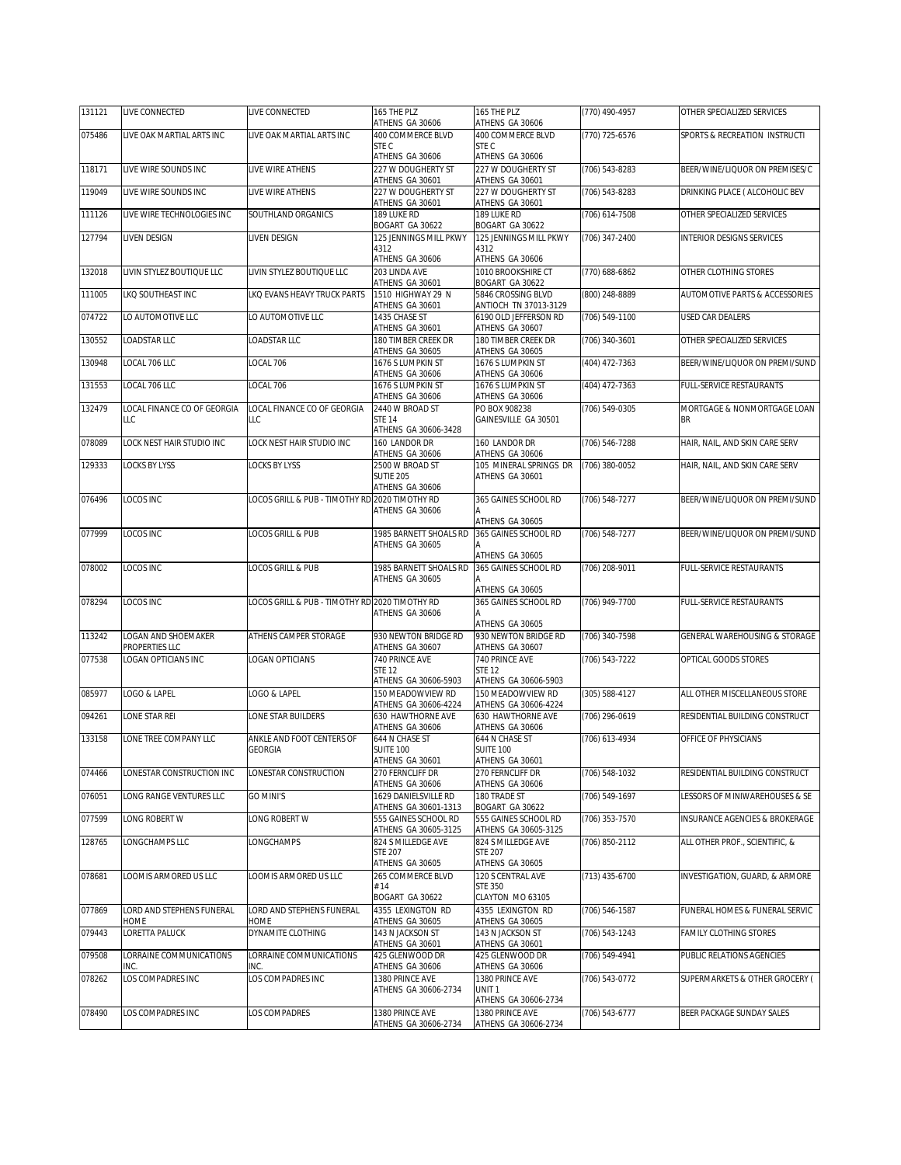| 131121 | LIVE CONNECTED                  | LIVE CONNECTED                                 | 165 THE PLZ<br>ATHENS GA 30606                          | 165 THE PLZ<br>ATHENS GA 30606                                    | (770) 490-4957     | OTHER SPECIALIZED SERVICES                |
|--------|---------------------------------|------------------------------------------------|---------------------------------------------------------|-------------------------------------------------------------------|--------------------|-------------------------------------------|
| 075486 | LIVE OAK MARTIAL ARTS INC       | LIVE OAK MARTIAL ARTS INC                      | 400 COMMERCE BLVD                                       | 400 COMMERCE BLVD                                                 | (770) 725-6576     | SPORTS & RECREATION INSTRUCTI             |
|        |                                 |                                                | STE C                                                   | STE C                                                             |                    |                                           |
| 118171 | LIVE WIRE SOUNDS INC            | LIVE WIRE ATHENS                               | ATHENS GA 30606<br>227 W DOUGHERTY ST                   | ATHENS GA 30606<br>227 W DOUGHERTY ST                             | (706) 543-8283     | BEER/WINE/LIQUOR ON PREMISES/C            |
|        |                                 |                                                | ATHENS GA 30601                                         | ATHENS GA 30601                                                   |                    |                                           |
| 119049 | LIVE WIRE SOUNDS INC            | LIVE WIRE ATHENS                               | 227 W DOUGHERTY ST<br>ATHENS GA 30601                   | 227 W DOUGHERTY ST<br>ATHENS GA 30601                             | (706) 543-8283     | DRINKING PLACE ( ALCOHOLIC BEV            |
| 111126 | LIVE WIRE TECHNOLOGIES INC      | SOUTHLAND ORGANICS                             | 189 LUKE RD                                             | 189 LUKE RD                                                       | (706) 614-7508     | OTHER SPECIALIZED SERVICES                |
| 127794 | LIVEN DESIGN                    | LIVEN DESIGN                                   | BOGART GA 30622<br>125 JENNINGS MILL PKWY               | BOGART GA 30622<br>125 JENNINGS MILL PKWY                         | (706) 347-2400     | <b>INTERIOR DESIGNS SERVICES</b>          |
|        |                                 |                                                | 4312<br>ATHENS GA 30606                                 | 4312<br>ATHENS GA 30606                                           |                    |                                           |
| 132018 | LIVIN STYLEZ BOUTIQUE LLC       | LIVIN STYLEZ BOUTIQUE LLC                      | 203 LINDA AVE<br>ATHENS GA 30601                        | 1010 BROOKSHIRE CT<br>BOGART GA 30622                             | (770) 688-6862     | OTHER CLOTHING STORES                     |
| 111005 | <b>LKO SOUTHEAST INC</b>        | LKO EVANS HEAVY TRUCK PARTS                    | 1510 HIGHWAY 29 N                                       | 5846 CROSSING BLVD                                                | (800) 248-8889     | <b>AUTOMOTIVE PARTS &amp; ACCESSORIES</b> |
| 074722 | LO AUTOMOTIVE LLC               | LO AUTOMOTIVE LLC                              | ATHENS GA 30601<br>1435 CHASE ST<br>ATHENS GA 30601     | ANTIOCH TN 37013-3129<br>6190 OLD JEFFERSON RD<br>ATHENS GA 30607 | $(706) 549-1100$   | USED CAR DEALERS                          |
| 130552 | LOADSTAR LLC                    | OADSTAR LLC                                    | 180 TIMBER CREEK DR                                     | 180 TIMBER CREEK DR                                               | (706) 340-3601     | OTHER SPECIALIZED SERVICES                |
| 130948 | LOCAL 706 LLC                   | LOCAL 706                                      | ATHENS GA 30605<br>1676 S LUMPKIN ST                    | ATHENS GA 30605<br>1676 S LUMPKIN ST                              | (404) 472-7363     | BEER/WINE/LIQUOR ON PREMI/SUND            |
|        |                                 |                                                | ATHENS GA 30606                                         | ATHENS GA 30606                                                   |                    |                                           |
| 131553 | LOCAL 706 LLC                   | LOCAL 706                                      | 1676 S LUMPKIN ST<br>ATHENS GA 30606                    | 1676 S LUMPKIN ST<br>ATHENS GA 30606                              | (404) 472-7363     | FULL-SERVICE RESTAURANTS                  |
| 132479 | LOCAL FINANCE CO OF GEORGIA     | LOCAL FINANCE CO OF GEORGIA                    | 2440 W BROAD ST                                         | PO BOX 908238                                                     | (706) 549-0305     | MORTGAGE & NONMORTGAGE LOAN               |
|        | LLC                             | LLC                                            | <b>STE 14</b><br>ATHENS GA 30606-3428                   | GAINESVILLE GA 30501                                              |                    | <b>BR</b>                                 |
| 078089 | LOCK NEST HAIR STUDIO INC       | LOCK NEST HAIR STUDIO INC                      | 160 LANDOR DR                                           | 160 LANDOR DR                                                     | (706) 546-7288     | HAIR, NAIL, AND SKIN CARE SERV            |
| 129333 | <b>LOCKS BY LYSS</b>            | <b>LOCKS BY LYSS</b>                           | ATHENS GA 30606<br>2500 W BROAD ST                      | ATHENS GA 30606<br>105 MINERAL SPRINGS DR                         | (706) 380-0052     | HAIR, NAIL, AND SKIN CARE SERV            |
|        |                                 |                                                | <b>SUTIE 205</b><br>ATHENS GA 30606                     | ATHENS GA 30601                                                   |                    |                                           |
| 076496 | <b>LOCOS INC</b>                | LOCOS GRILL & PUB - TIMOTHY RD 2020 TIMOTHY RD |                                                         | 365 GAINES SCHOOL RD                                              | (706) 548-7277     | BEER/WINE/LIQUOR ON PREMI/SUND            |
|        |                                 |                                                | ATHENS GA 30606                                         | ATHENS GA 30605                                                   |                    |                                           |
| 077999 | LOCOS INC                       | LOCOS GRILL & PUB                              | 1985 BARNETT SHOALS RD                                  | 365 GAINES SCHOOL RD                                              | (706) 548-7277     | BEER/WINE/LIQUOR ON PREMI/SUND            |
|        |                                 |                                                | ATHENS GA 30605                                         | ATHENS GA 30605                                                   |                    |                                           |
| 078002 | LOCOS INC                       | LOCOS GRILL & PUB                              | 1985 BARNETT SHOALS RD                                  | 365 GAINES SCHOOL RD                                              | (706) 208-9011     | FULL-SERVICE RESTAURANTS                  |
|        |                                 |                                                | ATHENS GA 30605                                         | ATHENS GA 30605                                                   |                    |                                           |
| 078294 | LOCOS INC                       | LOCOS GRILL & PUB - TIMOTHY RD 2020 TIMOTHY RD |                                                         | 365 GAINES SCHOOL RD                                              | (706) 949-7700     | FULL-SERVICE RESTAURANTS                  |
|        |                                 |                                                | ATHENS GA 30606                                         |                                                                   |                    |                                           |
| 113242 | LOGAN AND SHOEMAKER             | ATHENS CAMPER STORAGE                          | 930 NEWTON BRIDGE RD                                    | ATHENS GA 30605<br>930 NEWTON BRIDGE RD                           | (706) 340-7598     | GENERAL WAREHOUSING & STORAGE             |
|        | PROPERTIES LLC                  |                                                | ATHENS GA 30607                                         | ATHENS GA 30607                                                   |                    |                                           |
| 077538 | LOGAN OPTICIANS INC             | LOGAN OPTICIANS                                | 740 PRINCE AVE<br><b>STE 12</b><br>ATHENS GA 30606-5903 | 740 PRINCE AVE<br><b>STE 12</b><br>ATHENS GA 30606-5903           | $(706) 543 - 7222$ | OPTICAL GOODS STORES                      |
| 085977 | LOGO & LAPEL                    | LOGO & LAPEL                                   | 150 MEADOWVIEW RD                                       | 150 MEADOWVIEW RD                                                 | (305) 588-4127     | ALL OTHER MISCELLANEOUS STORE             |
| 094261 | LONE STAR REI                   | LONE STAR BUILDERS                             | ATHENS GA 30606-4224<br>630 HAWTHORNF AVF               | ATHENS GA 30606-4224<br>630 HAWTHORNE AVE                         | (706) 296-0619     | RESIDENTIAL BUILDING CONSTRUCT            |
|        |                                 |                                                | ATHENS GA 30606                                         | ATHENS GA 30606                                                   |                    |                                           |
| 133158 | LONE TREE COMPANY LLC           | ANKLE AND FOOT CENTERS OF<br><b>GEORGIA</b>    | 644 N CHASE ST<br><b>SUITE 100</b>                      | 644 N CHASE ST<br><b>SUITE 100</b>                                | (706) 613-4934     | OFFICE OF PHYSICIANS                      |
| 074466 | LONESTAR CONSTRUCTION INC       | LONESTAR CONSTRUCTION                          | ATHENS GA 30601<br>270 FERNCLIFF DR                     | ATHENS GA 30601<br>270 FERNCLIFF DR                               | (706) 548-1032     | RESIDENTIAL BUILDING CONSTRUCT            |
|        | LONG RANGE VENTURES LLC         |                                                | ATHENS GA 30606                                         | ATHENS GA 30606                                                   |                    |                                           |
| 076051 |                                 | <b>GO MINI'S</b>                               | 1629 DANIELSVILLE RD<br>ATHENS GA 30601-1313            | 180 TRADE ST<br>BOGART GA 30622                                   | (706) 549-1697     | ESSORS OF MINIWAREHOUSES & SE             |
| 077599 | LONG ROBERT W                   | LONG ROBERT W                                  | 555 GAINES SCHOOL RD<br>ATHENS GA 30605-3125            | 555 GAINES SCHOOL RD<br>ATHENS GA 30605-3125                      | (706) 353-7570     | INSURANCE AGENCIES & BROKERAGE            |
| 128765 | LONGCHAMPS LLC                  | LONGCHAMPS                                     | 824 S MILLEDGE AVE<br><b>STF 207</b>                    | 824 S MILLEDGE AVE<br><b>STE 207</b>                              | (706) 850-2112     | ALL OTHER PROF SCIENTIFIC. &              |
|        |                                 |                                                | ATHENS GA 30605                                         | ATHENS GA 30605                                                   |                    |                                           |
| 078681 | LOOMIS ARMORED US LLC           | LOOMIS ARMORED US LLC                          | 265 COMMERCE BLVD                                       | 120 S CENTRAL AVE                                                 | (713) 435-6700     | INVESTIGATION, GUARD, & ARMORE            |
|        |                                 |                                                | # 14<br>BOGART GA 30622                                 | <b>STE 350</b><br>CLAYTON MO 63105                                |                    |                                           |
| 077869 | LORD AND STEPHENS FUNERAL       | LORD AND STEPHENS FUNERAL                      | 4355 LEXINGTON RD                                       | 4355 LEXINGTON RD                                                 | (706) 546-1587     | FUNERAL HOMES & FUNERAL SERVIC            |
| 079443 | HOME<br>LORETTA PALUCK          | HOME<br>DYNAMITE CLOTHING                      | ATHENS GA 30605<br>143 N JACKSON ST                     | ATHENS GA 30605<br>143 N JACKSON ST                               | (706) 543-1243     | FAMILY CLOTHING STORES                    |
|        |                                 |                                                | ATHENS GA 30601                                         | ATHENS GA 30601                                                   |                    |                                           |
| 079508 | LORRAINE COMMUNICATIONS<br>INC. | LORRAINE COMMUNICATIONS<br>INC.                | 425 GLENWOOD DR<br>ATHENS GA 30606                      | 425 GLENWOOD DR<br>ATHENS GA 30606                                | (706) 549-4941     | PUBLIC RELATIONS AGENCIES                 |
| 078262 | OS COMPADRES INC                | LOS COMPADRES INC                              | 1380 PRINCE AVE<br>ATHENS GA 30606-2734                 | 1380 PRINCE AVE<br>UNIT <sub>1</sub>                              | (706) 543-0772     | SUPERMARKETS & OTHER GROCERY (            |
|        |                                 |                                                |                                                         | ATHENS GA 30606-2734                                              |                    |                                           |
| 078490 | LOS COMPADRES INC               | LOS COMPADRES                                  | 1380 PRINCE AVE<br>ATHENS GA 30606-2734                 | 1380 PRINCE AVE<br>ATHENS GA 30606-2734                           | (706) 543-6777     | BEER PACKAGE SUNDAY SALES                 |
|        |                                 |                                                |                                                         |                                                                   |                    |                                           |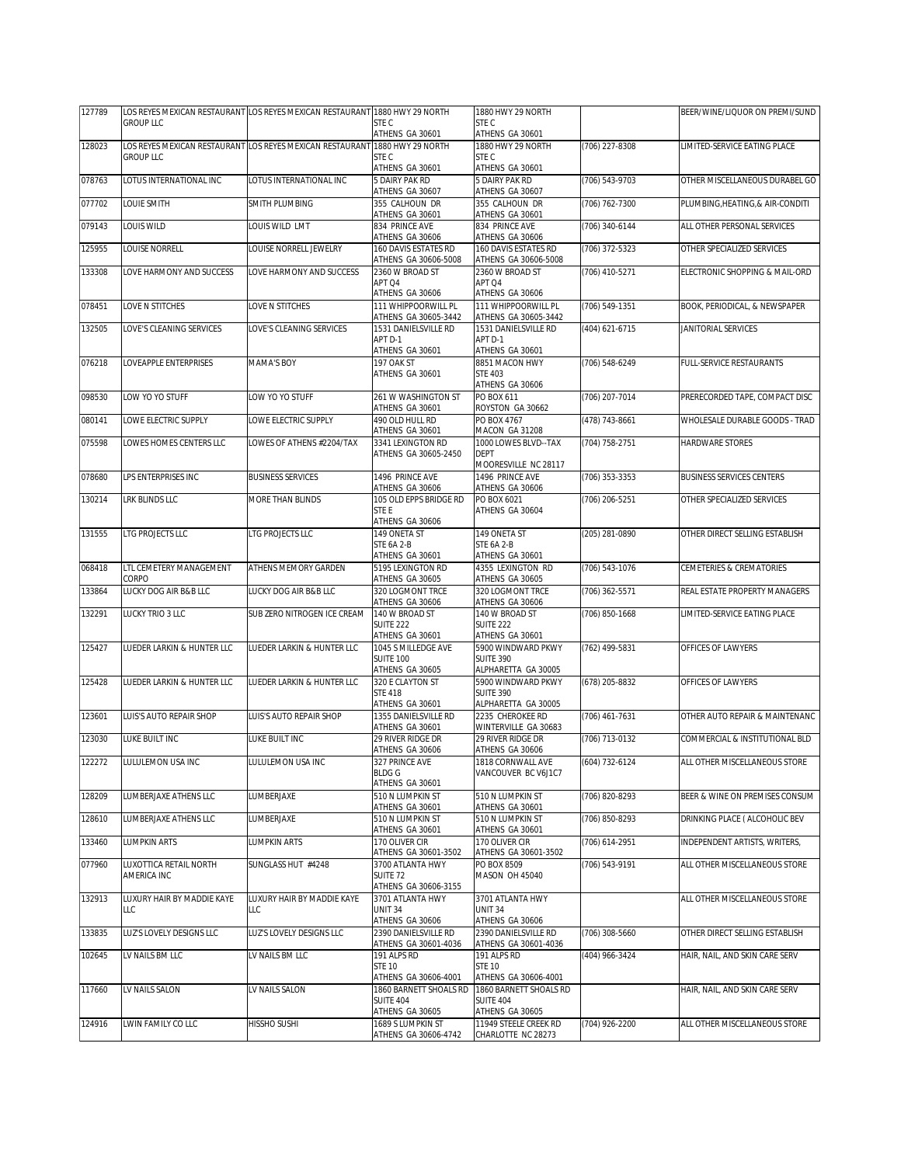| 127789 |                                  | LOS REYES MEXICAN RESTAURANT LOS REYES MEXICAN RESTAURANT 1880 HWY 29 NORTH |                                                | 1880 HWY 29 NORTH                              |                  | BEER/WINE/LIQUOR ON PREMI/SUND   |
|--------|----------------------------------|-----------------------------------------------------------------------------|------------------------------------------------|------------------------------------------------|------------------|----------------------------------|
|        | <b>GROUP LLC</b>                 |                                                                             | STE C<br>ATHENS GA 30601                       | STE C<br>ATHENS GA 30601                       |                  |                                  |
| 128023 |                                  | LOS REYES MEXICAN RESTAURANT LOS REYES MEXICAN RESTAURANT                   | 1880 HWY 29 NORTH                              | 1880 HWY 29 NORTH                              | (706) 227-8308   | LIMITED-SERVICE EATING PLACE     |
|        | <b>GROUP LLC</b>                 |                                                                             | STE C<br>ATHENS GA 30601                       | STE C<br>ATHENS GA 30601                       |                  |                                  |
| 078763 | LOTUS INTERNATIONAL INC          | LOTUS INTERNATIONAL INC                                                     | 5 DAIRY PAK RD                                 | 5 DAIRY PAK RD                                 | (706) 543-9703   | OTHER MISCELLANEOUS DURABEL GO   |
|        |                                  |                                                                             | ATHENS GA 30607                                | ATHENS GA 30607                                |                  |                                  |
| 077702 | LOUIE SMITH                      | SMITH PLUMBING                                                              | 355 CALHOUN DR<br>ATHENS GA 30601              | 355 CALHOUN DR<br>ATHENS GA 30601              | (706) 762-7300   | PLUMBING, HEATING, & AIR-CONDITI |
| 079143 | LOUIS WILD                       | LOUIS WILD LMT                                                              | 834 PRINCE AVE<br>ATHENS GA 30606              | 834 PRINCE AVE<br>ATHENS GA 30606              | (706) 340-6144   | ALL OTHER PERSONAL SERVICES      |
| 125955 | LOUISE NORRELL                   | LOUISE NORRELL JEWELRY                                                      | 160 DAVIS ESTATES RD                           | 160 DAVIS ESTATES RD                           | $(706)$ 372-5323 | OTHER SPECIALIZED SERVICES       |
|        |                                  |                                                                             | ATHENS GA 30606-5008                           | ATHENS GA 30606-5008                           |                  |                                  |
| 133308 | LOVE HARMONY AND SUCCESS         | LOVE HARMONY AND SUCCESS                                                    | 2360 W BROAD ST<br>APT Q4<br>ATHENS GA 30606   | 2360 W BROAD ST<br>APT Q4<br>ATHENS GA 30606   | (706) 410-5271   | ELECTRONIC SHOPPING & MAIL-ORD   |
| 078451 | LOVE N STITCHES                  | LOVE N STITCHES                                                             | 111 WHIPPOORWILL PL                            | 111 WHIPPOORWILL PL                            | (706) 549-1351   | BOOK, PERIODICAL, & NEWSPAPER    |
| 132505 | LOVE'S CLEANING SERVICES         | LOVE'S CLEANING SERVICES                                                    | ATHENS GA 30605-3442<br>1531 DANIELSVILLE RD   | ATHENS GA 30605-3442<br>1531 DANIELSVILLE RD   | (404) 621-6715   | JANITORIAL SERVICES              |
|        |                                  |                                                                             | APT D-1                                        | APT D-1                                        |                  |                                  |
|        |                                  |                                                                             | ATHENS GA 30601                                | ATHENS GA 30601                                |                  |                                  |
| 076218 | LOVEAPPLE ENTERPRISES            | MAMA'S BOY                                                                  | 197 OAK ST<br>ATHENS GA 30601                  | 8851 MACON HWY<br><b>STE 403</b>               | (706) 548-6249   | FULL-SERVICE RESTAURANTS         |
|        |                                  |                                                                             |                                                | ATHENS GA 30606                                |                  |                                  |
| 098530 | LOW YO YO STUFF                  | LOW YO YO STUFF                                                             | 261 W WASHINGTON ST                            | PO BOX 611                                     | (706) 207-7014   | PRERECORDED TAPE, COMPACT DISC   |
|        | LOWE ELECTRIC SUPPLY             |                                                                             | ATHENS GA 30601                                | ROYSTON GA 30662                               |                  |                                  |
| 080141 |                                  | LOWE ELECTRIC SUPPLY                                                        | 490 OLD HULL RD<br>ATHENS GA 30601             | PO BOX 4767<br>MACON GA 31208                  | (478) 743-8661   | WHOLESALE DURABLE GOODS - TRAD   |
| 075598 | OWES HOMES CENTERS LLC           | LOWES OF ATHENS #2204/TAX                                                   | 3341 LEXINGTON RD                              | 1000 LOWES BLVD--TAX                           | (704) 758-2751   | HARDWARE STORES                  |
|        |                                  |                                                                             | ATHENS GA 30605-2450                           | <b>DEPT</b>                                    |                  |                                  |
| 078680 | <b>I PS ENTERPRISES INC.</b>     | <b>BUSINESS SERVICES</b>                                                    | 1496 PRINCE AVE                                | MOORESVILLE NC 28117<br>1496 PRINCE AVE        | (706) 353-3353   | <b>BUSINESS SERVICES CENTERS</b> |
|        |                                  |                                                                             | ATHENS GA 30606                                | ATHENS GA 30606                                |                  |                                  |
| 130214 | <b>LRK BLINDS LLC</b>            | MORE THAN BLINDS                                                            | 105 OLD EPPS BRIDGE RD                         | PO BOX 6021                                    | (706) 206-5251   | OTHER SPECIALIZED SERVICES       |
|        |                                  |                                                                             | STE E<br>ATHENS GA 30606                       | ATHENS GA 30604                                |                  |                                  |
| 131555 | LTG PROJECTS LLC                 | LTG PROJECTS LLC                                                            | 149 ONETA ST                                   | 149 ONETA ST                                   | (205) 281-0890   | OTHER DIRECT SELLING ESTABLISH   |
|        |                                  |                                                                             | STE 6A 2-B                                     | STE 6A 2-B                                     |                  |                                  |
|        |                                  |                                                                             | ATHENS GA 30601                                | ATHENS GA 30601                                |                  |                                  |
| 068418 | LTL CEMETERY MANAGEMENT<br>CORPO | ATHENS MEMORY GARDEN                                                        | 5195 LEXINGTON RD<br>ATHENS GA 30605           | 4355 LEXINGTON RD<br>ATHENS GA 30605           | (706) 543-1076   | CEMETERIES & CREMATORIES         |
| 133864 | LUCKY DOG AIR B&B LLC            | LUCKY DOG AIR B&B LLC                                                       | 320 LOGMONT TRCE                               | 320 LOGMONT TRCE                               | (706) 362-5571   | REAL ESTATE PROPERTY MANAGERS    |
|        |                                  |                                                                             | ATHENS GA 30606<br>140 W BROAD ST              | ATHENS GA 30606                                |                  |                                  |
| 132291 | LUCKY TRIO 3 LLC                 | SUB ZERO NITROGEN ICE CREAM                                                 | SUITE <sub>222</sub>                           | 140 W BROAD ST<br>SUITE <sub>222</sub>         | (706) 850-1668   | LIMITED-SERVICE EATING PLACE     |
|        |                                  |                                                                             | ATHENS GA 30601                                | ATHENS GA 30601                                |                  |                                  |
| 125427 | LUEDER LARKIN & HUNTER LLC       | LUEDER LARKIN & HUNTER LLC                                                  | 1045 S MILLEDGE AVE                            | 5900 WINDWARD PKWY                             | (762) 499-5831   | OFFICES OF LAWYERS               |
|        |                                  |                                                                             | <b>SUITE 100</b><br>ATHENS GA 30605            | <b>SUITE 390</b><br>ALPHARETTA GA 30005        |                  |                                  |
| 125428 | LUEDER LARKIN & HUNTER LLC       | LUEDER LARKIN & HUNTER LLC                                                  | 320 F CLAYTON ST                               | 5900 WINDWARD PKWY                             | (678) 205-8832   | OFFICES OF LAWYERS               |
|        |                                  |                                                                             | <b>STF 418</b>                                 | SUITE 390                                      |                  |                                  |
| 123601 | LUIS'S AUTO REPAIR SHOP          | LUIS'S AUTO REPAIR SHOP                                                     | ATHENS GA 30601<br>1355 DANIELSVILLE RD        | ALPHARETTA GA 30005<br>2235 CHEROKEE RD        | (706) 461-7631   | OTHER AUTO REPAIR & MAINTENANC   |
|        |                                  |                                                                             | ATHENS GA 30601                                | WINTERVILLE GA 30683                           |                  |                                  |
| 123030 | LUKE BUILT INC                   | LUKE BUILT INC                                                              | 29 RIVER RIDGE DR                              | 29 RIVER RIDGE DR                              | (706) 713-0132   | COMMERCIAL & INSTITUTIONAL BLD   |
| 122272 |                                  | LULULEMON USA INC                                                           | ATHENS GA 30606                                | ATHENS GA 30606<br>1818 CORNWALL AVE           |                  |                                  |
|        | LULULEMON USA INC                |                                                                             | 327 PRINCE AVE<br><b>BLDGG</b>                 | VANCOUVER BC V6J1C7                            | (604) 732-6124   | ALL OTHER MISCELLANEOUS STORE    |
|        |                                  |                                                                             | ATHENS GA 30601                                |                                                |                  |                                  |
| 128209 | LUMBERJAXE ATHENS LLC            | LUMBERJAXE                                                                  | 510 N LUMPKIN ST<br>ATHENS GA 30601            | 510 N LUMPKIN ST<br>ATHENS GA 30601            | (706) 820-8293   | BEER & WINE ON PREMISES CONSUM   |
| 128610 | LUMBERJAXE ATHENS LLC            | LUMBERJAXE                                                                  | 510 N LUMPKIN ST                               | 510 N LUMPKIN ST                               | (706) 850-8293   | DRINKING PLACE ( ALCOHOLIC BEV   |
| 133460 | <b>LUMPKIN ARTS</b>              | <b>LUMPKIN ARTS</b>                                                         | ATHENS GA 30601<br>170 OLIVER CIR              | ATHENS GA 30601<br>170 OLIVER CIR              | (706) 614-2951   | INDEPENDENT ARTISTS, WRITERS,    |
|        |                                  |                                                                             | ATHENS GA 30601-3502                           | ATHENS GA 30601-3502                           |                  |                                  |
| 077960 | LUXOTTICA RETAIL NORTH           | SUNGLASS HUT #4248                                                          | 3700 ATLANTA HWY                               | PO BOX 8509                                    | (706) 543-9191   | ALL OTHER MISCELLANEOUS STORE    |
|        | AMERICA INC                      |                                                                             | SUITE <sub>72</sub><br>ATHENS GA 30606-3155    | MASON OH 45040                                 |                  |                                  |
| 132913 | LUXURY HAIR BY MADDIE KAYE       | LUXURY HAIR BY MADDIE KAYE                                                  | 3701 ATLANTA HWY                               | 3701 ATLANTA HWY                               |                  | ALL OTHER MISCELLANEOUS STORE    |
|        | LLC                              | LLC                                                                         | UNIT 34                                        | <b>UNIT 34</b>                                 |                  |                                  |
|        |                                  | LUZ'S LOVELY DESIGNS LLC                                                    | ATHENS GA 30606<br>2390 DANIELSVILLE RD        | ATHENS GA 30606                                |                  |                                  |
| 133835 | LUZ'S LOVELY DESIGNS LLC         |                                                                             | ATHENS GA 30601-4036                           | 2390 DANIELSVILLE RD<br>ATHENS GA 30601-4036   | (706) 308-5660   | OTHER DIRECT SELLING ESTABLISH   |
| 102645 | LV NAILS BM LLC                  | LV NAILS BM LLC                                                             | 191 ALPS RD                                    | 191 ALPS RD                                    | (404) 966-3424   | HAIR, NAIL, AND SKIN CARE SERV   |
|        |                                  |                                                                             | <b>STE 10</b>                                  | <b>STE 10</b>                                  |                  |                                  |
| 117660 | LV NAILS SALON                   | LV NAILS SALON                                                              | ATHENS GA 30606-4001<br>1860 BARNETT SHOALS RD | ATHENS GA 30606-4001<br>1860 BARNETT SHOALS RD |                  | HAIR, NAIL, AND SKIN CARE SERV   |
|        |                                  |                                                                             | <b>SUITE 404</b>                               | <b>SUITE 404</b>                               |                  |                                  |
|        |                                  |                                                                             | ATHENS GA 30605                                | ATHENS GA 30605                                |                  |                                  |
| 124916 | LWIN FAMILY CO LLC               | HISSHO SUSHI                                                                | 1689 S LUMPKIN ST<br>ATHENS GA 30606-4742      | 11949 STEELE CREEK RD<br>CHARLOTTE NC 28273    | (704) 926-2200   | ALL OTHER MISCELLANEOUS STORE    |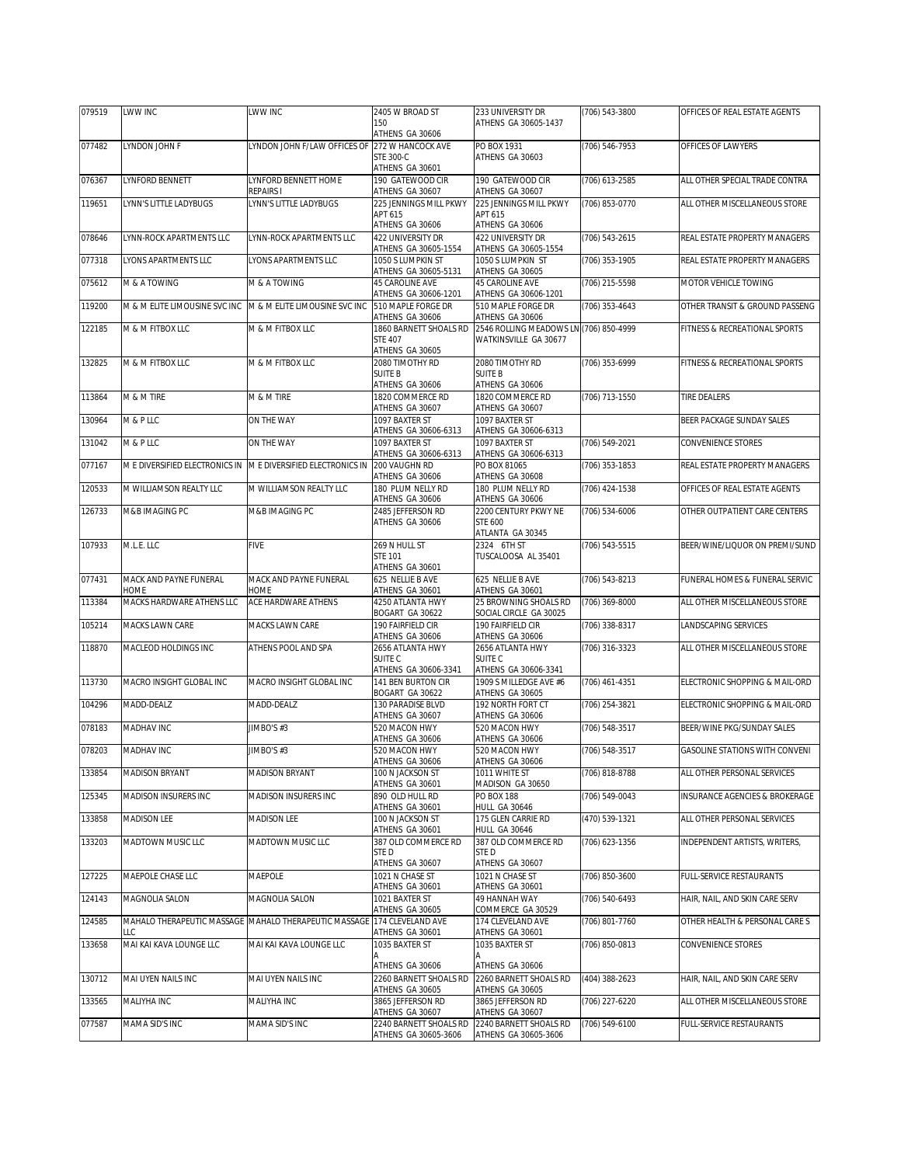| 079519 | LWW INC                                                       | LWW INC                                               | 2405 W BROAD ST                                | 233 UNIVERSITY DR                                               | (706) 543-3800   | OFFICES OF REAL ESTATE AGENTS         |
|--------|---------------------------------------------------------------|-------------------------------------------------------|------------------------------------------------|-----------------------------------------------------------------|------------------|---------------------------------------|
|        |                                                               |                                                       | 150<br>ATHENS GA 30606                         | ATHENS GA 30605-1437                                            |                  |                                       |
| 077482 | LYNDON JOHN F                                                 | LYNDON JOHN F/LAW OFFICES OF                          | 272 W HANCOCK AVE                              | PO BOX 1931                                                     | (706) 546-7953   | OFFICES OF LAWYERS                    |
|        |                                                               |                                                       | STE 300-C                                      | ATHENS GA 30603                                                 |                  |                                       |
|        |                                                               |                                                       | ATHENS GA 30601                                |                                                                 |                  |                                       |
| 076367 | LYNFORD BENNETT                                               | LYNFORD BENNETT HOME<br>REPAIRS I                     | 190 GATEWOOD CIR<br>ATHENS GA 30607            | 190 GATEWOOD CIR<br>ATHENS GA 30607                             | $(706)$ 613-2585 | ALL OTHER SPECIAL TRADE CONTRA        |
| 119651 | LYNN'S LITTLE LADYBUGS                                        | LYNN'S LITTLE LADYBUGS                                | 225 JENNINGS MILL PKWY                         | 225 JENNINGS MILL PKWY                                          | (706) 853-0770   | ALL OTHER MISCELLANEOUS STORE         |
|        |                                                               |                                                       | APT 615                                        | APT 615                                                         |                  |                                       |
|        |                                                               |                                                       | ATHENS GA 30606<br>422 UNIVERSITY DR           | ATHENS GA 30606<br>422 UNIVERSITY DR                            |                  |                                       |
| 078646 | LYNN-ROCK APARTMENTS LLC                                      | LYNN-ROCK APARTMENTS LLC                              | ATHENS GA 30605-1554                           | ATHENS GA 30605-1554                                            | (706) 543-2615   | REAL ESTATE PROPERTY MANAGERS         |
| 077318 | LYONS APARTMENTS LLC                                          | LYONS APARTMENTS LLC                                  | 1050 S LUMPKIN ST                              | 1050 S LUMPKIN ST                                               | $(706)$ 353-1905 | REAL ESTATE PROPERTY MANAGERS         |
|        |                                                               |                                                       | ATHENS GA 30605-5131                           | ATHENS GA 30605                                                 |                  |                                       |
| 075612 | M & A TOWING                                                  | M & A TOWING                                          | <b>45 CAROLINE AVE</b><br>ATHENS GA 30606-1201 | 45 CAROLINE AVE<br>ATHENS GA 30606-1201                         | (706) 215-5598   | MOTOR VEHICLE TOWING                  |
| 119200 | M & M ELITE LIMOUSINE SVC INC                                 | M & M ELITE LIMOUSINE SVC INC                         | 510 MAPLE FORGE DR                             | 510 MAPLE FORGE DR                                              | (706) 353-4643   | OTHER TRANSIT & GROUND PASSENG        |
|        |                                                               |                                                       | ATHENS GA 30606                                | ATHENS GA 30606                                                 |                  |                                       |
| 122185 | M & M FITBOX LLC                                              | M & M FITBOX LLC                                      | 1860 BARNETT SHOALS RD<br><b>STE 407</b>       | 2546 ROLLING MEADOWS LN (706) 850-4999<br>WATKINSVILLE GA 30677 |                  | FITNESS & RECREATIONAL SPORTS         |
|        |                                                               |                                                       | ATHENS GA 30605                                |                                                                 |                  |                                       |
| 132825 | M & M FITBOX LLC                                              | M & M FITBOX LLC                                      | 2080 TIMOTHY RD                                | 2080 TIMOTHY RD                                                 | (706) 353-6999   | FITNESS & RECREATIONAL SPORTS         |
|        |                                                               |                                                       | <b>SUITE B</b><br>ATHENS GA 30606              | <b>SUITE B</b><br>ATHENS GA 30606                               |                  |                                       |
| 113864 | M & M TIRE                                                    | M & M TIRE                                            | 1820 COMMERCE RD                               | 1820 COMMERCE RD                                                | (706) 713-1550   | TIRE DEALERS                          |
|        |                                                               |                                                       | ATHENS GA 30607                                | ATHENS GA 30607                                                 |                  |                                       |
| 130964 | M & P LLC                                                     | ON THE WAY                                            | 1097 BAXTER ST                                 | 1097 BAXTER ST                                                  |                  | BEER PACKAGE SUNDAY SALES             |
| 131042 | M & P LLC                                                     | ON THE WAY                                            | ATHENS GA 30606-6313<br>1097 BAXTER ST         | ATHENS GA 30606-6313<br>1097 BAXTER ST                          | (706) 549-2021   | CONVENIENCE STORES                    |
|        |                                                               |                                                       | ATHENS GA 30606-6313                           | ATHENS GA 30606-6313                                            |                  |                                       |
| 077167 | M E DIVERSIFIED ELECTRONICS IN M E DIVERSIFIED ELECTRONICS IN |                                                       | 200 VAUGHN RD                                  | PO BOX 81065                                                    | (706) 353-1853   | REAL ESTATE PROPERTY MANAGERS         |
| 120533 | M WILLIAMSON REALTY LLC                                       | M WILLIAMSON REALTY LLC                               | ATHENS GA 30606<br>180 PLUM NELLY RD           | ATHENS GA 30608<br>180 PLUM NELLY RD                            | (706) 424-1538   | OFFICES OF REAL ESTATE AGENTS         |
|        |                                                               |                                                       | ATHENS GA 30606                                | ATHENS GA 30606                                                 |                  |                                       |
| 126733 | M&B IMAGING PC                                                | M&B IMAGING PC                                        | 2485 JEFFERSON RD                              | 2200 CENTURY PKWY NE                                            | (706) 534-6006   | OTHER OUTPATIENT CARE CENTERS         |
|        |                                                               |                                                       | ATHENS GA 30606                                | <b>STE 600</b>                                                  |                  |                                       |
| 107933 | M.L.E. LLC                                                    | <b>FIVE</b>                                           | 269 N HULL ST                                  | ATLANTA GA 30345<br>2324 6TH ST                                 | (706) 543-5515   | BEER/WINE/LIQUOR ON PREMI/SUND        |
|        |                                                               |                                                       | STE 101                                        | TUSCALOOSA AL 35401                                             |                  |                                       |
|        |                                                               |                                                       | ATHENS GA 30601                                |                                                                 |                  |                                       |
| 077431 | MACK AND PAYNE FUNERAL<br>HOME                                | MACK AND PAYNE FUNERAL<br>HOME                        | 625 NELLIE B AVE<br>ATHENS GA 30601            | 625 NELLIE B AVE<br>ATHENS GA 30601                             | (706) 543-8213   | FUNERAL HOMES & FUNERAL SERVIC        |
| 113384 | MACKS HARDWARE ATHENS LLC                                     | ACE HARDWARE ATHENS                                   | 4250 ATLANTA HWY                               | 25 BROWNING SHOALS RD                                           | $(706)$ 369-8000 | ALL OTHER MISCELLANEOUS STORE         |
|        |                                                               |                                                       | BOGART GA 30622                                | SOCIAL CIRCLE GA 30025                                          |                  |                                       |
| 105214 | MACKS LAWN CARE                                               | MACKS LAWN CARE                                       | 190 FAIRFIELD CIR                              | 190 FAIRFIELD CIR                                               | (706) 338-8317   | LANDSCAPING SERVICES                  |
| 118870 | MACLEOD HOLDINGS INC                                          | ATHENS POOL AND SPA                                   | ATHENS GA 30606<br>2656 ATLANTA HWY            | ATHENS GA 30606<br>2656 ATLANTA HWY                             | (706) 316-3323   | ALL OTHER MISCELLANEOUS STORE         |
|        |                                                               |                                                       | SUITE C                                        | SUITE C                                                         |                  |                                       |
|        |                                                               |                                                       | ATHENS GA 30606-3341                           | ATHENS GA 30606-3341                                            |                  |                                       |
| 113730 | MACRO INSIGHT GLOBAL INC                                      | MACRO INSIGHT GLOBAL INC                              | 141 BEN BURTON CIR<br>BOGART GA 30622          | 1909 S MILLEDGE AVE #6<br>ATHENS GA 30605                       | (706) 461-4351   | ELECTRONIC SHOPPING & MAIL-ORD        |
| 104296 | MADD-DEALZ                                                    | MADD-DEALZ                                            | 130 PARADISE BLVD                              | 192 NORTH FORT CT                                               | (706) 254-3821   | ELECTRONIC SHOPPING & MAIL-ORD        |
|        |                                                               |                                                       | ATHENS GA 30607                                | ATHENS GA 30606                                                 |                  |                                       |
| 078183 | MADHAV INC                                                    | JIMBO'S #3                                            | 520 MACON HWY<br>ATHENS GA 30606               | 520 MACON HWY<br>ATHENS GA 30606                                | (706) 548-3517   | BEER/WINE PKG/SUNDAY SALES            |
| 078203 | MADHAV INC                                                    | JIMBO'S #3                                            | 520 MACON HWY                                  | 520 MACON HWY                                                   | (706) 548-3517   | <b>GASOLINE STATIONS WITH CONVENI</b> |
|        |                                                               |                                                       | ATHENS GA 30606                                | ATHENS GA 30606                                                 |                  |                                       |
| 133854 | <b>MADISON BRYANT</b>                                         | MADISON BRYANT                                        | 100 N JACKSON ST                               | 1011 WHITE ST<br>MADISON GA 30650                               | (706) 818-8788   | ALL OTHER PERSONAL SERVICES           |
| 125345 | MADISON INSURERS INC                                          | MADISON INSURERS INC                                  | ATHENS GA 30601<br>890 OLD HULL RD             | PO BOX 188                                                      | (706) 549-0043   | INSURANCE AGENCIES & BROKERAGE        |
|        |                                                               |                                                       | ATHENS GA 30601                                | <b>HULL GA 30646</b>                                            |                  |                                       |
| 133858 | MADISON LEE                                                   | MADISON LEE                                           | 100 N JACKSON ST                               | 175 GLEN CARRIE RD                                              | (470) 539-1321   | ALL OTHER PERSONAL SERVICES           |
| 133203 | MADTOWN MUSIC LLC                                             | MADTOWN MUSIC LLC                                     | ATHENS GA 30601<br>387 OLD COMMERCE RD         | <b>HULL GA 30646</b><br>387 OLD COMMERCE RD                     | (706) 623-1356   | INDEPENDENT ARTISTS, WRITERS,         |
|        |                                                               |                                                       | STED                                           | STED                                                            |                  |                                       |
|        |                                                               |                                                       | ATHENS GA 30607                                | ATHENS GA 30607                                                 |                  |                                       |
| 127225 | MAEPOLE CHASE LLC                                             | MAEPOLE                                               | 1021 N CHASE ST<br>ATHENS GA 30601             | 1021 N CHASE ST<br>ATHENS GA 30601                              | (706) 850-3600   | <b>FULL-SERVICE RESTAURANTS</b>       |
| 124143 | MAGNOLIA SALON                                                | MAGNOLIA SALON                                        | 1021 BAXTER ST                                 | 49 HANNAH WAY                                                   | (706) 540-6493   | HAIR, NAIL, AND SKIN CARE SERV        |
|        |                                                               |                                                       | ATHENS GA 30605                                | COMMERCE GA 30529                                               |                  |                                       |
| 124585 |                                                               | MAHALO THERAPEUTIC MASSAGE MAHALO THERAPEUTIC MASSAGE | 174 CLEVELAND AVE                              | 174 CLEVELAND AVE                                               | (706) 801-7760   | OTHER HEALTH & PERSONAL CARE S        |
| 133658 | LLC<br>MAI KAI KAVA LOUNGE LLC                                | MAI KAI KAVA LOUNGE LLC                               | ATHENS GA 30601<br>1035 BAXTER ST              | ATHENS GA 30601<br>1035 BAXTER ST                               | (706) 850-0813   | CONVENIENCE STORES                    |
|        |                                                               |                                                       |                                                |                                                                 |                  |                                       |
|        |                                                               |                                                       | ATHENS GA 30606                                | ATHENS GA 30606                                                 |                  |                                       |
| 130712 | MAI UYEN NAILS INC                                            | MAI UYEN NAILS INC                                    | 2260 BARNETT SHOALS RD                         | 2260 BARNETT SHOALS RD                                          | (404) 388-2623   | HAIR, NAIL, AND SKIN CARE SERV        |
| 133565 | MALIYHA INC                                                   | MALIYHA INC                                           | ATHENS GA 30605<br>3865 JEFFERSON RD           | ATHENS GA 30605<br>3865 JEFFERSON RD                            | (706) 227-6220   | ALL OTHER MISCELLANEOUS STORE         |
|        |                                                               |                                                       | ATHENS GA 30607                                | ATHENS GA 30607                                                 |                  |                                       |
| 077587 | MAMA SID'S INC                                                | MAMA SID'S INC                                        | 2240 BARNETT SHOALS RD                         | 2240 BARNETT SHOALS RD                                          | (706) 549-6100   | FULL-SERVICE RESTAURANTS              |
|        |                                                               |                                                       | ATHENS GA 30605-3606                           | ATHENS GA 30605-3606                                            |                  |                                       |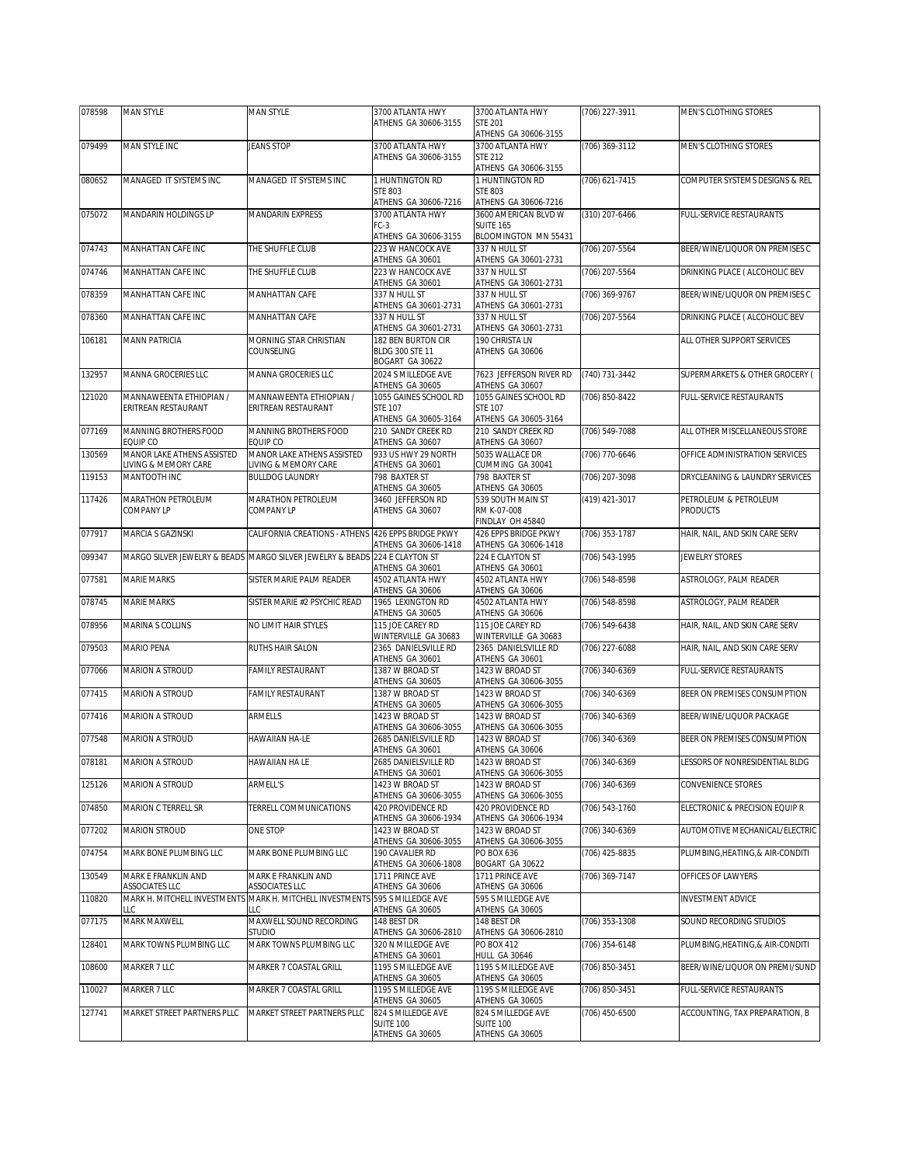| 078598 | <b>MAN STYLE</b>                               | <b>MAN STYLE</b>                                                             | 3700 ATLANTA HWY                                                | 3700 ATLANTA HWY                                                | (706) 227-3911   | MEN'S CLOTHING STORES            |
|--------|------------------------------------------------|------------------------------------------------------------------------------|-----------------------------------------------------------------|-----------------------------------------------------------------|------------------|----------------------------------|
|        |                                                |                                                                              | ATHENS GA 30606-3155                                            | <b>STE 201</b><br>ATHENS GA 30606-3155                          |                  |                                  |
| 079499 | MAN STYLE INC                                  | <b>JEANS STOP</b>                                                            | 3700 ATLANTA HWY                                                | 3700 ATLANTA HWY                                                | $(706)$ 369-3112 | MEN'S CLOTHING STORES            |
|        |                                                |                                                                              | ATHENS GA 30606-3155                                            | <b>STE 212</b><br>ATHENS GA 30606-3155                          |                  |                                  |
| 080652 | MANAGED IT SYSTEMS INC                         | MANAGED IT SYSTEMS INC                                                       | 1 HUNTINGTON RD                                                 | 1 HUNTINGTON RD                                                 | (706) 621-7415   | COMPUTER SYSTEMS DESIGNS & REL   |
|        |                                                |                                                                              | <b>STE 803</b>                                                  | <b>STE 803</b>                                                  |                  |                                  |
| 075072 | MANDARIN HOLDINGS LP                           | MANDARIN EXPRESS                                                             | ATHENS GA 30606-7216<br>3700 ATLANTA HWY                        | ATHENS GA 30606-7216<br>3600 AMERICAN BLVD W                    | (310) 207-6466   | FULL-SERVICE RESTAURANTS         |
|        |                                                |                                                                              | $FC-3$                                                          | <b>SUITE 165</b><br>BLOOMINGTON MN 55431                        |                  |                                  |
| 074743 | MANHATTAN CAFE INC                             | THE SHUFFLE CLUB                                                             | ATHENS GA 30606-3155<br>223 W HANCOCK AVE                       | 337 N HULL ST                                                   | (706) 207-5564   | BEER/WINE/LIQUOR ON PREMISES C   |
|        |                                                |                                                                              | ATHENS GA 30601                                                 | ATHENS GA 30601-2731                                            |                  |                                  |
| 074746 | MANHATTAN CAFE INC                             | THE SHUFFLE CLUB                                                             | 223 W HANCOCK AVE<br>ATHENS GA 30601                            | 337 N HULL ST<br>ATHENS GA 30601-2731                           | (706) 207-5564   | DRINKING PLACE ( ALCOHOLIC BEV   |
| 078359 | MANHATTAN CAFE INC                             | MANHATTAN CAFE                                                               | 337 N HULL ST<br>ATHENS GA 30601-2731                           | 337 N HULL ST<br>ATHENS GA 30601-2731                           | (706) 369-9767   | BEER/WINE/LIQUOR ON PREMISES C   |
| 078360 | MANHATTAN CAFE INC                             | MANHATTAN CAFE                                                               | 337 N HULL ST<br>ATHENS GA 30601-2731                           | 337 N HULL ST<br>ATHENS GA 30601-2731                           | (706) 207-5564   | DRINKING PLACE ( ALCOHOLIC BEV   |
| 106181 | <b>MANN PATRICIA</b>                           | MORNING STAR CHRISTIAN                                                       | 182 BEN BURTON CIR                                              | 190 CHRISTA LN                                                  |                  | ALL OTHER SUPPORT SERVICES       |
|        |                                                | COUNSELING                                                                   | BLDG 300 STE 11                                                 | ATHENS GA 30606                                                 |                  |                                  |
| 132957 | MANNA GROCERIES LLC                            | MANNA GROCERIES LLC                                                          | BOGART GA 30622<br>2024 S MILLEDGE AVE                          | 7623 JEFFERSON RIVER RD                                         | (740) 731-3442   | SUPERMARKETS & OTHER GROCERY (   |
|        |                                                |                                                                              | ATHENS GA 30605                                                 | ATHENS GA 30607                                                 |                  |                                  |
| 121020 | MANNAWEENTA ETHIOPIAN /<br>ERITREAN RESTAURANT | MANNAWEENTA ETHIOPIAN /<br>ERITREAN RESTAURANT                               | 1055 GAINES SCHOOL RD<br><b>STF 107</b><br>ATHENS GA 30605-3164 | 1055 GAINES SCHOOL RD<br><b>STE 107</b><br>ATHENS GA 30605-3164 | (706) 850-8422   | <b>FULL-SERVICE RESTAURANTS</b>  |
| 077169 | MANNING BROTHERS FOOD<br>EQUIP CO              | MANNING BROTHERS FOOD<br>EQUIP CO                                            | 210 SANDY CREEK RD<br>ATHENS GA 30607                           | 210 SANDY CREEK RD<br>ATHENS GA 30607                           | (706) 549-7088   | ALL OTHER MISCELLANEOUS STORE    |
| 130569 | MANOR LAKE ATHENS ASSISTED                     | MANOR LAKE ATHENS ASSISTED                                                   | 933 US HWY 29 NORTH                                             | 5035 WALLACE DR                                                 | (706) 770-6646   | OFFICE ADMINISTRATION SERVICES   |
|        | IVING & MEMORY CARE                            | IVING & MEMORY CARE                                                          | ATHENS GA 30601<br>798 BAXTER ST                                | CUMMING GA 30041                                                |                  |                                  |
| 119153 | MANTOOTH INC                                   | <b>BULLDOG LAUNDRY</b>                                                       | ATHENS GA 30605                                                 | 798 BAXTER ST<br>ATHENS GA 30605                                | (706) 207-3098   | DRYCLEANING & LAUNDRY SERVICES   |
| 117426 | MARATHON PETROLEUM                             | MARATHON PETROLEUM                                                           | 3460 JEFFERSON RD                                               | 539 SOUTH MAIN ST                                               | (419) 421-3017   | PETROLEUM & PETROLEUM            |
|        | COMPANY LP                                     | COMPANY LP                                                                   | ATHENS GA 30607                                                 | RM K-07-008<br>FINDLAY OH 45840                                 |                  | <b>PRODUCTS</b>                  |
| 077917 | MARCIA S GAZINSKI                              | CALIFORNIA CREATIONS - ATHENS 426 EPPS BRIDGE PKWY                           |                                                                 | 426 EPPS BRIDGE PKWY                                            | (706) 353-1787   | HAIR, NAIL, AND SKIN CARE SERV   |
| 099347 |                                                | MARGO SILVER JEWELRY & BEADS MARGO SILVER JEWELRY & BEADS 224 E CLAYTON ST   | ATHENS GA 30606-1418                                            | ATHENS GA 30606-1418<br>224 E CLAYTON ST                        | (706) 543-1995   | JEWELRY STORES                   |
|        |                                                |                                                                              | ATHENS GA 30601                                                 | ATHENS GA 30601                                                 |                  |                                  |
|        |                                                |                                                                              |                                                                 |                                                                 |                  |                                  |
| 077581 | <b>MARIE MARKS</b>                             | SISTER MARIE PALM READER                                                     | 4502 ATLANTA HWY<br>ATHENS GA 30606                             | 4502 ATLANTA HWY<br>ATHENS GA 30606                             | (706) 548-8598   | ASTROLOGY, PALM READER           |
| 078745 | <b>MARIE MARKS</b>                             | SISTER MARIE #2 PSYCHIC READ                                                 | 1965 LEXINGTON RD                                               | 4502 ATLANTA HWY                                                | (706) 548-8598   | ASTROLOGY, PALM READER           |
| 078956 | MARINA S COLLINS                               | NO LIMIT HAIR STYLES                                                         | ATHENS GA 30605<br>115 JOE CAREY RD                             | ATHENS GA 30606<br>115 JOE CAREY RD                             | (706) 549-6438   | HAIR, NAIL, AND SKIN CARE SERV   |
| 079503 | <b>MARIO PENA</b>                              | RUTHS HAIR SALON                                                             | WINTERVILLE GA 30683<br>2365 DANIELSVILLE RD                    | WINTERVILLE GA 30683<br>2365 DANIELSVILLE RD                    | (706) 227-6088   | HAIR, NAIL, AND SKIN CARE SERV   |
|        |                                                |                                                                              | ATHENS GA 30601                                                 | ATHENS GA 30601                                                 |                  |                                  |
| 077066 | MARION A STROUD                                | <b>FAMILY RESTAURANT</b>                                                     | 1387 W BROAD ST<br>ATHENS GA 30605                              | 1423 W BROAD ST<br>ATHENS GA 30606-3055                         | (706) 340-6369   | FULL-SERVICE RESTAURANTS         |
| 077415 | MARION A STROUD                                | FAMILY RESTAURANT                                                            | 1387 W BROAD ST                                                 | 1423 W BROAD ST                                                 | (706) 340-6369   | BEER ON PREMISES CONSUMPTION     |
| 077416 | MARION A STROUD                                | ARMELLS                                                                      | ATHENS GA 30605<br>1423 W BROAD ST                              | ATHENS GA 30606-3055<br>1423 W BROAD ST                         | (706) 340-6369   | BEER/WINE/LIQUOR PACKAGE         |
|        |                                                |                                                                              | ATHENS GA 30606-3055                                            | ATHENS GA 30606-3055                                            |                  |                                  |
| 077548 | MARION A STROUD                                | HAWAIIAN HA-LE                                                               | 2685 DANIELSVILLE RD<br>ATHENS GA 30601                         | 1423 W BROAD ST<br>ATHENS GA 30606                              | (706) 340-6369   | BEER ON PREMISES CONSUMPTION     |
| 078181 | MARION A STROUD                                | HAWAIIAN HA LE                                                               | 2685 DANIELSVILLE RD                                            | 1423 W BROAD ST                                                 | (706) 340-6369   | LESSORS OF NONRESIDENTIAL BLDG   |
| 125126 | MARION A STROUD                                | ARMELL'S                                                                     | ATHENS GA 30601<br>1423 W BROAD ST                              | ATHENS GA 30606-3055<br>1423 W BROAD ST                         | (706) 340-6369   | CONVENIENCE STORES               |
| 074850 | <b>MARION C TERRELL SR</b>                     | TERRELL COMMUNICATIONS                                                       | ATHENS GA 30606-3055<br>420 PROVIDENCE RD                       | ATHENS GA 30606-3055<br>420 PROVIDENCE RD                       | (706) 543-1760   | ELECTRONIC & PRECISION EQUIP R   |
| 077202 | <b>MARION STROUD</b>                           | ONE STOP                                                                     | ATHENS GA 30606-1934<br>1423 W BROAD ST                         | ATHENS GA 30606-1934<br>1423 W BROAD ST                         | (706) 340-6369   | AUTOMOTIVE MECHANICAL/ELECTRIC   |
|        |                                                |                                                                              | ATHENS GA 30606-3055                                            | ATHENS GA 30606-3055                                            |                  |                                  |
| 074754 | MARK BONE PLUMBING LLC                         | MARK BONE PLUMBING LLC                                                       | 190 CAVALIER RD<br>ATHENS GA 30606-1808                         | PO BOX 636<br>BOGART GA 30622                                   | (706) 425-8835   | PLUMBING, HEATING, & AIR-CONDITI |
| 130549 | MARK E FRANKLIN AND<br>ASSOCIATES LLC          | MARK E FRANKLIN AND<br>ASSOCIATES LLC                                        | 1711 PRINCE AVE<br>ATHENS GA 30606                              | 1711 PRINCE AVE<br>ATHENS GA 30606                              | (706) 369-7147   | OFFICES OF LAWYERS               |
| 110820 | LLC                                            | MARK H. MITCHELL INVESTMENTS MARK H. MITCHELL INVESTMENTS 595 S MILLEDGE AVE |                                                                 | 595 S MILLEDGE AVE                                              |                  | INVESTMENT ADVICE                |
| 077175 | MARK MAXWELL                                   | LLC<br>MAXWELL SOUND RECORDING                                               | ATHENS GA 30605<br>148 BEST DR                                  | ATHENS GA 30605<br>148 BEST DR                                  | (706) 353-1308   | SOUND RECORDING STUDIOS          |
| 128401 | MARK TOWNS PLUMBING LLC                        | Studio<br>MARK TOWNS PLUMBING LLC                                            | ATHENS GA 30606-2810<br>320 N MILLEDGE AVE                      | ATHENS GA 30606-2810<br>PO BOX 412                              | (706) 354-6148   | PLUMBING, HEATING, & AIR-CONDITI |
|        |                                                |                                                                              | ATHENS GA 30601<br>1195 S MILLEDGE AVE                          | HULL GA 30646<br>1195 S MILLEDGE AVE                            |                  |                                  |
| 108600 | MARKER 7 LLC                                   | MARKER 7 COASTAL GRILL                                                       | ATHENS GA 30605                                                 | ATHENS GA 30605                                                 | (706) 850-3451   | BEER/WINE/LIQUOR ON PREMI/SUND   |
| 110027 | MARKER 7 LLC                                   | MARKER 7 COASTAL GRILL                                                       | 1195 S MILLEDGE AVE<br>ATHENS GA 30605                          | 1195 S MILLEDGE AVE<br>ATHENS GA 30605                          | (706) 850-3451   | FULL-SERVICE RESTAURANTS         |
| 127741 | MARKET STREET PARTNERS PLLC                    | MARKET STREET PARTNERS PLLC                                                  | 824 S MILLEDGE AVE<br>SUITE 100                                 | 824 S MILLEDGE AVE<br><b>SUITE 100</b>                          | (706) 450-6500   | ACCOUNTING, TAX PREPARATION, B   |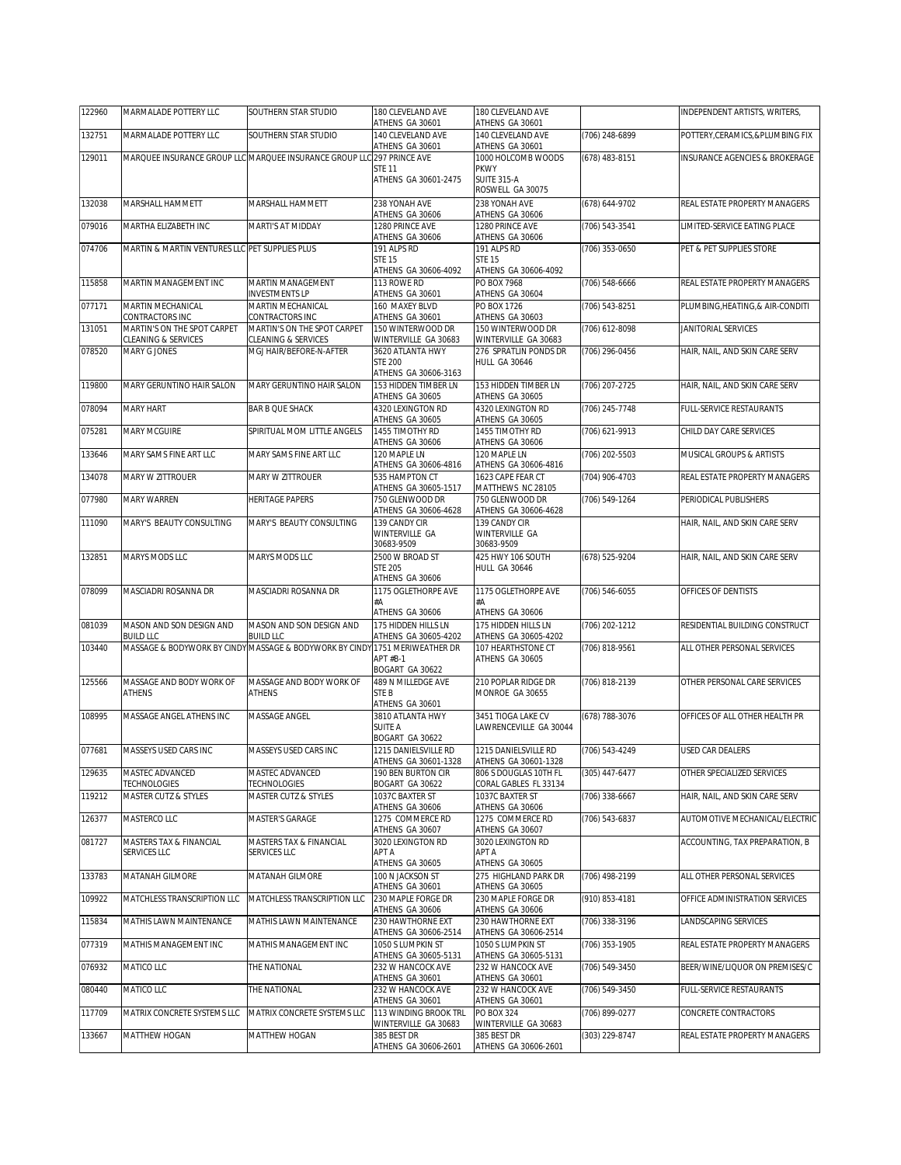| 122960 | MARMALADE POTTERY LLC                              | SOUTHERN STAR STUDIO                                                   | 180 CLEVELAND AVE<br>ATHENS GA 30601                               | 180 CLEVELAND AVE<br>ATHENS GA 30601                    |                  | INDEPENDENT ARTISTS, WRITERS,             |
|--------|----------------------------------------------------|------------------------------------------------------------------------|--------------------------------------------------------------------|---------------------------------------------------------|------------------|-------------------------------------------|
| 132751 | MARMALADE POTTERY LLC                              | SOUTHERN STAR STUDIO                                                   | 140 CLEVELAND AVE                                                  | 140 CLEVELAND AVE                                       | (706) 248-6899   | POTTERY, CERAMICS, & PLUMBING FIX         |
| 129011 |                                                    | MARQUEE INSURANCE GROUP LLC MARQUEE INSURANCE GROUP LLC 297 PRINCE AVE | ATHENS GA 30601                                                    | ATHENS GA 30601<br>1000 HOLCOMB WOODS                   | (678) 483-8151   | <b>INSURANCE AGENCIES &amp; BROKERAGE</b> |
|        |                                                    |                                                                        | <b>STE 11</b><br>ATHENS GA 30601-2475                              | <b>PKWY</b><br><b>SUITE 315-A</b><br>ROSWELL GA 30075   |                  |                                           |
| 132038 | MARSHALL HAMMETT                                   | MARSHALL HAMMETT                                                       | 238 YONAH AVE<br>ATHENS GA 30606                                   | 238 YONAH AVE<br>ATHENS GA 30606                        | (678) 644-9702   | REAL ESTATE PROPERTY MANAGERS             |
| 079016 | MARTHA ELIZABETH INC                               | MARTI'S AT MIDDAY                                                      | 1280 PRINCE AVE<br>ATHENS GA 30606                                 | 1280 PRINCE AVE<br>ATHENS GA 30606                      | (706) 543-3541   | LIMITED-SERVICE EATING PLACE              |
| 074706 | MARTIN & MARTIN VENTURES LLC PET SUPPLIES PLUS     |                                                                        | 191 ALPS RD<br><b>STE 15</b><br>ATHENS GA 30606-4092               | 191 ALPS RD<br><b>STE 15</b><br>ATHENS GA 30606-4092    | (706) 353-0650   | PET & PET SUPPLIES STORE                  |
| 115858 | MARTIN MANAGEMENT INC                              | <b>MARTIN MANAGEMENT</b><br><b>INVESTMENTS LP</b>                      | 113 ROWE RD<br>ATHENS GA 30601                                     | PO BOX 7968<br>ATHENS GA 30604                          | (706) 548-6666   | REAL ESTATE PROPERTY MANAGERS             |
| 077171 | MARTIN MECHANICAL<br>CONTRACTORS INC               | MARTIN MECHANICAL<br>CONTRACTORS INC                                   | 160 MAXEY BLVD<br>ATHENS GA 30601                                  | PO BOX 1726<br>ATHENS GA 30603                          | (706) 543-8251   | PLUMBING, HEATING, & AIR-CONDITI          |
| 131051 | MARTIN'S ON THE SPOT CARPET<br>CLEANING & SERVICES | MARTIN'S ON THE SPOT CARPET<br>CLEANING & SERVICES                     | 150 WINTERWOOD DR<br>WINTERVILLE GA 30683                          | 150 WINTERWOOD DR<br>WINTERVILLE GA 30683               | (706) 612-8098   | JANITORIAL SERVICES                       |
| 078520 | MARY G JONES                                       | MGJ HAIR/BEFORE-N-AFTER                                                | 3620 ATLANTA HWY<br><b>STE 200</b>                                 | 276 SPRATLIN PONDS DR<br><b>HULL GA 30646</b>           | (706) 296-0456   | HAIR, NAIL, AND SKIN CARE SERV            |
| 119800 | MARY GERUNTINO HAIR SALON                          | MARY GERUNTINO HAIR SALON                                              | ATHENS GA 30606-3163<br>153 HIDDEN TIMBER LN                       | 153 HIDDEN TIMBER LN                                    | (706) 207-2725   | HAIR, NAIL, AND SKIN CARE SERV            |
| 078094 | <b>MARY HART</b>                                   | <b>BAR B QUE SHACK</b>                                                 | ATHENS GA 30605<br>4320 LEXINGTON RD                               | ATHENS GA 30605<br>4320 LEXINGTON RD                    | (706) 245-7748   | <b>FULL-SERVICE RESTAURANTS</b>           |
| 075281 | MARY MCGUIRE                                       | SPIRITUAL MOM LITTLE ANGELS                                            | ATHENS GA 30605<br>1455 TIMOTHY RD                                 | ATHENS GA 30605<br>1455 TIMOTHY RD                      | (706) 621-9913   | CHILD DAY CARE SERVICES                   |
|        | MARY SAMS FINE ART LLC                             | MARY SAMS FINE ART LLC                                                 | ATHENS GA 30606<br>120 MAPLE LN                                    | ATHENS GA 30606<br>120 MAPLE LN                         | (706) 202-5503   | MUSICAL GROUPS & ARTISTS                  |
| 133646 |                                                    |                                                                        | ATHENS GA 30606-4816                                               | ATHENS GA 30606-4816                                    |                  |                                           |
| 134078 | MARY W ZITTROUER                                   | MARY W ZITTROUER                                                       | 535 HAMPTON CT<br>ATHENS GA 30605-1517                             | 1623 CAPE FEAR CT<br>MATTHEWS NC 28105                  | (704) 906-4703   | REAL ESTATE PROPERTY MANAGERS             |
| 077980 | <b>MARY WARREN</b>                                 | <b>HERITAGE PAPERS</b>                                                 | 750 GLENWOOD DR<br>ATHENS GA 30606-4628                            | 750 GLENWOOD DR<br>ATHENS GA 30606-4628                 | (706) 549-1264   | PERIODICAL PUBLISHERS                     |
| 111090 | MARY'S BEAUTY CONSULTING                           | MARY'S BEAUTY CONSULTING                                               | 139 CANDY CIR<br>WINTERVILLE GA                                    | 139 CANDY CIR<br>WINTERVILLE GA                         |                  | HAIR, NAIL, AND SKIN CARE SERV            |
| 132851 | MARYS MODS LLC                                     | MARYS MODS LLC                                                         | 30683-9509<br>2500 W BROAD ST<br><b>STE 205</b><br>ATHENS GA 30606 | 30683-9509<br>425 HWY 106 SOUTH<br><b>HULL GA 30646</b> | (678) 525-9204   | HAIR, NAIL, AND SKIN CARE SERV            |
| 078099 | MASCIADRI ROSANNA DR                               | MASCIADRI ROSANNA DR                                                   | 1175 OGLETHORPE AVE                                                | 1175 OGLETHORPE AVE                                     | (706) 546-6055   | OFFICES OF DENTISTS                       |
|        |                                                    |                                                                        | #A<br>ATHENS GA 30606                                              | #A<br>ATHENS GA 30606                                   |                  |                                           |
| 081039 | MASON AND SON DESIGN AND<br>BUILD LLC              | MASON AND SON DESIGN AND<br><b>BUILD LLC</b>                           | 175 HIDDEN HILLS LN<br>ATHENS GA 30605-4202                        | 175 HIDDEN HILLS LN<br>ATHENS GA 30605-4202             | (706) 202-1212   | RESIDENTIAL BUILDING CONSTRUCT            |
| 103440 | MASSAGE & BODYWORK BY CINDY                        | MASSAGE & BODYWORK BY CINDY 1751 MERIWEATHER DR                        | APT #B-1                                                           | 107 HEARTHSTONE CT<br>ATHENS GA 30605                   | (706) 818-9561   | ALL OTHER PERSONAL SERVICES               |
|        |                                                    |                                                                        |                                                                    |                                                         |                  |                                           |
| 125566 | MASSAGE AND BODY WORK OF<br><b>ATHENS</b>          | MASSAGE AND BODY WORK OF<br><b>ATHENS</b>                              | BOGART GA 30622<br>489 N MILLEDGE AVE<br>STE B                     | 210 POPLAR RIDGE DR<br>MONROE GA 30655                  | (706) 818-2139   | OTHER PERSONAL CARE SERVICES              |
| 108995 | MASSAGE ANGEL ATHENS INC                           | MASSAGE ANGEL                                                          | ATHENS GA 30601<br>3810 ATLANTA HWY<br><b>SUITE A</b>              | 3451 TIOGA LAKE CV<br>LAWRENCEVILLE GA 30044            | (678) 788-3076   | OFFICES OF ALL OTHER HEALTH PR            |
| 077681 | MASSEYS USED CARS INC                              | MASSEYS USED CARS INC                                                  | BOGART GA 30622<br>1215 DANIELSVILLE RD                            | 1215 DANIELSVILLE RD                                    | (706) 543-4249   | USED CAR DEALERS                          |
| 129635 | MASTEC ADVANCED                                    | MASTEC ADVANCED                                                        | ATHENS GA 30601-1328<br>190 BEN BURTON CIR                         | ATHENS GA 30601-1328<br>806 S DOUGLAS 10TH FL           | $(305)$ 447-6477 | OTHER SPECIALIZED SERVICES                |
| 119212 | TECHNOLOGIES<br>MASTER CUTZ & STYLES               | TECHNOLOGIES<br><b>MASTER CUTZ &amp; STYLES</b>                        | BOGART GA 30622<br>1037C BAXTER ST                                 | CORAL GABLES FL 33134<br>1037C BAXTER ST                | (706) 338-6667   | HAIR, NAIL, AND SKIN CARE SERV            |
| 126377 | MASTERCO LLC                                       | MASTER'S GARAGE                                                        | ATHENS GA 30606<br>1275 COMMERCE RD                                | ATHENS GA 30606<br>1275 COMMERCE RD                     | (706) 543-6837   | AUTOMOTIVE MECHANICAL/ELECTRIC            |
| 081727 | MASTERS TAX & FINANCIAL<br><b>SERVICES LLC</b>     | MASTERS TAX & FINANCIAL<br>SERVICES LLC                                | ATHENS GA 30607<br>3020 LEXINGTON RD<br>APT A                      | ATHENS GA 30607<br>3020 LEXINGTON RD<br>APT A           |                  | ACCOUNTING. TAX PREPARATION. B            |
| 133783 | MATANAH GILMORE                                    | MATANAH GILMORE                                                        | ATHENS GA 30605<br>100 N JACKSON ST                                | ATHENS GA 30605<br>275 HIGHLAND PARK DR                 | (706) 498-2199   | ALL OTHER PERSONAL SERVICES               |
| 109922 | MATCHLESS TRANSCRIPTION LLC                        | MATCHLESS TRANSCRIPTION LLC                                            | ATHENS GA 30601<br>230 MAPLE FORGE DR                              | ATHENS GA 30605<br>230 MAPLE FORGE DR                   | (910) 853-4181   | OFFICE ADMINISTRATION SERVICES            |
| 115834 | MATHIS LAWN MAINTENANCE                            | MATHIS LAWN MAINTENANCE                                                | ATHENS GA 30606<br>230 HAWTHORNE EXT                               | ATHENS GA 30606<br>230 HAWTHORNE EXT                    | (706) 338-3196   | LANDSCAPING SERVICES                      |
| 077319 | MATHIS MANAGEMENT INC                              | MATHIS MANAGEMENT INC                                                  | ATHENS GA 30606-2514<br>1050 S LUMPKIN ST                          | ATHENS GA 30606-2514<br>1050 S LUMPKIN ST               | (706) 353-1905   | REAL ESTATE PROPERTY MANAGERS             |
| 076932 | MATICO LLC                                         | THE NATIONAL                                                           | ATHENS GA 30605-5131<br>232 W HANCOCK AVE                          | ATHENS GA 30605-5131<br>232 W HANCOCK AVE               | (706) 549-3450   | BEER/WINE/LIQUOR ON PREMISES/C            |
| 080440 | MATICO LLC                                         | THE NATIONAL                                                           | ATHENS GA 30601<br>232 W HANCOCK AVE                               | ATHENS GA 30601<br>232 W HANCOCK AVE                    | (706) 549-3450   | FULL-SERVICE RESTAURANTS                  |
| 117709 | MATRIX CONCRETE SYSTEMS LLC<br>MATTHEW HOGAN       | MATRIX CONCRETE SYSTEMS LLC                                            | ATHENS GA 30601<br>113 WINDING BROOK TRL<br>WINTERVILLE GA 30683   | ATHENS GA 30601<br>PO BOX 324<br>WINTERVILLE GA 30683   | (706) 899-0277   | CONCRETE CONTRACTORS                      |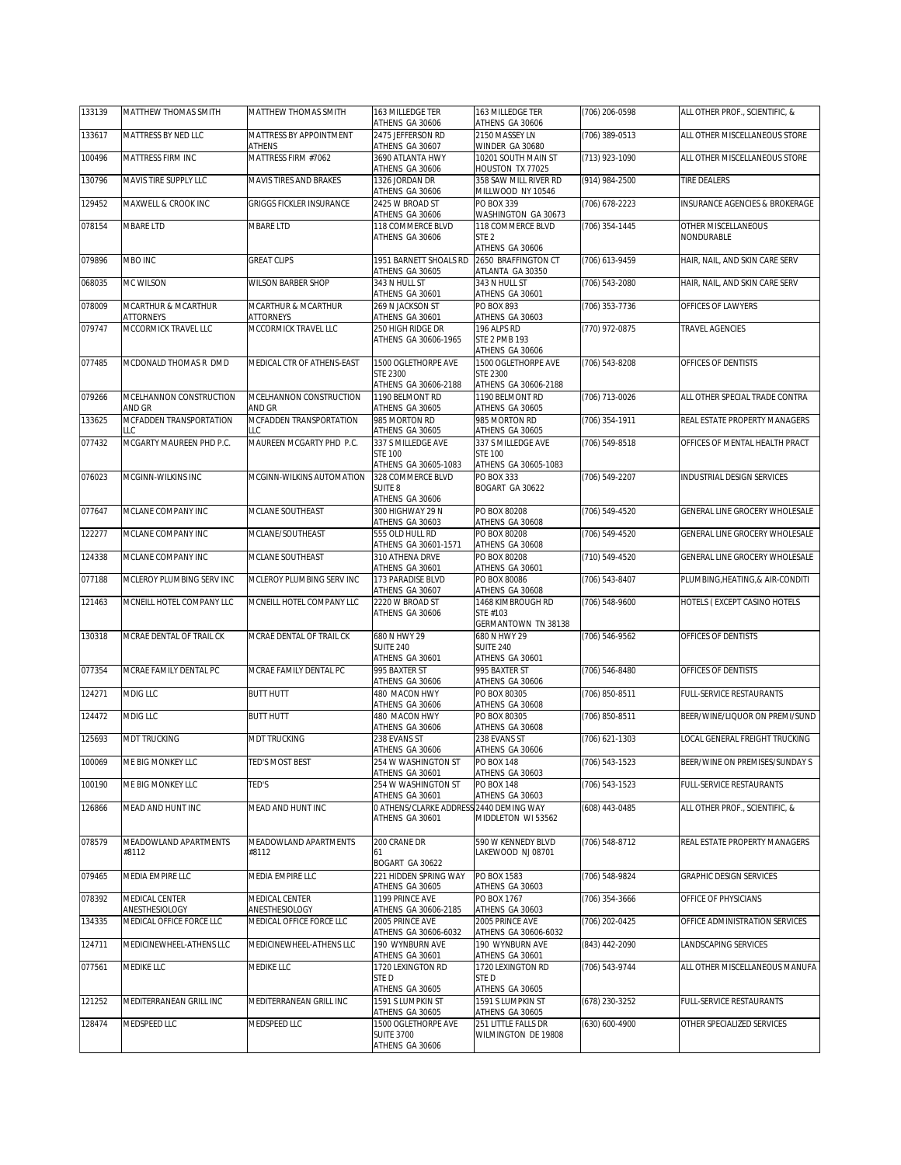| 133139 | MATTHEW THOMAS SMITH              | MATTHEW THOMAS SMITH                     | 163 MILLEDGE TER<br>ATHENS GA 30606                        | 163 MILLEDGE TER<br>ATHENS GA 30606                            | (706) 206-0598   | ALL OTHER PROF., SCIENTIFIC, &    |
|--------|-----------------------------------|------------------------------------------|------------------------------------------------------------|----------------------------------------------------------------|------------------|-----------------------------------|
| 133617 | MATTRESS BY NED LLC               | MATTRESS BY APPOINTMENT<br><b>ATHENS</b> | 2475 JEFFERSON RD<br>ATHENS GA 30607                       | 2150 MASSEY LN<br>WINDER GA 30680                              | (706) 389-0513   | ALL OTHER MISCELLANEOUS STORE     |
| 100496 | MATTRESS FIRM INC                 | MATTRESS FIRM #7062                      | 3690 ATLANTA HWY                                           | 10201 SOUTH MAIN ST                                            | (713) 923-1090   | ALL OTHER MISCELLANEOUS STORE     |
| 130796 | MAVIS TIRE SUPPLY LLC             | MAVIS TIRES AND BRAKES                   | ATHENS GA 30606<br>1326 JORDAN DR                          | HOUSTON TX 77025<br>358 SAW MILL RIVER RD                      | (914) 984-2500   | TIRE DEALERS                      |
| 129452 | MAXWELL & CROOK INC               | <b>GRIGGS FICKLER INSURANCE</b>          | ATHENS GA 30606<br>2425 W BROAD ST                         | MILLWOOD NY 10546<br>PO BOX 339                                | (706) 678-2223   | INSURANCE AGENCIES & BROKERAGE    |
| 078154 | MBARE LTD                         | MBARE LTD                                | ATHENS GA 30606<br>118 COMMERCE BLVD                       | WASHINGTON GA 30673<br>118 COMMERCE BLVD                       | (706) 354-1445   | OTHER MISCELLANEOUS               |
|        |                                   |                                          | ATHENS GA 30606                                            | STE <sub>2</sub><br>ATHENS GA 30606                            |                  | NONDURABLE                        |
| 079896 | <b>MBO INC</b>                    | <b>GREAT CLIPS</b>                       | 1951 BARNETT SHOALS RD<br>ATHENS GA 30605                  | 2650 BRAFFINGTON CT<br>ATLANTA GA 30350                        | (706) 613-9459   | HAIR, NAIL, AND SKIN CARE SERV    |
| 068035 | <b>MC WILSON</b>                  | WILSON BARBER SHOP                       | 343 N HULL ST<br>ATHENS GA 30601                           | 343 N HULL ST<br>ATHENS GA 30601                               | (706) 543-2080   | HAIR, NAIL, AND SKIN CARE SERV    |
| 078009 | MCARTHUR & MCARTHUR<br>ATTORNEYS  | MCARTHUR & MCARTHUR<br>ATTORNEYS         | 269 N JACKSON ST<br>ATHENS GA 30601                        | PO BOX 893<br>ATHENS GA 30603                                  | (706) 353-7736   | OFFICES OF LAWYERS                |
| 079747 | MCCORMICK TRAVEL LLC              | MCCORMICK TRAVEL LLC                     | 250 HIGH RIDGE DR<br>ATHENS GA 30606-1965                  | 196 ALPS RD<br><b>STE 2 PMB 193</b><br>ATHENS GA 30606         | (770) 972-0875   | TRAVEL AGENCIES                   |
| 077485 | MCDONALD THOMAS R DMD             | MEDICAL CTR OF ATHENS-EAST               | 1500 OGLETHORPE AVE<br>STE 2300<br>ATHENS GA 30606-2188    | 1500 OGLETHORPE AVE<br><b>STE 2300</b><br>ATHENS GA 30606-2188 | (706) 543-8208   | OFFICES OF DENTISTS               |
| 079266 | MCELHANNON CONSTRUCTION           | MCELHANNON CONSTRUCTION                  | 1190 BELMONT RD                                            | 1190 BELMONT RD                                                | (706) 713-0026   | ALL OTHER SPECIAL TRADE CONTRA    |
| 133625 | AND GR<br>MCFADDEN TRANSPORTATION | AND GR<br>MCFADDEN TRANSPORTATION        | ATHENS GA 30605<br>985 MORTON RD                           | ATHENS GA 30605<br>985 MORTON RD                               | $(706)$ 354-1911 | REAL ESTATE PROPERTY MANAGERS     |
| 077432 | LLC<br>MCGARTY MAUREEN PHD P.C.   | LC<br>MAUREEN MCGARTY PHD P.C.           | ATHENS GA 30605<br>337 S MILLEDGE AVE                      | ATHENS GA 30605<br>337 S MILLEDGE AVE                          | (706) 549-8518   | OFFICES OF MENTAL HEALTH PRACT    |
|        |                                   |                                          | <b>STE 100</b><br>ATHENS GA 30605-1083                     | <b>STE 100</b><br>ATHENS GA 30605-1083                         |                  |                                   |
| 076023 | MCGINN-WILKINS INC                | MCGINN-WILKINS AUTOMATION                | 328 COMMERCE BLVD<br>SUITE 8<br>ATHENS GA 30606            | PO BOX 333<br>BOGART GA 30622                                  | (706) 549-2207   | <b>INDUSTRIAL DESIGN SERVICES</b> |
| 077647 | MCLANE COMPANY INC                | MCLANE SOUTHEAST                         | 300 HIGHWAY 29 N<br>ATHENS GA 30603                        | PO BOX 80208<br>ATHENS GA 30608                                | (706) 549-4520   | GENERAL LINE GROCERY WHOLESALE    |
| 122277 | MCLANE COMPANY INC                | MCLANE/SOUTHEAST                         | 555 OLD HULL RD<br>ATHENS GA 30601-1571                    | PO BOX 80208<br>ATHENS GA 30608                                | (706) 549-4520   | GENERAL LINE GROCERY WHOLESALE    |
| 124338 | MCLANE COMPANY INC                | MCLANE SOUTHEAST                         | 310 ATHENA DRVE<br>ATHENS GA 30601                         | PO BOX 80208<br>ATHENS GA 30601                                | (710) 549-4520   | GENERAL LINE GROCERY WHOLESALE    |
| 077188 | MCLEROY PLUMBING SERV INC         | MCLEROY PLUMBING SERV INC                | 173 PARADISE BLVD<br>ATHENS GA 30607                       | PO BOX 80086<br>ATHENS GA 30608                                | (706) 543-8407   | PLUMBING, HEATING, & AIR-CONDITI  |
| 121463 | MCNEILL HOTEL COMPANY LLC         | MCNEILL HOTEL COMPANY LLC                | 2220 W BROAD ST<br>ATHENS GA 30606                         | 1468 KIMBROUGH RD<br>STE #103                                  | (706) 548-9600   | HOTELS (EXCEPT CASINO HOTELS      |
| 130318 | MCRAE DENTAL OF TRAIL CK          | MCRAE DENTAL OF TRAIL CK                 | 680 N HWY 29<br><b>SUITE 240</b>                           | GERMANTOWN TN 38138<br>680 N HWY 29<br><b>SUITE 240</b>        | (706) 546-9562   | OFFICES OF DENTISTS               |
| 077354 | MCRAE FAMILY DENTAL PC            | MCRAE FAMILY DENTAL PC                   | ATHENS GA 30601<br>995 BAXTER ST                           | ATHENS GA 30601<br>995 BAXTER ST                               | (706) 546-8480   | OFFICES OF DENTISTS               |
| 124271 | MDIG LLC                          | <b>BUTT HUTT</b>                         | ATHENS GA 30606<br>480 MACON HWY                           | ATHENS GA 30606<br>PO BOX 80305                                | (706) 850-8511   | FULL-SERVICE RESTAURANTS          |
| 124472 | MDIG LLC                          | <b>BUTT HUTT</b>                         | ATHENS GA 30606<br>480 MACON HWY                           | ATHENS GA 30608<br>PO BOX 80305                                | (706) 850-8511   | BEER/WINE/LIQUOR ON PREMI/SUND    |
| 125693 | MDT TRUCKING                      | MDT TRUCKING                             | ATHENS GA 30606<br>238 EVANS ST                            | ATHENS GA 30608<br>238 EVANS ST                                | (706) 621-1303   | LOCAL GENERAL FREIGHT TRUCKING    |
| 100069 | ME BIG MONKEY LLC                 | TED'S MOST BEST                          | ATHENS GA 30606<br>254 W WASHINGTON ST                     | ATHENS GA 30606<br>PO BOX 148                                  | (706) 543-1523   | BEER/WINE ON PREMISES/SUNDAY S    |
|        |                                   |                                          | ATHENS GA 30601                                            | ATHENS GA 30603                                                |                  |                                   |
| 100190 | ME BIG MONKEY LLC                 | TED'S                                    | 254 W WASHINGTON ST<br>ATHENS GA 30601                     | PO BOX 148<br>ATHENS GA 30603                                  | (706) 543-1523   | FULL-SERVICE RESTAURANTS          |
| 126866 | MEAD AND HUNT INC                 | MEAD AND HUNT INC                        | O ATHENS/CLARKE ADDRESS 2440 DEMING WAY<br>ATHENS GA 30601 | MIDDLETON WI 53562                                             | (608) 443-0485   | ALL OTHER PROF., SCIENTIFIC, &    |
| 078579 | MEADOWLAND APARTMENTS<br>#8112    | MEADOWLAND APARTMENTS<br>#8112           | 200 CRANE DR<br>61<br>BOGART GA 30622                      | 590 W KENNEDY BLVD<br>LAKEWOOD NJ 08701                        | (706) 548-8712   | REAL ESTATE PROPERTY MANAGERS     |
| 079465 | MEDIA EMPIRE LLC                  | MEDIA EMPIRE LLC                         | 221 HIDDEN SPRING WAY<br>ATHENS GA 30605                   | PO BOX 1583<br>ATHENS GA 30603                                 | (706) 548-9824   | GRAPHIC DESIGN SERVICES           |
| 078392 | MEDICAL CENTER<br>ANESTHESIOLOGY  | MEDICAL CENTER<br>ANESTHESIOLOGY         | 1199 PRINCE AVE<br>ATHENS GA 30606-2185                    | PO BOX 1767<br>ATHENS GA 30603                                 | (706) 354-3666   | OFFICE OF PHYSICIANS              |
| 134335 | MEDICAL OFFICE FORCE LLC          | MEDICAL OFFICE FORCE LLC                 | 2005 PRINCE AVE<br>ATHENS GA 30606-6032                    | 2005 PRINCE AVE<br>ATHENS GA 30606-6032                        | (706) 202-0425   | OFFICE ADMINISTRATION SERVICES    |
| 124711 | MEDICINEWHEEL-ATHENS LLC          | MEDICINEWHEEL-ATHENS LLC                 | 190 WYNBURN AVE                                            | 190 WYNBURN AVE                                                | (843) 442-2090   | LANDSCAPING SERVICES              |
| 077561 | MEDIKE LLC                        | MEDIKE LLC                               | ATHENS GA 30601<br>1720 LEXINGTON RD<br>STE D              | ATHENS GA 30601<br>1720 LEXINGTON RD<br>STED                   | (706) 543-9744   | ALL OTHER MISCELLANEOUS MANUFA    |
| 121252 | MEDITERRANEAN GRILL INC           | MEDITERRANEAN GRILL INC                  | ATHENS GA 30605<br>1591 S LUMPKIN ST                       | ATHENS GA 30605<br>1591 S LUMPKIN ST                           | (678) 230-3252   | FULL-SERVICE RESTAURANTS          |
| 128474 | MEDSPEED LLC                      | MEDSPEED LLC                             | ATHENS GA 30605<br>1500 OGLETHORPE AVE                     | ATHENS GA 30605<br>251 LITTLE FALLS DR                         | (630) 600-4900   | OTHER SPECIALIZED SERVICES        |
|        |                                   |                                          | <b>SUITE 3700</b><br>ATHENS GA 30606                       | WILMINGTON DE 19808                                            |                  |                                   |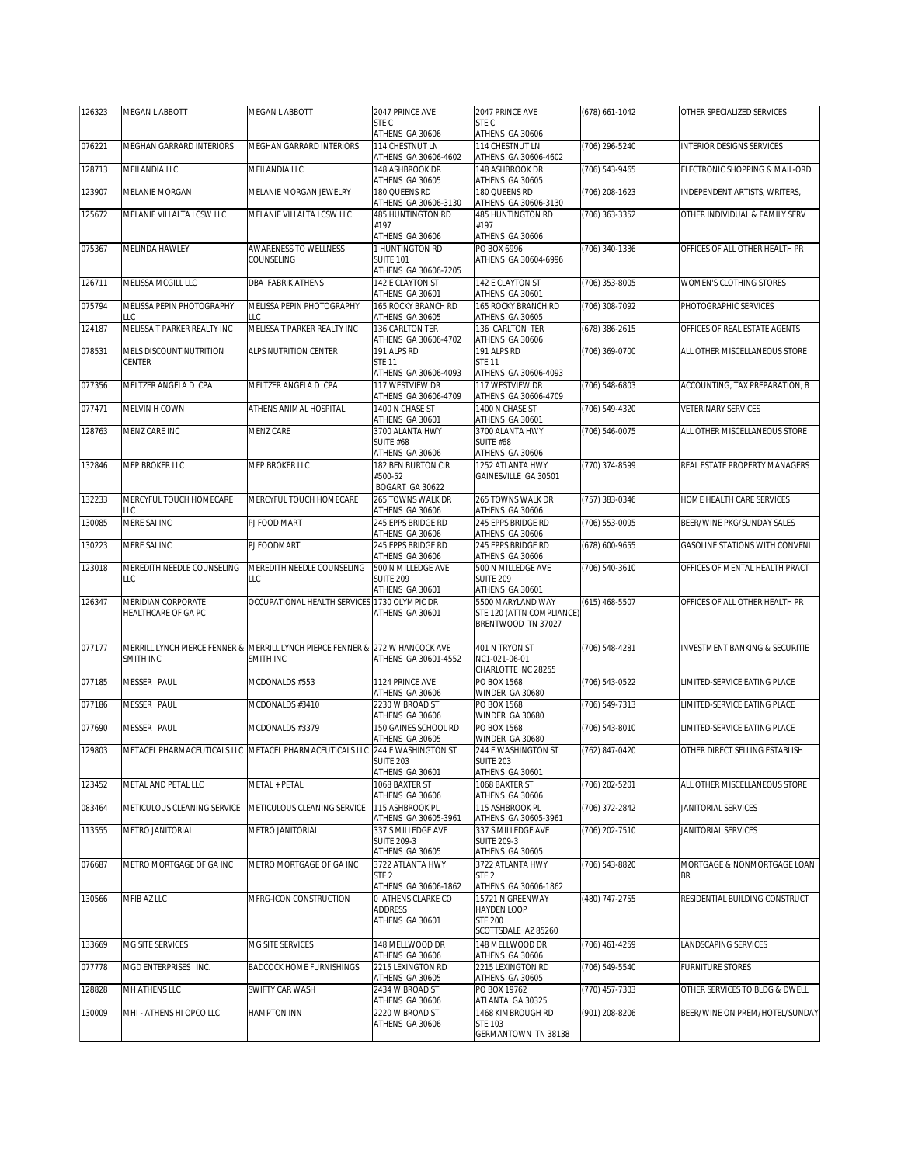| 126323 | MEGAN L ABBOTT                             | MEGAN L ABBOTT                                               | 2047 PRINCE AVE                                              | 2047 PRINCE AVE                                                                 | (678) 661-1042     | OTHER SPECIALIZED SERVICES                |
|--------|--------------------------------------------|--------------------------------------------------------------|--------------------------------------------------------------|---------------------------------------------------------------------------------|--------------------|-------------------------------------------|
|        |                                            |                                                              | STE C<br>ATHENS GA 30606                                     | STE C<br>ATHENS GA 30606                                                        |                    |                                           |
| 076221 | MEGHAN GARRARD INTERIORS                   | MEGHAN GARRARD INTERIORS                                     | 114 CHESTNUT LN<br>ATHENS GA 30606-4602                      | 114 CHESTNUT LN<br>ATHENS GA 30606-4602                                         | (706) 296-5240     | <b>INTERIOR DESIGNS SERVICES</b>          |
| 128713 | MEILANDIA LLC                              | MEILANDIA LLC                                                | 148 ASHBROOK DR<br>ATHENS GA 30605                           | 148 ASHBROOK DR<br>ATHENS GA 30605                                              | (706) 543-9465     | ELECTRONIC SHOPPING & MAIL-ORD            |
| 123907 | MELANIE MORGAN                             | MELANIE MORGAN JEWELRY                                       | 180 QUEENS RD<br>ATHENS GA 30606-3130                        | 180 QUEENS RD<br>ATHENS GA 30606-3130                                           | (706) 208-1623     | INDEPENDENT ARTISTS, WRITERS,             |
| 125672 | MELANIE VILLALTA LCSW LLC                  | MELANIE VILLALTA LCSW LLC                                    | <b>485 HUNTINGTON RD</b><br>#197                             | <b>485 HUNTINGTON RD</b><br>#197                                                | (706) 363-3352     | OTHER INDIVIDUAL & FAMILY SERV            |
| 075367 | MELINDA HAWLEY                             | AWARENESS TO WELLNESS                                        | ATHENS GA 30606<br>1 HUNTINGTON RD                           | ATHENS GA 30606<br>PO BOX 6996                                                  | (706) 340-1336     | OFFICES OF ALL OTHER HEALTH PR            |
|        |                                            | COUNSELING                                                   | <b>SUITE 101</b><br>ATHENS GA 30606-7205                     | ATHENS GA 30604-6996                                                            |                    |                                           |
| 126711 | MELISSA MCGILL LLC                         | <b>DBA FABRIK ATHENS</b>                                     | 142 E CLAYTON ST<br>ATHENS GA 30601                          | 142 E CLAYTON ST<br>ATHENS GA 30601                                             | (706) 353-8005     | WOMEN'S CLOTHING STORES                   |
| 075794 | MELISSA PEPIN PHOTOGRAPHY<br>LLC           | MELISSA PEPIN PHOTOGRAPHY<br>LLC                             | 165 ROCKY BRANCH RD<br>ATHENS GA 30605                       | 165 ROCKY BRANCH RD<br>ATHENS GA 30605                                          | (706) 308-7092     | PHOTOGRAPHIC SERVICES                     |
| 124187 | MELISSA T PARKER REALTY INC                | MELISSA T PARKER REALTY INC                                  | 136 CARLTON TER<br>ATHENS GA 30606-4702                      | 136 CARLTON TER<br>ATHENS GA 30606                                              | $(678)$ 386-2615   | OFFICES OF REAL ESTATE AGENTS             |
| 078531 | MELS DISCOUNT NUTRITION<br>CENTER          | ALPS NUTRITION CENTER                                        | 191 ALPS RD<br><b>STE 11</b><br>ATHENS GA 30606-4093         | 191 ALPS RD<br><b>STE 11</b><br>ATHENS GA 30606-4093                            | (706) 369-0700     | ALL OTHER MISCELLANEOUS STORE             |
| 077356 | MELTZER ANGELA D CPA                       | MELTZER ANGELA D CPA                                         | 117 WESTVIEW DR<br>ATHENS GA 30606-4709                      | 117 WESTVIEW DR<br>ATHENS GA 30606-4709                                         | (706) 548-6803     | ACCOUNTING, TAX PREPARATION, B            |
| 077471 | MELVIN H COWN                              | ATHENS ANIMAL HOSPITAL                                       | 1400 N CHASE ST                                              | 1400 N CHASE ST                                                                 | (706) 549-4320     | <b>VETERINARY SERVICES</b>                |
| 128763 | MENZ CARE INC                              | MENZ CARE                                                    | ATHENS GA 30601<br>3700 ALANTA HWY<br><b>SUITE #68</b>       | ATHENS GA 30601<br>3700 ALANTA HWY<br><b>SUITE #68</b>                          | (706) 546-0075     | ALL OTHER MISCELLANEOUS STORE             |
| 132846 | MEP BROKER LLC                             | MEP BROKER LLC                                               | ATHENS GA 30606<br>182 BEN BURTON CIR                        | ATHENS GA 30606<br>1252 ATLANTA HWY                                             | (770) 374-8599     | REAL ESTATE PROPERTY MANAGERS             |
|        |                                            |                                                              | #500-52<br>BOGART GA 30622                                   | GAINESVILLE GA 30501                                                            |                    |                                           |
| 132233 | MERCYFUL TOUCH HOMECARE<br>LLC             | MERCYFUL TOUCH HOMECARE                                      | 265 TOWNS WALK DR<br>ATHENS GA 30606                         | 265 TOWNS WALK DR<br>ATHENS GA 30606                                            | (757) 383-0346     | HOME HEALTH CARE SERVICES                 |
| 130085 | MERE SAI INC                               | PJ FOOD MART                                                 | 245 EPPS BRIDGE RD<br>ATHENS GA 30606                        | 245 EPPS BRIDGE RD<br>ATHENS GA 30606                                           | (706) 553-0095     | BEER/WINE PKG/SUNDAY SALES                |
| 130223 | MERE SAI INC                               | PJ FOODMART                                                  | 245 EPPS BRIDGE RD<br>ATHENS GA 30606                        | 245 EPPS BRIDGE RD<br>ATHENS GA 30606                                           | (678) 600-9655     | GASOLINE STATIONS WITH CONVENI            |
| 123018 | MEREDITH NEEDLE COUNSELING<br>LLC          | MEREDITH NEEDLE COUNSELING<br>LLC                            | 500 N MILLEDGE AVE<br><b>SUITE 209</b><br>ATHENS GA 30601    | 500 N MILLEDGE AVE<br><b>SUITE 209</b><br>ATHENS GA 30601                       | (706) 540-3610     | OFFICES OF MENTAL HEALTH PRACT            |
| 126347 | MERIDIAN CORPORATE<br>HEALTHCARE OF GA PC  | OCCUPATIONAL HEALTH SERVICES                                 | 1730 OLYMPIC DR<br>ATHENS GA 30601                           | 5500 MARYLAND WAY<br>STE 120 (ATTN COMPLIANCE)<br>BRENTWOOD TN 37027            | $(615)$ 468-5507   | OFFICES OF ALL OTHER HEALTH PR            |
| 077177 | MERRILL LYNCH PIERCE FENNER &<br>SMITH INC | MERRILL LYNCH PIERCE FENNER & 272 W HANCOCK AVE<br>SMITH INC | ATHENS GA 30601-4552                                         | 401 N TRYON ST<br>NC1-021-06-01<br>CHARLOTTE NC 28255                           | (706) 548-4281     | <b>INVESTMENT BANKING &amp; SECURITIE</b> |
| 077185 | MESSER PAUL                                | MCDONALDS #553                                               | 1124 PRINCE AVE<br>ATHENS GA 30606                           | PO BOX 1568<br>WINDER GA 30680                                                  | (706) 543-0522     | LIMITED-SERVICE EATING PLACE              |
| 077186 | MESSER PAUL                                | MCDONALDS #3410                                              | 2230 W BROAD ST<br>ATHENS GA 30606                           | PO BOX 1568<br>WINDER GA 30680                                                  | $(706) 549 - 7313$ | LIMITED-SERVICE EATING PLACE              |
| 077690 | MESSER PAUL                                | MCDONALDS #3379                                              | 150 GAINES SCHOOL RD<br>ATHENS GA 30605                      | PO BOX 1568<br>WINDER GA 30680                                                  | (706) 543-8010     | LIMITED-SERVICE EATING PLACE              |
| 129803 |                                            | METACEL PHARMACEUTICALS LLC METACEL PHARMACEUTICALS LLC      | 244 E WASHINGTON ST<br><b>SUITE 203</b><br>ATHENS GA 30601   | 244 E WASHINGTON ST<br><b>SUITE 203</b><br>ATHENS GA 30601                      | (762) 847-0420     | OTHER DIRECT SELLING ESTABLISH            |
| 123452 | METAL AND PETAL LLC                        | METAL + PETAL                                                | 1068 BAXTER ST<br>ATHENS GA 30606                            | 1068 BAXTER ST<br>ATHENS GA 30606                                               | (706) 202-5201     | ALL OTHER MISCELLANEOUS STORE             |
| 083464 | METICULOUS CLEANING SERVICE                | METICULOUS CLEANING SERVICE                                  | 115 ASHBROOK PL<br>ATHENS GA 30605-3961                      | 115 ASHBROOK PL<br>ATHENS GA 30605-3961                                         | (706) 372-2842     | JANITORIAL SERVICES                       |
| 113555 | METRO JANITORIAL                           | METRO JANITORIAL                                             | 337 S MILLEDGE AVE<br><b>SUITE 209-3</b><br>ATHENS GA 30605  | 337 S MILLEDGE AVE<br><b>SUITE 209-3</b><br>ATHENS GA 30605                     | (706) 202-7510     | JANITORIAL SERVICES                       |
| 076687 | METRO MORTGAGE OF GA INC                   | METRO MORTGAGE OF GA INC                                     | 3722 ATLANTA HWY<br>STE <sub>2</sub><br>ATHENS GA 30606-1862 | 3722 ATLANTA HWY<br>STE <sub>2</sub><br>ATHENS GA 30606-1862                    | (706) 543-8820     | MORTGAGE & NONMORTGAGE LOAN<br><b>BR</b>  |
| 130566 | MFIB AZ LLC                                | MFRG-ICON CONSTRUCTION                                       | 0 ATHENS CLARKE CO<br><b>ADDRESS</b><br>ATHENS GA 30601      | 15721 N GREENWAY<br><b>HAYDEN LOOP</b><br><b>STE 200</b><br>SCOTTSDALE AZ 85260 | (480) 747-2755     | RESIDENTIAL BUILDING CONSTRUCT            |
| 133669 | MG SITE SERVICES                           | MG SITE SERVICES                                             | 148 MELLWOOD DR<br>ATHENS GA 30606                           | 148 MELLWOOD DR<br>ATHENS GA 30606                                              | (706) 461-4259     | LANDSCAPING SERVICES                      |
| 077778 | MGD ENTERPRISES INC.                       | <b>BADCOCK HOME FURNISHINGS</b>                              | 2215 LEXINGTON RD<br>ATHENS GA 30605                         | 2215 LEXINGTON RD<br>ATHENS GA 30605                                            | (706) 549-5540     | FURNITURE STORES                          |
| 128828 | MH ATHENS LLC                              | SWIFTY CAR WASH                                              | 2434 W BROAD ST<br>ATHENS GA 30606                           | PO BOX 19762<br>ATLANTA GA 30325                                                | (770) 457-7303     | OTHER SERVICES TO BLDG & DWELL            |
| 130009 | MHI - ATHENS HI OPCO LLC                   | <b>HAMPTON INN</b>                                           | 2220 W BROAD ST<br>ATHENS GA 30606                           | 1468 KIMBROUGH RD<br><b>STE 103</b><br>GERMANTOWN TN 38138                      | (901) 208-8206     | BEER/WINE ON PREM/HOTEL/SUNDAY            |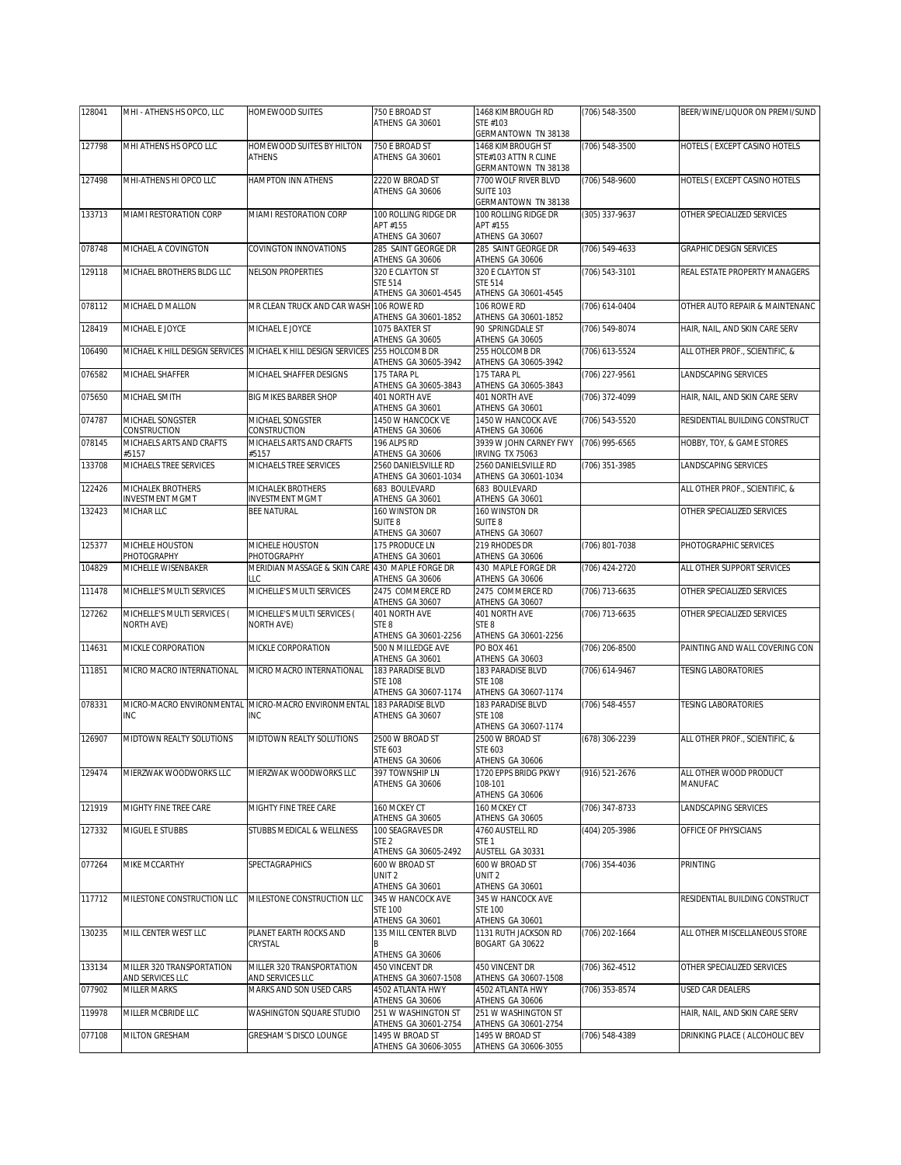| ATHENS GA 30601<br>GERMANTOWN TN 38138<br>MHI ATHENS HS OPCO LLC<br>HOMEWOOD SUITES BY HILTON<br>(706) 548-3500<br>HOTELS (EXCEPT CASINO HOTELS<br>127798<br>750 E BROAD ST<br>1468 KIMBROUGH ST<br><b>ATHENS</b><br>ATHENS GA 30601<br>STE#103 ATTN R CLINE<br>GERMANTOWN TN 38138<br>127498<br>MHI-ATHENS HI OPCO LLC<br>HAMPTON INN ATHENS<br>2220 W BROAD ST<br>7700 WOLF RIVER BLVD<br>(706) 548-9600<br>HOTELS (EXCEPT CASINO HOTELS<br>ATHENS GA 30606<br><b>SUITE 103</b><br>GERMANTOWN TN 38138<br>133713<br>MIAMI RESTORATION CORP<br>MIAMI RESTORATION CORP<br>100 ROLLING RIDGE DR<br>100 ROLLING RIDGE DR<br>(305) 337-9637<br>OTHER SPECIALIZED SERVICES<br>APT #155<br>APT #155<br>ATHENS GA 30607<br>ATHENS GA 30607<br>078748<br>MICHAEL A COVINGTON<br>COVINGTON INNOVATIONS<br>285 SAINT GEORGE DR<br>285 SAINT GEORGE DR<br>(706) 549-4633<br><b>GRAPHIC DESIGN SERVICES</b><br>ATHENS GA 30606<br>ATHENS GA 30606<br>129118<br>MICHAEL BROTHERS BLDG LLC<br><b>NELSON PROPERTIES</b><br>320 E CLAYTON ST<br>320 E CLAYTON ST<br>(706) 543-3101<br>REAL ESTATE PROPERTY MANAGERS<br><b>STE 514</b><br><b>STE 514</b><br>ATHENS GA 30601-4545<br>ATHENS GA 30601-4545<br>MR CLEAN TRUCK AND CAR WASH 106 ROWE RD<br>106 ROWE RD<br>078112<br>MICHAEL D MALLON<br>(706) 614-0404<br>OTHER AUTO REPAIR & MAINTENANC<br>ATHENS GA 30601-1852<br>ATHENS GA 30601-1852<br>90 SPRINGDALE ST<br>MICHAEL E JOYCE<br>MICHAEL E JOYCE<br>1075 BAXTER ST<br>(706) 549-8074<br>HAIR, NAIL, AND SKIN CARE SERV<br>128419<br>ATHENS GA 30605<br>ATHENS GA 30605<br>106490<br>MICHAEL K HILL DESIGN SERVICES MICHAEL K HILL DESIGN SERVICES<br>255 HOLCOMB DR<br>255 HOLCOMB DR<br>(706) 613-5524<br>ALL OTHER PROF., SCIENTIFIC, &<br>ATHENS GA 30605-3942<br>ATHENS GA 30605-3942<br>MICHAEL SHAFFER<br>076582<br>MICHAEL SHAFFER DESIGNS<br>175 TARA PL<br>175 TARA PL<br>(706) 227-9561<br>LANDSCAPING SERVICES<br>ATHENS GA 30605-3843<br>ATHENS GA 30605-3843<br>MICHAEL SMITH<br><b>BIG MIKES BARBER SHOP</b><br>401 NORTH AVE<br>401 NORTH AVE<br>HAIR, NAIL, AND SKIN CARE SERV<br>075650<br>(706) 372-4099<br>ATHENS GA 30601<br>ATHENS GA 30601<br>MICHAEL SONGSTER<br>MICHAEL SONGSTER<br>RESIDENTIAL BUILDING CONSTRUCT<br>074787<br>1450 W HANCOCK VE<br>1450 W HANCOCK AVE<br>(706) 543-5520<br>CONSTRUCTION<br>ATHENS GA 30606<br>CONSTRUCTION<br>ATHENS GA 30606<br>MICHAELS ARTS AND CRAFTS<br>MICHAELS ARTS AND CRAFTS<br>196 ALPS RD<br>3939 W JOHN CARNEY FWY<br>078145<br>(706) 995-6565<br>HOBBY, TOY, & GAME STORES<br>ATHENS GA 30606<br>IRVING TX 75063<br>#5157<br>#5157<br>MICHAELS TREE SERVICES<br>2560 DANIELSVILLE RD<br>2560 DANIELSVILLE RD<br>133708<br>MICHAELS TREE SERVICES<br>(706) 351-3985<br>LANDSCAPING SERVICES<br>ATHENS GA 30601-1034<br>ATHENS GA 30601-1034<br>MICHALEK BROTHERS<br>MICHALEK BROTHERS<br>683 BOULEVARD<br>ALL OTHER PROF., SCIENTIFIC, &<br>122426<br>683 BOULEVARD<br><b>INVESTMENT MGMT</b><br><b>INVESTMENT MGMT</b><br>ATHENS GA 30601<br>ATHENS GA 30601<br>160 WINSTON DR<br>160 WINSTON DR<br>MICHAR LLC<br>OTHER SPECIALIZED SERVICES<br>132423<br><b>BEE NATURAL</b><br>SUITE <sub>8</sub><br><b>SUITE 8</b><br>ATHENS GA 30607<br>ATHENS GA 30607<br>175 PRODUCE LN<br>219 RHODES DR<br>125377<br>MICHELE HOUSTON<br>MICHELE HOUSTON<br>(706) 801-7038<br>PHOTOGRAPHIC SERVICES<br>PHOTOGRAPHY<br>PHOTOGRAPHY<br>ATHENS GA 30601<br>ATHENS GA 30606<br>104829<br>MICHELLE WISENBAKER<br>MERIDIAN MASSAGE & SKIN CARE 430 MAPLE FORGE DR<br>430 MAPLE FORGE DR<br>ALL OTHER SUPPORT SERVICES<br>(706) 424-2720<br>LLC<br>ATHENS GA 30606<br>ATHENS GA 30606<br>MICHELLE'S MULTI SERVICES<br>MICHELLE'S MULTI SERVICES<br>2475 COMMERCE RD<br>2475 COMMERCE RD<br>111478<br>(706) 713-6635<br>OTHER SPECIALIZED SERVICES<br>ATHENS GA 30607<br>ATHENS GA 30607<br>MICHELLE'S MULTI SERVICES (<br>MICHELLE'S MULTI SERVICES (<br>127262<br>401 NORTH AVE<br>401 NORTH AVE<br>(706) 713-6635<br>OTHER SPECIALIZED SERVICES<br>STE <sub>8</sub><br>STE <sub>8</sub><br>NORTH AVE)<br>NORTH AVE)<br>ATHENS GA 30601-2256<br>ATHENS GA 30601-2256<br>500 N MILLEDGE AVE<br>PO BOX 461<br>114631<br>MICKLE CORPORATION<br>MICKLE CORPORATION<br>(706) 206-8500<br>PAINTING AND WALL COVERING CON<br>ATHENS GA 30603<br>ATHENS GA 30601<br>MICRO MACRO INTERNATIONAL<br>MICRO MACRO INTERNATIONAL<br>183 PARADISE BLVD<br>111851<br>183 PARADISE BLVD<br>(706) 614-9467<br><b>TESING LABORATORIES</b><br><b>STE 108</b><br><b>STE 108</b><br>ATHENS GA 30607-1174<br>ATHENS GA 30607-1174<br>183 PARADISE BLVD<br><b>183 PARADISE BLVD</b><br>078331<br>MICRO-MACRO ENVIRONMENTAL<br>MICRO-MACRO ENVIRONMENTAL<br>(706) 548-4557<br>TESING LABORATORIES<br><b>INC</b><br><b>INC</b><br>ATHENS GA 30607<br><b>STE 108</b><br>ATHENS GA 30607-1174<br>MIDTOWN REALTY SOLUTIONS<br>MIDTOWN REALTY SOLUTIONS<br>2500 W BROAD ST<br>ALL OTHER PROF., SCIENTIFIC, &<br>126907<br>2500 W BROAD ST<br>(678) 306-2239<br>STE 603<br>STE 603<br>ATHENS GA 30606<br>ATHENS GA 30606<br>129474<br>MIERZWAK WOODWORKS LLC<br>MIERZWAK WOODWORKS LLC<br>397 TOWNSHIP LN<br>1720 EPPS BRIDG PKWY<br>(916) 521-2676<br>ALL OTHER WOOD PRODUCT<br>ATHENS GA 30606<br>108-101<br>MANUFAC<br>ATHENS GA 30606<br>MIGHTY FINE TREE CARE<br>MIGHTY FINE TREE CARE<br>160 MCKEY CT<br>(706) 347-8733<br>LANDSCAPING SERVICES<br>121919<br>160 MCKEY CT<br>ATHENS GA 30605<br>ATHENS GA 30605<br>MIGUEL E STUBBS<br>OFFICE OF PHYSICIANS<br>127332<br>STUBBS MEDICAL & WELLNESS<br>100 SEAGRAVES DR<br>4760 AUSTELL RD<br>(404) 205-3986<br>STE <sub>2</sub><br>STE <sub>1</sub><br>ATHENS GA 30605-2492<br>AUSTELL GA 30331<br>077264<br>MIKE MCCARTHY<br>SPECTAGRAPHICS<br>600 W BROAD ST<br>600 W BROAD ST<br>(706) 354-4036<br>PRINTING<br>UNIT <sub>2</sub><br>UNIT <sub>2</sub><br>ATHENS GA 30601<br>ATHENS GA 30601<br>117712<br>MILESTONE CONSTRUCTION LLC<br>MILESTONE CONSTRUCTION LLC<br>345 W HANCOCK AVE<br>345 W HANCOCK AVE<br>RESIDENTIAL BUILDING CONSTRUCT<br><b>STE 100</b><br><b>STE 100</b><br>ATHENS GA 30601<br>ATHENS GA 30601<br>PLANET EARTH ROCKS AND<br>130235<br>MILL CENTER WEST LLC<br>135 MILL CENTER BLVD<br>1131 RUTH JACKSON RD<br>(706) 202-1664<br>ALL OTHER MISCELLANEOUS STORE<br>CRYSTAL<br>BOGART GA 30622<br>В<br>ATHENS GA 30606<br>MILLER 320 TRANSPORTATION<br>133134<br>MILLER 320 TRANSPORTATION<br>450 VINCENT DR<br>450 VINCENT DR<br>(706) 362-4512<br>OTHER SPECIALIZED SERVICES<br>AND SERVICES LLC<br>AND SERVICES LLC<br>ATHENS GA 30607-1508<br>ATHENS GA 30607-1508<br>077902<br>MARKS AND SON USED CARS<br>4502 ATLANTA HWY<br>4502 ATLANTA HWY<br>MILLER MARKS<br>(706) 353-8574<br>USED CAR DEALERS<br>ATHENS GA 30606<br>ATHENS GA 30606<br>119978<br>MILLER MCBRIDE LLC<br>WASHINGTON SQUARE STUDIO<br>251 W WASHINGTON ST<br>251 W WASHINGTON ST<br>HAIR, NAIL, AND SKIN CARE SERV<br>ATHENS GA 30601-2754<br>ATHENS GA 30601-2754<br>077108<br>MILTON GRESHAM<br>GRESHAM'S DISCO LOUNGE<br>(706) 548-4389<br>DRINKING PLACE ( ALCOHOLIC BEV<br>1495 W BROAD ST<br>1495 W BROAD ST<br>ATHENS GA 30606-3055<br>ATHENS GA 30606-3055 | 128041 | MHI - ATHENS HS OPCO, LLC | HOMEWOOD SUITES | 750 E BROAD ST | 1468 KIMBROUGH RD | (706) 548-3500 | BEER/WINE/LIQUOR ON PREMI/SUND |
|------------------------------------------------------------------------------------------------------------------------------------------------------------------------------------------------------------------------------------------------------------------------------------------------------------------------------------------------------------------------------------------------------------------------------------------------------------------------------------------------------------------------------------------------------------------------------------------------------------------------------------------------------------------------------------------------------------------------------------------------------------------------------------------------------------------------------------------------------------------------------------------------------------------------------------------------------------------------------------------------------------------------------------------------------------------------------------------------------------------------------------------------------------------------------------------------------------------------------------------------------------------------------------------------------------------------------------------------------------------------------------------------------------------------------------------------------------------------------------------------------------------------------------------------------------------------------------------------------------------------------------------------------------------------------------------------------------------------------------------------------------------------------------------------------------------------------------------------------------------------------------------------------------------------------------------------------------------------------------------------------------------------------------------------------------------------------------------------------------------------------------------------------------------------------------------------------------------------------------------------------------------------------------------------------------------------------------------------------------------------------------------------------------------------------------------------------------------------------------------------------------------------------------------------------------------------------------------------------------------------------------------------------------------------------------------------------------------------------------------------------------------------------------------------------------------------------------------------------------------------------------------------------------------------------------------------------------------------------------------------------------------------------------------------------------------------------------------------------------------------------------------------------------------------------------------------------------------------------------------------------------------------------------------------------------------------------------------------------------------------------------------------------------------------------------------------------------------------------------------------------------------------------------------------------------------------------------------------------------------------------------------------------------------------------------------------------------------------------------------------------------------------------------------------------------------------------------------------------------------------------------------------------------------------------------------------------------------------------------------------------------------------------------------------------------------------------------------------------------------------------------------------------------------------------------------------------------------------------------------------------------------------------------------------------------------------------------------------------------------------------------------------------------------------------------------------------------------------------------------------------------------------------------------------------------------------------------------------------------------------------------------------------------------------------------------------------------------------------------------------------------------------------------------------------------------------------------------------------------------------------------------------------------------------------------------------------------------------------------------------------------------------------------------------------------------------------------------------------------------------------------------------------------------------------------------------------------------------------------------------------------------------------------------------------------------------------------------------------------------------------------------------------------------------------------------------------------------------------------------------------------------------------------------------------------------------------------------------------------------------------------------------------------------------------------------------------------------------------------------------------------------------------------------------------------------------------------------------------------------------------------------------------------------------------------------------------------------------------------------------------------------------------------------------------------------------------------------------------------------------------------------------------------------------------------------------------------------------------------------------------------------------------------------------------------------------------------------------------------------------------------------------------------------------------------------------------------------------------------------------------------------------------------------------------------------------------------------------------------------------------------------------------------------------------------------------------------------------------------------------------------------------------------------------------------------------------------------------------------------------------------------------------------------------------------------------------------------------------------------------------------------------------------------------------------------------------------------------------------------------------------------------|--------|---------------------------|-----------------|----------------|-------------------|----------------|--------------------------------|
|                                                                                                                                                                                                                                                                                                                                                                                                                                                                                                                                                                                                                                                                                                                                                                                                                                                                                                                                                                                                                                                                                                                                                                                                                                                                                                                                                                                                                                                                                                                                                                                                                                                                                                                                                                                                                                                                                                                                                                                                                                                                                                                                                                                                                                                                                                                                                                                                                                                                                                                                                                                                                                                                                                                                                                                                                                                                                                                                                                                                                                                                                                                                                                                                                                                                                                                                                                                                                                                                                                                                                                                                                                                                                                                                                                                                                                                                                                                                                                                                                                                                                                                                                                                                                                                                                                                                                                                                                                                                                                                                                                                                                                                                                                                                                                                                                                                                                                                                                                                                                                                                                                                                                                                                                                                                                                                                                                                                                                                                                                                                                                                                                                                                                                                                                                                                                                                                                                                                                                                                                                                                                                                                                                                                                                                                                                                                                                                                                                                                                                                                                                                                                                                                                                                                                                                                                                                                                                                                                                                                                                                                                                                                                |        |                           |                 |                | STE #103          |                |                                |
|                                                                                                                                                                                                                                                                                                                                                                                                                                                                                                                                                                                                                                                                                                                                                                                                                                                                                                                                                                                                                                                                                                                                                                                                                                                                                                                                                                                                                                                                                                                                                                                                                                                                                                                                                                                                                                                                                                                                                                                                                                                                                                                                                                                                                                                                                                                                                                                                                                                                                                                                                                                                                                                                                                                                                                                                                                                                                                                                                                                                                                                                                                                                                                                                                                                                                                                                                                                                                                                                                                                                                                                                                                                                                                                                                                                                                                                                                                                                                                                                                                                                                                                                                                                                                                                                                                                                                                                                                                                                                                                                                                                                                                                                                                                                                                                                                                                                                                                                                                                                                                                                                                                                                                                                                                                                                                                                                                                                                                                                                                                                                                                                                                                                                                                                                                                                                                                                                                                                                                                                                                                                                                                                                                                                                                                                                                                                                                                                                                                                                                                                                                                                                                                                                                                                                                                                                                                                                                                                                                                                                                                                                                                                                |        |                           |                 |                |                   |                |                                |
|                                                                                                                                                                                                                                                                                                                                                                                                                                                                                                                                                                                                                                                                                                                                                                                                                                                                                                                                                                                                                                                                                                                                                                                                                                                                                                                                                                                                                                                                                                                                                                                                                                                                                                                                                                                                                                                                                                                                                                                                                                                                                                                                                                                                                                                                                                                                                                                                                                                                                                                                                                                                                                                                                                                                                                                                                                                                                                                                                                                                                                                                                                                                                                                                                                                                                                                                                                                                                                                                                                                                                                                                                                                                                                                                                                                                                                                                                                                                                                                                                                                                                                                                                                                                                                                                                                                                                                                                                                                                                                                                                                                                                                                                                                                                                                                                                                                                                                                                                                                                                                                                                                                                                                                                                                                                                                                                                                                                                                                                                                                                                                                                                                                                                                                                                                                                                                                                                                                                                                                                                                                                                                                                                                                                                                                                                                                                                                                                                                                                                                                                                                                                                                                                                                                                                                                                                                                                                                                                                                                                                                                                                                                                                |        |                           |                 |                |                   |                |                                |
|                                                                                                                                                                                                                                                                                                                                                                                                                                                                                                                                                                                                                                                                                                                                                                                                                                                                                                                                                                                                                                                                                                                                                                                                                                                                                                                                                                                                                                                                                                                                                                                                                                                                                                                                                                                                                                                                                                                                                                                                                                                                                                                                                                                                                                                                                                                                                                                                                                                                                                                                                                                                                                                                                                                                                                                                                                                                                                                                                                                                                                                                                                                                                                                                                                                                                                                                                                                                                                                                                                                                                                                                                                                                                                                                                                                                                                                                                                                                                                                                                                                                                                                                                                                                                                                                                                                                                                                                                                                                                                                                                                                                                                                                                                                                                                                                                                                                                                                                                                                                                                                                                                                                                                                                                                                                                                                                                                                                                                                                                                                                                                                                                                                                                                                                                                                                                                                                                                                                                                                                                                                                                                                                                                                                                                                                                                                                                                                                                                                                                                                                                                                                                                                                                                                                                                                                                                                                                                                                                                                                                                                                                                                                                |        |                           |                 |                |                   |                |                                |
|                                                                                                                                                                                                                                                                                                                                                                                                                                                                                                                                                                                                                                                                                                                                                                                                                                                                                                                                                                                                                                                                                                                                                                                                                                                                                                                                                                                                                                                                                                                                                                                                                                                                                                                                                                                                                                                                                                                                                                                                                                                                                                                                                                                                                                                                                                                                                                                                                                                                                                                                                                                                                                                                                                                                                                                                                                                                                                                                                                                                                                                                                                                                                                                                                                                                                                                                                                                                                                                                                                                                                                                                                                                                                                                                                                                                                                                                                                                                                                                                                                                                                                                                                                                                                                                                                                                                                                                                                                                                                                                                                                                                                                                                                                                                                                                                                                                                                                                                                                                                                                                                                                                                                                                                                                                                                                                                                                                                                                                                                                                                                                                                                                                                                                                                                                                                                                                                                                                                                                                                                                                                                                                                                                                                                                                                                                                                                                                                                                                                                                                                                                                                                                                                                                                                                                                                                                                                                                                                                                                                                                                                                                                                                |        |                           |                 |                |                   |                |                                |
|                                                                                                                                                                                                                                                                                                                                                                                                                                                                                                                                                                                                                                                                                                                                                                                                                                                                                                                                                                                                                                                                                                                                                                                                                                                                                                                                                                                                                                                                                                                                                                                                                                                                                                                                                                                                                                                                                                                                                                                                                                                                                                                                                                                                                                                                                                                                                                                                                                                                                                                                                                                                                                                                                                                                                                                                                                                                                                                                                                                                                                                                                                                                                                                                                                                                                                                                                                                                                                                                                                                                                                                                                                                                                                                                                                                                                                                                                                                                                                                                                                                                                                                                                                                                                                                                                                                                                                                                                                                                                                                                                                                                                                                                                                                                                                                                                                                                                                                                                                                                                                                                                                                                                                                                                                                                                                                                                                                                                                                                                                                                                                                                                                                                                                                                                                                                                                                                                                                                                                                                                                                                                                                                                                                                                                                                                                                                                                                                                                                                                                                                                                                                                                                                                                                                                                                                                                                                                                                                                                                                                                                                                                                                                |        |                           |                 |                |                   |                |                                |
|                                                                                                                                                                                                                                                                                                                                                                                                                                                                                                                                                                                                                                                                                                                                                                                                                                                                                                                                                                                                                                                                                                                                                                                                                                                                                                                                                                                                                                                                                                                                                                                                                                                                                                                                                                                                                                                                                                                                                                                                                                                                                                                                                                                                                                                                                                                                                                                                                                                                                                                                                                                                                                                                                                                                                                                                                                                                                                                                                                                                                                                                                                                                                                                                                                                                                                                                                                                                                                                                                                                                                                                                                                                                                                                                                                                                                                                                                                                                                                                                                                                                                                                                                                                                                                                                                                                                                                                                                                                                                                                                                                                                                                                                                                                                                                                                                                                                                                                                                                                                                                                                                                                                                                                                                                                                                                                                                                                                                                                                                                                                                                                                                                                                                                                                                                                                                                                                                                                                                                                                                                                                                                                                                                                                                                                                                                                                                                                                                                                                                                                                                                                                                                                                                                                                                                                                                                                                                                                                                                                                                                                                                                                                                |        |                           |                 |                |                   |                |                                |
|                                                                                                                                                                                                                                                                                                                                                                                                                                                                                                                                                                                                                                                                                                                                                                                                                                                                                                                                                                                                                                                                                                                                                                                                                                                                                                                                                                                                                                                                                                                                                                                                                                                                                                                                                                                                                                                                                                                                                                                                                                                                                                                                                                                                                                                                                                                                                                                                                                                                                                                                                                                                                                                                                                                                                                                                                                                                                                                                                                                                                                                                                                                                                                                                                                                                                                                                                                                                                                                                                                                                                                                                                                                                                                                                                                                                                                                                                                                                                                                                                                                                                                                                                                                                                                                                                                                                                                                                                                                                                                                                                                                                                                                                                                                                                                                                                                                                                                                                                                                                                                                                                                                                                                                                                                                                                                                                                                                                                                                                                                                                                                                                                                                                                                                                                                                                                                                                                                                                                                                                                                                                                                                                                                                                                                                                                                                                                                                                                                                                                                                                                                                                                                                                                                                                                                                                                                                                                                                                                                                                                                                                                                                                                |        |                           |                 |                |                   |                |                                |
|                                                                                                                                                                                                                                                                                                                                                                                                                                                                                                                                                                                                                                                                                                                                                                                                                                                                                                                                                                                                                                                                                                                                                                                                                                                                                                                                                                                                                                                                                                                                                                                                                                                                                                                                                                                                                                                                                                                                                                                                                                                                                                                                                                                                                                                                                                                                                                                                                                                                                                                                                                                                                                                                                                                                                                                                                                                                                                                                                                                                                                                                                                                                                                                                                                                                                                                                                                                                                                                                                                                                                                                                                                                                                                                                                                                                                                                                                                                                                                                                                                                                                                                                                                                                                                                                                                                                                                                                                                                                                                                                                                                                                                                                                                                                                                                                                                                                                                                                                                                                                                                                                                                                                                                                                                                                                                                                                                                                                                                                                                                                                                                                                                                                                                                                                                                                                                                                                                                                                                                                                                                                                                                                                                                                                                                                                                                                                                                                                                                                                                                                                                                                                                                                                                                                                                                                                                                                                                                                                                                                                                                                                                                                                |        |                           |                 |                |                   |                |                                |
|                                                                                                                                                                                                                                                                                                                                                                                                                                                                                                                                                                                                                                                                                                                                                                                                                                                                                                                                                                                                                                                                                                                                                                                                                                                                                                                                                                                                                                                                                                                                                                                                                                                                                                                                                                                                                                                                                                                                                                                                                                                                                                                                                                                                                                                                                                                                                                                                                                                                                                                                                                                                                                                                                                                                                                                                                                                                                                                                                                                                                                                                                                                                                                                                                                                                                                                                                                                                                                                                                                                                                                                                                                                                                                                                                                                                                                                                                                                                                                                                                                                                                                                                                                                                                                                                                                                                                                                                                                                                                                                                                                                                                                                                                                                                                                                                                                                                                                                                                                                                                                                                                                                                                                                                                                                                                                                                                                                                                                                                                                                                                                                                                                                                                                                                                                                                                                                                                                                                                                                                                                                                                                                                                                                                                                                                                                                                                                                                                                                                                                                                                                                                                                                                                                                                                                                                                                                                                                                                                                                                                                                                                                                                                |        |                           |                 |                |                   |                |                                |
|                                                                                                                                                                                                                                                                                                                                                                                                                                                                                                                                                                                                                                                                                                                                                                                                                                                                                                                                                                                                                                                                                                                                                                                                                                                                                                                                                                                                                                                                                                                                                                                                                                                                                                                                                                                                                                                                                                                                                                                                                                                                                                                                                                                                                                                                                                                                                                                                                                                                                                                                                                                                                                                                                                                                                                                                                                                                                                                                                                                                                                                                                                                                                                                                                                                                                                                                                                                                                                                                                                                                                                                                                                                                                                                                                                                                                                                                                                                                                                                                                                                                                                                                                                                                                                                                                                                                                                                                                                                                                                                                                                                                                                                                                                                                                                                                                                                                                                                                                                                                                                                                                                                                                                                                                                                                                                                                                                                                                                                                                                                                                                                                                                                                                                                                                                                                                                                                                                                                                                                                                                                                                                                                                                                                                                                                                                                                                                                                                                                                                                                                                                                                                                                                                                                                                                                                                                                                                                                                                                                                                                                                                                                                                |        |                           |                 |                |                   |                |                                |
|                                                                                                                                                                                                                                                                                                                                                                                                                                                                                                                                                                                                                                                                                                                                                                                                                                                                                                                                                                                                                                                                                                                                                                                                                                                                                                                                                                                                                                                                                                                                                                                                                                                                                                                                                                                                                                                                                                                                                                                                                                                                                                                                                                                                                                                                                                                                                                                                                                                                                                                                                                                                                                                                                                                                                                                                                                                                                                                                                                                                                                                                                                                                                                                                                                                                                                                                                                                                                                                                                                                                                                                                                                                                                                                                                                                                                                                                                                                                                                                                                                                                                                                                                                                                                                                                                                                                                                                                                                                                                                                                                                                                                                                                                                                                                                                                                                                                                                                                                                                                                                                                                                                                                                                                                                                                                                                                                                                                                                                                                                                                                                                                                                                                                                                                                                                                                                                                                                                                                                                                                                                                                                                                                                                                                                                                                                                                                                                                                                                                                                                                                                                                                                                                                                                                                                                                                                                                                                                                                                                                                                                                                                                                                |        |                           |                 |                |                   |                |                                |
|                                                                                                                                                                                                                                                                                                                                                                                                                                                                                                                                                                                                                                                                                                                                                                                                                                                                                                                                                                                                                                                                                                                                                                                                                                                                                                                                                                                                                                                                                                                                                                                                                                                                                                                                                                                                                                                                                                                                                                                                                                                                                                                                                                                                                                                                                                                                                                                                                                                                                                                                                                                                                                                                                                                                                                                                                                                                                                                                                                                                                                                                                                                                                                                                                                                                                                                                                                                                                                                                                                                                                                                                                                                                                                                                                                                                                                                                                                                                                                                                                                                                                                                                                                                                                                                                                                                                                                                                                                                                                                                                                                                                                                                                                                                                                                                                                                                                                                                                                                                                                                                                                                                                                                                                                                                                                                                                                                                                                                                                                                                                                                                                                                                                                                                                                                                                                                                                                                                                                                                                                                                                                                                                                                                                                                                                                                                                                                                                                                                                                                                                                                                                                                                                                                                                                                                                                                                                                                                                                                                                                                                                                                                                                |        |                           |                 |                |                   |                |                                |
|                                                                                                                                                                                                                                                                                                                                                                                                                                                                                                                                                                                                                                                                                                                                                                                                                                                                                                                                                                                                                                                                                                                                                                                                                                                                                                                                                                                                                                                                                                                                                                                                                                                                                                                                                                                                                                                                                                                                                                                                                                                                                                                                                                                                                                                                                                                                                                                                                                                                                                                                                                                                                                                                                                                                                                                                                                                                                                                                                                                                                                                                                                                                                                                                                                                                                                                                                                                                                                                                                                                                                                                                                                                                                                                                                                                                                                                                                                                                                                                                                                                                                                                                                                                                                                                                                                                                                                                                                                                                                                                                                                                                                                                                                                                                                                                                                                                                                                                                                                                                                                                                                                                                                                                                                                                                                                                                                                                                                                                                                                                                                                                                                                                                                                                                                                                                                                                                                                                                                                                                                                                                                                                                                                                                                                                                                                                                                                                                                                                                                                                                                                                                                                                                                                                                                                                                                                                                                                                                                                                                                                                                                                                                                |        |                           |                 |                |                   |                |                                |
|                                                                                                                                                                                                                                                                                                                                                                                                                                                                                                                                                                                                                                                                                                                                                                                                                                                                                                                                                                                                                                                                                                                                                                                                                                                                                                                                                                                                                                                                                                                                                                                                                                                                                                                                                                                                                                                                                                                                                                                                                                                                                                                                                                                                                                                                                                                                                                                                                                                                                                                                                                                                                                                                                                                                                                                                                                                                                                                                                                                                                                                                                                                                                                                                                                                                                                                                                                                                                                                                                                                                                                                                                                                                                                                                                                                                                                                                                                                                                                                                                                                                                                                                                                                                                                                                                                                                                                                                                                                                                                                                                                                                                                                                                                                                                                                                                                                                                                                                                                                                                                                                                                                                                                                                                                                                                                                                                                                                                                                                                                                                                                                                                                                                                                                                                                                                                                                                                                                                                                                                                                                                                                                                                                                                                                                                                                                                                                                                                                                                                                                                                                                                                                                                                                                                                                                                                                                                                                                                                                                                                                                                                                                                                |        |                           |                 |                |                   |                |                                |
|                                                                                                                                                                                                                                                                                                                                                                                                                                                                                                                                                                                                                                                                                                                                                                                                                                                                                                                                                                                                                                                                                                                                                                                                                                                                                                                                                                                                                                                                                                                                                                                                                                                                                                                                                                                                                                                                                                                                                                                                                                                                                                                                                                                                                                                                                                                                                                                                                                                                                                                                                                                                                                                                                                                                                                                                                                                                                                                                                                                                                                                                                                                                                                                                                                                                                                                                                                                                                                                                                                                                                                                                                                                                                                                                                                                                                                                                                                                                                                                                                                                                                                                                                                                                                                                                                                                                                                                                                                                                                                                                                                                                                                                                                                                                                                                                                                                                                                                                                                                                                                                                                                                                                                                                                                                                                                                                                                                                                                                                                                                                                                                                                                                                                                                                                                                                                                                                                                                                                                                                                                                                                                                                                                                                                                                                                                                                                                                                                                                                                                                                                                                                                                                                                                                                                                                                                                                                                                                                                                                                                                                                                                                                                |        |                           |                 |                |                   |                |                                |
|                                                                                                                                                                                                                                                                                                                                                                                                                                                                                                                                                                                                                                                                                                                                                                                                                                                                                                                                                                                                                                                                                                                                                                                                                                                                                                                                                                                                                                                                                                                                                                                                                                                                                                                                                                                                                                                                                                                                                                                                                                                                                                                                                                                                                                                                                                                                                                                                                                                                                                                                                                                                                                                                                                                                                                                                                                                                                                                                                                                                                                                                                                                                                                                                                                                                                                                                                                                                                                                                                                                                                                                                                                                                                                                                                                                                                                                                                                                                                                                                                                                                                                                                                                                                                                                                                                                                                                                                                                                                                                                                                                                                                                                                                                                                                                                                                                                                                                                                                                                                                                                                                                                                                                                                                                                                                                                                                                                                                                                                                                                                                                                                                                                                                                                                                                                                                                                                                                                                                                                                                                                                                                                                                                                                                                                                                                                                                                                                                                                                                                                                                                                                                                                                                                                                                                                                                                                                                                                                                                                                                                                                                                                                                |        |                           |                 |                |                   |                |                                |
|                                                                                                                                                                                                                                                                                                                                                                                                                                                                                                                                                                                                                                                                                                                                                                                                                                                                                                                                                                                                                                                                                                                                                                                                                                                                                                                                                                                                                                                                                                                                                                                                                                                                                                                                                                                                                                                                                                                                                                                                                                                                                                                                                                                                                                                                                                                                                                                                                                                                                                                                                                                                                                                                                                                                                                                                                                                                                                                                                                                                                                                                                                                                                                                                                                                                                                                                                                                                                                                                                                                                                                                                                                                                                                                                                                                                                                                                                                                                                                                                                                                                                                                                                                                                                                                                                                                                                                                                                                                                                                                                                                                                                                                                                                                                                                                                                                                                                                                                                                                                                                                                                                                                                                                                                                                                                                                                                                                                                                                                                                                                                                                                                                                                                                                                                                                                                                                                                                                                                                                                                                                                                                                                                                                                                                                                                                                                                                                                                                                                                                                                                                                                                                                                                                                                                                                                                                                                                                                                                                                                                                                                                                                                                |        |                           |                 |                |                   |                |                                |
|                                                                                                                                                                                                                                                                                                                                                                                                                                                                                                                                                                                                                                                                                                                                                                                                                                                                                                                                                                                                                                                                                                                                                                                                                                                                                                                                                                                                                                                                                                                                                                                                                                                                                                                                                                                                                                                                                                                                                                                                                                                                                                                                                                                                                                                                                                                                                                                                                                                                                                                                                                                                                                                                                                                                                                                                                                                                                                                                                                                                                                                                                                                                                                                                                                                                                                                                                                                                                                                                                                                                                                                                                                                                                                                                                                                                                                                                                                                                                                                                                                                                                                                                                                                                                                                                                                                                                                                                                                                                                                                                                                                                                                                                                                                                                                                                                                                                                                                                                                                                                                                                                                                                                                                                                                                                                                                                                                                                                                                                                                                                                                                                                                                                                                                                                                                                                                                                                                                                                                                                                                                                                                                                                                                                                                                                                                                                                                                                                                                                                                                                                                                                                                                                                                                                                                                                                                                                                                                                                                                                                                                                                                                                                |        |                           |                 |                |                   |                |                                |
|                                                                                                                                                                                                                                                                                                                                                                                                                                                                                                                                                                                                                                                                                                                                                                                                                                                                                                                                                                                                                                                                                                                                                                                                                                                                                                                                                                                                                                                                                                                                                                                                                                                                                                                                                                                                                                                                                                                                                                                                                                                                                                                                                                                                                                                                                                                                                                                                                                                                                                                                                                                                                                                                                                                                                                                                                                                                                                                                                                                                                                                                                                                                                                                                                                                                                                                                                                                                                                                                                                                                                                                                                                                                                                                                                                                                                                                                                                                                                                                                                                                                                                                                                                                                                                                                                                                                                                                                                                                                                                                                                                                                                                                                                                                                                                                                                                                                                                                                                                                                                                                                                                                                                                                                                                                                                                                                                                                                                                                                                                                                                                                                                                                                                                                                                                                                                                                                                                                                                                                                                                                                                                                                                                                                                                                                                                                                                                                                                                                                                                                                                                                                                                                                                                                                                                                                                                                                                                                                                                                                                                                                                                                                                |        |                           |                 |                |                   |                |                                |
|                                                                                                                                                                                                                                                                                                                                                                                                                                                                                                                                                                                                                                                                                                                                                                                                                                                                                                                                                                                                                                                                                                                                                                                                                                                                                                                                                                                                                                                                                                                                                                                                                                                                                                                                                                                                                                                                                                                                                                                                                                                                                                                                                                                                                                                                                                                                                                                                                                                                                                                                                                                                                                                                                                                                                                                                                                                                                                                                                                                                                                                                                                                                                                                                                                                                                                                                                                                                                                                                                                                                                                                                                                                                                                                                                                                                                                                                                                                                                                                                                                                                                                                                                                                                                                                                                                                                                                                                                                                                                                                                                                                                                                                                                                                                                                                                                                                                                                                                                                                                                                                                                                                                                                                                                                                                                                                                                                                                                                                                                                                                                                                                                                                                                                                                                                                                                                                                                                                                                                                                                                                                                                                                                                                                                                                                                                                                                                                                                                                                                                                                                                                                                                                                                                                                                                                                                                                                                                                                                                                                                                                                                                                                                |        |                           |                 |                |                   |                |                                |
|                                                                                                                                                                                                                                                                                                                                                                                                                                                                                                                                                                                                                                                                                                                                                                                                                                                                                                                                                                                                                                                                                                                                                                                                                                                                                                                                                                                                                                                                                                                                                                                                                                                                                                                                                                                                                                                                                                                                                                                                                                                                                                                                                                                                                                                                                                                                                                                                                                                                                                                                                                                                                                                                                                                                                                                                                                                                                                                                                                                                                                                                                                                                                                                                                                                                                                                                                                                                                                                                                                                                                                                                                                                                                                                                                                                                                                                                                                                                                                                                                                                                                                                                                                                                                                                                                                                                                                                                                                                                                                                                                                                                                                                                                                                                                                                                                                                                                                                                                                                                                                                                                                                                                                                                                                                                                                                                                                                                                                                                                                                                                                                                                                                                                                                                                                                                                                                                                                                                                                                                                                                                                                                                                                                                                                                                                                                                                                                                                                                                                                                                                                                                                                                                                                                                                                                                                                                                                                                                                                                                                                                                                                                                                |        |                           |                 |                |                   |                |                                |
|                                                                                                                                                                                                                                                                                                                                                                                                                                                                                                                                                                                                                                                                                                                                                                                                                                                                                                                                                                                                                                                                                                                                                                                                                                                                                                                                                                                                                                                                                                                                                                                                                                                                                                                                                                                                                                                                                                                                                                                                                                                                                                                                                                                                                                                                                                                                                                                                                                                                                                                                                                                                                                                                                                                                                                                                                                                                                                                                                                                                                                                                                                                                                                                                                                                                                                                                                                                                                                                                                                                                                                                                                                                                                                                                                                                                                                                                                                                                                                                                                                                                                                                                                                                                                                                                                                                                                                                                                                                                                                                                                                                                                                                                                                                                                                                                                                                                                                                                                                                                                                                                                                                                                                                                                                                                                                                                                                                                                                                                                                                                                                                                                                                                                                                                                                                                                                                                                                                                                                                                                                                                                                                                                                                                                                                                                                                                                                                                                                                                                                                                                                                                                                                                                                                                                                                                                                                                                                                                                                                                                                                                                                                                                |        |                           |                 |                |                   |                |                                |
|                                                                                                                                                                                                                                                                                                                                                                                                                                                                                                                                                                                                                                                                                                                                                                                                                                                                                                                                                                                                                                                                                                                                                                                                                                                                                                                                                                                                                                                                                                                                                                                                                                                                                                                                                                                                                                                                                                                                                                                                                                                                                                                                                                                                                                                                                                                                                                                                                                                                                                                                                                                                                                                                                                                                                                                                                                                                                                                                                                                                                                                                                                                                                                                                                                                                                                                                                                                                                                                                                                                                                                                                                                                                                                                                                                                                                                                                                                                                                                                                                                                                                                                                                                                                                                                                                                                                                                                                                                                                                                                                                                                                                                                                                                                                                                                                                                                                                                                                                                                                                                                                                                                                                                                                                                                                                                                                                                                                                                                                                                                                                                                                                                                                                                                                                                                                                                                                                                                                                                                                                                                                                                                                                                                                                                                                                                                                                                                                                                                                                                                                                                                                                                                                                                                                                                                                                                                                                                                                                                                                                                                                                                                                                |        |                           |                 |                |                   |                |                                |
|                                                                                                                                                                                                                                                                                                                                                                                                                                                                                                                                                                                                                                                                                                                                                                                                                                                                                                                                                                                                                                                                                                                                                                                                                                                                                                                                                                                                                                                                                                                                                                                                                                                                                                                                                                                                                                                                                                                                                                                                                                                                                                                                                                                                                                                                                                                                                                                                                                                                                                                                                                                                                                                                                                                                                                                                                                                                                                                                                                                                                                                                                                                                                                                                                                                                                                                                                                                                                                                                                                                                                                                                                                                                                                                                                                                                                                                                                                                                                                                                                                                                                                                                                                                                                                                                                                                                                                                                                                                                                                                                                                                                                                                                                                                                                                                                                                                                                                                                                                                                                                                                                                                                                                                                                                                                                                                                                                                                                                                                                                                                                                                                                                                                                                                                                                                                                                                                                                                                                                                                                                                                                                                                                                                                                                                                                                                                                                                                                                                                                                                                                                                                                                                                                                                                                                                                                                                                                                                                                                                                                                                                                                                                                |        |                           |                 |                |                   |                |                                |
|                                                                                                                                                                                                                                                                                                                                                                                                                                                                                                                                                                                                                                                                                                                                                                                                                                                                                                                                                                                                                                                                                                                                                                                                                                                                                                                                                                                                                                                                                                                                                                                                                                                                                                                                                                                                                                                                                                                                                                                                                                                                                                                                                                                                                                                                                                                                                                                                                                                                                                                                                                                                                                                                                                                                                                                                                                                                                                                                                                                                                                                                                                                                                                                                                                                                                                                                                                                                                                                                                                                                                                                                                                                                                                                                                                                                                                                                                                                                                                                                                                                                                                                                                                                                                                                                                                                                                                                                                                                                                                                                                                                                                                                                                                                                                                                                                                                                                                                                                                                                                                                                                                                                                                                                                                                                                                                                                                                                                                                                                                                                                                                                                                                                                                                                                                                                                                                                                                                                                                                                                                                                                                                                                                                                                                                                                                                                                                                                                                                                                                                                                                                                                                                                                                                                                                                                                                                                                                                                                                                                                                                                                                                                                |        |                           |                 |                |                   |                |                                |
|                                                                                                                                                                                                                                                                                                                                                                                                                                                                                                                                                                                                                                                                                                                                                                                                                                                                                                                                                                                                                                                                                                                                                                                                                                                                                                                                                                                                                                                                                                                                                                                                                                                                                                                                                                                                                                                                                                                                                                                                                                                                                                                                                                                                                                                                                                                                                                                                                                                                                                                                                                                                                                                                                                                                                                                                                                                                                                                                                                                                                                                                                                                                                                                                                                                                                                                                                                                                                                                                                                                                                                                                                                                                                                                                                                                                                                                                                                                                                                                                                                                                                                                                                                                                                                                                                                                                                                                                                                                                                                                                                                                                                                                                                                                                                                                                                                                                                                                                                                                                                                                                                                                                                                                                                                                                                                                                                                                                                                                                                                                                                                                                                                                                                                                                                                                                                                                                                                                                                                                                                                                                                                                                                                                                                                                                                                                                                                                                                                                                                                                                                                                                                                                                                                                                                                                                                                                                                                                                                                                                                                                                                                                                                |        |                           |                 |                |                   |                |                                |
|                                                                                                                                                                                                                                                                                                                                                                                                                                                                                                                                                                                                                                                                                                                                                                                                                                                                                                                                                                                                                                                                                                                                                                                                                                                                                                                                                                                                                                                                                                                                                                                                                                                                                                                                                                                                                                                                                                                                                                                                                                                                                                                                                                                                                                                                                                                                                                                                                                                                                                                                                                                                                                                                                                                                                                                                                                                                                                                                                                                                                                                                                                                                                                                                                                                                                                                                                                                                                                                                                                                                                                                                                                                                                                                                                                                                                                                                                                                                                                                                                                                                                                                                                                                                                                                                                                                                                                                                                                                                                                                                                                                                                                                                                                                                                                                                                                                                                                                                                                                                                                                                                                                                                                                                                                                                                                                                                                                                                                                                                                                                                                                                                                                                                                                                                                                                                                                                                                                                                                                                                                                                                                                                                                                                                                                                                                                                                                                                                                                                                                                                                                                                                                                                                                                                                                                                                                                                                                                                                                                                                                                                                                                                                |        |                           |                 |                |                   |                |                                |
|                                                                                                                                                                                                                                                                                                                                                                                                                                                                                                                                                                                                                                                                                                                                                                                                                                                                                                                                                                                                                                                                                                                                                                                                                                                                                                                                                                                                                                                                                                                                                                                                                                                                                                                                                                                                                                                                                                                                                                                                                                                                                                                                                                                                                                                                                                                                                                                                                                                                                                                                                                                                                                                                                                                                                                                                                                                                                                                                                                                                                                                                                                                                                                                                                                                                                                                                                                                                                                                                                                                                                                                                                                                                                                                                                                                                                                                                                                                                                                                                                                                                                                                                                                                                                                                                                                                                                                                                                                                                                                                                                                                                                                                                                                                                                                                                                                                                                                                                                                                                                                                                                                                                                                                                                                                                                                                                                                                                                                                                                                                                                                                                                                                                                                                                                                                                                                                                                                                                                                                                                                                                                                                                                                                                                                                                                                                                                                                                                                                                                                                                                                                                                                                                                                                                                                                                                                                                                                                                                                                                                                                                                                                                                |        |                           |                 |                |                   |                |                                |
|                                                                                                                                                                                                                                                                                                                                                                                                                                                                                                                                                                                                                                                                                                                                                                                                                                                                                                                                                                                                                                                                                                                                                                                                                                                                                                                                                                                                                                                                                                                                                                                                                                                                                                                                                                                                                                                                                                                                                                                                                                                                                                                                                                                                                                                                                                                                                                                                                                                                                                                                                                                                                                                                                                                                                                                                                                                                                                                                                                                                                                                                                                                                                                                                                                                                                                                                                                                                                                                                                                                                                                                                                                                                                                                                                                                                                                                                                                                                                                                                                                                                                                                                                                                                                                                                                                                                                                                                                                                                                                                                                                                                                                                                                                                                                                                                                                                                                                                                                                                                                                                                                                                                                                                                                                                                                                                                                                                                                                                                                                                                                                                                                                                                                                                                                                                                                                                                                                                                                                                                                                                                                                                                                                                                                                                                                                                                                                                                                                                                                                                                                                                                                                                                                                                                                                                                                                                                                                                                                                                                                                                                                                                                                |        |                           |                 |                |                   |                |                                |
|                                                                                                                                                                                                                                                                                                                                                                                                                                                                                                                                                                                                                                                                                                                                                                                                                                                                                                                                                                                                                                                                                                                                                                                                                                                                                                                                                                                                                                                                                                                                                                                                                                                                                                                                                                                                                                                                                                                                                                                                                                                                                                                                                                                                                                                                                                                                                                                                                                                                                                                                                                                                                                                                                                                                                                                                                                                                                                                                                                                                                                                                                                                                                                                                                                                                                                                                                                                                                                                                                                                                                                                                                                                                                                                                                                                                                                                                                                                                                                                                                                                                                                                                                                                                                                                                                                                                                                                                                                                                                                                                                                                                                                                                                                                                                                                                                                                                                                                                                                                                                                                                                                                                                                                                                                                                                                                                                                                                                                                                                                                                                                                                                                                                                                                                                                                                                                                                                                                                                                                                                                                                                                                                                                                                                                                                                                                                                                                                                                                                                                                                                                                                                                                                                                                                                                                                                                                                                                                                                                                                                                                                                                                                                |        |                           |                 |                |                   |                |                                |
|                                                                                                                                                                                                                                                                                                                                                                                                                                                                                                                                                                                                                                                                                                                                                                                                                                                                                                                                                                                                                                                                                                                                                                                                                                                                                                                                                                                                                                                                                                                                                                                                                                                                                                                                                                                                                                                                                                                                                                                                                                                                                                                                                                                                                                                                                                                                                                                                                                                                                                                                                                                                                                                                                                                                                                                                                                                                                                                                                                                                                                                                                                                                                                                                                                                                                                                                                                                                                                                                                                                                                                                                                                                                                                                                                                                                                                                                                                                                                                                                                                                                                                                                                                                                                                                                                                                                                                                                                                                                                                                                                                                                                                                                                                                                                                                                                                                                                                                                                                                                                                                                                                                                                                                                                                                                                                                                                                                                                                                                                                                                                                                                                                                                                                                                                                                                                                                                                                                                                                                                                                                                                                                                                                                                                                                                                                                                                                                                                                                                                                                                                                                                                                                                                                                                                                                                                                                                                                                                                                                                                                                                                                                                                |        |                           |                 |                |                   |                |                                |
|                                                                                                                                                                                                                                                                                                                                                                                                                                                                                                                                                                                                                                                                                                                                                                                                                                                                                                                                                                                                                                                                                                                                                                                                                                                                                                                                                                                                                                                                                                                                                                                                                                                                                                                                                                                                                                                                                                                                                                                                                                                                                                                                                                                                                                                                                                                                                                                                                                                                                                                                                                                                                                                                                                                                                                                                                                                                                                                                                                                                                                                                                                                                                                                                                                                                                                                                                                                                                                                                                                                                                                                                                                                                                                                                                                                                                                                                                                                                                                                                                                                                                                                                                                                                                                                                                                                                                                                                                                                                                                                                                                                                                                                                                                                                                                                                                                                                                                                                                                                                                                                                                                                                                                                                                                                                                                                                                                                                                                                                                                                                                                                                                                                                                                                                                                                                                                                                                                                                                                                                                                                                                                                                                                                                                                                                                                                                                                                                                                                                                                                                                                                                                                                                                                                                                                                                                                                                                                                                                                                                                                                                                                                                                |        |                           |                 |                |                   |                |                                |
|                                                                                                                                                                                                                                                                                                                                                                                                                                                                                                                                                                                                                                                                                                                                                                                                                                                                                                                                                                                                                                                                                                                                                                                                                                                                                                                                                                                                                                                                                                                                                                                                                                                                                                                                                                                                                                                                                                                                                                                                                                                                                                                                                                                                                                                                                                                                                                                                                                                                                                                                                                                                                                                                                                                                                                                                                                                                                                                                                                                                                                                                                                                                                                                                                                                                                                                                                                                                                                                                                                                                                                                                                                                                                                                                                                                                                                                                                                                                                                                                                                                                                                                                                                                                                                                                                                                                                                                                                                                                                                                                                                                                                                                                                                                                                                                                                                                                                                                                                                                                                                                                                                                                                                                                                                                                                                                                                                                                                                                                                                                                                                                                                                                                                                                                                                                                                                                                                                                                                                                                                                                                                                                                                                                                                                                                                                                                                                                                                                                                                                                                                                                                                                                                                                                                                                                                                                                                                                                                                                                                                                                                                                                                                |        |                           |                 |                |                   |                |                                |
|                                                                                                                                                                                                                                                                                                                                                                                                                                                                                                                                                                                                                                                                                                                                                                                                                                                                                                                                                                                                                                                                                                                                                                                                                                                                                                                                                                                                                                                                                                                                                                                                                                                                                                                                                                                                                                                                                                                                                                                                                                                                                                                                                                                                                                                                                                                                                                                                                                                                                                                                                                                                                                                                                                                                                                                                                                                                                                                                                                                                                                                                                                                                                                                                                                                                                                                                                                                                                                                                                                                                                                                                                                                                                                                                                                                                                                                                                                                                                                                                                                                                                                                                                                                                                                                                                                                                                                                                                                                                                                                                                                                                                                                                                                                                                                                                                                                                                                                                                                                                                                                                                                                                                                                                                                                                                                                                                                                                                                                                                                                                                                                                                                                                                                                                                                                                                                                                                                                                                                                                                                                                                                                                                                                                                                                                                                                                                                                                                                                                                                                                                                                                                                                                                                                                                                                                                                                                                                                                                                                                                                                                                                                                                |        |                           |                 |                |                   |                |                                |
|                                                                                                                                                                                                                                                                                                                                                                                                                                                                                                                                                                                                                                                                                                                                                                                                                                                                                                                                                                                                                                                                                                                                                                                                                                                                                                                                                                                                                                                                                                                                                                                                                                                                                                                                                                                                                                                                                                                                                                                                                                                                                                                                                                                                                                                                                                                                                                                                                                                                                                                                                                                                                                                                                                                                                                                                                                                                                                                                                                                                                                                                                                                                                                                                                                                                                                                                                                                                                                                                                                                                                                                                                                                                                                                                                                                                                                                                                                                                                                                                                                                                                                                                                                                                                                                                                                                                                                                                                                                                                                                                                                                                                                                                                                                                                                                                                                                                                                                                                                                                                                                                                                                                                                                                                                                                                                                                                                                                                                                                                                                                                                                                                                                                                                                                                                                                                                                                                                                                                                                                                                                                                                                                                                                                                                                                                                                                                                                                                                                                                                                                                                                                                                                                                                                                                                                                                                                                                                                                                                                                                                                                                                                                                |        |                           |                 |                |                   |                |                                |
|                                                                                                                                                                                                                                                                                                                                                                                                                                                                                                                                                                                                                                                                                                                                                                                                                                                                                                                                                                                                                                                                                                                                                                                                                                                                                                                                                                                                                                                                                                                                                                                                                                                                                                                                                                                                                                                                                                                                                                                                                                                                                                                                                                                                                                                                                                                                                                                                                                                                                                                                                                                                                                                                                                                                                                                                                                                                                                                                                                                                                                                                                                                                                                                                                                                                                                                                                                                                                                                                                                                                                                                                                                                                                                                                                                                                                                                                                                                                                                                                                                                                                                                                                                                                                                                                                                                                                                                                                                                                                                                                                                                                                                                                                                                                                                                                                                                                                                                                                                                                                                                                                                                                                                                                                                                                                                                                                                                                                                                                                                                                                                                                                                                                                                                                                                                                                                                                                                                                                                                                                                                                                                                                                                                                                                                                                                                                                                                                                                                                                                                                                                                                                                                                                                                                                                                                                                                                                                                                                                                                                                                                                                                                                |        |                           |                 |                |                   |                |                                |
|                                                                                                                                                                                                                                                                                                                                                                                                                                                                                                                                                                                                                                                                                                                                                                                                                                                                                                                                                                                                                                                                                                                                                                                                                                                                                                                                                                                                                                                                                                                                                                                                                                                                                                                                                                                                                                                                                                                                                                                                                                                                                                                                                                                                                                                                                                                                                                                                                                                                                                                                                                                                                                                                                                                                                                                                                                                                                                                                                                                                                                                                                                                                                                                                                                                                                                                                                                                                                                                                                                                                                                                                                                                                                                                                                                                                                                                                                                                                                                                                                                                                                                                                                                                                                                                                                                                                                                                                                                                                                                                                                                                                                                                                                                                                                                                                                                                                                                                                                                                                                                                                                                                                                                                                                                                                                                                                                                                                                                                                                                                                                                                                                                                                                                                                                                                                                                                                                                                                                                                                                                                                                                                                                                                                                                                                                                                                                                                                                                                                                                                                                                                                                                                                                                                                                                                                                                                                                                                                                                                                                                                                                                                                                |        |                           |                 |                |                   |                |                                |
|                                                                                                                                                                                                                                                                                                                                                                                                                                                                                                                                                                                                                                                                                                                                                                                                                                                                                                                                                                                                                                                                                                                                                                                                                                                                                                                                                                                                                                                                                                                                                                                                                                                                                                                                                                                                                                                                                                                                                                                                                                                                                                                                                                                                                                                                                                                                                                                                                                                                                                                                                                                                                                                                                                                                                                                                                                                                                                                                                                                                                                                                                                                                                                                                                                                                                                                                                                                                                                                                                                                                                                                                                                                                                                                                                                                                                                                                                                                                                                                                                                                                                                                                                                                                                                                                                                                                                                                                                                                                                                                                                                                                                                                                                                                                                                                                                                                                                                                                                                                                                                                                                                                                                                                                                                                                                                                                                                                                                                                                                                                                                                                                                                                                                                                                                                                                                                                                                                                                                                                                                                                                                                                                                                                                                                                                                                                                                                                                                                                                                                                                                                                                                                                                                                                                                                                                                                                                                                                                                                                                                                                                                                                                                |        |                           |                 |                |                   |                |                                |
|                                                                                                                                                                                                                                                                                                                                                                                                                                                                                                                                                                                                                                                                                                                                                                                                                                                                                                                                                                                                                                                                                                                                                                                                                                                                                                                                                                                                                                                                                                                                                                                                                                                                                                                                                                                                                                                                                                                                                                                                                                                                                                                                                                                                                                                                                                                                                                                                                                                                                                                                                                                                                                                                                                                                                                                                                                                                                                                                                                                                                                                                                                                                                                                                                                                                                                                                                                                                                                                                                                                                                                                                                                                                                                                                                                                                                                                                                                                                                                                                                                                                                                                                                                                                                                                                                                                                                                                                                                                                                                                                                                                                                                                                                                                                                                                                                                                                                                                                                                                                                                                                                                                                                                                                                                                                                                                                                                                                                                                                                                                                                                                                                                                                                                                                                                                                                                                                                                                                                                                                                                                                                                                                                                                                                                                                                                                                                                                                                                                                                                                                                                                                                                                                                                                                                                                                                                                                                                                                                                                                                                                                                                                                                |        |                           |                 |                |                   |                |                                |
|                                                                                                                                                                                                                                                                                                                                                                                                                                                                                                                                                                                                                                                                                                                                                                                                                                                                                                                                                                                                                                                                                                                                                                                                                                                                                                                                                                                                                                                                                                                                                                                                                                                                                                                                                                                                                                                                                                                                                                                                                                                                                                                                                                                                                                                                                                                                                                                                                                                                                                                                                                                                                                                                                                                                                                                                                                                                                                                                                                                                                                                                                                                                                                                                                                                                                                                                                                                                                                                                                                                                                                                                                                                                                                                                                                                                                                                                                                                                                                                                                                                                                                                                                                                                                                                                                                                                                                                                                                                                                                                                                                                                                                                                                                                                                                                                                                                                                                                                                                                                                                                                                                                                                                                                                                                                                                                                                                                                                                                                                                                                                                                                                                                                                                                                                                                                                                                                                                                                                                                                                                                                                                                                                                                                                                                                                                                                                                                                                                                                                                                                                                                                                                                                                                                                                                                                                                                                                                                                                                                                                                                                                                                                                |        |                           |                 |                |                   |                |                                |
|                                                                                                                                                                                                                                                                                                                                                                                                                                                                                                                                                                                                                                                                                                                                                                                                                                                                                                                                                                                                                                                                                                                                                                                                                                                                                                                                                                                                                                                                                                                                                                                                                                                                                                                                                                                                                                                                                                                                                                                                                                                                                                                                                                                                                                                                                                                                                                                                                                                                                                                                                                                                                                                                                                                                                                                                                                                                                                                                                                                                                                                                                                                                                                                                                                                                                                                                                                                                                                                                                                                                                                                                                                                                                                                                                                                                                                                                                                                                                                                                                                                                                                                                                                                                                                                                                                                                                                                                                                                                                                                                                                                                                                                                                                                                                                                                                                                                                                                                                                                                                                                                                                                                                                                                                                                                                                                                                                                                                                                                                                                                                                                                                                                                                                                                                                                                                                                                                                                                                                                                                                                                                                                                                                                                                                                                                                                                                                                                                                                                                                                                                                                                                                                                                                                                                                                                                                                                                                                                                                                                                                                                                                                                                |        |                           |                 |                |                   |                |                                |
|                                                                                                                                                                                                                                                                                                                                                                                                                                                                                                                                                                                                                                                                                                                                                                                                                                                                                                                                                                                                                                                                                                                                                                                                                                                                                                                                                                                                                                                                                                                                                                                                                                                                                                                                                                                                                                                                                                                                                                                                                                                                                                                                                                                                                                                                                                                                                                                                                                                                                                                                                                                                                                                                                                                                                                                                                                                                                                                                                                                                                                                                                                                                                                                                                                                                                                                                                                                                                                                                                                                                                                                                                                                                                                                                                                                                                                                                                                                                                                                                                                                                                                                                                                                                                                                                                                                                                                                                                                                                                                                                                                                                                                                                                                                                                                                                                                                                                                                                                                                                                                                                                                                                                                                                                                                                                                                                                                                                                                                                                                                                                                                                                                                                                                                                                                                                                                                                                                                                                                                                                                                                                                                                                                                                                                                                                                                                                                                                                                                                                                                                                                                                                                                                                                                                                                                                                                                                                                                                                                                                                                                                                                                                                |        |                           |                 |                |                   |                |                                |
|                                                                                                                                                                                                                                                                                                                                                                                                                                                                                                                                                                                                                                                                                                                                                                                                                                                                                                                                                                                                                                                                                                                                                                                                                                                                                                                                                                                                                                                                                                                                                                                                                                                                                                                                                                                                                                                                                                                                                                                                                                                                                                                                                                                                                                                                                                                                                                                                                                                                                                                                                                                                                                                                                                                                                                                                                                                                                                                                                                                                                                                                                                                                                                                                                                                                                                                                                                                                                                                                                                                                                                                                                                                                                                                                                                                                                                                                                                                                                                                                                                                                                                                                                                                                                                                                                                                                                                                                                                                                                                                                                                                                                                                                                                                                                                                                                                                                                                                                                                                                                                                                                                                                                                                                                                                                                                                                                                                                                                                                                                                                                                                                                                                                                                                                                                                                                                                                                                                                                                                                                                                                                                                                                                                                                                                                                                                                                                                                                                                                                                                                                                                                                                                                                                                                                                                                                                                                                                                                                                                                                                                                                                                                                |        |                           |                 |                |                   |                |                                |
|                                                                                                                                                                                                                                                                                                                                                                                                                                                                                                                                                                                                                                                                                                                                                                                                                                                                                                                                                                                                                                                                                                                                                                                                                                                                                                                                                                                                                                                                                                                                                                                                                                                                                                                                                                                                                                                                                                                                                                                                                                                                                                                                                                                                                                                                                                                                                                                                                                                                                                                                                                                                                                                                                                                                                                                                                                                                                                                                                                                                                                                                                                                                                                                                                                                                                                                                                                                                                                                                                                                                                                                                                                                                                                                                                                                                                                                                                                                                                                                                                                                                                                                                                                                                                                                                                                                                                                                                                                                                                                                                                                                                                                                                                                                                                                                                                                                                                                                                                                                                                                                                                                                                                                                                                                                                                                                                                                                                                                                                                                                                                                                                                                                                                                                                                                                                                                                                                                                                                                                                                                                                                                                                                                                                                                                                                                                                                                                                                                                                                                                                                                                                                                                                                                                                                                                                                                                                                                                                                                                                                                                                                                                                                |        |                           |                 |                |                   |                |                                |
|                                                                                                                                                                                                                                                                                                                                                                                                                                                                                                                                                                                                                                                                                                                                                                                                                                                                                                                                                                                                                                                                                                                                                                                                                                                                                                                                                                                                                                                                                                                                                                                                                                                                                                                                                                                                                                                                                                                                                                                                                                                                                                                                                                                                                                                                                                                                                                                                                                                                                                                                                                                                                                                                                                                                                                                                                                                                                                                                                                                                                                                                                                                                                                                                                                                                                                                                                                                                                                                                                                                                                                                                                                                                                                                                                                                                                                                                                                                                                                                                                                                                                                                                                                                                                                                                                                                                                                                                                                                                                                                                                                                                                                                                                                                                                                                                                                                                                                                                                                                                                                                                                                                                                                                                                                                                                                                                                                                                                                                                                                                                                                                                                                                                                                                                                                                                                                                                                                                                                                                                                                                                                                                                                                                                                                                                                                                                                                                                                                                                                                                                                                                                                                                                                                                                                                                                                                                                                                                                                                                                                                                                                                                                                |        |                           |                 |                |                   |                |                                |
|                                                                                                                                                                                                                                                                                                                                                                                                                                                                                                                                                                                                                                                                                                                                                                                                                                                                                                                                                                                                                                                                                                                                                                                                                                                                                                                                                                                                                                                                                                                                                                                                                                                                                                                                                                                                                                                                                                                                                                                                                                                                                                                                                                                                                                                                                                                                                                                                                                                                                                                                                                                                                                                                                                                                                                                                                                                                                                                                                                                                                                                                                                                                                                                                                                                                                                                                                                                                                                                                                                                                                                                                                                                                                                                                                                                                                                                                                                                                                                                                                                                                                                                                                                                                                                                                                                                                                                                                                                                                                                                                                                                                                                                                                                                                                                                                                                                                                                                                                                                                                                                                                                                                                                                                                                                                                                                                                                                                                                                                                                                                                                                                                                                                                                                                                                                                                                                                                                                                                                                                                                                                                                                                                                                                                                                                                                                                                                                                                                                                                                                                                                                                                                                                                                                                                                                                                                                                                                                                                                                                                                                                                                                                                |        |                           |                 |                |                   |                |                                |
|                                                                                                                                                                                                                                                                                                                                                                                                                                                                                                                                                                                                                                                                                                                                                                                                                                                                                                                                                                                                                                                                                                                                                                                                                                                                                                                                                                                                                                                                                                                                                                                                                                                                                                                                                                                                                                                                                                                                                                                                                                                                                                                                                                                                                                                                                                                                                                                                                                                                                                                                                                                                                                                                                                                                                                                                                                                                                                                                                                                                                                                                                                                                                                                                                                                                                                                                                                                                                                                                                                                                                                                                                                                                                                                                                                                                                                                                                                                                                                                                                                                                                                                                                                                                                                                                                                                                                                                                                                                                                                                                                                                                                                                                                                                                                                                                                                                                                                                                                                                                                                                                                                                                                                                                                                                                                                                                                                                                                                                                                                                                                                                                                                                                                                                                                                                                                                                                                                                                                                                                                                                                                                                                                                                                                                                                                                                                                                                                                                                                                                                                                                                                                                                                                                                                                                                                                                                                                                                                                                                                                                                                                                                                                |        |                           |                 |                |                   |                |                                |
|                                                                                                                                                                                                                                                                                                                                                                                                                                                                                                                                                                                                                                                                                                                                                                                                                                                                                                                                                                                                                                                                                                                                                                                                                                                                                                                                                                                                                                                                                                                                                                                                                                                                                                                                                                                                                                                                                                                                                                                                                                                                                                                                                                                                                                                                                                                                                                                                                                                                                                                                                                                                                                                                                                                                                                                                                                                                                                                                                                                                                                                                                                                                                                                                                                                                                                                                                                                                                                                                                                                                                                                                                                                                                                                                                                                                                                                                                                                                                                                                                                                                                                                                                                                                                                                                                                                                                                                                                                                                                                                                                                                                                                                                                                                                                                                                                                                                                                                                                                                                                                                                                                                                                                                                                                                                                                                                                                                                                                                                                                                                                                                                                                                                                                                                                                                                                                                                                                                                                                                                                                                                                                                                                                                                                                                                                                                                                                                                                                                                                                                                                                                                                                                                                                                                                                                                                                                                                                                                                                                                                                                                                                                                                |        |                           |                 |                |                   |                |                                |
|                                                                                                                                                                                                                                                                                                                                                                                                                                                                                                                                                                                                                                                                                                                                                                                                                                                                                                                                                                                                                                                                                                                                                                                                                                                                                                                                                                                                                                                                                                                                                                                                                                                                                                                                                                                                                                                                                                                                                                                                                                                                                                                                                                                                                                                                                                                                                                                                                                                                                                                                                                                                                                                                                                                                                                                                                                                                                                                                                                                                                                                                                                                                                                                                                                                                                                                                                                                                                                                                                                                                                                                                                                                                                                                                                                                                                                                                                                                                                                                                                                                                                                                                                                                                                                                                                                                                                                                                                                                                                                                                                                                                                                                                                                                                                                                                                                                                                                                                                                                                                                                                                                                                                                                                                                                                                                                                                                                                                                                                                                                                                                                                                                                                                                                                                                                                                                                                                                                                                                                                                                                                                                                                                                                                                                                                                                                                                                                                                                                                                                                                                                                                                                                                                                                                                                                                                                                                                                                                                                                                                                                                                                                                                |        |                           |                 |                |                   |                |                                |
|                                                                                                                                                                                                                                                                                                                                                                                                                                                                                                                                                                                                                                                                                                                                                                                                                                                                                                                                                                                                                                                                                                                                                                                                                                                                                                                                                                                                                                                                                                                                                                                                                                                                                                                                                                                                                                                                                                                                                                                                                                                                                                                                                                                                                                                                                                                                                                                                                                                                                                                                                                                                                                                                                                                                                                                                                                                                                                                                                                                                                                                                                                                                                                                                                                                                                                                                                                                                                                                                                                                                                                                                                                                                                                                                                                                                                                                                                                                                                                                                                                                                                                                                                                                                                                                                                                                                                                                                                                                                                                                                                                                                                                                                                                                                                                                                                                                                                                                                                                                                                                                                                                                                                                                                                                                                                                                                                                                                                                                                                                                                                                                                                                                                                                                                                                                                                                                                                                                                                                                                                                                                                                                                                                                                                                                                                                                                                                                                                                                                                                                                                                                                                                                                                                                                                                                                                                                                                                                                                                                                                                                                                                                                                |        |                           |                 |                |                   |                |                                |
|                                                                                                                                                                                                                                                                                                                                                                                                                                                                                                                                                                                                                                                                                                                                                                                                                                                                                                                                                                                                                                                                                                                                                                                                                                                                                                                                                                                                                                                                                                                                                                                                                                                                                                                                                                                                                                                                                                                                                                                                                                                                                                                                                                                                                                                                                                                                                                                                                                                                                                                                                                                                                                                                                                                                                                                                                                                                                                                                                                                                                                                                                                                                                                                                                                                                                                                                                                                                                                                                                                                                                                                                                                                                                                                                                                                                                                                                                                                                                                                                                                                                                                                                                                                                                                                                                                                                                                                                                                                                                                                                                                                                                                                                                                                                                                                                                                                                                                                                                                                                                                                                                                                                                                                                                                                                                                                                                                                                                                                                                                                                                                                                                                                                                                                                                                                                                                                                                                                                                                                                                                                                                                                                                                                                                                                                                                                                                                                                                                                                                                                                                                                                                                                                                                                                                                                                                                                                                                                                                                                                                                                                                                                                                |        |                           |                 |                |                   |                |                                |
|                                                                                                                                                                                                                                                                                                                                                                                                                                                                                                                                                                                                                                                                                                                                                                                                                                                                                                                                                                                                                                                                                                                                                                                                                                                                                                                                                                                                                                                                                                                                                                                                                                                                                                                                                                                                                                                                                                                                                                                                                                                                                                                                                                                                                                                                                                                                                                                                                                                                                                                                                                                                                                                                                                                                                                                                                                                                                                                                                                                                                                                                                                                                                                                                                                                                                                                                                                                                                                                                                                                                                                                                                                                                                                                                                                                                                                                                                                                                                                                                                                                                                                                                                                                                                                                                                                                                                                                                                                                                                                                                                                                                                                                                                                                                                                                                                                                                                                                                                                                                                                                                                                                                                                                                                                                                                                                                                                                                                                                                                                                                                                                                                                                                                                                                                                                                                                                                                                                                                                                                                                                                                                                                                                                                                                                                                                                                                                                                                                                                                                                                                                                                                                                                                                                                                                                                                                                                                                                                                                                                                                                                                                                                                |        |                           |                 |                |                   |                |                                |
|                                                                                                                                                                                                                                                                                                                                                                                                                                                                                                                                                                                                                                                                                                                                                                                                                                                                                                                                                                                                                                                                                                                                                                                                                                                                                                                                                                                                                                                                                                                                                                                                                                                                                                                                                                                                                                                                                                                                                                                                                                                                                                                                                                                                                                                                                                                                                                                                                                                                                                                                                                                                                                                                                                                                                                                                                                                                                                                                                                                                                                                                                                                                                                                                                                                                                                                                                                                                                                                                                                                                                                                                                                                                                                                                                                                                                                                                                                                                                                                                                                                                                                                                                                                                                                                                                                                                                                                                                                                                                                                                                                                                                                                                                                                                                                                                                                                                                                                                                                                                                                                                                                                                                                                                                                                                                                                                                                                                                                                                                                                                                                                                                                                                                                                                                                                                                                                                                                                                                                                                                                                                                                                                                                                                                                                                                                                                                                                                                                                                                                                                                                                                                                                                                                                                                                                                                                                                                                                                                                                                                                                                                                                                                |        |                           |                 |                |                   |                |                                |
|                                                                                                                                                                                                                                                                                                                                                                                                                                                                                                                                                                                                                                                                                                                                                                                                                                                                                                                                                                                                                                                                                                                                                                                                                                                                                                                                                                                                                                                                                                                                                                                                                                                                                                                                                                                                                                                                                                                                                                                                                                                                                                                                                                                                                                                                                                                                                                                                                                                                                                                                                                                                                                                                                                                                                                                                                                                                                                                                                                                                                                                                                                                                                                                                                                                                                                                                                                                                                                                                                                                                                                                                                                                                                                                                                                                                                                                                                                                                                                                                                                                                                                                                                                                                                                                                                                                                                                                                                                                                                                                                                                                                                                                                                                                                                                                                                                                                                                                                                                                                                                                                                                                                                                                                                                                                                                                                                                                                                                                                                                                                                                                                                                                                                                                                                                                                                                                                                                                                                                                                                                                                                                                                                                                                                                                                                                                                                                                                                                                                                                                                                                                                                                                                                                                                                                                                                                                                                                                                                                                                                                                                                                                                                |        |                           |                 |                |                   |                |                                |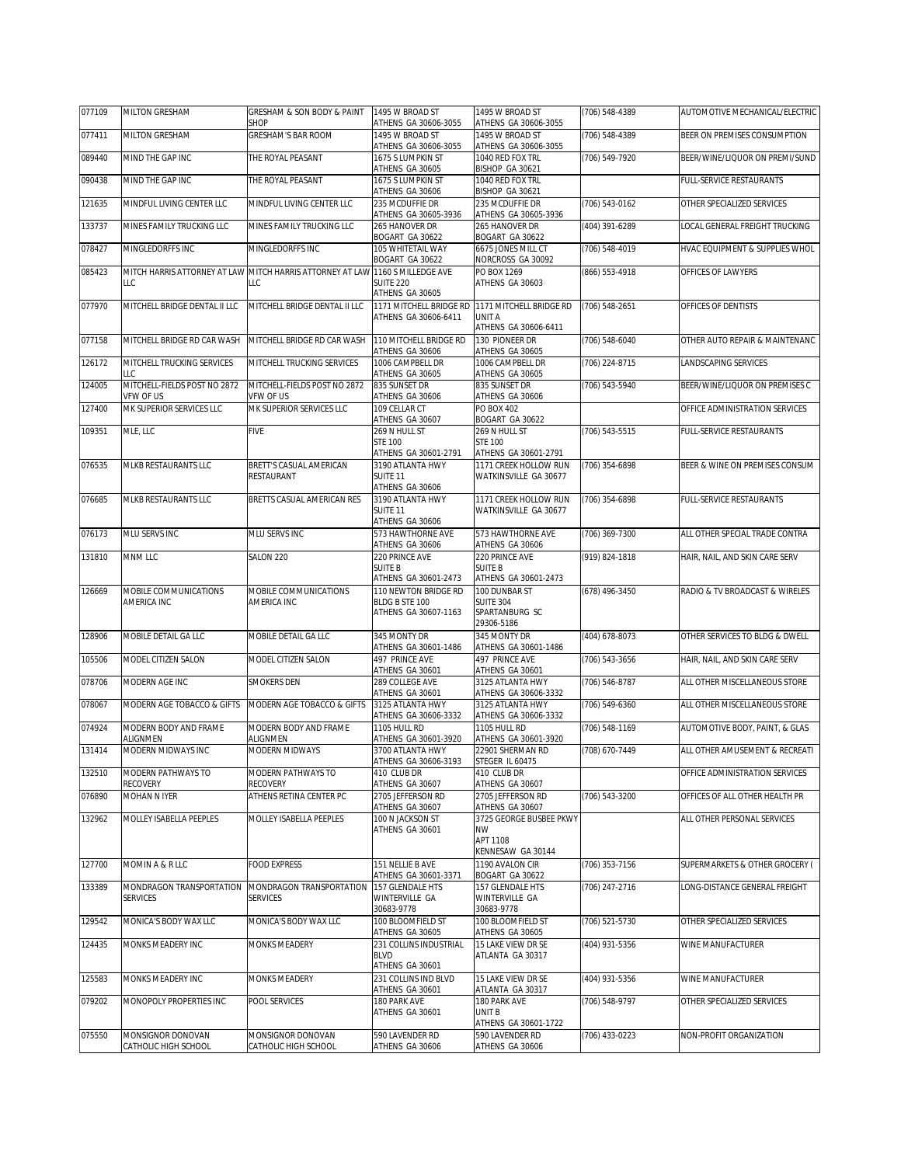| 077109 | <b>MILTON GRESHAM</b>                       | GRESHAM & SON BODY & PAINT<br>SHOP                               | 1495 W BROAD ST<br>ATHENS GA 30606-3055                                            | 1495 W BROAD ST<br>ATHENS GA 30606-3055                                | (706) 548-4389 | AUTOMOTIVE MECHANICAL/ELECTRIC  |
|--------|---------------------------------------------|------------------------------------------------------------------|------------------------------------------------------------------------------------|------------------------------------------------------------------------|----------------|---------------------------------|
| 077411 | MILTON GRESHAM                              | GRESHAM'S BAR ROOM                                               | 1495 W BROAD ST<br>ATHENS GA 30606-3055                                            | 1495 W BROAD ST<br>ATHENS GA 30606-3055                                | (706) 548-4389 | BEER ON PREMISES CONSUMPTION    |
| 089440 | MIND THE GAP INC                            | THE ROYAL PEASANT                                                | 1675 S LUMPKIN ST                                                                  | 1040 RED FOX TRL<br>BISHOP GA 30621                                    | (706) 549-7920 | BEER/WINE/LIQUOR ON PREMI/SUND  |
| 090438 | MIND THE GAP INC                            | THE ROYAL PEASANT                                                | ATHENS GA 30605<br>1675 S LUMPKIN ST                                               | 1040 RED FOX TRL                                                       |                | FULL-SERVICE RESTAURANTS        |
| 121635 | MINDFUL LIVING CENTER LLC                   | MINDFUL LIVING CENTER LLC                                        | ATHENS GA 30606<br>235 MCDUFFIE DR<br>ATHENS GA 30605-3936                         | BISHOP GA 30621<br>235 MCDUFFIF DR<br>ATHENS GA 30605-3936             | (706) 543-0162 | OTHER SPECIALIZED SERVICES      |
| 133737 | MINES FAMILY TRUCKING LLC                   | MINES FAMILY TRUCKING LLC                                        | 265 HANOVER DR                                                                     | 265 HANOVER DR                                                         | (404) 391-6289 | LOCAL GENERAL FREIGHT TRUCKING  |
| 078427 | MINGLEDORFFS INC                            | MINGLEDORFFS INC                                                 | BOGART GA 30622<br>105 WHITETAIL WAY<br>BOGART GA 30622                            | BOGART GA 30622<br>6675 JONES MILL CT<br>NORCROSS GA 30092             | (706) 548-4019 | HVAC EQUIPMENT & SUPPLIES WHOL  |
| 085423 | LLC                                         | MITCH HARRIS ATTORNEY AT LAW MITCH HARRIS ATTORNEY AT LAW<br>LLC | 1160 S MILLEDGE AVE<br><b>SUITE 220</b>                                            | PO BOX 1269<br>ATHENS GA 30603                                         | (866) 553-4918 | OFFICES OF LAWYERS              |
| 077970 | MITCHELL BRIDGE DENTAL II LLC               | MITCHELL BRIDGE DENTAL II LLC                                    | ATHENS GA 30605<br>1171 MITCHELL BRIDGE RD<br>ATHENS GA 30606-6411                 | 1171 MITCHELL BRIDGE RD<br>UNIT A<br>ATHENS GA 30606-6411              | (706) 548-2651 | OFFICES OF DENTISTS             |
| 077158 | MITCHELL BRIDGE RD CAR WASH                 | MITCHELL BRIDGE RD CAR WASH                                      | 110 MITCHELL BRIDGE RD<br>ATHENS GA 30606                                          | 130 PIONEER DR<br>ATHENS GA 30605                                      | (706) 548-6040 | OTHER AUTO REPAIR & MAINTENANC  |
| 126172 | MITCHELL TRUCKING SERVICES<br>LLC           | MITCHELL TRUCKING SERVICES                                       | 1006 CAMPBELL DR<br>ATHENS GA 30605                                                | 1006 CAMPBELL DR<br>ATHENS GA 30605                                    | (706) 224-8715 | LANDSCAPING SERVICES            |
| 124005 | MITCHELL-FIELDS POST NO 2872<br>VFW OF US   | MITCHELL-FIELDS POST NO 2872<br>VFW OF US                        | 835 SUNSET DR<br>ATHENS GA 30606                                                   | 835 SUNSET DR<br>ATHENS GA 30606                                       | (706) 543-5940 | BEER/WINE/LIQUOR ON PREMISES C  |
| 127400 | MK SUPERIOR SERVICES LLC                    | MK SUPERIOR SERVICES LLC                                         | 109 CFI LAR CT<br>ATHENS GA 30607                                                  | PO BOX 402<br>BOGART GA 30622                                          |                | OFFICE ADMINISTRATION SERVICES  |
| 109351 | MLE, LLC                                    | <b>FIVE</b>                                                      | 269 N HULL ST<br><b>STE 100</b>                                                    | 269 N HULL ST<br><b>STE 100</b>                                        | (706) 543-5515 | <b>FULL-SERVICE RESTAURANTS</b> |
| 076535 | MLKB RESTAURANTS LLC                        | BRETT'S CASUAL AMERICAN<br>RESTAURANT                            | ATHENS GA 30601-2791<br>3190 ATLANTA HWY<br>SUITE <sub>11</sub><br>ATHENS GA 30606 | ATHENS GA 30601-2791<br>1171 CREEK HOLLOW RUN<br>WATKINSVILLE GA 30677 | (706) 354-6898 | BEER & WINE ON PREMISES CONSUM  |
| 076685 | MLKB RESTAURANTS LLC                        | BRETTS CASUAL AMERICAN RES                                       | 3190 ATLANTA HWY<br>SUITE 11<br>ATHENS GA 30606                                    | 1171 CREEK HOLLOW RUN<br>WATKINSVILLE GA 30677                         | (706) 354-6898 | FULL-SERVICE RESTAURANTS        |
| 076173 | MLU SERVS INC                               | MLU SERVS INC                                                    | 573 HAWTHORNE AVE<br>ATHENS GA 30606                                               | 573 HAWTHORNE AVE<br>ATHENS GA 30606                                   | (706) 369-7300 | ALL OTHER SPECIAL TRADE CONTRA  |
| 131810 | MNM LLC                                     | SALON 220                                                        | 220 PRINCE AVE<br><b>SUITE B</b><br>ATHENS GA 30601-2473                           | 220 PRINCE AVE<br><b>SUITE B</b><br>ATHENS GA 30601-2473               | (919) 824-1818 | HAIR, NAIL, AND SKIN CARE SERV  |
| 126669 | MOBILE COMMUNICATIONS<br>AMERICA INC        | MOBILE COMMUNICATIONS<br>AMERICA INC                             | 110 NEWTON BRIDGE RD<br>BLDG B STE 100<br>ATHENS GA 30607-1163                     | 100 DUNBAR ST<br><b>SUITE 304</b><br>SPARTANBURG SC<br>29306-5186      | (678) 496-3450 | RADIO & TV BROADCAST & WIRELES  |
| 128906 | MOBILE DETAIL GA LLC                        | MOBILE DETAIL GA LLC                                             | 345 MONTY DR<br>ATHENS GA 30601-1486                                               | 345 MONTY DR<br>ATHENS GA 30601-1486                                   | (404) 678-8073 | OTHER SERVICES TO BLDG & DWELL  |
| 105506 | MODEL CITIZEN SALON                         | MODEL CITIZEN SALON                                              | 497 PRINCE AVE<br>ATHENS GA 30601                                                  | 497 PRINCE AVE<br>ATHENS GA 30601                                      | (706) 543-3656 | HAIR, NAIL, AND SKIN CARE SERV  |
| 078706 | MODERN AGE INC                              | <b>SMOKERS DEN</b>                                               | 289 COLLEGE AVE<br>ATHENS GA 30601                                                 | 3125 ATLANTA HWY<br>ATHENS GA 30606-3332                               | (706) 546-8787 | ALL OTHER MISCELLANEOUS STORE   |
| 078067 | MODERN AGE TOBACCO & GIFTS                  | MODERN AGE TOBACCO & GIFTS                                       | 3125 ATLANTA HWY<br>ATHENS GA 30606-3332                                           | 3125 ATLANTA HWY<br>ATHENS GA 30606-3332                               | (706) 549-6360 | ALL OTHER MISCELLANEOUS STORE   |
| 074924 | MODERN BODY AND FRAME<br>ALIGNMEN           | MODERN BODY AND FRAME<br>ALIGNMEN                                | 1105 HULL RD<br>ATHENS GA 30601-3920                                               | 1105 HULL RD<br>ATHENS GA 30601-3920                                   | (706) 548-1169 | AUTOMOTIVE BODY, PAINT, & GLAS  |
| 131414 | MODERN MIDWAYS INC                          | MODERN MIDWAYS                                                   | 3700 ATLANTA HWY<br>ATHENS GA 30606-3193                                           | 22901 SHERMAN RD<br>STEGER IL 60475                                    | (708) 670-7449 | ALL OTHER AMUSEMENT & RECREATI  |
| 132510 | MODERN PATHWAYS TO<br>RECOVERY              | MODERN PATHWAYS TO<br>RECOVERY                                   | 410 CLUB DR<br>ATHENS GA 30607                                                     | 410 CLUB DR<br>ATHENS GA 30607                                         |                | OFFICE ADMINISTRATION SERVICES  |
| 076890 | MOHAN N IYER                                | ATHENS RETINA CENTER PC                                          | 2705 JEFFERSON RD<br>ATHENS GA 30607                                               | 2705 JEFFERSON RD<br>ATHENS GA 30607                                   | (706) 543-3200 | OFFICES OF ALL OTHER HEALTH PR  |
| 132962 | MOLLEY ISABELLA PEEPLES                     | MOLLEY ISABELLA PEEPLES                                          | 100 N JACKSON ST<br>ATHENS GA 30601                                                | 3725 GEORGE BUSBEE PKWY<br>NW<br>APT 1108<br>KENNESAW GA 30144         |                | ALL OTHER PERSONAL SERVICES     |
| 127700 | MOMIN A & R LLC                             | FOOD EXPRESS                                                     | 151 NELLIE B AVE<br>ATHENS GA 30601-3371                                           | 1190 AVALON CIR<br>BOGART GA 30622                                     | (706) 353-7156 | SUPERMARKETS & OTHER GROCERY (  |
| 133389 | MONDRAGON TRANSPORTATION<br><b>SERVICES</b> | MONDRAGON TRANSPORTATION<br><b>SERVICES</b>                      | 157 GLENDALE HTS<br>WINTERVILLE GA<br>30683-9778                                   | 157 GLENDALE HTS<br>WINTERVILLE GA<br>30683-9778                       | (706) 247-2716 | ONG-DISTANCE GENERAL FREIGHT    |
| 129542 | MONICA'S BODY WAX LLC                       | MONICA'S BODY WAX LLC                                            | 100 BLOOMFIELD ST                                                                  | 100 BLOOMFIELD ST                                                      | (706) 521-5730 | OTHER SPECIALIZED SERVICES      |
| 124435 | MONKS MEADERY INC                           | <b>MONKS MEADERY</b>                                             | ATHENS GA 30605<br>231 COLLINS INDUSTRIAL<br><b>BLVD</b>                           | ATHENS GA 30605<br>15 LAKE VIEW DR SE<br>ATLANTA GA 30317              | (404) 931-5356 | WINE MANUFACTURER               |
| 125583 | MONKS MEADERY INC                           | MONKS MEADERY                                                    | ATHENS GA 30601<br>231 COLLINS IND BLVD                                            | 15 LAKE VIEW DR SE                                                     | (404) 931-5356 | WINE MANUFACTURER               |
| 079202 | MONOPOLY PROPERTIES INC                     | POOL SERVICES                                                    | ATHENS GA 30601<br>180 PARK AVE<br>ATHENS GA 30601                                 | ATLANTA GA 30317<br>180 PARK AVE<br>UNIT B                             | (706) 548-9797 | OTHER SPECIALIZED SERVICES      |
| 075550 | MONSIGNOR DONOVAN                           | MONSIGNOR DONOVAN                                                | 590 LAVENDER RD                                                                    | ATHENS GA 30601-1722<br>590 LAVENDER RD                                | (706) 433-0223 | NON-PROFIT ORGANIZATION         |
|        | CATHOLIC HIGH SCHOOL                        | CATHOLIC HIGH SCHOOL                                             | ATHENS GA 30606                                                                    | ATHENS GA 30606                                                        |                |                                 |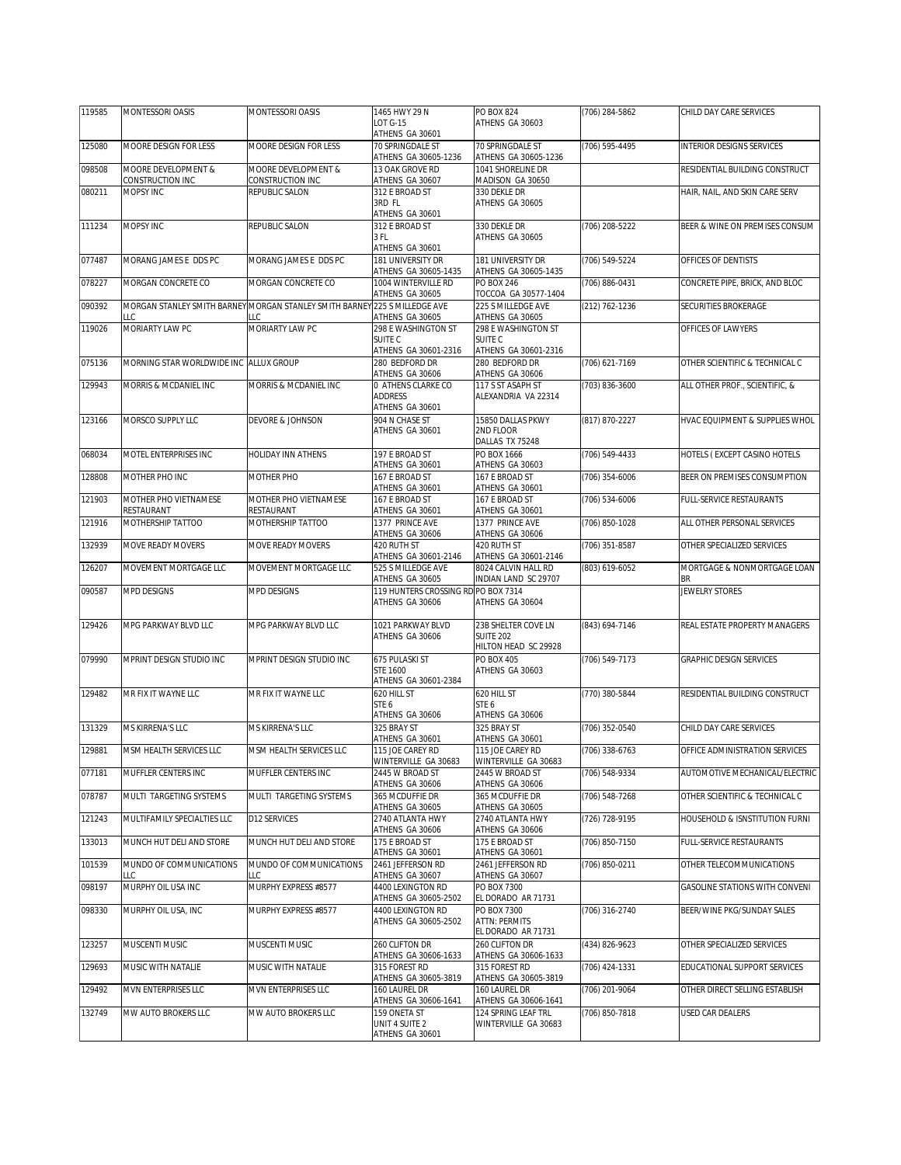| 119585 | MONTESSORI OASIS                       | MONTESSORI OASIS                                                                 | 1465 HWY 29 N                                          | PO BOX 824                                                | (706) 284-5862     | CHILD DAY CARE SERVICES          |
|--------|----------------------------------------|----------------------------------------------------------------------------------|--------------------------------------------------------|-----------------------------------------------------------|--------------------|----------------------------------|
|        |                                        |                                                                                  | LOT G-15<br>ATHENS GA 30601                            | ATHENS GA 30603                                           |                    |                                  |
| 125080 | MOORE DESIGN FOR LESS                  | MOORE DESIGN FOR LESS                                                            | 70 SPRINGDALE ST                                       | 70 SPRINGDALE ST                                          | (706) 595-4495     | <b>INTERIOR DESIGNS SERVICES</b> |
|        |                                        |                                                                                  | ATHENS GA 30605-1236                                   | ATHENS GA 30605-1236                                      |                    |                                  |
| 098508 | MOORE DEVELOPMENT &                    | MOORE DEVELOPMENT &                                                              | 13 OAK GROVE RD                                        | 1041 SHORELINE DR                                         |                    | RESIDENTIAL BUILDING CONSTRUCT   |
| 080211 | CONSTRUCTION INC<br>MOPSY INC          | CONSTRUCTION INC<br>REPUBLIC SALON                                               | ATHENS GA 30607<br>312 E BROAD ST                      | MADISON GA 30650<br>330 DEKLE DR                          |                    | HAIR, NAIL, AND SKIN CARE SERV   |
|        |                                        |                                                                                  | 3RD FL<br>ATHENS GA 30601                              | ATHENS GA 30605                                           |                    |                                  |
| 111234 | MOPSY INC                              | REPUBLIC SALON                                                                   | 312 E BROAD ST                                         | 330 DEKLE DR                                              | (706) 208-5222     | BEER & WINE ON PREMISES CONSUM   |
|        |                                        |                                                                                  | 3 FL                                                   | ATHENS GA 30605                                           |                    |                                  |
| 077487 | MORANG JAMES E DDS PC                  | MORANG JAMES E DDS PC                                                            | ATHENS GA 30601<br>181 UNIVERSITY DR                   | 181 UNIVERSITY DR                                         | $(706) 549 - 5224$ | OFFICES OF DENTISTS              |
|        |                                        |                                                                                  | ATHENS GA 30605-1435                                   | ATHENS GA 30605-1435                                      |                    |                                  |
| 078227 | MORGAN CONCRETE CO                     | MORGAN CONCRETE CO                                                               | 1004 WINTERVILLE RD<br>ATHENS GA 30605                 | PO BOX 246<br>TOCCOA GA 30577-1404                        | (706) 886-0431     | CONCRETE PIPE, BRICK, AND BLOC   |
| 090392 | LLC                                    | MORGAN STANLEY SMITH BARNEY MORGAN STANLEY SMITH BARNEY 225 S MILLEDGE AVE<br>ΤC | ATHENS GA 30605                                        | 225 S MILLEDGE AVE<br>ATHENS GA 30605                     | (212) 762-1236     | SECURITIES BROKERAGE             |
| 119026 | MORIARTY LAW PC                        | MORIARTY LAW PC                                                                  | 298 E WASHINGTON ST                                    | 298 E WASHINGTON ST                                       |                    | OFFICES OF LAWYERS               |
|        |                                        |                                                                                  | SUITE <sub>C</sub>                                     | SUITE <sub>C</sub>                                        |                    |                                  |
| 075136 | MORNING STAR WORLDWIDE INC ALLUX GROUP |                                                                                  | ATHENS GA 30601-2316<br>280 BEDFORD DR                 | ATHENS GA 30601-2316<br>280 BEDFORD DR                    | (706) 621-7169     | OTHER SCIENTIFIC & TECHNICAL C   |
|        |                                        |                                                                                  | ATHENS GA 30606                                        | ATHENS GA 30606                                           |                    |                                  |
| 129943 | MORRIS & MCDANIEL INC                  | MORRIS & MCDANIEL INC                                                            | 0 ATHENS CLARKE CO                                     | 117 S ST ASAPH ST                                         | (703) 836-3600     | ALL OTHER PROF., SCIENTIFIC, &   |
|        |                                        |                                                                                  | ADDRESS<br>ATHENS GA 30601                             | ALEXANDRIA VA 22314                                       |                    |                                  |
| 123166 | MORSCO SUPPLY LLC                      | DEVORE & JOHNSON                                                                 | 904 N CHASE ST                                         | 15850 DALLAS PKWY                                         | (817) 870-2227     | HVAC EQUIPMENT & SUPPLIES WHOL   |
|        |                                        |                                                                                  | ATHENS GA 30601                                        | 2ND FLOOR                                                 |                    |                                  |
|        | MOTEL ENTERPRISES INC                  |                                                                                  |                                                        | DALLAS TX 75248<br>PO BOX 1666                            |                    |                                  |
| 068034 |                                        | HOLIDAY INN ATHENS                                                               | 197 E BROAD ST<br>ATHENS GA 30601                      | ATHENS GA 30603                                           | (706) 549-4433     | HOTELS (EXCEPT CASINO HOTELS     |
| 128808 | MOTHER PHO INC                         | MOTHER PHO                                                                       | 167 F BROAD ST                                         | 167 E BROAD ST                                            | (706) 354-6006     | BEER ON PREMISES CONSUMPTION     |
| 121903 | MOTHER PHO VIETNAMESE                  | MOTHER PHO VIETNAMESE                                                            | ATHENS GA 30601<br>167 E BROAD ST                      | ATHENS GA 30601<br>167 E BROAD ST                         | (706) 534-6006     | FULL-SERVICE RESTAURANTS         |
|        | RESTAURANT                             | RESTAURANT                                                                       | ATHENS GA 30601                                        | ATHENS GA 30601                                           |                    |                                  |
| 121916 | MOTHERSHIP TATTOO                      | MOTHERSHIP TATTOO                                                                | 1377 PRINCE AVE<br>ATHENS GA 30606                     | 1377 PRINCE AVE<br>ATHENS GA 30606                        | (706) 850-1028     | ALL OTHER PERSONAL SERVICES      |
| 132939 | MOVE READY MOVERS                      | MOVE READY MOVERS                                                                | 420 RUTH ST                                            | 420 RUTH ST                                               | (706) 351-8587     | OTHER SPECIALIZED SERVICES       |
| 126207 | MOVEMENT MORTGAGE LLC                  | MOVEMENT MORTGAGE LLC                                                            | ATHENS GA 30601-2146<br>525 S MILLEDGE AVE             | ATHENS GA 30601-2146<br>8024 CALVIN HALL RD               | (803) 619-6052     | MORTGAGE & NONMORTGAGE LOAN      |
|        |                                        |                                                                                  | ATHENS GA 30605                                        | INDIAN LAND SC 29707                                      |                    | BR                               |
| 090587 | MPD DESIGNS                            | MPD DESIGNS                                                                      | 119 HUNTERS CROSSING RD PO BOX 7314<br>ATHENS GA 30606 | ATHENS GA 30604                                           |                    | JEWELRY STORES                   |
| 129426 | MPG PARKWAY BLVD LLC                   | MPG PARKWAY BLVD LLC                                                             | 1021 PARKWAY BLVD                                      | 23B SHELTER COVE LN                                       | (843) 694-7146     | REAL ESTATE PROPERTY MANAGERS    |
|        |                                        |                                                                                  | ATHENS GA 30606                                        | <b>SUITE 202</b><br>HILTON HEAD SC 29928                  |                    |                                  |
| 079990 | MPRINT DESIGN STUDIO INC               | MPRINT DESIGN STUDIO INC                                                         | 675 PULASKI ST                                         | PO BOX 405                                                | (706) 549-7173     | <b>GRAPHIC DESIGN SERVICES</b>   |
|        |                                        |                                                                                  | STE 1600<br>ATHENS GA 30601-2384                       | ATHENS GA 30603                                           |                    |                                  |
| 129482 | MR FIX IT WAYNE LLC                    | MR FIX IT WAYNE LLC                                                              | 620 HILL ST                                            | 620 HILL ST                                               | (770) 380-5844     | RESIDENTIAL BUILDING CONSTRUCT   |
|        |                                        |                                                                                  | STE 6                                                  | STE <sub>6</sub>                                          |                    |                                  |
| 131329 | MS KIRRENA'S LLC                       | MS KIRRENA'S LLC                                                                 | ATHENS GA 30606<br>325 BRAY ST                         | ATHENS GA 30606<br>325 BRAY ST                            | $(706)$ 352-0540   | CHILD DAY CARE SERVICES          |
|        |                                        |                                                                                  | ATHENS GA 30601                                        | ATHENS GA 30601                                           |                    |                                  |
| 129881 | MSM HEALTH SERVICES LLC                | MSM HEALTH SERVICES LLC                                                          | 115 JOE CAREY RD<br>WINTERVILLE GA 30683               | 115 JOE CAREY RD<br>WINTERVILLE GA 30683                  | (706) 338-6763     | OFFICE ADMINISTRATION SERVICES   |
| 077181 | MUFFLER CENTERS INC                    | MUFFLER CENTERS INC                                                              | 2445 W BROAD ST                                        | 2445 W BROAD ST                                           | (706) 548-9334     | AUTOMOTIVE MECHANICAL/ELECTRIC   |
| 078787 | MULTI TARGETING SYSTEMS                | MULTI TARGETING SYSTEMS                                                          | ATHENS GA 30606<br>365 MCDUFFIE DR                     | ATHENS GA 30606<br>365 MCDUFFIE DR                        | (706) 548-7268     | OTHER SCIENTIFIC & TECHNICAL C   |
|        | MULTIFAMILY SPECIALTIES LLC            |                                                                                  | ATHENS GA 30605                                        | ATHENS GA 30605                                           |                    |                                  |
| 121243 |                                        | D12 SERVICES                                                                     | 2740 ATLANTA HWY<br>ATHENS GA 30606                    | 2740 ATLANTA HWY<br>ATHENS GA 30606                       | (726) 728-9195     | HOUSEHOLD & ISNSTITUTION FURNI   |
| 133013 | MUNCH HUT DELI AND STORE               | MUNCH HUT DELI AND STORE                                                         | 175 E BROAD ST<br>ATHENS GA 30601                      | 175 E BROAD ST<br>ATHENS GA 30601                         | (706) 850-7150     | FULL-SERVICE RESTAURANTS         |
| 101539 | MUNDO OF COMMUNICATIONS<br>LLC         | MUNDO OF COMMUNICATIONS<br>LLC                                                   | 2461 JEFFERSON RD<br>ATHENS GA 30607                   | 2461 JEFFERSON RD<br>ATHENS GA 30607                      | (706) 850-0211     | OTHER TELECOMMUNICATIONS         |
| 098197 | MURPHY OIL USA INC                     | MURPHY EXPRESS #8577                                                             | 4400 LEXINGTON RD                                      | PO BOX 7300                                               |                    | GASOLINE STATIONS WITH CONVENI   |
|        |                                        |                                                                                  | ATHENS GA 30605-2502                                   | EL DORADO AR 71731                                        |                    |                                  |
| 098330 | MURPHY OIL USA, INC                    | MURPHY EXPRESS #8577                                                             | 4400 LEXINGTON RD<br>ATHENS GA 30605-2502              | PO BOX 7300<br><b>ATTN: PERMITS</b><br>EL DORADO AR 71731 | (706) 316-2740     | BEER/WINE PKG/SUNDAY SALES       |
| 123257 | MUSCENTI MUSIC                         | MUSCENTI MUSIC                                                                   | 260 CLIFTON DR                                         | 260 CLIFTON DR<br>ATHENS GA 30606-1633                    | (434) 826-9623     | OTHER SPECIALIZED SERVICES       |
| 129693 | MUSIC WITH NATALIE                     | MUSIC WITH NATALIE                                                               | ATHENS GA 30606-1633<br>315 FOREST RD                  | 315 FOREST RD                                             | (706) 424-1331     | EDUCATIONAL SUPPORT SERVICES     |
|        |                                        |                                                                                  | ATHENS GA 30605-3819                                   | ATHENS GA 30605-3819                                      |                    |                                  |
| 129492 | MVN ENTERPRISES LLC                    | MVN ENTERPRISES LLC                                                              | 160 LAUREL DR<br>ATHENS GA 30606-1641                  | 160 LAUREL DR<br>ATHENS GA 30606-1641                     | (706) 201-9064     | OTHER DIRECT SELLING ESTABLISH   |
| 132749 | MW AUTO BROKERS LLC                    | MW AUTO BROKERS LLC                                                              | 159 ONETA ST                                           | 124 SPRING LEAF TRL                                       | (706) 850-7818     | USED CAR DEALERS                 |
|        |                                        |                                                                                  | UNIT 4 SUITE 2<br>ATHENS GA 30601                      | WINTERVILLE GA 30683                                      |                    |                                  |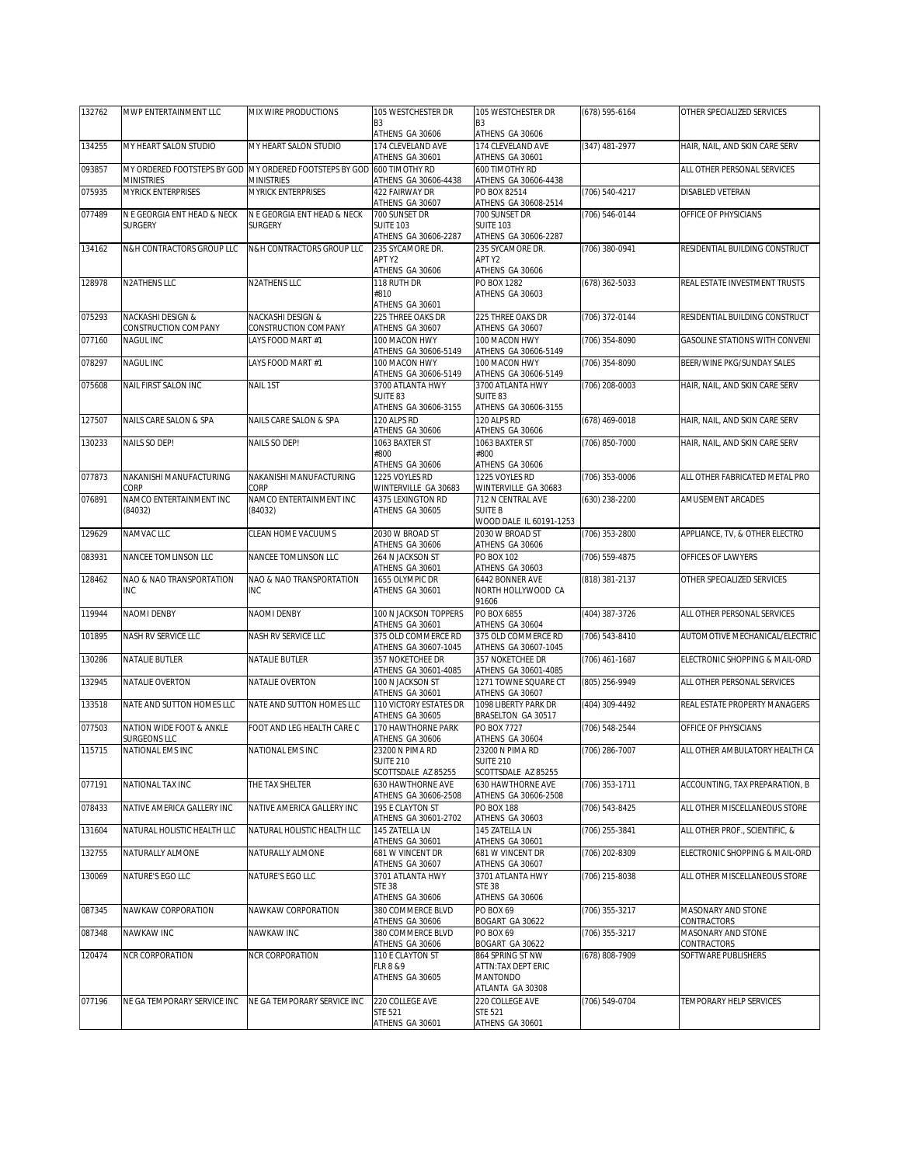| 132762 | MWP ENTERTAINMENT LLC                     | MIX WIRE PRODUCTIONS                                                                        | 105 WESTCHESTER DR                                          | 105 WESTCHESTER DR                                                     | (678) 595-6164 | OTHER SPECIALIZED SERVICES        |
|--------|-------------------------------------------|---------------------------------------------------------------------------------------------|-------------------------------------------------------------|------------------------------------------------------------------------|----------------|-----------------------------------|
|        |                                           |                                                                                             | B <sub>3</sub><br>ATHENS GA 30606                           | B <sub>3</sub><br>ATHENS GA 30606                                      |                |                                   |
| 134255 | MY HEART SALON STUDIO                     | MY HEART SALON STUDIO                                                                       | 174 CLEVELAND AVE<br>ATHENS GA 30601                        | 174 CLEVELAND AVE<br>ATHENS GA 30601                                   | (347) 481-2977 | HAIR, NAIL, AND SKIN CARE SERV    |
| 093857 | <b>MINISTRIES</b>                         | MY ORDERED FOOTSTEPS BY GOD MY ORDERED FOOTSTEPS BY GOD 600 TIMOTHY RD<br><b>MINISTRIES</b> | ATHENS GA 30606-4438                                        | 600 TIMOTHY RD<br>ATHENS GA 30606-4438                                 |                | ALL OTHER PERSONAL SERVICES       |
| 075935 | <b>MYRICK ENTERPRISES</b>                 | <b>MYRICK ENTERPRISES</b>                                                                   | <b>422 FAIRWAY DR</b><br>ATHENS GA 30607                    | PO BOX 82514<br>ATHENS GA 30608-2514                                   | (706) 540-4217 | DISABLED VETERAN                  |
| 077489 | N E GEORGIA ENT HEAD & NECK               | N E GEORGIA ENT HEAD & NECK                                                                 | 700 SUNSET DR                                               | 700 SUNSET DR                                                          | (706) 546-0144 | OFFICE OF PHYSICIANS              |
|        | <b>SURGERY</b>                            | <b>SURGERY</b>                                                                              | <b>SUITE 103</b><br>ATHENS GA 30606-2287                    | <b>SUITE 103</b><br>ATHENS GA 30606-2287                               |                |                                   |
| 134162 | N&H CONTRACTORS GROUP LLC                 | N&H CONTRACTORS GROUP LLC                                                                   | 235 SYCAMORE DR.<br>APT Y2                                  | 235 SYCAMORE DR.<br>APT Y2                                             | (706) 380-0941 | RESIDENTIAL BUILDING CONSTRUCT    |
|        |                                           |                                                                                             | ATHENS GA 30606                                             | ATHENS GA 30606                                                        |                |                                   |
| 128978 | <b>N2ATHENS LLC</b>                       | N2ATHENS LLC                                                                                | 118 RUTH DR<br>#810                                         | PO BOX 1282<br>ATHENS GA 30603                                         | (678) 362-5033 | REAL ESTATE INVESTMENT TRUSTS     |
|        |                                           |                                                                                             | ATHENS GA 30601                                             |                                                                        |                |                                   |
| 075293 | NACKASHI DESIGN &<br>CONSTRUCTION COMPANY | NACKASHI DESIGN &<br>CONSTRUCTION COMPANY                                                   | 225 THREE OAKS DR<br>ATHENS GA 30607                        | 225 THREE OAKS DR<br>ATHENS GA 30607                                   | (706) 372-0144 | RESIDENTIAL BUILDING CONSTRUCT    |
| 077160 | NAGUL INC                                 | LAYS FOOD MART #1                                                                           | 100 MACON HWY<br>ATHENS GA 30606-5149                       | 100 MACON HWY<br>ATHENS GA 30606-5149                                  | (706) 354-8090 | GASOLINE STATIONS WITH CONVENI    |
| 078297 | NAGUL INC                                 | LAYS FOOD MART #1                                                                           | 100 MACON HWY                                               | 100 MACON HWY                                                          | (706) 354-8090 | BEER/WINE PKG/SUNDAY SALES        |
| 075608 | NAIL FIRST SALON INC                      | NAIL 1ST                                                                                    | ATHENS GA 30606-5149<br>3700 ATLANTA HWY                    | ATHENS GA 30606-5149<br>3700 ATLANTA HWY                               | (706) 208-0003 | HAIR, NAIL, AND SKIN CARE SERV    |
|        |                                           |                                                                                             | SUITE 83<br>ATHENS GA 30606-3155                            | SUITE 83<br>ATHENS GA 30606-3155                                       |                |                                   |
| 127507 | NAILS CARE SALON & SPA                    | NAILS CARE SALON & SPA                                                                      | 120 AI PS RD                                                | 120 ALPS RD                                                            | (678) 469-0018 | HAIR, NAIL, AND SKIN CARE SERV    |
| 130233 | NAILS SO DEP!                             | NAILS SO DEP!                                                                               | ATHENS GA 30606<br>1063 BAXTER ST                           | ATHENS GA 30606<br>1063 BAXTER ST                                      | (706) 850-7000 | HAIR, NAIL, AND SKIN CARE SERV    |
|        |                                           |                                                                                             | #800                                                        | #800                                                                   |                |                                   |
| 077873 | NAKANISHI MANUFACTURING                   | NAKANISHI MANUFACTURING                                                                     | ATHENS GA 30606<br>1225 VOYLES RD                           | ATHENS GA 30606<br>1225 VOYLES RD                                      | (706) 353-0006 | ALL OTHER FABRICATED METAL PRO    |
|        | CORP                                      | CORP                                                                                        | WINTERVILLE GA 30683                                        | WINTERVILLE GA 30683                                                   |                |                                   |
| 076891 | NAMCO ENTERTAINMENT INC<br>(84032)        | NAMCO ENTERTAINMENT INC<br>(84032)                                                          | 4375 LEXINGTON RD<br>ATHENS GA 30605                        | 712 N CENTRAL AVE<br>SUITE B<br>WOOD DALE IL 60191-1253                | (630) 238-2200 | AMUSEMENT ARCADES                 |
| 129629 | NAMVAC LLC                                | CLEAN HOME VACUUMS                                                                          | 2030 W BROAD ST<br>ATHENS GA 30606                          | 2030 W BROAD ST<br>ATHENS GA 30606                                     | (706) 353-2800 | APPLIANCE, TV, & OTHER ELECTRO    |
| 083931 | NANCEE TOMLINSON LLC                      | NANCEE TOMLINSON LLC                                                                        | 264 N JACKSON ST<br>ATHENS GA 30601                         | PO BOX 102<br>ATHENS GA 30603                                          | (706) 559-4875 | OFFICES OF LAWYERS                |
| 128462 | NAO & NAO TRANSPORTATION<br><b>INC</b>    | NAO & NAO TRANSPORTATION<br><b>INC</b>                                                      | 1655 OLYMPIC DR<br>ATHENS GA 30601                          | 6442 BONNER AVE<br>NORTH HOLLYWOOD CA                                  | (818) 381-2137 | OTHER SPECIALIZED SERVICES        |
|        |                                           |                                                                                             |                                                             | 91606                                                                  |                |                                   |
| 119944 | NAOMI DENBY                               | NAOMI DENBY                                                                                 | 100 N JACKSON TOPPERS<br>ATHENS GA 30601                    | PO BOX 6855<br>ATHENS GA 30604                                         | (404) 387-3726 | ALL OTHER PERSONAL SERVICES       |
| 101895 | NASH RV SERVICE LLC                       | NASH RV SERVICE LLC                                                                         | 375 OLD COMMERCE RD<br>ATHENS GA 30607-1045                 | 375 OLD COMMERCE RD<br>ATHENS GA 30607-1045                            | (706) 543-8410 | AUTOMOTIVE MECHANICAL/ELECTRIC    |
| 130286 | NATALIE BUTLER                            | NATALIE BUTLER                                                                              | 357 NOKETCHEE DR<br>ATHENS GA 30601-4085                    | 357 NOKETCHEE DR<br>ATHENS GA 30601-4085                               | (706) 461-1687 | ELECTRONIC SHOPPING & MAIL-ORD    |
| 132945 | NATALIE OVERTON                           | NATALIE OVERTON                                                                             | 100 N JACKSON ST<br>ATHENS GA 30601                         | 1271 TOWNE SQUARE CT<br>ATHENS GA 30607                                | (805) 256-9949 | ALL OTHER PERSONAL SERVICES       |
| 133518 | NATE AND SUTTON HOMES LLC                 | NATE AND SUTTON HOMES LLC                                                                   | 110 VICTORY ESTATES DR                                      | 1098 LIBERTY PARK DR                                                   | (404) 309-4492 | REAL ESTATE PROPERTY MANAGERS     |
| 077503 | NATION WIDE FOOT & ANKLE                  | FOOT AND LEG HEALTH CARE C                                                                  | ATHENS GA 30605<br>170 HAWTHORNE PARK                       | BRASELTON GA 30517<br>PO BOX 7727                                      | (706) 548-2544 | OFFICE OF PHYSICIANS              |
|        | SURGEONS LLC                              |                                                                                             | ATHENS GA 30606                                             | ATHENS GA 30604                                                        |                |                                   |
| 115715 | NATIONAL EMS INC                          | NATIONAL EMS INC                                                                            | 23200 N PIMA RD<br><b>SUITE 210</b>                         | 23200 N PIMA RD<br><b>SUITE 210</b>                                    | (706) 286-7007 | ALL OTHER AMBULATORY HEALTH CA    |
| 077191 | NATIONAL TAX INC                          | THE TAX SHELTER                                                                             | SCOTTSDALE AZ 85255<br>630 HAWTHORNE AVE                    | SCOTTSDALE AZ 85255<br>630 HAWTHORNE AVE                               | (706) 353-1711 | ACCOUNTING, TAX PREPARATION, B    |
| 078433 | NATIVE AMERICA GALLERY INC                | NATIVE AMERICA GALLERY INC                                                                  | ATHENS GA 30606-2508<br>195 F CLAYTON ST                    | ATHENS GA 30606-2508<br><b>PO BOX 188</b>                              |                | ALL OTHER MISCELLANEOUS STORE     |
|        |                                           |                                                                                             | ATHENS GA 30601-2702                                        | ATHENS GA 30603                                                        | (706) 543-8425 |                                   |
| 131604 | NATURAL HOLISTIC HEALTH LLC               | NATURAL HOLISTIC HEALTH LLC                                                                 | 145 ZATELLA LN<br>ATHENS GA 30601                           | 145 ZATELLA LN<br>ATHENS GA 30601                                      | (706) 255-3841 | ALL OTHER PROF., SCIENTIFIC, &    |
| 132755 | NATURALLY ALMONE                          | NATURALLY ALMONE                                                                            | 681 W VINCENT DR<br>ATHENS GA 30607                         | 681 W VINCENT DR<br>ATHENS GA 30607                                    | (706) 202-8309 | ELECTRONIC SHOPPING & MAIL-ORD    |
| 130069 | NATURE'S EGO LLC                          | NATURE'S EGO LLC                                                                            | 3701 ATLANTA HWY<br><b>STE 38</b><br>ATHENS GA 30606        | 3701 ATLANTA HWY<br><b>STE 38</b><br>ATHENS GA 30606                   | (706) 215-8038 | ALL OTHER MISCELLANEOUS STORE     |
| 087345 | NAWKAW CORPORATION                        | NAWKAW CORPORATION                                                                          | 380 COMMERCE BLVD                                           | PO BOX 69                                                              | (706) 355-3217 | MASONARY AND STONE                |
| 087348 | NAWKAW INC                                | NAWKAW INC                                                                                  | ATHENS GA 30606<br>380 COMMERCE BLVD                        | BOGART GA 30622<br>PO BOX 69                                           | (706) 355-3217 | CONTRACTORS<br>MASONARY AND STONE |
|        |                                           |                                                                                             | ATHENS GA 30606                                             | BOGART GA 30622                                                        |                | CONTRACTORS                       |
| 120474 | NCR CORPORATION                           | NCR CORPORATION                                                                             | 110 E CLAYTON ST<br><b>FLR 8 &amp; 9</b><br>ATHENS GA 30605 | 864 SPRING ST NW<br>ATTN:TAX DEPT ERIC<br>MANTONDO<br>ATLANTA GA 30308 | (678) 808-7909 | SOFTWARE PUBLISHERS               |
| 077196 | NE GA TEMPORARY SERVICE INC               | NE GA TEMPORARY SERVICE INC                                                                 | 220 COLLEGE AVE                                             | 220 COLLEGE AVE                                                        | (706) 549-0704 | TEMPORARY HELP SERVICES           |
|        |                                           |                                                                                             | <b>STE 521</b><br>ATHENS GA 30601                           | <b>STE 521</b><br>ATHENS GA 30601                                      |                |                                   |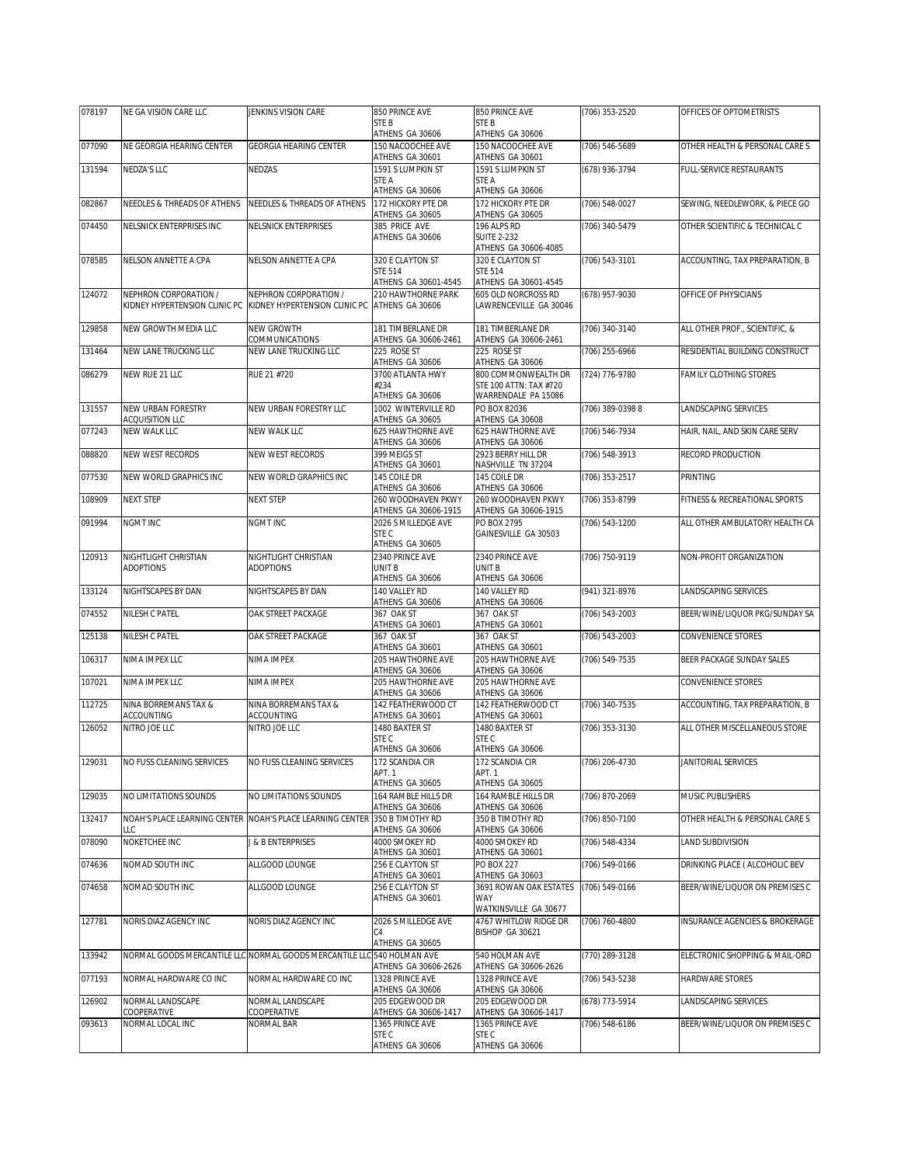| 078197 | NE GA VISION CARE LLC                                  | JENKINS VISION CARE                                                    | 850 PRINCE AVE                                           | 850 PRINCE AVE                                                       | (706) 353-2520     | OFFICES OF OPTOMETRISTS        |
|--------|--------------------------------------------------------|------------------------------------------------------------------------|----------------------------------------------------------|----------------------------------------------------------------------|--------------------|--------------------------------|
|        |                                                        |                                                                        | STE B<br>ATHENS GA 30606                                 | STE B<br>ATHENS GA 30606                                             |                    |                                |
| 077090 | NE GEORGIA HEARING CENTER                              | <b>GEORGIA HEARING CENTER</b>                                          | 150 NACOOCHEE AVE<br>ATHENS GA 30601                     | 150 NACOOCHEE AVE<br>ATHENS GA 30601                                 | (706) 546-5689     | OTHER HEALTH & PERSONAL CARE S |
| 131594 | NEDZA'S LLC                                            | NEDZAS                                                                 | 1591 S LUMPKIN ST<br>STE A                               | 1591 S LUMPKIN ST<br>STE A                                           | (678) 936-3794     | FULL-SERVICE RESTAURANTS       |
| 082867 | NEEDLES & THREADS OF ATHENS                            | NEEDLES & THREADS OF ATHENS                                            | ATHENS GA 30606<br>172 HICKORY PTE DR<br>ATHENS GA 30605 | ATHENS GA 30606<br>172 HICKORY PTE DR<br>ATHENS GA 30605             | (706) 548-0027     | SEWING, NEEDLEWORK, & PIECE GO |
| 074450 | NELSNICK ENTERPRISES INC                               | NELSNICK ENTERPRISES                                                   | 385 PRICE AVE<br>ATHENS GA 30606                         | 196 ALPS RD<br><b>SUITE 2-232</b><br>ATHENS GA 30606-4085            | (706) 340-5479     | OTHER SCIENTIFIC & TECHNICAL C |
| 078585 | NELSON ANNETTE A CPA                                   | NELSON ANNETTE A CPA                                                   | 320 E CLAYTON ST<br>STE 514<br>ATHENS GA 30601-4545      | 320 E CLAYTON ST<br><b>STE 514</b><br>ATHENS GA 30601-4545           | $(706) 543-3101$   | ACCOUNTING, TAX PREPARATION, B |
| 124072 | NEPHRON CORPORATION /<br>KIDNEY HYPERTENSION CLINIC PC | NEPHRON CORPORATION /<br>KIDNEY HYPERTENSION CLINIC PC                 | 210 HAWTHORNE PARK<br>ATHENS GA 30606                    | 605 OLD NORCROSS RD<br>LAWRENCEVILLE GA 30046                        | (678) 957-9030     | OFFICE OF PHYSICIANS           |
| 129858 | NEW GROWTH MEDIA LLC                                   | NEW GROWTH<br>COMMUNICATIONS                                           | 181 TIMBERLANE DR<br>ATHENS GA 30606-2461                | 181 TIMBERLANE DR<br>ATHENS GA 30606-2461                            | (706) 340-3140     | ALL OTHER PROF., SCIENTIFIC, & |
| 131464 | NEW LANE TRUCKING LLC                                  | NEW LANE TRUCKING LLC                                                  | 225 ROSE ST<br>ATHENS GA 30606                           | 225 ROSE ST<br>ATHENS GA 30606                                       | (706) 255-6966     | RESIDENTIAL BUILDING CONSTRUCT |
| 086279 | NEW RUE 21 LLC                                         | RUE 21 #720                                                            | 3700 ATLANTA HWY<br>#234<br>ATHENS GA 30606              | 800 COMMONWEALTH DR<br>STE 100 ATTN: TAX #720<br>WARRENDALE PA 15086 | (724) 776-9780     | FAMILY CLOTHING STORES         |
| 131557 | NEW URBAN FORESTRY<br>ACQUISITION LLC                  | NEW URBAN FORESTRY LLC                                                 | 1002 WINTERVILLE RD<br>ATHENS GA 30605                   | PO BOX 82036<br>ATHENS GA 30608                                      | (706) 389-0398 8   | LANDSCAPING SERVICES           |
| 077243 | NEW WALK LLC                                           | NEW WALK LLC                                                           | 625 HAWTHORNE AVE<br>ATHENS GA 30606                     | 625 HAWTHORNE AVE<br>ATHENS GA 30606                                 | (706) 546-7934     | HAIR, NAIL, AND SKIN CARE SERV |
| 088820 | NEW WEST RECORDS                                       | NEW WEST RECORDS                                                       | 399 MEIGS ST<br>ATHENS GA 30601                          | 2923 BERRY HILL DR<br>NASHVILLE TN 37204                             | (706) 548-3913     | RECORD PRODUCTION              |
| 077530 | NEW WORLD GRAPHICS INC                                 | NEW WORLD GRAPHICS INC                                                 | 145 COILE DR<br>ATHENS GA 30606                          | 145 COILE DR<br>ATHENS GA 30606                                      | (706) 353-2517     | PRINTING                       |
| 108909 | <b>NEXT STEP</b>                                       | <b>NEXT STEP</b>                                                       | 260 WOODHAVEN PKWY<br>ATHENS GA 30606-1915               | 260 WOODHAVEN PKWY<br>ATHENS GA 30606-1915                           | (706) 353-8799     | FITNESS & RECREATIONAL SPORTS  |
| 091994 | NGMT INC                                               | <b>NGMT INC</b>                                                        | 2026 S MILLEDGE AVE<br>STE C<br>ATHENS GA 30605          | PO BOX 2795<br>GAINESVILLE GA 30503                                  | $(706) 543 - 1200$ | ALL OTHER AMBULATORY HEALTH CA |
| 120913 | NIGHTLIGHT CHRISTIAN<br><b>ADOPTIONS</b>               | NIGHTLIGHT CHRISTIAN<br><b>ADOPTIONS</b>                               | 2340 PRINCE AVE<br>UNIT B<br>ATHENS GA 30606             | 2340 PRINCE AVE<br>UNIT B<br>ATHENS GA 30606                         | (706) 750-9119     | NON-PROFIT ORGANIZATION        |
| 133124 | NIGHTSCAPES BY DAN                                     | NIGHTSCAPES BY DAN                                                     | 140 VALLEY RD<br>ATHENS GA 30606                         | 140 VALLEY RD<br>ATHENS GA 30606                                     | (941) 321-8976     | LANDSCAPING SERVICES           |
| 074552 | NILESH C PATEL                                         | OAK STREET PACKAGE                                                     | 367 OAK ST<br>ATHENS GA 30601                            | 367 OAK ST<br>ATHENS GA 30601                                        | (706) 543-2003     | BEER/WINE/LIQUOR PKG/SUNDAY SA |
| 125138 | NILESH C PATEL                                         | OAK STREET PACKAGE                                                     | 367 OAK ST<br>ATHENS GA 30601                            | 367 OAK ST<br>ATHENS GA 30601                                        | (706) 543-2003     | CONVENIENCE STORES             |
| 106317 | NIMA IMPEX LLC                                         | NIMA IMPEX                                                             | 205 HAWTHORNE AVE<br>ATHENS GA 30606                     | 205 HAWTHORNE AVE<br>ATHENS GA 30606                                 | (706) 549-7535     | BEER PACKAGE SUNDAY SALES      |
| 107021 | NIMA IMPEX LLC                                         | NIMA IMPEX                                                             | 205 HAWTHORNE AVE<br>ATHENS GA 30606                     | 205 HAWTHORNE AVE<br>ATHENS GA 30606                                 |                    | CONVENIENCE STORES             |
| 112725 | NINA BORREMANS TAX &<br>ACCOUNTING                     | NINA BORREMANS TAX &<br>ACCOUNTING                                     | 142 FEATHERWOOD CT                                       | 142 FEATHERWOOD CT                                                   | (706) 340-7535     | ACCOUNTING, TAX PREPARATION, B |
| 126052 | NITRO JOE LLC                                          | NITRO JOE LLC                                                          | ATHENS GA 30601<br>1480 BAXTER ST<br>STE C               | ATHENS GA 30601<br>1480 BAXTER ST<br>STE C                           | (706) 353-3130     | ALL OTHER MISCELLANEOUS STORE  |
|        |                                                        |                                                                        | ATHENS GA 30606                                          | ATHENS GA 30606                                                      |                    |                                |
| 129031 | NO FUSS CLEANING SERVICES                              | NO FUSS CLEANING SERVICES                                              | 172 SCANDIA CIR<br>APT. 1<br>ATHENS GA 30605             | 172 SCANDIA CIR<br>APT. 1<br>ATHENS GA 30605                         | (706) 206-4730     | JANITORIAL SERVICES            |
| 129035 | NO LIMITATIONS SOUNDS                                  | NO LIMITATIONS SOUNDS                                                  | 164 RAMBLE HILLS DR<br>ATHENS GA 30606                   | 164 RAMBLE HILLS DR<br>ATHENS GA 30606                               | (706) 870-2069     | MUSIC PUBLISHERS               |
| 132417 | LLC                                                    | NOAH'S PLACE LEARNING CENTER NOAH'S PLACE LEARNING CENTER              | 350 B TIMOTHY RD<br>ATHENS GA 30606                      | 350 B TIMOTHY RD<br>ATHENS GA 30606                                  | (706) 850-7100     | OTHER HEALTH & PERSONAL CARE S |
| 078090 | NOKETCHEE INC                                          | J & B ENTERPRISES                                                      | 4000 SMOKEY RD<br>ATHENS GA 30601                        | 4000 SMOKEY RD<br>ATHENS GA 30601                                    | (706) 548-4334     | LAND SUBDIVISION               |
| 074636 | NOMAD SOUTH INC                                        | ALLGOOD LOUNGE                                                         | 256 E CLAYTON ST<br>ATHENS GA 30601                      | <b>PO BOX 227</b><br>ATHENS GA 30603                                 | (706) 549-0166     | DRINKING PLACE ( ALCOHOLIC BEV |
| 074658 | NOMAD SOUTH INC                                        | ALLGOOD LOUNGE                                                         | 256 E CLAYTON ST<br>ATHENS GA 30601                      | 3691 ROWAN OAK ESTATES<br>WAY                                        | (706) 549-0166     | BEER/WINE/LIQUOR ON PREMISES C |
| 127781 | NORIS DIAZ AGENCY INC                                  | NORIS DIAZ AGENCY INC                                                  | 2026 S MILLEDGE AVE<br>C4<br>ATHENS GA 30605             | WATKINSVILLE GA 30677<br>4767 WHITLOW RIDGE DR<br>BISHOP GA 30621    | (706) 760-4800     | INSURANCE AGENCIES & BROKERAGE |
| 133942 |                                                        | NORMAL GOODS MERCANTILE LLC NORMAL GOODS MERCANTILE LLC 540 HOLMAN AVE | ATHENS GA 30606-2626                                     | 540 HOLMAN AVE<br>ATHENS GA 30606-2626                               | (770) 289-3128     | ELECTRONIC SHOPPING & MAIL-ORD |
| 077193 | NORMAL HARDWARE CO INC                                 | NORMAL HARDWARE CO INC                                                 | 1328 PRINCE AVE<br>ATHENS GA 30606                       | 1328 PRINCE AVE<br>ATHENS GA 30606                                   | (706) 543-5238     | HARDWARE STORES                |
| 126902 | NORMAL LANDSCAPE<br>COOPERATIVE                        | NORMAL LANDSCAPE<br>COOPERATIVE                                        | 205 EDGEWOOD DR<br>ATHENS GA 30606-1417                  | 205 EDGEWOOD DR<br>ATHENS GA 30606-1417                              | (678) 773-5914     | LANDSCAPING SERVICES           |
| 093613 | NORMAL LOCAL INC                                       | NORMAL BAR                                                             | 1365 PRINCE AVE                                          | 1365 PRINCE AVE                                                      | (706) 548-6186     | BEER/WINE/LIQUOR ON PREMISES C |
|        |                                                        |                                                                        | STE C<br>ATHENS GA 30606                                 | STE C<br>ATHENS GA 30606                                             |                    |                                |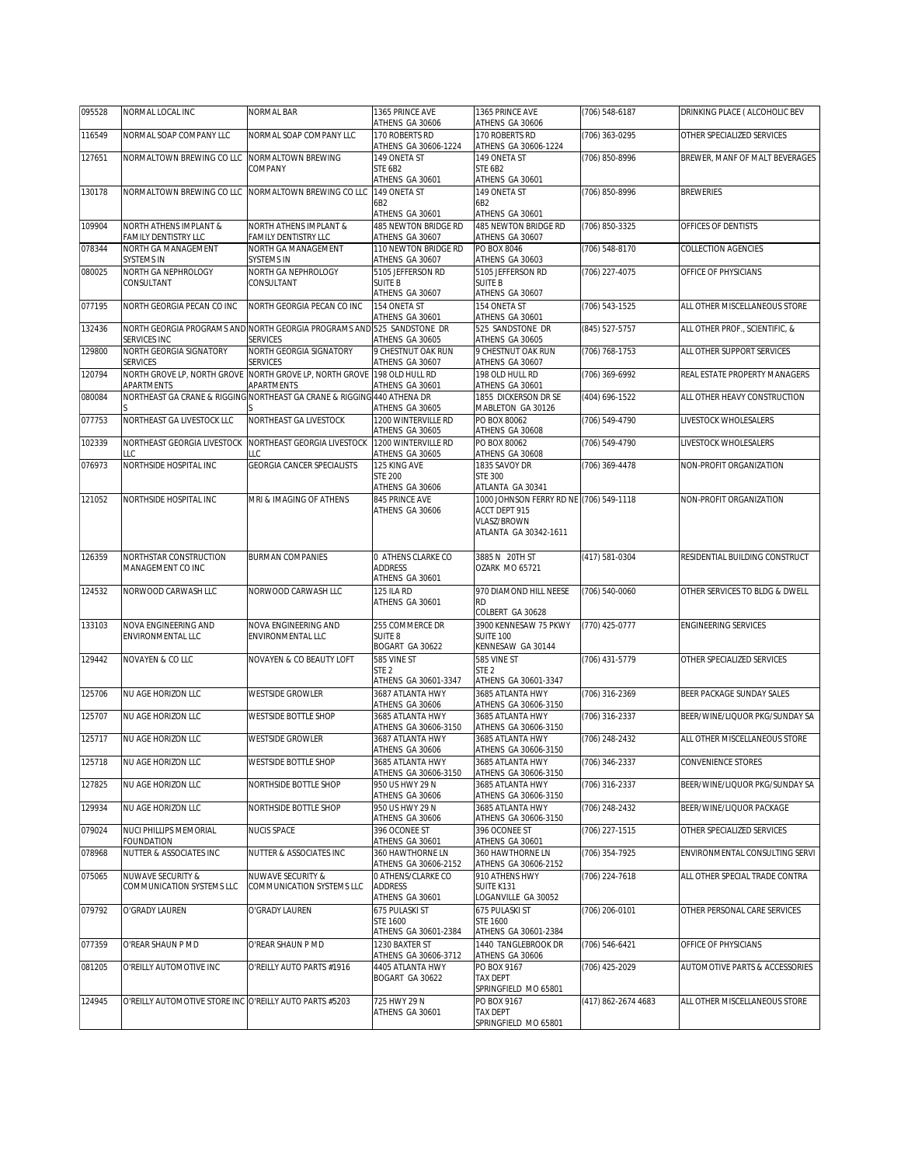| 095528 | NORMAL LOCAL INC                                        | NORMAL BAR                                                                                | 1365 PRINCE AVE<br>ATHENS GA 30606                      | 1365 PRINCE AVE<br>ATHENS GA 30606                                                                      | (706) 548-6187      | DRINKING PLACE ( ALCOHOLIC BEV |
|--------|---------------------------------------------------------|-------------------------------------------------------------------------------------------|---------------------------------------------------------|---------------------------------------------------------------------------------------------------------|---------------------|--------------------------------|
| 116549 | NORMAL SOAP COMPANY LLC                                 | NORMAL SOAP COMPANY LLC                                                                   | 170 ROBERTS RD<br>ATHENS GA 30606-1224                  | 170 ROBERTS RD<br>ATHENS GA 30606-1224                                                                  | (706) 363-0295      | OTHER SPECIALIZED SERVICES     |
| 127651 | NORMALTOWN BREWING CO LLC                               | NORMALTOWN BREWING<br>COMPANY                                                             | 149 ONETA ST<br>STE 6B2                                 | 149 ONETA ST<br>STE 6B2                                                                                 | (706) 850-8996      | BREWER, MANF OF MALT BEVERAGES |
| 130178 | NORMALTOWN BREWING CO LLC                               | NORMALTOWN BREWING CO LLC                                                                 | ATHENS GA 30601<br>149 ONETA ST<br>6B2                  | ATHENS GA 30601<br>149 ONETA ST<br>6B2                                                                  | (706) 850-8996      | <b>BREWERIES</b>               |
| 109904 | NORTH ATHENS IMPLANT &                                  | NORTH ATHENS IMPLANT &                                                                    | ATHENS GA 30601<br>485 NEWTON BRIDGE RD                 | ATHENS GA 30601<br>485 NEWTON BRIDGE RD                                                                 | (706) 850-3325      | OFFICES OF DENTISTS            |
| 078344 | FAMILY DENTISTRY LLC<br>NORTH GA MANAGEMENT             | FAMILY DENTISTRY LLC<br>NORTH GA MANAGEMENT                                               | ATHENS GA 30607<br>110 NEWTON BRIDGE RD                 | ATHENS GA 30607<br>PO BOX 8046                                                                          | (706) 548-8170      | COLLECTION AGENCIES            |
|        | SYSTEMS IN                                              | SYSTEMS IN                                                                                | ATHENS GA 30607                                         | ATHENS GA 30603                                                                                         |                     |                                |
| 080025 | NORTH GA NEPHROLOGY<br>CONSULTANT                       | NORTH GA NEPHROLOGY<br>CONSULTANT                                                         | 5105 JEFFERSON RD<br><b>SUITE B</b><br>ATHENS GA 30607  | 5105 JEFFERSON RD<br><b>SUITE B</b><br>ATHENS GA 30607                                                  | (706) 227-4075      | OFFICE OF PHYSICIANS           |
| 077195 | NORTH GEORGIA PECAN CO INC                              | NORTH GEORGIA PECAN CO INC                                                                | 154 ONETA ST<br>ATHENS GA 30601                         | 154 ONETA ST<br>ATHENS GA 30601                                                                         | (706) 543-1525      | ALL OTHER MISCELLANEOUS STORE  |
| 132436 | SERVICES INC                                            | NORTH GEORGIA PROGRAMS AND NORTH GEORGIA PROGRAMS AND 525 SANDSTONE DR<br><b>SERVICES</b> | ATHENS GA 30605                                         | 525 SANDSTONE DR<br>ATHENS GA 30605                                                                     | (845) 527-5757      | ALL OTHER PROF., SCIENTIFIC, & |
| 129800 | NORTH GEORGIA SIGNATORY<br><b>SERVICES</b>              | NORTH GEORGIA SIGNATORY<br><b>SERVICES</b>                                                | 9 CHESTNUT OAK RUN<br>ATHENS GA 30607                   | 9 CHESTNUT OAK RUN<br>ATHENS GA 30607                                                                   | (706) 768-1753      | ALL OTHER SUPPORT SERVICES     |
| 120794 | NORTH GROVE LP, NORTH GROVE                             | NORTH GROVE LP, NORTH GROVE 198 OLD HULL RD                                               |                                                         | 198 OLD HULL RD                                                                                         | (706) 369-6992      | REAL ESTATE PROPERTY MANAGERS  |
| 080084 | APARTMENTS                                              | APARTMENTS<br>NORTHEAST GA CRANE & RIGGING NORTHEAST GA CRANE & RIGGING 440 ATHENA DR     | ATHENS GA 30601                                         | ATHENS GA 30601<br>1855 DICKERSON DR SE                                                                 | (404) 696-1522      | ALL OTHER HEAVY CONSTRUCTION   |
| 077753 | NORTHEAST GA LIVESTOCK LLC                              | NORTHEAST GA LIVESTOCK                                                                    | ATHENS GA 30605<br>1200 WINTERVILLE RD                  | MABLETON GA 30126<br>PO BOX 80062                                                                       | (706) 549-4790      | LIVESTOCK WHOLESALERS          |
| 102339 | NORTHEAST GEORGIA LIVESTOCK                             | NORTHEAST GEORGIA LIVESTOCK                                                               | ATHENS GA 30605<br>1200 WINTERVILLE RD                  | ATHENS GA 30608<br>PO BOX 80062                                                                         | (706) 549-4790      | LIVESTOCK WHOLESALERS          |
| 076973 | LLC                                                     | ТC                                                                                        | ATHENS GA 30605                                         | ATHENS GA 30608                                                                                         |                     |                                |
|        | NORTHSIDE HOSPITAL INC                                  | <b>GEORGIA CANCER SPECIALISTS</b>                                                         | 125 KING AVE<br><b>STE 200</b><br>ATHENS GA 30606       | 1835 SAVOY DR<br><b>STE 300</b><br>ATLANTA GA 30341                                                     | (706) 369-4478      | NON-PROFIT ORGANIZATION        |
| 121052 | NORTHSIDE HOSPITAL INC                                  | MRI & IMAGING OF ATHENS                                                                   | 845 PRINCE AVE<br>ATHENS GA 30606                       | 1000 JOHNSON FERRY RD NE (706) 549-1118<br>ACCT DEPT 915<br><b>VLASZ/BROWN</b><br>ATLANTA GA 30342-1611 |                     | NON-PROFIT ORGANIZATION        |
| 126359 | NORTHSTAR CONSTRUCTION<br>MANAGEMENT CO INC             | <b>BURMAN COMPANIES</b>                                                                   | 0 ATHENS CLARKE CO<br><b>ADDRESS</b><br>ATHENS GA 30601 | 3885 N 20TH ST<br><b>OZARK MO 65721</b>                                                                 | (417) 581-0304      | RESIDENTIAL BUILDING CONSTRUCT |
| 124532 | NORWOOD CARWASH LLC                                     | NORWOOD CARWASH LLC                                                                       | 125 ILA RD<br>ATHENS GA 30601                           | 970 DIAMOND HILL NEESE<br><b>RD</b><br>COLBERT GA 30628                                                 | (706) 540-0060      | OTHER SERVICES TO BLDG & DWELL |
| 133103 | NOVA ENGINEERING AND<br>ENVIRONMENTAL LLC               | NOVA ENGINEERING AND<br>ENVIRONMENTAL LLC                                                 | 255 COMMERCE DR<br>SUITE 8<br>BOGART GA 30622           | 3900 KENNESAW 75 PKWY<br>SUITE 100<br>KENNESAW GA 30144                                                 | (770) 425-0777      | <b>ENGINEERING SERVICES</b>    |
| 129442 | NOVAYEN & CO LLC                                        | NOVAYEN & CO BEAUTY LOFT                                                                  | 585 VINE ST<br>STE 2<br>ATHENS GA 30601-3347            | 585 VINE ST<br>STE <sub>2</sub><br>ATHENS GA 30601-3347                                                 | (706) 431-5779      | OTHER SPECIALIZED SERVICES     |
| 125706 | NU AGE HORIZON LLC                                      | <b>WESTSIDE GROWLER</b>                                                                   | 3687 ATI ANTA HWY<br>ATHENS GA 30606                    | 3685 ATI ANTA HWY<br>ATHENS GA 30606-3150                                                               | (706) 316-2369      | BEER PACKAGE SUNDAY SALES      |
| 125707 | NU AGE HORIZON LLC                                      | <b>WESTSIDE BOTTLE SHOP</b>                                                               | 3685 ATLANTA HWY                                        | 3685 ATLANTA HWY                                                                                        | (706) 316-2337      | BEER/WINE/LIQUOR PKG/SUNDAY SA |
| 125717 | NU AGE HORIZON LLC                                      | <b>WESTSIDE GROWLER</b>                                                                   | ATHENS GA 30606-3150<br>3687 ATLANTA HWY                | ATHENS GA 30606-3150<br>3685 ATLANTA HWY                                                                | (706) 248-2432      | ALL OTHER MISCELLANEOUS STORE  |
| 125718 | NU AGE HORIZON LLC                                      | WESTSIDE BOTTLE SHOP                                                                      | ATHENS GA 30606<br>3685 ATLANTA HWY                     | ATHENS GA 30606-3150<br>3685 ATLANTA HWY                                                                | (706) 346-2337      | CONVENIENCE STORES             |
| 127825 | NU AGE HORIZON LLC                                      | NORTHSIDE BOTTLE SHOP                                                                     | ATHENS GA 30606-3150<br>950 US HWY 29 N                 | ATHENS GA 30606-3150<br>3685 ATLANTA HWY                                                                | (706) 316-2337      | BEER/WINE/LIQUOR PKG/SUNDAY SA |
| 129934 | NU AGE HORIZON LLC                                      | NORTHSIDE BOTTLE SHOP                                                                     | ATHENS GA 30606<br>950 US HWY 29 N                      | ATHENS GA 30606-3150<br>3685 ATLANTA HWY                                                                | (706) 248-2432      | BEER/WINE/LIQUOR PACKAGE       |
| 079024 | NUCI PHILLIPS MEMORIAL                                  | <b>NUCIS SPACE</b>                                                                        | ATHENS GA 30606<br>396 OCONEE ST                        | ATHENS GA 30606-3150<br>396 OCONEE ST                                                                   | (706) 227-1515      | OTHER SPECIALIZED SERVICES     |
| 078968 | FOUNDATION<br>NUTTER & ASSOCIATES INC                   | NUTTER & ASSOCIATES INC                                                                   | ATHENS GA 30601<br>360 HAWTHORNE LN                     | ATHENS GA 30601<br>360 HAWTHORNE LN                                                                     | (706) 354-7925      | ENVIRONMENTAL CONSULTING SERVI |
| 075065 | NUWAVE SECURITY &                                       | <b>NUWAVE SECURITY &amp;</b>                                                              | ATHENS GA 30606-2152<br>0 ATHENS/CLARKE CO              | ATHENS GA 30606-2152<br>910 ATHENS HWY                                                                  | (706) 224-7618      | ALL OTHER SPECIAL TRADE CONTRA |
|        | COMMUNICATION SYSTEMS LLC                               | COMMUNICATION SYSTEMS LLC                                                                 | ADDRESS<br>ATHENS GA 30601                              | SUITE K131<br>LOGANVILLE GA 30052                                                                       |                     |                                |
| 079792 | O'GRADY LAUREN                                          | O'GRADY LAUREN                                                                            | 675 PULASKI ST<br>STE 1600<br>ATHENS GA 30601-2384      | 675 PULASKI ST<br><b>STE 1600</b><br>ATHENS GA 30601-2384                                               | (706) 206-0101      | OTHER PERSONAL CARE SERVICES   |
| 077359 | O'REAR SHAUN P MD                                       | O'REAR SHAUN P MD                                                                         | 1230 BAXTER ST<br>ATHENS GA 30606-3712                  | 1440 TANGLEBROOK DR<br>ATHENS GA 30606                                                                  | (706) 546-6421      | OFFICE OF PHYSICIANS           |
| 081205 | O'REILLY AUTOMOTIVE INC                                 | O'REILLY AUTO PARTS #1916                                                                 | 4405 ATLANTA HWY<br>BOGART GA 30622                     | PO BOX 9167<br>TAX DEPT<br>SPRINGFIELD MO 65801                                                         | (706) 425-2029      | AUTOMOTIVE PARTS & ACCESSORIES |
| 124945 | O'REILLY AUTOMOTIVE STORE INC O'REILLY AUTO PARTS #5203 |                                                                                           | 725 HWY 29 N<br>ATHENS GA 30601                         | PO BOX 9167<br><b>TAX DEPT</b><br>SPRINGFIELD MO 65801                                                  | (417) 862-2674 4683 | ALL OTHER MISCELLANEOUS STORE  |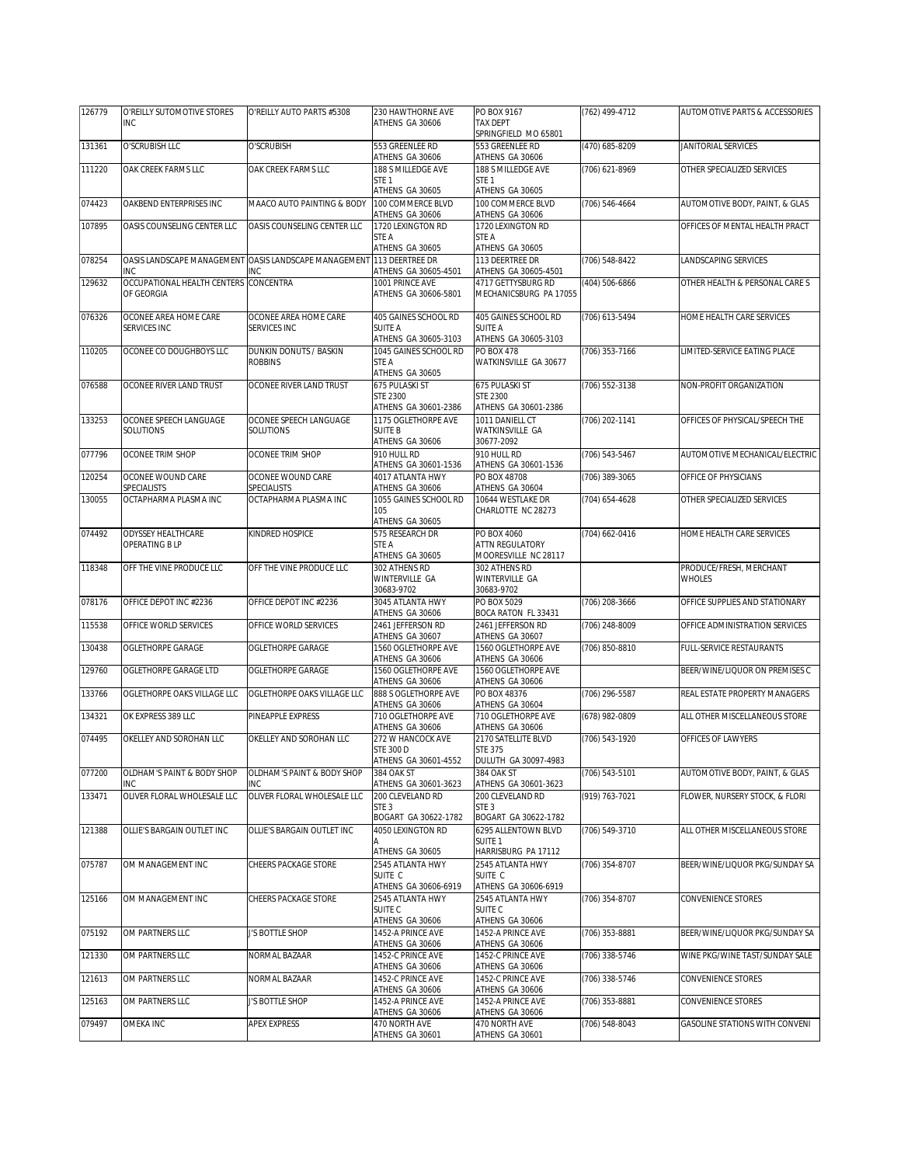| 126779 | O'REILLY SUTOMOTIVE STORES                          | O'REILLY AUTO PARTS #5308                                             | 230 HAWTHORNE AVE                             | PO BOX 9167                                   | (762) 499-4712     | AUTOMOTIVE PARTS & ACCESSORIES           |
|--------|-----------------------------------------------------|-----------------------------------------------------------------------|-----------------------------------------------|-----------------------------------------------|--------------------|------------------------------------------|
|        | <b>INC</b>                                          |                                                                       | ATHENS GA 30606                               | TAX DEPT<br>SPRINGFIELD MO 65801              |                    |                                          |
| 131361 | O'SCRUBISH LLC                                      | O'SCRUBISH                                                            | 553 GREENLEE RD                               | 553 GREENLEE RD                               | (470) 685-8209     | JANITORIAL SERVICES                      |
| 111220 | OAK CREEK FARMS LLC                                 | OAK CREEK FARMS LLC                                                   | ATHENS GA 30606<br>188 S MILLEDGE AVE         | ATHENS GA 30606<br>188 S MILLEDGE AVE         | (706) 621-8969     | OTHER SPECIALIZED SERVICES               |
|        |                                                     |                                                                       | STE <sub>1</sub>                              | STE <sub>1</sub>                              |                    |                                          |
|        |                                                     |                                                                       | ATHENS GA 30605                               | ATHENS GA 30605                               |                    |                                          |
| 074423 | OAKBEND ENTERPRISES INC                             | MAACO AUTO PAINTING & BODY                                            | 100 COMMERCE BLVD<br>ATHENS GA 30606          | 100 COMMERCE BLVD<br>ATHENS GA 30606          | (706) 546-4664     | AUTOMOTIVE BODY, PAINT, & GLAS           |
| 107895 | OASIS COUNSELING CENTER LLC                         | OASIS COUNSELING CENTER LLC                                           | 1720 LEXINGTON RD                             | 1720 LEXINGTON RD                             |                    | OFFICES OF MENTAL HEALTH PRACT           |
|        |                                                     |                                                                       | STE A<br>ATHENS GA 30605                      | STE A<br>ATHENS GA 30605                      |                    |                                          |
| 078254 |                                                     | OASIS LANDSCAPE MANAGEMENT OASIS LANDSCAPE MANAGEMENT 113 DEERTREE DR |                                               | 113 DEERTREE DR                               | (706) 548-8422     | LANDSCAPING SERVICES                     |
|        | INC                                                 | <b>NC</b>                                                             | ATHENS GA 30605-4501                          | ATHENS GA 30605-4501                          |                    |                                          |
| 129632 | OCCUPATIONAL HEALTH CENTERS CONCENTRA<br>OF GEORGIA |                                                                       | 1001 PRINCE AVE<br>ATHENS GA 30606-5801       | 4717 GETTYSBURG RD<br>MECHANICSBURG PA 17055  | (404) 506-6866     | OTHER HEALTH & PERSONAL CARE S           |
| 076326 | OCONEE AREA HOME CARE                               | OCONEE AREA HOME CARE                                                 | 405 GAINES SCHOOL RD                          | 405 GAINES SCHOOL RD                          | (706) 613-5494     | HOME HEALTH CARE SERVICES                |
|        | SERVICES INC                                        | SERVICES INC                                                          | <b>SUITE A</b><br>ATHENS GA 30605-3103        | <b>SUITE A</b><br>ATHENS GA 30605-3103        |                    |                                          |
| 110205 | OCONEE CO DOUGHBOYS LLC                             | DUNKIN DONUTS / BASKIN                                                | 1045 GAINES SCHOOL RD                         | <b>PO BOX 478</b>                             | (706) 353-7166     | LIMITED-SERVICE EATING PLACE             |
|        |                                                     | <b>ROBBINS</b>                                                        | STE A<br>ATHENS GA 30605                      | WATKINSVILLE GA 30677                         |                    |                                          |
| 076588 | OCONEE RIVER LAND TRUST                             | OCONEE RIVER LAND TRUST                                               | 675 PULASKI ST                                | 675 PULASKI ST                                | (706) 552-3138     | NON-PROFIT ORGANIZATION                  |
|        |                                                     |                                                                       | <b>STE 2300</b>                               | <b>STE 2300</b>                               |                    |                                          |
| 133253 | OCONEE SPEECH LANGUAGE                              | OCONEE SPEECH LANGUAGE                                                | ATHENS GA 30601-2386<br>1175 OGLETHORPE AVE   | ATHENS GA 30601-2386<br>1011 DANIELL CT       | (706) 202-1141     | OFFICES OF PHYSICAL/SPEECH THE           |
|        | <b>SOLUTIONS</b>                                    | <b>SOLUTIONS</b>                                                      | <b>SUITE B</b>                                | WATKINSVILLE GA                               |                    |                                          |
| 077796 | <b>OCONEE TRIM SHOP</b>                             | <b>OCONEE TRIM SHOP</b>                                               | ATHENS GA 30606<br>910 HULL RD                | 30677-2092<br>910 HULL RD                     | (706) 543-5467     | AUTOMOTIVE MECHANICAL/ELECTRIC           |
|        |                                                     |                                                                       | ATHENS GA 30601-1536                          | ATHENS GA 30601-1536                          |                    |                                          |
| 120254 | OCONEE WOUND CARE                                   | OCONEE WOUND CARE                                                     | 4017 ATLANTA HWY                              | PO BOX 48708                                  | (706) 389-3065     | OFFICE OF PHYSICIANS                     |
| 130055 | <b>SPECIALISTS</b><br>OCTAPHARMA PLASMA INC         | SPECIALISTS<br>OCTAPHARMA PLASMA INC                                  | ATHENS GA 30606<br>1055 GAINES SCHOOL RD      | ATHENS GA 30604<br>10644 WESTLAKE DR          | (704) 654-4628     | OTHER SPECIALIZED SERVICES               |
|        |                                                     |                                                                       | 105                                           | CHARLOTTE NC 28273                            |                    |                                          |
| 074492 | <b>ODYSSEY HEALTHCARE</b>                           | KINDRED HOSPICE                                                       | ATHENS GA 30605<br>575 RESEARCH DR            | PO BOX 4060                                   | $(704) 662 - 0416$ | HOME HEALTH CARE SERVICES                |
|        | OPERATING B LP                                      |                                                                       | STE A                                         | ATTN REGULATORY                               |                    |                                          |
|        |                                                     |                                                                       | ATHENS GA 30605                               | MOORESVILLE NC 28117                          |                    |                                          |
| 118348 | OFF THE VINE PRODUCE LLC                            | OFF THE VINE PRODUCE LLC                                              | 302 ATHENS RD<br>WINTERVILLE GA<br>30683-9702 | 302 ATHENS RD<br>WINTERVILLE GA<br>30683-9702 |                    | PRODUCE/FRESH, MERCHANT<br><b>WHOLES</b> |
| 078176 | OFFICE DEPOT INC #2236                              | OFFICE DEPOT INC #2236                                                | 3045 ATLANTA HWY                              | PO BOX 5029                                   | (706) 208-3666     | OFFICE SUPPLIES AND STATIONARY           |
| 115538 | OFFICE WORLD SERVICES                               | OFFICE WORLD SERVICES                                                 | ATHENS GA 30606<br>2461 JEFFERSON RD          | BOCA RATON FL 33431<br>2461 JEFFERSON RD      | (706) 248-8009     | OFFICE ADMINISTRATION SERVICES           |
|        |                                                     |                                                                       | ATHENS GA 30607                               | ATHENS GA 30607                               |                    |                                          |
| 130438 | OGLETHORPE GARAGE                                   | OGLETHORPE GARAGE                                                     | 1560 OGLETHORPE AVE<br>ATHENS GA 30606        | 1560 OGLETHORPE AVE<br>ATHENS GA 30606        | (706) 850-8810     | FULL-SERVICE RESTAURANTS                 |
| 129760 | OGLETHORPE GARAGE LTD                               | OGLETHORPE GARAGE                                                     | 1560 OGLETHORPE AVE<br>ATHENS GA 30606        | 1560 OGLETHORPE AVE<br>ATHENS GA 30606        |                    | BEER/WINE/LIQUOR ON PREMISES C           |
| 133766 | OGLETHORPE OAKS VILLAGE LLC                         | OGLETHORPE OAKS VILLAGE LLC                                           | 888 S OGLETHORPE AVE                          | PO BOX 48376                                  | (706) 296-5587     | REAL ESTATE PROPERTY MANAGERS            |
| 134321 | OK EXPRESS 389 LLC                                  | PINEAPPLE EXPRESS                                                     | ATHENS GA 30606<br>710 OGLETHORPE AVE         | ATHENS GA 30604<br>710 OGLETHORPE AVE         | (678) 982-0809     | ALL OTHER MISCELLANEOUS STORE            |
|        |                                                     |                                                                       | ATHENS GA 30606                               | ATHENS GA 30606                               |                    |                                          |
| 074495 | OKELLEY AND SOROHAN LLC                             | OKELLEY AND SOROHAN LLC                                               | 272 W HANCOCK AVE<br><b>STE 300 D</b>         | 2170 SATELLITE BLVD<br><b>STE 375</b>         | (706) 543-1920     | OFFICES OF LAWYERS                       |
|        |                                                     |                                                                       | ATHENS GA 30601-4552                          | DULUTH GA 30097-4983                          |                    |                                          |
| 077200 | OLDHAM'S PAINT & BODY SHOP                          | OLDHAM'S PAINT & BODY SHOP                                            | 384 OAK ST                                    | 384 OAK ST                                    | (706) 543-5101     | AUTOMOTIVE BODY, PAINT, & GLAS           |
| 133471 | INC<br>OLIVER FLORAL WHOLESALE LLC                  | INC<br>OLIVER FLORAL WHOLESALE LLC                                    | ATHENS GA 30601-3623<br>200 CLEVELAND RD      | ATHENS GA 30601-3623<br>200 CLEVELAND RD      | (919) 763-7021     | FLOWER, NURSERY STOCK, & FLORI           |
|        |                                                     |                                                                       | STE <sub>3</sub>                              | STE 3                                         |                    |                                          |
| 121388 | OLLIE'S BARGAIN OUTLET INC                          | OLLIE'S BARGAIN OUTLET INC                                            | BOGART GA 30622-1782<br>4050 LEXINGTON RD     | BOGART GA 30622-1782<br>6295 ALLENTOWN BLVD   | (706) 549-3710     | ALL OTHER MISCELLANEOUS STORE            |
|        |                                                     |                                                                       |                                               | SUITE 1                                       |                    |                                          |
|        |                                                     |                                                                       | ATHENS GA 30605                               | HARRISBURG PA 17112                           |                    |                                          |
| 075787 | OM MANAGEMENT INC                                   | CHEERS PACKAGE STORE                                                  | 2545 ATLANTA HWY<br>SUITE C                   | 2545 ATLANTA HWY<br>SUITE C                   | (706) 354-8707     | BEER/WINE/LIQUOR PKG/SUNDAY SA           |
|        |                                                     |                                                                       | ATHENS GA 30606-6919                          | ATHENS GA 30606-6919                          |                    |                                          |
| 125166 | OM MANAGEMENT INC                                   | CHEERS PACKAGE STORE                                                  | 2545 ATLANTA HWY<br>SUITE C                   | 2545 ATLANTA HWY<br>SUITE C                   | (706) 354-8707     | CONVENIENCE STORES                       |
|        |                                                     |                                                                       | ATHENS GA 30606                               | ATHENS GA 30606                               |                    |                                          |
| 075192 | OM PARTNERS LLC                                     | J'S BOTTLE SHOP                                                       | 1452-A PRINCE AVE                             | 1452-A PRINCE AVE<br>ATHENS GA 30606          | (706) 353-8881     | BEER/WINE/LIQUOR PKG/SUNDAY SA           |
| 121330 | OM PARTNERS LLC                                     | NORMAL BAZAAR                                                         | ATHENS GA 30606<br>1452-C PRINCE AVE          | 1452-C PRINCE AVE                             | (706) 338-5746     | WINE PKG/WINE TAST/SUNDAY SALE           |
|        |                                                     |                                                                       | ATHENS GA 30606                               | ATHENS GA 30606                               |                    |                                          |
| 121613 | OM PARTNERS LLC                                     | NORMAL BAZAAR                                                         | 1452-C PRINCE AVE<br>ATHENS GA 30606          | 1452-C PRINCE AVE<br>ATHENS GA 30606          | (706) 338-5746     | CONVENIENCE STORES                       |
| 125163 | OM PARTNERS LLC                                     | J'S BOTTLE SHOP                                                       | 1452-A PRINCE AVE                             | 1452-A PRINCE AVE                             | (706) 353-8881     | CONVENIENCE STORES                       |
| 079497 | OMEKA INC                                           | <b>APEX EXPRESS</b>                                                   | ATHENS GA 30606<br>470 NORTH AVE              | ATHENS GA 30606<br>470 NORTH AVE              | (706) 548-8043     | GASOLINE STATIONS WITH CONVENI           |
|        |                                                     |                                                                       | ATHENS GA 30601                               | ATHENS GA 30601                               |                    |                                          |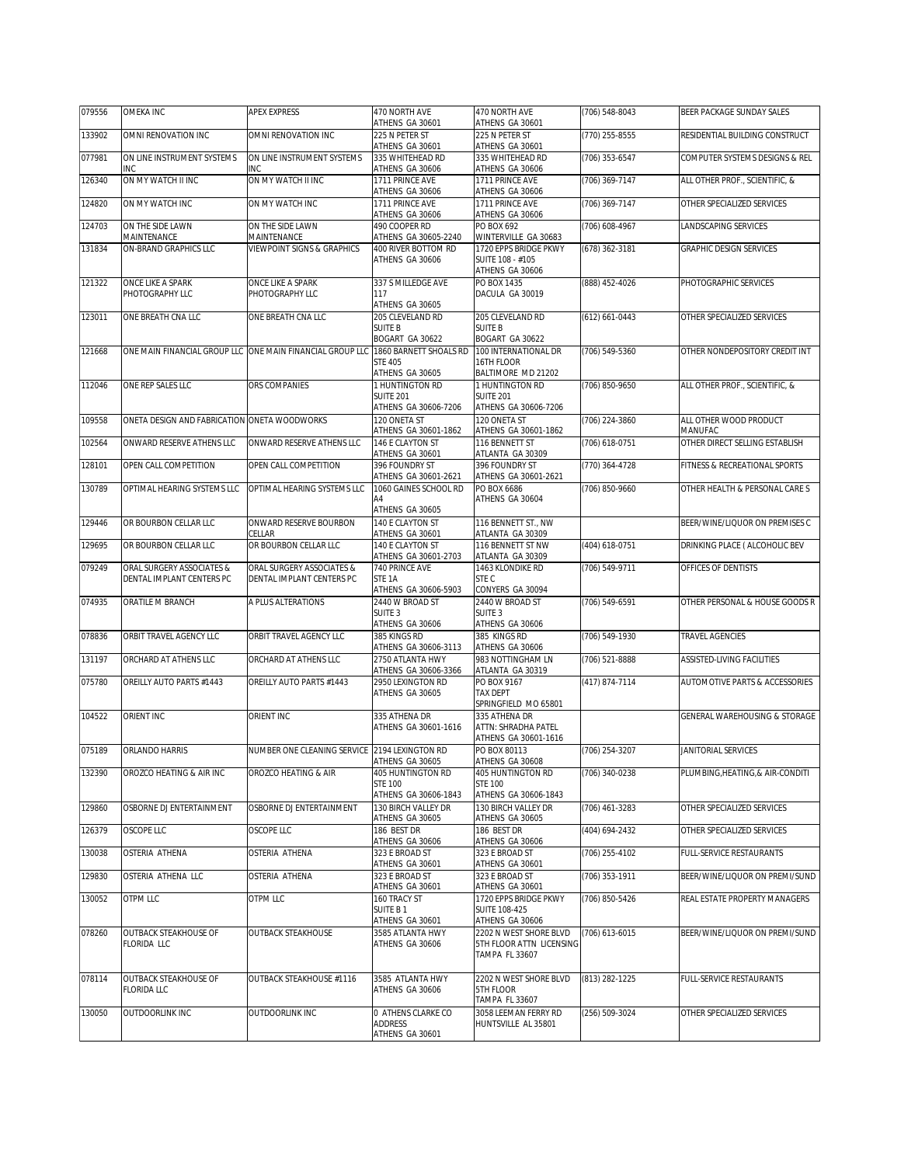| 079556 | OMEKA INC                                    | <b>APEX EXPRESS</b>                                       | 470 NORTH AVE<br>ATHENS GA 30601                            | 470 NORTH AVE<br>ATHENS GA 30601                                     | (706) 548-8043 | BEER PACKAGE SUNDAY SALES         |
|--------|----------------------------------------------|-----------------------------------------------------------|-------------------------------------------------------------|----------------------------------------------------------------------|----------------|-----------------------------------|
| 133902 | OMNI RENOVATION INC                          | OMNI RENOVATION INC                                       | 225 N PETER ST<br>ATHENS GA 30601                           | 225 N PETER ST<br>ATHENS GA 30601                                    | (770) 255-8555 | RESIDENTIAL BUILDING CONSTRUCT    |
| 077981 | ON LINE INSTRUMENT SYSTEMS<br>INC            | ON LINE INSTRUMENT SYSTEMS<br>INC                         | 335 WHITEHEAD RD<br>ATHENS GA 30606                         | 335 WHITEHEAD RD<br>ATHENS GA 30606                                  | (706) 353-6547 | COMPUTER SYSTEMS DESIGNS & REL    |
| 126340 | ON MY WATCH II INC                           | ON MY WATCH II INC                                        | 1711 PRINCE AVE                                             | 1711 PRINCE AVE                                                      | (706) 369-7147 | ALL OTHER PROF., SCIENTIFIC, &    |
| 124820 | ON MY WATCH INC                              | ON MY WATCH INC                                           | ATHENS GA 30606<br>1711 PRINCE AVE<br>ATHENS GA 30606       | ATHENS GA 30606<br>1711 PRINCE AVE<br>ATHENS GA 30606                | (706) 369-7147 | OTHER SPECIALIZED SERVICES        |
| 124703 | ON THE SIDE LAWN<br>MAINTENANCE              | ON THE SIDE LAWN<br>MAINTENANCE                           | 490 COOPER RD<br>ATHENS GA 30605-2240                       | PO BOX 692<br>WINTERVILLE GA 30683                                   | (706) 608-4967 | LANDSCAPING SERVICES              |
| 131834 | ON-BRAND GRAPHICS LLC                        | VIEWPOINT SIGNS & GRAPHICS                                | 400 RIVER BOTTOM RD                                         | 1720 EPPS BRIDGE PKWY                                                | (678) 362-3181 | GRAPHIC DESIGN SERVICES           |
|        |                                              |                                                           | ATHENS GA 30606                                             | SUITE 108 - #105<br>ATHENS GA 30606                                  |                |                                   |
| 121322 | ONCE LIKE A SPARK<br>PHOTOGRAPHY LLC         | ONCE LIKE A SPARK<br>PHOTOGRAPHY LLC                      | 337 S MILLEDGE AVE<br>117<br>ATHENS GA 30605                | PO BOX 1435<br>DACULA GA 30019                                       | (888) 452-4026 | PHOTOGRAPHIC SERVICES             |
| 123011 | ONE BREATH CNA LLC                           | ONE BREATH CNA LLC                                        | 205 CLEVELAND RD<br><b>SUITE B</b><br>BOGART GA 30622       | 205 CLEVELAND RD<br><b>SUITE B</b><br>BOGART GA 30622                | (612) 661-0443 | OTHER SPECIALIZED SERVICES        |
| 121668 |                                              | ONE MAIN FINANCIAL GROUP LLC ONE MAIN FINANCIAL GROUP LLC | 1860 BARNETT SHOALS RD<br><b>STE 405</b><br>ATHENS GA 30605 | 100 INTERNATIONAL DR<br>16TH FLOOR<br>BALTIMORE MD 21202             | (706) 549-5360 | OTHER NONDEPOSITORY CREDIT INT    |
| 112046 | ONE REP SALES LLC                            | ORS COMPANIES                                             | 1 HUNTINGTON RD<br><b>SUITE 201</b>                         | 1 HUNTINGTON RD<br><b>SUITE 201</b>                                  | (706) 850-9650 | ALL OTHER PROF., SCIENTIFIC, &    |
|        |                                              |                                                           | ATHENS GA 30606-7206                                        | ATHENS GA 30606-7206                                                 |                |                                   |
| 109558 | ONETA DESIGN AND FABRICATION ONETA WOODWORKS |                                                           | 120 ONETA ST<br>ATHENS GA 30601-1862                        | 120 ONETA ST<br>ATHENS GA 30601-1862                                 | (706) 224-3860 | ALL OTHER WOOD PRODUCT<br>MANUFAC |
| 102564 | ONWARD RESERVE ATHENS LLC                    | ONWARD RESERVE ATHENS LLC                                 | 146 E CLAYTON ST<br>ATHENS GA 30601                         | 116 BENNETT ST<br>ATLANTA GA 30309                                   | (706) 618-0751 | OTHER DIRECT SELLING ESTABLISH    |
| 128101 | OPEN CALL COMPETITION                        | OPEN CALL COMPETITION                                     | 396 FOUNDRY ST<br>ATHENS GA 30601-2621                      | 396 FOUNDRY ST<br>ATHENS GA 30601-2621                               | (770) 364-4728 | FITNESS & RECREATIONAL SPORTS     |
| 130789 | OPTIMAL HEARING SYSTEMS LLC                  | OPTIMAL HEARING SYSTEMS LLC                               | 1060 GAINES SCHOOL RD<br>A4<br>ATHENS GA 30605              | PO BOX 6686<br>ATHENS GA 30604                                       | (706) 850-9660 | OTHER HEALTH & PERSONAL CARE S    |
| 129446 | OR BOURBON CELLAR LLC                        | ONWARD RESERVE BOURBON<br>CELLAR                          | 140 E CLAYTON ST<br>ATHENS GA 30601                         | 116 BENNETT ST., NW<br>ATLANTA GA 30309                              |                | BEER/WINE/LIQUOR ON PREMISES C    |
| 129695 | OR BOURBON CELLAR LLC                        | OR BOURBON CELLAR LLC                                     | 140 E CLAYTON ST                                            | 116 BENNETT ST NW                                                    | (404) 618-0751 | DRINKING PLACE ( ALCOHOLIC BEV    |
| 079249 | ORAL SURGERY ASSOCIATES &                    | ORAL SURGERY ASSOCIATES &                                 | ATHENS GA 30601-2703<br>740 PRINCE AVE                      | ATLANTA GA 30309<br>1463 KLONDIKE RD                                 | (706) 549-9711 | OFFICES OF DENTISTS               |
|        | DENTAL IMPLANT CENTERS PC                    | DENTAL IMPLANT CENTERS PC                                 | STE <sub>1A</sub><br>ATHENS GA 30606-5903                   | STE C<br>CONYERS GA 30094                                            |                |                                   |
| 074935 | ORATILE M BRANCH                             | A PLUS ALTERATIONS                                        | 2440 W BROAD ST<br>SUITE <sub>3</sub><br>ATHENS GA 30606    | 2440 W BROAD ST<br>SUITE <sub>3</sub><br>ATHENS GA 30606             | (706) 549-6591 | OTHER PERSONAL & HOUSE GOODS R    |
| 078836 | ORBIT TRAVEL AGENCY LLC                      | ORBIT TRAVEL AGENCY LLC                                   | 385 KINGS RD<br>ATHENS GA 30606-3113                        | 385 KINGS RD<br>ATHENS GA 30606                                      | (706) 549-1930 | TRAVEL AGENCIES                   |
| 131197 | ORCHARD AT ATHENS LLC                        | ORCHARD AT ATHENS LLC                                     | 2750 ATLANTA HWY<br>ATHENS GA 30606-3366                    | 983 NOTTINGHAM LN<br>ATLANTA GA 30319                                | (706) 521-8888 | ASSISTED-LIVING FACILITIES        |
| 075780 | OREILLY AUTO PARTS #1443                     | OREILLY AUTO PARTS #1443                                  | 2950 LEXINGTON RD<br>ATHENS GA 30605                        | PO BOX 9167<br><b>TAX DEPT</b>                                       | (417) 874-7114 | AUTOMOTIVE PARTS & ACCESSORIES    |
| 104522 | ORIENT INC                                   | ORIENT INC                                                | 335 ATHENA DR                                               | SPRINGFIELD MO 65801<br>335 ATHENA DR                                |                | GENERAL WAREHOUSING & STORAGE     |
|        |                                              |                                                           | ATHENS GA 30601-1616                                        | ATTN: SHRADHA PATEL<br>ATHENS GA 30601-1616                          |                |                                   |
| 075189 | ORLANDO HARRIS                               | NUMBER ONE CLEANING SERVICE 2194 LEXINGTON RD             | ATHENS GA 30605                                             | PO BOX 80113<br>ATHENS GA 30608                                      | (706) 254-3207 | <b>JANITORIAL SERVICES</b>        |
| 132390 | OROZCO HEATING & AIR INC                     | OROZCO HEATING & AIR                                      | 405 HUNTINGTON RD<br><b>STE 100</b>                         | 405 HUNTINGTON RD<br><b>STE 100</b>                                  | (706) 340-0238 | PLUMBING, HEATING, & AIR-CONDITI  |
| 129860 | OSBORNE DJ ENTERTAINMENT                     | OSBORNE DJ ENTERTAINMENT                                  | ATHENS GA 30606-1843<br>130 BIRCH VALLEY DR                 | ATHENS GA 30606-1843<br>130 BIRCH VALLEY DR                          | (706) 461-3283 | OTHER SPECIALIZED SERVICES        |
| 126379 | OSCOPE LLC                                   | OSCOPE LLC                                                | ATHENS GA 30605<br>186 BEST DR                              | ATHENS GA 30605<br>186 BEST DR                                       | (404) 694-2432 | OTHER SPECIALIZED SERVICES        |
| 130038 | OSTERIA ATHENA                               | OSTERIA ATHENA                                            | ATHENS GA 30606<br>323 E BROAD ST                           | ATHENS GA 30606<br>323 E BROAD ST                                    | (706) 255-4102 | FULL-SERVICE RESTAURANTS          |
| 129830 | OSTERIA ATHENA LLC                           | OSTERIA ATHENA                                            | ATHENS GA 30601<br>323 E BROAD ST                           | ATHENS GA 30601<br>323 E BROAD ST                                    | (706) 353-1911 | BEER/WINE/LIQUOR ON PREMI/SUND    |
|        |                                              |                                                           | ATHENS GA 30601<br>160 TRACY ST                             | ATHENS GA 30601<br>1720 EPPS BRIDGE PKWY                             | (706) 850-5426 |                                   |
| 130052 | OTPM LLC                                     | OTPM LLC                                                  | SUITE B1<br>ATHENS GA 30601                                 | <b>SUITE 108-425</b><br>ATHENS GA 30606                              |                | REAL ESTATE PROPERTY MANAGERS     |
| 078260 | <b>OUTBACK STEAKHOUSE OF</b><br>FLORIDA LLC  | <b>OUTBACK STEAKHOUSE</b>                                 | 3585 ATLANTA HWY<br>ATHENS GA 30606                         | 2202 N WEST SHORE BLVD<br>5TH FLOOR ATTN LICENSING<br>TAMPA FL 33607 | (706) 613-6015 | BEER/WINE/LIQUOR ON PREMI/SUND    |
| 078114 | OUTBACK STEAKHOUSE OF<br><b>FLORIDA LLC</b>  | <b>OUTBACK STEAKHOUSE #1116</b>                           | 3585 ATLANTA HWY<br>ATHENS GA 30606                         | 2202 N WEST SHORE BLVD<br>5TH FLOOR<br>TAMPA FL 33607                | (813) 282-1225 | FULL-SERVICE RESTAURANTS          |
| 130050 | OUTDOORLINK INC                              | OUTDOORLINK INC                                           | 0 ATHENS CLARKE CO<br><b>ADDRESS</b><br>ATHENS GA 30601     | 3058 LEEMAN FERRY RD<br>HUNTSVILLE AL 35801                          | (256) 509-3024 | OTHER SPECIALIZED SERVICES        |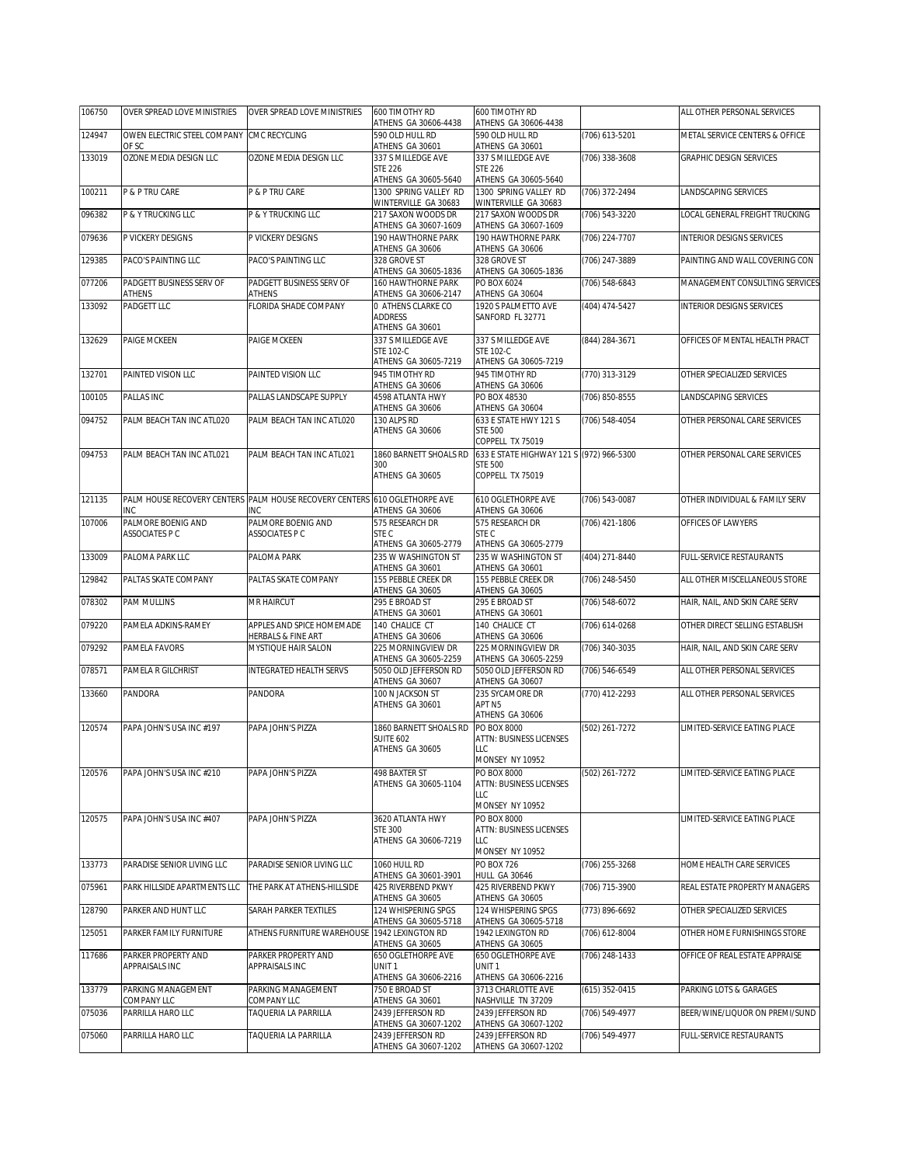| 106750 | OVER SPREAD LOVE MINISTRIES          | OVER SPREAD LOVE MINISTRIES                                                       | 600 TIMOTHY RD<br>ATHENS GA 30606-4438                         | 600 TIMOTHY RD<br>ATHENS GA 30606-4438                         |                  | ALL OTHER PERSONAL SERVICES      |
|--------|--------------------------------------|-----------------------------------------------------------------------------------|----------------------------------------------------------------|----------------------------------------------------------------|------------------|----------------------------------|
| 124947 | OWEN ELECTRIC STEEL COMPANY          | <b>CMC RECYCLING</b>                                                              | 590 OLD HULL RD                                                | 590 OLD HULL RD                                                | (706) 613-5201   | METAL SERVICE CENTERS & OFFICE   |
| 133019 | OF SC<br>OZONE MEDIA DESIGN LLC      | OZONE MEDIA DESIGN LLC                                                            | ATHENS GA 30601<br>337 S MILLEDGE AVE<br><b>STE 226</b>        | ATHENS GA 30601<br>337 S MILLEDGE AVE<br><b>STE 226</b>        | $(706)$ 338-3608 | <b>GRAPHIC DESIGN SERVICES</b>   |
| 100211 | P & P TRU CARE                       | P & P TRU CARE                                                                    | ATHENS GA 30605-5640<br>1300 SPRING VALLEY RD                  | ATHENS GA 30605-5640<br>1300 SPRING VALLEY RD                  | (706) 372-2494   | LANDSCAPING SERVICES             |
| 096382 | P & Y TRUCKING LLC                   | <b>P &amp; Y TRUCKING LLC</b>                                                     | WINTERVILLE GA 30683<br>217 SAXON WOODS DR                     | WINTERVILLE GA 30683<br>217 SAXON WOODS DR                     | (706) 543-3220   | LOCAL GENERAL FREIGHT TRUCKING   |
| 079636 | P VICKERY DESIGNS                    | P VICKERY DESIGNS                                                                 | ATHENS GA 30607-1609<br>190 HAWTHORNE PARK                     | ATHENS GA 30607-1609<br>190 HAWTHORNE PARK                     | (706) 224-7707   | <b>INTERIOR DESIGNS SERVICES</b> |
| 129385 | PACO'S PAINTING LLC                  | PACO'S PAINTING LLC                                                               | ATHENS GA 30606<br>328 GROVE ST                                | ATHENS GA 30606<br>328 GROVE ST                                | (706) 247-3889   | PAINTING AND WALL COVERING CON   |
| 077206 | PADGETT BUSINESS SERV OF             | PADGETT BUSINESS SERV OF                                                          | ATHENS GA 30605-1836<br>160 HAWTHORNE PARK                     | ATHENS GA 30605-1836<br>PO BOX 6024                            | (706) 548-6843   | MANAGEMENT CONSULTING SERVICES   |
| 133092 | <b>ATHENS</b><br>PADGETT LLC         | <b>ATHENS</b><br>FLORIDA SHADE COMPANY                                            | ATHENS GA 30606-2147<br>0 ATHENS CLARKE CO                     | ATHENS GA 30604<br>1920 S PALMETTO AVE                         | (404) 474-5427   | <b>INTERIOR DESIGNS SERVICES</b> |
|        |                                      |                                                                                   | <b>ADDRESS</b><br>ATHENS GA 30601                              | SANFORD FL 32771                                               |                  |                                  |
| 132629 | PAIGE MCKEEN                         | PAIGE MCKEEN                                                                      | 337 S MILLEDGE AVE<br><b>STE 102-C</b><br>ATHENS GA 30605-7219 | 337 S MILLEDGE AVE<br><b>STE 102-C</b><br>ATHENS GA 30605-7219 | (844) 284-3671   | OFFICES OF MENTAL HEALTH PRACT   |
| 132701 | PAINTED VISION LLC                   | PAINTED VISION LLC                                                                | 945 TIMOTHY RD                                                 | 945 TIMOTHY RD                                                 | (770) 313-3129   | OTHER SPECIALIZED SERVICES       |
| 100105 | <b>PALLAS INC</b>                    | PALLAS LANDSCAPE SUPPLY                                                           | ATHENS GA 30606<br>4598 ATLANTA HWY                            | ATHENS GA 30606<br>PO BOX 48530                                | (706) 850-8555   | LANDSCAPING SERVICES             |
| 094752 | PALM BEACH TAN INC ATL020            | PALM BEACH TAN INC ATL020                                                         | ATHENS GA 30606<br>130 ALPS RD                                 | ATHENS GA 30604<br>633 E STATE HWY 121 S                       | (706) 548-4054   | OTHER PERSONAL CARE SERVICES     |
|        |                                      |                                                                                   | ATHENS GA 30606                                                | <b>STE 500</b><br>COPPELL TX 75019                             |                  |                                  |
| 094753 | PALM BEACH TAN INC ATL021            | PALM BEACH TAN INC ATL021                                                         | 1860 BARNETT SHOALS RD<br>300                                  | 633 E STATE HIGHWAY 121 S (972) 966-5300<br><b>STE 500</b>     |                  | OTHER PERSONAL CARE SERVICES     |
|        |                                      |                                                                                   | ATHENS GA 30605                                                | COPPELL TX 75019                                               |                  |                                  |
| 121135 | INC                                  | PALM HOUSE RECOVERY CENTERS PALM HOUSE RECOVERY CENTERS 610 OGLETHORPE AVE<br>INC | ATHENS GA 30606                                                | 610 OGLETHORPE AVE<br>ATHENS GA 30606                          | (706) 543-0087   | OTHER INDIVIDUAL & FAMILY SERV   |
| 107006 | PALMORE BOENIG AND<br>ASSOCIATES P C | PALMORE BOENIG AND<br>ASSOCIATES P C                                              | 575 RESEARCH DR<br>STE C                                       | 575 RESEARCH DR<br>STE C<br>ATHENS GA 30605-2779               | (706) 421-1806   | OFFICES OF LAWYERS               |
| 133009 | PALOMA PARK LLC                      | PALOMA PARK                                                                       | ATHENS GA 30605-2779<br>235 W WASHINGTON ST                    | 235 W WASHINGTON ST                                            | (404) 271-8440   | FULL-SERVICE RESTAURANTS         |
| 129842 | PALTAS SKATE COMPANY                 | PALTAS SKATE COMPANY                                                              | ATHENS GA 30601<br>155 PEBBLE CREEK DR                         | ATHENS GA 30601<br>155 PEBBLE CREEK DR                         | (706) 248-5450   | ALL OTHER MISCELLANEOUS STORE    |
| 078302 | PAM MULLINS                          | MR HAIRCUT                                                                        | ATHENS GA 30605<br>295 E BROAD ST                              | ATHENS GA 30605<br>295 E BROAD ST                              | (706) 548-6072   | HAIR, NAIL, AND SKIN CARE SERV   |
| 079220 | PAMELA ADKINS-RAMEY                  | APPLES AND SPICE HOMEMADE                                                         | ATHENS GA 30601<br>140 CHALICE CT                              | ATHENS GA 30601<br>140 CHALICE CT                              | (706) 614-0268   | OTHER DIRECT SELLING ESTABLISH   |
| 079292 | PAMELA FAVORS                        | HERBALS & FINE ART<br>MYSTIQUE HAIR SALON                                         | ATHENS GA 30606<br>225 MORNINGVIEW DR                          | ATHENS GA 30606<br>225 MORNINGVIEW DR                          | (706) 340-3035   | HAIR, NAIL, AND SKIN CARE SERV   |
| 078571 | PAMELA R GILCHRIST                   | INTEGRATED HEALTH SERVS                                                           | ATHENS GA 30605-2259<br>5050 OLD JEFFERSON RD                  | ATHENS GA 30605-2259<br>5050 OLD JEFFERSON RD                  | (706) 546-6549   | ALL OTHER PERSONAL SERVICES      |
| 133660 | PANDORA                              | PANDORA                                                                           | ATHENS GA 30607<br>100 N JACKSON ST                            | ATHENS GA 30607<br>235 SYCAMORE DR                             | (770) 412-2293   | ALL OTHER PERSONAL SERVICES      |
|        |                                      |                                                                                   | ATHENS GA 30601                                                | APT <sub>N5</sub><br>ATHENS GA 30606                           |                  |                                  |
| 120574 | PAPA JOHN'S USA INC #197             | PAPA JOHN'S PIZZA                                                                 | 1860 BARNETT SHOALS RD<br><b>SUITE 602</b>                     | PO BOX 8000<br>ATTN: BUSINESS LICENSES                         | (502) 261-7272   | LIMITED-SERVICE EATING PLACE     |
|        |                                      |                                                                                   | ATHENS GA 30605                                                | LLC<br>MONSEY NY 10952                                         |                  |                                  |
| 120576 | PAPA JOHN'S USA INC #210             | PAPA JOHN'S PIZZA                                                                 | 498 BAXTER ST                                                  | PO BOX 8000                                                    | (502) 261-7272   | LIMITED-SERVICE EATING PLACE     |
|        |                                      |                                                                                   | ATHENS GA 30605-1104                                           | <b>ATTN: BUSINESS LICENSES</b><br>LLC                          |                  |                                  |
| 120575 | PAPA JOHN'S USA INC #407             | PAPA JOHN'S PIZZA                                                                 | 3620 ATLANTA HWY                                               | MONSEY NY 10952<br>PO BOX 8000                                 |                  | LIMITED-SERVICE EATING PLACE     |
|        |                                      |                                                                                   | <b>STE 300</b><br>ATHENS GA 30606-7219                         | ATTN: BUSINESS LICENSES<br>LLC                                 |                  |                                  |
| 133773 | PARADISE SENIOR LIVING LLC           | PARADISE SENIOR LIVING LLC                                                        | 1060 HULL RD                                                   | MONSEY NY 10952<br><b>PO BOX 726</b>                           | (706) 255-3268   | HOME HEALTH CARE SERVICES        |
| 075961 | PARK HILLSIDE APARTMENTS LLC         | THE PARK AT ATHENS-HILLSIDE                                                       | ATHENS GA 30601-3901<br>425 RIVERBEND PKWY                     | <b>HULL GA 30646</b><br>425 RIVERBEND PKWY                     | (706) 715-3900   | REAL ESTATE PROPERTY MANAGERS    |
| 128790 | PARKER AND HUNT LLC                  | SARAH PARKER TEXTILES                                                             | ATHENS GA 30605<br>124 WHISPERING SPGS                         | ATHENS GA 30605<br>124 WHISPERING SPGS                         | (773) 896-6692   | OTHER SPECIALIZED SERVICES       |
| 125051 | PARKER FAMILY FURNITURE              | ATHENS FURNITURE WAREHOUSE 1942 LEXINGTON RD                                      | ATHENS GA 30605-5718                                           | ATHENS GA 30605-5718<br>1942 LEXINGTON RD                      | (706) 612-8004   | OTHER HOME FURNISHINGS STORE     |
| 117686 | PARKER PROPERTY AND                  | PARKER PROPERTY AND                                                               | ATHENS GA 30605<br>650 OGLETHORPE AVE                          | ATHENS GA 30605<br>650 OGLETHORPE AVE                          | (706) 248-1433   | OFFICE OF REAL ESTATE APPRAISE   |
|        | APPRAISALS INC                       | APPRAISALS INC                                                                    | UNIT <sub>1</sub><br>ATHENS GA 30606-2216                      | UNIT <sub>1</sub><br>ATHENS GA 30606-2216                      |                  |                                  |
| 133779 | PARKING MANAGEMENT<br>COMPANY LLC    | PARKING MANAGEMENT<br>COMPANY LLC                                                 | 750 E BROAD ST<br>ATHENS GA 30601                              | 3713 CHARLOTTE AVE<br>NASHVILLE TN 37209                       | (615) 352-0415   | PARKING LOTS & GARAGES           |
| 075036 | PARRILLA HARO LLC                    | TAQUERIA LA PARRILLA                                                              | 2439 JEFFERSON RD<br>ATHENS GA 30607-1202                      | 2439 JEFFERSON RD<br>ATHENS GA 30607-1202                      | (706) 549-4977   | BEER/WINE/LIQUOR ON PREMI/SUND   |
| 075060 | PARRILLA HARO LLC                    | TAQUERIA LA PARRILLA                                                              | 2439 JEFFERSON RD<br>ATHENS GA 30607-1202                      | 2439 JEFFERSON RD<br>ATHENS GA 30607-1202                      | (706) 549-4977   | FULL-SERVICE RESTAURANTS         |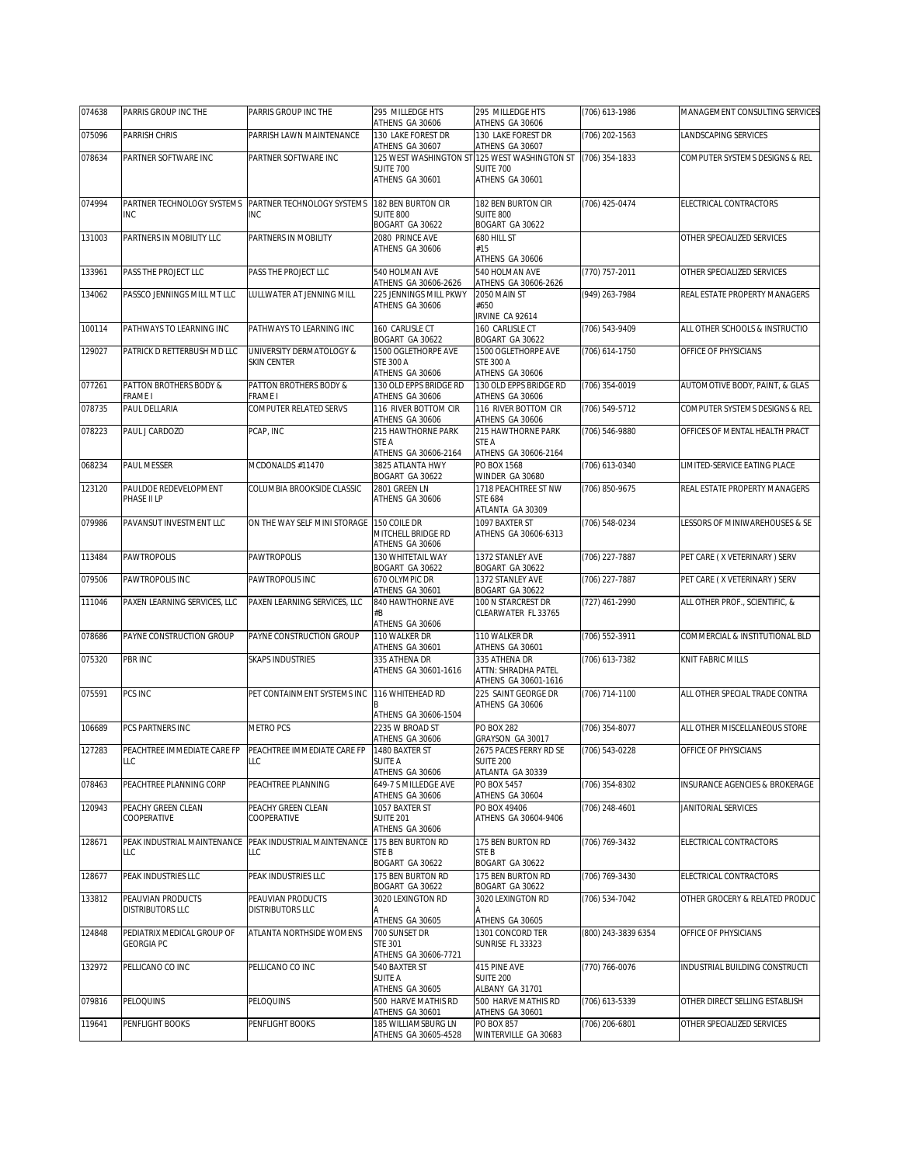| 074638 | PARRIS GROUP INC THE                     | PARRIS GROUP INC THE                           | 295 MILLEDGE HTS<br>ATHENS GA 30606                                    | 295 MILLEDGE HTS<br>ATHENS GA 30606                            | (706) 613-1986      | MANAGEMENT CONSULTING SERVICES |
|--------|------------------------------------------|------------------------------------------------|------------------------------------------------------------------------|----------------------------------------------------------------|---------------------|--------------------------------|
| 075096 | PARRISH CHRIS                            | PARRISH LAWN MAINTENANCE                       | 130 LAKE FOREST DR                                                     | 130 LAKE FOREST DR                                             | (706) 202-1563      | LANDSCAPING SERVICES           |
| 078634 | PARTNER SOFTWARE INC                     | PARTNER SOFTWARE INC                           | ATHENS GA 30607<br>125 WEST WASHINGTON ST                              | ATHENS GA 30607<br>125 WEST WASHINGTON ST                      | (706) 354-1833      | COMPUTER SYSTEMS DESIGNS & REL |
|        |                                          |                                                | <b>SUITE 700</b><br>ATHENS GA 30601                                    | SUITE 700<br>ATHENS GA 30601                                   |                     |                                |
| 074994 | PARTNER TECHNOLOGY SYSTEMS<br><b>INC</b> | PARTNER TECHNOLOGY SYSTEMS<br><b>INC</b>       | 182 BEN BURTON CIR<br><b>SUITE 800</b><br>BOGART GA 30622              | 182 BEN BURTON CIR<br><b>SUITE 800</b><br>BOGART GA 30622      | (706) 425-0474      | ELECTRICAL CONTRACTORS         |
| 131003 | PARTNERS IN MOBILITY LLC                 | PARTNERS IN MOBILITY                           | 2080 PRINCE AVE<br>ATHENS GA 30606                                     | 680 HILL ST<br>#15<br>ATHENS GA 30606                          |                     | OTHER SPECIALIZED SERVICES     |
| 133961 | PASS THE PROJECT LLC                     | PASS THE PROJECT LLC                           | 540 HOLMAN AVE<br>ATHENS GA 30606-2626                                 | 540 HOLMAN AVE<br>ATHENS GA 30606-2626                         | (770) 757-2011      | OTHER SPECIALIZED SERVICES     |
| 134062 | PASSCO JENNINGS MILL MT LLC              | LULLWATER AT JENNING MILL                      | 225 JENNINGS MILL PKWY<br>ATHENS GA 30606                              | 2050 MAIN ST<br>#650<br>IRVINE CA 92614                        | (949) 263-7984      | REAL ESTATE PROPERTY MANAGERS  |
| 100114 | PATHWAYS TO LEARNING INC                 | PATHWAYS TO LEARNING INC                       | 160 CARLISLE CT<br>BOGART GA 30622                                     | 160 CARLISLE CT<br>BOGART GA 30622                             | (706) 543-9409      | ALL OTHER SCHOOLS & INSTRUCTIO |
| 129027 | PATRICK D RETTERBUSH MD LLC              | UNIVERSITY DERMATOLOGY &<br><b>SKIN CENTER</b> | 1500 OGLETHORPE AVE<br><b>STE 300 A</b><br>ATHENS GA 30606             | 1500 OGLETHORPE AVE<br><b>STE 300 A</b><br>ATHENS GA 30606     | (706) 614-1750      | OFFICE OF PHYSICIANS           |
| 077261 | PATTON BROTHERS BODY &<br>FRAME I        | PATTON BROTHERS BODY &<br>FRAME I              | 130 OLD EPPS BRIDGE RD<br>ATHENS GA 30606                              | 130 OLD EPPS BRIDGE RD<br>ATHENS GA 30606                      | (706) 354-0019      | AUTOMOTIVE BODY, PAINT, & GLAS |
| 078735 | PAUL DELLARIA                            | COMPUTER RELATED SERVS                         | 116 RIVER BOTTOM CIR                                                   | 116 RIVER BOTTOM CIR<br>ATHENS GA 30606                        | (706) 549-5712      | COMPUTER SYSTEMS DESIGNS & REL |
| 078223 | PAUL J CARDOZO                           | PCAP, INC                                      | ATHENS GA 30606<br>215 HAWTHORNE PARK<br>STE A<br>ATHENS GA 30606-2164 | 215 HAWTHORNE PARK<br>STE A                                    | (706) 546-9880      | OFFICES OF MENTAL HEALTH PRACT |
| 068234 | PAUL MESSER                              | MCDONALDS #11470                               | 3825 ATLANTA HWY                                                       | ATHENS GA 30606-2164<br>PO BOX 1568                            | (706) 613-0340      | LIMITED-SERVICE EATING PLACE   |
| 123120 | PAULDOE REDEVELOPMENT                    | COLUMBIA BROOKSIDE CLASSIC                     | BOGART GA 30622<br>2801 GREEN LN                                       | WINDER GA 30680<br>1718 PEACHTREE ST NW                        | (706) 850-9675      | REAL ESTATE PROPERTY MANAGERS  |
|        | PHASE II LP                              |                                                | ATHENS GA 30606                                                        | <b>STE 684</b><br>ATLANTA GA 30309                             |                     |                                |
| 079986 | PAVANSUT INVESTMENT LLC                  | ON THE WAY SELF MINI STORAGE 150 COILE DR      | MITCHELL BRIDGE RD<br>ATHENS GA 30606                                  | 1097 BAXTER ST<br>ATHENS GA 30606-6313                         | (706) 548-0234      | LESSORS OF MINIWAREHOUSES & SE |
| 113484 | PAWTROPOLIS                              | PAWTROPOLIS                                    | 130 WHITETAIL WAY<br>BOGART GA 30622                                   | 1372 STANLEY AVE<br>BOGART GA 30622                            | (706) 227-7887      | PET CARE (X VETERINARY) SERV   |
| 079506 | PAWTROPOLIS INC                          | PAWTROPOLIS INC                                | 670 OLYMPIC DR<br>ATHENS GA 30601                                      | 1372 STANLEY AVE<br>BOGART GA 30622                            | (706) 227-7887      | PET CARE (X VETERINARY) SERV   |
| 111046 | PAXEN LEARNING SERVICES, LLC             | PAXEN LEARNING SERVICES, LLC                   | 840 HAWTHORNE AVE<br>#B<br>ATHENS GA 30606                             | 100 N STARCREST DR<br>CLEARWATER FL 33765                      | (727) 461-2990      | ALL OTHER PROF., SCIENTIFIC, & |
| 078686 | PAYNE CONSTRUCTION GROUP                 | PAYNE CONSTRUCTION GROUP                       | 110 WALKER DR<br>ATHENS GA 30601                                       | 110 WALKER DR<br>ATHENS GA 30601                               | (706) 552-3911      | COMMERCIAL & INSTITUTIONAL BLD |
| 075320 | PBR INC                                  | <b>SKAPS INDUSTRIES</b>                        | 335 ATHENA DR<br>ATHENS GA 30601-1616                                  | 335 ATHENA DR<br>ATTN: SHRADHA PATEL<br>ATHENS GA 30601-1616   | (706) 613-7382      | KNIT FABRIC MILLS              |
| 075591 | PCS INC                                  | PET CONTAINMENT SYSTEMS INC                    | 116 WHITEHEAD RD<br>ATHENS GA 30606-1504                               | 225 SAINT GEORGE DR<br>ATHENS GA 30606                         | (706) 714-1100      | ALL OTHER SPECIAL TRADE CONTRA |
| 106689 | PCS PARTNERS INC                         | <b>METRO PCS</b>                               | 2235 W BROAD ST<br>ATHENS GA 30606                                     | <b>PO BOX 282</b>                                              | (706) 354-8077      | ALL OTHER MISCELLANEOUS STORE  |
| 127283 | PEACHTREE IMMEDIATE CARE FP<br>LLC       | PEACHTREE IMMEDIATE CARE FP<br>LLC             | 1480 BAXTER ST<br>SUITE A                                              | GRAYSON GA 30017<br>2675 PACES FERRY RD SE<br><b>SUITE 200</b> | (706) 543-0228      | OFFICE OF PHYSICIANS           |
| 078463 | PEACHTREE PLANNING CORP                  | PEACHTREE PLANNING                             | ATHENS GA 30606<br>649-7 S MILLEDGE AVE                                | ATLANTA GA 30339<br>PO BOX 5457                                | (706) 354-8302      | INSURANCE AGENCIES & BROKERAGE |
| 120943 | PEACHY GREEN CLEAN<br>COOPERATIVE        | PEACHY GREEN CLEAN<br>COOPERATIVE              | ATHENS GA 30606<br>1057 BAXTER ST<br><b>SUITE 201</b>                  | ATHENS GA 30604<br>PO BOX 49406<br>ATHENS GA 30604-9406        | (706) 248-4601      | JANITORIAL SERVICES            |
| 128671 | PEAK INDUSTRIAL MAINTENANCE<br>LLC       | PEAK INDUSTRIAL MAINTENANCE<br>LLC             | ATHENS GA 30606<br>175 BEN BURTON RD<br>STE B                          | 175 BEN BURTON RD<br>STE B                                     | (706) 769-3432      | ELECTRICAL CONTRACTORS         |
| 128677 | PEAK INDUSTRIES LLC                      | PEAK INDUSTRIES LLC                            | BOGART GA 30622<br>175 BEN BURTON RD                                   | BOGART GA 30622<br>175 BEN BURTON RD                           | (706) 769-3430      | ELECTRICAL CONTRACTORS         |
| 133812 | PEAUVIAN PRODUCTS                        | PEAUVIAN PRODUCTS                              | BOGART GA 30622<br>3020 LEXINGTON RD                                   | BOGART GA 30622<br>3020 LEXINGTON RD                           | (706) 534-7042      | OTHER GROCERY & RELATED PRODUC |
|        | DISTRIBUTORS LLC                         | <b>DISTRIBUTORS LLC</b>                        | ATHENS GA 30605                                                        | ATHENS GA 30605                                                |                     |                                |
| 124848 | PEDIATRIX MEDICAL GROUP OF<br>GEORGIA PC | ATLANTA NORTHSIDE WOMENS                       | 700 SUNSET DR<br><b>STE 301</b><br>ATHENS GA 30606-7721                | 1301 CONCORD TER<br>SUNRISE FL 33323                           | (800) 243-3839 6354 | OFFICE OF PHYSICIANS           |
| 132972 | PELLICANO CO INC                         | PELLICANO CO INC                               | 540 BAXTER ST<br><b>SUITE A</b><br>ATHENS GA 30605                     | 415 PINE AVE<br>SUITE 200<br>ALBANY GA 31701                   | (770) 766-0076      | INDUSTRIAL BUILDING CONSTRUCTI |
| 079816 | PELOQUINS                                | PELOQUINS                                      | 500 HARVE MATHIS RD<br>ATHENS GA 30601                                 | 500 HARVE MATHIS RD<br>ATHENS GA 30601                         | (706) 613-5339      | OTHER DIRECT SELLING ESTABLISH |
| 119641 | PENFLIGHT BOOKS                          | PENFLIGHT BOOKS                                | 185 WILLIAMSBURG LN<br>ATHENS GA 30605-4528                            | PO BOX 857<br>WINTERVILLE GA 30683                             | (706) 206-6801      | OTHER SPECIALIZED SERVICES     |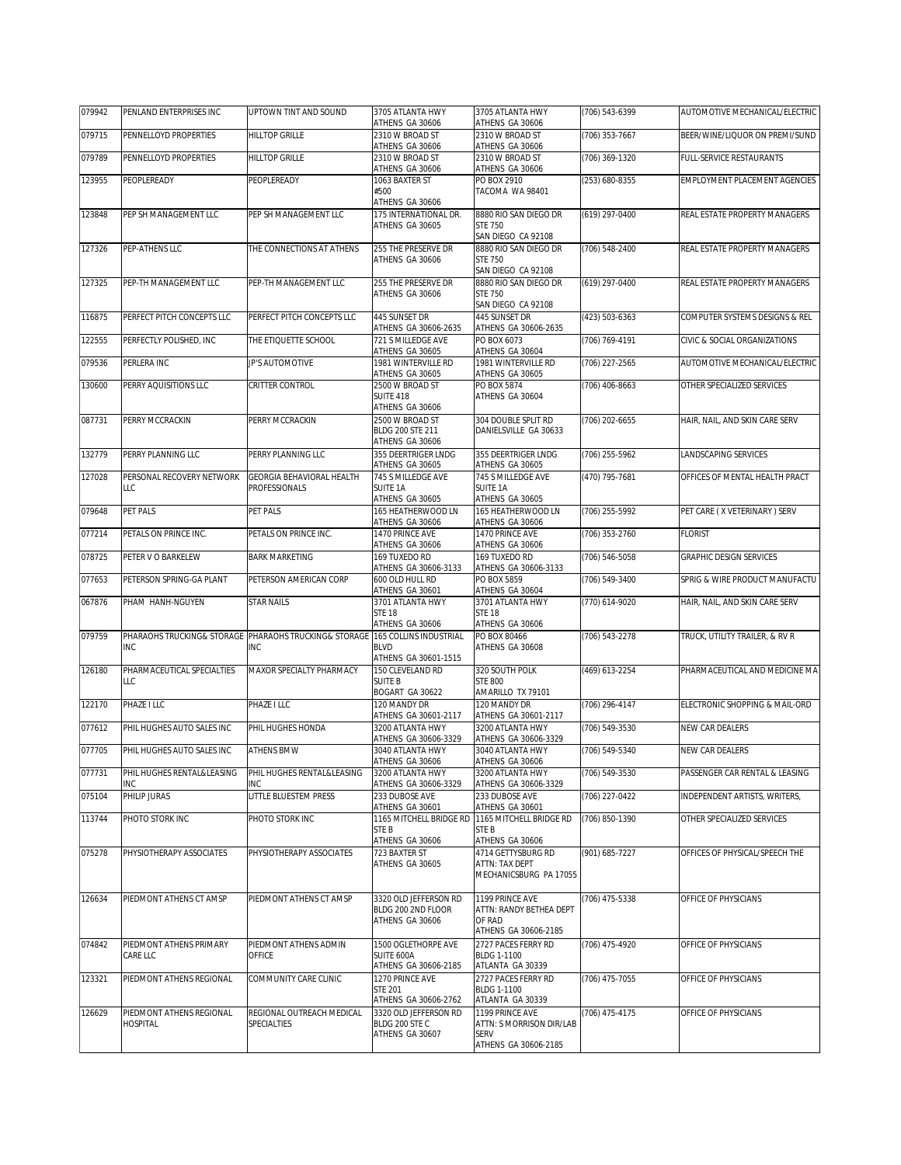| 079942 | PENLAND ENTERPRISES INC                     | UPTOWN TINT AND SOUND                                               | 3705 ATLANTA HWY<br>ATHENS GA 30606         | 3705 ATLANTA HWY<br>ATHENS GA 30606         | (706) 543-6399   | AUTOMOTIVE MECHANICAL/ELECTRIC       |
|--------|---------------------------------------------|---------------------------------------------------------------------|---------------------------------------------|---------------------------------------------|------------------|--------------------------------------|
| 079715 | PENNELLOYD PROPERTIES                       | <b>HILLTOP GRILLE</b>                                               | 2310 W BROAD ST                             | 2310 W BROAD ST                             | (706) 353-7667   | BEER/WINE/LIQUOR ON PREMI/SUND       |
| 079789 | PENNELLOYD PROPERTIES                       | <b>HILLTOP GRILLE</b>                                               | ATHENS GA 30606<br>2310 W BROAD ST          | ATHENS GA 30606<br>2310 W BROAD ST          | (706) 369-1320   | FULL-SERVICE RESTAURANTS             |
| 123955 | PEOPLEREADY                                 | PEOPLEREADY                                                         | ATHENS GA 30606<br>1063 BAXTER ST           | ATHENS GA 30606<br>PO BOX 2910              | (253) 680-8355   | <b>EMPLOYMENT PLACEMENT AGENCIES</b> |
|        |                                             |                                                                     | #500<br>ATHENS GA 30606                     | TACOMA WA 98401                             |                  |                                      |
| 123848 | PEP SH MANAGEMENT LLC                       | PEP SH MANAGEMENT LLC                                               | 175 INTERNATIONAL DR.<br>ATHENS GA 30605    | 8880 RIO SAN DIEGO DR<br><b>STE 750</b>     | $(619)$ 297-0400 | REAL ESTATE PROPERTY MANAGERS        |
|        |                                             |                                                                     |                                             | SAN DIEGO CA 92108                          |                  |                                      |
| 127326 | PEP-ATHENS LLC                              | THE CONNECTIONS AT ATHENS                                           | 255 THE PRESERVE DR<br>ATHENS GA 30606      | 8880 RIO SAN DIEGO DR<br><b>STE 750</b>     | (706) 548-2400   | REAL ESTATE PROPERTY MANAGERS        |
| 127325 | PEP-TH MANAGEMENT LLC                       | PEP-TH MANAGEMENT LLC                                               | 255 THE PRESERVE DR                         | SAN DIEGO CA 92108<br>8880 RIO SAN DIEGO DR | (619) 297-0400   | REAL ESTATE PROPERTY MANAGERS        |
|        |                                             |                                                                     | ATHENS GA 30606                             | <b>STE 750</b><br>SAN DIEGO CA 92108        |                  |                                      |
| 116875 | PERFECT PITCH CONCEPTS LLC                  | PERFECT PITCH CONCEPTS LLC                                          | 445 SUNSET DR<br>ATHENS GA 30606-2635       | 445 SUNSET DR<br>ATHENS GA 30606-2635       | (423) 503-6363   | COMPUTER SYSTEMS DESIGNS & REL       |
| 122555 | PERFECTLY POLISHED, INC                     | THE ETIQUETTE SCHOOL                                                | 721 S MILLEDGE AVE                          | PO BOX 6073                                 | (706) 769-4191   | CIVIC & SOCIAL ORGANIZATIONS         |
| 079536 | PERLERA INC                                 | JP'S AUTOMOTIVE                                                     | ATHENS GA 30605<br>1981 WINTERVILLE RD      | ATHENS GA 30604<br>1981 WINTERVILLE RD      | (706) 227-2565   | AUTOMOTIVE MECHANICAL/ELECTRIC       |
| 130600 | PERRY AQUISITIONS LLC                       | CRITTER CONTROL                                                     | ATHENS GA 30605<br>2500 W BROAD ST          | ATHENS GA 30605<br>PO BOX 5874              | (706) 406-8663   | OTHER SPECIALIZED SERVICES           |
|        |                                             |                                                                     | <b>SUITE 418</b><br>ATHENS GA 30606         | ATHENS GA 30604                             |                  |                                      |
| 087731 | PERRY MCCRACKIN                             | PERRY MCCRACKIN                                                     | 2500 W BROAD ST<br>BLDG 200 STE 211         | 304 DOUBLE SPLIT RD                         | (706) 202-6655   | HAIR, NAIL, AND SKIN CARE SERV       |
|        |                                             |                                                                     | ATHENS GA 30606                             | DANIELSVILLE GA 30633                       |                  |                                      |
| 132779 | PERRY PLANNING LLC                          | PERRY PLANNING LLC                                                  | 355 DEERTRIGER LNDG<br>ATHENS GA 30605      | 355 DEERTRIGER LNDG<br>ATHENS GA 30605      | $(706)$ 255-5962 | LANDSCAPING SERVICES                 |
| 127028 | PERSONAL RECOVERY NETWORK<br>LLC            | <b>GEORGIA BEHAVIORAL HEALTH</b><br>PROFESSIONALS                   | 745 S MILLEDGE AVE<br>SUITE 1A              | 745 S MILLEDGE AVE<br>SUITE 1A              | (470) 795-7681   | OFFICES OF MENTAL HEALTH PRACT       |
|        |                                             |                                                                     | ATHENS GA 30605                             | ATHENS GA 30605                             |                  |                                      |
| 079648 | PET PALS                                    | PET PALS                                                            | 165 HEATHERWOOD LN<br>ATHENS GA 30606       | 165 HEATHERWOOD LN<br>ATHENS GA 30606       | (706) 255-5992   | PET CARE (X VETERINARY) SERV         |
| 077214 | PETALS ON PRINCE INC.                       | PETALS ON PRINCE INC.                                               | 1470 PRINCE AVE<br>ATHENS GA 30606          | 1470 PRINCE AVE<br>ATHENS GA 30606          | $(706)$ 353-2760 | <b>FLORIST</b>                       |
| 078725 | PETER V O BARKELEW                          | <b>BARK MARKETING</b>                                               | 169 TUXEDO RD<br>ATHENS GA 30606-3133       | 169 TUXEDO RD<br>ATHENS GA 30606-3133       | (706) 546-5058   | <b>GRAPHIC DESIGN SERVICES</b>       |
| 077653 | PETERSON SPRING-GA PLANT                    | PETERSON AMERICAN CORP                                              | 600 OLD HULL RD                             | PO BOX 5859                                 | (706) 549-3400   | SPRIG & WIRE PRODUCT MANUFACTU       |
| 067876 | PHAM HANH-NGUYEN                            | <b>STAR NAILS</b>                                                   | ATHENS GA 30601<br>3701 ATLANTA HWY         | ATHENS GA 30604<br>3701 ATLANTA HWY         | (770) 614-9020   | HAIR, NAIL, AND SKIN CARE SERV       |
|        |                                             |                                                                     | <b>STE 18</b><br>ATHENS GA 30606            | <b>STE 18</b><br>ATHENS GA 30606            |                  |                                      |
| 079759 | <b>INC</b>                                  | PHARAOHS TRUCKING& STORAGE PHARAOHS TRUCKING& STORAGE<br><b>INC</b> | 165 COLLINS INDUSTRIAL<br><b>BLVD</b>       | PO BOX 80466<br>ATHENS GA 30608             | (706) 543-2278   | TRUCK, UTILITY TRAILER, & RV R       |
| 126180 | PHARMACEUTICAL SPECIALTIES                  |                                                                     | ATHENS GA 30601-1515<br>150 CLEVELAND RD    | 320 SOUTH POLK                              |                  |                                      |
|        | LLC                                         | MAXOR SPECIALTY PHARMACY                                            | <b>SUITE B</b>                              | <b>STE 800</b>                              | (469) 613-2254   | PHARMACEUTICAL AND MEDICINE MA       |
| 122170 | PHAZE I LLC                                 | PHAZE I LLC                                                         | BOGART GA 30622<br>120 MANDY DR             | AMARILLO TX 79101<br>120 MANDY DR           | (706) 296-4147   | ELECTRONIC SHOPPING & MAIL-ORD       |
| 077612 | PHIL HUGHES AUTO SALES INC                  | PHIL HUGHES HONDA                                                   | ATHENS GA 30601-2117<br>3200 ATLANTA HWY    | ATHENS GA 30601-2117<br>3200 ATLANTA HWY    | (706) 549-3530   | NEW CAR DEALERS                      |
| 077705 | PHIL HUGHES AUTO SALES INC                  | <b>ATHENS BMW</b>                                                   | ATHENS GA 30606-3329<br>3040 ATLANTA HWY    | ATHENS GA 30606-3329<br>3040 ATLANTA HWY    | (706) 549-5340   | NEW CAR DEALERS                      |
|        |                                             |                                                                     | ATHENS GA 30606                             | ATHENS GA 30606                             |                  |                                      |
| 077731 | PHIL HUGHES RENTAL&LEASING<br>INC           | PHIL HUGHES RENTAL&LEASING<br>INC                                   | 3200 ATLANTA HWY<br>ATHENS GA 30606-3329    | 3200 ATLANTA HWY<br>ATHENS GA 30606-3329    | (706) 549-3530   | PASSENGER CAR RENTAL & LEASING       |
| 075104 | PHILIP JURAS                                | LITTLE BLUESTEM PRESS                                               | 233 DUBOSE AVE<br>ATHENS GA 30601           | 233 DUBOSE AVE<br>ATHENS GA 30601           | (706) 227-0422   | INDEPENDENT ARTISTS, WRITERS,        |
| 113744 | PHOTO STORK INC                             | PHOTO STORK INC                                                     | 1165 MITCHELL BRIDGE RD<br>STE B            | 1165 MITCHELL BRIDGE RD<br>STE B            | (706) 850-1390   | OTHER SPECIALIZED SERVICES           |
|        |                                             |                                                                     | ATHENS GA 30606                             | ATHENS GA 30606                             |                  |                                      |
| 075278 | PHYSIOTHERAPY ASSOCIATES                    | PHYSIOTHERAPY ASSOCIATES                                            | 723 BAXTER ST<br>ATHENS GA 30605            | 4714 GETTYSBURG RD<br>ATTN: TAX DEPT        | (901) 685-7227   | OFFICES OF PHYSICAL/SPEECH THE       |
|        |                                             |                                                                     |                                             | MECHANICSBURG PA 17055                      |                  |                                      |
| 126634 | PIEDMONT ATHENS CT AMSP                     | PIEDMONT ATHENS CT AMSP                                             | 3320 OLD JEFFERSON RD<br>BLDG 200 2ND FLOOR | 1199 PRINCE AVE<br>ATTN: RANDY BETHEA DEPT  | (706) 475-5338   | OFFICE OF PHYSICIANS                 |
|        |                                             |                                                                     | ATHENS GA 30606                             | OF RAD                                      |                  |                                      |
| 074842 | PIEDMONT ATHENS PRIMARY                     | PIEDMONT ATHENS ADMIN                                               | 1500 OGLETHORPE AVE                         | ATHENS GA 30606-2185<br>2727 PACES FERRY RD | (706) 475-4920   | OFFICE OF PHYSICIANS                 |
|        | <b>CARE LLC</b>                             | OFFICE                                                              | SUITE 600A<br>ATHENS GA 30606-2185          | BLDG 1-1100<br>ATLANTA GA 30339             |                  |                                      |
| 123321 | PIEDMONT ATHENS REGIONAL                    | COMMUNITY CARE CLINIC                                               | 1270 PRINCE AVE<br><b>STE 201</b>           | 2727 PACES FERRY RD<br><b>BLDG 1-1100</b>   | (706) 475-7055   | OFFICE OF PHYSICIANS                 |
|        |                                             | REGIONAL OUTREACH MEDICAL                                           | ATHENS GA 30606-2762                        | ATLANTA GA 30339                            |                  |                                      |
| 126629 | PIEDMONT ATHENS REGIONAL<br><b>HOSPITAL</b> | SPECIALTIES                                                         | 3320 OLD JEFFERSON RD<br>BLDG 200 STEC      | 1199 PRINCE AVE<br>ATTN: S MORRISON DIR/LAB | (706) 475-4175   | OFFICE OF PHYSICIANS                 |
|        |                                             |                                                                     | ATHENS GA 30607                             | <b>SERV</b><br>ATHENS GA 30606-2185         |                  |                                      |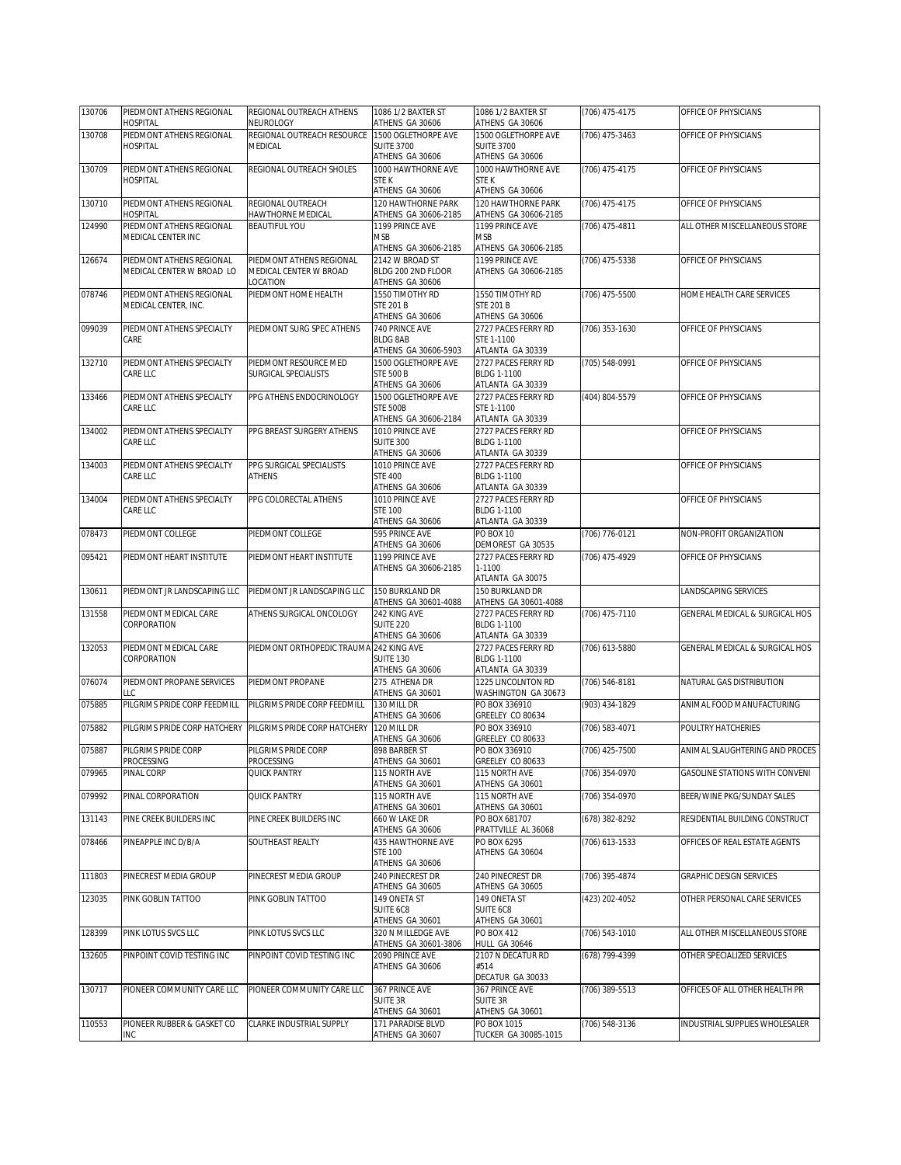| 130706 | PIEDMONT ATHENS REGIONAL                              | REGIONAL OUTREACH ATHENS                           | 1086 1/2 BAXTER ST                         | 1086 1/2 BAXTER ST                          | (706) 475-4175 | OFFICE OF PHYSICIANS           |
|--------|-------------------------------------------------------|----------------------------------------------------|--------------------------------------------|---------------------------------------------|----------------|--------------------------------|
|        | HOSPITAL                                              | NEUROLOGY                                          | ATHENS GA 30606                            | ATHENS GA 30606                             |                |                                |
| 130708 | PIEDMONT ATHENS REGIONAL                              | REGIONAL OUTREACH RESOURCE                         | 1500 OGLETHORPE AVE                        | 1500 OGLETHORPE AVE                         | (706) 475-3463 | OFFICE OF PHYSICIANS           |
|        | <b>HOSPITAL</b>                                       | <b>MEDICAL</b>                                     | <b>SUITE 3700</b>                          | <b>SUITE 3700</b>                           |                |                                |
|        |                                                       |                                                    | ATHENS GA 30606                            | ATHENS GA 30606                             |                |                                |
| 130709 | PIEDMONT ATHENS REGIONAL                              | REGIONAL OUTREACH SHOLES                           | 1000 HAWTHORNE AVE                         | 1000 HAWTHORNE AVE                          | (706) 475-4175 | OFFICE OF PHYSICIANS           |
|        | <b>HOSPITAL</b>                                       |                                                    | STE K<br>ATHENS GA 30606                   | <b>STEK</b><br>ATHENS GA 30606              |                |                                |
| 130710 | PIEDMONT ATHENS REGIONAL                              | REGIONAL OUTREACH                                  | 120 HAWTHORNE PARK                         | 120 HAWTHORNE PARK                          | (706) 475-4175 | OFFICE OF PHYSICIANS           |
|        | <b>HOSPITAL</b>                                       | HAWTHORNE MEDICAL                                  | ATHENS GA 30606-2185                       | ATHENS GA 30606-2185                        |                |                                |
| 124990 | PIEDMONT ATHENS REGIONAL                              | <b>BEAUTIFUL YOU</b>                               | 1199 PRINCE AVE                            | 1199 PRINCE AVE                             | (706) 475-4811 | ALL OTHER MISCELLANEOUS STORE  |
|        | MEDICAL CENTER INC                                    |                                                    | MSB                                        | <b>MSB</b>                                  |                |                                |
|        |                                                       |                                                    | ATHENS GA 30606-2185                       | ATHENS GA 30606-2185                        |                |                                |
| 126674 | PIEDMONT ATHENS REGIONAL<br>MEDICAL CENTER W BROAD LO | PIEDMONT ATHENS REGIONAL<br>MEDICAL CENTER W BROAD | 2142 W BROAD ST<br>BLDG 200 2ND FLOOR      | 1199 PRINCE AVE<br>ATHENS GA 30606-2185     | (706) 475-5338 | OFFICE OF PHYSICIANS           |
|        |                                                       | LOCATION                                           | ATHENS GA 30606                            |                                             |                |                                |
| 078746 | PIEDMONT ATHENS REGIONAL                              | PIEDMONT HOME HEALTH                               | 1550 TIMOTHY RD                            | 1550 TIMOTHY RD                             | (706) 475-5500 | HOME HEALTH CARE SERVICES      |
|        | MEDICAL CENTER, INC.                                  |                                                    | <b>STE 201 B</b>                           | <b>STE 201 B</b>                            |                |                                |
|        |                                                       |                                                    | ATHENS GA 30606                            | ATHENS GA 30606                             |                |                                |
| 099039 | PIEDMONT ATHENS SPECIALTY                             | PIEDMONT SURG SPEC ATHENS                          | 740 PRINCE AVE                             | 2727 PACES FERRY RD                         | (706) 353-1630 | OFFICE OF PHYSICIANS           |
|        | CARE                                                  |                                                    | <b>BLDG 8AB</b><br>ATHENS GA 30606-5903    | STE 1-1100<br>ATLANTA GA 30339              |                |                                |
| 132710 | PIEDMONT ATHENS SPECIALTY                             | PIEDMONT RESOURCE MED                              | 1500 OGLETHORPE AVE                        | 2727 PACES FERRY RD                         | (705) 548-0991 | OFFICE OF PHYSICIANS           |
|        | CARE LLC                                              | SURGICAL SPECIALISTS                               | <b>STE 500 B</b>                           | BLDG 1-1100                                 |                |                                |
|        |                                                       |                                                    | ATHENS GA 30606                            | ATLANTA GA 30339                            |                |                                |
| 133466 | PIEDMONT ATHENS SPECIALTY                             | PPG ATHENS ENDOCRINOLOGY                           | 1500 OGLETHORPE AVE                        | 2727 PACES FERRY RD                         | (404) 804-5579 | OFFICE OF PHYSICIANS           |
|        | CARE LLC                                              |                                                    | <b>STE 500B</b>                            | STE 1-1100                                  |                |                                |
|        |                                                       |                                                    | ATHENS GA 30606-2184                       | ATLANTA GA 30339                            |                |                                |
| 134002 | PIEDMONT ATHENS SPECIALTY<br>CARE LLC                 | PPG BREAST SURGERY ATHENS                          | 1010 PRINCE AVE<br><b>SUITE 300</b>        | 2727 PACES FERRY RD<br>BLDG 1-1100          |                | OFFICE OF PHYSICIANS           |
|        |                                                       |                                                    | ATHENS GA 30606                            | ATLANTA GA 30339                            |                |                                |
| 134003 | PIEDMONT ATHENS SPECIALTY                             | PPG SURGICAL SPECIALISTS                           | 1010 PRINCE AVE                            | 2727 PACES FERRY RD                         |                | OFFICE OF PHYSICIANS           |
|        | CARE LLC                                              | <b>ATHENS</b>                                      | <b>STE 400</b>                             | BLDG 1-1100                                 |                |                                |
|        |                                                       |                                                    | ATHENS GA 30606                            | ATLANTA GA 30339                            |                |                                |
| 134004 | PIEDMONT ATHENS SPECIALTY                             | PPG COLORECTAL ATHENS                              | 1010 PRINCE AVE                            | 2727 PACES FERRY RD                         |                | OFFICE OF PHYSICIANS           |
|        | CARE LLC                                              |                                                    | <b>STE 100</b>                             | BLDG 1-1100                                 |                |                                |
| 078473 | PIEDMONT COLLEGE                                      | PIEDMONT COLLEGE                                   | ATHENS GA 30606<br>595 PRINCE AVE          | ATLANTA GA 30339<br>PO BOX 10               | (706) 776-0121 | NON-PROFIT ORGANIZATION        |
|        |                                                       |                                                    | ATHENS GA 30606                            | DEMOREST GA 30535                           |                |                                |
| 095421 | PIEDMONT HEART INSTITUTE                              | PIEDMONT HEART INSTITUTE                           | 1199 PRINCE AVE                            | 2727 PACES FERRY RD                         | (706) 475-4929 | OFFICE OF PHYSICIANS           |
|        |                                                       |                                                    | ATHENS GA 30606-2185                       | 1-1100                                      |                |                                |
|        |                                                       |                                                    |                                            | ATLANTA GA 30075                            |                |                                |
| 130611 | PIEDMONT JR LANDSCAPING LLC                           | PIEDMONT JR LANDSCAPING LLC                        | 150 BURKLAND DR                            | 150 BURKLAND DR                             |                | LANDSCAPING SERVICES           |
| 131558 | PIEDMONT MEDICAL CARE                                 | ATHENS SURGICAL ONCOLOGY                           | ATHENS GA 30601-4088<br>242 KING AVE       | ATHENS GA 30601-4088<br>2727 PACES FERRY RD | (706) 475-7110 | GENERAL MEDICAL & SURGICAL HOS |
|        | CORPORATION                                           |                                                    | <b>SUITE 220</b>                           | BLDG 1-1100                                 |                |                                |
|        |                                                       |                                                    | ATHENS GA 30606                            | ATLANTA GA 30339                            |                |                                |
| 132053 | PIEDMONT MEDICAL CARE                                 | PIEDMONT ORTHOPEDIC TRAUMA 242 KING AVE            |                                            | 2727 PACES FERRY RD                         | (706) 613-5880 | GENERAL MEDICAL & SURGICAL HOS |
|        | CORPORATION                                           |                                                    | <b>SUITE 130</b>                           | BLDG 1-1100                                 |                |                                |
|        |                                                       |                                                    | ATHENS GA 30606                            | ATLANTA GA 30339                            |                |                                |
| 076074 | PIEDMONT PROPANE SERVICES<br>LLC                      | PIEDMONT PROPANE                                   | 275 ATHENA DR<br>ATHENS GA 30601           | 1225 LINCOLNTON RD<br>WASHINGTON GA 30673   | (706) 546-8181 | NATURAL GAS DISTRIBUTION       |
| 075885 | PILGRIMS PRIDE CORP FEEDMILL                          | PILGRIMS PRIDE CORP FEEDMILL                       | 130 MILL DR                                | PO BOX 336910                               | (903) 434-1829 | ANIMAL FOOD MANUFACTURING      |
|        |                                                       |                                                    | ATHENS GA 30606                            | GREELEY CO 80634                            |                |                                |
| 075882 | PILGRIMS PRIDE CORP HATCHERY                          | PILGRIMS PRIDE CORP HATCHERY                       | 120 MILL DR                                | PO BOX 336910                               | (706) 583-4071 | POULTRY HATCHERIES             |
|        |                                                       |                                                    | ATHENS GA 30606                            | GREELEY CO 80633                            |                |                                |
| 075887 | PILGRIMS PRIDE CORP                                   | PILGRIMS PRIDE CORP                                | 898 BARBER ST                              | PO BOX 336910                               | (706) 425-7500 | ANIMAL SLAUGHTERING AND PROCES |
|        | <b>PROCESSING</b>                                     | PROCESSING                                         | ATHENS GA 30601                            | GREELEY CO 80633                            | (706) 354-0970 |                                |
| 079965 | PINAL CORP                                            | QUICK PANTRY                                       | 115 NORTH AVE<br>ATHENS GA 30601           | 115 NORTH AVE<br>ATHENS GA 30601            |                | GASOLINE STATIONS WITH CONVENI |
| 079992 | PINAL CORPORATION                                     | QUICK PANTRY                                       | 115 NORTH AVE                              | <b>115 NORTH AVE</b>                        | (706) 354-0970 | BEER/WINE PKG/SUNDAY SALES     |
|        |                                                       |                                                    | ATHENS GA 30601                            | ATHENS GA 30601                             |                |                                |
| 131143 | PINE CREEK BUILDERS INC                               | PINE CREEK BUILDERS INC                            | 660 W LAKE DR                              | PO BOX 681707                               | (678) 382-8292 | RESIDENTIAL BUILDING CONSTRUCT |
|        |                                                       |                                                    | ATHENS GA 30606                            | PRATTVILLE AL 36068                         |                |                                |
| 078466 | PINEAPPLE INC D/B/A                                   | SOUTHEAST REALTY                                   | 435 HAWTHORNE AVE<br><b>STE 100</b>        | PO BOX 6295<br>ATHENS GA 30604              | (706) 613-1533 | OFFICES OF REAL ESTATE AGENTS  |
|        |                                                       |                                                    | ATHENS GA 30606                            |                                             |                |                                |
| 111803 | PINECREST MEDIA GROUP                                 | PINECREST MEDIA GROUP                              | 240 PINFCREST DR                           | 240 PINECREST DR                            | (706) 395-4874 | GRAPHIC DESIGN SERVICES        |
|        |                                                       |                                                    | ATHENS GA 30605                            | ATHENS GA 30605                             |                |                                |
| 123035 | PINK GOBLIN TATTOO                                    | PINK GOBLIN TATTOO                                 | 149 ONETA ST                               | 149 ONETA ST                                | (423) 202-4052 | OTHER PERSONAL CARE SERVICES   |
|        |                                                       |                                                    | SUITE 6C8                                  | SUITE 6C8                                   |                |                                |
|        |                                                       |                                                    | ATHENS GA 30601                            | ATHENS GA 30601                             |                |                                |
| 128399 | PINK LOTUS SVCS LLC                                   | PINK LOTUS SVCS LLC                                | 320 N MILLEDGE AVE<br>ATHENS GA 30601-3806 | PO BOX 412<br>HULL GA 30646                 | (706) 543-1010 | ALL OTHER MISCELLANEOUS STORE  |
| 132605 | PINPOINT COVID TESTING INC                            | PINPOINT COVID TESTING INC                         | 2090 PRINCE AVE                            | 2107 N DECATUR RD                           | (678) 799-4399 | OTHER SPECIALIZED SERVICES     |
|        |                                                       |                                                    | ATHENS GA 30606                            | #514                                        |                |                                |
|        |                                                       |                                                    |                                            | DECATUR GA 30033                            |                |                                |
| 130717 | PIONEER COMMUNITY CARE LLC                            | PIONEER COMMUNITY CARE LLC                         | 367 PRINCE AVE                             | 367 PRINCE AVE                              | (706) 389-5513 | OFFICES OF ALL OTHER HEALTH PR |
|        |                                                       |                                                    | SUITE 3R<br>ATHENS GA 30601                | <b>SUITE 3R</b><br>ATHENS GA 30601          |                |                                |
| 110553 | PIONEER RUBBER & GASKET CO                            | CLARKE INDUSTRIAL SUPPLY                           | 171 PARADISE BLVD                          | PO BOX 1015                                 | (706) 548-3136 | INDUSTRIAL SUPPLIES WHOLESALER |
|        | INC                                                   |                                                    | ATHENS GA 30607                            | TUCKER GA 30085-1015                        |                |                                |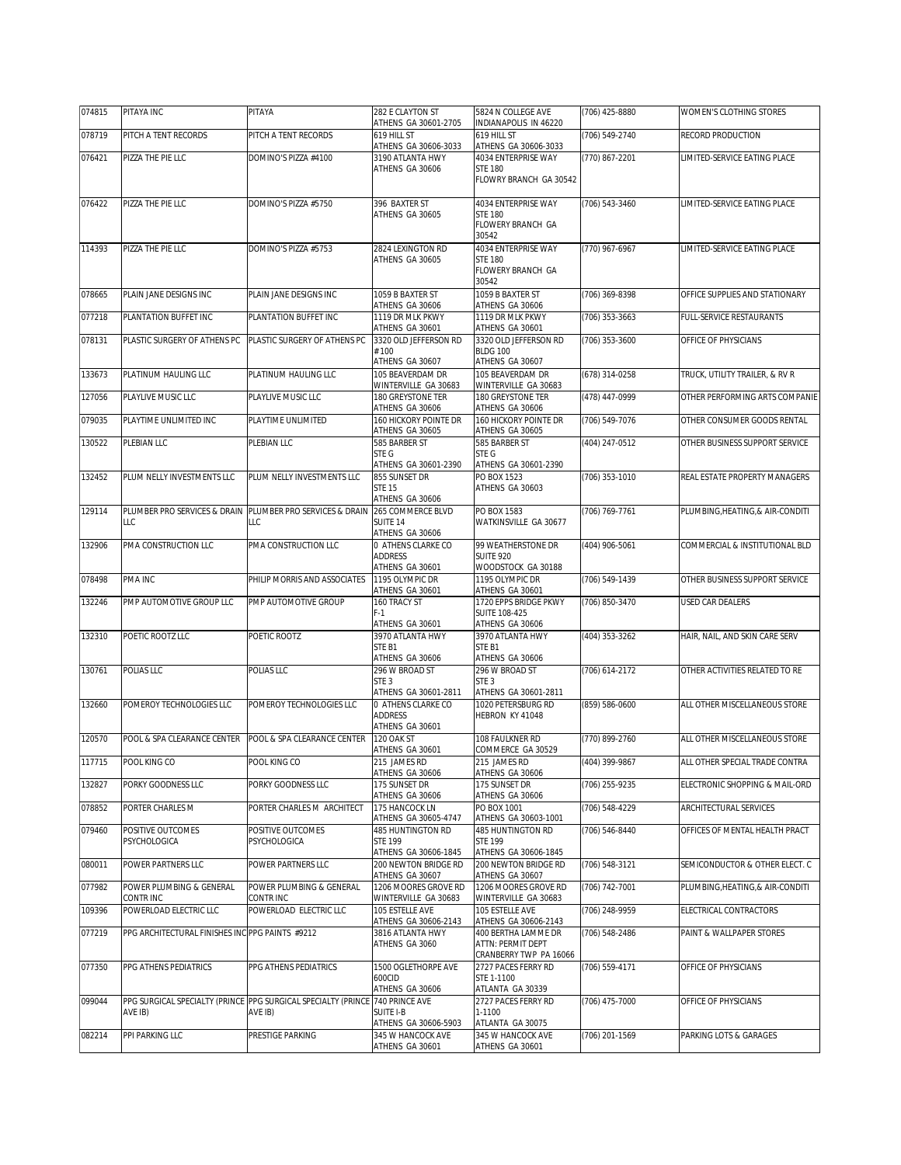| 074815 | PITAYA INC                                      | PITAYA                                                                                  | 282 E CLAYTON ST<br>ATHENS GA 30601-2705                    | 5824 N COLLEGE AVE<br>INDIANAPOLIS IN 46220                         | (706) 425-8880 | WOMEN'S CLOTHING STORES          |
|--------|-------------------------------------------------|-----------------------------------------------------------------------------------------|-------------------------------------------------------------|---------------------------------------------------------------------|----------------|----------------------------------|
| 078719 | PITCH A TENT RECORDS                            | PITCH A TENT RECORDS                                                                    | 619 HILL ST                                                 | 619 HILL ST                                                         | (706) 549-2740 | RECORD PRODUCTION                |
| 076421 | PIZZA THE PIE LLC                               | DOMINO'S PIZZA #4100                                                                    | ATHENS GA 30606-3033<br>3190 ATLANTA HWY                    | ATHENS GA 30606-3033<br>4034 ENTERPRISE WAY                         | (770) 867-2201 | LIMITED-SERVICE EATING PLACE     |
|        |                                                 |                                                                                         | ATHENS GA 30606                                             | <b>STE 180</b><br>FLOWRY BRANCH GA 30542                            |                |                                  |
| 076422 | PIZZA THE PIE LLC                               | DOMINO'S PIZZA #5750                                                                    | 396 BAXTER ST<br>ATHENS GA 30605                            | 4034 ENTERPRISE WAY<br><b>STE 180</b><br>FLOWERY BRANCH GA<br>30542 | (706) 543-3460 | LIMITED-SERVICE EATING PLACE     |
| 114393 | PIZZA THE PIE LLC                               | DOMINO'S PIZZA #5753                                                                    | 2824 LEXINGTON RD<br>ATHENS GA 30605                        | 4034 ENTERPRISE WAY<br><b>STE 180</b><br>FLOWERY BRANCH GA<br>30542 | (770) 967-6967 | LIMITED-SERVICE EATING PLACE     |
| 078665 | PLAIN JANE DESIGNS INC                          | PLAIN JANE DESIGNS INC                                                                  | 1059 B BAXTER ST<br>ATHENS GA 30606                         | 1059 B BAXTER ST<br>ATHENS GA 30606                                 | (706) 369-8398 | OFFICE SUPPLIES AND STATIONARY   |
| 077218 | PLANTATION BUFFET INC                           | PLANTATION BUFFET INC                                                                   | 1119 DR MLK PKWY<br>ATHENS GA 30601                         | 1119 DR MLK PKWY<br>ATHENS GA 30601                                 | (706) 353-3663 | <b>FULL-SERVICE RESTAURANTS</b>  |
| 078131 | PLASTIC SURGERY OF ATHENS PC                    | PLASTIC SURGERY OF ATHENS PC                                                            | 3320 OLD JEFFERSON RD<br># 100<br>ATHENS GA 30607           | 3320 OLD JEFFERSON RD<br><b>BLDG 100</b><br>ATHENS GA 30607         | (706) 353-3600 | OFFICE OF PHYSICIANS             |
| 133673 | PLATINUM HAULING LLC                            | PLATINUM HAULING LLC                                                                    | 105 BEAVERDAM DR<br>WINTERVILLE GA 30683                    | 105 BEAVERDAM DR<br>WINTERVILLE GA 30683                            | (678) 314-0258 | TRUCK, UTILITY TRAILER, & RV R   |
| 127056 | PLAYLIVE MUSIC LLC                              | PLAYLIVE MUSIC LLC                                                                      | 180 GREYSTONE TER<br>ATHENS GA 30606                        | 180 GREYSTONE TER<br>ATHENS GA 30606                                | (478) 447-0999 | OTHER PERFORMING ARTS COMPANIE   |
| 079035 | PLAYTIME UNLIMITED INC                          | PLAYTIME UNLIMITED                                                                      | 160 HICKORY POINTE DR<br>ATHENS GA 30605                    | 160 HICKORY POINTE DR<br>ATHENS GA 30605                            | (706) 549-7076 | OTHER CONSUMER GOODS RENTAL      |
| 130522 | PLEBIAN LLC                                     | PLEBIAN LLC                                                                             | 585 BARBER ST<br>STE G<br>ATHENS GA 30601-2390              | 585 BARBER ST<br>STE G<br>ATHENS GA 30601-2390                      | (404) 247-0512 | OTHER BUSINESS SUPPORT SERVICE   |
| 132452 | PLUM NELLY INVESTMENTS LLC                      | PLUM NELLY INVESTMENTS LLC                                                              | 855 SUNSET DR<br><b>STE 15</b><br>ATHENS GA 30606           | PO BOX 1523<br>ATHENS GA 30603                                      | (706) 353-1010 | REAL ESTATE PROPERTY MANAGERS    |
| 129114 | LLC                                             | PLUMBER PRO SERVICES & DRAIN PLUMBER PRO SERVICES & DRAIN<br>LLC                        | 265 COMMERCE BLVD<br>SUITE 14<br>ATHENS GA 30606            | PO BOX 1583<br>WATKINSVILLE GA 30677                                | (706) 769-7761 | PLUMBING, HEATING, & AIR-CONDITI |
| 132906 | PMA CONSTRUCTION LLC                            | PMA CONSTRUCTION LLC                                                                    | 0 ATHENS CLARKE CO<br><b>ADDRESS</b><br>ATHENS GA 30601     | 99 WEATHERSTONE DR<br><b>SUITE 920</b><br>WOODSTOCK GA 30188        | (404) 906-5061 | COMMERCIAL & INSTITUTIONAL BLD   |
| 078498 | PMA INC                                         | PHILIP MORRIS AND ASSOCIATES                                                            | 1195 OLYMPIC DR<br>ATHENS GA 30601                          | 1195 OLYMPIC DR<br>ATHENS GA 30601                                  | (706) 549-1439 | OTHER BUSINESS SUPPORT SERVICE   |
| 132246 | PMP AUTOMOTIVE GROUP LLC                        | PMP AUTOMOTIVE GROUP                                                                    | 160 TRACY ST<br>F-1<br>ATHENS GA 30601                      | 1720 EPPS BRIDGE PKWY<br><b>SUITE 108-425</b><br>ATHENS GA 30606    | (706) 850-3470 | USED CAR DEALERS                 |
| 132310 | POETIC ROOTZ LLC                                | POETIC ROOTZ                                                                            | 3970 ATLANTA HWY<br>STE B1<br>ATHENS GA 30606               | 3970 ATLANTA HWY<br>STE B1<br>ATHENS GA 30606                       | (404) 353-3262 | HAIR, NAIL, AND SKIN CARE SERV   |
| 130761 | POLIAS LLC                                      | POLIAS LLC                                                                              | 296 W BROAD ST<br>STE <sub>3</sub><br>ATHENS GA 30601-2811  | 296 W BROAD ST<br>STE <sub>3</sub><br>ATHENS GA 30601-2811          | (706) 614-2172 | OTHER ACTIVITIES RELATED TO RE   |
| 132660 | POMEROY TECHNOLOGIES LLC                        | POMEROY TECHNOLOGIES LLC                                                                | 0 ATHENS CLARKE CO<br><b>ADDRESS</b><br>ATHENS GA 30601     | 1020 PETERSBURG RD<br>HEBRON KY 41048                               | (859) 586-0600 | ALL OTHER MISCELLANEOUS STORE    |
| 120570 | POOL & SPA CLEARANCE CENTER                     | POOL & SPA CLEARANCE CENTER                                                             | 120 OAK ST<br>ATHENS GA 30601                               | 108 FAULKNER RD<br>COMMERCE GA 30529                                | (770) 899-2760 | ALL OTHER MISCELLANEOUS STORE    |
| 117715 | POOL KING CO                                    | POOL KING CO                                                                            | 215 JAMES RD<br>ATHENS GA 30606                             | 215 JAMES RD<br>ATHENS GA 30606                                     | (404) 399-9867 | ALL OTHER SPECIAL TRADE CONTRA   |
| 132827 | PORKY GOODNESS LLC                              | PORKY GOODNESS LLC                                                                      | 175 SUNSET DR<br>ATHENS GA 30606                            | 175 SUNSET DR<br>ATHENS GA 30606                                    | (706) 255-9235 | ELECTRONIC SHOPPING & MAIL-ORD   |
| 078852 | PORTER CHARLES M                                | PORTER CHARLES M ARCHITECT                                                              | 175 HANCOCK LN<br>ATHENS GA 30605-4747                      | PO BOX 1001<br>ATHENS GA 30603-1001                                 | (706) 548-4229 | ARCHITECTURAL SERVICES           |
| 079460 | POSITIVE OUTCOMES<br>PSYCHOLOGICA               | POSITIVE OUTCOMES<br>PSYCHOLOGICA                                                       | 485 HUNTINGTON RD<br><b>STE 199</b><br>ATHENS GA 30606-1845 | 485 HUNTINGTON RD<br><b>STE 199</b><br>ATHENS GA 30606-1845         | (706) 546-8440 | OFFICES OF MENTAL HEALTH PRACT   |
| 080011 | POWER PARTNERS LLC                              | POWER PARTNERS LLC                                                                      | 200 NEWTON BRIDGE RD<br>ATHENS GA 30607                     | 200 NEWTON BRIDGE RD<br>ATHENS GA 30607                             | (706) 548-3121 | SEMICONDUCTOR & OTHER ELECT. C   |
| 077982 | POWER PLUMBING & GENERAL<br>CONTR INC           | POWER PLUMBING & GENERAL<br>CONTR INC                                                   | 1206 MOORES GROVE RD<br>WINTERVILLE GA 30683                | 1206 MOORES GROVE RD<br>WINTERVILLE GA 30683                        | (706) 742-7001 | PLUMBING, HEATING, & AIR-CONDITI |
| 109396 | POWERLOAD ELECTRIC LLC                          | POWERLOAD ELECTRIC LLC                                                                  | 105 ESTELLE AVE<br>ATHENS GA 30606-2143                     | 105 ESTELLE AVE<br>ATHENS GA 30606-2143                             | (706) 248-9959 | ELECTRICAL CONTRACTORS           |
| 077219 | PPG ARCHITECTURAL FINISHES INC PPG PAINTS #9212 |                                                                                         | 3816 ATLANTA HWY<br>ATHENS GA 3060                          | 400 BERTHA LAMME DR<br>ATTN: PERMIT DEPT<br>CRANBERRY TWP PA 16066  | (706) 548-2486 | PAINT & WALLPAPER STORES         |
| 077350 | PPG ATHENS PEDIATRICS                           | PPG ATHENS PEDIATRICS                                                                   | 1500 OGLETHORPE AVE<br>600CID<br>ATHENS GA 30606            | 2727 PACES FERRY RD<br>STE 1-1100<br>ATLANTA GA 30339               | (706) 559-4171 | OFFICE OF PHYSICIANS             |
| 099044 | AVE IB)                                         | PPG SURGICAL SPECIALTY (PRINCE PPG SURGICAL SPECIALTY (PRINCE 740 PRINCE AVE<br>AVE IB) | SUITE I-B<br>ATHENS GA 30606-5903                           | 2727 PACES FERRY RD<br>1-1100<br>ATLANTA GA 30075                   | (706) 475-7000 | OFFICE OF PHYSICIANS             |
| 082214 | PPI PARKING LLC                                 | PRESTIGE PARKING                                                                        | 345 W HANCOCK AVE<br>ATHENS GA 30601                        | 345 W HANCOCK AVE<br>ATHENS GA 30601                                | (706) 201-1569 | PARKING LOTS & GARAGES           |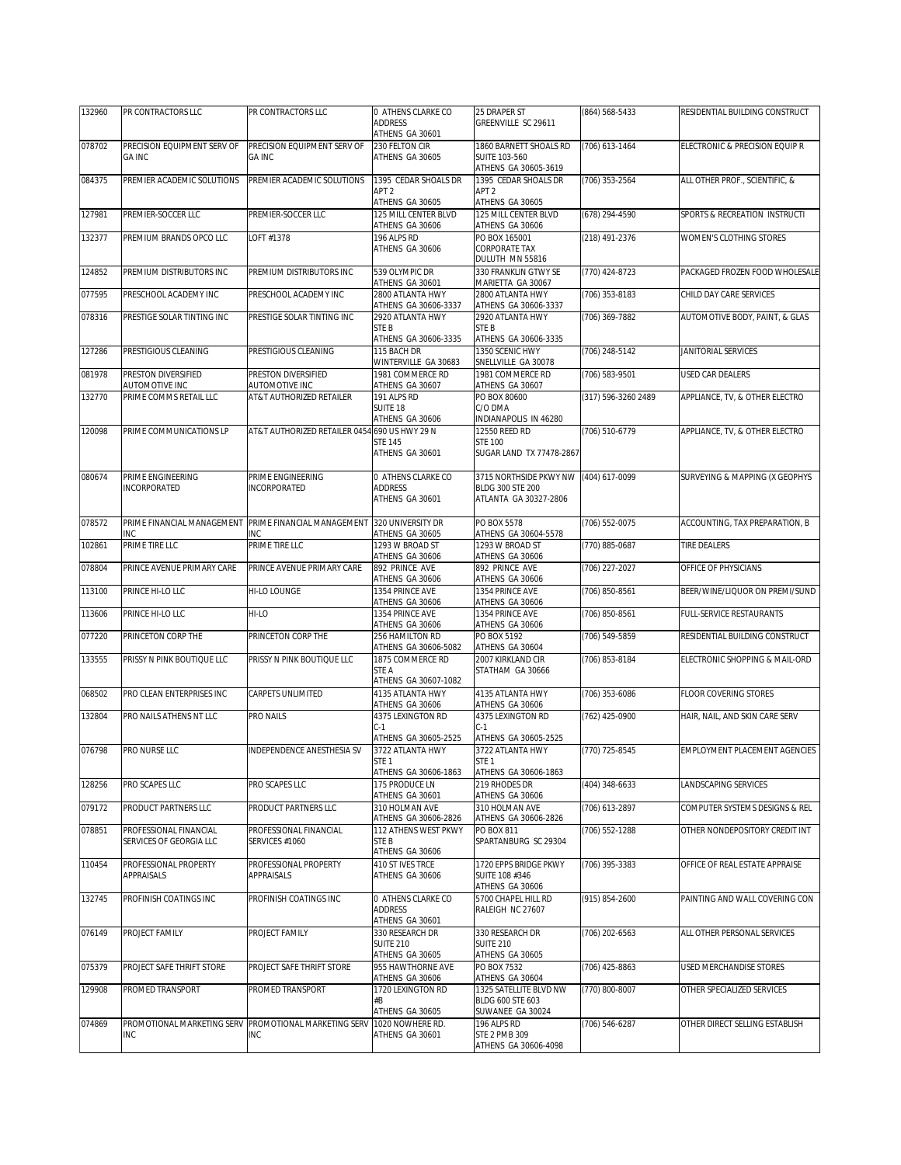| 132960 | PR CONTRACTORS LLC                                | PR CONTRACTORS LLC                                                  | 0 ATHENS CLARKE CO                                                       | 25 DRAPER ST                                                           | (864) 568-5433      | RESIDENTIAL BUILDING CONSTRUCT |
|--------|---------------------------------------------------|---------------------------------------------------------------------|--------------------------------------------------------------------------|------------------------------------------------------------------------|---------------------|--------------------------------|
|        |                                                   |                                                                     | <b>ADDRESS</b><br>ATHENS GA 30601                                        | GREENVILLE SC 29611                                                    |                     |                                |
| 078702 | PRECISION EQUIPMENT SERV OF<br><b>GA INC</b>      | PRECISION EQUIPMENT SERV OF<br><b>GA INC</b>                        | 230 FELTON CIR<br>ATHENS GA 30605                                        | 1860 BARNETT SHOALS RD<br><b>SUITE 103-560</b><br>ATHENS GA 30605-3619 | (706) 613-1464      | ELECTRONIC & PRECISION EQUIP R |
| 084375 | PREMIER ACADEMIC SOLUTIONS                        | PREMIER ACADEMIC SOLUTIONS                                          | 1395 CEDAR SHOALS DR<br>APT <sub>2</sub><br>ATHENS GA 30605              | 1395 CEDAR SHOALS DR<br>APT <sub>2</sub><br>ATHENS GA 30605            | $(706)$ 353-2564    | ALL OTHER PROF., SCIENTIFIC, & |
| 127981 | PREMIER-SOCCER LLC                                | PREMIER-SOCCER LLC                                                  | 125 MILL CENTER BLVD<br>ATHENS GA 30606                                  | 125 MILL CENTER BLVD<br>ATHENS GA 30606                                | (678) 294-4590      | SPORTS & RECREATION INSTRUCTI  |
| 132377 | PREMIUM BRANDS OPCO LLC                           | LOFT #1378                                                          | 196 ALPS RD<br>ATHENS GA 30606                                           | PO BOX 165001<br><b>CORPORATE TAX</b><br>DULUTH MN 55816               | (218) 491-2376      | WOMEN'S CLOTHING STORES        |
| 124852 | PREMIUM DISTRIBUTORS INC                          | PREMIUM DISTRIBUTORS INC                                            | 539 OLYMPIC DR<br>ATHENS GA 30601                                        | 330 FRANKLIN GTWY SE<br>MARIETTA GA 30067                              | (770) 424-8723      | PACKAGED FROZEN FOOD WHOLESALE |
| 077595 | PRESCHOOL ACADEMY INC                             | PRESCHOOL ACADEMY INC                                               | 2800 ATLANTA HWY<br>ATHENS GA 30606-3337                                 | 2800 ATLANTA HWY<br>ATHENS GA 30606-3337                               | (706) 353-8183      | CHILD DAY CARE SERVICES        |
| 078316 | PRESTIGE SOLAR TINTING INC                        | PRESTIGE SOLAR TINTING INC                                          | 2920 ATLANTA HWY<br>STE B<br>ATHENS GA 30606-3335                        | 2920 ATLANTA HWY<br>STE <sub>B</sub><br>ATHENS GA 30606-3335           | (706) 369-7882      | AUTOMOTIVE BODY, PAINT, & GLAS |
| 127286 | PRESTIGIOUS CLEANING                              | PRESTIGIOUS CLEANING                                                | 115 BACH DR<br>WINTERVILLE GA 30683                                      | 1350 SCENIC HWY<br>SNELLVILLE GA 30078                                 | (706) 248-5142      | JANITORIAL SERVICES            |
| 081978 | PRESTON DIVERSIFIED<br>AUTOMOTIVE INC             | PRESTON DIVERSIFIED<br>AUTOMOTIVE INC                               | 1981 COMMERCE RD<br>ATHENS GA 30607                                      | 1981 COMMERCE RD<br>ATHENS GA 30607                                    | (706) 583-9501      | USED CAR DEALERS               |
| 132770 | PRIME COMMS RETAIL LLC                            | AT&T AUTHORIZED RETAILER                                            | 191 ALPS RD<br>SUITE 18<br>ATHENS GA 30606                               | PO BOX 80600<br>C/O DMA<br>INDIANAPOLIS IN 46280                       | (317) 596-3260 2489 | APPLIANCE, TV, & OTHER ELECTRO |
| 120098 | PRIME COMMUNICATIONS LP                           | AT&T AUTHORIZED RETAILER 0454 690 US HWY 29 N                       | <b>STE 145</b><br>ATHENS GA 30601                                        | 12550 REED RD<br><b>STE 100</b><br>SUGAR LAND TX 77478-2867            | (706) 510-6779      | APPLIANCE, TV, & OTHER ELECTRO |
| 080674 | PRIME ENGINEERING<br><b>INCORPORATED</b>          | PRIME ENGINEERING<br>INCORPORATED                                   | 0 ATHENS CLARKE CO<br>ADDRESS<br>ATHENS GA 30601                         | 3715 NORTHSIDE PKWY NW<br>BLDG 300 STE 200<br>ATLANTA GA 30327-2806    | (404) 617-0099      | SURVEYING & MAPPING (X GEOPHYS |
| 078572 | PRIME FINANCIAL MANAGEMENT<br>INC                 | PRIME FINANCIAL MANAGEMENT<br>INC                                   | 320 UNIVERSITY DR<br>ATHENS GA 30605                                     | PO BOX 5578<br>ATHENS GA 30604-5578                                    | (706) 552-0075      | ACCOUNTING, TAX PREPARATION, B |
| 102861 | PRIME TIRE LLC                                    | PRIME TIRE LLC                                                      | 1293 W BROAD ST<br>ATHENS GA 30606                                       | 1293 W BROAD ST<br>ATHENS GA 30606                                     | (770) 885-0687      | <b>TIRE DEALERS</b>            |
| 078804 | PRINCE AVENUE PRIMARY CARE                        | PRINCE AVENUE PRIMARY CARE                                          | 892 PRINCE AVE<br>ATHENS GA 30606                                        | 892 PRINCE AVE<br>ATHENS GA 30606                                      | $(706)$ 227-2027    | OFFICE OF PHYSICIANS           |
| 113100 | PRINCE HI-LO LLC                                  | HI-LO LOUNGE                                                        | 1354 PRINCE AVE<br>ATHENS GA 30606                                       | 1354 PRINCE AVE<br>ATHENS GA 30606                                     | (706) 850-8561      | BEER/WINE/LIQUOR ON PREMI/SUND |
| 113606 | PRINCE HI-LO LLC                                  | HI-LO                                                               | 1354 PRINCE AVE<br>ATHENS GA 30606                                       | 1354 PRINCE AVE<br>ATHENS GA 30606                                     | (706) 850-8561      | FULL-SERVICE RESTAURANTS       |
| 077220 | PRINCETON CORP THE                                | PRINCETON CORP THE                                                  | 256 HAMILTON RD<br>ATHENS GA 30606-5082                                  | PO BOX 5192<br>ATHENS GA 30604                                         | (706) 549-5859      | RESIDENTIAL BUILDING CONSTRUCT |
| 133555 | PRISSY N PINK BOUTIQUE LLC                        | PRISSY N PINK BOUTIQUE LLC                                          | 1875 COMMERCE RD<br>STE A<br>ATHENS GA 30607-1082                        | 2007 KIRKLAND CIR<br>STATHAM GA 30666                                  | (706) 853-8184      | ELECTRONIC SHOPPING & MAIL-ORD |
| 068502 | PRO CLEAN ENTERPRISES INC                         | CARPETS UNLIMITED                                                   | 4135 ATLANTA HWY<br>ATHENS GA 30606                                      | 4135 ATLANTA HWY<br>ATHENS GA 30606                                    | (706) 353-6086      | <b>FLOOR COVERING STORES</b>   |
| 132804 | PRO NAILS ATHENS NT LLC                           | PRO NAILS                                                           | 4375 LEXINGTON RD<br>$C-1$<br>ATHENS GA 30605-2525                       | 4375 LEXINGTON RD<br>$C-1$<br>ATHENS GA 30605-2525                     | (762) 425-0900      | HAIR, NAIL, AND SKIN CARE SERV |
| 076798 | PRO NURSE LLC                                     | INDEPENDENCE ANESTHESIA SV                                          | 3722 ATLANTA HWY<br>STE <sub>1</sub><br>ATHENS GA 30606-1863             | 3722 ATLANTA HWY<br>STE 1<br>ATHENS GA 30606-1863                      | (770) 725-8545      | EMPLOYMENT PLACEMENT AGENCIES  |
| 128256 | PRO SCAPES LLC                                    | PRO SCAPES LLC                                                      | 175 PRODUCE LN<br>ATHENS GA 30601                                        | 219 RHODES DR<br>ATHENS GA 30606                                       | (404) 348-6633      | LANDSCAPING SERVICES           |
| 079172 | PRODUCT PARTNERS LLC                              | PRODUCT PARTNERS LLC                                                | 310 HOLMAN AVE                                                           | 310 HOLMAN AVE                                                         | (706) 613-2897      | COMPUTER SYSTEMS DESIGNS & REL |
| 078851 | PROFESSIONAL FINANCIAL<br>SERVICES OF GEORGIA LLC | PROFESSIONAL FINANCIAL<br>SERVICES #1060                            | ATHENS GA 30606-2826<br>112 ATHENS WEST PKWY<br>STE B<br>ATHENS GA 30606 | ATHENS GA 30606-2826<br>PO BOX 811<br>SPARTANBURG SC 29304             | (706) 552-1288      | OTHER NONDEPOSITORY CREDIT INT |
| 110454 | PROFESSIONAL PROPERTY<br>APPRAISALS               | PROFESSIONAL PROPERTY<br><b>APPRAISALS</b>                          | 410 ST IVES TRCE<br>ATHENS GA 30606                                      | 1720 EPPS BRIDGE PKWY<br>SUITE 108 #346<br>ATHENS GA 30606             | (706) 395-3383      | OFFICE OF REAL ESTATE APPRAISE |
| 132745 | PROFINISH COATINGS INC                            | PROFINISH COATINGS INC                                              | 0 ATHENS CLARKE CO<br><b>ADDRESS</b><br>ATHENS GA 30601                  | 5700 CHAPEL HILL RD<br>RALEIGH NC 27607                                | (915) 854-2600      | PAINTING AND WALL COVERING CON |
| 076149 | PROJECT FAMILY                                    | PROJECT FAMILY                                                      | 330 RESEARCH DR<br><b>SUITE 210</b><br>ATHENS GA 30605                   | 330 RESEARCH DR<br><b>SUITE 210</b><br>ATHENS GA 30605                 | (706) 202-6563      | ALL OTHER PERSONAL SERVICES    |
| 075379 | PROJECT SAFE THRIFT STORE                         | PROJECT SAFE THRIFT STORE                                           | 955 HAWTHORNE AVE<br>ATHENS GA 30606                                     | PO BOX 7532<br>ATHENS GA 30604                                         | (706) 425-8863      | USED MERCHANDISE STORES        |
| 129908 | PROMED TRANSPORT                                  | PROMED TRANSPORT                                                    | 1720 LEXINGTON RD<br>#B<br>ATHENS GA 30605                               | 1325 SATELLITE BLVD NW<br>BLDG 600 STE 603<br>SUWANEE GA 30024         | (770) 800-8007      | OTHER SPECIALIZED SERVICES     |
| 074869 | <b>INC</b>                                        | PROMOTIONAL MARKETING SERV PROMOTIONAL MARKETING SERV<br><b>INC</b> | 1020 NOWHERE RD.<br>ATHENS GA 30601                                      | 196 ALPS RD<br><b>STE 2 PMB 309</b><br>ATHENS GA 30606-4098            | (706) 546-6287      | OTHER DIRECT SELLING ESTABLISH |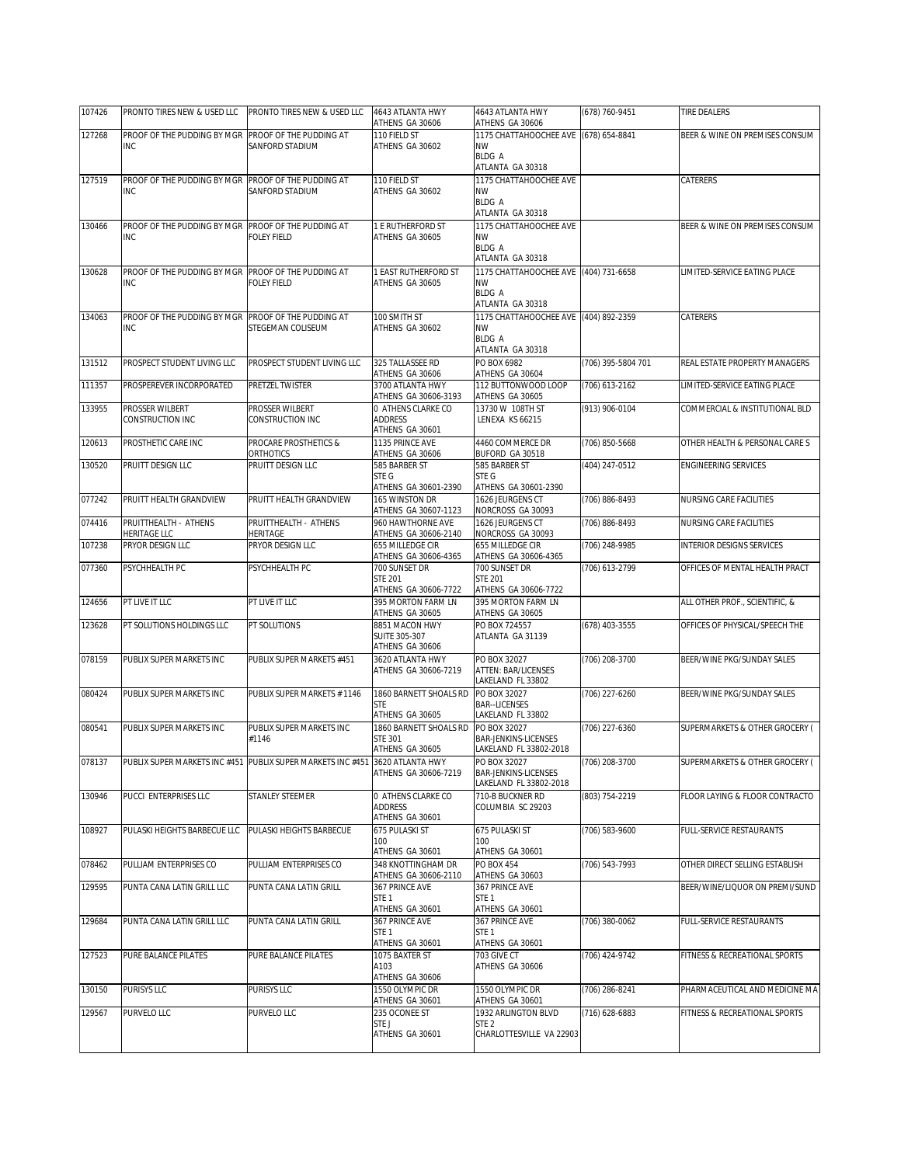| 107426 | PRONTO TIRES NEW & USED LLC                                                  | PRONTO TIRES NEW & USED LLC               | 4643 ATLANTA HWY<br>ATHENS GA 30606       | 4643 ATLANTA HWY<br>ATHENS GA 30606                       | (678) 760-9451     | TIRE DEALERS                   |
|--------|------------------------------------------------------------------------------|-------------------------------------------|-------------------------------------------|-----------------------------------------------------------|--------------------|--------------------------------|
| 127268 | PROOF OF THE PUDDING BY MGR                                                  | PROOF OF THE PUDDING AT                   | 110 FIELD ST                              | 1175 CHATTAHOOCHEE AVE                                    | (678) 654-8841     | BEER & WINE ON PREMISES CONSUM |
|        | <b>INC</b>                                                                   | SANFORD STADIUM                           | ATHENS GA 30602                           | <b>NW</b><br><b>BLDG A</b>                                |                    |                                |
|        |                                                                              |                                           |                                           | ATLANTA GA 30318                                          |                    |                                |
| 127519 | PROOF OF THE PUDDING BY MGR                                                  | PROOF OF THE PUDDING AT                   | 110 FIELD ST                              | 1175 CHATTAHOOCHEE AVE                                    |                    | CATERERS                       |
|        | <b>INC</b>                                                                   | SANFORD STADIUM                           | ATHENS GA 30602                           | <b>NW</b><br><b>BLDG A</b>                                |                    |                                |
|        |                                                                              |                                           |                                           | ATLANTA GA 30318                                          |                    |                                |
| 130466 | PROOF OF THE PUDDING BY MGR<br>INC                                           | PROOF OF THE PUDDING AT<br>FOLEY FIELD    | 1 E RUTHERFORD ST<br>ATHENS GA 30605      | 1175 CHATTAHOOCHEE AVE<br><b>NW</b>                       |                    | BEER & WINE ON PREMISES CONSUM |
|        |                                                                              |                                           |                                           | <b>BLDG A</b>                                             |                    |                                |
| 130628 | PROOF OF THE PUDDING BY MGR                                                  | PROOF OF THE PUDDING AT                   | 1 EAST RUTHERFORD ST                      | ATLANTA GA 30318<br>1175 CHATTAHOOCHEE AVE (404) 731-6658 |                    | LIMITED-SERVICE EATING PLACE   |
|        | <b>INC</b>                                                                   | FOLEY FIELD                               | ATHENS GA 30605                           | <b>NW</b>                                                 |                    |                                |
|        |                                                                              |                                           |                                           | <b>BLDG A</b><br>ATLANTA GA 30318                         |                    |                                |
| 134063 | PROOF OF THE PUDDING BY MGR                                                  | PROOF OF THE PUDDING AT                   | 100 SMITH ST                              | 1175 CHATTAHOOCHEE AVE (404) 892-2359                     |                    | <b>CATERERS</b>                |
|        | <b>INC</b>                                                                   | STEGEMAN COLISEUM                         | ATHENS GA 30602                           | <b>NW</b><br><b>BLDG A</b>                                |                    |                                |
|        |                                                                              |                                           |                                           | ATLANTA GA 30318                                          |                    |                                |
| 131512 | PROSPECT STUDENT LIVING LLC                                                  | PROSPECT STUDENT LIVING LLC               | 325 TALLASSEE RD                          | PO BOX 6982                                               | (706) 395-5804 701 | REAL ESTATE PROPERTY MANAGERS  |
| 111357 | PROSPEREVER INCORPORATED                                                     | PRETZEL TWISTER                           | ATHENS GA 30606<br>3700 ATLANTA HWY       | ATHENS GA 30604<br>112 BUTTONWOOD LOOP                    | $(706)$ 613-2162   | LIMITED-SERVICE EATING PLACE   |
|        |                                                                              |                                           | ATHENS GA 30606-3193                      | ATHENS GA 30605                                           |                    |                                |
| 133955 | PROSSER WILBERT<br>CONSTRUCTION INC                                          | PROSSER WILBERT<br>CONSTRUCTION INC       | 0 ATHENS CLARKE CO<br><b>ADDRESS</b>      | 13730 W 108TH ST<br>LENEXA KS 66215                       | (913) 906-0104     | COMMERCIAL & INSTITUTIONAL BLD |
|        |                                                                              |                                           | ATHENS GA 30601                           |                                                           |                    |                                |
| 120613 | PROSTHETIC CARE INC                                                          | PROCARE PROSTHETICS &<br><b>ORTHOTICS</b> | 1135 PRINCE AVE<br>ATHENS GA 30606        | 4460 COMMERCE DR<br>BUFORD GA 30518                       | (706) 850-5668     | OTHER HEALTH & PERSONAL CARE S |
| 130520 | PRUITT DESIGN LLC                                                            | PRUITT DESIGN LLC                         | 585 BARBER ST                             | 585 BARBER ST                                             | (404) 247-0512     | ENGINEERING SERVICES           |
|        |                                                                              |                                           | STE G<br>ATHENS GA 30601-2390             | STE G<br>ATHENS GA 30601-2390                             |                    |                                |
| 077242 | PRUITT HEALTH GRANDVIEW                                                      | PRUITT HEALTH GRANDVIEW                   | 165 WINSTON DR                            | 1626 JEURGENS CT                                          | (706) 886-8493     | NURSING CARE FACILITIES        |
| 074416 | PRUITTHEALTH - ATHENS                                                        | PRUITTHEALTH - ATHENS                     | ATHENS GA 30607-1123<br>960 HAWTHORNE AVE | NORCROSS GA 30093<br>1626 JEURGENS CT                     | (706) 886-8493     | NURSING CARE FACILITIES        |
|        | <b>HERITAGE LLC</b>                                                          | HERITAGE                                  | ATHENS GA 30606-2140                      | NORCROSS GA 30093                                         |                    |                                |
| 107238 | PRYOR DESIGN LLC                                                             | PRYOR DESIGN LLC                          | 655 MILLEDGE CIR<br>ATHENS GA 30606-4365  | 655 MILLEDGE CIR<br>ATHENS GA 30606-4365                  | (706) 248-9985     | INTERIOR DESIGNS SERVICES      |
| 077360 | PSYCHHEALTH PC                                                               | PSYCHHEALTH PC                            | 700 SUNSET DR                             | 700 SUNSET DR                                             | (706) 613-2799     | OFFICES OF MENTAL HEALTH PRACT |
|        |                                                                              |                                           | <b>STE 201</b><br>ATHENS GA 30606-7722    | <b>STE 201</b><br>ATHENS GA 30606-7722                    |                    |                                |
| 124656 | PT LIVE IT LLC                                                               | PT LIVE IT LLC                            | 395 MORTON FARM LN                        | 395 MORTON FARM LN                                        |                    | ALL OTHER PROF., SCIENTIFIC, & |
| 123628 | PT SOLUTIONS HOLDINGS LLC                                                    | PT SOLUTIONS                              | ATHENS GA 30605<br>8851 MACON HWY         | ATHENS GA 30605<br>PO BOX 724557                          | (678) 403-3555     | OFFICES OF PHYSICAL/SPEECH THE |
|        |                                                                              |                                           | SUITE 305-307                             | ATLANTA GA 31139                                          |                    |                                |
|        | PUBLIX SUPER MARKETS INC                                                     | PUBLIX SUPER MARKETS #451                 | ATHENS GA 30606                           |                                                           | (706) 208-3700     | BEER/WINE PKG/SUNDAY SALES     |
| 078159 |                                                                              |                                           | 3620 ATLANTA HWY<br>ATHENS GA 30606-7219  | PO BOX 32027<br>ATTEN: BAR/LICENSES                       |                    |                                |
|        |                                                                              |                                           |                                           | LAKELAND FL 33802                                         |                    |                                |
| 080424 | PUBLIX SUPER MARKETS INC                                                     | PUBLIX SUPER MARKETS # 1146               | 1860 BARNETT SHOALS RD<br><b>STE</b>      | PO BOX 32027<br><b>BAR--LICENSES</b>                      | (706) 227-6260     | BEER/WINE PKG/SUNDAY SALES     |
|        |                                                                              |                                           | ATHENS GA 30605                           | LAKELAND FL 33802                                         |                    |                                |
| 080541 | PUBLIX SUPER MARKETS INC                                                     | PUBLIX SUPER MARKETS INC<br>#1146         | 1860 BARNETT SHOALS RD<br><b>STE 301</b>  | PO BOX 32027<br>BAR-JENKINS-LICENSES                      | (706) 227-6360     | SUPERMARKETS & OTHER GROCERY ( |
|        |                                                                              |                                           | ATHENS GA 30605                           | LAKELAND FL 33802-2018                                    |                    |                                |
| 078137 | PUBLIX SUPER MARKETS INC #451 PUBLIX SUPER MARKETS INC #451 3620 ATLANTA HWY |                                           | ATHENS GA 30606-7219                      | PO BOX 32027<br>BAR-JENKINS-LICENSES                      | (706) 208-3700     | SUPERMARKETS & OTHER GROCERY ( |
|        |                                                                              |                                           |                                           | LAKELAND FL 33802-2018                                    |                    |                                |
| 130946 | PUCCI ENTERPRISES LLC                                                        | STANLEY STEEMER                           | 0 ATHENS CLARKE CO<br>ADDRESS             | 710-B BUCKNER RD<br>COLUMBIA SC 29203                     | (803) 754-2219     | FLOOR LAYING & FLOOR CONTRACTO |
|        |                                                                              |                                           | ATHENS GA 30601                           |                                                           |                    |                                |
| 108927 | PULASKI HEIGHTS BARBECUE LLC                                                 | PULASKI HEIGHTS BARBECUE                  | 675 PULASKI ST<br>100                     | 675 PULASKI ST<br>100                                     | (706) 583-9600     | FULL-SERVICE RESTAURANTS       |
|        |                                                                              |                                           | ATHENS GA 30601                           | ATHENS GA 30601                                           |                    |                                |
| 078462 | PULLIAM ENTERPRISES CO                                                       | PULLIAM ENTERPRISES CO                    | 348 KNOTTINGHAM DR                        | PO BOX 454                                                | (706) 543-7993     | OTHER DIRECT SELLING ESTABLISH |
| 129595 | PUNTA CANA LATIN GRILL LLC                                                   | PUNTA CANA LATIN GRILL                    | ATHENS GA 30606-2110<br>367 PRINCE AVE    | ATHENS GA 30603<br>367 PRINCE AVE                         |                    | BEER/WINE/LIQUOR ON PREMI/SUND |
|        |                                                                              |                                           | STE <sub>1</sub>                          | STE <sub>1</sub>                                          |                    |                                |
| 129684 | PUNTA CANA LATIN GRILL LLC                                                   | PUNTA CANA LATIN GRILL                    | ATHENS GA 30601<br>367 PRINCE AVE         | ATHENS GA 30601<br>367 PRINCE AVE                         | (706) 380-0062     | FULL-SERVICE RESTAURANTS       |
|        |                                                                              |                                           | STE 1                                     | STE <sub>1</sub>                                          |                    |                                |
| 127523 | PURE BALANCE PILATES                                                         | PURE BALANCE PILATES                      | ATHENS GA 30601<br>1075 BAXTER ST         | ATHENS GA 30601<br>703 GIVE CT                            | (706) 424-9742     | FITNESS & RECREATIONAL SPORTS  |
|        |                                                                              |                                           | A103                                      | ATHENS GA 30606                                           |                    |                                |
| 130150 | <b>PURISYS LLC</b>                                                           | PURISYS LLC                               | ATHENS GA 30606<br>1550 OLYMPIC DR        | 1550 OLYMPIC DR                                           | (706) 286-8241     | PHARMACEUTICAL AND MEDICINE MA |
|        |                                                                              |                                           | ATHENS GA 30601                           | ATHENS GA 30601                                           |                    |                                |
| 129567 | PURVELO LLC                                                                  | PURVELO LLC                               | 235 OCONEE ST<br>STE J                    | 1932 ARLINGTON BLVD<br>STE <sub>2</sub>                   | (716) 628-6883     | FITNESS & RECREATIONAL SPORTS  |
|        |                                                                              |                                           | ATHENS GA 30601                           | CHARLOTTESVILLE VA 22903                                  |                    |                                |
|        |                                                                              |                                           |                                           |                                                           |                    |                                |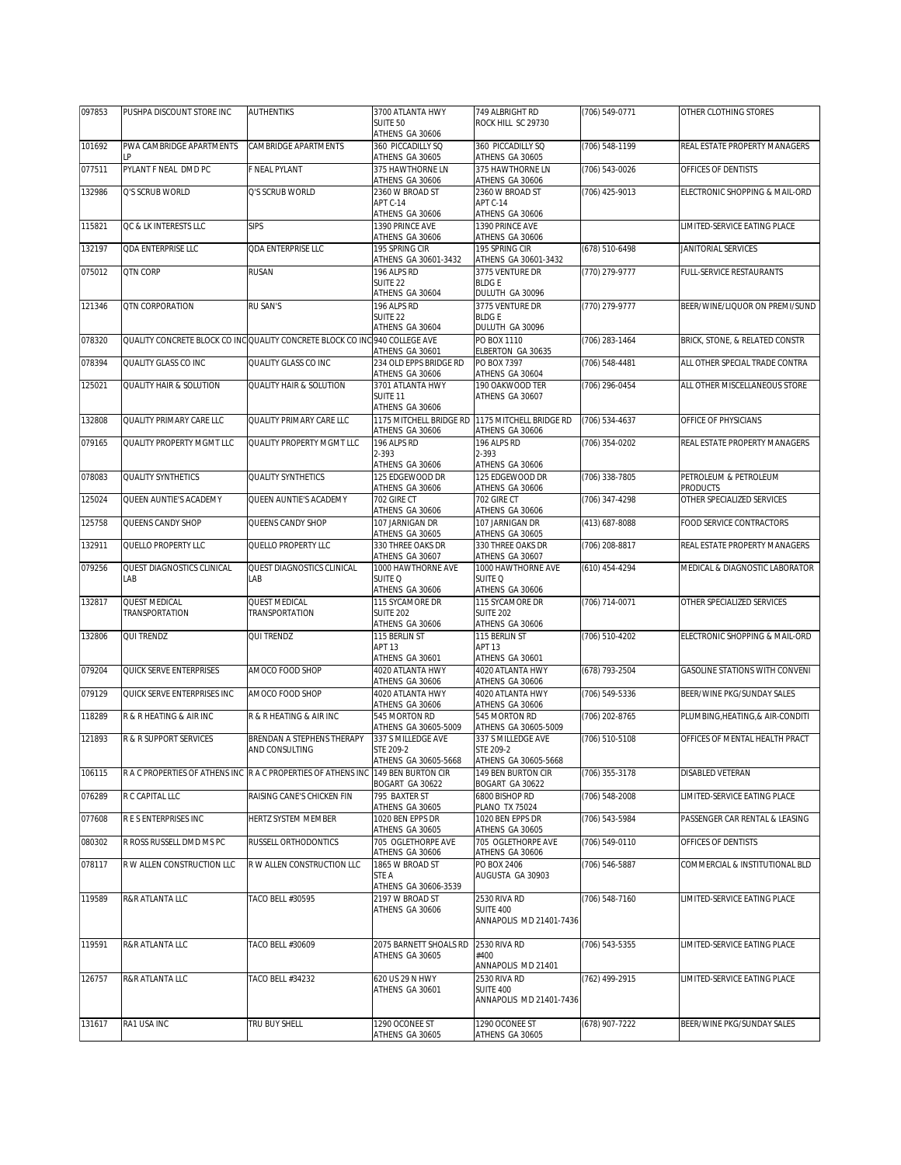| 097853 | PUSHPA DISCOUNT STORE INC          | <b>AUTHENTIKS</b>                                                           | 3700 ATLANTA HWY                                | 749 ALBRIGHT RD                            | (706) 549-0771   | OTHER CLOTHING STORES            |
|--------|------------------------------------|-----------------------------------------------------------------------------|-------------------------------------------------|--------------------------------------------|------------------|----------------------------------|
|        |                                    |                                                                             | SUITE 50<br>ATHENS GA 30606                     | ROCK HILL SC 29730                         |                  |                                  |
| 101692 | PWA CAMBRIDGE APARTMENTS           | CAMBRIDGE APARTMENTS                                                        | 360 PICCADILLY SQ                               | 360 PICCADILLY SQ                          | (706) 548-1199   | REAL ESTATE PROPERTY MANAGERS    |
| 077511 | PYLANT F NEAL DMD PC               | <b>F NEAL PYLANT</b>                                                        | ATHENS GA 30605<br>375 HAWTHORNE LN             | ATHENS GA 30605<br>375 HAWTHORNE LN        | (706) 543-0026   | OFFICES OF DENTISTS              |
|        |                                    |                                                                             | ATHENS GA 30606                                 | ATHENS GA 30606                            |                  |                                  |
| 132986 | Q'S SCRUB WORLD                    | Q'S SCRUB WORLD                                                             | 2360 W BROAD ST<br>APT C-14                     | 2360 W BROAD ST<br>APT C-14                | (706) 425-9013   | ELECTRONIC SHOPPING & MAIL-ORD   |
|        |                                    |                                                                             | ATHENS GA 30606                                 | ATHENS GA 30606                            |                  |                                  |
| 115821 | QC & LK INTERESTS LLC              | <b>SIPS</b>                                                                 | 1390 PRINCE AVE<br>ATHENS GA 30606              | 1390 PRINCE AVE<br>ATHENS GA 30606         |                  | LIMITED-SERVICE EATING PLACE     |
| 132197 | <b>QDA ENTERPRISE LLC</b>          | <b>ODA ENTERPRISE LLC</b>                                                   | 195 SPRING CIR                                  | 195 SPRING CIR                             | (678) 510-6498   | JANITORIAL SERVICES              |
| 075012 | QTN CORP                           | <b>RUSAN</b>                                                                | ATHENS GA 30601-3432<br>196 ALPS RD             | ATHENS GA 30601-3432<br>3775 VENTURE DR    | (770) 279-9777   | FULL-SERVICE RESTAURANTS         |
|        |                                    |                                                                             | SUITE <sub>22</sub>                             | <b>BLDGE</b>                               |                  |                                  |
| 121346 | QTN CORPORATION                    | <b>RU SAN'S</b>                                                             | ATHENS GA 30604<br>196 ALPS RD                  | DULUTH GA 30096<br>3775 VENTURE DR         | (770) 279-9777   | BEER/WINE/LIQUOR ON PREMI/SUND   |
|        |                                    |                                                                             | SUITE <sub>22</sub>                             | <b>BLDGE</b>                               |                  |                                  |
| 078320 |                                    | QUALITY CONCRETE BLOCK CO INC QUALITY CONCRETE BLOCK CO INC 940 COLLEGE AVE | ATHENS GA 30604                                 | DULUTH GA 30096<br>PO BOX 1110             | (706) 283-1464   | BRICK, STONE, & RELATED CONSTR   |
|        |                                    |                                                                             | ATHENS GA 30601                                 | ELBERTON GA 30635                          |                  |                                  |
| 078394 | QUALITY GLASS CO INC               | QUALITY GLASS CO INC                                                        | 234 OLD EPPS BRIDGE RD<br>ATHENS GA 30606       | PO BOX 7397<br>ATHENS GA 30604             | (706) 548-4481   | ALL OTHER SPECIAL TRADE CONTRA   |
| 125021 | <b>QUALITY HAIR &amp; SOLUTION</b> | QUALITY HAIR & SOLUTION                                                     | 3701 ATLANTA HWY<br>SUITE <sub>11</sub>         | 190 OAKWOOD TER                            | (706) 296-0454   | ALL OTHER MISCELLANEOUS STORE    |
|        |                                    |                                                                             | ATHENS GA 30606                                 | ATHENS GA 30607                            |                  |                                  |
| 132808 | QUALITY PRIMARY CARE LLC           | QUALITY PRIMARY CARE LLC                                                    | 1175 MITCHELL BRIDGE RD 1175 MITCHELL BRIDGE RD |                                            | (706) 534-4637   | OFFICE OF PHYSICIANS             |
| 079165 | <b>QUALITY PROPERTY MGMT LLC</b>   | QUALITY PROPERTY MGMT LLC                                                   | ATHENS GA 30606<br>196 ALPS RD                  | ATHENS GA 30606<br>196 ALPS RD             | (706) 354-0202   | REAL ESTATE PROPERTY MANAGERS    |
|        |                                    |                                                                             | 2-393                                           | 2-393                                      |                  |                                  |
| 078083 | <b>QUALITY SYNTHETICS</b>          | QUALITY SYNTHETICS                                                          | ATHENS GA 30606<br>125 EDGEWOOD DR              | ATHENS GA 30606<br>125 EDGEWOOD DR         | (706) 338-7805   | PETROLEUM & PETROLEUM            |
|        |                                    |                                                                             | ATHENS GA 30606<br>702 GIRE CT                  | ATHENS GA 30606                            |                  | PRODUCTS                         |
| 125024 | QUEEN AUNTIE'S ACADEMY             | <b>QUEEN AUNTIE'S ACADEMY</b>                                               | ATHENS GA 30606                                 | 702 GIRE CT<br>ATHENS GA 30606             | (706) 347-4298   | OTHER SPECIALIZED SERVICES       |
| 125758 | QUEENS CANDY SHOP                  | QUEENS CANDY SHOP                                                           | 107 JARNIGAN DR                                 | 107 JARNIGAN DR                            | (413) 687-8088   | FOOD SERVICE CONTRACTORS         |
| 132911 | QUELLO PROPERTY LLC                | QUELLO PROPERTY LLC                                                         | ATHENS GA 30605<br>330 THREE OAKS DR            | ATHENS GA 30605<br>330 THREE OAKS DR       | (706) 208-8817   | REAL ESTATE PROPERTY MANAGERS    |
| 079256 | QUEST DIAGNOSTICS CLINICAL         | QUEST DIAGNOSTICS CLINICAL                                                  | ATHENS GA 30607<br>1000 HAWTHORNE AVE           | ATHENS GA 30607<br>1000 HAWTHORNE AVE      |                  |                                  |
|        | LAB                                | LAB                                                                         | SUITE Q                                         | SUITE Q                                    | (610) 454-4294   | MEDICAL & DIAGNOSTIC LABORATOR   |
| 132817 | QUEST MEDICAL                      | QUEST MEDICAL                                                               | ATHENS GA 30606<br>115 SYCAMORE DR              | ATHENS GA 30606<br>115 SYCAMORE DR         | (706) 714-0071   | OTHER SPECIALIZED SERVICES       |
|        | TRANSPORTATION                     | TRANSPORTATION                                                              | <b>SUITE 202</b>                                | <b>SUITE 202</b>                           |                  |                                  |
| 132806 | QUI TRENDZ                         | QUI TRENDZ                                                                  | ATHENS GA 30606<br>115 BERLIN ST                | ATHENS GA 30606<br>115 BERLIN ST           | (706) 510-4202   | ELECTRONIC SHOPPING & MAIL-ORD   |
|        |                                    |                                                                             | APT <sub>13</sub>                               | APT <sub>13</sub>                          |                  |                                  |
| 079204 | QUICK SERVE ENTERPRISES            | AMOCO FOOD SHOP                                                             | ATHENS GA 30601<br>4020 ATLANTA HWY             | ATHENS GA 30601<br>4020 ATLANTA HWY        | (678) 793-2504   | GASOLINE STATIONS WITH CONVENI   |
|        |                                    |                                                                             | ATHENS GA 30606                                 | ATHENS GA 30606                            |                  |                                  |
| 079129 | QUICK SERVE ENTERPRISES INC        | AMOCO FOOD SHOP                                                             | 4020 ATLANTA HWY<br>ATHENS GA 30606             | 4020 ATLANTA HWY<br>ATHENS GA 30606        | (706) 549-5336   | BEER/WINE PKG/SUNDAY SALES       |
| 118289 | R & R HEATING & AIR INC            | R & R HEATING & AIR INC                                                     | 545 MORTON RD                                   | 545 MORTON RD                              | (706) 202-8765   | PLUMBING, HEATING, & AIR-CONDITI |
| 121893 | R & R SUPPORT SERVICES             | BRENDAN A STEPHENS THERAPY                                                  | ATHENS GA 30605-5009<br>337 S MILLEDGE AVE      | ATHENS GA 30605-5009<br>337 S MILLEDGE AVE | (706) 510-5108   | OFFICES OF MENTAL HEALTH PRACT   |
|        |                                    | AND CONSULTING                                                              | STE 209-2                                       | STE 209-2                                  |                  |                                  |
| 106115 |                                    | R A C PROPERTIES OF ATHENS INC R A C PROPERTIES OF ATHENS INC               | ATHENS GA 30605-5668<br>149 BEN BURTON CIR      | ATHENS GA 30605-5668<br>149 BEN BURTON CIR | (706) 355-3178   | DISABLED VETERAN                 |
|        |                                    |                                                                             | BOGART GA 30622                                 | BOGART GA 30622                            |                  |                                  |
| 076289 | R C CAPITAL LLC                    | RAISING CANE'S CHICKEN FIN                                                  | 795 BAXTER ST<br>ATHENS GA 30605                | 6800 BISHOP RD<br><b>PLANO TX 75024</b>    | $(706)$ 548-2008 | LIMITED-SERVICE EATING PLACE     |
| 077608 | R E S ENTERPRISES INC              | HERTZ SYSTEM MEMBER                                                         | 1020 BEN EPPS DR                                | 1020 BEN EPPS DR                           | (706) 543-5984   | PASSENGER CAR RENTAL & LEASING   |
| 080302 | R ROSS RUSSELL DMD MS PC           | RUSSELL ORTHODONTICS                                                        | ATHENS GA 30605<br>705 OGLETHORPE AVE           | ATHENS GA 30605<br>705 OGLETHORPE AVE      | (706) 549-0110   | OFFICES OF DENTISTS              |
|        | R W ALLEN CONSTRUCTION LLC         | R W ALLEN CONSTRUCTION LLC                                                  | ATHENS GA 30606                                 | ATHENS GA 30606                            |                  | COMMERCIAL & INSTITUTIONAL BLD   |
| 078117 |                                    |                                                                             | 1865 W BROAD ST<br>STE A                        | PO BOX 2406<br>AUGUSTA GA 30903            | (706) 546-5887   |                                  |
| 119589 | R&R ATLANTA LLC                    | TACO BELL #30595                                                            | ATHENS GA 30606-3539<br>2197 W BROAD ST         | 2530 RIVA RD                               | (706) 548-7160   | LIMITED-SERVICE EATING PLACE     |
|        |                                    |                                                                             | ATHENS GA 30606                                 | SUITE 400                                  |                  |                                  |
|        |                                    |                                                                             |                                                 | ANNAPOLIS MD 21401-7436                    |                  |                                  |
| 119591 | R&R ATLANTA LLC                    | TACO BELL #30609                                                            | 2075 BARNETT SHOALS RD                          | 2530 RIVA RD                               | (706) 543-5355   | LIMITED-SERVICE EATING PLACE     |
|        |                                    |                                                                             | ATHENS GA 30605                                 | #400<br>ANNAPOLIS MD 21401                 |                  |                                  |
| 126757 | R&R ATLANTA LLC                    | TACO BELL #34232                                                            | 620 US 29 N HWY                                 | 2530 RIVA RD                               | (762) 499-2915   | LIMITED-SERVICE EATING PLACE     |
|        |                                    |                                                                             | ATHENS GA 30601                                 | SUITE 400<br>ANNAPOLIS MD 21401-7436       |                  |                                  |
|        |                                    |                                                                             |                                                 |                                            |                  |                                  |
| 131617 | RA1 USA INC                        | TRU BUY SHELL                                                               | 1290 OCONEE ST<br>ATHENS GA 30605               | 1290 OCONEE ST<br>ATHENS GA 30605          | (678) 907-7222   | BEER/WINE PKG/SUNDAY SALES       |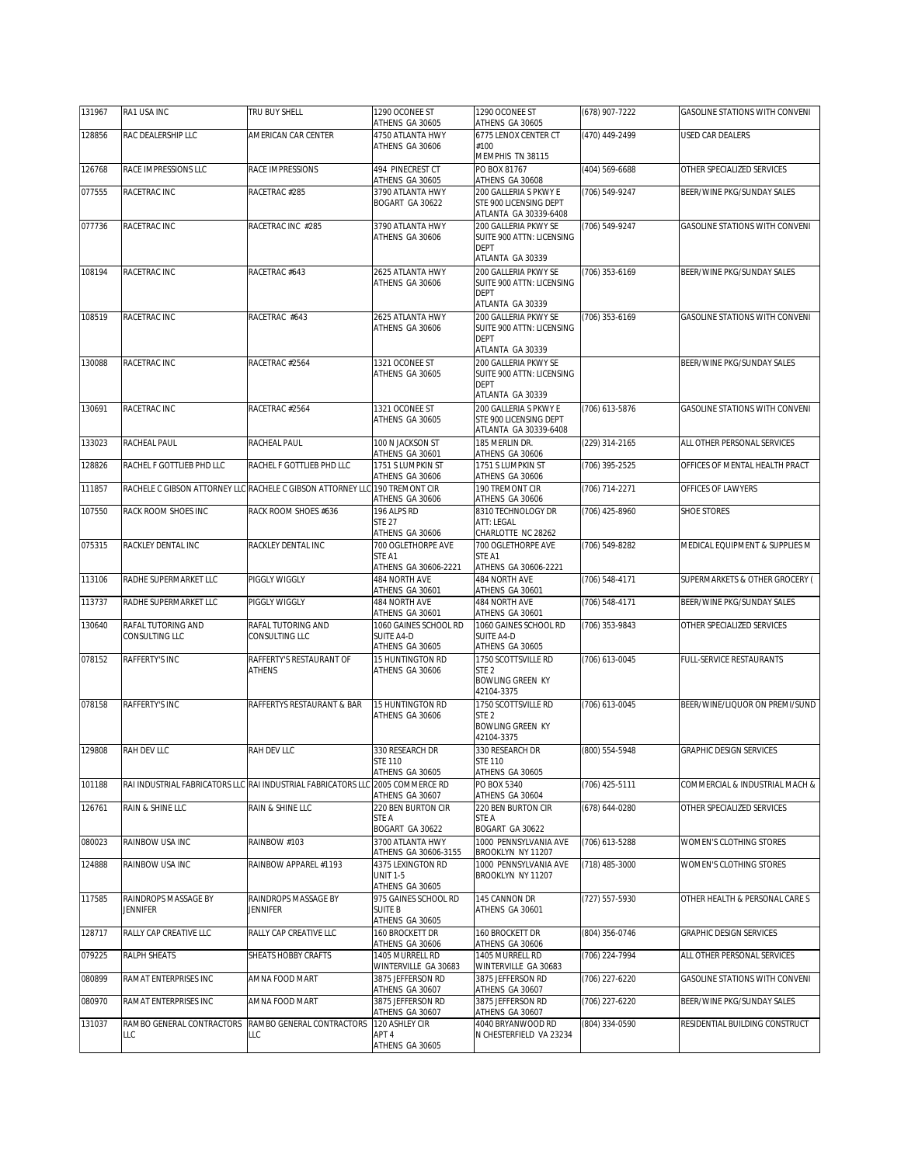| 131967 | RA1 USA INC                             | TRU BUY SHELL                                                                  | 1290 OCONEE ST<br>ATHENS GA 30605                                       | 1290 OCONEE ST<br>ATHENS GA 30605                                                    | (678) 907-7222 | GASOLINE STATIONS WITH CONVENI        |
|--------|-----------------------------------------|--------------------------------------------------------------------------------|-------------------------------------------------------------------------|--------------------------------------------------------------------------------------|----------------|---------------------------------------|
| 128856 | RAC DEALERSHIP LLC                      | AMERICAN CAR CENTER                                                            | 4750 ATLANTA HWY                                                        | 6775 LENOX CENTER CT                                                                 | (470) 449-2499 | USED CAR DEALERS                      |
|        |                                         |                                                                                | ATHENS GA 30606                                                         | #100<br>MEMPHIS TN 38115                                                             |                |                                       |
| 126768 | RACE IMPRESSIONS LLC                    | RACE IMPRESSIONS                                                               | 494 PINECREST CT<br>ATHENS GA 30605                                     | PO BOX 81767<br>ATHENS GA 30608                                                      | (404) 569-6688 | OTHER SPECIALIZED SERVICES            |
| 077555 | RACETRAC INC                            | RACETRAC #285                                                                  | 3790 ATLANTA HWY<br>BOGART GA 30622                                     | 200 GALLERIA S PKWY E<br>STE 900 LICENSING DEPT<br>ATLANTA GA 30339-6408             | (706) 549-9247 | BEER/WINE PKG/SUNDAY SALES            |
| 077736 | RACETRAC INC                            | RACETRAC INC #285                                                              | 3790 ATLANTA HWY<br>ATHENS GA 30606                                     | 200 GALLERIA PKWY SE<br>SUITE 900 ATTN: LICENSING<br><b>DEPT</b><br>ATLANTA GA 30339 | (706) 549-9247 | GASOLINE STATIONS WITH CONVENI        |
| 108194 | RACETRAC INC                            | RACETRAC #643                                                                  | 2625 ATLANTA HWY<br>ATHENS GA 30606                                     | 200 GALLERIA PKWY SE<br>SUITE 900 ATTN: LICENSING<br><b>DEPT</b><br>ATLANTA GA 30339 | (706) 353-6169 | BEER/WINE PKG/SUNDAY SALES            |
| 108519 | RACETRAC INC                            | RACETRAC #643                                                                  | 2625 ATLANTA HWY<br>ATHENS GA 30606                                     | 200 GALLERIA PKWY SE<br>SUITE 900 ATTN: LICENSING<br><b>DEPT</b><br>ATLANTA GA 30339 | (706) 353-6169 | <b>GASOLINE STATIONS WITH CONVENI</b> |
| 130088 | RACETRAC INC                            | RACETRAC #2564                                                                 | 1321 OCONEE ST<br>ATHENS GA 30605                                       | 200 GALLERIA PKWY SE<br>SUITE 900 ATTN: LICENSING<br><b>DEPT</b><br>ATLANTA GA 30339 |                | BEER/WINE PKG/SUNDAY SALES            |
| 130691 | RACETRAC INC                            | RACETRAC #2564                                                                 | 1321 OCONEE ST<br>ATHENS GA 30605                                       | 200 GALLERIA S PKWY E<br>STE 900 LICENSING DEPT<br>ATLANTA GA 30339-6408             | (706) 613-5876 | <b>GASOLINE STATIONS WITH CONVENI</b> |
| 133023 | RACHEAL PAUL                            | RACHEAL PAUL                                                                   | 100 N JACKSON ST                                                        | 185 MERLIN DR.                                                                       | (229) 314-2165 | ALL OTHER PERSONAL SERVICES           |
| 128826 | RACHEL F GOTTLIEB PHD LLC               | RACHEL F GOTTLIEB PHD LLC                                                      | ATHENS GA 30601<br>1751 S LUMPKIN ST<br>ATHENS GA 30606                 | ATHENS GA 30606<br>1751 S LUMPKIN ST<br>ATHENS GA 30606                              | (706) 395-2525 | OFFICES OF MENTAL HEALTH PRACT        |
| 111857 |                                         | RACHELE C GIBSON ATTORNEY LLC RACHELE C GIBSON ATTORNEY LLC                    | 190 TREMONT CIR                                                         | 190 TREMONT CIR                                                                      | (706) 714-2271 | OFFICES OF LAWYERS                    |
| 107550 | RACK ROOM SHOES INC                     | RACK ROOM SHOES #636                                                           | ATHENS GA 30606<br>196 ALPS RD<br><b>STE 27</b>                         | ATHENS GA 30606<br>8310 TECHNOLOGY DR<br>ATT: LEGAL                                  | (706) 425-8960 | <b>SHOE STORES</b>                    |
| 075315 | RACKLEY DENTAL INC                      | RACKLEY DENTAL INC                                                             | ATHENS GA 30606<br>700 OGLETHORPE AVE<br>STE A1<br>ATHENS GA 30606-2221 | CHARLOTTE NC 28262<br>700 OGLETHORPE AVE<br>STE A1<br>ATHENS GA 30606-2221           | (706) 549-8282 | MEDICAL EQUIPMENT & SUPPLIES M        |
| 113106 | RADHE SUPERMARKET LLC                   | PIGGLY WIGGLY                                                                  | 484 NORTH AVE                                                           | 484 NORTH AVE                                                                        | (706) 548-4171 | SUPERMARKETS & OTHER GROCERY (        |
| 113737 | RADHE SUPERMARKET LLC                   | PIGGLY WIGGLY                                                                  | ATHENS GA 30601<br>484 NORTH AVE<br>ATHENS GA 30601                     | ATHENS GA 30601<br>484 NORTH AVE<br>ATHENS GA 30601                                  | (706) 548-4171 | BEER/WINE PKG/SUNDAY SALES            |
| 130640 | RAFAL TUTORING AND<br>CONSULTING LLC    | RAFAL TUTORING AND<br>CONSULTING LLC                                           | 1060 GAINES SCHOOL RD<br>SUITE A4-D<br>ATHENS GA 30605                  | 1060 GAINES SCHOOL RD<br><b>SUITE A4-D</b><br>ATHENS GA 30605                        | (706) 353-9843 | OTHER SPECIALIZED SERVICES            |
| 078152 | RAFFERTY'S INC                          | RAFFERTY'S RESTAURANT OF<br><b>ATHENS</b>                                      | 15 HUNTINGTON RD<br>ATHENS GA 30606                                     | 1750 SCOTTSVILLE RD<br>STE <sub>2</sub><br><b>BOWLING GREEN KY</b><br>42104-3375     | (706) 613-0045 | FULL-SERVICE RESTAURANTS              |
| 078158 | RAFFERTY'S INC                          | RAFFERTYS RESTAURANT & BAR                                                     | <b>15 HUNTINGTON RD</b><br>ATHENS GA 30606                              | 1750 SCOTTSVILLE RD<br>STE <sub>2</sub><br><b>BOWLING GREEN KY</b><br>42104-3375     | (706) 613-0045 | BEER/WINE/LIQUOR ON PREMI/SUND        |
| 129808 | RAH DEV LLC                             | RAH DEV LLC                                                                    | 330 RESEARCH DR<br><b>STE 110</b><br>ATHENS GA 30605                    | 330 RESEARCH DR<br><b>STE 110</b><br>ATHENS GA 30605                                 | (800) 554-5948 | GRAPHIC DESIGN SERVICES               |
| 101188 |                                         | RAI INDUSTRIAL FABRICATORS LLC RAI INDUSTRIAL FABRICATORS LLC 2005 COMMERCE RD | ATHENS GA 30607                                                         | PO BOX 5340<br>ATHENS GA 30604                                                       | (706) 425-5111 | COMMERCIAL & INDUSTRIAL MACH &        |
| 126761 | RAIN & SHINE LLC                        | RAIN & SHINE LLC                                                               | 220 BEN BURTON CIR<br>STE A                                             | 220 BEN BURTON CIR<br>STE A                                                          | (678) 644-0280 | OTHER SPECIALIZED SERVICES            |
| 080023 | RAINBOW USA INC                         | RAINBOW #103                                                                   | BOGART GA 30622<br>3700 ATLANTA HWY<br>ATHENS GA 30606-3155             | BOGART GA 30622<br>1000 PENNSYLVANIA AVE<br>BROOKLYN NY 11207                        | (706) 613-5288 | WOMEN'S CLOTHING STORES               |
| 124888 | RAINBOW USA INC                         | RAINBOW APPAREL #1193                                                          | 4375 LEXINGTON RD<br>UNIT 1-5<br>ATHENS GA 30605                        | 1000 PENNSYLVANIA AVE<br>BROOKLYN NY 11207                                           | (718) 485-3000 | WOMEN'S CLOTHING STORES               |
| 117585 | RAINDROPS MASSAGE BY<br><b>JENNIFER</b> | RAINDROPS MASSAGE BY<br><b>JENNIFER</b>                                        | 975 GAINES SCHOOL RD<br><b>SUITE B</b><br>ATHENS GA 30605               | 145 CANNON DR<br>ATHENS GA 30601                                                     | (727) 557-5930 | OTHER HEALTH & PERSONAL CARE S        |
| 128717 | RALLY CAP CREATIVE LLC                  | RALLY CAP CREATIVE LLC                                                         | 160 BROCKETT DR<br>ATHENS GA 30606                                      | 160 BROCKETT DR<br>ATHENS GA 30606                                                   | (804) 356-0746 | GRAPHIC DESIGN SERVICES               |
| 079225 | RALPH SHEATS                            | SHEATS HOBBY CRAFTS                                                            | 1405 MURRELL RD<br>WINTERVILLE GA 30683                                 | 1405 MURRELL RD<br>WINTERVILLE GA 30683                                              | (706) 224-7994 | ALL OTHER PERSONAL SERVICES           |
| 080899 | RAMAT ENTERPRISES INC                   | AMNA FOOD MART                                                                 | 3875 JEFFERSON RD<br>ATHENS GA 30607                                    | 3875 JEFFERSON RD<br>ATHENS GA 30607                                                 | (706) 227-6220 | <b>GASOLINE STATIONS WITH CONVENI</b> |
| 080970 | RAMAT ENTERPRISES INC                   | AMNA FOOD MART                                                                 | 3875 JEFFERSON RD<br>ATHENS GA 30607                                    | 3875 JEFFERSON RD<br>ATHENS GA 30607                                                 | (706) 227-6220 | BEER/WINE PKG/SUNDAY SALES            |
| 131037 | RAMBO GENERAL CONTRACTORS<br>LLC        | RAMBO GENERAL CONTRACTORS<br>LLC                                               | 120 ASHLEY CIR<br>APT <sub>4</sub><br>ATHENS GA 30605                   | 4040 BRYANWOOD RD<br>N CHESTERFIELD VA 23234                                         | (804) 334-0590 | RESIDENTIAL BUILDING CONSTRUCT        |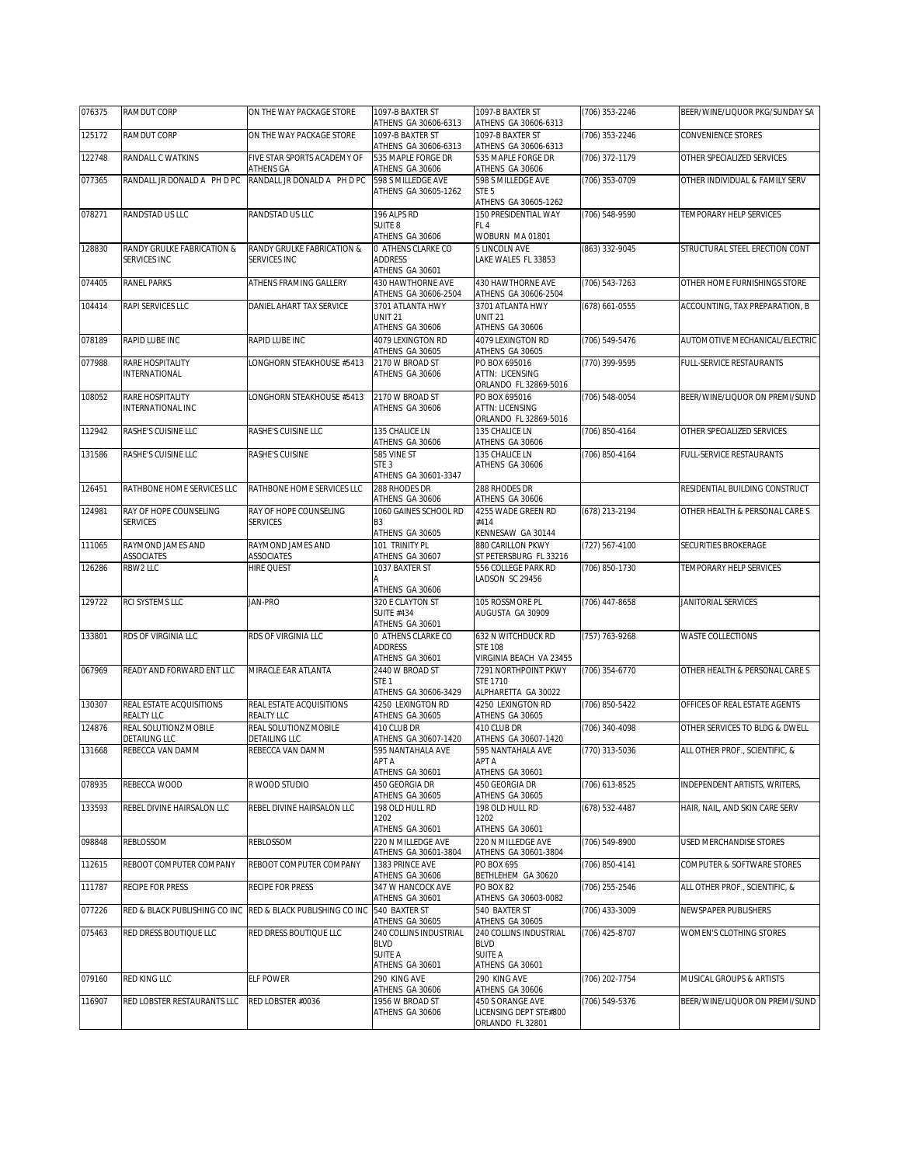| 076375 | RAMDUT CORP                                  | ON THE WAY PACKAGE STORE                    | 1097-B BAXTER ST<br>ATHENS GA 30606-6313                                   | 1097-B BAXTER ST<br>ATHENS GA 30606-6313                                          | (706) 353-2246 | BEER/WINE/LIQUOR PKG/SUNDAY SA |
|--------|----------------------------------------------|---------------------------------------------|----------------------------------------------------------------------------|-----------------------------------------------------------------------------------|----------------|--------------------------------|
| 125172 | RAMDUT CORP                                  | ON THE WAY PACKAGE STORE                    | 1097-B BAXTER ST<br>ATHENS GA 30606-6313                                   | 1097-B BAXTER ST<br>ATHENS GA 30606-6313                                          | (706) 353-2246 | CONVENIENCE STORES             |
| 122748 | RANDALL C WATKINS                            | FIVE STAR SPORTS ACADEMY OF<br>ATHENS GA    | 535 MAPLE FORGE DR<br>ATHENS GA 30606                                      | 535 MAPLE FORGE DR<br>ATHENS GA 30606                                             | (706) 372-1179 | OTHER SPECIALIZED SERVICES     |
| 077365 | RANDALL JR DONALD A PH D PC                  | RANDALL JR DONALD A PH D PC                 | 598 S MILLEDGE AVE<br>ATHENS GA 30605-1262                                 | 598 S MILLEDGE AVE<br>STE <sub>5</sub><br>ATHENS GA 30605-1262                    | (706) 353-0709 | OTHER INDIVIDUAL & FAMILY SERV |
| 078271 | RANDSTAD US I I C                            | RANDSTAD US LLC                             | 196 ALPS RD<br>SUITE 8                                                     | 150 PRESIDENTIAL WAY<br>FL <sub>4</sub>                                           | (706) 548-9590 | TEMPORARY HELP SERVICES        |
| 128830 | RANDY GRULKE FABRICATION &<br>SERVICES INC   | RANDY GRULKE FABRICATION &<br>SERVICES INC  | ATHENS GA 30606<br>0 ATHENS CLARKE CO<br><b>ADDRESS</b><br>ATHENS GA 30601 | WOBURN MA 01801<br>5 LINCOLN AVE<br>LAKE WALES FL 33853                           | (863) 332-9045 | STRUCTURAL STEEL ERECTION CONT |
| 074405 | <b>RANEL PARKS</b>                           | ATHENS FRAMING GALLERY                      | 430 HAWTHORNF AVF<br>ATHENS GA 30606-2504                                  | <b>430 HAWTHORNE AVE</b><br>ATHENS GA 30606-2504                                  | (706) 543-7263 | OTHER HOME FURNISHINGS STORE   |
| 104414 | RAPI SERVICES LLC                            | DANIEL AHART TAX SERVICE                    | 3701 ATLANTA HWY<br><b>UNIT 21</b><br>ATHENS GA 30606                      | 3701 ATLANTA HWY<br><b>UNIT 21</b><br>ATHENS GA 30606                             | (678) 661-0555 | ACCOUNTING, TAX PREPARATION, B |
| 078189 | RAPID LUBE INC                               | RAPID LUBE INC                              | 4079 LEXINGTON RD<br>ATHENS GA 30605                                       | 4079 LEXINGTON RD<br>ATHENS GA 30605                                              | (706) 549-5476 | AUTOMOTIVE MECHANICAL/ELECTRIC |
| 077988 | RARE HOSPITALITY<br>INTERNATIONAL            | LONGHORN STEAKHOUSE #5413                   | 2170 W BROAD ST<br>ATHENS GA 30606                                         | PO BOX 695016<br>ATTN: LICENSING<br>ORLANDO FL 32869-5016                         | (770) 399-9595 | FULL-SERVICE RESTAURANTS       |
| 108052 | RARE HOSPITALITY<br><b>INTERNATIONAL INC</b> | LONGHORN STEAKHOUSE #5413                   | 2170 W BROAD ST<br>ATHENS GA 30606                                         | PO BOX 695016<br><b>ATTN: LICENSING</b><br>ORLANDO FL 32869-5016                  | (706) 548-0054 | BEER/WINE/LIQUOR ON PREMI/SUND |
| 112942 | RASHE'S CUISINE LLC                          | RASHE'S CUISINE LLC                         | 135 CHALICE LN<br>ATHENS GA 30606                                          | 135 CHALICE LN<br>ATHENS GA 30606                                                 | (706) 850-4164 | OTHER SPECIALIZED SERVICES     |
| 131586 | RASHE'S CUISINE LLC                          | RASHE'S CUISINE                             | 585 VINE ST<br>STE <sub>3</sub><br>ATHENS GA 30601-3347                    | 135 CHALICE LN<br>ATHENS GA 30606                                                 | (706) 850-4164 | FULL-SERVICE RESTAURANTS       |
| 126451 | RATHBONE HOME SERVICES LLC                   | RATHBONE HOME SERVICES LLC                  | 288 RHODES DR<br>ATHENS GA 30606                                           | 288 RHODES DR<br>ATHENS GA 30606                                                  |                | RESIDENTIAL BUILDING CONSTRUCT |
| 124981 | RAY OF HOPE COUNSELING<br><b>SERVICES</b>    | RAY OF HOPE COUNSELING<br><b>SERVICES</b>   | 1060 GAINES SCHOOL RD<br>B <sub>3</sub><br>ATHENS GA 30605                 | 4255 WADE GREEN RD<br>#414<br>KENNESAW GA 30144                                   | (678) 213-2194 | OTHER HEALTH & PERSONAL CARE S |
| 111065 | RAYMOND JAMES AND<br><b>ASSOCIATES</b>       | RAYMOND JAMES AND<br>ASSOCIATES             | 101 TRINITY PL<br>ATHENS GA 30607                                          | 880 CARILLON PKWY<br>ST PETERSBURG FL 33216                                       | (727) 567-4100 | <b>SECURITIES BROKERAGE</b>    |
| 126286 | RBW2 LLC                                     | <b>HIRE QUEST</b>                           | 1037 BAXTER ST<br>ATHENS GA 30606                                          | 556 COLLEGE PARK RD<br>LADSON SC 29456                                            | (706) 850-1730 | TEMPORARY HELP SERVICES        |
| 129722 | RCI SYSTEMS LLC                              | <b>JAN-PRO</b>                              | 320 E CLAYTON ST<br><b>SUITE #434</b><br>ATHENS GA 30601                   | 105 ROSSMORE PL<br>AUGUSTA GA 30909                                               | (706) 447-8658 | JANITORIAL SERVICES            |
| 133801 | RDS OF VIRGINIA LLC                          | RDS OF VIRGINIA LLC                         | 0 ATHENS CLARKE CO<br><b>ADDRESS</b><br>ATHENS GA 30601                    | 632 N WITCHDUCK RD<br><b>STE 108</b><br>VIRGINIA BEACH VA 23455                   | (757) 763-9268 | WASTE COLLECTIONS              |
| 067969 | READY AND FORWARD ENT LLC                    | MIRACLE EAR ATLANTA                         | 2440 W BROAD ST<br>STE <sub>1</sub><br>ATHENS GA 30606-3429                | 7291 NORTHPOINT PKWY<br>STE 1710<br>ALPHARETTA GA 30022                           | (706) 354-6770 | OTHER HEALTH & PERSONAL CARE S |
| 130307 | REAL ESTATE ACQUISITIONS<br>REALTY LLC       | REAL ESTATE ACQUISITIONS<br>REALTY LLC      | 4250 LEXINGTON RD<br>ATHENS GA 30605                                       | 4250 LEXINGTON RD<br>ATHENS GA 30605                                              | (706) 850-5422 | OFFICES OF REAL ESTATE AGENTS  |
| 124876 | REAL SOLUTIONZ MOBILE<br>DETAILING LLC       | REAL SOLUTIONZ MOBILE<br>DETAILING LLC      | 410 CLUB DR<br>ATHENS GA 30607-1420                                        | 410 CLUB DR<br>ATHENS GA 30607-1420                                               | (706) 340-4098 | OTHER SERVICES TO BLDG & DWELL |
| 131668 | REBECCA VAN DAMM                             | REBECCA VAN DAMM                            | 595 NANTAHALA AVE<br>APT A<br>ATHENS GA 30601                              | 595 NANTAHALA AVE<br>APT A<br>ATHENS GA 30601                                     | (770) 313-5036 | ALL OTHER PROF., SCIENTIFIC, & |
| 078935 | REBECCA WOOD                                 | R WOOD STUDIO                               | 450 GEORGIA DR<br>ATHENS GA 30605                                          | 450 GEORGIA DR<br>ATHENS GA 30605                                                 | (706) 613-8525 | INDEPENDENT ARTISTS, WRITERS,  |
| 133593 | REBEL DIVINE HAIRSALON LLC                   | REBEL DIVINE HAIRSALON LLC                  | 198 OLD HULL RD<br>1202                                                    | 198 OLD HULL RD<br>1202                                                           | (678) 532-4487 | HAIR, NAIL, AND SKIN CARE SERV |
| 098848 | <b>REBLOSSOM</b>                             | REBLOSSOM                                   | ATHENS GA 30601<br>220 N MILLEDGE AVE<br>ATHENS GA 30601-3804              | ATHENS GA 30601<br>220 N MILLEDGE AVE                                             | (706) 549-8900 | USED MERCHANDISE STORES        |
| 112615 | REBOOT COMPUTER COMPANY                      | REBOOT COMPUTER COMPANY                     | 1383 PRINCE AVE<br>ATHENS GA 30606                                         | ATHENS GA 30601-3804<br>PO BOX 695<br>BETHLEHEM GA 30620                          | (706) 850-4141 | COMPUTER & SOFTWARE STORES     |
| 111787 | <b>RECIPE FOR PRESS</b>                      | <b>RECIPE FOR PRESS</b>                     | 347 W HANCOCK AVE<br>ATHENS GA 30601                                       | PO BOX 82<br>ATHENS GA 30603-0082                                                 | (706) 255-2546 | ALL OTHER PROF., SCIENTIFIC, & |
| 077226 | RED & BLACK PUBLISHING CO INC                | RED & BLACK PUBLISHING CO INC 540 BAXTER ST | ATHENS GA 30605                                                            | 540 BAXTER ST<br>ATHENS GA 30605                                                  | (706) 433-3009 | NEWSPAPER PUBLISHERS           |
| 075463 | RED DRESS BOUTIQUE LLC                       | RED DRESS BOUTIQUE LLC                      | 240 COLLINS INDUSTRIAL<br><b>BLVD</b><br><b>SUITE A</b>                    | 240 COLLINS INDUSTRIAL<br><b>BLVD</b><br>SUITE A                                  | (706) 425-8707 | WOMEN'S CLOTHING STORES        |
| 079160 | RED KING LLC                                 | ELF POWER                                   | ATHENS GA 30601<br>290 KING AVE                                            | ATHENS GA 30601<br>290 KING AVE                                                   | (706) 202-7754 | MUSICAL GROUPS & ARTISTS       |
| 116907 | RED LOBSTER RESTAURANTS LLC                  | RED LOBSTER #0036                           | ATHENS GA 30606<br>1956 W BROAD ST<br>ATHENS GA 30606                      | ATHENS GA 30606<br>450 S ORANGE AVE<br>LICENSING DEPT STE#800<br>ORLANDO FL 32801 | (706) 549-5376 | BEER/WINE/LIQUOR ON PREMI/SUND |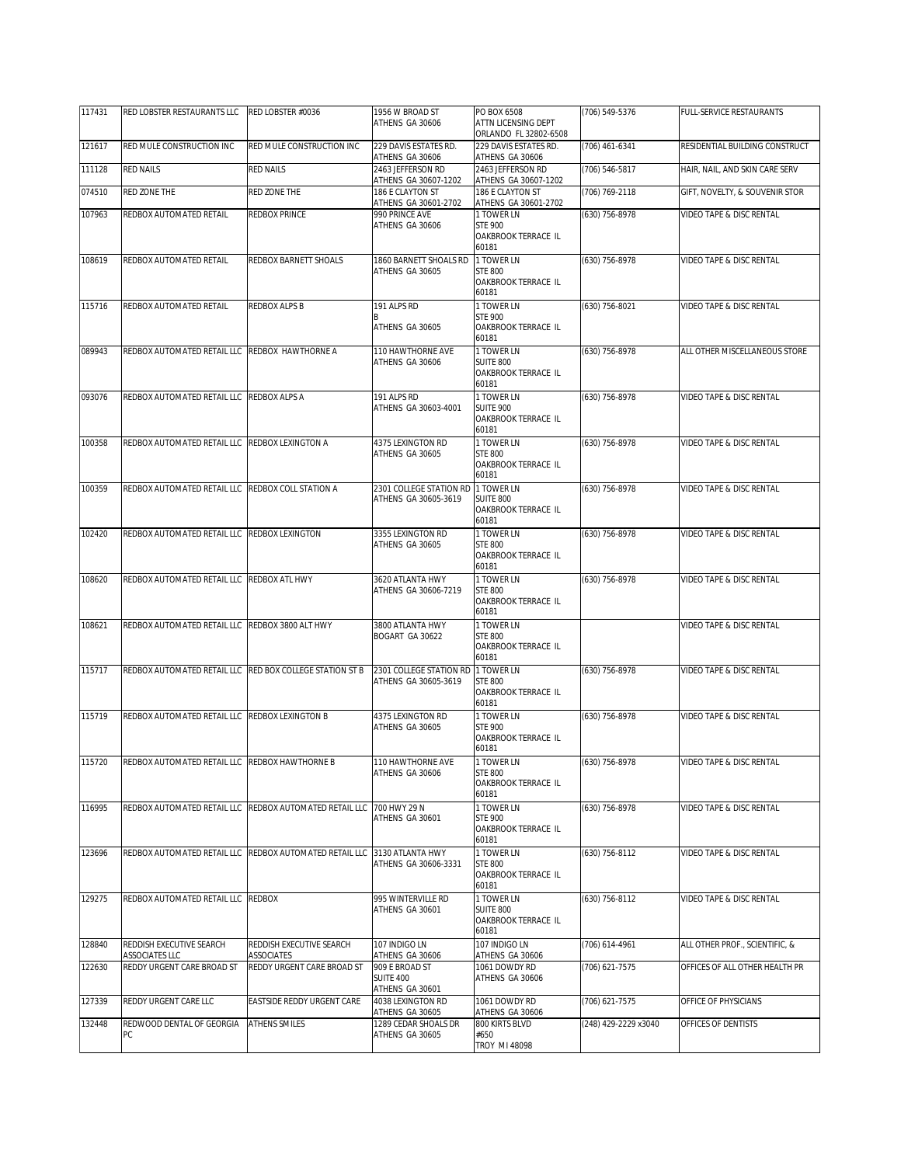| 117431 | RED LOBSTER RESTAURANTS LLC                     | RED LOBSTER #0036                                                        | 1956 W BROAD ST<br>ATHENS GA 30606        | PO BOX 6508<br>ATTN LICENSING DEPT                    | (706) 549-5376       | FULL-SERVICE RESTAURANTS            |
|--------|-------------------------------------------------|--------------------------------------------------------------------------|-------------------------------------------|-------------------------------------------------------|----------------------|-------------------------------------|
|        |                                                 |                                                                          |                                           | ORLANDO FL 32802-6508                                 |                      |                                     |
| 121617 | RED MULE CONSTRUCTION INC                       | RED MULE CONSTRUCTION INC                                                | 229 DAVIS ESTATES RD.<br>ATHENS GA 30606  | 229 DAVIS ESTATES RD.<br>ATHENS GA 30606              | (706) 461-6341       | RESIDENTIAL BUILDING CONSTRUCT      |
| 111128 | <b>RED NAILS</b>                                | <b>RED NAILS</b>                                                         | 2463 JEFFERSON RD<br>ATHENS GA 30607-1202 | 2463 JEFFERSON RD<br>ATHENS GA 30607-1202             | (706) 546-5817       | HAIR, NAIL, AND SKIN CARE SERV      |
| 074510 | RED ZONE THE                                    | RED ZONE THE                                                             | 186 E CLAYTON ST<br>ATHENS GA 30601-2702  | 186 E CLAYTON ST<br>ATHENS GA 30601-2702              | (706) 769-2118       | GIFT, NOVELTY, & SOUVENIR STOR      |
| 107963 | REDBOX AUTOMATED RETAIL                         | REDBOX PRINCE                                                            | 990 PRINCE AVE                            | 1 TOWER LN                                            | (630) 756-8978       | VIDEO TAPE & DISC RENTAL            |
|        |                                                 |                                                                          | ATHENS GA 30606                           | <b>STE 900</b><br>OAKBROOK TERRACE IL<br>60181        |                      |                                     |
| 108619 | REDBOX AUTOMATED RETAIL                         | REDBOX BARNETT SHOALS                                                    | 1860 BARNETT SHOALS RD                    | 1 TOWER LN                                            | (630) 756-8978       | <b>VIDEO TAPE &amp; DISC RENTAL</b> |
|        |                                                 |                                                                          | ATHENS GA 30605                           | <b>STE 800</b><br>OAKBROOK TERRACE IL<br>60181        |                      |                                     |
| 115716 | REDBOX AUTOMATED RETAIL                         | REDBOX ALPS B                                                            | 191 ALPS RD                               | 1 TOWER LN<br><b>STE 900</b>                          | (630) 756-8021       | VIDEO TAPE & DISC RENTAL            |
|        |                                                 |                                                                          | ATHENS GA 30605                           | OAKBROOK TERRACE IL<br>60181                          |                      |                                     |
| 089943 | REDBOX AUTOMATED RETAIL LLC REDBOX HAWTHORNE A  |                                                                          | 110 HAWTHORNE AVE                         | 1 TOWER LN                                            | (630) 756-8978       | ALL OTHER MISCELLANEOUS STORE       |
|        |                                                 |                                                                          | ATHENS GA 30606                           | SUITE 800<br>OAKBROOK TERRACE IL<br>60181             |                      |                                     |
| 093076 | REDBOX AUTOMATED RETAIL LLC                     | REDBOX ALPS A                                                            | 191 ALPS RD                               | 1 TOWER LN                                            | (630) 756-8978       | VIDEO TAPE & DISC RENTAL            |
|        |                                                 |                                                                          | ATHENS GA 30603-4001                      | <b>SUITE 900</b><br>OAKBROOK TERRACE IL<br>60181      |                      |                                     |
| 100358 | REDBOX AUTOMATED RETAIL LLC                     | REDBOX LEXINGTON A                                                       | 4375 LEXINGTON RD                         | 1 TOWER LN                                            | (630) 756-8978       | VIDEO TAPE & DISC RENTAL            |
|        |                                                 |                                                                          | ATHENS GA 30605                           | <b>STE 800</b><br><b>OAKBROOK TERRACE IL</b><br>60181 |                      |                                     |
| 100359 | REDBOX AUTOMATED RETAIL LLC                     | REDBOX COLL STATION A                                                    | 2301 COLLEGE STATION RD                   | 1 TOWER LN                                            | (630) 756-8978       | VIDEO TAPE & DISC RENTAL            |
|        |                                                 |                                                                          | ATHENS GA 30605-3619                      | SUITE 800<br>OAKBROOK TERRACE IL<br>60181             |                      |                                     |
| 102420 | REDBOX AUTOMATED RETAIL LLC                     | REDBOX LEXINGTON                                                         | 3355 LEXINGTON RD                         | 1 TOWER LN                                            | (630) 756-8978       | VIDEO TAPE & DISC RENTAL            |
|        |                                                 |                                                                          | ATHENS GA 30605                           | <b>STE 800</b><br>OAKBROOK TERRACE IL<br>60181        |                      |                                     |
| 108620 | REDBOX AUTOMATED RETAIL LLC REDBOX ATL HWY      |                                                                          | 3620 ATLANTA HWY                          | 1 TOWER LN                                            | (630) 756-8978       | VIDEO TAPE & DISC RENTAL            |
|        |                                                 |                                                                          | ATHENS GA 30606-7219                      | <b>STE 800</b><br>OAKBROOK TERRACE IL<br>60181        |                      |                                     |
| 108621 | REDBOX AUTOMATED RETAIL LLC REDBOX 3800 ALT HWY |                                                                          | 3800 ATLANTA HWY                          | 1 TOWER LN                                            |                      | VIDEO TAPE & DISC RENTAL            |
|        |                                                 |                                                                          | BOGART GA 30622                           | <b>STE 800</b><br>OAKBROOK TERRACE IL<br>60181        |                      |                                     |
| 115717 | REDBOX AUTOMATED RETAIL LLC                     | RED BOX COLLEGE STATION ST B                                             | 2301 COLLEGE STATION RD 1 TOWER LN        |                                                       | (630) 756-8978       | VIDEO TAPE & DISC RENTAL            |
|        |                                                 |                                                                          | ATHENS GA 30605-3619                      | <b>STE 800</b><br><b>OAKBROOK TERRACE IL</b><br>60181 |                      |                                     |
| 115719 | REDBOX AUTOMATED RETAIL LLC                     | REDBOX LEXINGTON B                                                       | 4375 LEXINGTON RD                         | 1 TOWER LN                                            | (630) 756-8978       | VIDEO TAPE & DISC RENTAL            |
|        |                                                 |                                                                          | ATHENS GA 30605                           | <b>STE 900</b><br>OAKBROOK TERRACE IL<br>60181        |                      |                                     |
| 115720 | REDBOX AUTOMATED RETAIL LLC REDBOX HAWTHORNE B  |                                                                          | 110 HAWTHORNE AVE                         | 1 TOWER LN                                            | (630) 756-8978       | VIDEO TAPE & DISC RENTAL            |
|        |                                                 |                                                                          | ATHENS GA 30606                           | <b>STE 800</b><br>OAKBROOK TERRACE IL<br>60181        |                      |                                     |
| 116995 | REDBOX AUTOMATED RETAIL LLC                     | REDBOX AUTOMATED RETAIL LLC                                              | 700 HWY 29 N                              | 1 TOWER LN                                            | (630) 756-8978       | VIDEO TAPE & DISC RENTAL            |
|        |                                                 |                                                                          | ATHENS GA 30601                           | <b>STE 900</b><br>OAKBROOK TERRACE IL<br>60181        |                      |                                     |
| 123696 |                                                 | REDBOX AUTOMATED RETAIL LLC REDBOX AUTOMATED RETAIL LLC 3130 ATLANTA HWY |                                           | 1 TOWER LN                                            | (630) 756-8112       | VIDEO TAPE & DISC RENTAL            |
|        |                                                 |                                                                          | ATHENS GA 30606-3331                      | <b>STE 800</b><br>OAKBROOK TERRACE IL<br>60181        |                      |                                     |
| 129275 | REDBOX AUTOMATED RETAIL LLC REDBOX              |                                                                          | 995 WINTERVILLE RD                        | 1 TOWER LN                                            | (630) 756-8112       | VIDEO TAPE & DISC RENTAL            |
|        |                                                 |                                                                          | ATHENS GA 30601                           | SUITE 800<br>OAKBROOK TERRACE IL<br>60181             |                      |                                     |
| 128840 | REDDISH EXECUTIVE SEARCH<br>ASSOCIATES LLC      | REDDISH EXECUTIVE SEARCH<br><b>ASSOCIATES</b>                            | 107 INDIGO LN<br>ATHENS GA 30606          | 107 INDIGO LN<br>ATHENS GA 30606                      | (706) 614-4961       | ALL OTHER PROF., SCIENTIFIC, &      |
| 122630 | REDDY URGENT CARE BROAD ST                      | REDDY URGENT CARE BROAD ST                                               | 909 E BROAD ST                            | 1061 DOWDY RD                                         | (706) 621-7575       | OFFICES OF ALL OTHER HEALTH PR      |
|        |                                                 |                                                                          | <b>SUITE 400</b><br>ATHENS GA 30601       | ATHENS GA 30606                                       |                      |                                     |
| 127339 | REDDY URGENT CARE LLC                           | EASTSIDE REDDY URGENT CARE                                               | 4038 LEXINGTON RD<br>ATHENS GA 30605      | 1061 DOWDY RD<br>ATHENS GA 30606                      | (706) 621-7575       | OFFICE OF PHYSICIANS                |
| 132448 | REDWOOD DENTAL OF GEORGIA<br>PC                 | <b>ATHENS SMILES</b>                                                     | 1289 CEDAR SHOALS DR<br>ATHENS GA 30605   | 800 KIRTS BLVD<br>#650                                | (248) 429-2229 x3040 | OFFICES OF DENTISTS                 |
|        |                                                 |                                                                          |                                           | TROY MI 48098                                         |                      |                                     |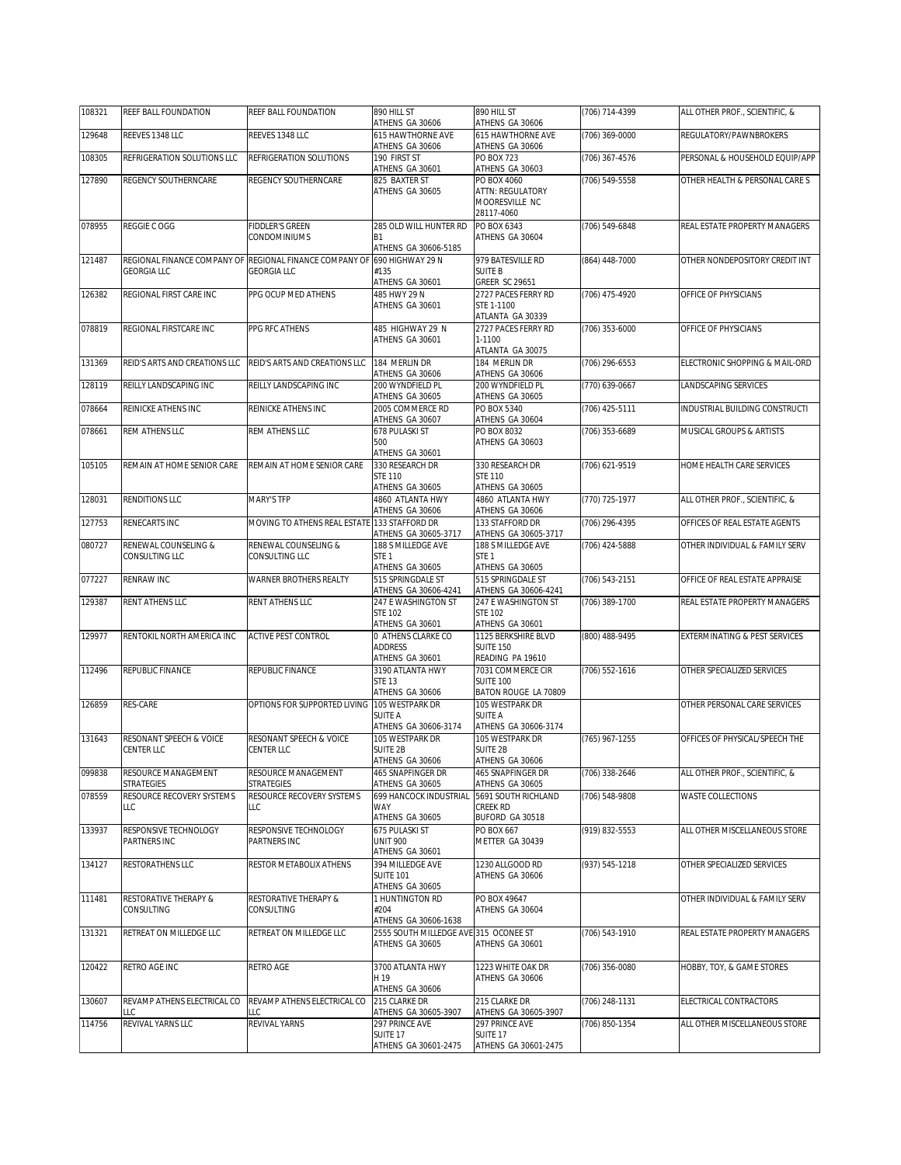| 108321 | REEF BALL FOUNDATION                         | REEF BALL FOUNDATION                                                          | 890 HILL ST<br>ATHENS GA 30606                                             | 890 HILL ST<br>ATHENS GA 30606                                                 | (706) 714-4399 | ALL OTHER PROF., SCIENTIFIC, & |
|--------|----------------------------------------------|-------------------------------------------------------------------------------|----------------------------------------------------------------------------|--------------------------------------------------------------------------------|----------------|--------------------------------|
| 129648 | REEVES 1348 LLC                              | REEVES 1348 LLC                                                               | 615 HAWTHORNE AVE<br>ATHENS GA 30606                                       | 615 HAWTHORNE AVE<br>ATHENS GA 30606                                           | (706) 369-0000 | REGULATORY/PAWNBROKERS         |
| 108305 | REFRIGERATION SOLUTIONS LLC                  | REFRIGERATION SOLUTIONS                                                       | 190 FIRST ST                                                               | <b>PO BOX 723</b>                                                              | (706) 367-4576 | PERSONAL & HOUSEHOLD EQUIP/APP |
| 127890 | REGENCY SOUTHERNCARE                         | REGENCY SOUTHERNCARE                                                          | ATHENS GA 30601<br>825 BAXTER ST                                           | ATHENS GA 30603<br>PO BOX 4060                                                 | (706) 549-5558 | OTHER HEALTH & PERSONAL CARE S |
|        |                                              |                                                                               | ATHENS GA 30605                                                            | <b>ATTN: REGULATORY</b><br>MOORESVILLE NC<br>28117-4060                        |                |                                |
| 078955 | REGGIE C OGG                                 | <b>FIDDLER'S GREEN</b><br>CONDOMINIUMS                                        | 285 OLD WILL HUNTER RD<br><b>B1</b><br>ATHENS GA 30606-5185                | PO BOX 6343<br>ATHENS GA 30604                                                 | (706) 549-6848 | REAL ESTATE PROPERTY MANAGERS  |
| 121487 | <b>GEORGIA LLC</b>                           | REGIONAL FINANCE COMPANY OF REGIONAL FINANCE COMPANY OF<br><b>GEORGIA LLC</b> | 690 HIGHWAY 29 N<br>#135<br>ATHENS GA 30601                                | 979 BATESVILLE RD<br><b>SUITE B</b><br>GREER SC 29651                          | (864) 448-7000 | OTHER NONDEPOSITORY CREDIT INT |
| 126382 | REGIONAL FIRST CARE INC                      | PPG OCUP MED ATHENS                                                           | 485 HWY 29 N<br>ATHENS GA 30601                                            | 2727 PACES FERRY RD<br>STE 1-1100<br>ATLANTA GA 30339                          | (706) 475-4920 | OFFICE OF PHYSICIANS           |
| 078819 | REGIONAL FIRSTCARE INC                       | PPG RFC ATHENS                                                                | 485 HIGHWAY 29 N<br>ATHENS GA 30601                                        | 2727 PACES FERRY RD<br>1-1100<br>ATLANTA GA 30075                              | (706) 353-6000 | OFFICE OF PHYSICIANS           |
| 131369 | REID'S ARTS AND CREATIONS LLC                | REID'S ARTS AND CREATIONS LLC                                                 | 184 MERLIN DR<br>ATHENS GA 30606                                           | 184 MERLIN DR<br>ATHENS GA 30606                                               | (706) 296-6553 | ELECTRONIC SHOPPING & MAIL-ORD |
| 128119 | REILLY LANDSCAPING INC                       | REILLY LANDSCAPING INC                                                        | 200 WYNDFIELD PL<br>ATHENS GA 30605                                        | 200 WYNDFIELD PL<br>ATHENS GA 30605                                            | (770) 639-0667 | LANDSCAPING SERVICES           |
| 078664 | REINICKE ATHENS INC                          | REINICKE ATHENS INC                                                           | 2005 COMMERCE RD<br>ATHENS GA 30607                                        | PO BOX 5340<br>ATHENS GA 30604                                                 | (706) 425-5111 | INDUSTRIAL BUILDING CONSTRUCTI |
| 078661 | REM ATHENS LLC                               | REM ATHENS LLC                                                                | 678 PULASKI ST<br>500                                                      | PO BOX 8032<br>ATHENS GA 30603                                                 | (706) 353-6689 | MUSICAL GROUPS & ARTISTS       |
| 105105 | REMAIN AT HOME SENIOR CARE                   | REMAIN AT HOME SENIOR CARE                                                    | ATHENS GA 30601<br>330 RESEARCH DR<br><b>STE 110</b>                       | 330 RESEARCH DR<br><b>STE 110</b>                                              | (706) 621-9519 | HOME HEALTH CARE SERVICES      |
| 128031 | <b>RENDITIONS LLC</b>                        | <b>MARY'S TFP</b>                                                             | ATHENS GA 30605<br>4860 ATI ANTA HWY                                       | ATHENS GA 30605<br>4860 ATLANTA HWY                                            | (770) 725-1977 | ALL OTHER PROF SCIENTIFIC. &   |
| 127753 | RENECARTS INC                                | MOVING TO ATHENS REAL ESTATE 133 STAFFORD DR                                  | ATHENS GA 30606                                                            | ATHENS GA 30606<br>133 STAFFORD DR                                             | (706) 296-4395 | OFFICES OF REAL ESTATE AGENTS  |
| 080727 | RENEWAL COUNSELING &<br>CONSULTING LLC       | RENEWAL COUNSELING &<br>CONSULTING LLC                                        | ATHENS GA 30605-3717<br>188 S MILLEDGE AVE<br>STE <sub>1</sub>             | ATHENS GA 30605-3717<br>188 S MILLEDGE AVE<br>STE <sub>1</sub>                 | (706) 424-5888 | OTHER INDIVIDUAL & FAMILY SERV |
| 077227 | <b>RENRAW INC</b>                            | WARNER BROTHERS REALTY                                                        | ATHENS GA 30605<br>515 SPRINGDALE ST                                       | ATHENS GA 30605<br>515 SPRINGDALE ST                                           | (706) 543-2151 | OFFICE OF REAL ESTATE APPRAISE |
| 129387 | RENT ATHENS LLC                              | RENT ATHENS LLC                                                               | ATHENS GA 30606-4241<br>247 E WASHINGTON ST<br><b>STE 102</b>              | ATHENS GA 30606-4241<br>247 E WASHINGTON ST<br><b>STE 102</b>                  | (706) 389-1700 | REAL ESTATE PROPERTY MANAGERS  |
| 129977 | RENTOKIL NORTH AMERICA INC                   | ACTIVE PEST CONTROL                                                           | ATHENS GA 30601<br>0 ATHENS CLARKE CO<br><b>ADDRESS</b><br>ATHENS GA 30601 | ATHENS GA 30601<br>1125 BERKSHIRE BLVD<br><b>SUITE 150</b><br>READING PA 19610 | (800) 488-9495 | EXTERMINATING & PEST SERVICES  |
| 112496 | REPUBLIC FINANCE                             | REPUBLIC FINANCE                                                              | 3190 ATLANTA HWY<br><b>STE 13</b><br>ATHENS GA 30606                       | 7031 COMMERCE CIR<br><b>SUITE 100</b><br>BATON ROUGE LA 70809                  | (706) 552-1616 | OTHER SPECIALIZED SERVICES     |
| 126859 | RES-CARE                                     | OPTIONS FOR SUPPORTED LIVING                                                  | 105 WESTPARK DR<br><b>SUITE A</b><br>ATHENS GA 30606-3174                  | 105 WESTPARK DR<br>SUITE A<br>ATHENS GA 30606-3174                             |                | OTHER PERSONAL CARE SERVICES   |
| 131643 | RESONANT SPEECH & VOICE<br><b>CENTER LLC</b> | RESONANT SPEECH & VOICE<br>CENTER LLC                                         | 105 WESTPARK DR<br><b>SUITE 2B</b><br>ATHENS GA 30606                      | 105 WESTPARK DR<br>SUITE 2B<br>ATHENS GA 30606                                 | (765) 967-1255 | OFFICES OF PHYSICAL/SPEECH THE |
| 099838 | RESOURCE MANAGEMENT<br>STRATEGIES            | RESOURCE MANAGEMENT<br>STRATEGIES                                             | 465 SNAPFINGER DR<br>ATHENS GA 30605                                       | 465 SNAPFINGER DR<br>ATHENS GA 30605                                           | (706) 338-2646 | ALL OTHER PROF., SCIENTIFIC, & |
| 078559 | RESOURCE RECOVERY SYSTEMS<br>LLC             | RESOURCE RECOVERY SYSTEMS<br>LLC                                              | 699 HANCOCK INDUSTRIAL<br>WAY<br>ATHENS GA 30605                           | 5691 SOUTH RICHLAND<br>CREEK RD<br>BUFORD GA 30518                             | (706) 548-9808 | WASTE COLLECTIONS              |
| 133937 | RESPONSIVE TECHNOLOGY<br>PARTNERS INC        | RESPONSIVE TECHNOLOGY<br>PARTNERS INC                                         | 675 PULASKI ST<br><b>UNIT 900</b><br>ATHENS GA 30601                       | PO BOX 667<br>METTER GA 30439                                                  | (919) 832-5553 | ALL OTHER MISCELLANEOUS STORE  |
| 134127 | RESTORATHENS LLC                             | RESTOR METABOLIX ATHENS                                                       | 394 MILLEDGE AVE<br><b>SUITE 101</b><br>ATHENS GA 30605                    | 1230 ALLGOOD RD<br>ATHENS GA 30606                                             | (937) 545-1218 | OTHER SPECIALIZED SERVICES     |
| 111481 | RESTORATIVE THERAPY &<br>CONSULTING          | RESTORATIVE THERAPY &<br>CONSULTING                                           | 1 HUNTINGTON RD<br>#204<br>ATHENS GA 30606-1638                            | PO BOX 49647<br>ATHENS GA 30604                                                |                | OTHER INDIVIDUAL & FAMILY SERV |
| 131321 | RETREAT ON MILLEDGE LLC                      | RETREAT ON MILLEDGE LLC                                                       | 2555 SOUTH MILLEDGE AVE 315 OCONEE ST<br>ATHENS GA 30605                   | ATHENS GA 30601                                                                | (706) 543-1910 | REAL ESTATE PROPERTY MANAGERS  |
| 120422 | RETRO AGE INC                                | RETRO AGE                                                                     | 3700 ATLANTA HWY<br>H 19<br>ATHENS GA 30606                                | 1223 WHITE OAK DR<br>ATHENS GA 30606                                           | (706) 356-0080 | HOBBY, TOY, & GAME STORES      |
| 130607 | REVAMP ATHENS ELECTRICAL CO<br>LLC           | REVAMP ATHENS ELECTRICAL CO<br>LLC                                            | 215 CLARKE DR<br>ATHENS GA 30605-3907                                      | 215 CLARKE DR<br>ATHENS GA 30605-3907                                          | (706) 248-1131 | ELECTRICAL CONTRACTORS         |
| 114756 | REVIVAL YARNS LLC                            | REVIVAL YARNS                                                                 | 297 PRINCE AVE<br>SUITE 17<br>ATHENS GA 30601-2475                         | 297 PRINCE AVE<br>Suite 17<br>ATHENS GA 30601-2475                             | (706) 850-1354 | ALL OTHER MISCELLANEOUS STORE  |
|        |                                              |                                                                               |                                                                            |                                                                                |                |                                |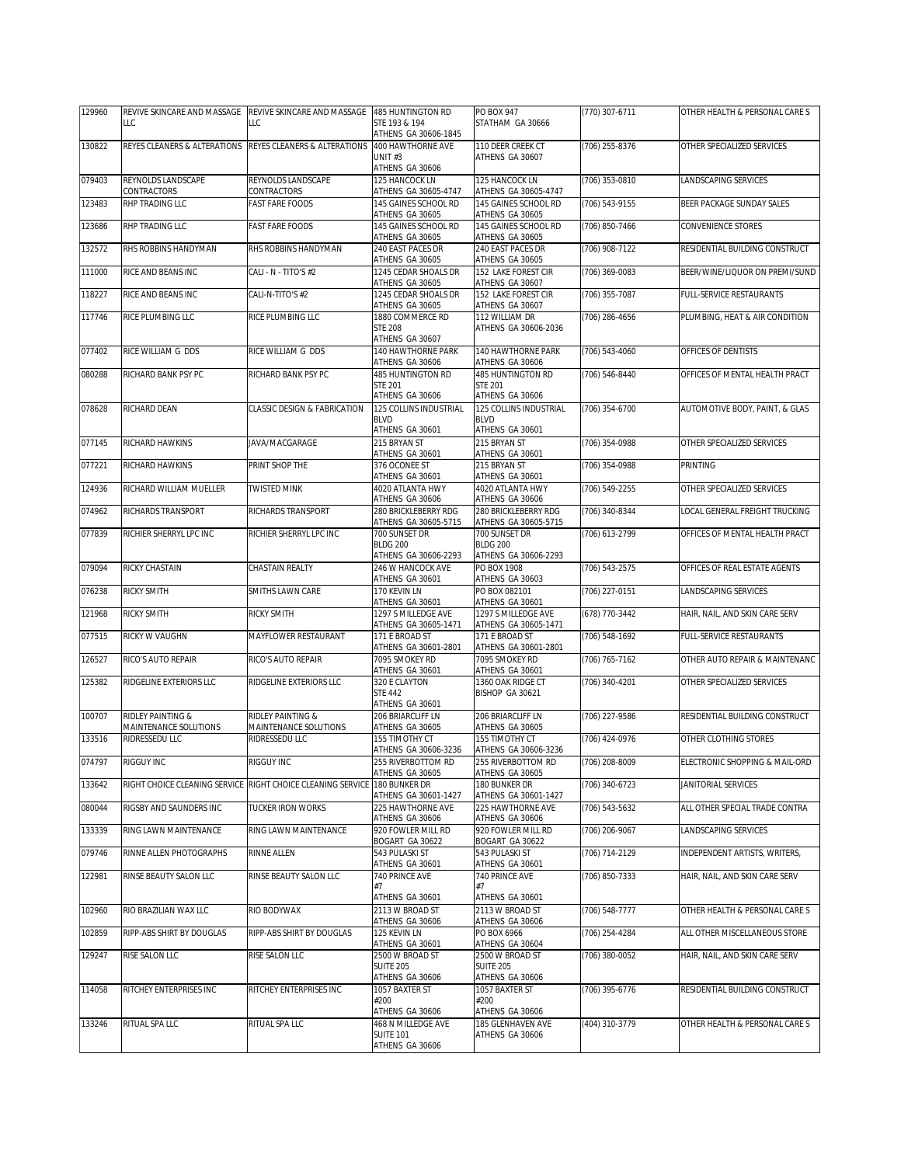| 129960 | REVIVE SKINCARE AND MASSAGE                | REVIVE SKINCARE AND MASSAGE                                 | 485 HUNTINGTON RD                                               | PO BOX 947                                                      | (770) 307-6711   | OTHER HEALTH & PERSONAL CARE S |
|--------|--------------------------------------------|-------------------------------------------------------------|-----------------------------------------------------------------|-----------------------------------------------------------------|------------------|--------------------------------|
|        | LLC                                        | LLC                                                         | STE 193 & 194<br>ATHENS GA 30606-1845                           | STATHAM GA 30666                                                |                  |                                |
| 130822 | REYES CLEANERS & ALTERATIONS               | REYES CLEANERS & ALTERATIONS                                | 400 HAWTHORNE AVE<br>UNIT#3<br>ATHENS GA 30606                  | 110 DEER CREEK CT<br>ATHENS GA 30607                            | (706) 255-8376   | OTHER SPECIALIZED SERVICES     |
| 079403 | REYNOLDS LANDSCAPE                         | REYNOLDS LANDSCAPE                                          | 125 HANCOCK LN                                                  | 125 HANCOCK LN                                                  | (706) 353-0810   | LANDSCAPING SERVICES           |
| 123483 | CONTRACTORS<br>RHP TRADING LLC             | CONTRACTORS<br><b>FAST FARE FOODS</b>                       | ATHENS GA 30605-4747<br>145 GAINES SCHOOL RD<br>ATHENS GA 30605 | ATHENS GA 30605-4747<br>145 GAINES SCHOOL RD<br>ATHENS GA 30605 | (706) 543-9155   | BEER PACKAGE SUNDAY SALES      |
| 123686 | <b>RHP TRADING LLC</b>                     | <b>FAST FARE FOODS</b>                                      | 145 GAINES SCHOOL RD<br>ATHENS GA 30605                         | 145 GAINES SCHOOL RD<br>ATHENS GA 30605                         | (706) 850-7466   | CONVENIENCE STORES             |
| 132572 | RHS ROBBINS HANDYMAN                       | RHS ROBBINS HANDYMAN                                        | 240 EAST PACES DR<br>ATHENS GA 30605                            | 240 EAST PACES DR<br>ATHENS GA 30605                            | (706) 908-7122   | RESIDENTIAL BUILDING CONSTRUCT |
| 111000 | RICE AND BEANS INC                         | CALI - N - TITO'S #2                                        | 1245 CEDAR SHOALS DR<br>ATHENS GA 30605                         | 152 LAKE FOREST CIR<br>ATHENS GA 30607                          | (706) 369-0083   | BEER/WINE/LIQUOR ON PREMI/SUND |
| 118227 | RICE AND BEANS INC                         | CALI-N-TITO'S #2                                            | 1245 CEDAR SHOALS DR<br>ATHENS GA 30605                         | 152 LAKE FOREST CIR<br>ATHENS GA 30607                          | (706) 355-7087   | FULL-SERVICE RESTAURANTS       |
| 117746 | RICE PLUMBING LLC                          | RICE PLUMBING LLC                                           | 1880 COMMERCE RD<br><b>STE 208</b><br>ATHENS GA 30607           | 112 WILLIAM DR<br>ATHENS GA 30606-2036                          | (706) 286-4656   | PLUMBING, HEAT & AIR CONDITION |
| 077402 | RICE WILLIAM G DDS                         | RICE WILLIAM G DDS                                          | 140 HAWTHORNE PARK<br>ATHENS GA 30606                           | 140 HAWTHORNE PARK<br>ATHENS GA 30606                           | (706) 543-4060   | OFFICES OF DENTISTS            |
| 080288 | RICHARD BANK PSY PC                        | RICHARD BANK PSY PC                                         | 485 HUNTINGTON RD<br><b>STE 201</b><br>ATHENS GA 30606          | 485 HUNTINGTON RD<br><b>STE 201</b><br>ATHENS GA 30606          | (706) 546-8440   | OFFICES OF MENTAL HEALTH PRACT |
| 078628 | RICHARD DEAN                               | CLASSIC DESIGN & FABRICATION                                | 125 COLLINS INDUSTRIAL<br><b>BLVD</b>                           | 125 COLLINS INDUSTRIAL<br><b>BLVD</b>                           | (706) 354-6700   | AUTOMOTIVE BODY, PAINT, & GLAS |
| 077145 | RICHARD HAWKINS                            | JAVA/MACGARAGE                                              | ATHENS GA 30601<br>215 BRYAN ST                                 | ATHENS GA 30601<br>215 BRYAN ST                                 | (706) 354-0988   | OTHER SPECIALIZED SERVICES     |
| 077221 | RICHARD HAWKINS                            | PRINT SHOP THE                                              | ATHENS GA 30601<br>376 OCONEE ST                                | ATHENS GA 30601<br>215 BRYAN ST                                 | (706) 354-0988   | <b>PRINTING</b>                |
|        |                                            |                                                             | ATHENS GA 30601                                                 | ATHENS GA 30601                                                 |                  |                                |
| 124936 | RICHARD WILLIAM MUELLER                    | <b>TWISTED MINK</b>                                         | 4020 ATLANTA HWY<br>ATHENS GA 30606                             | 4020 ATLANTA HWY<br>ATHENS GA 30606                             | (706) 549-2255   | OTHER SPECIALIZED SERVICES     |
| 074962 | RICHARDS TRANSPORT                         | RICHARDS TRANSPORT                                          | 280 BRICKLEBERRY RDG<br>ATHENS GA 30605-5715                    | 280 BRICKLEBERRY RDG<br>ATHENS GA 30605-5715                    | (706) 340-8344   | OCAL GENERAL FREIGHT TRUCKING  |
| 077839 | RICHIER SHERRYL LPC INC                    | RICHIER SHERRYL LPC INC                                     | 700 SUNSET DR<br><b>BLDG 200</b><br>ATHENS GA 30606-2293        | 700 SUNSET DR<br><b>BLDG 200</b><br>ATHENS GA 30606-2293        | (706) 613-2799   | OFFICES OF MENTAL HEALTH PRACT |
| 079094 | RICKY CHASTAIN                             | CHASTAIN REALTY                                             | 246 W HANCOCK AVE<br>ATHENS GA 30601                            | PO BOX 1908<br>ATHENS GA 30603                                  | (706) 543-2575   | OFFICES OF REAL ESTATE AGENTS  |
| 076238 | RICKY SMITH                                | SMITHS LAWN CARE                                            | 170 KEVIN LN<br>ATHENS GA 30601                                 | PO BOX 082101<br>ATHENS GA 30601                                | (706) 227-0151   | LANDSCAPING SERVICES           |
| 121968 | RICKY SMITH                                | RICKY SMITH                                                 | 1297 S MILLEDGE AVE<br>ATHENS GA 30605-1471                     | 1297 S MILLEDGE AVE<br>ATHENS GA 30605-1471                     | (678) 770-3442   | HAIR, NAIL, AND SKIN CARE SERV |
| 077515 | RICKY W VAUGHN                             | MAYFLOWER RESTAURANT                                        | 171 E BROAD ST<br>ATHENS GA 30601-2801                          | 171 E BROAD ST<br>ATHENS GA 30601-2801                          | (706) 548-1692   | FULL-SERVICE RESTAURANTS       |
| 126527 | RICO'S AUTO REPAIR                         | RICO'S AUTO REPAIR                                          | 7095 SMOKEY RD<br>ATHENS GA 30601                               | 7095 SMOKEY RD<br>ATHENS GA 30601                               | (706) 765-7162   | OTHER AUTO REPAIR & MAINTENANC |
| 125382 | RIDGELINE EXTERIORS LLC                    | RIDGELINE EXTERIORS LLC                                     | 320 E CLAYTON<br><b>STE 442</b><br>ATHENS GA 30601              | 1360 OAK RIDGE CT<br>BISHOP GA 30621                            | (706) 340-4201   | OTHER SPECIALIZED SERVICES     |
| 100707 | RIDLEY PAINTING &<br>MAINTENANCE SOLUTIONS | RIDLEY PAINTING &<br>MAINTENANCE SOLUTIONS                  | 206 BRIARCLIFF LN<br>ATHENS GA 30605                            | 206 BRIARCLIFF LN<br>ATHENS GA 30605                            | (706) 227-9586   | RESIDENTIAL BUILDING CONSTRUCT |
| 133516 | RIDRESSEDU LLC                             | RIDRESSEDU LLC                                              | 155 TIMOTHY CT<br>ATHENS GA 30606-3236                          | 155 TIMOTHY CT<br>ATHENS GA 30606-3236                          | $(706)$ 424-0976 | OTHER CLOTHING STORES          |
| 074797 | RIGGUY INC                                 | <b>RIGGUY INC</b>                                           | 255 RIVERBOTTOM RD<br>ATHENS GA 30605                           | 255 RIVERBOTTOM RD<br>ATHENS GA 30605                           | (706) 208-8009   | ELECTRONIC SHOPPING & MAIL-ORD |
| 133642 |                                            | RIGHT CHOICE CLEANING SERVICE RIGHT CHOICE CLEANING SERVICE | 180 BUNKER DR<br>ATHENS GA 30601-1427                           | 180 BUNKER DR<br>ATHENS GA 30601-1427                           | (706) 340-6723   | JANITORIAL SERVICES            |
| 080044 | RIGSBY AND SAUNDERS INC                    | <b>TUCKER IRON WORKS</b>                                    | 225 HAWTHORNE AVE<br>ATHENS GA 30606                            | 225 HAWTHORNF AVF<br>ATHENS GA 30606                            | (706) 543-5632   | ALL OTHER SPECIAL TRADE CONTRA |
| 133339 | RING LAWN MAINTENANCE                      | RING LAWN MAINTENANCE                                       | 920 FOWLER MILL RD<br>BOGART GA 30622                           | 920 FOWLER MILL RD<br>BOGART GA 30622                           | (706) 206-9067   | LANDSCAPING SERVICES           |
| 079746 | RINNE ALLEN PHOTOGRAPHS                    | RINNE ALLEN                                                 | 543 PULASKI ST<br>ATHENS GA 30601                               | 543 PULASKI ST<br>ATHENS GA 30601                               | (706) 714-2129   | INDEPENDENT ARTISTS, WRITERS,  |
| 122981 | RINSE BEAUTY SALON LLC                     | RINSE BEAUTY SALON LLC                                      | 740 PRINCE AVE<br>#7                                            | 740 PRINCE AVE<br>#7                                            | (706) 850-7333   | HAIR, NAIL, AND SKIN CARE SERV |
| 102960 | RIO BRAZILIAN WAX LLC                      | RIO BODYWAX                                                 | ATHENS GA 30601<br>2113 W BROAD ST                              | ATHENS GA 30601<br>2113 W BROAD ST                              | (706) 548-7777   | OTHER HEALTH & PERSONAL CARE S |
| 102859 | RIPP-ABS SHIRT BY DOUGLAS                  | RIPP-ABS SHIRT BY DOUGLAS                                   | ATHENS GA 30606<br>125 KEVIN LN                                 | ATHENS GA 30606<br>PO BOX 6966                                  | (706) 254-4284   | ALL OTHER MISCELLANEOUS STORE  |
| 129247 | RISE SALON LLC                             | RISE SALON LLC                                              | ATHENS GA 30601<br>2500 W BROAD ST                              | ATHENS GA 30604<br>2500 W BROAD ST                              | (706) 380-0052   | HAIR, NAIL, AND SKIN CARE SERV |
|        |                                            |                                                             | <b>SUITE 205</b><br>ATHENS GA 30606                             | <b>SUITE 205</b><br>ATHENS GA 30606                             |                  |                                |
| 114058 | RITCHEY ENTERPRISES INC                    | RITCHEY ENTERPRISES INC                                     | 1057 BAXTER ST<br>#200<br>ATHENS GA 30606                       | 1057 BAXTER ST<br>#200<br>ATHENS GA 30606                       | (706) 395-6776   | RESIDENTIAL BUILDING CONSTRUCT |
| 133246 | RITUAL SPA LLC                             | RITUAL SPA LLC                                              | 468 N MILLEDGE AVE<br><b>SUITE 101</b><br>ATHENS GA 30606       | 185 GLENHAVEN AVE<br>ATHENS GA 30606                            | (404) 310-3779   | OTHER HEALTH & PERSONAL CARE S |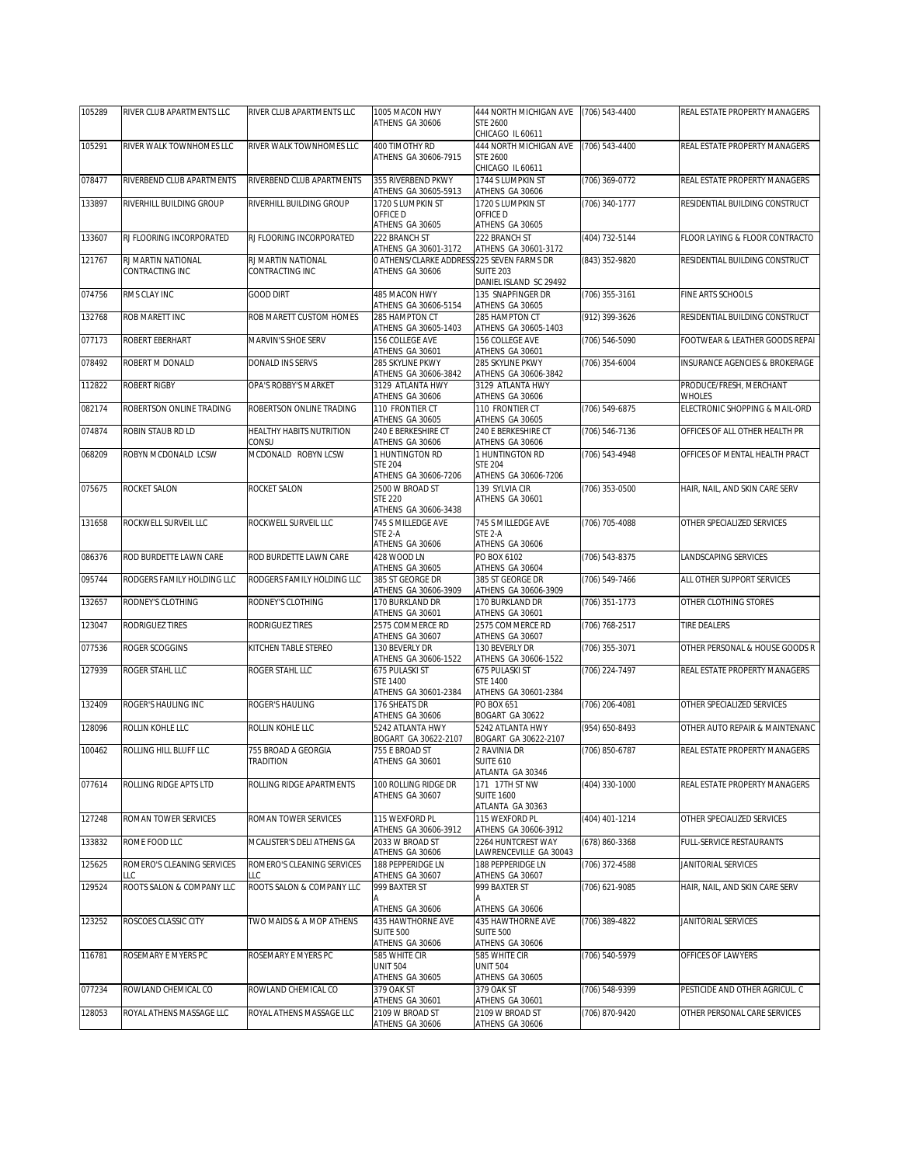| 105289 | RIVER CLUB APARTMENTS LLC             | RIVER CLUB APARTMENTS LLC                | 1005 MACON HWY<br>ATHENS GA 30606                                           | 444 NORTH MICHIGAN AVE<br><b>STE 2600</b>                                   | (706) 543-4400     | REAL ESTATE PROPERTY MANAGERS            |
|--------|---------------------------------------|------------------------------------------|-----------------------------------------------------------------------------|-----------------------------------------------------------------------------|--------------------|------------------------------------------|
|        |                                       |                                          |                                                                             | CHICAGO IL 60611                                                            |                    |                                          |
| 105291 | RIVER WALK TOWNHOMES LLC              | RIVER WALK TOWNHOMES LLC                 | 400 TIMOTHY RD<br>ATHENS GA 30606-7915                                      | 444 NORTH MICHIGAN AVE<br><b>STE 2600</b><br>CHICAGO IL 60611               | (706) 543-4400     | REAL ESTATE PROPERTY MANAGERS            |
| 078477 | RIVERBEND CLUB APARTMENTS             | RIVERBEND CLUB APARTMENTS                | 355 RIVERBEND PKWY<br>ATHENS GA 30605-5913                                  | 1744 S LUMPKIN ST<br>ATHENS GA 30606                                        | (706) 369-0772     | REAL ESTATE PROPERTY MANAGERS            |
| 133897 | RIVERHILL BUILDING GROUP              | RIVERHILL BUILDING GROUP                 | 1720 S LUMPKIN ST<br>OFFICE D<br>ATHENS GA 30605                            | 1720 S LUMPKIN ST<br>OFFICE D<br>ATHENS GA 30605                            | (706) 340-1777     | RESIDENTIAL BUILDING CONSTRUCT           |
| 133607 | RJ FLOORING INCORPORATED              | RJ FLOORING INCORPORATED                 | 222 BRANCH ST<br>ATHENS GA 30601-3172                                       | 222 BRANCH ST<br>ATHENS GA 30601-3172                                       | (404) 732-5144     | FLOOR LAYING & FLOOR CONTRACTO           |
| 121767 | RJ MARTIN NATIONAL<br>CONTRACTING INC | RJ MARTIN NATIONAL<br>CONTRACTING INC    | O ATHENS/CLARKE ADDRESS 225 SEVEN FARMS DR<br>ATHENS GA 30606               | <b>SUITE 203</b><br>DANIEL ISLAND SC 29492                                  | (843) 352-9820     | RESIDENTIAL BUILDING CONSTRUCT           |
| 074756 | RMS CLAY INC                          | <b>GOOD DIRT</b>                         | 485 MACON HWY<br>ATHENS GA 30606-5154                                       | 135 SNAPFINGER DR<br>ATHENS GA 30605                                        | (706) 355-3161     | FINE ARTS SCHOOLS                        |
| 132768 | ROB MARETT INC                        | ROB MARETT CUSTOM HOMES                  | 285 HAMPTON CT<br>ATHENS GA 30605-1403                                      | 285 HAMPTON CT<br>ATHENS GA 30605-1403                                      | (912) 399-3626     | RESIDENTIAL BUILDING CONSTRUCT           |
| 077173 | ROBERT EBERHART                       | MARVIN'S SHOE SERV                       | 156 COLLEGE AVE<br>ATHENS GA 30601                                          | 156 COLLEGE AVE<br>ATHENS GA 30601                                          | (706) 546-5090     | FOOTWEAR & LEATHER GOODS REPAI           |
| 078492 | ROBERT M DONALD                       | DONALD INS SERVS                         | 285 SKYLINE PKWY<br>ATHENS GA 30606-3842                                    | 285 SKYLINE PKWY<br>ATHENS GA 30606-3842                                    | (706) 354-6004     | INSURANCE AGENCIES & BROKERAGE           |
| 112822 | ROBERT RIGBY                          | OPA'S ROBBY'S MARKET                     | 3129 ATLANTA HWY<br>ATHENS GA 30606                                         | 3129 ATLANTA HWY<br>ATHENS GA 30606                                         |                    | PRODUCE/FRESH, MERCHANT<br><b>WHOLES</b> |
| 082174 | ROBERTSON ONLINE TRADING              | ROBERTSON ONLINE TRADING                 | 110 FRONTIER CT<br>ATHENS GA 30605                                          | 110 FRONTIER CT<br>ATHENS GA 30605                                          | (706) 549-6875     | ELECTRONIC SHOPPING & MAIL-ORD           |
| 074874 | ROBIN STAUB RD LD                     | <b>HEALTHY HABITS NUTRITION</b><br>CONSU | 240 E BERKESHIRE CT<br>ATHENS GA 30606                                      | 240 E BERKESHIRE CT<br>ATHENS GA 30606                                      | (706) 546-7136     | OFFICES OF ALL OTHER HEALTH PR           |
| 068209 | ROBYN MCDONALD LCSW                   | MCDONALD ROBYN LCSW                      | 1 HUNTINGTON RD<br><b>STE 204</b><br>ATHENS GA 30606-7206                   | 1 HUNTINGTON RD<br><b>STE 204</b><br>ATHENS GA 30606-7206                   | (706) 543-4948     | OFFICES OF MENTAL HEALTH PRACT           |
| 075675 | ROCKET SALON                          | ROCKET SALON                             | 2500 W BROAD ST<br><b>STE 220</b><br>ATHENS GA 30606-3438                   | 139 SYLVIA CIR<br>ATHENS GA 30601                                           | (706) 353-0500     | HAIR, NAIL, AND SKIN CARE SERV           |
| 131658 | ROCKWELL SURVEIL LLC                  | ROCKWELL SURVEIL LLC                     | 745 S MILLEDGE AVE<br>STE <sub>2</sub> -A<br>ATHENS GA 30606                | 745 S MILLEDGE AVE<br>STE 2-A<br>ATHENS GA 30606                            | (706) 705-4088     | OTHER SPECIALIZED SERVICES               |
| 086376 | ROD BURDETTE LAWN CARE                | ROD BURDETTE LAWN CARE                   | 428 WOOD LN<br>ATHENS GA 30605                                              | PO BOX 6102<br>ATHENS GA 30604                                              | (706) 543-8375     | LANDSCAPING SERVICES                     |
| 095744 | RODGERS FAMILY HOLDING LLC            | RODGERS FAMILY HOLDING LLC               | 385 ST GEORGE DR<br>ATHENS GA 30606-3909                                    | 385 ST GEORGE DR<br>ATHENS GA 30606-3909                                    | (706) 549-7466     | ALL OTHER SUPPORT SERVICES               |
| 132657 | RODNEY'S CLOTHING                     | RODNEY'S CLOTHING                        | 170 BURKLAND DR<br>ATHENS GA 30601                                          | 170 BURKLAND DR<br>ATHENS GA 30601                                          | $(706)$ 351-1773   | OTHER CLOTHING STORES                    |
| 123047 | RODRIGUEZ TIRES                       | RODRIGUEZ TIRES                          | 2575 COMMERCE RD<br>ATHENS GA 30607                                         | 2575 COMMERCE RD<br>ATHENS GA 30607                                         | (706) 768-2517     | <b>TIRE DEALERS</b>                      |
| 077536 | ROGER SCOGGINS                        | KITCHEN TABLE STEREO                     | 130 BEVERLY DR<br>ATHENS GA 30606-1522                                      | 130 BEVERLY DR<br>ATHENS GA 30606-1522                                      | (706) 355-3071     | OTHER PERSONAL & HOUSE GOODS R           |
| 127939 | ROGER STAHL LLC                       | ROGER STAHL LLC                          | 675 PULASKI ST<br><b>STE 1400</b><br>ATHENS GA 30601-2384                   | 675 PULASKI ST<br><b>STE 1400</b><br>ATHENS GA 30601-2384                   | (706) 224-7497     | REAL ESTATE PROPERTY MANAGERS            |
| 132409 | ROGER'S HAULING INC                   | ROGER'S HAULING                          | 176 SHEATS DR<br>ATHENS GA 30606                                            | PO BOX 651<br>BOGART GA 30622                                               | (706) 206-4081     | OTHER SPECIALIZED SERVICES               |
| 128096 | ROLLIN KOHLE LLC                      | ROLLIN KOHLE LLC                         | 5242 ATLANTA HWY<br>BOGART GA 30622-2107                                    | 5242 ATLANTA HWY<br>BOGART GA 30622-2107                                    | $(954) 650 - 8493$ | OTHER AUTO REPAIR & MAINTENANC           |
| 100462 | ROLLING HILL BLUFF LLC                | 755 BROAD A GEORGIA<br>TRADITION         | 755 E BROAD ST<br>ATHENS GA 30601                                           | 2 RAVINIA DR<br><b>SUITE 610</b><br>ATLANTA GA 30346                        | (706) 850-6787     | REAL ESTATE PROPERTY MANAGERS            |
| 077614 | ROLLING RIDGE APTS LTD                | ROLLING RIDGE APARTMENTS                 | 100 ROLLING RIDGE DR<br>ATHENS GA 30607                                     | 171 17TH ST NW<br><b>SUITE 1600</b><br>ATLANTA GA 30363                     | (404) 330-1000     | REAL ESTATE PROPERTY MANAGERS            |
| 127248 | ROMAN TOWER SERVICES                  | ROMAN TOWER SERVICES                     | 115 WEXFORD PL<br>ATHENS GA 30606-3912                                      | 115 WEXFORD PL<br>ATHENS GA 30606-3912                                      | (404) 401-1214     | OTHER SPECIALIZED SERVICES               |
| 133832 | ROME FOOD LLC                         | MCALISTER'S DELI ATHENS GA               | 2033 W BROAD ST<br>ATHENS GA 30606                                          | 2264 HUNTCREST WAY<br>LAWRENCEVILLE GA 30043                                | (678) 860-3368     | FULL-SERVICE RESTAURANTS                 |
| 125625 | ROMERO'S CLEANING SERVICES<br>LLC     | ROMERO'S CLEANING SERVICES<br>LLC        | 188 PEPPERIDGE LN<br>ATHENS GA 30607                                        | 188 PEPPERIDGE LN<br>ATHENS GA 30607                                        | (706) 372-4588     | JANITORIAL SERVICES                      |
| 129524 | ROOTS SALON & COMPANY LLC             | ROOTS SALON & COMPANY LLC                | 999 BAXTER ST                                                               | 999 BAXTER ST                                                               | (706) 621-9085     | HAIR, NAIL, AND SKIN CARE SERV           |
| 123252 | ROSCOES CLASSIC CITY                  | TWO MAIDS & A MOP ATHENS                 | ATHENS GA 30606<br>435 HAWTHORNE AVE<br><b>SUITE 500</b><br>ATHENS GA 30606 | ATHENS GA 30606<br>435 HAWTHORNE AVE<br><b>SUITE 500</b><br>ATHENS GA 30606 | (706) 389-4822     | JANITORIAL SERVICES                      |
| 116781 | ROSEMARY E MYERS PC                   | ROSEMARY E MYERS PC                      | 585 WHITE CIR<br><b>UNIT 504</b><br>ATHENS GA 30605                         | 585 WHITE CIR<br><b>UNIT 504</b><br>ATHENS GA 30605                         | (706) 540-5979     | OFFICES OF LAWYERS                       |
| 077234 | ROWLAND CHEMICAL CO                   | ROWLAND CHEMICAL CO                      | 379 OAK ST<br>ATHENS GA 30601                                               | 379 OAK ST<br>ATHENS GA 30601                                               | (706) 548-9399     | PESTICIDE AND OTHER AGRICUL. C           |
| 128053 | ROYAL ATHENS MASSAGE LLC              | ROYAL ATHENS MASSAGE LLC                 | 2109 W BROAD ST<br>ATHENS GA 30606                                          | 2109 W BROAD ST<br>ATHENS GA 30606                                          | (706) 870-9420     | OTHER PERSONAL CARE SERVICES             |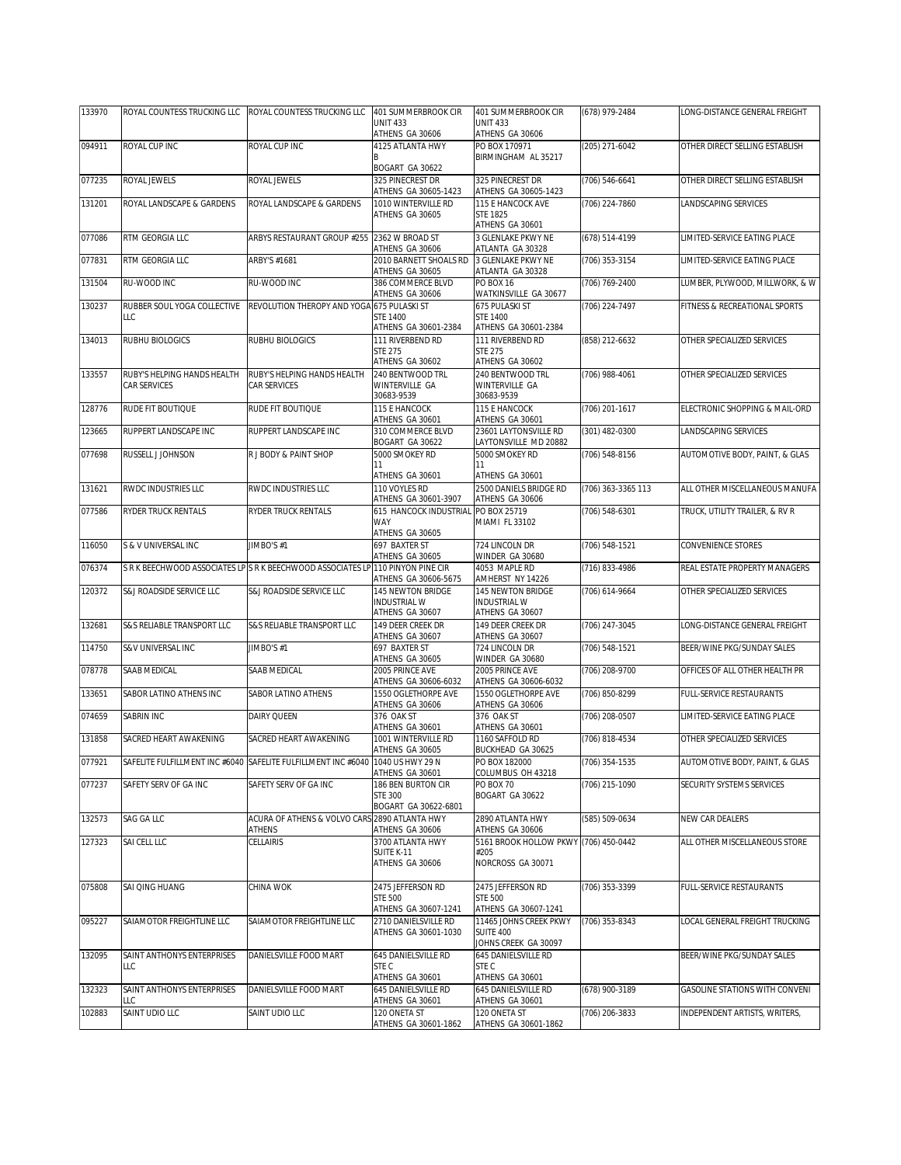| 133970 | ROYAL COUNTESS TRUCKING LLC | ROYAL COUNTESS TRUCKING LLC                                                     | 401 SUMMERBROOK CIR                         | 401 SUMMERBROOK CIR                           | (678) 979-2484     | LONG-DISTANCE GENERAL FREIGHT  |
|--------|-----------------------------|---------------------------------------------------------------------------------|---------------------------------------------|-----------------------------------------------|--------------------|--------------------------------|
|        |                             |                                                                                 | <b>UNIT 433</b><br>ATHENS GA 30606          | <b>UNIT 433</b><br>ATHENS GA 30606            |                    |                                |
| 094911 | ROYAL CUP INC               | ROYAL CUP INC                                                                   | 4125 ATLANTA HWY                            | PO BOX 170971                                 | (205) 271-6042     | OTHER DIRECT SELLING ESTABLISH |
|        |                             |                                                                                 |                                             | BIRMINGHAM AL 35217                           |                    |                                |
|        |                             |                                                                                 | BOGART GA 30622                             |                                               |                    |                                |
| 077235 | ROYAL JEWELS                | ROYAL JEWELS                                                                    | 325 PINECREST DR                            | 325 PINECREST DR                              | $(706) 546 - 6641$ | OTHER DIRECT SELLING ESTABLISH |
| 131201 | ROYAL LANDSCAPE & GARDENS   | ROYAL LANDSCAPE & GARDENS                                                       | ATHENS GA 30605-1423<br>1010 WINTERVILLE RD | ATHENS GA 30605-1423<br>115 E HANCOCK AVE     | (706) 224-7860     | LANDSCAPING SERVICES           |
|        |                             |                                                                                 | ATHENS GA 30605                             | <b>STE 1825</b>                               |                    |                                |
|        |                             |                                                                                 |                                             | ATHENS GA 30601                               |                    |                                |
| 077086 | RTM GEORGIA LLC             | ARBYS RESTAURANT GROUP #255 2362 W BROAD ST                                     | ATHENS GA 30606                             | 3 GLENLAKE PKWY NE<br>ATLANTA GA 30328        | (678) 514-4199     | LIMITED-SERVICE EATING PLACE   |
| 077831 | RTM GEORGIA LLC             | ARBY'S #1681                                                                    | 2010 BARNETT SHOALS RD                      | 3 GLENLAKE PKWY NE                            | (706) 353-3154     | LIMITED-SERVICE EATING PLACE   |
|        |                             |                                                                                 | ATHENS GA 30605                             | ATLANTA GA 30328                              |                    |                                |
| 131504 | RU-WOOD INC                 | RU-WOOD INC                                                                     | 386 COMMERCE BLVD                           | PO BOX 16                                     | (706) 769-2400     | LUMBER, PLYWOOD, MILLWORK, & W |
| 130237 | RUBBER SOUL YOGA COLLECTIVE | REVOLUTION THEROPY AND YOGA                                                     | ATHENS GA 30606<br>675 PULASKI ST           | WATKINSVILLE GA 30677<br>675 PULASKI ST       | (706) 224-7497     | FITNESS & RECREATIONAL SPORTS  |
|        | LLC                         |                                                                                 | <b>STE 1400</b>                             | <b>STE 1400</b>                               |                    |                                |
|        |                             |                                                                                 | ATHENS GA 30601-2384                        | ATHENS GA 30601-2384                          |                    |                                |
| 134013 | RUBHU BIOLOGICS             | RUBHU BIOLOGICS                                                                 | 111 RIVERBEND RD                            | 111 RIVERBEND RD                              | (858) 212-6632     | OTHER SPECIALIZED SERVICES     |
|        |                             |                                                                                 | <b>STE 275</b><br>ATHENS GA 30602           | <b>STE 275</b><br>ATHENS GA 30602             |                    |                                |
| 133557 | RUBY'S HELPING HANDS HEALTH | RUBY'S HELPING HANDS HEALTH                                                     | 240 BENTWOOD TRL                            | 240 BENTWOOD TRL                              | (706) 988-4061     | OTHER SPECIALIZED SERVICES     |
|        | CAR SERVICES                | CAR SERVICES                                                                    | WINTERVILLE GA                              | WINTERVILLE GA                                |                    |                                |
|        |                             |                                                                                 | 30683-9539                                  | 30683-9539                                    |                    |                                |
| 128776 | RUDE FIT BOUTIQUE           | RUDE FIT BOUTIQUE                                                               | 115 E HANCOCK<br>ATHENS GA 30601            | 115 E HANCOCK<br>ATHENS GA 30601              | (706) 201-1617     | ELECTRONIC SHOPPING & MAIL-ORD |
| 123665 | RUPPERT LANDSCAPE INC       | RUPPERT LANDSCAPE INC                                                           | 310 COMMERCE BLVD                           | 23601 LAYTONSVILLE RD                         | (301) 482-0300     | LANDSCAPING SERVICES           |
|        |                             |                                                                                 | BOGART GA 30622                             | AYTONSVILLE MD 20882                          |                    |                                |
| 077698 | RUSSELL J JOHNSON           | R J BODY & PAINT SHOP                                                           | 5000 SMOKEY RD                              | 5000 SMOKEY RD                                | (706) 548-8156     | AUTOMOTIVE BODY, PAINT, & GLAS |
|        |                             |                                                                                 | 11<br>ATHENS GA 30601                       | 11<br>ATHENS GA 30601                         |                    |                                |
| 131621 | RWDC INDUSTRIES LLC         | RWDC INDUSTRIES LLC                                                             | 110 VOYLES RD                               | 2500 DANIELS BRIDGE RD                        | (706) 363-3365 113 | ALL OTHER MISCELLANEOUS MANUFA |
|        |                             |                                                                                 | ATHENS GA 30601-3907                        | ATHENS GA 30606                               |                    |                                |
| 077586 | RYDER TRUCK RENTALS         | <b>RYDER TRUCK RENTALS</b>                                                      | 615 HANCOCK INDUSTRIAL                      | PO BOX 25719                                  | (706) 548-6301     | TRUCK, UTILITY TRAILER, & RV R |
|        |                             |                                                                                 | WAY<br>ATHENS GA 30605                      | MIAMI FL 33102                                |                    |                                |
| 116050 | S & V UNIVERSAL INC         | JIMBO'S #1                                                                      | 697 BAXTER ST                               | 724 LINCOLN DR                                | (706) 548-1521     | CONVENIENCE STORES             |
|        |                             |                                                                                 | ATHENS GA 30605                             | WINDER GA 30680                               |                    |                                |
| 076374 |                             | S R K BEECHWOOD ASSOCIATES LP S R K BEECHWOOD ASSOCIATES LP 110 PINYON PINE CIR | ATHENS GA 30606-5675                        | 4053 MAPLE RD<br>AMHERST NY 14226             | $(716)$ 833-4986   | REAL ESTATE PROPERTY MANAGERS  |
| 120372 | S&J ROADSIDE SERVICE LLC    | S&J ROADSIDE SERVICE LLC                                                        | 145 NEWTON BRIDGE                           | 145 NEWTON BRIDGE                             | (706) 614-9664     | OTHER SPECIALIZED SERVICES     |
|        |                             |                                                                                 | <b>INDUSTRIAL W</b>                         | <b>INDUSTRIAL W</b>                           |                    |                                |
|        |                             |                                                                                 | ATHENS GA 30607                             | ATHENS GA 30607                               |                    |                                |
| 132681 | S&S RELIABLE TRANSPORT LLC  | S&S RELIABLE TRANSPORT LLC                                                      | 149 DEER CREEK DR<br>ATHENS GA 30607        | 149 DEER CREEK DR<br>ATHENS GA 30607          | (706) 247-3045     | LONG-DISTANCE GENERAL FREIGHT  |
| 114750 | S&V UNIVERSAL INC           | JIMBO'S #1                                                                      | 697 BAXTER ST                               | 724 LINCOLN DR                                | (706) 548-1521     | BEER/WINE PKG/SUNDAY SALES     |
|        |                             |                                                                                 | ATHENS GA 30605                             | WINDER GA 30680                               |                    |                                |
| 078778 | SAAB MEDICAL                | SAAB MEDICAL                                                                    | 2005 PRINCE AVE                             | 2005 PRINCE AVE                               | (706) 208-9700     | OFFICES OF ALL OTHER HEALTH PR |
| 133651 | SABOR LATINO ATHENS INC     | SABOR LATINO ATHENS                                                             | ATHENS GA 30606-6032<br>1550 OGLETHORPE AVE | ATHENS GA 30606-6032<br>1550 OGLETHORPE AVE   | (706) 850-8299     | FULL-SERVICE RESTAURANTS       |
|        |                             |                                                                                 | ATHENS GA 30606                             | ATHENS GA 30606                               |                    |                                |
| 074659 | SABRIN INC                  | DAIRY QUEEN                                                                     | 376 OAK ST                                  | 376 OAK ST                                    | (706) 208-0507     | LIMITED-SERVICE EATING PLACE   |
| 131858 | SACRED HEART AWAKENING      | SACRED HEART AWAKENING                                                          | ATHENS GA 30601<br>1001 WINTERVILLE RD      | ATHENS GA 30601<br>1160 SAFFOLD RD            | (706) 818-4534     | OTHER SPECIALIZED SERVICES     |
|        |                             |                                                                                 | ATHENS GA 30605                             | BUCKHEAD GA 30625                             |                    |                                |
| 077921 |                             | SAFELITE FULFILLMENT INC #6040 SAFELITE FULFILLMENT INC #6040 1040 US HWY 29 N  |                                             | PO BOX 182000                                 | (706) 354-1535     | AUTOMOTIVE BODY, PAINT, & GLAS |
|        |                             |                                                                                 | ATHENS GA 30601                             | COLUMBUS OH 43218                             |                    |                                |
| 077237 | SAFETY SERV OF GA INC       | SAFETY SERV OF GA INC                                                           | 186 BEN BURTON CIR<br><b>STE 300</b>        | <b>PO BOX 70</b><br>BOGART GA 30622           | (706) 215-1090     | SECURITY SYSTEMS SERVICES      |
|        |                             |                                                                                 | BOGART GA 30622-6801                        |                                               |                    |                                |
| 132573 | SAG GA LLC                  | ACURA OF ATHENS & VOLVO CARS 2890 ATLANTA HWY                                   |                                             | 2890 ATLANTA HWY                              | (585) 509-0634     | NEW CAR DEALERS                |
| 127323 | SAI CELL LLC                | ATHENS<br>CELLAIRIS                                                             | ATHENS GA 30606<br>3700 ATLANTA HWY         | ATHENS GA 30606                               |                    | ALL OTHER MISCELLANEOUS STORE  |
|        |                             |                                                                                 | SUITE K-11                                  | 5161 BROOK HOLLOW PKWY (706) 450-0442<br>#205 |                    |                                |
|        |                             |                                                                                 | ATHENS GA 30606                             | NORCROSS GA 30071                             |                    |                                |
|        |                             |                                                                                 |                                             |                                               |                    |                                |
| 075808 | SAI QING HUANG              | CHINA WOK                                                                       | 2475 JEFFERSON RD<br><b>STE 500</b>         | 2475 JEFFERSON RD<br><b>STE 500</b>           | (706) 353-3399     | FULL-SERVICE RESTAURANTS       |
|        |                             |                                                                                 | ATHENS GA 30607-1241                        | ATHENS GA 30607-1241                          |                    |                                |
| 095227 | SAIAMOTOR FREIGHTLINE LLC   | SAIAMOTOR FREIGHTLINE LLC                                                       | 2710 DANIELSVILLE RD                        | 11465 JOHNS CREEK PKWY                        | (706) 353-8343     | LOCAL GENERAL FREIGHT TRUCKING |
|        |                             |                                                                                 | ATHENS GA 30601-1030                        | SUITE 400                                     |                    |                                |
| 132095 | SAINT ANTHONYS ENTERPRISES  | DANIELSVILLE FOOD MART                                                          | 645 DANIELSVILLE RD                         | JOHNS CREEK GA 30097<br>645 DANIELSVILLE RD   |                    | BEER/WINE PKG/SUNDAY SALES     |
|        | LLC                         |                                                                                 | STE C                                       | STE C                                         |                    |                                |
|        |                             |                                                                                 | ATHENS GA 30601                             | ATHENS GA 30601                               |                    |                                |
| 132323 | SAINT ANTHONYS ENTERPRISES  | DANIELSVILLE FOOD MART                                                          | 645 DANIELSVILLE RD                         | 645 DANIELSVILLE RD                           | $(678)$ 900-3189   | GASOLINE STATIONS WITH CONVENI |
| 102883 | LC<br>SAINT UDIO LLC        | SAINT UDIO LLC                                                                  | ATHENS GA 30601<br>120 ONETA ST             | ATHENS GA 30601<br>120 ONETA ST               | (706) 206-3833     | INDEPENDENT ARTISTS, WRITERS,  |
|        |                             |                                                                                 | ATHENS GA 30601-1862                        | ATHENS GA 30601-1862                          |                    |                                |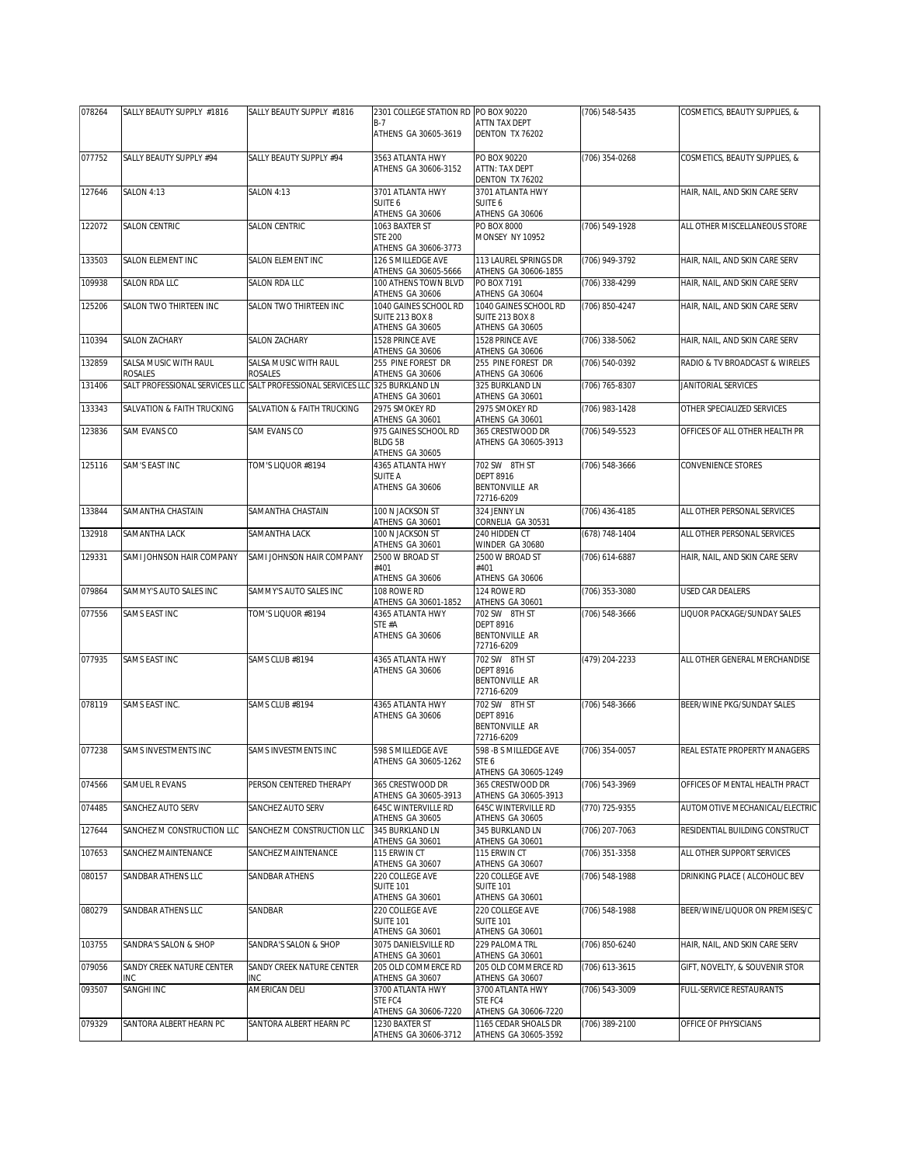| 078264 | SALLY BEAUTY SUPPLY #1816        | SALLY BEAUTY SUPPLY #1816        | 2301 COLLEGE STATION RD PO BOX 90220                                  |                                                                                             | (706) 548-5435 | COSMETICS, BEAUTY SUPPLIES, &  |
|--------|----------------------------------|----------------------------------|-----------------------------------------------------------------------|---------------------------------------------------------------------------------------------|----------------|--------------------------------|
|        |                                  |                                  | B-7<br>ATHENS GA 30605-3619                                           | ATTN TAX DEPT<br>DENTON TX 76202                                                            |                |                                |
| 077752 | SALLY BEAUTY SUPPLY #94          | SALLY BEAUTY SUPPLY #94          | 3563 ATLANTA HWY<br>ATHENS GA 30606-3152                              | PO BOX 90220<br>ATTN: TAX DEPT<br>DENTON TX 76202                                           | (706) 354-0268 | COSMETICS, BEAUTY SUPPLIES, &  |
| 127646 | <b>SALON 4:13</b>                | <b>SALON 4:13</b>                | 3701 ATLANTA HWY<br>SUITE 6<br>ATHENS GA 30606                        | 3701 ATLANTA HWY<br>SUITE 6<br>ATHENS GA 30606                                              |                | HAIR, NAIL, AND SKIN CARE SERV |
| 122072 | SALON CENTRIC                    | <b>SALON CENTRIC</b>             | 1063 BAXTER ST<br><b>STE 200</b><br>ATHENS GA 30606-3773              | PO BOX 8000<br><b>MONSEY NY 10952</b>                                                       | (706) 549-1928 | ALL OTHER MISCELLANEOUS STORE  |
| 133503 | SALON ELEMENT INC                | SALON ELEMENT INC                | 126 S MILLEDGE AVE<br>ATHENS GA 30605-5666                            | 113 LAUREL SPRINGS DR                                                                       | (706) 949-3792 | HAIR, NAIL, AND SKIN CARE SERV |
| 109938 | <b>SALON RDA LLC</b>             | SALON RDA LLC                    | 100 ATHENS TOWN BLVD<br>ATHENS GA 30606                               | ATHENS GA 30606-1855<br>PO BOX 7191<br>ATHENS GA 30604                                      | (706) 338-4299 | HAIR, NAIL, AND SKIN CARE SERV |
| 125206 | SALON TWO THIRTEEN INC           | SALON TWO THIRTEEN INC           | 1040 GAINES SCHOOL RD<br>SUITE 213 BOX 8<br>ATHENS GA 30605           | 1040 GAINES SCHOOL RD<br><b>SUITE 213 BOX 8</b><br>ATHENS GA 30605                          | (706) 850-4247 | HAIR, NAIL, AND SKIN CARE SERV |
| 110394 | <b>SALON ZACHARY</b>             | SALON ZACHARY                    | 1528 PRINCE AVE<br>ATHENS GA 30606                                    | 1528 PRINCE AVE<br>ATHENS GA 30606                                                          | (706) 338-5062 | HAIR, NAIL, AND SKIN CARE SERV |
| 132859 | SALSA MUSIC WITH RAUL<br>ROSALES | SALSA MUSIC WITH RAUL<br>ROSALES | 255 PINE FOREST DR<br>ATHENS GA 30606                                 | 255 PINE FOREST DR<br>ATHENS GA 30606                                                       | (706) 540-0392 | RADIO & TV BROADCAST & WIRELES |
| 131406 | SALT PROFESSIONAL SERVICES LLC   | SALT PROFESSIONAL SERVICES LLC   | 325 BURKLAND LN<br>ATHENS GA 30601                                    | 325 BURKLAND LN<br>ATHENS GA 30601                                                          | (706) 765-8307 | JANITORIAL SERVICES            |
| 133343 | SALVATION & FAITH TRUCKING       | SALVATION & FAITH TRUCKING       | 2975 SMOKEY RD<br>ATHENS GA 30601                                     | 2975 SMOKEY RD<br>ATHENS GA 30601                                                           | (706) 983-1428 | OTHER SPECIALIZED SERVICES     |
| 123836 | SAM EVANS CO                     | SAM EVANS CO                     | 975 GAINES SCHOOL RD<br>BLDG 5B<br>ATHENS GA 30605                    | 365 CRESTWOOD DR<br>ATHENS GA 30605-3913                                                    | (706) 549-5523 | OFFICES OF ALL OTHER HEALTH PR |
| 125116 | SAM'S EAST INC                   | TOM'S LIQUOR #8194               | 4365 ATLANTA HWY<br>SUITE A<br>ATHENS GA 30606                        | 702 SW 8TH ST<br><b>DEPT 8916</b><br><b>BENTONVILLE AR</b><br>72716-6209                    | (706) 548-3666 | CONVENIENCE STORES             |
| 133844 | SAMANTHA CHASTAIN                | SAMANTHA CHASTAIN                | 100 N JACKSON ST<br>ATHENS GA 30601                                   | 324 JENNY LN<br>CORNELIA GA 30531                                                           | (706) 436-4185 | ALL OTHER PERSONAL SERVICES    |
| 132918 | SAMANTHA LACK                    | SAMANTHA LACK                    | 100 N JACKSON ST                                                      | 240 HIDDEN CT                                                                               | (678) 748-1404 | ALL OTHER PERSONAL SERVICES    |
| 129331 | SAMI JOHNSON HAIR COMPANY        | SAMI JOHNSON HAIR COMPANY        | ATHENS GA 30601<br>2500 W BROAD ST<br>#401                            | WINDER GA 30680<br>2500 W BROAD ST<br>#401                                                  | (706) 614-6887 | HAIR, NAIL, AND SKIN CARE SERV |
| 079864 | SAMMY'S AUTO SALES INC           | SAMMY'S AUTO SALES INC           | ATHENS GA 30606<br>108 ROWE RD                                        | ATHENS GA 30606<br>124 ROWE RD                                                              | (706) 353-3080 | <b>USED CAR DEALERS</b>        |
| 077556 | SAMS EAST INC                    | TOM'S LIQUOR #8194               | ATHENS GA 30601-1852<br>4365 ATLANTA HWY<br>STE #A<br>ATHENS GA 30606 | ATHENS GA 30601<br>702 SW 8TH ST<br><b>DEPT 8916</b><br><b>BENTONVILLE AR</b><br>72716-6209 | (706) 548-3666 | IQUOR PACKAGE/SUNDAY SALES     |
| 077935 | <b>SAMS EAST INC</b>             | SAMS CLUB #8194                  | 4365 ATLANTA HWY<br>ATHENS GA 30606                                   | 702 SW 8TH ST<br><b>DEPT 8916</b><br>BENTONVILLE AR<br>72716-6209                           | (479) 204-2233 | ALL OTHER GENERAL MERCHANDISE  |
| 078119 | SAMS EAST INC.                   | SAMS CLUB #8194                  | 4365 ATLANTA HWY<br>ATHENS GA 30606                                   | 702 SW 8TH ST<br><b>DEPT 8916</b><br>BENTONVILLE AR<br>72716-6209                           | (706) 548-3666 | BEER/WINE PKG/SUNDAY SALES     |
| 077238 | SAMS INVESTMENTS INC             | SAMS INVESTMENTS INC             | 598 S MILLEDGE AVE<br>ATHENS GA 30605-1262                            | 598 - B S MILLEDGE AVE<br>STE 6<br>ATHENS GA 30605-1249                                     | (706) 354-0057 | REAL ESTATE PROPERTY MANAGERS  |
| 074566 | SAMUEL R EVANS                   | PERSON CENTERED THERAPY          | 365 CRESTWOOD DR<br>ATHENS GA 30605-3913                              | 365 CRESTWOOD DR<br>ATHENS GA 30605-3913                                                    | (706) 543-3969 | OFFICES OF MENTAL HEALTH PRACT |
| 074485 | SANCHEZ AUTO SERV                | SANCHEZ AUTO SERV                | 645C WINTERVILLE RD<br>ATHENS GA 30605                                | <b>645C WINTERVILLE RD</b><br>ATHENS GA 30605                                               | (770) 725-9355 | AUTOMOTIVE MECHANICAL/ELECTRIC |
| 127644 | SANCHEZ M CONSTRUCTION LLC       | SANCHEZ M CONSTRUCTION LLC       | 345 BURKLAND LN<br>ATHENS GA 30601                                    | 345 BURKLAND LN<br>ATHENS GA 30601                                                          | (706) 207-7063 | RESIDENTIAL BUILDING CONSTRUCT |
| 107653 | SANCHEZ MAINTENANCE              | SANCHEZ MAINTENANCE              | 115 ERWIN CT<br>ATHENS GA 30607                                       | 115 ERWIN CT<br>ATHENS GA 30607                                                             | (706) 351-3358 | ALL OTHER SUPPORT SERVICES     |
| 080157 | SANDBAR ATHENS LLC               | SANDBAR ATHENS                   | 220 COLLEGE AVE<br><b>SUITE 101</b><br>ATHENS GA 30601                | 220 COLLEGE AVE<br><b>SUITE 101</b><br>ATHENS GA 30601                                      | (706) 548-1988 | DRINKING PLACE ( ALCOHOLIC BEV |
| 080279 | SANDBAR ATHENS LLC               | SANDBAR                          | 220 COLLEGE AVE<br><b>SUITE 101</b><br>ATHENS GA 30601                | 220 COLLEGE AVE<br><b>SUITE 101</b><br>ATHENS GA 30601                                      | (706) 548-1988 | BEER/WINE/LIQUOR ON PREMISES/C |
| 103755 | SANDRA'S SALON & SHOP            | SANDRA'S SALON & SHOP            | 3075 DANIELSVILLE RD<br>ATHENS GA 30601                               | 229 PALOMA TRL<br>ATHENS GA 30601                                                           | (706) 850-6240 | HAIR, NAIL, AND SKIN CARE SERV |
| 079056 | SANDY CREEK NATURE CENTER<br>INC | SANDY CREEK NATURE CENTER<br>INC | 205 OLD COMMERCE RD<br>ATHENS GA 30607                                | 205 OLD COMMERCE RD<br>ATHENS GA 30607                                                      | (706) 613-3615 | GIFT, NOVELTY, & SOUVENIR STOR |
| 093507 | SANGHI INC                       | AMERICAN DELI                    | 3700 ATLANTA HWY<br>STE FC4                                           | 3700 ATLANTA HWY<br>STE FC4                                                                 | (706) 543-3009 | FULL-SERVICE RESTAURANTS       |
| 079329 | SANTORA ALBERT HEARN PC          | SANTORA ALBERT HEARN PC          | ATHENS GA 30606-7220<br>1230 BAXTER ST<br>ATHENS GA 30606-3712        | ATHENS GA 30606-7220<br>1165 CEDAR SHOALS DR<br>ATHENS GA 30605-3592                        | (706) 389-2100 | OFFICE OF PHYSICIANS           |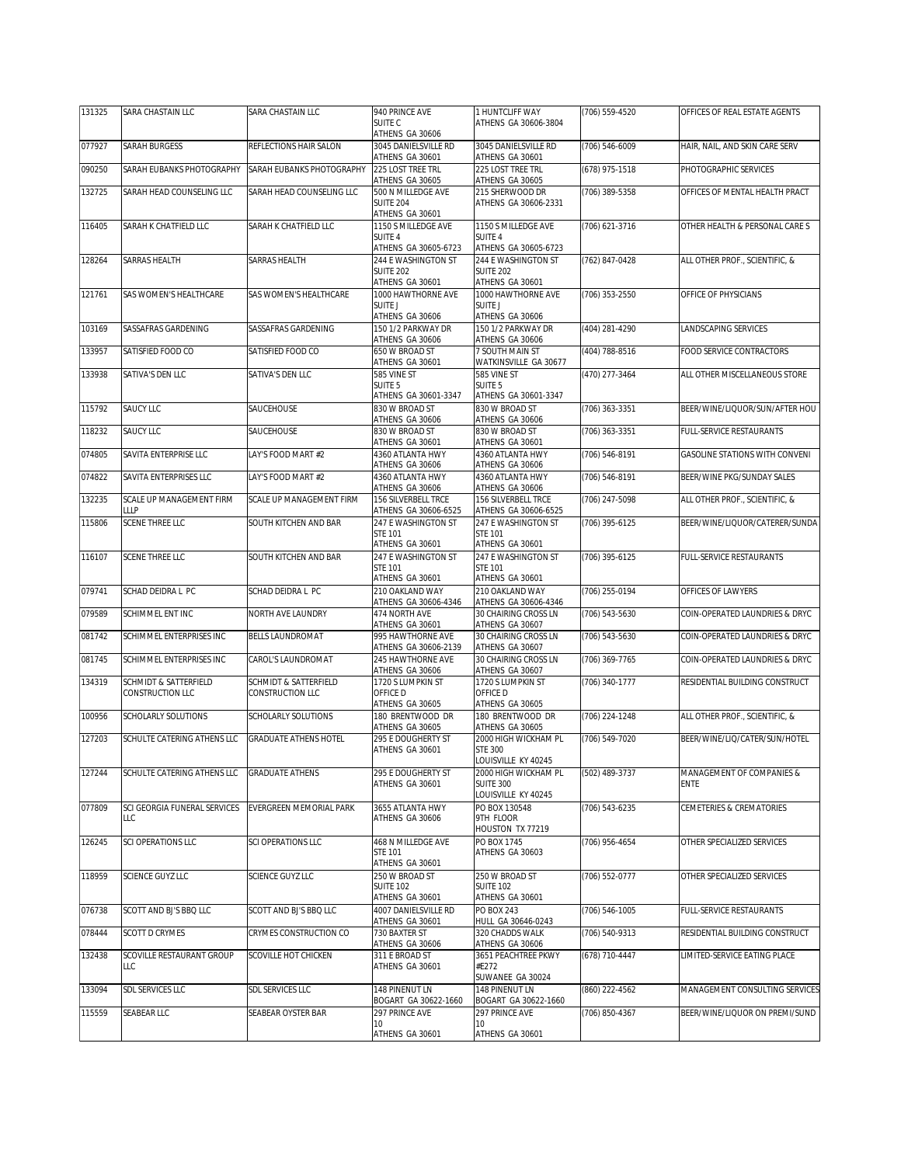| 131325 | <b>SARA CHASTAIN LLC</b>                  | SARA CHASTAIN LLC                                | 940 PRINCE AVE                                           | 1 HUNTCLIFF WAY                                          | (706) 559-4520 | OFFICES OF REAL ESTATE AGENTS         |
|--------|-------------------------------------------|--------------------------------------------------|----------------------------------------------------------|----------------------------------------------------------|----------------|---------------------------------------|
|        |                                           |                                                  | SUITE C<br>ATHENS GA 30606                               | ATHENS GA 30606-3804                                     |                |                                       |
| 077927 | <b>SARAH BURGESS</b>                      | REFLECTIONS HAIR SALON                           | 3045 DANIELSVILLE RD<br>ATHENS GA 30601                  | 3045 DANIELSVILLE RD<br>ATHENS GA 30601                  | (706) 546-6009 | HAIR, NAIL, AND SKIN CARE SERV        |
| 090250 | SARAH EUBANKS PHOTOGRAPHY                 | SARAH EUBANKS PHOTOGRAPHY                        | 225 LOST TREE TRL<br>ATHENS GA 30605                     | 225 LOST TREE TRL<br>ATHENS GA 30605                     | (678) 975-1518 | PHOTOGRAPHIC SERVICES                 |
| 132725 | SARAH HEAD COUNSELING LLC                 | SARAH HEAD COUNSELING LLC                        | 500 N MILLEDGE AVE<br><b>SUITE 204</b>                   | 215 SHERWOOD DR<br>ATHENS GA 30606-2331                  | (706) 389-5358 | OFFICES OF MENTAL HEALTH PRACT        |
|        |                                           |                                                  | ATHENS GA 30601                                          |                                                          |                |                                       |
| 116405 | SARAH K CHATFIELD LLC                     | SARAH K CHATFIELD LLC                            | 1150 S MILLEDGE AVE<br>SUITE 4                           | 1150 S MILLEDGE AVE<br><b>SUITE 4</b>                    | (706) 621-3716 | OTHER HEALTH & PERSONAL CARE S        |
| 128264 | <b>SARRAS HEALTH</b>                      | SARRAS HEALTH                                    | ATHENS GA 30605-6723<br>244 E WASHINGTON ST              | ATHENS GA 30605-6723<br><b>244 F WASHINGTON ST</b>       | (762) 847-0428 | ALL OTHER PROF., SCIENTIFIC, &        |
|        |                                           |                                                  | <b>SUITE 202</b><br>ATHENS GA 30601                      | SUITE 202<br>ATHENS GA 30601                             |                |                                       |
| 121761 | SAS WOMEN'S HEALTHCARE                    | SAS WOMEN'S HEALTHCARE                           | 1000 HAWTHORNE AVE                                       | 1000 HAWTHORNE AVE                                       | (706) 353-2550 | OFFICE OF PHYSICIANS                  |
|        |                                           |                                                  | SUITE J<br>ATHENS GA 30606                               | <b>SUITE J</b><br>ATHENS GA 30606                        |                |                                       |
| 103169 | SASSAFRAS GARDENING                       | SASSAFRAS GARDENING                              | 150 1/2 PARKWAY DR<br>ATHENS GA 30606                    | 150 1/2 PARKWAY DR<br>ATHENS GA 30606                    | (404) 281-4290 | LANDSCAPING SERVICES                  |
| 133957 | SATISFIED FOOD CO                         | SATISFIED FOOD CO                                | 650 W BROAD ST<br>ATHENS GA 30601                        | 7 SOUTH MAIN ST<br>WATKINSVILLE GA 30677                 | (404) 788-8516 | FOOD SERVICE CONTRACTORS              |
| 133938 | SATIVA'S DEN LLC                          | SATIVA'S DEN LLC                                 | 585 VINE ST<br>SUITE <sub>5</sub>                        | 585 VINE ST<br>SUITE <sub>5</sub>                        | (470) 277-3464 | ALL OTHER MISCELLANEOUS STORE         |
|        |                                           |                                                  | ATHENS GA 30601-3347                                     | ATHENS GA 30601-3347                                     |                |                                       |
| 115792 | <b>SAUCY LLC</b>                          | <b>SAUCEHOUSE</b>                                | 830 W BROAD ST<br>ATHENS GA 30606                        | 830 W BROAD ST<br>ATHENS GA 30606                        | (706) 363-3351 | BEER/WINE/LIQUOR/SUN/AFTER HOU        |
| 118232 | <b>SAUCY LLC</b>                          | SAUCEHOUSE                                       | 830 W BROAD ST<br>ATHENS GA 30601                        | 830 W BROAD ST<br>ATHENS GA 30601                        | (706) 363-3351 | FULL-SERVICE RESTAURANTS              |
| 074805 | SAVITA ENTERPRISE LLC                     | LAY'S FOOD MART #2                               | 4360 ATLANTA HWY<br>ATHENS GA 30606                      | 4360 ATLANTA HWY<br>ATHENS GA 30606                      | (706) 546-8191 | <b>GASOLINE STATIONS WITH CONVENI</b> |
| 074822 | SAVITA ENTERPRISES LLC                    | LAY'S FOOD MART #2                               | 4360 ATLANTA HWY<br>ATHENS GA 30606                      | 4360 ATLANTA HWY<br>ATHENS GA 30606                      | (706) 546-8191 | BEER/WINE PKG/SUNDAY SALES            |
| 132235 | SCALE UP MANAGEMENT FIRM<br>LLP           | SCALE UP MANAGEMENT FIRM                         | 156 SILVERBELL TRCE<br>ATHENS GA 30606-6525              | 156 SILVERBELL TRCE<br>ATHENS GA 30606-6525              | (706) 247-5098 | ALL OTHER PROF., SCIENTIFIC, &        |
| 115806 | SCENE THREE LLC                           | SOUTH KITCHEN AND BAR                            | 247 E WASHINGTON ST                                      | 247 E WASHINGTON ST                                      | (706) 395-6125 | BEER/WINE/LIQUOR/CATERER/SUNDA        |
|        |                                           |                                                  | <b>STE 101</b><br>ATHENS GA 30601                        | <b>STE 101</b><br>ATHENS GA 30601                        |                |                                       |
| 116107 | <b>SCENE THREE LLC</b>                    | SOUTH KITCHEN AND BAR                            | 247 E WASHINGTON ST<br><b>STE 101</b><br>ATHENS GA 30601 | 247 E WASHINGTON ST<br><b>STE 101</b><br>ATHENS GA 30601 | (706) 395-6125 | FULL-SERVICE RESTAURANTS              |
| 079741 | SCHAD DEIDRA L PC                         | SCHAD DEIDRA L PC                                | 210 OAKLAND WAY<br>ATHENS GA 30606-4346                  | 210 OAKLAND WAY<br>ATHENS GA 30606-4346                  | (706) 255-0194 | OFFICES OF LAWYERS                    |
| 079589 | SCHIMMEL ENT INC                          | NORTH AVE LAUNDRY                                | 474 NORTH AVE<br>ATHENS GA 30601                         | 30 CHAIRING CROSS LN<br>ATHENS GA 30607                  | (706) 543-5630 | COIN-OPERATED LAUNDRIES & DRYC        |
| 081742 | SCHIMMEL ENTERPRISES INC                  | <b>BELLS LAUNDROMAT</b>                          | 995 HAWTHORNE AVE<br>ATHENS GA 30606-2139                | 30 CHAIRING CROSS LN<br>ATHENS GA 30607                  | (706) 543-5630 | COIN-OPERATED LAUNDRIES & DRYC        |
| 081745 | SCHIMMEL ENTERPRISES INC                  | CAROL'S LAUNDROMAT                               | 245 HAWTHORNE AVE<br>ATHENS GA 30606                     | 30 CHAIRING CROSS LN<br>ATHENS GA 30607                  | (706) 369-7765 | COIN-OPERATED LAUNDRIES & DRYC        |
| 134319 | SCHMIDT & SATTERFIELD<br>CONSTRUCTION LLC | SCHMIDT & SATTERFIELD<br><b>CONSTRUCTION LLC</b> | 1720 S LUMPKIN ST<br>OFFICE D                            | 1720 S LUMPKIN ST<br>OFFICE D                            | (706) 340-1777 | RESIDENTIAL BUILDING CONSTRUCT        |
|        |                                           |                                                  | ATHENS GA 30605                                          | ATHENS GA 30605                                          |                |                                       |
| 100956 | SCHOLARLY SOLUTIONS                       | SCHOLARLY SOLUTIONS                              | 180 BRENTWOOD DR<br>ATHENS GA 30605                      | 180 BRENTWOOD DR<br>ATHENS GA 30605                      | (706) 224-1248 | ALL OTHER PROF., SCIENTIFIC, &        |
| 127203 | SCHULTE CATERING ATHENS LLC               | <b>GRADUATE ATHENS HOTEL</b>                     | 295 E DOUGHERTY ST<br>ATHENS GA 30601                    | 2000 HIGH WICKHAM PL<br><b>STE 300</b>                   | (706) 549-7020 | BEER/WINE/LIQ/CATER/SUN/HOTEL         |
| 127244 | SCHULTE CATERING ATHENS LLC               | <b>GRADUATE ATHENS</b>                           | 295 E DOUGHERTY ST                                       | LOUISVILLE KY 40245<br>2000 HIGH WICKHAM PL              | (502) 489-3737 | MANAGEMENT OF COMPANIES &             |
|        |                                           |                                                  | ATHENS GA 30601                                          | <b>SUITE 300</b><br>LOUISVILLE KY 40245                  |                | ENTE                                  |
| 077809 | SCI GEORGIA FUNERAL SERVICES<br>LLC       | EVERGREEN MEMORIAL PARK                          | 3655 ATLANTA HWY<br>ATHENS GA 30606                      | PO BOX 130548<br>9TH FLOOR<br>HOUSTON TX 77219           | (706) 543-6235 | CEMETERIES & CREMATORIES              |
| 126245 | <b>SCI OPERATIONS LLC</b>                 | <b>SCI OPERATIONS LLC</b>                        | 468 N MILLEDGE AVE<br><b>STE 101</b><br>ATHENS GA 30601  | PO BOX 1745<br>ATHENS GA 30603                           | (706) 956-4654 | OTHER SPECIALIZED SERVICES            |
| 118959 | SCIENCE GUYZ LLC                          | <b>SCIENCE GUYZ LLC</b>                          | 250 W BROAD ST<br><b>SUITE 102</b>                       | 250 W BROAD ST<br><b>SUITE 102</b>                       | (706) 552-0777 | OTHER SPECIALIZED SERVICES            |
|        |                                           |                                                  | ATHENS GA 30601                                          | ATHENS GA 30601                                          |                |                                       |
| 076738 | SCOTT AND BJ'S BBQ LLC                    | SCOTT AND BJ'S BBQ LLC                           | 4007 DANIELSVILLE RD<br>ATHENS GA 30601                  | PO BOX 243<br>HULL GA 30646-0243                         | (706) 546-1005 | FULL-SERVICE RESTAURANTS              |
| 078444 | SCOTT D CRYMES                            | CRYMES CONSTRUCTION CO                           | 730 BAXTER ST<br>ATHENS GA 30606                         | 320 CHADDS WALK<br>ATHENS GA 30606                       | (706) 540-9313 | RESIDENTIAL BUILDING CONSTRUCT        |
| 132438 | SCOVILLE RESTAURANT GROUP<br>LLC          | SCOVILLE HOT CHICKEN                             | 311 E BROAD ST<br>ATHENS GA 30601                        | 3651 PEACHTREE PKWY<br>#E272<br>SUWANEE GA 30024         | (678) 710-4447 | LIMITED-SERVICE EATING PLACE          |
| 133094 | SDL SERVICES LLC                          | SDL SERVICES LLC                                 | 148 PINENUT LN                                           | 148 PINENUT LN                                           | (860) 222-4562 | MANAGEMENT CONSULTING SERVICES        |
| 115559 | SEABEAR LLC                               | SEABEAR OYSTER BAR                               | BOGART GA 30622-1660<br>297 PRINCE AVE                   | BOGART GA 30622-1660<br>297 PRINCE AVE                   | (706) 850-4367 | BEER/WINE/LIQUOR ON PREMI/SUND        |
|        |                                           |                                                  | 10<br>ATHENS GA 30601                                    | 10 <sup>°</sup><br>ATHENS GA 30601                       |                |                                       |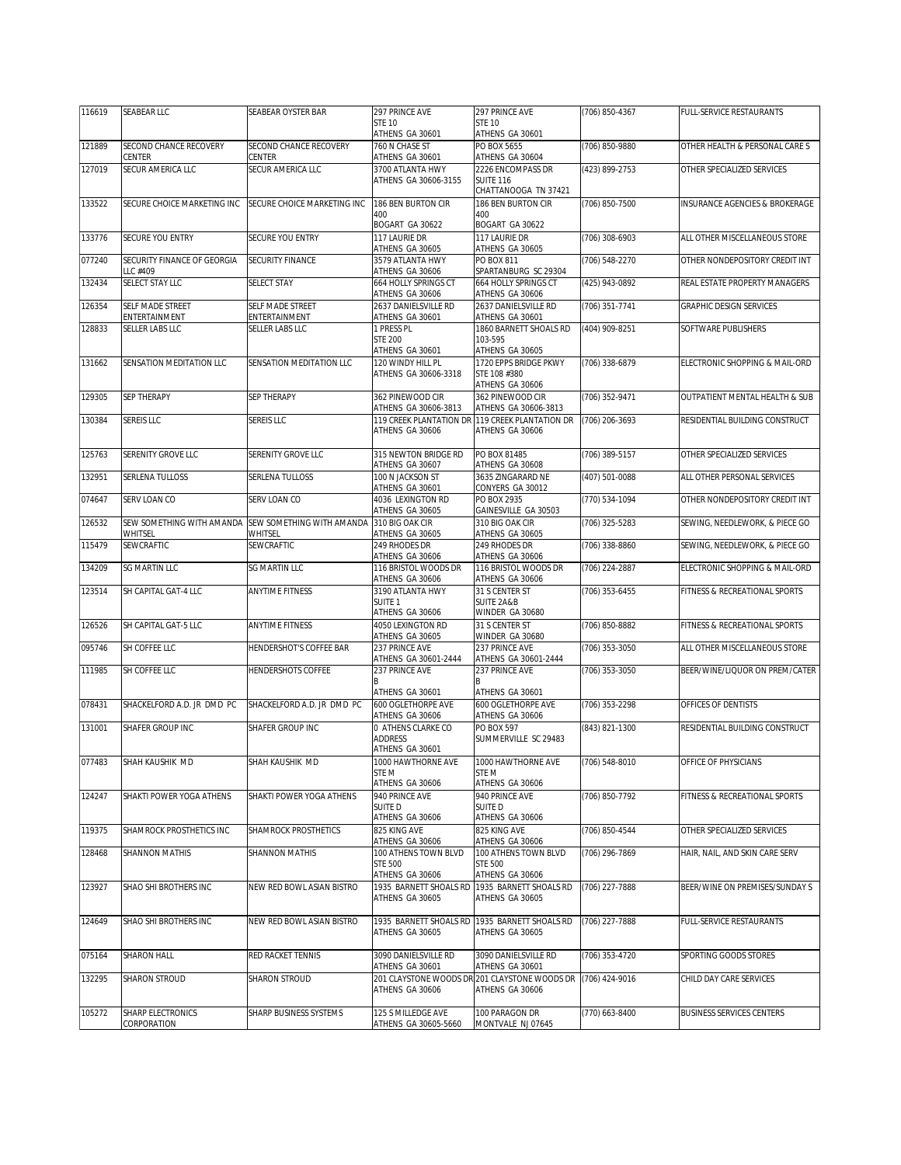| 116619 | <b>SEABEAR LLC</b>          | SEABEAR OYSTER BAR          | 297 PRINCE AVE                                            | 297 PRINCE AVE                                                                      | (706) 850-4367 | FULL-SERVICE RESTAURANTS         |
|--------|-----------------------------|-----------------------------|-----------------------------------------------------------|-------------------------------------------------------------------------------------|----------------|----------------------------------|
|        |                             |                             | <b>STE 10</b><br>ATHENS GA 30601                          | <b>STE 10</b><br>ATHENS GA 30601                                                    |                |                                  |
| 121889 | SECOND CHANCE RECOVERY      | SECOND CHANCE RECOVERY      | 760 N CHASE ST                                            | PO BOX 5655                                                                         | (706) 850-9880 | OTHER HEALTH & PERSONAL CARE S   |
| 127019 | CENTER<br>SECUR AMERICA LLC | CENTER<br>SECUR AMERICA LLC | ATHENS GA 30601<br>3700 ATLANTA HWY                       | ATHENS GA 30604<br>2226 ENCOMPASS DR                                                | (423) 899-2753 | OTHER SPECIALIZED SERVICES       |
|        |                             |                             | ATHENS GA 30606-3155                                      | <b>SUITE 116</b><br>CHATTANOOGA TN 37421                                            |                |                                  |
| 133522 | SECURE CHOICE MARKETING INC | SECURE CHOICE MARKETING INC | 186 BEN BURTON CIR                                        | 186 BEN BURTON CIR                                                                  | (706) 850-7500 | INSURANCE AGENCIES & BROKERAGE   |
|        |                             |                             | 400<br>BOGART GA 30622                                    | 400<br>BOGART GA 30622                                                              |                |                                  |
| 133776 | SECURE YOU ENTRY            | SECURE YOU ENTRY            | 117 LAURIE DR<br>ATHENS GA 30605                          | 117 LAURIE DR<br>ATHENS GA 30605                                                    | (706) 308-6903 | ALL OTHER MISCELLANEOUS STORE    |
| 077240 | SECURITY FINANCE OF GEORGIA | SECURITY FINANCE            | 3579 ATI ANTA HWY                                         | <b>PO BOX 811</b>                                                                   | (706) 548-2270 | OTHER NONDEPOSITORY CREDIT INT   |
| 132434 | LLC #409<br>SELECT STAY LLC | <b>SELECT STAY</b>          | ATHENS GA 30606<br><b>664 HOLLY SPRINGS CT</b>            | SPARTANBURG SC 29304<br>664 HOLLY SPRINGS CT                                        | (425) 943-0892 | REAL ESTATE PROPERTY MANAGERS    |
| 126354 | SELF MADE STREET            | SELF MADE STREET            | ATHENS GA 30606<br>2637 DANIELSVILLE RD                   | ATHENS GA 30606<br>2637 DANIELSVILLE RD                                             | (706) 351-7741 | <b>GRAPHIC DESIGN SERVICES</b>   |
|        | ENTERTAINMENT               | ENTERTAINMENT               | ATHENS GA 30601                                           | ATHENS GA 30601                                                                     |                |                                  |
| 128833 | SELLER LABS LLC             | <b>SELLER LABS LLC</b>      | 1 PRESS PL<br><b>STE 200</b>                              | 1860 BARNETT SHOALS RD<br>103-595                                                   | (404) 909-8251 | SOFTWARE PUBLISHERS              |
| 131662 | SENSATION MEDITATION LLC    | SENSATION MEDITATION LLC    | ATHENS GA 30601<br>120 WINDY HILL PL                      | ATHENS GA 30605<br>1720 EPPS BRIDGE PKWY                                            | (706) 338-6879 | ELECTRONIC SHOPPING & MAIL-ORD   |
|        |                             |                             | ATHENS GA 30606-3318                                      | STE 108 #380<br>ATHENS GA 30606                                                     |                |                                  |
| 129305 | <b>SEP THERAPY</b>          | <b>SEP THERAPY</b>          | 362 PINEWOOD CIR<br>ATHENS GA 30606-3813                  | 362 PINEWOOD CIR                                                                    | (706) 352-9471 | OUTPATIENT MENTAL HEALTH & SUB   |
| 130384 | <b>SEREIS LLC</b>           | SEREIS LLC                  |                                                           | ATHENS GA 30606-3813<br>119 CREEK PLANTATION DR 119 CREEK PLANTATION DR             | (706) 206-3693 | RESIDENTIAL BUILDING CONSTRUCT   |
|        |                             |                             | ATHENS GA 30606                                           | ATHENS GA 30606                                                                     |                |                                  |
| 125763 | SERENITY GROVE LLC          | SERENITY GROVE LLC          | 315 NEWTON BRIDGE RD<br>ATHENS GA 30607                   | PO BOX 81485<br>ATHENS GA 30608                                                     | (706) 389-5157 | OTHER SPECIALIZED SERVICES       |
| 132951 | SERLENA TULLOSS             | SERLENA TULLOSS             | 100 N JACKSON ST<br>ATHENS GA 30601                       | 3635 ZINGARARD NE<br>CONYERS GA 30012                                               | (407) 501-0088 | ALL OTHER PERSONAL SERVICES      |
| 074647 | SERV LOAN CO                | SERV LOAN CO                | 4036 LEXINGTON RD<br>ATHENS GA 30605                      | PO BOX 2935<br>GAINESVILLE GA 30503                                                 | (770) 534-1094 | OTHER NONDEPOSITORY CREDIT INT   |
| 126532 | SEW SOMETHING WITH AMANDA   | SEW SOMETHING WITH AMANDA   | 310 BIG OAK CIR                                           | 310 BIG OAK CIR                                                                     | (706) 325-5283 | SEWING, NEEDLEWORK, & PIECE GO   |
|        | WHITSEL                     | WHITSEL                     | ATHENS GA 30605                                           | ATHENS GA 30605                                                                     |                |                                  |
| 115479 | SEWCRAFTIC                  | SEWCRAFTIC                  | 249 RHODES DR<br>ATHENS GA 30606                          | 249 RHODES DR<br>ATHENS GA 30606                                                    | (706) 338-8860 | SEWING, NEEDLEWORK, & PIECE GO   |
| 134209 | <b>SG MARTIN LLC</b>        | SG MARTIN LLC               | 116 BRISTOL WOODS DR<br>ATHENS GA 30606                   | 116 BRISTOL WOODS DR<br>ATHENS GA 30606                                             | (706) 224-2887 | ELECTRONIC SHOPPING & MAIL-ORD   |
| 123514 | SH CAPITAL GAT-4 LLC        | <b>ANYTIME FITNESS</b>      | 3190 ATLANTA HWY<br>SUITE <sub>1</sub><br>ATHENS GA 30606 | 31 S CENTER ST<br><b>SUITE 2A&amp;B</b><br>WINDER GA 30680                          | (706) 353-6455 | FITNESS & RECREATIONAL SPORTS    |
| 126526 | SH CAPITAL GAT-5 LLC        | <b>ANYTIME FITNESS</b>      | 4050 LEXINGTON RD                                         | 31 S CENTER ST                                                                      | (706) 850-8882 | FITNESS & RECREATIONAL SPORTS    |
| 095746 | SH COFFEE LLC               | HENDERSHOT'S COFFEE BAR     | ATHENS GA 30605<br>237 PRINCE AVE                         | WINDER GA 30680<br>237 PRINCE AVE                                                   | (706) 353-3050 | ALL OTHER MISCELLANEOUS STORE    |
| 111985 | SH COFFEE LLC               | HENDERSHOTS COFFEE          | ATHENS GA 30601-2444<br>237 PRINCE AVE                    | ATHENS GA 30601-2444<br>237 PRINCE AVE                                              | (706) 353-3050 | BEER/WINE/LIQUOR ON PREM/CATER   |
|        |                             |                             | ATHENS GA 30601                                           | ATHENS GA 30601                                                                     |                |                                  |
| 078431 | SHACKELFORD A.D. JR DMD PC  | SHACKELFORD A.D. JR DMD PC  | 600 OGLETHORPE AVE                                        | 600 OGLETHORPE AVE                                                                  | (706) 353-2298 | OFFICES OF DENTISTS              |
| 131001 | SHAFER GROUP INC            | SHAFER GROUP INC            | ATHENS GA 30606<br>0 ATHENS CLARKE CO                     | ATHENS GA 30606<br><b>PO BOX 597</b>                                                | (843) 821-1300 | RESIDENTIAL BUILDING CONSTRUCT   |
|        |                             |                             | <b>ADDRESS</b><br>ATHENS GA 30601                         | SUMMERVILLE SC 29483                                                                |                |                                  |
| 077483 | SHAH KAUSHIK MD             | SHAH KAUSHIK MD             | 1000 HAWTHORNE AVE                                        | 1000 HAWTHORNE AVE                                                                  | (706) 548-8010 | OFFICE OF PHYSICIANS             |
|        |                             |                             | STE M<br>ATHENS GA 30606                                  | STE M<br>ATHENS GA 30606                                                            |                |                                  |
| 124247 | SHAKTI POWER YOGA ATHENS    | SHAKTI POWER YOGA ATHENS    | 940 PRINCE AVE                                            | 940 PRINCE AVE                                                                      | (706) 850-7792 | FITNESS & RECREATIONAL SPORTS    |
|        |                             |                             | SUITE D<br>ATHENS GA 30606                                | SUITE D<br>ATHENS GA 30606                                                          |                |                                  |
| 119375 | SHAMROCK PROSTHETICS INC    | SHAMROCK PROSTHETICS        | 825 KING AVE                                              | 825 KING AVE                                                                        | (706) 850-4544 | OTHER SPECIALIZED SERVICES       |
| 128468 | SHANNON MATHIS              | SHANNON MATHIS              | ATHENS GA 30606<br>100 ATHENS TOWN BLVD                   | ATHENS GA 30606<br>100 ATHENS TOWN BLVD                                             | (706) 296-7869 | HAIR, NAIL, AND SKIN CARE SERV   |
|        |                             |                             | <b>STE 500</b><br>ATHENS GA 30606                         | <b>STE 500</b><br>ATHENS GA 30606                                                   |                |                                  |
| 123927 | SHAO SHI BROTHERS INC       | NEW RED BOWL ASIAN BISTRO   | 1935 BARNETT SHOALS RD<br>ATHENS GA 30605                 | 1935 BARNETT SHOALS RD<br>ATHENS GA 30605                                           | (706) 227-7888 | BEER/WINE ON PREMISES/SUNDAY S   |
| 124649 | SHAO SHI BROTHERS INC       | NEW RED BOWL ASIAN BISTRO   | 1935 BARNETT SHOALS RD                                    | 1935 BARNETT SHOALS RD                                                              | (706) 227-7888 | FULL-SERVICE RESTAURANTS         |
|        |                             |                             | ATHENS GA 30605                                           | ATHENS GA 30605                                                                     |                |                                  |
| 075164 | SHARON HALL                 | RED RACKET TENNIS           | 3090 DANIELSVILLE RD                                      | 3090 DANIELSVILLE RD                                                                | (706) 353-4720 | SPORTING GOODS STORES            |
| 132295 | SHARON STROUD               | SHARON STROUD               | ATHENS GA 30601<br>ATHENS GA 30606                        | ATHENS GA 30601<br>201 CLAYSTONE WOODS DR 201 CLAYSTONE WOODS DR<br>ATHENS GA 30606 | (706) 424-9016 | CHILD DAY CARE SERVICES          |
| 105272 | SHARP ELECTRONICS           | SHARP BUSINESS SYSTEMS      | 125 S MILLEDGE AVE                                        | 100 PARAGON DR                                                                      | (770) 663-8400 | <b>BUSINESS SERVICES CENTERS</b> |
|        | CORPORATION                 |                             | ATHENS GA 30605-5660                                      | MONTVALE NJ 07645                                                                   |                |                                  |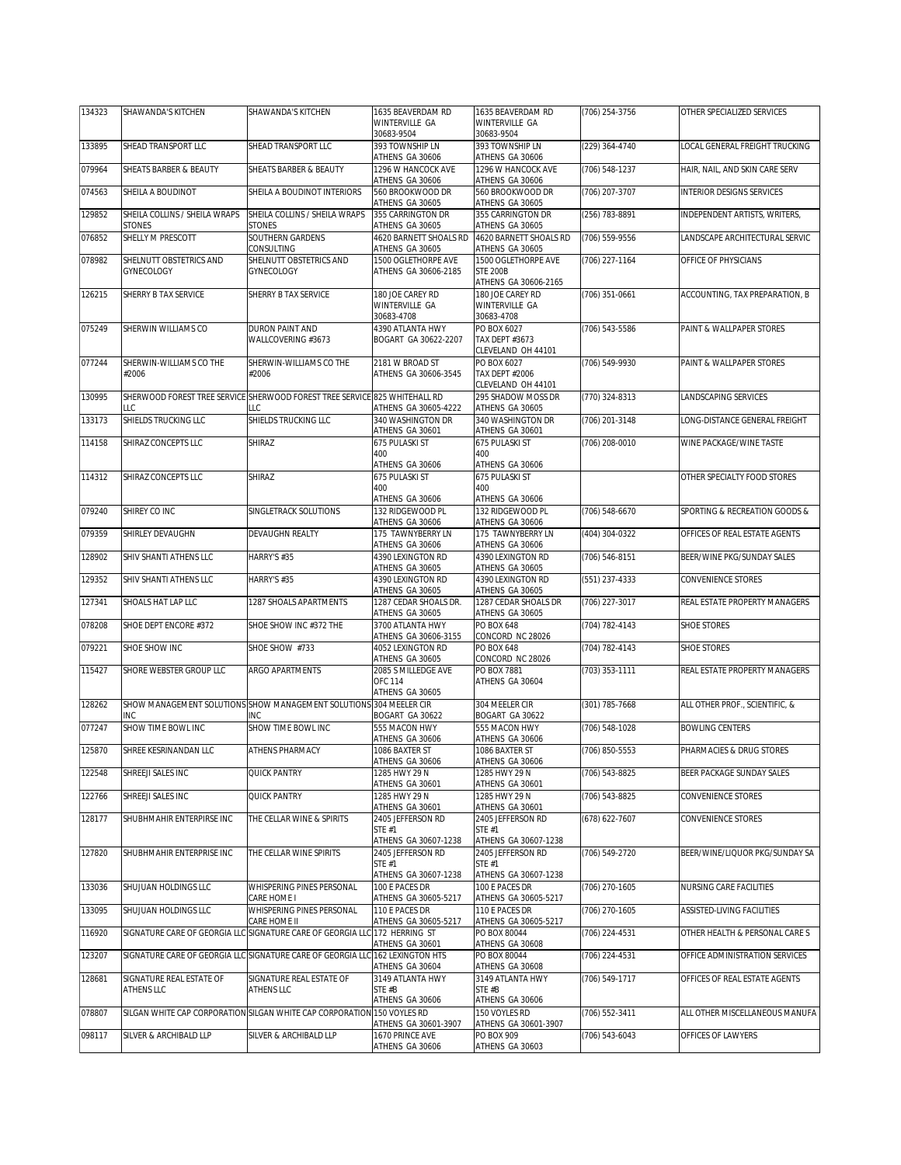| 134323 | SHAWANDA'S KITCHEN                             | SHAWANDA'S KITCHEN                                                                | 1635 BEAVERDAM RD                         | 1635 BEAVERDAM RD                         | (706) 254-3756 | OTHER SPECIALIZED SERVICES     |
|--------|------------------------------------------------|-----------------------------------------------------------------------------------|-------------------------------------------|-------------------------------------------|----------------|--------------------------------|
|        |                                                |                                                                                   | WINTERVILLE GA<br>30683-9504              | WINTERVILLE GA<br>30683-9504              |                |                                |
| 133895 | SHEAD TRANSPORT LLC                            | SHEAD TRANSPORT LLC                                                               | 393 TOWNSHIP LN                           | 393 TOWNSHIP LN                           | (229) 364-4740 | LOCAL GENERAL FREIGHT TRUCKING |
| 079964 | <b>SHEATS BARBER &amp; BEAUTY</b>              | SHEATS BARBER & BEAUTY                                                            | ATHENS GA 30606<br>1296 W HANCOCK AVE     | ATHENS GA 30606<br>1296 W HANCOCK AVE     | (706) 548-1237 | HAIR, NAIL, AND SKIN CARE SERV |
|        |                                                |                                                                                   | ATHENS GA 30606                           | ATHENS GA 30606                           |                |                                |
| 074563 | SHEILA A BOUDINOT                              | SHEILA A BOUDINOT INTERIORS                                                       | 560 BROOKWOOD DR<br>ATHENS GA 30605       | 560 BROOKWOOD DR<br>ATHENS GA 30605       | (706) 207-3707 | INTERIOR DESIGNS SERVICES      |
| 129852 | SHEILA COLLINS / SHEILA WRAPS<br><b>STONES</b> | SHEILA COLLINS / SHEILA WRAPS<br>STONES                                           | 355 CARRINGTON DR<br>ATHENS GA 30605      | 355 CARRINGTON DR<br>ATHENS GA 30605      | (256) 783-8891 | INDEPENDENT ARTISTS, WRITERS,  |
| 076852 | SHELLY M PRESCOTT                              | SOUTHERN GARDENS                                                                  | 4620 BARNETT SHOALS RD                    | 4620 BARNETT SHOALS RD<br>ATHENS GA 30605 | (706) 559-9556 | LANDSCAPE ARCHITECTURAL SERVIC |
| 078982 | SHELNUTT OBSTETRICS AND                        | CONSULTING<br>SHELNUTT OBSTETRICS AND                                             | ATHENS GA 30605<br>1500 OGLETHORPE AVE    | 1500 OGLETHORPE AVE                       | (706) 227-1164 | OFFICE OF PHYSICIANS           |
|        | GYNECOLOGY                                     | <b>GYNECOLOGY</b>                                                                 | ATHENS GA 30606-2185                      | <b>STE 200B</b><br>ATHENS GA 30606-2165   |                |                                |
| 126215 | SHERRY B TAX SERVICE                           | SHERRY B TAX SERVICE                                                              | 180 JOE CAREY RD                          | 180 JOE CAREY RD                          | (706) 351-0661 | ACCOUNTING, TAX PREPARATION, B |
|        |                                                |                                                                                   | WINTERVILLE GA<br>30683-4708              | WINTERVILLE GA<br>30683-4708              |                |                                |
| 075249 | SHERWIN WILLIAMS CO                            | DURON PAINT AND<br>WALLCOVERING #3673                                             | 4390 ATLANTA HWY                          | PO BOX 6027                               | (706) 543-5586 | PAINT & WALLPAPER STORES       |
|        |                                                |                                                                                   | BOGART GA 30622-2207                      | TAX DEPT #3673<br>CLEVELAND OH 44101      |                |                                |
| 077244 | SHERWIN-WILLIAMS CO THE<br>#2006               | SHERWIN-WILLIAMS CO THE<br>#2006                                                  | 2181 W BROAD ST<br>ATHENS GA 30606-3545   | PO BOX 6027<br><b>TAX DEPT #2006</b>      | (706) 549-9930 | PAINT & WALLPAPER STORES       |
|        |                                                |                                                                                   |                                           | CLEVELAND OH 44101                        |                |                                |
| 130995 | ТC                                             | SHERWOOD FOREST TREE SERVICE SHERWOOD FOREST TREE SERVICE 825 WHITEHALL RD<br>LLC | ATHENS GA 30605-4222                      | 295 SHADOW MOSS DR<br>ATHENS GA 30605     | (770) 324-8313 | LANDSCAPING SERVICES           |
| 133173 | SHIELDS TRUCKING LLC                           | SHIELDS TRUCKING LLC                                                              | 340 WASHINGTON DR<br>ATHENS GA 30601      | 340 WASHINGTON DR<br>ATHENS GA 30601      | (706) 201-3148 | LONG-DISTANCE GENERAL FREIGHT  |
| 114158 | SHIRAZ CONCEPTS LLC                            | SHIRAZ                                                                            | 675 PULASKI ST                            | 675 PULASKI ST                            | (706) 208-0010 | WINE PACKAGE/WINE TASTE        |
|        |                                                |                                                                                   | 400<br>ATHENS GA 30606                    | 400<br>ATHENS GA 30606                    |                |                                |
| 114312 | SHIRAZ CONCEPTS LLC                            | SHIRAZ                                                                            | 675 PULASKI ST                            | 675 PULASKI ST                            |                | OTHER SPECIALTY FOOD STORES    |
|        |                                                |                                                                                   | 400<br>ATHENS GA 30606                    | 400<br>ATHENS GA 30606                    |                |                                |
| 079240 | SHIREY CO INC                                  | SINGLETRACK SOLUTIONS                                                             | 132 RIDGEWOOD PL<br>ATHENS GA 30606       | 132 RIDGEWOOD PL<br>ATHENS GA 30606       | (706) 548-6670 | SPORTING & RECREATION GOODS &  |
| 079359 | SHIRLEY DEVAUGHN                               | DEVAUGHN REALTY                                                                   | 175 TAWNYBERRY LN                         | 175 TAWNYBERRY LN                         | (404) 304-0322 | OFFICES OF REAL ESTATE AGENTS  |
| 128902 | SHIV SHANTI ATHENS LLC                         | HARRY'S #35                                                                       | ATHENS GA 30606<br>4390 LEXINGTON RD      | ATHENS GA 30606<br>4390 LEXINGTON RD      | (706) 546-8151 | BEER/WINE PKG/SUNDAY SALES     |
|        |                                                |                                                                                   | ATHENS GA 30605                           | ATHENS GA 30605                           |                |                                |
| 129352 | SHIV SHANTI ATHENS LLC                         | HARRY'S #35                                                                       | 4390 LEXINGTON RD<br>ATHENS GA 30605      | 4390 LEXINGTON RD<br>ATHENS GA 30605      | (551) 237-4333 | CONVENIENCE STORES             |
| 127341 | SHOALS HAT LAP LLC                             | 1287 SHOALS APARTMENTS                                                            | 1287 CEDAR SHOALS DR.<br>ATHENS GA 30605  | 1287 CEDAR SHOALS DR<br>ATHENS GA 30605   | (706) 227-3017 | REAL ESTATE PROPERTY MANAGERS  |
| 078208 | SHOE DEPT ENCORE #372                          | SHOE SHOW INC #372 THE                                                            | 3700 ATLANTA HWY<br>ATHENS GA 30606-3155  | PO BOX 648<br>CONCORD NC 28026            | (704) 782-4143 | SHOE STORES                    |
| 079221 | SHOE SHOW INC                                  | SHOE SHOW #733                                                                    | 4052 LEXINGTON RD                         | <b>PO BOX 648</b>                         | (704) 782-4143 | SHOE STORES                    |
| 115427 | SHORE WEBSTER GROUP LLC                        | ARGO APARTMENTS                                                                   | ATHENS GA 30605<br>2085 S MILLEDGE AVE    | CONCORD NC 28026<br>PO BOX 7881           | (703) 353-1111 | REAL ESTATE PROPERTY MANAGERS  |
|        |                                                |                                                                                   | <b>OFC 114</b><br>ATHENS GA 30605         | ATHENS GA 30604                           |                |                                |
| 128262 |                                                | SHOW MANAGEMENT SOLUTIONS SHOW MANAGEMENT SOLUTIONS 304 MEELER CIR                |                                           | 304 MEELER CIR                            | (301) 785-7668 | ALL OTHER PROF., SCIENTIFIC, & |
| 077247 | INC<br>SHOW TIME BOWL INC                      | INC<br>SHOW TIME BOWL INC                                                         | BOGART GA 30622<br>555 MACON HWY          | BOGART GA 30622<br>555 MACON HWY          | (706) 548-1028 | <b>BOWLING CENTERS</b>         |
|        |                                                |                                                                                   | ATHENS GA 30606                           | ATHENS GA 30606                           |                |                                |
| 125870 | SHREE KESRINANDAN LLC                          | ATHENS PHARMACY                                                                   | 1086 BAXTER ST<br>ATHENS GA 30606         | 1086 BAXTER ST<br>ATHENS GA 30606         | (706) 850-5553 | PHARMACIES & DRUG STORES       |
| 122548 | SHREEJI SALES INC                              | QUICK PANTRY                                                                      | 1285 HWY 29 N                             | 1285 HWY 29 N<br>ATHENS GA 30601          | (706) 543-8825 | BEER PACKAGE SUNDAY SALES      |
| 122766 | SHREEJI SALES INC                              | <b>QUICK PANTRY</b>                                                               | ATHENS GA 30601<br>1285 HWY 29 N          | 1285 HWY 29 N                             | (706) 543-8825 | CONVENIENCE STORES             |
| 128177 | SHUBHMAHIR ENTERPIRSE INC                      | THE CELLAR WINE & SPIRITS                                                         | ATHENS GA 30601<br>2405 JEFFERSON RD      | ATHENS GA 30601<br>2405 JEFFERSON RD      | (678) 622-7607 | CONVENIENCE STORES             |
|        |                                                |                                                                                   | STE #1                                    | <b>STE #1</b>                             |                |                                |
| 127820 | SHUBHMAHIR ENTERPRISE INC                      | THE CELLAR WINE SPIRITS                                                           | ATHENS GA 30607-1238<br>2405 JEFFERSON RD | ATHENS GA 30607-1238<br>2405 JEFFERSON RD | (706) 549-2720 | BEER/WINE/LIQUOR PKG/SUNDAY SA |
|        |                                                |                                                                                   | STE #1                                    | <b>STE #1</b>                             |                |                                |
| 133036 | SHUJUAN HOLDINGS LLC                           | WHISPERING PINES PERSONAL                                                         | ATHENS GA 30607-1238<br>100 E PACES DR    | ATHENS GA 30607-1238<br>100 E PACES DR    | (706) 270-1605 | NURSING CARE FACILITIES        |
| 133095 | SHUJUAN HOLDINGS LLC                           | CARE HOME I<br>WHISPERING PINES PERSONAL                                          | ATHENS GA 30605-5217<br>110 E PACES DR    | ATHENS GA 30605-5217<br>110 E PACES DR    | (706) 270-1605 | ASSISTED-LIVING FACILITIES     |
|        |                                                | CARE HOME II                                                                      | ATHENS GA 30605-5217                      | ATHENS GA 30605-5217                      |                |                                |
| 116920 |                                                | SIGNATURE CARE OF GEORGIA LLC SIGNATURE CARE OF GEORGIA LLC 172 HERRING ST        | ATHENS GA 30601                           | PO BOX 80044<br>ATHENS GA 30608           | (706) 224-4531 | OTHER HEALTH & PERSONAL CARE S |
| 123207 |                                                | SIGNATURE CARE OF GEORGIA LLC SIGNATURE CARE OF GEORGIA LLC 162 LEXINGTON HTS     | ATHENS GA 30604                           | PO BOX 80044<br>ATHENS GA 30608           | (706) 224-4531 | OFFICE ADMINISTRATION SERVICES |
| 128681 | SIGNATURE REAL ESTATE OF                       | SIGNATURE REAL ESTATE OF                                                          | 3149 ATLANTA HWY                          | 3149 ATLANTA HWY                          | (706) 549-1717 | OFFICES OF REAL ESTATE AGENTS  |
|        | ATHENS LLC                                     | <b>ATHENS LLC</b>                                                                 | STE #B<br>ATHENS GA 30606                 | STE #B<br>ATHENS GA 30606                 |                |                                |
| 078807 |                                                | SILGAN WHITE CAP CORPORATION SILGAN WHITE CAP CORPORATION 150 VOYLES RD           |                                           | 150 VOYLES RD                             | (706) 552-3411 | ALL OTHER MISCELLANEOUS MANUFA |
| 098117 | SILVER & ARCHIBALD LLP                         | SILVER & ARCHIBALD LLP                                                            | ATHENS GA 30601-3907<br>1670 PRINCE AVE   | ATHENS GA 30601-3907<br>PO BOX 909        | (706) 543-6043 | OFFICES OF LAWYERS             |
|        |                                                |                                                                                   | ATHENS GA 30606                           | ATHENS GA 30603                           |                |                                |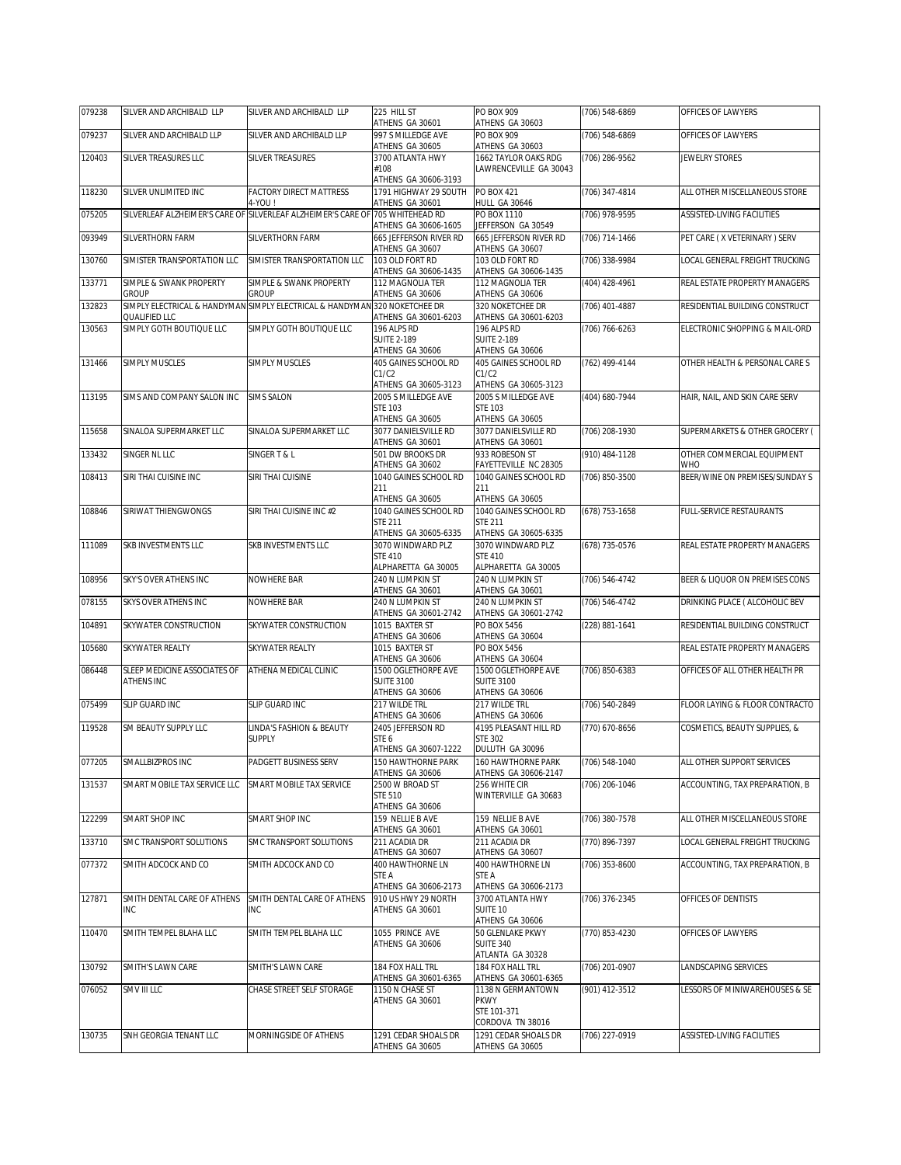| 079238 | SILVER AND ARCHIBALD LLP                          | SILVER AND ARCHIBALD LLP                                                                   | 225 HILL ST<br>ATHENS GA 30601                              | PO BOX 909<br>ATHENS GA 30603                                       | (706) 548-6869 | OFFICES OF LAWYERS                    |
|--------|---------------------------------------------------|--------------------------------------------------------------------------------------------|-------------------------------------------------------------|---------------------------------------------------------------------|----------------|---------------------------------------|
| 079237 | SILVER AND ARCHIBALD LLP                          | SILVER AND ARCHIBALD LLP                                                                   | 997 S MILLEDGE AVE<br>ATHENS GA 30605                       | PO BOX 909<br>ATHENS GA 30603                                       | (706) 548-6869 | OFFICES OF LAWYERS                    |
| 120403 | SILVER TREASURES LLC                              | <b>SILVER TREASURES</b>                                                                    | 3700 ATLANTA HWY                                            | 1662 TAYLOR OAKS RDG                                                | (706) 286-9562 | JEWELRY STORES                        |
|        |                                                   |                                                                                            | #108<br>ATHENS GA 30606-3193                                | LAWRENCEVILLE GA 30043                                              |                |                                       |
| 118230 | SILVER UNLIMITED INC                              | <b>FACTORY DIRECT MATTRESS</b><br>4-YOU!                                                   | 1791 HIGHWAY 29 SOUTH<br>ATHENS GA 30601                    | PO BOX 421<br><b>HULL GA 30646</b>                                  | (706) 347-4814 | ALL OTHER MISCELLANEOUS STORE         |
| 075205 |                                                   | SILVERLEAF ALZHEIMER'S CARE OF SILVERLEAF ALZHEIMER'S CARE OF 705 WHITEHEAD RD             |                                                             | PO BOX 1110                                                         | (706) 978-9595 | ASSISTED-LIVING FACILITIES            |
| 093949 | SILVERTHORN FARM                                  | SILVERTHORN FARM                                                                           | ATHENS GA 30606-1605<br>665 JEFFERSON RIVER RD              | JEFFERSON GA 30549<br>665 JEFFERSON RIVER RD                        | (706) 714-1466 | PET CARE (X VETERINARY) SERV          |
| 130760 | SIMISTER TRANSPORTATION LLC                       | SIMISTER TRANSPORTATION LLC                                                                | ATHENS GA 30607<br>103 OLD FORT RD                          | ATHENS GA 30607<br>103 OLD FORT RD                                  | (706) 338-9984 | LOCAL GENERAL FREIGHT TRUCKING        |
| 133771 | SIMPLE & SWANK PROPERTY                           | SIMPLE & SWANK PROPERTY                                                                    | ATHENS GA 30606-1435<br>112 MAGNOLIA TER                    | ATHENS GA 30606-1435<br>112 MAGNOLIA TER                            | (404) 428-4961 | REAL ESTATE PROPERTY MANAGERS         |
| 132823 | <b>GROUP</b>                                      | <b>GROUP</b><br>SIMPLY ELECTRICAL & HANDYMAN SIMPLY ELECTRICAL & HANDYMAN 320 NOKETCHEE DR | ATHENS GA 30606                                             | ATHENS GA 30606<br>320 NOKETCHEE DR                                 | (706) 401-4887 | RESIDENTIAL BUILDING CONSTRUCT        |
| 130563 | QUALIFIED LLC<br>SIMPLY GOTH BOUTIQUE LLC         | SIMPLY GOTH BOUTIQUE LLC                                                                   | ATHENS GA 30601-6203<br>196 ALPS RD                         | ATHENS GA 30601-6203<br>196 ALPS RD                                 | (706) 766-6263 | ELECTRONIC SHOPPING & MAIL-ORD        |
|        |                                                   |                                                                                            | <b>SUITE 2-189</b><br>ATHENS GA 30606                       | <b>SUITE 2-189</b><br>ATHENS GA 30606                               |                |                                       |
| 131466 | <b>SIMPLY MUSCLES</b>                             | SIMPLY MUSCLES                                                                             | 405 GAINES SCHOOL RD                                        | 405 GAINES SCHOOL RD                                                | (762) 499-4144 | OTHER HEALTH & PERSONAL CARE S        |
|        |                                                   |                                                                                            | C1/C2<br>ATHENS GA 30605-3123                               | C1/C2<br>ATHENS GA 30605-3123                                       |                |                                       |
| 113195 | SIMS AND COMPANY SALON INC                        | <b>SIMS SALON</b>                                                                          | 2005 S MILLEDGE AVE<br><b>STE 103</b><br>ATHENS GA 30605    | 2005 S MILLEDGE AVE<br><b>STE 103</b><br>ATHENS GA 30605            | (404) 680-7944 | HAIR, NAIL, AND SKIN CARE SERV        |
| 115658 | SINALOA SUPERMARKET LLC                           | SINALOA SUPERMARKET LLC                                                                    | 3077 DANIELSVILLE RD<br>ATHENS GA 30601                     | 3077 DANIELSVILLE RD<br>ATHENS GA 30601                             | (706) 208-1930 | SUPERMARKETS & OTHER GROCERY (        |
| 133432 | SINGER NL LLC                                     | SINGER T & L                                                                               | 501 DW BROOKS DR                                            | 933 ROBESON ST                                                      | (910) 484-1128 | OTHER COMMERCIAL EQUIPMENT            |
| 108413 | SIRI THAI CUISINE INC                             | SIRI THAI CUISINE                                                                          | ATHENS GA 30602<br>1040 GAINES SCHOOL RD                    | FAYETTEVILLE NC 28305<br>1040 GAINES SCHOOL RD                      | (706) 850-3500 | WHO<br>BEER/WINE ON PREMISES/SUNDAY S |
|        |                                                   |                                                                                            | 211<br>ATHENS GA 30605                                      | 211<br>ATHENS GA 30605                                              |                |                                       |
| 108846 | SIRIWAT THIENGWONGS                               | SIRI THAI CUISINE INC #2                                                                   | 1040 GAINES SCHOOL RD<br>STE 211                            | 1040 GAINES SCHOOL RD<br><b>STE 211</b>                             | (678) 753-1658 | FULL-SERVICE RESTAURANTS              |
|        |                                                   |                                                                                            | ATHENS GA 30605-6335                                        | ATHENS GA 30605-6335                                                |                |                                       |
| 111089 | SKB INVESTMENTS LLC                               | SKB INVESTMENTS LLC                                                                        | 3070 WINDWARD PLZ<br><b>STE 410</b>                         | 3070 WINDWARD PLZ<br><b>STE 410</b>                                 | (678) 735-0576 | REAL ESTATE PROPERTY MANAGERS         |
| 108956 | SKY'S OVER ATHENS INC                             | <b>NOWHERE BAR</b>                                                                         | ALPHARETTA GA 30005<br>240 N LUMPKIN ST                     | ALPHARETTA GA 30005<br>240 N LUMPKIN ST                             | (706) 546-4742 | BEER & LIQUOR ON PREMISES CONS        |
| 078155 | SKYS OVER ATHENS INC                              | NOWHERE BAR                                                                                | ATHENS GA 30601<br>240 N LUMPKIN ST                         | ATHENS GA 30601<br>240 N LUMPKIN ST                                 | (706) 546-4742 | DRINKING PLACE ( ALCOHOLIC BEV        |
| 104891 | SKYWATER CONSTRUCTION                             | SKYWATER CONSTRUCTION                                                                      | ATHENS GA 30601-2742<br>1015 BAXTER ST                      | ATHENS GA 30601-2742<br>PO BOX 5456                                 | (228) 881-1641 | RESIDENTIAL BUILDING CONSTRUCT        |
|        |                                                   |                                                                                            | ATHENS GA 30606                                             | ATHENS GA 30604                                                     |                |                                       |
| 105680 | <b>SKYWATER REALTY</b>                            | <b>SKYWATER REALTY</b>                                                                     | 1015 BAXTER ST<br>ATHENS GA 30606                           | PO BOX 5456<br>ATHENS GA 30604                                      |                | REAL ESTATE PROPERTY MANAGERS         |
| 086448 | SLEEP MEDICINE ASSOCIATES OF<br><b>ATHENS INC</b> | ATHENA MEDICAL CLINIC                                                                      | 1500 OGLETHORPE AVE<br><b>SUITE 3100</b><br>ATHENS GA 30606 | 1500 OGLETHORPE AVE<br><b>SUITE 3100</b><br>ATHENS GA 30606         | (706) 850-6383 | OFFICES OF ALL OTHER HEALTH PR        |
| 075499 | SLIP GUARD INC                                    | <b>SLIP GUARD INC</b>                                                                      | 217 WILDE TRL                                               | 217 WILDE TRL                                                       | (706) 540-2849 | FLOOR LAYING & FLOOR CONTRACTO        |
| 119528 | SM BEAUTY SUPPLY LLC                              | <b>LINDA'S FASHION &amp; BEAUTY</b>                                                        | ATHENS GA 30606<br>2405 JEFFERSON RD                        | ATHENS GA 30606<br><b>4195 PLEASANT HILL RD</b>                     | (770) 670-8656 | COSMETICS, BEAUTY SUPPLIES, &         |
|        |                                                   | <b>SUPPLY</b>                                                                              | STE 6<br>ATHENS GA 30607-1222                               | <b>STE 302</b><br>DULUTH GA 30096                                   |                |                                       |
| 077205 | SMALLBIZPROS INC                                  | PADGETT BUSINESS SERV                                                                      | 150 HAWTHORNE PARK<br>ATHENS GA 30606                       | 160 HAWTHORNE PARK<br>ATHENS GA 30606-2147                          | (706) 548-1040 | ALL OTHER SUPPORT SERVICES            |
| 131537 | SMART MOBILE TAX SERVICE LLC                      | SMART MOBILE TAX SERVICE                                                                   | 2500 W BROAD ST<br><b>STE 510</b>                           | 256 WHITE CIR<br>WINTERVILLE GA 30683                               | (706) 206-1046 | ACCOUNTING, TAX PREPARATION, B        |
| 122299 | SMART SHOP INC                                    | SMART SHOP INC                                                                             | ATHENS GA 30606<br>159 NELLIE B AVE                         | 159 NELLIE B AVE                                                    | (706) 380-7578 | ALL OTHER MISCELLANEOUS STORE         |
| 133710 | SMC TRANSPORT SOLUTIONS                           | SMC TRANSPORT SOLUTIONS                                                                    | ATHENS GA 30601<br>211 ACADIA DR                            | ATHENS GA 30601<br>211 ACADIA DR                                    | (770) 896-7397 | LOCAL GENERAL FREIGHT TRUCKING        |
| 077372 | SMITH ADCOCK AND CO                               | SMITH ADCOCK AND CO                                                                        | ATHENS GA 30607<br>400 HAWTHORNE LN                         | ATHENS GA 30607<br>400 HAWTHORNE LN                                 | (706) 353-8600 | ACCOUNTING. TAX PREPARATION. B        |
|        |                                                   |                                                                                            | STE A<br>ATHENS GA 30606-2173                               | STE A<br>ATHENS GA 30606-2173                                       |                |                                       |
| 127871 | SMITH DENTAL CARE OF ATHENS<br><b>INC</b>         | SMITH DENTAL CARE OF ATHENS<br><b>INC</b>                                                  | 910 US HWY 29 NORTH<br>ATHENS GA 30601                      | 3700 ATLANTA HWY<br>SUITE 10<br>ATHENS GA 30606                     | (706) 376-2345 | OFFICES OF DENTISTS                   |
| 110470 | SMITH TEMPEL BLAHA LLC                            | SMITH TEMPEL BLAHA LLC                                                                     | 1055 PRINCE AVE<br>ATHENS GA 30606                          | 50 GLENLAKE PKWY<br><b>SUITE 340</b><br>ATLANTA GA 30328            | (770) 853-4230 | OFFICES OF LAWYERS                    |
| 130792 | SMITH'S LAWN CARE                                 | SMITH'S LAWN CARE                                                                          | 184 FOX HALL TRL<br>ATHENS GA 30601-6365                    | 184 FOX HALL TRL<br>ATHENS GA 30601-6365                            | (706) 201-0907 | LANDSCAPING SERVICES                  |
| 076052 | SMV III LLC                                       | CHASE STREET SELF STORAGE                                                                  | 1150 N CHASE ST<br>ATHENS GA 30601                          | 1138 N GERMANTOWN<br><b>PKWY</b><br>STE 101-371<br>CORDOVA TN 38016 | (901) 412-3512 | LESSORS OF MINIWAREHOUSES & SE        |
| 130735 | SNH GEORGIA TENANT LLC                            | MORNINGSIDE OF ATHENS                                                                      | 1291 CEDAR SHOALS DR<br>ATHENS GA 30605                     | 1291 CEDAR SHOALS DR<br>ATHENS GA 30605                             | (706) 227-0919 | ASSISTED-LIVING FACILITIES            |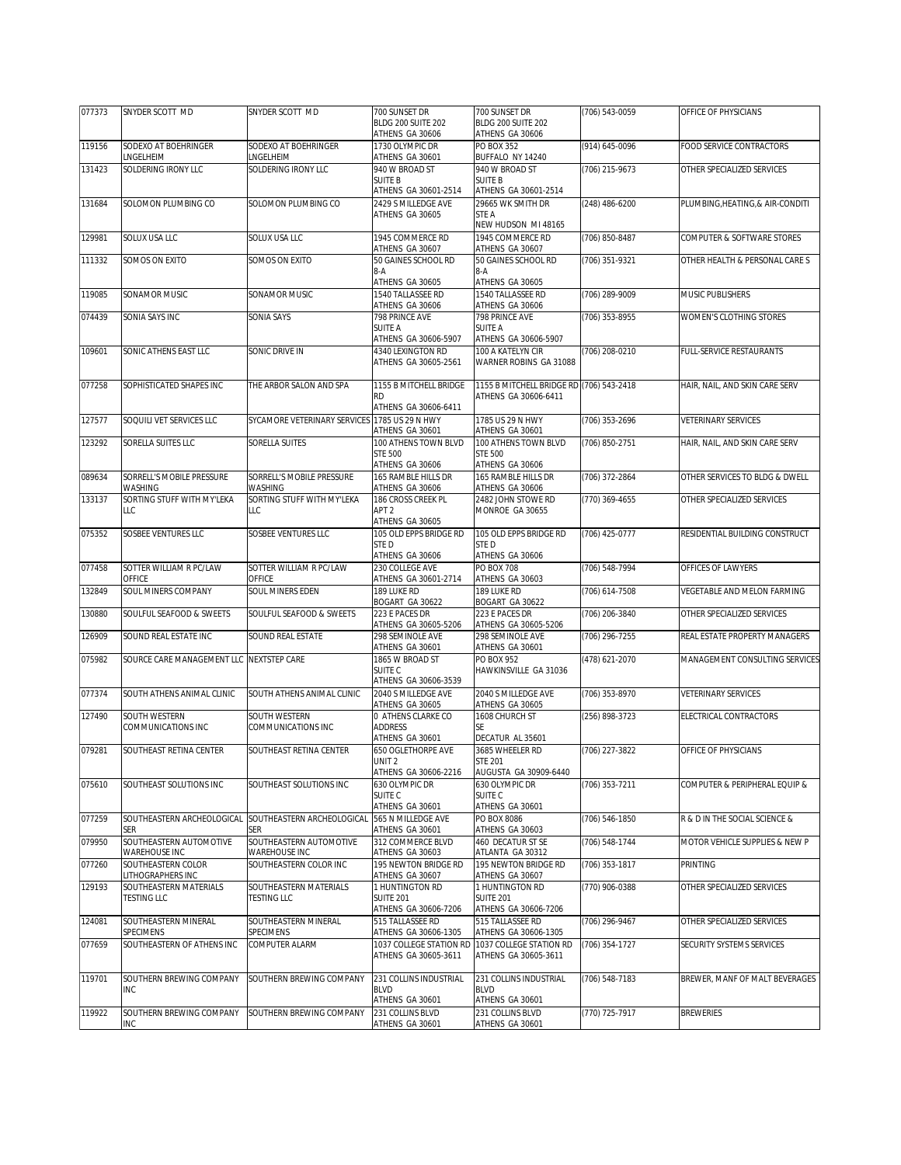| 077373 | SNYDER SCOTT MD                           | SNYDER SCOTT MD                               | 700 SUNSET DR                            | 700 SUNSET DR                            | (706) 543-0059   | OFFICE OF PHYSICIANS             |
|--------|-------------------------------------------|-----------------------------------------------|------------------------------------------|------------------------------------------|------------------|----------------------------------|
|        |                                           |                                               | BLDG 200 SUITE 202<br>ATHENS GA 30606    | BLDG 200 SUITE 202<br>ATHENS GA 30606    |                  |                                  |
| 119156 | SODEXO AT BOEHRINGER                      | SODEXO AT BOFHRINGER                          | 1730 OLYMPIC DR                          | <b>PO BOX 352</b>                        | (914) 645-0096   | FOOD SERVICE CONTRACTORS         |
|        | <b>LNGELHEIM</b>                          | NGELHEIM                                      | ATHENS GA 30601                          | BUFFALO NY 14240                         |                  |                                  |
| 131423 | SOLDERING IRONY LLC                       | SOLDERING IRONY LLC                           | 940 W BROAD ST                           | 940 W BROAD ST                           | (706) 215-9673   | OTHER SPECIALIZED SERVICES       |
|        |                                           |                                               | <b>SUITE B</b><br>ATHENS GA 30601-2514   | <b>SUITE B</b><br>ATHENS GA 30601-2514   |                  |                                  |
| 131684 | SOLOMON PLUMBING CO                       | SOLOMON PLUMBING CO                           | 2429 S MILLEDGE AVE                      | 29665 WK SMITH DR                        | (248) 486-6200   | PLUMBING, HEATING, & AIR-CONDITI |
|        |                                           |                                               | ATHENS GA 30605                          | STE A                                    |                  |                                  |
|        |                                           |                                               |                                          | NEW HUDSON MI 48165                      |                  |                                  |
| 129981 | SOLUX USA LLC                             | SOLUX USA LLC                                 | 1945 COMMERCE RD                         | 1945 COMMERCE RD                         | (706) 850-8487   | COMPUTER & SOFTWARE STORES       |
| 111332 | SOMOS ON EXITO                            | SOMOS ON EXITO                                | ATHENS GA 30607<br>50 GAINES SCHOOL RD   | ATHENS GA 30607<br>50 GAINES SCHOOL RD   | $(706)$ 351-9321 | OTHER HEALTH & PERSONAL CARE S   |
|        |                                           |                                               | 8-A                                      | 8-A                                      |                  |                                  |
|        |                                           |                                               | ATHENS GA 30605                          | ATHENS GA 30605                          |                  |                                  |
| 119085 | SONAMOR MUSIC                             | SONAMOR MUSIC                                 | 1540 TALLASSEE RD                        | 1540 TALLASSEE RD                        | (706) 289-9009   | MUSIC PUBLISHERS                 |
| 074439 | SONIA SAYS INC                            | SONIA SAYS                                    | ATHENS GA 30606<br>798 PRINCE AVE        | ATHENS GA 30606<br>798 PRINCE AVE        | (706) 353-8955   | WOMEN'S CLOTHING STORES          |
|        |                                           |                                               | <b>SUITE A</b>                           | <b>SUITE A</b>                           |                  |                                  |
|        |                                           |                                               | ATHENS GA 30606-5907                     | ATHENS GA 30606-5907                     |                  |                                  |
| 109601 | SONIC ATHENS EAST LLC                     | SONIC DRIVE IN                                | 4340 LEXINGTON RD                        | 100 A KATELYN CIR                        | (706) 208-0210   | FULL-SERVICE RESTAURANTS         |
|        |                                           |                                               | ATHENS GA 30605-2561                     | WARNER ROBINS GA 31088                   |                  |                                  |
| 077258 | SOPHISTICATED SHAPES INC                  | THE ARBOR SALON AND SPA                       | 1155 B MITCHELL BRIDGE                   | 1155 B MITCHELL BRIDGE RD (706) 543-2418 |                  | HAIR, NAIL, AND SKIN CARE SERV   |
|        |                                           |                                               | <b>RD</b>                                | ATHENS GA 30606-6411                     |                  |                                  |
|        | SOQUILI VET SERVICES LLC                  |                                               | ATHENS GA 30606-6411                     |                                          |                  |                                  |
| 127577 |                                           | SYCAMORE VETERINARY SERVICES 1785 US 29 N HWY | ATHENS GA 30601                          | 1785 US 29 N HWY<br>ATHENS GA 30601      | $(706)$ 353-2696 | <b>VETERINARY SERVICES</b>       |
| 123292 | SORELLA SUITES LLC                        | SORELLA SUITES                                | 100 ATHENS TOWN BLVD                     | 100 ATHENS TOWN BLVD                     | (706) 850-2751   | HAIR, NAIL, AND SKIN CARE SERV   |
|        |                                           |                                               | <b>STE 500</b>                           | <b>STE 500</b>                           |                  |                                  |
|        |                                           |                                               | ATHENS GA 30606                          | ATHENS GA 30606                          |                  |                                  |
| 089634 | SORRELL'S MOBILE PRESSURE<br>WASHING      | SORRELL'S MOBILE PRESSURE<br><b>WASHING</b>   | 165 RAMBLE HILLS DR<br>ATHENS GA 30606   | 165 RAMBLE HILLS DR<br>ATHENS GA 30606   | (706) 372-2864   | OTHER SERVICES TO BLDG & DWELL   |
| 133137 | SORTING STUFF WITH MY'LEKA                | SORTING STUFF WITH MY'LEKA                    | 186 CROSS CREEK PL                       | 2482 JOHN STOWE RD                       | (770) 369-4655   | OTHER SPECIALIZED SERVICES       |
|        | LLC                                       | LLC                                           | APT <sub>2</sub>                         | MONROE GA 30655                          |                  |                                  |
|        |                                           |                                               | ATHENS GA 30605                          |                                          |                  |                                  |
| 075352 | SOSBEE VENTURES LLC                       | SOSBEE VENTURES LLC                           | 105 OLD EPPS BRIDGE RD<br>STED           | 105 OLD EPPS BRIDGE RD<br>STED           | (706) 425-0777   | RESIDENTIAL BUILDING CONSTRUCT   |
|        |                                           |                                               | ATHENS GA 30606                          | ATHENS GA 30606                          |                  |                                  |
| 077458 | SOTTER WILLIAM R PC/LAW                   | SOTTER WILLIAM R PC/LAW                       | 230 COLLEGE AVE                          | <b>PO BOX 708</b>                        | (706) 548-7994   | OFFICES OF LAWYERS               |
|        | OFFICE                                    | OFFICE                                        | ATHENS GA 30601-2714                     | ATHENS GA 30603                          |                  |                                  |
| 132849 | SOUL MINERS COMPANY                       | SOUL MINERS EDEN                              | 189 LUKE RD<br>BOGART GA 30622           | 189 LUKE RD<br>BOGART GA 30622           | (706) 614-7508   | VEGETABLE AND MELON FARMING      |
| 130880 | SOULFUL SEAFOOD & SWEETS                  | SOULFUL SEAFOOD & SWEETS                      | 223 E PACES DR                           | 223 E PACES DR                           | (706) 206-3840   | OTHER SPECIALIZED SERVICES       |
|        |                                           |                                               | ATHENS GA 30605-5206                     | ATHENS GA 30605-5206                     |                  |                                  |
| 126909 | SOUND REAL ESTATE INC                     | SOUND REAL ESTATE                             | 298 SEMINOLE AVE                         | 298 SEMINOLE AVE                         | (706) 296-7255   | REAL ESTATE PROPERTY MANAGERS    |
| 075982 | SOURCE CARE MANAGEMENT LLC INEXTSTEP CARE |                                               | ATHENS GA 30601<br>1865 W BROAD ST       | ATHENS GA 30601<br>PO BOX 952            | (478) 621-2070   | MANAGEMENT CONSULTING SERVICES   |
|        |                                           |                                               | SUITE C                                  | HAWKINSVILLE GA 31036                    |                  |                                  |
|        |                                           |                                               | ATHENS GA 30606-3539                     |                                          |                  |                                  |
| 077374 | SOUTH ATHENS ANIMAL CLINIC                | SOUTH ATHENS ANIMAL CLINIC                    | 2040 S MILLEDGE AVE<br>ATHENS GA 30605   | 2040 S MILLEDGE AVE<br>ATHENS GA 30605   | (706) 353-8970   | <b>VETERINARY SERVICES</b>       |
| 127490 | SOUTH WESTERN                             | SOUTH WESTERN                                 | 0 ATHENS CLARKE CO                       | 1608 CHURCH ST                           | (256) 898-3723   | ELECTRICAL CONTRACTORS           |
|        | COMMUNICATIONS INC                        | COMMUNICATIONS INC                            | <b>ADDRESS</b>                           | SE                                       |                  |                                  |
|        |                                           |                                               | ATHENS GA 30601                          | DECATUR AL 35601                         |                  |                                  |
| 079281 | SOUTHEAST RETINA CENTER                   | SOUTHEAST RETINA CENTER                       | 650 OGLETHORPE AVE<br>UNIT <sub>2</sub>  | 3685 WHEELER RD<br><b>STE 201</b>        | (706) 227-3822   | OFFICE OF PHYSICIANS             |
|        |                                           |                                               | ATHENS GA 30606-2216                     | AUGUSTA GA 30909-6440                    |                  |                                  |
| 075610 | SOUTHEAST SOLUTIONS INC                   | SOUTHEAST SOLUTIONS INC                       | 630 OLYMPIC DR                           | 630 OLYMPIC DR                           | (706) 353-7211   | COMPUTER & PERIPHERAL EQUIP &    |
|        |                                           |                                               | SUITE C                                  | SUITE <sub>C</sub>                       |                  |                                  |
| 077259 | SOUTHEASTERN ARCHEOLOGICAL                | SOUTHEASTERN ARCHEOLOGICAL                    | ATHENS GA 30601<br>565 N MILLEDGE AVE    | ATHENS GA 30601<br>PO BOX 8086           | (706) 546-1850   | R & D IN THE SOCIAL SCIENCE &    |
|        | SER                                       | <b>SER</b>                                    | ATHENS GA 30601                          | ATHENS GA 30603                          |                  |                                  |
| 079950 | SOUTHEASTERN AUTOMOTIVE                   | SOUTHEASTERN AUTOMOTIVE                       | 312 COMMERCE BLVD                        | 460 DECATUR ST SE                        | (706) 548-1744   | MOTOR VEHICLE SUPPLIES & NEW P   |
|        | WAREHOUSE INC                             | WAREHOUSE INC                                 | ATHENS GA 30603                          | ATLANTA GA 30312                         |                  |                                  |
| 077260 | SOUTHEASTERN COLOR<br>LITHOGRAPHERS INC   | SOUTHEASTERN COLOR INC                        | 195 NEWTON BRIDGE RD<br>ATHENS GA 30607  | 195 NEWTON BRIDGE RD<br>ATHENS GA 30607  | (706) 353-1817   | <b>PRINTING</b>                  |
| 129193 | SOUTHEASTERN MATERIALS                    | SOUTHEASTERN MATERIALS                        | 1 HUNTINGTON RD                          | 1 HUNTINGTON RD                          | (770) 906-0388   | OTHER SPECIALIZED SERVICES       |
|        | <b>TESTING LLC</b>                        | <b>TESTING LLC</b>                            | <b>SUITE 201</b>                         | <b>SUITE 201</b>                         |                  |                                  |
|        |                                           |                                               | ATHENS GA 30606-7206                     | ATHENS GA 30606-7206                     |                  |                                  |
| 124081 | SOUTHEASTERN MINERAL<br>SPECIMENS         | SOUTHEASTERN MINERAL<br>SPECIMENS             | 515 TALLASSEE RD<br>ATHENS GA 30606-1305 | 515 TALLASSEE RD<br>ATHENS GA 30606-1305 | (706) 296-9467   | OTHER SPECIALIZED SERVICES       |
| 077659 | SOUTHEASTERN OF ATHENS INC                | COMPUTER ALARM                                | 1037 COLLEGE STATION RD                  | 1037 COLLEGE STATION RD                  | (706) 354-1727   | SECURITY SYSTEMS SERVICES        |
|        |                                           |                                               | ATHENS GA 30605-3611                     | ATHENS GA 30605-3611                     |                  |                                  |
|        |                                           |                                               |                                          |                                          |                  |                                  |
| 119701 | SOUTHERN BREWING COMPANY<br><b>INC</b>    | SOUTHERN BREWING COMPANY                      | 231 COLLINS INDUSTRIAL<br><b>BLVD</b>    | 231 COLLINS INDUSTRIAL<br><b>BLVD</b>    | (706) 548-7183   | BREWER, MANF OF MALT BEVERAGES   |
|        |                                           |                                               | ATHENS GA 30601                          | ATHENS GA 30601                          |                  |                                  |
| 119922 | SOUTHERN BREWING COMPANY                  | SOUTHERN BREWING COMPANY                      | 231 COLLINS BLVD                         | 231 COLLINS BLVD                         | (770) 725-7917   | <b>BREWERIES</b>                 |
|        | INC                                       |                                               | ATHENS GA 30601                          | ATHENS GA 30601                          |                  |                                  |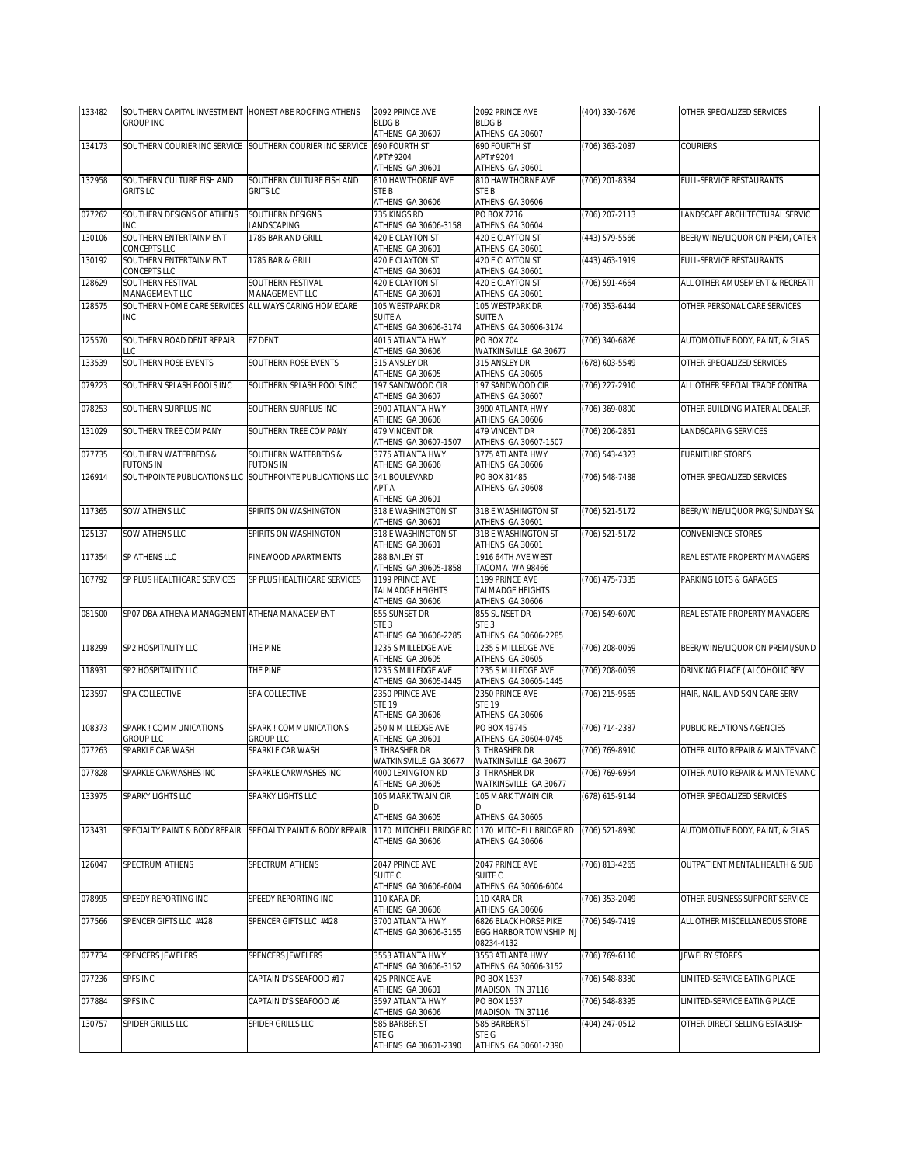| 133482 | SOUTHERN CAPITAL INVESTMENT HONEST ABE ROOFING ATHENS                  |                                                                | 2092 PRINCE AVE                                 | 2092 PRINCE AVE                             | (404) 330-7676 | OTHER SPECIALIZED SERVICES      |
|--------|------------------------------------------------------------------------|----------------------------------------------------------------|-------------------------------------------------|---------------------------------------------|----------------|---------------------------------|
|        | <b>GROUP INC</b>                                                       |                                                                | <b>BLDGB</b><br>ATHENS GA 30607                 | <b>BLDGB</b><br>ATHENS GA 30607             |                |                                 |
| 134173 |                                                                        | SOUTHERN COURIER INC SERVICE SOUTHERN COURIER INC SERVICE      | 690 FOURTH ST                                   | 690 FOURTH ST                               | (706) 363-2087 | <b>COURIERS</b>                 |
|        |                                                                        |                                                                | APT# 9204                                       | APT# 9204                                   |                |                                 |
| 132958 | SOUTHERN CULTURE FISH AND                                              | SOUTHERN CULTURE FISH AND                                      | ATHENS GA 30601<br>810 HAWTHORNE AVE            | ATHENS GA 30601<br>810 HAWTHORNE AVE        | (706) 201-8384 | FULL-SERVICE RESTAURANTS        |
|        | <b>GRITS LC</b>                                                        | <b>GRITS LC</b>                                                | STE B                                           | STE <sub>B</sub>                            |                |                                 |
|        |                                                                        |                                                                | ATHENS GA 30606                                 | ATHENS GA 30606                             |                |                                 |
| 077262 | SOUTHERN DESIGNS OF ATHENS<br>INC.                                     | SOUTHERN DESIGNS<br>LANDSCAPING                                | 735 KINGS RD<br>ATHENS GA 30606-3158            | PO BOX 7216<br>ATHENS GA 30604              | (706) 207-2113 | LANDSCAPE ARCHITECTURAL SERVIC  |
| 130106 | SOUTHERN ENTERTAINMENT                                                 | 1785 BAR AND GRILL                                             | 420 E CLAYTON ST                                | 420 E CLAYTON ST                            | (443) 579-5566 | BEER/WINE/LIQUOR ON PREM/CATER  |
|        | CONCEPTS LLC                                                           |                                                                | ATHENS GA 30601                                 | ATHENS GA 30601                             |                |                                 |
| 130192 | SOUTHERN ENTERTAINMENT<br>CONCEPTS LLC                                 | 1785 BAR & GRILL                                               | 420 E CLAYTON ST<br>ATHENS GA 30601             | 420 E CLAYTON ST<br>ATHENS GA 30601         | (443) 463-1919 | <b>FULL-SERVICE RESTAURANTS</b> |
| 128629 | SOUTHERN FESTIVAL                                                      | SOUTHERN FESTIVAL                                              | 420 E CLAYTON ST                                | 420 E CLAYTON ST                            | (706) 591-4664 | ALL OTHER AMUSEMENT & RECREATI  |
| 128575 | MANAGEMENT LLC<br>SOUTHERN HOME CARE SERVICES ALL WAYS CARING HOMECARE | MANAGEMENT LLC                                                 | ATHENS GA 30601<br>105 WESTPARK DR              | ATHENS GA 30601<br>105 WESTPARK DR          | (706) 353-6444 | OTHER PERSONAL CARE SERVICES    |
|        | <b>INC</b>                                                             |                                                                | <b>SUITE A</b>                                  | SUITE A                                     |                |                                 |
|        |                                                                        |                                                                | ATHENS GA 30606-3174                            | ATHENS GA 30606-3174                        |                |                                 |
| 125570 | SOUTHERN ROAD DENT REPAIR<br>LLC                                       | <b>EZ DENT</b>                                                 | 4015 ATLANTA HWY<br>ATHENS GA 30606             | PO BOX 704<br>WATKINSVILLE GA 30677         | (706) 340-6826 | AUTOMOTIVE BODY, PAINT, & GLAS  |
| 133539 | SOUTHERN ROSE EVENTS                                                   | SOUTHERN ROSE EVENTS                                           | 315 ANSLEY DR                                   | 315 ANSLEY DR                               | (678) 603-5549 | OTHER SPECIALIZED SERVICES      |
|        |                                                                        |                                                                | ATHENS GA 30605                                 | ATHENS GA 30605                             |                |                                 |
| 079223 | SOUTHERN SPLASH POOLS INC                                              | SOUTHERN SPLASH POOLS INC                                      | 197 SANDWOOD CIR<br>ATHENS GA 30607             | 197 SANDWOOD CIR<br>ATHENS GA 30607         | (706) 227-2910 | ALL OTHER SPECIAL TRADE CONTRA  |
| 078253 | SOUTHERN SURPLUS INC                                                   | SOUTHERN SURPLUS INC                                           | 3900 ATLANTA HWY                                | 3900 ATLANTA HWY                            | (706) 369-0800 | OTHER BUILDING MATERIAL DEALER  |
| 131029 | SOUTHERN TREE COMPANY                                                  | SOUTHERN TREE COMPANY                                          | ATHENS GA 30606<br>479 VINCENT DR               | ATHENS GA 30606<br>479 VINCENT DR           | (706) 206-2851 | LANDSCAPING SERVICES            |
|        |                                                                        |                                                                | ATHENS GA 30607-1507                            | ATHENS GA 30607-1507                        |                |                                 |
| 077735 | SOUTHERN WATERBEDS &                                                   | SOUTHERN WATERBEDS &                                           | 3775 ATLANTA HWY                                | 3775 ATLANTA HWY                            | (706) 543-4323 | FURNITURE STORES                |
| 126914 | <b>FUTONS IN</b><br>SOUTHPOINTE PUBLICATIONS LLC                       | <b>FUTONS IN</b><br>SOUTHPOINTE PUBLICATIONS LLC 341 BOULEVARD | ATHENS GA 30606                                 | ATHENS GA 30606<br>PO BOX 81485             | (706) 548-7488 | OTHER SPECIALIZED SERVICES      |
|        |                                                                        |                                                                | APT A                                           | ATHENS GA 30608                             |                |                                 |
|        |                                                                        |                                                                | ATHENS GA 30601                                 |                                             |                |                                 |
| 117365 | SOW ATHENS LLC                                                         | SPIRITS ON WASHINGTON                                          | 318 E WASHINGTON ST<br>ATHENS GA 30601          | 318 E WASHINGTON ST<br>ATHENS GA 30601      | (706) 521-5172 | BEER/WINE/LIQUOR PKG/SUNDAY SA  |
| 125137 | SOW ATHENS LLC                                                         | SPIRITS ON WASHINGTON                                          | 318 E WASHINGTON ST                             | 318 E WASHINGTON ST                         | (706) 521-5172 | CONVENIENCE STORES              |
| 117354 | SP ATHENS LLC                                                          | PINEWOOD APARTMENTS                                            | ATHENS GA 30601<br>288 BAILEY ST                | ATHENS GA 30601<br>1916 64TH AVE WEST       |                | REAL ESTATE PROPERTY MANAGERS   |
|        |                                                                        |                                                                | ATHENS GA 30605-1858                            | TACOMA WA 98466                             |                |                                 |
| 107792 | SP PLUS HEALTHCARE SERVICES                                            | SP PLUS HEALTHCARE SERVICES                                    | 1199 PRINCE AVE                                 | 1199 PRINCE AVE                             | (706) 475-7335 | PARKING LOTS & GARAGES          |
|        |                                                                        |                                                                | <b>TALMADGE HEIGHTS</b><br>ATHENS GA 30606      | TALMADGE HEIGHTS<br>ATHENS GA 30606         |                |                                 |
| 081500 | SP07 DBA ATHENA MANAGEMENT ATHENA MANAGEMENT                           |                                                                | 855 SUNSET DR                                   | 855 SUNSET DR                               | (706) 549-6070 | REAL ESTATE PROPERTY MANAGERS   |
|        |                                                                        |                                                                | STE <sub>3</sub>                                | STE <sub>3</sub>                            |                |                                 |
| 118299 | SP2 HOSPITALITY LLC                                                    | THE PINE                                                       | ATHENS GA 30606-2285<br>1235 S MILLEDGE AVE     | ATHENS GA 30606-2285<br>1235 S MILLEDGE AVE | (706) 208-0059 | BEER/WINE/LIQUOR ON PREMI/SUND  |
|        |                                                                        |                                                                | ATHENS GA 30605                                 | ATHENS GA 30605                             |                |                                 |
| 118931 | SP2 HOSPITALITY LLC                                                    | THE PINE                                                       | 1235 S MILLEDGE AVE                             | 1235 S MILLEDGE AVE<br>ATHENS GA 30605-1445 | (706) 208-0059 | DRINKING PLACE ( ALCOHOLIC BEV  |
| 123597 | SPA COLLECTIVE                                                         | SPA COLLECTIVE                                                 | ATHENS GA 30605-1445<br>2350 PRINCE AVE         | 2350 PRINCE AVE                             | (706) 215-9565 | HAIR, NAIL, AND SKIN CARE SERV  |
|        |                                                                        |                                                                | <b>STE 19</b>                                   | <b>STE 19</b>                               |                |                                 |
| 108373 | SPARK ! COMMUNICATIONS                                                 | SPARK ! COMMUNICATIONS                                         | ATHENS GA 30606<br>250 N MILLEDGE AVE           | ATHENS GA 30606<br>PO BOX 49745             | (706) 714-2387 | PUBLIC RELATIONS AGENCIES       |
|        | <b>GROUP LLC</b>                                                       | <b>GROUP LLC</b>                                               | ATHENS GA 30601                                 | ATHENS GA 30604-0745                        |                |                                 |
| 077263 | SPARKLE CAR WASH                                                       | SPARKLE CAR WASH                                               | 3 THRASHER DR                                   | 3 THRASHER DR                               | (706) 769-8910 | OTHER AUTO REPAIR & MAINTENANC  |
| 077828 | SPARKLE CARWASHES INC                                                  | SPARKLE CARWASHES INC                                          | WATKINSVILLE GA 30677<br>4000 LEXINGTON RD      | WATKINSVILLE GA 30677<br>3 THRASHER DR      | (706) 769-6954 | OTHER AUTO REPAIR & MAINTENANC  |
|        |                                                                        |                                                                | ATHENS GA 30605                                 | WATKINSVILLE GA 30677                       |                |                                 |
| 133975 | SPARKY LIGHTS LLC                                                      | SPARKY LIGHTS LLC                                              | 105 MARK TWAIN CIR<br>D                         | 105 MARK TWAIN CIR                          | (678) 615-9144 | OTHER SPECIALIZED SERVICES      |
|        |                                                                        |                                                                | ATHENS GA 30605                                 | ATHENS GA 30605                             |                |                                 |
| 123431 | SPECIALTY PAINT & BODY REPAIR                                          | SPECIALTY PAINT & BODY REPAIR                                  | 1170 MITCHELL BRIDGE RD 1170 MITCHELL BRIDGE RD |                                             | (706) 521-8930 | AUTOMOTIVE BODY, PAINT, & GLAS  |
|        |                                                                        |                                                                | ATHENS GA 30606                                 | ATHENS GA 30606                             |                |                                 |
| 126047 | SPECTRUM ATHENS                                                        | SPECTRUM ATHENS                                                | 2047 PRINCE AVE                                 | 2047 PRINCE AVE                             | (706) 813-4265 | OUTPATIENT MENTAL HEALTH & SUB  |
|        |                                                                        |                                                                | SUITE <sub>C</sub><br>ATHENS GA 30606-6004      | SUITE C<br>ATHENS GA 30606-6004             |                |                                 |
| 078995 | SPEEDY REPORTING INC                                                   | SPEEDY REPORTING INC                                           | 110 KARA DR                                     | 110 KARA DR                                 | (706) 353-2049 | OTHER BUSINESS SUPPORT SERVICE  |
|        |                                                                        |                                                                | ATHENS GA 30606                                 | ATHENS GA 30606                             |                |                                 |
| 077566 | SPENCER GIFTS LLC #428                                                 | SPENCER GIFTS LLC #428                                         | 3700 ATLANTA HWY                                | 6826 BLACK HORSE PIKE                       | (706) 549-7419 | ALL OTHER MISCELLANEOUS STORE   |
|        |                                                                        |                                                                | ATHENS GA 30606-3155                            | EGG HARBOR TOWNSHIP NJ<br>08234-4132        |                |                                 |
| 077734 | SPENCERS JEWELERS                                                      | SPENCERS JEWELERS                                              | 3553 ATLANTA HWY                                | 3553 ATLANTA HWY                            | (706) 769-6110 | <b>JEWELRY STORES</b>           |
|        |                                                                        |                                                                | ATHENS GA 30606-3152                            | ATHENS GA 30606-3152                        |                |                                 |
| 077236 | SPFS INC                                                               | CAPTAIN D'S SEAFOOD #17                                        | 425 PRINCE AVE<br>ATHENS GA 30601               | PO BOX 1537<br>MADISON TN 37116             | (706) 548-8380 | LIMITED-SERVICE EATING PLACE    |
| 077884 | SPFS INC                                                               | CAPTAIN D'S SEAFOOD #6                                         | 3597 ATLANTA HWY                                | PO BOX 1537                                 | (706) 548-8395 | LIMITED-SERVICE EATING PLACE    |
| 130757 | SPIDER GRILLS LLC                                                      | SPIDER GRILLS LLC                                              | ATHENS GA 30606<br>585 BARBER ST                | MADISON TN 37116<br>585 BARBER ST           | (404) 247-0512 | OTHER DIRECT SELLING ESTABLISH  |
|        |                                                                        |                                                                | STE G                                           | STE G                                       |                |                                 |
|        |                                                                        |                                                                | ATHENS GA 30601-2390                            | ATHENS GA 30601-2390                        |                |                                 |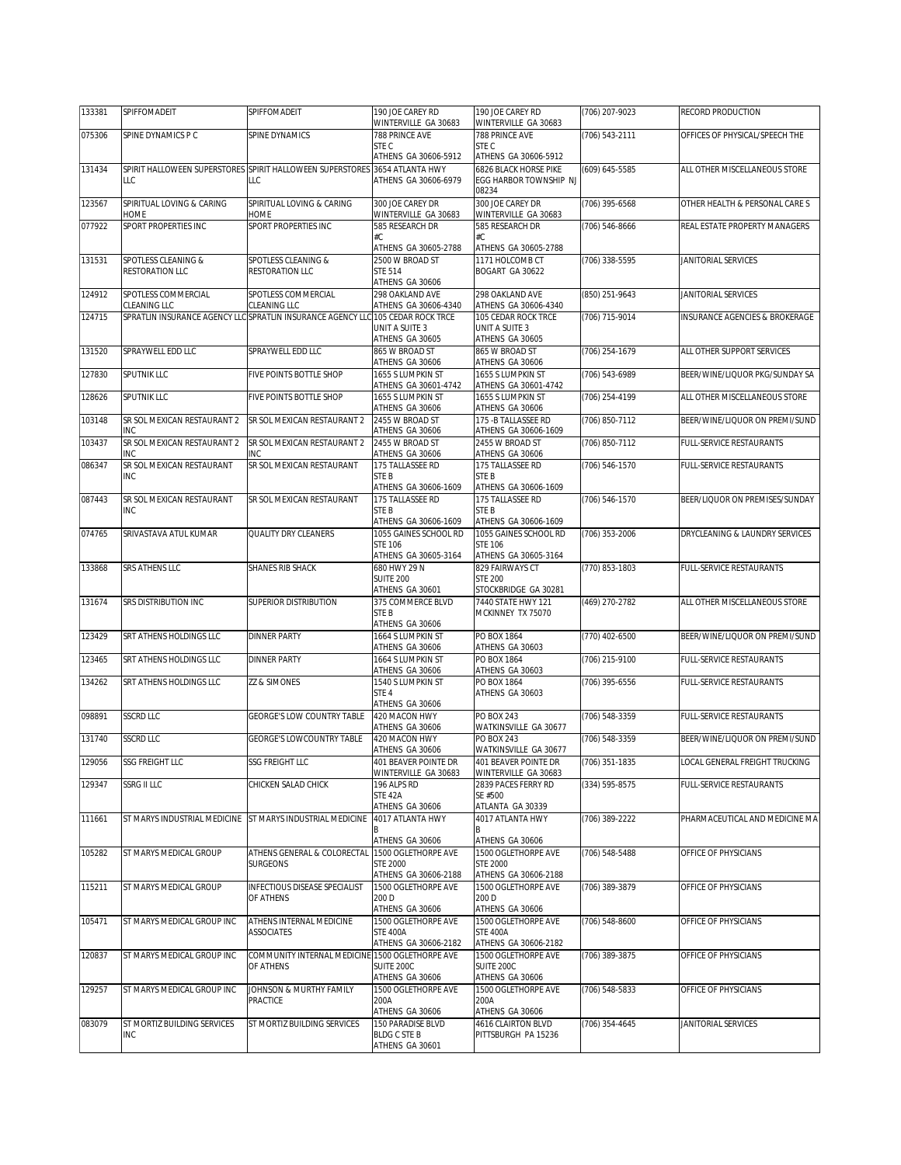| 133381 | SPIFFOMADEIT                       | SPIFFOMADEIT                                                                | 190 JOE CAREY RD                              | 190 JOE CAREY RD                                         | (706) 207-9023   | RECORD PRODUCTION              |
|--------|------------------------------------|-----------------------------------------------------------------------------|-----------------------------------------------|----------------------------------------------------------|------------------|--------------------------------|
|        |                                    |                                                                             | WINTERVILLE GA 30683                          | WINTERVILLE GA 30683                                     |                  |                                |
| 075306 | SPINE DYNAMICS P C                 | SPINE DYNAMICS                                                              | <b>788 PRINCE AVE</b><br>STE C                | 788 PRINCE AVE<br>STE C                                  | (706) 543-2111   | OFFICES OF PHYSICAL/SPEECH THE |
|        |                                    |                                                                             | ATHENS GA 30606-5912                          | ATHENS GA 30606-5912                                     |                  |                                |
| 131434 | LLC                                | SPIRIT HALLOWEEN SUPERSTORES SPIRIT HALLOWEEN SUPERSTORES<br>LLC            | 3654 ATLANTA HWY<br>ATHENS GA 30606-6979      | 6826 BLACK HORSE PIKE<br>EGG HARBOR TOWNSHIP NJ<br>08234 | (609) 645-5585   | ALL OTHER MISCELLANEOUS STORE  |
| 123567 | SPIRITUAL LOVING & CARING<br>HOME  | SPIRITUAL LOVING & CARING<br>HOME                                           | 300 JOE CAREY DR<br>WINTERVILLE GA 30683      | 300 JOE CAREY DR<br>WINTERVILLE GA 30683                 | (706) 395-6568   | OTHER HEALTH & PERSONAL CARE S |
| 077922 | SPORT PROPERTIES INC               | SPORT PROPERTIES INC                                                        | 585 RESEARCH DR                               | 585 RESEARCH DR                                          | (706) 546-8666   | REAL ESTATE PROPERTY MANAGERS  |
|        |                                    |                                                                             | #C                                            | #C<br>ATHENS GA 30605-2788                               |                  |                                |
| 131531 | SPOTLESS CLEANING &                | SPOTLESS CLEANING &                                                         | ATHENS GA 30605-2788<br>2500 W BROAD ST       | 1171 HOLCOMB CT                                          | (706) 338-5595   | <b>JANITORIAL SERVICES</b>     |
|        | RESTORATION LLC                    | RESTORATION LLC                                                             | <b>STE 514</b><br>ATHENS GA 30606             | BOGART GA 30622                                          |                  |                                |
| 124912 | SPOTLESS COMMERCIAL                | SPOTLESS COMMERCIAL                                                         | 298 OAKLAND AVE                               | 298 OAKLAND AVE                                          | (850) 251-9643   | JANITORIAL SERVICES            |
| 124715 | CLEANING LLC                       | CLEANING LLC<br>SPRATLIN INSURANCE AGENCY LLC SPRATLIN INSURANCE AGENCY LLC | ATHENS GA 30606-4340<br>105 CEDAR ROCK TRCE   | ATHENS GA 30606-4340<br>105 CEDAR ROCK TRCE              | (706) 715-9014   | INSURANCE AGENCIES & BROKERAGE |
|        |                                    |                                                                             | UNIT A SUITE 3<br>ATHENS GA 30605             | <b>UNIT A SUITE 3</b><br>ATHENS GA 30605                 |                  |                                |
| 131520 | SPRAYWELL EDD LLC                  | SPRAYWELL EDD LLC                                                           | 865 W BROAD ST                                | 865 W BROAD ST                                           | (706) 254-1679   | ALL OTHER SUPPORT SERVICES     |
|        |                                    |                                                                             | ATHENS GA 30606                               | ATHENS GA 30606                                          |                  |                                |
| 127830 | SPUTNIK LLC                        | FIVE POINTS BOTTLE SHOP                                                     | 1655 S LUMPKIN ST<br>ATHENS GA 30601-4742     | 1655 S LUMPKIN ST<br>ATHENS GA 30601-4742                | (706) 543-6989   | BEER/WINE/LIQUOR PKG/SUNDAY SA |
| 128626 | SPUTNIK LLC                        | FIVE POINTS BOTTLE SHOP                                                     | 1655 S LUMPKIN ST                             | 1655 S LUMPKIN ST                                        | (706) 254-4199   | ALL OTHER MISCELLANEOUS STORE  |
|        |                                    |                                                                             | ATHENS GA 30606                               | ATHENS GA 30606                                          |                  |                                |
| 103148 | SR SOL MEXICAN RESTAURANT 2<br>INC | SR SOL MEXICAN RESTAURANT 2                                                 | 2455 W BROAD ST<br>ATHENS GA 30606            | 175 - B TALLASSEE RD<br>ATHENS GA 30606-1609             | (706) 850-7112   | BEER/WINE/LIQUOR ON PREMI/SUND |
| 103437 | SR SOL MEXICAN RESTAURANT 2        | SR SOL MEXICAN RESTAURANT 2                                                 | 2455 W BROAD ST                               | 2455 W BROAD ST                                          | (706) 850-7112   | FULL-SERVICE RESTAURANTS       |
|        | INC                                | INC                                                                         | ATHENS GA 30606                               | ATHENS GA 30606                                          |                  |                                |
| 086347 | SR SOL MEXICAN RESTAURANT          | SR SOL MEXICAN RESTAURANT                                                   | 175 TALLASSEE RD                              | 175 TALLASSEE RD                                         | (706) 546-1570   | FULL-SERVICE RESTAURANTS       |
|        | <b>INC</b>                         |                                                                             | STE B<br>ATHENS GA 30606-1609                 | STE B<br>ATHENS GA 30606-1609                            |                  |                                |
| 087443 | SR SOL MEXICAN RESTAURANT          | SR SOL MEXICAN RESTAURANT                                                   | 175 TALLASSEE RD                              | 175 TALLASSEE RD                                         | (706) 546-1570   | BEER/LIQUOR ON PREMISES/SUNDAY |
|        | INC.                               |                                                                             | STE B                                         | STE B                                                    |                  |                                |
| 074765 | SRIVASTAVA ATUL KUMAR              | QUALITY DRY CLEANERS                                                        | ATHENS GA 30606-1609<br>1055 GAINES SCHOOL RD | ATHENS GA 30606-1609<br>1055 GAINES SCHOOL RD            |                  | DRYCLEANING & LAUNDRY SERVICES |
|        |                                    |                                                                             | <b>STE 106</b>                                | <b>STE 106</b>                                           | (706) 353-2006   |                                |
|        |                                    |                                                                             | ATHENS GA 30605-3164                          | ATHENS GA 30605-3164                                     |                  |                                |
| 133868 | SRS ATHENS LLC                     | SHANES RIB SHACK                                                            | 680 HWY 29 N                                  | 829 FAIRWAYS CT<br><b>STE 200</b>                        | (770) 853-1803   | FULL-SERVICE RESTAURANTS       |
|        |                                    |                                                                             | <b>SUITE 200</b><br>ATHENS GA 30601           | STOCKBRIDGE GA 30281                                     |                  |                                |
| 131674 | SRS DISTRIBUTION INC               | <b>SUPERIOR DISTRIBUTION</b>                                                | 375 COMMERCE BLVD<br>STE B                    | 7440 STATE HWY 121<br>MCKINNEY TX 75070                  | (469) 270-2782   | ALL OTHER MISCELLANEOUS STORE  |
| 123429 | SRT ATHENS HOLDINGS LLC            | <b>DINNER PARTY</b>                                                         | ATHENS GA 30606<br>1664 S LUMPKIN ST          | PO BOX 1864                                              | (770) 402-6500   | BEER/WINE/LIQUOR ON PREMI/SUND |
|        |                                    |                                                                             | ATHENS GA 30606                               | ATHENS GA 30603                                          |                  |                                |
| 123465 | SRT ATHENS HOLDINGS LLC            | <b>DINNER PARTY</b>                                                         | 1664 S LUMPKIN ST<br>ATHENS GA 30606          | PO BOX 1864<br>ATHENS GA 30603                           | (706) 215-9100   | FULL-SERVICE RESTAURANTS       |
| 134262 | SRT ATHENS HOLDINGS LLC            | ZZ & SIMONES                                                                | 1540 S LUMPKIN ST<br>STE <sub>4</sub>         | PO BOX 1864<br>ATHENS GA 30603                           | (706) 395-6556   | FULL-SERVICE RESTAURANTS       |
|        |                                    |                                                                             | ATHENS GA 30606                               |                                                          |                  |                                |
| 098891 | <b>SSCRD LLC</b>                   | GEORGE'S LOW COUNTRY TABLE                                                  | 420 MACON HWY<br>ATHENS GA 30606              | PO BOX 243<br>WATKINSVILLE GA 30677                      | (706) 548-3359   | FULL-SERVICE RESTAURANTS       |
| 131740 | <b>SSCRD LLC</b>                   | <b>GEORGE'S LOWCOUNTRY TABLE</b>                                            | 420 MACON HWY                                 | PO BOX 243                                               | (706) 548-3359   | BEER/WINE/LIQUOR ON PREMI/SUND |
| 129056 | SSG FREIGHT LLC                    | SSG FREIGHT LLC                                                             | ATHENS GA 30606<br>401 BEAVER POINTE DR       | WATKINSVILLE GA 30677<br>401 BEAVER POINTE DR            | (706) 351-1835   | LOCAL GENERAL FREIGHT TRUCKING |
|        |                                    |                                                                             | WINTERVILLE GA 30683                          | WINTERVILLE GA 30683                                     |                  |                                |
| 129347 | SSRG II LLC                        | CHICKEN SALAD CHICK                                                         | 196 ALPS RD<br>STE 42A                        | 2839 PACES FERRY RD<br>SE #500                           | (334) 595-8575   | FULL-SERVICE RESTAURANTS       |
|        |                                    |                                                                             | ATHENS GA 30606                               | ATLANTA GA 30339                                         |                  |                                |
| 111661 | ST MARYS INDUSTRIAL MEDICINE       | ST MARYS INDUSTRIAL MEDICINE                                                | 4017 ATLANTA HWY                              | 4017 ATLANTA HWY                                         | (706) 389-2222   | PHARMACEUTICAL AND MEDICINE MA |
|        |                                    |                                                                             | R                                             |                                                          |                  |                                |
| 105282 | ST MARYS MEDICAL GROUP             | ATHENS GENERAL & COLORECTAL                                                 | ATHENS GA 30606<br>1500 OGLETHORPE AVE        | ATHENS GA 30606<br>1500 OGLETHORPE AVE                   | (706) 548-5488   | OFFICE OF PHYSICIANS           |
|        |                                    | <b>SURGEONS</b>                                                             | <b>STE 2000</b>                               | <b>STE 2000</b>                                          |                  |                                |
|        |                                    |                                                                             | ATHENS GA 30606-2188                          | ATHENS GA 30606-2188                                     |                  |                                |
| 115211 | ST MARYS MEDICAL GROUP             | <b>INFECTIOUS DISEASE SPECIALIST</b><br>OF ATHENS                           | 1500 OGLETHORPE AVE<br>200 D                  | 1500 OGLETHORPE AVE<br>200 D                             | $(706)$ 389-3879 | OFFICE OF PHYSICIANS           |
|        |                                    |                                                                             | ATHENS GA 30606                               | ATHENS GA 30606                                          |                  |                                |
| 105471 | ST MARYS MEDICAL GROUP INC         | ATHENS INTERNAL MEDICINE                                                    | 1500 OGLETHORPE AVE                           | 1500 OGLETHORPE AVE                                      | (706) 548-8600   | OFFICE OF PHYSICIANS           |
|        |                                    | <b>ASSOCIATES</b>                                                           | <b>STE 400A</b>                               | <b>STE 400A</b>                                          |                  |                                |
| 120837 | ST MARYS MEDICAL GROUP INC         | COMMUNITY INTERNAL MEDICINE                                                 | ATHENS GA 30606-2182<br>1500 OGLETHORPE AVE   | ATHENS GA 30606-2182<br>1500 OGLETHORPE AVE              | (706) 389-3875   | OFFICE OF PHYSICIANS           |
|        |                                    | OF ATHENS                                                                   | SUITE 200C                                    | SUITE 200C                                               |                  |                                |
|        |                                    |                                                                             | ATHENS GA 30606                               | ATHENS GA 30606                                          |                  |                                |
| 129257 | ST MARYS MEDICAL GROUP INC         | JOHNSON & MURTHY FAMILY<br>PRACTICE                                         | 1500 OGLETHORPE AVE<br>200A                   | 1500 OGLETHORPE AVE<br>200A                              | (706) 548-5833   | OFFICE OF PHYSICIANS           |
|        |                                    |                                                                             | ATHENS GA 30606                               | ATHENS GA 30606                                          |                  |                                |
| 083079 | ST MORTIZ BUILDING SERVICES        | ST MORTIZ BUILDING SERVICES                                                 | 150 PARADISE BLVD                             | <b>4616 CLAIRTON BLVD</b>                                | (706) 354-4645   | JANITORIAL SERVICES            |
|        | <b>INC</b>                         |                                                                             | <b>BLDG C STE B</b><br>ATHENS GA 30601        | PITTSBURGH PA 15236                                      |                  |                                |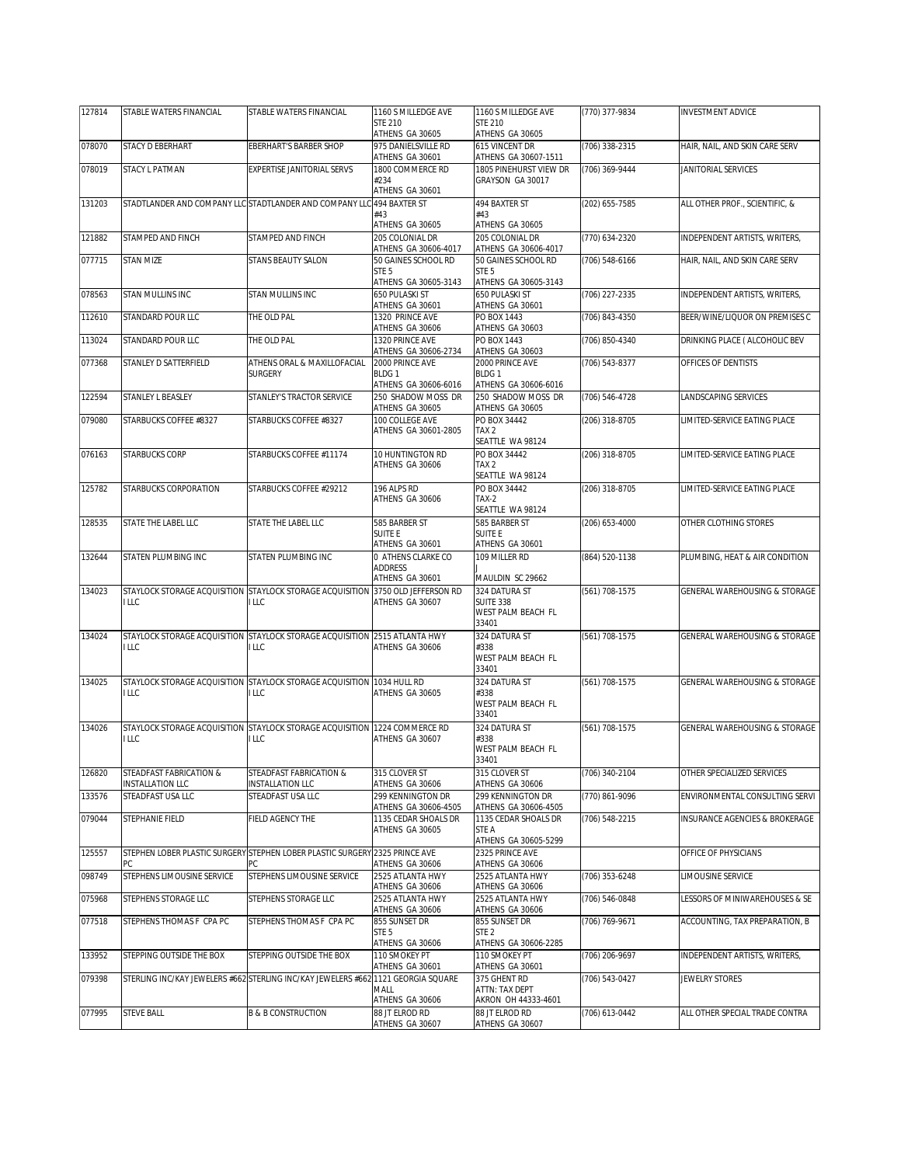| 127814 | STABLE WATERS FINANCIAL                                            | STABLE WATERS FINANCIAL                                                           | 1160 S MILLEDGE AVE                       | 1160 S MILLEDGE AVE                                              | (770) 377-9834 | <b>INVESTMENT ADVICE</b>                 |
|--------|--------------------------------------------------------------------|-----------------------------------------------------------------------------------|-------------------------------------------|------------------------------------------------------------------|----------------|------------------------------------------|
|        |                                                                    |                                                                                   | <b>STE 210</b><br>ATHENS GA 30605         | <b>STE 210</b><br>ATHENS GA 30605                                |                |                                          |
| 078070 | STACY D EBERHART                                                   | <b>EBERHART'S BARBER SHOP</b>                                                     | 975 DANIELSVILLE RD<br>ATHENS GA 30601    | 615 VINCENT DR<br>ATHENS GA 30607-1511                           | (706) 338-2315 | HAIR, NAIL, AND SKIN CARE SERV           |
| 078019 | STACY L PATMAN                                                     | EXPERTISE JANITORIAL SERVS                                                        | 1800 COMMERCE RD<br>#234                  | 1805 PINEHURST VIEW DR<br>GRAYSON GA 30017                       | (706) 369-9444 | JANITORIAL SERVICES                      |
| 131203 |                                                                    | STADTLANDER AND COMPANY LLC STADTLANDER AND COMPANY LLC                           | ATHENS GA 30601<br>494 BAXTER ST          | 494 BAXTER ST                                                    | (202) 655-7585 | ALL OTHER PROF., SCIENTIFIC, &           |
|        |                                                                    |                                                                                   | #43                                       | #43                                                              |                |                                          |
| 121882 | STAMPED AND FINCH                                                  | STAMPED AND FINCH                                                                 | ATHENS GA 30605<br>205 COLONIAL DR        | ATHENS GA 30605<br>205 COLONIAL DR                               | (770) 634-2320 | INDEPENDENT ARTISTS, WRITERS,            |
|        |                                                                    |                                                                                   | ATHENS GA 30606-4017                      | ATHENS GA 30606-4017                                             |                |                                          |
| 077715 | <b>STAN MIZE</b>                                                   | <b>STANS BEAUTY SALON</b>                                                         | 50 GAINES SCHOOL RD<br>STE <sub>5</sub>   | 50 GAINES SCHOOL RD<br>STE <sub>5</sub>                          | (706) 548-6166 | HAIR, NAIL, AND SKIN CARE SERV           |
|        |                                                                    |                                                                                   | ATHENS GA 30605-3143                      | ATHENS GA 30605-3143                                             |                |                                          |
| 078563 | STAN MULLINS INC                                                   | STAN MULLINS INC                                                                  | 650 PULASKI ST<br>ATHENS GA 30601         | 650 PULASKI ST<br>ATHENS GA 30601                                | (706) 227-2335 | INDEPENDENT ARTISTS, WRITERS,            |
| 112610 | <b>STANDARD POUR LLC</b>                                           | THE OLD PAL                                                                       | 1320 PRINCE AVE<br>ATHENS GA 30606        | PO BOX 1443<br>ATHENS GA 30603                                   | (706) 843-4350 | BEER/WINE/LIQUOR ON PREMISES C           |
| 113024 | STANDARD POUR LLC                                                  | THE OLD PAL                                                                       | 1320 PRINCE AVE<br>ATHENS GA 30606-2734   | PO BOX 1443<br>ATHENS GA 30603                                   | (706) 850-4340 | DRINKING PLACE ( ALCOHOLIC BEV           |
| 077368 | STANLEY D SATTERFIELD                                              | ATHENS ORAL & MAXILLOFACIAL                                                       | 2000 PRINCE AVE                           | 2000 PRINCE AVE                                                  | (706) 543-8377 | OFFICES OF DENTISTS                      |
|        |                                                                    | <b>SURGERY</b>                                                                    | BLDG <sub>1</sub><br>ATHENS GA 30606-6016 | BLDG <sub>1</sub><br>ATHENS GA 30606-6016                        |                |                                          |
| 122594 | STANLEY L BEASLEY                                                  | STANLEY'S TRACTOR SERVICE                                                         | 250 SHADOW MOSS DR<br>ATHENS GA 30605     | 250 SHADOW MOSS DR<br>ATHENS GA 30605                            | (706) 546-4728 | LANDSCAPING SERVICES                     |
| 079080 | STARBUCKS COFFEE #8327                                             | STARBUCKS COFFEE #8327                                                            | 100 COLLEGE AVE                           | PO BOX 34442                                                     | (206) 318-8705 | LIMITED-SERVICE EATING PLACE             |
|        |                                                                    |                                                                                   | ATHENS GA 30601-2805                      | TAX <sub>2</sub><br>SEATTLE WA 98124                             |                |                                          |
| 076163 | <b>STARBUCKS CORP</b>                                              | STARBUCKS COFFEE #11174                                                           | 10 HUNTINGTON RD                          | PO BOX 34442                                                     | (206) 318-8705 | LIMITED-SERVICE EATING PLACE             |
|        |                                                                    |                                                                                   | ATHENS GA 30606                           | TAX <sub>2</sub>                                                 |                |                                          |
| 125782 | STARBUCKS CORPORATION                                              | STARBUCKS COFFEE #29212                                                           | 196 ALPS RD                               | SEATTLE WA 98124<br>PO BOX 34442                                 | (206) 318-8705 | LIMITED-SERVICE EATING PLACE             |
|        |                                                                    |                                                                                   | ATHENS GA 30606                           | $TAX-2$                                                          |                |                                          |
| 128535 | STATE THE LABEL LLC                                                | STATE THE LABEL LLC                                                               | 585 BARBER ST                             | SEATTLE WA 98124<br>585 BARBER ST                                | (206) 653-4000 | OTHER CLOTHING STORES                    |
|        |                                                                    |                                                                                   | SUITE E<br>ATHENS GA 30601                | <b>SUITE E</b><br>ATHENS GA 30601                                |                |                                          |
| 132644 | STATEN PLUMBING INC                                                | STATEN PLUMBING INC                                                               | 0 ATHENS CLARKE CO                        | 109 MILLER RD                                                    | (864) 520-1138 | PLUMBING, HEAT & AIR CONDITION           |
|        |                                                                    |                                                                                   | <b>ADDRESS</b><br>ATHENS GA 30601         | MAULDIN SC 29662                                                 |                |                                          |
| 134023 | STAYLOCK STORAGE ACQUISITION STAYLOCK STORAGE ACQUISITION<br>I LLC | ILLC                                                                              | 3750 OLD JEFFERSON RD<br>ATHENS GA 30607  | 324 DATURA ST<br><b>SUITE 338</b><br>WEST PALM BEACH FL<br>33401 | (561) 708-1575 | GENERAL WAREHOUSING & STORAGE            |
| 134024 |                                                                    | STAYLOCK STORAGE ACQUISITION STAYLOCK STORAGE ACQUISITION 2515 ATLANTA HWY        |                                           | 324 DATURA ST                                                    | (561) 708-1575 | GENERAL WAREHOUSING & STORAGE            |
|        | <b>ILLC</b>                                                        | <b>LLC</b>                                                                        | ATHENS GA 30606                           | #338<br>WEST PALM BEACH FL                                       |                |                                          |
|        |                                                                    |                                                                                   |                                           | 33401                                                            |                |                                          |
| 134025 | I LLC                                                              | STAYLOCK STORAGE ACQUISITION STAYLOCK STORAGE ACQUISITION 1034 HULL RD<br>I LLC   | ATHENS GA 30605                           | 324 DATURA ST<br>#338<br>WEST PALM BEACH FL<br>33401             | (561) 708-1575 | GENERAL WAREHOUSING & STORAGE            |
| 134026 |                                                                    | STAYLOCK STORAGE ACQUISITION STAYLOCK STORAGE ACQUISITION                         | 1224 COMMERCE RD                          | 324 DATURA ST                                                    | (561) 708-1575 | <b>GENERAL WAREHOUSING &amp; STORAGE</b> |
|        | <b>ILLC</b>                                                        | ILLC                                                                              | ATHENS GA 30607                           | #338<br><b>WEST PALM BEACH FL</b><br>33401                       |                |                                          |
| 126820 | STEADFAST FABRICATION &                                            | STEADFAST FABRICATION &                                                           | 315 CLOVER ST                             | 315 CLOVER ST                                                    | (706) 340-2104 | OTHER SPECIALIZED SERVICES               |
| 133576 | INSTALLATION LLC<br>STEADFAST USA LLC                              | INSTALLATION LLC<br>STEADFAST USA LLC                                             | ATHENS GA 30606<br>299 KENNINGTON DR      | ATHENS GA 30606<br>299 KENNINGTON DR                             | (770) 861-9096 | ENVIRONMENTAL CONSULTING SERVI           |
|        |                                                                    |                                                                                   | ATHENS GA 30606-4505                      | ATHENS GA 30606-4505                                             |                |                                          |
| 079044 | STEPHANIE FIELD                                                    | FIELD AGENCY THE                                                                  | 1135 CEDAR SHOALS DR<br>ATHENS GA 30605   | 1135 CEDAR SHOALS DR<br>STE A                                    | (706) 548-2215 | INSURANCE AGENCIES & BROKERAGE           |
| 125557 | РC                                                                 | STEPHEN LOBER PLASTIC SURGERY STEPHEN LOBER PLASTIC SURGERY 2325 PRINCE AVE       | ATHENS GA 30606                           | ATHENS GA 30605-5299<br>2325 PRINCE AVE<br>ATHENS GA 30606       |                | OFFICE OF PHYSICIANS                     |
| 098749 | STEPHENS LIMOUSINE SERVICE                                         | STEPHENS LIMOUSINE SERVICE                                                        | 2525 ATLANTA HWY                          | 2525 ATLANTA HWY                                                 | (706) 353-6248 | LIMOUSINE SERVICE                        |
| 075968 | STEPHENS STORAGE LLC                                               | STEPHENS STORAGE LLC                                                              | ATHENS GA 30606<br>2525 ATLANTA HWY       | ATHENS GA 30606<br>2525 ATLANTA HWY                              | (706) 546-0848 | LESSORS OF MINIWAREHOUSES & SE           |
|        |                                                                    |                                                                                   | ATHENS GA 30606                           | ATHENS GA 30606                                                  |                |                                          |
| 077518 | STEPHENS THOMAS F CPA PC                                           | STEPHENS THOMAS F CPA PC                                                          | 855 SUNSET DR<br>STE <sub>5</sub>         | 855 SUNSET DR<br>STE <sub>2</sub>                                | (706) 769-9671 | ACCOUNTING, TAX PREPARATION, B           |
| 133952 | STEPPING OUTSIDE THE BOX                                           | STEPPING OUTSIDE THE BOX                                                          | ATHENS GA 30606<br>110 SMOKEY PT          | ATHENS GA 30606-2285<br>110 SMOKEY PT                            | (706) 206-9697 | INDEPENDENT ARTISTS, WRITERS,            |
| 079398 |                                                                    | STERLING INC/KAY JEWELERS #662 STERLING INC/KAY JEWELERS #662 1121 GEORGIA SQUARE | ATHENS GA 30601                           | ATHENS GA 30601<br>375 GHENT RD                                  | (706) 543-0427 | JEWELRY STORES                           |
|        |                                                                    |                                                                                   | MALL<br>ATHENS GA 30606                   | ATTN: TAX DEPT<br>AKRON OH 44333-4601                            |                |                                          |
| 077995 | STEVE BALL                                                         | <b>B &amp; B CONSTRUCTION</b>                                                     | 88 JT ELROD RD                            | 88 JT ELROD RD                                                   | (706) 613-0442 | ALL OTHER SPECIAL TRADE CONTRA           |
|        |                                                                    |                                                                                   | ATHENS GA 30607                           | ATHENS GA 30607                                                  |                |                                          |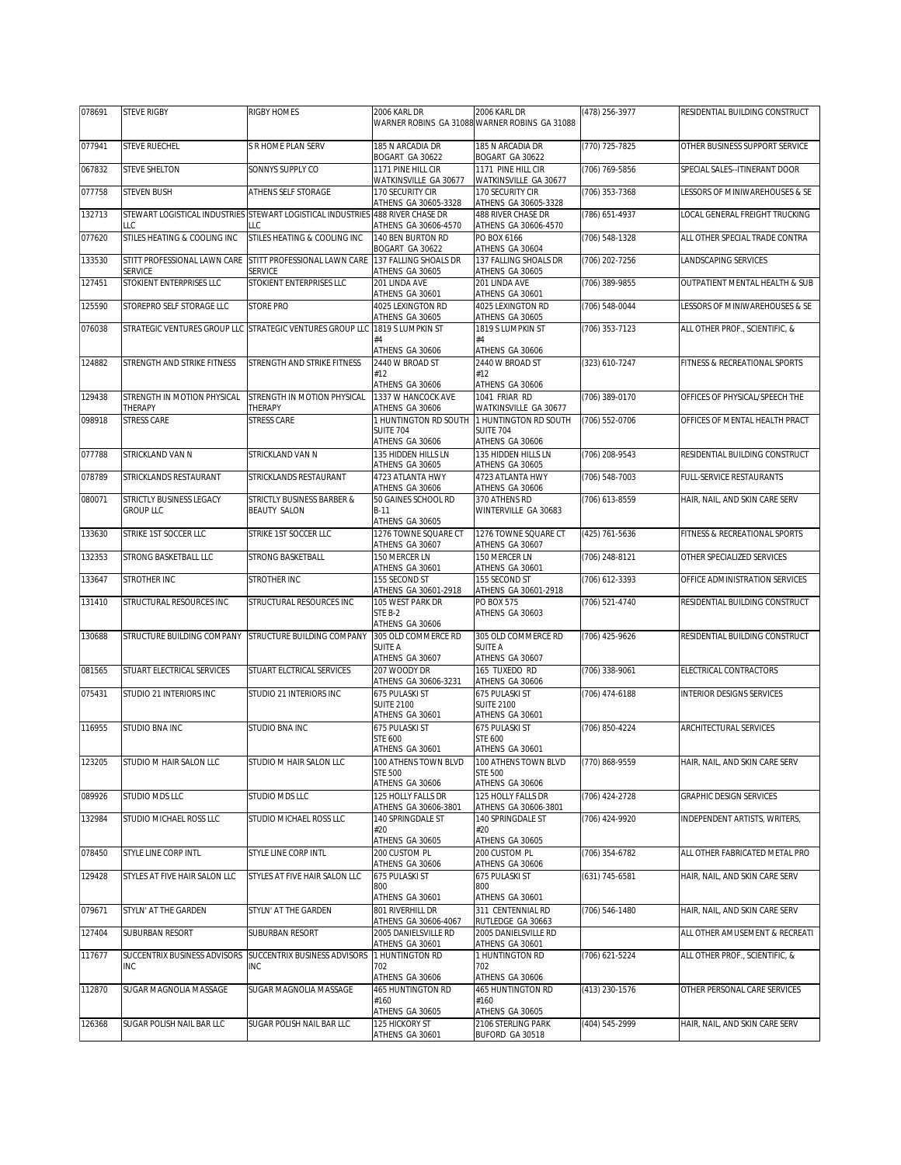| 078691 | <b>STEVE RIGBY</b>                           | RIGBY HOMES                                                                          | 2006 KARL DR                                | 2006 KARL DR                                          | (478) 256-3977 | RESIDENTIAL BUILDING CONSTRUCT |
|--------|----------------------------------------------|--------------------------------------------------------------------------------------|---------------------------------------------|-------------------------------------------------------|----------------|--------------------------------|
|        |                                              |                                                                                      |                                             | WARNER ROBINS GA 31088 WARNER ROBINS GA 31088         |                |                                |
| 077941 | <b>STEVE RUECHEL</b>                         | S R HOME PLAN SERV                                                                   | 185 N ARCADIA DR<br>BOGART GA 30622         | 185 N ARCADIA DR<br>BOGART GA 30622                   | (770) 725-7825 | OTHER BUSINESS SUPPORT SERVICE |
| 067832 | <b>STEVE SHELTON</b>                         | SONNYS SUPPLY CO                                                                     | 1171 PINE HILL CIR<br>WATKINSVILLE GA 30677 | 1171 PINE HILL CIR<br>WATKINSVILLE GA 30677           | (706) 769-5856 | SPECIAL SALES--ITINERANT DOOR  |
| 077758 | <b>STEVEN BUSH</b>                           | ATHENS SELF STORAGE                                                                  | 170 SECURITY CIR<br>ATHENS GA 30605-3328    | 170 SECURITY CIR<br>ATHENS GA 30605-3328              | (706) 353-7368 | LESSORS OF MINIWAREHOUSES & SE |
| 132713 | LLC                                          | STEWART LOGISTICAL INDUSTRIES STEWART LOGISTICAL INDUSTRIES 488 RIVER CHASE DR<br>LC | ATHENS GA 30606-4570                        | 488 RIVER CHASE DR<br>ATHENS GA 30606-4570            | (786) 651-4937 | LOCAL GENERAL FREIGHT TRUCKING |
| 077620 | STILES HEATING & COOLING INC                 | STILES HEATING & COOLING INC                                                         | 140 BEN BURTON RD<br>BOGART GA 30622        | PO BOX 6166<br>ATHENS GA 30604                        | (706) 548-1328 | ALL OTHER SPECIAL TRADE CONTRA |
| 133530 | STITT PROFESSIONAL LAWN CARE                 | STITT PROFESSIONAL LAWN CARE                                                         | 137 FALLING SHOALS DR                       | 137 FALLING SHOALS DR                                 | (706) 202-7256 | LANDSCAPING SERVICES           |
| 127451 | <b>SERVICE</b><br>STOKIENT ENTERPRISES LLC   | SERVICE<br>STOKIENT ENTERPRISES LLC                                                  | ATHENS GA 30605<br>201 LINDA AVE            | ATHENS GA 30605<br>201 LINDA AVE                      | (706) 389-9855 | OUTPATIENT MENTAL HEALTH & SUB |
| 125590 | STOREPRO SELF STORAGE LLC                    | <b>STORE PRO</b>                                                                     | ATHENS GA 30601<br>4025 LEXINGTON RD        | ATHENS GA 30601<br>4025 LEXINGTON RD                  | (706) 548-0044 | LESSORS OF MINIWAREHOUSES & SE |
| 076038 |                                              | STRATEGIC VENTURES GROUP LLC STRATEGIC VENTURES GROUP LLC                            | ATHENS GA 30605<br>1819 S LUMPKIN ST        | ATHENS GA 30605<br>1819 S LUMPKIN ST                  | (706) 353-7123 | ALL OTHER PROF., SCIENTIFIC, & |
|        |                                              |                                                                                      | #4<br>ATHENS GA 30606                       | #4<br>ATHENS GA 30606                                 |                |                                |
| 124882 | STRENGTH AND STRIKE FITNESS                  | STRENGTH AND STRIKE FITNESS                                                          | 2440 W BROAD ST<br>#12                      | 2440 W BROAD ST<br>#12                                | (323) 610-7247 | FITNESS & RECREATIONAL SPORTS  |
|        |                                              |                                                                                      | ATHENS GA 30606                             | ATHENS GA 30606                                       |                |                                |
| 129438 | STRENGTH IN MOTION PHYSICAL<br>THERAPY       | STRENGTH IN MOTION PHYSICAL<br>THERAPY                                               | 1337 W HANCOCK AVE<br>ATHENS GA 30606       | 1041 FRIAR RD<br>WATKINSVILLE GA 30677                | (706) 389-0170 | OFFICES OF PHYSICAL/SPEECH THE |
| 098918 | <b>STRESS CARE</b>                           | <b>STRESS CARE</b>                                                                   | 1 HUNTINGTON RD SOUTH<br><b>SUITE 704</b>   | 1 HUNTINGTON RD SOUTH<br>SUITE 704                    | (706) 552-0706 | OFFICES OF MENTAL HEALTH PRACT |
|        |                                              |                                                                                      | ATHENS GA 30606                             | ATHENS GA 30606                                       |                |                                |
| 077788 | STRICKLAND VAN N                             | STRICKLAND VAN N                                                                     | 135 HIDDEN HILLS LN<br>ATHENS GA 30605      | 135 HIDDEN HILLS LN<br>ATHENS GA 30605                | (706) 208-9543 | RESIDENTIAL BUILDING CONSTRUCT |
| 078789 | STRICKLANDS RESTAURANT                       | STRICKLANDS RESTAURANT                                                               | 4723 ATLANTA HWY<br>ATHENS GA 30606         | 4723 ATLANTA HWY<br>ATHENS GA 30606                   | (706) 548-7003 | FULL-SERVICE RESTAURANTS       |
| 080071 | STRICTLY BUSINESS LEGACY<br><b>GROUP LLC</b> | STRICTLY BUSINESS BARBER &<br><b>BEAUTY SALON</b>                                    | 50 GAINES SCHOOL RD<br>$B-11$               | 370 ATHENS RD<br>WINTERVILLE GA 30683                 | (706) 613-8559 | HAIR, NAIL, AND SKIN CARE SERV |
|        |                                              |                                                                                      | ATHENS GA 30605                             |                                                       |                |                                |
| 133630 | STRIKE 1ST SOCCER LLC                        | STRIKE 1ST SOCCER LLC                                                                | 1276 TOWNE SQUARE CT<br>ATHENS GA 30607     | 1276 TOWNE SQUARE CT<br>ATHENS GA 30607               | (425) 761-5636 | FITNESS & RECREATIONAL SPORTS  |
| 132353 | STRONG BASKETBALL LLC                        | STRONG BASKETBALL                                                                    | 150 MERCER LN<br>ATHENS GA 30601            | 150 MERCER LN<br>ATHENS GA 30601                      | (706) 248-8121 | OTHER SPECIALIZED SERVICES     |
| 133647 | STROTHER INC                                 | STROTHER INC                                                                         | 155 SECOND ST<br>ATHENS GA 30601-2918       | 155 SECOND ST<br>ATHENS GA 30601-2918                 | (706) 612-3393 | OFFICE ADMINISTRATION SERVICES |
| 131410 | STRUCTURAL RESOURCES INC                     | STRUCTURAL RESOURCES INC                                                             | 105 WEST PARK DR<br>STE B-2                 | <b>PO BOX 575</b>                                     | (706) 521-4740 | RESIDENTIAL BUILDING CONSTRUCT |
|        |                                              |                                                                                      | ATHENS GA 30606                             | ATHENS GA 30603                                       |                |                                |
| 130688 | STRUCTURE BUILDING COMPANY                   | STRUCTURE BUILDING COMPANY                                                           | 305 OLD COMMERCE RD<br><b>SUITE A</b>       | 305 OLD COMMERCE RD<br><b>SUITE A</b>                 | (706) 425-9626 | RESIDENTIAL BUILDING CONSTRUCT |
| 081565 | STUART ELECTRICAL SERVICES                   | STUART ELCTRICAL SERVICES                                                            | ATHENS GA 30607<br>207 WOODY DR             | ATHENS GA 30607<br>165 TUXEDO RD                      | (706) 338-9061 | ELECTRICAL CONTRACTORS         |
| 075431 | STUDIO 21 INTERIORS INC                      | STUDIO 21 INTERIORS INC                                                              | ATHENS GA 30606-3231<br>675 PULASKI ST      | ATHENS GA 30606<br>675 PULASKI ST                     | (706) 474-6188 | INTERIOR DESIGNS SERVICES      |
|        |                                              |                                                                                      | <b>SUITE 2100</b><br>ATHENS GA 30601        | <b>SUITE 2100</b><br>ATHENS GA 30601                  |                |                                |
| 116955 | <b>STUDIO BNA INC</b>                        | STUDIO BNA INC                                                                       | 675 PULASKI ST                              | 675 PULASKI ST                                        | (706) 850-4224 | <b>ARCHITECTURAL SERVICES</b>  |
|        |                                              |                                                                                      | <b>STE 600</b><br>ATHENS GA 30601           | <b>STE 600</b><br>ATHENS GA 30601                     |                |                                |
| 123205 | STUDIO M HAIR SALON LLC                      | STUDIO M HAIR SALON LLC                                                              | 100 ATHENS TOWN BLVD                        | 100 ATHENS TOWN BLVD (770) 868-9559<br><b>STE 500</b> |                | HAIR, NAIL, AND SKIN CARE SERV |
|        |                                              |                                                                                      | <b>STE 500</b><br>ATHENS GA 30606           | ATHENS GA 30606                                       |                |                                |
| 089926 | STUDIO MDS LLC                               | STUDIO MDS LLC                                                                       | 125 HOLLY FALLS DR<br>ATHENS GA 30606-3801  | 125 HOLLY FALLS DR<br>ATHENS GA 30606-3801            | (706) 424-2728 | GRAPHIC DESIGN SERVICES        |
| 132984 | STUDIO MICHAEL ROSS LLC                      | STUDIO MICHAEL ROSS LLC                                                              | 140 SPRINGDALE ST<br>#20                    | 140 SPRINGDALE ST<br>#20                              | (706) 424-9920 | INDEPENDENT ARTISTS, WRITERS,  |
|        |                                              |                                                                                      | ATHENS GA 30605                             | ATHENS GA 30605                                       |                |                                |
| 078450 | STYLE LINE CORP INTL                         | STYLE LINE CORP INTL                                                                 | 200 CUSTOM PL<br>ATHENS GA 30606            | 200 CUSTOM PL<br>ATHENS GA 30606                      | (706) 354-6782 | ALL OTHER FABRICATED METAL PRO |
| 129428 | STYLES AT FIVE HAIR SALON LLC                | STYLES AT FIVE HAIR SALON LLC                                                        | 675 PULASKI ST<br>800                       | 675 PULASKI ST<br>800                                 | (631) 745-6581 | HAIR, NAIL, AND SKIN CARE SERV |
| 079671 | STYLN' AT THE GARDEN                         | STYLN' AT THE GARDEN                                                                 | ATHENS GA 30601<br>801 RIVERHILL DR         | ATHENS GA 30601<br>311 CENTENNIAL RD                  | (706) 546-1480 | HAIR, NAIL, AND SKIN CARE SERV |
|        |                                              |                                                                                      | ATHENS GA 30606-4067                        | RUTLEDGE GA 30663                                     |                |                                |
| 127404 | SUBURBAN RESORT                              | SUBURBAN RESORT                                                                      | 2005 DANIELSVILLE RD<br>ATHENS GA 30601     | 2005 DANIELSVILLE RD<br>ATHENS GA 30601               |                | ALL OTHER AMUSEMENT & RECREATI |
| 117677 | SUCCENTRIX BUSINESS ADVISORS<br>INC          | SUCCENTRIX BUSINESS ADVISORS<br><b>INC</b>                                           | 1 HUNTINGTON RD<br>702                      | 1 HUNTINGTON RD<br>702                                | (706) 621-5224 | ALL OTHER PROF., SCIENTIFIC, & |
|        |                                              |                                                                                      | ATHENS GA 30606                             | ATHENS GA 30606                                       |                |                                |
| 112870 | SUGAR MAGNOLIA MASSAGE                       | SUGAR MAGNOLIA MASSAGE                                                               | 465 HUNTINGTON RD<br>#160                   | 465 HUNTINGTON RD<br>#160                             | (413) 230-1576 | OTHER PERSONAL CARE SERVICES   |
| 126368 | SUGAR POLISH NAIL BAR LLC                    | SUGAR POLISH NAIL BAR LLC                                                            | ATHENS GA 30605<br>125 HICKORY ST           | ATHENS GA 30605<br>2106 STERLING PARK                 | (404) 545-2999 | HAIR, NAIL, AND SKIN CARE SERV |
|        |                                              |                                                                                      | ATHENS GA 30601                             | BUFORD GA 30518                                       |                |                                |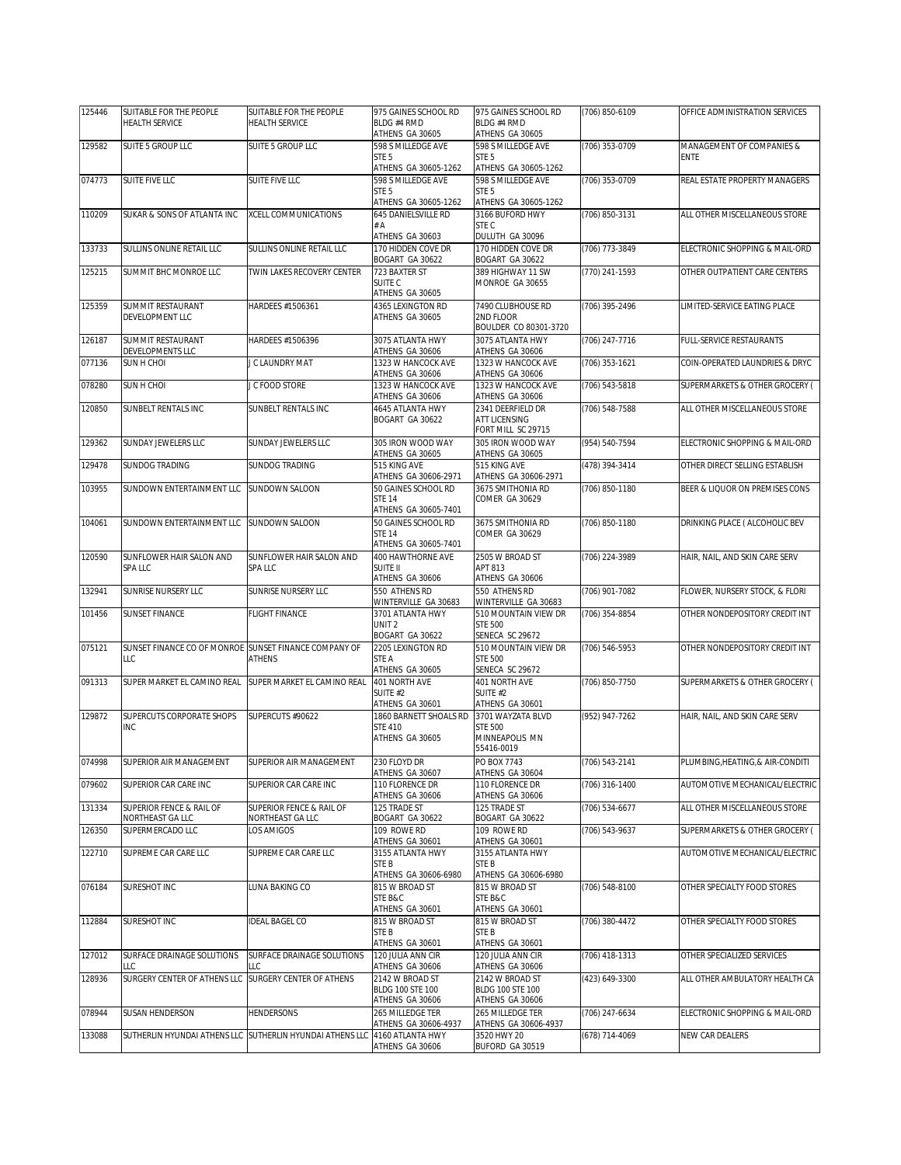| 125446 | SUITABLE FOR THE PEOPLE              | SUITABLE FOR THE PEOPLE                                   | 975 GAINES SCHOOL RD                        | 975 GAINES SCHOOL RD                         | (706) 850-6109     | OFFICE ADMINISTRATION SERVICES   |
|--------|--------------------------------------|-----------------------------------------------------------|---------------------------------------------|----------------------------------------------|--------------------|----------------------------------|
|        | <b>HEALTH SERVICE</b>                | <b>HEALTH SERVICE</b>                                     | BLDG #4 RMD<br>ATHENS GA 30605              | BLDG #4 RMD<br>ATHENS GA 30605               |                    |                                  |
| 129582 | SUITE 5 GROUP LLC                    | SUITE 5 GROUP LLC                                         | 598 S MILLEDGE AVE                          | 598 S MILLEDGE AVE                           | (706) 353-0709     | MANAGEMENT OF COMPANIES &        |
|        |                                      |                                                           | STE <sub>5</sub><br>ATHENS GA 30605-1262    | STE <sub>5</sub><br>ATHENS GA 30605-1262     |                    | <b>ENTE</b>                      |
| 074773 | SUITE FIVE LLC                       | <b>SUITE FIVE LLC</b>                                     | 598 S MILLEDGE AVE<br>STE <sub>5</sub>      | 598 S MILLEDGE AVE<br>STE <sub>5</sub>       | (706) 353-0709     | REAL ESTATE PROPERTY MANAGERS    |
|        |                                      |                                                           | ATHENS GA 30605-1262                        | ATHENS GA 30605-1262                         |                    |                                  |
| 110209 | SUKAR & SONS OF ATLANTA INC          | <b>XCELL COMMUNICATIONS</b>                               | 645 DANIELSVILLE RD<br>#A                   | 3166 BUFORD HWY<br>STE C                     | (706) 850-3131     | ALL OTHER MISCELLANEOUS STORE    |
|        |                                      |                                                           | ATHENS GA 30603                             | DULUTH GA 30096                              |                    |                                  |
| 133733 | SULLINS ONLINE RETAIL LLC            | SULLINS ONLINE RETAIL LLC                                 | 170 HIDDEN COVE DR<br>BOGART GA 30622       | 170 HIDDEN COVE DR<br>BOGART GA 30622        | (706) 773-3849     | ELECTRONIC SHOPPING & MAIL-ORD   |
| 125215 | SUMMIT BHC MONROE LLC                | TWIN LAKES RECOVERY CENTER                                | 723 BAXTER ST                               | 389 HIGHWAY 11 SW                            | (770) 241-1593     | OTHER OUTPATIENT CARE CENTERS    |
|        |                                      |                                                           | SUITE <sub>C</sub><br>ATHENS GA 30605       | MONROE GA 30655                              |                    |                                  |
| 125359 | <b>SUMMIT RESTAURANT</b>             | HARDEES #1506361                                          | 4365 LEXINGTON RD                           | 7490 CLUBHOUSE RD                            | (706) 395-2496     | LIMITED-SERVICE EATING PLACE     |
|        | DEVELOPMENT LLC                      |                                                           | ATHENS GA 30605                             | 2ND FLOOR<br>BOULDER CO 80301-3720           |                    |                                  |
| 126187 | <b>SUMMIT RESTAURANT</b>             | HARDEES #1506396                                          | 3075 ATLANTA HWY                            | 3075 ATLANTA HWY                             | (706) 247-7716     | FULL-SERVICE RESTAURANTS         |
| 077136 | DEVELOPMENTS LLC<br>SUN H CHOI       | J C LAUNDRY MAT                                           | ATHENS GA 30606<br>1323 W HANCOCK AVE       | ATHENS GA 30606<br>1323 W HANCOCK AVE        | (706) 353-1621     | COIN-OPERATED LAUNDRIES & DRYC   |
| 078280 | SUN H CHOI                           | J C FOOD STORE                                            | ATHENS GA 30606<br>1323 W HANCOCK AVE       | ATHENS GA 30606<br>1323 W HANCOCK AVE        | (706) 543-5818     | SUPERMARKETS & OTHER GROCERY (   |
|        |                                      |                                                           | ATHENS GA 30606                             | ATHENS GA 30606                              |                    |                                  |
| 120850 | SUNBELT RENTALS INC                  | SUNBELT RENTALS INC                                       | 4645 ATLANTA HWY<br>BOGART GA 30622         | 2341 DEERFIELD DR<br><b>ATT LICENSING</b>    | (706) 548-7588     | ALL OTHER MISCELLANEOUS STORE    |
|        |                                      |                                                           |                                             | FORT MILL SC 29715                           |                    |                                  |
| 129362 | SUNDAY JEWELERS LLC                  | SUNDAY JEWELERS LLC                                       | 305 IRON WOOD WAY<br>ATHENS GA 30605        | 305 IRON WOOD WAY<br>ATHENS GA 30605         | (954) 540-7594     | ELECTRONIC SHOPPING & MAIL-ORD   |
| 129478 | SUNDOG TRADING                       | <b>SUNDOG TRADING</b>                                     | 515 KING AVE                                | 515 KING AVE                                 | (478) 394-3414     | OTHER DIRECT SELLING ESTABLISH   |
| 103955 | SUNDOWN ENTERTAINMENT LLC            | <b>SUNDOWN SALOON</b>                                     | ATHENS GA 30606-2971<br>50 GAINES SCHOOL RD | ATHENS GA 30606-2971<br>3675 SMITHONIA RD    | $(706)$ 850-1180   | BEER & LIQUOR ON PREMISES CONS   |
|        |                                      |                                                           | <b>STE 14</b>                               | <b>COMER GA 30629</b>                        |                    |                                  |
| 104061 | SUNDOWN ENTERTAINMENT LLC            | SUNDOWN SALOON                                            | ATHENS GA 30605-7401<br>50 GAINES SCHOOL RD | 3675 SMITHONIA RD                            | (706) 850-1180     | DRINKING PLACE ( ALCOHOLIC BEV   |
|        |                                      |                                                           | <b>STE 14</b>                               | <b>COMER GA 30629</b>                        |                    |                                  |
| 120590 | SUNFLOWER HAIR SALON AND             | SUNFLOWER HAIR SALON AND                                  | ATHENS GA 30605-7401<br>400 HAWTHORNE AVE   | 2505 W BROAD ST                              | (706) 224-3989     | HAIR, NAIL, AND SKIN CARE SERV   |
|        | SPA LLC                              | SPA LLC                                                   | <b>SUITE II</b><br>ATHENS GA 30606          | APT 813<br>ATHENS GA 30606                   |                    |                                  |
| 132941 | SUNRISE NURSERY LLC                  | SUNRISE NURSERY LLC                                       | 550 ATHENS RD                               | 550 ATHENS RD                                | (706) 901-7082     | FLOWER, NURSERY STOCK, & FLORI   |
| 101456 | <b>SUNSET FINANCE</b>                | <b>FLIGHT FINANCE</b>                                     | WINTERVILLE GA 30683<br>3701 ATLANTA HWY    | WINTERVILLE GA 30683<br>510 MOUNTAIN VIEW DR | (706) 354-8854     | OTHER NONDEPOSITORY CREDIT INT   |
|        |                                      |                                                           | UNIT <sub>2</sub>                           | <b>STE 500</b>                               |                    |                                  |
| 075121 | SUNSET FINANCE CO OF MONROE          | SUNSET FINANCE COMPANY OF                                 | BOGART GA 30622<br>2205 LEXINGTON RD        | SENECA SC 29672<br>510 MOUNTAIN VIEW DR      | (706) 546-5953     | OTHER NONDEPOSITORY CREDIT INT   |
|        | LLC                                  | <b>ATHENS</b>                                             | STE A                                       | <b>STE 500</b>                               |                    |                                  |
| 091313 | SUPER MARKET EL CAMINO REAL          | SUPER MARKET EL CAMINO REAL                               | ATHENS GA 30605<br>401 NORTH AVE            | SENECA SC 29672<br>401 NORTH AVE             | (706) 850-7750     | SUPERMARKETS & OTHER GROCERY (   |
|        |                                      |                                                           | SUITE #2                                    | SUITE #2<br>ATHENS GA 30601                  |                    |                                  |
| 129872 | SUPERCUTS CORPORATE SHOPS            | SUPERCUTS #90622                                          | ATHENS GA 30601<br>1860 BARNETT SHOALS RD   | 3701 WAYZATA BLVD                            | (952) 947-7262     | HAIR, NAIL, AND SKIN CARE SERV   |
|        | INC                                  |                                                           | <b>STE 410</b><br>ATHENS GA 30605           | <b>STE 500</b><br>MINNEAPOLIS MN             |                    |                                  |
|        |                                      |                                                           |                                             | 55416-0019                                   |                    |                                  |
| 074998 | SUPERIOR AIR MANAGEMENT              | SUPERIOR AIR MANAGEMENT                                   | 230 FLOYD DR<br>ATHENS GA 30607             | PO BOX 7743<br>ATHENS GA 30604               | (706) 543-2141     | PLUMBING, HEATING, & AIR-CONDITI |
| 079602 | SUPERIOR CAR CARE INC                | SUPERIOR CAR CARE INC                                     | 110 FLORENCE DR<br>ATHENS GA 30606          | 110 FLORENCE DR<br>ATHENS GA 30606           | (706) 316-1400     | AUTOMOTIVE MECHANICAL/ELECTRIC   |
| 131334 | SUPERIOR FENCE & RAIL OF             | SUPERIOR FENCE & RAIL OF                                  | 125 TRADE ST                                | 125 TRADE ST                                 | (706) 534-6677     | ALL OTHER MISCELLANEOUS STORE    |
| 126350 | NORTHEAST GA LLC<br>SUPERMERCADO LLC | NORTHEAST GA LLC<br>LOS AMIGOS                            | BOGART GA 30622<br>109 ROWE RD              | BOGART GA 30622<br>109 ROWE RD               | $(706) 543 - 9637$ | SUPERMARKETS & OTHER GROCERY (   |
|        |                                      |                                                           | ATHENS GA 30601                             | ATHENS GA 30601                              |                    |                                  |
| 122710 | SUPREME CAR CARE LLC                 | SUPREME CAR CARE LLC                                      | 3155 ATLANTA HWY<br>STE B                   | 3155 ATLANTA HWY<br>STE B                    |                    | AUTOMOTIVE MECHANICAL/ELECTRIC   |
|        |                                      |                                                           | ATHENS GA 30606-6980                        | ATHENS GA 30606-6980                         |                    |                                  |
| 076184 | SURESHOT INC                         | LUNA BAKING CO                                            | 815 W BROAD ST<br>STE B&C                   | 815 W BROAD ST<br>STE B&C                    | (706) 548-8100     | OTHER SPECIALTY FOOD STORES      |
|        |                                      |                                                           | ATHENS GA 30601                             | ATHENS GA 30601                              |                    |                                  |
| 112884 | SURESHOT INC                         | <b>IDEAL BAGEL CO</b>                                     | 815 W BROAD ST<br>STE B                     | 815 W BROAD ST<br>STE B                      | (706) 380-4472     | OTHER SPECIALTY FOOD STORES      |
|        |                                      |                                                           | ATHENS GA 30601                             | ATHENS GA 30601                              |                    |                                  |
| 127012 | SURFACE DRAINAGE SOLUTIONS<br>LLC    | SURFACE DRAINAGE SOLUTIONS<br>LC                          | 120 JULIA ANN CIR<br>ATHENS GA 30606        | 120 JULIA ANN CIR<br>ATHENS GA 30606         | (706) 418-1313     | OTHER SPECIALIZED SERVICES       |
| 128936 | SURGERY CENTER OF ATHENS LLC         | SURGERY CENTER OF ATHENS                                  | 2142 W BROAD ST                             | 2142 W BROAD ST                              | (423) 649-3300     | ALL OTHER AMBULATORY HEALTH CA   |
|        |                                      |                                                           | <b>BLDG 100 STE 100</b><br>ATHENS GA 30606  | <b>BLDG 100 STE 100</b><br>ATHENS GA 30606   |                    |                                  |
| 078944 | SUSAN HENDERSON                      | <b>HENDERSONS</b>                                         | 265 MILLEDGE TER                            | 265 MILLEDGE TER                             | (706) 247-6634     | ELECTRONIC SHOPPING & MAIL-ORD   |
| 133088 |                                      | SUTHERLIN HYUNDAI ATHENS LLC SUTHERLIN HYUNDAI ATHENS LLC | ATHENS GA 30606-4937<br>4160 ATLANTA HWY    | ATHENS GA 30606-4937<br>3520 HWY 20          | (678) 714-4069     | NEW CAR DEALERS                  |
|        |                                      |                                                           | ATHENS GA 30606                             | BUFORD GA 30519                              |                    |                                  |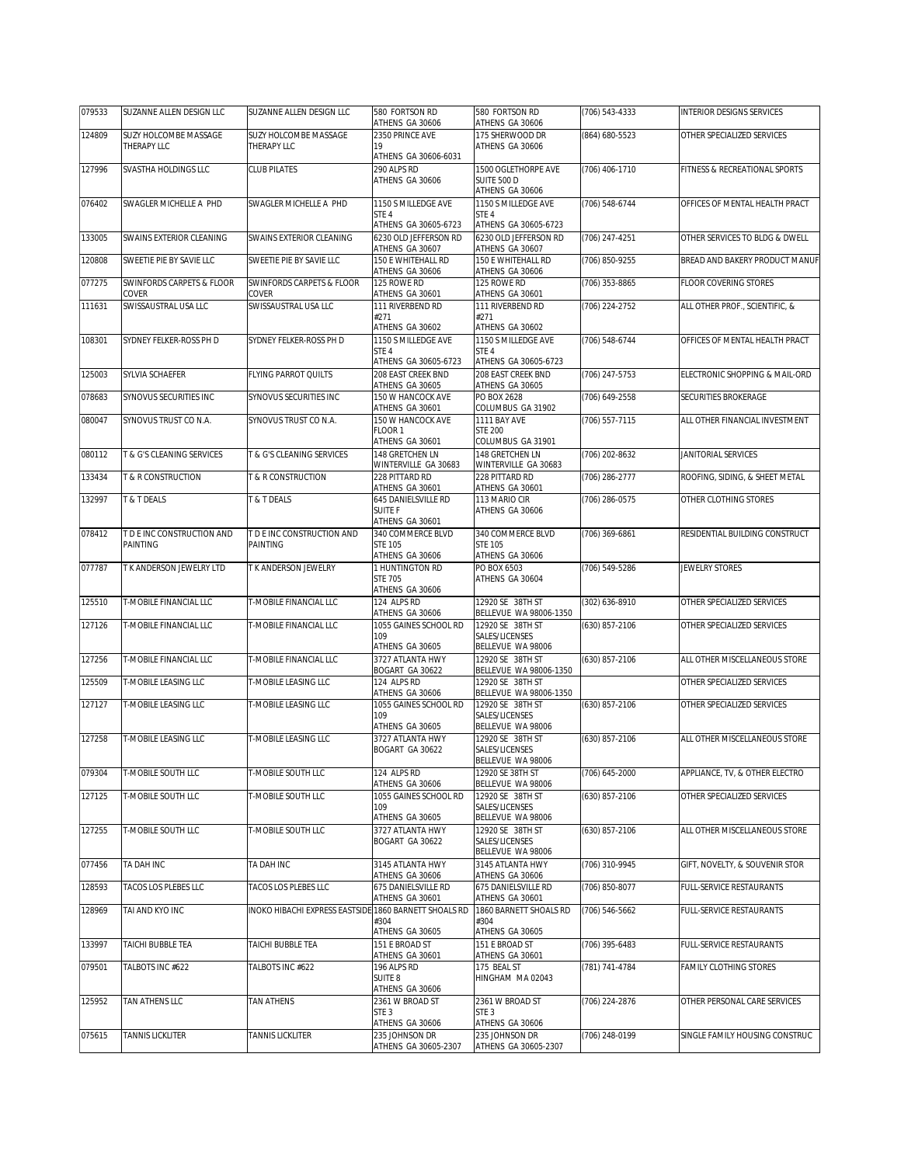| 079533 | SUZANNE ALLEN DESIGN LLC               | SUZANNE ALLEN DESIGN LLC                              | 580 FORTSON RD<br>ATHENS GA 30606                         | 580 FORTSON RD<br>ATHENS GA 30606                         | (706) 543-4333 | <b>INTERIOR DESIGNS SERVICES</b> |
|--------|----------------------------------------|-------------------------------------------------------|-----------------------------------------------------------|-----------------------------------------------------------|----------------|----------------------------------|
| 124809 | SUZY HOLCOMBE MASSAGE                  | SUZY HOLCOMBE MASSAGE                                 | 2350 PRINCE AVE                                           | 175 SHERWOOD DR                                           | (864) 680-5523 | OTHER SPECIALIZED SERVICES       |
|        | THERAPY LLC                            | THERAPY LLC                                           | 19<br>ATHENS GA 30606-6031                                | ATHENS GA 30606                                           |                |                                  |
| 127996 | SVASTHA HOLDINGS LLC                   | <b>CLUB PILATES</b>                                   | 290 ALPS RD<br>ATHENS GA 30606                            | 1500 OGLETHORPE AVE<br>SUITE 500 D<br>ATHENS GA 30606     | (706) 406-1710 | FITNESS & RECREATIONAL SPORTS    |
| 076402 | SWAGLER MICHELLE A PHD                 | SWAGLER MICHELLE A PHD                                | 1150 S MILLEDGE AVE<br>STE 4<br>ATHENS GA 30605-6723      | 1150 S MILLEDGE AVE<br>STE 4<br>ATHENS GA 30605-6723      | (706) 548-6744 | OFFICES OF MENTAL HEALTH PRACT   |
| 133005 | SWAINS EXTERIOR CLEANING               | SWAINS EXTERIOR CLEANING                              | 6230 OLD JEFFERSON RD<br>ATHENS GA 30607                  | 6230 OLD JEFFERSON RD<br>ATHENS GA 30607                  | (706) 247-4251 | OTHER SERVICES TO BLDG & DWELL   |
| 120808 | SWEETIE PIE BY SAVIE LLC               | SWEETIE PIE BY SAVIE LLC                              | 150 E WHITEHALL RD<br>ATHENS GA 30606                     | 150 E WHITEHALL RD<br>ATHENS GA 30606                     | (706) 850-9255 | BREAD AND BAKERY PRODUCT MANUF   |
| 077275 | SWINFORDS CARPETS & FLOOR<br>COVER     | SWINFORDS CARPETS & FLOOR<br>COVER                    | 125 ROWE RD<br>ATHENS GA 30601                            | 125 ROWE RD<br>ATHENS GA 30601                            | (706) 353-8865 | FLOOR COVERING STORES            |
| 111631 | SWISSAUSTRAL USA LLC                   | SWISSAUSTRAL USA LLC                                  | 111 RIVERBEND RD<br>#271<br>ATHENS GA 30602               | 111 RIVERBEND RD<br>#271<br>ATHENS GA 30602               | (706) 224-2752 | ALL OTHER PROF., SCIENTIFIC, &   |
| 108301 | SYDNEY FELKER-ROSS PH D                | SYDNEY FELKER-ROSS PH D                               | 1150 S MILLEDGE AVE<br>STE 4<br>ATHENS GA 30605-6723      | 1150 S MILLEDGE AVE<br>STE 4<br>ATHENS GA 30605-6723      | (706) 548-6744 | OFFICES OF MENTAL HEALTH PRACT   |
| 125003 | SYLVIA SCHAEFER                        | FLYING PARROT QUILTS                                  | 208 EAST CREEK BND<br>ATHENS GA 30605                     | 208 EAST CREEK BND<br>ATHENS GA 30605                     | (706) 247-5753 | ELECTRONIC SHOPPING & MAIL-ORD   |
| 078683 | SYNOVUS SECURITIES INC                 | SYNOVUS SECURITIES INC                                | 150 W HANCOCK AVE<br>ATHENS GA 30601                      | PO BOX 2628<br>COLUMBUS GA 31902                          | (706) 649-2558 | SECURITIES BROKERAGE             |
| 080047 | SYNOVUS TRUST CO N.A.                  | SYNOVUS TRUST CO N.A.                                 | 150 W HANCOCK AVE<br>FLOOR 1<br>ATHENS GA 30601           | 1111 BAY AVE<br><b>STE 200</b><br>COLUMBUS GA 31901       | (706) 557-7115 | ALL OTHER FINANCIAL INVESTMENT   |
| 080112 | T & G'S CLEANING SERVICES              | T & G'S CLEANING SERVICES                             | <b>148 GRETCHEN LN</b><br>WINTERVILLE GA 30683            | 148 GRETCHEN LN<br>WINTERVILLE GA 30683                   | (706) 202-8632 | <b>JANITORIAL SERVICES</b>       |
| 133434 | <b>T &amp; R CONSTRUCTION</b>          | <b>E&amp; R CONSTRUCTION</b>                          | 228 PITTARD RD<br>ATHENS GA 30601                         | 228 PITTARD RD<br>ATHENS GA 30601                         | (706) 286-2777 | ROOFING, SIDING, & SHEET METAL   |
| 132997 | T & T DEALS                            | <b>B</b> T DEALS                                      | 645 DANIELSVILLE RD<br><b>SUITE F</b><br>ATHENS GA 30601  | 113 MARIO CIR<br>ATHENS GA 30606                          | (706) 286-0575 | OTHER CLOTHING STORES            |
| 078412 | T D E INC CONSTRUCTION AND<br>PAINTING | T D E INC CONSTRUCTION AND<br>PAINTING                | 340 COMMERCE BLVD<br><b>STE 105</b><br>ATHENS GA 30606    | 340 COMMERCE BLVD<br><b>STE 105</b><br>ATHENS GA 30606    | (706) 369-6861 | RESIDENTIAL BUILDING CONSTRUCT   |
| 077787 | T K ANDERSON JEWELRY LTD               | T K ANDERSON JEWELRY                                  | 1 HUNTINGTON RD<br><b>STE 705</b><br>ATHENS GA 30606      | PO BOX 6503<br>ATHENS GA 30604                            | (706) 549-5286 | <b>JEWELRY STORES</b>            |
| 125510 | T-MOBILE FINANCIAL LLC                 | T-MOBILE FINANCIAL LLC                                | 124 ALPS RD<br>ATHENS GA 30606                            | 12920 SE 38TH ST<br>BELLEVUE WA 98006-1350                | (302) 636-8910 | OTHER SPECIALIZED SERVICES       |
| 127126 | T-MOBILE FINANCIAL LLC                 | T-MOBILE FINANCIAL LLC                                | 1055 GAINES SCHOOL RD<br>109<br>ATHENS GA 30605           | 12920 SE 38TH ST<br>SALES/LICENSES<br>BELLEVUE WA 98006   | (630) 857-2106 | OTHER SPECIALIZED SERVICES       |
| 127256 | T-MOBILE FINANCIAL LLC                 | T-MOBILE FINANCIAL LLC                                | 3727 ATLANTA HWY<br>BOGART GA 30622                       | 12920 SE 38TH ST<br>BELLEVUE WA 98006-1350                | (630) 857-2106 | ALL OTHER MISCELLANEOUS STORE    |
| 125509 | T-MOBILE LEASING LLC                   | T-MOBILE LEASING LLC                                  | 124 ALPS RD<br>ATHENS GA 30606                            | 12920 SE 38TH ST<br>BELLEVUE WA 98006-1350                |                | OTHER SPECIALIZED SERVICES       |
| 127127 | T-MOBILE LEASING LLC                   | T-MOBILE LEASING LLC                                  | 1055 GAINES SCHOOL RD<br>109<br>ATHENS GA 30605           | 12920 SE 38TH ST<br>SALES/LICENSES<br>BELLEVUE WA 98006   | (630) 857-2106 | OTHER SPECIALIZED SERVICES       |
| 127258 | T-MOBILE LEASING LLC                   | T-MOBILE LEASING LLC                                  | 3727 ATLANTA HWY<br>BOGART GA 30622                       | 12920 SE 38TH ST<br>SALES/LICENSES<br>BELLEVUE WA 98006   | (630) 857-2106 | ALL OTHER MISCELLANEOUS STORE    |
| 079304 | T-MOBILE SOUTH LLC                     | T-MOBILE SOUTH LLC                                    | 124 ALPS RD<br>ATHENS GA 30606                            | 12920 SE 38TH ST<br>BELLEVUE WA 98006                     | (706) 645-2000 | APPLIANCE, TV, & OTHER ELECTRO   |
| 127125 | T-MOBILE SOUTH LLC                     | T-MOBILE SOUTH LLC                                    | 1055 GAINES SCHOOL RD<br>109<br>ATHENS GA 30605           | 12920 SE 38TH ST<br>SALES/LICENSES<br>BELLEVUE WA 98006   | (630) 857-2106 | OTHER SPECIALIZED SERVICES       |
| 127255 | T-MOBILE SOUTH LLC                     | T-MOBILE SOUTH LLC                                    | 3727 ATLANTA HWY<br>BOGART GA 30622                       | 12920 SE 38TH ST<br>SALES/LICENSES<br>BELLEVUE WA 98006   | (630) 857-2106 | ALL OTHER MISCELLANEOUS STORE    |
| 077456 | TA DAH INC                             | TA DAH INC                                            | 3145 ATLANTA HWY<br>ATHENS GA 30606                       | 3145 ATLANTA HWY<br>ATHENS GA 30606                       | (706) 310-9945 | GIFT, NOVELTY, & SOUVENIR STOR   |
| 128593 | TACOS LOS PLEBES LLC                   | TACOS LOS PLEBES LLC                                  | 675 DANIELSVILLE RD<br>ATHENS GA 30601                    | 675 DANIELSVILLE RD<br>ATHENS GA 30601                    | (706) 850-8077 | FULL-SERVICE RESTAURANTS         |
| 128969 | TAI AND KYO INC                        | INOKO HIBACHI EXPRESS EASTSIDE 1860 BARNETT SHOALS RD | #304<br>ATHENS GA 30605                                   | 1860 BARNETT SHOALS RD<br>#304<br>ATHENS GA 30605         | (706) 546-5662 | FULL-SERVICE RESTAURANTS         |
| 133997 | TAICHI BUBBLE TEA                      | TAICHI BUBBLE TEA                                     | 151 E BROAD ST<br>ATHENS GA 30601                         | 151 E BROAD ST<br>ATHENS GA 30601                         | (706) 395-6483 | FULL-SERVICE RESTAURANTS         |
| 079501 | TALBOTS INC #622                       | TALBOTS INC #622                                      | 196 ALPS RD<br>SUITE 8<br>ATHENS GA 30606                 | 175 BEAL ST<br>HINGHAM MA 02043                           | (781) 741-4784 | FAMILY CLOTHING STORES           |
| 125952 | TAN ATHENS LLC                         | TAN ATHENS                                            | 2361 W BROAD ST<br>STE <sub>3</sub>                       | 2361 W BROAD ST<br>STE <sub>3</sub>                       | (706) 224-2876 | OTHER PERSONAL CARE SERVICES     |
| 075615 | TANNIS LICKLITER                       | <b>TANNIS LICKLITER</b>                               | ATHENS GA 30606<br>235 JOHNSON DR<br>ATHENS GA 30605-2307 | ATHENS GA 30606<br>235 JOHNSON DR<br>ATHENS GA 30605-2307 | (706) 248-0199 | SINGLE FAMILY HOUSING CONSTRUC   |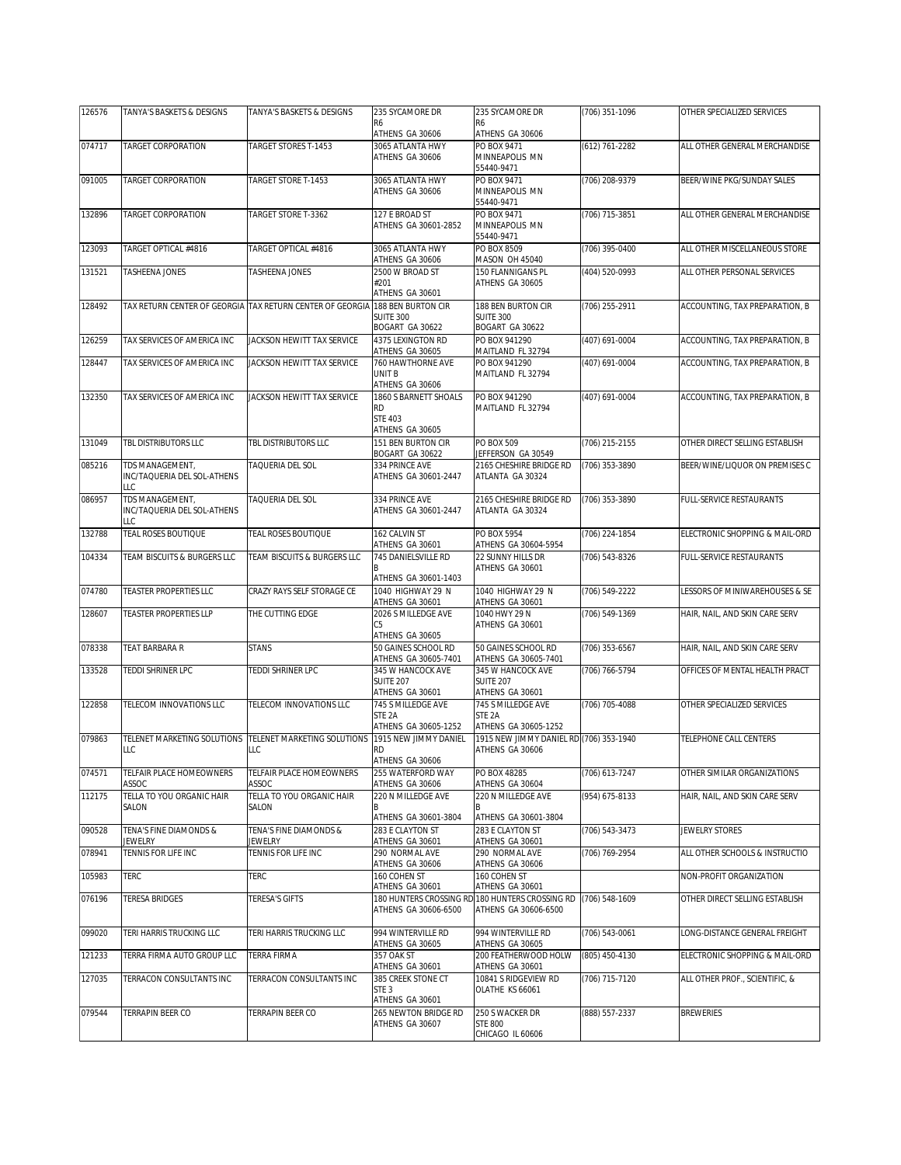| 126576 | TANYA'S BASKETS & DESIGNS                             | TANYA'S BASKETS & DESIGNS                                 | 235 SYCAMORE DR                                                         | 235 SYCAMORE DR                                                 | (706) 351-1096 | OTHER SPECIALIZED SERVICES     |
|--------|-------------------------------------------------------|-----------------------------------------------------------|-------------------------------------------------------------------------|-----------------------------------------------------------------|----------------|--------------------------------|
|        |                                                       |                                                           | R6<br>ATHENS GA 30606                                                   | R6<br>ATHENS GA 30606                                           |                |                                |
| 074717 | <b>TARGET CORPORATION</b>                             | TARGET STORES T-1453                                      | 3065 ATLANTA HWY<br>ATHENS GA 30606                                     | PO BOX 9471<br>MINNEAPOLIS MN<br>55440-9471                     | (612) 761-2282 | ALL OTHER GENERAL MERCHANDISE  |
| 091005 | <b>TARGET CORPORATION</b>                             | TARGET STORE T-1453                                       | 3065 ATLANTA HWY<br>ATHENS GA 30606                                     | PO BOX 9471<br>MINNEAPOLIS MN<br>55440-9471                     | (706) 208-9379 | BEER/WINE PKG/SUNDAY SALES     |
| 132896 | TARGET CORPORATION                                    | TARGET STORE T-3362                                       | 127 E BROAD ST<br>ATHENS GA 30601-2852                                  | PO BOX 9471<br>MINNEAPOLIS MN<br>55440-9471                     | (706) 715-3851 | ALL OTHER GENERAL MERCHANDISE  |
| 123093 | TARGET OPTICAL #4816                                  | TARGET OPTICAL #4816                                      | 3065 ATLANTA HWY                                                        | PO BOX 8509<br>MASON OH 45040                                   | (706) 395-0400 | ALL OTHER MISCELLANEOUS STORE  |
| 131521 | <b>TASHEENA JONES</b>                                 | <b>TASHEENA JONES</b>                                     | ATHENS GA 30606<br>2500 W BROAD ST                                      | 150 FLANNIGANS PL                                               | (404) 520-0993 | ALL OTHER PERSONAL SERVICES    |
|        |                                                       |                                                           | #201<br>ATHENS GA 30601                                                 | ATHENS GA 30605                                                 |                |                                |
| 128492 |                                                       | TAX RETURN CENTER OF GEORGIA TAX RETURN CENTER OF GEORGIA | 188 BEN BURTON CIR<br><b>SUITE 300</b><br>BOGART GA 30622               | 188 BEN BURTON CIR<br><b>SUITE 300</b><br>BOGART GA 30622       | (706) 255-2911 | ACCOUNTING, TAX PREPARATION, B |
| 126259 | TAX SERVICES OF AMERICA INC                           | JACKSON HEWITT TAX SERVICE                                | 4375 LEXINGTON RD                                                       | PO BOX 941290                                                   | (407) 691-0004 | ACCOUNTING, TAX PREPARATION, B |
| 128447 | TAX SERVICES OF AMERICA INC                           | JACKSON HEWITT TAX SERVICE                                | ATHENS GA 30605<br>760 HAWTHORNE AVE                                    | MAITLAND FL 32794<br>PO BOX 941290                              | (407) 691-0004 | ACCOUNTING, TAX PREPARATION, B |
|        |                                                       |                                                           | UNIT B<br>ATHENS GA 30606                                               | MAITLAND FL 32794                                               |                |                                |
| 132350 | TAX SERVICES OF AMERICA INC                           | JACKSON HEWITT TAX SERVICE                                | 1860 S BARNETT SHOALS<br><b>RD</b><br><b>STE 403</b><br>ATHENS GA 30605 | PO BOX 941290<br>MAITLAND FL 32794                              | (407) 691-0004 | ACCOUNTING, TAX PREPARATION, B |
| 131049 | TBL DISTRIBUTORS LLC                                  | TBL DISTRIBUTORS LLC                                      | 151 BEN BURTON CIR                                                      | PO BOX 509                                                      | (706) 215-2155 | OTHER DIRECT SELLING ESTABLISH |
| 085216 | TDS MANAGEMENT,                                       | <b>TAQUERIA DEL SOL</b>                                   | BOGART GA 30622<br>334 PRINCE AVE                                       | JEFFERSON GA 30549<br>2165 CHESHIRE BRIDGE RD                   | (706) 353-3890 | BEER/WINE/LIQUOR ON PREMISES C |
|        | INC/TAQUERIA DEL SOL-ATHENS<br>LLC                    |                                                           | ATHENS GA 30601-2447                                                    | ATLANTA GA 30324                                                |                |                                |
| 086957 | TDS MANAGEMENT,<br>INC/TAQUERIA DEL SOL-ATHENS<br>LLC | TAQUERIA DEL SOL                                          | 334 PRINCE AVE<br>ATHENS GA 30601-2447                                  | 2165 CHESHIRE BRIDGE RD<br>ATLANTA GA 30324                     | (706) 353-3890 | FULL-SERVICE RESTAURANTS       |
| 132788 | <b>TEAL ROSES BOUTIQUE</b>                            | <b>TEAL ROSES BOUTIQUE</b>                                | 162 CALVIN ST<br>ATHENS GA 30601                                        | <b>PO BOX 5954</b><br>ATHENS GA 30604-5954                      | (706) 224-1854 | ELECTRONIC SHOPPING & MAIL-ORD |
| 104334 | TEAM BISCUITS & BURGERS LLC                           | TEAM BISCUITS & BURGERS LLC                               | 745 DANIELSVILLE RD<br>ATHENS GA 30601-1403                             | 22 SUNNY HILLS DR<br>ATHENS GA 30601                            | (706) 543-8326 | FULL-SERVICE RESTAURANTS       |
| 074780 | <b>TEASTER PROPERTIES LLC</b>                         | CRAZY RAYS SELF STORAGE CE                                | 1040 HIGHWAY 29 N<br>ATHENS GA 30601                                    | 1040 HIGHWAY 29 N<br>ATHENS GA 30601                            | (706) 549-2222 | LESSORS OF MINIWAREHOUSES & SE |
| 128607 | <b>TEASTER PROPERTIES LLP</b>                         | THE CUTTING EDGE                                          | 2026 S MILLEDGE AVE<br>C5<br>ATHENS GA 30605                            | 1040 HWY 29 N<br>ATHENS GA 30601                                | (706) 549-1369 | HAIR, NAIL, AND SKIN CARE SERV |
| 078338 | TEAT BARBARA R                                        | <b>STANS</b>                                              | 50 GAINES SCHOOL RD                                                     | 50 GAINES SCHOOL RD                                             | (706) 353-6567 | HAIR, NAIL, AND SKIN CARE SERV |
| 133528 | TEDDI SHRINER LPC                                     | TEDDI SHRINER LPC                                         | ATHENS GA 30605-7401<br>345 W HANCOCK AVE                               | ATHENS GA 30605-7401<br>345 W HANCOCK AVE                       | (706) 766-5794 | OFFICES OF MENTAL HEALTH PRACT |
|        |                                                       |                                                           | SUITE 207<br>ATHENS GA 30601                                            | <b>SUITE 207</b><br>ATHENS GA 30601                             |                |                                |
| 122858 | TELECOM INNOVATIONS LLC                               | TELECOM INNOVATIONS LLC                                   | 745 S MILLEDGE AVE<br>STE <sub>2A</sub><br>ATHENS GA 30605-1252         | 745 S MILLEDGE AVE<br>STE <sub>2A</sub><br>ATHENS GA 30605-1252 | (706) 705-4088 | OTHER SPECIALIZED SERVICES     |
| 079863 | TELENET MARKETING SOLUTIONS<br>LLC                    | TELENET MARKETING SOLUTIONS<br>LLC                        | 1915 NEW JIMMY DANIEL<br>RD<br>ATHENS GA 30606                          | 1915 NEW JIMMY DANIEL RD (706) 353-1940<br>ATHENS GA 30606      |                | TELEPHONE CALL CENTERS         |
| 074571 | TELFAIR PLACE HOMEOWNERS                              | TELFAIR PLACE HOMEOWNERS                                  | 255 WATERFORD WAY                                                       | PO BOX 48285                                                    | (706) 613-7247 | OTHER SIMILAR ORGANIZATIONS    |
| 112175 | ASSOC<br>TELLA TO YOU ORGANIC HAIR                    | ASSOC<br>TELLA TO YOU ORGANIC HAIR                        | ATHENS GA 30606<br>220 N MILLEDGE AVE                                   | ATHENS GA 30604<br>220 N MILLEDGE AVE                           | (954) 675-8133 | HAIR, NAIL, AND SKIN CARE SERV |
|        | SALON                                                 | SALON                                                     | В<br>ATHENS GA 30601-3804                                               | ATHENS GA 30601-3804                                            |                |                                |
| 090528 | TENA'S FINE DIAMONDS &                                | TENA'S FINE DIAMONDS &                                    | 283 E CLAYTON ST                                                        | 283 E CLAYTON ST                                                | (706) 543-3473 | JEWELRY STORES                 |
| 078941 | JEWELRY<br>TENNIS FOR LIFE INC                        | Jewelry<br>TENNIS FOR LIFE INC                            | ATHENS GA 30601<br>290 NORMAL AVE                                       | ATHENS GA 30601<br>290 NORMAL AVE                               | (706) 769-2954 | ALL OTHER SCHOOLS & INSTRUCTIO |
|        |                                                       |                                                           | ATHENS GA 30606                                                         | ATHENS GA 30606                                                 |                |                                |
| 105983 | TERC                                                  | TERC                                                      | 160 COHEN ST<br>ATHENS GA 30601                                         | 160 COHEN ST<br>ATHENS GA 30601                                 |                | NON-PROFIT ORGANIZATION        |
| 076196 | TERESA BRIDGES                                        | TERESA'S GIFTS                                            | 180 HUNTERS CROSSING RI<br>ATHENS GA 30606-6500                         | 180 HUNTERS CROSSING RD<br>ATHENS GA 30606-6500                 | (706) 548-1609 | OTHER DIRECT SELLING ESTABLISH |
| 099020 | TERI HARRIS TRUCKING LLC                              | TERI HARRIS TRUCKING LLC                                  | 994 WINTERVILLE RD<br>ATHENS GA 30605                                   | 994 WINTERVILLE RD<br>ATHENS GA 30605                           | (706) 543-0061 | LONG-DISTANCE GENERAL FREIGHT  |
| 121233 | TERRA FIRMA AUTO GROUP LLC                            | <b>TERRA FIRMA</b>                                        | 357 OAK ST<br>ATHENS GA 30601                                           | 200 FEATHERWOOD HOLW<br>ATHENS GA 30601                         | (805) 450-4130 | ELECTRONIC SHOPPING & MAIL-ORD |
| 127035 | TERRACON CONSULTANTS INC                              | TERRACON CONSULTANTS INC                                  | 385 CREEK STONE CT<br>STE <sub>3</sub><br>ATHENS GA 30601               | 10841 S RIDGEVIEW RD<br>OLATHE KS 66061                         | (706) 715-7120 | ALL OTHER PROF., SCIENTIFIC, & |
| 079544 | TERRAPIN BEER CO                                      | TERRAPIN BEER CO                                          | 265 NEWTON BRIDGE RD<br>ATHENS GA 30607                                 | 250 S WACKER DR<br><b>STE 800</b><br>CHICAGO IL 60606           | (888) 557-2337 | <b>BREWERIES</b>               |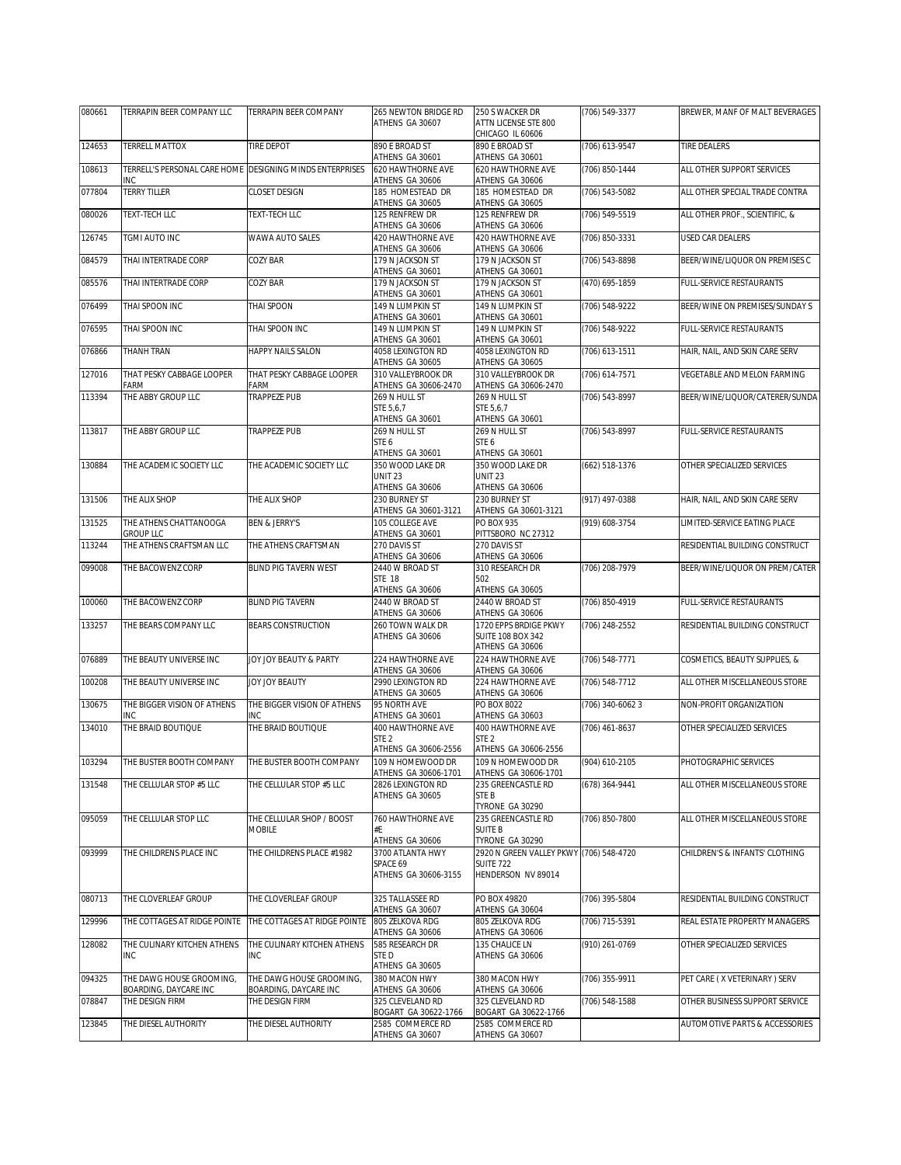| 080661 | TERRAPIN BEER COMPANY LLC                                       | TERRAPIN BEER COMPANY                    | 265 NEWTON BRIDGE RD                      | 250 S WACKER DR                                             | (706) 549-3377     | BREWER, MANF OF MALT BEVERAGES |
|--------|-----------------------------------------------------------------|------------------------------------------|-------------------------------------------|-------------------------------------------------------------|--------------------|--------------------------------|
|        |                                                                 |                                          | ATHENS GA 30607                           | ATTN LICENSE STE 800<br>CHICAGO IL 60606                    |                    |                                |
| 124653 | TERRELL MATTOX                                                  | <b>TIRE DEPOT</b>                        | 890 E BROAD ST                            | 890 E BROAD ST                                              | $(706)$ 613-9547   | <b>TIRE DEALERS</b>            |
|        |                                                                 |                                          | ATHENS GA 30601                           | ATHENS GA 30601                                             |                    |                                |
| 108613 | TERRELL'S PERSONAL CARE HOME DESIGNING MINDS ENTERPRISES<br>INC |                                          | 620 HAWTHORNE AVE<br>ATHENS GA 30606      | 620 HAWTHORNE AVE<br>ATHENS GA 30606                        | (706) 850-1444     | ALL OTHER SUPPORT SERVICES     |
| 077804 | TERRY TILLER                                                    | <b>CLOSET DESIGN</b>                     | 185 HOMESTEAD DR                          | 185 HOMESTEAD DR                                            | (706) 543-5082     | ALL OTHER SPECIAL TRADE CONTRA |
| 080026 | TEXT-TECH I I C                                                 | TEXT-TECH LLC                            | ATHENS GA 30605<br>125 RENFREW DR         | ATHENS GA 30605<br>125 RENFREW DR                           | (706) 549-5519     | ALL OTHER PROF SCIENTIFIC. &   |
|        |                                                                 |                                          | ATHENS GA 30606                           | ATHENS GA 30606                                             |                    |                                |
| 126745 | TGMI AUTO INC                                                   | WAWA AUTO SALES                          | 420 HAWTHORNE AVE<br>ATHENS GA 30606      | 420 HAWTHORNE AVE<br>ATHENS GA 30606                        | (706) 850-3331     | USED CAR DEALERS               |
| 084579 | THAI INTERTRADE CORP                                            | COZY BAR                                 | 179 N JACKSON ST                          | 179 N JACKSON ST<br>ATHENS GA 30601                         | $(706) 543 - 8898$ | BEER/WINE/LIQUOR ON PREMISES C |
| 085576 | THAI INTERTRADE CORP                                            | COZY BAR                                 | ATHENS GA 30601<br>179 N JACKSON ST       | 179 N JACKSON ST                                            | (470) 695-1859     | FULL-SERVICE RESTAURANTS       |
| 076499 | THAI SPOON INC                                                  | THAI SPOON                               | ATHENS GA 30601<br>149 N LUMPKIN ST       | ATHENS GA 30601<br>149 N LUMPKIN ST                         | (706) 548-9222     | BEER/WINE ON PREMISES/SUNDAY S |
| 076595 | THAI SPOON INC                                                  | THAI SPOON INC                           | ATHENS GA 30601<br>149 N LUMPKIN ST       | ATHENS GA 30601                                             | (706) 548-9222     | FULL-SERVICE RESTAURANTS       |
|        |                                                                 |                                          | ATHENS GA 30601                           | 149 N LUMPKIN ST<br>ATHENS GA 30601                         |                    |                                |
| 076866 | THANH TRAN                                                      | HAPPY NAILS SALON                        | 4058 LEXINGTON RD<br>ATHENS GA 30605      | 4058 LEXINGTON RD<br>ATHENS GA 30605                        | (706) 613-1511     | HAIR, NAIL, AND SKIN CARE SERV |
| 127016 | THAT PESKY CABBAGE LOOPER                                       | THAT PESKY CABBAGE LOOPER                | 310 VALLEYBROOK DR                        | 310 VALLEYBROOK DR                                          | (706) 614-7571     | VEGETABLE AND MELON FARMING    |
| 113394 | FARM<br>THE ABBY GROUP LLC                                      | FARM<br>TRAPPEZE PUB                     | ATHENS GA 30606-2470<br>269 N HULL ST     | ATHENS GA 30606-2470<br>269 N HULL ST                       | (706) 543-8997     | BEER/WINE/LIQUOR/CATERER/SUNDA |
|        |                                                                 |                                          | STE 5,6,7<br>ATHENS GA 30601              | STE 5,6,7<br>ATHENS GA 30601                                |                    |                                |
| 113817 | THE ABBY GROUP LLC                                              | TRAPPEZE PUB                             | 269 N HULL ST                             | 269 N HULL ST                                               | (706) 543-8997     | FULL-SERVICE RESTAURANTS       |
|        |                                                                 |                                          | STE 6<br>ATHENS GA 30601                  | STE 6<br>ATHENS GA 30601                                    |                    |                                |
| 130884 | THE ACADEMIC SOCIETY LLC                                        | THE ACADEMIC SOCIETY LLC                 | 350 WOOD LAKE DR                          | 350 WOOD LAKE DR                                            | (662) 518-1376     | OTHER SPECIALIZED SERVICES     |
|        |                                                                 |                                          | <b>UNIT 23</b><br>ATHENS GA 30606         | <b>UNIT 23</b><br>ATHENS GA 30606                           |                    |                                |
| 131506 | THE ALIX SHOP                                                   | THE ALIX SHOP                            | 230 BURNEY ST                             | 230 BURNEY ST                                               | (917) 497-0388     | HAIR, NAIL, AND SKIN CARE SERV |
| 131525 | THE ATHENS CHATTANOOGA                                          | <b>BEN &amp; JERRY'S</b>                 | ATHENS GA 30601-3121<br>105 COLLEGE AVE   | ATHENS GA 30601-3121<br>PO BOX 935                          | (919) 608-3754     | LIMITED-SERVICE EATING PLACE   |
|        | <b>GROUP LLC</b>                                                |                                          | ATHENS GA 30601                           | PITTSBORO NC 27312                                          |                    |                                |
| 113244 | THE ATHENS CRAFTSMAN LLC                                        | THE ATHENS CRAFTSMAN                     | 270 DAVIS ST<br>ATHENS GA 30606           | 270 DAVIS ST<br>ATHENS GA 30606                             |                    | RESIDENTIAL BUILDING CONSTRUCT |
| 099008 | THE BACOWENZ CORP                                               | BLIND PIG TAVERN WEST                    | 2440 W BROAD ST<br><b>STE 18</b>          | 310 RESEARCH DR<br>502                                      | (706) 208-7979     | BEER/WINE/LIQUOR ON PREM/CATER |
|        |                                                                 |                                          | ATHENS GA 30606                           | ATHENS GA 30605                                             |                    |                                |
| 100060 | THE BACOWENZ CORP                                               | <b>BLIND PIG TAVERN</b>                  | 2440 W BROAD ST<br>ATHENS GA 30606        | 2440 W BROAD ST<br>ATHENS GA 30606                          | (706) 850-4919     | FULL-SERVICE RESTAURANTS       |
| 133257 | THE BEARS COMPANY LLC                                           | <b>BEARS CONSTRUCTION</b>                | 260 TOWN WALK DR                          | 1720 EPPS BRDIGE PKWY                                       | (706) 248-2552     | RESIDENTIAL BUILDING CONSTRUCT |
|        |                                                                 |                                          | ATHENS GA 30606                           | <b>SUITE 108 BOX 342</b><br>ATHENS GA 30606                 |                    |                                |
| 076889 | THE BEAUTY UNIVERSE INC                                         | JOY JOY BEAUTY & PARTY                   | 224 HAWTHORNE AVE                         | 224 HAWTHORNE AVE                                           | (706) 548-7771     | COSMETICS, BEAUTY SUPPLIES, &  |
| 100208 | THE BEAUTY UNIVERSE INC                                         | JOY JOY BEAUTY                           | ATHENS GA 30606<br>2990 LEXINGTON RD      | ATHENS GA 30606<br>224 HAWTHORNE AVE                        | (706) 548-7712     | ALL OTHER MISCELLANEOUS STORE  |
| 130675 | THE BIGGER VISION OF ATHENS                                     | THE BIGGER VISION OF ATHENS              | ATHENS GA 30605<br>95 NORTH AVE           | ATHENS GA 30606<br>PO BOX 8022                              | (706) 340-6062 3   | NON-PROFIT ORGANIZATION        |
|        | INC                                                             | INC                                      | ATHENS GA 30601                           | ATHENS GA 30603                                             |                    |                                |
| 134010 | THE BRAID BOUTIQUE                                              | THE BRAID BOUTIQUE                       | 400 HAWTHORNE AVE<br>STE <sub>2</sub>     | 400 HAWTHORNE AVE<br>STE <sub>2</sub>                       | (706) 461-8637     | OTHER SPECIALIZED SERVICES     |
|        |                                                                 |                                          | ATHENS GA 30606-2556                      | ATHENS GA 30606-2556                                        |                    |                                |
| 103294 | THE BUSTER BOOTH COMPANY                                        | THE BUSTER BOOTH COMPANY                 | 109 N HOMEWOOD DR<br>ATHENS GA 30606-1701 | 109 N HOMEWOOD DR<br>ATHENS GA 30606-1701                   | (904) 610-2105     | PHOTOGRAPHIC SERVICES          |
| 131548 | THE CELLULAR STOP #5 LLC                                        | THE CELLULAR STOP #5 LLC                 | 2826 LEXINGTON RD                         | 235 GREENCASTLE RD                                          | (678) 364-9441     | ALL OTHER MISCELLANEOUS STORE  |
|        |                                                                 |                                          | ATHENS GA 30605                           | STE B<br>TYRONE GA 30290                                    |                    |                                |
| 095059 | THE CELLULAR STOP LLC                                           | THE CELLULAR SHOP / BOOST<br>MOBILE      | 760 HAWTHORNE AVE<br>#E                   | 235 GREENCASTLE RD<br>SUITE B                               | (706) 850-7800     | ALL OTHER MISCELLANEOUS STORE  |
|        |                                                                 |                                          | ATHENS GA 30606                           | TYRONE GA 30290                                             |                    |                                |
| 093999 | THE CHILDRENS PLACE INC                                         | THE CHILDRENS PLACE #1982                | 3700 ATLANTA HWY                          | 2920 N GREEN VALLEY PKWY (706) 548-4720<br><b>SUITE 722</b> |                    | CHILDREN'S & INFANTS' CLOTHING |
|        |                                                                 |                                          | SPACE 69<br>ATHENS GA 30606-3155          | HENDERSON NV 89014                                          |                    |                                |
|        | THE CLOVERLEAF GROUP                                            | THE CLOVERLEAF GROUP                     | 325 TALLASSEE RD                          | PO BOX 49820                                                | (706) 395-5804     | RESIDENTIAL BUILDING CONSTRUCT |
| 080713 |                                                                 |                                          | ATHENS GA 30607                           | ATHENS GA 30604                                             |                    |                                |
| 129996 | THE COTTAGES AT RIDGE POINTE                                    | THE COTTAGES AT RIDGE POINTE             | 805 ZELKOVA RDG<br>ATHENS GA 30606        | 805 ZELKOVA RDG<br>ATHENS GA 30606                          | (706) 715-5391     | REAL ESTATE PROPERTY MANAGERS  |
| 128082 | THE CULINARY KITCHEN ATHENS                                     | THE CULINARY KITCHEN ATHENS              | 585 RESEARCH DR                           | 135 CHALICE LN                                              | (910) 261-0769     | OTHER SPECIALIZED SERVICES     |
|        | <b>INC</b>                                                      | <b>INC</b>                               | STE D<br>ATHENS GA 30605                  | ATHENS GA 30606                                             |                    |                                |
| 094325 | THE DAWG HOUSE GROOMING,                                        | THE DAWG HOUSE GROOMING,                 | 380 MACON HWY                             | 380 MACON HWY                                               | (706) 355-9911     | PET CARE (X VETERINARY) SERV   |
| 078847 | BOARDING, DAYCARE INC<br>THE DESIGN FIRM                        | BOARDING, DAYCARE INC<br>THE DESIGN FIRM | ATHENS GA 30606<br>325 CLEVELAND RD       | ATHENS GA 30606<br>325 CLEVELAND RD                         | (706) 548-1588     | OTHER BUSINESS SUPPORT SERVICE |
|        |                                                                 |                                          | BOGART GA 30622-1766                      | BOGART GA 30622-1766                                        |                    |                                |
| 123845 | THE DIESEL AUTHORITY                                            | THE DIESEL AUTHORITY                     | 2585 COMMERCE RD<br>ATHENS GA 30607       | 2585 COMMERCE RD<br>ATHENS GA 30607                         |                    | AUTOMOTIVE PARTS & ACCESSORIES |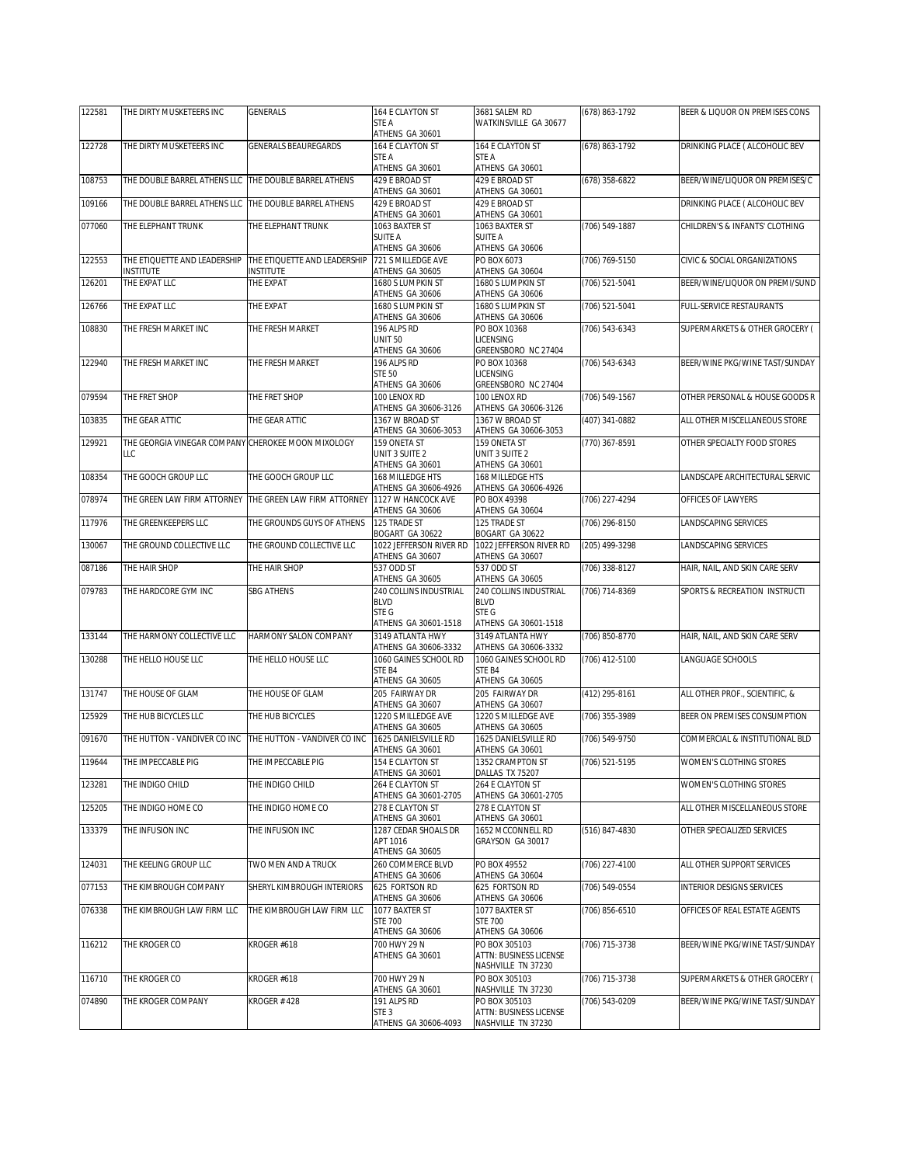| 122581 | THE DIRTY MUSKETEERS INC                           | <b>GENERALS</b>                                         | 164 E CLAYTON ST                           | 3681 SALEM RD                              | (678) 863-1792 | BEER & LIQUOR ON PREMISES CONS |
|--------|----------------------------------------------------|---------------------------------------------------------|--------------------------------------------|--------------------------------------------|----------------|--------------------------------|
|        |                                                    |                                                         | STE A<br>ATHENS GA 30601                   | WATKINSVILLE GA 30677                      |                |                                |
| 122728 | THE DIRTY MUSKETEERS INC                           | <b>GENERALS BEAUREGARDS</b>                             | 164 E CLAYTON ST                           | 164 E CLAYTON ST                           | (678) 863-1792 | DRINKING PLACE ( ALCOHOLIC BEV |
|        |                                                    |                                                         | STE A<br>ATHENS GA 30601                   | STE A<br>ATHENS GA 30601                   |                |                                |
| 108753 | THE DOUBLE BARREL ATHENS LLC                       | THE DOUBLE BARREL ATHENS                                | 429 E BROAD ST                             | 429 E BROAD ST                             | (678) 358-6822 | BEER/WINE/LIQUOR ON PREMISES/C |
|        |                                                    |                                                         | ATHENS GA 30601<br>429 E BROAD ST          | ATHENS GA 30601<br>429 F BROAD ST          |                |                                |
| 109166 | THE DOUBLE BARREL ATHENS LLC                       | THE DOUBLE BARREL ATHENS                                | ATHENS GA 30601                            | ATHENS GA 30601                            |                | DRINKING PLACE ( ALCOHOLIC BEV |
| 077060 | THE ELEPHANT TRUNK                                 | THE ELEPHANT TRUNK                                      | 1063 BAXTER ST                             | 1063 BAXTER ST                             | (706) 549-1887 | CHILDREN'S & INFANTS' CLOTHING |
|        |                                                    |                                                         | <b>SUITE A</b><br>ATHENS GA 30606          | SUITE A<br>ATHENS GA 30606                 |                |                                |
| 122553 | THE ETIQUETTE AND LEADERSHIP                       | THE ETIQUETTE AND LEADERSHIP                            | 721 S MILLEDGE AVE                         | PO BOX 6073                                | (706) 769-5150 | CIVIC & SOCIAL ORGANIZATIONS   |
| 126201 | INSTITUTE<br>THE EXPAT LLC                         | <b>NSTITUTE</b><br>THE EXPAT                            | ATHENS GA 30605<br>1680 S LUMPKIN ST       | ATHENS GA 30604<br>1680 S LUMPKIN ST       | (706) 521-5041 | BEER/WINE/LIQUOR ON PREMI/SUND |
|        |                                                    |                                                         | ATHENS GA 30606                            | ATHENS GA 30606                            |                |                                |
| 126766 | THE EXPAT LLC                                      | THE EXPAT                                               | 1680 S LUMPKIN ST<br>ATHENS GA 30606       | 1680 S LUMPKIN ST<br>ATHENS GA 30606       | (706) 521-5041 | FULL-SERVICE RESTAURANTS       |
| 108830 | THE FRESH MARKET INC                               | THE FRESH MARKET                                        | 196 ALPS RD                                | PO BOX 10368                               | (706) 543-6343 | SUPERMARKETS & OTHER GROCERY ( |
|        |                                                    |                                                         | <b>UNIT 50</b><br>ATHENS GA 30606          | LICENSING<br>GREENSBORO NC 27404           |                |                                |
| 122940 | THE FRESH MARKET INC                               | THE FRESH MARKET                                        | 196 ALPS RD                                | PO BOX 10368                               | (706) 543-6343 | BEER/WINE PKG/WINE TAST/SUNDAY |
|        |                                                    |                                                         | <b>STE 50</b><br>ATHENS GA 30606           | LICENSING<br>GREENSBORO NC 27404           |                |                                |
| 079594 | THE FRET SHOP                                      | THE FRET SHOP                                           | 100 LENOX RD                               | 100 LENOX RD                               | (706) 549-1567 | OTHER PERSONAL & HOUSE GOODS R |
|        |                                                    |                                                         | ATHENS GA 30606-3126                       | ATHENS GA 30606-3126                       |                |                                |
| 103835 | THE GEAR ATTIC                                     | THE GEAR ATTIC                                          | 1367 W BROAD ST<br>ATHENS GA 30606-3053    | 1367 W BROAD ST<br>ATHENS GA 30606-3053    | (407) 341-0882 | ALL OTHER MISCELLANEOUS STORE  |
| 129921 | THE GEORGIA VINEGAR COMPANY CHEROKEE MOON MIXOLOGY |                                                         | 159 ONETA ST                               | 159 ONETA ST                               | (770) 367-8591 | OTHER SPECIALTY FOOD STORES    |
|        | LLC                                                |                                                         | UNIT 3 SUITE 2<br>ATHENS GA 30601          | UNIT 3 SUITE 2<br>ATHENS GA 30601          |                |                                |
| 108354 | THE GOOCH GROUP LLC                                | THE GOOCH GROUP LLC                                     | 168 MILLEDGE HTS                           | 168 MILLEDGE HTS                           |                | LANDSCAPE ARCHITECTURAL SERVIC |
|        |                                                    |                                                         | ATHENS GA 30606-4926<br>1127 W HANCOCK AVE | ATHENS GA 30606-4926<br>PO BOX 49398       |                |                                |
| 078974 |                                                    | THE GREEN LAW FIRM ATTORNEY THE GREEN LAW FIRM ATTORNEY | ATHENS GA 30606                            | ATHENS GA 30604                            | (706) 227-4294 | OFFICES OF LAWYERS             |
| 117976 | THE GREENKEEPERS LLC                               | THE GROUNDS GUYS OF ATHENS                              | 125 TRADE ST                               | 125 TRADE ST                               | (706) 296-8150 | LANDSCAPING SERVICES           |
| 130067 | THE GROUND COLLECTIVE LLC                          | THE GROUND COLLECTIVE LLC                               | BOGART GA 30622<br>1022 JEFFERSON RIVER RD | BOGART GA 30622<br>1022 JEFFERSON RIVER RD | (205) 499-3298 | LANDSCAPING SERVICES           |
|        |                                                    |                                                         | ATHENS GA 30607                            | ATHENS GA 30607                            |                |                                |
| 087186 | THE HAIR SHOP                                      | THE HAIR SHOP                                           | 537 ODD ST<br>ATHENS GA 30605              | 537 ODD ST<br>ATHENS GA 30605              | (706) 338-8127 | HAIR, NAIL, AND SKIN CARE SERV |
| 079783 | THE HARDCORE GYM INC                               | <b>SBG ATHENS</b>                                       | 240 COLLINS INDUSTRIAL                     | 240 COLLINS INDUSTRIAL                     | (706) 714-8369 | SPORTS & RECREATION INSTRUCTI  |
|        |                                                    |                                                         | <b>BLVD</b><br>STE G                       | <b>BLVD</b><br>STE G                       |                |                                |
|        |                                                    |                                                         | ATHENS GA 30601-1518                       | ATHENS GA 30601-1518                       |                |                                |
| 133144 | THE HARMONY COLLECTIVE LLC                         | HARMONY SALON COMPANY                                   | 3149 ATLANTA HWY<br>ATHENS GA 30606-3332   | 3149 ATLANTA HWY<br>ATHENS GA 30606-3332   | (706) 850-8770 | HAIR, NAIL, AND SKIN CARE SERV |
| 130288 | THE HELLO HOUSE LLC                                | THE HELLO HOUSE LLC                                     | 1060 GAINES SCHOOL RD                      | 1060 GAINES SCHOOL RD                      | (706) 412-5100 | LANGUAGE SCHOOLS               |
|        |                                                    |                                                         | STE B4<br>ATHENS GA 30605                  | STE B4<br>ATHENS GA 30605                  |                |                                |
| 131747 | THE HOUSE OF GLAM                                  | THE HOUSE OF GLAM                                       | 205 FAIRWAY DR                             | 205 FAIRWAY DR                             | (412) 295-8161 | ALL OTHER PROF., SCIENTIFIC, & |
|        |                                                    |                                                         | ATHENS GA 30607                            | ATHENS GA 30607<br>1220 S MILLEDGE AVE     |                |                                |
| 125929 | THE HUB BICYCLES LLC                               | THE HUB BICYCLES                                        | 1220 S MILLEDGE AVE<br>ATHENS GA 30605     | ATHENS GA 30605                            | (706) 355-3989 | BEER ON PREMISES CONSUMPTION   |
| 091670 | THE HUTTON - VANDIVER CO INC                       | THE HUTTON - VANDIVER CO INC                            | 1625 DANIELSVILLE RD                       | 1625 DANIELSVILLE RD                       | (706) 549-9750 | COMMERCIAL & INSTITUTIONAL BLD |
| 119644 | THE IMPECCABLE PIG                                 | THE IMPECCABLE PIG                                      | ATHENS GA 30601<br>154 E CLAYTON ST        | ATHENS GA 30601<br>1352 CRAMPTON ST        | (706) 521-5195 | WOMEN'S CLOTHING STORES        |
|        |                                                    |                                                         | ATHENS GA 30601                            | DALLAS TX 75207                            |                |                                |
| 123281 | THE INDIGO CHILD                                   | THE INDIGO CHILD                                        | 264 E CLAYTON ST<br>ATHENS GA 30601-2705   | 264 E CLAYTON ST<br>ATHENS GA 30601-2705   |                | WOMEN'S CLOTHING STORES        |
| 125205 | THE INDIGO HOME CO                                 | THE INDIGO HOME CO                                      | 278 E CLAYTON ST                           | 278 E CLAYTON ST                           |                | ALL OTHER MISCELLANEOUS STORE  |
| 133379 | THE INFUSION INC                                   | THE INFUSION INC                                        | ATHENS GA 30601<br>1287 CEDAR SHOALS DR    | ATHENS GA 30601<br>1652 MCCONNELL RD       | (516) 847-4830 | OTHER SPECIALIZED SERVICES     |
|        |                                                    |                                                         | APT 1016                                   | GRAYSON GA 30017                           |                |                                |
| 124031 | THE KEELING GROUP LLC                              | TWO MEN AND A TRUCK                                     | ATHENS GA 30605<br>260 COMMERCE BLVD       | PO BOX 49552                               | (706) 227-4100 | ALL OTHER SUPPORT SERVICES     |
|        |                                                    |                                                         | ATHENS GA 30606                            | ATHENS GA 30604                            |                |                                |
| 077153 | THE KIMBROUGH COMPANY                              | SHERYL KIMBROUGH INTERIORS                              | 625 FORTSON RD                             | 625 FORTSON RD                             | (706) 549-0554 | INTERIOR DESIGNS SERVICES      |
| 076338 | THE KIMBROUGH LAW FIRM LLC                         | THE KIMBROUGH LAW FIRM LLC                              | ATHENS GA 30606<br>1077 BAXTER ST          | ATHENS GA 30606<br>1077 BAXTER ST          | (706) 856-6510 | OFFICES OF REAL ESTATE AGENTS  |
|        |                                                    |                                                         | <b>STE 700</b>                             | <b>STE 700</b>                             |                |                                |
| 116212 | THE KROGER CO                                      | KROGER #618                                             | ATHENS GA 30606<br>700 HWY 29 N            | ATHENS GA 30606<br>PO BOX 305103           | (706) 715-3738 | BEER/WINE PKG/WINE TAST/SUNDAY |
|        |                                                    |                                                         | ATHENS GA 30601                            | ATTN: BUSINESS LICENSE                     |                |                                |
| 116710 | THE KROGER CO                                      | KROGER #618                                             | 700 HWY 29 N                               | NASHVILLE TN 37230<br>PO BOX 305103        | (706) 715-3738 | SUPERMARKETS & OTHER GROCERY ( |
|        |                                                    |                                                         | ATHENS GA 30601                            | NASHVILLE TN 37230                         |                |                                |
| 074890 | THE KROGER COMPANY                                 | <b>KROGER #428</b>                                      | 191 ALPS RD<br>STE <sub>3</sub>            | PO BOX 305103<br>ATTN: BUSINESS LICENSE    | (706) 543-0209 | BEER/WINE PKG/WINE TAST/SUNDAY |
|        |                                                    |                                                         | ATHENS GA 30606-4093                       | NASHVILLE TN 37230                         |                |                                |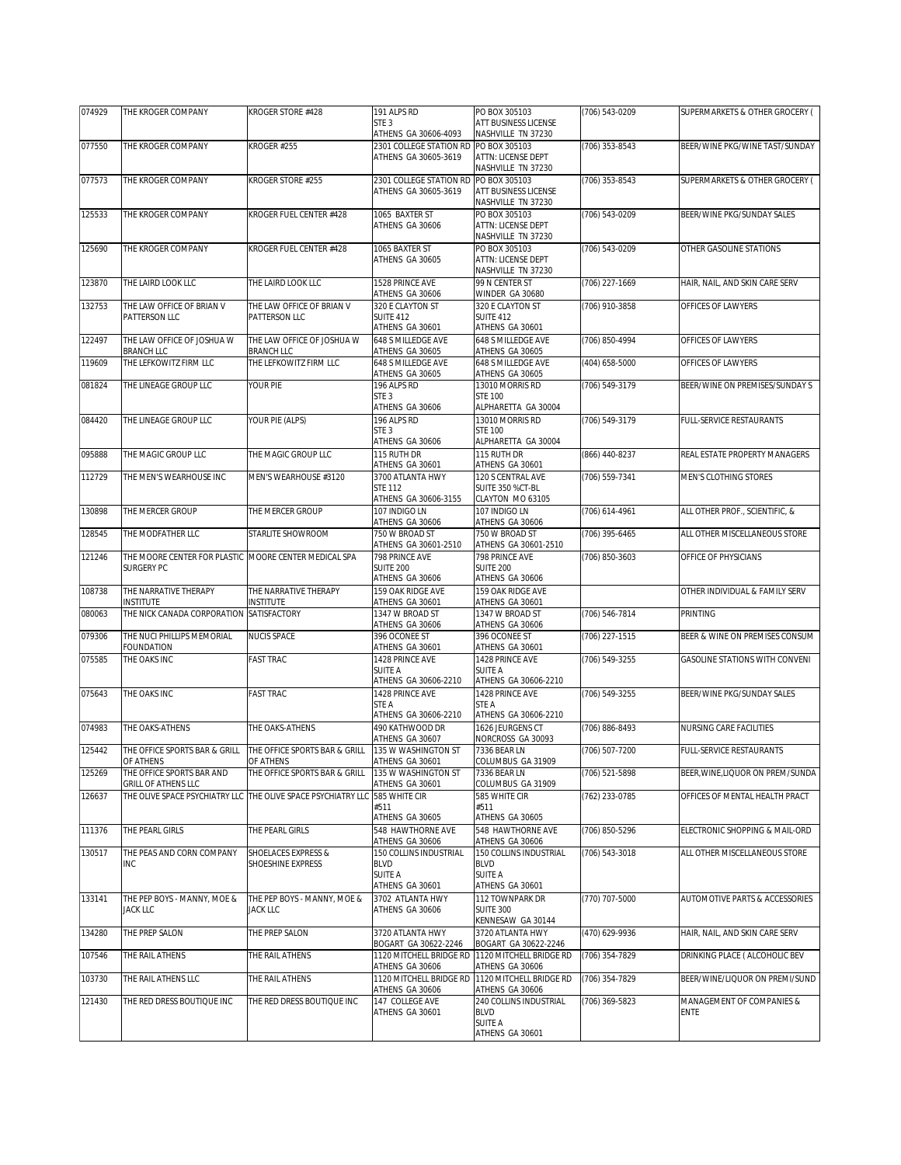| 074929 | THE KROGER COMPANY                                                  | KROGER STORE #428                          | 191 ALPS RD                                                                            | PO BOX 305103                                                                                 | (706) 543-0209 | SUPERMARKETS & OTHER GROCERY (           |
|--------|---------------------------------------------------------------------|--------------------------------------------|----------------------------------------------------------------------------------------|-----------------------------------------------------------------------------------------------|----------------|------------------------------------------|
|        |                                                                     |                                            | STE 3<br>ATHENS GA 30606-4093                                                          | ATT BUSINESS LICENSE<br>NASHVILLE TN 37230                                                    |                |                                          |
| 077550 | THE KROGER COMPANY                                                  | KROGER #255                                | 2301 COLLEGE STATION RD PO BOX 305103<br>ATHENS GA 30605-3619                          | ATTN: LICENSE DEPT<br>NASHVILLE TN 37230                                                      | (706) 353-8543 | BEER/WINE PKG/WINE TAST/SUNDAY           |
| 077573 | THE KROGER COMPANY                                                  | KROGER STORE #255                          | 2301 COLLEGE STATION RD PO BOX 305103<br>ATHENS GA 30605-3619                          | ATT BUSINESS LICENSE<br>NASHVILLE TN 37230                                                    | (706) 353-8543 | SUPERMARKETS & OTHER GROCERY (           |
| 125533 | THE KROGER COMPANY                                                  | KROGER FUEL CENTER #428                    | 1065 BAXTER ST<br>ATHENS GA 30606                                                      | PO BOX 305103<br>ATTN: LICENSE DEPT<br>NASHVILLE TN 37230                                     | (706) 543-0209 | BEER/WINE PKG/SUNDAY SALES               |
| 125690 | THE KROGER COMPANY                                                  | KROGER FUEL CENTER #428                    | 1065 BAXTER ST<br>ATHENS GA 30605                                                      | PO BOX 305103<br>ATTN: LICENSE DEPT<br>NASHVILLE TN 37230                                     | (706) 543-0209 | OTHER GASOLINE STATIONS                  |
| 123870 | THE LAIRD LOOK LLC                                                  | THE LAIRD LOOK LLC                         | 1528 PRINCE AVE<br>ATHENS GA 30606                                                     | 99 N CENTER ST<br>WINDER GA 30680                                                             | (706) 227-1669 | HAIR, NAIL, AND SKIN CARE SERV           |
| 132753 | THE LAW OFFICE OF BRIAN V<br>PATTERSON LLC                          | THE LAW OFFICE OF BRIAN V<br>PATTERSON LLC | 320 E CLAYTON ST<br><b>SUITE 412</b><br>ATHENS GA 30601                                | 320 E CLAYTON ST<br><b>SUITE 412</b><br>ATHENS GA 30601                                       | (706) 910-3858 | OFFICES OF LAWYERS                       |
| 122497 | THE LAW OFFICE OF JOSHUA W<br>BRANCH LLC                            | THE LAW OFFICE OF JOSHUA W<br>BRANCH LLC   | 648 S MILLEDGE AVE<br>ATHENS GA 30605                                                  | 648 S MILLEDGE AVE<br>ATHENS GA 30605                                                         | (706) 850-4994 | OFFICES OF LAWYERS                       |
| 119609 | THE LEFKOWITZ FIRM LLC                                              | THE LEFKOWITZ FIRM LLC                     | 648 S MILLEDGE AVE                                                                     | 648 S MILLEDGE AVE                                                                            | (404) 658-5000 | OFFICES OF LAWYERS                       |
| 081824 | THE LINEAGE GROUP LLC                                               | YOUR PIE                                   | ATHENS GA 30605<br>196 ALPS RD<br>STE <sub>3</sub>                                     | ATHENS GA 30605<br>13010 MORRIS RD<br><b>STE 100</b>                                          | (706) 549-3179 | BEER/WINE ON PREMISES/SUNDAY S           |
| 084420 | THE LINEAGE GROUP LLC                                               | YOUR PIE (ALPS)                            | ATHENS GA 30606<br>196 ALPS RD<br>STE <sub>3</sub><br>ATHENS GA 30606                  | ALPHARETTA GA 30004<br>13010 MORRIS RD<br><b>STE 100</b><br>ALPHARETTA GA 30004               | (706) 549-3179 | <b>FULL-SERVICE RESTAURANTS</b>          |
| 095888 | THE MAGIC GROUP LLC                                                 | THE MAGIC GROUP LLC                        | 115 RUTH DR                                                                            | 115 RUTH DR                                                                                   | (866) 440-8237 | REAL ESTATE PROPERTY MANAGERS            |
| 112729 | THE MEN'S WEARHOUSE INC                                             | MEN'S WEARHOUSE #3120                      | ATHENS GA 30601<br>3700 ATLANTA HWY<br><b>STE 112</b><br>ATHENS GA 30606-3155          | ATHENS GA 30601<br>120 S CENTRAL AVE<br>SUITE 350 %CT-BL<br>CLAYTON MO 63105                  | (706) 559-7341 | MEN'S CLOTHING STORES                    |
| 130898 | THE MERCER GROUP                                                    | THE MERCER GROUP                           | 107 INDIGO LN                                                                          | 107 INDIGO LN                                                                                 | (706) 614-4961 | ALL OTHER PROF., SCIENTIFIC, &           |
| 128545 | THE MODFATHER LLC                                                   | STARLITE SHOWROOM                          | ATHENS GA 30606<br>750 W BROAD ST                                                      | ATHENS GA 30606<br>750 W BROAD ST                                                             | (706) 395-6465 | ALL OTHER MISCELLANEOUS STORE            |
| 121246 | THE MOORE CENTER FOR PLASTIC MOORE CENTER MEDICAL SPA<br>SURGERY PC |                                            | ATHENS GA 30601-2510<br>798 PRINCE AVE<br><b>SUITE 200</b>                             | ATHENS GA 30601-2510<br>798 PRINCE AVE<br>SUITE 200                                           | (706) 850-3603 | OFFICE OF PHYSICIANS                     |
| 108738 | THE NARRATIVE THERAPY                                               | THE NARRATIVE THERAPY                      | ATHENS GA 30606<br>159 OAK RIDGE AVE                                                   | ATHENS GA 30606<br>159 OAK RIDGE AVE                                                          |                | OTHER INDIVIDUAL & FAMILY SERV           |
| 080063 | <b>INSTITUTE</b><br>THE NICK CANADA CORPORATION                     | INSTITUTE<br>SATISFACTORY                  | ATHENS GA 30601<br>1347 W BROAD ST                                                     | ATHENS GA 30601<br>1347 W BROAD ST                                                            | (706) 546-7814 | PRINTING                                 |
| 079306 | THE NUCI PHILLIPS MEMORIAL                                          | NUCIS SPACE                                | ATHENS GA 30606<br>396 OCONEE ST                                                       | ATHENS GA 30606<br>396 OCONEE ST                                                              | (706) 227-1515 | BEER & WINE ON PREMISES CONSUM           |
|        | FOUNDATION                                                          |                                            | ATHENS GA 30601                                                                        | ATHENS GA 30601                                                                               |                |                                          |
| 075585 | THE OAKS INC                                                        | <b>FAST TRAC</b>                           | 1428 PRINCE AVE<br>SUITE A<br>ATHENS GA 30606-2210                                     | 1428 PRINCE AVE<br><b>SUITE A</b><br>ATHENS GA 30606-2210                                     | (706) 549-3255 | <b>GASOLINE STATIONS WITH CONVENI</b>    |
| 075643 | THE OAKS INC                                                        | <b>FAST TRAC</b>                           | 1428 PRINCF AVF<br>STE A<br>ATHENS GA 30606-2210                                       | 1428 PRINCE AVE<br>STE A<br>ATHENS GA 30606-2210                                              | (706) 549-3255 | BEER/WINE PKG/SUNDAY SALES               |
| 074983 | THE OAKS-ATHENS                                                     | THE OAKS-ATHENS                            | 490 KATHWOOD DR<br>ATHENS GA 30607                                                     | 1626 JEURGENS CT<br>NORCROSS GA 30093                                                         | (706) 886-8493 | NURSING CARE FACILITIES                  |
| 125442 | THE OFFICE SPORTS BAR & GRILL<br>OF ATHENS                          | THE OFFICE SPORTS BAR & GRILL<br>OF ATHENS | 135 W WASHINGTON ST<br>ATHENS GA 30601                                                 | 7336 BEAR LN<br>COLUMBUS GA 31909                                                             | (706) 507-7200 | <b>FULL-SERVICE RESTAURANTS</b>          |
| 125269 | THE OFFICE SPORTS BAR AND                                           | THE OFFICE SPORTS BAR & GRILL              | 135 W WASHINGTON ST                                                                    | 7336 BEAR LN<br>COLUMBUS GA 31909                                                             | (706) 521-5898 | BEER, WINE, LIQUOR ON PREM/SUNDA         |
| 126637 | GRILL OF ATHENS LLC<br>THE OLIVE SPACE PSYCHIATRY LLC               | THE OLIVE SPACE PSYCHIATRY LLC             | ATHENS GA 30601<br>585 WHITE CIR<br>#511<br>ATHENS GA 30605                            | 585 WHITE CIR<br>#511<br>ATHENS GA 30605                                                      | (762) 233-0785 | OFFICES OF MENTAL HEALTH PRACT           |
| 111376 | THE PEARL GIRLS                                                     | THE PEARL GIRLS                            | 548 HAWTHORNE AVE                                                                      | 548 HAWTHORNE AVE                                                                             | (706) 850-5296 | ELECTRONIC SHOPPING & MAIL-ORD           |
| 130517 | THE PEAS AND CORN COMPANY<br>INC                                    | SHOELACES EXPRESS &<br>SHOESHINE EXPRESS   | ATHENS GA 30606<br>150 COLLINS INDUSTRIAL<br>BLVD<br><b>SUITE A</b><br>ATHENS GA 30601 | ATHENS GA 30606<br>150 COLLINS INDUSTRIAL<br><b>BLVD</b><br><b>SUITE A</b><br>ATHENS GA 30601 | (706) 543-3018 | ALL OTHER MISCELLANEOUS STORE            |
| 133141 | THE PEP BOYS - MANNY, MOE &<br>JACK LLC                             | THE PEP BOYS - MANNY, MOE &<br>JACK LLC    | 3702 ATLANTA HWY<br>ATHENS GA 30606                                                    | 112 TOWNPARK DR<br><b>SUITE 300</b>                                                           | (770) 707-5000 | AUTOMOTIVE PARTS & ACCESSORIES           |
| 134280 | THE PREP SALON                                                      | THE PREP SALON                             | 3720 ATLANTA HWY                                                                       | KENNESAW GA 30144<br>3720 ATLANTA HWY                                                         | (470) 629-9936 | HAIR, NAIL, AND SKIN CARE SERV           |
| 107546 | THE RAIL ATHENS                                                     | THE RAIL ATHENS                            | BOGART GA 30622-2246<br>1120 MITCHELL BRIDGE RD                                        | BOGART GA 30622-2246<br>1120 MITCHELL BRIDGE RD                                               | (706) 354-7829 | DRINKING PLACE ( ALCOHOLIC BEV           |
| 103730 | THE RAIL ATHENS LLC                                                 | THE RAIL ATHENS                            | ATHENS GA 30606<br>1120 MITCHELL BRIDGE RD                                             | ATHENS GA 30606<br>1120 MITCHELL BRIDGE RD                                                    | (706) 354-7829 | BEER/WINE/LIQUOR ON PREMI/SUND           |
| 121430 | THE RED DRESS BOUTIQUE INC                                          | THE RED DRESS BOUTIQUE INC                 | ATHENS GA 30606<br>147 COLLEGE AVE<br>ATHENS GA 30601                                  | ATHENS GA 30606<br>240 COLLINS INDUSTRIAL<br><b>BLVD</b><br><b>SUITE A</b><br>ATHENS GA 30601 | (706) 369-5823 | MANAGEMENT OF COMPANIES &<br><b>ENTE</b> |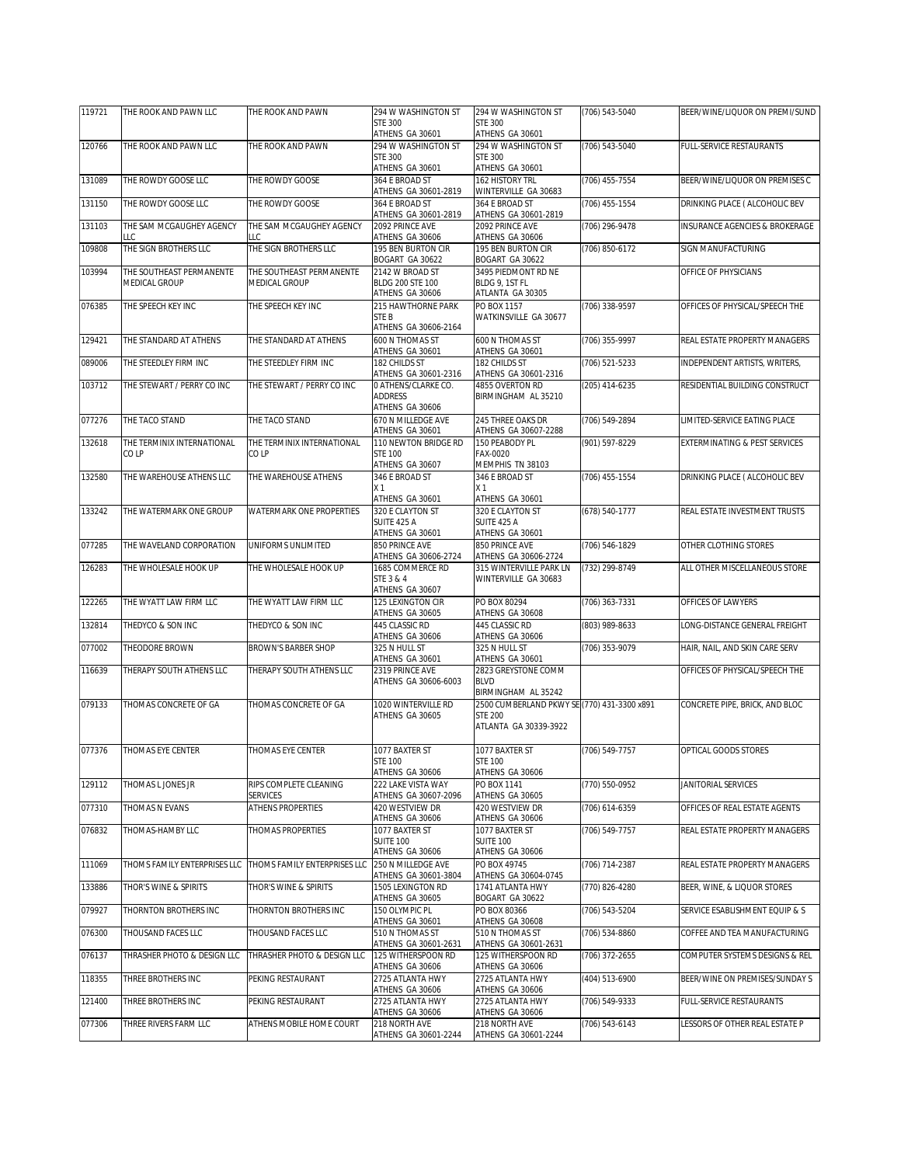| 119721 | THE ROOK AND PAWN LLC           | THE ROOK AND PAWN               | 294 W WASHINGTON ST<br><b>STE 300</b>    | 294 W WASHINGTON ST<br><b>STE 300</b>                     | (706) 543-5040 | BEER/WINE/LIQUOR ON PREMI/SUND           |
|--------|---------------------------------|---------------------------------|------------------------------------------|-----------------------------------------------------------|----------------|------------------------------------------|
|        |                                 |                                 | ATHENS GA 30601                          | ATHENS GA 30601                                           |                |                                          |
| 120766 | THE ROOK AND PAWN LLC           | THE ROOK AND PAWN               | 294 W WASHINGTON ST                      | 294 W WASHINGTON ST                                       | (706) 543-5040 | <b>FULL-SERVICE RESTAURANTS</b>          |
|        |                                 |                                 | <b>STE 300</b><br>ATHENS GA 30601        | <b>STE 300</b><br>ATHENS GA 30601                         |                |                                          |
| 131089 | THE ROWDY GOOSE LLC             | THE ROWDY GOOSE                 | 364 E BROAD ST                           | 162 HISTORY TRL                                           | (706) 455-7554 | BEER/WINE/LIQUOR ON PREMISES C           |
| 131150 | THE ROWDY GOOSE LLC             | THE ROWDY GOOSE                 | ATHENS GA 30601-2819<br>364 E BROAD ST   | WINTERVILLE GA 30683<br>364 E BROAD ST                    | (706) 455-1554 | DRINKING PLACE ( ALCOHOLIC BEV           |
|        |                                 |                                 | ATHENS GA 30601-2819                     | ATHENS GA 30601-2819                                      |                |                                          |
| 131103 | THE SAM MCGAUGHEY AGENCY<br>LLC | THE SAM MCGAUGHEY AGENCY<br>LLC | 2092 PRINCE AVE<br>ATHENS GA 30606       | 2092 PRINCE AVE<br>ATHENS GA 30606                        | (706) 296-9478 | INSURANCE AGENCIES & BROKERAGE           |
| 109808 | THE SIGN BROTHERS LLC           | THE SIGN BROTHERS LLC           | 195 BEN BURTON CIR<br>BOGART GA 30622    | 195 BEN BURTON CIR<br>BOGART GA 30622                     | (706) 850-6172 | SIGN MANUFACTURING                       |
| 103994 | THE SOUTHEAST PERMANENTE        | THE SOUTHEAST PERMANENTE        | 2142 W BROAD ST                          | 3495 PIEDMONT RD NE                                       |                | OFFICE OF PHYSICIANS                     |
|        | MEDICAL GROUP                   | MEDICAL GROUP                   | BLDG 200 STE 100<br>ATHENS GA 30606      | BLDG 9, 1ST FL<br>ATLANTA GA 30305                        |                |                                          |
| 076385 | THE SPEECH KEY INC              | THE SPEECH KEY INC              | 215 HAWTHORNE PARK                       | PO BOX 1157                                               | (706) 338-9597 | OFFICES OF PHYSICAL/SPEECH THE           |
|        |                                 |                                 | STE B<br>ATHENS GA 30606-2164            | WATKINSVILLE GA 30677                                     |                |                                          |
| 129421 | THE STANDARD AT ATHENS          | THE STANDARD AT ATHENS          | 600 N THOMAS ST<br>ATHENS GA 30601       | 600 N THOMAS ST<br>ATHENS GA 30601                        | (706) 355-9997 | REAL ESTATE PROPERTY MANAGERS            |
| 089006 | THE STEEDLEY FIRM INC           | THE STEEDLEY FIRM INC           | 182 CHILDS ST                            | 182 CHILDS ST                                             | (706) 521-5233 | INDEPENDENT ARTISTS, WRITERS,            |
|        |                                 |                                 | ATHENS GA 30601-2316                     | ATHENS GA 30601-2316                                      |                |                                          |
| 103712 | THE STEWART / PERRY CO INC      | THE STEWART / PERRY CO INC      | O ATHENS/CLARKE CO.<br><b>ADDRESS</b>    | 4855 OVERTON RD<br>BIRMINGHAM AL 35210                    | (205) 414-6235 | RESIDENTIAL BUILDING CONSTRUCT           |
|        |                                 |                                 | ATHENS GA 30606                          |                                                           |                |                                          |
| 077276 | THE TACO STAND                  | THE TACO STAND                  | 670 N MILLEDGE AVE<br>ATHENS GA 30601    | 245 THREE OAKS DR<br>ATHENS GA 30607-2288                 | (706) 549-2894 | LIMITED-SERVICE EATING PLACE             |
| 132618 | THE TERMINIX INTERNATIONAL      | THE TERMINIX INTERNATIONAL      | 110 NEWTON BRIDGE RD                     | 150 PEABODY PL                                            | (901) 597-8229 | <b>EXTERMINATING &amp; PEST SERVICES</b> |
|        | CO LP                           | CO LP                           | <b>STE 100</b><br>ATHENS GA 30607        | FAX-0020<br>MEMPHIS TN 38103                              |                |                                          |
| 132580 | THE WAREHOUSE ATHENS LLC        | THE WAREHOUSE ATHENS            | 346 E BROAD ST                           | 346 E BROAD ST                                            | (706) 455-1554 | DRINKING PLACE ( ALCOHOLIC BEV           |
|        |                                 |                                 | X 1                                      | X <sub>1</sub><br>ATHENS GA 30601                         |                |                                          |
| 133242 | THE WATERMARK ONE GROUP         | <b>WATERMARK ONE PROPERTIES</b> | ATHENS GA 30601<br>320 F CLAYTON ST      | 320 E CLAYTON ST                                          | (678) 540-1777 | REAL ESTATE INVESTMENT TRUSTS            |
|        |                                 |                                 | SUITE 425 A<br>ATHENS GA 30601           | SUITE 425 A<br>ATHENS GA 30601                            |                |                                          |
| 077285 | THE WAVELAND CORPORATION        | UNIFORMS UNLIMITED              | 850 PRINCE AVE                           | 850 PRINCE AVE                                            | (706) 546-1829 | OTHER CLOTHING STORES                    |
| 126283 | THE WHOLESALE HOOK UP           | THE WHOLESALE HOOK UP           | ATHENS GA 30606-2724<br>1685 COMMERCE RD | ATHENS GA 30606-2724<br>315 WINTERVILLE PARK LN           | (732) 299-8749 | ALL OTHER MISCELLANEOUS STORE            |
|        |                                 |                                 | STE 3 & 4<br>ATHENS GA 30607             | WINTERVILLE GA 30683                                      |                |                                          |
| 122265 | THE WYATT LAW FIRM LLC          | THE WYATT LAW FIRM LLC          | 125 LEXINGTON CIR<br>ATHENS GA 30605     | PO BOX 80294<br>ATHENS GA 30608                           | (706) 363-7331 | OFFICES OF LAWYERS                       |
| 132814 | THEDYCO & SON INC               | THEDYCO & SON INC               | 445 CLASSIC RD                           | 445 CLASSIC RD                                            | (803) 989-8633 | ONG-DISTANCE GENERAL FREIGHT             |
| 077002 | THEODORE BROWN                  | BROWN'S BARBER SHOP             | ATHENS GA 30606<br>325 N HULL ST         | ATHENS GA 30606<br>325 N HULL ST                          | (706) 353-9079 | HAIR, NAIL, AND SKIN CARE SERV           |
|        |                                 |                                 | ATHENS GA 30601                          | ATHENS GA 30601                                           |                |                                          |
| 116639 | THERAPY SOUTH ATHENS LLC        | THERAPY SOUTH ATHENS LLC        | 2319 PRINCE AVE<br>ATHENS GA 30606-6003  | 2823 GREYSTONE COMM<br><b>BLVD</b><br>BIRMINGHAM AL 35242 |                | OFFICES OF PHYSICAL/SPEECH THE           |
| 079133 | THOMAS CONCRETE OF GA           | THOMAS CONCRETE OF GA           | 1020 WINTERVILLE RD                      | 2500 CUMBERLAND PKWY SE (770) 431-3300 x891               |                | CONCRETE PIPE, BRICK, AND BLOC           |
|        |                                 |                                 | ATHENS GA 30605                          | <b>STE 200</b><br>ATLANTA GA 30339-3922                   |                |                                          |
| 077376 | THOMAS EYE CENTER               | THOMAS EYE CENTER               | 1077 BAXTER ST                           | 1077 BAXTER ST                                            | (706) 549-7757 | OPTICAL GOODS STORES                     |
|        |                                 |                                 | <b>STE 100</b><br>ATHENS GA 30606        | <b>STE 100</b><br>ATHENS GA 30606                         |                |                                          |
| 129112 | THOMAS L JONES JR               | RIPS COMPLETE CLEANING          | 222 LAKE VISTA WAY                       | PO BOX 1141                                               | (770) 550-0952 | JANITORIAL SERVICES                      |
| 077310 | THOMAS N EVANS                  | SERVICES<br>ATHENS PROPERTIES   | ATHENS GA 30607-2096<br>420 WESTVIEW DR  | ATHENS GA 30605<br>420 WESTVIEW DR                        | (706) 614-6359 | OFFICES OF REAL ESTATE AGENTS            |
| 076832 | THOMAS-HAMBY LLC                | <b>THOMAS PROPERTIES</b>        | ATHENS GA 30606<br>1077 BAXTER ST        | ATHENS GA 30606<br>1077 BAXTER ST                         | (706) 549-7757 | REAL ESTATE PROPERTY MANAGERS            |
|        |                                 |                                 | <b>SUITE 100</b>                         | <b>SUITE 100</b>                                          |                |                                          |
| 111069 | THOMS FAMILY ENTERPRISES LLC    | THOMS FAMILY ENTERPRISES LLC    | ATHENS GA 30606<br>250 N MILLEDGE AVE    | ATHENS GA 30606<br>PO BOX 49745                           | (706) 714-2387 | REAL ESTATE PROPERTY MANAGERS            |
|        |                                 |                                 | ATHENS GA 30601-3804                     | ATHENS GA 30604-0745                                      |                |                                          |
| 133886 | THOR'S WINE & SPIRITS           | THOR'S WINE & SPIRITS           | 1505 LEXINGTON RD<br>ATHENS GA 30605     | 1741 ATLANTA HWY<br>BOGART GA 30622                       | (770) 826-4280 | BEER, WINE, & LIQUOR STORES              |
| 079927 | THORNTON BROTHERS INC           | THORNTON BROTHERS INC           | 150 OLYMPIC PL<br>ATHENS GA 30601        | PO BOX 80366<br>ATHENS GA 30608                           | (706) 543-5204 | SERVICE ESABLISHMENT EQUIP & S           |
| 076300 | THOUSAND FACES LLC              | THOUSAND FACES LLC              | 510 N THOMAS ST<br>ATHENS GA 30601-2631  | 510 N THOMAS ST<br>ATHENS GA 30601-2631                   | (706) 534-8860 | COFFEE AND TEA MANUFACTURING             |
| 076137 | THRASHER PHOTO & DESIGN LLC     | THRASHER PHOTO & DESIGN LLC     | 125 WITHERSPOON RD                       | 125 WITHERSPOON RD                                        | (706) 372-2655 | COMPUTER SYSTEMS DESIGNS & REL           |
| 118355 | THREE BROTHERS INC              | PEKING RESTAURANT               | ATHENS GA 30606<br>2725 ATLANTA HWY      | ATHENS GA 30606<br>2725 ATLANTA HWY                       | (404) 513-6900 | BEER/WINE ON PREMISES/SUNDAY S           |
| 121400 | THREE BROTHERS INC              | PEKING RESTAURANT               | ATHENS GA 30606<br>2725 ATLANTA HWY      | ATHENS GA 30606<br>2725 ATLANTA HWY                       | (706) 549-9333 | <b>FULL-SERVICE RESTAURANTS</b>          |
|        |                                 |                                 | ATHENS GA 30606                          | ATHENS GA 30606                                           |                |                                          |
| 077306 | THREE RIVERS FARM LLC           | ATHENS MOBILE HOME COURT        | 218 NORTH AVE<br>ATHENS GA 30601-2244    | 218 NORTH AVE<br>ATHENS GA 30601-2244                     | (706) 543-6143 | LESSORS OF OTHER REAL ESTATE P           |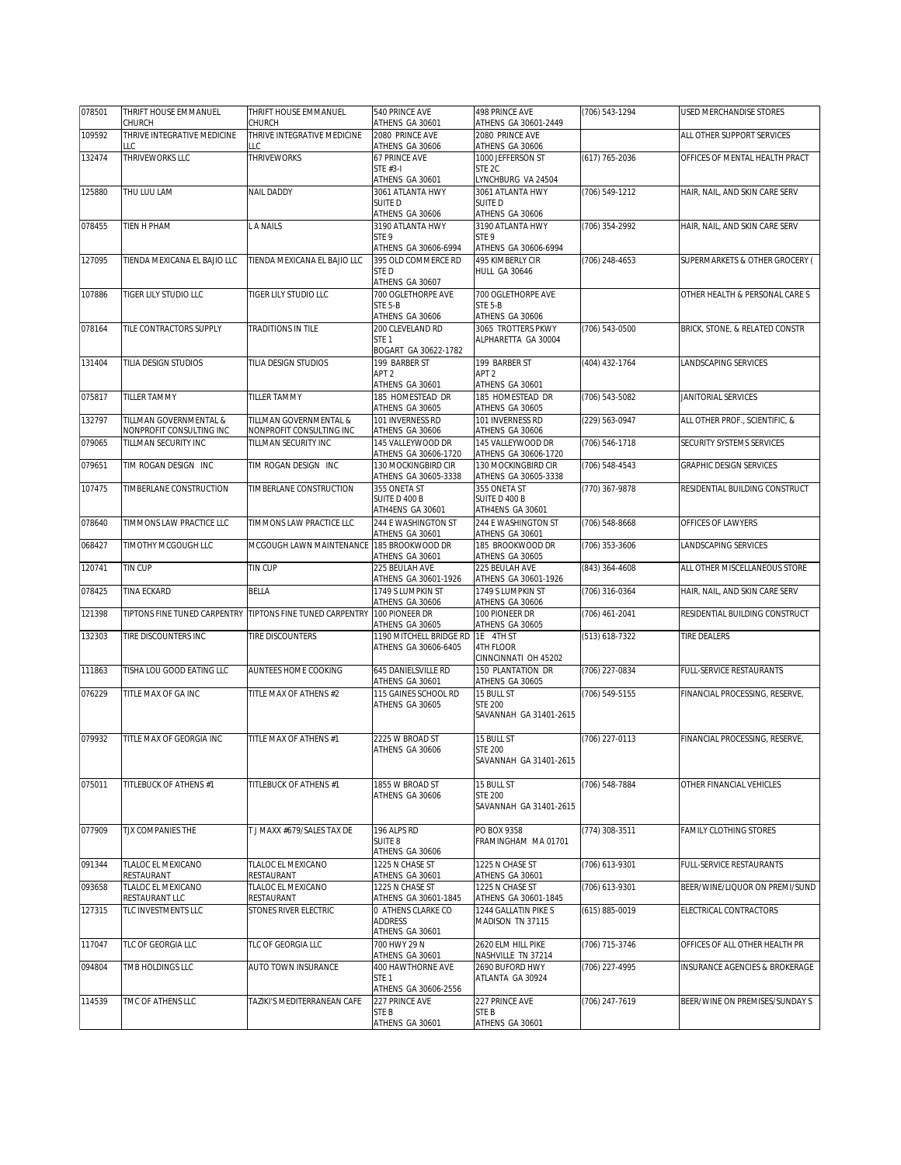| 078501 | THRIFT HOUSE EMMANUEL<br>CHURCH                    | THRIFT HOUSE EMMANUEL<br>CHURCH                           | 540 PRINCE AVE<br>ATHENS GA 30601                              | 498 PRINCE AVE<br>ATHENS GA 30601-2449                       | (706) 543-1294     | <b>USED MERCHANDISE STORES</b> |
|--------|----------------------------------------------------|-----------------------------------------------------------|----------------------------------------------------------------|--------------------------------------------------------------|--------------------|--------------------------------|
| 109592 | THRIVE INTEGRATIVE MEDICINE<br>LLC                 | THRIVE INTEGRATIVE MEDICINE<br>LLC                        | 2080 PRINCE AVE<br>ATHENS GA 30606                             | 2080 PRINCE AVE<br>ATHENS GA 30606                           |                    | ALL OTHER SUPPORT SERVICES     |
| 132474 | THRIVEWORKS LLC                                    | <b>THRIVEWORKS</b>                                        | 67 PRINCE AVE<br>STE #3-I<br>ATHENS GA 30601                   | 1000 JEFFERSON ST<br>STE <sub>2C</sub><br>LYNCHBURG VA 24504 | (617) 765-2036     | OFFICES OF MENTAL HEALTH PRACT |
| 125880 | THU LUU LAM                                        | <b>NAIL DADDY</b>                                         | 3061 ATLANTA HWY<br><b>SUITED</b><br>ATHENS GA 30606           | 3061 ATLANTA HWY<br>SUITE D<br>ATHENS GA 30606               | (706) 549-1212     | HAIR, NAIL, AND SKIN CARE SERV |
| 078455 | TIEN H PHAM                                        | L A NAILS                                                 | 3190 ATLANTA HWY<br>STE <sub>9</sub><br>ATHENS GA 30606-6994   | 3190 ATLANTA HWY<br>STE 9<br>ATHENS GA 30606-6994            | (706) 354-2992     | HAIR, NAIL, AND SKIN CARE SERV |
| 127095 | TIENDA MEXICANA EL BAJIO LLC                       | TIENDA MEXICANA EL BAJIO LLC                              | 395 OLD COMMERCE RD<br>STE D<br>ATHENS GA 30607                | <b>495 KIMBERLY CIR</b><br>HULL GA 30646                     | $(706)$ 248-4653   | SUPERMARKETS & OTHER GROCERY ( |
| 107886 | <b>TIGER LILY STUDIO LLC</b>                       | <b>TIGER LILY STUDIO LLC</b>                              | 700 OGLETHORPE AVE<br>STE 5-B<br>ATHENS GA 30606               | 700 OGLETHORPE AVE<br>STE 5-B<br>ATHENS GA 30606             |                    | OTHER HEALTH & PERSONAL CARE S |
| 078164 | TILE CONTRACTORS SUPPLY                            | TRADITIONS IN TILE                                        | 200 CLEVELAND RD<br>STE <sub>1</sub><br>BOGART GA 30622-1782   | 3065 TROTTERS PKWY<br>ALPHARETTA GA 30004                    | (706) 543-0500     | BRICK, STONE, & RELATED CONSTR |
| 131404 | TILIA DESIGN STUDIOS                               | TILIA DESIGN STUDIOS                                      | 199 BARBER ST<br>APT <sub>2</sub><br>ATHENS GA 30601           | 199 BARBER ST<br>APT <sub>2</sub><br>ATHENS GA 30601         | (404) 432-1764     | LANDSCAPING SERVICES           |
| 075817 | <b>TILLER TAMMY</b>                                | TILLER TAMMY                                              | 185 HOMESTEAD DR<br>ATHENS GA 30605                            | 185 HOMESTEAD DR<br>ATHENS GA 30605                          | $(706) 543 - 5082$ | JANITORIAL SERVICES            |
| 132797 | TILLMAN GOVERNMENTAL &<br>NONPROFIT CONSULTING INC | TILLMAN GOVERNMENTAL &<br>NONPROFIT CONSULTING INC        | 101 INVERNESS RD<br>ATHENS GA 30606                            | 101 INVERNESS RD<br>ATHENS GA 30606                          | (229) 563-0947     | ALL OTHER PROF., SCIENTIFIC, & |
| 079065 | TILLMAN SECURITY INC                               | TILLMAN SECURITY INC                                      | 145 VALLEYWOOD DR<br>ATHENS GA 30606-1720                      | 145 VALLEYWOOD DR<br>ATHENS GA 30606-1720                    | (706) 546-1718     | SECURITY SYSTEMS SERVICES      |
| 079651 | TIM ROGAN DESIGN INC                               | TIM ROGAN DESIGN INC                                      | 130 MOCKINGBIRD CIR<br>ATHENS GA 30605-3338                    | 130 MOCKINGBIRD CIR<br>ATHENS GA 30605-3338                  | (706) 548-4543     | <b>GRAPHIC DESIGN SERVICES</b> |
| 107475 | TIMBERLANE CONSTRUCTION                            | TIMBERLANE CONSTRUCTION                                   | 355 ONETA ST<br>SUITE D 400 B<br>ATH4ENS GA 30601              | 355 ONETA ST<br>SUITE D 400 B<br>ATH4ENS GA 30601            | (770) 367-9878     | RESIDENTIAL BUILDING CONSTRUCT |
| 078640 | TIMMONS LAW PRACTICE LLC                           | TIMMONS LAW PRACTICE LLC                                  | 244 E WASHINGTON ST<br>ATHENS GA 30601                         | 244 E WASHINGTON ST<br>ATHENS GA 30601                       | $(706) 548-8668$   | OFFICES OF LAWYERS             |
| 068427 | TIMOTHY MCGOUGH LLC                                | MCGOUGH LAWN MAINTENANCE                                  | 185 BROOKWOOD DR<br>ATHENS GA 30601                            | 185 BROOKWOOD DR<br>ATHENS GA 30605                          | (706) 353-3606     | LANDSCAPING SERVICES           |
| 120741 | TIN CUP                                            | TIN CUP                                                   | 225 BEULAH AVE<br>ATHENS GA 30601-1926                         | 225 BEULAH AVE<br>ATHENS GA 30601-1926                       | (843) 364-4608     | ALL OTHER MISCELLANEOUS STORE  |
| 078425 | TINA ECKARD                                        | <b>BELLA</b>                                              | 1749 S LUMPKIN ST<br>ATHENS GA 30606                           | 1749 S LUMPKIN ST<br>ATHENS GA 30606                         | (706) 316-0364     | HAIR, NAIL, AND SKIN CARE SERV |
| 121398 |                                                    | TIPTONS FINE TUNED CARPENTRY TIPTONS FINE TUNED CARPENTRY | 100 PIONEER DR<br>ATHENS GA 30605                              | 100 PIONEER DR<br>ATHENS GA 30605                            | (706) 461-2041     | RESIDENTIAL BUILDING CONSTRUCT |
| 132303 | TIRE DISCOUNTERS INC                               | TIRE DISCOUNTERS                                          | 1190 MITCHELL BRIDGE RD<br>ATHENS GA 30606-6405                | 1E 4TH ST<br><b>4TH FLOOR</b><br>CINNCINNATI OH 45202        | (513) 618-7322     | TIRE DEALERS                   |
| 111863 | TISHA LOU GOOD EATING LLC                          | AUNTEES HOME COOKING                                      | 645 DANIELSVILLE RD<br>ATHENS GA 30601                         | 150 PLANTATION DR<br>ATHENS GA 30605                         | (706) 227-0834     | FULL-SERVICE RESTAURANTS       |
| 076229 | TITLE MAX OF GA INC                                | TITLE MAX OF ATHENS #2                                    | 115 GAINES SCHOOL RD<br>ATHENS GA 30605                        | 15 BULL ST<br><b>STE 200</b><br>SAVANNAH GA 31401-2615       | $(706) 549 - 5155$ | FINANCIAL PROCESSING, RESERVE, |
| 079932 | TITLE MAX OF GEORGIA INC                           | TITLE MAX OF ATHENS #1                                    | 2225 W BROAD ST<br>ATHENS GA 30606                             | 15 BULL ST<br><b>STE 200</b><br>SAVANNAH GA 31401-2615       | (706) 227-0113     | FINANCIAL PROCESSING, RESERVE, |
| 075011 | TITLEBUCK OF ATHENS #1                             | TITLEBUCK OF ATHENS #1                                    | 1855 W BROAD ST<br>ATHENS GA 30606                             | 15 BULL ST<br><b>STE 200</b><br>SAVANNAH GA 31401-2615       | (706) 548-7884     | OTHER FINANCIAL VEHICLES       |
| 077909 | TJX COMPANIES THE                                  | T J MAXX #679/SALES TAX DE                                | 196 ALPS RD<br><b>SUITE 8</b><br>ATHENS GA 30606               | PO BOX 9358<br>FRAMINGHAM MA 01701                           | (774) 308-3511     | FAMILY CLOTHING STORES         |
| 091344 | TLALOC EL MEXICANO<br>RESTAURANT                   | TLALOC EL MEXICANO<br>RESTAURANT                          | 1225 N CHASE ST<br>ATHENS GA 30601                             | 1225 N CHASE ST<br>ATHENS GA 30601                           | (706) 613-9301     | FULL-SERVICE RESTAURANTS       |
| 093658 | TLALOC EL MEXICANO<br>RESTAURANT LLC               | TLALOC EL MEXICANO<br>RESTAURANT                          | 1225 N CHASE ST<br>ATHENS GA 30601-1845                        | 1225 N CHASE ST<br>ATHENS GA 30601-1845                      | (706) 613-9301     | BEER/WINE/LIQUOR ON PREMI/SUND |
| 127315 | TLC INVESTMENTS LLC                                | STONES RIVER ELECTRIC                                     | <b>0 ATHENS CLARKE CO</b><br><b>ADDRESS</b><br>ATHENS GA 30601 | 1244 GALLATIN PIKES<br>MADISON TN 37115                      | $(615) 885 - 0019$ | ELECTRICAL CONTRACTORS         |
| 117047 | TLC OF GEORGIA LLC                                 | TLC OF GEORGIA LLC                                        | 700 HWY 29 N<br>ATHENS GA 30601                                | 2620 ELM HILL PIKE<br>NASHVILLE TN 37214                     | (706) 715-3746     | OFFICES OF ALL OTHER HEALTH PR |
| 094804 | TMB HOLDINGS LLC                                   | AUTO TOWN INSURANCE                                       | 400 HAWTHORNE AVE<br>STE <sub>1</sub><br>ATHENS GA 30606-2556  | 2690 BUFORD HWY<br>ATLANTA GA 30924                          | (706) 227-4995     | INSURANCE AGENCIES & BROKERAGE |
| 114539 | TMC OF ATHENS LLC                                  | TAZIKI'S MEDITERRANEAN CAFE                               | 227 PRINCE AVE<br>STE B<br>ATHENS GA 30601                     | 227 PRINCE AVE<br>STE <sub>B</sub><br>ATHENS GA 30601        | (706) 247-7619     | BEER/WINE ON PREMISES/SUNDAY S |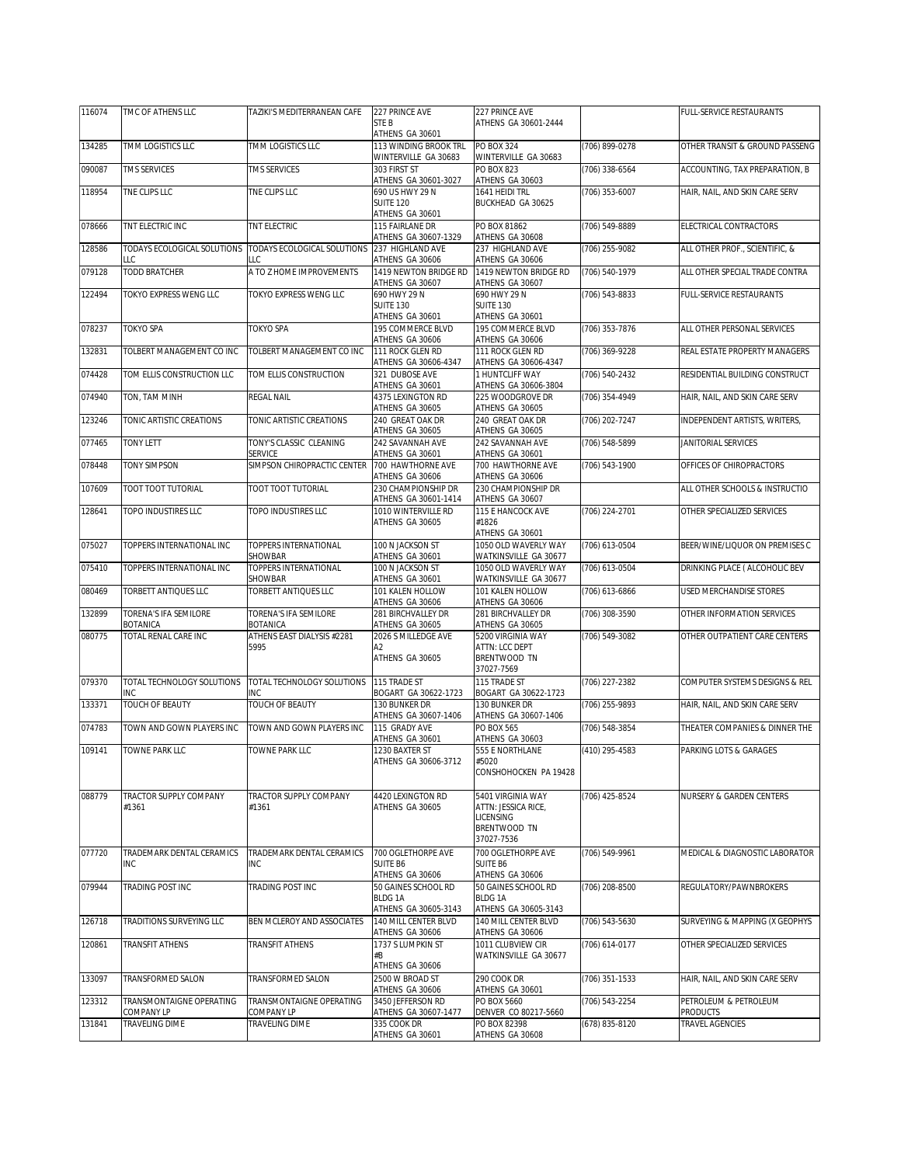| 116074 | TMC OF ATHENS LLC                      | TAZIKI'S MEDITERRANEAN CAFE        | 227 PRINCE AVE                                                | 227 PRINCE AVE                                                |                    | FULL-SERVICE RESTAURANTS            |
|--------|----------------------------------------|------------------------------------|---------------------------------------------------------------|---------------------------------------------------------------|--------------------|-------------------------------------|
|        |                                        |                                    | STE B<br>ATHENS GA 30601                                      | ATHENS GA 30601-2444                                          |                    |                                     |
| 134285 | TMM LOGISTICS LLC                      | <b>TMM LOGISTICS LLC</b>           | 113 WINDING BROOK TRL<br>WINTERVILLE GA 30683                 | PO BOX 324<br>WINTERVILLE GA 30683                            | (706) 899-0278     | OTHER TRANSIT & GROUND PASSENG      |
| 090087 | TMS SERVICES                           | TMS SERVICES                       | 303 FIRST ST                                                  | <b>PO BOX 823</b>                                             | (706) 338-6564     | ACCOUNTING, TAX PREPARATION, B      |
| 118954 | TNE CLIPS LLC                          | TNE CLIPS LLC                      | ATHENS GA 30601-3027<br>690 US HWY 29 N<br><b>SUITE 120</b>   | ATHENS GA 30603<br>1641 HEIDI TRL<br>BUCKHEAD GA 30625        | (706) 353-6007     | HAIR, NAIL, AND SKIN CARE SERV      |
| 078666 | TNT ELECTRIC INC                       | TNT ELECTRIC                       | ATHENS GA 30601<br>115 FAIRLANE DR<br>ATHENS GA 30607-1329    | PO BOX 81862<br>ATHENS GA 30608                               | (706) 549-8889     | ELECTRICAL CONTRACTORS              |
| 128586 | TODAYS ECOLOGICAL SOLUTIONS            | TODAYS ECOLOGICAL SOLUTIONS        | 237 HIGHLAND AVE                                              | 237 HIGHLAND AVE                                              | (706) 255-9082     | ALL OTHER PROF., SCIENTIFIC, &      |
| 079128 | LLC<br>TODD BRATCHER                   | LLC<br>A TO Z HOME IMPROVEMENTS    | ATHENS GA 30606<br>1419 NEWTON BRIDGE RD                      | ATHENS GA 30606<br>1419 NEWTON BRIDGE RD                      | (706) 540-1979     | ALL OTHER SPECIAL TRADE CONTRA      |
|        |                                        |                                    | ATHENS GA 30607<br>690 HWY 29 N                               | ATHENS GA 30607                                               |                    |                                     |
| 122494 | TOKYO EXPRESS WENG LLC                 | TOKYO EXPRESS WENG LLC             | <b>SUITE 130</b><br>ATHENS GA 30601                           | 690 HWY 29 N<br><b>SUITE 130</b><br>ATHENS GA 30601           | $(706) 543 - 8833$ | FULL-SERVICE RESTAURANTS            |
| 078237 | TOKYO SPA                              | TOKYO SPA                          | 195 COMMERCE BLVD<br>ATHENS GA 30606                          | 195 COMMERCE BLVD<br>ATHENS GA 30606                          | (706) 353-7876     | ALL OTHER PERSONAL SERVICES         |
| 132831 | TOLBERT MANAGEMENT CO INC              | TOLBERT MANAGEMENT CO INC          | 111 ROCK GLEN RD<br>ATHENS GA 30606-4347                      | 111 ROCK GLEN RD<br>ATHENS GA 30606-4347                      | (706) 369-9228     | REAL ESTATE PROPERTY MANAGERS       |
| 074428 | TOM ELLIS CONSTRUCTION LLC             | TOM ELLIS CONSTRUCTION             | 321 DUBOSE AVE                                                | 1 HUNTCLIFF WAY<br>ATHENS GA 30606-3804                       | (706) 540-2432     | RESIDENTIAL BUILDING CONSTRUCT      |
| 074940 | TON, TAM MINH                          | REGAL NAIL                         | ATHENS GA 30601<br>4375 LEXINGTON RD<br>ATHENS GA 30605       | 225 WOODGROVE DR<br>ATHENS GA 30605                           | (706) 354-4949     | HAIR, NAIL, AND SKIN CARE SERV      |
| 123246 | TONIC ARTISTIC CREATIONS               | TONIC ARTISTIC CREATIONS           | 240 GREAT OAK DR<br>ATHENS GA 30605                           | 240 GREAT OAK DR<br>ATHENS GA 30605                           | (706) 202-7247     | INDEPENDENT ARTISTS, WRITERS,       |
| 077465 | <b>TONY LETT</b>                       | TONY'S CLASSIC CLEANING<br>SERVICE | 242 SAVANNAH AVE<br>ATHENS GA 30601                           | 242 SAVANNAH AVE<br>ATHENS GA 30601                           | (706) 548-5899     | <b>JANITORIAL SERVICES</b>          |
| 078448 | <b>TONY SIMPSON</b>                    | SIMPSON CHIROPRACTIC CENTER        | 700 HAWTHORNE AVE<br>ATHENS GA 30606                          | 700 HAWTHORNE AVE<br>ATHENS GA 30606                          | (706) 543-1900     | OFFICES OF CHIROPRACTORS            |
| 107609 | TOOT TOOT TUTORIAL                     | TOOT TOOT TUTORIAL                 | 230 CHAMPIONSHIP DR                                           | 230 CHAMPIONSHIP DR                                           |                    | ALL OTHER SCHOOLS & INSTRUCTIO      |
| 128641 | TOPO INDUSTIRES LLC                    | TOPO INDUSTIRES LLC                | ATHENS GA 30601-1414<br>1010 WINTERVILLE RD                   | ATHENS GA 30607<br>115 E HANCOCK AVE                          | (706) 224-2701     | OTHER SPECIALIZED SERVICES          |
|        |                                        |                                    | ATHENS GA 30605                                               | #1826<br>ATHENS GA 30601                                      |                    |                                     |
| 075027 | TOPPERS INTERNATIONAL INC              | TOPPERS INTERNATIONAL<br>SHOWBAR   | 100 N JACKSON ST<br>ATHENS GA 30601                           | 1050 OLD WAVERLY WAY<br>WATKINSVILLE GA 30677                 | (706) 613-0504     | BEER/WINE/LIQUOR ON PREMISES C      |
| 075410 | TOPPERS INTERNATIONAL INC              | TOPPERS INTERNATIONAL<br>SHOWBAR   | 100 N JACKSON ST<br>ATHENS GA 30601                           | 1050 OLD WAVERLY WAY<br>WATKINSVILLE GA 30677                 | (706) 613-0504     | DRINKING PLACE ( ALCOHOLIC BEV      |
| 080469 | TORBETT ANTIQUES LLC                   | TORBETT ANTIQUES LLC               | 101 KALEN HOLLOW<br>ATHENS GA 30606                           | 101 KALEN HOLLOW<br>ATHENS GA 30606                           | (706) 613-6866     | USED MERCHANDISE STORES             |
| 132899 | TORENA'S IFA SEMILORE<br>BOTANICA      | TORENA'S IFA SEMILORE<br>BOTANICA  | 281 BIRCHVALLEY DR<br>ATHENS GA 30605                         | 281 BIRCHVALLEY DR<br>ATHENS GA 30605                         | (706) 308-3590     | OTHER INFORMATION SERVICES          |
| 080775 | TOTAL RENAL CARE INC                   | ATHENS EAST DIALYSIS #2281         | 2026 S MILLEDGE AVE                                           | 5200 VIRGINIA WAY                                             | (706) 549-3082     | OTHER OUTPATIENT CARE CENTERS       |
|        |                                        | 5995                               | А2<br>ATHENS GA 30605                                         | ATTN: LCC DEPT<br>BRENTWOOD TN<br>37027-7569                  |                    |                                     |
| 079370 | TOTAL TECHNOLOGY SOLUTIONS             | TOTAL TECHNOLOGY SOLUTIONS         | 115 TRADE ST                                                  | 115 TRADE ST                                                  | (706) 227-2382     | COMPUTER SYSTEMS DESIGNS & REL      |
| 133371 | INC<br>TOUCH OF BEAUTY                 | INC<br>TOUCH OF BEAUTY             | BOGART GA 30622-1723<br>130 BUNKER DR<br>ATHENS GA 30607-1406 | BOGART GA 30622-1723<br>130 BUNKER DR<br>ATHENS GA 30607-1406 | (706) 255-9893     | HAIR, NAIL, AND SKIN CARE SERV      |
| 074783 | TOWN AND GOWN PLAYERS INC              | TOWN AND GOWN PLAYERS INC          | 115 GRADY AVE                                                 | PO BOX 565                                                    | (706) 548-3854     | THEATER COMPANIES & DINNER THE      |
| 109141 | TOWNE PARK LLC                         | TOWNE PARK LLC                     | ATHENS GA 30601<br>1230 BAXTER ST                             | ATHENS GA 30603<br>555 E NORTHLANE                            | (410) 295-4583     | PARKING LOTS & GARAGES              |
|        |                                        |                                    | ATHENS GA 30606-3712                                          | #5020<br>CONSHOHOCKEN PA 19428                                |                    |                                     |
| 088779 | <b>TRACTOR SUPPLY COMPANY</b><br>#1361 | TRACTOR SUPPLY COMPANY<br>#1361    | 4420 LEXINGTON RD<br>ATHENS GA 30605                          | 5401 VIRGINIA WAY<br>ATTN: JESSICA RICE,                      | (706) 425-8524     | <b>NURSERY &amp; GARDEN CENTERS</b> |
|        |                                        |                                    |                                                               | <b>LICENSING</b><br>BRENTWOOD TN<br>37027-7536                |                    |                                     |
| 077720 | TRADEMARK DENTAL CERAMICS              | TRADEMARK DENTAL CERAMICS          | 700 OGLETHORPE AVE                                            | 700 OGLETHORPE AVE                                            | (706) 549-9961     | MEDICAL & DIAGNOSTIC LABORATOR      |
|        | INC                                    | INC                                | SUITE B6<br>ATHENS GA 30606                                   | <b>SUITE B6</b><br>ATHENS GA 30606                            |                    |                                     |
| 079944 | TRADING POST INC                       | TRADING POST INC                   | 50 GAINES SCHOOL RD<br><b>BLDG 1A</b>                         | 50 GAINES SCHOOL RD<br><b>BLDG 1A</b>                         | (706) 208-8500     | REGULATORY/PAWNBROKERS              |
| 126718 | TRADITIONS SURVEYING LLC               | BEN MCLEROY AND ASSOCIATES         | ATHENS GA 30605-3143<br>140 MILL CENTER BLVD                  | ATHENS GA 30605-3143<br>140 MILL CENTER BLVD                  | (706) 543-5630     | SURVEYING & MAPPING (X GEOPHYS      |
| 120861 | TRANSFIT ATHENS                        | TRANSFIT ATHENS                    | ATHENS GA 30606<br>1737 S LUMPKIN ST                          | ATHENS GA 30606<br>1011 CLUBVIEW CIR                          | (706) 614-0177     | OTHER SPECIALIZED SERVICES          |
|        |                                        |                                    | #B<br>ATHENS GA 30606                                         | WATKINSVILLE GA 30677                                         |                    |                                     |
| 133097 | TRANSFORMED SALON                      | TRANSFORMED SALON                  | 2500 W BROAD ST<br>ATHENS GA 30606                            | 290 COOK DR<br>ATHENS GA 30601                                | (706) 351-1533     | HAIR, NAIL, AND SKIN CARE SERV      |
| 123312 | TRANSMONTAIGNE OPERATING               | TRANSMONTAIGNE OPERATING           | 3450 JEFFERSON RD                                             | PO BOX 5660                                                   | (706) 543-2254     | PETROLEUM & PETROLEUM               |
| 131841 | COMPANY LP<br>TRAVELING DIME           | COMPANY LP<br>TRAVELING DIME       | ATHENS GA 30607-1477<br>335 COOK DR                           | DENVER CO 80217-5660<br>PO BOX 82398                          | (678) 835-8120     | PRODUCTS<br>TRAVEL AGENCIES         |
|        |                                        |                                    | ATHENS GA 30601                                               | ATHENS GA 30608                                               |                    |                                     |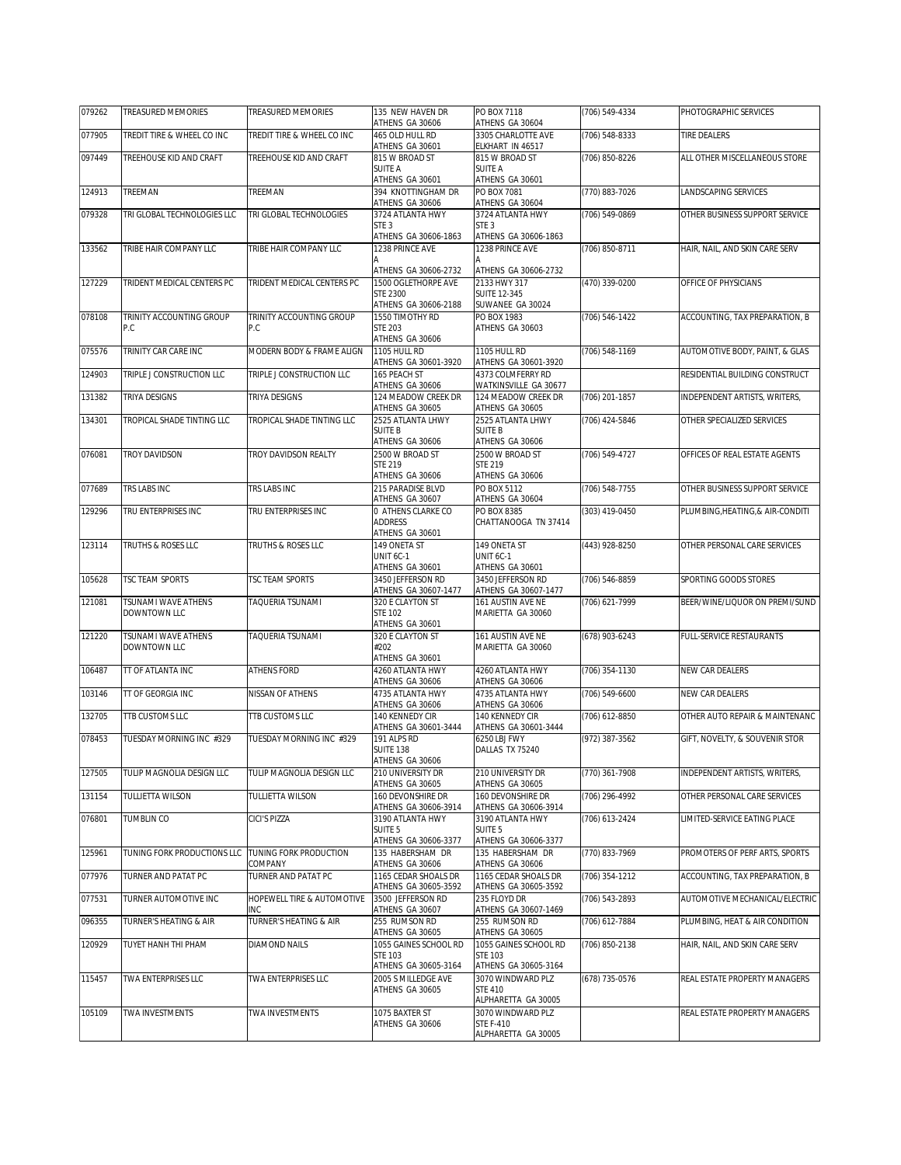| 079262 | TREASURED MEMORIES                  | TREASURED MEMORIES                       | 135 NEW HAVEN DR<br>ATHENS GA 30606                            | PO BOX 7118<br>ATHENS GA 30604                             | (706) 549-4334     | PHOTOGRAPHIC SERVICES            |
|--------|-------------------------------------|------------------------------------------|----------------------------------------------------------------|------------------------------------------------------------|--------------------|----------------------------------|
| 077905 | TREDIT TIRE & WHEEL CO INC          | TREDIT TIRE & WHEEL CO INC               | 465 OLD HULL RD<br>ATHENS GA 30601                             | 3305 CHARLOTTE AVE<br>ELKHART IN 46517                     | (706) 548-8333     | <b>TIRE DEALERS</b>              |
| 097449 | TREEHOUSE KID AND CRAFT             | TREEHOUSE KID AND CRAFT                  | 815 W BROAD ST<br><b>SUITE A</b>                               | 815 W BROAD ST<br><b>SUITE A</b>                           | (706) 850-8226     | ALL OTHER MISCELLANEOUS STORE    |
| 124913 | TREEMAN                             | TREEMAN                                  | ATHENS GA 30601<br>394 KNOTTINGHAM DR                          | ATHENS GA 30601<br>PO BOX 7081                             | (770) 883-7026     | LANDSCAPING SERVICES             |
| 079328 | TRI GLOBAL TECHNOLOGIES LLC         | TRI GLOBAL TECHNOLOGIES                  | ATHENS GA 30606<br>3724 ATLANTA HWY                            | ATHENS GA 30604<br>3724 ATLANTA HWY                        | (706) 549-0869     | OTHER BUSINESS SUPPORT SERVICE   |
|        |                                     |                                          | STE <sub>3</sub><br>ATHENS GA 30606-1863                       | STE <sub>3</sub><br>ATHENS GA 30606-1863                   |                    |                                  |
| 133562 | TRIBE HAIR COMPANY LLC              | TRIBE HAIR COMPANY LLC                   | 1238 PRINCE AVE                                                | 1238 PRINCE AVE                                            | (706) 850-8711     | HAIR, NAIL, AND SKIN CARE SERV   |
|        |                                     |                                          | ATHENS GA 30606-2732                                           | ATHENS GA 30606-2732                                       |                    |                                  |
| 127229 | TRIDENT MEDICAL CENTERS PC          | TRIDENT MEDICAL CENTERS PC               | 1500 OGLETHORPE AVE<br><b>STE 2300</b><br>ATHENS GA 30606-2188 | 2133 HWY 317<br><b>SUITE 12-345</b><br>SUWANEE GA 30024    | (470) 339-0200     | OFFICE OF PHYSICIANS             |
| 078108 | TRINITY ACCOUNTING GROUP<br>P.C     | TRINITY ACCOUNTING GROUP<br>P.C          | 1550 TIMOTHY RD<br><b>STE 203</b><br>ATHENS GA 30606           | PO BOX 1983<br>ATHENS GA 30603                             | (706) 546-1422     | ACCOUNTING, TAX PREPARATION, B   |
| 075576 | TRINITY CAR CARE INC                | MODERN BODY & FRAME ALIGN                | 1105 HULL RD                                                   | 1105 HULL RD                                               | (706) 548-1169     | AUTOMOTIVE BODY, PAINT, & GLAS   |
| 124903 | TRIPLE J CONSTRUCTION LLC           | TRIPLE J CONSTRUCTION LLC                | ATHENS GA 30601-3920<br>165 PEACH ST                           | ATHENS GA 30601-3920<br>4373 COLMFERRY RD                  |                    | RESIDENTIAL BUILDING CONSTRUCT   |
| 131382 | TRIYA DESIGNS                       | TRIYA DESIGNS                            | ATHENS GA 30606<br>124 MEADOW CREEK DR                         | WATKINSVILLE GA 30677<br>124 MEADOW CREEK DR               | (706) 201-1857     | INDEPENDENT ARTISTS, WRITERS,    |
|        |                                     |                                          | ATHENS GA 30605                                                | ATHENS GA 30605                                            |                    |                                  |
| 134301 | TROPICAL SHADE TINTING LLC          | TROPICAL SHADE TINTING LLC               | 2525 ATLANTA LHWY<br><b>SUITE B</b>                            | 2525 ATLANTA LHWY<br><b>SUITE B</b>                        | (706) 424-5846     | OTHER SPECIALIZED SERVICES       |
| 076081 | TROY DAVIDSON                       | TROY DAVIDSON REALTY                     | ATHENS GA 30606<br>2500 W BROAD ST                             | ATHENS GA 30606<br>2500 W BROAD ST                         | (706) 549-4727     | OFFICES OF REAL ESTATE AGENTS    |
|        |                                     |                                          | <b>STE 219</b>                                                 | <b>STE 219</b>                                             |                    |                                  |
| 077689 | TRS LABS INC                        | TRS LABS INC                             | ATHENS GA 30606<br>215 PARADISE BLVD                           | ATHENS GA 30606<br>PO BOX 5112                             | (706) 548-7755     | OTHER BUSINESS SUPPORT SERVICE   |
| 129296 | TRU ENTERPRISES INC                 | TRU ENTERPRISES INC                      | ATHENS GA 30607<br>0 ATHENS CLARKE CO                          | ATHENS GA 30604<br>PO BOX 8385                             | (303) 419-0450     | PLUMBING, HEATING, & AIR-CONDITI |
|        |                                     |                                          | <b>ADDRESS</b><br>ATHENS GA 30601                              | CHATTANOOGA TN 37414                                       |                    |                                  |
| 123114 | TRUTHS & ROSES LLC                  | TRUTHS & ROSES LLC                       | 149 ONETA ST<br><b>UNIT 6C-1</b><br>ATHENS GA 30601            | 149 ONETA ST<br><b>UNIT 6C-1</b><br>ATHENS GA 30601        | (443) 928-8250     | OTHER PERSONAL CARE SERVICES     |
| 105628 | <b>TSC TEAM SPORTS</b>              | <b>TSC TEAM SPORTS</b>                   | 3450 JEFFERSON RD                                              | 3450 JEFFERSON RD                                          | (706) 546-8859     | SPORTING GOODS STORES            |
|        |                                     |                                          |                                                                |                                                            |                    |                                  |
| 121081 | TSUNAMI WAVE ATHENS                 | TAQUERIA TSUNAMI                         | ATHENS GA 30607-1477<br>320 E CLAYTON ST                       | ATHENS GA 30607-1477<br>161 AUSTIN AVE NE                  | (706) 621-7999     | BEER/WINE/LIQUOR ON PREMI/SUND   |
|        | DOWNTOWN LLC                        |                                          | <b>STE 102</b><br>ATHENS GA 30601                              | MARIETTA GA 30060                                          |                    |                                  |
| 121220 | TSUNAMI WAVE ATHENS<br>DOWNTOWN LLC | TAQUERIA TSUNAMI                         | 320 E CLAYTON ST<br>#202<br>ATHENS GA 30601                    | 161 AUSTIN AVE NE<br>MARIETTA GA 30060                     | (678) 903-6243     | FULL-SERVICE RESTAURANTS         |
| 106487 | TT OF ATLANTA INC                   | <b>ATHENS FORD</b>                       | 4260 ATLANTA HWY                                               | 4260 ATLANTA HWY                                           | (706) 354-1130     | NEW CAR DEALERS                  |
| 103146 | TT OF GEORGIA INC                   | NISSAN OF ATHENS                         | ATHENS GA 30606<br>4735 ATLANTA HWY                            | ATHENS GA 30606<br>4735 ATLANTA HWY                        | $(706) 549 - 6600$ | NEW CAR DEALERS                  |
| 132705 | TTB CUSTOMS LLC                     | TTB CUSTOMS LLC                          | ATHENS GA 30606<br>140 KENNEDY CIR                             | ATHENS GA 30606<br>140 KENNEDY CIR                         | (706) 612-8850     | OTHER AUTO REPAIR & MAINTENANC   |
|        |                                     |                                          | ATHENS GA 30601-3444                                           | ATHENS GA 30601-3444                                       |                    |                                  |
| 078453 | TUESDAY MORNING INC #329            | TUESDAY MORNING INC #329                 | 191 ALPS RD<br><b>SUITE 138</b>                                | 6250 LBJ FWY<br>DALLAS TX 75240                            | (972) 387-3562     | GIFT, NOVELTY, & SOUVENIR STOR   |
| 127505 | TULIP MAGNOLIA DESIGN LLC           | TULIP MAGNOLIA DESIGN LLC                | ATHENS GA 30606<br>210 UNIVERSITY DR                           | 210 UNIVERSITY DR                                          | (770) 361-7908     | INDEPENDENT ARTISTS, WRITERS,    |
| 131154 | TULLIETTA WILSON                    | TULLIETTA WILSON                         | ATHENS GA 30605<br><b>160 DEVONSHIRE DR</b>                    | ATHENS GA 30605<br>160 DEVONSHIRE DR                       | (706) 296-4992     | OTHER PERSONAL CARE SERVICES     |
| 076801 | TUMBLIN CO                          | CICI'S PIZZA                             | ATHENS GA 30606-3914<br>3190 ATLANTA HWY                       | ATHENS GA 30606-3914<br>3190 ATLANTA HWY                   | (706) 613-2424     | LIMITED-SERVICE EATING PLACE     |
|        |                                     |                                          | SUITE <sub>5</sub><br>ATHENS GA 30606-3377                     | SUITE <sub>5</sub><br>ATHENS GA 30606-3377                 |                    |                                  |
| 125961 | TUNING FORK PRODUCTIONS LLC         | TUNING FORK PRODUCTION                   | 135 HABFRSHAM DR                                               | 135 HABFRSHAM DR                                           | (770) 833-7969     | PROMOTERS OF PERF ARTS, SPORTS   |
| 077976 | TURNER AND PATAT PC                 | COMPANY<br>TURNER AND PATAT PC           | ATHENS GA 30606<br>1165 CEDAR SHOALS DR                        | ATHENS GA 30606<br>1165 CEDAR SHOALS DR                    | (706) 354-1212     | ACCOUNTING, TAX PREPARATION, B   |
| 077531 | TURNER AUTOMOTIVE INC               | HOPEWELL TIRE & AUTOMOTIVE               | ATHENS GA 30605-3592<br>3500 JEFFERSON RD                      | ATHENS GA 30605-3592<br>235 FLOYD DR                       | (706) 543-2893     | AUTOMOTIVE MECHANICAL/ELECTRIC   |
| 096355 | TURNER'S HEATING & AIR              | INC<br><b>TURNER'S HEATING &amp; AIR</b> | ATHENS GA 30607<br>255 RUMSON RD                               | ATHENS GA 30607-1469<br>255 RUMSON RD                      | (706) 612-7884     | PLUMBING. HEAT & AIR CONDITION   |
| 120929 | TUYET HANH THI PHAM                 | DIAMOND NAILS                            | ATHENS GA 30605<br>1055 GAINES SCHOOL RD                       | ATHENS GA 30605<br>1055 GAINES SCHOOL RD                   | (706) 850-2138     | HAIR, NAIL, AND SKIN CARE SERV   |
|        |                                     |                                          | <b>STE 103</b><br>ATHENS GA 30605-3164                         | <b>STE 103</b><br>ATHENS GA 30605-3164                     |                    |                                  |
| 115457 | TWA ENTERPRISES LLC                 | TWA ENTERPRISES LLC                      | 2005 S MILLEDGE AVE<br>ATHENS GA 30605                         | 3070 WINDWARD PLZ<br><b>STE 410</b><br>ALPHARETTA GA 30005 | (678) 735-0576     | REAL ESTATE PROPERTY MANAGERS    |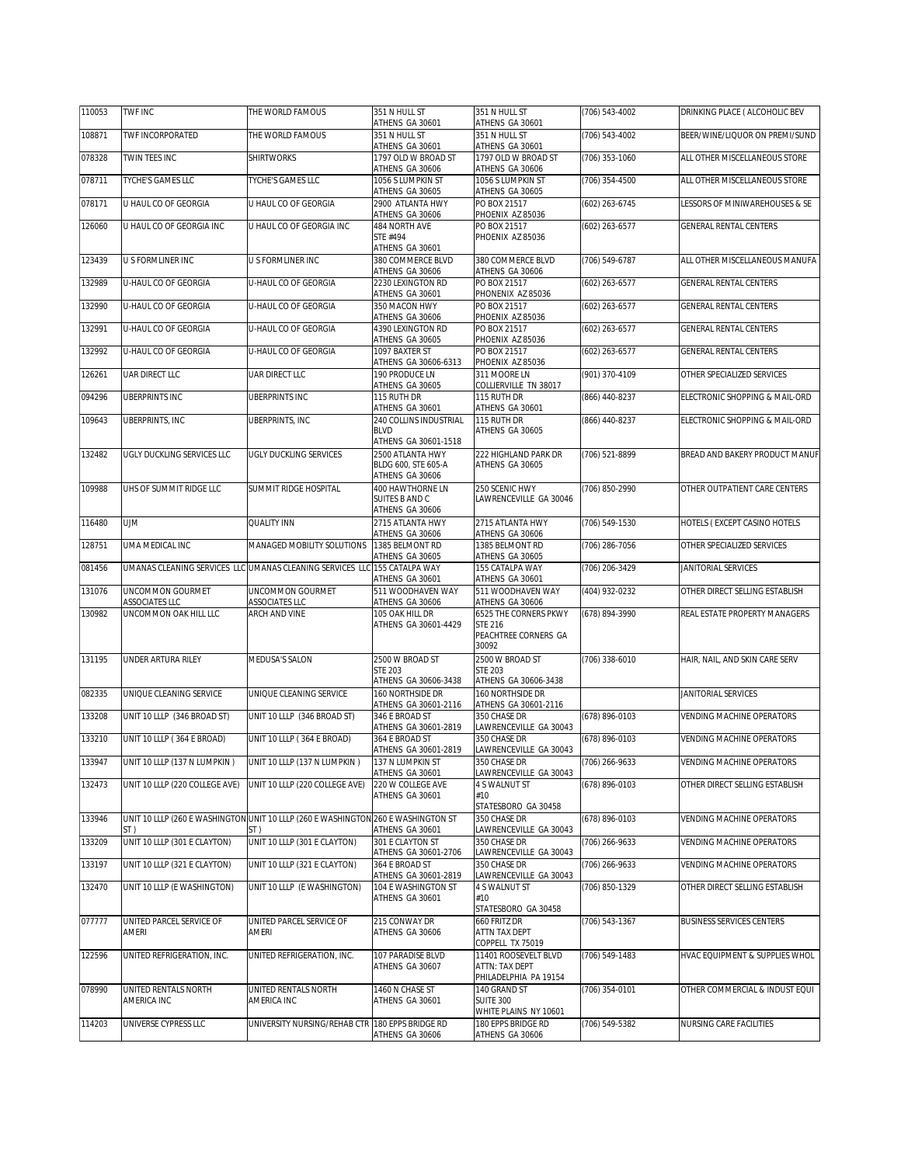| 110053 | TWF INC                              | THE WORLD FAMOUS                                                                  | 351 N HULL ST<br>ATHENS GA 30601                                                   | 351 N HULL ST<br>ATHENS GA 30601                                         | (706) 543-4002   | DRINKING PLACE ( ALCOHOLIC BEV   |
|--------|--------------------------------------|-----------------------------------------------------------------------------------|------------------------------------------------------------------------------------|--------------------------------------------------------------------------|------------------|----------------------------------|
| 108871 | TWF INCORPORATED                     | THE WORLD FAMOUS                                                                  | 351 N HULL ST<br>ATHENS GA 30601                                                   | 351 N HULL ST<br>ATHENS GA 30601                                         | (706) 543-4002   | BEER/WINE/LIQUOR ON PREMI/SUND   |
| 078328 | TWIN TEES INC                        | <b>SHIRTWORKS</b>                                                                 | 1797 OLD W BROAD ST<br>ATHENS GA 30606                                             | 1797 OLD W BROAD ST<br>ATHENS GA 30606                                   | (706) 353-1060   | ALL OTHER MISCELLANEOUS STORE    |
| 078711 | TYCHE'S GAMES LLC                    | <b>TYCHE'S GAMES LLC</b>                                                          | 1056 S LUMPKIN ST<br>ATHENS GA 30605                                               | 1056 S LUMPKIN ST<br>ATHENS GA 30605                                     | (706) 354-4500   | ALL OTHER MISCELLANEOUS STORE    |
| 078171 | U HAUL CO OF GEORGIA                 | U HAUL CO OF GEORGIA                                                              | 2900 ATLANTA HWY<br>ATHENS GA 30606                                                | PO BOX 21517<br>PHOENIX AZ 85036                                         | (602) 263-6745   | LESSORS OF MINIWAREHOUSES & SE   |
| 126060 | U HAUL CO OF GEORGIA INC             | U HAUL CO OF GEORGIA INC                                                          | 484 NORTH AVE<br>STE #494<br>ATHENS GA 30601                                       | PO BOX 21517<br>PHOENIX AZ 85036                                         | (602) 263-6577   | <b>GENERAL RENTAL CENTERS</b>    |
| 123439 | U S FORMLINER INC                    | U S FORMLINER INC                                                                 | 380 COMMERCE BLVD                                                                  | 380 COMMERCE BLVD                                                        | (706) 549-6787   | ALL OTHER MISCELLANEOUS MANUFA   |
| 132989 | U-HAUL CO OF GEORGIA                 | U-HAUL CO OF GEORGIA                                                              | ATHENS GA 30606<br>2230 LEXINGTON RD<br>ATHENS GA 30601                            | ATHENS GA 30606<br>PO BOX 21517<br>PHONENIX AZ 85036                     | (602) 263-6577   | <b>GENERAL RENTAL CENTERS</b>    |
| 132990 | U-HAUL CO OF GEORGIA                 | U-HAUL CO OF GEORGIA                                                              | 350 MACON HWY<br>ATHENS GA 30606                                                   | PO BOX 21517<br>PHOENIX AZ 85036                                         | (602) 263-6577   | <b>GENERAL RENTAL CENTERS</b>    |
| 132991 | U-HAUL CO OF GEORGIA                 | U-HAUL CO OF GEORGIA                                                              | 4390 LEXINGTON RD<br>ATHENS GA 30605                                               | PO BOX 21517<br>PHOENIX AZ 85036                                         | (602) 263-6577   | <b>GENERAL RENTAL CENTERS</b>    |
| 132992 | U-HAUL CO OF GEORGIA                 | U-HAUL CO OF GEORGIA                                                              | 1097 BAXTER ST<br>ATHENS GA 30606-6313                                             | PO BOX 21517<br>PHOENIX AZ 85036                                         | (602) 263-6577   | GENERAL RENTAL CENTERS           |
| 126261 | UAR DIRECT LLC                       | UAR DIRECT LLC                                                                    | 190 PRODUCE LN                                                                     | 311 MOORE LN<br>COLLIERVILLE TN 38017                                    | (901) 370-4109   | OTHER SPECIALIZED SERVICES       |
| 094296 | UBERPRINTS INC                       | UBERPRINTS INC                                                                    | ATHENS GA 30605<br>115 RUTH DR                                                     | 115 RUTH DR                                                              | (866) 440-8237   | ELECTRONIC SHOPPING & MAIL-ORD   |
| 109643 | <b>UBERPRINTS, INC.</b>              | UBERPRINTS, INC                                                                   | ATHENS GA 30601<br><b>240 COLLINS INDUSTRIAL</b><br><b>BLVD</b>                    | ATHENS GA 30601<br>115 RUTH DR<br>ATHENS GA 30605                        | $(866)$ 440-8237 | ELECTRONIC SHOPPING & MAIL-ORD   |
| 132482 | UGLY DUCKLING SERVICES LLC           | <b>UGLY DUCKLING SERVICES</b>                                                     | ATHENS GA 30601-1518<br>2500 ATLANTA HWY<br>BLDG 600, STE 605-A<br>ATHENS GA 30606 | 222 HIGHLAND PARK DR<br>ATHENS GA 30605                                  | (706) 521-8899   | BREAD AND BAKERY PRODUCT MANUF   |
| 109988 | UHS OF SUMMIT RIDGE LLC              | SUMMIT RIDGE HOSPITAL                                                             | 400 HAWTHORNE LN<br>SUITES B AND C<br>ATHENS GA 30606                              | 250 SCENIC HWY<br>LAWRENCEVILLE GA 30046                                 | (706) 850-2990   | OTHER OUTPATIENT CARE CENTERS    |
| 116480 | <b>UJM</b>                           | QUALITY INN                                                                       | 2715 ATLANTA HWY<br>ATHENS GA 30606                                                | 2715 ATLANTA HWY<br>ATHENS GA 30606                                      | (706) 549-1530   | HOTELS (EXCEPT CASINO HOTELS     |
| 128751 | UMA MEDICAL INC                      | MANAGED MOBILITY SOLUTIONS                                                        | 1385 BELMONT RD<br>ATHENS GA 30605                                                 | 1385 BELMONT RD<br>ATHENS GA 30605                                       | (706) 286-7056   | OTHER SPECIALIZED SERVICES       |
| 081456 |                                      | UMANAS CLEANING SERVICES LLC UMANAS CLEANING SERVICES LLC 155 CATALPA WAY         | ATHENS GA 30601                                                                    | 155 CATALPA WAY<br>ATHENS GA 30601                                       | (706) 206-3429   | JANITORIAL SERVICES              |
| 131076 | UNCOMMON GOURMET<br>ASSOCIATES LLC   | UNCOMMON GOURMET<br>ASSOCIATES LLC                                                | 511 WOODHAVEN WAY<br>ATHENS GA 30606                                               | 511 WOODHAVEN WAY<br>ATHENS GA 30606                                     | (404) 932-0232   | OTHER DIRECT SELLING ESTABLISH   |
| 130982 | UNCOMMON OAK HILL LLC                | ARCH AND VINE                                                                     | 105 OAK HILL DR<br>ATHENS GA 30601-4429                                            | 6525 THE CORNERS PKWY<br><b>STE 216</b><br>PEACHTREE CORNERS GA<br>30092 | (678) 894-3990   | REAL ESTATE PROPERTY MANAGERS    |
| 131195 | UNDER ARTURA RILEY                   | MEDUSA'S SALON                                                                    | 2500 W BROAD ST<br><b>STE 203</b><br>ATHENS GA 30606-3438                          | 2500 W BROAD ST<br><b>STE 203</b><br>ATHENS GA 30606-3438                | (706) 338-6010   | HAIR, NAIL, AND SKIN CARE SERV   |
| 082335 | UNIQUE CLEANING SERVICE              | UNIQUE CLEANING SERVICE                                                           | 160 NORTHSIDE DR<br>ATHENS GA 30601-2116                                           | 160 NORTHSIDE DR<br>ATHENS GA 30601-2116                                 |                  | JANITORIAL SERVICES              |
| 133208 | UNIT 10 LLLP (346 BROAD ST)          | UNIT 10 LLLP (346 BROAD ST)                                                       | 346 E BROAD ST<br>ATHENS GA 30601-2819                                             | 350 CHASE DR<br>LAWRENCEVILLE GA 30043                                   | (678) 896-0103   | VENDING MACHINE OPERATORS        |
| 133210 | UNIT 10 LLLP (364 E BROAD)           | UNIT 10 LLLP (364 E BROAD)                                                        | 364 E BROAD ST                                                                     | 350 CHASE DR                                                             | (678) 896-0103   | <b>VENDING MACHINE OPERATORS</b> |
| 133947 | UNIT 10 LLLP (137 N LUMPKIN)         | UNIT 10 LLLP (137 N LUMPKIN)                                                      | ATHENS GA 30601-2819<br>137 N LUMPKIN ST                                           | LAWRENCEVILLE GA 30043<br>350 CHASE DR                                   | (706) 266-9633   | <b>VENDING MACHINE OPERATORS</b> |
| 132473 | UNIT 10 LLLP (220 COLLEGE AVE)       | UNIT 10 LLLP (220 COLLEGE AVE)                                                    | ATHENS GA 30601<br>220 W COLLEGE AVE<br>ATHENS GA 30601                            | LAWRENCEVILLE GA 30043<br>4 S WALNUT ST<br>#10<br>STATESBORO GA 30458    | (678) 896-0103   | OTHER DIRECT SELLING ESTABLISH   |
| 133946 |                                      | UNIT 10 LLLP (260 E WASHINGTON UNIT 10 LLLP (260 E WASHINGTON 260 E WASHINGTON ST |                                                                                    | 350 CHASE DR                                                             | (678) 896-0103   | VENDING MACHINE OPERATORS        |
| 133209 | ST )<br>UNIT 10 LLLP (301 E CLAYTON) | ST )<br>UNIT 10 LLLP (301 E CLAYTON)                                              | ATHENS GA 30601<br>301 E CLAYTON ST                                                | LAWRENCEVILLE GA 30043<br>350 CHASE DR                                   | (706) 266-9633   | VENDING MACHINE OPERATORS        |
| 133197 | UNIT 10 LLLP (321 E CLAYTON)         | UNIT 10 LLLP (321 E CLAYTON)                                                      | ATHENS GA 30601-2706<br>364 E BROAD ST                                             | LAWRENCEVILLE GA 30043<br>350 CHASE DR                                   | (706) 266-9633   | VENDING MACHINE OPERATORS        |
| 132470 | UNIT 10 LLLP (E WASHINGTON)          | UNIT 10 LLLP (E WASHINGTON)                                                       | ATHENS GA 30601-2819<br>104 E WASHINGTON ST<br>ATHENS GA 30601                     | LAWRENCEVILLE GA 30043<br>4 S WALNUT ST<br>#10<br>STATESBORO GA 30458    | (706) 850-1329   | OTHER DIRECT SELLING ESTABLISH   |
| 077777 | UNITED PARCEL SERVICE OF<br>AMERI    | UNITED PARCEL SERVICE OF<br>AMERI                                                 | 215 CONWAY DR<br>ATHENS GA 30606                                                   | 660 FRITZ DR<br>ATTN TAX DEPT<br>COPPELL TX 75019                        | (706) 543-1367   | <b>BUSINESS SERVICES CENTERS</b> |
| 122596 | UNITED REFRIGERATION, INC.           | UNITED REFRIGERATION, INC.                                                        | 107 PARADISE BLVD<br>ATHENS GA 30607                                               | 11401 ROOSEVELT BLVD<br>ATTN: TAX DEPT<br>PHILADELPHIA PA 19154          | (706) 549-1483   | HVAC EQUIPMENT & SUPPLIES WHOL   |
| 078990 | UNITED RENTALS NORTH<br>AMERICA INC  | UNITED RENTALS NORTH<br>AMERICA INC                                               | 1460 N CHASE ST<br>ATHENS GA 30601                                                 | 140 GRAND ST<br><b>SUITE 300</b><br>WHITE PLAINS NY 10601                | (706) 354-0101   | OTHER COMMERCIAL & INDUST EQUI   |
| 114203 | UNIVERSE CYPRESS LLC                 | JNIVERSITY NURSING/REHAB CTR 180 EPPS BRIDGE RD                                   | ATHENS GA 30606                                                                    | 180 EPPS BRIDGE RD<br>ATHENS GA 30606                                    | (706) 549-5382   | NURSING CARE FACILITIES          |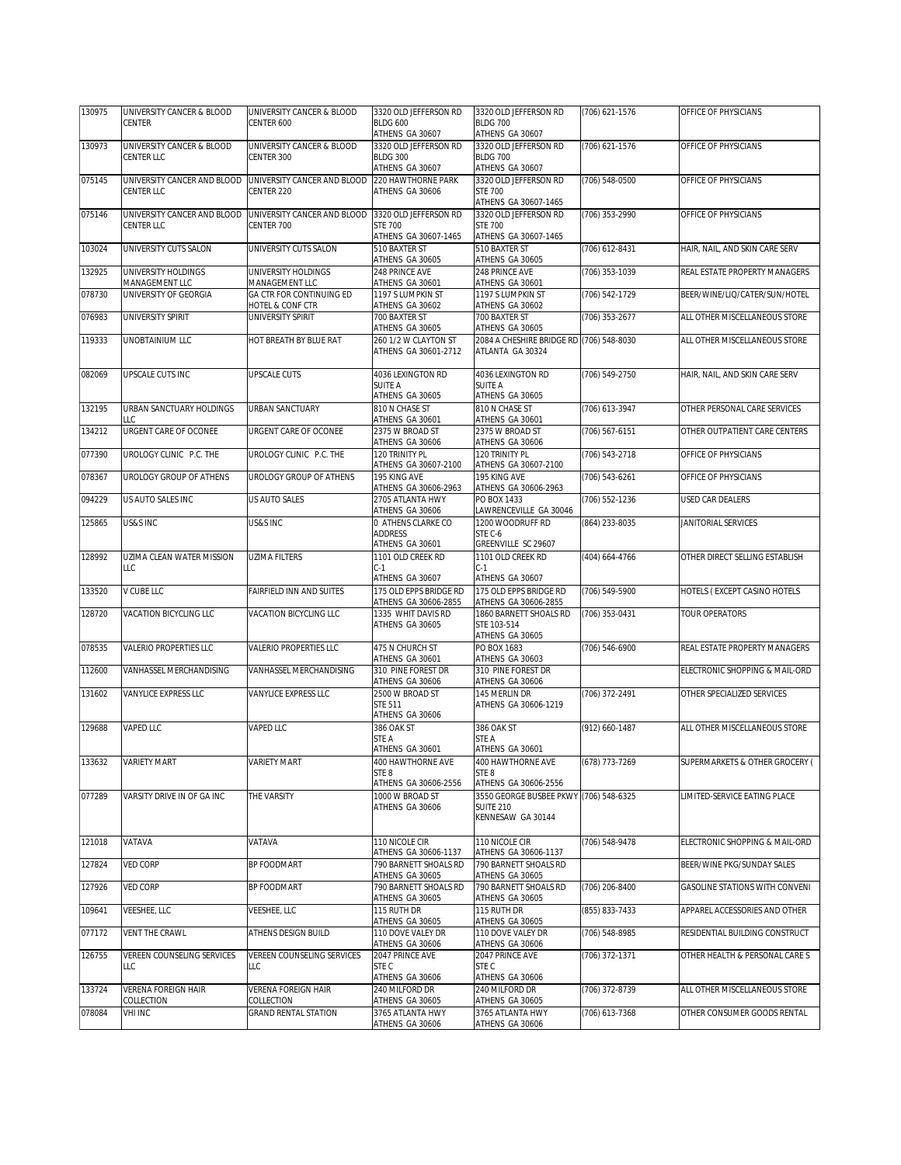| 130975 | UNIVERSITY CANCER & BLOOD                 | UNIVERSITY CANCER & BLOOD                 | 3320 OLD JEFFERSON RD                         | 3320 OLD JEFFERSON RD                                      | (706) 621-1576 | OFFICE OF PHYSICIANS           |
|--------|-------------------------------------------|-------------------------------------------|-----------------------------------------------|------------------------------------------------------------|----------------|--------------------------------|
|        | <b>CENTER</b>                             | CENTER 600                                | <b>BLDG 600</b><br>ATHENS GA 30607            | <b>BLDG 700</b><br>ATHENS GA 30607                         |                |                                |
| 130973 | UNIVERSITY CANCER & BLOOD                 | UNIVERSITY CANCER & BLOOD                 | 3320 OLD JEFFERSON RD                         | 3320 OLD JEFFERSON RD                                      | (706) 621-1576 | OFFICE OF PHYSICIANS           |
|        | <b>CENTER LLC</b>                         | CENTER 300                                | <b>BLDG 300</b>                               | <b>BLDG 700</b>                                            |                |                                |
|        |                                           |                                           | ATHENS GA 30607                               | ATHENS GA 30607                                            |                |                                |
| 075145 | UNIVERSITY CANCER AND BLOOD<br>CENTER LLC | UNIVERSITY CANCER AND BLOOD<br>CENTER 220 | 220 HAWTHORNE PARK<br>ATHENS GA 30606         | 3320 OLD JEFFERSON RD<br><b>STF 700</b>                    | (706) 548-0500 | OFFICE OF PHYSICIANS           |
|        |                                           |                                           |                                               | ATHENS GA 30607-1465                                       |                |                                |
| 075146 | UNIVERSITY CANCER AND BLOOD               | UNIVERSITY CANCER AND BLOOD               | 3320 OLD JEFFERSON RD                         | 3320 OLD JEFFERSON RD                                      | (706) 353-2990 | OFFICE OF PHYSICIANS           |
|        | CENTER LLC                                | CENTER 700                                | <b>STE 700</b>                                | <b>STE 700</b>                                             |                |                                |
| 103024 | UNIVERSITY CUTS SALON                     | UNIVERSITY CUTS SALON                     | ATHENS GA 30607-1465<br>510 BAXTER ST         | ATHENS GA 30607-1465<br>510 BAXTER ST                      |                | HAIR, NAIL, AND SKIN CARE SERV |
|        |                                           |                                           | ATHENS GA 30605                               | ATHENS GA 30605                                            | (706) 612-8431 |                                |
| 132925 | UNIVERSITY HOLDINGS                       | UNIVERSITY HOLDINGS                       | 248 PRINCE AVE                                | 248 PRINCE AVE                                             | (706) 353-1039 | REAL ESTATE PROPERTY MANAGERS  |
|        | MANAGEMENT LLC                            | MANAGEMENT LLC                            | ATHENS GA 30601                               | ATHENS GA 30601                                            |                |                                |
| 078730 | UNIVERSITY OF GEORGIA                     | GA CTR FOR CONTINUING ED                  | 1197 S LUMPKIN ST                             | 1197 S LUMPKIN ST                                          | (706) 542-1729 | BEER/WINE/LIQ/CATER/SUN/HOTEL  |
| 076983 | UNIVERSITY SPIRIT                         | HOTEL & CONF CTR<br>UNIVERSITY SPIRIT     | ATHENS GA 30602<br>700 BAXTER ST              | ATHENS GA 30602<br>700 BAXTER ST                           | (706) 353-2677 | ALL OTHER MISCELLANEOUS STORE  |
|        |                                           |                                           | ATHENS GA 30605                               | ATHENS GA 30605                                            |                |                                |
| 119333 | UNOBTAINIUM LLC                           | HOT BREATH BY BLUE RAT                    | 260 1/2 W CLAYTON ST                          | 2084 A CHESHIRE BRIDGE RD (706) 548-8030                   |                | ALL OTHER MISCELLANEOUS STORE  |
|        |                                           |                                           | ATHENS GA 30601-2712                          | ATLANTA GA 30324                                           |                |                                |
|        |                                           |                                           |                                               |                                                            |                |                                |
| 082069 | UPSCALE CUTS INC                          | <b>UPSCALE CUTS</b>                       | 4036 LEXINGTON RD<br>SUITE A                  | 4036 LEXINGTON RD<br>SUITE A                               | (706) 549-2750 | HAIR, NAIL, AND SKIN CARE SERV |
|        |                                           |                                           | ATHENS GA 30605                               | ATHENS GA 30605                                            |                |                                |
| 132195 | URBAN SANCTUARY HOLDINGS                  | URBAN SANCTUARY                           | 810 N CHASE ST                                | 810 N CHASE ST                                             | (706) 613-3947 | OTHER PERSONAL CARE SERVICES   |
|        | LLC                                       |                                           | ATHENS GA 30601                               | ATHENS GA 30601                                            |                |                                |
| 134212 | URGENT CARE OF OCONEE                     | URGENT CARE OF OCONEE                     | 2375 W BROAD ST<br>ATHENS GA 30606            | 2375 W BROAD ST<br>ATHENS GA 30606                         | (706) 567-6151 | OTHER OUTPATIENT CARE CENTERS  |
| 077390 | UROLOGY CLINIC P.C. THE                   | UROLOGY CLINIC P.C. THE                   | 120 TRINITY PL                                | 120 TRINITY PL                                             | (706) 543-2718 | OFFICE OF PHYSICIANS           |
|        |                                           |                                           | ATHENS GA 30607-2100                          | ATHENS GA 30607-2100                                       |                |                                |
| 078367 | UROLOGY GROUP OF ATHENS                   | UROLOGY GROUP OF ATHENS                   | 195 KING AVE                                  | 195 KING AVE                                               | (706) 543-6261 | OFFICE OF PHYSICIANS           |
|        |                                           |                                           | ATHENS GA 30606-2963                          | ATHENS GA 30606-2963<br>PO BOX 1433                        |                |                                |
| 094229 | US AUTO SALES INC                         | US AUTO SALES                             | 2705 ATLANTA HWY<br>ATHENS GA 30606           | AWRENCEVILLE GA 30046                                      | (706) 552-1236 | USED CAR DEALERS               |
| 125865 | US&S INC                                  | US&S INC                                  | 0 ATHENS CLARKE CO                            | 1200 WOODRUFF RD                                           | (864) 233-8035 | JANITORIAL SERVICES            |
|        |                                           |                                           | <b>ADDRESS</b>                                | STE C-6                                                    |                |                                |
|        |                                           |                                           | ATHENS GA 30601                               | GREENVILLE SC 29607                                        |                |                                |
| 128992 | UZIMA CLEAN WATER MISSION<br>LLC          | <b>UZIMA FILTERS</b>                      | 1101 OLD CREEK RD<br>$C-1$                    | 1101 OLD CREEK RD<br>$C-1$                                 | (404) 664-4766 | OTHER DIRECT SELLING ESTABLISH |
|        |                                           |                                           | ATHENS GA 30607                               | ATHENS GA 30607                                            |                |                                |
| 133520 | V CUBE LLC                                | FAIRFIELD INN AND SUITES                  | 175 OLD EPPS BRIDGE RD                        | 175 OLD EPPS BRIDGE RD                                     | (706) 549-5900 | HOTELS (EXCEPT CASINO HOTELS   |
|        |                                           |                                           | ATHENS GA 30606-2855                          | ATHENS GA 30606-2855                                       |                |                                |
| 128720 | VACATION BICYCLING LLC                    | VACATION BICYCLING LLC                    | 1335 WHIT DAVIS RD<br>ATHENS GA 30605         | 1860 BARNETT SHOALS RD<br>STE 103-514                      | (706) 353-0431 | <b>TOUR OPERATORS</b>          |
|        |                                           |                                           |                                               | ATHENS GA 30605                                            |                |                                |
| 078535 | <b>VALERIO PROPERTIES LLC</b>             | VALERIO PROPERTIES LLC                    | 475 N CHURCH ST                               | PO BOX 1683                                                | (706) 546-6900 | REAL ESTATE PROPERTY MANAGERS  |
|        |                                           |                                           | ATHENS GA 30601                               | ATHENS GA 30603                                            |                |                                |
| 112600 | VANHASSEL MERCHANDISING                   | VANHASSEL MERCHANDISING                   | 310 PINE FOREST DR<br>ATHENS GA 30606         | 310 PINE FOREST DR<br>ATHENS GA 30606                      |                | ELECTRONIC SHOPPING & MAIL-ORD |
| 131602 | VANYLICE EXPRESS LLC                      | VANYLICE EXPRESS LLC                      | 2500 W BROAD ST                               | 145 MERLIN DR                                              | (706) 372-2491 | OTHER SPECIALIZED SERVICES     |
|        |                                           |                                           | <b>STE 511</b>                                | ATHENS GA 30606-1219                                       |                |                                |
|        |                                           |                                           | ATHENS GA 30606                               |                                                            |                |                                |
| 129688 | <b>VAPED LLC</b>                          | VAPED LLC                                 | 386 OAK ST<br>STE A                           | 386 OAK ST<br>STE A                                        | (912) 660-1487 | ALL OTHER MISCELLANEOUS STORE  |
|        |                                           |                                           | ATHENS GA 30601                               | ATHENS GA 30601                                            |                |                                |
| 133632 | <b>VARIETY MART</b>                       | <b>VARIETY MART</b>                       | 400 HAWTHORNE AVE                             | 400 HAWTHORNE AVE                                          | (678) 773-7269 | SUPERMARKETS & OTHER GROCERY ( |
|        |                                           |                                           | STE 8                                         | STE <sub>8</sub>                                           |                |                                |
|        |                                           |                                           | ATHENS GA 30606-2556                          | ATHENS GA 30606-2556                                       |                |                                |
| 077289 | VARSITY DRIVE IN OF GA INC                | THE VARSITY                               | 1000 W BROAD ST<br>ATHENS GA 30606            | 3550 GEORGE BUSBEE PKWY (706) 548-6325<br><b>SUITE 210</b> |                | LIMITED-SERVICE EATING PLACE   |
|        |                                           |                                           |                                               | KENNESAW GA 30144                                          |                |                                |
|        |                                           |                                           |                                               |                                                            |                |                                |
| 121018 | VATAVA                                    | VATAVA                                    | 110 NICOLE CIR                                | 110 NICOLE CIR                                             | (706) 548-9478 | ELECTRONIC SHOPPING & MAIL-ORD |
| 127824 | <b>VED CORP</b>                           | BP FOODMART                               | ATHENS GA 30606-1137<br>790 BARNETT SHOALS RD | ATHENS GA 30606-1137<br>790 BARNETT SHOALS RD              |                | BEER/WINE PKG/SUNDAY SALES     |
|        |                                           |                                           | ATHENS GA 30605                               | ATHENS GA 30605                                            |                |                                |
| 127926 | <b>VED CORP</b>                           | BP FOODMART                               | 790 BARNETT SHOALS RD                         | 790 BARNETT SHOALS RD                                      | (706) 206-8400 | GASOLINE STATIONS WITH CONVENI |
|        |                                           |                                           | ATHENS GA 30605                               | ATHENS GA 30605                                            |                |                                |
| 109641 | VEESHEE, LLC                              | VEESHEE, LLC                              | 115 RUTH DR                                   | 115 RUTH DR                                                | (855) 833-7433 | APPAREL ACCESSORIES AND OTHER  |
| 077172 | VENT THE CRAWL                            | ATHENS DESIGN BUILD                       | ATHENS GA 30605<br>110 DOVE VALEY DR          | ATHENS GA 30605<br>110 DOVE VALEY DR                       | (706) 548-8985 | RESIDENTIAL BUILDING CONSTRUCT |
|        |                                           |                                           | ATHENS GA 30606                               | ATHENS GA 30606                                            |                |                                |
| 126755 | VEREEN COUNSELING SERVICES                | VEREEN COUNSELING SERVICES                | 2047 PRINCE AVE                               | 2047 PRINCE AVE                                            | (706) 372-1371 | OTHER HEALTH & PERSONAL CARE S |
|        | LLC                                       | LLC                                       | STE C                                         | STE C                                                      |                |                                |
| 133724 | VERENA FOREIGN HAIR                       | VERENA FOREIGN HAIR                       | ATHENS GA 30606<br>240 MILFORD DR             | ATHENS GA 30606<br>240 MILFORD DR                          | (706) 372-8739 | ALL OTHER MISCELLANEOUS STORE  |
|        | COLLECTION                                | COLLECTION                                | ATHENS GA 30605                               | ATHENS GA 30605                                            |                |                                |
| 078084 | <b>VHI INC</b>                            | <b>GRAND RENTAL STATION</b>               | 3765 ATLANTA HWY                              | 3765 ATLANTA HWY                                           | (706) 613-7368 | OTHER CONSUMER GOODS RENTAL    |
|        |                                           |                                           | ATHENS GA 30606                               | ATHENS GA 30606                                            |                |                                |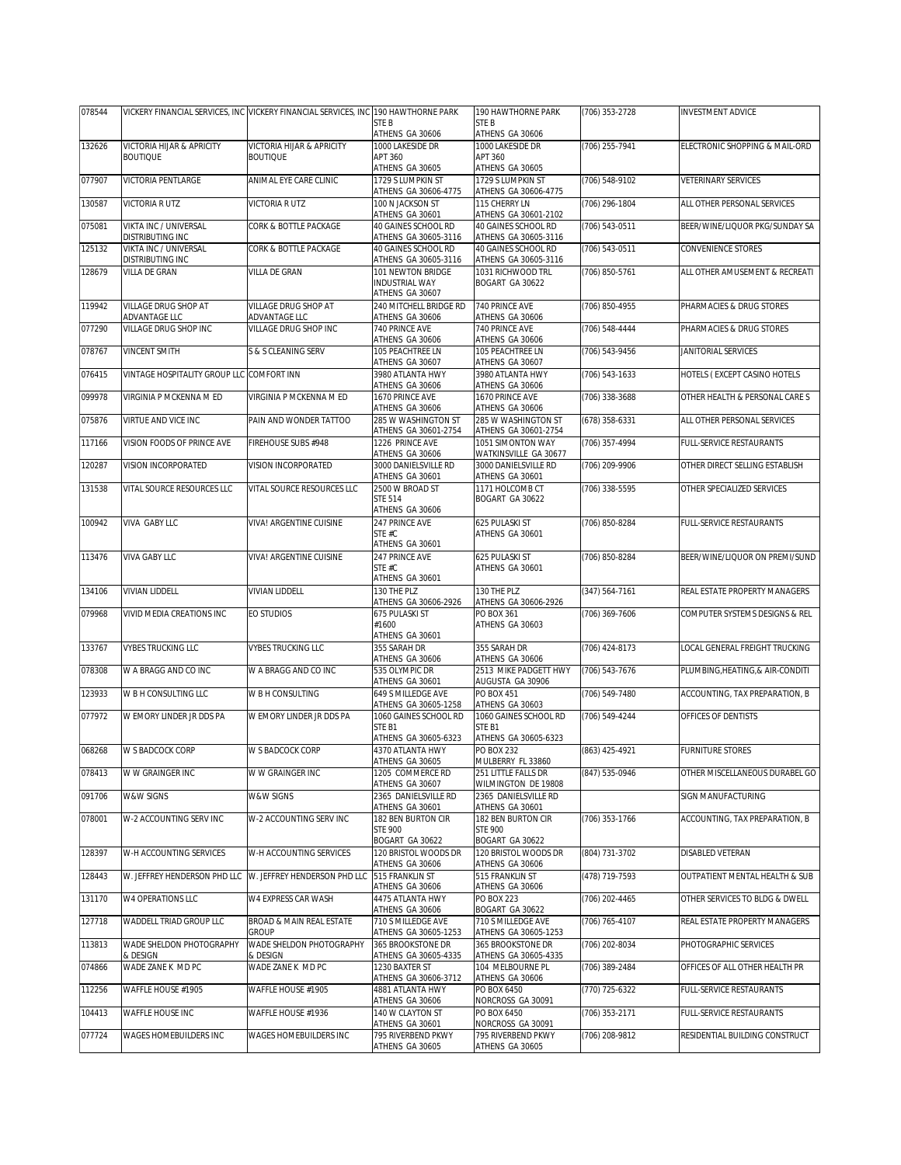| 078544           |                                            | VICKERY FINANCIAL SERVICES, INC VICKERY FINANCIAL SERVICES, INC 190 HAWTHORNE PARK |                                                           | 190 HAWTHORNE PARK                                    | (706) 353-2728                   | <b>INVESTMENT ADVICE</b>                                   |
|------------------|--------------------------------------------|------------------------------------------------------------------------------------|-----------------------------------------------------------|-------------------------------------------------------|----------------------------------|------------------------------------------------------------|
|                  |                                            |                                                                                    | STE B<br>ATHENS GA 30606                                  | STE B<br>ATHENS GA 30606                              |                                  |                                                            |
| 132626           | VICTORIA HIJAR & APRICITY                  | VICTORIA HIJAR & APRICITY                                                          | 1000 LAKESIDE DR                                          | 1000 LAKESIDE DR                                      | (706) 255-7941                   | ELECTRONIC SHOPPING & MAIL-ORD                             |
|                  | <b>BOUTIQUE</b>                            | <b>BOUTIQUE</b>                                                                    | APT 360                                                   | APT 360                                               |                                  |                                                            |
| 077907           | VICTORIA PENTLARGE                         | ANIMAL EYE CARE CLINIC                                                             | ATHENS GA 30605<br>1729 S LUMPKIN ST                      | ATHENS GA 30605<br>1729 S LUMPKIN ST                  | (706) 548-9102                   | <b>VETERINARY SERVICES</b>                                 |
|                  |                                            |                                                                                    | ATHENS GA 30606-4775                                      | ATHENS GA 30606-4775                                  |                                  |                                                            |
| 130587           | VICTORIA R UTZ                             | VICTORIA R UTZ                                                                     | 100 N JACKSON ST<br>ATHENS GA 30601                       | 115 CHERRY LN<br>ATHENS GA 30601-2102                 | (706) 296-1804                   | ALL OTHER PERSONAL SERVICES                                |
| 075081           | VIKTA INC / UNIVERSAL<br>DISTRIBUTING INC  | CORK & BOTTLE PACKAGE                                                              | 40 GAINES SCHOOL RD<br>ATHENS GA 30605-3116               | 40 GAINES SCHOOL RD<br>ATHENS GA 30605-3116           | (706) 543-0511                   | BEER/WINE/LIQUOR PKG/SUNDAY SA                             |
| 125132           | VIKTA INC / UNIVERSAL<br>DISTRIBUTING INC  | CORK & BOTTLE PACKAGE                                                              | 40 GAINES SCHOOL RD<br>ATHENS GA 30605-3116               | 40 GAINES SCHOOL RD<br>ATHENS GA 30605-3116           | (706) 543-0511                   | <b>CONVENIENCE STORES</b>                                  |
| 128679           | VILLA DE GRAN                              | VILLA DE GRAN                                                                      | 101 NEWTON BRIDGE<br>INDUSTRIAL WAY<br>ATHENS GA 30607    | 1031 RICHWOOD TRL<br>BOGART GA 30622                  | (706) 850-5761                   | ALL OTHER AMUSEMENT & RECREATI                             |
| 119942           | VILLAGE DRUG SHOP AT<br>ADVANTAGE LLC      | VILLAGE DRUG SHOP AT<br>ADVANTAGE LLC                                              | 240 MITCHELL BRIDGE RD<br>ATHENS GA 30606                 | 740 PRINCE AVE<br>ATHENS GA 30606                     | (706) 850-4955                   | PHARMACIES & DRUG STORES                                   |
| 077290           | VILLAGE DRUG SHOP INC                      | VILLAGE DRUG SHOP INC                                                              | 740 PRINCE AVE                                            | 740 PRINCE AVE                                        | $(706) 548 - 4444$               | PHARMACIES & DRUG STORES                                   |
| 078767           | <b>VINCENT SMITH</b>                       | S & S CLEANING SERV                                                                | ATHENS GA 30606<br>105 PEACHTREE LN                       | ATHENS GA 30606<br>105 PEACHTREE LN                   | (706) 543-9456                   | JANITORIAL SERVICES                                        |
| 076415           | VINTAGE HOSPITALITY GROUP LLC COMFORT INN  |                                                                                    | ATHENS GA 30607<br>3980 ATLANTA HWY                       | ATHENS GA 30607<br>3980 ATLANTA HWY                   | (706) 543-1633                   | HOTELS (EXCEPT CASINO HOTELS                               |
| 099978           | VIRGINIA P MCKENNA M ED                    | VIRGINIA P MCKENNA M ED                                                            | ATHENS GA 30606<br>1670 PRINCE AVE                        | ATHENS GA 30606<br>1670 PRINCE AVE                    | (706) 338-3688                   | OTHER HEALTH & PERSONAL CARE S                             |
| 075876           | VIRTUE AND VICE INC                        | PAIN AND WONDER TATTOO                                                             | ATHENS GA 30606<br>285 W WASHINGTON ST                    | ATHENS GA 30606<br>285 W WASHINGTON ST                | (678) 358-6331                   | ALL OTHER PERSONAL SERVICES                                |
|                  |                                            |                                                                                    | ATHENS GA 30601-2754                                      | ATHENS GA 30601-2754                                  |                                  |                                                            |
| 117166           | VISION FOODS OF PRINCE AVE                 | FIREHOUSE SUBS #948                                                                | 1226 PRINCE AVE<br>ATHENS GA 30606                        | 1051 SIMONTON WAY<br>WATKINSVILLE GA 30677            | (706) 357-4994                   | <b>FULL-SERVICE RESTAURANTS</b>                            |
| 120287           | VISION INCORPORATED                        | VISION INCORPORATED                                                                | 3000 DANIELSVILLE RD<br>ATHENS GA 30601                   | 3000 DANIELSVILLE RD<br>ATHENS GA 30601               | (706) 209-9906                   | OTHER DIRECT SELLING ESTABLISH                             |
| 131538           | VITAL SOURCE RESOURCES LLC                 | VITAL SOURCE RESOURCES LLC                                                         | 2500 W BROAD ST<br><b>STE 514</b>                         | 1171 HOLCOMB CT<br>BOGART GA 30622                    | $(706)$ 338-5595                 | OTHER SPECIALIZED SERVICES                                 |
|                  |                                            |                                                                                    | ATHENS GA 30606                                           |                                                       |                                  |                                                            |
| 100942           | VIVA GABY LLC                              | <b>VIVA! ARGENTINE CUISINE</b>                                                     | 247 PRINCE AVE<br>STE#C<br>ATHENS GA 30601                | <b>625 PULASKI ST</b><br>ATHENS GA 30601              | (706) 850-8284                   | FULL-SERVICE RESTAURANTS                                   |
| 113476           | VIVA GABY LLC                              | VIVA! ARGENTINE CUISINE                                                            | 247 PRINCE AVE<br>STE#C<br>ATHENS GA 30601                | 625 PULASKI ST<br>ATHENS GA 30601                     | (706) 850-8284                   | BEER/WINE/LIQUOR ON PREMI/SUND                             |
| 134106           | <b>VIVIAN LIDDELL</b>                      | <b>VIVIAN LIDDELL</b>                                                              | 130 THE PLZ                                               | 130 THE PLZ                                           | (347) 564-7161                   | REAL ESTATE PROPERTY MANAGERS                              |
| 079968           | VIVID MEDIA CREATIONS INC                  | EO STUDIOS                                                                         | ATHENS GA 30606-2926<br>675 PULASKI ST<br>#1600           | ATHENS GA 30606-2926<br>PO BOX 361<br>ATHENS GA 30603 | (706) 369-7606                   | COMPUTER SYSTEMS DESIGNS & REL                             |
| 133767           | <b>VYBES TRUCKING LLC</b>                  | <b>VYBES TRUCKING LLC</b>                                                          | ATHENS GA 30601<br>355 SARAH DR                           | 355 SARAH DR                                          | (706) 424-8173                   | LOCAL GENERAL FREIGHT TRUCKING                             |
| 078308           | W A BRAGG AND CO INC                       | W A BRAGG AND CO INC                                                               | ATHENS GA 30606<br>535 OLYMPIC DR                         | ATHENS GA 30606<br>2513 MIKE PADGETT HWY              | (706) 543-7676                   | PLUMBING, HEATING, & AIR-CONDITI                           |
| 123933           | W B H CONSULTING LLC                       | W B H CONSULTING                                                                   | ATHENS GA 30601<br>649 S MILLEDGE AVE                     | AUGUSTA GA 30906<br>PO BOX 451                        | (706) 549-7480                   | ACCOUNTING, TAX PREPARATION, B                             |
| 077972           | W EMORY LINDER JR DDS PA                   | W EMORY LINDER JR DDS PA                                                           | ATHENS GA 30605-1258<br>1060 GAINES SCHOOL RD             | ATHENS GA 30603<br>1060 GAINES SCHOOL RD              |                                  | OFFICES OF DENTISTS                                        |
|                  |                                            |                                                                                    | STE B1<br>ATHENS GA 30605-6323                            | STE B1<br>ATHENS GA 30605-6323                        | (706) 549-4244                   |                                                            |
| 068268           | W S BADCOCK CORP                           | W S BADCOCK CORP                                                                   | 4370 ATLANTA HWY<br>ATHENS GA 30605                       | PO BOX 232<br>MULBERRY FL 33860                       | (863) 425-4921                   | <b>FURNITURE STORES</b>                                    |
| 078413           | W W GRAINGER INC                           | W W GRAINGER INC                                                                   | 1205 COMMERCE RD<br>ATHENS GA 30607                       | 251 LITTLE FALLS DR<br>WILMINGTON DE 19808            | (847) 535-0946                   | OTHER MISCELLANEOUS DURABEL GO                             |
| 091706           | W&W SIGNS                                  | W&W SIGNS                                                                          | 2365 DANIELSVILLE RD<br>ATHENS GA 30601                   | 2365 DANIELSVILLE RD<br>ATHENS GA 30601               |                                  | SIGN MANUFACTURING                                         |
| 078001           | W-2 ACCOUNTING SERV INC                    | W-2 ACCOUNTING SERV INC                                                            | 182 BEN BURTON CIR                                        | 182 BEN BURTON CIR                                    | (706) 353-1766                   | ACCOUNTING, TAX PREPARATION, B                             |
|                  |                                            |                                                                                    |                                                           |                                                       |                                  |                                                            |
| 128397           |                                            |                                                                                    | <b>STE 900</b><br>BOGART GA 30622                         | <b>STE 900</b><br>BOGART GA 30622                     |                                  |                                                            |
|                  | W-H ACCOUNTING SERVICES                    | W-H ACCOUNTING SERVICES                                                            | 120 BRISTOL WOODS DR                                      | 120 BRISTOL WOODS DR                                  | (804) 731-3702                   | DISABLED VETERAN                                           |
| 128443           | W. JEFFREY HENDERSON PHD LLC               | W. JEFFREY HENDERSON PHD LLC                                                       | ATHENS GA 30606<br>515 FRANKLIN ST                        | ATHENS GA 30606<br>515 FRANKLIN ST                    | (478) 719-7593                   | OUTPATIENT MENTAL HEALTH & SUB                             |
| 131170           | W4 OPERATIONS LLC                          | W4 EXPRESS CAR WASH                                                                | ATHENS GA 30606<br>4475 ATLANTA HWY                       | ATHENS GA 30606<br><b>PO BOX 223</b>                  | (706) 202-4465                   | OTHER SERVICES TO BLDG & DWELL                             |
| 127718           | WADDELL TRIAD GROUP LLC                    | BROAD & MAIN REAL ESTATE                                                           | ATHENS GA 30606<br>710 S MILLEDGE AVE                     | BOGART GA 30622<br>710 S MILLEDGE AVE                 | (706) 765-4107                   | REAL ESTATE PROPERTY MANAGERS                              |
| 113813           | WADE SHELDON PHOTOGRAPHY                   | GROUP<br>WADE SHELDON PHOTOGRAPHY                                                  | ATHENS GA 30605-1253<br>365 BROOKSTONE DR                 | ATHENS GA 30605-1253<br>365 BROOKSTONE DR             | (706) 202-8034                   | PHOTOGRAPHIC SERVICES                                      |
| 074866           | & DESIGN<br>WADE ZANE K MD PC              | & DESIGN<br>WADE ZANE K MD PC                                                      | ATHENS GA 30605-4335<br>1230 BAXTER ST                    | ATHENS GA 30605-4335<br>104 MELBOURNE PL              | (706) 389-2484                   | OFFICES OF ALL OTHER HEALTH PR                             |
| 112256           | WAFFLE HOUSE #1905                         | WAFFLE HOUSE #1905                                                                 | ATHENS GA 30606-3712<br>4881 ATLANTA HWY                  | ATHENS GA 30606<br>PO BOX 6450                        | (770) 725-6322                   | FULL-SERVICE RESTAURANTS                                   |
|                  |                                            |                                                                                    | ATHENS GA 30606                                           | NORCROSS GA 30091<br>PO BOX 6450                      |                                  |                                                            |
| 104413<br>077724 | WAFFLE HOUSE INC<br>WAGES HOMEBUILDERS INC | WAFFLE HOUSE #1936<br>WAGES HOMEBUILDERS INC                                       | 140 W CLAYTON ST<br>ATHENS GA 30601<br>795 RIVERBEND PKWY | NORCROSS GA 30091<br>795 RIVERBEND PKWY               | (706) 353-2171<br>(706) 208-9812 | FULL-SERVICE RESTAURANTS<br>RESIDENTIAL BUILDING CONSTRUCT |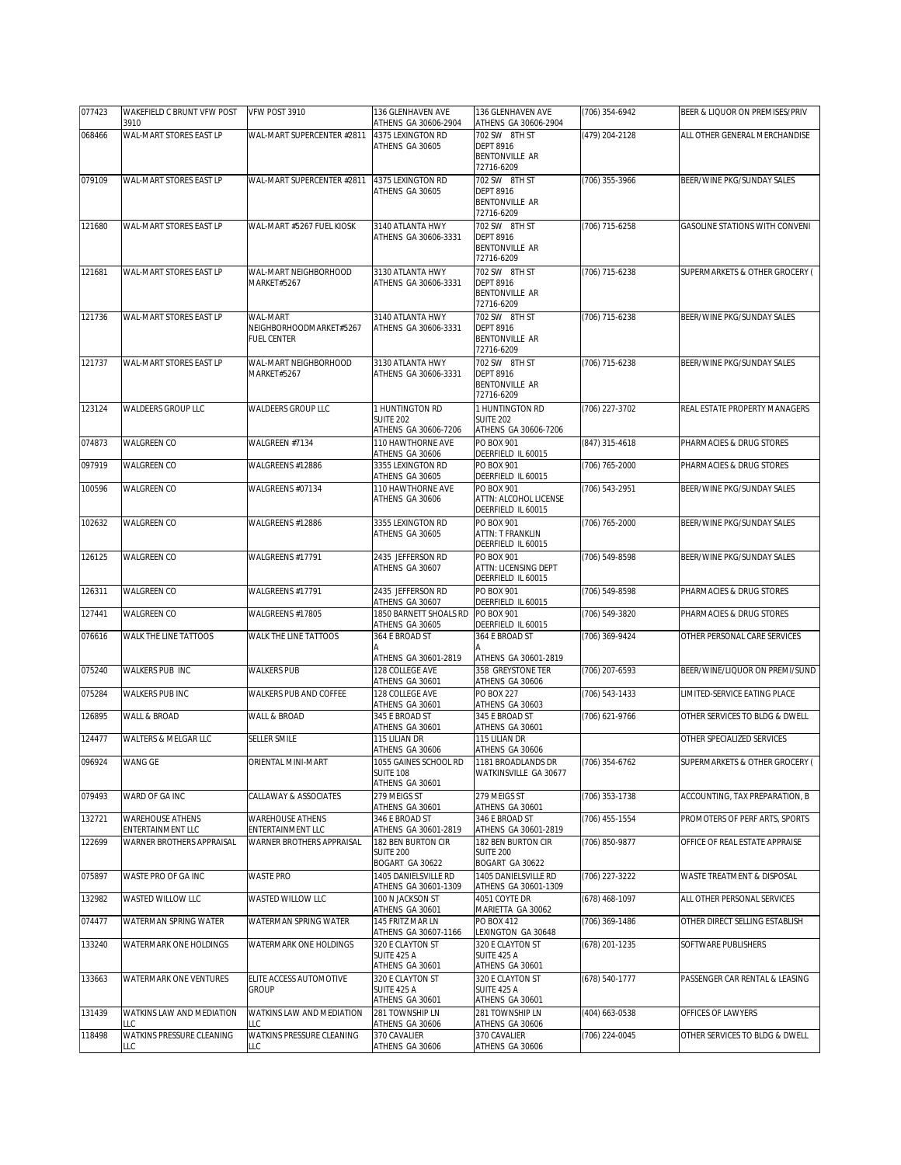| 077423           | WAKEFIELD C BRUNT VFW POST<br>3910                           | VFW POST 3910                                                | 136 GLENHAVEN AVE<br>ATHENS GA 30606-2904                             | 136 GLENHAVEN AVE<br>ATHENS GA 30606-2904                                | (706) 354-6942                   | BEER & LIQUOR ON PREMISES/PRIV                       |
|------------------|--------------------------------------------------------------|--------------------------------------------------------------|-----------------------------------------------------------------------|--------------------------------------------------------------------------|----------------------------------|------------------------------------------------------|
| 068466           | WAL-MART STORES EAST LP                                      | WAL-MART SUPERCENTER #2811                                   | 4375 LEXINGTON RD                                                     | 702 SW 8TH ST                                                            | (479) 204-2128                   | ALL OTHER GENERAL MERCHANDISE                        |
|                  |                                                              |                                                              | ATHENS GA 30605                                                       | <b>DEPT 8916</b><br><b>BENTONVILLE AR</b><br>72716-6209                  |                                  |                                                      |
| 079109           | WAL-MART STORES EAST LP                                      | WAL-MART SUPERCENTER #2811                                   | 4375 LEXINGTON RD                                                     | 702 SW 8TH ST                                                            | (706) 355-3966                   | BEER/WINE PKG/SUNDAY SALES                           |
|                  |                                                              |                                                              | ATHENS GA 30605                                                       | <b>DFPT 8916</b><br><b>BENTONVILLE AR</b><br>72716-6209                  |                                  |                                                      |
| 121680           | WAL-MART STORES EAST LP                                      | WAL-MART #5267 FUEL KIOSK                                    | 3140 ATLANTA HWY<br>ATHENS GA 30606-3331                              | 702 SW 8TH ST<br><b>DEPT 8916</b><br><b>BENTONVILLE AR</b><br>72716-6209 | (706) 715-6258                   | GASOLINE STATIONS WITH CONVENI                       |
| 121681           | WAL-MART STORES EAST LP                                      | WAL-MART NEIGHBORHOOD<br>MARKET#5267                         | 3130 ATLANTA HWY<br>ATHENS GA 30606-3331                              | 702 SW 8TH ST<br><b>DEPT 8916</b><br><b>BENTONVILLE AR</b><br>72716-6209 | (706) 715-6238                   | SUPERMARKETS & OTHER GROCERY (                       |
| 121736           | WAL-MART STORES EAST LP                                      | WAL-MART<br>NEIGHBORHOODMARKET#5267<br><b>FUEL CENTER</b>    | 3140 ATLANTA HWY<br>ATHENS GA 30606-3331                              | 702 SW 8TH ST<br><b>DEPT 8916</b><br><b>BENTONVILLE AR</b><br>72716-6209 | (706) 715-6238                   | BEER/WINE PKG/SUNDAY SALES                           |
| 121737           | WAL-MART STORES EAST LP                                      | WAL-MART NEIGHBORHOOD<br>MARKET#5267                         | 3130 ATLANTA HWY<br>ATHENS GA 30606-3331                              | 702 SW 8TH ST<br><b>DEPT 8916</b><br><b>BENTONVILLE AR</b><br>72716-6209 | (706) 715-6238                   | BEER/WINE PKG/SUNDAY SALES                           |
| 123124           | WALDEERS GROUP LLC                                           | <b>WALDEERS GROUP LLC</b>                                    | 1 HUNTINGTON RD<br><b>SUITE 202</b>                                   | 1 HUNTINGTON RD<br><b>SUITE 202</b>                                      | (706) 227-3702                   | REAL ESTATE PROPERTY MANAGERS                        |
| 074873           | WALGREEN CO                                                  | WALGREEN #7134                                               | ATHENS GA 30606-7206<br>110 HAWTHORNE AVE                             | ATHENS GA 30606-7206<br>PO BOX 901                                       | (847) 315-4618                   | PHARMACIES & DRUG STORES                             |
| 097919           | <b>WALGREEN CO</b>                                           | WALGREENS #12886                                             | ATHENS GA 30606<br>3355 LEXINGTON RD                                  | DEERFIELD IL 60015<br>PO BOX 901                                         | (706) 765-2000                   | PHARMACIES & DRUG STORES                             |
| 100596           | WALGREEN CO                                                  | WALGREENS #07134                                             | ATHENS GA 30605<br>110 HAWTHORNE AVE                                  | DEERFIELD IL 60015<br>PO BOX 901                                         | (706) 543-2951                   | BEER/WINE PKG/SUNDAY SALES                           |
|                  |                                                              |                                                              | ATHENS GA 30606                                                       | ATTN: ALCOHOL LICENSE<br>DEERFIELD IL 60015                              |                                  |                                                      |
| 102632           | <b>WALGREEN CO</b>                                           | WALGREENS #12886                                             | 3355 LEXINGTON RD<br>ATHENS GA 30605                                  | PO BOX 901<br>ATTN: T FRANKLIN<br>DEERFIELD IL 60015                     | (706) 765-2000                   | BEER/WINE PKG/SUNDAY SALES                           |
| 126125           | <b>WALGREEN CO</b>                                           | WALGREENS #17791                                             | 2435 JEFFERSON RD<br>ATHENS GA 30607                                  | PO BOX 901<br>ATTN: LICENSING DEPT<br>DEERFIELD IL 60015                 | (706) 549-8598                   | BEER/WINE PKG/SUNDAY SALES                           |
| 126311           | <b>WALGREEN CO</b>                                           | WALGREENS #17791                                             | 2435 JEFFERSON RD<br>ATHENS GA 30607                                  | PO BOX 901<br>DEERFIELD IL 60015                                         | (706) 549-8598                   | PHARMACIES & DRUG STORES                             |
|                  |                                                              |                                                              |                                                                       |                                                                          |                                  |                                                      |
| 127441           | WALGREEN CO                                                  | WALGREENS #17805                                             | 1850 BARNETT SHOALS RD                                                | PO BOX 901                                                               | (706) 549-3820                   | PHARMACIES & DRUG STORES                             |
| 076616           | WALK THE LINE TATTOOS                                        | WALK THE LINE TATTOOS                                        | ATHENS GA 30605<br>364 E BROAD ST                                     | DEERFIELD IL 60015<br>364 E BROAD ST                                     | (706) 369-9424                   | OTHER PERSONAL CARE SERVICES                         |
| 075240           | WALKERS PUB INC                                              | <b>WALKERS PUB</b>                                           | ATHENS GA 30601-2819<br>128 COLLEGE AVE                               | ATHENS GA 30601-2819<br>358 GREYSTONE TER                                | (706) 207-6593                   | BEER/WINE/LIQUOR ON PREMI/SUND                       |
| 075284           | WALKERS PUB INC                                              | WALKERS PUB AND COFFEE                                       | ATHENS GA 30601<br>128 COLLEGE AVE                                    | ATHENS GA 30606<br><b>PO BOX 227</b>                                     | (706) 543-1433                   | LIMITED-SERVICE EATING PLACE                         |
| 126895           | WALL & BROAD                                                 | WALL & BROAD                                                 | ATHENS GA 30601<br>345 E BROAD ST                                     | ATHENS GA 30603<br>345 E BROAD ST                                        | (706) 621-9766                   | OTHER SERVICES TO BLDG & DWELL                       |
| 124477           | WALTERS & MELGAR LLC                                         | <b>SELLER SMILE</b>                                          | ATHENS GA 30601<br>115 LILIAN DR                                      | ATHENS GA 30601<br>115 LILIAN DR                                         |                                  | OTHER SPECIALIZED SERVICES                           |
| 096924           | <b>WANG GE</b>                                               | ORIENTAL MINI-MART                                           | ATHENS GA 30606<br>1055 GAINES SCHOOL RD<br><b>SUITE 108</b>          | ATHENS GA 30606<br>1181 BROADLANDS DR<br>WATKINSVILLE GA 30677           | (706) 354-6762                   | SUPERMARKETS & OTHER GROCERY (                       |
| 079493           | WARD OF GA INC                                               | CALLAWAY & ASSOCIATES                                        | ATHENS GA 30601<br>279 MEIGS ST                                       | 279 MEIGS ST                                                             |                                  | ACCOUNTING, TAX PREPARATION, B                       |
|                  |                                                              |                                                              | ATHENS GA 30601                                                       | ATHENS GA 30601                                                          | (706) 353-1738                   |                                                      |
| 132721           | <b>WAREHOUSE ATHENS</b><br>ENTERTAINMENT LLC                 | <b>WAREHOUSE ATHENS</b><br>ENTERTAINMENT LLC                 | 346 E BROAD ST<br>ATHENS GA 30601-2819                                | 346 E BROAD ST<br>ATHENS GA 30601-2819                                   | (706) 455-1554                   | PROMOTERS OF PERF ARTS, SPORTS                       |
| 122699           | WARNER BROTHERS APPRAISAL                                    | WARNER BROTHERS APPRAISAL                                    | 182 BEN BURTON CIR<br>SUITE 200<br>BOGART GA 30622                    | 182 BEN BURTON CIR<br><b>SUITE 200</b><br>BOGART GA 30622                | (706) 850-9877                   | OFFICE OF REAL ESTATE APPRAISE                       |
| 075897           | WASTE PRO OF GA INC                                          | <b>WASTE PRO</b>                                             | 1405 DANIELSVILLE RD<br>ATHENS GA 30601-1309                          | 1405 DANIELSVILLE RD<br>ATHENS GA 30601-1309                             | (706) 227-3222                   | WASTE TREATMENT & DISPOSAL                           |
| 132982           | WASTED WILLOW LLC                                            | WASTED WILLOW LLC                                            | 100 N JACKSON ST                                                      | 4051 COYTE DR                                                            | (678) 468-1097                   | ALL OTHER PERSONAL SERVICES                          |
| 074477           | WATERMAN SPRING WATER                                        | WATERMAN SPRING WATER                                        | ATHENS GA 30601<br>145 FRITZ MAR LN                                   | MARIETTA GA 30062<br>PO BOX 412                                          | (706) 369-1486                   | OTHER DIRECT SELLING ESTABLISH                       |
| 133240           | WATERMARK ONE HOLDINGS                                       | WATERMARK ONE HOLDINGS                                       | ATHENS GA 30607-1166<br>320 E CLAYTON ST<br>SUITE 425 A               | LEXINGTON GA 30648<br>320 E CLAYTON ST<br>SUITE 425 A                    | (678) 201-1235                   | SOFTWARE PUBLISHERS                                  |
| 133663           | WATERMARK ONE VENTURES                                       | ELITE ACCESS AUTOMOTIVE<br><b>GROUP</b>                      | ATHENS GA 30601<br>320 E CLAYTON ST<br>SUITE 425 A                    | ATHENS GA 30601<br>320 E CLAYTON ST<br>SUITE 425 A                       | (678) 540-1777                   | PASSENGER CAR RENTAL & LEASING                       |
| 131439<br>118498 | WATKINS LAW AND MEDIATION<br>LC<br>WATKINS PRESSURE CLEANING | WATKINS LAW AND MEDIATION<br>LC<br>WATKINS PRESSURE CLEANING | ATHENS GA 30601<br>281 TOWNSHIP LN<br>ATHENS GA 30606<br>370 CAVALIER | ATHENS GA 30601<br>281 TOWNSHIP LN<br>ATHENS GA 30606<br>370 CAVALIER    | (404) 663-0538<br>(706) 224-0045 | OFFICES OF LAWYERS<br>OTHER SERVICES TO BLDG & DWELL |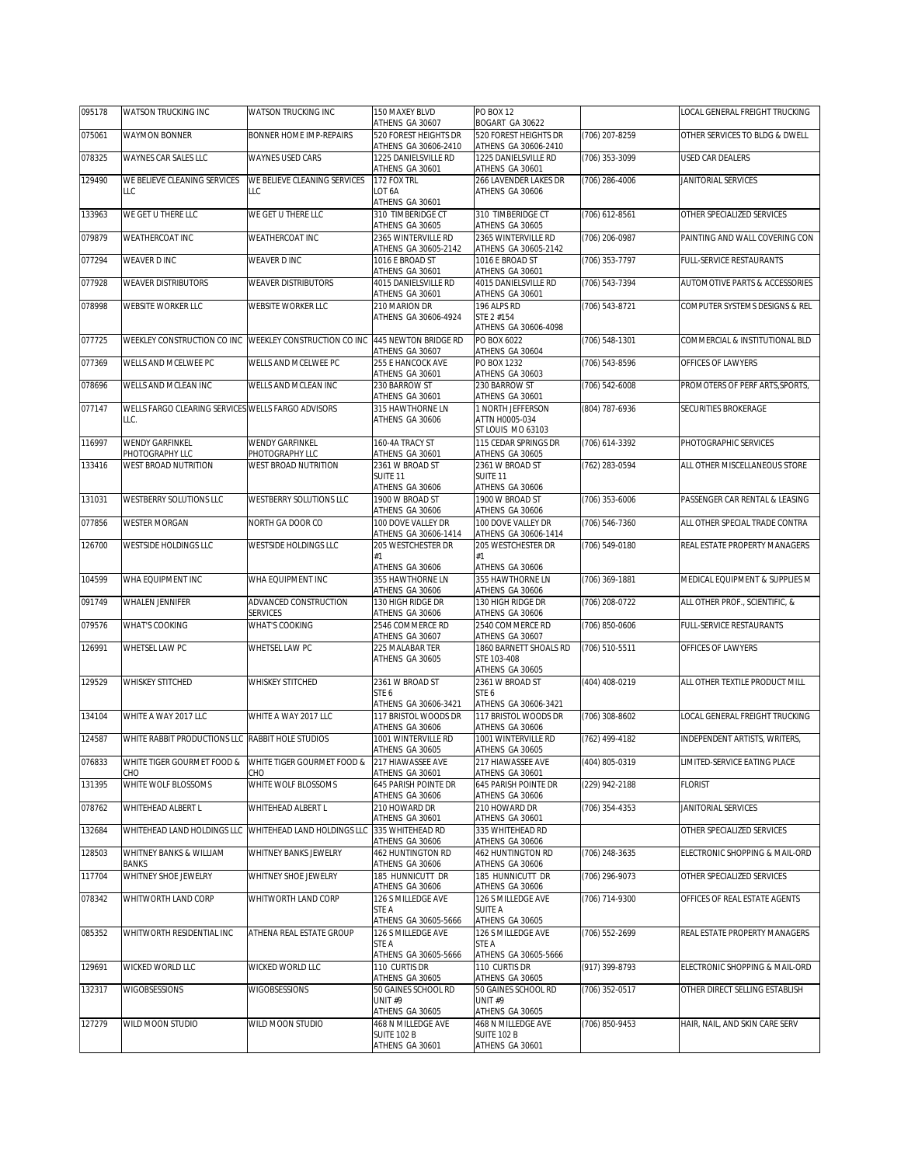| 095178 | WATSON TRUCKING INC                                     | WATSON TRUCKING INC                                                            | 150 MAXEY BLVD<br>ATHENS GA 30607             | PO BOX 12<br>BOGART GA 30622                  |                    | LOCAL GENERAL FREIGHT TRUCKING  |
|--------|---------------------------------------------------------|--------------------------------------------------------------------------------|-----------------------------------------------|-----------------------------------------------|--------------------|---------------------------------|
| 075061 | <b>WAYMON BONNER</b>                                    | <b>BONNER HOME IMP-REPAIRS</b>                                                 | 520 FOREST HEIGHTS DR<br>ATHENS GA 30606-2410 | 520 FOREST HEIGHTS DR<br>ATHENS GA 30606-2410 | (706) 207-8259     | OTHER SERVICES TO BLDG & DWELL  |
| 078325 | WAYNES CAR SALES LLC                                    | <b>WAYNES USED CARS</b>                                                        | 1225 DANIELSVILLE RD<br>ATHENS GA 30601       | 1225 DANIELSVILLE RD<br>ATHENS GA 30601       | (706) 353-3099     | USED CAR DEALERS                |
| 129490 | WE BELIEVE CLEANING SERVICES                            | WE BELIEVE CLEANING SERVICES                                                   | 172 FOX TRL                                   | 266 LAVENDER LAKES DR                         | $(706)$ 286-4006   | JANITORIAL SERVICES             |
|        | LLC                                                     | LLC                                                                            | LOT <sub>6</sub> A<br>ATHENS GA 30601         | ATHENS GA 30606                               |                    |                                 |
| 133963 | WE GET U THERE LLC                                      | WE GET U THERE LLC                                                             | 310 TIMBERIDGE CT<br>ATHENS GA 30605          | 310 TIMBERIDGE CT<br>ATHENS GA 30605          | (706) 612-8561     | OTHER SPECIALIZED SERVICES      |
| 079879 | WEATHERCOAT INC                                         | WEATHERCOAT INC                                                                | 2365 WINTERVILLE RD<br>ATHENS GA 30605-2142   | 2365 WINTERVILLE RD<br>ATHENS GA 30605-2142   | (706) 206-0987     | PAINTING AND WALL COVERING CON  |
| 077294 | WEAVER D INC                                            | WEAVER D INC                                                                   | 1016 E BROAD ST                               | 1016 E BROAD ST                               | $(706)$ 353-7797   | FULL-SERVICE RESTAURANTS        |
| 077928 | <b>WEAVER DISTRIBUTORS</b>                              | <b>WEAVER DISTRIBUTORS</b>                                                     | ATHENS GA 30601<br>4015 DANIELSVILLE RD       | ATHENS GA 30601<br>4015 DANIELSVILLE RD       | (706) 543-7394     | AUTOMOTIVE PARTS & ACCESSORIES  |
| 078998 | WEBSITE WORKER LLC                                      | WEBSITE WORKER LLC                                                             | ATHENS GA 30601<br>210 MARION DR              | ATHENS GA 30601<br>196 ALPS RD                | (706) 543-8721     | COMPUTER SYSTEMS DESIGNS & REL  |
|        |                                                         |                                                                                | ATHENS GA 30606-4924                          | STE 2 #154<br>ATHENS GA 30606-4098            |                    |                                 |
| 077725 | WEEKLEY CONSTRUCTION CO INC WEEKLEY CONSTRUCTION CO INC |                                                                                | 445 NEWTON BRIDGE RD                          | PO BOX 6022                                   | $(706) 548 - 1301$ | COMMERCIAL & INSTITUTIONAL BLD  |
| 077369 | WELLS AND MCELWEE PC                                    | WELLS AND MCELWEE PC                                                           | ATHENS GA 30607<br>255 E HANCOCK AVE          | ATHENS GA 30604<br>PO BOX 1232                | (706) 543-8596     | OFFICES OF LAWYERS              |
| 078696 | WELLS AND MCLEAN INC                                    | WELLS AND MCLEAN INC                                                           | ATHENS GA 30601<br>230 BARROW ST              | ATHENS GA 30603<br>230 BARROW ST              | (706) 542-6008     | PROMOTERS OF PERF ARTS, SPORTS, |
| 077147 | WELLS FARGO CLEARING SERVICES WELLS FARGO ADVISORS      |                                                                                | ATHENS GA 30601<br>315 HAWTHORNE LN           | ATHENS GA 30601<br>1 NORTH JEFFERSON          | (804) 787-6936     | SECURITIES BROKERAGE            |
|        | LLC.                                                    |                                                                                | ATHENS GA 30606                               | ATTN H0005-034                                |                    |                                 |
| 116997 | <b>WENDY GARFINKEL</b>                                  | WENDY GARFINKEL                                                                | 160-4A TRACY ST                               | ST LOUIS MO 63103<br>115 CEDAR SPRINGS DR     | (706) 614-3392     | PHOTOGRAPHIC SERVICES           |
|        | PHOTOGRAPHY LLC                                         | PHOTOGRAPHY LLC<br><b>WEST BROAD NUTRITION</b>                                 | ATHENS GA 30601                               | ATHENS GA 30605                               |                    |                                 |
| 133416 | WEST BROAD NUTRITION                                    |                                                                                | 2361 W BROAD ST<br>SUITE 11                   | 2361 W BROAD ST<br>SUITE <sub>11</sub>        | (762) 283-0594     | ALL OTHER MISCELLANEOUS STORE   |
| 131031 | WESTBERRY SOLUTIONS LLC                                 | WESTBERRY SOLUTIONS LLC                                                        | ATHENS GA 30606<br>1900 W BROAD ST            | ATHENS GA 30606<br>1900 W BROAD ST            | (706) 353-6006     | PASSENGER CAR RENTAL & LEASING  |
|        |                                                         |                                                                                | ATHENS GA 30606                               | ATHENS GA 30606                               |                    |                                 |
| 077856 | <b>WESTER MORGAN</b>                                    | NORTH GA DOOR CO                                                               | 100 DOVE VALLEY DR<br>ATHENS GA 30606-1414    | 100 DOVE VALLEY DR<br>ATHENS GA 30606-1414    | (706) 546-7360     | ALL OTHER SPECIAL TRADE CONTRA  |
| 126700 | WESTSIDE HOLDINGS LLC                                   | WESTSIDE HOLDINGS LLC                                                          | 205 WESTCHESTER DR<br>#1                      | 205 WESTCHESTER DR<br>#1                      | (706) 549-0180     | REAL ESTATE PROPERTY MANAGERS   |
|        |                                                         |                                                                                | ATHENS GA 30606                               | ATHENS GA 30606                               |                    |                                 |
| 104599 | WHA EQUIPMENT INC                                       | WHA EQUIPMENT INC                                                              | 355 HAWTHORNE LN<br>ATHENS GA 30606           | 355 HAWTHORNE LN<br>ATHENS GA 30606           | (706) 369-1881     | MEDICAL EQUIPMENT & SUPPLIES M  |
| 091749 | WHALEN JENNIFER                                         | ADVANCED CONSTRUCTION<br><b>SERVICES</b>                                       | 130 HIGH RIDGE DR<br>ATHENS GA 30606          | 130 HIGH RIDGE DR<br>ATHENS GA 30606          | (706) 208-0722     | ALL OTHER PROF., SCIENTIFIC, &  |
| 079576 | WHAT'S COOKING                                          | <b>WHAT'S COOKING</b>                                                          | 2546 COMMERCE RD<br>ATHENS GA 30607           | 2540 COMMERCE RD<br>ATHENS GA 30607           | (706) 850-0606     | FULL-SERVICE RESTAURANTS        |
| 126991 | WHETSEL LAW PC                                          | WHETSEL LAW PC                                                                 | 225 MALABAR TER                               | 1860 BARNETT SHOALS RD                        | (706) 510-5511     | OFFICES OF LAWYERS              |
|        |                                                         |                                                                                | ATHENS GA 30605                               | STE 103-408<br>ATHENS GA 30605                |                    |                                 |
| 129529 | WHISKEY STITCHED                                        | <b>WHISKEY STITCHED</b>                                                        | 2361 W BROAD ST<br>STE 6                      | 2361 W BROAD ST<br>STE 6                      | (404) 408-0219     | ALL OTHER TEXTILE PRODUCT MILL  |
|        |                                                         |                                                                                | ATHENS GA 30606-3421                          | ATHENS GA 30606-3421                          |                    |                                 |
| 134104 | WHITE A WAY 2017 LLC                                    | WHITE A WAY 2017 LLC                                                           | 117 BRISTOL WOODS DR<br>ATHENS GA 30606       | 117 BRISTOL WOODS DR<br>ATHENS GA 30606       | (706) 308-8602     | LOCAL GENERAL FREIGHT TRUCKING  |
| 124587 | WHITE RABBIT PRODUCTIONS LLC RABBIT HOLE STUDIOS        |                                                                                | 1001 WINTERVILLE RD<br>ATHENS GA 30605        | 1001 WINTERVILLE RD<br>ATHENS GA 30605        | (762) 499-4182     | INDEPENDENT ARTISTS, WRITERS,   |
| 076833 | СНО                                                     | WHITE TIGER GOURMET FOOD & WHITE TIGER GOURMET FOOD & 217 HIAWASSEE AVE<br>CHO | ATHENS GA 30601                               | 217 HIAWASSEE AVE<br>ATHENS GA 30601          | (404) 805-0319     | LIMITED-SERVICE EATING PLACE    |
| 131395 | WHITE WOLF BLOSSOMS                                     | WHITE WOLF BLOSSOMS                                                            | 645 PARISH POINTE DR<br>ATHENS GA 30606       | 645 PARISH POINTE DR<br>ATHENS GA 30606       | (229) 942-2188     | <b>FLORIST</b>                  |
| 078762 | WHITEHEAD ALBERT L                                      | WHITEHEAD ALBERT L                                                             | 210 HOWARD DR<br>ATHENS GA 30601              | 210 HOWARD DR                                 | (706) 354-4353     | JANITORIAL SERVICES             |
| 132684 |                                                         | WHITEHEAD LAND HOLDINGS LLC WHITEHEAD LAND HOLDINGS LLC                        | 335 WHITEHEAD RD                              | ATHENS GA 30601<br>335 WHITEHEAD RD           |                    | OTHER SPECIALIZED SERVICES      |
| 128503 | WHITNEY BANKS & WILLIAM                                 | WHITNEY BANKS JEWELRY                                                          | ATHENS GA 30606<br><b>462 HUNTINGTON RD</b>   | ATHENS GA 30606<br><b>462 HUNTINGTON RD</b>   | (706) 248-3635     | ELECTRONIC SHOPPING & MAIL-ORD  |
| 117704 | BANKS<br>WHITNEY SHOE JEWELRY                           | WHITNEY SHOE JEWELRY                                                           | ATHENS GA 30606<br>185 HUNNICUTT DR           | ATHENS GA 30606<br>185 HUNNICUTT DR           | (706) 296-9073     | OTHER SPECIALIZED SERVICES      |
| 078342 | WHITWORTH LAND CORP                                     | WHITWORTH LAND CORP                                                            | ATHENS GA 30606<br>126 S MILLEDGE AVE         | ATHENS GA 30606<br>126 S MILLEDGE AVE         | (706) 714-9300     | OFFICES OF REAL ESTATE AGENTS   |
|        |                                                         |                                                                                | STE A<br>ATHENS GA 30605-5666                 | SUITE A<br>ATHENS GA 30605                    |                    |                                 |
| 085352 | WHITWORTH RESIDENTIAL INC                               | ATHENA REAL ESTATE GROUP                                                       | 126 S MILLEDGE AVE                            | 126 S MILLEDGE AVE                            | (706) 552-2699     | REAL ESTATE PROPERTY MANAGERS   |
|        |                                                         |                                                                                | STE A<br>ATHENS GA 30605-5666                 | STE A<br>ATHENS GA 30605-5666                 |                    |                                 |
| 129691 | WICKED WORLD LLC                                        | WICKED WORLD LLC                                                               | 110 CURTIS DR<br>ATHENS GA 30605              | 110 CURTIS DR<br>ATHENS GA 30605              | (917) 399-8793     | ELECTRONIC SHOPPING & MAIL-ORD  |
| 132317 | WIGOBSESSIONS                                           | <b>WIGOBSESSIONS</b>                                                           | 50 GAINES SCHOOL RD                           | 50 GAINES SCHOOL RD                           | (706) 352-0517     | OTHER DIRECT SELLING ESTABLISH  |
|        |                                                         |                                                                                | UNIT#9<br>ATHENS GA 30605                     | UNIT#9<br>ATHENS GA 30605                     |                    |                                 |
| 127279 | WILD MOON STUDIO                                        | WILD MOON STUDIO                                                               | 468 N MILLEDGE AVE<br><b>SUITE 102 B</b>      | 468 N MILLEDGE AVE<br>SUITE 102 B             | (706) 850-9453     | HAIR, NAIL, AND SKIN CARE SERV  |
|        |                                                         |                                                                                | ATHENS GA 30601                               | ATHENS GA 30601                               |                    |                                 |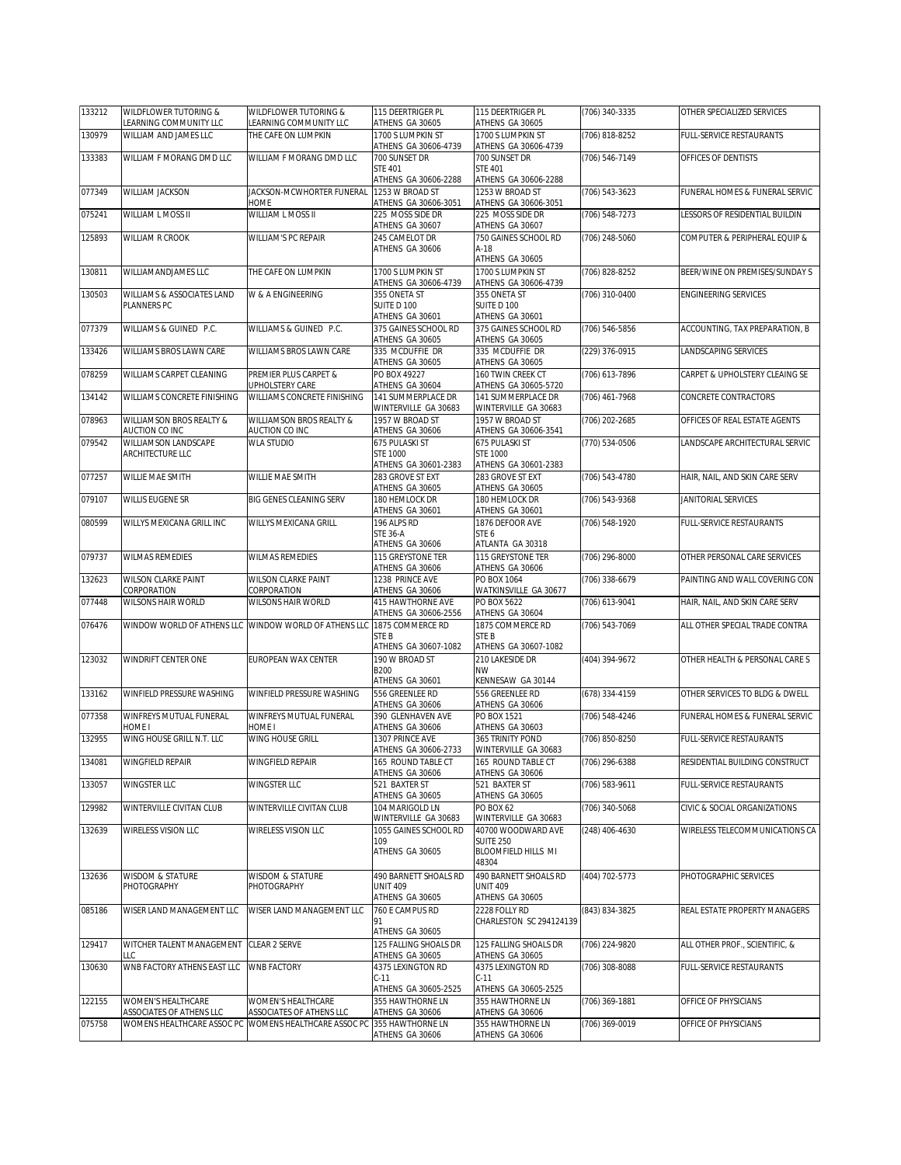| 133212 | WILDFLOWER TUTORING &<br>LEARNING COMMUNITY LLC        | WILDFLOWER TUTORING &<br>LEARNING COMMUNITY LLC        | 115 DEERTRIGER PL<br>ATHENS GA 30605                                    | 115 DEERTRIGER PL<br>ATHENS GA 30605                                                           | (706) 340-3335     | OTHER SPECIALIZED SERVICES     |
|--------|--------------------------------------------------------|--------------------------------------------------------|-------------------------------------------------------------------------|------------------------------------------------------------------------------------------------|--------------------|--------------------------------|
| 130979 | WILLIAM AND JAMES LLC                                  | THE CAFE ON LUMPKIN                                    | 1700 S LUMPKIN ST<br>ATHENS GA 30606-4739                               | 1700 S LUMPKIN ST<br>ATHENS GA 30606-4739                                                      | (706) 818-8252     | FULL-SERVICE RESTAURANTS       |
| 133383 | WILLIAM F MORANG DMD LLC                               | WILLIAM F MORANG DMD LLC                               | 700 SUNSET DR<br><b>STE 401</b>                                         | 700 SUNSET DR<br><b>STE 401</b>                                                                | $(706) 546 - 7149$ | OFFICES OF DENTISTS            |
| 077349 | WILLIAM JACKSON                                        | JACKSON-MCWHORTER FUNERAL                              | ATHENS GA 30606-2288<br>1253 W BROAD ST                                 | ATHENS GA 30606-2288<br>1253 W BROAD ST                                                        | (706) 543-3623     | FUNERAL HOMES & FUNERAL SERVIC |
| 075241 | WILLIAM L MOSS II                                      | HOME<br>WILLIAM L MOSS II                              | ATHENS GA 30606-3051<br>225 MOSS SIDE DR                                | ATHENS GA 30606-3051<br>225 MOSS SIDE DR                                                       | $(706)$ 548-7273   | LESSORS OF RESIDENTIAL BUILDIN |
| 125893 | WILLIAM R CROOK                                        | WILLIAM'S PC REPAIR                                    | ATHENS GA 30607<br>245 CAMELOT DR<br>ATHENS GA 30606                    | ATHENS GA 30607<br>750 GAINES SCHOOL RD<br>A-18                                                | (706) 248-5060     | COMPUTER & PERIPHERAL EQUIP &  |
| 130811 | WILLIAMANDJAMES LLC                                    | THE CAFE ON LUMPKIN                                    | 1700 S LUMPKIN ST                                                       | ATHENS GA 30605<br>1700 S LUMPKIN ST                                                           | (706) 828-8252     | BEER/WINE ON PREMISES/SUNDAY S |
| 130503 | WILLIAMS & ASSOCIATES LAND                             | W & A ENGINEERING                                      | ATHENS GA 30606-4739<br>355 ONETA ST                                    | ATHENS GA 30606-4739<br>355 ONETA ST                                                           | (706) 310-0400     | <b>ENGINEERING SERVICES</b>    |
|        | PLANNERS PC                                            |                                                        | SUITE D 100<br>ATHENS GA 30601                                          | SUITE D 100<br>ATHENS GA 30601                                                                 |                    |                                |
| 077379 | WILLIAMS & GUINED P.C.                                 | WILLIAMS & GUINED P.C.                                 | 375 GAINES SCHOOL RD<br>ATHENS GA 30605                                 | 375 GAINES SCHOOL RD<br>ATHENS GA 30605                                                        | (706) 546-5856     | ACCOUNTING, TAX PREPARATION, B |
| 133426 | WILLIAMS BROS LAWN CARE                                | WILLIAMS BROS LAWN CARE                                | 335 MCDUFFIE DR<br>ATHENS GA 30605                                      | 335 MCDUFFIE DR<br>ATHENS GA 30605                                                             | (229) 376-0915     | LANDSCAPING SERVICES           |
| 078259 | WILLIAMS CARPET CLEANING                               | PREMIER PLUS CARPET &<br>UPHOLSTERY CARE               | PO BOX 49227<br>ATHENS GA 30604                                         | 160 TWIN CREEK CT<br>ATHENS GA 30605-5720                                                      | (706) 613-7896     | CARPET & UPHOLSTERY CLEAING SE |
| 134142 | WILLIAMS CONCRETE FINISHING                            | WILLIAMS CONCRETE FINISHING                            | 141 SUMMERPLACE DR<br>WINTERVILLE GA 30683                              | 141 SUMMERPLACE DR<br>WINTERVILLE GA 30683                                                     | (706) 461-7968     | CONCRETE CONTRACTORS           |
| 078963 | <b>WILLIAMSON BROS REALTY &amp;</b><br>AUCTION CO INC  | WILLIAMSON BROS REALTY &                               | 1957 W BROAD ST                                                         | 1957 W BROAD ST                                                                                | (706) 202-2685     | OFFICES OF REAL ESTATE AGENTS  |
| 079542 | WILLIAMSON LANDSCAPE                                   | AUCTION CO INC<br><b>WLA STUDIO</b>                    | ATHENS GA 30606<br>675 PULASKI ST                                       | ATHENS GA 30606-3541<br>675 PULASKI ST                                                         | (770) 534-0506     | LANDSCAPE ARCHITECTURAL SERVIC |
|        | ARCHITECTURE LLC                                       |                                                        | STE 1000<br>ATHENS GA 30601-2383                                        | <b>STE 1000</b><br>ATHENS GA 30601-2383                                                        |                    |                                |
| 077257 | WILLIE MAE SMITH                                       | WILLIE MAE SMITH                                       | 283 GROVE ST EXT<br>ATHENS GA 30605                                     | 283 GROVE ST EXT<br>ATHENS GA 30605                                                            | (706) 543-4780     | HAIR, NAIL, AND SKIN CARE SERV |
| 079107 | WILLIS EUGENE SR                                       | BIG GENES CLEANING SERV                                | 180 HEMLOCK DR<br>ATHENS GA 30601                                       | 180 HEMLOCK DR<br>ATHENS GA 30601                                                              | (706) 543-9368     | JANITORIAL SERVICES            |
| 080599 | WILLYS MEXICANA GRILL INC                              | WILLYS MEXICANA GRILL                                  | 196 ALPS RD<br><b>STE 36-A</b>                                          | 1876 DEFOOR AVE<br>STE 6                                                                       | (706) 548-1920     | FULL-SERVICE RESTAURANTS       |
| 079737 | <b>WILMAS REMEDIES</b>                                 | <b>WILMAS REMEDIES</b>                                 | ATHENS GA 30606<br>115 GREYSTONE TER                                    | ATLANTA GA 30318<br>115 GREYSTONE TER                                                          | (706) 296-8000     | OTHER PERSONAL CARE SERVICES   |
| 132623 | <b>WILSON CLARKE PAINT</b>                             | <b>WILSON CLARKE PAINT</b>                             | ATHENS GA 30606<br>1238 PRINCE AVE                                      | ATHENS GA 30606<br>PO BOX 1064                                                                 | (706) 338-6679     | PAINTING AND WALL COVERING CON |
|        | CORPORATION                                            | CORPORATION                                            | ATHENS GA 30606                                                         | WATKINSVILLE GA 30677                                                                          |                    |                                |
| 077448 | WILSONS HAIR WORLD                                     | WILSONS HAIR WORLD                                     | 415 HAWTHORNE AVE<br>ATHENS GA 30606-2556                               | PO BOX 5622<br>ATHENS GA 30604                                                                 | (706) 613-9041     | HAIR, NAIL, AND SKIN CARE SERV |
| 076476 |                                                        | WINDOW WORLD OF ATHENS LLC WINDOW WORLD OF ATHENS LLC  | 1875 COMMERCE RD<br>STE B<br>ATHENS GA 30607-1082                       | 1875 COMMERCE RD<br>STE B<br>ATHENS GA 30607-1082                                              | (706) 543-7069     | ALL OTHER SPECIAL TRADE CONTRA |
| 123032 | WINDRIFT CENTER ONE                                    | EUROPEAN WAX CENTER                                    | 190 W BROAD ST<br><b>B200</b><br>ATHENS GA 30601                        | 210 LAKESIDE DR<br>NW<br>KENNESAW GA 30144                                                     | (404) 394-9672     | OTHER HEALTH & PERSONAL CARE S |
| 133162 | WINFIELD PRESSURE WASHING                              | WINFIELD PRESSURE WASHING                              | 556 GREENLEE RD<br>ATHENS GA 30606                                      | 556 GREENLEE RD<br>ATHENS GA 30606                                                             | (678) 334-4159     | OTHER SERVICES TO BLDG & DWELL |
| 077358 | WINFREYS MUTUAL FUNERAL<br>HOME I                      | WINFREYS MUTUAL FUNERAL<br>HOME I                      | 390 GLENHAVEN AVE<br>ATHENS GA 30606                                    | PO BOX 1521<br>ATHENS GA 30603                                                                 | (706) 548-4246     | FUNERAL HOMES & FUNERAL SERVIC |
| 132955 | WING HOUSE GRILL N.T. LLC                              | WING HOUSE GRILL                                       | 1307 PRINCE AVE<br>ATHENS GA 30606-2733                                 | 365 TRINITY POND<br>WINTERVILLE GA 30683                                                       | (706) 850-8250     | FULL-SERVICE RESTAURANTS       |
| 134081 | WINGFIELD REPAIR                                       | WINGFIELD REPAIR                                       | 165 ROUND TABLE CT<br>ATHENS GA 30606                                   | 165 ROUND TABLE CT                                                                             | (706) 296-6388     | RESIDENTIAL BUILDING CONSTRUCT |
| 133057 | WINGSTER LLC                                           | WINGSTER LLC                                           | 521 BAXTER ST                                                           | ATHENS GA 30606<br>521 BAXTER ST                                                               | (706) 583-9611     | FULL-SERVICE RESTAURANTS       |
| 129982 | WINTERVILLE CIVITAN CLUB                               | WINTERVILLE CIVITAN CLUB                               | ATHENS GA 30605<br>104 MARIGOLD LN                                      | ATHENS GA 30605<br>PO BOX 62                                                                   | (706) 340-5068     | CIVIC & SOCIAL ORGANIZATIONS   |
| 132639 | <b>WIRELESS VISION LLC</b>                             | <b>WIRELESS VISION LLC</b>                             | WINTERVILLE GA 30683<br>1055 GAINES SCHOOL RD<br>109<br>ATHENS GA 30605 | WINTERVILLE GA 30683<br>40700 WOODWARD AVE<br><b>SUITE 250</b><br>BLOOMFIELD HILLS MI<br>48304 | (248) 406-4630     | WIRELESS TELECOMMUNICATIONS CA |
| 132636 | WISDOM & STATURE<br>PHOTOGRAPHY                        | WISDOM & STATURE<br>PHOTOGRAPHY                        | 490 BARNETT SHOALS RD<br><b>UNIT 409</b><br>ATHENS GA 30605             | 490 BARNETT SHOALS RD<br><b>UNIT 409</b><br>ATHENS GA 30605                                    | (404) 702-5773     | PHOTOGRAPHIC SERVICES          |
| 085186 | WISER LAND MANAGEMENT LLC                              | WISER LAND MANAGEMENT LLC                              | 760 E CAMPUS RD<br>91                                                   | 2228 FOLLY RD<br>CHARLESTON SC 294124139                                                       | (843) 834-3825     | REAL ESTATE PROPERTY MANAGERS  |
| 129417 | WITCHER TALENT MANAGEMENT<br>LLC                       | CLEAR 2 SERVE                                          | ATHENS GA 30605<br>125 FALLING SHOALS DR<br>ATHENS GA 30605             | 125 FALLING SHOALS DR<br>ATHENS GA 30605                                                       | (706) 224-9820     | ALL OTHER PROF., SCIENTIFIC, & |
| 130630 | WNB FACTORY ATHENS EAST LLC                            | <b>WNB FACTORY</b>                                     | 4375 LEXINGTON RD<br>C-11<br>ATHENS GA 30605-2525                       | 4375 LEXINGTON RD<br>C-11<br>ATHENS GA 30605-2525                                              | (706) 308-8088     | FULL-SERVICE RESTAURANTS       |
| 122155 | WOMEN'S HEALTHCARE                                     | WOMEN'S HEALTHCARE                                     | 355 HAWTHORNE LN                                                        | 355 HAWTHORNE LN                                                                               | (706) 369-1881     | OFFICE OF PHYSICIANS           |
| 075758 | ASSOCIATES OF ATHENS LLC<br>WOMENS HEALTHCARE ASSOC PC | ASSOCIATES OF ATHENS LLC<br>WOMENS HEALTHCARE ASSOC PC | ATHENS GA 30606<br>355 HAWTHORNE LN<br>ATHENS GA 30606                  | ATHENS GA 30606<br>355 HAWTHORNE LN<br>ATHENS GA 30606                                         | (706) 369-0019     | OFFICE OF PHYSICIANS           |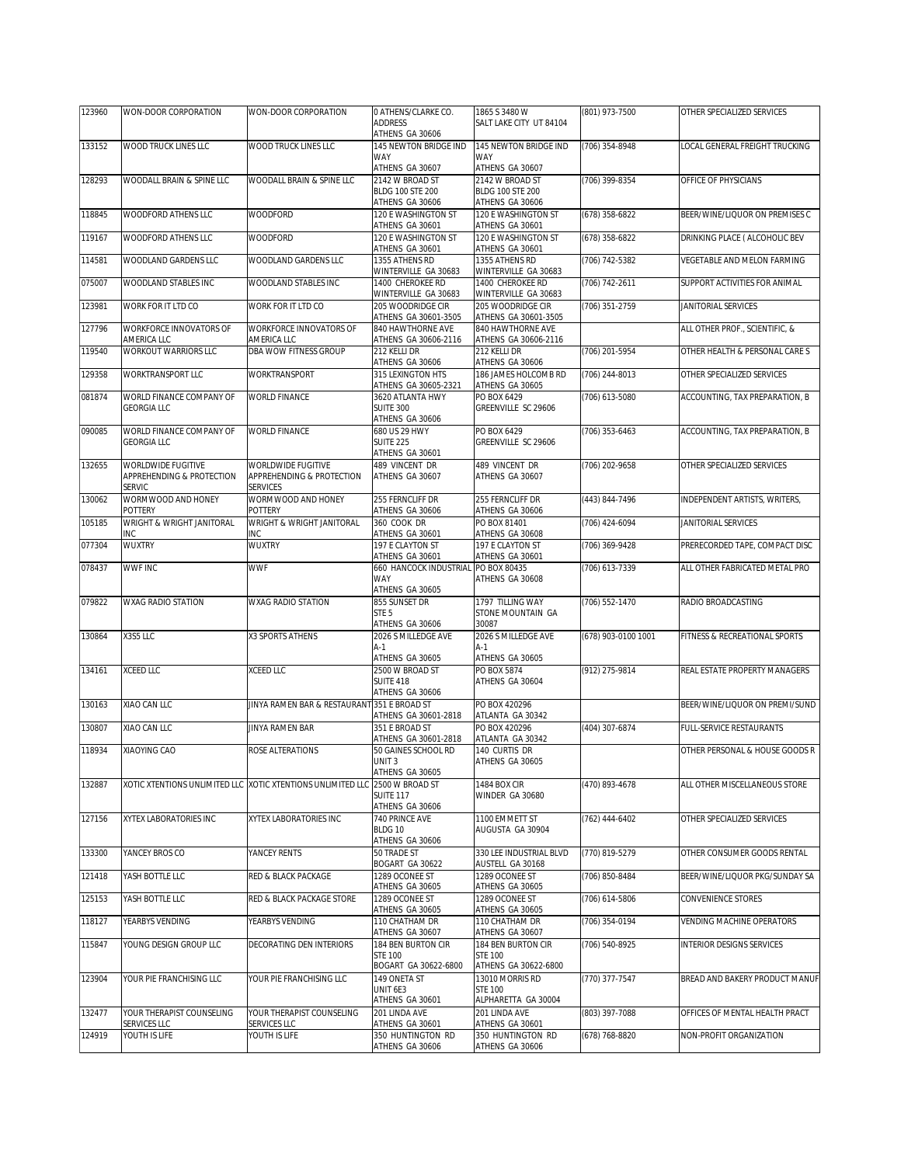| 123960 | WON-DOOR CORPORATION                       | WON-DOOR CORPORATION                                        | O ATHENS/CLARKE CO.                        | 1865 S 3480 W                              | (801) 973-7500      | OTHER SPECIALIZED SERVICES       |
|--------|--------------------------------------------|-------------------------------------------------------------|--------------------------------------------|--------------------------------------------|---------------------|----------------------------------|
|        |                                            |                                                             | <b>ADDRESS</b>                             | SALT LAKE CITY UT 84104                    |                     |                                  |
| 133152 | WOOD TRUCK LINES LLC                       | WOOD TRUCK LINES LLC                                        | ATHENS GA 30606<br>145 NEWTON BRIDGE IND   | 145 NEWTON BRIDGE IND                      | (706) 354-8948      | LOCAL GENERAL FREIGHT TRUCKING   |
|        |                                            |                                                             | <b>WAY</b>                                 | WAY                                        |                     |                                  |
|        |                                            |                                                             | ATHENS GA 30607                            | ATHENS GA 30607                            |                     |                                  |
| 128293 | WOODALL BRAIN & SPINE LLC                  | WOODALL BRAIN & SPINE LLC                                   | 2142 W BROAD ST                            | 2142 W BROAD ST                            | (706) 399-8354      | OFFICE OF PHYSICIANS             |
|        |                                            |                                                             | <b>BLDG 100 STE 200</b><br>ATHENS GA 30606 | <b>BLDG 100 STE 200</b><br>ATHENS GA 30606 |                     |                                  |
| 118845 | <b>WOODFORD ATHENS LLC</b>                 | <b>WOODFORD</b>                                             | 120 E WASHINGTON ST                        | 120 E WASHINGTON ST                        | (678) 358-6822      | BEER/WINE/LIQUOR ON PREMISES C   |
|        |                                            |                                                             | ATHENS GA 30601                            | ATHENS GA 30601                            |                     |                                  |
| 119167 | WOODFORD ATHENS LLC                        | WOODFORD                                                    | 120 E WASHINGTON ST                        | 120 E WASHINGTON ST                        | (678) 358-6822      | DRINKING PLACE ( ALCOHOLIC BEV   |
|        | WOODLAND GARDENS LLC                       | WOODLAND GARDENS LLC                                        | ATHENS GA 30601<br>1355 ATHENS RD          | ATHENS GA 30601<br>1355 ATHENS RD          | (706) 742-5382      | VEGETABLE AND MELON FARMING      |
| 114581 |                                            |                                                             | WINTERVILLE GA 30683                       | WINTERVILLE GA 30683                       |                     |                                  |
| 075007 | WOODLAND STABLES INC                       | WOODLAND STABLES INC                                        | 1400 CHEROKEE RD                           | 1400 CHEROKEE RD                           | (706) 742-2611      | SUPPORT ACTIVITIES FOR ANIMAL    |
|        |                                            |                                                             | WINTERVILLE GA 30683                       | WINTERVILLE GA 30683                       |                     |                                  |
| 123981 | WORK FOR IT LTD CO                         | WORK FOR IT LTD CO                                          | 205 WOODRIDGE CIR<br>ATHENS GA 30601-3505  | 205 WOODRIDGE CIR<br>ATHENS GA 30601-3505  | (706) 351-2759      | JANITORIAL SERVICES              |
| 127796 | WORKFORCE INNOVATORS OF                    | WORKFORCE INNOVATORS OF                                     | 840 HAWTHORNE AVE                          | 840 HAWTHORNE AVE                          |                     | ALL OTHER PROF., SCIENTIFIC, &   |
|        | AMERICA LLC                                | AMERICA LLC                                                 | ATHENS GA 30606-2116                       | ATHENS GA 30606-2116                       |                     |                                  |
| 119540 | <b>WORKOUT WARRIORS LLC</b>                | DBA WOW FITNESS GROUP                                       | 212 KELLI DR                               | 212 KELLI DR                               | (706) 201-5954      | OTHER HEALTH & PERSONAL CARE S   |
| 129358 | WORKTRANSPORT LLC                          | WORKTRANSPORT                                               | ATHENS GA 30606<br>315 LEXINGTON HTS       | ATHENS GA 30606<br>186 JAMES HOLCOMB RD    | (706) 244-8013      | OTHER SPECIALIZED SERVICES       |
|        |                                            |                                                             | ATHENS GA 30605-2321                       | ATHENS GA 30605                            |                     |                                  |
| 081874 | WORLD FINANCE COMPANY OF                   | <b>WORLD FINANCE</b>                                        | 3620 ATLANTA HWY                           | PO BOX 6429                                | (706) 613-5080      | ACCOUNTING, TAX PREPARATION, B   |
|        | <b>GEORGIA LLC</b>                         |                                                             | <b>SUITE 300</b>                           | GREENVILLE SC 29606                        |                     |                                  |
| 090085 | WORLD FINANCE COMPANY OF                   | <b>WORLD FINANCE</b>                                        | ATHENS GA 30606<br>680 US 29 HWY           | PO BOX 6429                                |                     | ACCOUNTING, TAX PREPARATION, B   |
|        | <b>GEORGIA LLC</b>                         |                                                             | <b>SUITE 225</b>                           | GREENVILLE SC 29606                        | (706) 353-6463      |                                  |
|        |                                            |                                                             | ATHENS GA 30601                            |                                            |                     |                                  |
| 132655 | WORLDWIDE FUGITIVE                         | WORLDWIDE FUGITIVE                                          | 489 VINCENT DR                             | 489 VINCENT DR                             | (706) 202-9658      | OTHER SPECIALIZED SERVICES       |
|        | APPREHENDING & PROTECTION<br><b>SERVIC</b> | APPREHENDING & PROTECTION<br><b>SERVICES</b>                | ATHENS GA 30607                            | ATHENS GA 30607                            |                     |                                  |
| 130062 | WORMWOOD AND HONEY                         | WORMWOOD AND HONEY                                          | 255 FERNCLIFF DR                           | 255 FERNCLIFF DR                           | (443) 844-7496      | INDEPENDENT ARTISTS, WRITERS,    |
|        | POTTERY                                    | POTTERY                                                     | ATHENS GA 30606                            | ATHENS GA 30606                            |                     |                                  |
| 105185 | WRIGHT & WRIGHT JANITORAL                  | WRIGHT & WRIGHT JANITORAL                                   | 360 COOK DR                                | PO BOX 81401                               | (706) 424-6094      | JANITORIAL SERVICES              |
|        | INC.                                       | INC                                                         | ATHENS GA 30601                            | ATHENS GA 30608                            |                     |                                  |
| 077304 | WUXTRY                                     | WUXTRY                                                      | 197 E CLAYTON ST<br>ATHENS GA 30601        | 197 E CLAYTON ST<br>ATHENS GA 30601        | (706) 369-9428      | PRERECORDED TAPE, COMPACT DISC   |
| 078437 | <b>WWF INC</b>                             | <b>WWF</b>                                                  | 660 HANCOCK INDUSTRIAL PO BOX 80435        |                                            | (706) 613-7339      | ALL OTHER FABRICATED METAL PRO   |
|        |                                            |                                                             | WAY                                        | ATHENS GA 30608                            |                     |                                  |
| 079822 | WXAG RADIO STATION                         | WXAG RADIO STATION                                          | ATHENS GA 30605<br>855 SUNSET DR           | 1797 TILLING WAY                           | (706) 552-1470      | RADIO BROADCASTING               |
|        |                                            |                                                             | STE <sub>5</sub>                           | STONE MOUNTAIN GA                          |                     |                                  |
|        |                                            |                                                             | ATHENS GA 30606                            | 30087                                      |                     |                                  |
| 130864 | X3S5 LLC                                   | X3 SPORTS ATHENS                                            | 2026 S MILLEDGE AVE                        | 2026 S MILLEDGE AVE                        | (678) 903-0100 1001 | FITNESS & RECREATIONAL SPORTS    |
|        |                                            |                                                             | $A-1$<br>ATHENS GA 30605                   | $A-1$<br>ATHENS GA 30605                   |                     |                                  |
| 134161 | <b>XCEED LLC</b>                           | XCEED LLC                                                   | 2500 W BROAD ST                            | PO BOX 5874                                | (912) 275-9814      | REAL ESTATE PROPERTY MANAGERS    |
|        |                                            |                                                             | SUITE 418                                  | ATHENS GA 30604                            |                     |                                  |
|        |                                            |                                                             | ATHENS GA 30606                            |                                            |                     |                                  |
| 130163 | XIAO CAN LLC                               | JINYA RAMEN BAR & RESTAURANT 351 E BROAD ST                 | ATHENS GA 30601-2818                       | PO BOX 420296<br>ATLANTA GA 30342          |                     | BEER/WINE/LIQUOR ON PREMI/SUND   |
| 130807 | XIAO CAN LLC                               | <b>JINYA RAMEN BAR</b>                                      | 351 E BROAD ST                             | PO BOX 420296                              | (404) 307-6874      | FULL-SERVICE RESTAURANTS         |
|        |                                            |                                                             | ATHENS GA 30601-2818                       | ATLANTA GA 30342                           |                     |                                  |
| 118934 | XIAOYING CAO                               | ROSE ALTERATIONS                                            | 50 GAINES SCHOOL RD                        | 140 CURTIS DR                              |                     | OTHER PERSONAL & HOUSE GOODS R   |
|        |                                            |                                                             | UNIT 3<br>ATHENS GA 30605                  | ATHENS GA 30605                            |                     |                                  |
| 132887 |                                            | XOTIC XTENTIONS UNLIMITED LLC XOTIC XTENTIONS UNLIMITED LLC | 2500 W BROAD ST                            | 1484 BOX CIR                               | (470) 893-4678      | ALL OTHER MISCELLANEOUS STORE    |
|        |                                            |                                                             | SUITE 117                                  | WINDER GA 30680                            |                     |                                  |
|        |                                            |                                                             | ATHENS GA 30606                            |                                            |                     |                                  |
| 127156 | XYTEX LABORATORIES INC                     | XYTEX LABORATORIES INC                                      | 740 PRINCE AVE<br>BLDG 10                  | 1100 EMMETT ST<br>AUGUSTA GA 30904         | (762) 444-6402      | OTHER SPECIALIZED SERVICES       |
|        |                                            |                                                             | ATHENS GA 30606                            |                                            |                     |                                  |
| 133300 | YANCEY BROS CO                             | YANCEY RENTS                                                | 50 TRADE ST                                | 330 LEE INDUSTRIAL BLVD                    | (770) 819-5279      | OTHER CONSUMER GOODS RENTAL      |
|        |                                            |                                                             | BOGART GA 30622                            | AUSTELL GA 30168                           |                     |                                  |
| 121418 | YASH BOTTLE LLC                            | RED & BLACK PACKAGE                                         | 1289 OCONEE ST<br>ATHENS GA 30605          | 1289 OCONEE ST<br>ATHENS GA 30605          | (706) 850-8484      | BEER/WINE/LIQUOR PKG/SUNDAY SA   |
| 125153 | YASH BOTTLE LLC                            | RED & BLACK PACKAGE STORE                                   | 1289 OCONEE ST                             | 1289 OCONEE ST                             | (706) 614-5806      | CONVENIENCE STORES               |
|        |                                            |                                                             | ATHENS GA 30605                            | ATHENS GA 30605                            |                     |                                  |
| 118127 | YEARBYS VENDING                            | YEARBYS VENDING                                             | 110 CHATHAM DR                             | 110 CHATHAM DR                             | (706) 354-0194      | <b>VENDING MACHINE OPERATORS</b> |
| 115847 | YOUNG DESIGN GROUP LLC                     | DECORATING DEN INTERIORS                                    | ATHENS GA 30607<br>184 BEN BURTON CIR      | ATHENS GA 30607<br>184 BEN BURTON CIR      | (706) 540-8925      | <b>INTERIOR DESIGNS SERVICES</b> |
|        |                                            |                                                             | <b>STE 100</b>                             | <b>STE 100</b>                             |                     |                                  |
|        |                                            |                                                             | BOGART GA 30622-6800                       | ATHENS GA 30622-6800                       |                     |                                  |
| 123904 | YOUR PIE FRANCHISING LLC                   | YOUR PIE FRANCHISING LLC                                    | 149 ONETA ST                               | 13010 MORRIS RD                            | (770) 377-7547      | BREAD AND BAKERY PRODUCT MANUF   |
|        |                                            |                                                             | UNIT 6E3<br>ATHENS GA 30601                | <b>STE 100</b><br>ALPHARETTA GA 30004      |                     |                                  |
| 132477 | YOUR THERAPIST COUNSELING                  | YOUR THERAPIST COUNSELING                                   | 201 LINDA AVE                              | 201 LINDA AVE                              | (803) 397-7088      | OFFICES OF MENTAL HEALTH PRACT   |
|        | SERVICES LLC                               | SERVICES LLC                                                | ATHENS GA 30601                            | ATHENS GA 30601                            |                     |                                  |
| 124919 | YOUTH IS LIFE                              | YOUTH IS LIFE                                               | 350 HUNTINGTON RD                          | 350 HUNTINGTON RD                          | (678) 768-8820      | NON-PROFIT ORGANIZATION          |
|        |                                            |                                                             | ATHENS GA 30606                            | ATHENS GA 30606                            |                     |                                  |